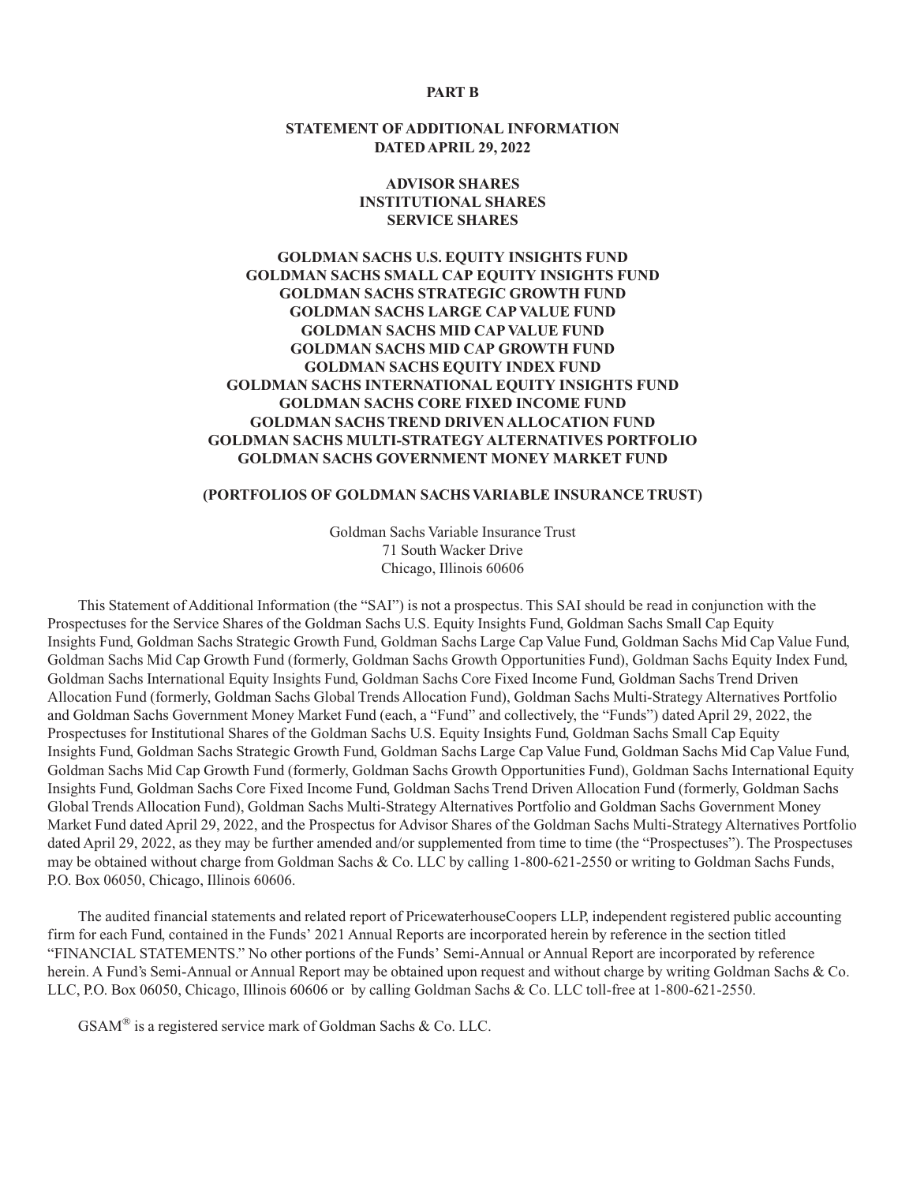### **PART B**

## **STATEMENT OF ADDITIONAL INFORMATION DATED APRIL 29, 2022**

# **ADVISOR SHARES INSTITUTIONAL SHARES SERVICE SHARES**

# **GOLDMAN SACHS U.S. EQUITY INSIGHTS FUND GOLDMAN SACHS SMALL CAP EQUITY INSIGHTS FUND GOLDMAN SACHS STRATEGIC GROWTH FUND GOLDMAN SACHS LARGE CAP VALUE FUND GOLDMAN SACHS MID CAP VALUE FUND GOLDMAN SACHS MID CAP GROWTH FUND GOLDMAN SACHS EQUITY INDEX FUND GOLDMAN SACHS INTERNATIONAL EQUITY INSIGHTS FUND GOLDMAN SACHS CORE FIXED INCOME FUND GOLDMAN SACHS TREND DRIVEN ALLOCATION FUND GOLDMAN SACHS MULTI-STRATEGY ALTERNATIVES PORTFOLIO GOLDMAN SACHS GOVERNMENT MONEY MARKET FUND**

## **(PORTFOLIOS OF GOLDMAN SACHS VARIABLE INSURANCE TRUST)**

Goldman Sachs Variable Insurance Trust 71 South Wacker Drive Chicago, Illinois 60606

This Statement of Additional Information (the "SAI") is not a prospectus. This SAI should be read in conjunction with the Prospectuses for the Service Shares of the Goldman Sachs U.S. Equity Insights Fund, Goldman Sachs Small Cap Equity Insights Fund, Goldman Sachs Strategic Growth Fund, Goldman Sachs Large Cap Value Fund, Goldman Sachs Mid Cap Value Fund, Goldman Sachs Mid Cap Growth Fund (formerly, Goldman Sachs Growth Opportunities Fund), Goldman Sachs Equity Index Fund, Goldman Sachs International Equity Insights Fund, Goldman Sachs Core Fixed Income Fund, Goldman Sachs Trend Driven Allocation Fund (formerly, Goldman Sachs Global Trends Allocation Fund), Goldman Sachs Multi-Strategy Alternatives Portfolio and Goldman Sachs Government Money Market Fund (each, a "Fund" and collectively, the "Funds") dated April 29, 2022, the Prospectuses for Institutional Shares of the Goldman Sachs U.S. Equity Insights Fund, Goldman Sachs Small Cap Equity Insights Fund, Goldman Sachs Strategic Growth Fund, Goldman Sachs Large Cap Value Fund, Goldman Sachs Mid Cap Value Fund, Goldman Sachs Mid Cap Growth Fund (formerly, Goldman Sachs Growth Opportunities Fund), Goldman Sachs International Equity Insights Fund, Goldman Sachs Core Fixed Income Fund, Goldman Sachs Trend Driven Allocation Fund (formerly, Goldman Sachs Global Trends Allocation Fund), Goldman Sachs Multi-Strategy Alternatives Portfolio and Goldman Sachs Government Money Market Fund dated April 29, 2022, and the Prospectus for Advisor Shares of the Goldman Sachs Multi-Strategy Alternatives Portfolio dated April 29, 2022, as they may be further amended and/or supplemented from time to time (the "Prospectuses"). The Prospectuses may be obtained without charge from Goldman Sachs & Co. LLC by calling 1-800-621-2550 or writing to Goldman Sachs Funds, P.O. Box 06050, Chicago, Illinois 60606.

The audited financial statements and related report of PricewaterhouseCoopers LLP, independent registered public accounting firm for each Fund, contained in the Funds' 2021 Annual Reports are incorporated herein by reference in the section titled "FINANCIAL STATEMENTS." No other portions of the Funds' Semi-Annual or Annual Report are incorporated by reference herein. A Fund's Semi-Annual or Annual Report may be obtained upon request and without charge by writing Goldman Sachs & Co. LLC, P.O. Box 06050, Chicago, Illinois 60606 or by calling Goldman Sachs & Co. LLC toll-free at 1-800-621-2550.

 $GSAM^{\circledR}$  is a registered service mark of Goldman Sachs & Co. LLC.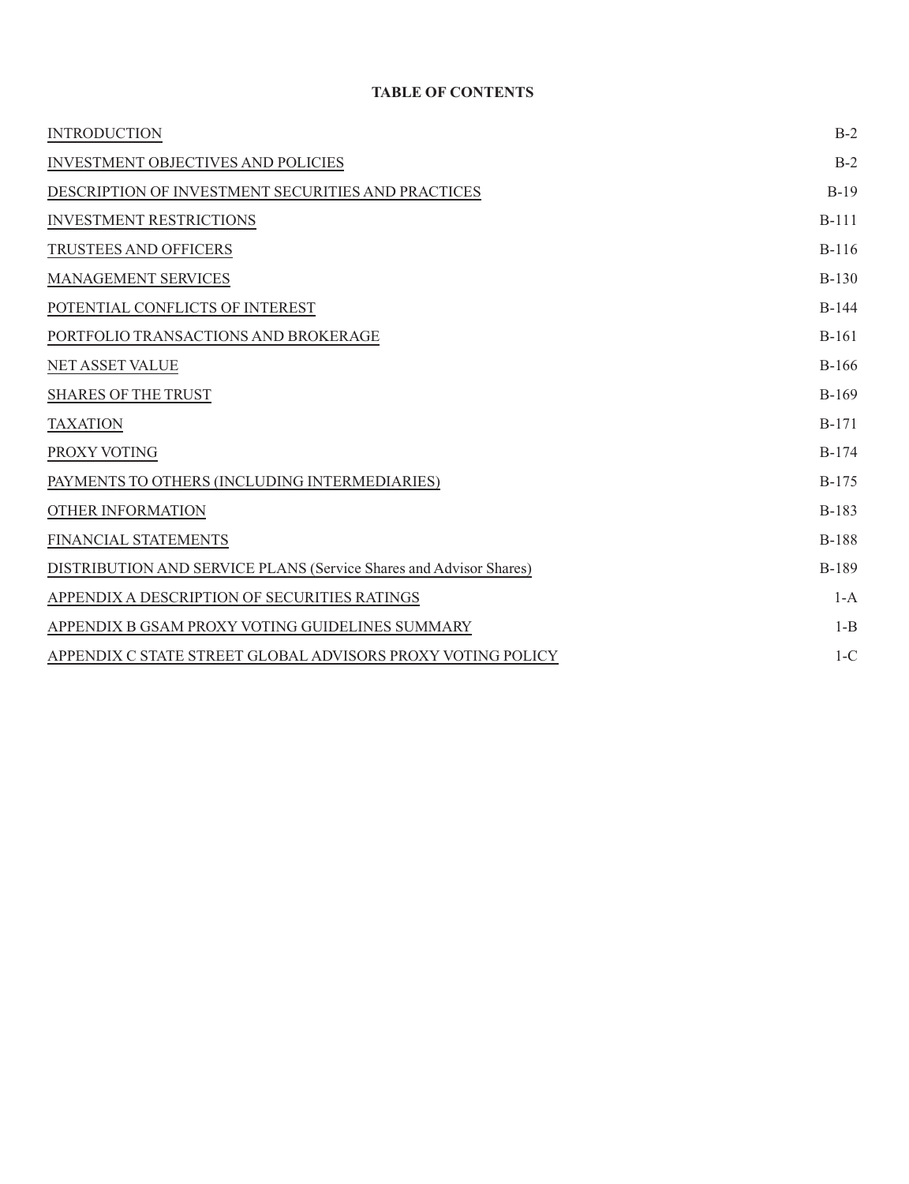# **TABLE OF CONTENTS**

| <b>INTRODUCTION</b>                                                | $B-2$        |
|--------------------------------------------------------------------|--------------|
| INVESTMENT OBJECTIVES AND POLICIES                                 | $B-2$        |
| DESCRIPTION OF INVESTMENT SECURITIES AND PRACTICES                 | $B-19$       |
| <b>INVESTMENT RESTRICTIONS</b>                                     | $B-111$      |
| TRUSTEES AND OFFICERS                                              | $B-116$      |
| MANAGEMENT SERVICES                                                | $B-130$      |
| POTENTIAL CONFLICTS OF INTEREST                                    | $B-144$      |
| PORTFOLIO TRANSACTIONS AND BROKERAGE                               | $B-161$      |
| NET ASSET VALUE                                                    | <b>B-166</b> |
| <b>SHARES OF THE TRUST</b>                                         | $B-169$      |
| <b>TAXATION</b>                                                    | $B-171$      |
| PROXY VOTING                                                       | $B-174$      |
| PAYMENTS TO OTHERS (INCLUDING INTERMEDIARIES)                      | $B-175$      |
| <b>OTHER INFORMATION</b>                                           | B-183        |
| FINANCIAL STATEMENTS                                               | <b>B-188</b> |
| DISTRIBUTION AND SERVICE PLANS (Service Shares and Advisor Shares) | B-189        |
| APPENDIX A DESCRIPTION OF SECURITIES RATINGS                       | $1-A$        |
| APPENDIX B GSAM PROXY VOTING GUIDELINES SUMMARY                    | $1 - B$      |
| APPENDIX C STATE STREET GLOBAL ADVISORS PROXY VOTING POLICY        | $1-C$        |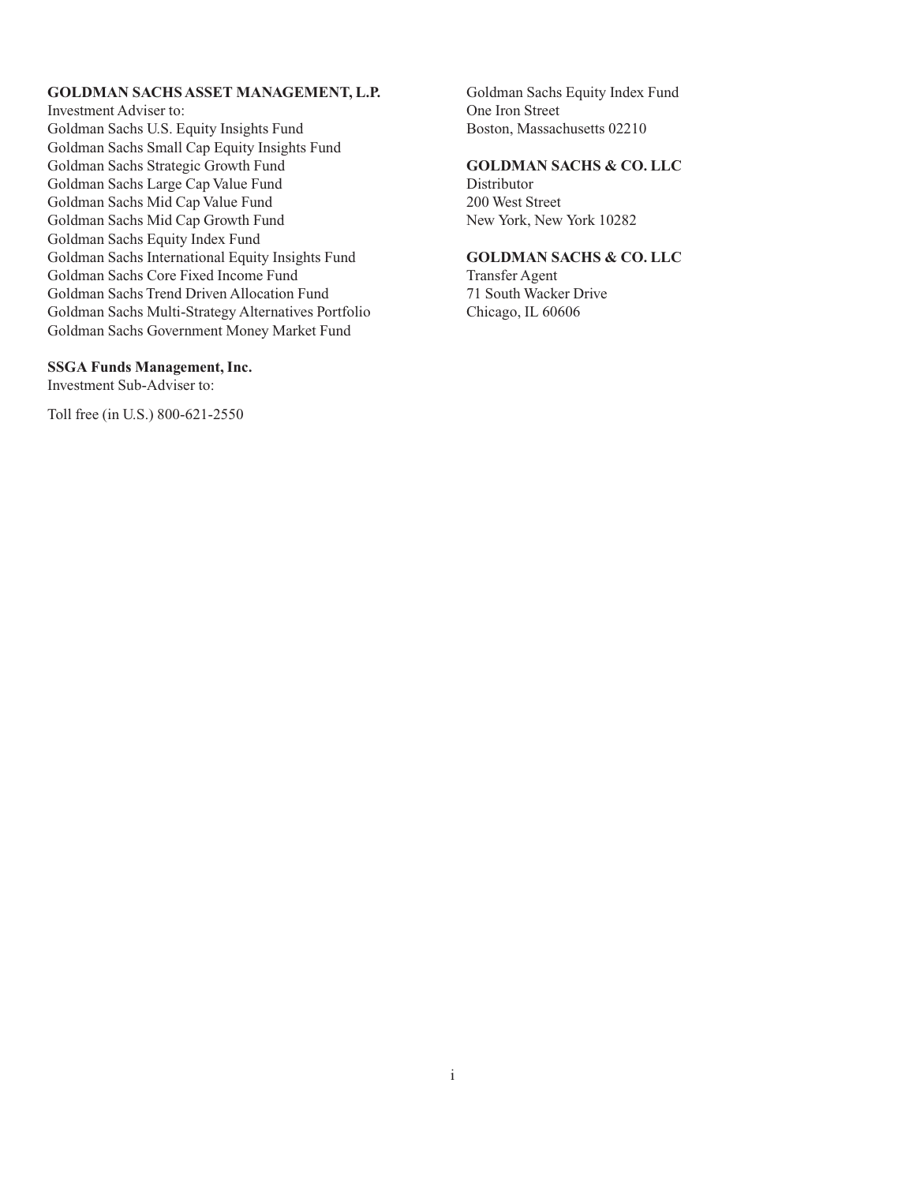## **GOLDMAN SACHS ASSET MANAGEMENT, L.P.**

Investment Adviser to: Goldman Sachs U.S. Equity Insights Fund Goldman Sachs Small Cap Equity Insights Fund Goldman Sachs Strategic Growth Fund Goldman Sachs Large Cap Value Fund Goldman Sachs Mid Cap Value Fund Goldman Sachs Mid Cap Growth Fund Goldman Sachs Equity Index Fund Goldman Sachs International Equity Insights Fund Goldman Sachs Core Fixed Income Fund Goldman Sachs Trend Driven Allocation Fund Goldman Sachs Multi-Strategy Alternatives Portfolio Goldman Sachs Government Money Market Fund

## **SSGA Funds Management, Inc.**

Investment Sub-Adviser to:

Toll free (in U.S.) 800-621-2550

Goldman Sachs Equity Index Fund One Iron Street Boston, Massachusetts 02210

# **GOLDMAN SACHS & CO. LLC**

Distributor 200 West Street New York, New York 10282

# **GOLDMAN SACHS & CO. LLC**

Transfer Agent 71 South Wacker Drive Chicago, IL 60606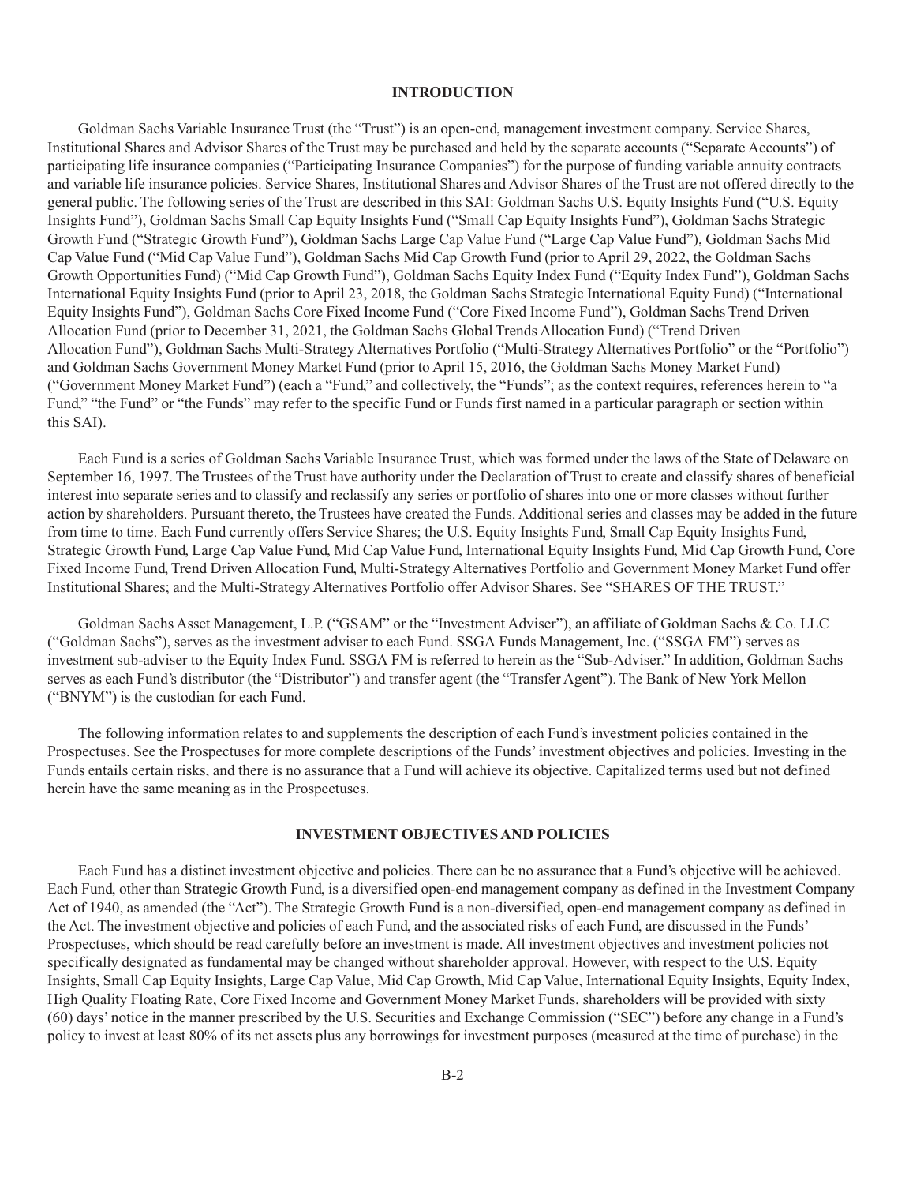## **INTRODUCTION**

<span id="page-3-0"></span>Goldman Sachs Variable Insurance Trust (the "Trust") is an open-end, management investment company. Service Shares, Institutional Shares and Advisor Shares of the Trust may be purchased and held by the separate accounts ("Separate Accounts") of participating life insurance companies ("Participating Insurance Companies") for the purpose of funding variable annuity contracts and variable life insurance policies. Service Shares, Institutional Shares and Advisor Shares of the Trust are not offered directly to the general public. The following series of the Trust are described in this SAI: Goldman Sachs U.S. Equity Insights Fund ("U.S. Equity Insights Fund"), Goldman Sachs Small Cap Equity Insights Fund ("Small Cap Equity Insights Fund"), Goldman Sachs Strategic Growth Fund ("Strategic Growth Fund"), Goldman Sachs Large Cap Value Fund ("Large Cap Value Fund"), Goldman Sachs Mid Cap Value Fund ("Mid Cap Value Fund"), Goldman Sachs Mid Cap Growth Fund (prior to April 29, 2022, the Goldman Sachs Growth Opportunities Fund) ("Mid Cap Growth Fund"), Goldman Sachs Equity Index Fund ("Equity Index Fund"), Goldman Sachs International Equity Insights Fund (prior to April 23, 2018, the Goldman Sachs Strategic International Equity Fund) ("International Equity Insights Fund"), Goldman Sachs Core Fixed Income Fund ("Core Fixed Income Fund"), Goldman Sachs Trend Driven Allocation Fund (prior to December 31, 2021, the Goldman Sachs Global Trends Allocation Fund) ("Trend Driven Allocation Fund"), Goldman Sachs Multi-Strategy Alternatives Portfolio ("Multi-Strategy Alternatives Portfolio" or the "Portfolio") and Goldman Sachs Government Money Market Fund (prior to April 15, 2016, the Goldman Sachs Money Market Fund) ("Government Money Market Fund") (each a "Fund," and collectively, the "Funds"; as the context requires, references herein to "a Fund," "the Fund" or "the Funds" may refer to the specific Fund or Funds first named in a particular paragraph or section within this SAI).

Each Fund is a series of Goldman Sachs Variable Insurance Trust, which was formed under the laws of the State of Delaware on September 16, 1997. The Trustees of the Trust have authority under the Declaration of Trust to create and classify shares of beneficial interest into separate series and to classify and reclassify any series or portfolio of shares into one or more classes without further action by shareholders. Pursuant thereto, the Trustees have created the Funds. Additional series and classes may be added in the future from time to time. Each Fund currently offers Service Shares; the U.S. Equity Insights Fund, Small Cap Equity Insights Fund, Strategic Growth Fund, Large Cap Value Fund, Mid Cap Value Fund, International Equity Insights Fund, Mid Cap Growth Fund, Core Fixed Income Fund, Trend Driven Allocation Fund, Multi-Strategy Alternatives Portfolio and Government Money Market Fund offer Institutional Shares; and the Multi-Strategy Alternatives Portfolio offer Advisor Shares. See "SHARES OF THE TRUST."

Goldman Sachs Asset Management, L.P. ("GSAM" or the "Investment Adviser"), an affiliate of Goldman Sachs & Co. LLC ("Goldman Sachs"), serves as the investment adviser to each Fund. SSGA Funds Management, Inc. ("SSGA FM") serves as investment sub-adviser to the Equity Index Fund. SSGA FM is referred to herein as the "Sub-Adviser." In addition, Goldman Sachs serves as each Fund's distributor (the "Distributor") and transfer agent (the "Transfer Agent"). The Bank of New York Mellon ("BNYM") is the custodian for each Fund.

The following information relates to and supplements the description of each Fund's investment policies contained in the Prospectuses. See the Prospectuses for more complete descriptions of the Funds' investment objectives and policies. Investing in the Funds entails certain risks, and there is no assurance that a Fund will achieve its objective. Capitalized terms used but not defined herein have the same meaning as in the Prospectuses.

## **INVESTMENT OBJECTIVES AND POLICIES**

Each Fund has a distinct investment objective and policies. There can be no assurance that a Fund's objective will be achieved. Each Fund, other than Strategic Growth Fund, is a diversified open-end management company as defined in the Investment Company Act of 1940, as amended (the "Act"). The Strategic Growth Fund is a non-diversified, open-end management company as defined in the Act. The investment objective and policies of each Fund, and the associated risks of each Fund, are discussed in the Funds' Prospectuses, which should be read carefully before an investment is made. All investment objectives and investment policies not specifically designated as fundamental may be changed without shareholder approval. However, with respect to the U.S. Equity Insights, Small Cap Equity Insights, Large Cap Value, Mid Cap Growth, Mid Cap Value, International Equity Insights, Equity Index, High Quality Floating Rate, Core Fixed Income and Government Money Market Funds, shareholders will be provided with sixty (60) days' notice in the manner prescribed by the U.S. Securities and Exchange Commission ("SEC") before any change in a Fund's policy to invest at least 80% of its net assets plus any borrowings for investment purposes (measured at the time of purchase) in the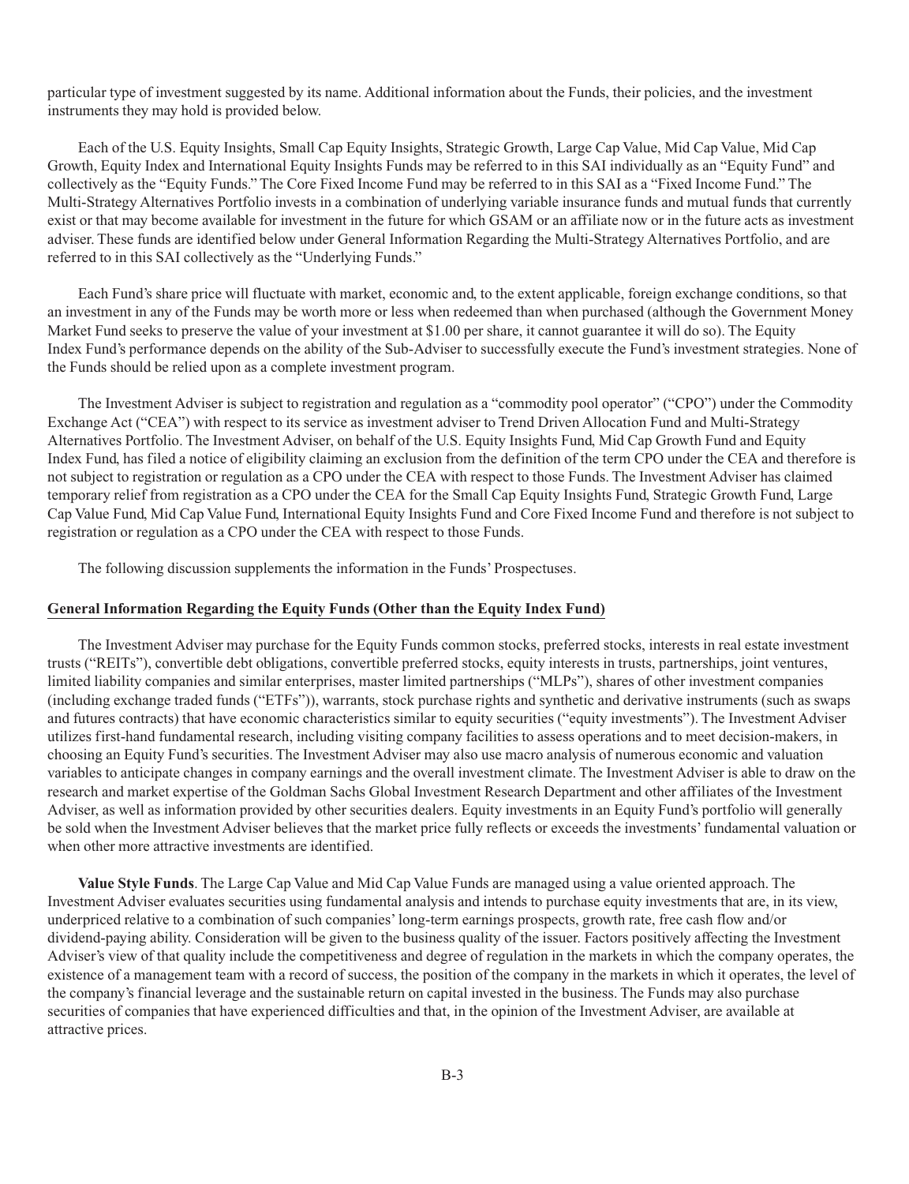particular type of investment suggested by its name. Additional information about the Funds, their policies, and the investment instruments they may hold is provided below.

Each of the U.S. Equity Insights, Small Cap Equity Insights, Strategic Growth, Large Cap Value, Mid Cap Value, Mid Cap Growth, Equity Index and International Equity Insights Funds may be referred to in this SAI individually as an "Equity Fund" and collectively as the "Equity Funds." The Core Fixed Income Fund may be referred to in this SAI as a "Fixed Income Fund." The Multi-Strategy Alternatives Portfolio invests in a combination of underlying variable insurance funds and mutual funds that currently exist or that may become available for investment in the future for which GSAM or an affiliate now or in the future acts as investment adviser. These funds are identified below under General Information Regarding the Multi-Strategy Alternatives Portfolio, and are referred to in this SAI collectively as the "Underlying Funds."

Each Fund's share price will fluctuate with market, economic and, to the extent applicable, foreign exchange conditions, so that an investment in any of the Funds may be worth more or less when redeemed than when purchased (although the Government Money Market Fund seeks to preserve the value of your investment at \$1.00 per share, it cannot guarantee it will do so). The Equity Index Fund's performance depends on the ability of the Sub-Adviser to successfully execute the Fund's investment strategies. None of the Funds should be relied upon as a complete investment program.

The Investment Adviser is subject to registration and regulation as a "commodity pool operator" ("CPO") under the Commodity Exchange Act ("CEA") with respect to its service as investment adviser to Trend Driven Allocation Fund and Multi-Strategy Alternatives Portfolio. The Investment Adviser, on behalf of the U.S. Equity Insights Fund, Mid Cap Growth Fund and Equity Index Fund, has filed a notice of eligibility claiming an exclusion from the definition of the term CPO under the CEA and therefore is not subject to registration or regulation as a CPO under the CEA with respect to those Funds. The Investment Adviser has claimed temporary relief from registration as a CPO under the CEA for the Small Cap Equity Insights Fund, Strategic Growth Fund, Large Cap Value Fund, Mid Cap Value Fund, International Equity Insights Fund and Core Fixed Income Fund and therefore is not subject to registration or regulation as a CPO under the CEA with respect to those Funds.

The following discussion supplements the information in the Funds' Prospectuses.

## **General Information Regarding the Equity Funds (Other than the Equity Index Fund)**

The Investment Adviser may purchase for the Equity Funds common stocks, preferred stocks, interests in real estate investment trusts ("REITs"), convertible debt obligations, convertible preferred stocks, equity interests in trusts, partnerships, joint ventures, limited liability companies and similar enterprises, master limited partnerships ("MLPs"), shares of other investment companies (including exchange traded funds ("ETFs")), warrants, stock purchase rights and synthetic and derivative instruments (such as swaps and futures contracts) that have economic characteristics similar to equity securities ("equity investments"). The Investment Adviser utilizes first-hand fundamental research, including visiting company facilities to assess operations and to meet decision-makers, in choosing an Equity Fund's securities. The Investment Adviser may also use macro analysis of numerous economic and valuation variables to anticipate changes in company earnings and the overall investment climate. The Investment Adviser is able to draw on the research and market expertise of the Goldman Sachs Global Investment Research Department and other affiliates of the Investment Adviser, as well as information provided by other securities dealers. Equity investments in an Equity Fund's portfolio will generally be sold when the Investment Adviser believes that the market price fully reflects or exceeds the investments' fundamental valuation or when other more attractive investments are identified.

**Value Style Funds**. The Large Cap Value and Mid Cap Value Funds are managed using a value oriented approach. The Investment Adviser evaluates securities using fundamental analysis and intends to purchase equity investments that are, in its view, underpriced relative to a combination of such companies' long-term earnings prospects, growth rate, free cash flow and/or dividend-paying ability. Consideration will be given to the business quality of the issuer. Factors positively affecting the Investment Adviser's view of that quality include the competitiveness and degree of regulation in the markets in which the company operates, the existence of a management team with a record of success, the position of the company in the markets in which it operates, the level of the company's financial leverage and the sustainable return on capital invested in the business. The Funds may also purchase securities of companies that have experienced difficulties and that, in the opinion of the Investment Adviser, are available at attractive prices.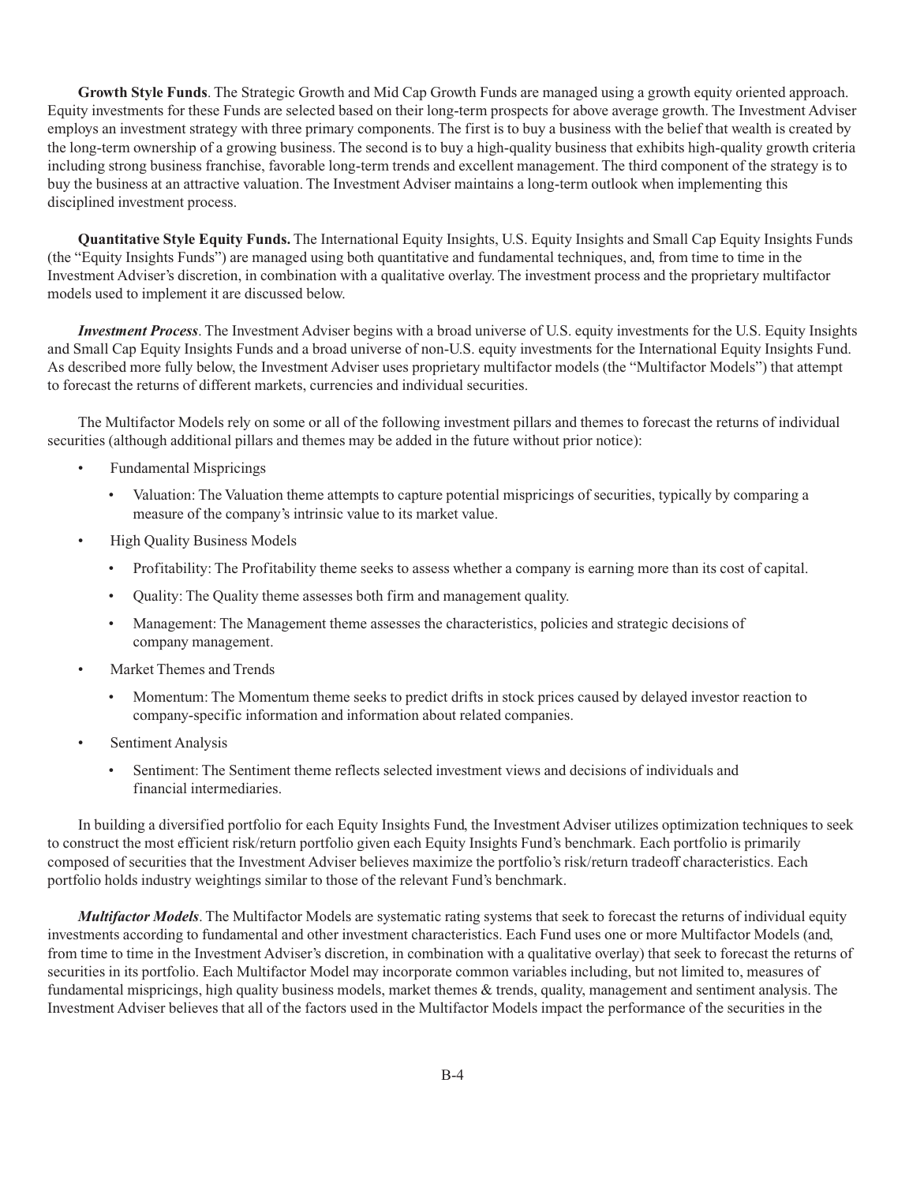**Growth Style Funds**. The Strategic Growth and Mid Cap Growth Funds are managed using a growth equity oriented approach. Equity investments for these Funds are selected based on their long-term prospects for above average growth. The Investment Adviser employs an investment strategy with three primary components. The first is to buy a business with the belief that wealth is created by the long-term ownership of a growing business. The second is to buy a high-quality business that exhibits high-quality growth criteria including strong business franchise, favorable long-term trends and excellent management. The third component of the strategy is to buy the business at an attractive valuation. The Investment Adviser maintains a long-term outlook when implementing this disciplined investment process.

**Quantitative Style Equity Funds.** The International Equity Insights, U.S. Equity Insights and Small Cap Equity Insights Funds (the "Equity Insights Funds") are managed using both quantitative and fundamental techniques, and, from time to time in the Investment Adviser's discretion, in combination with a qualitative overlay. The investment process and the proprietary multifactor models used to implement it are discussed below.

*Investment Process*. The Investment Adviser begins with a broad universe of U.S. equity investments for the U.S. Equity Insights and Small Cap Equity Insights Funds and a broad universe of non-U.S. equity investments for the International Equity Insights Fund. As described more fully below, the Investment Adviser uses proprietary multifactor models (the "Multifactor Models") that attempt to forecast the returns of different markets, currencies and individual securities.

The Multifactor Models rely on some or all of the following investment pillars and themes to forecast the returns of individual securities (although additional pillars and themes may be added in the future without prior notice):

- Fundamental Mispricings
	- Valuation: The Valuation theme attempts to capture potential mispricings of securities, typically by comparing a measure of the company's intrinsic value to its market value.
- High Quality Business Models
	- Profitability: The Profitability theme seeks to assess whether a company is earning more than its cost of capital.
	- Quality: The Quality theme assesses both firm and management quality.
	- Management: The Management theme assesses the characteristics, policies and strategic decisions of company management.
- Market Themes and Trends
	- Momentum: The Momentum theme seeks to predict drifts in stock prices caused by delayed investor reaction to company-specific information and information about related companies.
- Sentiment Analysis
	- Sentiment: The Sentiment theme reflects selected investment views and decisions of individuals and financial intermediaries.

In building a diversified portfolio for each Equity Insights Fund, the Investment Adviser utilizes optimization techniques to seek to construct the most efficient risk/return portfolio given each Equity Insights Fund's benchmark. Each portfolio is primarily composed of securities that the Investment Adviser believes maximize the portfolio's risk/return tradeoff characteristics. Each portfolio holds industry weightings similar to those of the relevant Fund's benchmark.

*Multifactor Models*. The Multifactor Models are systematic rating systems that seek to forecast the returns of individual equity investments according to fundamental and other investment characteristics. Each Fund uses one or more Multifactor Models (and, from time to time in the Investment Adviser's discretion, in combination with a qualitative overlay) that seek to forecast the returns of securities in its portfolio. Each Multifactor Model may incorporate common variables including, but not limited to, measures of fundamental mispricings, high quality business models, market themes & trends, quality, management and sentiment analysis. The Investment Adviser believes that all of the factors used in the Multifactor Models impact the performance of the securities in the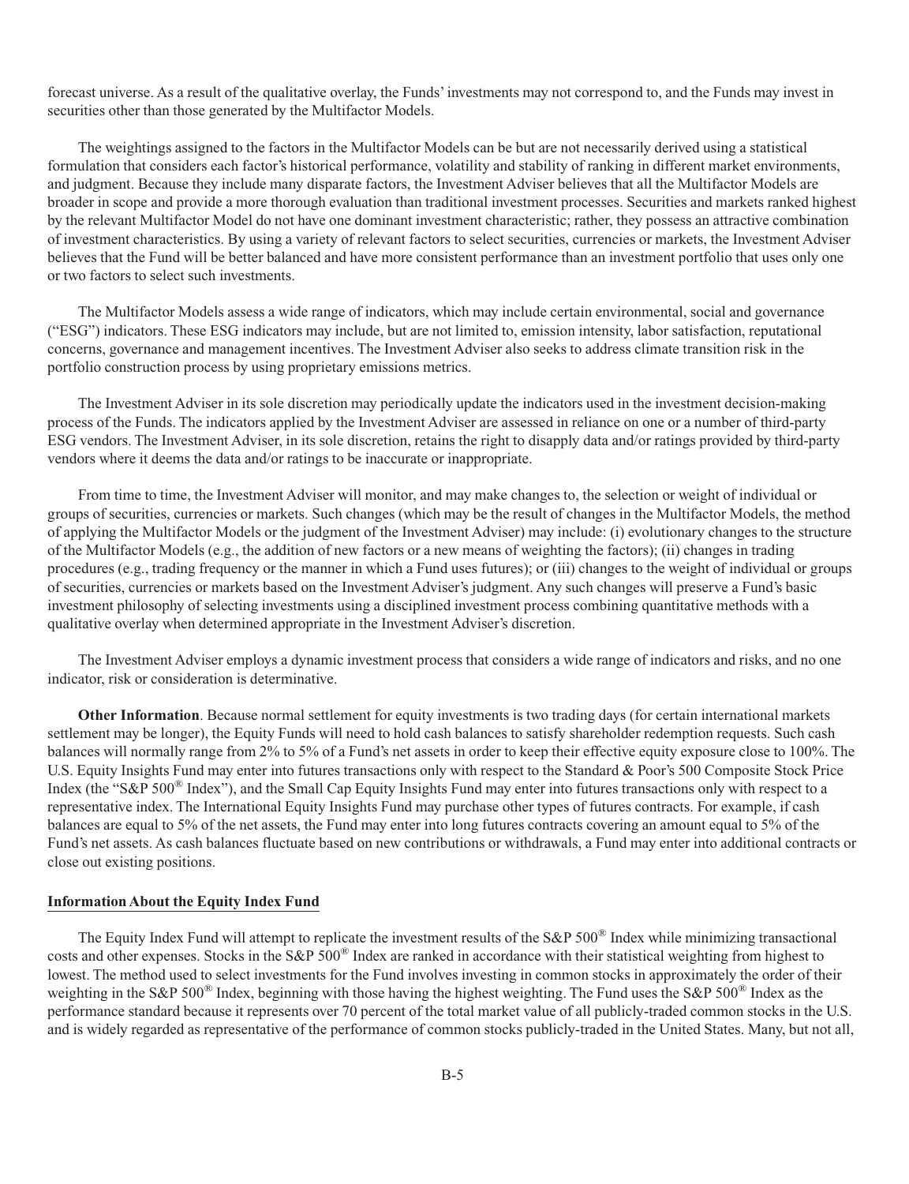forecast universe. As a result of the qualitative overlay, the Funds' investments may not correspond to, and the Funds may invest in securities other than those generated by the Multifactor Models.

The weightings assigned to the factors in the Multifactor Models can be but are not necessarily derived using a statistical formulation that considers each factor's historical performance, volatility and stability of ranking in different market environments, and judgment. Because they include many disparate factors, the Investment Adviser believes that all the Multifactor Models are broader in scope and provide a more thorough evaluation than traditional investment processes. Securities and markets ranked highest by the relevant Multifactor Model do not have one dominant investment characteristic; rather, they possess an attractive combination of investment characteristics. By using a variety of relevant factors to select securities, currencies or markets, the Investment Adviser believes that the Fund will be better balanced and have more consistent performance than an investment portfolio that uses only one or two factors to select such investments.

The Multifactor Models assess a wide range of indicators, which may include certain environmental, social and governance ("ESG") indicators. These ESG indicators may include, but are not limited to, emission intensity, labor satisfaction, reputational concerns, governance and management incentives. The Investment Adviser also seeks to address climate transition risk in the portfolio construction process by using proprietary emissions metrics.

The Investment Adviser in its sole discretion may periodically update the indicators used in the investment decision-making process of the Funds. The indicators applied by the Investment Adviser are assessed in reliance on one or a number of third-party ESG vendors. The Investment Adviser, in its sole discretion, retains the right to disapply data and/or ratings provided by third-party vendors where it deems the data and/or ratings to be inaccurate or inappropriate.

From time to time, the Investment Adviser will monitor, and may make changes to, the selection or weight of individual or groups of securities, currencies or markets. Such changes (which may be the result of changes in the Multifactor Models, the method of applying the Multifactor Models or the judgment of the Investment Adviser) may include: (i) evolutionary changes to the structure of the Multifactor Models (e.g., the addition of new factors or a new means of weighting the factors); (ii) changes in trading procedures (e.g., trading frequency or the manner in which a Fund uses futures); or (iii) changes to the weight of individual or groups of securities, currencies or markets based on the Investment Adviser's judgment. Any such changes will preserve a Fund's basic investment philosophy of selecting investments using a disciplined investment process combining quantitative methods with a qualitative overlay when determined appropriate in the Investment Adviser's discretion.

The Investment Adviser employs a dynamic investment process that considers a wide range of indicators and risks, and no one indicator, risk or consideration is determinative.

**Other Information**. Because normal settlement for equity investments is two trading days (for certain international markets settlement may be longer), the Equity Funds will need to hold cash balances to satisfy shareholder redemption requests. Such cash balances will normally range from 2% to 5% of a Fund's net assets in order to keep their effective equity exposure close to 100%. The U.S. Equity Insights Fund may enter into futures transactions only with respect to the Standard & Poor's 500 Composite Stock Price Index (the "S&P 500® Index"), and the Small Cap Equity Insights Fund may enter into futures transactions only with respect to a representative index. The International Equity Insights Fund may purchase other types of futures contracts. For example, if cash balances are equal to 5% of the net assets, the Fund may enter into long futures contracts covering an amount equal to 5% of the Fund's net assets. As cash balances fluctuate based on new contributions or withdrawals, a Fund may enter into additional contracts or close out existing positions.

#### **Information About the Equity Index Fund**

The Equity Index Fund will attempt to replicate the investment results of the  $S\&P 500^{\circledast}$  Index while minimizing transactional costs and other expenses. Stocks in the S&P 500® Index are ranked in accordance with their statistical weighting from highest to lowest. The method used to select investments for the Fund involves investing in common stocks in approximately the order of their weighting in the S&P 500<sup>®</sup> Index, beginning with those having the highest weighting. The Fund uses the S&P 500<sup>®</sup> Index as the performance standard because it represents over 70 percent of the total market value of all publicly-traded common stocks in the U.S. and is widely regarded as representative of the performance of common stocks publicly-traded in the United States. Many, but not all,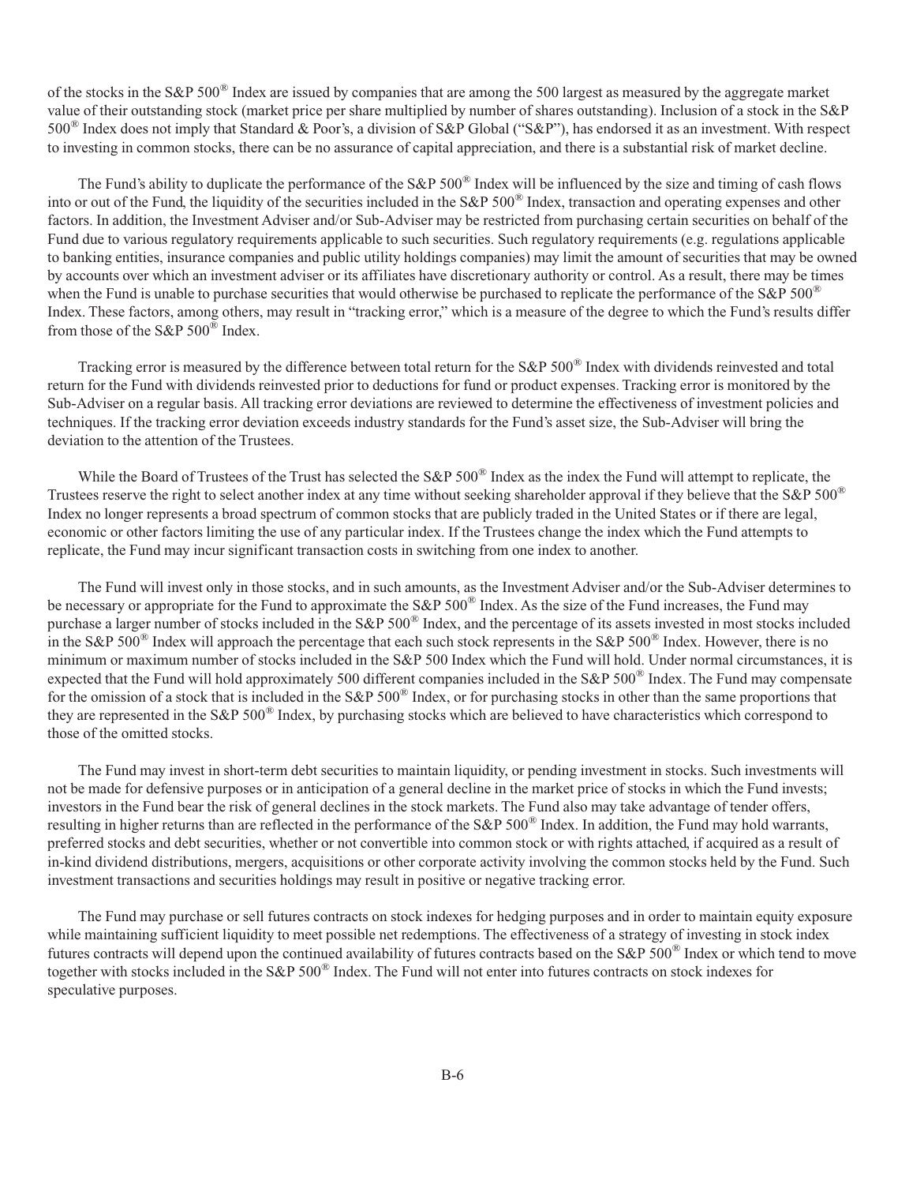of the stocks in the S&P 500<sup>®</sup> Index are issued by companies that are among the 500 largest as measured by the aggregate market value of their outstanding stock (market price per share multiplied by number of shares outstanding). Inclusion of a stock in the S&P 500® Index does not imply that Standard & Poor's, a division of S&P Global ("S&P"), has endorsed it as an investment. With respect to investing in common stocks, there can be no assurance of capital appreciation, and there is a substantial risk of market decline.

The Fund's ability to duplicate the performance of the S&P 500 $^{\circledR}$  Index will be influenced by the size and timing of cash flows into or out of the Fund, the liquidity of the securities included in the S&P 500® Index, transaction and operating expenses and other factors. In addition, the Investment Adviser and/or Sub-Adviser may be restricted from purchasing certain securities on behalf of the Fund due to various regulatory requirements applicable to such securities. Such regulatory requirements (e.g. regulations applicable to banking entities, insurance companies and public utility holdings companies) may limit the amount of securities that may be owned by accounts over which an investment adviser or its affiliates have discretionary authority or control. As a result, there may be times when the Fund is unable to purchase securities that would otherwise be purchased to replicate the performance of the S&P 500<sup>®</sup> Index. These factors, among others, may result in "tracking error," which is a measure of the degree to which the Fund's results differ from those of the S&P 500® Index.

Tracking error is measured by the difference between total return for the  $S\&P 500^{\circ}$  Index with dividends reinvested and total return for the Fund with dividends reinvested prior to deductions for fund or product expenses. Tracking error is monitored by the Sub-Adviser on a regular basis. All tracking error deviations are reviewed to determine the effectiveness of investment policies and techniques. If the tracking error deviation exceeds industry standards for the Fund's asset size, the Sub-Adviser will bring the deviation to the attention of the Trustees.

While the Board of Trustees of the Trust has selected the  $S\&P 500^{\circ}$  Index as the index the Fund will attempt to replicate, the Trustees reserve the right to select another index at any time without seeking shareholder approval if they believe that the S&P 500<sup>®</sup> Index no longer represents a broad spectrum of common stocks that are publicly traded in the United States or if there are legal, economic or other factors limiting the use of any particular index. If the Trustees change the index which the Fund attempts to replicate, the Fund may incur significant transaction costs in switching from one index to another.

The Fund will invest only in those stocks, and in such amounts, as the Investment Adviser and/or the Sub-Adviser determines to be necessary or appropriate for the Fund to approximate the S&P  $500^\circ$  Index. As the size of the Fund increases, the Fund may purchase a larger number of stocks included in the S&P 500® Index, and the percentage of its assets invested in most stocks included in the S&P 500<sup>®</sup> Index will approach the percentage that each such stock represents in the S&P 500<sup>®</sup> Index. However, there is no minimum or maximum number of stocks included in the S&P 500 Index which the Fund will hold. Under normal circumstances, it is expected that the Fund will hold approximately 500 different companies included in the S&P 500 $^{\circ}$  Index. The Fund may compensate for the omission of a stock that is included in the S&P 500 $^{\circ}$  Index, or for purchasing stocks in other than the same proportions that they are represented in the S&P  $500^{\circledast}$  Index, by purchasing stocks which are believed to have characteristics which correspond to those of the omitted stocks.

The Fund may invest in short-term debt securities to maintain liquidity, or pending investment in stocks. Such investments will not be made for defensive purposes or in anticipation of a general decline in the market price of stocks in which the Fund invests; investors in the Fund bear the risk of general declines in the stock markets. The Fund also may take advantage of tender offers, resulting in higher returns than are reflected in the performance of the S&P 500® Index. In addition, the Fund may hold warrants, preferred stocks and debt securities, whether or not convertible into common stock or with rights attached, if acquired as a result of in-kind dividend distributions, mergers, acquisitions or other corporate activity involving the common stocks held by the Fund. Such investment transactions and securities holdings may result in positive or negative tracking error.

The Fund may purchase or sell futures contracts on stock indexes for hedging purposes and in order to maintain equity exposure while maintaining sufficient liquidity to meet possible net redemptions. The effectiveness of a strategy of investing in stock index futures contracts will depend upon the continued availability of futures contracts based on the S&P 500® Index or which tend to move together with stocks included in the S&P 500 $^{\circ\circ}$  Index. The Fund will not enter into futures contracts on stock indexes for speculative purposes.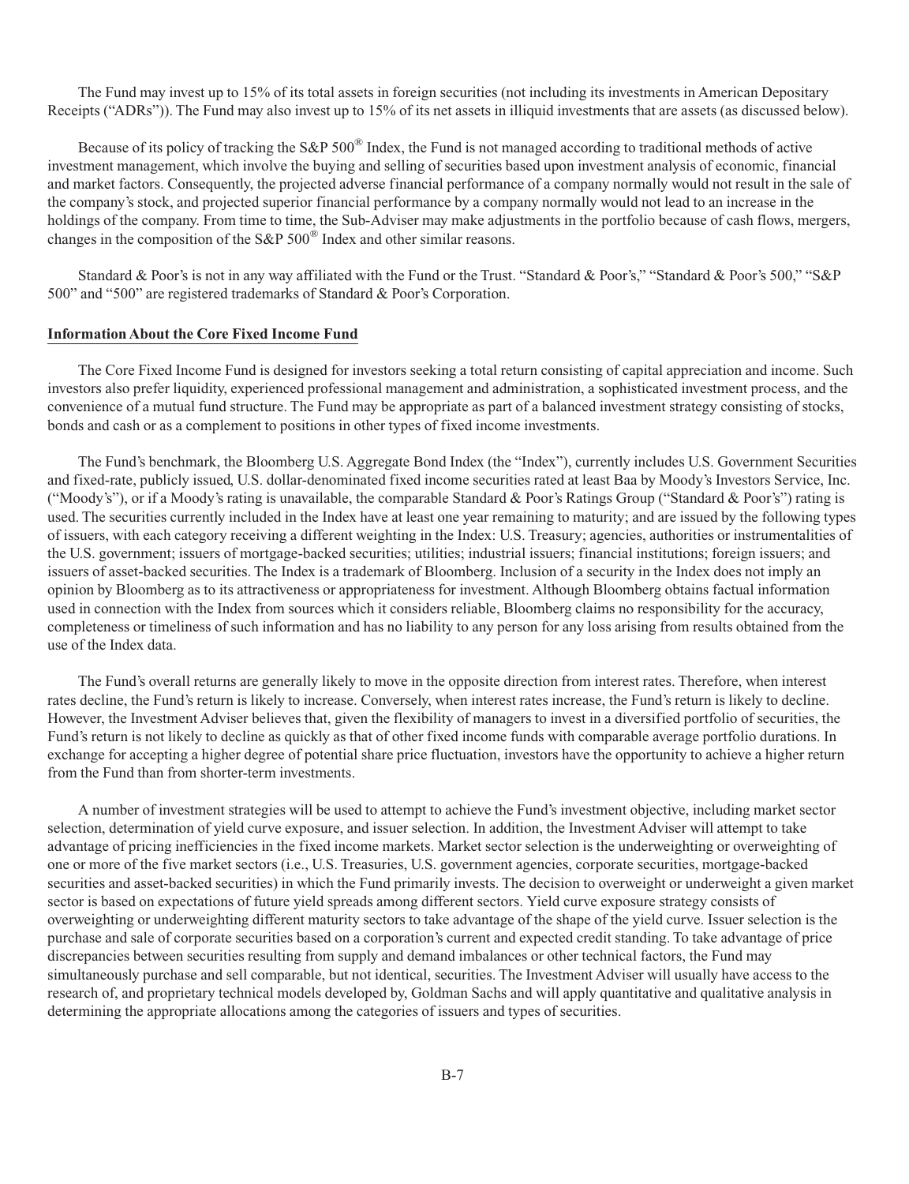The Fund may invest up to 15% of its total assets in foreign securities (not including its investments in American Depositary Receipts ("ADRs")). The Fund may also invest up to 15% of its net assets in illiquid investments that are assets (as discussed below).

Because of its policy of tracking the S&P 500® Index, the Fund is not managed according to traditional methods of active investment management, which involve the buying and selling of securities based upon investment analysis of economic, financial and market factors. Consequently, the projected adverse financial performance of a company normally would not result in the sale of the company's stock, and projected superior financial performance by a company normally would not lead to an increase in the holdings of the company. From time to time, the Sub-Adviser may make adjustments in the portfolio because of cash flows, mergers, changes in the composition of the S&P 500® Index and other similar reasons.

Standard & Poor's is not in any way affiliated with the Fund or the Trust. "Standard & Poor's," "Standard & Poor's 500," "S&P 500" and "500" are registered trademarks of Standard & Poor's Corporation.

#### **Information About the Core Fixed Income Fund**

The Core Fixed Income Fund is designed for investors seeking a total return consisting of capital appreciation and income. Such investors also prefer liquidity, experienced professional management and administration, a sophisticated investment process, and the convenience of a mutual fund structure. The Fund may be appropriate as part of a balanced investment strategy consisting of stocks, bonds and cash or as a complement to positions in other types of fixed income investments.

The Fund's benchmark, the Bloomberg U.S. Aggregate Bond Index (the "Index"), currently includes U.S. Government Securities and fixed-rate, publicly issued, U.S. dollar-denominated fixed income securities rated at least Baa by Moody's Investors Service, Inc. ("Moody's"), or if a Moody's rating is unavailable, the comparable Standard & Poor's Ratings Group ("Standard & Poor's") rating is used. The securities currently included in the Index have at least one year remaining to maturity; and are issued by the following types of issuers, with each category receiving a different weighting in the Index: U.S. Treasury; agencies, authorities or instrumentalities of the U.S. government; issuers of mortgage-backed securities; utilities; industrial issuers; financial institutions; foreign issuers; and issuers of asset-backed securities. The Index is a trademark of Bloomberg. Inclusion of a security in the Index does not imply an opinion by Bloomberg as to its attractiveness or appropriateness for investment. Although Bloomberg obtains factual information used in connection with the Index from sources which it considers reliable, Bloomberg claims no responsibility for the accuracy, completeness or timeliness of such information and has no liability to any person for any loss arising from results obtained from the use of the Index data.

The Fund's overall returns are generally likely to move in the opposite direction from interest rates. Therefore, when interest rates decline, the Fund's return is likely to increase. Conversely, when interest rates increase, the Fund's return is likely to decline. However, the Investment Adviser believes that, given the flexibility of managers to invest in a diversified portfolio of securities, the Fund's return is not likely to decline as quickly as that of other fixed income funds with comparable average portfolio durations. In exchange for accepting a higher degree of potential share price fluctuation, investors have the opportunity to achieve a higher return from the Fund than from shorter-term investments.

A number of investment strategies will be used to attempt to achieve the Fund's investment objective, including market sector selection, determination of yield curve exposure, and issuer selection. In addition, the Investment Adviser will attempt to take advantage of pricing inefficiencies in the fixed income markets. Market sector selection is the underweighting or overweighting of one or more of the five market sectors (i.e., U.S. Treasuries, U.S. government agencies, corporate securities, mortgage-backed securities and asset-backed securities) in which the Fund primarily invests. The decision to overweight or underweight a given market sector is based on expectations of future yield spreads among different sectors. Yield curve exposure strategy consists of overweighting or underweighting different maturity sectors to take advantage of the shape of the yield curve. Issuer selection is the purchase and sale of corporate securities based on a corporation's current and expected credit standing. To take advantage of price discrepancies between securities resulting from supply and demand imbalances or other technical factors, the Fund may simultaneously purchase and sell comparable, but not identical, securities. The Investment Adviser will usually have access to the research of, and proprietary technical models developed by, Goldman Sachs and will apply quantitative and qualitative analysis in determining the appropriate allocations among the categories of issuers and types of securities.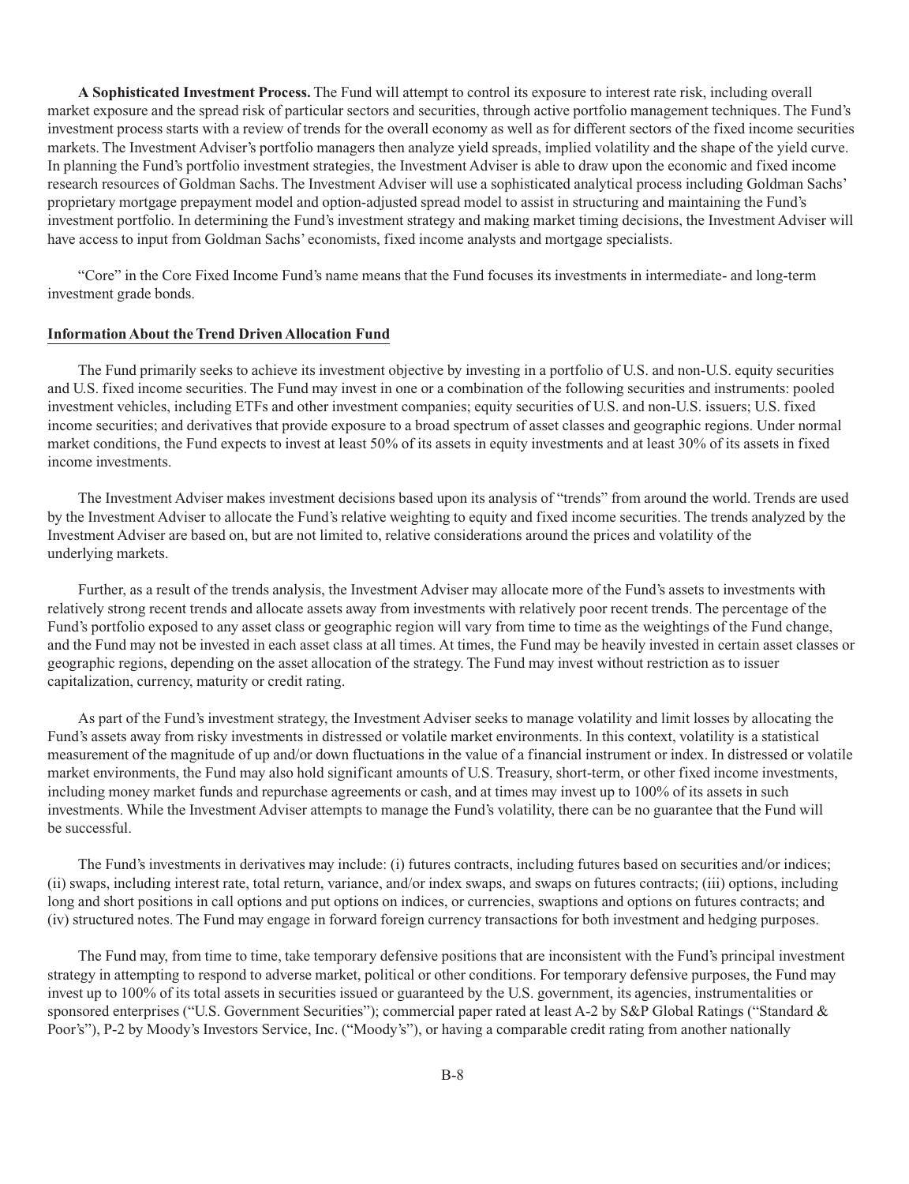**A Sophisticated Investment Process.** The Fund will attempt to control its exposure to interest rate risk, including overall market exposure and the spread risk of particular sectors and securities, through active portfolio management techniques. The Fund's investment process starts with a review of trends for the overall economy as well as for different sectors of the fixed income securities markets. The Investment Adviser's portfolio managers then analyze yield spreads, implied volatility and the shape of the yield curve. In planning the Fund's portfolio investment strategies, the Investment Adviser is able to draw upon the economic and fixed income research resources of Goldman Sachs. The Investment Adviser will use a sophisticated analytical process including Goldman Sachs' proprietary mortgage prepayment model and option-adjusted spread model to assist in structuring and maintaining the Fund's investment portfolio. In determining the Fund's investment strategy and making market timing decisions, the Investment Adviser will have access to input from Goldman Sachs' economists, fixed income analysts and mortgage specialists.

"Core" in the Core Fixed Income Fund's name means that the Fund focuses its investments in intermediate- and long-term investment grade bonds.

#### **Information About the Trend Driven Allocation Fund**

The Fund primarily seeks to achieve its investment objective by investing in a portfolio of U.S. and non-U.S. equity securities and U.S. fixed income securities. The Fund may invest in one or a combination of the following securities and instruments: pooled investment vehicles, including ETFs and other investment companies; equity securities of U.S. and non-U.S. issuers; U.S. fixed income securities; and derivatives that provide exposure to a broad spectrum of asset classes and geographic regions. Under normal market conditions, the Fund expects to invest at least 50% of its assets in equity investments and at least 30% of its assets in fixed income investments.

The Investment Adviser makes investment decisions based upon its analysis of "trends" from around the world. Trends are used by the Investment Adviser to allocate the Fund's relative weighting to equity and fixed income securities. The trends analyzed by the Investment Adviser are based on, but are not limited to, relative considerations around the prices and volatility of the underlying markets.

Further, as a result of the trends analysis, the Investment Adviser may allocate more of the Fund's assets to investments with relatively strong recent trends and allocate assets away from investments with relatively poor recent trends. The percentage of the Fund's portfolio exposed to any asset class or geographic region will vary from time to time as the weightings of the Fund change, and the Fund may not be invested in each asset class at all times. At times, the Fund may be heavily invested in certain asset classes or geographic regions, depending on the asset allocation of the strategy. The Fund may invest without restriction as to issuer capitalization, currency, maturity or credit rating.

As part of the Fund's investment strategy, the Investment Adviser seeks to manage volatility and limit losses by allocating the Fund's assets away from risky investments in distressed or volatile market environments. In this context, volatility is a statistical measurement of the magnitude of up and/or down fluctuations in the value of a financial instrument or index. In distressed or volatile market environments, the Fund may also hold significant amounts of U.S. Treasury, short-term, or other fixed income investments, including money market funds and repurchase agreements or cash, and at times may invest up to 100% of its assets in such investments. While the Investment Adviser attempts to manage the Fund's volatility, there can be no guarantee that the Fund will be successful.

The Fund's investments in derivatives may include: (i) futures contracts, including futures based on securities and/or indices; (ii) swaps, including interest rate, total return, variance, and/or index swaps, and swaps on futures contracts; (iii) options, including long and short positions in call options and put options on indices, or currencies, swaptions and options on futures contracts; and (iv) structured notes. The Fund may engage in forward foreign currency transactions for both investment and hedging purposes.

The Fund may, from time to time, take temporary defensive positions that are inconsistent with the Fund's principal investment strategy in attempting to respond to adverse market, political or other conditions. For temporary defensive purposes, the Fund may invest up to 100% of its total assets in securities issued or guaranteed by the U.S. government, its agencies, instrumentalities or sponsored enterprises ("U.S. Government Securities"); commercial paper rated at least A-2 by S&P Global Ratings ("Standard & Poor's"), P-2 by Moody's Investors Service, Inc. ("Moody's"), or having a comparable credit rating from another nationally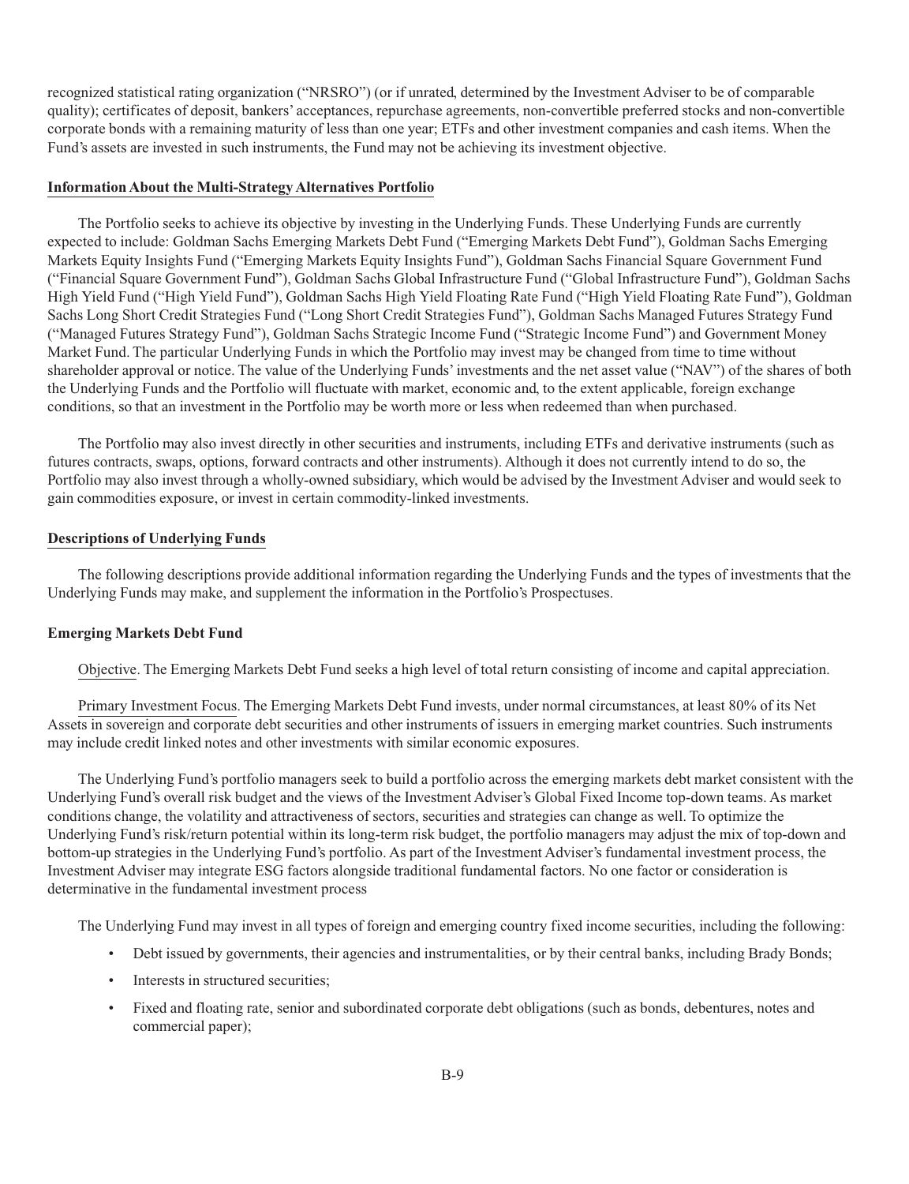recognized statistical rating organization ("NRSRO") (or if unrated, determined by the Investment Adviser to be of comparable quality); certificates of deposit, bankers' acceptances, repurchase agreements, non-convertible preferred stocks and non-convertible corporate bonds with a remaining maturity of less than one year; ETFs and other investment companies and cash items. When the Fund's assets are invested in such instruments, the Fund may not be achieving its investment objective.

#### **Information About the Multi-Strategy Alternatives Portfolio**

The Portfolio seeks to achieve its objective by investing in the Underlying Funds. These Underlying Funds are currently expected to include: Goldman Sachs Emerging Markets Debt Fund ("Emerging Markets Debt Fund"), Goldman Sachs Emerging Markets Equity Insights Fund ("Emerging Markets Equity Insights Fund"), Goldman Sachs Financial Square Government Fund ("Financial Square Government Fund"), Goldman Sachs Global Infrastructure Fund ("Global Infrastructure Fund"), Goldman Sachs High Yield Fund ("High Yield Fund"), Goldman Sachs High Yield Floating Rate Fund ("High Yield Floating Rate Fund"), Goldman Sachs Long Short Credit Strategies Fund ("Long Short Credit Strategies Fund"), Goldman Sachs Managed Futures Strategy Fund ("Managed Futures Strategy Fund"), Goldman Sachs Strategic Income Fund ("Strategic Income Fund") and Government Money Market Fund. The particular Underlying Funds in which the Portfolio may invest may be changed from time to time without shareholder approval or notice. The value of the Underlying Funds' investments and the net asset value ("NAV") of the shares of both the Underlying Funds and the Portfolio will fluctuate with market, economic and, to the extent applicable, foreign exchange conditions, so that an investment in the Portfolio may be worth more or less when redeemed than when purchased.

The Portfolio may also invest directly in other securities and instruments, including ETFs and derivative instruments (such as futures contracts, swaps, options, forward contracts and other instruments). Although it does not currently intend to do so, the Portfolio may also invest through a wholly-owned subsidiary, which would be advised by the Investment Adviser and would seek to gain commodities exposure, or invest in certain commodity-linked investments.

## **Descriptions of Underlying Funds**

The following descriptions provide additional information regarding the Underlying Funds and the types of investments that the Underlying Funds may make, and supplement the information in the Portfolio's Prospectuses.

### **Emerging Markets Debt Fund**

Objective. The Emerging Markets Debt Fund seeks a high level of total return consisting of income and capital appreciation.

Primary Investment Focus. The Emerging Markets Debt Fund invests, under normal circumstances, at least 80% of its Net Assets in sovereign and corporate debt securities and other instruments of issuers in emerging market countries. Such instruments may include credit linked notes and other investments with similar economic exposures.

The Underlying Fund's portfolio managers seek to build a portfolio across the emerging markets debt market consistent with the Underlying Fund's overall risk budget and the views of the Investment Adviser's Global Fixed Income top-down teams. As market conditions change, the volatility and attractiveness of sectors, securities and strategies can change as well. To optimize the Underlying Fund's risk/return potential within its long-term risk budget, the portfolio managers may adjust the mix of top-down and bottom-up strategies in the Underlying Fund's portfolio. As part of the Investment Adviser's fundamental investment process, the Investment Adviser may integrate ESG factors alongside traditional fundamental factors. No one factor or consideration is determinative in the fundamental investment process

The Underlying Fund may invest in all types of foreign and emerging country fixed income securities, including the following:

- Debt issued by governments, their agencies and instrumentalities, or by their central banks, including Brady Bonds;
- Interests in structured securities;
- Fixed and floating rate, senior and subordinated corporate debt obligations (such as bonds, debentures, notes and commercial paper);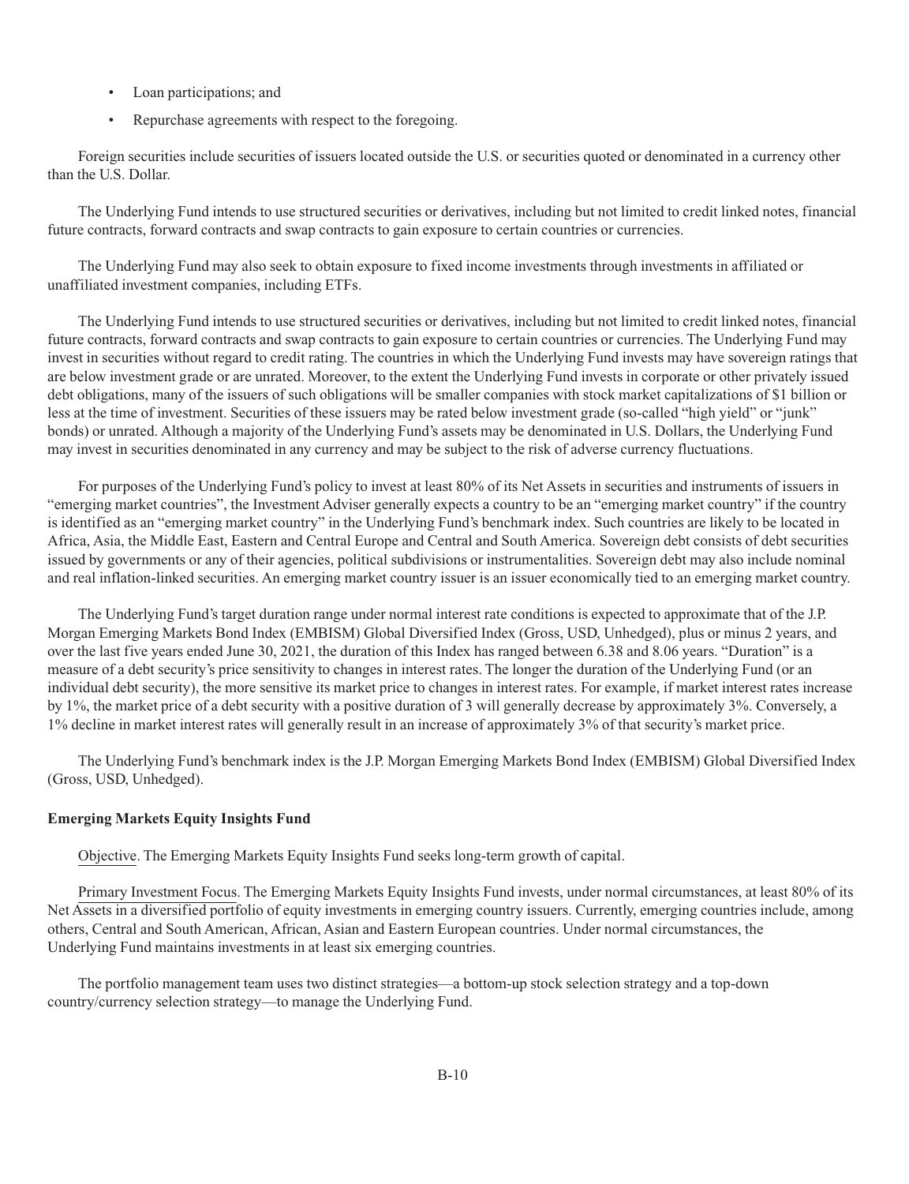- Loan participations; and
- Repurchase agreements with respect to the foregoing.

Foreign securities include securities of issuers located outside the U.S. or securities quoted or denominated in a currency other than the U.S. Dollar.

The Underlying Fund intends to use structured securities or derivatives, including but not limited to credit linked notes, financial future contracts, forward contracts and swap contracts to gain exposure to certain countries or currencies.

The Underlying Fund may also seek to obtain exposure to fixed income investments through investments in affiliated or unaffiliated investment companies, including ETFs.

The Underlying Fund intends to use structured securities or derivatives, including but not limited to credit linked notes, financial future contracts, forward contracts and swap contracts to gain exposure to certain countries or currencies. The Underlying Fund may invest in securities without regard to credit rating. The countries in which the Underlying Fund invests may have sovereign ratings that are below investment grade or are unrated. Moreover, to the extent the Underlying Fund invests in corporate or other privately issued debt obligations, many of the issuers of such obligations will be smaller companies with stock market capitalizations of \$1 billion or less at the time of investment. Securities of these issuers may be rated below investment grade (so-called "high yield" or "junk" bonds) or unrated. Although a majority of the Underlying Fund's assets may be denominated in U.S. Dollars, the Underlying Fund may invest in securities denominated in any currency and may be subject to the risk of adverse currency fluctuations.

For purposes of the Underlying Fund's policy to invest at least 80% of its Net Assets in securities and instruments of issuers in "emerging market countries", the Investment Adviser generally expects a country to be an "emerging market country" if the country is identified as an "emerging market country" in the Underlying Fund's benchmark index. Such countries are likely to be located in Africa, Asia, the Middle East, Eastern and Central Europe and Central and South America. Sovereign debt consists of debt securities issued by governments or any of their agencies, political subdivisions or instrumentalities. Sovereign debt may also include nominal and real inflation-linked securities. An emerging market country issuer is an issuer economically tied to an emerging market country.

The Underlying Fund's target duration range under normal interest rate conditions is expected to approximate that of the J.P. Morgan Emerging Markets Bond Index (EMBISM) Global Diversified Index (Gross, USD, Unhedged), plus or minus 2 years, and over the last five years ended June 30, 2021, the duration of this Index has ranged between 6.38 and 8.06 years. "Duration" is a measure of a debt security's price sensitivity to changes in interest rates. The longer the duration of the Underlying Fund (or an individual debt security), the more sensitive its market price to changes in interest rates. For example, if market interest rates increase by 1%, the market price of a debt security with a positive duration of 3 will generally decrease by approximately 3%. Conversely, a 1% decline in market interest rates will generally result in an increase of approximately 3% of that security's market price.

The Underlying Fund's benchmark index is the J.P. Morgan Emerging Markets Bond Index (EMBISM) Global Diversified Index (Gross, USD, Unhedged).

## **Emerging Markets Equity Insights Fund**

Objective. The Emerging Markets Equity Insights Fund seeks long-term growth of capital.

Primary Investment Focus. The Emerging Markets Equity Insights Fund invests, under normal circumstances, at least 80% of its Net Assets in a diversified portfolio of equity investments in emerging country issuers. Currently, emerging countries include, among others, Central and South American, African, Asian and Eastern European countries. Under normal circumstances, the Underlying Fund maintains investments in at least six emerging countries.

The portfolio management team uses two distinct strategies—a bottom-up stock selection strategy and a top-down country/currency selection strategy—to manage the Underlying Fund.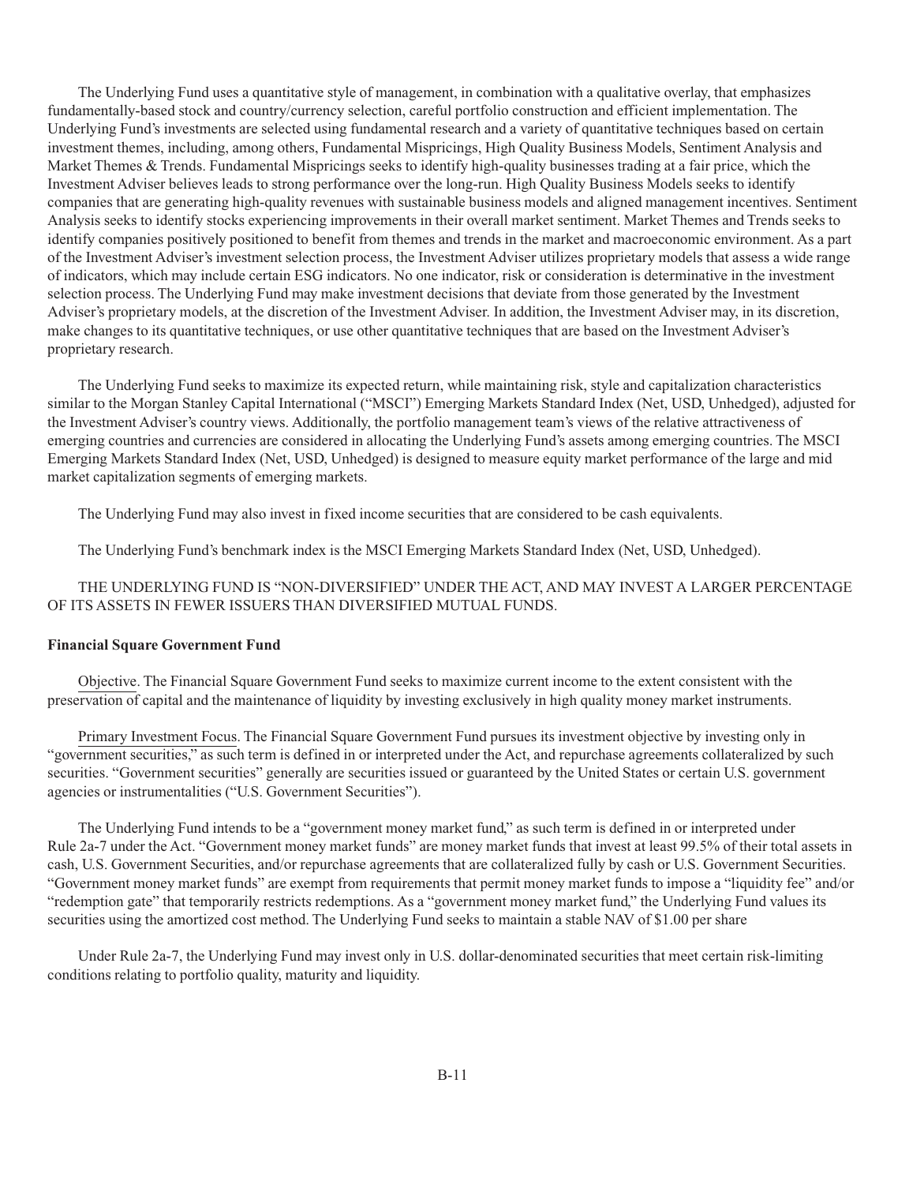The Underlying Fund uses a quantitative style of management, in combination with a qualitative overlay, that emphasizes fundamentally-based stock and country/currency selection, careful portfolio construction and efficient implementation. The Underlying Fund's investments are selected using fundamental research and a variety of quantitative techniques based on certain investment themes, including, among others, Fundamental Mispricings, High Quality Business Models, Sentiment Analysis and Market Themes & Trends. Fundamental Mispricings seeks to identify high-quality businesses trading at a fair price, which the Investment Adviser believes leads to strong performance over the long-run. High Quality Business Models seeks to identify companies that are generating high-quality revenues with sustainable business models and aligned management incentives. Sentiment Analysis seeks to identify stocks experiencing improvements in their overall market sentiment. Market Themes and Trends seeks to identify companies positively positioned to benefit from themes and trends in the market and macroeconomic environment. As a part of the Investment Adviser's investment selection process, the Investment Adviser utilizes proprietary models that assess a wide range of indicators, which may include certain ESG indicators. No one indicator, risk or consideration is determinative in the investment selection process. The Underlying Fund may make investment decisions that deviate from those generated by the Investment Adviser's proprietary models, at the discretion of the Investment Adviser. In addition, the Investment Adviser may, in its discretion, make changes to its quantitative techniques, or use other quantitative techniques that are based on the Investment Adviser's proprietary research.

The Underlying Fund seeks to maximize its expected return, while maintaining risk, style and capitalization characteristics similar to the Morgan Stanley Capital International ("MSCI") Emerging Markets Standard Index (Net, USD, Unhedged), adjusted for the Investment Adviser's country views. Additionally, the portfolio management team's views of the relative attractiveness of emerging countries and currencies are considered in allocating the Underlying Fund's assets among emerging countries. The MSCI Emerging Markets Standard Index (Net, USD, Unhedged) is designed to measure equity market performance of the large and mid market capitalization segments of emerging markets.

The Underlying Fund may also invest in fixed income securities that are considered to be cash equivalents.

The Underlying Fund's benchmark index is the MSCI Emerging Markets Standard Index (Net, USD, Unhedged).

## THE UNDERLYING FUND IS "NON-DIVERSIFIED" UNDER THE ACT, AND MAY INVEST A LARGER PERCENTAGE OF ITS ASSETS IN FEWER ISSUERS THAN DIVERSIFIED MUTUAL FUNDS.

#### **Financial Square Government Fund**

Objective. The Financial Square Government Fund seeks to maximize current income to the extent consistent with the preservation of capital and the maintenance of liquidity by investing exclusively in high quality money market instruments.

Primary Investment Focus. The Financial Square Government Fund pursues its investment objective by investing only in "government securities," as such term is defined in or interpreted under the Act, and repurchase agreements collateralized by such securities. "Government securities" generally are securities issued or guaranteed by the United States or certain U.S. government agencies or instrumentalities ("U.S. Government Securities").

The Underlying Fund intends to be a "government money market fund," as such term is defined in or interpreted under Rule 2a-7 under the Act. "Government money market funds" are money market funds that invest at least 99.5% of their total assets in cash, U.S. Government Securities, and/or repurchase agreements that are collateralized fully by cash or U.S. Government Securities. "Government money market funds" are exempt from requirements that permit money market funds to impose a "liquidity fee" and/or "redemption gate" that temporarily restricts redemptions. As a "government money market fund," the Underlying Fund values its securities using the amortized cost method. The Underlying Fund seeks to maintain a stable NAV of \$1.00 per share

Under Rule 2a-7, the Underlying Fund may invest only in U.S. dollar-denominated securities that meet certain risk-limiting conditions relating to portfolio quality, maturity and liquidity.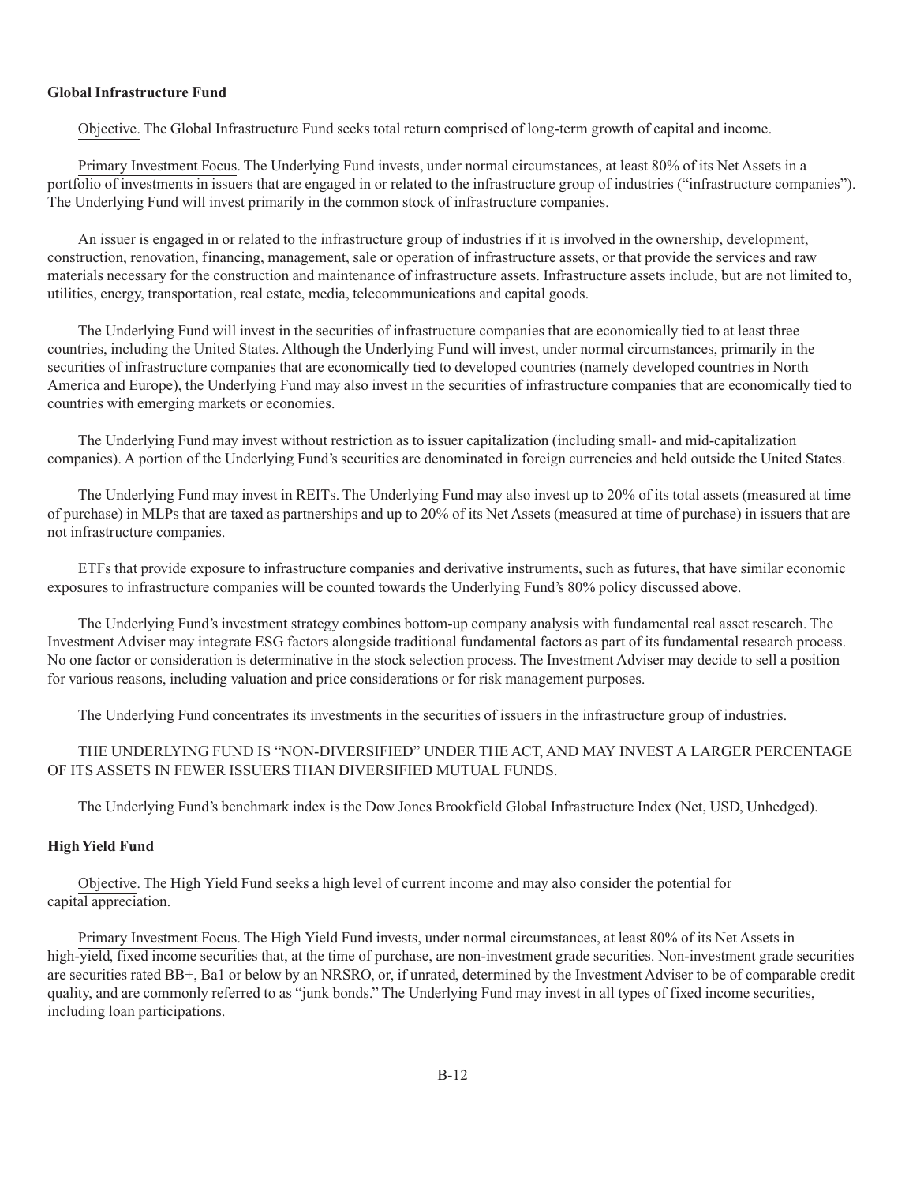## **Global Infrastructure Fund**

Objective. The Global Infrastructure Fund seeks total return comprised of long-term growth of capital and income.

Primary Investment Focus. The Underlying Fund invests, under normal circumstances, at least 80% of its Net Assets in a portfolio of investments in issuers that are engaged in or related to the infrastructure group of industries ("infrastructure companies"). The Underlying Fund will invest primarily in the common stock of infrastructure companies.

An issuer is engaged in or related to the infrastructure group of industries if it is involved in the ownership, development, construction, renovation, financing, management, sale or operation of infrastructure assets, or that provide the services and raw materials necessary for the construction and maintenance of infrastructure assets. Infrastructure assets include, but are not limited to, utilities, energy, transportation, real estate, media, telecommunications and capital goods.

The Underlying Fund will invest in the securities of infrastructure companies that are economically tied to at least three countries, including the United States. Although the Underlying Fund will invest, under normal circumstances, primarily in the securities of infrastructure companies that are economically tied to developed countries (namely developed countries in North America and Europe), the Underlying Fund may also invest in the securities of infrastructure companies that are economically tied to countries with emerging markets or economies.

The Underlying Fund may invest without restriction as to issuer capitalization (including small- and mid-capitalization companies). A portion of the Underlying Fund's securities are denominated in foreign currencies and held outside the United States.

The Underlying Fund may invest in REITs. The Underlying Fund may also invest up to 20% of its total assets (measured at time of purchase) in MLPs that are taxed as partnerships and up to 20% of its Net Assets (measured at time of purchase) in issuers that are not infrastructure companies.

ETFs that provide exposure to infrastructure companies and derivative instruments, such as futures, that have similar economic exposures to infrastructure companies will be counted towards the Underlying Fund's 80% policy discussed above.

The Underlying Fund's investment strategy combines bottom-up company analysis with fundamental real asset research. The Investment Adviser may integrate ESG factors alongside traditional fundamental factors as part of its fundamental research process. No one factor or consideration is determinative in the stock selection process. The Investment Adviser may decide to sell a position for various reasons, including valuation and price considerations or for risk management purposes.

The Underlying Fund concentrates its investments in the securities of issuers in the infrastructure group of industries.

## THE UNDERLYING FUND IS "NON-DIVERSIFIED" UNDER THE ACT, AND MAY INVEST A LARGER PERCENTAGE OF ITS ASSETS IN FEWER ISSUERS THAN DIVERSIFIED MUTUAL FUNDS.

The Underlying Fund's benchmark index is the Dow Jones Brookfield Global Infrastructure Index (Net, USD, Unhedged).

## **High Yield Fund**

Objective. The High Yield Fund seeks a high level of current income and may also consider the potential for capital appreciation.

Primary Investment Focus. The High Yield Fund invests, under normal circumstances, at least 80% of its Net Assets in high-yield, fixed income securities that, at the time of purchase, are non-investment grade securities. Non-investment grade securities are securities rated BB+, Ba1 or below by an NRSRO, or, if unrated, determined by the Investment Adviser to be of comparable credit quality, and are commonly referred to as "junk bonds." The Underlying Fund may invest in all types of fixed income securities, including loan participations.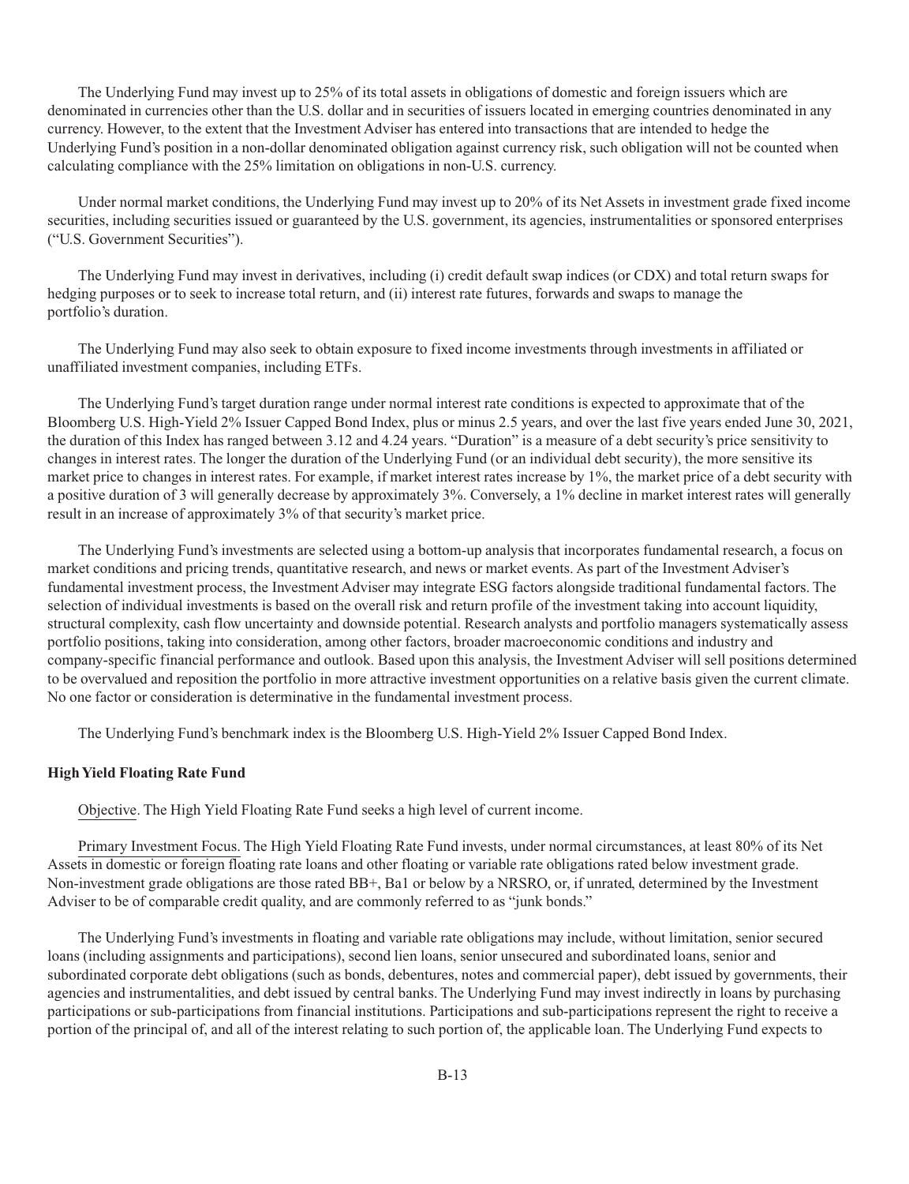The Underlying Fund may invest up to 25% of its total assets in obligations of domestic and foreign issuers which are denominated in currencies other than the U.S. dollar and in securities of issuers located in emerging countries denominated in any currency. However, to the extent that the Investment Adviser has entered into transactions that are intended to hedge the Underlying Fund's position in a non-dollar denominated obligation against currency risk, such obligation will not be counted when calculating compliance with the 25% limitation on obligations in non-U.S. currency.

Under normal market conditions, the Underlying Fund may invest up to 20% of its Net Assets in investment grade fixed income securities, including securities issued or guaranteed by the U.S. government, its agencies, instrumentalities or sponsored enterprises ("U.S. Government Securities").

The Underlying Fund may invest in derivatives, including (i) credit default swap indices (or CDX) and total return swaps for hedging purposes or to seek to increase total return, and (ii) interest rate futures, forwards and swaps to manage the portfolio's duration.

The Underlying Fund may also seek to obtain exposure to fixed income investments through investments in affiliated or unaffiliated investment companies, including ETFs.

The Underlying Fund's target duration range under normal interest rate conditions is expected to approximate that of the Bloomberg U.S. High-Yield 2% Issuer Capped Bond Index, plus or minus 2.5 years, and over the last five years ended June 30, 2021, the duration of this Index has ranged between 3.12 and 4.24 years. "Duration" is a measure of a debt security's price sensitivity to changes in interest rates. The longer the duration of the Underlying Fund (or an individual debt security), the more sensitive its market price to changes in interest rates. For example, if market interest rates increase by 1%, the market price of a debt security with a positive duration of 3 will generally decrease by approximately 3%. Conversely, a 1% decline in market interest rates will generally result in an increase of approximately 3% of that security's market price.

The Underlying Fund's investments are selected using a bottom-up analysis that incorporates fundamental research, a focus on market conditions and pricing trends, quantitative research, and news or market events. As part of the Investment Adviser's fundamental investment process, the Investment Adviser may integrate ESG factors alongside traditional fundamental factors. The selection of individual investments is based on the overall risk and return profile of the investment taking into account liquidity, structural complexity, cash flow uncertainty and downside potential. Research analysts and portfolio managers systematically assess portfolio positions, taking into consideration, among other factors, broader macroeconomic conditions and industry and company-specific financial performance and outlook. Based upon this analysis, the Investment Adviser will sell positions determined to be overvalued and reposition the portfolio in more attractive investment opportunities on a relative basis given the current climate. No one factor or consideration is determinative in the fundamental investment process.

The Underlying Fund's benchmark index is the Bloomberg U.S. High-Yield 2% Issuer Capped Bond Index.

## **High Yield Floating Rate Fund**

Objective. The High Yield Floating Rate Fund seeks a high level of current income.

Primary Investment Focus. The High Yield Floating Rate Fund invests, under normal circumstances, at least 80% of its Net Assets in domestic or foreign floating rate loans and other floating or variable rate obligations rated below investment grade. Non-investment grade obligations are those rated BB+, Ba1 or below by a NRSRO, or, if unrated, determined by the Investment Adviser to be of comparable credit quality, and are commonly referred to as "junk bonds."

The Underlying Fund's investments in floating and variable rate obligations may include, without limitation, senior secured loans (including assignments and participations), second lien loans, senior unsecured and subordinated loans, senior and subordinated corporate debt obligations (such as bonds, debentures, notes and commercial paper), debt issued by governments, their agencies and instrumentalities, and debt issued by central banks. The Underlying Fund may invest indirectly in loans by purchasing participations or sub-participations from financial institutions. Participations and sub-participations represent the right to receive a portion of the principal of, and all of the interest relating to such portion of, the applicable loan. The Underlying Fund expects to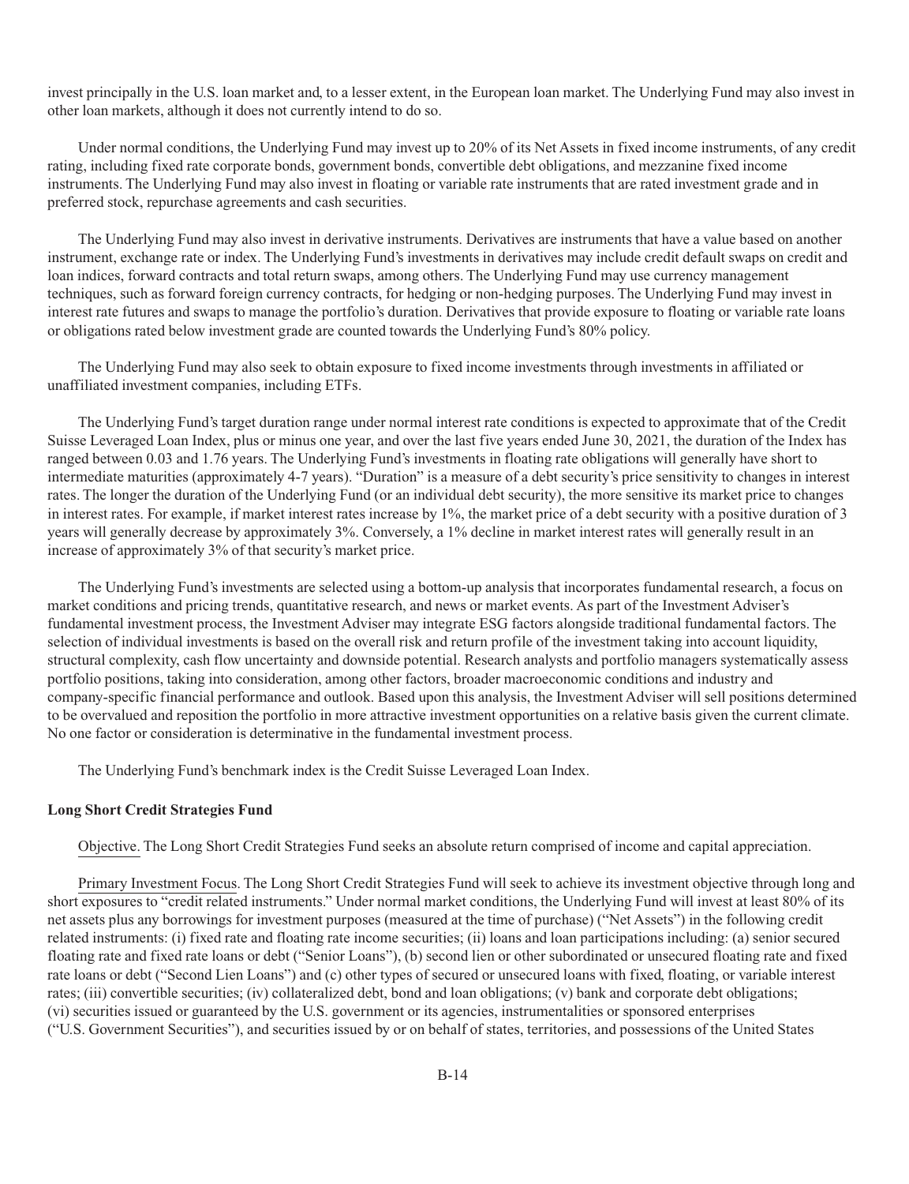invest principally in the U.S. loan market and, to a lesser extent, in the European loan market. The Underlying Fund may also invest in other loan markets, although it does not currently intend to do so.

Under normal conditions, the Underlying Fund may invest up to 20% of its Net Assets in fixed income instruments, of any credit rating, including fixed rate corporate bonds, government bonds, convertible debt obligations, and mezzanine fixed income instruments. The Underlying Fund may also invest in floating or variable rate instruments that are rated investment grade and in preferred stock, repurchase agreements and cash securities.

The Underlying Fund may also invest in derivative instruments. Derivatives are instruments that have a value based on another instrument, exchange rate or index. The Underlying Fund's investments in derivatives may include credit default swaps on credit and loan indices, forward contracts and total return swaps, among others. The Underlying Fund may use currency management techniques, such as forward foreign currency contracts, for hedging or non-hedging purposes. The Underlying Fund may invest in interest rate futures and swaps to manage the portfolio's duration. Derivatives that provide exposure to floating or variable rate loans or obligations rated below investment grade are counted towards the Underlying Fund's 80% policy.

The Underlying Fund may also seek to obtain exposure to fixed income investments through investments in affiliated or unaffiliated investment companies, including ETFs.

The Underlying Fund's target duration range under normal interest rate conditions is expected to approximate that of the Credit Suisse Leveraged Loan Index, plus or minus one year, and over the last five years ended June 30, 2021, the duration of the Index has ranged between 0.03 and 1.76 years. The Underlying Fund's investments in floating rate obligations will generally have short to intermediate maturities (approximately 4-7 years). "Duration" is a measure of a debt security's price sensitivity to changes in interest rates. The longer the duration of the Underlying Fund (or an individual debt security), the more sensitive its market price to changes in interest rates. For example, if market interest rates increase by 1%, the market price of a debt security with a positive duration of 3 years will generally decrease by approximately 3%. Conversely, a 1% decline in market interest rates will generally result in an increase of approximately 3% of that security's market price.

The Underlying Fund's investments are selected using a bottom-up analysis that incorporates fundamental research, a focus on market conditions and pricing trends, quantitative research, and news or market events. As part of the Investment Adviser's fundamental investment process, the Investment Adviser may integrate ESG factors alongside traditional fundamental factors. The selection of individual investments is based on the overall risk and return profile of the investment taking into account liquidity, structural complexity, cash flow uncertainty and downside potential. Research analysts and portfolio managers systematically assess portfolio positions, taking into consideration, among other factors, broader macroeconomic conditions and industry and company-specific financial performance and outlook. Based upon this analysis, the Investment Adviser will sell positions determined to be overvalued and reposition the portfolio in more attractive investment opportunities on a relative basis given the current climate. No one factor or consideration is determinative in the fundamental investment process.

The Underlying Fund's benchmark index is the Credit Suisse Leveraged Loan Index.

#### **Long Short Credit Strategies Fund**

Objective. The Long Short Credit Strategies Fund seeks an absolute return comprised of income and capital appreciation.

Primary Investment Focus. The Long Short Credit Strategies Fund will seek to achieve its investment objective through long and short exposures to "credit related instruments." Under normal market conditions, the Underlying Fund will invest at least 80% of its net assets plus any borrowings for investment purposes (measured at the time of purchase) ("Net Assets") in the following credit related instruments: (i) fixed rate and floating rate income securities; (ii) loans and loan participations including: (a) senior secured floating rate and fixed rate loans or debt ("Senior Loans"), (b) second lien or other subordinated or unsecured floating rate and fixed rate loans or debt ("Second Lien Loans") and (c) other types of secured or unsecured loans with fixed, floating, or variable interest rates; (iii) convertible securities; (iv) collateralized debt, bond and loan obligations; (v) bank and corporate debt obligations; (vi) securities issued or guaranteed by the U.S. government or its agencies, instrumentalities or sponsored enterprises ("U.S. Government Securities"), and securities issued by or on behalf of states, territories, and possessions of the United States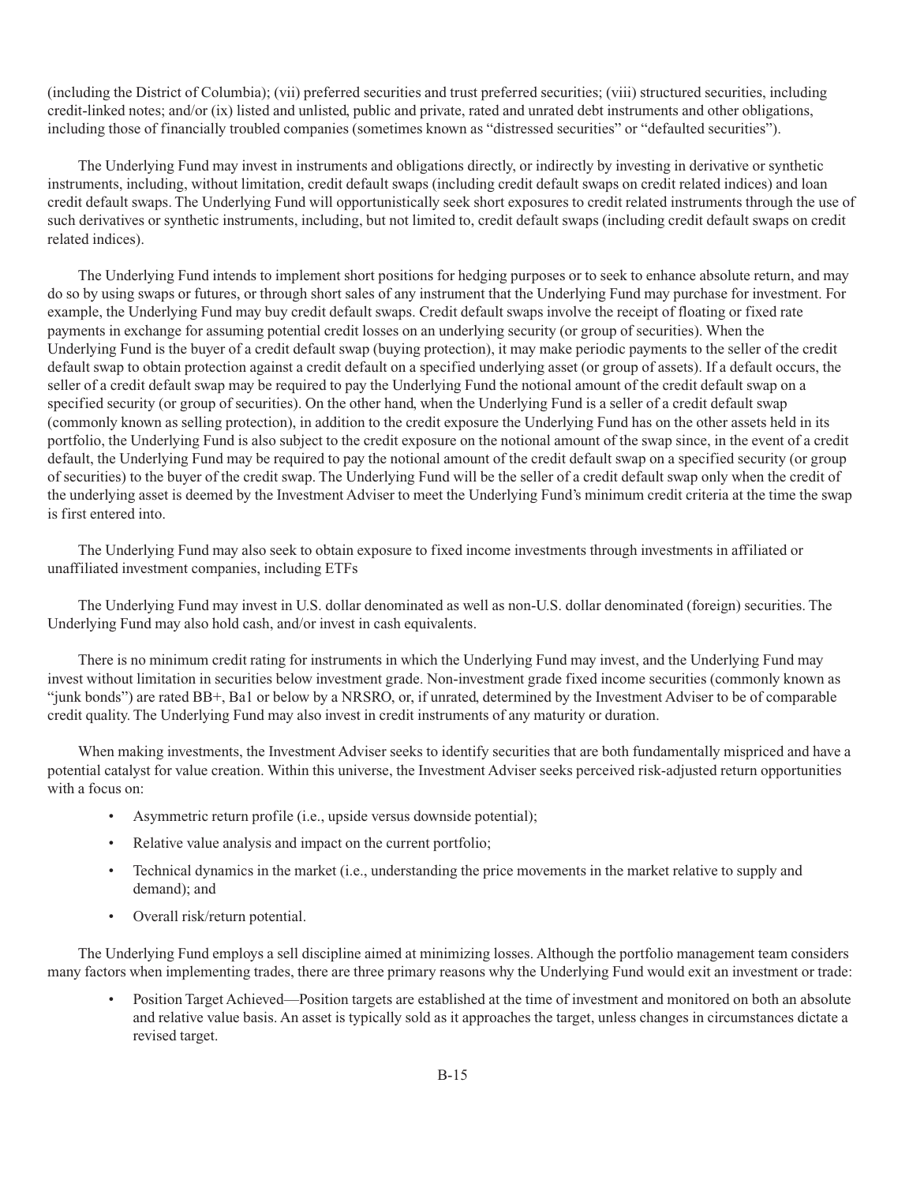(including the District of Columbia); (vii) preferred securities and trust preferred securities; (viii) structured securities, including credit-linked notes; and/or (ix) listed and unlisted, public and private, rated and unrated debt instruments and other obligations, including those of financially troubled companies (sometimes known as "distressed securities" or "defaulted securities").

The Underlying Fund may invest in instruments and obligations directly, or indirectly by investing in derivative or synthetic instruments, including, without limitation, credit default swaps (including credit default swaps on credit related indices) and loan credit default swaps. The Underlying Fund will opportunistically seek short exposures to credit related instruments through the use of such derivatives or synthetic instruments, including, but not limited to, credit default swaps (including credit default swaps on credit related indices).

The Underlying Fund intends to implement short positions for hedging purposes or to seek to enhance absolute return, and may do so by using swaps or futures, or through short sales of any instrument that the Underlying Fund may purchase for investment. For example, the Underlying Fund may buy credit default swaps. Credit default swaps involve the receipt of floating or fixed rate payments in exchange for assuming potential credit losses on an underlying security (or group of securities). When the Underlying Fund is the buyer of a credit default swap (buying protection), it may make periodic payments to the seller of the credit default swap to obtain protection against a credit default on a specified underlying asset (or group of assets). If a default occurs, the seller of a credit default swap may be required to pay the Underlying Fund the notional amount of the credit default swap on a specified security (or group of securities). On the other hand, when the Underlying Fund is a seller of a credit default swap (commonly known as selling protection), in addition to the credit exposure the Underlying Fund has on the other assets held in its portfolio, the Underlying Fund is also subject to the credit exposure on the notional amount of the swap since, in the event of a credit default, the Underlying Fund may be required to pay the notional amount of the credit default swap on a specified security (or group of securities) to the buyer of the credit swap. The Underlying Fund will be the seller of a credit default swap only when the credit of the underlying asset is deemed by the Investment Adviser to meet the Underlying Fund's minimum credit criteria at the time the swap is first entered into.

The Underlying Fund may also seek to obtain exposure to fixed income investments through investments in affiliated or unaffiliated investment companies, including ETFs

The Underlying Fund may invest in U.S. dollar denominated as well as non-U.S. dollar denominated (foreign) securities. The Underlying Fund may also hold cash, and/or invest in cash equivalents.

There is no minimum credit rating for instruments in which the Underlying Fund may invest, and the Underlying Fund may invest without limitation in securities below investment grade. Non-investment grade fixed income securities (commonly known as "junk bonds") are rated BB+, Ba1 or below by a NRSRO, or, if unrated, determined by the Investment Adviser to be of comparable credit quality. The Underlying Fund may also invest in credit instruments of any maturity or duration.

When making investments, the Investment Adviser seeks to identify securities that are both fundamentally mispriced and have a potential catalyst for value creation. Within this universe, the Investment Adviser seeks perceived risk-adjusted return opportunities with a focus on:

- Asymmetric return profile (i.e., upside versus downside potential);
- Relative value analysis and impact on the current portfolio;
- Technical dynamics in the market (i.e., understanding the price movements in the market relative to supply and demand); and
- Overall risk/return potential.

The Underlying Fund employs a sell discipline aimed at minimizing losses. Although the portfolio management team considers many factors when implementing trades, there are three primary reasons why the Underlying Fund would exit an investment or trade:

• Position Target Achieved—Position targets are established at the time of investment and monitored on both an absolute and relative value basis. An asset is typically sold as it approaches the target, unless changes in circumstances dictate a revised target.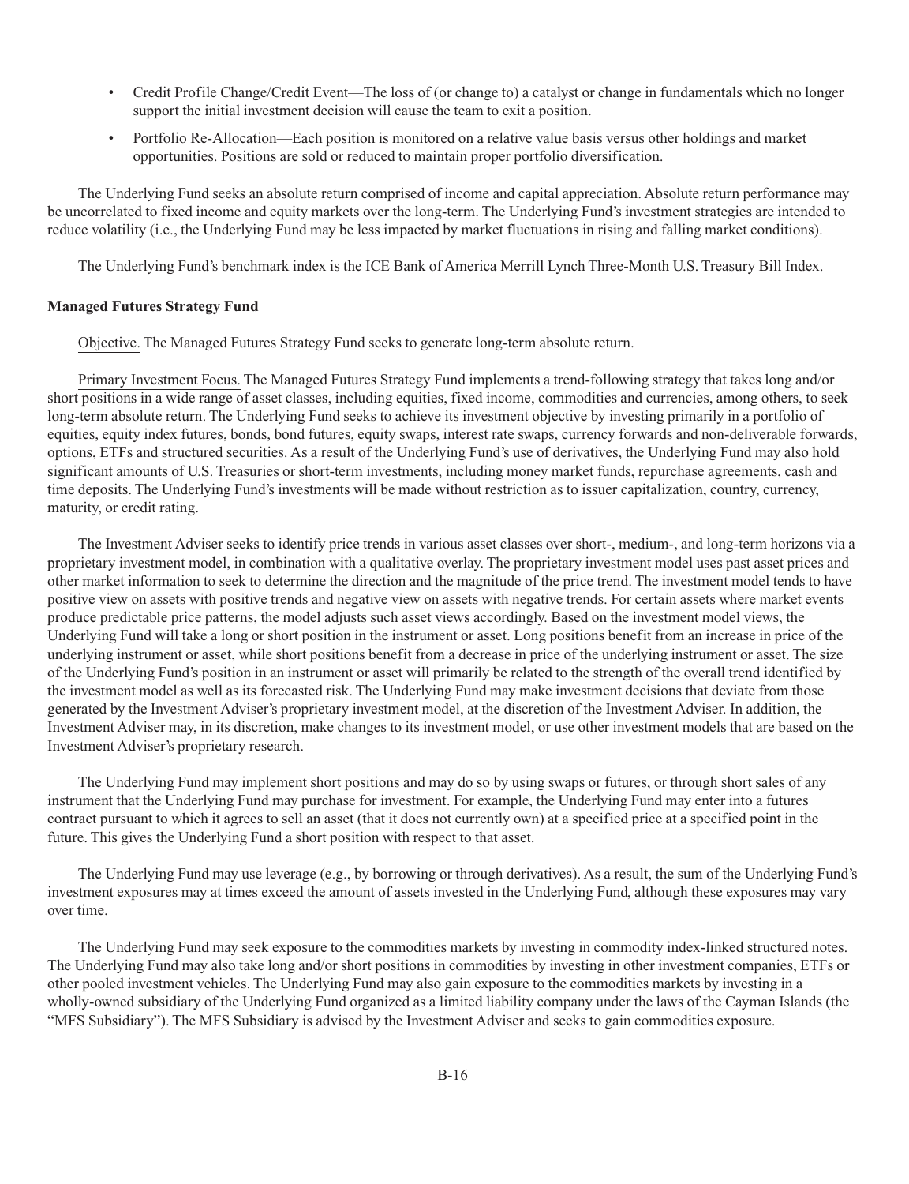- Credit Profile Change/Credit Event—The loss of (or change to) a catalyst or change in fundamentals which no longer support the initial investment decision will cause the team to exit a position.
- Portfolio Re-Allocation—Each position is monitored on a relative value basis versus other holdings and market opportunities. Positions are sold or reduced to maintain proper portfolio diversification.

The Underlying Fund seeks an absolute return comprised of income and capital appreciation. Absolute return performance may be uncorrelated to fixed income and equity markets over the long-term. The Underlying Fund's investment strategies are intended to reduce volatility (i.e., the Underlying Fund may be less impacted by market fluctuations in rising and falling market conditions).

The Underlying Fund's benchmark index is the ICE Bank of America Merrill Lynch Three-Month U.S. Treasury Bill Index.

### **Managed Futures Strategy Fund**

Objective. The Managed Futures Strategy Fund seeks to generate long-term absolute return.

Primary Investment Focus. The Managed Futures Strategy Fund implements a trend-following strategy that takes long and/or short positions in a wide range of asset classes, including equities, fixed income, commodities and currencies, among others, to seek long-term absolute return. The Underlying Fund seeks to achieve its investment objective by investing primarily in a portfolio of equities, equity index futures, bonds, bond futures, equity swaps, interest rate swaps, currency forwards and non-deliverable forwards, options, ETFs and structured securities. As a result of the Underlying Fund's use of derivatives, the Underlying Fund may also hold significant amounts of U.S. Treasuries or short-term investments, including money market funds, repurchase agreements, cash and time deposits. The Underlying Fund's investments will be made without restriction as to issuer capitalization, country, currency, maturity, or credit rating.

The Investment Adviser seeks to identify price trends in various asset classes over short-, medium-, and long-term horizons via a proprietary investment model, in combination with a qualitative overlay. The proprietary investment model uses past asset prices and other market information to seek to determine the direction and the magnitude of the price trend. The investment model tends to have positive view on assets with positive trends and negative view on assets with negative trends. For certain assets where market events produce predictable price patterns, the model adjusts such asset views accordingly. Based on the investment model views, the Underlying Fund will take a long or short position in the instrument or asset. Long positions benefit from an increase in price of the underlying instrument or asset, while short positions benefit from a decrease in price of the underlying instrument or asset. The size of the Underlying Fund's position in an instrument or asset will primarily be related to the strength of the overall trend identified by the investment model as well as its forecasted risk. The Underlying Fund may make investment decisions that deviate from those generated by the Investment Adviser's proprietary investment model, at the discretion of the Investment Adviser. In addition, the Investment Adviser may, in its discretion, make changes to its investment model, or use other investment models that are based on the Investment Adviser's proprietary research.

The Underlying Fund may implement short positions and may do so by using swaps or futures, or through short sales of any instrument that the Underlying Fund may purchase for investment. For example, the Underlying Fund may enter into a futures contract pursuant to which it agrees to sell an asset (that it does not currently own) at a specified price at a specified point in the future. This gives the Underlying Fund a short position with respect to that asset.

The Underlying Fund may use leverage (e.g., by borrowing or through derivatives). As a result, the sum of the Underlying Fund's investment exposures may at times exceed the amount of assets invested in the Underlying Fund, although these exposures may vary over time.

The Underlying Fund may seek exposure to the commodities markets by investing in commodity index-linked structured notes. The Underlying Fund may also take long and/or short positions in commodities by investing in other investment companies, ETFs or other pooled investment vehicles. The Underlying Fund may also gain exposure to the commodities markets by investing in a wholly-owned subsidiary of the Underlying Fund organized as a limited liability company under the laws of the Cayman Islands (the "MFS Subsidiary"). The MFS Subsidiary is advised by the Investment Adviser and seeks to gain commodities exposure.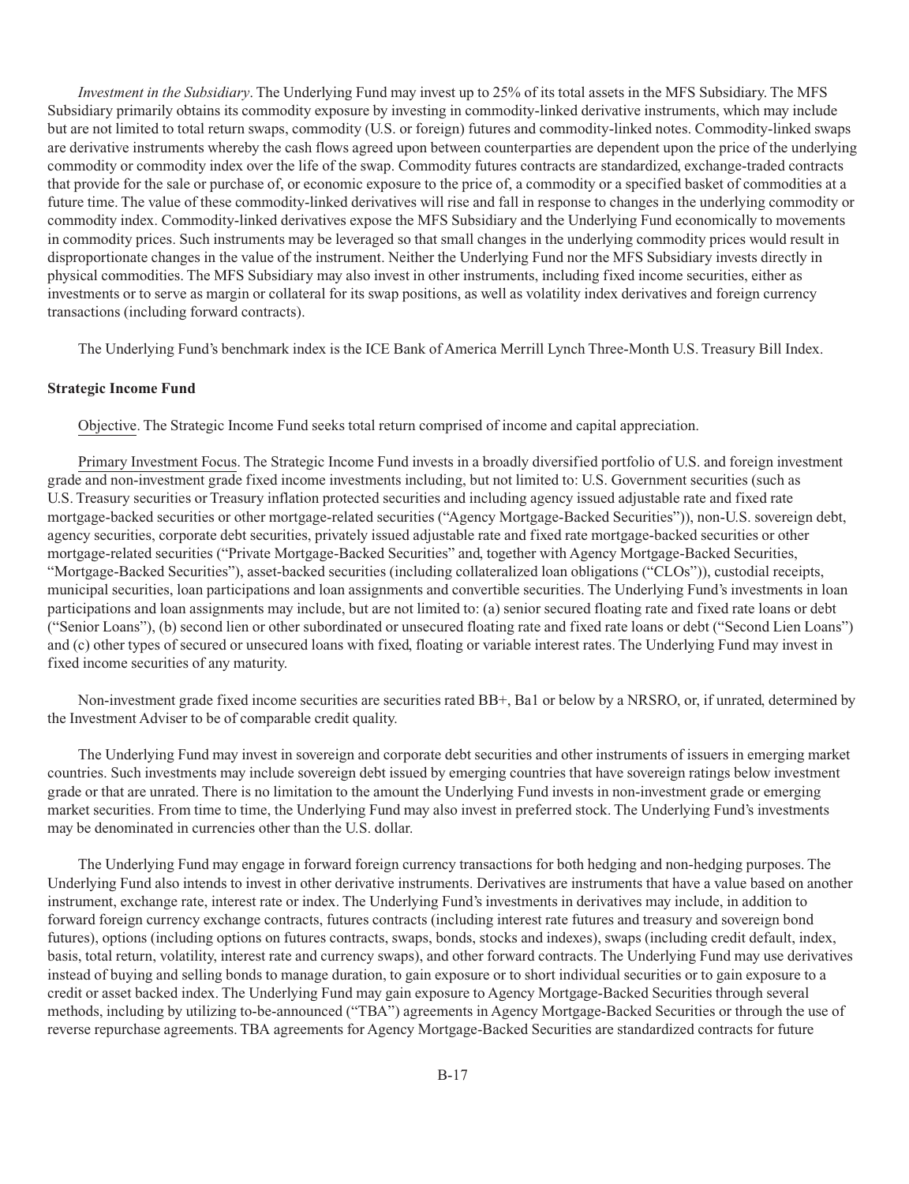*Investment in the Subsidiary*. The Underlying Fund may invest up to 25% of its total assets in the MFS Subsidiary. The MFS Subsidiary primarily obtains its commodity exposure by investing in commodity-linked derivative instruments, which may include but are not limited to total return swaps, commodity (U.S. or foreign) futures and commodity-linked notes. Commodity-linked swaps are derivative instruments whereby the cash flows agreed upon between counterparties are dependent upon the price of the underlying commodity or commodity index over the life of the swap. Commodity futures contracts are standardized, exchange-traded contracts that provide for the sale or purchase of, or economic exposure to the price of, a commodity or a specified basket of commodities at a future time. The value of these commodity-linked derivatives will rise and fall in response to changes in the underlying commodity or commodity index. Commodity-linked derivatives expose the MFS Subsidiary and the Underlying Fund economically to movements in commodity prices. Such instruments may be leveraged so that small changes in the underlying commodity prices would result in disproportionate changes in the value of the instrument. Neither the Underlying Fund nor the MFS Subsidiary invests directly in physical commodities. The MFS Subsidiary may also invest in other instruments, including fixed income securities, either as investments or to serve as margin or collateral for its swap positions, as well as volatility index derivatives and foreign currency transactions (including forward contracts).

The Underlying Fund's benchmark index is the ICE Bank of America Merrill Lynch Three-Month U.S. Treasury Bill Index.

## **Strategic Income Fund**

Objective. The Strategic Income Fund seeks total return comprised of income and capital appreciation.

Primary Investment Focus. The Strategic Income Fund invests in a broadly diversified portfolio of U.S. and foreign investment grade and non-investment grade fixed income investments including, but not limited to: U.S. Government securities (such as U.S. Treasury securities or Treasury inflation protected securities and including agency issued adjustable rate and fixed rate mortgage-backed securities or other mortgage-related securities ("Agency Mortgage-Backed Securities")), non-U.S. sovereign debt, agency securities, corporate debt securities, privately issued adjustable rate and fixed rate mortgage-backed securities or other mortgage-related securities ("Private Mortgage-Backed Securities" and, together with Agency Mortgage-Backed Securities, "Mortgage-Backed Securities"), asset-backed securities (including collateralized loan obligations ("CLOs")), custodial receipts, municipal securities, loan participations and loan assignments and convertible securities. The Underlying Fund's investments in loan participations and loan assignments may include, but are not limited to: (a) senior secured floating rate and fixed rate loans or debt ("Senior Loans"), (b) second lien or other subordinated or unsecured floating rate and fixed rate loans or debt ("Second Lien Loans") and (c) other types of secured or unsecured loans with fixed, floating or variable interest rates. The Underlying Fund may invest in fixed income securities of any maturity.

Non-investment grade fixed income securities are securities rated BB+, Ba1 or below by a NRSRO, or, if unrated, determined by the Investment Adviser to be of comparable credit quality.

The Underlying Fund may invest in sovereign and corporate debt securities and other instruments of issuers in emerging market countries. Such investments may include sovereign debt issued by emerging countries that have sovereign ratings below investment grade or that are unrated. There is no limitation to the amount the Underlying Fund invests in non-investment grade or emerging market securities. From time to time, the Underlying Fund may also invest in preferred stock. The Underlying Fund's investments may be denominated in currencies other than the U.S. dollar.

The Underlying Fund may engage in forward foreign currency transactions for both hedging and non-hedging purposes. The Underlying Fund also intends to invest in other derivative instruments. Derivatives are instruments that have a value based on another instrument, exchange rate, interest rate or index. The Underlying Fund's investments in derivatives may include, in addition to forward foreign currency exchange contracts, futures contracts (including interest rate futures and treasury and sovereign bond futures), options (including options on futures contracts, swaps, bonds, stocks and indexes), swaps (including credit default, index, basis, total return, volatility, interest rate and currency swaps), and other forward contracts. The Underlying Fund may use derivatives instead of buying and selling bonds to manage duration, to gain exposure or to short individual securities or to gain exposure to a credit or asset backed index. The Underlying Fund may gain exposure to Agency Mortgage-Backed Securities through several methods, including by utilizing to-be-announced ("TBA") agreements in Agency Mortgage-Backed Securities or through the use of reverse repurchase agreements. TBA agreements for Agency Mortgage-Backed Securities are standardized contracts for future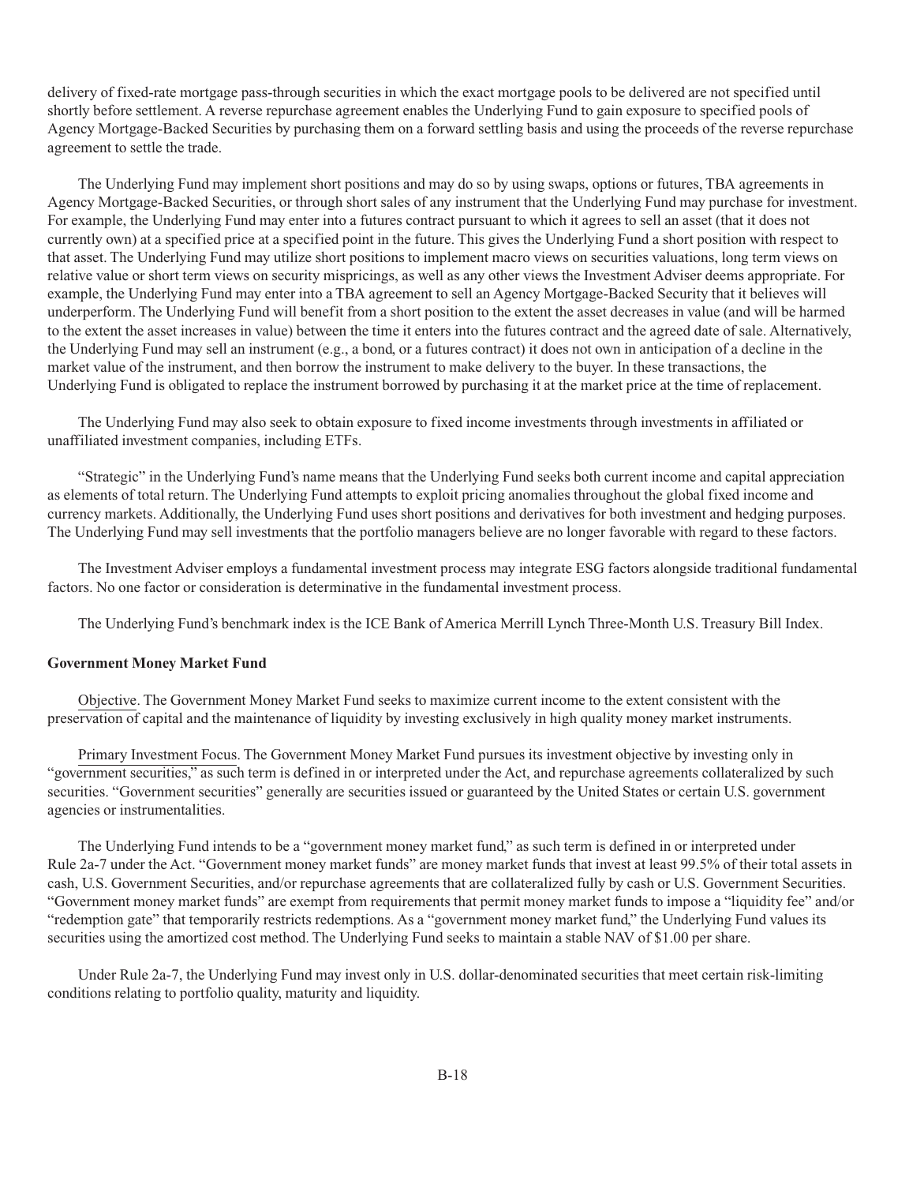delivery of fixed-rate mortgage pass-through securities in which the exact mortgage pools to be delivered are not specified until shortly before settlement. A reverse repurchase agreement enables the Underlying Fund to gain exposure to specified pools of Agency Mortgage-Backed Securities by purchasing them on a forward settling basis and using the proceeds of the reverse repurchase agreement to settle the trade.

The Underlying Fund may implement short positions and may do so by using swaps, options or futures, TBA agreements in Agency Mortgage-Backed Securities, or through short sales of any instrument that the Underlying Fund may purchase for investment. For example, the Underlying Fund may enter into a futures contract pursuant to which it agrees to sell an asset (that it does not currently own) at a specified price at a specified point in the future. This gives the Underlying Fund a short position with respect to that asset. The Underlying Fund may utilize short positions to implement macro views on securities valuations, long term views on relative value or short term views on security mispricings, as well as any other views the Investment Adviser deems appropriate. For example, the Underlying Fund may enter into a TBA agreement to sell an Agency Mortgage-Backed Security that it believes will underperform. The Underlying Fund will benefit from a short position to the extent the asset decreases in value (and will be harmed to the extent the asset increases in value) between the time it enters into the futures contract and the agreed date of sale. Alternatively, the Underlying Fund may sell an instrument (e.g., a bond, or a futures contract) it does not own in anticipation of a decline in the market value of the instrument, and then borrow the instrument to make delivery to the buyer. In these transactions, the Underlying Fund is obligated to replace the instrument borrowed by purchasing it at the market price at the time of replacement.

The Underlying Fund may also seek to obtain exposure to fixed income investments through investments in affiliated or unaffiliated investment companies, including ETFs.

"Strategic" in the Underlying Fund's name means that the Underlying Fund seeks both current income and capital appreciation as elements of total return. The Underlying Fund attempts to exploit pricing anomalies throughout the global fixed income and currency markets. Additionally, the Underlying Fund uses short positions and derivatives for both investment and hedging purposes. The Underlying Fund may sell investments that the portfolio managers believe are no longer favorable with regard to these factors.

The Investment Adviser employs a fundamental investment process may integrate ESG factors alongside traditional fundamental factors. No one factor or consideration is determinative in the fundamental investment process.

The Underlying Fund's benchmark index is the ICE Bank of America Merrill Lynch Three-Month U.S. Treasury Bill Index.

#### **Government Money Market Fund**

Objective. The Government Money Market Fund seeks to maximize current income to the extent consistent with the preservation of capital and the maintenance of liquidity by investing exclusively in high quality money market instruments.

Primary Investment Focus. The Government Money Market Fund pursues its investment objective by investing only in "government securities," as such term is defined in or interpreted under the Act, and repurchase agreements collateralized by such securities. "Government securities" generally are securities issued or guaranteed by the United States or certain U.S. government agencies or instrumentalities.

The Underlying Fund intends to be a "government money market fund," as such term is defined in or interpreted under Rule 2a-7 under the Act. "Government money market funds" are money market funds that invest at least 99.5% of their total assets in cash, U.S. Government Securities, and/or repurchase agreements that are collateralized fully by cash or U.S. Government Securities. "Government money market funds" are exempt from requirements that permit money market funds to impose a "liquidity fee" and/or "redemption gate" that temporarily restricts redemptions. As a "government money market fund," the Underlying Fund values its securities using the amortized cost method. The Underlying Fund seeks to maintain a stable NAV of \$1.00 per share.

Under Rule 2a-7, the Underlying Fund may invest only in U.S. dollar-denominated securities that meet certain risk-limiting conditions relating to portfolio quality, maturity and liquidity.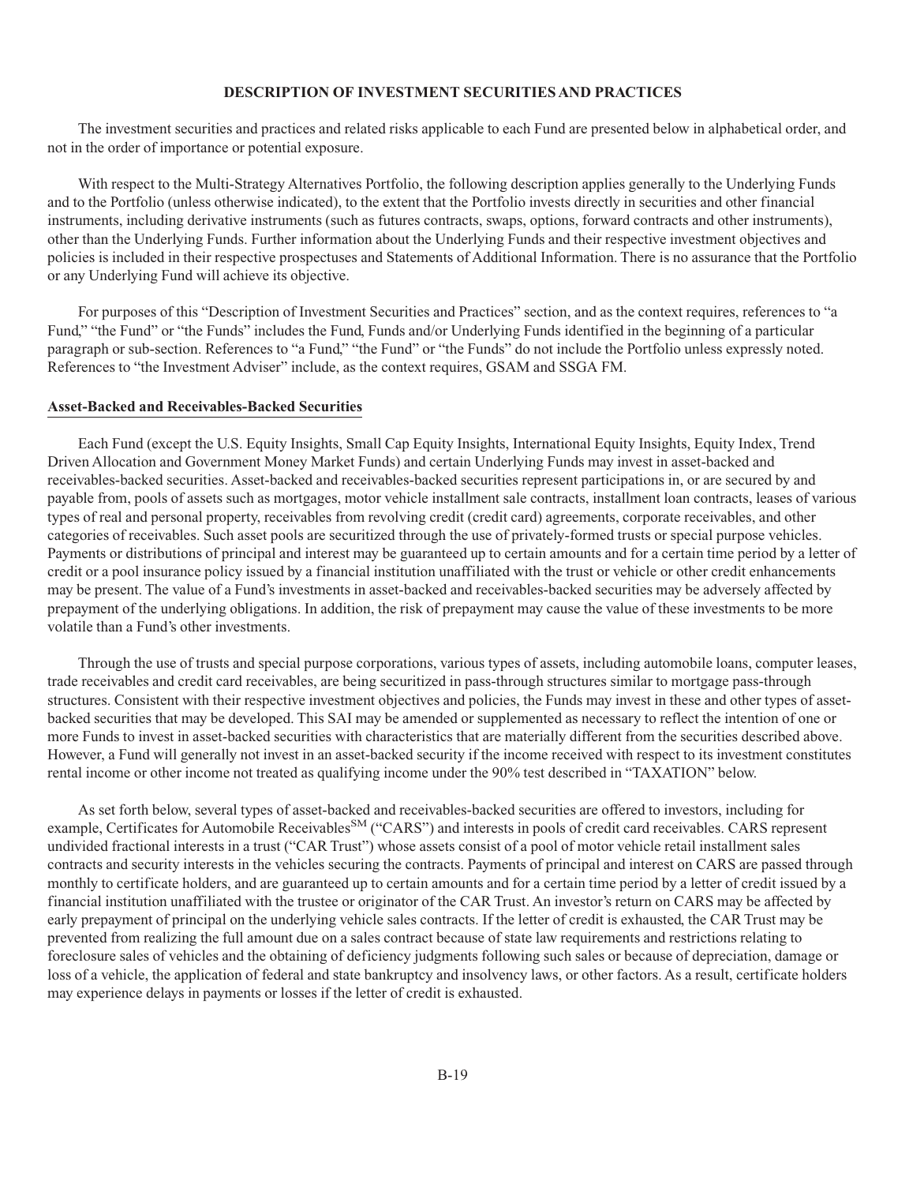## **DESCRIPTION OF INVESTMENT SECURITIES AND PRACTICES**

<span id="page-20-0"></span>The investment securities and practices and related risks applicable to each Fund are presented below in alphabetical order, and not in the order of importance or potential exposure.

With respect to the Multi-Strategy Alternatives Portfolio, the following description applies generally to the Underlying Funds and to the Portfolio (unless otherwise indicated), to the extent that the Portfolio invests directly in securities and other financial instruments, including derivative instruments (such as futures contracts, swaps, options, forward contracts and other instruments), other than the Underlying Funds. Further information about the Underlying Funds and their respective investment objectives and policies is included in their respective prospectuses and Statements of Additional Information. There is no assurance that the Portfolio or any Underlying Fund will achieve its objective.

For purposes of this "Description of Investment Securities and Practices" section, and as the context requires, references to "a Fund," "the Fund" or "the Funds" includes the Fund, Funds and/or Underlying Funds identified in the beginning of a particular paragraph or sub-section. References to "a Fund," "the Fund" or "the Funds" do not include the Portfolio unless expressly noted. References to "the Investment Adviser" include, as the context requires, GSAM and SSGA FM.

#### **Asset-Backed and Receivables-Backed Securities**

Each Fund (except the U.S. Equity Insights, Small Cap Equity Insights, International Equity Insights, Equity Index, Trend Driven Allocation and Government Money Market Funds) and certain Underlying Funds may invest in asset-backed and receivables-backed securities. Asset-backed and receivables-backed securities represent participations in, or are secured by and payable from, pools of assets such as mortgages, motor vehicle installment sale contracts, installment loan contracts, leases of various types of real and personal property, receivables from revolving credit (credit card) agreements, corporate receivables, and other categories of receivables. Such asset pools are securitized through the use of privately-formed trusts or special purpose vehicles. Payments or distributions of principal and interest may be guaranteed up to certain amounts and for a certain time period by a letter of credit or a pool insurance policy issued by a financial institution unaffiliated with the trust or vehicle or other credit enhancements may be present. The value of a Fund's investments in asset-backed and receivables-backed securities may be adversely affected by prepayment of the underlying obligations. In addition, the risk of prepayment may cause the value of these investments to be more volatile than a Fund's other investments.

Through the use of trusts and special purpose corporations, various types of assets, including automobile loans, computer leases, trade receivables and credit card receivables, are being securitized in pass-through structures similar to mortgage pass-through structures. Consistent with their respective investment objectives and policies, the Funds may invest in these and other types of assetbacked securities that may be developed. This SAI may be amended or supplemented as necessary to reflect the intention of one or more Funds to invest in asset-backed securities with characteristics that are materially different from the securities described above. However, a Fund will generally not invest in an asset-backed security if the income received with respect to its investment constitutes rental income or other income not treated as qualifying income under the 90% test described in "TAXATION" below.

As set forth below, several types of asset-backed and receivables-backed securities are offered to investors, including for example, Certificates for Automobile Receivables<sup>SM</sup> ("CARS") and interests in pools of credit card receivables. CARS represent undivided fractional interests in a trust ("CAR Trust") whose assets consist of a pool of motor vehicle retail installment sales contracts and security interests in the vehicles securing the contracts. Payments of principal and interest on CARS are passed through monthly to certificate holders, and are guaranteed up to certain amounts and for a certain time period by a letter of credit issued by a financial institution unaffiliated with the trustee or originator of the CAR Trust. An investor's return on CARS may be affected by early prepayment of principal on the underlying vehicle sales contracts. If the letter of credit is exhausted, the CAR Trust may be prevented from realizing the full amount due on a sales contract because of state law requirements and restrictions relating to foreclosure sales of vehicles and the obtaining of deficiency judgments following such sales or because of depreciation, damage or loss of a vehicle, the application of federal and state bankruptcy and insolvency laws, or other factors. As a result, certificate holders may experience delays in payments or losses if the letter of credit is exhausted.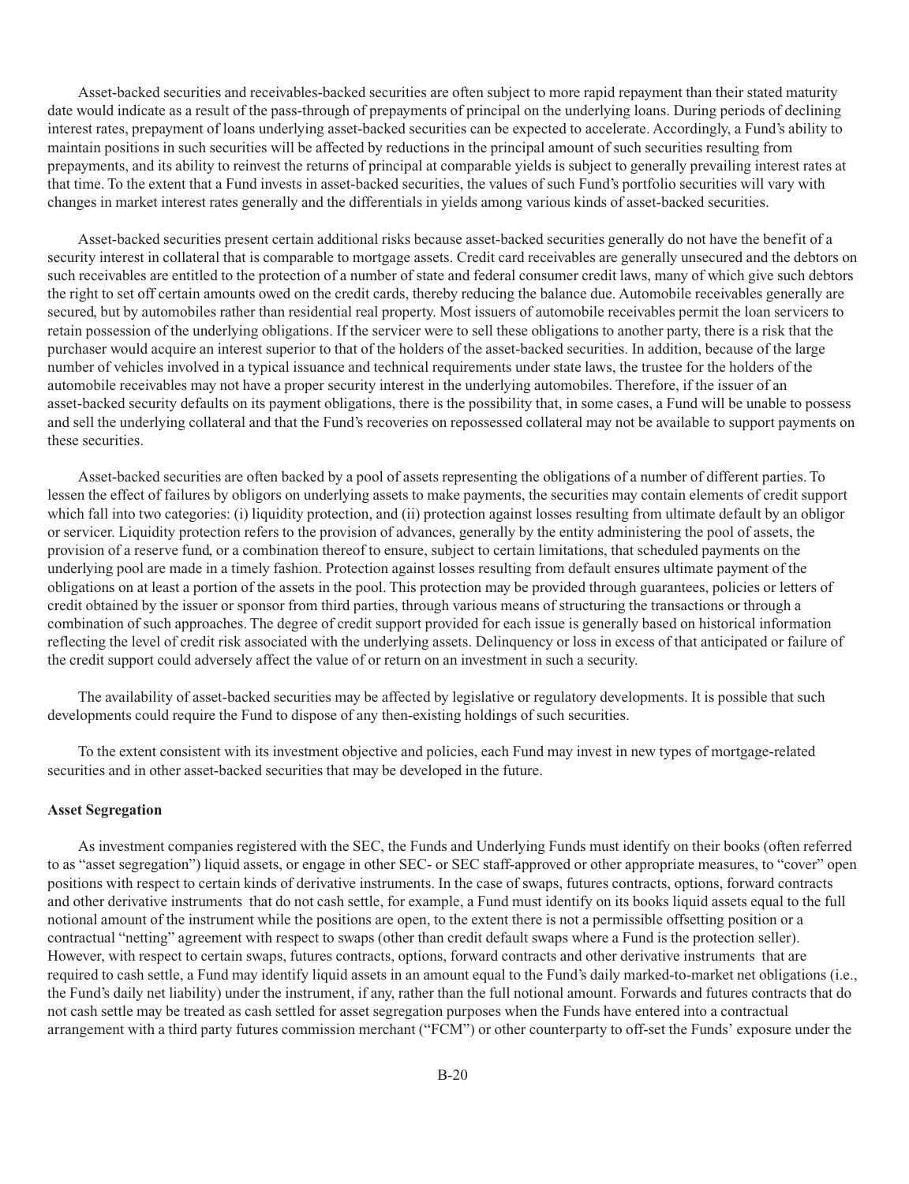Asset-backed securities and receivables-backed securities are often subject to more rapid repayment than their stated maturity date would indicate as a result of the pass-through of prepayments of principal on the underlying loans. During periods of declining interest rates, prepayment of loans underlying asset-backed securities can be expected to accelerate. Accordingly, a Fund's ability to maintain positions in such securities will be affected by reductions in the principal amount of such securities resulting from prepayments, and its ability to reinvest the returns of principal at comparable yields is subject to generally prevailing interest rates at that time. To the extent that a Fund invests in asset-backed securities, the values of such Fund's portfolio securities will vary with changes in market interest rates generally and the differentials in yields among various kinds of asset-backed securities.

Asset-backed securities present certain additional risks because asset-backed securities generally do not have the benefit of a security interest in collateral that is comparable to mortgage assets. Credit card receivables are generally unsecured and the debtors on such receivables are entitled to the protection of a number of state and federal consumer credit laws, many of which give such debtors the right to set off certain amounts owed on the credit cards, thereby reducing the balance due. Automobile receivables generally are secured, but by automobiles rather than residential real property. Most issuers of automobile receivables permit the loan servicers to retain possession of the underlying obligations. If the servicer were to sell these obligations to another party, there is a risk that the purchaser would acquire an interest superior to that of the holders of the asset-backed securities. In addition, because of the large number of vehicles involved in a typical issuance and technical requirements under state laws, the trustee for the holders of the automobile receivables may not have a proper security interest in the underlying automobiles. Therefore, if the issuer of an asset-backed security defaults on its payment obligations, there is the possibility that, in some cases, a Fund will be unable to possess and sell the underlying collateral and that the Fund's recoveries on repossessed collateral may not be available to support payments on these securities.

Asset-backed securities are often backed by a pool of assets representing the obligations of a number of different parties. To lessen the effect of failures by obligors on underlying assets to make payments, the securities may contain elements of credit support which fall into two categories: (i) liquidity protection, and (ii) protection against losses resulting from ultimate default by an obligor or servicer. Liquidity protection refers to the provision of advances, generally by the entity administering the pool of assets, the provision of a reserve fund, or a combination thereof to ensure, subject to certain limitations, that scheduled payments on the underlying pool are made in a timely fashion. Protection against losses resulting from default ensures ultimate payment of the obligations on at least a portion of the assets in the pool. This protection may be provided through guarantees, policies or letters of credit obtained by the issuer or sponsor from third parties, through various means of structuring the transactions or through a combination of such approaches. The degree of credit support provided for each issue is generally based on historical information reflecting the level of credit risk associated with the underlying assets. Delinquency or loss in excess of that anticipated or failure of the credit support could adversely affect the value of or return on an investment in such a security.

The availability of asset-backed securities may be affected by legislative or regulatory developments. It is possible that such developments could require the Fund to dispose of any then-existing holdings of such securities.

To the extent consistent with its investment objective and policies, each Fund may invest in new types of mortgage-related securities and in other asset-backed securities that may be developed in the future.

### **Asset Segregation**

As investment companies registered with the SEC, the Funds and Underlying Funds must identify on their books (often referred to as "asset segregation") liquid assets, or engage in other SEC- or SEC staff-approved or other appropriate measures, to "cover" open positions with respect to certain kinds of derivative instruments. In the case of swaps, futures contracts, options, forward contracts and other derivative instruments that do not cash settle, for example, a Fund must identify on its books liquid assets equal to the full notional amount of the instrument while the positions are open, to the extent there is not a permissible offsetting position or a contractual "netting" agreement with respect to swaps (other than credit default swaps where a Fund is the protection seller). However, with respect to certain swaps, futures contracts, options, forward contracts and other derivative instruments that are required to cash settle, a Fund may identify liquid assets in an amount equal to the Fund's daily marked-to-market net obligations (i.e., the Fund's daily net liability) under the instrument, if any, rather than the full notional amount. Forwards and futures contracts that do not cash settle may be treated as cash settled for asset segregation purposes when the Funds have entered into a contractual arrangement with a third party futures commission merchant ("FCM") or other counterparty to off-set the Funds' exposure under the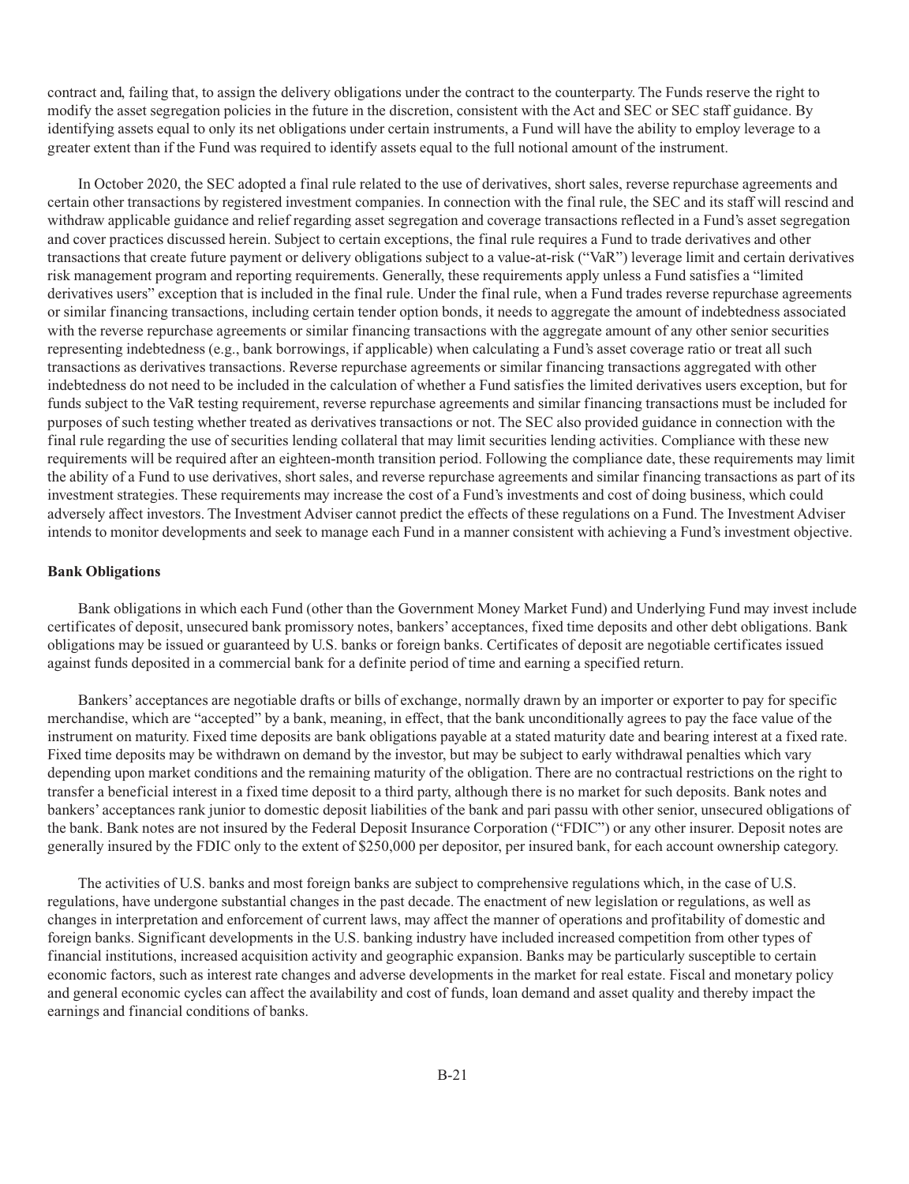contract and, failing that, to assign the delivery obligations under the contract to the counterparty. The Funds reserve the right to modify the asset segregation policies in the future in the discretion, consistent with the Act and SEC or SEC staff guidance. By identifying assets equal to only its net obligations under certain instruments, a Fund will have the ability to employ leverage to a greater extent than if the Fund was required to identify assets equal to the full notional amount of the instrument.

In October 2020, the SEC adopted a final rule related to the use of derivatives, short sales, reverse repurchase agreements and certain other transactions by registered investment companies. In connection with the final rule, the SEC and its staff will rescind and withdraw applicable guidance and relief regarding asset segregation and coverage transactions reflected in a Fund's asset segregation and cover practices discussed herein. Subject to certain exceptions, the final rule requires a Fund to trade derivatives and other transactions that create future payment or delivery obligations subject to a value-at-risk ("VaR") leverage limit and certain derivatives risk management program and reporting requirements. Generally, these requirements apply unless a Fund satisfies a "limited derivatives users" exception that is included in the final rule. Under the final rule, when a Fund trades reverse repurchase agreements or similar financing transactions, including certain tender option bonds, it needs to aggregate the amount of indebtedness associated with the reverse repurchase agreements or similar financing transactions with the aggregate amount of any other senior securities representing indebtedness (e.g., bank borrowings, if applicable) when calculating a Fund's asset coverage ratio or treat all such transactions as derivatives transactions. Reverse repurchase agreements or similar financing transactions aggregated with other indebtedness do not need to be included in the calculation of whether a Fund satisfies the limited derivatives users exception, but for funds subject to the VaR testing requirement, reverse repurchase agreements and similar financing transactions must be included for purposes of such testing whether treated as derivatives transactions or not. The SEC also provided guidance in connection with the final rule regarding the use of securities lending collateral that may limit securities lending activities. Compliance with these new requirements will be required after an eighteen-month transition period. Following the compliance date, these requirements may limit the ability of a Fund to use derivatives, short sales, and reverse repurchase agreements and similar financing transactions as part of its investment strategies. These requirements may increase the cost of a Fund's investments and cost of doing business, which could adversely affect investors. The Investment Adviser cannot predict the effects of these regulations on a Fund. The Investment Adviser intends to monitor developments and seek to manage each Fund in a manner consistent with achieving a Fund's investment objective.

### **Bank Obligations**

Bank obligations in which each Fund (other than the Government Money Market Fund) and Underlying Fund may invest include certificates of deposit, unsecured bank promissory notes, bankers' acceptances, fixed time deposits and other debt obligations. Bank obligations may be issued or guaranteed by U.S. banks or foreign banks. Certificates of deposit are negotiable certificates issued against funds deposited in a commercial bank for a definite period of time and earning a specified return.

Bankers' acceptances are negotiable drafts or bills of exchange, normally drawn by an importer or exporter to pay for specific merchandise, which are "accepted" by a bank, meaning, in effect, that the bank unconditionally agrees to pay the face value of the instrument on maturity. Fixed time deposits are bank obligations payable at a stated maturity date and bearing interest at a fixed rate. Fixed time deposits may be withdrawn on demand by the investor, but may be subject to early withdrawal penalties which vary depending upon market conditions and the remaining maturity of the obligation. There are no contractual restrictions on the right to transfer a beneficial interest in a fixed time deposit to a third party, although there is no market for such deposits. Bank notes and bankers' acceptances rank junior to domestic deposit liabilities of the bank and pari passu with other senior, unsecured obligations of the bank. Bank notes are not insured by the Federal Deposit Insurance Corporation ("FDIC") or any other insurer. Deposit notes are generally insured by the FDIC only to the extent of \$250,000 per depositor, per insured bank, for each account ownership category.

The activities of U.S. banks and most foreign banks are subject to comprehensive regulations which, in the case of U.S. regulations, have undergone substantial changes in the past decade. The enactment of new legislation or regulations, as well as changes in interpretation and enforcement of current laws, may affect the manner of operations and profitability of domestic and foreign banks. Significant developments in the U.S. banking industry have included increased competition from other types of financial institutions, increased acquisition activity and geographic expansion. Banks may be particularly susceptible to certain economic factors, such as interest rate changes and adverse developments in the market for real estate. Fiscal and monetary policy and general economic cycles can affect the availability and cost of funds, loan demand and asset quality and thereby impact the earnings and financial conditions of banks.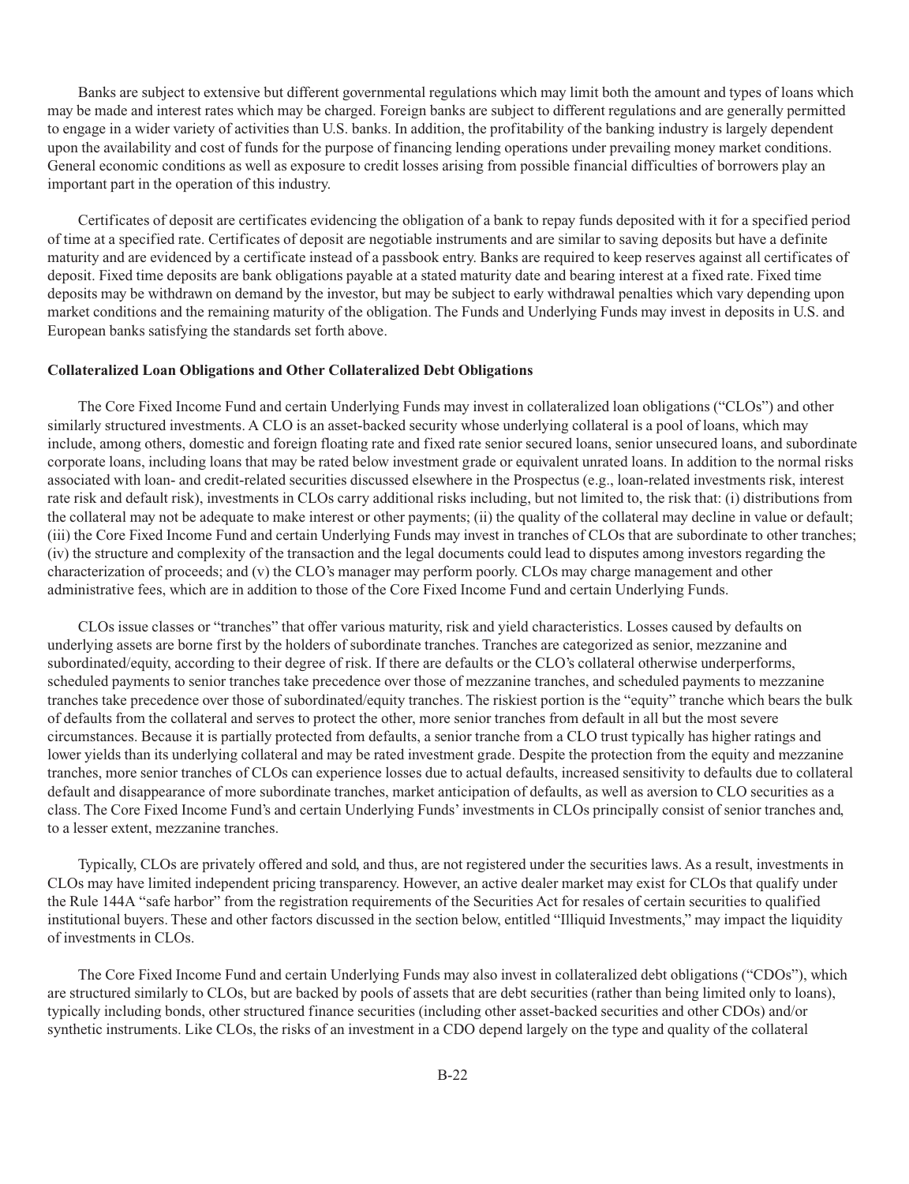Banks are subject to extensive but different governmental regulations which may limit both the amount and types of loans which may be made and interest rates which may be charged. Foreign banks are subject to different regulations and are generally permitted to engage in a wider variety of activities than U.S. banks. In addition, the profitability of the banking industry is largely dependent upon the availability and cost of funds for the purpose of financing lending operations under prevailing money market conditions. General economic conditions as well as exposure to credit losses arising from possible financial difficulties of borrowers play an important part in the operation of this industry.

Certificates of deposit are certificates evidencing the obligation of a bank to repay funds deposited with it for a specified period of time at a specified rate. Certificates of deposit are negotiable instruments and are similar to saving deposits but have a definite maturity and are evidenced by a certificate instead of a passbook entry. Banks are required to keep reserves against all certificates of deposit. Fixed time deposits are bank obligations payable at a stated maturity date and bearing interest at a fixed rate. Fixed time deposits may be withdrawn on demand by the investor, but may be subject to early withdrawal penalties which vary depending upon market conditions and the remaining maturity of the obligation. The Funds and Underlying Funds may invest in deposits in U.S. and European banks satisfying the standards set forth above.

#### **Collateralized Loan Obligations and Other Collateralized Debt Obligations**

The Core Fixed Income Fund and certain Underlying Funds may invest in collateralized loan obligations ("CLOs") and other similarly structured investments. A CLO is an asset-backed security whose underlying collateral is a pool of loans, which may include, among others, domestic and foreign floating rate and fixed rate senior secured loans, senior unsecured loans, and subordinate corporate loans, including loans that may be rated below investment grade or equivalent unrated loans. In addition to the normal risks associated with loan- and credit-related securities discussed elsewhere in the Prospectus (e.g., loan-related investments risk, interest rate risk and default risk), investments in CLOs carry additional risks including, but not limited to, the risk that: (i) distributions from the collateral may not be adequate to make interest or other payments; (ii) the quality of the collateral may decline in value or default; (iii) the Core Fixed Income Fund and certain Underlying Funds may invest in tranches of CLOs that are subordinate to other tranches; (iv) the structure and complexity of the transaction and the legal documents could lead to disputes among investors regarding the characterization of proceeds; and (v) the CLO's manager may perform poorly. CLOs may charge management and other administrative fees, which are in addition to those of the Core Fixed Income Fund and certain Underlying Funds.

CLOs issue classes or "tranches" that offer various maturity, risk and yield characteristics. Losses caused by defaults on underlying assets are borne first by the holders of subordinate tranches. Tranches are categorized as senior, mezzanine and subordinated/equity, according to their degree of risk. If there are defaults or the CLO's collateral otherwise underperforms, scheduled payments to senior tranches take precedence over those of mezzanine tranches, and scheduled payments to mezzanine tranches take precedence over those of subordinated/equity tranches. The riskiest portion is the "equity" tranche which bears the bulk of defaults from the collateral and serves to protect the other, more senior tranches from default in all but the most severe circumstances. Because it is partially protected from defaults, a senior tranche from a CLO trust typically has higher ratings and lower yields than its underlying collateral and may be rated investment grade. Despite the protection from the equity and mezzanine tranches, more senior tranches of CLOs can experience losses due to actual defaults, increased sensitivity to defaults due to collateral default and disappearance of more subordinate tranches, market anticipation of defaults, as well as aversion to CLO securities as a class. The Core Fixed Income Fund's and certain Underlying Funds' investments in CLOs principally consist of senior tranches and, to a lesser extent, mezzanine tranches.

Typically, CLOs are privately offered and sold, and thus, are not registered under the securities laws. As a result, investments in CLOs may have limited independent pricing transparency. However, an active dealer market may exist for CLOs that qualify under the Rule 144A "safe harbor" from the registration requirements of the Securities Act for resales of certain securities to qualified institutional buyers. These and other factors discussed in the section below, entitled "Illiquid Investments," may impact the liquidity of investments in CLOs.

The Core Fixed Income Fund and certain Underlying Funds may also invest in collateralized debt obligations ("CDOs"), which are structured similarly to CLOs, but are backed by pools of assets that are debt securities (rather than being limited only to loans), typically including bonds, other structured finance securities (including other asset-backed securities and other CDOs) and/or synthetic instruments. Like CLOs, the risks of an investment in a CDO depend largely on the type and quality of the collateral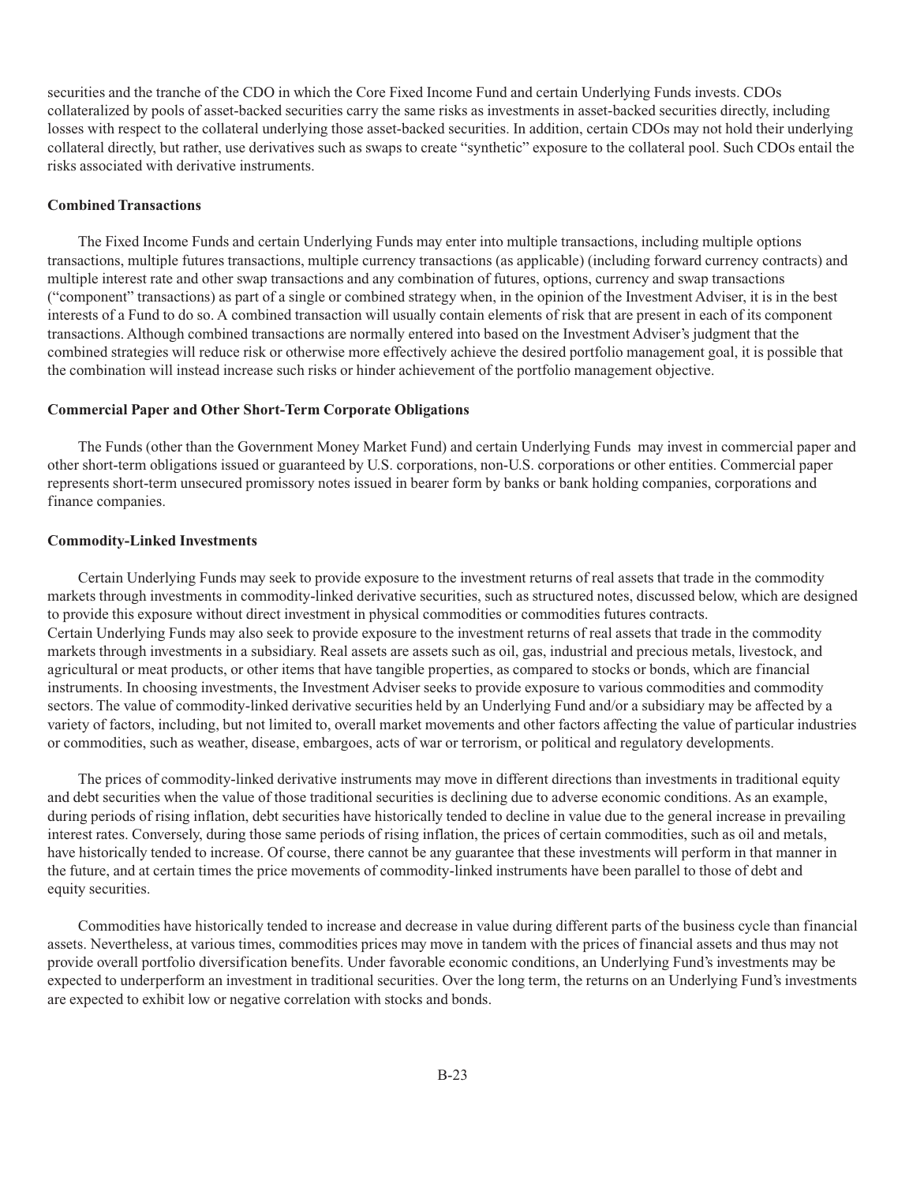securities and the tranche of the CDO in which the Core Fixed Income Fund and certain Underlying Funds invests. CDOs collateralized by pools of asset-backed securities carry the same risks as investments in asset-backed securities directly, including losses with respect to the collateral underlying those asset-backed securities. In addition, certain CDOs may not hold their underlying collateral directly, but rather, use derivatives such as swaps to create "synthetic" exposure to the collateral pool. Such CDOs entail the risks associated with derivative instruments.

## **Combined Transactions**

The Fixed Income Funds and certain Underlying Funds may enter into multiple transactions, including multiple options transactions, multiple futures transactions, multiple currency transactions (as applicable) (including forward currency contracts) and multiple interest rate and other swap transactions and any combination of futures, options, currency and swap transactions ("component" transactions) as part of a single or combined strategy when, in the opinion of the Investment Adviser, it is in the best interests of a Fund to do so. A combined transaction will usually contain elements of risk that are present in each of its component transactions. Although combined transactions are normally entered into based on the Investment Adviser's judgment that the combined strategies will reduce risk or otherwise more effectively achieve the desired portfolio management goal, it is possible that the combination will instead increase such risks or hinder achievement of the portfolio management objective.

### **Commercial Paper and Other Short-Term Corporate Obligations**

The Funds (other than the Government Money Market Fund) and certain Underlying Funds may invest in commercial paper and other short-term obligations issued or guaranteed by U.S. corporations, non-U.S. corporations or other entities. Commercial paper represents short-term unsecured promissory notes issued in bearer form by banks or bank holding companies, corporations and finance companies.

### **Commodity-Linked Investments**

Certain Underlying Funds may seek to provide exposure to the investment returns of real assets that trade in the commodity markets through investments in commodity-linked derivative securities, such as structured notes, discussed below, which are designed to provide this exposure without direct investment in physical commodities or commodities futures contracts. Certain Underlying Funds may also seek to provide exposure to the investment returns of real assets that trade in the commodity markets through investments in a subsidiary. Real assets are assets such as oil, gas, industrial and precious metals, livestock, and agricultural or meat products, or other items that have tangible properties, as compared to stocks or bonds, which are financial instruments. In choosing investments, the Investment Adviser seeks to provide exposure to various commodities and commodity sectors. The value of commodity-linked derivative securities held by an Underlying Fund and/or a subsidiary may be affected by a variety of factors, including, but not limited to, overall market movements and other factors affecting the value of particular industries or commodities, such as weather, disease, embargoes, acts of war or terrorism, or political and regulatory developments.

The prices of commodity-linked derivative instruments may move in different directions than investments in traditional equity and debt securities when the value of those traditional securities is declining due to adverse economic conditions. As an example, during periods of rising inflation, debt securities have historically tended to decline in value due to the general increase in prevailing interest rates. Conversely, during those same periods of rising inflation, the prices of certain commodities, such as oil and metals, have historically tended to increase. Of course, there cannot be any guarantee that these investments will perform in that manner in the future, and at certain times the price movements of commodity-linked instruments have been parallel to those of debt and equity securities.

Commodities have historically tended to increase and decrease in value during different parts of the business cycle than financial assets. Nevertheless, at various times, commodities prices may move in tandem with the prices of financial assets and thus may not provide overall portfolio diversification benefits. Under favorable economic conditions, an Underlying Fund's investments may be expected to underperform an investment in traditional securities. Over the long term, the returns on an Underlying Fund's investments are expected to exhibit low or negative correlation with stocks and bonds.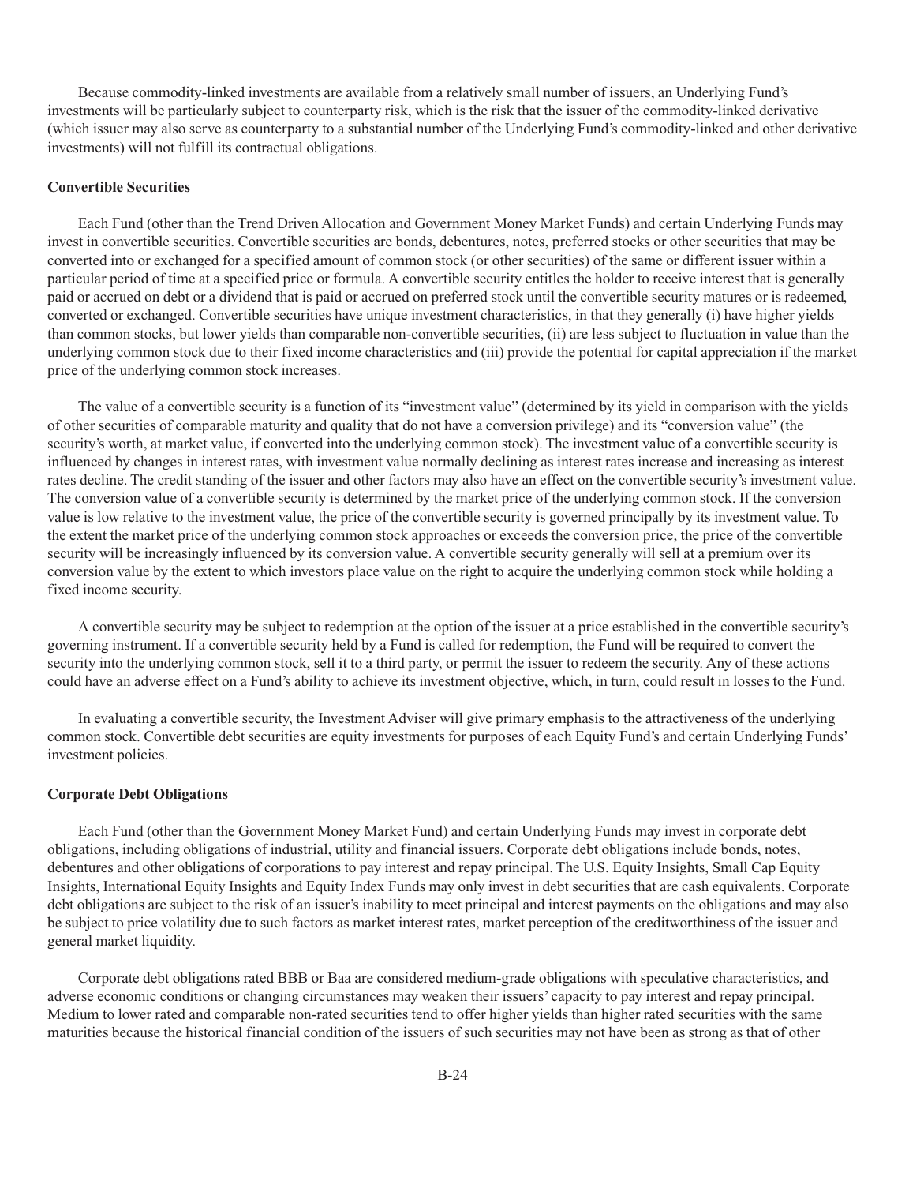Because commodity-linked investments are available from a relatively small number of issuers, an Underlying Fund's investments will be particularly subject to counterparty risk, which is the risk that the issuer of the commodity-linked derivative (which issuer may also serve as counterparty to a substantial number of the Underlying Fund's commodity-linked and other derivative investments) will not fulfill its contractual obligations.

#### **Convertible Securities**

Each Fund (other than the Trend Driven Allocation and Government Money Market Funds) and certain Underlying Funds may invest in convertible securities. Convertible securities are bonds, debentures, notes, preferred stocks or other securities that may be converted into or exchanged for a specified amount of common stock (or other securities) of the same or different issuer within a particular period of time at a specified price or formula. A convertible security entitles the holder to receive interest that is generally paid or accrued on debt or a dividend that is paid or accrued on preferred stock until the convertible security matures or is redeemed, converted or exchanged. Convertible securities have unique investment characteristics, in that they generally (i) have higher yields than common stocks, but lower yields than comparable non-convertible securities, (ii) are less subject to fluctuation in value than the underlying common stock due to their fixed income characteristics and (iii) provide the potential for capital appreciation if the market price of the underlying common stock increases.

The value of a convertible security is a function of its "investment value" (determined by its yield in comparison with the yields of other securities of comparable maturity and quality that do not have a conversion privilege) and its "conversion value" (the security's worth, at market value, if converted into the underlying common stock). The investment value of a convertible security is influenced by changes in interest rates, with investment value normally declining as interest rates increase and increasing as interest rates decline. The credit standing of the issuer and other factors may also have an effect on the convertible security's investment value. The conversion value of a convertible security is determined by the market price of the underlying common stock. If the conversion value is low relative to the investment value, the price of the convertible security is governed principally by its investment value. To the extent the market price of the underlying common stock approaches or exceeds the conversion price, the price of the convertible security will be increasingly influenced by its conversion value. A convertible security generally will sell at a premium over its conversion value by the extent to which investors place value on the right to acquire the underlying common stock while holding a fixed income security.

A convertible security may be subject to redemption at the option of the issuer at a price established in the convertible security's governing instrument. If a convertible security held by a Fund is called for redemption, the Fund will be required to convert the security into the underlying common stock, sell it to a third party, or permit the issuer to redeem the security. Any of these actions could have an adverse effect on a Fund's ability to achieve its investment objective, which, in turn, could result in losses to the Fund.

In evaluating a convertible security, the Investment Adviser will give primary emphasis to the attractiveness of the underlying common stock. Convertible debt securities are equity investments for purposes of each Equity Fund's and certain Underlying Funds' investment policies.

#### **Corporate Debt Obligations**

Each Fund (other than the Government Money Market Fund) and certain Underlying Funds may invest in corporate debt obligations, including obligations of industrial, utility and financial issuers. Corporate debt obligations include bonds, notes, debentures and other obligations of corporations to pay interest and repay principal. The U.S. Equity Insights, Small Cap Equity Insights, International Equity Insights and Equity Index Funds may only invest in debt securities that are cash equivalents. Corporate debt obligations are subject to the risk of an issuer's inability to meet principal and interest payments on the obligations and may also be subject to price volatility due to such factors as market interest rates, market perception of the creditworthiness of the issuer and general market liquidity.

Corporate debt obligations rated BBB or Baa are considered medium-grade obligations with speculative characteristics, and adverse economic conditions or changing circumstances may weaken their issuers' capacity to pay interest and repay principal. Medium to lower rated and comparable non-rated securities tend to offer higher yields than higher rated securities with the same maturities because the historical financial condition of the issuers of such securities may not have been as strong as that of other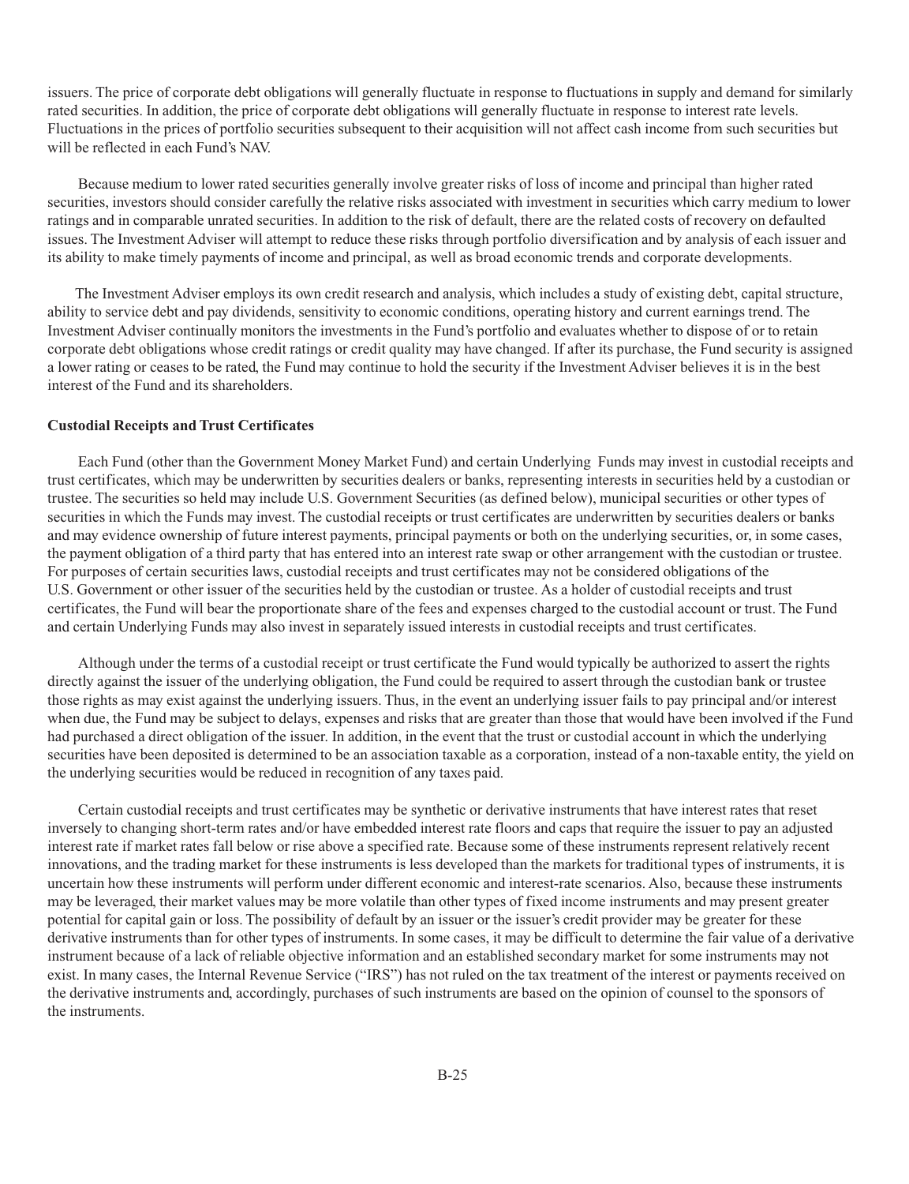issuers. The price of corporate debt obligations will generally fluctuate in response to fluctuations in supply and demand for similarly rated securities. In addition, the price of corporate debt obligations will generally fluctuate in response to interest rate levels. Fluctuations in the prices of portfolio securities subsequent to their acquisition will not affect cash income from such securities but will be reflected in each Fund's NAV.

Because medium to lower rated securities generally involve greater risks of loss of income and principal than higher rated securities, investors should consider carefully the relative risks associated with investment in securities which carry medium to lower ratings and in comparable unrated securities. In addition to the risk of default, there are the related costs of recovery on defaulted issues. The Investment Adviser will attempt to reduce these risks through portfolio diversification and by analysis of each issuer and its ability to make timely payments of income and principal, as well as broad economic trends and corporate developments.

The Investment Adviser employs its own credit research and analysis, which includes a study of existing debt, capital structure, ability to service debt and pay dividends, sensitivity to economic conditions, operating history and current earnings trend. The Investment Adviser continually monitors the investments in the Fund's portfolio and evaluates whether to dispose of or to retain corporate debt obligations whose credit ratings or credit quality may have changed. If after its purchase, the Fund security is assigned a lower rating or ceases to be rated, the Fund may continue to hold the security if the Investment Adviser believes it is in the best interest of the Fund and its shareholders.

### **Custodial Receipts and Trust Certificates**

Each Fund (other than the Government Money Market Fund) and certain Underlying Funds may invest in custodial receipts and trust certificates, which may be underwritten by securities dealers or banks, representing interests in securities held by a custodian or trustee. The securities so held may include U.S. Government Securities (as defined below), municipal securities or other types of securities in which the Funds may invest. The custodial receipts or trust certificates are underwritten by securities dealers or banks and may evidence ownership of future interest payments, principal payments or both on the underlying securities, or, in some cases, the payment obligation of a third party that has entered into an interest rate swap or other arrangement with the custodian or trustee. For purposes of certain securities laws, custodial receipts and trust certificates may not be considered obligations of the U.S. Government or other issuer of the securities held by the custodian or trustee. As a holder of custodial receipts and trust certificates, the Fund will bear the proportionate share of the fees and expenses charged to the custodial account or trust. The Fund and certain Underlying Funds may also invest in separately issued interests in custodial receipts and trust certificates.

Although under the terms of a custodial receipt or trust certificate the Fund would typically be authorized to assert the rights directly against the issuer of the underlying obligation, the Fund could be required to assert through the custodian bank or trustee those rights as may exist against the underlying issuers. Thus, in the event an underlying issuer fails to pay principal and/or interest when due, the Fund may be subject to delays, expenses and risks that are greater than those that would have been involved if the Fund had purchased a direct obligation of the issuer. In addition, in the event that the trust or custodial account in which the underlying securities have been deposited is determined to be an association taxable as a corporation, instead of a non-taxable entity, the yield on the underlying securities would be reduced in recognition of any taxes paid.

Certain custodial receipts and trust certificates may be synthetic or derivative instruments that have interest rates that reset inversely to changing short-term rates and/or have embedded interest rate floors and caps that require the issuer to pay an adjusted interest rate if market rates fall below or rise above a specified rate. Because some of these instruments represent relatively recent innovations, and the trading market for these instruments is less developed than the markets for traditional types of instruments, it is uncertain how these instruments will perform under different economic and interest-rate scenarios. Also, because these instruments may be leveraged, their market values may be more volatile than other types of fixed income instruments and may present greater potential for capital gain or loss. The possibility of default by an issuer or the issuer's credit provider may be greater for these derivative instruments than for other types of instruments. In some cases, it may be difficult to determine the fair value of a derivative instrument because of a lack of reliable objective information and an established secondary market for some instruments may not exist. In many cases, the Internal Revenue Service ("IRS") has not ruled on the tax treatment of the interest or payments received on the derivative instruments and, accordingly, purchases of such instruments are based on the opinion of counsel to the sponsors of the instruments.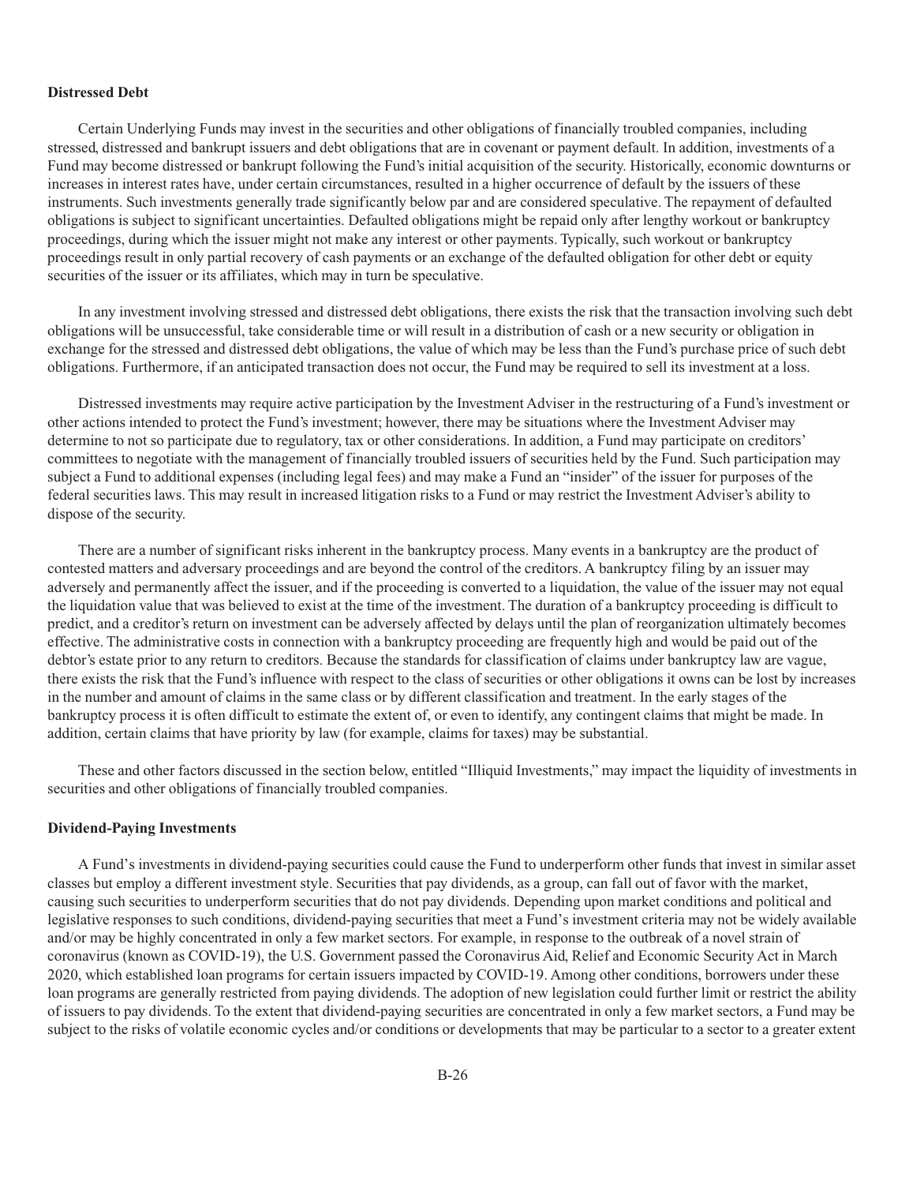## **Distressed Debt**

Certain Underlying Funds may invest in the securities and other obligations of financially troubled companies, including stressed, distressed and bankrupt issuers and debt obligations that are in covenant or payment default. In addition, investments of a Fund may become distressed or bankrupt following the Fund's initial acquisition of the security. Historically, economic downturns or increases in interest rates have, under certain circumstances, resulted in a higher occurrence of default by the issuers of these instruments. Such investments generally trade significantly below par and are considered speculative. The repayment of defaulted obligations is subject to significant uncertainties. Defaulted obligations might be repaid only after lengthy workout or bankruptcy proceedings, during which the issuer might not make any interest or other payments. Typically, such workout or bankruptcy proceedings result in only partial recovery of cash payments or an exchange of the defaulted obligation for other debt or equity securities of the issuer or its affiliates, which may in turn be speculative.

In any investment involving stressed and distressed debt obligations, there exists the risk that the transaction involving such debt obligations will be unsuccessful, take considerable time or will result in a distribution of cash or a new security or obligation in exchange for the stressed and distressed debt obligations, the value of which may be less than the Fund's purchase price of such debt obligations. Furthermore, if an anticipated transaction does not occur, the Fund may be required to sell its investment at a loss.

Distressed investments may require active participation by the Investment Adviser in the restructuring of a Fund's investment or other actions intended to protect the Fund's investment; however, there may be situations where the Investment Adviser may determine to not so participate due to regulatory, tax or other considerations. In addition, a Fund may participate on creditors' committees to negotiate with the management of financially troubled issuers of securities held by the Fund. Such participation may subject a Fund to additional expenses (including legal fees) and may make a Fund an "insider" of the issuer for purposes of the federal securities laws. This may result in increased litigation risks to a Fund or may restrict the Investment Adviser's ability to dispose of the security.

There are a number of significant risks inherent in the bankruptcy process. Many events in a bankruptcy are the product of contested matters and adversary proceedings and are beyond the control of the creditors. A bankruptcy filing by an issuer may adversely and permanently affect the issuer, and if the proceeding is converted to a liquidation, the value of the issuer may not equal the liquidation value that was believed to exist at the time of the investment. The duration of a bankruptcy proceeding is difficult to predict, and a creditor's return on investment can be adversely affected by delays until the plan of reorganization ultimately becomes effective. The administrative costs in connection with a bankruptcy proceeding are frequently high and would be paid out of the debtor's estate prior to any return to creditors. Because the standards for classification of claims under bankruptcy law are vague, there exists the risk that the Fund's influence with respect to the class of securities or other obligations it owns can be lost by increases in the number and amount of claims in the same class or by different classification and treatment. In the early stages of the bankruptcy process it is often difficult to estimate the extent of, or even to identify, any contingent claims that might be made. In addition, certain claims that have priority by law (for example, claims for taxes) may be substantial.

These and other factors discussed in the section below, entitled "Illiquid Investments," may impact the liquidity of investments in securities and other obligations of financially troubled companies.

#### **Dividend-Paying Investments**

A Fund's investments in dividend-paying securities could cause the Fund to underperform other funds that invest in similar asset classes but employ a different investment style. Securities that pay dividends, as a group, can fall out of favor with the market, causing such securities to underperform securities that do not pay dividends. Depending upon market conditions and political and legislative responses to such conditions, dividend-paying securities that meet a Fund's investment criteria may not be widely available and/or may be highly concentrated in only a few market sectors. For example, in response to the outbreak of a novel strain of coronavirus (known as COVID-19), the U.S. Government passed the Coronavirus Aid, Relief and Economic Security Act in March 2020, which established loan programs for certain issuers impacted by COVID-19. Among other conditions, borrowers under these loan programs are generally restricted from paying dividends. The adoption of new legislation could further limit or restrict the ability of issuers to pay dividends. To the extent that dividend-paying securities are concentrated in only a few market sectors, a Fund may be subject to the risks of volatile economic cycles and/or conditions or developments that may be particular to a sector to a greater extent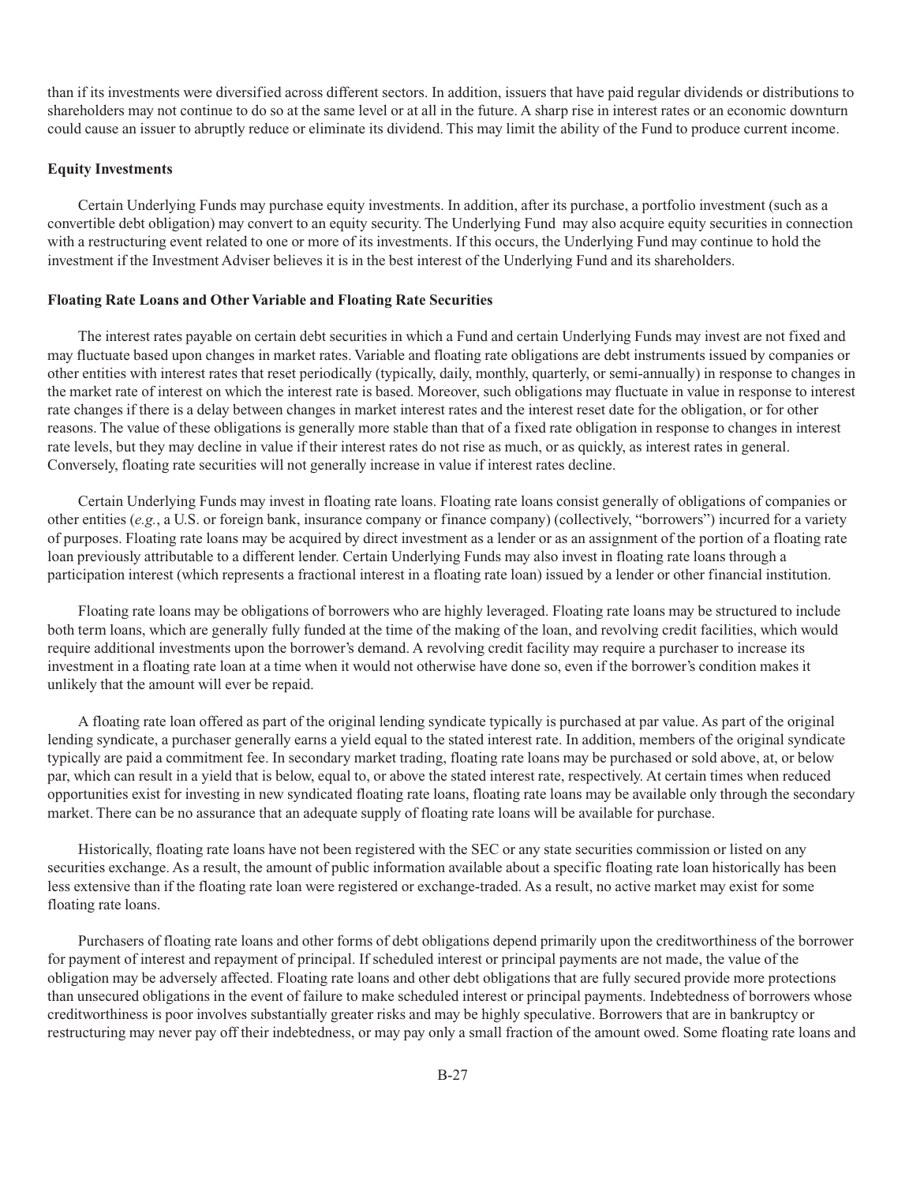than if its investments were diversified across different sectors. In addition, issuers that have paid regular dividends or distributions to shareholders may not continue to do so at the same level or at all in the future. A sharp rise in interest rates or an economic downturn could cause an issuer to abruptly reduce or eliminate its dividend. This may limit the ability of the Fund to produce current income.

### **Equity Investments**

Certain Underlying Funds may purchase equity investments. In addition, after its purchase, a portfolio investment (such as a convertible debt obligation) may convert to an equity security. The Underlying Fund may also acquire equity securities in connection with a restructuring event related to one or more of its investments. If this occurs, the Underlying Fund may continue to hold the investment if the Investment Adviser believes it is in the best interest of the Underlying Fund and its shareholders.

### **Floating Rate Loans and Other Variable and Floating Rate Securities**

The interest rates payable on certain debt securities in which a Fund and certain Underlying Funds may invest are not fixed and may fluctuate based upon changes in market rates. Variable and floating rate obligations are debt instruments issued by companies or other entities with interest rates that reset periodically (typically, daily, monthly, quarterly, or semi-annually) in response to changes in the market rate of interest on which the interest rate is based. Moreover, such obligations may fluctuate in value in response to interest rate changes if there is a delay between changes in market interest rates and the interest reset date for the obligation, or for other reasons. The value of these obligations is generally more stable than that of a fixed rate obligation in response to changes in interest rate levels, but they may decline in value if their interest rates do not rise as much, or as quickly, as interest rates in general. Conversely, floating rate securities will not generally increase in value if interest rates decline.

Certain Underlying Funds may invest in floating rate loans. Floating rate loans consist generally of obligations of companies or other entities (*e.g.*, a U.S. or foreign bank, insurance company or finance company) (collectively, "borrowers") incurred for a variety of purposes. Floating rate loans may be acquired by direct investment as a lender or as an assignment of the portion of a floating rate loan previously attributable to a different lender. Certain Underlying Funds may also invest in floating rate loans through a participation interest (which represents a fractional interest in a floating rate loan) issued by a lender or other financial institution.

Floating rate loans may be obligations of borrowers who are highly leveraged. Floating rate loans may be structured to include both term loans, which are generally fully funded at the time of the making of the loan, and revolving credit facilities, which would require additional investments upon the borrower's demand. A revolving credit facility may require a purchaser to increase its investment in a floating rate loan at a time when it would not otherwise have done so, even if the borrower's condition makes it unlikely that the amount will ever be repaid.

A floating rate loan offered as part of the original lending syndicate typically is purchased at par value. As part of the original lending syndicate, a purchaser generally earns a yield equal to the stated interest rate. In addition, members of the original syndicate typically are paid a commitment fee. In secondary market trading, floating rate loans may be purchased or sold above, at, or below par, which can result in a yield that is below, equal to, or above the stated interest rate, respectively. At certain times when reduced opportunities exist for investing in new syndicated floating rate loans, floating rate loans may be available only through the secondary market. There can be no assurance that an adequate supply of floating rate loans will be available for purchase.

Historically, floating rate loans have not been registered with the SEC or any state securities commission or listed on any securities exchange. As a result, the amount of public information available about a specific floating rate loan historically has been less extensive than if the floating rate loan were registered or exchange-traded. As a result, no active market may exist for some floating rate loans.

Purchasers of floating rate loans and other forms of debt obligations depend primarily upon the creditworthiness of the borrower for payment of interest and repayment of principal. If scheduled interest or principal payments are not made, the value of the obligation may be adversely affected. Floating rate loans and other debt obligations that are fully secured provide more protections than unsecured obligations in the event of failure to make scheduled interest or principal payments. Indebtedness of borrowers whose creditworthiness is poor involves substantially greater risks and may be highly speculative. Borrowers that are in bankruptcy or restructuring may never pay off their indebtedness, or may pay only a small fraction of the amount owed. Some floating rate loans and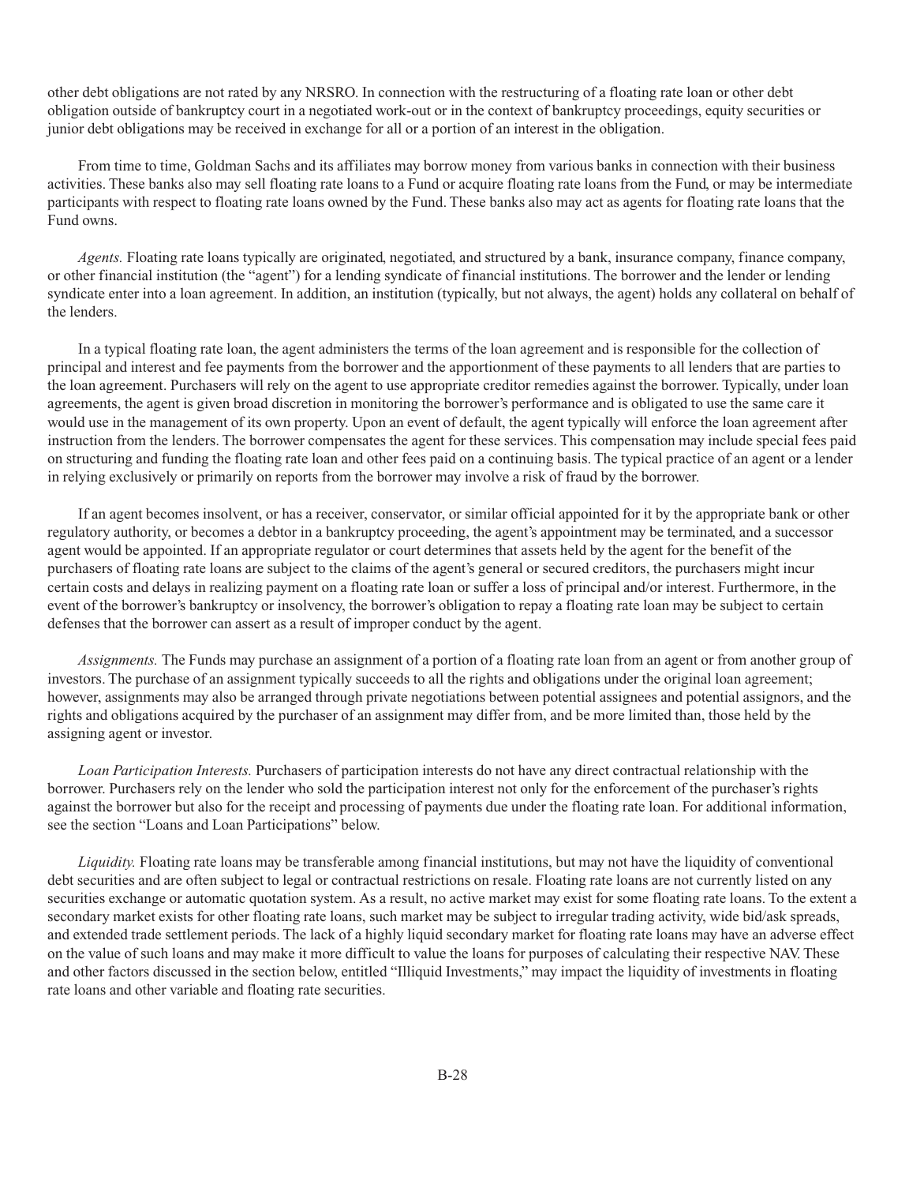other debt obligations are not rated by any NRSRO. In connection with the restructuring of a floating rate loan or other debt obligation outside of bankruptcy court in a negotiated work-out or in the context of bankruptcy proceedings, equity securities or junior debt obligations may be received in exchange for all or a portion of an interest in the obligation.

From time to time, Goldman Sachs and its affiliates may borrow money from various banks in connection with their business activities. These banks also may sell floating rate loans to a Fund or acquire floating rate loans from the Fund, or may be intermediate participants with respect to floating rate loans owned by the Fund. These banks also may act as agents for floating rate loans that the Fund owns.

*Agents.* Floating rate loans typically are originated, negotiated, and structured by a bank, insurance company, finance company, or other financial institution (the "agent") for a lending syndicate of financial institutions. The borrower and the lender or lending syndicate enter into a loan agreement. In addition, an institution (typically, but not always, the agent) holds any collateral on behalf of the lenders.

In a typical floating rate loan, the agent administers the terms of the loan agreement and is responsible for the collection of principal and interest and fee payments from the borrower and the apportionment of these payments to all lenders that are parties to the loan agreement. Purchasers will rely on the agent to use appropriate creditor remedies against the borrower. Typically, under loan agreements, the agent is given broad discretion in monitoring the borrower's performance and is obligated to use the same care it would use in the management of its own property. Upon an event of default, the agent typically will enforce the loan agreement after instruction from the lenders. The borrower compensates the agent for these services. This compensation may include special fees paid on structuring and funding the floating rate loan and other fees paid on a continuing basis. The typical practice of an agent or a lender in relying exclusively or primarily on reports from the borrower may involve a risk of fraud by the borrower.

If an agent becomes insolvent, or has a receiver, conservator, or similar official appointed for it by the appropriate bank or other regulatory authority, or becomes a debtor in a bankruptcy proceeding, the agent's appointment may be terminated, and a successor agent would be appointed. If an appropriate regulator or court determines that assets held by the agent for the benefit of the purchasers of floating rate loans are subject to the claims of the agent's general or secured creditors, the purchasers might incur certain costs and delays in realizing payment on a floating rate loan or suffer a loss of principal and/or interest. Furthermore, in the event of the borrower's bankruptcy or insolvency, the borrower's obligation to repay a floating rate loan may be subject to certain defenses that the borrower can assert as a result of improper conduct by the agent.

*Assignments.* The Funds may purchase an assignment of a portion of a floating rate loan from an agent or from another group of investors. The purchase of an assignment typically succeeds to all the rights and obligations under the original loan agreement; however, assignments may also be arranged through private negotiations between potential assignees and potential assignors, and the rights and obligations acquired by the purchaser of an assignment may differ from, and be more limited than, those held by the assigning agent or investor.

*Loan Participation Interests.* Purchasers of participation interests do not have any direct contractual relationship with the borrower. Purchasers rely on the lender who sold the participation interest not only for the enforcement of the purchaser's rights against the borrower but also for the receipt and processing of payments due under the floating rate loan. For additional information, see the section "Loans and Loan Participations" below.

*Liquidity.* Floating rate loans may be transferable among financial institutions, but may not have the liquidity of conventional debt securities and are often subject to legal or contractual restrictions on resale. Floating rate loans are not currently listed on any securities exchange or automatic quotation system. As a result, no active market may exist for some floating rate loans. To the extent a secondary market exists for other floating rate loans, such market may be subject to irregular trading activity, wide bid/ask spreads, and extended trade settlement periods. The lack of a highly liquid secondary market for floating rate loans may have an adverse effect on the value of such loans and may make it more difficult to value the loans for purposes of calculating their respective NAV. These and other factors discussed in the section below, entitled "Illiquid Investments," may impact the liquidity of investments in floating rate loans and other variable and floating rate securities.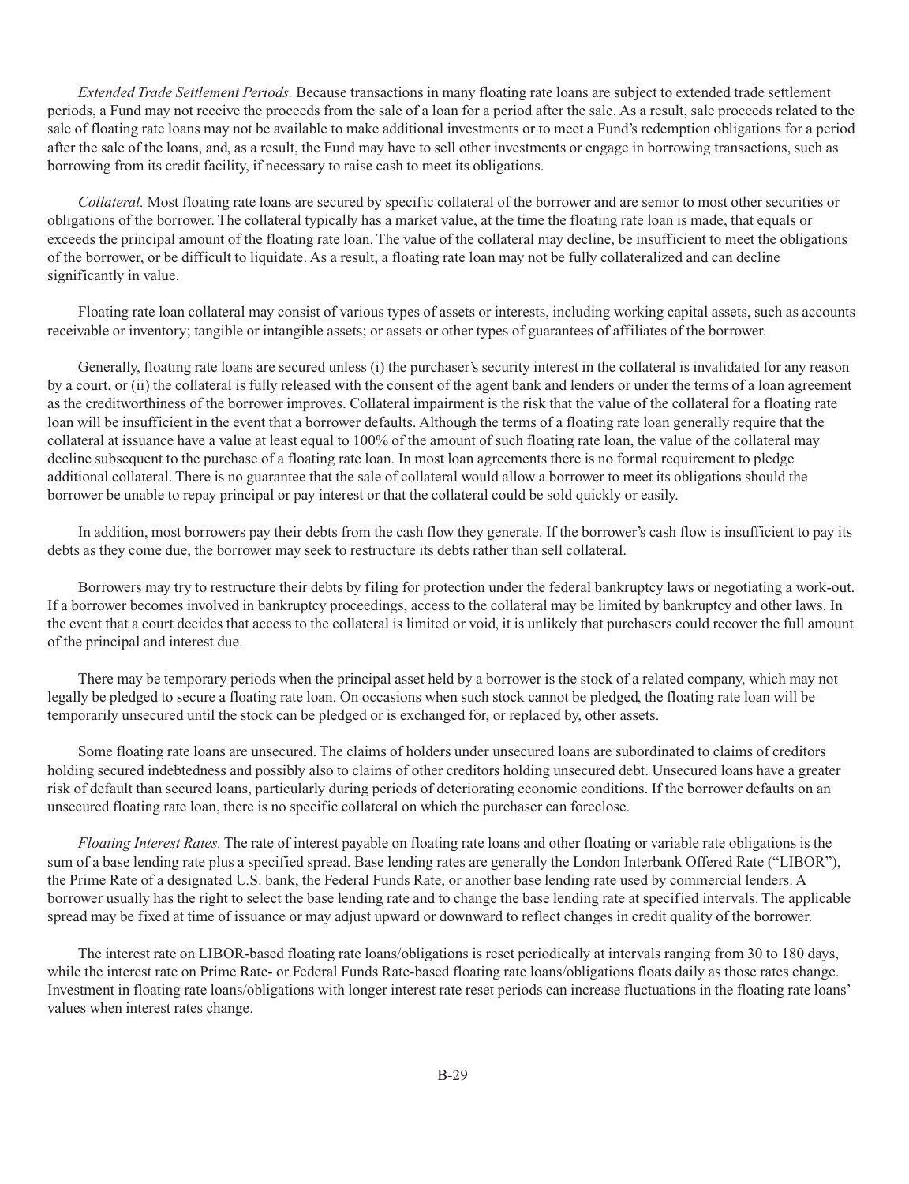*Extended Trade Settlement Periods.* Because transactions in many floating rate loans are subject to extended trade settlement periods, a Fund may not receive the proceeds from the sale of a loan for a period after the sale. As a result, sale proceeds related to the sale of floating rate loans may not be available to make additional investments or to meet a Fund's redemption obligations for a period after the sale of the loans, and, as a result, the Fund may have to sell other investments or engage in borrowing transactions, such as borrowing from its credit facility, if necessary to raise cash to meet its obligations.

*Collateral.* Most floating rate loans are secured by specific collateral of the borrower and are senior to most other securities or obligations of the borrower. The collateral typically has a market value, at the time the floating rate loan is made, that equals or exceeds the principal amount of the floating rate loan. The value of the collateral may decline, be insufficient to meet the obligations of the borrower, or be difficult to liquidate. As a result, a floating rate loan may not be fully collateralized and can decline significantly in value.

Floating rate loan collateral may consist of various types of assets or interests, including working capital assets, such as accounts receivable or inventory; tangible or intangible assets; or assets or other types of guarantees of affiliates of the borrower.

Generally, floating rate loans are secured unless (i) the purchaser's security interest in the collateral is invalidated for any reason by a court, or (ii) the collateral is fully released with the consent of the agent bank and lenders or under the terms of a loan agreement as the creditworthiness of the borrower improves. Collateral impairment is the risk that the value of the collateral for a floating rate loan will be insufficient in the event that a borrower defaults. Although the terms of a floating rate loan generally require that the collateral at issuance have a value at least equal to 100% of the amount of such floating rate loan, the value of the collateral may decline subsequent to the purchase of a floating rate loan. In most loan agreements there is no formal requirement to pledge additional collateral. There is no guarantee that the sale of collateral would allow a borrower to meet its obligations should the borrower be unable to repay principal or pay interest or that the collateral could be sold quickly or easily.

In addition, most borrowers pay their debts from the cash flow they generate. If the borrower's cash flow is insufficient to pay its debts as they come due, the borrower may seek to restructure its debts rather than sell collateral.

Borrowers may try to restructure their debts by filing for protection under the federal bankruptcy laws or negotiating a work-out. If a borrower becomes involved in bankruptcy proceedings, access to the collateral may be limited by bankruptcy and other laws. In the event that a court decides that access to the collateral is limited or void, it is unlikely that purchasers could recover the full amount of the principal and interest due.

There may be temporary periods when the principal asset held by a borrower is the stock of a related company, which may not legally be pledged to secure a floating rate loan. On occasions when such stock cannot be pledged, the floating rate loan will be temporarily unsecured until the stock can be pledged or is exchanged for, or replaced by, other assets.

Some floating rate loans are unsecured. The claims of holders under unsecured loans are subordinated to claims of creditors holding secured indebtedness and possibly also to claims of other creditors holding unsecured debt. Unsecured loans have a greater risk of default than secured loans, particularly during periods of deteriorating economic conditions. If the borrower defaults on an unsecured floating rate loan, there is no specific collateral on which the purchaser can foreclose.

*Floating Interest Rates.* The rate of interest payable on floating rate loans and other floating or variable rate obligations is the sum of a base lending rate plus a specified spread. Base lending rates are generally the London Interbank Offered Rate ("LIBOR"), the Prime Rate of a designated U.S. bank, the Federal Funds Rate, or another base lending rate used by commercial lenders. A borrower usually has the right to select the base lending rate and to change the base lending rate at specified intervals. The applicable spread may be fixed at time of issuance or may adjust upward or downward to reflect changes in credit quality of the borrower.

The interest rate on LIBOR-based floating rate loans/obligations is reset periodically at intervals ranging from 30 to 180 days, while the interest rate on Prime Rate- or Federal Funds Rate-based floating rate loans/obligations floats daily as those rates change. Investment in floating rate loans/obligations with longer interest rate reset periods can increase fluctuations in the floating rate loans' values when interest rates change.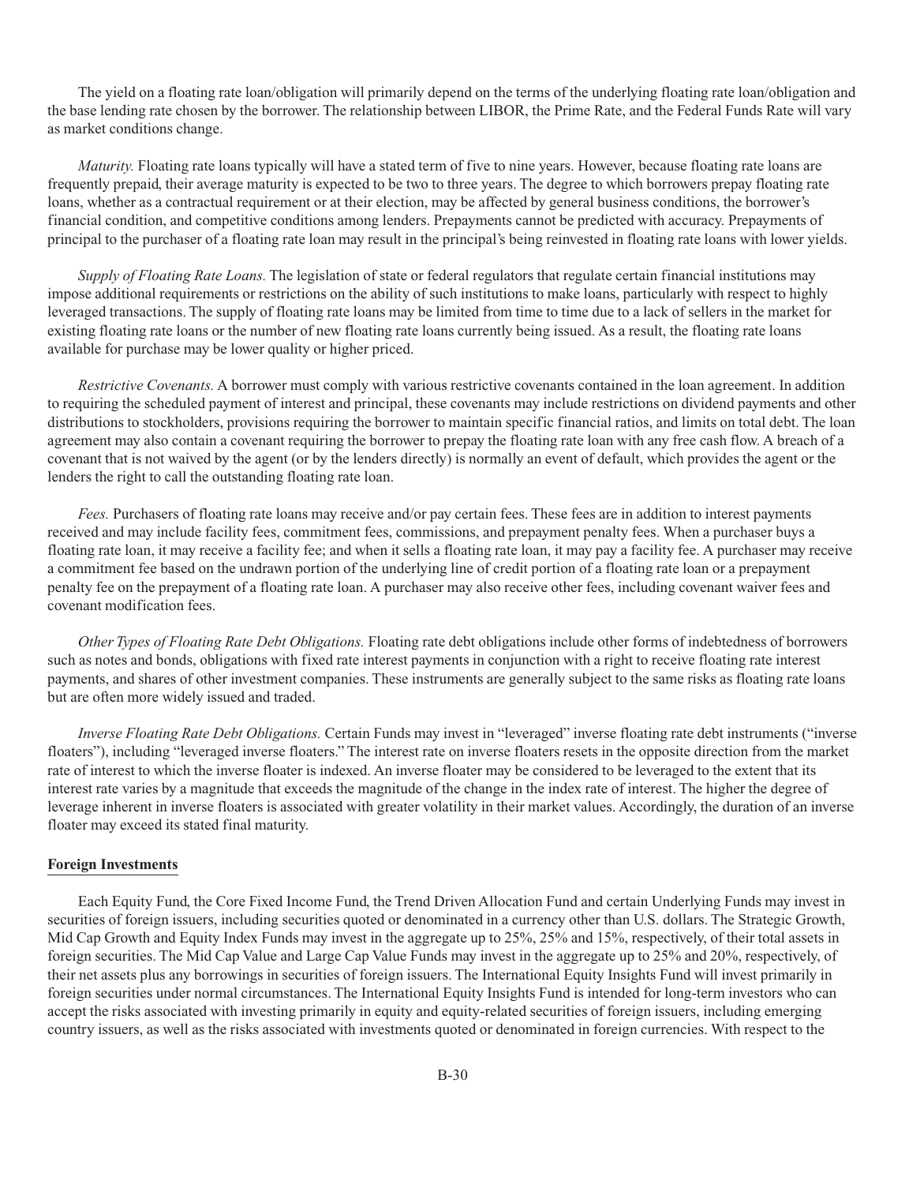The yield on a floating rate loan/obligation will primarily depend on the terms of the underlying floating rate loan/obligation and the base lending rate chosen by the borrower. The relationship between LIBOR, the Prime Rate, and the Federal Funds Rate will vary as market conditions change.

*Maturity.* Floating rate loans typically will have a stated term of five to nine years. However, because floating rate loans are frequently prepaid, their average maturity is expected to be two to three years. The degree to which borrowers prepay floating rate loans, whether as a contractual requirement or at their election, may be affected by general business conditions, the borrower's financial condition, and competitive conditions among lenders. Prepayments cannot be predicted with accuracy. Prepayments of principal to the purchaser of a floating rate loan may result in the principal's being reinvested in floating rate loans with lower yields.

*Supply of Floating Rate Loans.* The legislation of state or federal regulators that regulate certain financial institutions may impose additional requirements or restrictions on the ability of such institutions to make loans, particularly with respect to highly leveraged transactions. The supply of floating rate loans may be limited from time to time due to a lack of sellers in the market for existing floating rate loans or the number of new floating rate loans currently being issued. As a result, the floating rate loans available for purchase may be lower quality or higher priced.

*Restrictive Covenants.* A borrower must comply with various restrictive covenants contained in the loan agreement. In addition to requiring the scheduled payment of interest and principal, these covenants may include restrictions on dividend payments and other distributions to stockholders, provisions requiring the borrower to maintain specific financial ratios, and limits on total debt. The loan agreement may also contain a covenant requiring the borrower to prepay the floating rate loan with any free cash flow. A breach of a covenant that is not waived by the agent (or by the lenders directly) is normally an event of default, which provides the agent or the lenders the right to call the outstanding floating rate loan.

*Fees.* Purchasers of floating rate loans may receive and/or pay certain fees. These fees are in addition to interest payments received and may include facility fees, commitment fees, commissions, and prepayment penalty fees. When a purchaser buys a floating rate loan, it may receive a facility fee; and when it sells a floating rate loan, it may pay a facility fee. A purchaser may receive a commitment fee based on the undrawn portion of the underlying line of credit portion of a floating rate loan or a prepayment penalty fee on the prepayment of a floating rate loan. A purchaser may also receive other fees, including covenant waiver fees and covenant modification fees.

*Other Types of Floating Rate Debt Obligations.* Floating rate debt obligations include other forms of indebtedness of borrowers such as notes and bonds, obligations with fixed rate interest payments in conjunction with a right to receive floating rate interest payments, and shares of other investment companies. These instruments are generally subject to the same risks as floating rate loans but are often more widely issued and traded.

*Inverse Floating Rate Debt Obligations.* Certain Funds may invest in "leveraged" inverse floating rate debt instruments ("inverse floaters"), including "leveraged inverse floaters." The interest rate on inverse floaters resets in the opposite direction from the market rate of interest to which the inverse floater is indexed. An inverse floater may be considered to be leveraged to the extent that its interest rate varies by a magnitude that exceeds the magnitude of the change in the index rate of interest. The higher the degree of leverage inherent in inverse floaters is associated with greater volatility in their market values. Accordingly, the duration of an inverse floater may exceed its stated final maturity.

### **Foreign Investments**

Each Equity Fund, the Core Fixed Income Fund, the Trend Driven Allocation Fund and certain Underlying Funds may invest in securities of foreign issuers, including securities quoted or denominated in a currency other than U.S. dollars. The Strategic Growth, Mid Cap Growth and Equity Index Funds may invest in the aggregate up to 25%, 25% and 15%, respectively, of their total assets in foreign securities. The Mid Cap Value and Large Cap Value Funds may invest in the aggregate up to 25% and 20%, respectively, of their net assets plus any borrowings in securities of foreign issuers. The International Equity Insights Fund will invest primarily in foreign securities under normal circumstances. The International Equity Insights Fund is intended for long-term investors who can accept the risks associated with investing primarily in equity and equity-related securities of foreign issuers, including emerging country issuers, as well as the risks associated with investments quoted or denominated in foreign currencies. With respect to the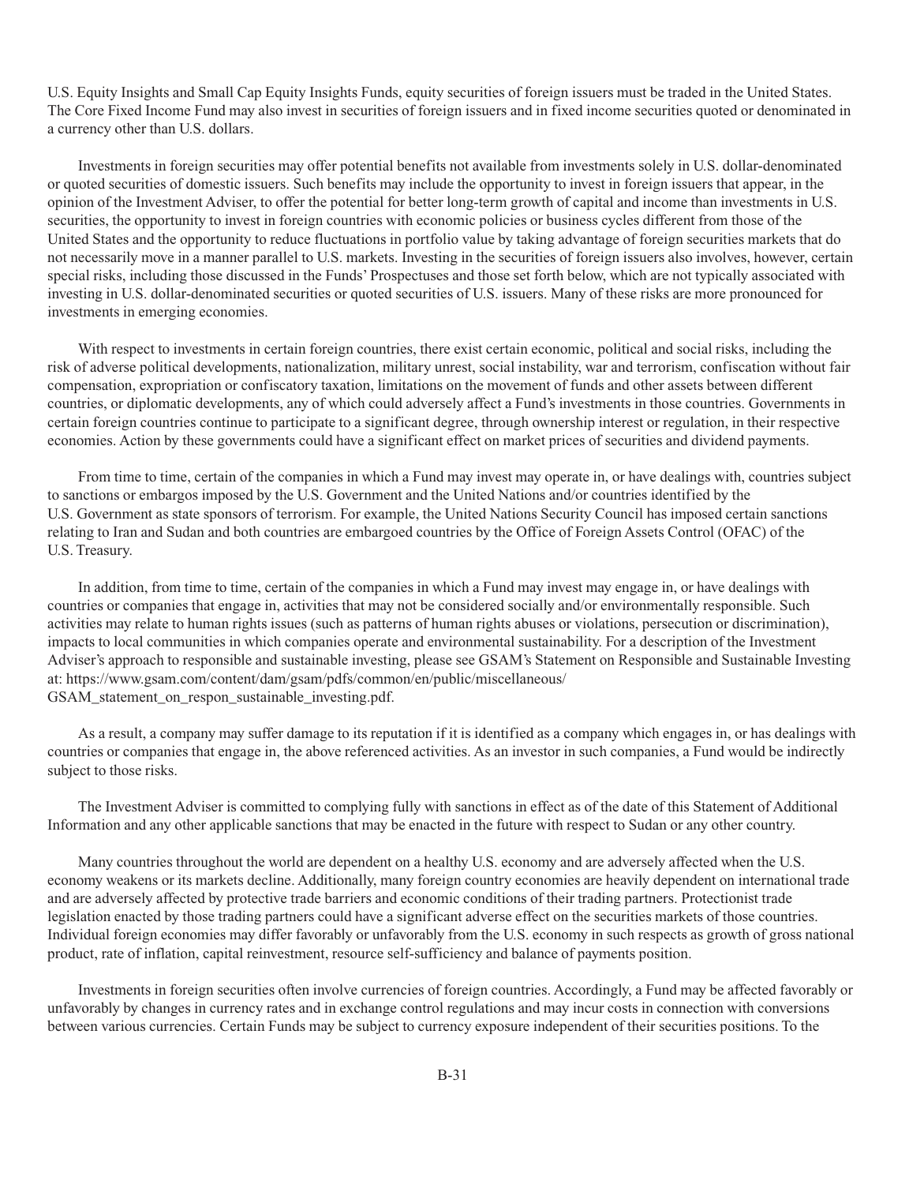U.S. Equity Insights and Small Cap Equity Insights Funds, equity securities of foreign issuers must be traded in the United States. The Core Fixed Income Fund may also invest in securities of foreign issuers and in fixed income securities quoted or denominated in a currency other than U.S. dollars.

Investments in foreign securities may offer potential benefits not available from investments solely in U.S. dollar-denominated or quoted securities of domestic issuers. Such benefits may include the opportunity to invest in foreign issuers that appear, in the opinion of the Investment Adviser, to offer the potential for better long-term growth of capital and income than investments in U.S. securities, the opportunity to invest in foreign countries with economic policies or business cycles different from those of the United States and the opportunity to reduce fluctuations in portfolio value by taking advantage of foreign securities markets that do not necessarily move in a manner parallel to U.S. markets. Investing in the securities of foreign issuers also involves, however, certain special risks, including those discussed in the Funds' Prospectuses and those set forth below, which are not typically associated with investing in U.S. dollar-denominated securities or quoted securities of U.S. issuers. Many of these risks are more pronounced for investments in emerging economies.

With respect to investments in certain foreign countries, there exist certain economic, political and social risks, including the risk of adverse political developments, nationalization, military unrest, social instability, war and terrorism, confiscation without fair compensation, expropriation or confiscatory taxation, limitations on the movement of funds and other assets between different countries, or diplomatic developments, any of which could adversely affect a Fund's investments in those countries. Governments in certain foreign countries continue to participate to a significant degree, through ownership interest or regulation, in their respective economies. Action by these governments could have a significant effect on market prices of securities and dividend payments.

From time to time, certain of the companies in which a Fund may invest may operate in, or have dealings with, countries subject to sanctions or embargos imposed by the U.S. Government and the United Nations and/or countries identified by the U.S. Government as state sponsors of terrorism. For example, the United Nations Security Council has imposed certain sanctions relating to Iran and Sudan and both countries are embargoed countries by the Office of Foreign Assets Control (OFAC) of the U.S. Treasury.

In addition, from time to time, certain of the companies in which a Fund may invest may engage in, or have dealings with countries or companies that engage in, activities that may not be considered socially and/or environmentally responsible. Such activities may relate to human rights issues (such as patterns of human rights abuses or violations, persecution or discrimination), impacts to local communities in which companies operate and environmental sustainability. For a description of the Investment Adviser's approach to responsible and sustainable investing, please see GSAM's Statement on Responsible and Sustainable Investing at: https://www.gsam.com/content/dam/gsam/pdfs/common/en/public/miscellaneous/ GSAM\_statement\_on\_respon\_sustainable\_investing.pdf.

As a result, a company may suffer damage to its reputation if it is identified as a company which engages in, or has dealings with countries or companies that engage in, the above referenced activities. As an investor in such companies, a Fund would be indirectly subject to those risks.

The Investment Adviser is committed to complying fully with sanctions in effect as of the date of this Statement of Additional Information and any other applicable sanctions that may be enacted in the future with respect to Sudan or any other country.

Many countries throughout the world are dependent on a healthy U.S. economy and are adversely affected when the U.S. economy weakens or its markets decline. Additionally, many foreign country economies are heavily dependent on international trade and are adversely affected by protective trade barriers and economic conditions of their trading partners. Protectionist trade legislation enacted by those trading partners could have a significant adverse effect on the securities markets of those countries. Individual foreign economies may differ favorably or unfavorably from the U.S. economy in such respects as growth of gross national product, rate of inflation, capital reinvestment, resource self-sufficiency and balance of payments position.

Investments in foreign securities often involve currencies of foreign countries. Accordingly, a Fund may be affected favorably or unfavorably by changes in currency rates and in exchange control regulations and may incur costs in connection with conversions between various currencies. Certain Funds may be subject to currency exposure independent of their securities positions. To the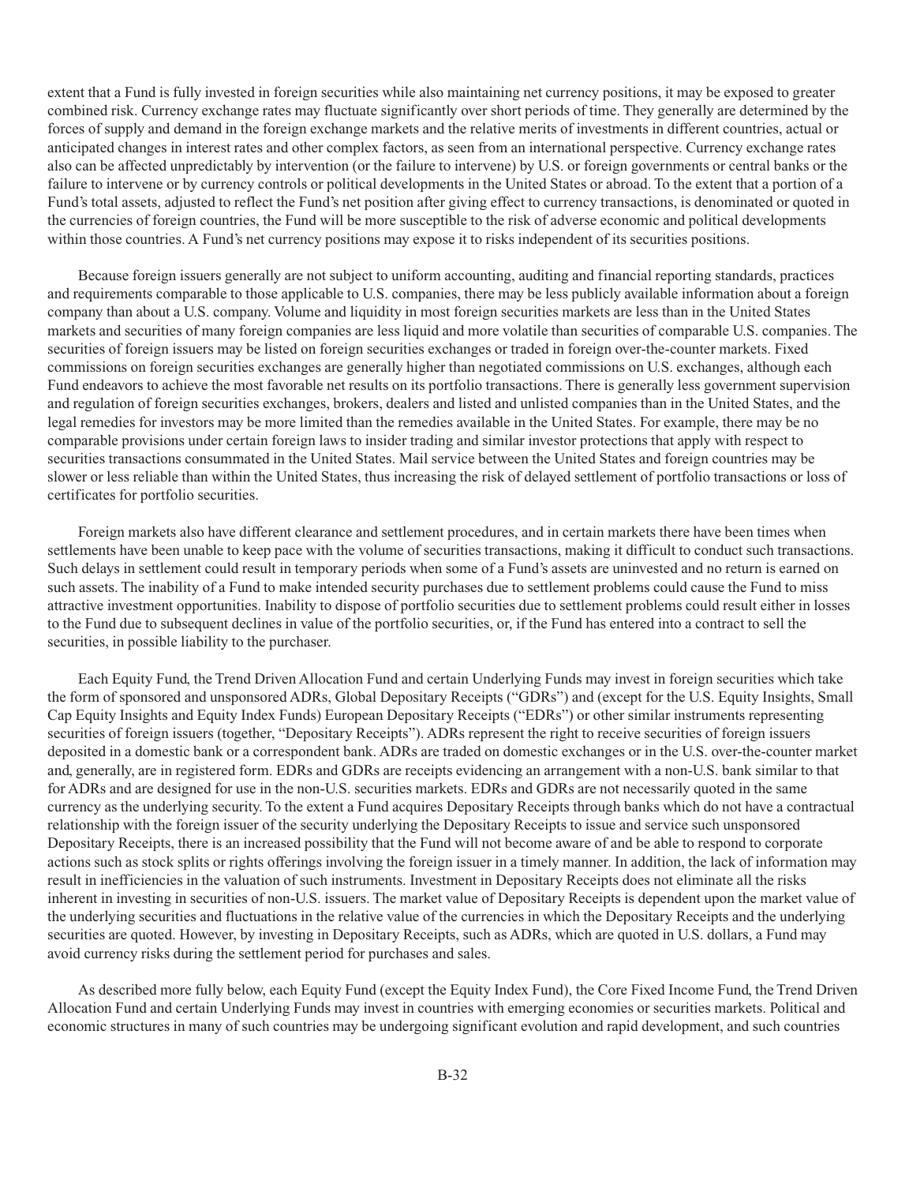extent that a Fund is fully invested in foreign securities while also maintaining net currency positions, it may be exposed to greater combined risk. Currency exchange rates may fluctuate significantly over short periods of time. They generally are determined by the forces of supply and demand in the foreign exchange markets and the relative merits of investments in different countries, actual or anticipated changes in interest rates and other complex factors, as seen from an international perspective. Currency exchange rates also can be affected unpredictably by intervention (or the failure to intervene) by U.S. or foreign governments or central banks or the failure to intervene or by currency controls or political developments in the United States or abroad. To the extent that a portion of a Fund's total assets, adjusted to reflect the Fund's net position after giving effect to currency transactions, is denominated or quoted in the currencies of foreign countries, the Fund will be more susceptible to the risk of adverse economic and political developments within those countries. A Fund's net currency positions may expose it to risks independent of its securities positions.

Because foreign issuers generally are not subject to uniform accounting, auditing and financial reporting standards, practices and requirements comparable to those applicable to U.S. companies, there may be less publicly available information about a foreign company than about a U.S. company. Volume and liquidity in most foreign securities markets are less than in the United States markets and securities of many foreign companies are less liquid and more volatile than securities of comparable U.S. companies. The securities of foreign issuers may be listed on foreign securities exchanges or traded in foreign over-the-counter markets. Fixed commissions on foreign securities exchanges are generally higher than negotiated commissions on U.S. exchanges, although each Fund endeavors to achieve the most favorable net results on its portfolio transactions. There is generally less government supervision and regulation of foreign securities exchanges, brokers, dealers and listed and unlisted companies than in the United States, and the legal remedies for investors may be more limited than the remedies available in the United States. For example, there may be no comparable provisions under certain foreign laws to insider trading and similar investor protections that apply with respect to securities transactions consummated in the United States. Mail service between the United States and foreign countries may be slower or less reliable than within the United States, thus increasing the risk of delayed settlement of portfolio transactions or loss of certificates for portfolio securities.

Foreign markets also have different clearance and settlement procedures, and in certain markets there have been times when settlements have been unable to keep pace with the volume of securities transactions, making it difficult to conduct such transactions. Such delays in settlement could result in temporary periods when some of a Fund's assets are uninvested and no return is earned on such assets. The inability of a Fund to make intended security purchases due to settlement problems could cause the Fund to miss attractive investment opportunities. Inability to dispose of portfolio securities due to settlement problems could result either in losses to the Fund due to subsequent declines in value of the portfolio securities, or, if the Fund has entered into a contract to sell the securities, in possible liability to the purchaser.

Each Equity Fund, the Trend Driven Allocation Fund and certain Underlying Funds may invest in foreign securities which take the form of sponsored and unsponsored ADRs, Global Depositary Receipts ("GDRs") and (except for the U.S. Equity Insights, Small Cap Equity Insights and Equity Index Funds) European Depositary Receipts ("EDRs") or other similar instruments representing securities of foreign issuers (together, "Depositary Receipts"). ADRs represent the right to receive securities of foreign issuers deposited in a domestic bank or a correspondent bank. ADRs are traded on domestic exchanges or in the U.S. over-the-counter market and, generally, are in registered form. EDRs and GDRs are receipts evidencing an arrangement with a non-U.S. bank similar to that for ADRs and are designed for use in the non-U.S. securities markets. EDRs and GDRs are not necessarily quoted in the same currency as the underlying security. To the extent a Fund acquires Depositary Receipts through banks which do not have a contractual relationship with the foreign issuer of the security underlying the Depositary Receipts to issue and service such unsponsored Depositary Receipts, there is an increased possibility that the Fund will not become aware of and be able to respond to corporate actions such as stock splits or rights offerings involving the foreign issuer in a timely manner. In addition, the lack of information may result in inefficiencies in the valuation of such instruments. Investment in Depositary Receipts does not eliminate all the risks inherent in investing in securities of non-U.S. issuers. The market value of Depositary Receipts is dependent upon the market value of the underlying securities and fluctuations in the relative value of the currencies in which the Depositary Receipts and the underlying securities are quoted. However, by investing in Depositary Receipts, such as ADRs, which are quoted in U.S. dollars, a Fund may avoid currency risks during the settlement period for purchases and sales.

As described more fully below, each Equity Fund (except the Equity Index Fund), the Core Fixed Income Fund, the Trend Driven Allocation Fund and certain Underlying Funds may invest in countries with emerging economies or securities markets. Political and economic structures in many of such countries may be undergoing significant evolution and rapid development, and such countries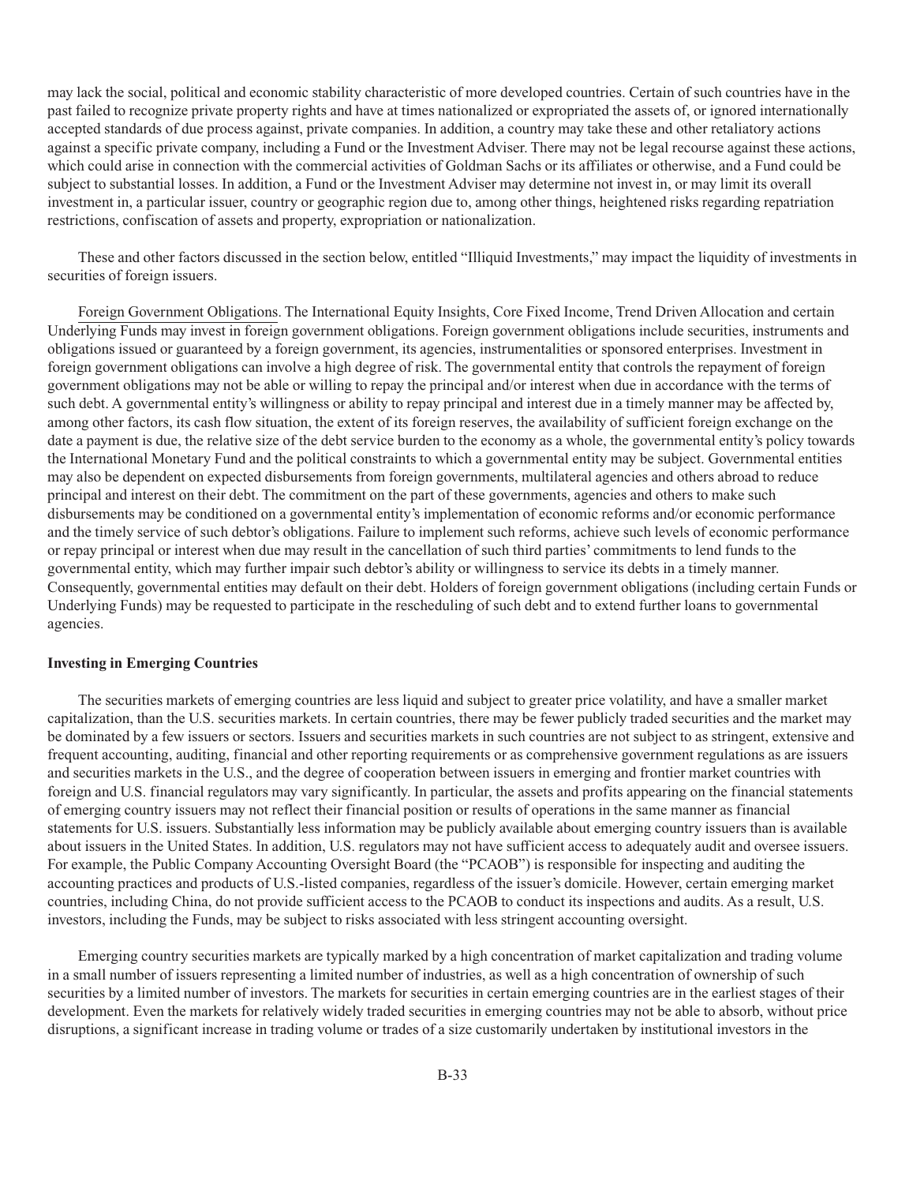may lack the social, political and economic stability characteristic of more developed countries. Certain of such countries have in the past failed to recognize private property rights and have at times nationalized or expropriated the assets of, or ignored internationally accepted standards of due process against, private companies. In addition, a country may take these and other retaliatory actions against a specific private company, including a Fund or the Investment Adviser. There may not be legal recourse against these actions, which could arise in connection with the commercial activities of Goldman Sachs or its affiliates or otherwise, and a Fund could be subject to substantial losses. In addition, a Fund or the Investment Adviser may determine not invest in, or may limit its overall investment in, a particular issuer, country or geographic region due to, among other things, heightened risks regarding repatriation restrictions, confiscation of assets and property, expropriation or nationalization.

These and other factors discussed in the section below, entitled "Illiquid Investments," may impact the liquidity of investments in securities of foreign issuers.

Foreign Government Obligations. The International Equity Insights, Core Fixed Income, Trend Driven Allocation and certain Underlying Funds may invest in foreign government obligations. Foreign government obligations include securities, instruments and obligations issued or guaranteed by a foreign government, its agencies, instrumentalities or sponsored enterprises. Investment in foreign government obligations can involve a high degree of risk. The governmental entity that controls the repayment of foreign government obligations may not be able or willing to repay the principal and/or interest when due in accordance with the terms of such debt. A governmental entity's willingness or ability to repay principal and interest due in a timely manner may be affected by, among other factors, its cash flow situation, the extent of its foreign reserves, the availability of sufficient foreign exchange on the date a payment is due, the relative size of the debt service burden to the economy as a whole, the governmental entity's policy towards the International Monetary Fund and the political constraints to which a governmental entity may be subject. Governmental entities may also be dependent on expected disbursements from foreign governments, multilateral agencies and others abroad to reduce principal and interest on their debt. The commitment on the part of these governments, agencies and others to make such disbursements may be conditioned on a governmental entity's implementation of economic reforms and/or economic performance and the timely service of such debtor's obligations. Failure to implement such reforms, achieve such levels of economic performance or repay principal or interest when due may result in the cancellation of such third parties' commitments to lend funds to the governmental entity, which may further impair such debtor's ability or willingness to service its debts in a timely manner. Consequently, governmental entities may default on their debt. Holders of foreign government obligations (including certain Funds or Underlying Funds) may be requested to participate in the rescheduling of such debt and to extend further loans to governmental agencies.

## **Investing in Emerging Countries**

The securities markets of emerging countries are less liquid and subject to greater price volatility, and have a smaller market capitalization, than the U.S. securities markets. In certain countries, there may be fewer publicly traded securities and the market may be dominated by a few issuers or sectors. Issuers and securities markets in such countries are not subject to as stringent, extensive and frequent accounting, auditing, financial and other reporting requirements or as comprehensive government regulations as are issuers and securities markets in the U.S., and the degree of cooperation between issuers in emerging and frontier market countries with foreign and U.S. financial regulators may vary significantly. In particular, the assets and profits appearing on the financial statements of emerging country issuers may not reflect their financial position or results of operations in the same manner as financial statements for U.S. issuers. Substantially less information may be publicly available about emerging country issuers than is available about issuers in the United States. In addition, U.S. regulators may not have sufficient access to adequately audit and oversee issuers. For example, the Public Company Accounting Oversight Board (the "PCAOB") is responsible for inspecting and auditing the accounting practices and products of U.S.-listed companies, regardless of the issuer's domicile. However, certain emerging market countries, including China, do not provide sufficient access to the PCAOB to conduct its inspections and audits. As a result, U.S. investors, including the Funds, may be subject to risks associated with less stringent accounting oversight.

Emerging country securities markets are typically marked by a high concentration of market capitalization and trading volume in a small number of issuers representing a limited number of industries, as well as a high concentration of ownership of such securities by a limited number of investors. The markets for securities in certain emerging countries are in the earliest stages of their development. Even the markets for relatively widely traded securities in emerging countries may not be able to absorb, without price disruptions, a significant increase in trading volume or trades of a size customarily undertaken by institutional investors in the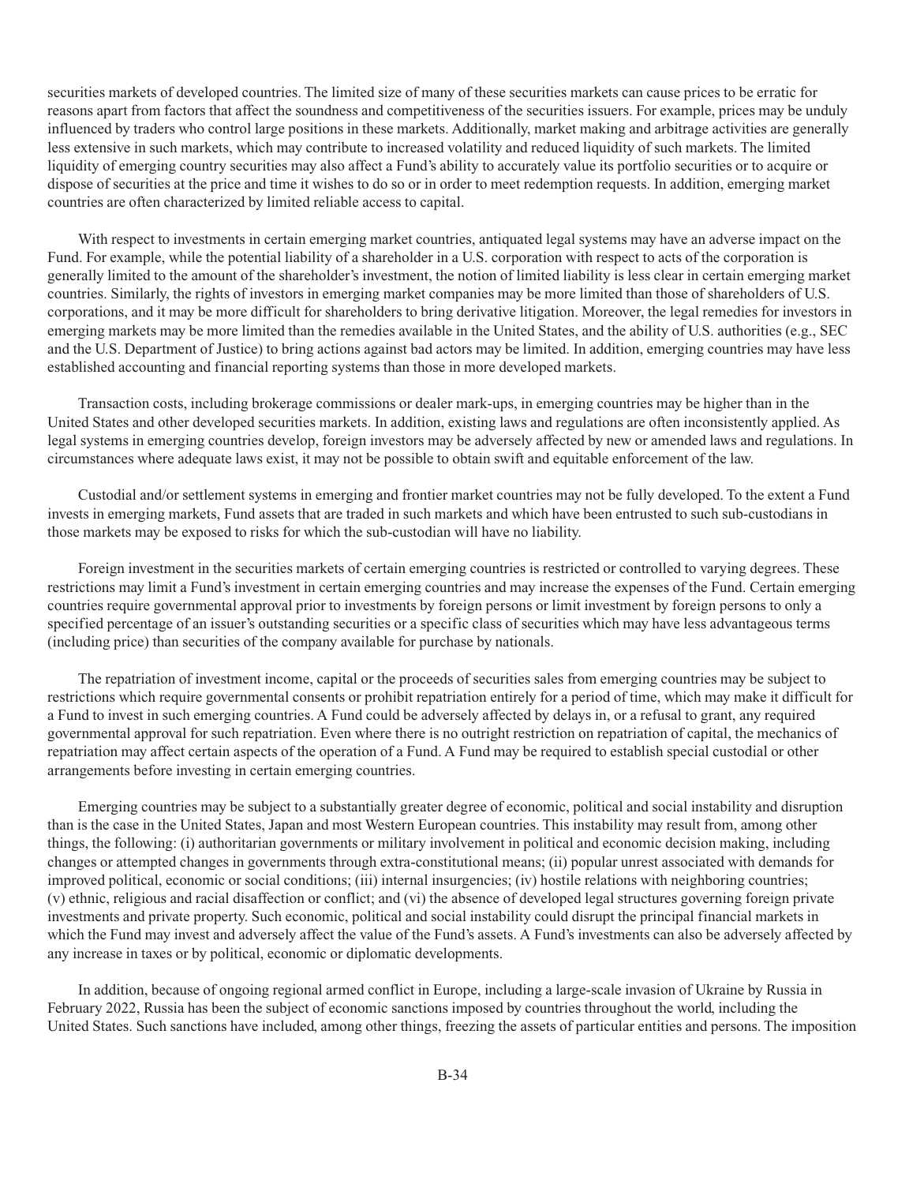securities markets of developed countries. The limited size of many of these securities markets can cause prices to be erratic for reasons apart from factors that affect the soundness and competitiveness of the securities issuers. For example, prices may be unduly influenced by traders who control large positions in these markets. Additionally, market making and arbitrage activities are generally less extensive in such markets, which may contribute to increased volatility and reduced liquidity of such markets. The limited liquidity of emerging country securities may also affect a Fund's ability to accurately value its portfolio securities or to acquire or dispose of securities at the price and time it wishes to do so or in order to meet redemption requests. In addition, emerging market countries are often characterized by limited reliable access to capital.

With respect to investments in certain emerging market countries, antiquated legal systems may have an adverse impact on the Fund. For example, while the potential liability of a shareholder in a U.S. corporation with respect to acts of the corporation is generally limited to the amount of the shareholder's investment, the notion of limited liability is less clear in certain emerging market countries. Similarly, the rights of investors in emerging market companies may be more limited than those of shareholders of U.S. corporations, and it may be more difficult for shareholders to bring derivative litigation. Moreover, the legal remedies for investors in emerging markets may be more limited than the remedies available in the United States, and the ability of U.S. authorities (e.g., SEC and the U.S. Department of Justice) to bring actions against bad actors may be limited. In addition, emerging countries may have less established accounting and financial reporting systems than those in more developed markets.

Transaction costs, including brokerage commissions or dealer mark-ups, in emerging countries may be higher than in the United States and other developed securities markets. In addition, existing laws and regulations are often inconsistently applied. As legal systems in emerging countries develop, foreign investors may be adversely affected by new or amended laws and regulations. In circumstances where adequate laws exist, it may not be possible to obtain swift and equitable enforcement of the law.

Custodial and/or settlement systems in emerging and frontier market countries may not be fully developed. To the extent a Fund invests in emerging markets, Fund assets that are traded in such markets and which have been entrusted to such sub-custodians in those markets may be exposed to risks for which the sub-custodian will have no liability.

Foreign investment in the securities markets of certain emerging countries is restricted or controlled to varying degrees. These restrictions may limit a Fund's investment in certain emerging countries and may increase the expenses of the Fund. Certain emerging countries require governmental approval prior to investments by foreign persons or limit investment by foreign persons to only a specified percentage of an issuer's outstanding securities or a specific class of securities which may have less advantageous terms (including price) than securities of the company available for purchase by nationals.

The repatriation of investment income, capital or the proceeds of securities sales from emerging countries may be subject to restrictions which require governmental consents or prohibit repatriation entirely for a period of time, which may make it difficult for a Fund to invest in such emerging countries. A Fund could be adversely affected by delays in, or a refusal to grant, any required governmental approval for such repatriation. Even where there is no outright restriction on repatriation of capital, the mechanics of repatriation may affect certain aspects of the operation of a Fund. A Fund may be required to establish special custodial or other arrangements before investing in certain emerging countries.

Emerging countries may be subject to a substantially greater degree of economic, political and social instability and disruption than is the case in the United States, Japan and most Western European countries. This instability may result from, among other things, the following: (i) authoritarian governments or military involvement in political and economic decision making, including changes or attempted changes in governments through extra-constitutional means; (ii) popular unrest associated with demands for improved political, economic or social conditions; (iii) internal insurgencies; (iv) hostile relations with neighboring countries; (v) ethnic, religious and racial disaffection or conflict; and (vi) the absence of developed legal structures governing foreign private investments and private property. Such economic, political and social instability could disrupt the principal financial markets in which the Fund may invest and adversely affect the value of the Fund's assets. A Fund's investments can also be adversely affected by any increase in taxes or by political, economic or diplomatic developments.

In addition, because of ongoing regional armed conflict in Europe, including a large-scale invasion of Ukraine by Russia in February 2022, Russia has been the subject of economic sanctions imposed by countries throughout the world, including the United States. Such sanctions have included, among other things, freezing the assets of particular entities and persons. The imposition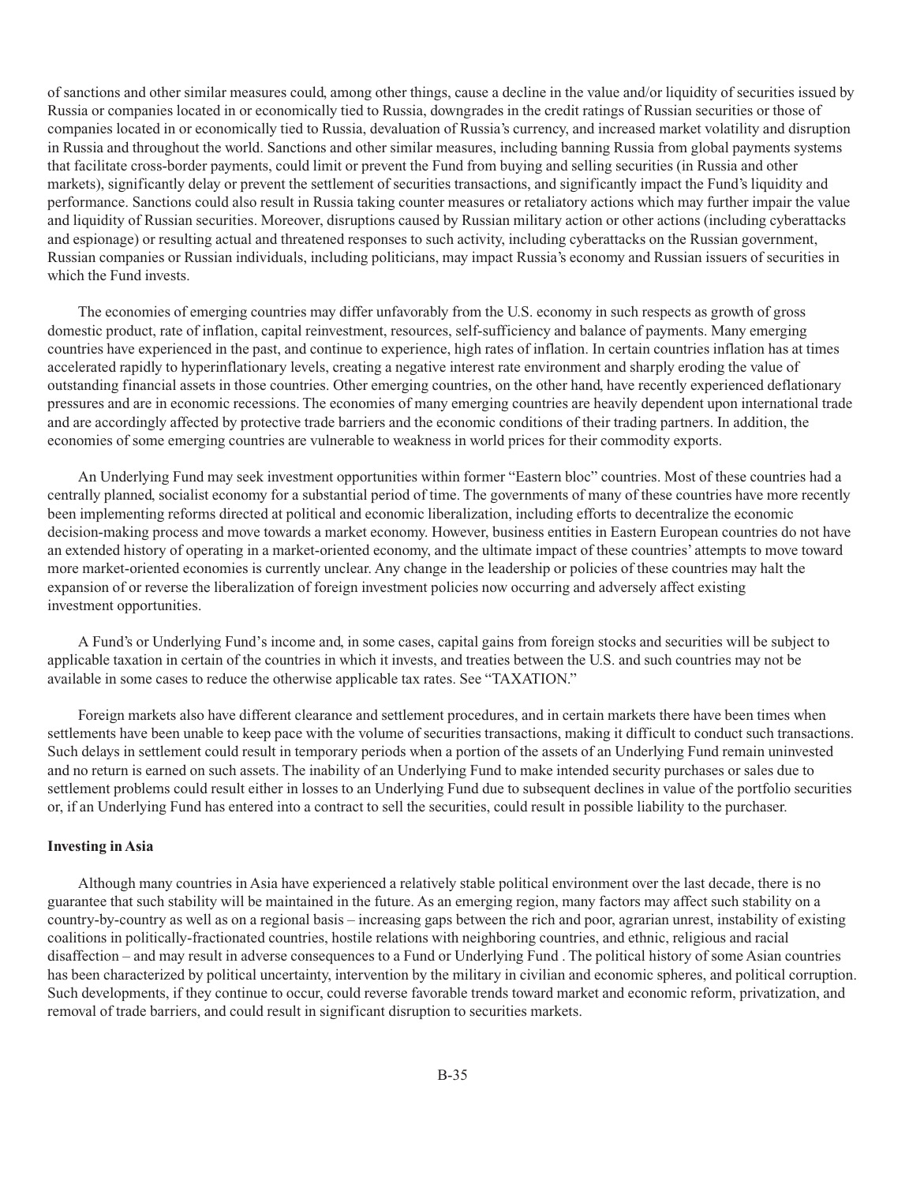of sanctions and other similar measures could, among other things, cause a decline in the value and/or liquidity of securities issued by Russia or companies located in or economically tied to Russia, downgrades in the credit ratings of Russian securities or those of companies located in or economically tied to Russia, devaluation of Russia's currency, and increased market volatility and disruption in Russia and throughout the world. Sanctions and other similar measures, including banning Russia from global payments systems that facilitate cross-border payments, could limit or prevent the Fund from buying and selling securities (in Russia and other markets), significantly delay or prevent the settlement of securities transactions, and significantly impact the Fund's liquidity and performance. Sanctions could also result in Russia taking counter measures or retaliatory actions which may further impair the value and liquidity of Russian securities. Moreover, disruptions caused by Russian military action or other actions (including cyberattacks and espionage) or resulting actual and threatened responses to such activity, including cyberattacks on the Russian government, Russian companies or Russian individuals, including politicians, may impact Russia's economy and Russian issuers of securities in which the Fund invests.

The economies of emerging countries may differ unfavorably from the U.S. economy in such respects as growth of gross domestic product, rate of inflation, capital reinvestment, resources, self-sufficiency and balance of payments. Many emerging countries have experienced in the past, and continue to experience, high rates of inflation. In certain countries inflation has at times accelerated rapidly to hyperinflationary levels, creating a negative interest rate environment and sharply eroding the value of outstanding financial assets in those countries. Other emerging countries, on the other hand, have recently experienced deflationary pressures and are in economic recessions. The economies of many emerging countries are heavily dependent upon international trade and are accordingly affected by protective trade barriers and the economic conditions of their trading partners. In addition, the economies of some emerging countries are vulnerable to weakness in world prices for their commodity exports.

An Underlying Fund may seek investment opportunities within former "Eastern bloc" countries. Most of these countries had a centrally planned, socialist economy for a substantial period of time. The governments of many of these countries have more recently been implementing reforms directed at political and economic liberalization, including efforts to decentralize the economic decision-making process and move towards a market economy. However, business entities in Eastern European countries do not have an extended history of operating in a market-oriented economy, and the ultimate impact of these countries' attempts to move toward more market-oriented economies is currently unclear. Any change in the leadership or policies of these countries may halt the expansion of or reverse the liberalization of foreign investment policies now occurring and adversely affect existing investment opportunities.

A Fund's or Underlying Fund's income and, in some cases, capital gains from foreign stocks and securities will be subject to applicable taxation in certain of the countries in which it invests, and treaties between the U.S. and such countries may not be available in some cases to reduce the otherwise applicable tax rates. See "TAXATION."

Foreign markets also have different clearance and settlement procedures, and in certain markets there have been times when settlements have been unable to keep pace with the volume of securities transactions, making it difficult to conduct such transactions. Such delays in settlement could result in temporary periods when a portion of the assets of an Underlying Fund remain uninvested and no return is earned on such assets. The inability of an Underlying Fund to make intended security purchases or sales due to settlement problems could result either in losses to an Underlying Fund due to subsequent declines in value of the portfolio securities or, if an Underlying Fund has entered into a contract to sell the securities, could result in possible liability to the purchaser.

# **Investing in Asia**

Although many countries in Asia have experienced a relatively stable political environment over the last decade, there is no guarantee that such stability will be maintained in the future. As an emerging region, many factors may affect such stability on a country-by-country as well as on a regional basis – increasing gaps between the rich and poor, agrarian unrest, instability of existing coalitions in politically-fractionated countries, hostile relations with neighboring countries, and ethnic, religious and racial disaffection – and may result in adverse consequences to a Fund or Underlying Fund . The political history of some Asian countries has been characterized by political uncertainty, intervention by the military in civilian and economic spheres, and political corruption. Such developments, if they continue to occur, could reverse favorable trends toward market and economic reform, privatization, and removal of trade barriers, and could result in significant disruption to securities markets.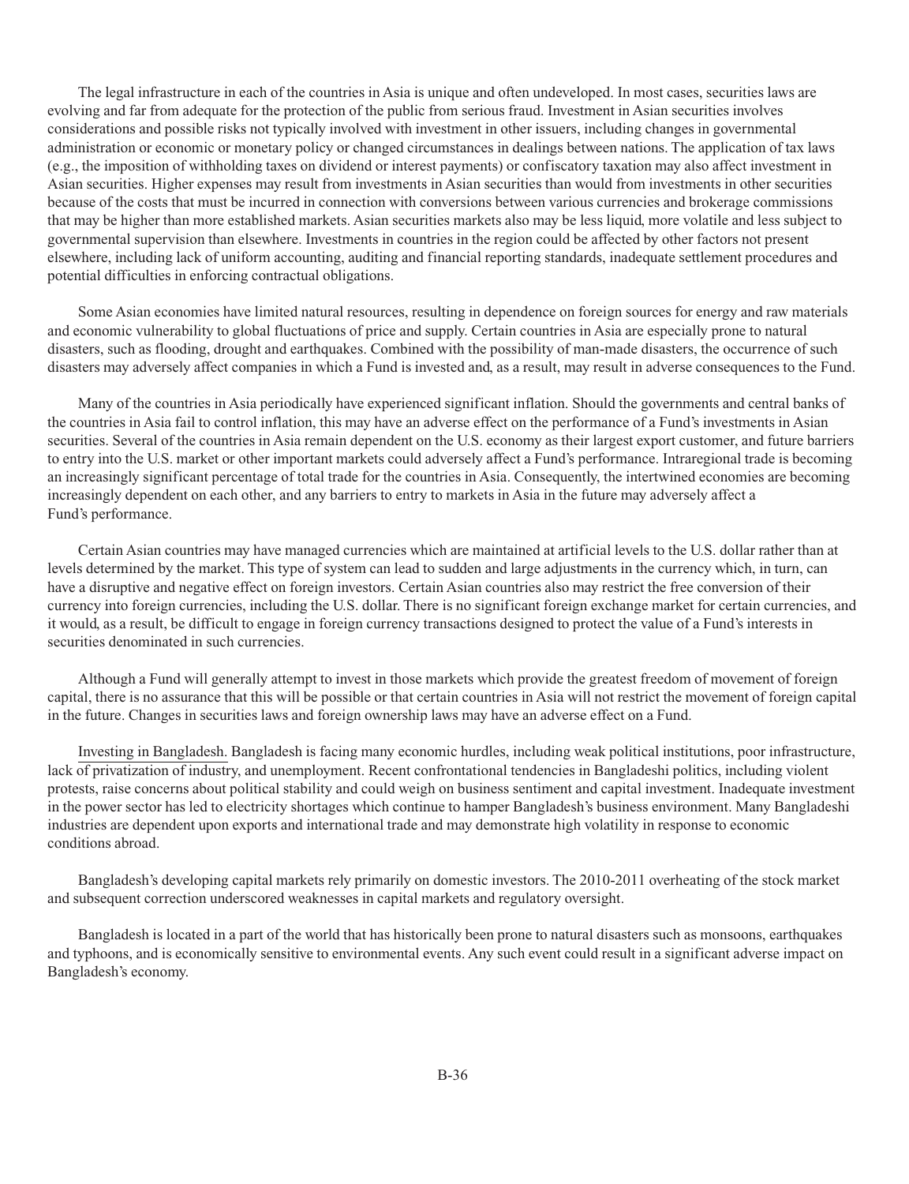The legal infrastructure in each of the countries in Asia is unique and often undeveloped. In most cases, securities laws are evolving and far from adequate for the protection of the public from serious fraud. Investment in Asian securities involves considerations and possible risks not typically involved with investment in other issuers, including changes in governmental administration or economic or monetary policy or changed circumstances in dealings between nations. The application of tax laws (e.g., the imposition of withholding taxes on dividend or interest payments) or confiscatory taxation may also affect investment in Asian securities. Higher expenses may result from investments in Asian securities than would from investments in other securities because of the costs that must be incurred in connection with conversions between various currencies and brokerage commissions that may be higher than more established markets. Asian securities markets also may be less liquid, more volatile and less subject to governmental supervision than elsewhere. Investments in countries in the region could be affected by other factors not present elsewhere, including lack of uniform accounting, auditing and financial reporting standards, inadequate settlement procedures and potential difficulties in enforcing contractual obligations.

Some Asian economies have limited natural resources, resulting in dependence on foreign sources for energy and raw materials and economic vulnerability to global fluctuations of price and supply. Certain countries in Asia are especially prone to natural disasters, such as flooding, drought and earthquakes. Combined with the possibility of man-made disasters, the occurrence of such disasters may adversely affect companies in which a Fund is invested and, as a result, may result in adverse consequences to the Fund.

Many of the countries in Asia periodically have experienced significant inflation. Should the governments and central banks of the countries in Asia fail to control inflation, this may have an adverse effect on the performance of a Fund's investments in Asian securities. Several of the countries in Asia remain dependent on the U.S. economy as their largest export customer, and future barriers to entry into the U.S. market or other important markets could adversely affect a Fund's performance. Intraregional trade is becoming an increasingly significant percentage of total trade for the countries in Asia. Consequently, the intertwined economies are becoming increasingly dependent on each other, and any barriers to entry to markets in Asia in the future may adversely affect a Fund's performance.

Certain Asian countries may have managed currencies which are maintained at artificial levels to the U.S. dollar rather than at levels determined by the market. This type of system can lead to sudden and large adjustments in the currency which, in turn, can have a disruptive and negative effect on foreign investors. Certain Asian countries also may restrict the free conversion of their currency into foreign currencies, including the U.S. dollar. There is no significant foreign exchange market for certain currencies, and it would, as a result, be difficult to engage in foreign currency transactions designed to protect the value of a Fund's interests in securities denominated in such currencies.

Although a Fund will generally attempt to invest in those markets which provide the greatest freedom of movement of foreign capital, there is no assurance that this will be possible or that certain countries in Asia will not restrict the movement of foreign capital in the future. Changes in securities laws and foreign ownership laws may have an adverse effect on a Fund.

Investing in Bangladesh. Bangladesh is facing many economic hurdles, including weak political institutions, poor infrastructure, lack of privatization of industry, and unemployment. Recent confrontational tendencies in Bangladeshi politics, including violent protests, raise concerns about political stability and could weigh on business sentiment and capital investment. Inadequate investment in the power sector has led to electricity shortages which continue to hamper Bangladesh's business environment. Many Bangladeshi industries are dependent upon exports and international trade and may demonstrate high volatility in response to economic conditions abroad.

Bangladesh's developing capital markets rely primarily on domestic investors. The 2010-2011 overheating of the stock market and subsequent correction underscored weaknesses in capital markets and regulatory oversight.

Bangladesh is located in a part of the world that has historically been prone to natural disasters such as monsoons, earthquakes and typhoons, and is economically sensitive to environmental events. Any such event could result in a significant adverse impact on Bangladesh's economy.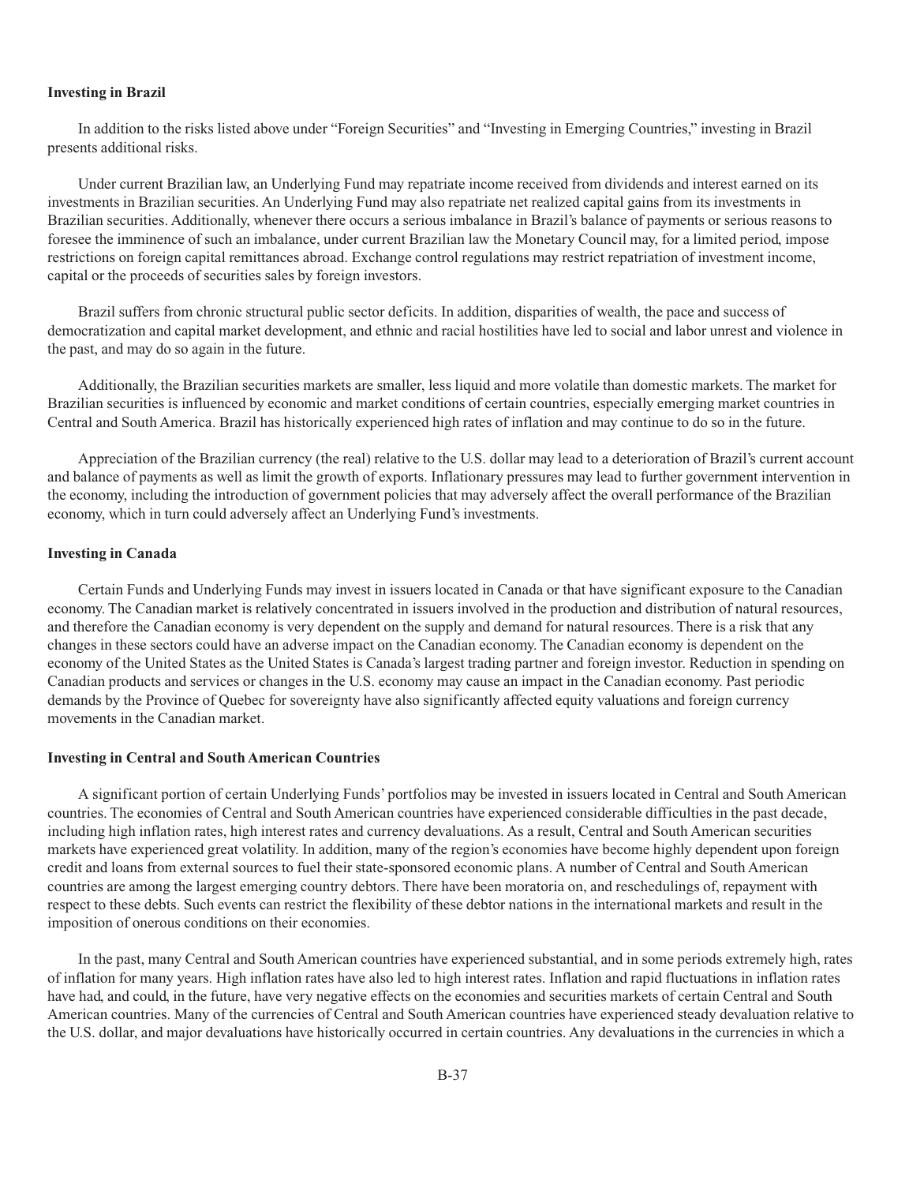#### **Investing in Brazil**

In addition to the risks listed above under "Foreign Securities" and "Investing in Emerging Countries," investing in Brazil presents additional risks.

Under current Brazilian law, an Underlying Fund may repatriate income received from dividends and interest earned on its investments in Brazilian securities. An Underlying Fund may also repatriate net realized capital gains from its investments in Brazilian securities. Additionally, whenever there occurs a serious imbalance in Brazil's balance of payments or serious reasons to foresee the imminence of such an imbalance, under current Brazilian law the Monetary Council may, for a limited period, impose restrictions on foreign capital remittances abroad. Exchange control regulations may restrict repatriation of investment income, capital or the proceeds of securities sales by foreign investors.

Brazil suffers from chronic structural public sector deficits. In addition, disparities of wealth, the pace and success of democratization and capital market development, and ethnic and racial hostilities have led to social and labor unrest and violence in the past, and may do so again in the future.

Additionally, the Brazilian securities markets are smaller, less liquid and more volatile than domestic markets. The market for Brazilian securities is influenced by economic and market conditions of certain countries, especially emerging market countries in Central and South America. Brazil has historically experienced high rates of inflation and may continue to do so in the future.

Appreciation of the Brazilian currency (the real) relative to the U.S. dollar may lead to a deterioration of Brazil's current account and balance of payments as well as limit the growth of exports. Inflationary pressures may lead to further government intervention in the economy, including the introduction of government policies that may adversely affect the overall performance of the Brazilian economy, which in turn could adversely affect an Underlying Fund's investments.

### **Investing in Canada**

Certain Funds and Underlying Funds may invest in issuers located in Canada or that have significant exposure to the Canadian economy. The Canadian market is relatively concentrated in issuers involved in the production and distribution of natural resources, and therefore the Canadian economy is very dependent on the supply and demand for natural resources. There is a risk that any changes in these sectors could have an adverse impact on the Canadian economy. The Canadian economy is dependent on the economy of the United States as the United States is Canada's largest trading partner and foreign investor. Reduction in spending on Canadian products and services or changes in the U.S. economy may cause an impact in the Canadian economy. Past periodic demands by the Province of Quebec for sovereignty have also significantly affected equity valuations and foreign currency movements in the Canadian market.

#### **Investing in Central and South American Countries**

A significant portion of certain Underlying Funds' portfolios may be invested in issuers located in Central and South American countries. The economies of Central and South American countries have experienced considerable difficulties in the past decade, including high inflation rates, high interest rates and currency devaluations. As a result, Central and South American securities markets have experienced great volatility. In addition, many of the region's economies have become highly dependent upon foreign credit and loans from external sources to fuel their state-sponsored economic plans. A number of Central and South American countries are among the largest emerging country debtors. There have been moratoria on, and reschedulings of, repayment with respect to these debts. Such events can restrict the flexibility of these debtor nations in the international markets and result in the imposition of onerous conditions on their economies.

In the past, many Central and South American countries have experienced substantial, and in some periods extremely high, rates of inflation for many years. High inflation rates have also led to high interest rates. Inflation and rapid fluctuations in inflation rates have had, and could, in the future, have very negative effects on the economies and securities markets of certain Central and South American countries. Many of the currencies of Central and South American countries have experienced steady devaluation relative to the U.S. dollar, and major devaluations have historically occurred in certain countries. Any devaluations in the currencies in which a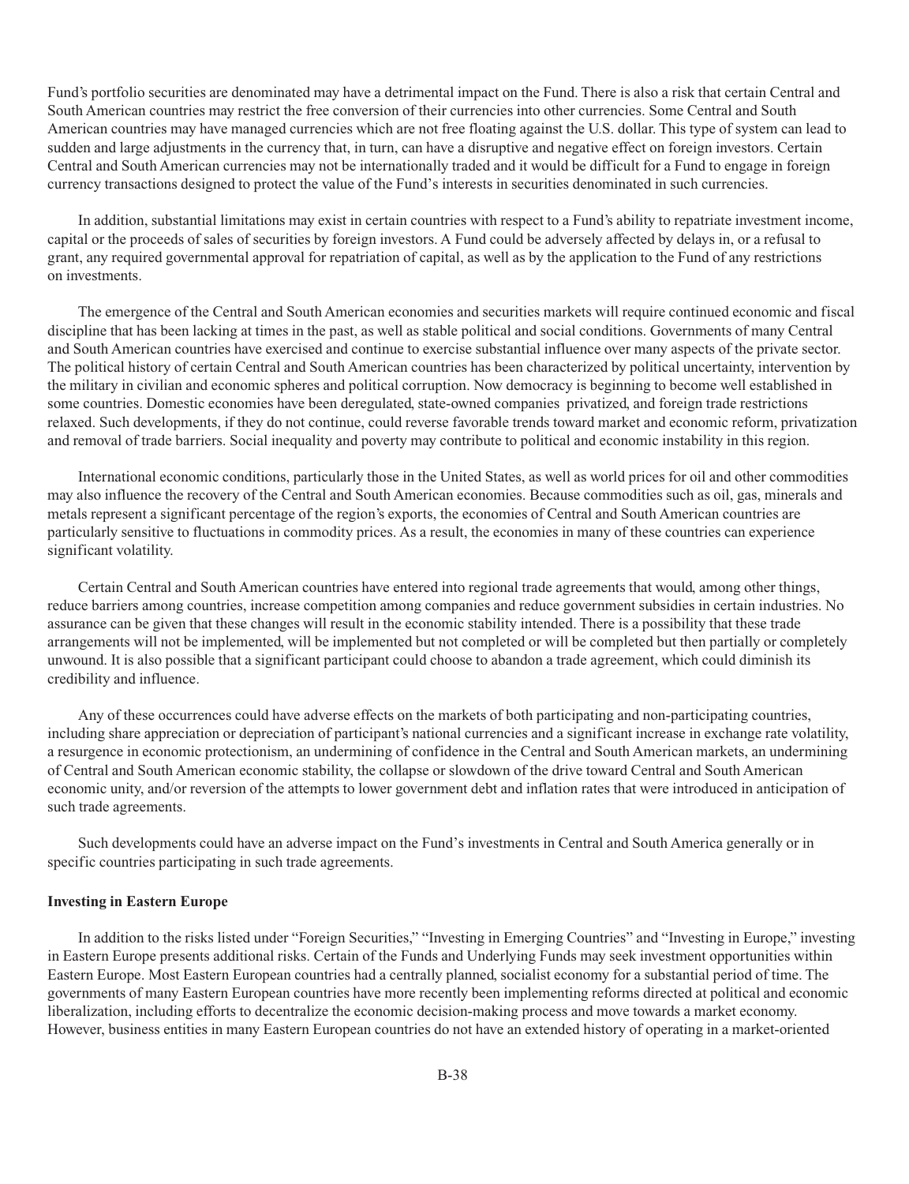Fund's portfolio securities are denominated may have a detrimental impact on the Fund. There is also a risk that certain Central and South American countries may restrict the free conversion of their currencies into other currencies. Some Central and South American countries may have managed currencies which are not free floating against the U.S. dollar. This type of system can lead to sudden and large adjustments in the currency that, in turn, can have a disruptive and negative effect on foreign investors. Certain Central and South American currencies may not be internationally traded and it would be difficult for a Fund to engage in foreign currency transactions designed to protect the value of the Fund's interests in securities denominated in such currencies.

In addition, substantial limitations may exist in certain countries with respect to a Fund's ability to repatriate investment income, capital or the proceeds of sales of securities by foreign investors. A Fund could be adversely affected by delays in, or a refusal to grant, any required governmental approval for repatriation of capital, as well as by the application to the Fund of any restrictions on investments.

The emergence of the Central and South American economies and securities markets will require continued economic and fiscal discipline that has been lacking at times in the past, as well as stable political and social conditions. Governments of many Central and South American countries have exercised and continue to exercise substantial influence over many aspects of the private sector. The political history of certain Central and South American countries has been characterized by political uncertainty, intervention by the military in civilian and economic spheres and political corruption. Now democracy is beginning to become well established in some countries. Domestic economies have been deregulated, state-owned companies privatized, and foreign trade restrictions relaxed. Such developments, if they do not continue, could reverse favorable trends toward market and economic reform, privatization and removal of trade barriers. Social inequality and poverty may contribute to political and economic instability in this region.

International economic conditions, particularly those in the United States, as well as world prices for oil and other commodities may also influence the recovery of the Central and South American economies. Because commodities such as oil, gas, minerals and metals represent a significant percentage of the region's exports, the economies of Central and South American countries are particularly sensitive to fluctuations in commodity prices. As a result, the economies in many of these countries can experience significant volatility.

Certain Central and South American countries have entered into regional trade agreements that would, among other things, reduce barriers among countries, increase competition among companies and reduce government subsidies in certain industries. No assurance can be given that these changes will result in the economic stability intended. There is a possibility that these trade arrangements will not be implemented, will be implemented but not completed or will be completed but then partially or completely unwound. It is also possible that a significant participant could choose to abandon a trade agreement, which could diminish its credibility and influence.

Any of these occurrences could have adverse effects on the markets of both participating and non-participating countries, including share appreciation or depreciation of participant's national currencies and a significant increase in exchange rate volatility, a resurgence in economic protectionism, an undermining of confidence in the Central and South American markets, an undermining of Central and South American economic stability, the collapse or slowdown of the drive toward Central and South American economic unity, and/or reversion of the attempts to lower government debt and inflation rates that were introduced in anticipation of such trade agreements.

Such developments could have an adverse impact on the Fund's investments in Central and South America generally or in specific countries participating in such trade agreements.

# **Investing in Eastern Europe**

In addition to the risks listed under "Foreign Securities," "Investing in Emerging Countries" and "Investing in Europe," investing in Eastern Europe presents additional risks. Certain of the Funds and Underlying Funds may seek investment opportunities within Eastern Europe. Most Eastern European countries had a centrally planned, socialist economy for a substantial period of time. The governments of many Eastern European countries have more recently been implementing reforms directed at political and economic liberalization, including efforts to decentralize the economic decision-making process and move towards a market economy. However, business entities in many Eastern European countries do not have an extended history of operating in a market-oriented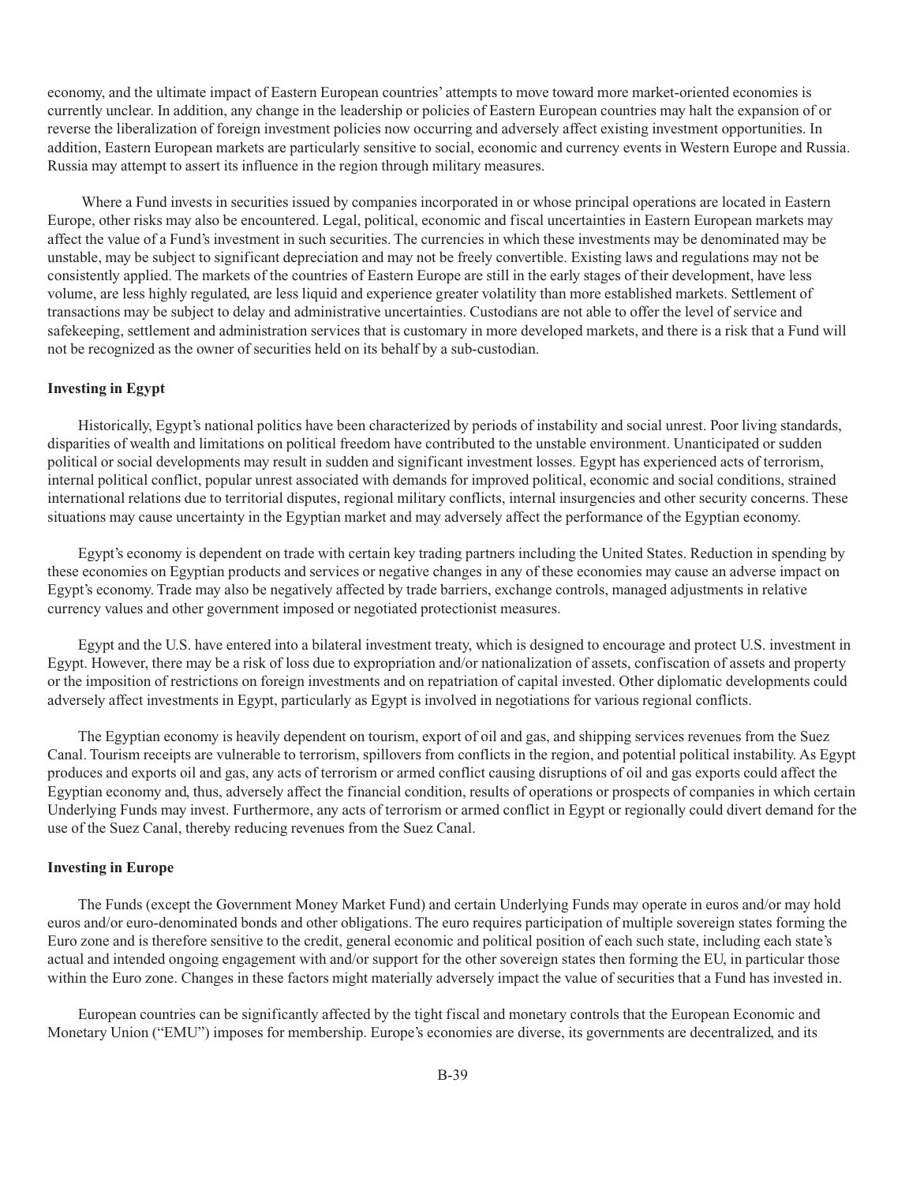economy, and the ultimate impact of Eastern European countries' attempts to move toward more market-oriented economies is currently unclear. In addition, any change in the leadership or policies of Eastern European countries may halt the expansion of or reverse the liberalization of foreign investment policies now occurring and adversely affect existing investment opportunities. In addition, Eastern European markets are particularly sensitive to social, economic and currency events in Western Europe and Russia. Russia may attempt to assert its influence in the region through military measures.

Where a Fund invests in securities issued by companies incorporated in or whose principal operations are located in Eastern Europe, other risks may also be encountered. Legal, political, economic and fiscal uncertainties in Eastern European markets may affect the value of a Fund's investment in such securities. The currencies in which these investments may be denominated may be unstable, may be subject to significant depreciation and may not be freely convertible. Existing laws and regulations may not be consistently applied. The markets of the countries of Eastern Europe are still in the early stages of their development, have less volume, are less highly regulated, are less liquid and experience greater volatility than more established markets. Settlement of transactions may be subject to delay and administrative uncertainties. Custodians are not able to offer the level of service and safekeeping, settlement and administration services that is customary in more developed markets, and there is a risk that a Fund will not be recognized as the owner of securities held on its behalf by a sub-custodian.

# **Investing in Egypt**

Historically, Egypt's national politics have been characterized by periods of instability and social unrest. Poor living standards, disparities of wealth and limitations on political freedom have contributed to the unstable environment. Unanticipated or sudden political or social developments may result in sudden and significant investment losses. Egypt has experienced acts of terrorism, internal political conflict, popular unrest associated with demands for improved political, economic and social conditions, strained international relations due to territorial disputes, regional military conflicts, internal insurgencies and other security concerns. These situations may cause uncertainty in the Egyptian market and may adversely affect the performance of the Egyptian economy.

Egypt's economy is dependent on trade with certain key trading partners including the United States. Reduction in spending by these economies on Egyptian products and services or negative changes in any of these economies may cause an adverse impact on Egypt's economy. Trade may also be negatively affected by trade barriers, exchange controls, managed adjustments in relative currency values and other government imposed or negotiated protectionist measures.

Egypt and the U.S. have entered into a bilateral investment treaty, which is designed to encourage and protect U.S. investment in Egypt. However, there may be a risk of loss due to expropriation and/or nationalization of assets, confiscation of assets and property or the imposition of restrictions on foreign investments and on repatriation of capital invested. Other diplomatic developments could adversely affect investments in Egypt, particularly as Egypt is involved in negotiations for various regional conflicts.

The Egyptian economy is heavily dependent on tourism, export of oil and gas, and shipping services revenues from the Suez Canal. Tourism receipts are vulnerable to terrorism, spillovers from conflicts in the region, and potential political instability. As Egypt produces and exports oil and gas, any acts of terrorism or armed conflict causing disruptions of oil and gas exports could affect the Egyptian economy and, thus, adversely affect the financial condition, results of operations or prospects of companies in which certain Underlying Funds may invest. Furthermore, any acts of terrorism or armed conflict in Egypt or regionally could divert demand for the use of the Suez Canal, thereby reducing revenues from the Suez Canal.

## **Investing in Europe**

The Funds (except the Government Money Market Fund) and certain Underlying Funds may operate in euros and/or may hold euros and/or euro-denominated bonds and other obligations. The euro requires participation of multiple sovereign states forming the Euro zone and is therefore sensitive to the credit, general economic and political position of each such state, including each state's actual and intended ongoing engagement with and/or support for the other sovereign states then forming the EU, in particular those within the Euro zone. Changes in these factors might materially adversely impact the value of securities that a Fund has invested in.

European countries can be significantly affected by the tight fiscal and monetary controls that the European Economic and Monetary Union ("EMU") imposes for membership. Europe's economies are diverse, its governments are decentralized, and its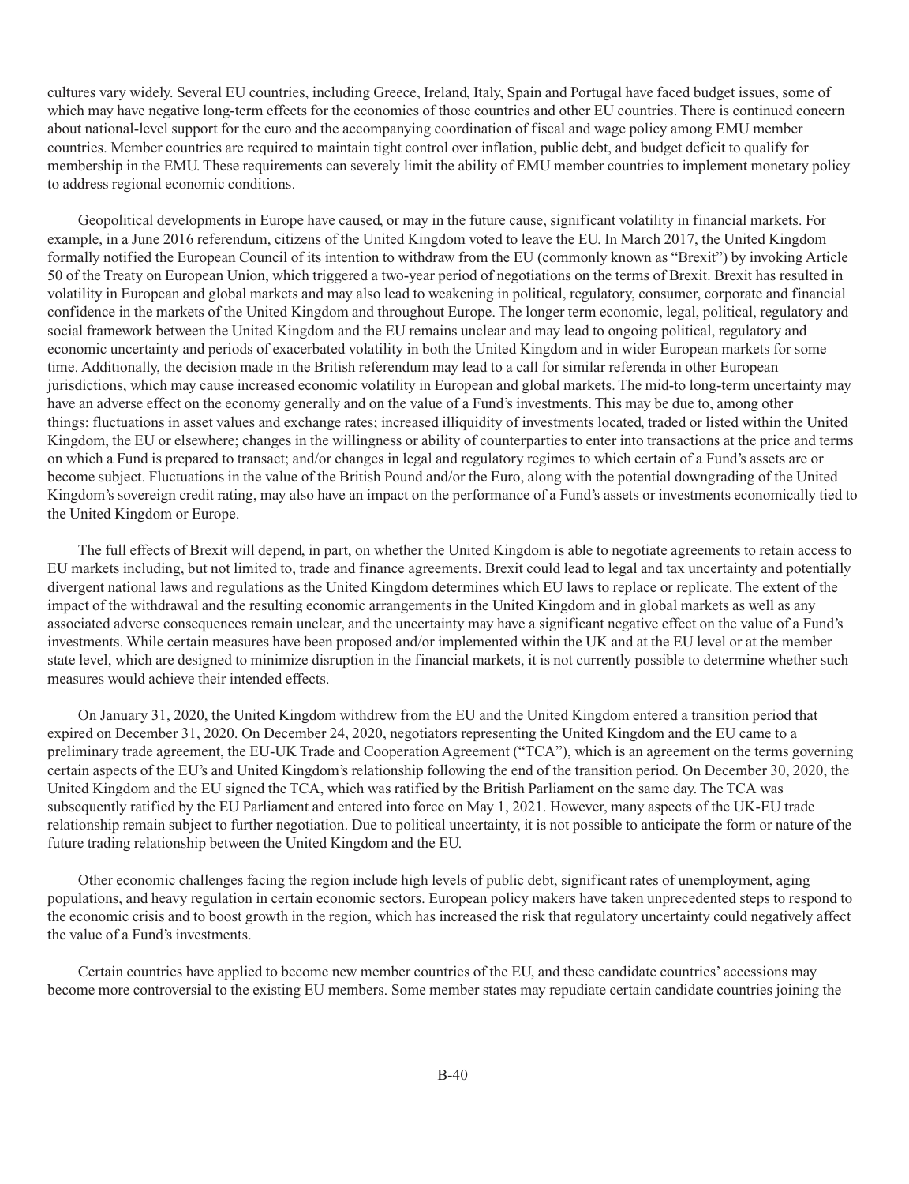cultures vary widely. Several EU countries, including Greece, Ireland, Italy, Spain and Portugal have faced budget issues, some of which may have negative long-term effects for the economies of those countries and other EU countries. There is continued concern about national-level support for the euro and the accompanying coordination of fiscal and wage policy among EMU member countries. Member countries are required to maintain tight control over inflation, public debt, and budget deficit to qualify for membership in the EMU. These requirements can severely limit the ability of EMU member countries to implement monetary policy to address regional economic conditions.

Geopolitical developments in Europe have caused, or may in the future cause, significant volatility in financial markets. For example, in a June 2016 referendum, citizens of the United Kingdom voted to leave the EU. In March 2017, the United Kingdom formally notified the European Council of its intention to withdraw from the EU (commonly known as "Brexit") by invoking Article 50 of the Treaty on European Union, which triggered a two-year period of negotiations on the terms of Brexit. Brexit has resulted in volatility in European and global markets and may also lead to weakening in political, regulatory, consumer, corporate and financial confidence in the markets of the United Kingdom and throughout Europe. The longer term economic, legal, political, regulatory and social framework between the United Kingdom and the EU remains unclear and may lead to ongoing political, regulatory and economic uncertainty and periods of exacerbated volatility in both the United Kingdom and in wider European markets for some time. Additionally, the decision made in the British referendum may lead to a call for similar referenda in other European jurisdictions, which may cause increased economic volatility in European and global markets. The mid-to long-term uncertainty may have an adverse effect on the economy generally and on the value of a Fund's investments. This may be due to, among other things: fluctuations in asset values and exchange rates; increased illiquidity of investments located, traded or listed within the United Kingdom, the EU or elsewhere; changes in the willingness or ability of counterparties to enter into transactions at the price and terms on which a Fund is prepared to transact; and/or changes in legal and regulatory regimes to which certain of a Fund's assets are or become subject. Fluctuations in the value of the British Pound and/or the Euro, along with the potential downgrading of the United Kingdom's sovereign credit rating, may also have an impact on the performance of a Fund's assets or investments economically tied to the United Kingdom or Europe.

The full effects of Brexit will depend, in part, on whether the United Kingdom is able to negotiate agreements to retain access to EU markets including, but not limited to, trade and finance agreements. Brexit could lead to legal and tax uncertainty and potentially divergent national laws and regulations as the United Kingdom determines which EU laws to replace or replicate. The extent of the impact of the withdrawal and the resulting economic arrangements in the United Kingdom and in global markets as well as any associated adverse consequences remain unclear, and the uncertainty may have a significant negative effect on the value of a Fund's investments. While certain measures have been proposed and/or implemented within the UK and at the EU level or at the member state level, which are designed to minimize disruption in the financial markets, it is not currently possible to determine whether such measures would achieve their intended effects.

On January 31, 2020, the United Kingdom withdrew from the EU and the United Kingdom entered a transition period that expired on December 31, 2020. On December 24, 2020, negotiators representing the United Kingdom and the EU came to a preliminary trade agreement, the EU-UK Trade and Cooperation Agreement ("TCA"), which is an agreement on the terms governing certain aspects of the EU's and United Kingdom's relationship following the end of the transition period. On December 30, 2020, the United Kingdom and the EU signed the TCA, which was ratified by the British Parliament on the same day. The TCA was subsequently ratified by the EU Parliament and entered into force on May 1, 2021. However, many aspects of the UK-EU trade relationship remain subject to further negotiation. Due to political uncertainty, it is not possible to anticipate the form or nature of the future trading relationship between the United Kingdom and the EU.

Other economic challenges facing the region include high levels of public debt, significant rates of unemployment, aging populations, and heavy regulation in certain economic sectors. European policy makers have taken unprecedented steps to respond to the economic crisis and to boost growth in the region, which has increased the risk that regulatory uncertainty could negatively affect the value of a Fund's investments.

Certain countries have applied to become new member countries of the EU, and these candidate countries' accessions may become more controversial to the existing EU members. Some member states may repudiate certain candidate countries joining the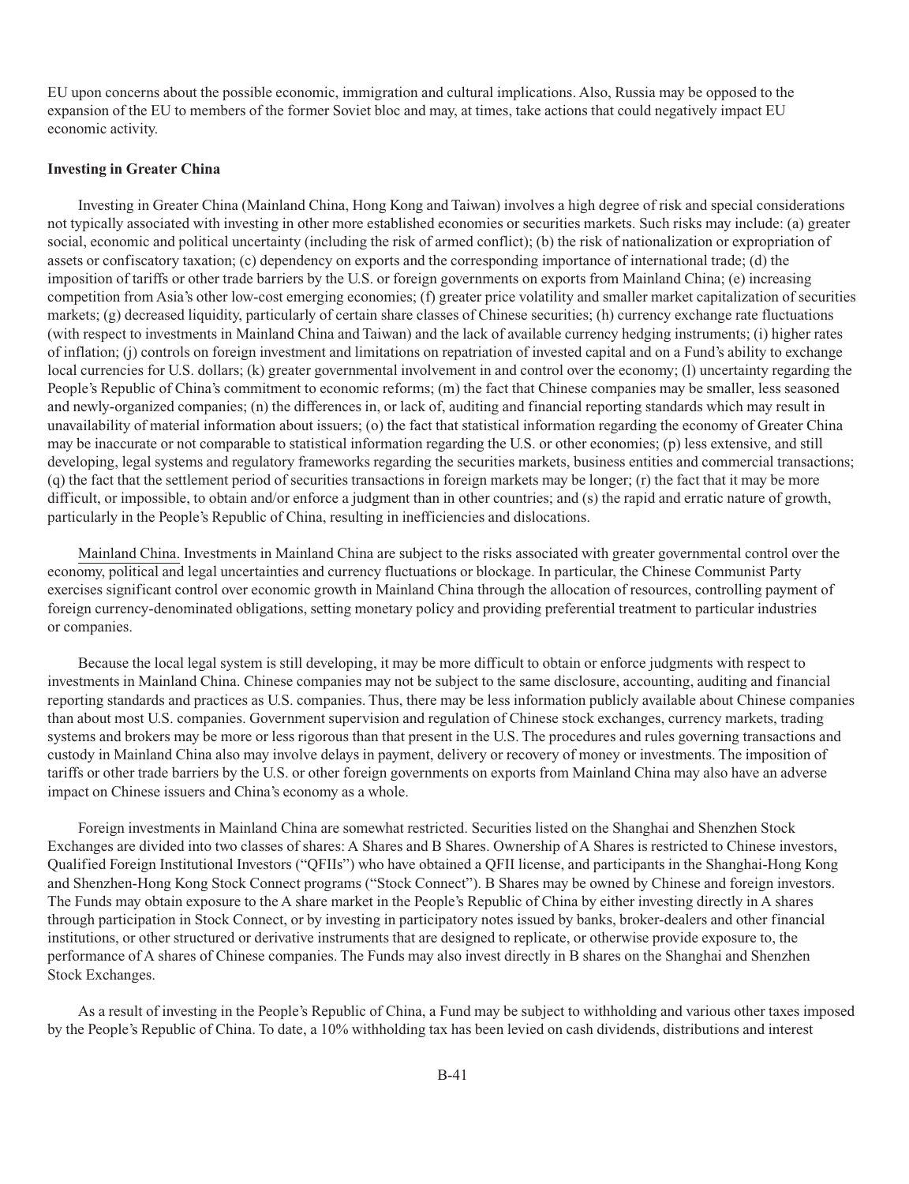EU upon concerns about the possible economic, immigration and cultural implications. Also, Russia may be opposed to the expansion of the EU to members of the former Soviet bloc and may, at times, take actions that could negatively impact EU economic activity.

### **Investing in Greater China**

Investing in Greater China (Mainland China, Hong Kong and Taiwan) involves a high degree of risk and special considerations not typically associated with investing in other more established economies or securities markets. Such risks may include: (a) greater social, economic and political uncertainty (including the risk of armed conflict); (b) the risk of nationalization or expropriation of assets or confiscatory taxation; (c) dependency on exports and the corresponding importance of international trade; (d) the imposition of tariffs or other trade barriers by the U.S. or foreign governments on exports from Mainland China; (e) increasing competition from Asia's other low-cost emerging economies; (f) greater price volatility and smaller market capitalization of securities markets; (g) decreased liquidity, particularly of certain share classes of Chinese securities; (h) currency exchange rate fluctuations (with respect to investments in Mainland China and Taiwan) and the lack of available currency hedging instruments; (i) higher rates of inflation; (j) controls on foreign investment and limitations on repatriation of invested capital and on a Fund's ability to exchange local currencies for U.S. dollars; (k) greater governmental involvement in and control over the economy; (1) uncertainty regarding the People's Republic of China's commitment to economic reforms; (m) the fact that Chinese companies may be smaller, less seasoned and newly-organized companies; (n) the differences in, or lack of, auditing and financial reporting standards which may result in unavailability of material information about issuers; (o) the fact that statistical information regarding the economy of Greater China may be inaccurate or not comparable to statistical information regarding the U.S. or other economies; (p) less extensive, and still developing, legal systems and regulatory frameworks regarding the securities markets, business entities and commercial transactions; (q) the fact that the settlement period of securities transactions in foreign markets may be longer; (r) the fact that it may be more difficult, or impossible, to obtain and/or enforce a judgment than in other countries; and (s) the rapid and erratic nature of growth, particularly in the People's Republic of China, resulting in inefficiencies and dislocations.

Mainland China. Investments in Mainland China are subject to the risks associated with greater governmental control over the economy, political and legal uncertainties and currency fluctuations or blockage. In particular, the Chinese Communist Party exercises significant control over economic growth in Mainland China through the allocation of resources, controlling payment of foreign currency-denominated obligations, setting monetary policy and providing preferential treatment to particular industries or companies.

Because the local legal system is still developing, it may be more difficult to obtain or enforce judgments with respect to investments in Mainland China. Chinese companies may not be subject to the same disclosure, accounting, auditing and financial reporting standards and practices as U.S. companies. Thus, there may be less information publicly available about Chinese companies than about most U.S. companies. Government supervision and regulation of Chinese stock exchanges, currency markets, trading systems and brokers may be more or less rigorous than that present in the U.S. The procedures and rules governing transactions and custody in Mainland China also may involve delays in payment, delivery or recovery of money or investments. The imposition of tariffs or other trade barriers by the U.S. or other foreign governments on exports from Mainland China may also have an adverse impact on Chinese issuers and China's economy as a whole.

Foreign investments in Mainland China are somewhat restricted. Securities listed on the Shanghai and Shenzhen Stock Exchanges are divided into two classes of shares: A Shares and B Shares. Ownership of A Shares is restricted to Chinese investors, Qualified Foreign Institutional Investors ("QFIIs") who have obtained a QFII license, and participants in the Shanghai-Hong Kong and Shenzhen-Hong Kong Stock Connect programs ("Stock Connect"). B Shares may be owned by Chinese and foreign investors. The Funds may obtain exposure to the A share market in the People's Republic of China by either investing directly in A shares through participation in Stock Connect, or by investing in participatory notes issued by banks, broker-dealers and other financial institutions, or other structured or derivative instruments that are designed to replicate, or otherwise provide exposure to, the performance of A shares of Chinese companies. The Funds may also invest directly in B shares on the Shanghai and Shenzhen Stock Exchanges.

As a result of investing in the People's Republic of China, a Fund may be subject to withholding and various other taxes imposed by the People's Republic of China. To date, a 10% withholding tax has been levied on cash dividends, distributions and interest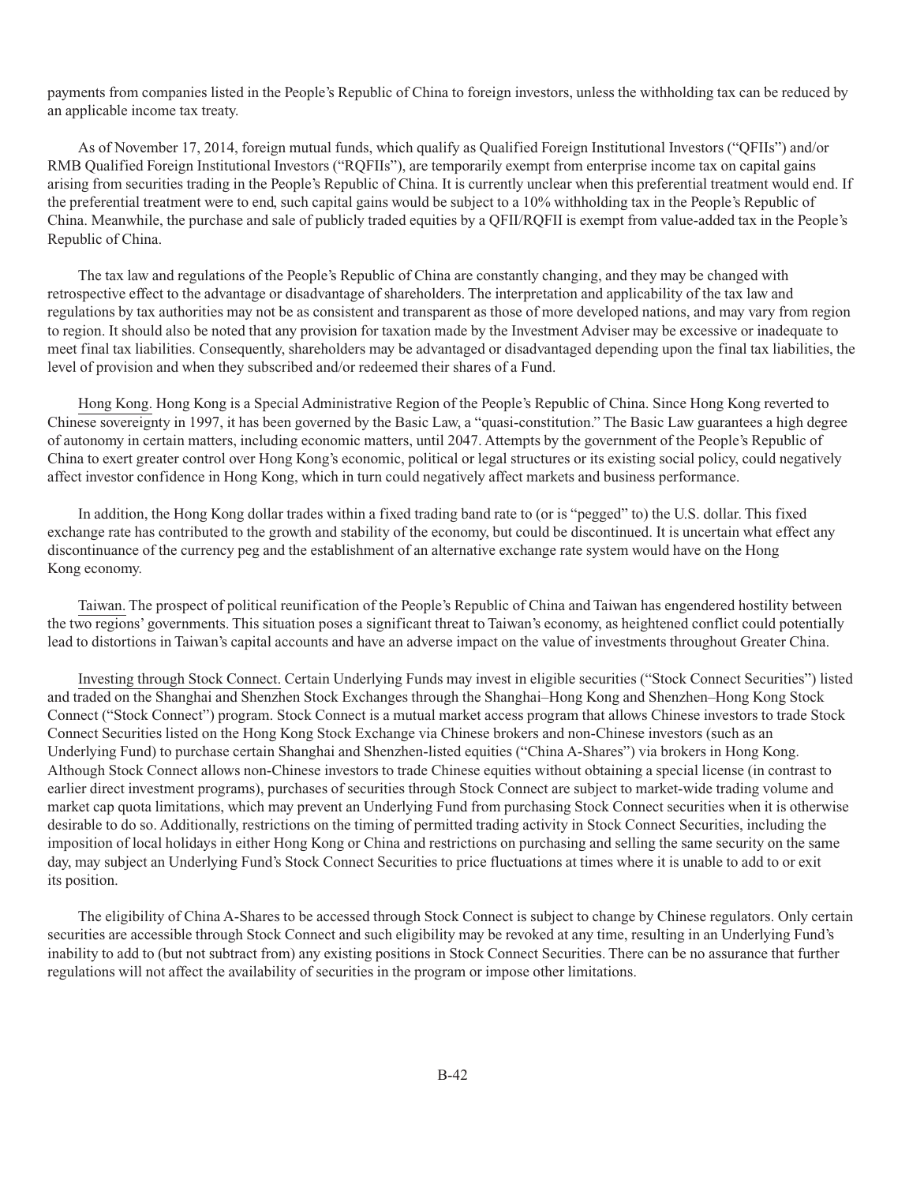payments from companies listed in the People's Republic of China to foreign investors, unless the withholding tax can be reduced by an applicable income tax treaty.

As of November 17, 2014, foreign mutual funds, which qualify as Qualified Foreign Institutional Investors ("QFIIs") and/or RMB Qualified Foreign Institutional Investors ("RQFIIs"), are temporarily exempt from enterprise income tax on capital gains arising from securities trading in the People's Republic of China. It is currently unclear when this preferential treatment would end. If the preferential treatment were to end, such capital gains would be subject to a 10% withholding tax in the People's Republic of China. Meanwhile, the purchase and sale of publicly traded equities by a QFII/RQFII is exempt from value-added tax in the People's Republic of China.

The tax law and regulations of the People's Republic of China are constantly changing, and they may be changed with retrospective effect to the advantage or disadvantage of shareholders. The interpretation and applicability of the tax law and regulations by tax authorities may not be as consistent and transparent as those of more developed nations, and may vary from region to region. It should also be noted that any provision for taxation made by the Investment Adviser may be excessive or inadequate to meet final tax liabilities. Consequently, shareholders may be advantaged or disadvantaged depending upon the final tax liabilities, the level of provision and when they subscribed and/or redeemed their shares of a Fund.

Hong Kong. Hong Kong is a Special Administrative Region of the People's Republic of China. Since Hong Kong reverted to Chinese sovereignty in 1997, it has been governed by the Basic Law, a "quasi-constitution." The Basic Law guarantees a high degree of autonomy in certain matters, including economic matters, until 2047. Attempts by the government of the People's Republic of China to exert greater control over Hong Kong's economic, political or legal structures or its existing social policy, could negatively affect investor confidence in Hong Kong, which in turn could negatively affect markets and business performance.

In addition, the Hong Kong dollar trades within a fixed trading band rate to (or is "pegged" to) the U.S. dollar. This fixed exchange rate has contributed to the growth and stability of the economy, but could be discontinued. It is uncertain what effect any discontinuance of the currency peg and the establishment of an alternative exchange rate system would have on the Hong Kong economy.

Taiwan. The prospect of political reunification of the People's Republic of China and Taiwan has engendered hostility between the two regions' governments. This situation poses a significant threat to Taiwan's economy, as heightened conflict could potentially lead to distortions in Taiwan's capital accounts and have an adverse impact on the value of investments throughout Greater China.

Investing through Stock Connect. Certain Underlying Funds may invest in eligible securities ("Stock Connect Securities") listed and traded on the Shanghai and Shenzhen Stock Exchanges through the Shanghai–Hong Kong and Shenzhen–Hong Kong Stock Connect ("Stock Connect") program. Stock Connect is a mutual market access program that allows Chinese investors to trade Stock Connect Securities listed on the Hong Kong Stock Exchange via Chinese brokers and non-Chinese investors (such as an Underlying Fund) to purchase certain Shanghai and Shenzhen-listed equities ("China A-Shares") via brokers in Hong Kong. Although Stock Connect allows non-Chinese investors to trade Chinese equities without obtaining a special license (in contrast to earlier direct investment programs), purchases of securities through Stock Connect are subject to market-wide trading volume and market cap quota limitations, which may prevent an Underlying Fund from purchasing Stock Connect securities when it is otherwise desirable to do so. Additionally, restrictions on the timing of permitted trading activity in Stock Connect Securities, including the imposition of local holidays in either Hong Kong or China and restrictions on purchasing and selling the same security on the same day, may subject an Underlying Fund's Stock Connect Securities to price fluctuations at times where it is unable to add to or exit its position.

The eligibility of China A-Shares to be accessed through Stock Connect is subject to change by Chinese regulators. Only certain securities are accessible through Stock Connect and such eligibility may be revoked at any time, resulting in an Underlying Fund's inability to add to (but not subtract from) any existing positions in Stock Connect Securities. There can be no assurance that further regulations will not affect the availability of securities in the program or impose other limitations.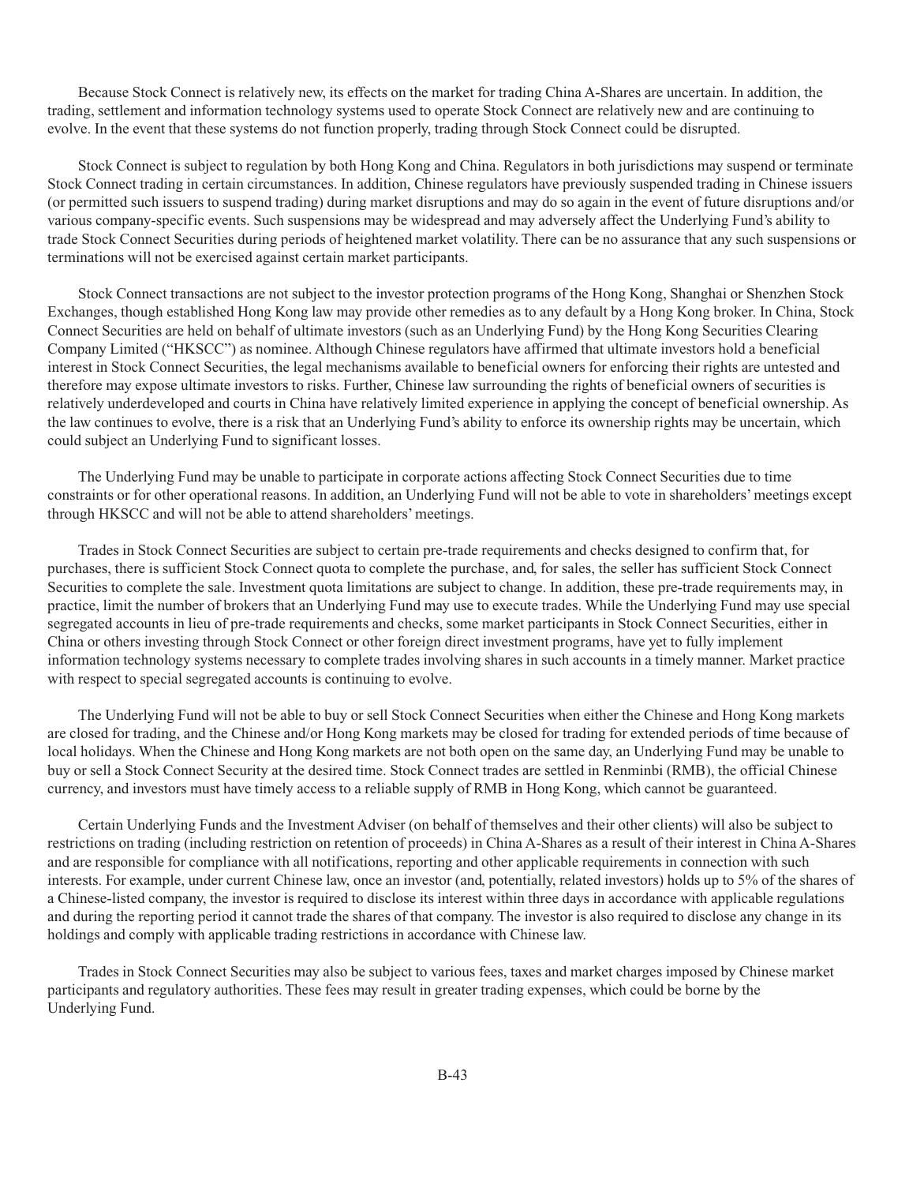Because Stock Connect is relatively new, its effects on the market for trading China A-Shares are uncertain. In addition, the trading, settlement and information technology systems used to operate Stock Connect are relatively new and are continuing to evolve. In the event that these systems do not function properly, trading through Stock Connect could be disrupted.

Stock Connect is subject to regulation by both Hong Kong and China. Regulators in both jurisdictions may suspend or terminate Stock Connect trading in certain circumstances. In addition, Chinese regulators have previously suspended trading in Chinese issuers (or permitted such issuers to suspend trading) during market disruptions and may do so again in the event of future disruptions and/or various company-specific events. Such suspensions may be widespread and may adversely affect the Underlying Fund's ability to trade Stock Connect Securities during periods of heightened market volatility. There can be no assurance that any such suspensions or terminations will not be exercised against certain market participants.

Stock Connect transactions are not subject to the investor protection programs of the Hong Kong, Shanghai or Shenzhen Stock Exchanges, though established Hong Kong law may provide other remedies as to any default by a Hong Kong broker. In China, Stock Connect Securities are held on behalf of ultimate investors (such as an Underlying Fund) by the Hong Kong Securities Clearing Company Limited ("HKSCC") as nominee. Although Chinese regulators have affirmed that ultimate investors hold a beneficial interest in Stock Connect Securities, the legal mechanisms available to beneficial owners for enforcing their rights are untested and therefore may expose ultimate investors to risks. Further, Chinese law surrounding the rights of beneficial owners of securities is relatively underdeveloped and courts in China have relatively limited experience in applying the concept of beneficial ownership. As the law continues to evolve, there is a risk that an Underlying Fund's ability to enforce its ownership rights may be uncertain, which could subject an Underlying Fund to significant losses.

The Underlying Fund may be unable to participate in corporate actions affecting Stock Connect Securities due to time constraints or for other operational reasons. In addition, an Underlying Fund will not be able to vote in shareholders' meetings except through HKSCC and will not be able to attend shareholders' meetings.

Trades in Stock Connect Securities are subject to certain pre-trade requirements and checks designed to confirm that, for purchases, there is sufficient Stock Connect quota to complete the purchase, and, for sales, the seller has sufficient Stock Connect Securities to complete the sale. Investment quota limitations are subject to change. In addition, these pre-trade requirements may, in practice, limit the number of brokers that an Underlying Fund may use to execute trades. While the Underlying Fund may use special segregated accounts in lieu of pre-trade requirements and checks, some market participants in Stock Connect Securities, either in China or others investing through Stock Connect or other foreign direct investment programs, have yet to fully implement information technology systems necessary to complete trades involving shares in such accounts in a timely manner. Market practice with respect to special segregated accounts is continuing to evolve.

The Underlying Fund will not be able to buy or sell Stock Connect Securities when either the Chinese and Hong Kong markets are closed for trading, and the Chinese and/or Hong Kong markets may be closed for trading for extended periods of time because of local holidays. When the Chinese and Hong Kong markets are not both open on the same day, an Underlying Fund may be unable to buy or sell a Stock Connect Security at the desired time. Stock Connect trades are settled in Renminbi (RMB), the official Chinese currency, and investors must have timely access to a reliable supply of RMB in Hong Kong, which cannot be guaranteed.

Certain Underlying Funds and the Investment Adviser (on behalf of themselves and their other clients) will also be subject to restrictions on trading (including restriction on retention of proceeds) in China A-Shares as a result of their interest in China A-Shares and are responsible for compliance with all notifications, reporting and other applicable requirements in connection with such interests. For example, under current Chinese law, once an investor (and, potentially, related investors) holds up to 5% of the shares of a Chinese-listed company, the investor is required to disclose its interest within three days in accordance with applicable regulations and during the reporting period it cannot trade the shares of that company. The investor is also required to disclose any change in its holdings and comply with applicable trading restrictions in accordance with Chinese law.

Trades in Stock Connect Securities may also be subject to various fees, taxes and market charges imposed by Chinese market participants and regulatory authorities. These fees may result in greater trading expenses, which could be borne by the Underlying Fund.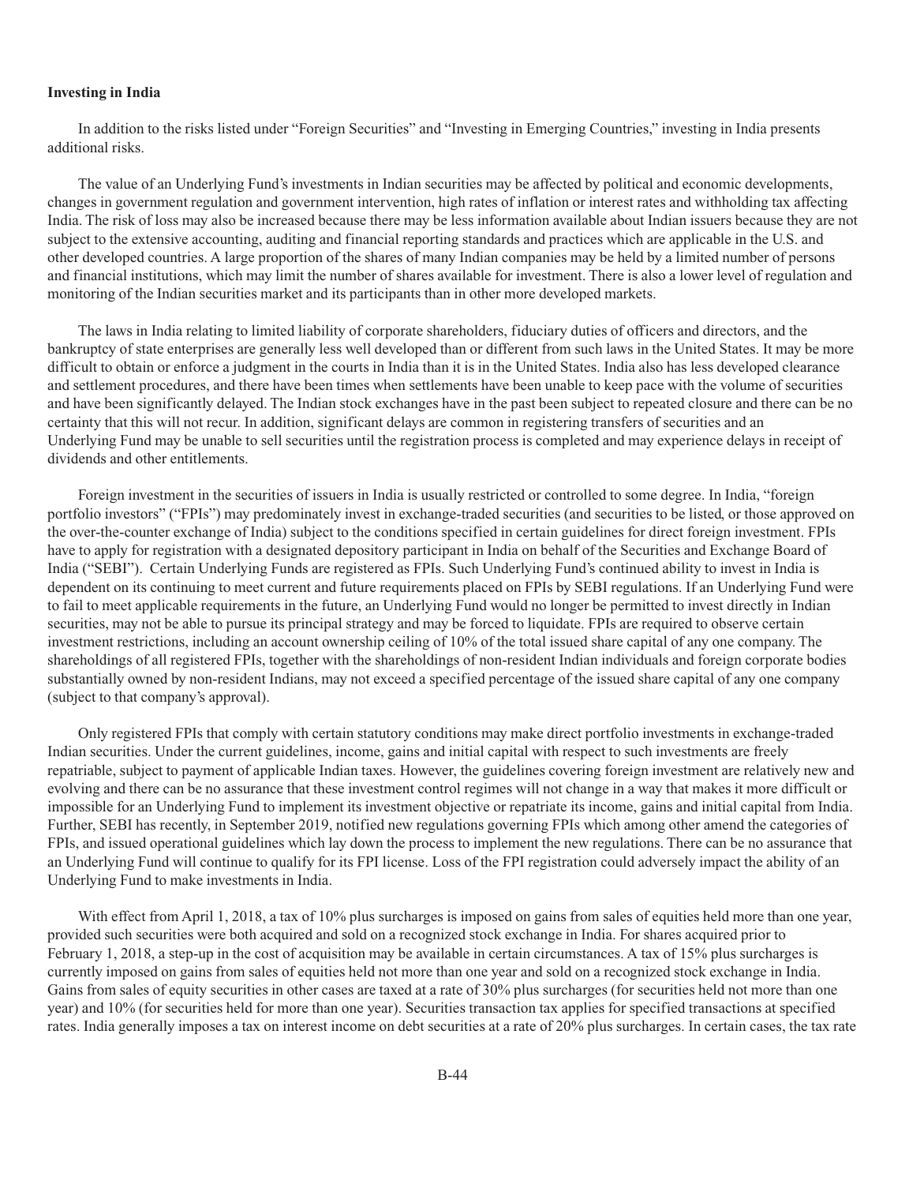# **Investing in India**

In addition to the risks listed under "Foreign Securities" and "Investing in Emerging Countries," investing in India presents additional risks.

The value of an Underlying Fund's investments in Indian securities may be affected by political and economic developments, changes in government regulation and government intervention, high rates of inflation or interest rates and withholding tax affecting India. The risk of loss may also be increased because there may be less information available about Indian issuers because they are not subject to the extensive accounting, auditing and financial reporting standards and practices which are applicable in the U.S. and other developed countries. A large proportion of the shares of many Indian companies may be held by a limited number of persons and financial institutions, which may limit the number of shares available for investment. There is also a lower level of regulation and monitoring of the Indian securities market and its participants than in other more developed markets.

The laws in India relating to limited liability of corporate shareholders, fiduciary duties of officers and directors, and the bankruptcy of state enterprises are generally less well developed than or different from such laws in the United States. It may be more difficult to obtain or enforce a judgment in the courts in India than it is in the United States. India also has less developed clearance and settlement procedures, and there have been times when settlements have been unable to keep pace with the volume of securities and have been significantly delayed. The Indian stock exchanges have in the past been subject to repeated closure and there can be no certainty that this will not recur. In addition, significant delays are common in registering transfers of securities and an Underlying Fund may be unable to sell securities until the registration process is completed and may experience delays in receipt of dividends and other entitlements.

Foreign investment in the securities of issuers in India is usually restricted or controlled to some degree. In India, "foreign portfolio investors" ("FPIs") may predominately invest in exchange-traded securities (and securities to be listed, or those approved on the over-the-counter exchange of India) subject to the conditions specified in certain guidelines for direct foreign investment. FPIs have to apply for registration with a designated depository participant in India on behalf of the Securities and Exchange Board of India ("SEBI"). Certain Underlying Funds are registered as FPIs. Such Underlying Fund's continued ability to invest in India is dependent on its continuing to meet current and future requirements placed on FPIs by SEBI regulations. If an Underlying Fund were to fail to meet applicable requirements in the future, an Underlying Fund would no longer be permitted to invest directly in Indian securities, may not be able to pursue its principal strategy and may be forced to liquidate. FPIs are required to observe certain investment restrictions, including an account ownership ceiling of 10% of the total issued share capital of any one company. The shareholdings of all registered FPIs, together with the shareholdings of non-resident Indian individuals and foreign corporate bodies substantially owned by non-resident Indians, may not exceed a specified percentage of the issued share capital of any one company (subject to that company's approval).

Only registered FPIs that comply with certain statutory conditions may make direct portfolio investments in exchange-traded Indian securities. Under the current guidelines, income, gains and initial capital with respect to such investments are freely repatriable, subject to payment of applicable Indian taxes. However, the guidelines covering foreign investment are relatively new and evolving and there can be no assurance that these investment control regimes will not change in a way that makes it more difficult or impossible for an Underlying Fund to implement its investment objective or repatriate its income, gains and initial capital from India. Further, SEBI has recently, in September 2019, notified new regulations governing FPIs which among other amend the categories of FPIs, and issued operational guidelines which lay down the process to implement the new regulations. There can be no assurance that an Underlying Fund will continue to qualify for its FPI license. Loss of the FPI registration could adversely impact the ability of an Underlying Fund to make investments in India.

With effect from April 1, 2018, a tax of 10% plus surcharges is imposed on gains from sales of equities held more than one year, provided such securities were both acquired and sold on a recognized stock exchange in India. For shares acquired prior to February 1, 2018, a step-up in the cost of acquisition may be available in certain circumstances. A tax of 15% plus surcharges is currently imposed on gains from sales of equities held not more than one year and sold on a recognized stock exchange in India. Gains from sales of equity securities in other cases are taxed at a rate of 30% plus surcharges (for securities held not more than one year) and 10% (for securities held for more than one year). Securities transaction tax applies for specified transactions at specified rates. India generally imposes a tax on interest income on debt securities at a rate of 20% plus surcharges. In certain cases, the tax rate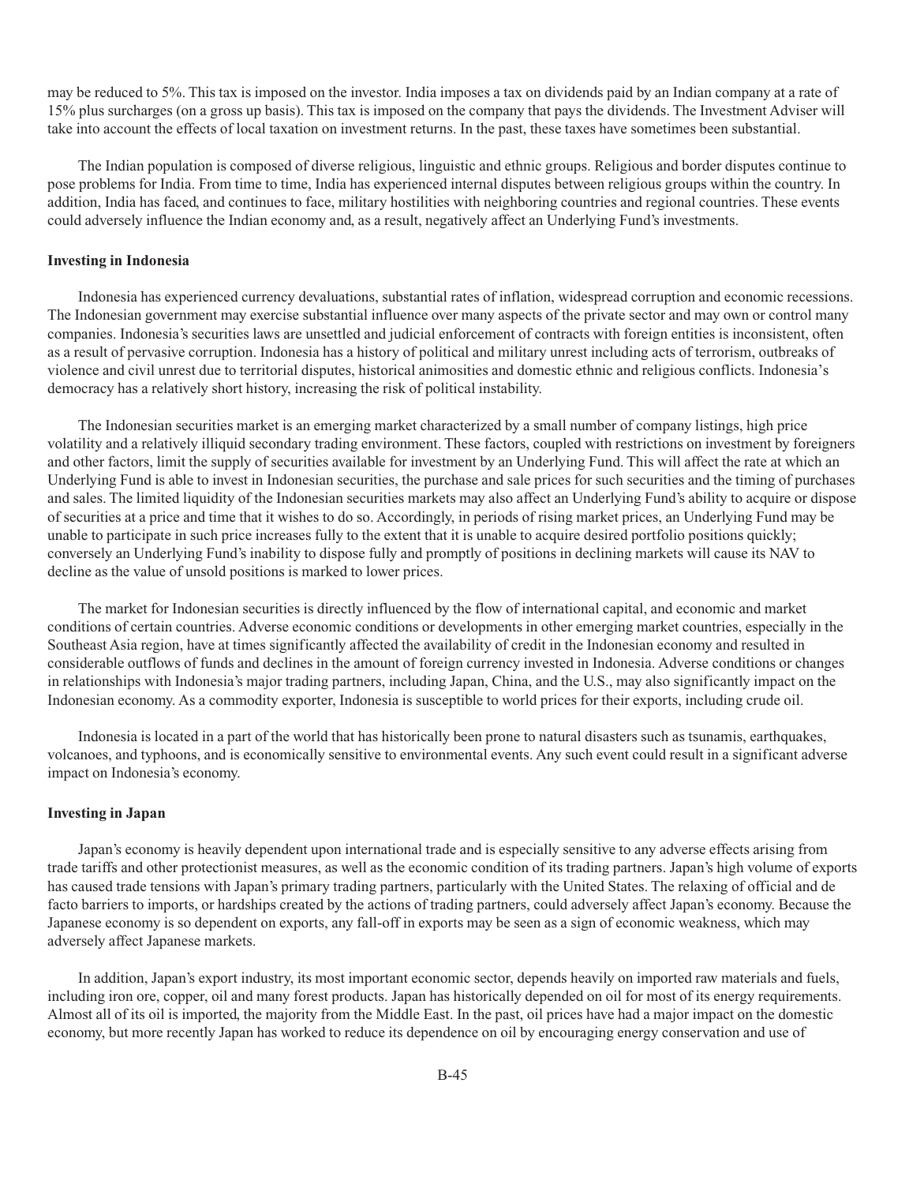may be reduced to 5%. This tax is imposed on the investor. India imposes a tax on dividends paid by an Indian company at a rate of 15% plus surcharges (on a gross up basis). This tax is imposed on the company that pays the dividends. The Investment Adviser will take into account the effects of local taxation on investment returns. In the past, these taxes have sometimes been substantial.

The Indian population is composed of diverse religious, linguistic and ethnic groups. Religious and border disputes continue to pose problems for India. From time to time, India has experienced internal disputes between religious groups within the country. In addition, India has faced, and continues to face, military hostilities with neighboring countries and regional countries. These events could adversely influence the Indian economy and, as a result, negatively affect an Underlying Fund's investments.

### **Investing in Indonesia**

Indonesia has experienced currency devaluations, substantial rates of inflation, widespread corruption and economic recessions. The Indonesian government may exercise substantial influence over many aspects of the private sector and may own or control many companies. Indonesia's securities laws are unsettled and judicial enforcement of contracts with foreign entities is inconsistent, often as a result of pervasive corruption. Indonesia has a history of political and military unrest including acts of terrorism, outbreaks of violence and civil unrest due to territorial disputes, historical animosities and domestic ethnic and religious conflicts. Indonesia's democracy has a relatively short history, increasing the risk of political instability.

The Indonesian securities market is an emerging market characterized by a small number of company listings, high price volatility and a relatively illiquid secondary trading environment. These factors, coupled with restrictions on investment by foreigners and other factors, limit the supply of securities available for investment by an Underlying Fund. This will affect the rate at which an Underlying Fund is able to invest in Indonesian securities, the purchase and sale prices for such securities and the timing of purchases and sales. The limited liquidity of the Indonesian securities markets may also affect an Underlying Fund's ability to acquire or dispose of securities at a price and time that it wishes to do so. Accordingly, in periods of rising market prices, an Underlying Fund may be unable to participate in such price increases fully to the extent that it is unable to acquire desired portfolio positions quickly; conversely an Underlying Fund's inability to dispose fully and promptly of positions in declining markets will cause its NAV to decline as the value of unsold positions is marked to lower prices.

The market for Indonesian securities is directly influenced by the flow of international capital, and economic and market conditions of certain countries. Adverse economic conditions or developments in other emerging market countries, especially in the Southeast Asia region, have at times significantly affected the availability of credit in the Indonesian economy and resulted in considerable outflows of funds and declines in the amount of foreign currency invested in Indonesia. Adverse conditions or changes in relationships with Indonesia's major trading partners, including Japan, China, and the U.S., may also significantly impact on the Indonesian economy. As a commodity exporter, Indonesia is susceptible to world prices for their exports, including crude oil.

Indonesia is located in a part of the world that has historically been prone to natural disasters such as tsunamis, earthquakes, volcanoes, and typhoons, and is economically sensitive to environmental events. Any such event could result in a significant adverse impact on Indonesia's economy.

# **Investing in Japan**

Japan's economy is heavily dependent upon international trade and is especially sensitive to any adverse effects arising from trade tariffs and other protectionist measures, as well as the economic condition of its trading partners. Japan's high volume of exports has caused trade tensions with Japan's primary trading partners, particularly with the United States. The relaxing of official and de facto barriers to imports, or hardships created by the actions of trading partners, could adversely affect Japan's economy. Because the Japanese economy is so dependent on exports, any fall-off in exports may be seen as a sign of economic weakness, which may adversely affect Japanese markets.

In addition, Japan's export industry, its most important economic sector, depends heavily on imported raw materials and fuels, including iron ore, copper, oil and many forest products. Japan has historically depended on oil for most of its energy requirements. Almost all of its oil is imported, the majority from the Middle East. In the past, oil prices have had a major impact on the domestic economy, but more recently Japan has worked to reduce its dependence on oil by encouraging energy conservation and use of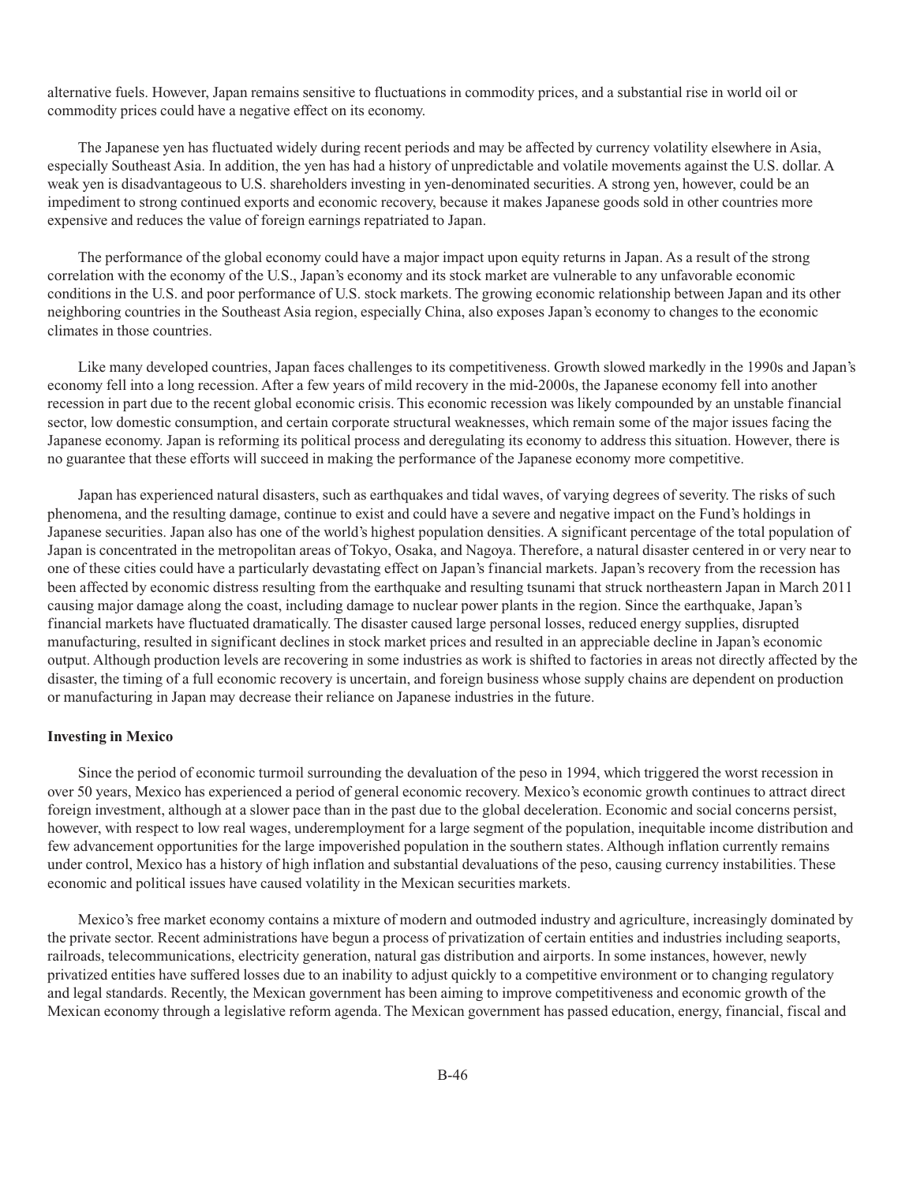alternative fuels. However, Japan remains sensitive to fluctuations in commodity prices, and a substantial rise in world oil or commodity prices could have a negative effect on its economy.

The Japanese yen has fluctuated widely during recent periods and may be affected by currency volatility elsewhere in Asia, especially Southeast Asia. In addition, the yen has had a history of unpredictable and volatile movements against the U.S. dollar. A weak yen is disadvantageous to U.S. shareholders investing in yen-denominated securities. A strong yen, however, could be an impediment to strong continued exports and economic recovery, because it makes Japanese goods sold in other countries more expensive and reduces the value of foreign earnings repatriated to Japan.

The performance of the global economy could have a major impact upon equity returns in Japan. As a result of the strong correlation with the economy of the U.S., Japan's economy and its stock market are vulnerable to any unfavorable economic conditions in the U.S. and poor performance of U.S. stock markets. The growing economic relationship between Japan and its other neighboring countries in the Southeast Asia region, especially China, also exposes Japan's economy to changes to the economic climates in those countries.

Like many developed countries, Japan faces challenges to its competitiveness. Growth slowed markedly in the 1990s and Japan's economy fell into a long recession. After a few years of mild recovery in the mid-2000s, the Japanese economy fell into another recession in part due to the recent global economic crisis. This economic recession was likely compounded by an unstable financial sector, low domestic consumption, and certain corporate structural weaknesses, which remain some of the major issues facing the Japanese economy. Japan is reforming its political process and deregulating its economy to address this situation. However, there is no guarantee that these efforts will succeed in making the performance of the Japanese economy more competitive.

Japan has experienced natural disasters, such as earthquakes and tidal waves, of varying degrees of severity. The risks of such phenomena, and the resulting damage, continue to exist and could have a severe and negative impact on the Fund's holdings in Japanese securities. Japan also has one of the world's highest population densities. A significant percentage of the total population of Japan is concentrated in the metropolitan areas of Tokyo, Osaka, and Nagoya. Therefore, a natural disaster centered in or very near to one of these cities could have a particularly devastating effect on Japan's financial markets. Japan's recovery from the recession has been affected by economic distress resulting from the earthquake and resulting tsunami that struck northeastern Japan in March 2011 causing major damage along the coast, including damage to nuclear power plants in the region. Since the earthquake, Japan's financial markets have fluctuated dramatically. The disaster caused large personal losses, reduced energy supplies, disrupted manufacturing, resulted in significant declines in stock market prices and resulted in an appreciable decline in Japan's economic output. Although production levels are recovering in some industries as work is shifted to factories in areas not directly affected by the disaster, the timing of a full economic recovery is uncertain, and foreign business whose supply chains are dependent on production or manufacturing in Japan may decrease their reliance on Japanese industries in the future.

# **Investing in Mexico**

Since the period of economic turmoil surrounding the devaluation of the peso in 1994, which triggered the worst recession in over 50 years, Mexico has experienced a period of general economic recovery. Mexico's economic growth continues to attract direct foreign investment, although at a slower pace than in the past due to the global deceleration. Economic and social concerns persist, however, with respect to low real wages, underemployment for a large segment of the population, inequitable income distribution and few advancement opportunities for the large impoverished population in the southern states. Although inflation currently remains under control, Mexico has a history of high inflation and substantial devaluations of the peso, causing currency instabilities. These economic and political issues have caused volatility in the Mexican securities markets.

Mexico's free market economy contains a mixture of modern and outmoded industry and agriculture, increasingly dominated by the private sector. Recent administrations have begun a process of privatization of certain entities and industries including seaports, railroads, telecommunications, electricity generation, natural gas distribution and airports. In some instances, however, newly privatized entities have suffered losses due to an inability to adjust quickly to a competitive environment or to changing regulatory and legal standards. Recently, the Mexican government has been aiming to improve competitiveness and economic growth of the Mexican economy through a legislative reform agenda. The Mexican government has passed education, energy, financial, fiscal and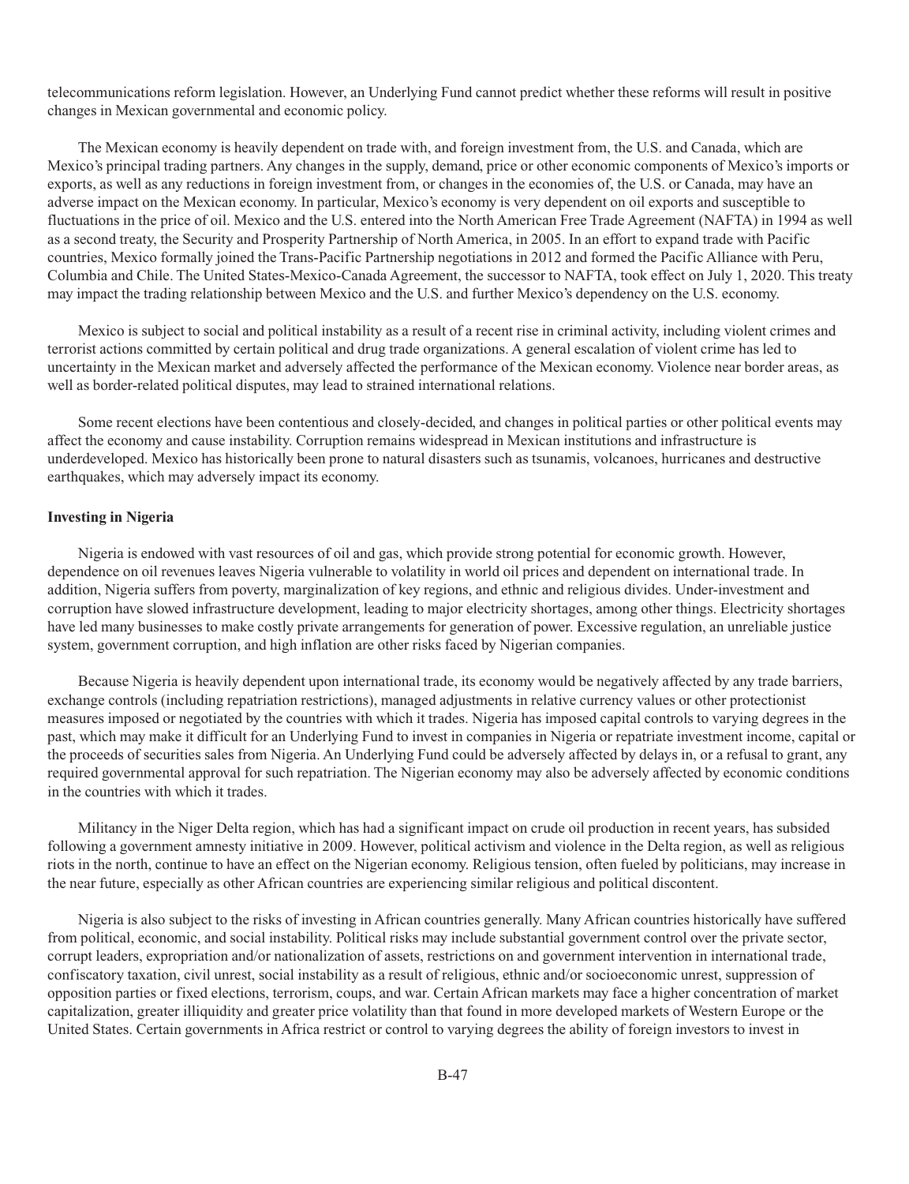telecommunications reform legislation. However, an Underlying Fund cannot predict whether these reforms will result in positive changes in Mexican governmental and economic policy.

The Mexican economy is heavily dependent on trade with, and foreign investment from, the U.S. and Canada, which are Mexico's principal trading partners. Any changes in the supply, demand, price or other economic components of Mexico's imports or exports, as well as any reductions in foreign investment from, or changes in the economies of, the U.S. or Canada, may have an adverse impact on the Mexican economy. In particular, Mexico's economy is very dependent on oil exports and susceptible to fluctuations in the price of oil. Mexico and the U.S. entered into the North American Free Trade Agreement (NAFTA) in 1994 as well as a second treaty, the Security and Prosperity Partnership of North America, in 2005. In an effort to expand trade with Pacific countries, Mexico formally joined the Trans-Pacific Partnership negotiations in 2012 and formed the Pacific Alliance with Peru, Columbia and Chile. The United States-Mexico-Canada Agreement, the successor to NAFTA, took effect on July 1, 2020. This treaty may impact the trading relationship between Mexico and the U.S. and further Mexico's dependency on the U.S. economy.

Mexico is subject to social and political instability as a result of a recent rise in criminal activity, including violent crimes and terrorist actions committed by certain political and drug trade organizations. A general escalation of violent crime has led to uncertainty in the Mexican market and adversely affected the performance of the Mexican economy. Violence near border areas, as well as border-related political disputes, may lead to strained international relations.

Some recent elections have been contentious and closely-decided, and changes in political parties or other political events may affect the economy and cause instability. Corruption remains widespread in Mexican institutions and infrastructure is underdeveloped. Mexico has historically been prone to natural disasters such as tsunamis, volcanoes, hurricanes and destructive earthquakes, which may adversely impact its economy.

### **Investing in Nigeria**

Nigeria is endowed with vast resources of oil and gas, which provide strong potential for economic growth. However, dependence on oil revenues leaves Nigeria vulnerable to volatility in world oil prices and dependent on international trade. In addition, Nigeria suffers from poverty, marginalization of key regions, and ethnic and religious divides. Under-investment and corruption have slowed infrastructure development, leading to major electricity shortages, among other things. Electricity shortages have led many businesses to make costly private arrangements for generation of power. Excessive regulation, an unreliable justice system, government corruption, and high inflation are other risks faced by Nigerian companies.

Because Nigeria is heavily dependent upon international trade, its economy would be negatively affected by any trade barriers, exchange controls (including repatriation restrictions), managed adjustments in relative currency values or other protectionist measures imposed or negotiated by the countries with which it trades. Nigeria has imposed capital controls to varying degrees in the past, which may make it difficult for an Underlying Fund to invest in companies in Nigeria or repatriate investment income, capital or the proceeds of securities sales from Nigeria. An Underlying Fund could be adversely affected by delays in, or a refusal to grant, any required governmental approval for such repatriation. The Nigerian economy may also be adversely affected by economic conditions in the countries with which it trades.

Militancy in the Niger Delta region, which has had a significant impact on crude oil production in recent years, has subsided following a government amnesty initiative in 2009. However, political activism and violence in the Delta region, as well as religious riots in the north, continue to have an effect on the Nigerian economy. Religious tension, often fueled by politicians, may increase in the near future, especially as other African countries are experiencing similar religious and political discontent.

Nigeria is also subject to the risks of investing in African countries generally. Many African countries historically have suffered from political, economic, and social instability. Political risks may include substantial government control over the private sector, corrupt leaders, expropriation and/or nationalization of assets, restrictions on and government intervention in international trade, confiscatory taxation, civil unrest, social instability as a result of religious, ethnic and/or socioeconomic unrest, suppression of opposition parties or fixed elections, terrorism, coups, and war. Certain African markets may face a higher concentration of market capitalization, greater illiquidity and greater price volatility than that found in more developed markets of Western Europe or the United States. Certain governments in Africa restrict or control to varying degrees the ability of foreign investors to invest in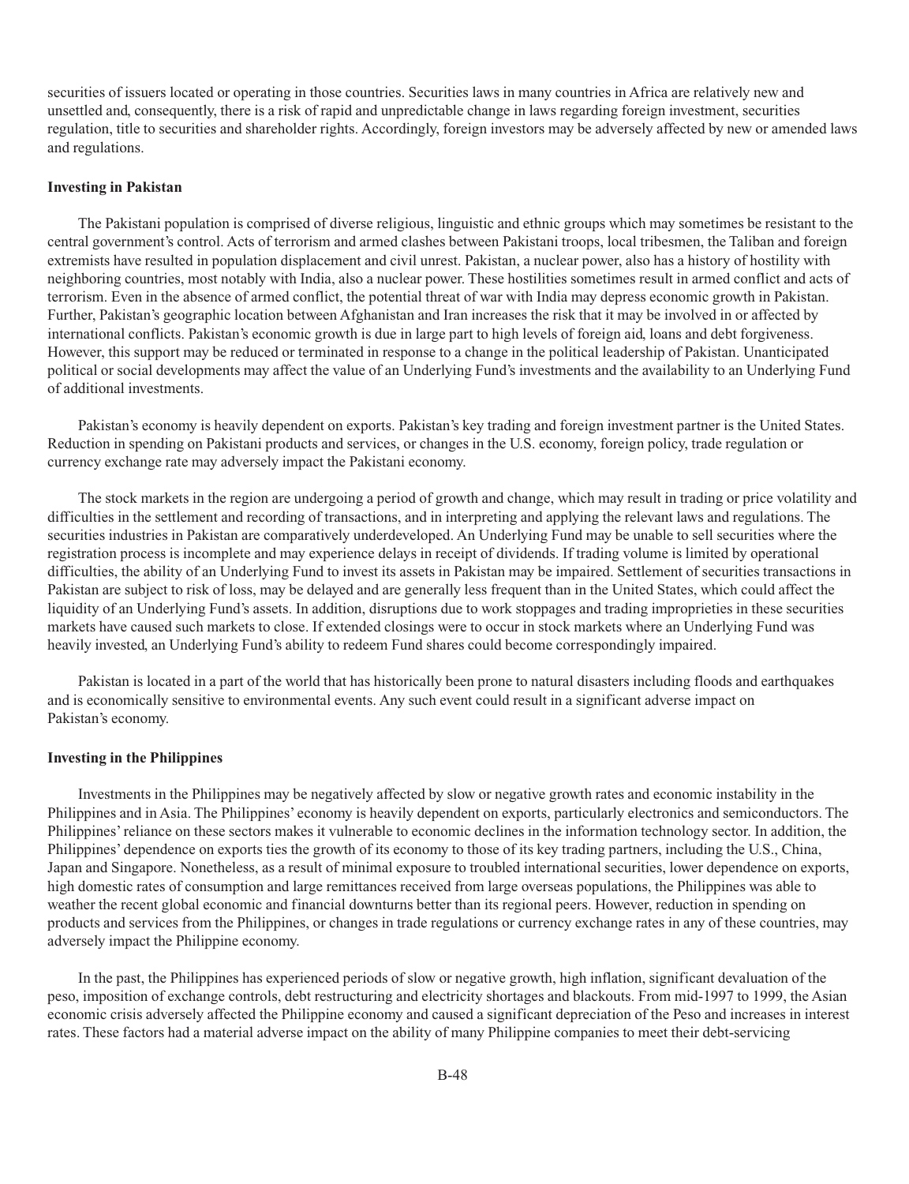securities of issuers located or operating in those countries. Securities laws in many countries in Africa are relatively new and unsettled and, consequently, there is a risk of rapid and unpredictable change in laws regarding foreign investment, securities regulation, title to securities and shareholder rights. Accordingly, foreign investors may be adversely affected by new or amended laws and regulations.

## **Investing in Pakistan**

The Pakistani population is comprised of diverse religious, linguistic and ethnic groups which may sometimes be resistant to the central government's control. Acts of terrorism and armed clashes between Pakistani troops, local tribesmen, the Taliban and foreign extremists have resulted in population displacement and civil unrest. Pakistan, a nuclear power, also has a history of hostility with neighboring countries, most notably with India, also a nuclear power. These hostilities sometimes result in armed conflict and acts of terrorism. Even in the absence of armed conflict, the potential threat of war with India may depress economic growth in Pakistan. Further, Pakistan's geographic location between Afghanistan and Iran increases the risk that it may be involved in or affected by international conflicts. Pakistan's economic growth is due in large part to high levels of foreign aid, loans and debt forgiveness. However, this support may be reduced or terminated in response to a change in the political leadership of Pakistan. Unanticipated political or social developments may affect the value of an Underlying Fund's investments and the availability to an Underlying Fund of additional investments.

Pakistan's economy is heavily dependent on exports. Pakistan's key trading and foreign investment partner is the United States. Reduction in spending on Pakistani products and services, or changes in the U.S. economy, foreign policy, trade regulation or currency exchange rate may adversely impact the Pakistani economy.

The stock markets in the region are undergoing a period of growth and change, which may result in trading or price volatility and difficulties in the settlement and recording of transactions, and in interpreting and applying the relevant laws and regulations. The securities industries in Pakistan are comparatively underdeveloped. An Underlying Fund may be unable to sell securities where the registration process is incomplete and may experience delays in receipt of dividends. If trading volume is limited by operational difficulties, the ability of an Underlying Fund to invest its assets in Pakistan may be impaired. Settlement of securities transactions in Pakistan are subject to risk of loss, may be delayed and are generally less frequent than in the United States, which could affect the liquidity of an Underlying Fund's assets. In addition, disruptions due to work stoppages and trading improprieties in these securities markets have caused such markets to close. If extended closings were to occur in stock markets where an Underlying Fund was heavily invested, an Underlying Fund's ability to redeem Fund shares could become correspondingly impaired.

Pakistan is located in a part of the world that has historically been prone to natural disasters including floods and earthquakes and is economically sensitive to environmental events. Any such event could result in a significant adverse impact on Pakistan's economy.

#### **Investing in the Philippines**

Investments in the Philippines may be negatively affected by slow or negative growth rates and economic instability in the Philippines and in Asia. The Philippines' economy is heavily dependent on exports, particularly electronics and semiconductors. The Philippines' reliance on these sectors makes it vulnerable to economic declines in the information technology sector. In addition, the Philippines' dependence on exports ties the growth of its economy to those of its key trading partners, including the U.S., China, Japan and Singapore. Nonetheless, as a result of minimal exposure to troubled international securities, lower dependence on exports, high domestic rates of consumption and large remittances received from large overseas populations, the Philippines was able to weather the recent global economic and financial downturns better than its regional peers. However, reduction in spending on products and services from the Philippines, or changes in trade regulations or currency exchange rates in any of these countries, may adversely impact the Philippine economy.

In the past, the Philippines has experienced periods of slow or negative growth, high inflation, significant devaluation of the peso, imposition of exchange controls, debt restructuring and electricity shortages and blackouts. From mid-1997 to 1999, the Asian economic crisis adversely affected the Philippine economy and caused a significant depreciation of the Peso and increases in interest rates. These factors had a material adverse impact on the ability of many Philippine companies to meet their debt-servicing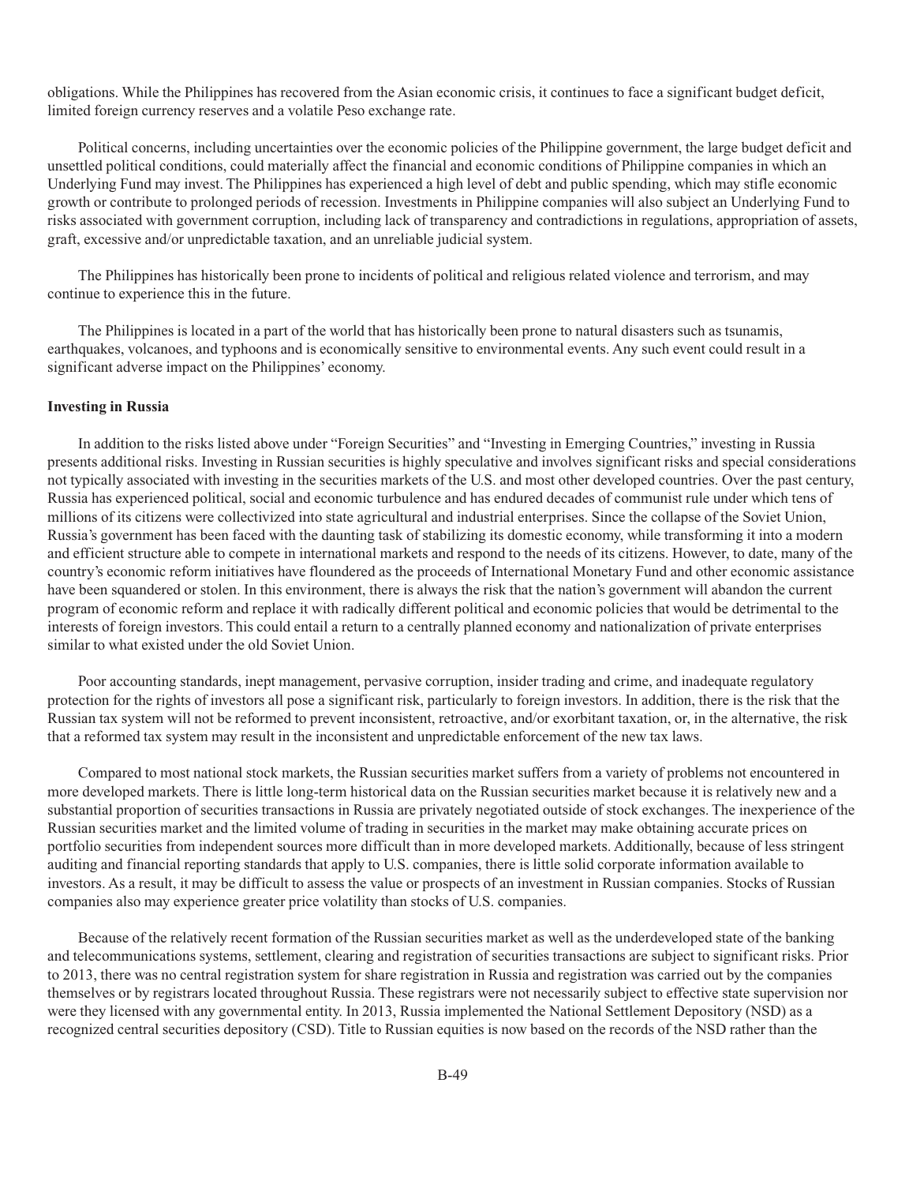obligations. While the Philippines has recovered from the Asian economic crisis, it continues to face a significant budget deficit, limited foreign currency reserves and a volatile Peso exchange rate.

Political concerns, including uncertainties over the economic policies of the Philippine government, the large budget deficit and unsettled political conditions, could materially affect the financial and economic conditions of Philippine companies in which an Underlying Fund may invest. The Philippines has experienced a high level of debt and public spending, which may stifle economic growth or contribute to prolonged periods of recession. Investments in Philippine companies will also subject an Underlying Fund to risks associated with government corruption, including lack of transparency and contradictions in regulations, appropriation of assets, graft, excessive and/or unpredictable taxation, and an unreliable judicial system.

The Philippines has historically been prone to incidents of political and religious related violence and terrorism, and may continue to experience this in the future.

The Philippines is located in a part of the world that has historically been prone to natural disasters such as tsunamis, earthquakes, volcanoes, and typhoons and is economically sensitive to environmental events. Any such event could result in a significant adverse impact on the Philippines' economy.

#### **Investing in Russia**

In addition to the risks listed above under "Foreign Securities" and "Investing in Emerging Countries," investing in Russia presents additional risks. Investing in Russian securities is highly speculative and involves significant risks and special considerations not typically associated with investing in the securities markets of the U.S. and most other developed countries. Over the past century, Russia has experienced political, social and economic turbulence and has endured decades of communist rule under which tens of millions of its citizens were collectivized into state agricultural and industrial enterprises. Since the collapse of the Soviet Union, Russia's government has been faced with the daunting task of stabilizing its domestic economy, while transforming it into a modern and efficient structure able to compete in international markets and respond to the needs of its citizens. However, to date, many of the country's economic reform initiatives have floundered as the proceeds of International Monetary Fund and other economic assistance have been squandered or stolen. In this environment, there is always the risk that the nation's government will abandon the current program of economic reform and replace it with radically different political and economic policies that would be detrimental to the interests of foreign investors. This could entail a return to a centrally planned economy and nationalization of private enterprises similar to what existed under the old Soviet Union.

Poor accounting standards, inept management, pervasive corruption, insider trading and crime, and inadequate regulatory protection for the rights of investors all pose a significant risk, particularly to foreign investors. In addition, there is the risk that the Russian tax system will not be reformed to prevent inconsistent, retroactive, and/or exorbitant taxation, or, in the alternative, the risk that a reformed tax system may result in the inconsistent and unpredictable enforcement of the new tax laws.

Compared to most national stock markets, the Russian securities market suffers from a variety of problems not encountered in more developed markets. There is little long-term historical data on the Russian securities market because it is relatively new and a substantial proportion of securities transactions in Russia are privately negotiated outside of stock exchanges. The inexperience of the Russian securities market and the limited volume of trading in securities in the market may make obtaining accurate prices on portfolio securities from independent sources more difficult than in more developed markets. Additionally, because of less stringent auditing and financial reporting standards that apply to U.S. companies, there is little solid corporate information available to investors. As a result, it may be difficult to assess the value or prospects of an investment in Russian companies. Stocks of Russian companies also may experience greater price volatility than stocks of U.S. companies.

Because of the relatively recent formation of the Russian securities market as well as the underdeveloped state of the banking and telecommunications systems, settlement, clearing and registration of securities transactions are subject to significant risks. Prior to 2013, there was no central registration system for share registration in Russia and registration was carried out by the companies themselves or by registrars located throughout Russia. These registrars were not necessarily subject to effective state supervision nor were they licensed with any governmental entity. In 2013, Russia implemented the National Settlement Depository (NSD) as a recognized central securities depository (CSD). Title to Russian equities is now based on the records of the NSD rather than the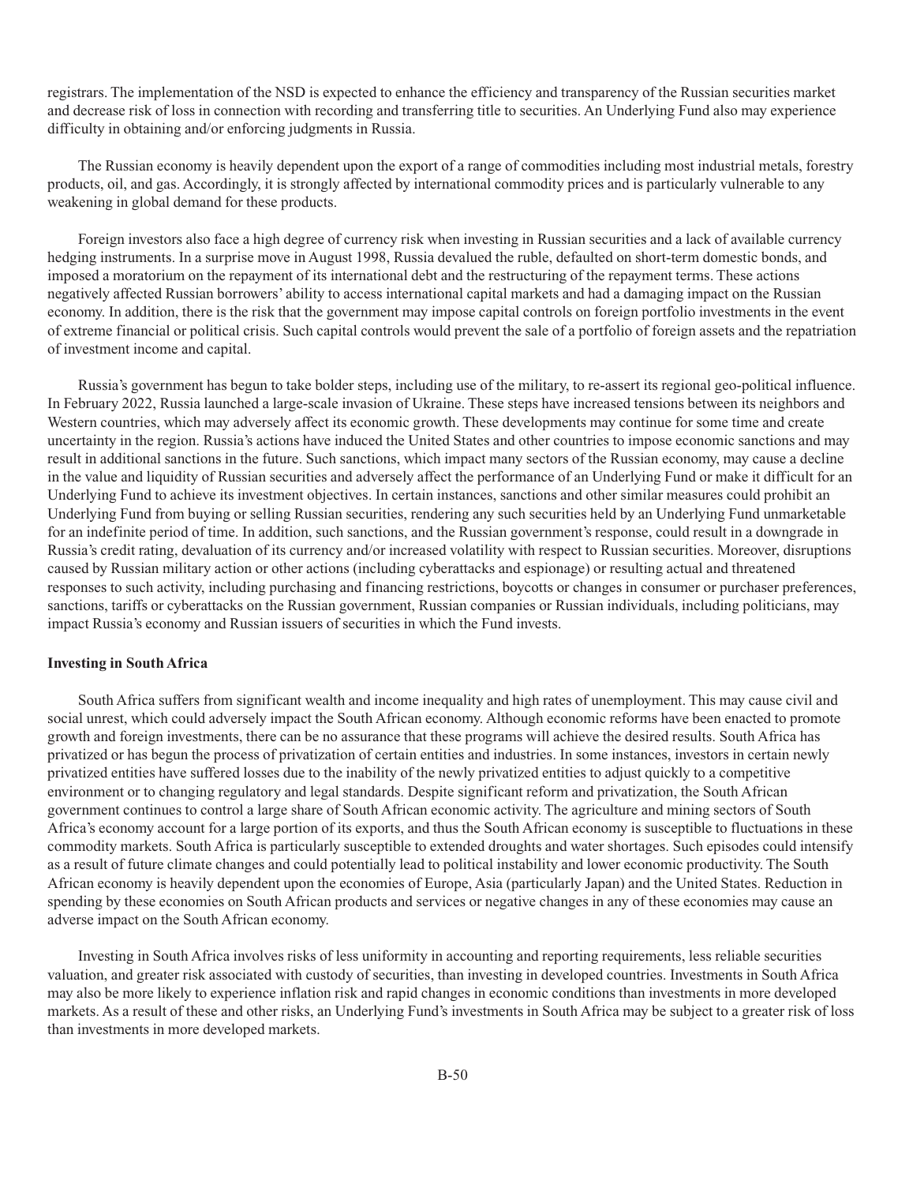registrars. The implementation of the NSD is expected to enhance the efficiency and transparency of the Russian securities market and decrease risk of loss in connection with recording and transferring title to securities. An Underlying Fund also may experience difficulty in obtaining and/or enforcing judgments in Russia.

The Russian economy is heavily dependent upon the export of a range of commodities including most industrial metals, forestry products, oil, and gas. Accordingly, it is strongly affected by international commodity prices and is particularly vulnerable to any weakening in global demand for these products.

Foreign investors also face a high degree of currency risk when investing in Russian securities and a lack of available currency hedging instruments. In a surprise move in August 1998, Russia devalued the ruble, defaulted on short-term domestic bonds, and imposed a moratorium on the repayment of its international debt and the restructuring of the repayment terms. These actions negatively affected Russian borrowers' ability to access international capital markets and had a damaging impact on the Russian economy. In addition, there is the risk that the government may impose capital controls on foreign portfolio investments in the event of extreme financial or political crisis. Such capital controls would prevent the sale of a portfolio of foreign assets and the repatriation of investment income and capital.

Russia's government has begun to take bolder steps, including use of the military, to re-assert its regional geo-political influence. In February 2022, Russia launched a large-scale invasion of Ukraine. These steps have increased tensions between its neighbors and Western countries, which may adversely affect its economic growth. These developments may continue for some time and create uncertainty in the region. Russia's actions have induced the United States and other countries to impose economic sanctions and may result in additional sanctions in the future. Such sanctions, which impact many sectors of the Russian economy, may cause a decline in the value and liquidity of Russian securities and adversely affect the performance of an Underlying Fund or make it difficult for an Underlying Fund to achieve its investment objectives. In certain instances, sanctions and other similar measures could prohibit an Underlying Fund from buying or selling Russian securities, rendering any such securities held by an Underlying Fund unmarketable for an indefinite period of time. In addition, such sanctions, and the Russian government's response, could result in a downgrade in Russia's credit rating, devaluation of its currency and/or increased volatility with respect to Russian securities. Moreover, disruptions caused by Russian military action or other actions (including cyberattacks and espionage) or resulting actual and threatened responses to such activity, including purchasing and financing restrictions, boycotts or changes in consumer or purchaser preferences, sanctions, tariffs or cyberattacks on the Russian government, Russian companies or Russian individuals, including politicians, may impact Russia's economy and Russian issuers of securities in which the Fund invests.

# **Investing in South Africa**

South Africa suffers from significant wealth and income inequality and high rates of unemployment. This may cause civil and social unrest, which could adversely impact the South African economy. Although economic reforms have been enacted to promote growth and foreign investments, there can be no assurance that these programs will achieve the desired results. South Africa has privatized or has begun the process of privatization of certain entities and industries. In some instances, investors in certain newly privatized entities have suffered losses due to the inability of the newly privatized entities to adjust quickly to a competitive environment or to changing regulatory and legal standards. Despite significant reform and privatization, the South African government continues to control a large share of South African economic activity. The agriculture and mining sectors of South Africa's economy account for a large portion of its exports, and thus the South African economy is susceptible to fluctuations in these commodity markets. South Africa is particularly susceptible to extended droughts and water shortages. Such episodes could intensify as a result of future climate changes and could potentially lead to political instability and lower economic productivity. The South African economy is heavily dependent upon the economies of Europe, Asia (particularly Japan) and the United States. Reduction in spending by these economies on South African products and services or negative changes in any of these economies may cause an adverse impact on the South African economy.

Investing in South Africa involves risks of less uniformity in accounting and reporting requirements, less reliable securities valuation, and greater risk associated with custody of securities, than investing in developed countries. Investments in South Africa may also be more likely to experience inflation risk and rapid changes in economic conditions than investments in more developed markets. As a result of these and other risks, an Underlying Fund's investments in South Africa may be subject to a greater risk of loss than investments in more developed markets.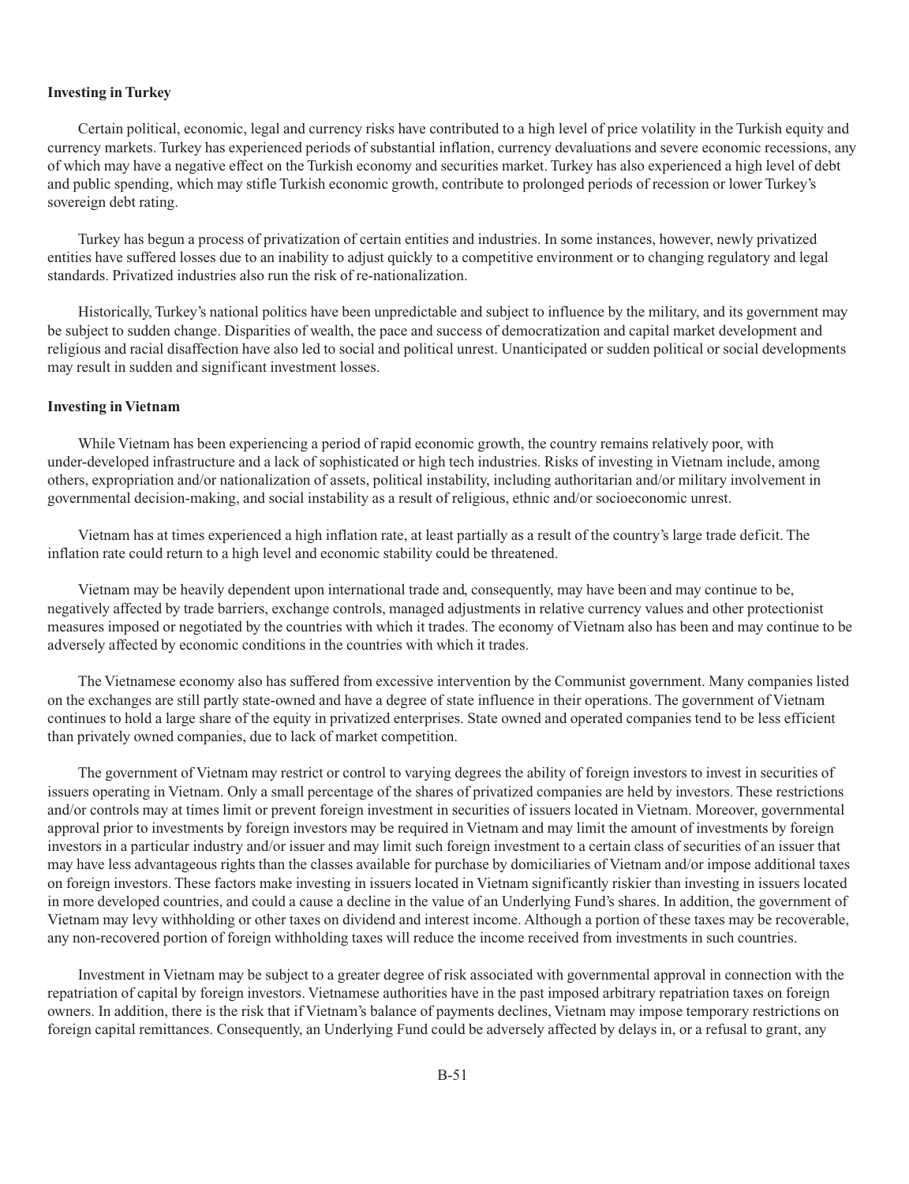### **Investing in Turkey**

Certain political, economic, legal and currency risks have contributed to a high level of price volatility in the Turkish equity and currency markets. Turkey has experienced periods of substantial inflation, currency devaluations and severe economic recessions, any of which may have a negative effect on the Turkish economy and securities market. Turkey has also experienced a high level of debt and public spending, which may stifle Turkish economic growth, contribute to prolonged periods of recession or lower Turkey's sovereign debt rating.

Turkey has begun a process of privatization of certain entities and industries. In some instances, however, newly privatized entities have suffered losses due to an inability to adjust quickly to a competitive environment or to changing regulatory and legal standards. Privatized industries also run the risk of re-nationalization.

Historically, Turkey's national politics have been unpredictable and subject to influence by the military, and its government may be subject to sudden change. Disparities of wealth, the pace and success of democratization and capital market development and religious and racial disaffection have also led to social and political unrest. Unanticipated or sudden political or social developments may result in sudden and significant investment losses.

### **Investing in Vietnam**

While Vietnam has been experiencing a period of rapid economic growth, the country remains relatively poor, with under-developed infrastructure and a lack of sophisticated or high tech industries. Risks of investing in Vietnam include, among others, expropriation and/or nationalization of assets, political instability, including authoritarian and/or military involvement in governmental decision-making, and social instability as a result of religious, ethnic and/or socioeconomic unrest.

Vietnam has at times experienced a high inflation rate, at least partially as a result of the country's large trade deficit. The inflation rate could return to a high level and economic stability could be threatened.

Vietnam may be heavily dependent upon international trade and, consequently, may have been and may continue to be, negatively affected by trade barriers, exchange controls, managed adjustments in relative currency values and other protectionist measures imposed or negotiated by the countries with which it trades. The economy of Vietnam also has been and may continue to be adversely affected by economic conditions in the countries with which it trades.

The Vietnamese economy also has suffered from excessive intervention by the Communist government. Many companies listed on the exchanges are still partly state-owned and have a degree of state influence in their operations. The government of Vietnam continues to hold a large share of the equity in privatized enterprises. State owned and operated companies tend to be less efficient than privately owned companies, due to lack of market competition.

The government of Vietnam may restrict or control to varying degrees the ability of foreign investors to invest in securities of issuers operating in Vietnam. Only a small percentage of the shares of privatized companies are held by investors. These restrictions and/or controls may at times limit or prevent foreign investment in securities of issuers located in Vietnam. Moreover, governmental approval prior to investments by foreign investors may be required in Vietnam and may limit the amount of investments by foreign investors in a particular industry and/or issuer and may limit such foreign investment to a certain class of securities of an issuer that may have less advantageous rights than the classes available for purchase by domiciliaries of Vietnam and/or impose additional taxes on foreign investors. These factors make investing in issuers located in Vietnam significantly riskier than investing in issuers located in more developed countries, and could a cause a decline in the value of an Underlying Fund's shares. In addition, the government of Vietnam may levy withholding or other taxes on dividend and interest income. Although a portion of these taxes may be recoverable, any non-recovered portion of foreign withholding taxes will reduce the income received from investments in such countries.

Investment in Vietnam may be subject to a greater degree of risk associated with governmental approval in connection with the repatriation of capital by foreign investors. Vietnamese authorities have in the past imposed arbitrary repatriation taxes on foreign owners. In addition, there is the risk that if Vietnam's balance of payments declines, Vietnam may impose temporary restrictions on foreign capital remittances. Consequently, an Underlying Fund could be adversely affected by delays in, or a refusal to grant, any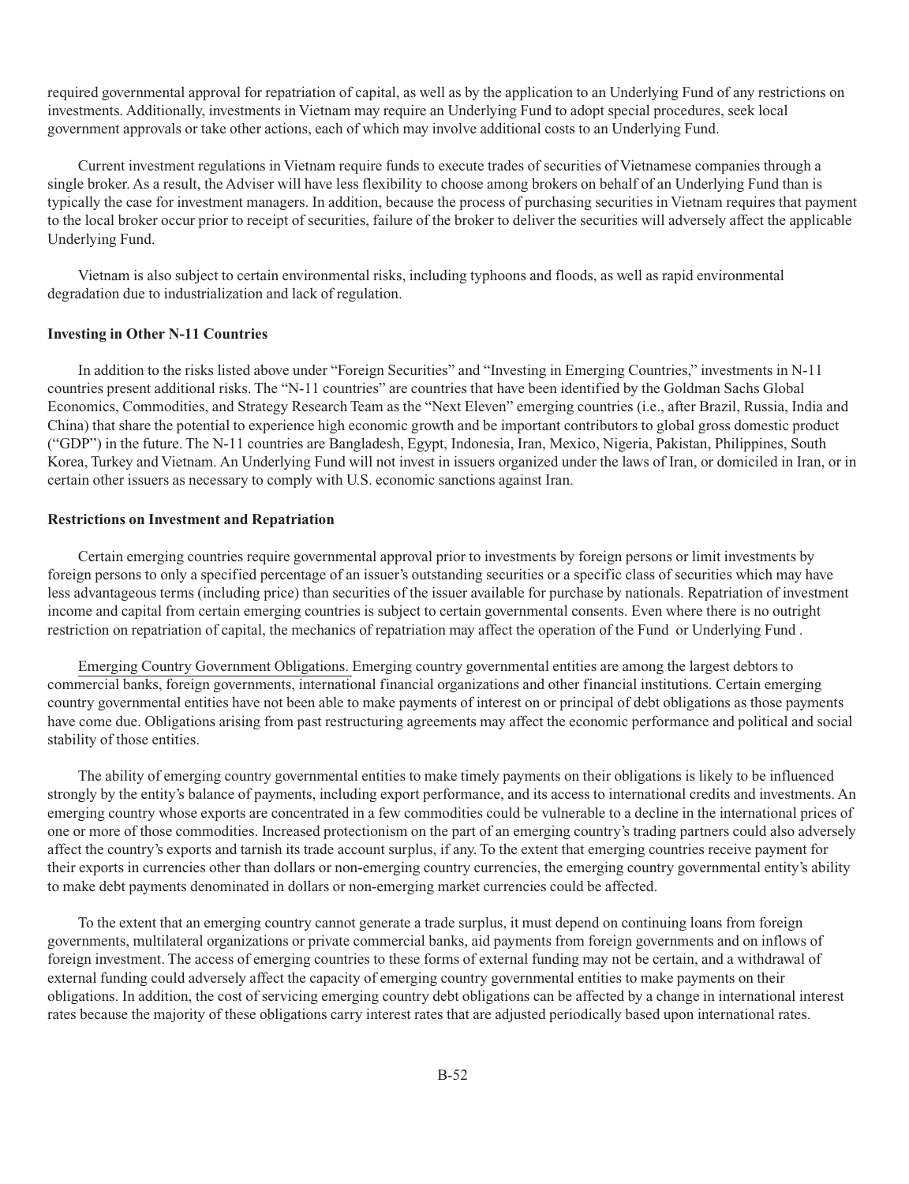required governmental approval for repatriation of capital, as well as by the application to an Underlying Fund of any restrictions on investments. Additionally, investments in Vietnam may require an Underlying Fund to adopt special procedures, seek local government approvals or take other actions, each of which may involve additional costs to an Underlying Fund.

Current investment regulations in Vietnam require funds to execute trades of securities of Vietnamese companies through a single broker. As a result, the Adviser will have less flexibility to choose among brokers on behalf of an Underlying Fund than is typically the case for investment managers. In addition, because the process of purchasing securities in Vietnam requires that payment to the local broker occur prior to receipt of securities, failure of the broker to deliver the securities will adversely affect the applicable Underlying Fund.

Vietnam is also subject to certain environmental risks, including typhoons and floods, as well as rapid environmental degradation due to industrialization and lack of regulation.

# **Investing in Other N-11 Countries**

In addition to the risks listed above under "Foreign Securities" and "Investing in Emerging Countries," investments in N-11 countries present additional risks. The "N-11 countries" are countries that have been identified by the Goldman Sachs Global Economics, Commodities, and Strategy Research Team as the "Next Eleven" emerging countries (i.e., after Brazil, Russia, India and China) that share the potential to experience high economic growth and be important contributors to global gross domestic product ("GDP") in the future. The N-11 countries are Bangladesh, Egypt, Indonesia, Iran, Mexico, Nigeria, Pakistan, Philippines, South Korea, Turkey and Vietnam. An Underlying Fund will not invest in issuers organized under the laws of Iran, or domiciled in Iran, or in certain other issuers as necessary to comply with U.S. economic sanctions against Iran.

#### **Restrictions on Investment and Repatriation**

Certain emerging countries require governmental approval prior to investments by foreign persons or limit investments by foreign persons to only a specified percentage of an issuer's outstanding securities or a specific class of securities which may have less advantageous terms (including price) than securities of the issuer available for purchase by nationals. Repatriation of investment income and capital from certain emerging countries is subject to certain governmental consents. Even where there is no outright restriction on repatriation of capital, the mechanics of repatriation may affect the operation of the Fund or Underlying Fund .

Emerging Country Government Obligations. Emerging country governmental entities are among the largest debtors to commercial banks, foreign governments, international financial organizations and other financial institutions. Certain emerging country governmental entities have not been able to make payments of interest on or principal of debt obligations as those payments have come due. Obligations arising from past restructuring agreements may affect the economic performance and political and social stability of those entities.

The ability of emerging country governmental entities to make timely payments on their obligations is likely to be influenced strongly by the entity's balance of payments, including export performance, and its access to international credits and investments. An emerging country whose exports are concentrated in a few commodities could be vulnerable to a decline in the international prices of one or more of those commodities. Increased protectionism on the part of an emerging country's trading partners could also adversely affect the country's exports and tarnish its trade account surplus, if any. To the extent that emerging countries receive payment for their exports in currencies other than dollars or non-emerging country currencies, the emerging country governmental entity's ability to make debt payments denominated in dollars or non-emerging market currencies could be affected.

To the extent that an emerging country cannot generate a trade surplus, it must depend on continuing loans from foreign governments, multilateral organizations or private commercial banks, aid payments from foreign governments and on inflows of foreign investment. The access of emerging countries to these forms of external funding may not be certain, and a withdrawal of external funding could adversely affect the capacity of emerging country governmental entities to make payments on their obligations. In addition, the cost of servicing emerging country debt obligations can be affected by a change in international interest rates because the majority of these obligations carry interest rates that are adjusted periodically based upon international rates.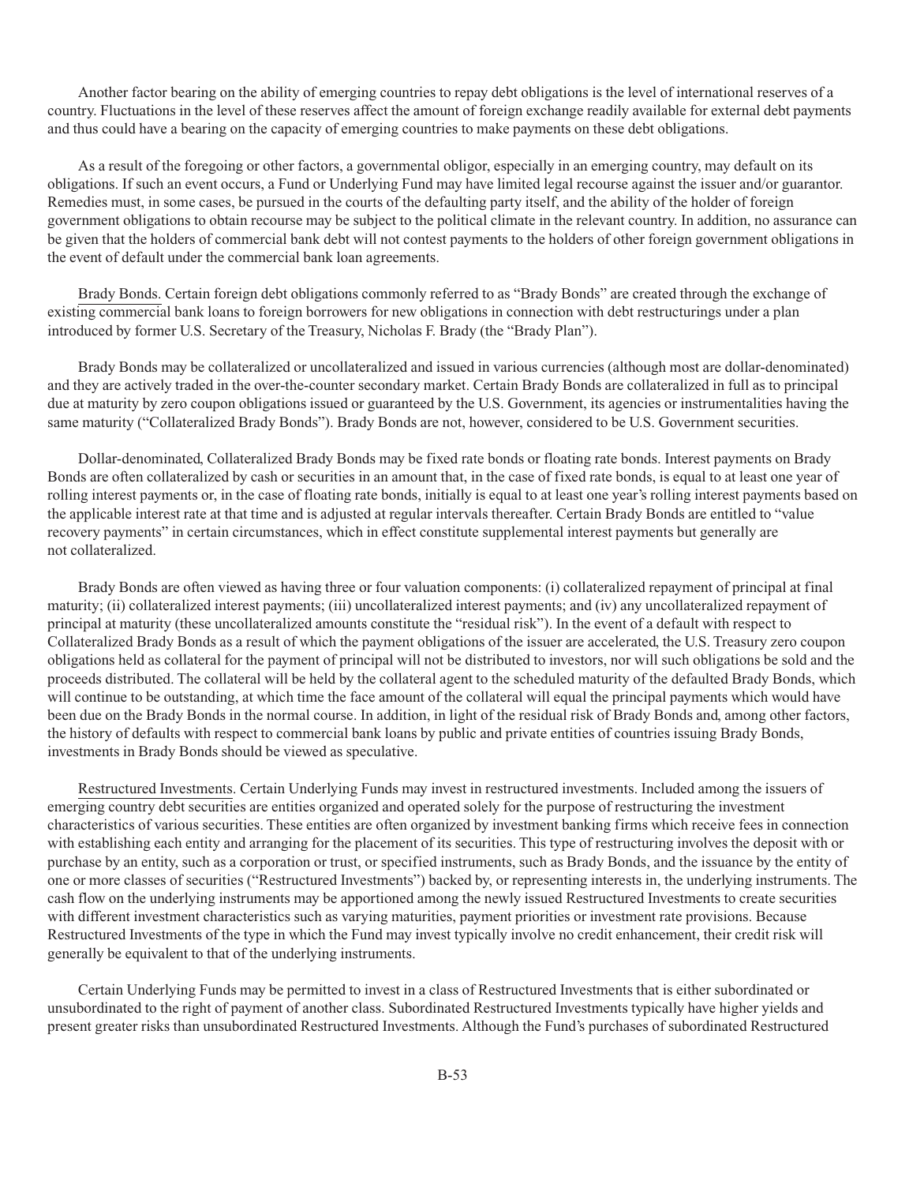Another factor bearing on the ability of emerging countries to repay debt obligations is the level of international reserves of a country. Fluctuations in the level of these reserves affect the amount of foreign exchange readily available for external debt payments and thus could have a bearing on the capacity of emerging countries to make payments on these debt obligations.

As a result of the foregoing or other factors, a governmental obligor, especially in an emerging country, may default on its obligations. If such an event occurs, a Fund or Underlying Fund may have limited legal recourse against the issuer and/or guarantor. Remedies must, in some cases, be pursued in the courts of the defaulting party itself, and the ability of the holder of foreign government obligations to obtain recourse may be subject to the political climate in the relevant country. In addition, no assurance can be given that the holders of commercial bank debt will not contest payments to the holders of other foreign government obligations in the event of default under the commercial bank loan agreements.

Brady Bonds. Certain foreign debt obligations commonly referred to as "Brady Bonds" are created through the exchange of existing commercial bank loans to foreign borrowers for new obligations in connection with debt restructurings under a plan introduced by former U.S. Secretary of the Treasury, Nicholas F. Brady (the "Brady Plan").

Brady Bonds may be collateralized or uncollateralized and issued in various currencies (although most are dollar-denominated) and they are actively traded in the over-the-counter secondary market. Certain Brady Bonds are collateralized in full as to principal due at maturity by zero coupon obligations issued or guaranteed by the U.S. Government, its agencies or instrumentalities having the same maturity ("Collateralized Brady Bonds"). Brady Bonds are not, however, considered to be U.S. Government securities.

Dollar-denominated, Collateralized Brady Bonds may be fixed rate bonds or floating rate bonds. Interest payments on Brady Bonds are often collateralized by cash or securities in an amount that, in the case of fixed rate bonds, is equal to at least one year of rolling interest payments or, in the case of floating rate bonds, initially is equal to at least one year's rolling interest payments based on the applicable interest rate at that time and is adjusted at regular intervals thereafter. Certain Brady Bonds are entitled to "value recovery payments" in certain circumstances, which in effect constitute supplemental interest payments but generally are not collateralized.

Brady Bonds are often viewed as having three or four valuation components: (i) collateralized repayment of principal at final maturity; (ii) collateralized interest payments; (iii) uncollateralized interest payments; and (iv) any uncollateralized repayment of principal at maturity (these uncollateralized amounts constitute the "residual risk"). In the event of a default with respect to Collateralized Brady Bonds as a result of which the payment obligations of the issuer are accelerated, the U.S. Treasury zero coupon obligations held as collateral for the payment of principal will not be distributed to investors, nor will such obligations be sold and the proceeds distributed. The collateral will be held by the collateral agent to the scheduled maturity of the defaulted Brady Bonds, which will continue to be outstanding, at which time the face amount of the collateral will equal the principal payments which would have been due on the Brady Bonds in the normal course. In addition, in light of the residual risk of Brady Bonds and, among other factors, the history of defaults with respect to commercial bank loans by public and private entities of countries issuing Brady Bonds, investments in Brady Bonds should be viewed as speculative.

Restructured Investments. Certain Underlying Funds may invest in restructured investments. Included among the issuers of emerging country debt securities are entities organized and operated solely for the purpose of restructuring the investment characteristics of various securities. These entities are often organized by investment banking firms which receive fees in connection with establishing each entity and arranging for the placement of its securities. This type of restructuring involves the deposit with or purchase by an entity, such as a corporation or trust, or specified instruments, such as Brady Bonds, and the issuance by the entity of one or more classes of securities ("Restructured Investments") backed by, or representing interests in, the underlying instruments. The cash flow on the underlying instruments may be apportioned among the newly issued Restructured Investments to create securities with different investment characteristics such as varying maturities, payment priorities or investment rate provisions. Because Restructured Investments of the type in which the Fund may invest typically involve no credit enhancement, their credit risk will generally be equivalent to that of the underlying instruments.

Certain Underlying Funds may be permitted to invest in a class of Restructured Investments that is either subordinated or unsubordinated to the right of payment of another class. Subordinated Restructured Investments typically have higher yields and present greater risks than unsubordinated Restructured Investments. Although the Fund's purchases of subordinated Restructured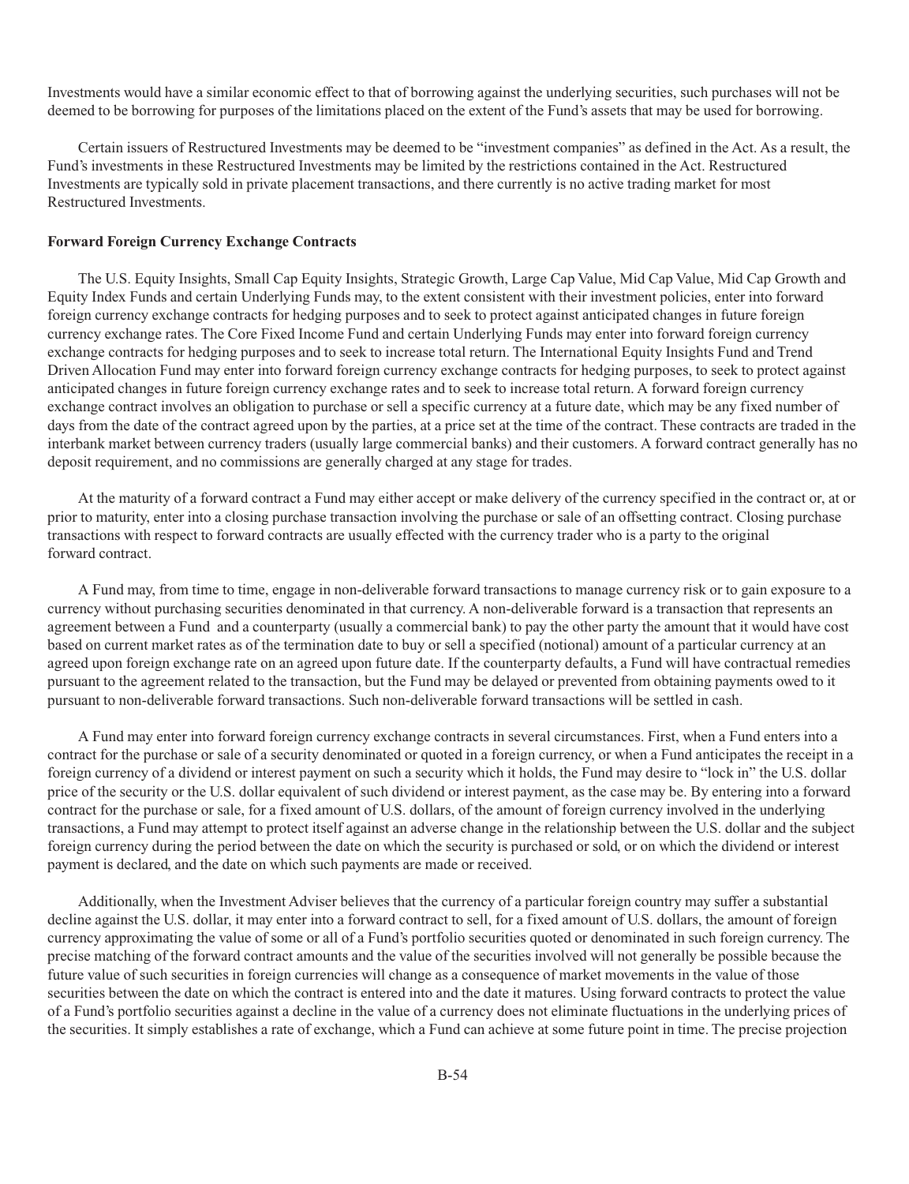Investments would have a similar economic effect to that of borrowing against the underlying securities, such purchases will not be deemed to be borrowing for purposes of the limitations placed on the extent of the Fund's assets that may be used for borrowing.

Certain issuers of Restructured Investments may be deemed to be "investment companies" as defined in the Act. As a result, the Fund's investments in these Restructured Investments may be limited by the restrictions contained in the Act. Restructured Investments are typically sold in private placement transactions, and there currently is no active trading market for most Restructured Investments.

# **Forward Foreign Currency Exchange Contracts**

The U.S. Equity Insights, Small Cap Equity Insights, Strategic Growth, Large Cap Value, Mid Cap Value, Mid Cap Growth and Equity Index Funds and certain Underlying Funds may, to the extent consistent with their investment policies, enter into forward foreign currency exchange contracts for hedging purposes and to seek to protect against anticipated changes in future foreign currency exchange rates. The Core Fixed Income Fund and certain Underlying Funds may enter into forward foreign currency exchange contracts for hedging purposes and to seek to increase total return. The International Equity Insights Fund and Trend Driven Allocation Fund may enter into forward foreign currency exchange contracts for hedging purposes, to seek to protect against anticipated changes in future foreign currency exchange rates and to seek to increase total return. A forward foreign currency exchange contract involves an obligation to purchase or sell a specific currency at a future date, which may be any fixed number of days from the date of the contract agreed upon by the parties, at a price set at the time of the contract. These contracts are traded in the interbank market between currency traders (usually large commercial banks) and their customers. A forward contract generally has no deposit requirement, and no commissions are generally charged at any stage for trades.

At the maturity of a forward contract a Fund may either accept or make delivery of the currency specified in the contract or, at or prior to maturity, enter into a closing purchase transaction involving the purchase or sale of an offsetting contract. Closing purchase transactions with respect to forward contracts are usually effected with the currency trader who is a party to the original forward contract.

A Fund may, from time to time, engage in non-deliverable forward transactions to manage currency risk or to gain exposure to a currency without purchasing securities denominated in that currency. A non-deliverable forward is a transaction that represents an agreement between a Fund and a counterparty (usually a commercial bank) to pay the other party the amount that it would have cost based on current market rates as of the termination date to buy or sell a specified (notional) amount of a particular currency at an agreed upon foreign exchange rate on an agreed upon future date. If the counterparty defaults, a Fund will have contractual remedies pursuant to the agreement related to the transaction, but the Fund may be delayed or prevented from obtaining payments owed to it pursuant to non-deliverable forward transactions. Such non-deliverable forward transactions will be settled in cash.

A Fund may enter into forward foreign currency exchange contracts in several circumstances. First, when a Fund enters into a contract for the purchase or sale of a security denominated or quoted in a foreign currency, or when a Fund anticipates the receipt in a foreign currency of a dividend or interest payment on such a security which it holds, the Fund may desire to "lock in" the U.S. dollar price of the security or the U.S. dollar equivalent of such dividend or interest payment, as the case may be. By entering into a forward contract for the purchase or sale, for a fixed amount of U.S. dollars, of the amount of foreign currency involved in the underlying transactions, a Fund may attempt to protect itself against an adverse change in the relationship between the U.S. dollar and the subject foreign currency during the period between the date on which the security is purchased or sold, or on which the dividend or interest payment is declared, and the date on which such payments are made or received.

Additionally, when the Investment Adviser believes that the currency of a particular foreign country may suffer a substantial decline against the U.S. dollar, it may enter into a forward contract to sell, for a fixed amount of U.S. dollars, the amount of foreign currency approximating the value of some or all of a Fund's portfolio securities quoted or denominated in such foreign currency. The precise matching of the forward contract amounts and the value of the securities involved will not generally be possible because the future value of such securities in foreign currencies will change as a consequence of market movements in the value of those securities between the date on which the contract is entered into and the date it matures. Using forward contracts to protect the value of a Fund's portfolio securities against a decline in the value of a currency does not eliminate fluctuations in the underlying prices of the securities. It simply establishes a rate of exchange, which a Fund can achieve at some future point in time. The precise projection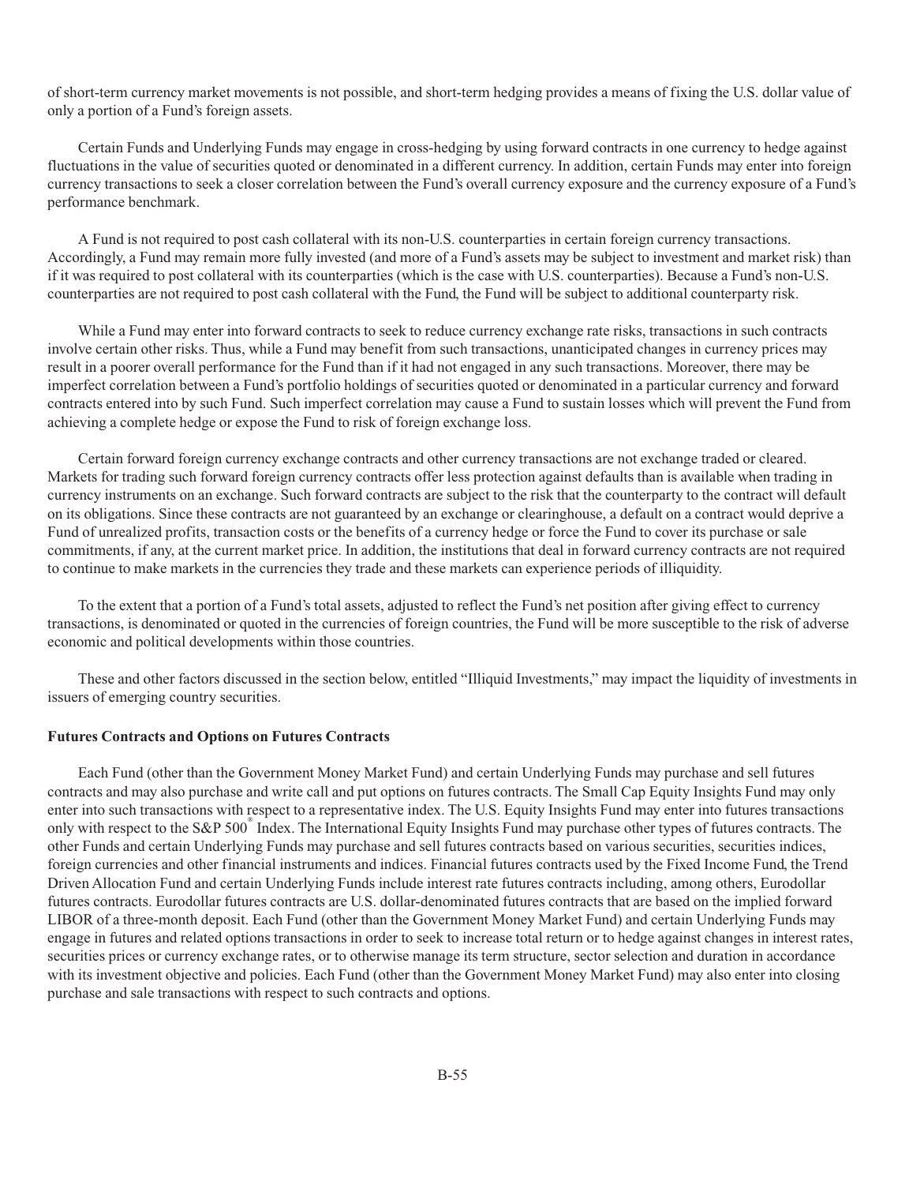of short-term currency market movements is not possible, and short-term hedging provides a means of fixing the U.S. dollar value of only a portion of a Fund's foreign assets.

Certain Funds and Underlying Funds may engage in cross-hedging by using forward contracts in one currency to hedge against fluctuations in the value of securities quoted or denominated in a different currency. In addition, certain Funds may enter into foreign currency transactions to seek a closer correlation between the Fund's overall currency exposure and the currency exposure of a Fund's performance benchmark.

A Fund is not required to post cash collateral with its non-U.S. counterparties in certain foreign currency transactions. Accordingly, a Fund may remain more fully invested (and more of a Fund's assets may be subject to investment and market risk) than if it was required to post collateral with its counterparties (which is the case with U.S. counterparties). Because a Fund's non-U.S. counterparties are not required to post cash collateral with the Fund, the Fund will be subject to additional counterparty risk.

While a Fund may enter into forward contracts to seek to reduce currency exchange rate risks, transactions in such contracts involve certain other risks. Thus, while a Fund may benefit from such transactions, unanticipated changes in currency prices may result in a poorer overall performance for the Fund than if it had not engaged in any such transactions. Moreover, there may be imperfect correlation between a Fund's portfolio holdings of securities quoted or denominated in a particular currency and forward contracts entered into by such Fund. Such imperfect correlation may cause a Fund to sustain losses which will prevent the Fund from achieving a complete hedge or expose the Fund to risk of foreign exchange loss.

Certain forward foreign currency exchange contracts and other currency transactions are not exchange traded or cleared. Markets for trading such forward foreign currency contracts offer less protection against defaults than is available when trading in currency instruments on an exchange. Such forward contracts are subject to the risk that the counterparty to the contract will default on its obligations. Since these contracts are not guaranteed by an exchange or clearinghouse, a default on a contract would deprive a Fund of unrealized profits, transaction costs or the benefits of a currency hedge or force the Fund to cover its purchase or sale commitments, if any, at the current market price. In addition, the institutions that deal in forward currency contracts are not required to continue to make markets in the currencies they trade and these markets can experience periods of illiquidity.

To the extent that a portion of a Fund's total assets, adjusted to reflect the Fund's net position after giving effect to currency transactions, is denominated or quoted in the currencies of foreign countries, the Fund will be more susceptible to the risk of adverse economic and political developments within those countries.

These and other factors discussed in the section below, entitled "Illiquid Investments," may impact the liquidity of investments in issuers of emerging country securities.

# **Futures Contracts and Options on Futures Contracts**

Each Fund (other than the Government Money Market Fund) and certain Underlying Funds may purchase and sell futures contracts and may also purchase and write call and put options on futures contracts. The Small Cap Equity Insights Fund may only enter into such transactions with respect to a representative index. The U.S. Equity Insights Fund may enter into futures transactions only with respect to the S&P 500<sup>®</sup> Index. The International Equity Insights Fund may purchase other types of futures contracts. The other Funds and certain Underlying Funds may purchase and sell futures contracts based on various securities, securities indices, foreign currencies and other financial instruments and indices. Financial futures contracts used by the Fixed Income Fund, the Trend Driven Allocation Fund and certain Underlying Funds include interest rate futures contracts including, among others, Eurodollar futures contracts. Eurodollar futures contracts are U.S. dollar-denominated futures contracts that are based on the implied forward LIBOR of a three-month deposit. Each Fund (other than the Government Money Market Fund) and certain Underlying Funds may engage in futures and related options transactions in order to seek to increase total return or to hedge against changes in interest rates, securities prices or currency exchange rates, or to otherwise manage its term structure, sector selection and duration in accordance with its investment objective and policies. Each Fund (other than the Government Money Market Fund) may also enter into closing purchase and sale transactions with respect to such contracts and options.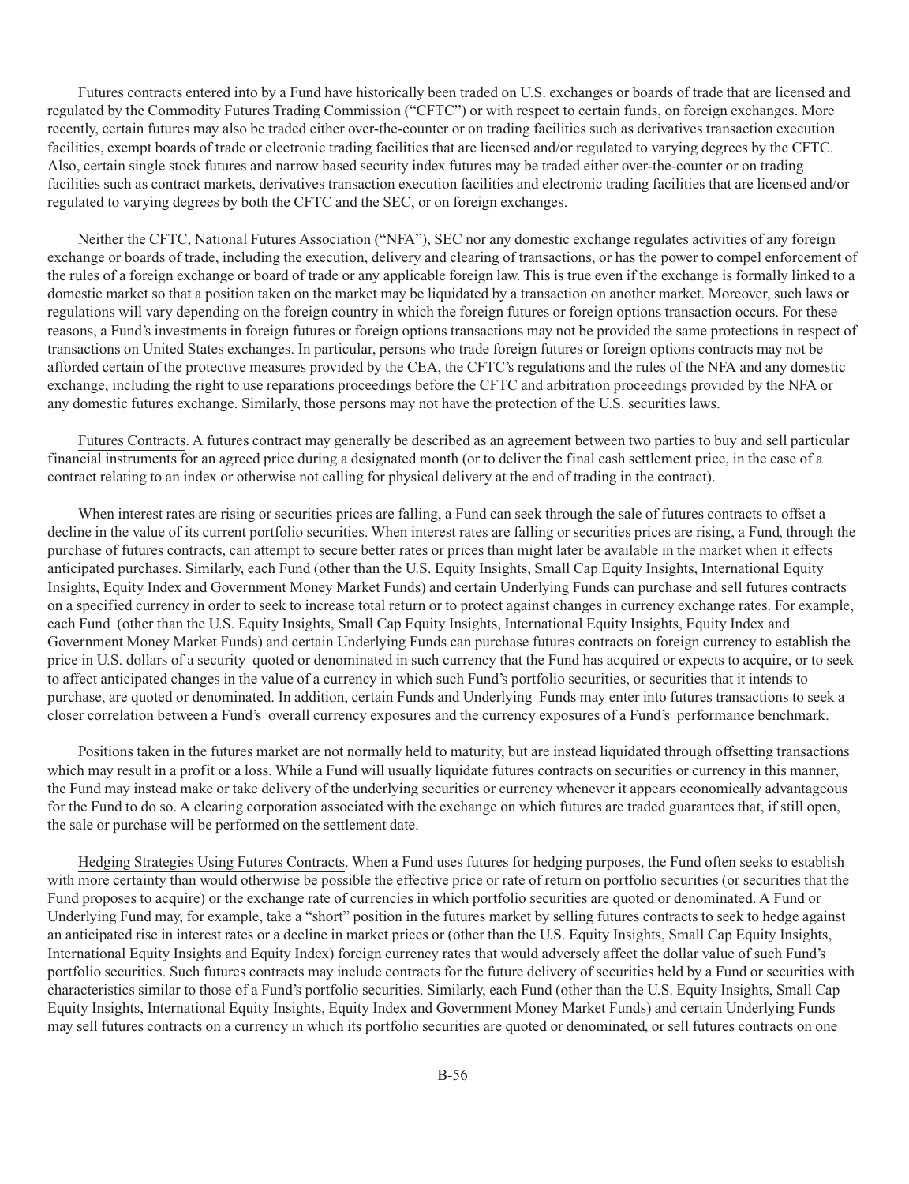Futures contracts entered into by a Fund have historically been traded on U.S. exchanges or boards of trade that are licensed and regulated by the Commodity Futures Trading Commission ("CFTC") or with respect to certain funds, on foreign exchanges. More recently, certain futures may also be traded either over-the-counter or on trading facilities such as derivatives transaction execution facilities, exempt boards of trade or electronic trading facilities that are licensed and/or regulated to varying degrees by the CFTC. Also, certain single stock futures and narrow based security index futures may be traded either over-the-counter or on trading facilities such as contract markets, derivatives transaction execution facilities and electronic trading facilities that are licensed and/or regulated to varying degrees by both the CFTC and the SEC, or on foreign exchanges.

Neither the CFTC, National Futures Association ("NFA"), SEC nor any domestic exchange regulates activities of any foreign exchange or boards of trade, including the execution, delivery and clearing of transactions, or has the power to compel enforcement of the rules of a foreign exchange or board of trade or any applicable foreign law. This is true even if the exchange is formally linked to a domestic market so that a position taken on the market may be liquidated by a transaction on another market. Moreover, such laws or regulations will vary depending on the foreign country in which the foreign futures or foreign options transaction occurs. For these reasons, a Fund's investments in foreign futures or foreign options transactions may not be provided the same protections in respect of transactions on United States exchanges. In particular, persons who trade foreign futures or foreign options contracts may not be afforded certain of the protective measures provided by the CEA, the CFTC's regulations and the rules of the NFA and any domestic exchange, including the right to use reparations proceedings before the CFTC and arbitration proceedings provided by the NFA or any domestic futures exchange. Similarly, those persons may not have the protection of the U.S. securities laws.

Futures Contracts. A futures contract may generally be described as an agreement between two parties to buy and sell particular financial instruments for an agreed price during a designated month (or to deliver the final cash settlement price, in the case of a contract relating to an index or otherwise not calling for physical delivery at the end of trading in the contract).

When interest rates are rising or securities prices are falling, a Fund can seek through the sale of futures contracts to offset a decline in the value of its current portfolio securities. When interest rates are falling or securities prices are rising, a Fund, through the purchase of futures contracts, can attempt to secure better rates or prices than might later be available in the market when it effects anticipated purchases. Similarly, each Fund (other than the U.S. Equity Insights, Small Cap Equity Insights, International Equity Insights, Equity Index and Government Money Market Funds) and certain Underlying Funds can purchase and sell futures contracts on a specified currency in order to seek to increase total return or to protect against changes in currency exchange rates. For example, each Fund (other than the U.S. Equity Insights, Small Cap Equity Insights, International Equity Insights, Equity Index and Government Money Market Funds) and certain Underlying Funds can purchase futures contracts on foreign currency to establish the price in U.S. dollars of a security quoted or denominated in such currency that the Fund has acquired or expects to acquire, or to seek to affect anticipated changes in the value of a currency in which such Fund's portfolio securities, or securities that it intends to purchase, are quoted or denominated. In addition, certain Funds and Underlying Funds may enter into futures transactions to seek a closer correlation between a Fund's overall currency exposures and the currency exposures of a Fund's performance benchmark.

Positions taken in the futures market are not normally held to maturity, but are instead liquidated through offsetting transactions which may result in a profit or a loss. While a Fund will usually liquidate futures contracts on securities or currency in this manner, the Fund may instead make or take delivery of the underlying securities or currency whenever it appears economically advantageous for the Fund to do so. A clearing corporation associated with the exchange on which futures are traded guarantees that, if still open, the sale or purchase will be performed on the settlement date.

Hedging Strategies Using Futures Contracts. When a Fund uses futures for hedging purposes, the Fund often seeks to establish with more certainty than would otherwise be possible the effective price or rate of return on portfolio securities (or securities that the Fund proposes to acquire) or the exchange rate of currencies in which portfolio securities are quoted or denominated. A Fund or Underlying Fund may, for example, take a "short" position in the futures market by selling futures contracts to seek to hedge against an anticipated rise in interest rates or a decline in market prices or (other than the U.S. Equity Insights, Small Cap Equity Insights, International Equity Insights and Equity Index) foreign currency rates that would adversely affect the dollar value of such Fund's portfolio securities. Such futures contracts may include contracts for the future delivery of securities held by a Fund or securities with characteristics similar to those of a Fund's portfolio securities. Similarly, each Fund (other than the U.S. Equity Insights, Small Cap Equity Insights, International Equity Insights, Equity Index and Government Money Market Funds) and certain Underlying Funds may sell futures contracts on a currency in which its portfolio securities are quoted or denominated, or sell futures contracts on one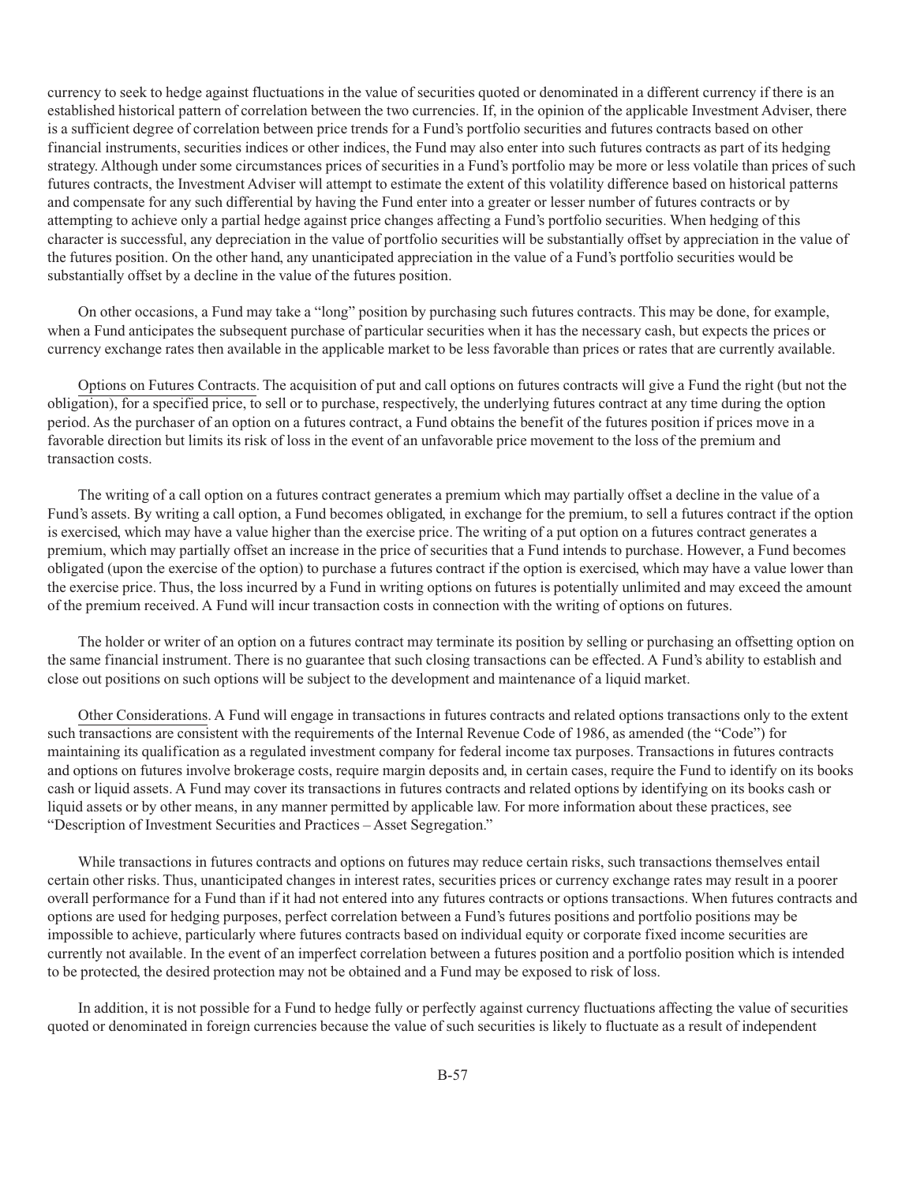currency to seek to hedge against fluctuations in the value of securities quoted or denominated in a different currency if there is an established historical pattern of correlation between the two currencies. If, in the opinion of the applicable Investment Adviser, there is a sufficient degree of correlation between price trends for a Fund's portfolio securities and futures contracts based on other financial instruments, securities indices or other indices, the Fund may also enter into such futures contracts as part of its hedging strategy. Although under some circumstances prices of securities in a Fund's portfolio may be more or less volatile than prices of such futures contracts, the Investment Adviser will attempt to estimate the extent of this volatility difference based on historical patterns and compensate for any such differential by having the Fund enter into a greater or lesser number of futures contracts or by attempting to achieve only a partial hedge against price changes affecting a Fund's portfolio securities. When hedging of this character is successful, any depreciation in the value of portfolio securities will be substantially offset by appreciation in the value of the futures position. On the other hand, any unanticipated appreciation in the value of a Fund's portfolio securities would be substantially offset by a decline in the value of the futures position.

On other occasions, a Fund may take a "long" position by purchasing such futures contracts. This may be done, for example, when a Fund anticipates the subsequent purchase of particular securities when it has the necessary cash, but expects the prices or currency exchange rates then available in the applicable market to be less favorable than prices or rates that are currently available.

Options on Futures Contracts. The acquisition of put and call options on futures contracts will give a Fund the right (but not the obligation), for a specified price, to sell or to purchase, respectively, the underlying futures contract at any time during the option period. As the purchaser of an option on a futures contract, a Fund obtains the benefit of the futures position if prices move in a favorable direction but limits its risk of loss in the event of an unfavorable price movement to the loss of the premium and transaction costs.

The writing of a call option on a futures contract generates a premium which may partially offset a decline in the value of a Fund's assets. By writing a call option, a Fund becomes obligated, in exchange for the premium, to sell a futures contract if the option is exercised, which may have a value higher than the exercise price. The writing of a put option on a futures contract generates a premium, which may partially offset an increase in the price of securities that a Fund intends to purchase. However, a Fund becomes obligated (upon the exercise of the option) to purchase a futures contract if the option is exercised, which may have a value lower than the exercise price. Thus, the loss incurred by a Fund in writing options on futures is potentially unlimited and may exceed the amount of the premium received. A Fund will incur transaction costs in connection with the writing of options on futures.

The holder or writer of an option on a futures contract may terminate its position by selling or purchasing an offsetting option on the same financial instrument. There is no guarantee that such closing transactions can be effected. A Fund's ability to establish and close out positions on such options will be subject to the development and maintenance of a liquid market.

Other Considerations. A Fund will engage in transactions in futures contracts and related options transactions only to the extent such transactions are consistent with the requirements of the Internal Revenue Code of 1986, as amended (the "Code") for maintaining its qualification as a regulated investment company for federal income tax purposes. Transactions in futures contracts and options on futures involve brokerage costs, require margin deposits and, in certain cases, require the Fund to identify on its books cash or liquid assets. A Fund may cover its transactions in futures contracts and related options by identifying on its books cash or liquid assets or by other means, in any manner permitted by applicable law. For more information about these practices, see "Description of Investment Securities and Practices – Asset Segregation."

While transactions in futures contracts and options on futures may reduce certain risks, such transactions themselves entail certain other risks. Thus, unanticipated changes in interest rates, securities prices or currency exchange rates may result in a poorer overall performance for a Fund than if it had not entered into any futures contracts or options transactions. When futures contracts and options are used for hedging purposes, perfect correlation between a Fund's futures positions and portfolio positions may be impossible to achieve, particularly where futures contracts based on individual equity or corporate fixed income securities are currently not available. In the event of an imperfect correlation between a futures position and a portfolio position which is intended to be protected, the desired protection may not be obtained and a Fund may be exposed to risk of loss.

In addition, it is not possible for a Fund to hedge fully or perfectly against currency fluctuations affecting the value of securities quoted or denominated in foreign currencies because the value of such securities is likely to fluctuate as a result of independent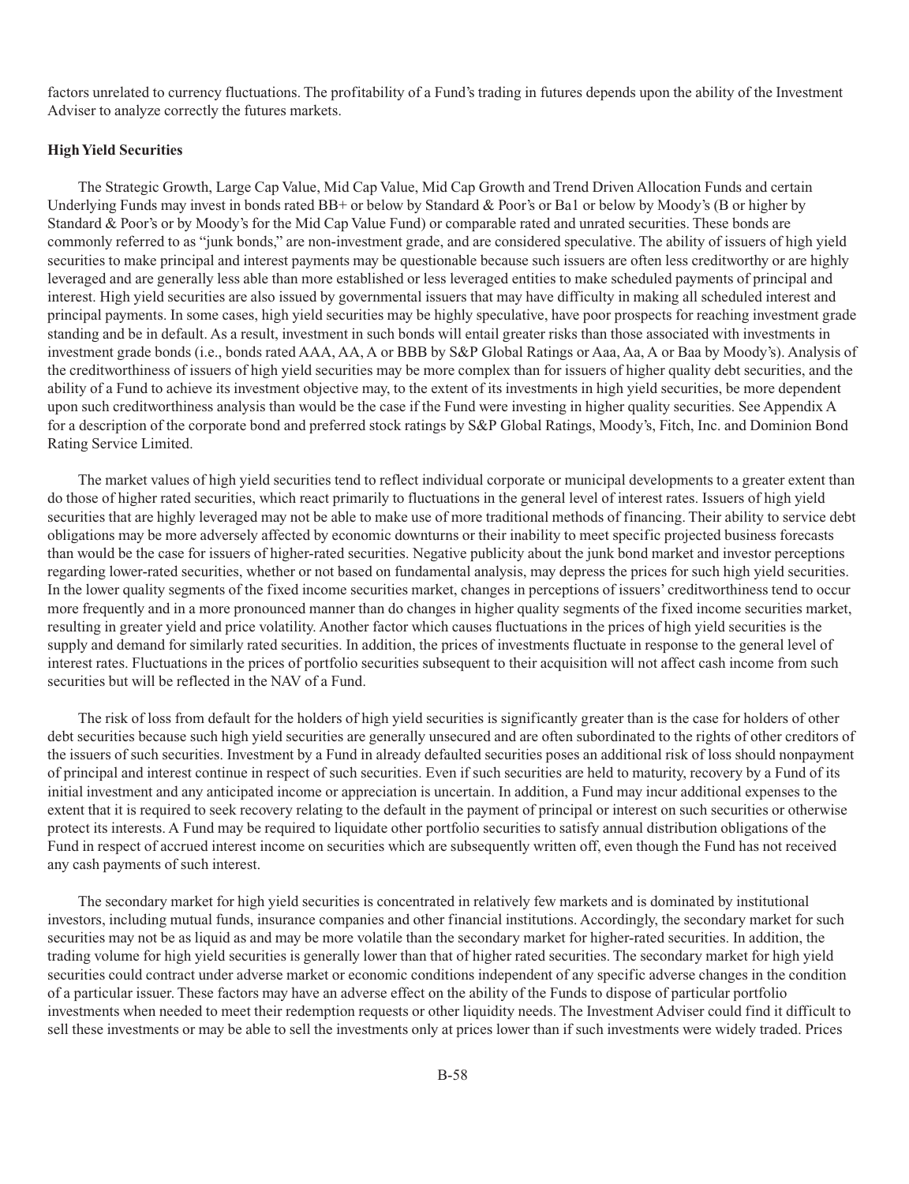factors unrelated to currency fluctuations. The profitability of a Fund's trading in futures depends upon the ability of the Investment Adviser to analyze correctly the futures markets.

#### **High Yield Securities**

The Strategic Growth, Large Cap Value, Mid Cap Value, Mid Cap Growth and Trend Driven Allocation Funds and certain Underlying Funds may invest in bonds rated BB+ or below by Standard & Poor's or Ba1 or below by Moody's (B or higher by Standard & Poor's or by Moody's for the Mid Cap Value Fund) or comparable rated and unrated securities. These bonds are commonly referred to as "junk bonds," are non-investment grade, and are considered speculative. The ability of issuers of high yield securities to make principal and interest payments may be questionable because such issuers are often less creditworthy or are highly leveraged and are generally less able than more established or less leveraged entities to make scheduled payments of principal and interest. High yield securities are also issued by governmental issuers that may have difficulty in making all scheduled interest and principal payments. In some cases, high yield securities may be highly speculative, have poor prospects for reaching investment grade standing and be in default. As a result, investment in such bonds will entail greater risks than those associated with investments in investment grade bonds (i.e., bonds rated AAA, AA, A or BBB by S&P Global Ratings or Aaa, Aa, A or Baa by Moody's). Analysis of the creditworthiness of issuers of high yield securities may be more complex than for issuers of higher quality debt securities, and the ability of a Fund to achieve its investment objective may, to the extent of its investments in high yield securities, be more dependent upon such creditworthiness analysis than would be the case if the Fund were investing in higher quality securities. See Appendix A for a description of the corporate bond and preferred stock ratings by S&P Global Ratings, Moody's, Fitch, Inc. and Dominion Bond Rating Service Limited.

The market values of high yield securities tend to reflect individual corporate or municipal developments to a greater extent than do those of higher rated securities, which react primarily to fluctuations in the general level of interest rates. Issuers of high yield securities that are highly leveraged may not be able to make use of more traditional methods of financing. Their ability to service debt obligations may be more adversely affected by economic downturns or their inability to meet specific projected business forecasts than would be the case for issuers of higher-rated securities. Negative publicity about the junk bond market and investor perceptions regarding lower-rated securities, whether or not based on fundamental analysis, may depress the prices for such high yield securities. In the lower quality segments of the fixed income securities market, changes in perceptions of issuers' creditworthiness tend to occur more frequently and in a more pronounced manner than do changes in higher quality segments of the fixed income securities market, resulting in greater yield and price volatility. Another factor which causes fluctuations in the prices of high yield securities is the supply and demand for similarly rated securities. In addition, the prices of investments fluctuate in response to the general level of interest rates. Fluctuations in the prices of portfolio securities subsequent to their acquisition will not affect cash income from such securities but will be reflected in the NAV of a Fund.

The risk of loss from default for the holders of high yield securities is significantly greater than is the case for holders of other debt securities because such high yield securities are generally unsecured and are often subordinated to the rights of other creditors of the issuers of such securities. Investment by a Fund in already defaulted securities poses an additional risk of loss should nonpayment of principal and interest continue in respect of such securities. Even if such securities are held to maturity, recovery by a Fund of its initial investment and any anticipated income or appreciation is uncertain. In addition, a Fund may incur additional expenses to the extent that it is required to seek recovery relating to the default in the payment of principal or interest on such securities or otherwise protect its interests. A Fund may be required to liquidate other portfolio securities to satisfy annual distribution obligations of the Fund in respect of accrued interest income on securities which are subsequently written off, even though the Fund has not received any cash payments of such interest.

The secondary market for high yield securities is concentrated in relatively few markets and is dominated by institutional investors, including mutual funds, insurance companies and other financial institutions. Accordingly, the secondary market for such securities may not be as liquid as and may be more volatile than the secondary market for higher-rated securities. In addition, the trading volume for high yield securities is generally lower than that of higher rated securities. The secondary market for high yield securities could contract under adverse market or economic conditions independent of any specific adverse changes in the condition of a particular issuer. These factors may have an adverse effect on the ability of the Funds to dispose of particular portfolio investments when needed to meet their redemption requests or other liquidity needs. The Investment Adviser could find it difficult to sell these investments or may be able to sell the investments only at prices lower than if such investments were widely traded. Prices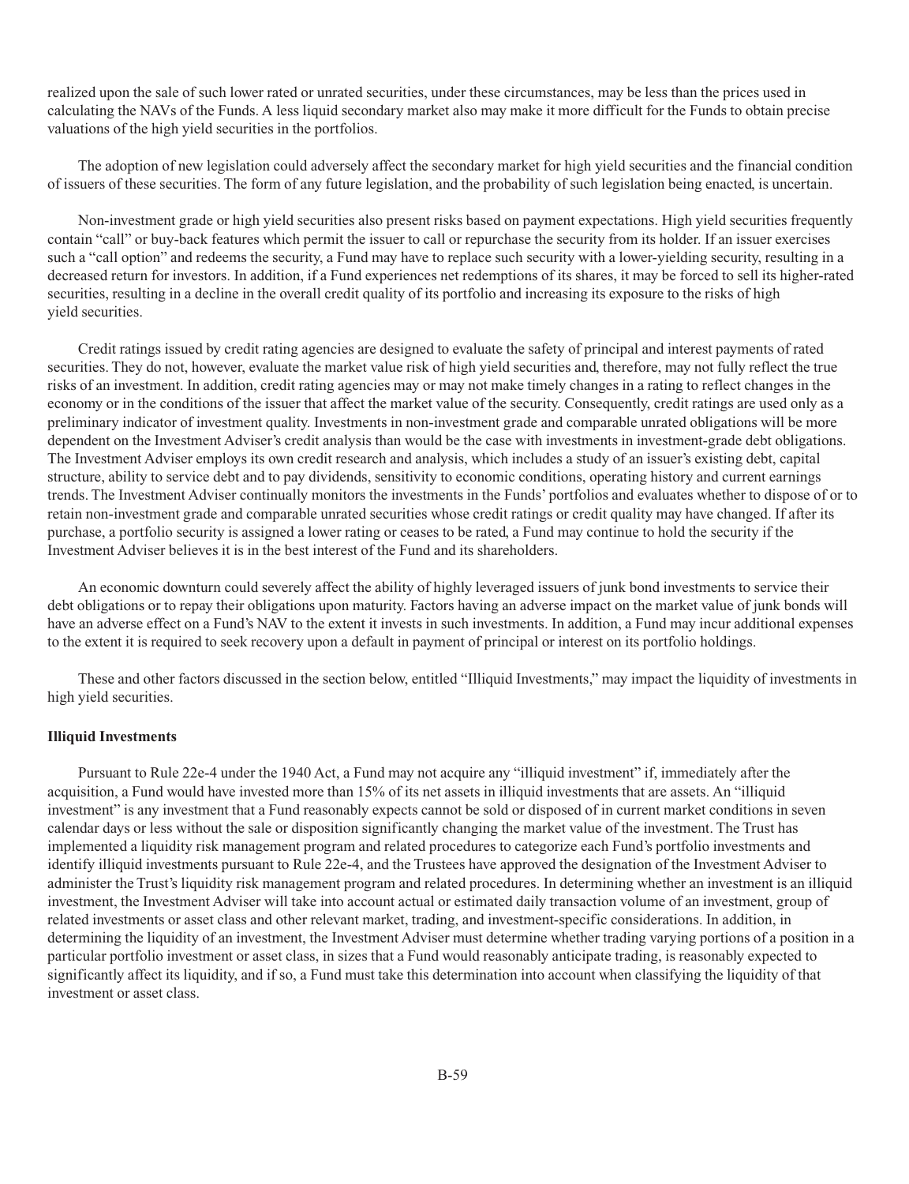realized upon the sale of such lower rated or unrated securities, under these circumstances, may be less than the prices used in calculating the NAVs of the Funds. A less liquid secondary market also may make it more difficult for the Funds to obtain precise valuations of the high yield securities in the portfolios.

The adoption of new legislation could adversely affect the secondary market for high yield securities and the financial condition of issuers of these securities. The form of any future legislation, and the probability of such legislation being enacted, is uncertain.

Non-investment grade or high yield securities also present risks based on payment expectations. High yield securities frequently contain "call" or buy-back features which permit the issuer to call or repurchase the security from its holder. If an issuer exercises such a "call option" and redeems the security, a Fund may have to replace such security with a lower-yielding security, resulting in a decreased return for investors. In addition, if a Fund experiences net redemptions of its shares, it may be forced to sell its higher-rated securities, resulting in a decline in the overall credit quality of its portfolio and increasing its exposure to the risks of high yield securities.

Credit ratings issued by credit rating agencies are designed to evaluate the safety of principal and interest payments of rated securities. They do not, however, evaluate the market value risk of high yield securities and, therefore, may not fully reflect the true risks of an investment. In addition, credit rating agencies may or may not make timely changes in a rating to reflect changes in the economy or in the conditions of the issuer that affect the market value of the security. Consequently, credit ratings are used only as a preliminary indicator of investment quality. Investments in non-investment grade and comparable unrated obligations will be more dependent on the Investment Adviser's credit analysis than would be the case with investments in investment-grade debt obligations. The Investment Adviser employs its own credit research and analysis, which includes a study of an issuer's existing debt, capital structure, ability to service debt and to pay dividends, sensitivity to economic conditions, operating history and current earnings trends. The Investment Adviser continually monitors the investments in the Funds' portfolios and evaluates whether to dispose of or to retain non-investment grade and comparable unrated securities whose credit ratings or credit quality may have changed. If after its purchase, a portfolio security is assigned a lower rating or ceases to be rated, a Fund may continue to hold the security if the Investment Adviser believes it is in the best interest of the Fund and its shareholders.

An economic downturn could severely affect the ability of highly leveraged issuers of junk bond investments to service their debt obligations or to repay their obligations upon maturity. Factors having an adverse impact on the market value of junk bonds will have an adverse effect on a Fund's NAV to the extent it invests in such investments. In addition, a Fund may incur additional expenses to the extent it is required to seek recovery upon a default in payment of principal or interest on its portfolio holdings.

These and other factors discussed in the section below, entitled "Illiquid Investments," may impact the liquidity of investments in high yield securities.

# **Illiquid Investments**

Pursuant to Rule 22e-4 under the 1940 Act, a Fund may not acquire any "illiquid investment" if, immediately after the acquisition, a Fund would have invested more than 15% of its net assets in illiquid investments that are assets. An "illiquid investment" is any investment that a Fund reasonably expects cannot be sold or disposed of in current market conditions in seven calendar days or less without the sale or disposition significantly changing the market value of the investment. The Trust has implemented a liquidity risk management program and related procedures to categorize each Fund's portfolio investments and identify illiquid investments pursuant to Rule 22e-4, and the Trustees have approved the designation of the Investment Adviser to administer the Trust's liquidity risk management program and related procedures. In determining whether an investment is an illiquid investment, the Investment Adviser will take into account actual or estimated daily transaction volume of an investment, group of related investments or asset class and other relevant market, trading, and investment-specific considerations. In addition, in determining the liquidity of an investment, the Investment Adviser must determine whether trading varying portions of a position in a particular portfolio investment or asset class, in sizes that a Fund would reasonably anticipate trading, is reasonably expected to significantly affect its liquidity, and if so, a Fund must take this determination into account when classifying the liquidity of that investment or asset class.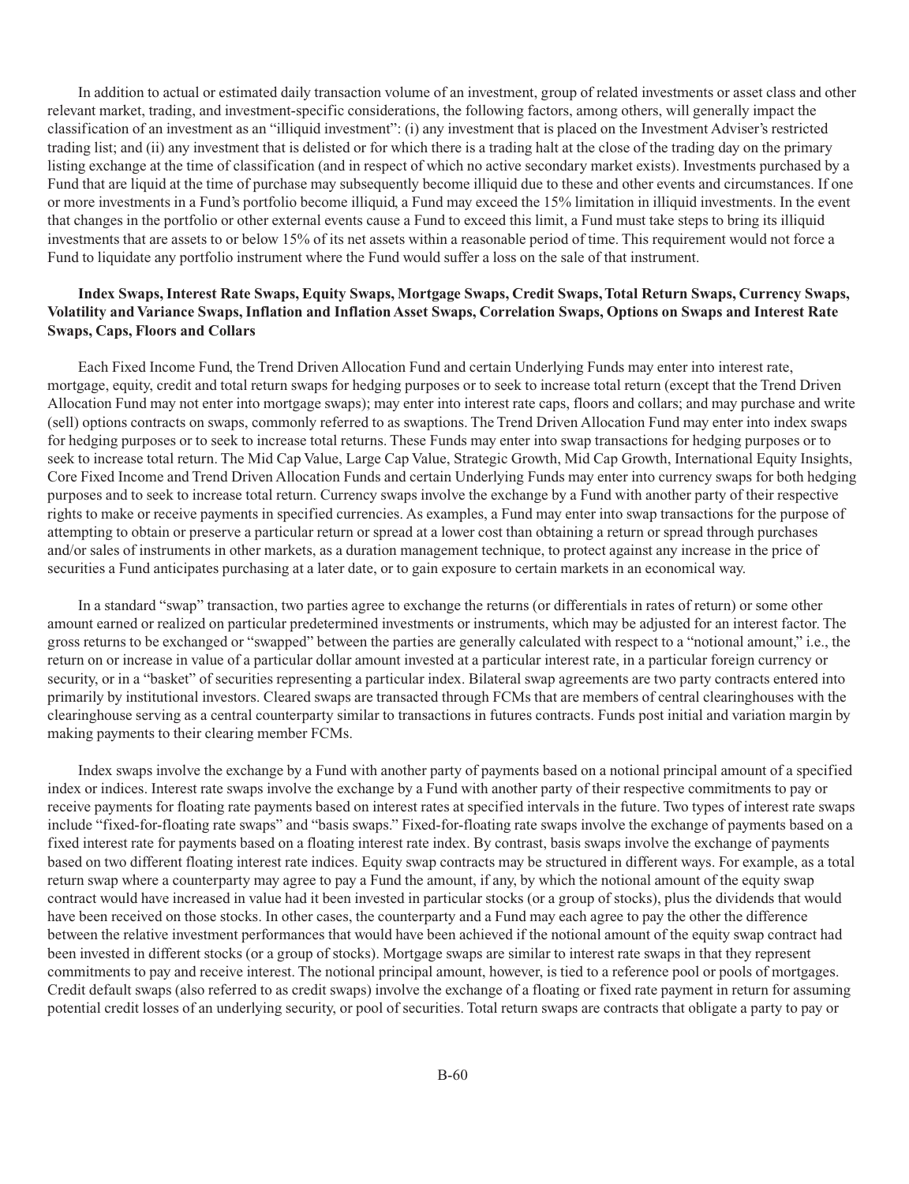In addition to actual or estimated daily transaction volume of an investment, group of related investments or asset class and other relevant market, trading, and investment-specific considerations, the following factors, among others, will generally impact the classification of an investment as an "illiquid investment": (i) any investment that is placed on the Investment Adviser's restricted trading list; and (ii) any investment that is delisted or for which there is a trading halt at the close of the trading day on the primary listing exchange at the time of classification (and in respect of which no active secondary market exists). Investments purchased by a Fund that are liquid at the time of purchase may subsequently become illiquid due to these and other events and circumstances. If one or more investments in a Fund's portfolio become illiquid, a Fund may exceed the 15% limitation in illiquid investments. In the event that changes in the portfolio or other external events cause a Fund to exceed this limit, a Fund must take steps to bring its illiquid investments that are assets to or below 15% of its net assets within a reasonable period of time. This requirement would not force a Fund to liquidate any portfolio instrument where the Fund would suffer a loss on the sale of that instrument.

# **Index Swaps, Interest Rate Swaps, Equity Swaps, Mortgage Swaps, Credit Swaps, Total Return Swaps, Currency Swaps, Volatility and Variance Swaps, Inflation and Inflation Asset Swaps, Correlation Swaps, Options on Swaps and Interest Rate Swaps, Caps, Floors and Collars**

Each Fixed Income Fund, the Trend Driven Allocation Fund and certain Underlying Funds may enter into interest rate, mortgage, equity, credit and total return swaps for hedging purposes or to seek to increase total return (except that the Trend Driven Allocation Fund may not enter into mortgage swaps); may enter into interest rate caps, floors and collars; and may purchase and write (sell) options contracts on swaps, commonly referred to as swaptions. The Trend Driven Allocation Fund may enter into index swaps for hedging purposes or to seek to increase total returns. These Funds may enter into swap transactions for hedging purposes or to seek to increase total return. The Mid Cap Value, Large Cap Value, Strategic Growth, Mid Cap Growth, International Equity Insights, Core Fixed Income and Trend Driven Allocation Funds and certain Underlying Funds may enter into currency swaps for both hedging purposes and to seek to increase total return. Currency swaps involve the exchange by a Fund with another party of their respective rights to make or receive payments in specified currencies. As examples, a Fund may enter into swap transactions for the purpose of attempting to obtain or preserve a particular return or spread at a lower cost than obtaining a return or spread through purchases and/or sales of instruments in other markets, as a duration management technique, to protect against any increase in the price of securities a Fund anticipates purchasing at a later date, or to gain exposure to certain markets in an economical way.

In a standard "swap" transaction, two parties agree to exchange the returns (or differentials in rates of return) or some other amount earned or realized on particular predetermined investments or instruments, which may be adjusted for an interest factor. The gross returns to be exchanged or "swapped" between the parties are generally calculated with respect to a "notional amount," i.e., the return on or increase in value of a particular dollar amount invested at a particular interest rate, in a particular foreign currency or security, or in a "basket" of securities representing a particular index. Bilateral swap agreements are two party contracts entered into primarily by institutional investors. Cleared swaps are transacted through FCMs that are members of central clearinghouses with the clearinghouse serving as a central counterparty similar to transactions in futures contracts. Funds post initial and variation margin by making payments to their clearing member FCMs.

Index swaps involve the exchange by a Fund with another party of payments based on a notional principal amount of a specified index or indices. Interest rate swaps involve the exchange by a Fund with another party of their respective commitments to pay or receive payments for floating rate payments based on interest rates at specified intervals in the future. Two types of interest rate swaps include "fixed-for-floating rate swaps" and "basis swaps." Fixed-for-floating rate swaps involve the exchange of payments based on a fixed interest rate for payments based on a floating interest rate index. By contrast, basis swaps involve the exchange of payments based on two different floating interest rate indices. Equity swap contracts may be structured in different ways. For example, as a total return swap where a counterparty may agree to pay a Fund the amount, if any, by which the notional amount of the equity swap contract would have increased in value had it been invested in particular stocks (or a group of stocks), plus the dividends that would have been received on those stocks. In other cases, the counterparty and a Fund may each agree to pay the other the difference between the relative investment performances that would have been achieved if the notional amount of the equity swap contract had been invested in different stocks (or a group of stocks). Mortgage swaps are similar to interest rate swaps in that they represent commitments to pay and receive interest. The notional principal amount, however, is tied to a reference pool or pools of mortgages. Credit default swaps (also referred to as credit swaps) involve the exchange of a floating or fixed rate payment in return for assuming potential credit losses of an underlying security, or pool of securities. Total return swaps are contracts that obligate a party to pay or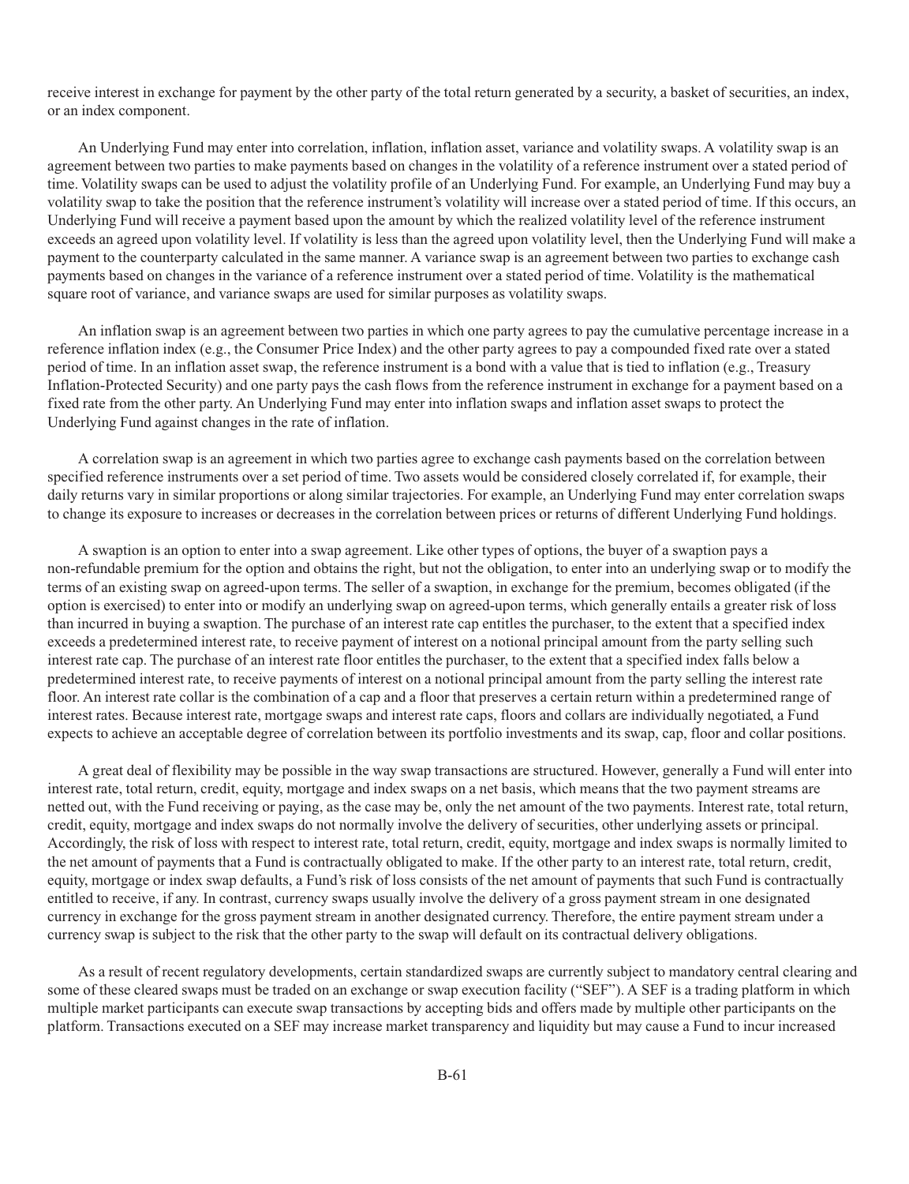receive interest in exchange for payment by the other party of the total return generated by a security, a basket of securities, an index, or an index component.

An Underlying Fund may enter into correlation, inflation, inflation asset, variance and volatility swaps. A volatility swap is an agreement between two parties to make payments based on changes in the volatility of a reference instrument over a stated period of time. Volatility swaps can be used to adjust the volatility profile of an Underlying Fund. For example, an Underlying Fund may buy a volatility swap to take the position that the reference instrument's volatility will increase over a stated period of time. If this occurs, an Underlying Fund will receive a payment based upon the amount by which the realized volatility level of the reference instrument exceeds an agreed upon volatility level. If volatility is less than the agreed upon volatility level, then the Underlying Fund will make a payment to the counterparty calculated in the same manner. A variance swap is an agreement between two parties to exchange cash payments based on changes in the variance of a reference instrument over a stated period of time. Volatility is the mathematical square root of variance, and variance swaps are used for similar purposes as volatility swaps.

An inflation swap is an agreement between two parties in which one party agrees to pay the cumulative percentage increase in a reference inflation index (e.g., the Consumer Price Index) and the other party agrees to pay a compounded fixed rate over a stated period of time. In an inflation asset swap, the reference instrument is a bond with a value that is tied to inflation (e.g., Treasury Inflation-Protected Security) and one party pays the cash flows from the reference instrument in exchange for a payment based on a fixed rate from the other party. An Underlying Fund may enter into inflation swaps and inflation asset swaps to protect the Underlying Fund against changes in the rate of inflation.

A correlation swap is an agreement in which two parties agree to exchange cash payments based on the correlation between specified reference instruments over a set period of time. Two assets would be considered closely correlated if, for example, their daily returns vary in similar proportions or along similar trajectories. For example, an Underlying Fund may enter correlation swaps to change its exposure to increases or decreases in the correlation between prices or returns of different Underlying Fund holdings.

A swaption is an option to enter into a swap agreement. Like other types of options, the buyer of a swaption pays a non-refundable premium for the option and obtains the right, but not the obligation, to enter into an underlying swap or to modify the terms of an existing swap on agreed-upon terms. The seller of a swaption, in exchange for the premium, becomes obligated (if the option is exercised) to enter into or modify an underlying swap on agreed-upon terms, which generally entails a greater risk of loss than incurred in buying a swaption. The purchase of an interest rate cap entitles the purchaser, to the extent that a specified index exceeds a predetermined interest rate, to receive payment of interest on a notional principal amount from the party selling such interest rate cap. The purchase of an interest rate floor entitles the purchaser, to the extent that a specified index falls below a predetermined interest rate, to receive payments of interest on a notional principal amount from the party selling the interest rate floor. An interest rate collar is the combination of a cap and a floor that preserves a certain return within a predetermined range of interest rates. Because interest rate, mortgage swaps and interest rate caps, floors and collars are individually negotiated, a Fund expects to achieve an acceptable degree of correlation between its portfolio investments and its swap, cap, floor and collar positions.

A great deal of flexibility may be possible in the way swap transactions are structured. However, generally a Fund will enter into interest rate, total return, credit, equity, mortgage and index swaps on a net basis, which means that the two payment streams are netted out, with the Fund receiving or paying, as the case may be, only the net amount of the two payments. Interest rate, total return, credit, equity, mortgage and index swaps do not normally involve the delivery of securities, other underlying assets or principal. Accordingly, the risk of loss with respect to interest rate, total return, credit, equity, mortgage and index swaps is normally limited to the net amount of payments that a Fund is contractually obligated to make. If the other party to an interest rate, total return, credit, equity, mortgage or index swap defaults, a Fund's risk of loss consists of the net amount of payments that such Fund is contractually entitled to receive, if any. In contrast, currency swaps usually involve the delivery of a gross payment stream in one designated currency in exchange for the gross payment stream in another designated currency. Therefore, the entire payment stream under a currency swap is subject to the risk that the other party to the swap will default on its contractual delivery obligations.

As a result of recent regulatory developments, certain standardized swaps are currently subject to mandatory central clearing and some of these cleared swaps must be traded on an exchange or swap execution facility ("SEF"). A SEF is a trading platform in which multiple market participants can execute swap transactions by accepting bids and offers made by multiple other participants on the platform. Transactions executed on a SEF may increase market transparency and liquidity but may cause a Fund to incur increased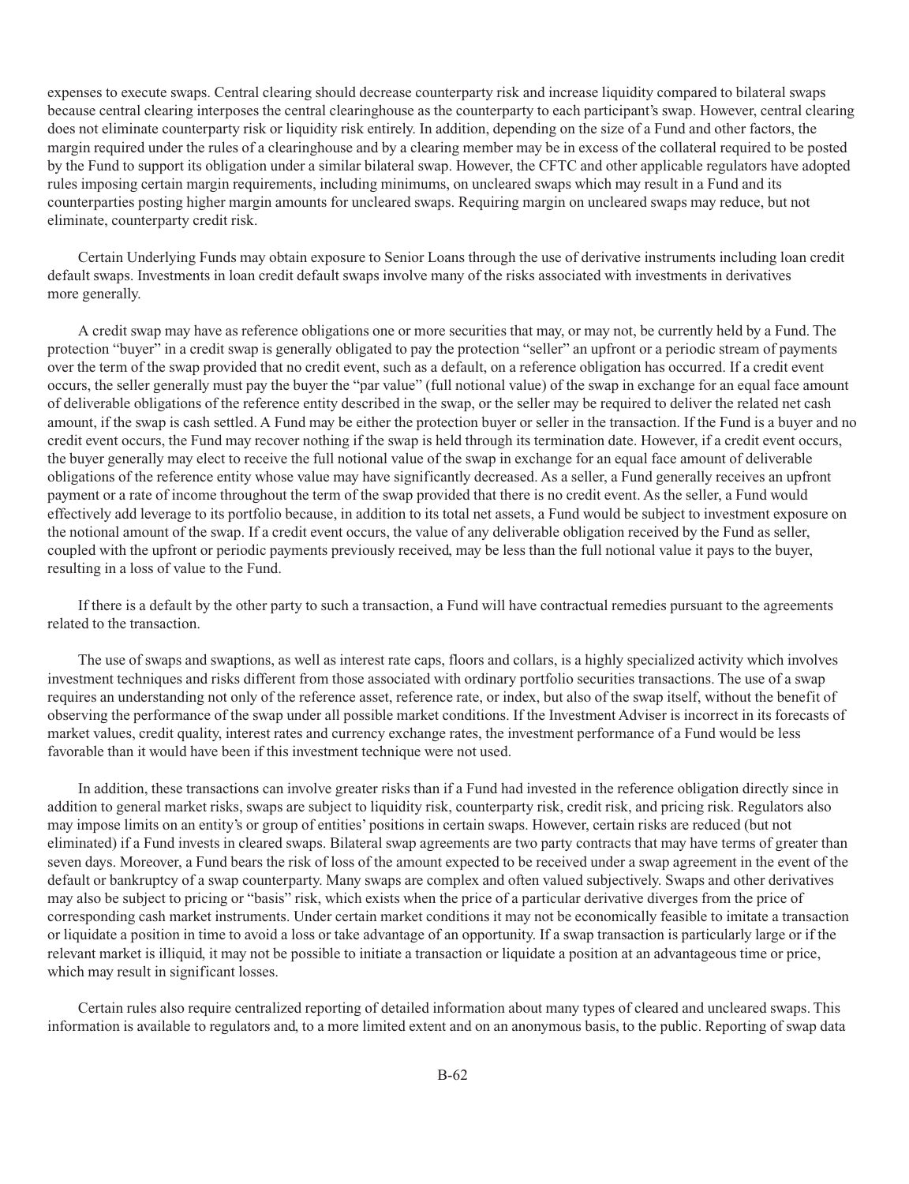expenses to execute swaps. Central clearing should decrease counterparty risk and increase liquidity compared to bilateral swaps because central clearing interposes the central clearinghouse as the counterparty to each participant's swap. However, central clearing does not eliminate counterparty risk or liquidity risk entirely. In addition, depending on the size of a Fund and other factors, the margin required under the rules of a clearinghouse and by a clearing member may be in excess of the collateral required to be posted by the Fund to support its obligation under a similar bilateral swap. However, the CFTC and other applicable regulators have adopted rules imposing certain margin requirements, including minimums, on uncleared swaps which may result in a Fund and its counterparties posting higher margin amounts for uncleared swaps. Requiring margin on uncleared swaps may reduce, but not eliminate, counterparty credit risk.

Certain Underlying Funds may obtain exposure to Senior Loans through the use of derivative instruments including loan credit default swaps. Investments in loan credit default swaps involve many of the risks associated with investments in derivatives more generally.

A credit swap may have as reference obligations one or more securities that may, or may not, be currently held by a Fund. The protection "buyer" in a credit swap is generally obligated to pay the protection "seller" an upfront or a periodic stream of payments over the term of the swap provided that no credit event, such as a default, on a reference obligation has occurred. If a credit event occurs, the seller generally must pay the buyer the "par value" (full notional value) of the swap in exchange for an equal face amount of deliverable obligations of the reference entity described in the swap, or the seller may be required to deliver the related net cash amount, if the swap is cash settled. A Fund may be either the protection buyer or seller in the transaction. If the Fund is a buyer and no credit event occurs, the Fund may recover nothing if the swap is held through its termination date. However, if a credit event occurs, the buyer generally may elect to receive the full notional value of the swap in exchange for an equal face amount of deliverable obligations of the reference entity whose value may have significantly decreased. As a seller, a Fund generally receives an upfront payment or a rate of income throughout the term of the swap provided that there is no credit event. As the seller, a Fund would effectively add leverage to its portfolio because, in addition to its total net assets, a Fund would be subject to investment exposure on the notional amount of the swap. If a credit event occurs, the value of any deliverable obligation received by the Fund as seller, coupled with the upfront or periodic payments previously received, may be less than the full notional value it pays to the buyer, resulting in a loss of value to the Fund.

If there is a default by the other party to such a transaction, a Fund will have contractual remedies pursuant to the agreements related to the transaction.

The use of swaps and swaptions, as well as interest rate caps, floors and collars, is a highly specialized activity which involves investment techniques and risks different from those associated with ordinary portfolio securities transactions. The use of a swap requires an understanding not only of the reference asset, reference rate, or index, but also of the swap itself, without the benefit of observing the performance of the swap under all possible market conditions. If the Investment Adviser is incorrect in its forecasts of market values, credit quality, interest rates and currency exchange rates, the investment performance of a Fund would be less favorable than it would have been if this investment technique were not used.

In addition, these transactions can involve greater risks than if a Fund had invested in the reference obligation directly since in addition to general market risks, swaps are subject to liquidity risk, counterparty risk, credit risk, and pricing risk. Regulators also may impose limits on an entity's or group of entities' positions in certain swaps. However, certain risks are reduced (but not eliminated) if a Fund invests in cleared swaps. Bilateral swap agreements are two party contracts that may have terms of greater than seven days. Moreover, a Fund bears the risk of loss of the amount expected to be received under a swap agreement in the event of the default or bankruptcy of a swap counterparty. Many swaps are complex and often valued subjectively. Swaps and other derivatives may also be subject to pricing or "basis" risk, which exists when the price of a particular derivative diverges from the price of corresponding cash market instruments. Under certain market conditions it may not be economically feasible to imitate a transaction or liquidate a position in time to avoid a loss or take advantage of an opportunity. If a swap transaction is particularly large or if the relevant market is illiquid, it may not be possible to initiate a transaction or liquidate a position at an advantageous time or price, which may result in significant losses.

Certain rules also require centralized reporting of detailed information about many types of cleared and uncleared swaps. This information is available to regulators and, to a more limited extent and on an anonymous basis, to the public. Reporting of swap data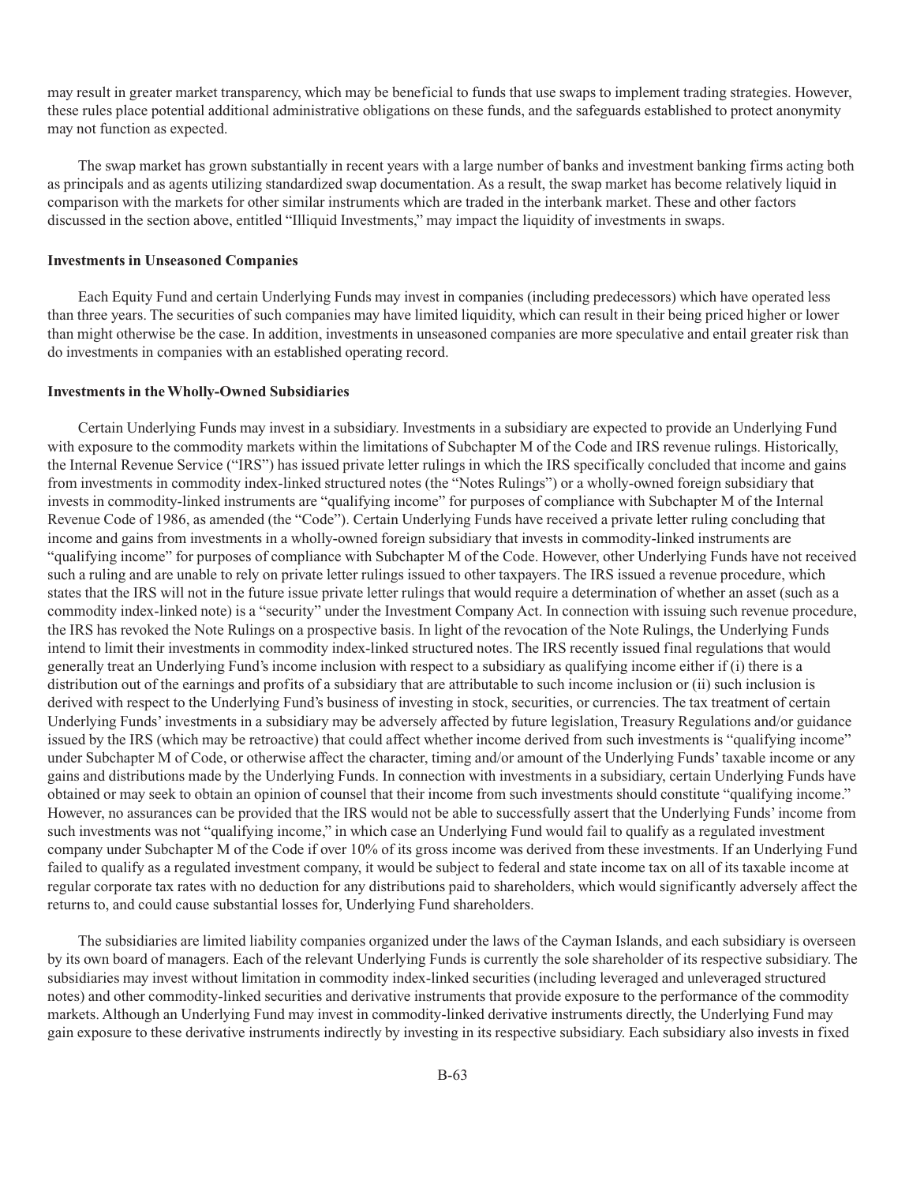may result in greater market transparency, which may be beneficial to funds that use swaps to implement trading strategies. However, these rules place potential additional administrative obligations on these funds, and the safeguards established to protect anonymity may not function as expected.

The swap market has grown substantially in recent years with a large number of banks and investment banking firms acting both as principals and as agents utilizing standardized swap documentation. As a result, the swap market has become relatively liquid in comparison with the markets for other similar instruments which are traded in the interbank market. These and other factors discussed in the section above, entitled "Illiquid Investments," may impact the liquidity of investments in swaps.

### **Investments in Unseasoned Companies**

Each Equity Fund and certain Underlying Funds may invest in companies (including predecessors) which have operated less than three years. The securities of such companies may have limited liquidity, which can result in their being priced higher or lower than might otherwise be the case. In addition, investments in unseasoned companies are more speculative and entail greater risk than do investments in companies with an established operating record.

## **Investments in theWholly-Owned Subsidiaries**

Certain Underlying Funds may invest in a subsidiary. Investments in a subsidiary are expected to provide an Underlying Fund with exposure to the commodity markets within the limitations of Subchapter M of the Code and IRS revenue rulings. Historically, the Internal Revenue Service ("IRS") has issued private letter rulings in which the IRS specifically concluded that income and gains from investments in commodity index-linked structured notes (the "Notes Rulings") or a wholly-owned foreign subsidiary that invests in commodity-linked instruments are "qualifying income" for purposes of compliance with Subchapter M of the Internal Revenue Code of 1986, as amended (the "Code"). Certain Underlying Funds have received a private letter ruling concluding that income and gains from investments in a wholly-owned foreign subsidiary that invests in commodity-linked instruments are "qualifying income" for purposes of compliance with Subchapter M of the Code. However, other Underlying Funds have not received such a ruling and are unable to rely on private letter rulings issued to other taxpayers. The IRS issued a revenue procedure, which states that the IRS will not in the future issue private letter rulings that would require a determination of whether an asset (such as a commodity index-linked note) is a "security" under the Investment Company Act. In connection with issuing such revenue procedure, the IRS has revoked the Note Rulings on a prospective basis. In light of the revocation of the Note Rulings, the Underlying Funds intend to limit their investments in commodity index-linked structured notes. The IRS recently issued final regulations that would generally treat an Underlying Fund's income inclusion with respect to a subsidiary as qualifying income either if (i) there is a distribution out of the earnings and profits of a subsidiary that are attributable to such income inclusion or (ii) such inclusion is derived with respect to the Underlying Fund's business of investing in stock, securities, or currencies. The tax treatment of certain Underlying Funds' investments in a subsidiary may be adversely affected by future legislation, Treasury Regulations and/or guidance issued by the IRS (which may be retroactive) that could affect whether income derived from such investments is "qualifying income" under Subchapter M of Code, or otherwise affect the character, timing and/or amount of the Underlying Funds' taxable income or any gains and distributions made by the Underlying Funds. In connection with investments in a subsidiary, certain Underlying Funds have obtained or may seek to obtain an opinion of counsel that their income from such investments should constitute "qualifying income." However, no assurances can be provided that the IRS would not be able to successfully assert that the Underlying Funds' income from such investments was not "qualifying income," in which case an Underlying Fund would fail to qualify as a regulated investment company under Subchapter M of the Code if over 10% of its gross income was derived from these investments. If an Underlying Fund failed to qualify as a regulated investment company, it would be subject to federal and state income tax on all of its taxable income at regular corporate tax rates with no deduction for any distributions paid to shareholders, which would significantly adversely affect the returns to, and could cause substantial losses for, Underlying Fund shareholders.

The subsidiaries are limited liability companies organized under the laws of the Cayman Islands, and each subsidiary is overseen by its own board of managers. Each of the relevant Underlying Funds is currently the sole shareholder of its respective subsidiary. The subsidiaries may invest without limitation in commodity index-linked securities (including leveraged and unleveraged structured notes) and other commodity-linked securities and derivative instruments that provide exposure to the performance of the commodity markets. Although an Underlying Fund may invest in commodity-linked derivative instruments directly, the Underlying Fund may gain exposure to these derivative instruments indirectly by investing in its respective subsidiary. Each subsidiary also invests in fixed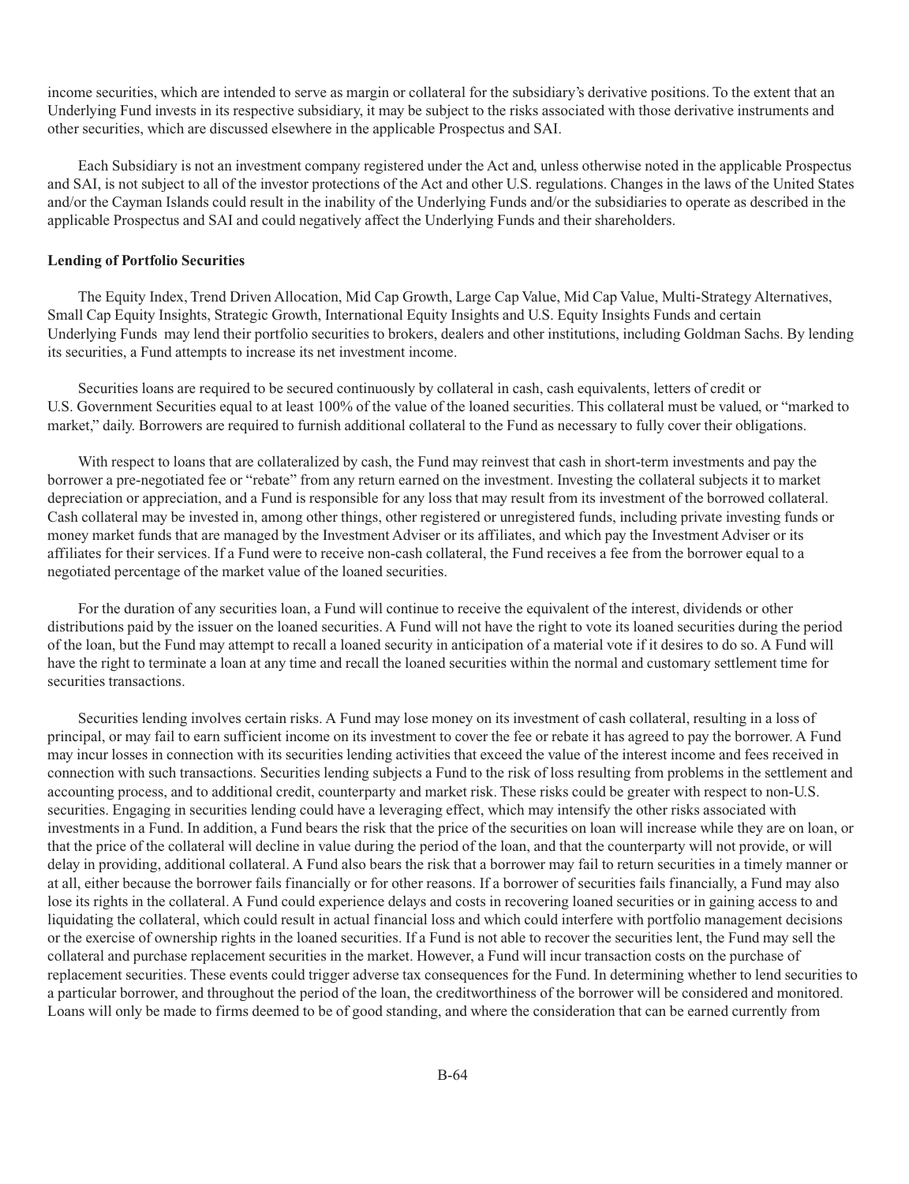income securities, which are intended to serve as margin or collateral for the subsidiary's derivative positions. To the extent that an Underlying Fund invests in its respective subsidiary, it may be subject to the risks associated with those derivative instruments and other securities, which are discussed elsewhere in the applicable Prospectus and SAI.

Each Subsidiary is not an investment company registered under the Act and, unless otherwise noted in the applicable Prospectus and SAI, is not subject to all of the investor protections of the Act and other U.S. regulations. Changes in the laws of the United States and/or the Cayman Islands could result in the inability of the Underlying Funds and/or the subsidiaries to operate as described in the applicable Prospectus and SAI and could negatively affect the Underlying Funds and their shareholders.

#### **Lending of Portfolio Securities**

The Equity Index, Trend Driven Allocation, Mid Cap Growth, Large Cap Value, Mid Cap Value, Multi-Strategy Alternatives, Small Cap Equity Insights, Strategic Growth, International Equity Insights and U.S. Equity Insights Funds and certain Underlying Funds may lend their portfolio securities to brokers, dealers and other institutions, including Goldman Sachs. By lending its securities, a Fund attempts to increase its net investment income.

Securities loans are required to be secured continuously by collateral in cash, cash equivalents, letters of credit or U.S. Government Securities equal to at least 100% of the value of the loaned securities. This collateral must be valued, or "marked to market," daily. Borrowers are required to furnish additional collateral to the Fund as necessary to fully cover their obligations.

With respect to loans that are collateralized by cash, the Fund may reinvest that cash in short-term investments and pay the borrower a pre-negotiated fee or "rebate" from any return earned on the investment. Investing the collateral subjects it to market depreciation or appreciation, and a Fund is responsible for any loss that may result from its investment of the borrowed collateral. Cash collateral may be invested in, among other things, other registered or unregistered funds, including private investing funds or money market funds that are managed by the Investment Adviser or its affiliates, and which pay the Investment Adviser or its affiliates for their services. If a Fund were to receive non-cash collateral, the Fund receives a fee from the borrower equal to a negotiated percentage of the market value of the loaned securities.

For the duration of any securities loan, a Fund will continue to receive the equivalent of the interest, dividends or other distributions paid by the issuer on the loaned securities. A Fund will not have the right to vote its loaned securities during the period of the loan, but the Fund may attempt to recall a loaned security in anticipation of a material vote if it desires to do so. A Fund will have the right to terminate a loan at any time and recall the loaned securities within the normal and customary settlement time for securities transactions.

Securities lending involves certain risks. A Fund may lose money on its investment of cash collateral, resulting in a loss of principal, or may fail to earn sufficient income on its investment to cover the fee or rebate it has agreed to pay the borrower. A Fund may incur losses in connection with its securities lending activities that exceed the value of the interest income and fees received in connection with such transactions. Securities lending subjects a Fund to the risk of loss resulting from problems in the settlement and accounting process, and to additional credit, counterparty and market risk. These risks could be greater with respect to non-U.S. securities. Engaging in securities lending could have a leveraging effect, which may intensify the other risks associated with investments in a Fund. In addition, a Fund bears the risk that the price of the securities on loan will increase while they are on loan, or that the price of the collateral will decline in value during the period of the loan, and that the counterparty will not provide, or will delay in providing, additional collateral. A Fund also bears the risk that a borrower may fail to return securities in a timely manner or at all, either because the borrower fails financially or for other reasons. If a borrower of securities fails financially, a Fund may also lose its rights in the collateral. A Fund could experience delays and costs in recovering loaned securities or in gaining access to and liquidating the collateral, which could result in actual financial loss and which could interfere with portfolio management decisions or the exercise of ownership rights in the loaned securities. If a Fund is not able to recover the securities lent, the Fund may sell the collateral and purchase replacement securities in the market. However, a Fund will incur transaction costs on the purchase of replacement securities. These events could trigger adverse tax consequences for the Fund. In determining whether to lend securities to a particular borrower, and throughout the period of the loan, the creditworthiness of the borrower will be considered and monitored. Loans will only be made to firms deemed to be of good standing, and where the consideration that can be earned currently from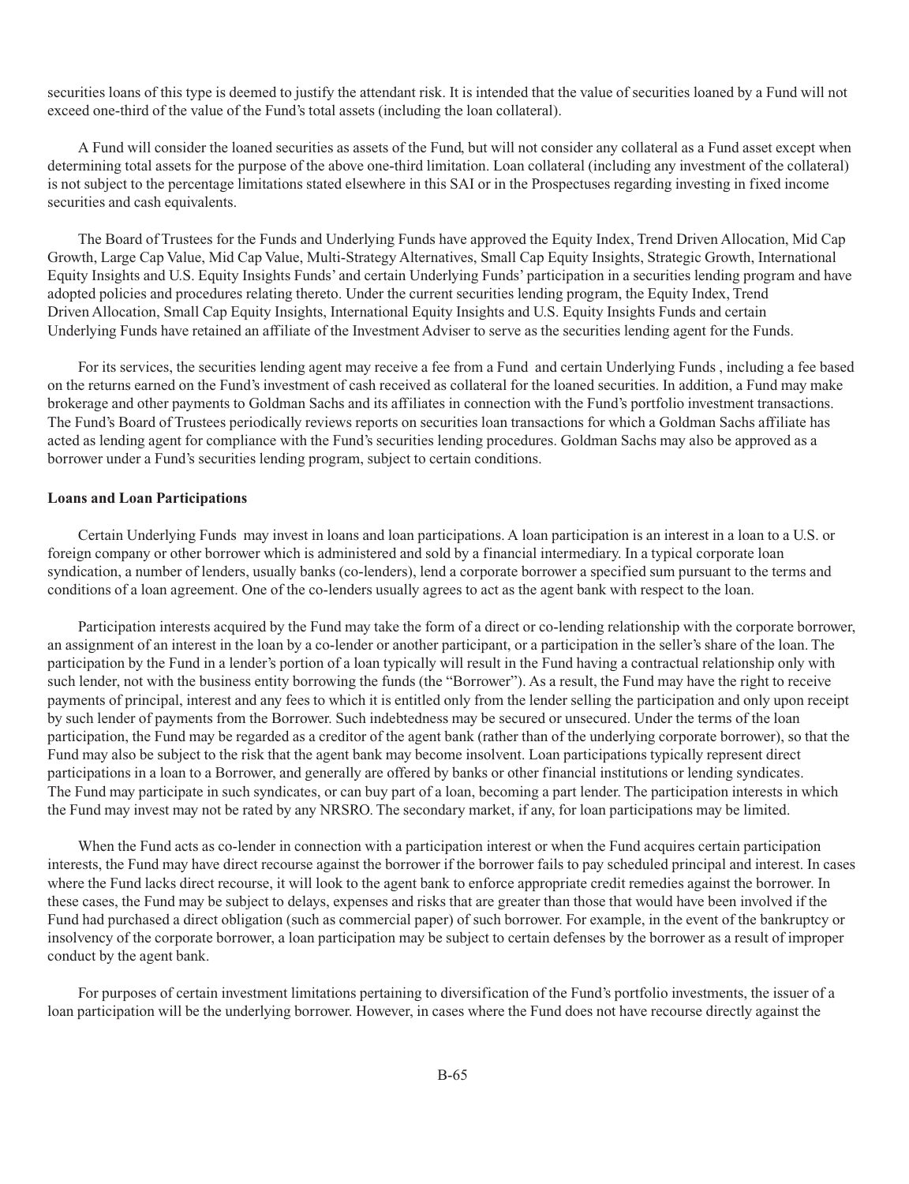securities loans of this type is deemed to justify the attendant risk. It is intended that the value of securities loaned by a Fund will not exceed one-third of the value of the Fund's total assets (including the loan collateral).

A Fund will consider the loaned securities as assets of the Fund, but will not consider any collateral as a Fund asset except when determining total assets for the purpose of the above one-third limitation. Loan collateral (including any investment of the collateral) is not subject to the percentage limitations stated elsewhere in this SAI or in the Prospectuses regarding investing in fixed income securities and cash equivalents.

The Board of Trustees for the Funds and Underlying Funds have approved the Equity Index, Trend Driven Allocation, Mid Cap Growth, Large Cap Value, Mid Cap Value, Multi-Strategy Alternatives, Small Cap Equity Insights, Strategic Growth, International Equity Insights and U.S. Equity Insights Funds' and certain Underlying Funds' participation in a securities lending program and have adopted policies and procedures relating thereto. Under the current securities lending program, the Equity Index, Trend Driven Allocation, Small Cap Equity Insights, International Equity Insights and U.S. Equity Insights Funds and certain Underlying Funds have retained an affiliate of the Investment Adviser to serve as the securities lending agent for the Funds.

For its services, the securities lending agent may receive a fee from a Fund and certain Underlying Funds , including a fee based on the returns earned on the Fund's investment of cash received as collateral for the loaned securities. In addition, a Fund may make brokerage and other payments to Goldman Sachs and its affiliates in connection with the Fund's portfolio investment transactions. The Fund's Board of Trustees periodically reviews reports on securities loan transactions for which a Goldman Sachs affiliate has acted as lending agent for compliance with the Fund's securities lending procedures. Goldman Sachs may also be approved as a borrower under a Fund's securities lending program, subject to certain conditions.

## **Loans and Loan Participations**

Certain Underlying Funds may invest in loans and loan participations. A loan participation is an interest in a loan to a U.S. or foreign company or other borrower which is administered and sold by a financial intermediary. In a typical corporate loan syndication, a number of lenders, usually banks (co-lenders), lend a corporate borrower a specified sum pursuant to the terms and conditions of a loan agreement. One of the co-lenders usually agrees to act as the agent bank with respect to the loan.

Participation interests acquired by the Fund may take the form of a direct or co-lending relationship with the corporate borrower, an assignment of an interest in the loan by a co-lender or another participant, or a participation in the seller's share of the loan. The participation by the Fund in a lender's portion of a loan typically will result in the Fund having a contractual relationship only with such lender, not with the business entity borrowing the funds (the "Borrower"). As a result, the Fund may have the right to receive payments of principal, interest and any fees to which it is entitled only from the lender selling the participation and only upon receipt by such lender of payments from the Borrower. Such indebtedness may be secured or unsecured. Under the terms of the loan participation, the Fund may be regarded as a creditor of the agent bank (rather than of the underlying corporate borrower), so that the Fund may also be subject to the risk that the agent bank may become insolvent. Loan participations typically represent direct participations in a loan to a Borrower, and generally are offered by banks or other financial institutions or lending syndicates. The Fund may participate in such syndicates, or can buy part of a loan, becoming a part lender. The participation interests in which the Fund may invest may not be rated by any NRSRO. The secondary market, if any, for loan participations may be limited.

When the Fund acts as co-lender in connection with a participation interest or when the Fund acquires certain participation interests, the Fund may have direct recourse against the borrower if the borrower fails to pay scheduled principal and interest. In cases where the Fund lacks direct recourse, it will look to the agent bank to enforce appropriate credit remedies against the borrower. In these cases, the Fund may be subject to delays, expenses and risks that are greater than those that would have been involved if the Fund had purchased a direct obligation (such as commercial paper) of such borrower. For example, in the event of the bankruptcy or insolvency of the corporate borrower, a loan participation may be subject to certain defenses by the borrower as a result of improper conduct by the agent bank.

For purposes of certain investment limitations pertaining to diversification of the Fund's portfolio investments, the issuer of a loan participation will be the underlying borrower. However, in cases where the Fund does not have recourse directly against the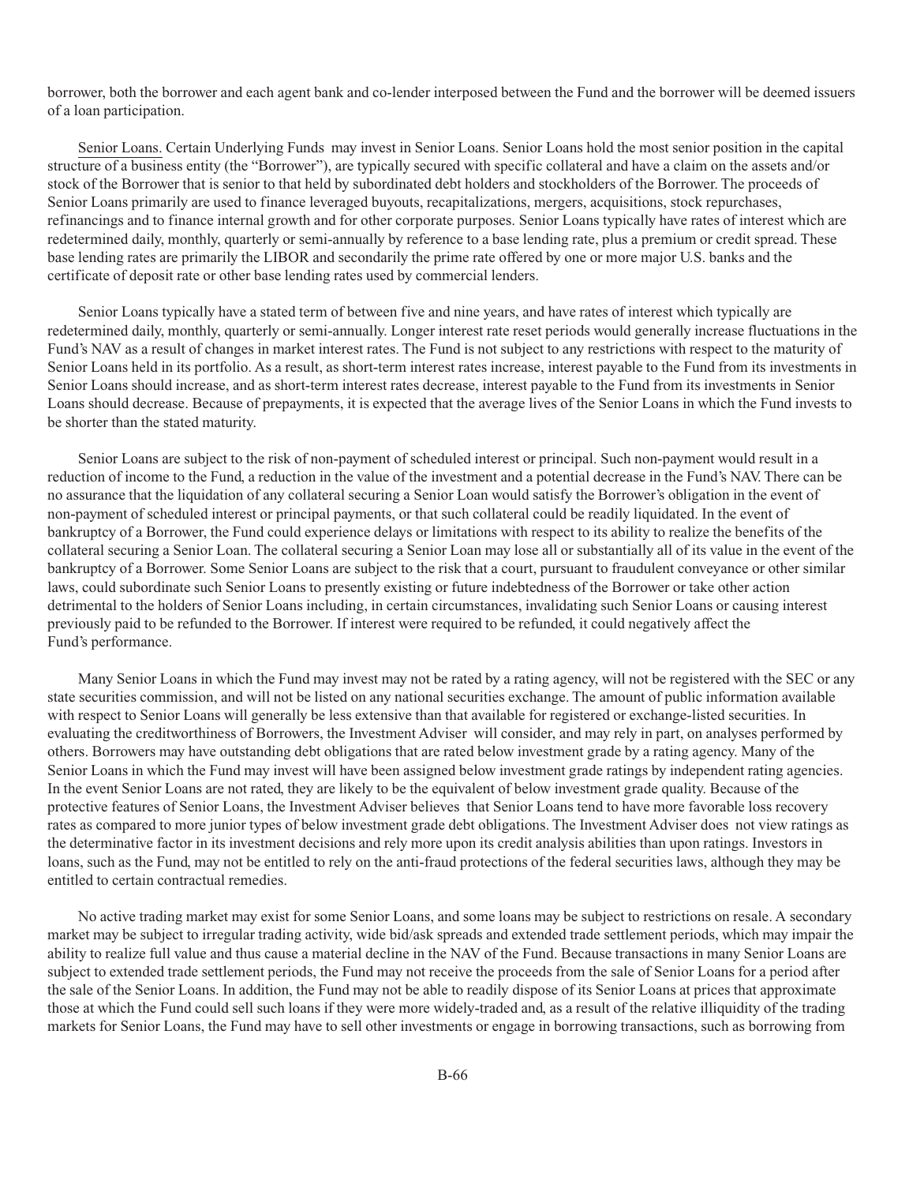borrower, both the borrower and each agent bank and co-lender interposed between the Fund and the borrower will be deemed issuers of a loan participation.

Senior Loans. Certain Underlying Funds may invest in Senior Loans. Senior Loans hold the most senior position in the capital structure of a business entity (the "Borrower"), are typically secured with specific collateral and have a claim on the assets and/or stock of the Borrower that is senior to that held by subordinated debt holders and stockholders of the Borrower. The proceeds of Senior Loans primarily are used to finance leveraged buyouts, recapitalizations, mergers, acquisitions, stock repurchases, refinancings and to finance internal growth and for other corporate purposes. Senior Loans typically have rates of interest which are redetermined daily, monthly, quarterly or semi-annually by reference to a base lending rate, plus a premium or credit spread. These base lending rates are primarily the LIBOR and secondarily the prime rate offered by one or more major U.S. banks and the certificate of deposit rate or other base lending rates used by commercial lenders.

Senior Loans typically have a stated term of between five and nine years, and have rates of interest which typically are redetermined daily, monthly, quarterly or semi-annually. Longer interest rate reset periods would generally increase fluctuations in the Fund's NAV as a result of changes in market interest rates. The Fund is not subject to any restrictions with respect to the maturity of Senior Loans held in its portfolio. As a result, as short-term interest rates increase, interest payable to the Fund from its investments in Senior Loans should increase, and as short-term interest rates decrease, interest payable to the Fund from its investments in Senior Loans should decrease. Because of prepayments, it is expected that the average lives of the Senior Loans in which the Fund invests to be shorter than the stated maturity.

Senior Loans are subject to the risk of non-payment of scheduled interest or principal. Such non-payment would result in a reduction of income to the Fund, a reduction in the value of the investment and a potential decrease in the Fund's NAV. There can be no assurance that the liquidation of any collateral securing a Senior Loan would satisfy the Borrower's obligation in the event of non-payment of scheduled interest or principal payments, or that such collateral could be readily liquidated. In the event of bankruptcy of a Borrower, the Fund could experience delays or limitations with respect to its ability to realize the benefits of the collateral securing a Senior Loan. The collateral securing a Senior Loan may lose all or substantially all of its value in the event of the bankruptcy of a Borrower. Some Senior Loans are subject to the risk that a court, pursuant to fraudulent conveyance or other similar laws, could subordinate such Senior Loans to presently existing or future indebtedness of the Borrower or take other action detrimental to the holders of Senior Loans including, in certain circumstances, invalidating such Senior Loans or causing interest previously paid to be refunded to the Borrower. If interest were required to be refunded, it could negatively affect the Fund's performance.

Many Senior Loans in which the Fund may invest may not be rated by a rating agency, will not be registered with the SEC or any state securities commission, and will not be listed on any national securities exchange. The amount of public information available with respect to Senior Loans will generally be less extensive than that available for registered or exchange-listed securities. In evaluating the creditworthiness of Borrowers, the Investment Adviser will consider, and may rely in part, on analyses performed by others. Borrowers may have outstanding debt obligations that are rated below investment grade by a rating agency. Many of the Senior Loans in which the Fund may invest will have been assigned below investment grade ratings by independent rating agencies. In the event Senior Loans are not rated, they are likely to be the equivalent of below investment grade quality. Because of the protective features of Senior Loans, the Investment Adviser believes that Senior Loans tend to have more favorable loss recovery rates as compared to more junior types of below investment grade debt obligations. The Investment Adviser does not view ratings as the determinative factor in its investment decisions and rely more upon its credit analysis abilities than upon ratings. Investors in loans, such as the Fund, may not be entitled to rely on the anti-fraud protections of the federal securities laws, although they may be entitled to certain contractual remedies.

No active trading market may exist for some Senior Loans, and some loans may be subject to restrictions on resale. A secondary market may be subject to irregular trading activity, wide bid/ask spreads and extended trade settlement periods, which may impair the ability to realize full value and thus cause a material decline in the NAV of the Fund. Because transactions in many Senior Loans are subject to extended trade settlement periods, the Fund may not receive the proceeds from the sale of Senior Loans for a period after the sale of the Senior Loans. In addition, the Fund may not be able to readily dispose of its Senior Loans at prices that approximate those at which the Fund could sell such loans if they were more widely-traded and, as a result of the relative illiquidity of the trading markets for Senior Loans, the Fund may have to sell other investments or engage in borrowing transactions, such as borrowing from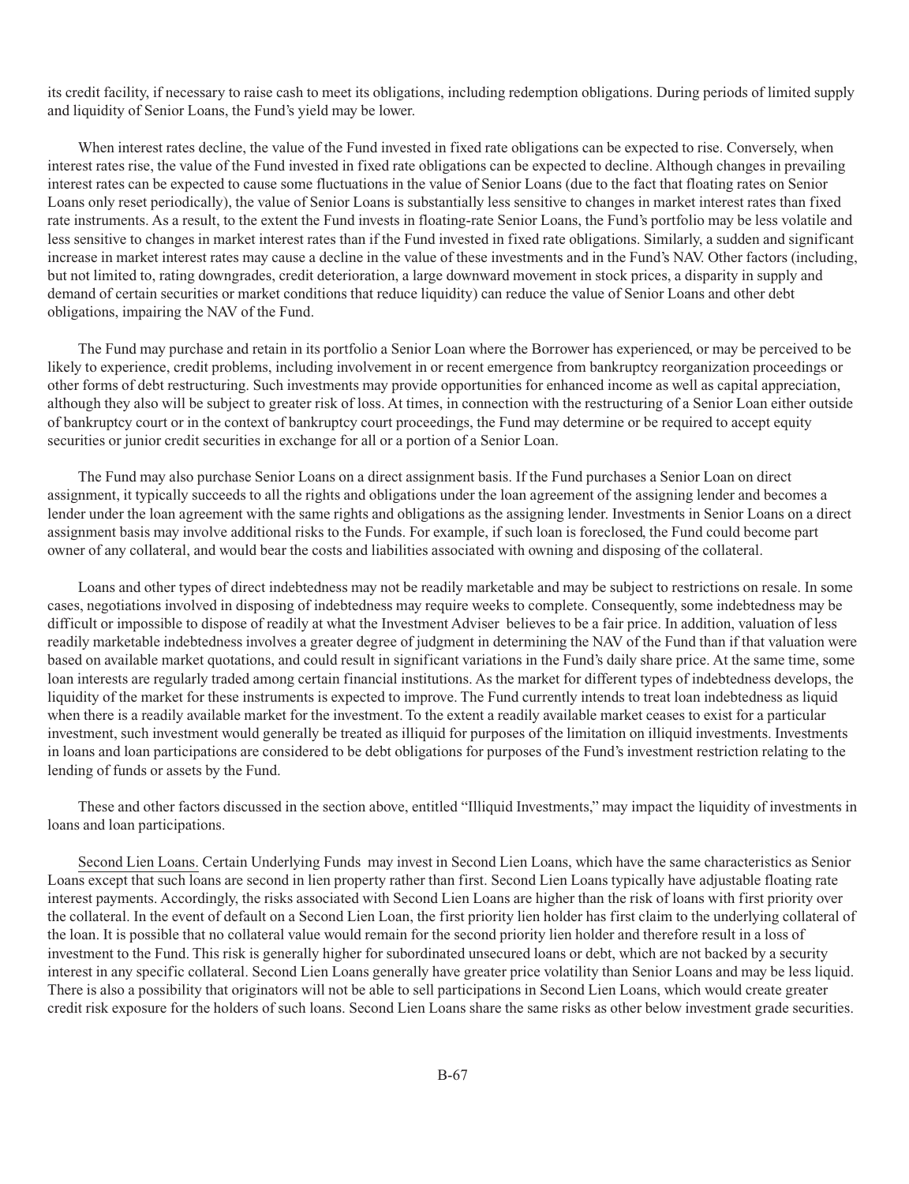its credit facility, if necessary to raise cash to meet its obligations, including redemption obligations. During periods of limited supply and liquidity of Senior Loans, the Fund's yield may be lower.

When interest rates decline, the value of the Fund invested in fixed rate obligations can be expected to rise. Conversely, when interest rates rise, the value of the Fund invested in fixed rate obligations can be expected to decline. Although changes in prevailing interest rates can be expected to cause some fluctuations in the value of Senior Loans (due to the fact that floating rates on Senior Loans only reset periodically), the value of Senior Loans is substantially less sensitive to changes in market interest rates than fixed rate instruments. As a result, to the extent the Fund invests in floating-rate Senior Loans, the Fund's portfolio may be less volatile and less sensitive to changes in market interest rates than if the Fund invested in fixed rate obligations. Similarly, a sudden and significant increase in market interest rates may cause a decline in the value of these investments and in the Fund's NAV. Other factors (including, but not limited to, rating downgrades, credit deterioration, a large downward movement in stock prices, a disparity in supply and demand of certain securities or market conditions that reduce liquidity) can reduce the value of Senior Loans and other debt obligations, impairing the NAV of the Fund.

The Fund may purchase and retain in its portfolio a Senior Loan where the Borrower has experienced, or may be perceived to be likely to experience, credit problems, including involvement in or recent emergence from bankruptcy reorganization proceedings or other forms of debt restructuring. Such investments may provide opportunities for enhanced income as well as capital appreciation, although they also will be subject to greater risk of loss. At times, in connection with the restructuring of a Senior Loan either outside of bankruptcy court or in the context of bankruptcy court proceedings, the Fund may determine or be required to accept equity securities or junior credit securities in exchange for all or a portion of a Senior Loan.

The Fund may also purchase Senior Loans on a direct assignment basis. If the Fund purchases a Senior Loan on direct assignment, it typically succeeds to all the rights and obligations under the loan agreement of the assigning lender and becomes a lender under the loan agreement with the same rights and obligations as the assigning lender. Investments in Senior Loans on a direct assignment basis may involve additional risks to the Funds. For example, if such loan is foreclosed, the Fund could become part owner of any collateral, and would bear the costs and liabilities associated with owning and disposing of the collateral.

Loans and other types of direct indebtedness may not be readily marketable and may be subject to restrictions on resale. In some cases, negotiations involved in disposing of indebtedness may require weeks to complete. Consequently, some indebtedness may be difficult or impossible to dispose of readily at what the Investment Adviser believes to be a fair price. In addition, valuation of less readily marketable indebtedness involves a greater degree of judgment in determining the NAV of the Fund than if that valuation were based on available market quotations, and could result in significant variations in the Fund's daily share price. At the same time, some loan interests are regularly traded among certain financial institutions. As the market for different types of indebtedness develops, the liquidity of the market for these instruments is expected to improve. The Fund currently intends to treat loan indebtedness as liquid when there is a readily available market for the investment. To the extent a readily available market ceases to exist for a particular investment, such investment would generally be treated as illiquid for purposes of the limitation on illiquid investments. Investments in loans and loan participations are considered to be debt obligations for purposes of the Fund's investment restriction relating to the lending of funds or assets by the Fund.

These and other factors discussed in the section above, entitled "Illiquid Investments," may impact the liquidity of investments in loans and loan participations.

Second Lien Loans. Certain Underlying Funds may invest in Second Lien Loans, which have the same characteristics as Senior Loans except that such loans are second in lien property rather than first. Second Lien Loans typically have adjustable floating rate interest payments. Accordingly, the risks associated with Second Lien Loans are higher than the risk of loans with first priority over the collateral. In the event of default on a Second Lien Loan, the first priority lien holder has first claim to the underlying collateral of the loan. It is possible that no collateral value would remain for the second priority lien holder and therefore result in a loss of investment to the Fund. This risk is generally higher for subordinated unsecured loans or debt, which are not backed by a security interest in any specific collateral. Second Lien Loans generally have greater price volatility than Senior Loans and may be less liquid. There is also a possibility that originators will not be able to sell participations in Second Lien Loans, which would create greater credit risk exposure for the holders of such loans. Second Lien Loans share the same risks as other below investment grade securities.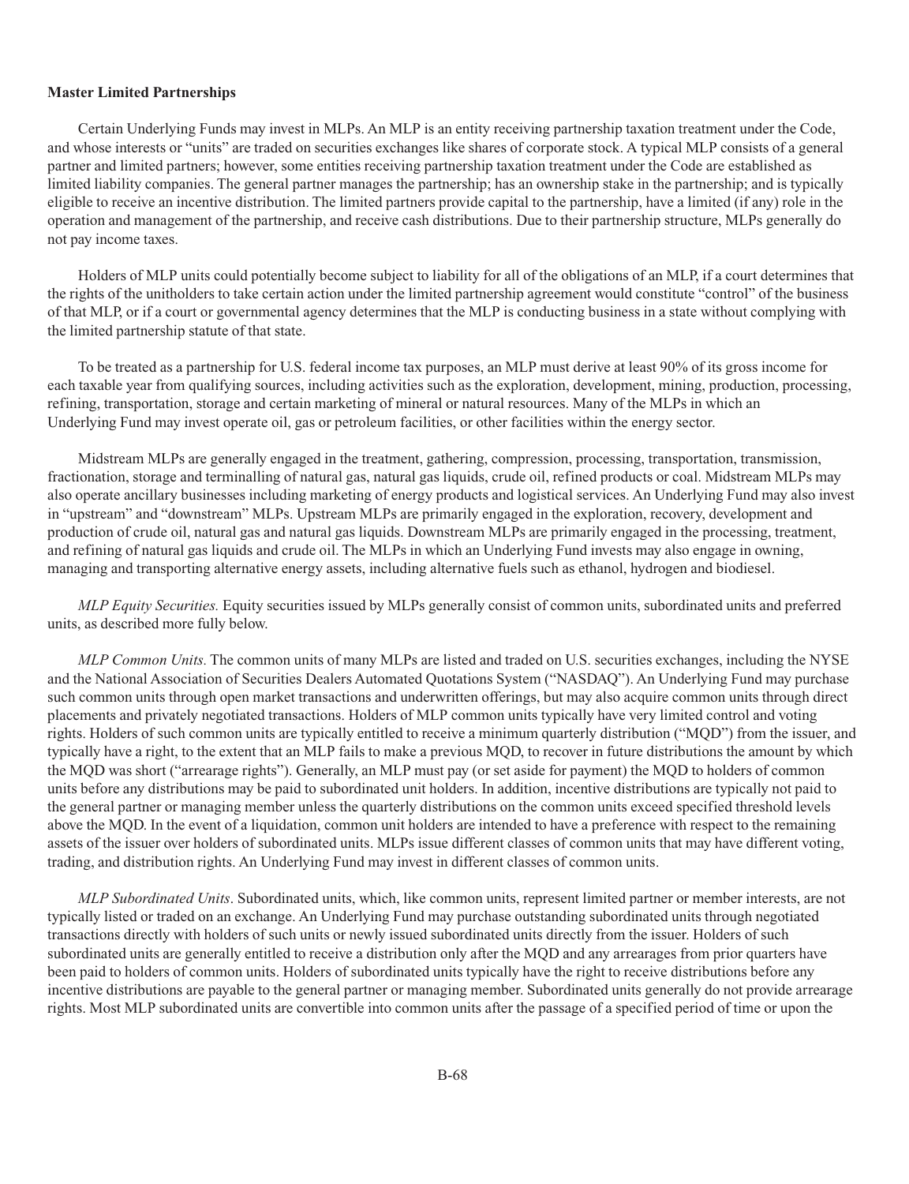#### **Master Limited Partnerships**

Certain Underlying Funds may invest in MLPs. An MLP is an entity receiving partnership taxation treatment under the Code, and whose interests or "units" are traded on securities exchanges like shares of corporate stock. A typical MLP consists of a general partner and limited partners; however, some entities receiving partnership taxation treatment under the Code are established as limited liability companies. The general partner manages the partnership; has an ownership stake in the partnership; and is typically eligible to receive an incentive distribution. The limited partners provide capital to the partnership, have a limited (if any) role in the operation and management of the partnership, and receive cash distributions. Due to their partnership structure, MLPs generally do not pay income taxes.

Holders of MLP units could potentially become subject to liability for all of the obligations of an MLP, if a court determines that the rights of the unitholders to take certain action under the limited partnership agreement would constitute "control" of the business of that MLP, or if a court or governmental agency determines that the MLP is conducting business in a state without complying with the limited partnership statute of that state.

To be treated as a partnership for U.S. federal income tax purposes, an MLP must derive at least 90% of its gross income for each taxable year from qualifying sources, including activities such as the exploration, development, mining, production, processing, refining, transportation, storage and certain marketing of mineral or natural resources. Many of the MLPs in which an Underlying Fund may invest operate oil, gas or petroleum facilities, or other facilities within the energy sector.

Midstream MLPs are generally engaged in the treatment, gathering, compression, processing, transportation, transmission, fractionation, storage and terminalling of natural gas, natural gas liquids, crude oil, refined products or coal. Midstream MLPs may also operate ancillary businesses including marketing of energy products and logistical services. An Underlying Fund may also invest in "upstream" and "downstream" MLPs. Upstream MLPs are primarily engaged in the exploration, recovery, development and production of crude oil, natural gas and natural gas liquids. Downstream MLPs are primarily engaged in the processing, treatment, and refining of natural gas liquids and crude oil. The MLPs in which an Underlying Fund invests may also engage in owning, managing and transporting alternative energy assets, including alternative fuels such as ethanol, hydrogen and biodiesel.

*MLP Equity Securities.* Equity securities issued by MLPs generally consist of common units, subordinated units and preferred units, as described more fully below.

*MLP Common Units.* The common units of many MLPs are listed and traded on U.S. securities exchanges, including the NYSE and the National Association of Securities Dealers Automated Quotations System ("NASDAQ"). An Underlying Fund may purchase such common units through open market transactions and underwritten offerings, but may also acquire common units through direct placements and privately negotiated transactions. Holders of MLP common units typically have very limited control and voting rights. Holders of such common units are typically entitled to receive a minimum quarterly distribution ("MQD") from the issuer, and typically have a right, to the extent that an MLP fails to make a previous MQD, to recover in future distributions the amount by which the MQD was short ("arrearage rights"). Generally, an MLP must pay (or set aside for payment) the MQD to holders of common units before any distributions may be paid to subordinated unit holders. In addition, incentive distributions are typically not paid to the general partner or managing member unless the quarterly distributions on the common units exceed specified threshold levels above the MQD. In the event of a liquidation, common unit holders are intended to have a preference with respect to the remaining assets of the issuer over holders of subordinated units. MLPs issue different classes of common units that may have different voting, trading, and distribution rights. An Underlying Fund may invest in different classes of common units.

*MLP Subordinated Units*. Subordinated units, which, like common units, represent limited partner or member interests, are not typically listed or traded on an exchange. An Underlying Fund may purchase outstanding subordinated units through negotiated transactions directly with holders of such units or newly issued subordinated units directly from the issuer. Holders of such subordinated units are generally entitled to receive a distribution only after the MQD and any arrearages from prior quarters have been paid to holders of common units. Holders of subordinated units typically have the right to receive distributions before any incentive distributions are payable to the general partner or managing member. Subordinated units generally do not provide arrearage rights. Most MLP subordinated units are convertible into common units after the passage of a specified period of time or upon the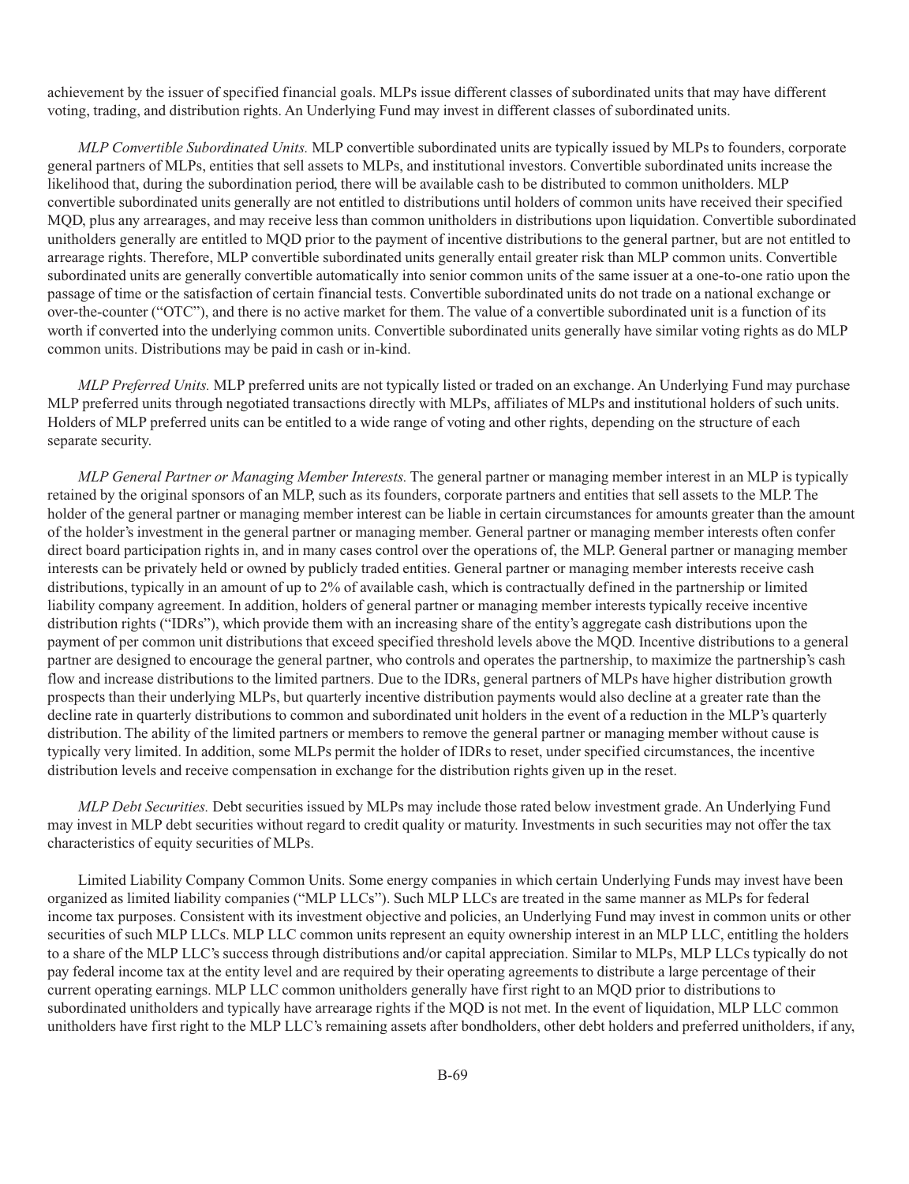achievement by the issuer of specified financial goals. MLPs issue different classes of subordinated units that may have different voting, trading, and distribution rights. An Underlying Fund may invest in different classes of subordinated units.

*MLP Convertible Subordinated Units.* MLP convertible subordinated units are typically issued by MLPs to founders, corporate general partners of MLPs, entities that sell assets to MLPs, and institutional investors. Convertible subordinated units increase the likelihood that, during the subordination period, there will be available cash to be distributed to common unitholders. MLP convertible subordinated units generally are not entitled to distributions until holders of common units have received their specified MQD, plus any arrearages, and may receive less than common unitholders in distributions upon liquidation. Convertible subordinated unitholders generally are entitled to MQD prior to the payment of incentive distributions to the general partner, but are not entitled to arrearage rights. Therefore, MLP convertible subordinated units generally entail greater risk than MLP common units. Convertible subordinated units are generally convertible automatically into senior common units of the same issuer at a one-to-one ratio upon the passage of time or the satisfaction of certain financial tests. Convertible subordinated units do not trade on a national exchange or over-the-counter ("OTC"), and there is no active market for them. The value of a convertible subordinated unit is a function of its worth if converted into the underlying common units. Convertible subordinated units generally have similar voting rights as do MLP common units. Distributions may be paid in cash or in-kind.

*MLP Preferred Units.* MLP preferred units are not typically listed or traded on an exchange. An Underlying Fund may purchase MLP preferred units through negotiated transactions directly with MLPs, affiliates of MLPs and institutional holders of such units. Holders of MLP preferred units can be entitled to a wide range of voting and other rights, depending on the structure of each separate security.

*MLP General Partner or Managing Member Interests.* The general partner or managing member interest in an MLP is typically retained by the original sponsors of an MLP, such as its founders, corporate partners and entities that sell assets to the MLP. The holder of the general partner or managing member interest can be liable in certain circumstances for amounts greater than the amount of the holder's investment in the general partner or managing member. General partner or managing member interests often confer direct board participation rights in, and in many cases control over the operations of, the MLP. General partner or managing member interests can be privately held or owned by publicly traded entities. General partner or managing member interests receive cash distributions, typically in an amount of up to 2% of available cash, which is contractually defined in the partnership or limited liability company agreement. In addition, holders of general partner or managing member interests typically receive incentive distribution rights ("IDRs"), which provide them with an increasing share of the entity's aggregate cash distributions upon the payment of per common unit distributions that exceed specified threshold levels above the MQD. Incentive distributions to a general partner are designed to encourage the general partner, who controls and operates the partnership, to maximize the partnership's cash flow and increase distributions to the limited partners. Due to the IDRs, general partners of MLPs have higher distribution growth prospects than their underlying MLPs, but quarterly incentive distribution payments would also decline at a greater rate than the decline rate in quarterly distributions to common and subordinated unit holders in the event of a reduction in the MLP's quarterly distribution. The ability of the limited partners or members to remove the general partner or managing member without cause is typically very limited. In addition, some MLPs permit the holder of IDRs to reset, under specified circumstances, the incentive distribution levels and receive compensation in exchange for the distribution rights given up in the reset.

*MLP Debt Securities.* Debt securities issued by MLPs may include those rated below investment grade. An Underlying Fund may invest in MLP debt securities without regard to credit quality or maturity. Investments in such securities may not offer the tax characteristics of equity securities of MLPs.

Limited Liability Company Common Units. Some energy companies in which certain Underlying Funds may invest have been organized as limited liability companies ("MLP LLCs"). Such MLP LLCs are treated in the same manner as MLPs for federal income tax purposes. Consistent with its investment objective and policies, an Underlying Fund may invest in common units or other securities of such MLP LLCs. MLP LLC common units represent an equity ownership interest in an MLP LLC, entitling the holders to a share of the MLP LLC's success through distributions and/or capital appreciation. Similar to MLPs, MLP LLCs typically do not pay federal income tax at the entity level and are required by their operating agreements to distribute a large percentage of their current operating earnings. MLP LLC common unitholders generally have first right to an MQD prior to distributions to subordinated unitholders and typically have arrearage rights if the MQD is not met. In the event of liquidation, MLP LLC common unitholders have first right to the MLP LLC's remaining assets after bondholders, other debt holders and preferred unitholders, if any,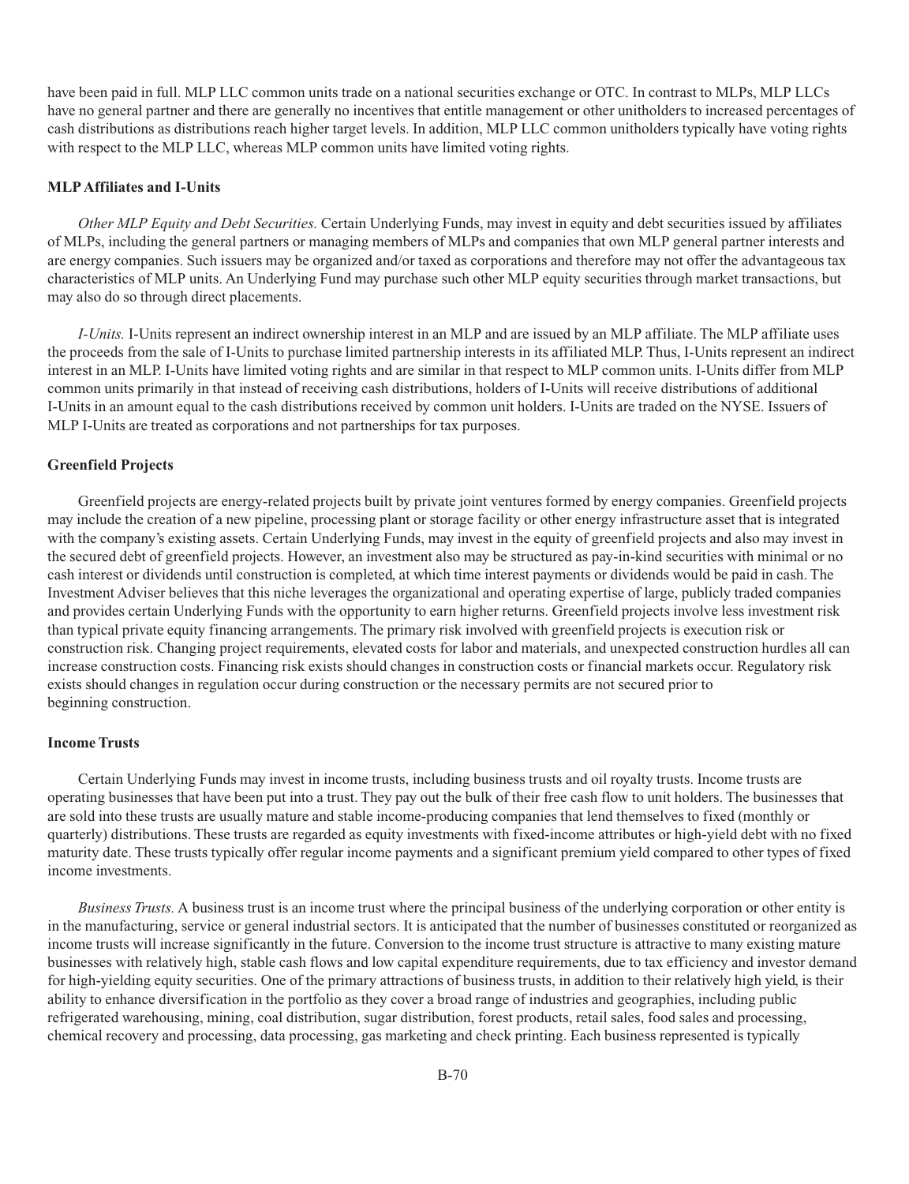have been paid in full. MLP LLC common units trade on a national securities exchange or OTC. In contrast to MLPs, MLP LLCs have no general partner and there are generally no incentives that entitle management or other unitholders to increased percentages of cash distributions as distributions reach higher target levels. In addition, MLP LLC common unitholders typically have voting rights with respect to the MLP LLC, whereas MLP common units have limited voting rights.

### **MLP Affiliates and I-Units**

*Other MLP Equity and Debt Securities.* Certain Underlying Funds, may invest in equity and debt securities issued by affiliates of MLPs, including the general partners or managing members of MLPs and companies that own MLP general partner interests and are energy companies. Such issuers may be organized and/or taxed as corporations and therefore may not offer the advantageous tax characteristics of MLP units. An Underlying Fund may purchase such other MLP equity securities through market transactions, but may also do so through direct placements.

*I-Units.* I-Units represent an indirect ownership interest in an MLP and are issued by an MLP affiliate. The MLP affiliate uses the proceeds from the sale of I-Units to purchase limited partnership interests in its affiliated MLP. Thus, I-Units represent an indirect interest in an MLP. I-Units have limited voting rights and are similar in that respect to MLP common units. I-Units differ from MLP common units primarily in that instead of receiving cash distributions, holders of I-Units will receive distributions of additional I-Units in an amount equal to the cash distributions received by common unit holders. I-Units are traded on the NYSE. Issuers of MLP I-Units are treated as corporations and not partnerships for tax purposes.

## **Greenfield Projects**

Greenfield projects are energy-related projects built by private joint ventures formed by energy companies. Greenfield projects may include the creation of a new pipeline, processing plant or storage facility or other energy infrastructure asset that is integrated with the company's existing assets. Certain Underlying Funds, may invest in the equity of greenfield projects and also may invest in the secured debt of greenfield projects. However, an investment also may be structured as pay-in-kind securities with minimal or no cash interest or dividends until construction is completed, at which time interest payments or dividends would be paid in cash. The Investment Adviser believes that this niche leverages the organizational and operating expertise of large, publicly traded companies and provides certain Underlying Funds with the opportunity to earn higher returns. Greenfield projects involve less investment risk than typical private equity financing arrangements. The primary risk involved with greenfield projects is execution risk or construction risk. Changing project requirements, elevated costs for labor and materials, and unexpected construction hurdles all can increase construction costs. Financing risk exists should changes in construction costs or financial markets occur. Regulatory risk exists should changes in regulation occur during construction or the necessary permits are not secured prior to beginning construction.

# **Income Trusts**

Certain Underlying Funds may invest in income trusts, including business trusts and oil royalty trusts. Income trusts are operating businesses that have been put into a trust. They pay out the bulk of their free cash flow to unit holders. The businesses that are sold into these trusts are usually mature and stable income-producing companies that lend themselves to fixed (monthly or quarterly) distributions. These trusts are regarded as equity investments with fixed-income attributes or high-yield debt with no fixed maturity date. These trusts typically offer regular income payments and a significant premium yield compared to other types of fixed income investments.

*Business Trusts.* A business trust is an income trust where the principal business of the underlying corporation or other entity is in the manufacturing, service or general industrial sectors. It is anticipated that the number of businesses constituted or reorganized as income trusts will increase significantly in the future. Conversion to the income trust structure is attractive to many existing mature businesses with relatively high, stable cash flows and low capital expenditure requirements, due to tax efficiency and investor demand for high-yielding equity securities. One of the primary attractions of business trusts, in addition to their relatively high yield, is their ability to enhance diversification in the portfolio as they cover a broad range of industries and geographies, including public refrigerated warehousing, mining, coal distribution, sugar distribution, forest products, retail sales, food sales and processing, chemical recovery and processing, data processing, gas marketing and check printing. Each business represented is typically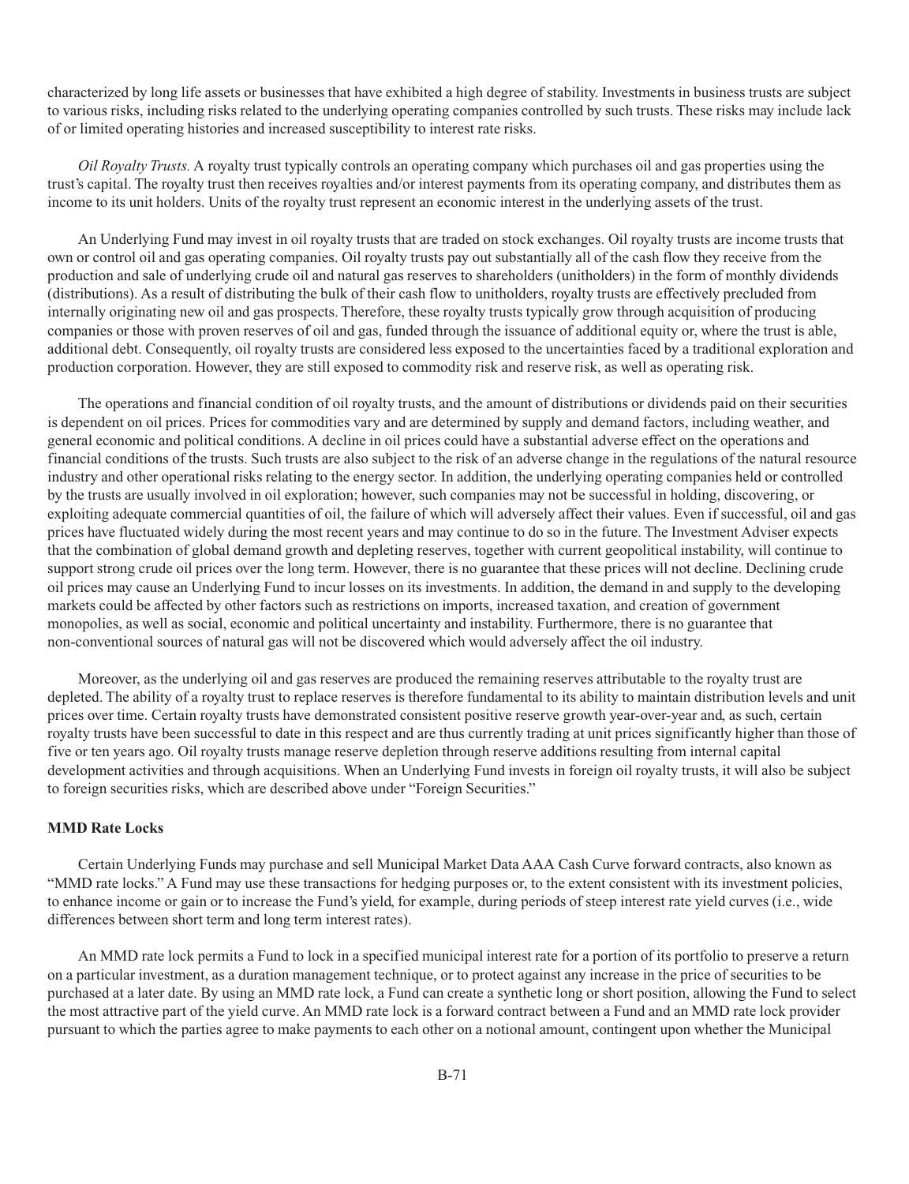characterized by long life assets or businesses that have exhibited a high degree of stability. Investments in business trusts are subject to various risks, including risks related to the underlying operating companies controlled by such trusts. These risks may include lack of or limited operating histories and increased susceptibility to interest rate risks.

*Oil Royalty Trusts.* A royalty trust typically controls an operating company which purchases oil and gas properties using the trust's capital. The royalty trust then receives royalties and/or interest payments from its operating company, and distributes them as income to its unit holders. Units of the royalty trust represent an economic interest in the underlying assets of the trust.

An Underlying Fund may invest in oil royalty trusts that are traded on stock exchanges. Oil royalty trusts are income trusts that own or control oil and gas operating companies. Oil royalty trusts pay out substantially all of the cash flow they receive from the production and sale of underlying crude oil and natural gas reserves to shareholders (unitholders) in the form of monthly dividends (distributions). As a result of distributing the bulk of their cash flow to unitholders, royalty trusts are effectively precluded from internally originating new oil and gas prospects. Therefore, these royalty trusts typically grow through acquisition of producing companies or those with proven reserves of oil and gas, funded through the issuance of additional equity or, where the trust is able, additional debt. Consequently, oil royalty trusts are considered less exposed to the uncertainties faced by a traditional exploration and production corporation. However, they are still exposed to commodity risk and reserve risk, as well as operating risk.

The operations and financial condition of oil royalty trusts, and the amount of distributions or dividends paid on their securities is dependent on oil prices. Prices for commodities vary and are determined by supply and demand factors, including weather, and general economic and political conditions. A decline in oil prices could have a substantial adverse effect on the operations and financial conditions of the trusts. Such trusts are also subject to the risk of an adverse change in the regulations of the natural resource industry and other operational risks relating to the energy sector. In addition, the underlying operating companies held or controlled by the trusts are usually involved in oil exploration; however, such companies may not be successful in holding, discovering, or exploiting adequate commercial quantities of oil, the failure of which will adversely affect their values. Even if successful, oil and gas prices have fluctuated widely during the most recent years and may continue to do so in the future. The Investment Adviser expects that the combination of global demand growth and depleting reserves, together with current geopolitical instability, will continue to support strong crude oil prices over the long term. However, there is no guarantee that these prices will not decline. Declining crude oil prices may cause an Underlying Fund to incur losses on its investments. In addition, the demand in and supply to the developing markets could be affected by other factors such as restrictions on imports, increased taxation, and creation of government monopolies, as well as social, economic and political uncertainty and instability. Furthermore, there is no guarantee that non-conventional sources of natural gas will not be discovered which would adversely affect the oil industry.

Moreover, as the underlying oil and gas reserves are produced the remaining reserves attributable to the royalty trust are depleted. The ability of a royalty trust to replace reserves is therefore fundamental to its ability to maintain distribution levels and unit prices over time. Certain royalty trusts have demonstrated consistent positive reserve growth year-over-year and, as such, certain royalty trusts have been successful to date in this respect and are thus currently trading at unit prices significantly higher than those of five or ten years ago. Oil royalty trusts manage reserve depletion through reserve additions resulting from internal capital development activities and through acquisitions. When an Underlying Fund invests in foreign oil royalty trusts, it will also be subject to foreign securities risks, which are described above under "Foreign Securities."

## **MMD Rate Locks**

Certain Underlying Funds may purchase and sell Municipal Market Data AAA Cash Curve forward contracts, also known as "MMD rate locks." A Fund may use these transactions for hedging purposes or, to the extent consistent with its investment policies, to enhance income or gain or to increase the Fund's yield, for example, during periods of steep interest rate yield curves (i.e., wide differences between short term and long term interest rates).

An MMD rate lock permits a Fund to lock in a specified municipal interest rate for a portion of its portfolio to preserve a return on a particular investment, as a duration management technique, or to protect against any increase in the price of securities to be purchased at a later date. By using an MMD rate lock, a Fund can create a synthetic long or short position, allowing the Fund to select the most attractive part of the yield curve. An MMD rate lock is a forward contract between a Fund and an MMD rate lock provider pursuant to which the parties agree to make payments to each other on a notional amount, contingent upon whether the Municipal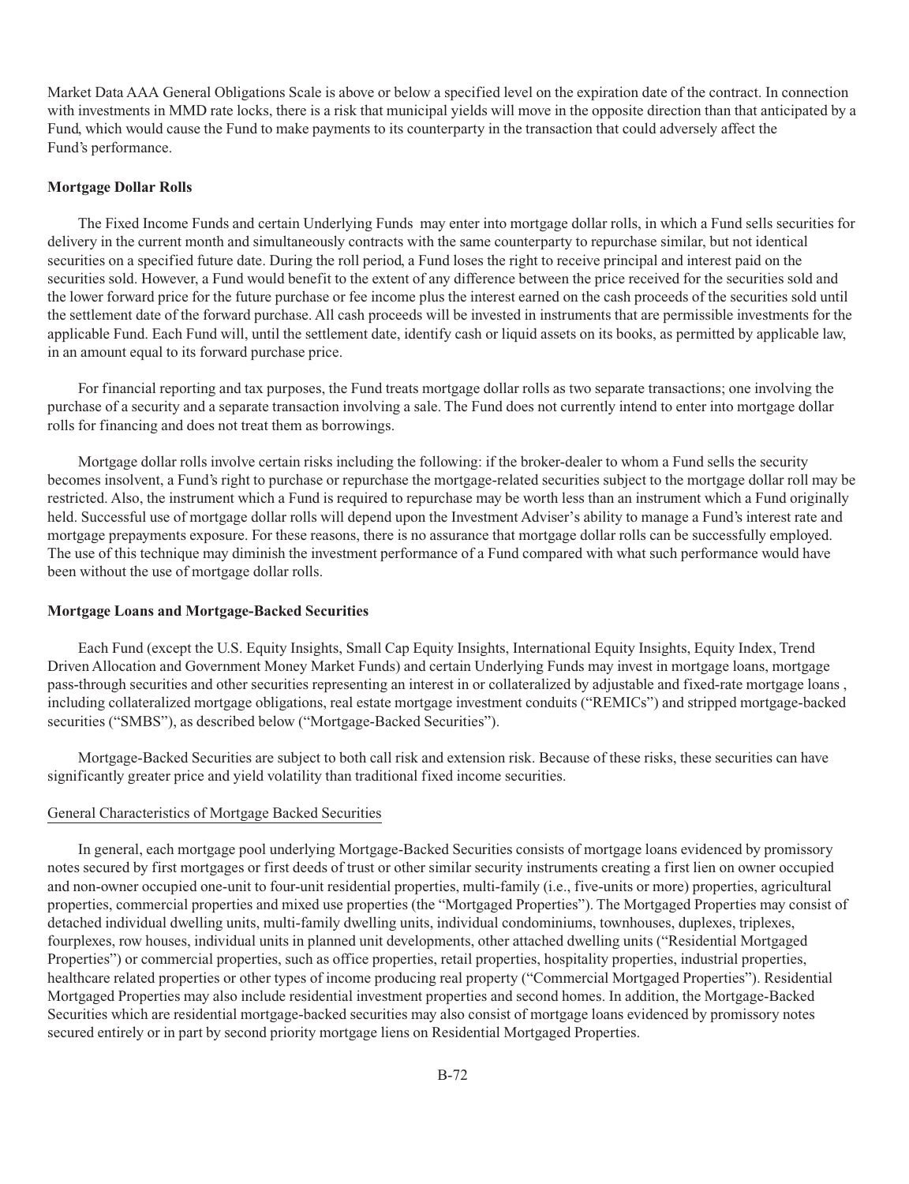Market Data AAA General Obligations Scale is above or below a specified level on the expiration date of the contract. In connection with investments in MMD rate locks, there is a risk that municipal yields will move in the opposite direction than that anticipated by a Fund, which would cause the Fund to make payments to its counterparty in the transaction that could adversely affect the Fund's performance.

### **Mortgage Dollar Rolls**

The Fixed Income Funds and certain Underlying Funds may enter into mortgage dollar rolls, in which a Fund sells securities for delivery in the current month and simultaneously contracts with the same counterparty to repurchase similar, but not identical securities on a specified future date. During the roll period, a Fund loses the right to receive principal and interest paid on the securities sold. However, a Fund would benefit to the extent of any difference between the price received for the securities sold and the lower forward price for the future purchase or fee income plus the interest earned on the cash proceeds of the securities sold until the settlement date of the forward purchase. All cash proceeds will be invested in instruments that are permissible investments for the applicable Fund. Each Fund will, until the settlement date, identify cash or liquid assets on its books, as permitted by applicable law, in an amount equal to its forward purchase price.

For financial reporting and tax purposes, the Fund treats mortgage dollar rolls as two separate transactions; one involving the purchase of a security and a separate transaction involving a sale. The Fund does not currently intend to enter into mortgage dollar rolls for financing and does not treat them as borrowings.

Mortgage dollar rolls involve certain risks including the following: if the broker-dealer to whom a Fund sells the security becomes insolvent, a Fund's right to purchase or repurchase the mortgage-related securities subject to the mortgage dollar roll may be restricted. Also, the instrument which a Fund is required to repurchase may be worth less than an instrument which a Fund originally held. Successful use of mortgage dollar rolls will depend upon the Investment Adviser's ability to manage a Fund's interest rate and mortgage prepayments exposure. For these reasons, there is no assurance that mortgage dollar rolls can be successfully employed. The use of this technique may diminish the investment performance of a Fund compared with what such performance would have been without the use of mortgage dollar rolls.

#### **Mortgage Loans and Mortgage-Backed Securities**

Each Fund (except the U.S. Equity Insights, Small Cap Equity Insights, International Equity Insights, Equity Index, Trend Driven Allocation and Government Money Market Funds) and certain Underlying Funds may invest in mortgage loans, mortgage pass-through securities and other securities representing an interest in or collateralized by adjustable and fixed-rate mortgage loans , including collateralized mortgage obligations, real estate mortgage investment conduits ("REMICs") and stripped mortgage-backed securities ("SMBS"), as described below ("Mortgage-Backed Securities").

Mortgage-Backed Securities are subject to both call risk and extension risk. Because of these risks, these securities can have significantly greater price and yield volatility than traditional fixed income securities.

### General Characteristics of Mortgage Backed Securities

In general, each mortgage pool underlying Mortgage-Backed Securities consists of mortgage loans evidenced by promissory notes secured by first mortgages or first deeds of trust or other similar security instruments creating a first lien on owner occupied and non-owner occupied one-unit to four-unit residential properties, multi-family (i.e., five-units or more) properties, agricultural properties, commercial properties and mixed use properties (the "Mortgaged Properties"). The Mortgaged Properties may consist of detached individual dwelling units, multi-family dwelling units, individual condominiums, townhouses, duplexes, triplexes, fourplexes, row houses, individual units in planned unit developments, other attached dwelling units ("Residential Mortgaged Properties") or commercial properties, such as office properties, retail properties, hospitality properties, industrial properties, healthcare related properties or other types of income producing real property ("Commercial Mortgaged Properties"). Residential Mortgaged Properties may also include residential investment properties and second homes. In addition, the Mortgage-Backed Securities which are residential mortgage-backed securities may also consist of mortgage loans evidenced by promissory notes secured entirely or in part by second priority mortgage liens on Residential Mortgaged Properties.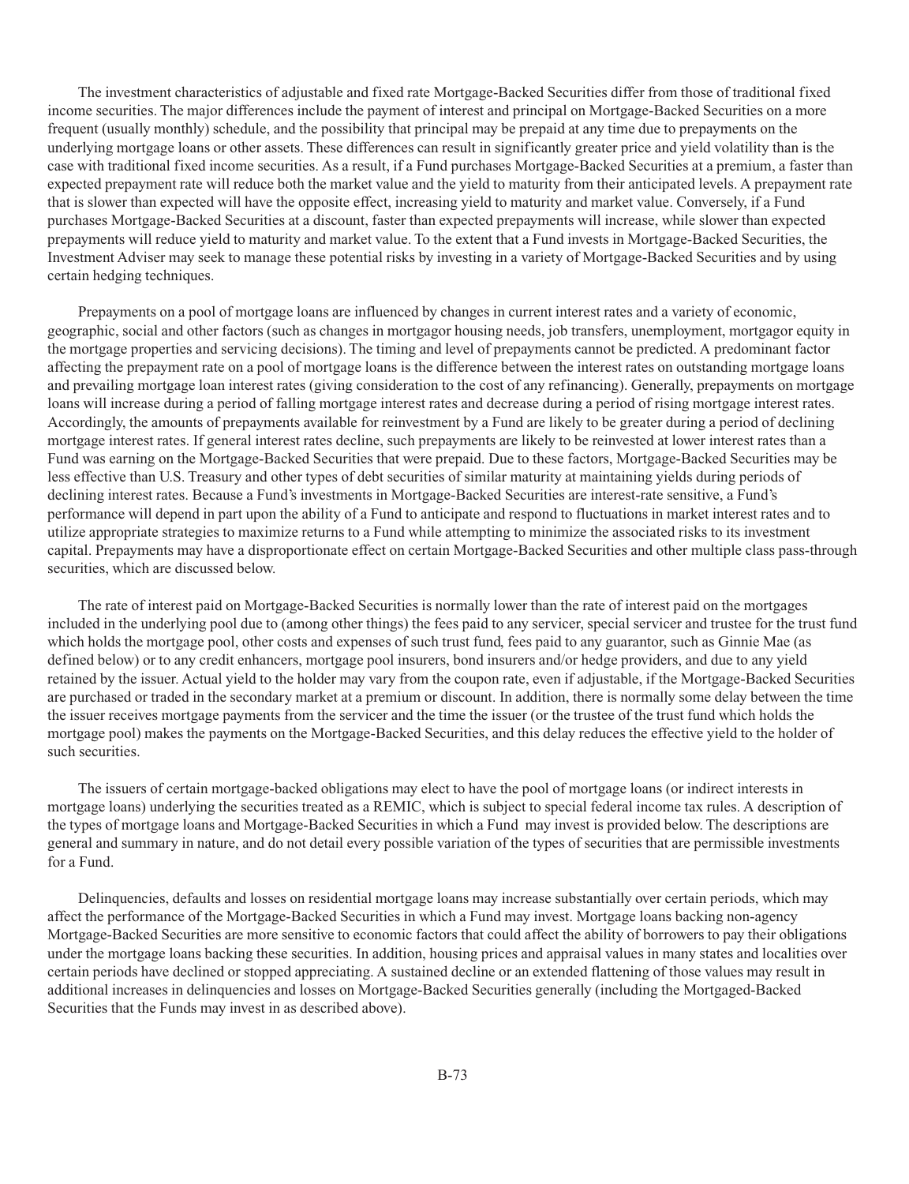The investment characteristics of adjustable and fixed rate Mortgage-Backed Securities differ from those of traditional fixed income securities. The major differences include the payment of interest and principal on Mortgage-Backed Securities on a more frequent (usually monthly) schedule, and the possibility that principal may be prepaid at any time due to prepayments on the underlying mortgage loans or other assets. These differences can result in significantly greater price and yield volatility than is the case with traditional fixed income securities. As a result, if a Fund purchases Mortgage-Backed Securities at a premium, a faster than expected prepayment rate will reduce both the market value and the yield to maturity from their anticipated levels. A prepayment rate that is slower than expected will have the opposite effect, increasing yield to maturity and market value. Conversely, if a Fund purchases Mortgage-Backed Securities at a discount, faster than expected prepayments will increase, while slower than expected prepayments will reduce yield to maturity and market value. To the extent that a Fund invests in Mortgage-Backed Securities, the Investment Adviser may seek to manage these potential risks by investing in a variety of Mortgage-Backed Securities and by using certain hedging techniques.

Prepayments on a pool of mortgage loans are influenced by changes in current interest rates and a variety of economic, geographic, social and other factors (such as changes in mortgagor housing needs, job transfers, unemployment, mortgagor equity in the mortgage properties and servicing decisions). The timing and level of prepayments cannot be predicted. A predominant factor affecting the prepayment rate on a pool of mortgage loans is the difference between the interest rates on outstanding mortgage loans and prevailing mortgage loan interest rates (giving consideration to the cost of any refinancing). Generally, prepayments on mortgage loans will increase during a period of falling mortgage interest rates and decrease during a period of rising mortgage interest rates. Accordingly, the amounts of prepayments available for reinvestment by a Fund are likely to be greater during a period of declining mortgage interest rates. If general interest rates decline, such prepayments are likely to be reinvested at lower interest rates than a Fund was earning on the Mortgage-Backed Securities that were prepaid. Due to these factors, Mortgage-Backed Securities may be less effective than U.S. Treasury and other types of debt securities of similar maturity at maintaining yields during periods of declining interest rates. Because a Fund's investments in Mortgage-Backed Securities are interest-rate sensitive, a Fund's performance will depend in part upon the ability of a Fund to anticipate and respond to fluctuations in market interest rates and to utilize appropriate strategies to maximize returns to a Fund while attempting to minimize the associated risks to its investment capital. Prepayments may have a disproportionate effect on certain Mortgage-Backed Securities and other multiple class pass-through securities, which are discussed below.

The rate of interest paid on Mortgage-Backed Securities is normally lower than the rate of interest paid on the mortgages included in the underlying pool due to (among other things) the fees paid to any servicer, special servicer and trustee for the trust fund which holds the mortgage pool, other costs and expenses of such trust fund, fees paid to any guarantor, such as Ginnie Mae (as defined below) or to any credit enhancers, mortgage pool insurers, bond insurers and/or hedge providers, and due to any yield retained by the issuer. Actual yield to the holder may vary from the coupon rate, even if adjustable, if the Mortgage-Backed Securities are purchased or traded in the secondary market at a premium or discount. In addition, there is normally some delay between the time the issuer receives mortgage payments from the servicer and the time the issuer (or the trustee of the trust fund which holds the mortgage pool) makes the payments on the Mortgage-Backed Securities, and this delay reduces the effective yield to the holder of such securities.

The issuers of certain mortgage-backed obligations may elect to have the pool of mortgage loans (or indirect interests in mortgage loans) underlying the securities treated as a REMIC, which is subject to special federal income tax rules. A description of the types of mortgage loans and Mortgage-Backed Securities in which a Fund may invest is provided below. The descriptions are general and summary in nature, and do not detail every possible variation of the types of securities that are permissible investments for a Fund.

Delinquencies, defaults and losses on residential mortgage loans may increase substantially over certain periods, which may affect the performance of the Mortgage-Backed Securities in which a Fund may invest. Mortgage loans backing non-agency Mortgage-Backed Securities are more sensitive to economic factors that could affect the ability of borrowers to pay their obligations under the mortgage loans backing these securities. In addition, housing prices and appraisal values in many states and localities over certain periods have declined or stopped appreciating. A sustained decline or an extended flattening of those values may result in additional increases in delinquencies and losses on Mortgage-Backed Securities generally (including the Mortgaged-Backed Securities that the Funds may invest in as described above).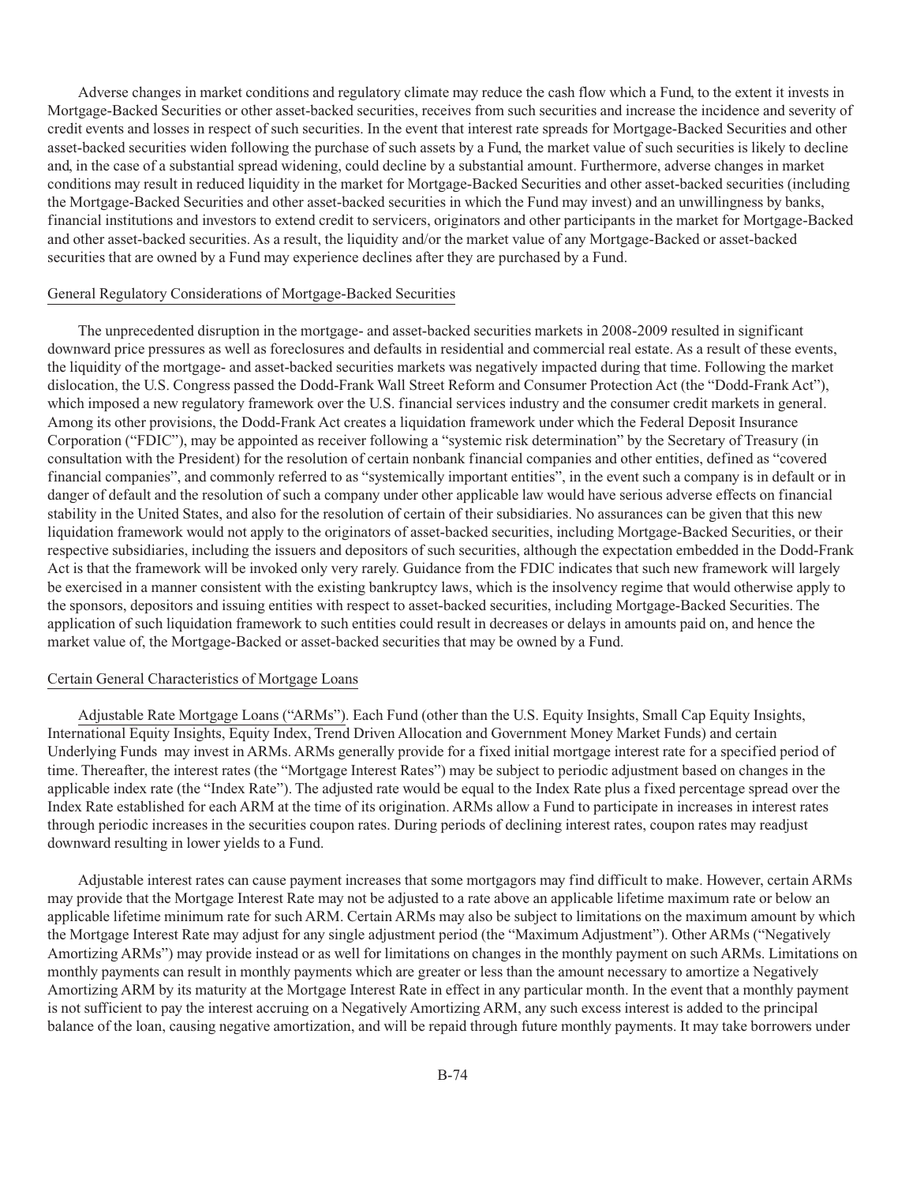Adverse changes in market conditions and regulatory climate may reduce the cash flow which a Fund, to the extent it invests in Mortgage-Backed Securities or other asset-backed securities, receives from such securities and increase the incidence and severity of credit events and losses in respect of such securities. In the event that interest rate spreads for Mortgage-Backed Securities and other asset-backed securities widen following the purchase of such assets by a Fund, the market value of such securities is likely to decline and, in the case of a substantial spread widening, could decline by a substantial amount. Furthermore, adverse changes in market conditions may result in reduced liquidity in the market for Mortgage-Backed Securities and other asset-backed securities (including the Mortgage-Backed Securities and other asset-backed securities in which the Fund may invest) and an unwillingness by banks, financial institutions and investors to extend credit to servicers, originators and other participants in the market for Mortgage-Backed and other asset-backed securities. As a result, the liquidity and/or the market value of any Mortgage-Backed or asset-backed securities that are owned by a Fund may experience declines after they are purchased by a Fund.

#### General Regulatory Considerations of Mortgage-Backed Securities

The unprecedented disruption in the mortgage- and asset-backed securities markets in 2008-2009 resulted in significant downward price pressures as well as foreclosures and defaults in residential and commercial real estate. As a result of these events, the liquidity of the mortgage- and asset-backed securities markets was negatively impacted during that time. Following the market dislocation, the U.S. Congress passed the Dodd-Frank Wall Street Reform and Consumer Protection Act (the "Dodd-Frank Act"), which imposed a new regulatory framework over the U.S. financial services industry and the consumer credit markets in general. Among its other provisions, the Dodd-Frank Act creates a liquidation framework under which the Federal Deposit Insurance Corporation ("FDIC"), may be appointed as receiver following a "systemic risk determination" by the Secretary of Treasury (in consultation with the President) for the resolution of certain nonbank financial companies and other entities, defined as "covered financial companies", and commonly referred to as "systemically important entities", in the event such a company is in default or in danger of default and the resolution of such a company under other applicable law would have serious adverse effects on financial stability in the United States, and also for the resolution of certain of their subsidiaries. No assurances can be given that this new liquidation framework would not apply to the originators of asset-backed securities, including Mortgage-Backed Securities, or their respective subsidiaries, including the issuers and depositors of such securities, although the expectation embedded in the Dodd-Frank Act is that the framework will be invoked only very rarely. Guidance from the FDIC indicates that such new framework will largely be exercised in a manner consistent with the existing bankruptcy laws, which is the insolvency regime that would otherwise apply to the sponsors, depositors and issuing entities with respect to asset-backed securities, including Mortgage-Backed Securities. The application of such liquidation framework to such entities could result in decreases or delays in amounts paid on, and hence the market value of, the Mortgage-Backed or asset-backed securities that may be owned by a Fund.

### Certain General Characteristics of Mortgage Loans

Adjustable Rate Mortgage Loans ("ARMs"). Each Fund (other than the U.S. Equity Insights, Small Cap Equity Insights, International Equity Insights, Equity Index, Trend Driven Allocation and Government Money Market Funds) and certain Underlying Funds may invest in ARMs. ARMs generally provide for a fixed initial mortgage interest rate for a specified period of time. Thereafter, the interest rates (the "Mortgage Interest Rates") may be subject to periodic adjustment based on changes in the applicable index rate (the "Index Rate"). The adjusted rate would be equal to the Index Rate plus a fixed percentage spread over the Index Rate established for each ARM at the time of its origination. ARMs allow a Fund to participate in increases in interest rates through periodic increases in the securities coupon rates. During periods of declining interest rates, coupon rates may readjust downward resulting in lower yields to a Fund.

Adjustable interest rates can cause payment increases that some mortgagors may find difficult to make. However, certain ARMs may provide that the Mortgage Interest Rate may not be adjusted to a rate above an applicable lifetime maximum rate or below an applicable lifetime minimum rate for such ARM. Certain ARMs may also be subject to limitations on the maximum amount by which the Mortgage Interest Rate may adjust for any single adjustment period (the "Maximum Adjustment"). Other ARMs ("Negatively Amortizing ARMs") may provide instead or as well for limitations on changes in the monthly payment on such ARMs. Limitations on monthly payments can result in monthly payments which are greater or less than the amount necessary to amortize a Negatively Amortizing ARM by its maturity at the Mortgage Interest Rate in effect in any particular month. In the event that a monthly payment is not sufficient to pay the interest accruing on a Negatively Amortizing ARM, any such excess interest is added to the principal balance of the loan, causing negative amortization, and will be repaid through future monthly payments. It may take borrowers under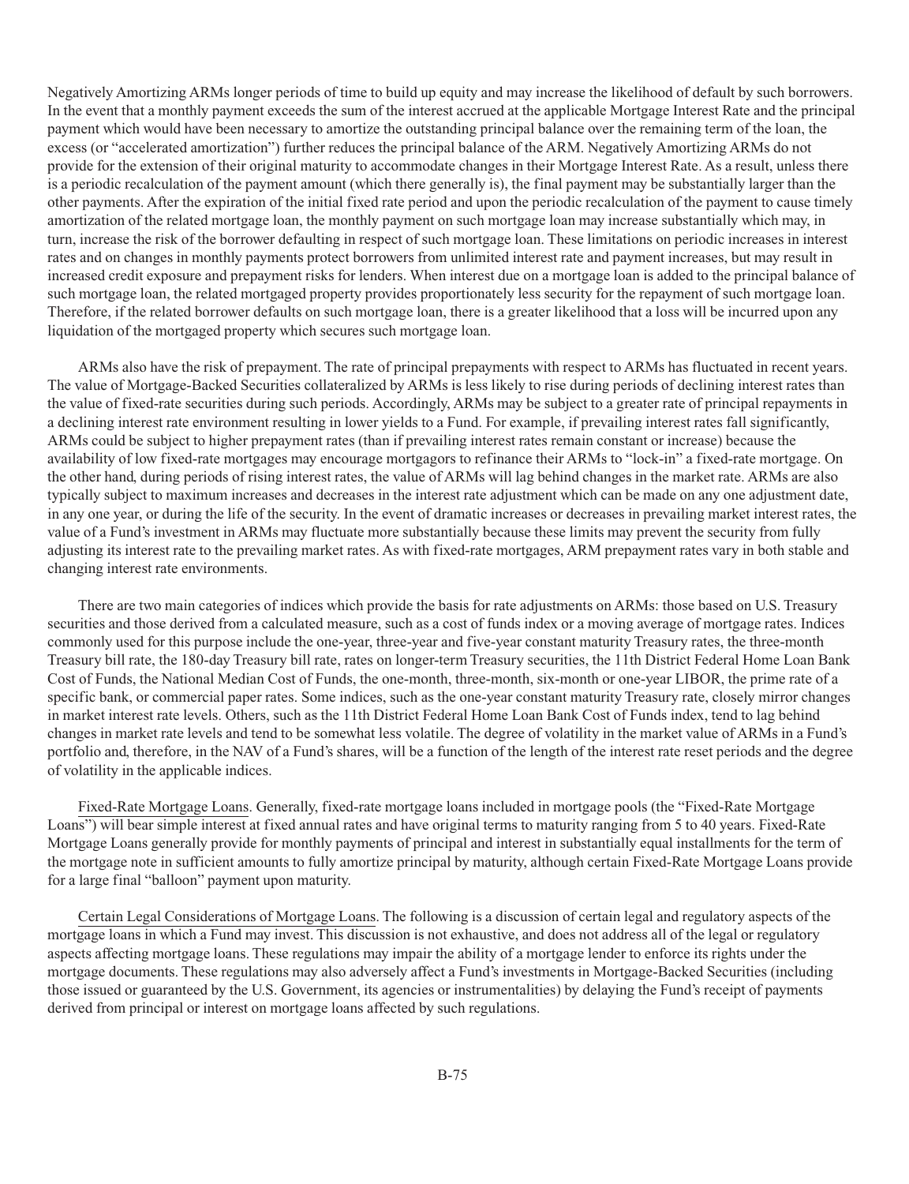Negatively Amortizing ARMs longer periods of time to build up equity and may increase the likelihood of default by such borrowers. In the event that a monthly payment exceeds the sum of the interest accrued at the applicable Mortgage Interest Rate and the principal payment which would have been necessary to amortize the outstanding principal balance over the remaining term of the loan, the excess (or "accelerated amortization") further reduces the principal balance of the ARM. Negatively Amortizing ARMs do not provide for the extension of their original maturity to accommodate changes in their Mortgage Interest Rate. As a result, unless there is a periodic recalculation of the payment amount (which there generally is), the final payment may be substantially larger than the other payments. After the expiration of the initial fixed rate period and upon the periodic recalculation of the payment to cause timely amortization of the related mortgage loan, the monthly payment on such mortgage loan may increase substantially which may, in turn, increase the risk of the borrower defaulting in respect of such mortgage loan. These limitations on periodic increases in interest rates and on changes in monthly payments protect borrowers from unlimited interest rate and payment increases, but may result in increased credit exposure and prepayment risks for lenders. When interest due on a mortgage loan is added to the principal balance of such mortgage loan, the related mortgaged property provides proportionately less security for the repayment of such mortgage loan. Therefore, if the related borrower defaults on such mortgage loan, there is a greater likelihood that a loss will be incurred upon any liquidation of the mortgaged property which secures such mortgage loan.

ARMs also have the risk of prepayment. The rate of principal prepayments with respect to ARMs has fluctuated in recent years. The value of Mortgage-Backed Securities collateralized by ARMs is less likely to rise during periods of declining interest rates than the value of fixed-rate securities during such periods. Accordingly, ARMs may be subject to a greater rate of principal repayments in a declining interest rate environment resulting in lower yields to a Fund. For example, if prevailing interest rates fall significantly, ARMs could be subject to higher prepayment rates (than if prevailing interest rates remain constant or increase) because the availability of low fixed-rate mortgages may encourage mortgagors to refinance their ARMs to "lock-in" a fixed-rate mortgage. On the other hand, during periods of rising interest rates, the value of ARMs will lag behind changes in the market rate. ARMs are also typically subject to maximum increases and decreases in the interest rate adjustment which can be made on any one adjustment date, in any one year, or during the life of the security. In the event of dramatic increases or decreases in prevailing market interest rates, the value of a Fund's investment in ARMs may fluctuate more substantially because these limits may prevent the security from fully adjusting its interest rate to the prevailing market rates. As with fixed-rate mortgages, ARM prepayment rates vary in both stable and changing interest rate environments.

There are two main categories of indices which provide the basis for rate adjustments on ARMs: those based on U.S. Treasury securities and those derived from a calculated measure, such as a cost of funds index or a moving average of mortgage rates. Indices commonly used for this purpose include the one-year, three-year and five-year constant maturity Treasury rates, the three-month Treasury bill rate, the 180-day Treasury bill rate, rates on longer-term Treasury securities, the 11th District Federal Home Loan Bank Cost of Funds, the National Median Cost of Funds, the one-month, three-month, six-month or one-year LIBOR, the prime rate of a specific bank, or commercial paper rates. Some indices, such as the one-year constant maturity Treasury rate, closely mirror changes in market interest rate levels. Others, such as the 11th District Federal Home Loan Bank Cost of Funds index, tend to lag behind changes in market rate levels and tend to be somewhat less volatile. The degree of volatility in the market value of ARMs in a Fund's portfolio and, therefore, in the NAV of a Fund's shares, will be a function of the length of the interest rate reset periods and the degree of volatility in the applicable indices.

Fixed-Rate Mortgage Loans. Generally, fixed-rate mortgage loans included in mortgage pools (the "Fixed-Rate Mortgage Loans") will bear simple interest at fixed annual rates and have original terms to maturity ranging from 5 to 40 years. Fixed-Rate Mortgage Loans generally provide for monthly payments of principal and interest in substantially equal installments for the term of the mortgage note in sufficient amounts to fully amortize principal by maturity, although certain Fixed-Rate Mortgage Loans provide for a large final "balloon" payment upon maturity.

Certain Legal Considerations of Mortgage Loans. The following is a discussion of certain legal and regulatory aspects of the mortgage loans in which a Fund may invest. This discussion is not exhaustive, and does not address all of the legal or regulatory aspects affecting mortgage loans. These regulations may impair the ability of a mortgage lender to enforce its rights under the mortgage documents. These regulations may also adversely affect a Fund's investments in Mortgage-Backed Securities (including those issued or guaranteed by the U.S. Government, its agencies or instrumentalities) by delaying the Fund's receipt of payments derived from principal or interest on mortgage loans affected by such regulations.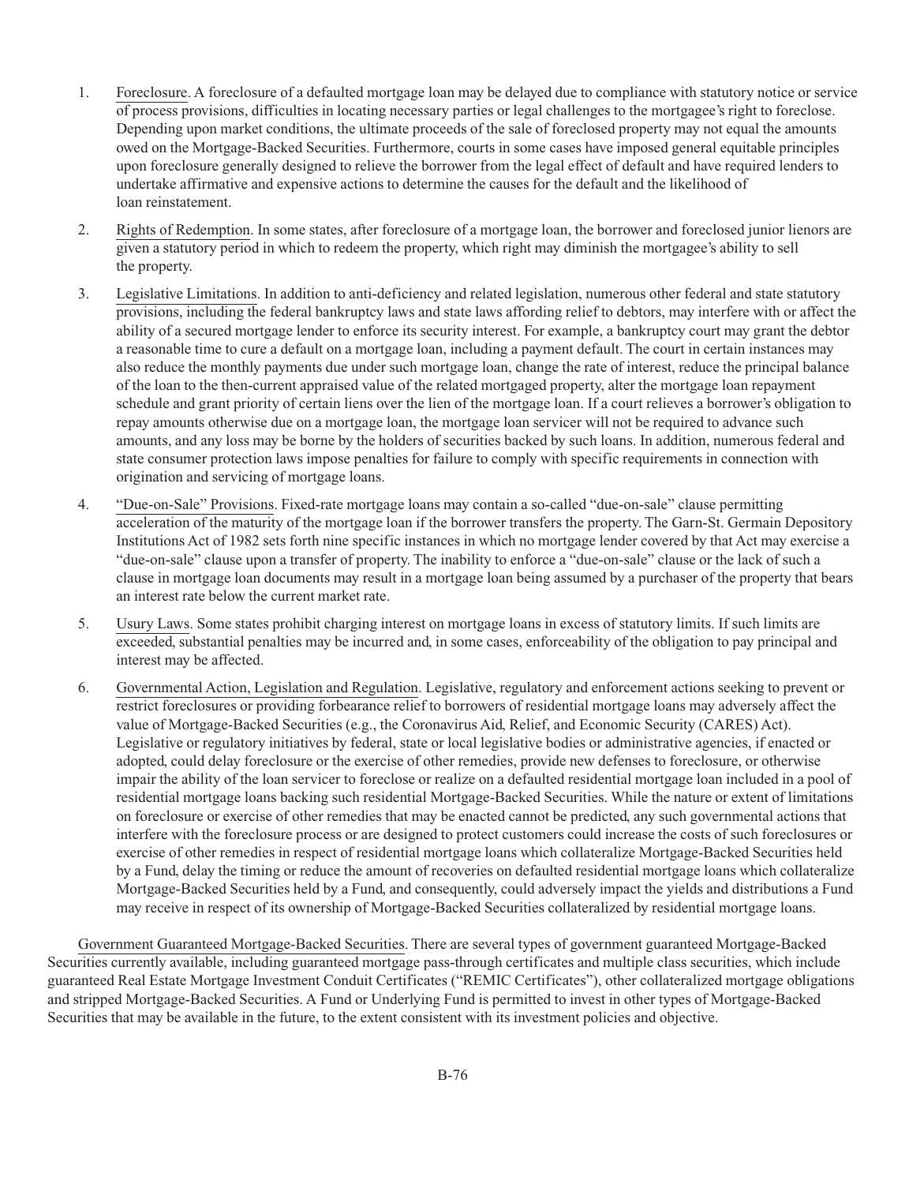- 1. Foreclosure. A foreclosure of a defaulted mortgage loan may be delayed due to compliance with statutory notice or service of process provisions, difficulties in locating necessary parties or legal challenges to the mortgagee's right to foreclose. Depending upon market conditions, the ultimate proceeds of the sale of foreclosed property may not equal the amounts owed on the Mortgage-Backed Securities. Furthermore, courts in some cases have imposed general equitable principles upon foreclosure generally designed to relieve the borrower from the legal effect of default and have required lenders to undertake affirmative and expensive actions to determine the causes for the default and the likelihood of loan reinstatement.
- 2. Rights of Redemption. In some states, after foreclosure of a mortgage loan, the borrower and foreclosed junior lienors are given a statutory period in which to redeem the property, which right may diminish the mortgagee's ability to sell the property.
- 3. Legislative Limitations. In addition to anti-deficiency and related legislation, numerous other federal and state statutory provisions, including the federal bankruptcy laws and state laws affording relief to debtors, may interfere with or affect the ability of a secured mortgage lender to enforce its security interest. For example, a bankruptcy court may grant the debtor a reasonable time to cure a default on a mortgage loan, including a payment default. The court in certain instances may also reduce the monthly payments due under such mortgage loan, change the rate of interest, reduce the principal balance of the loan to the then-current appraised value of the related mortgaged property, alter the mortgage loan repayment schedule and grant priority of certain liens over the lien of the mortgage loan. If a court relieves a borrower's obligation to repay amounts otherwise due on a mortgage loan, the mortgage loan servicer will not be required to advance such amounts, and any loss may be borne by the holders of securities backed by such loans. In addition, numerous federal and state consumer protection laws impose penalties for failure to comply with specific requirements in connection with origination and servicing of mortgage loans.
- 4. "Due-on-Sale" Provisions. Fixed-rate mortgage loans may contain a so-called "due-on-sale" clause permitting acceleration of the maturity of the mortgage loan if the borrower transfers the property. The Garn-St. Germain Depository Institutions Act of 1982 sets forth nine specific instances in which no mortgage lender covered by that Act may exercise a "due-on-sale" clause upon a transfer of property. The inability to enforce a "due-on-sale" clause or the lack of such a clause in mortgage loan documents may result in a mortgage loan being assumed by a purchaser of the property that bears an interest rate below the current market rate.
- 5. Usury Laws. Some states prohibit charging interest on mortgage loans in excess of statutory limits. If such limits are exceeded, substantial penalties may be incurred and, in some cases, enforceability of the obligation to pay principal and interest may be affected.
- 6. Governmental Action, Legislation and Regulation. Legislative, regulatory and enforcement actions seeking to prevent or restrict foreclosures or providing forbearance relief to borrowers of residential mortgage loans may adversely affect the value of Mortgage-Backed Securities (e.g., the Coronavirus Aid, Relief, and Economic Security (CARES) Act). Legislative or regulatory initiatives by federal, state or local legislative bodies or administrative agencies, if enacted or adopted, could delay foreclosure or the exercise of other remedies, provide new defenses to foreclosure, or otherwise impair the ability of the loan servicer to foreclose or realize on a defaulted residential mortgage loan included in a pool of residential mortgage loans backing such residential Mortgage-Backed Securities. While the nature or extent of limitations on foreclosure or exercise of other remedies that may be enacted cannot be predicted, any such governmental actions that interfere with the foreclosure process or are designed to protect customers could increase the costs of such foreclosures or exercise of other remedies in respect of residential mortgage loans which collateralize Mortgage-Backed Securities held by a Fund, delay the timing or reduce the amount of recoveries on defaulted residential mortgage loans which collateralize Mortgage-Backed Securities held by a Fund, and consequently, could adversely impact the yields and distributions a Fund may receive in respect of its ownership of Mortgage-Backed Securities collateralized by residential mortgage loans.

Government Guaranteed Mortgage-Backed Securities. There are several types of government guaranteed Mortgage-Backed Securities currently available, including guaranteed mortgage pass-through certificates and multiple class securities, which include guaranteed Real Estate Mortgage Investment Conduit Certificates ("REMIC Certificates"), other collateralized mortgage obligations and stripped Mortgage-Backed Securities. A Fund or Underlying Fund is permitted to invest in other types of Mortgage-Backed Securities that may be available in the future, to the extent consistent with its investment policies and objective.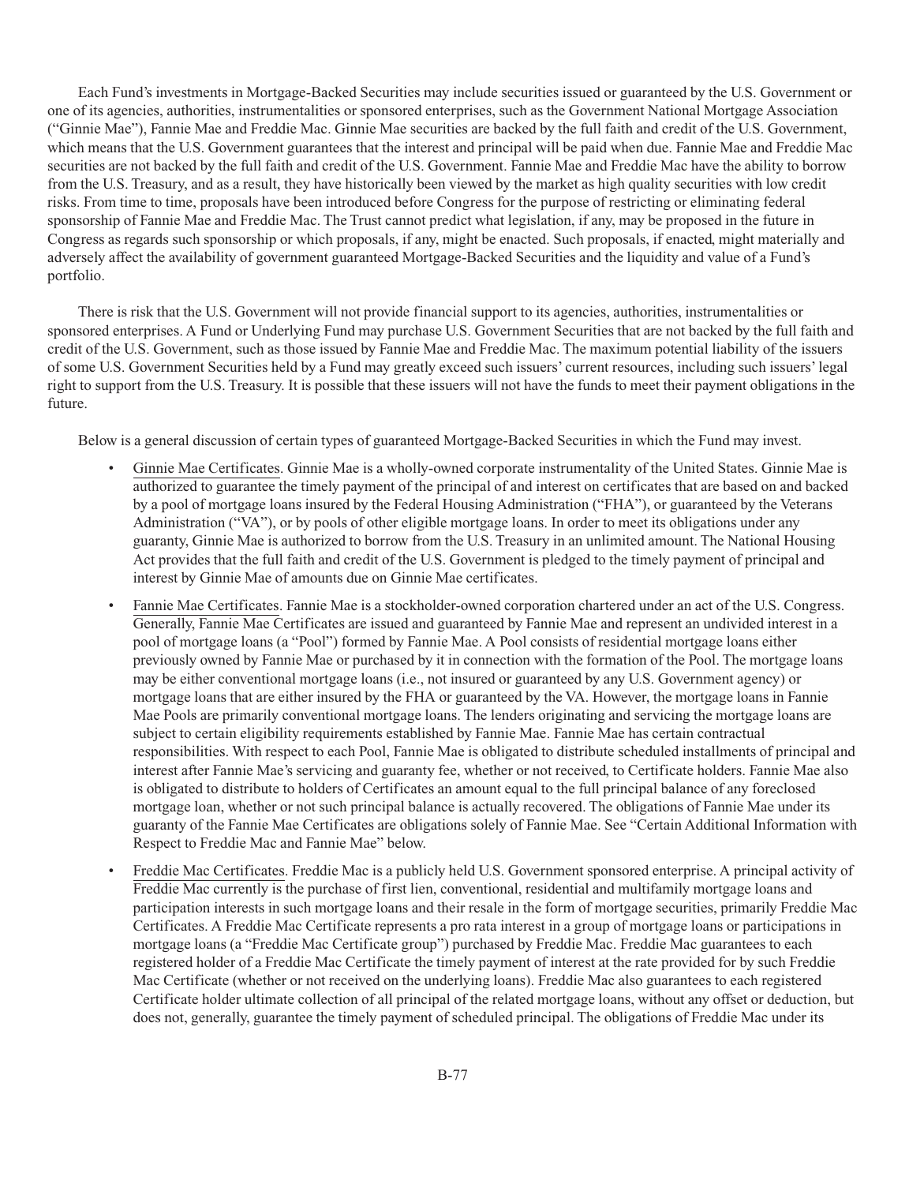Each Fund's investments in Mortgage-Backed Securities may include securities issued or guaranteed by the U.S. Government or one of its agencies, authorities, instrumentalities or sponsored enterprises, such as the Government National Mortgage Association ("Ginnie Mae"), Fannie Mae and Freddie Mac. Ginnie Mae securities are backed by the full faith and credit of the U.S. Government, which means that the U.S. Government guarantees that the interest and principal will be paid when due. Fannie Mae and Freddie Mac securities are not backed by the full faith and credit of the U.S. Government. Fannie Mae and Freddie Mac have the ability to borrow from the U.S. Treasury, and as a result, they have historically been viewed by the market as high quality securities with low credit risks. From time to time, proposals have been introduced before Congress for the purpose of restricting or eliminating federal sponsorship of Fannie Mae and Freddie Mac. The Trust cannot predict what legislation, if any, may be proposed in the future in Congress as regards such sponsorship or which proposals, if any, might be enacted. Such proposals, if enacted, might materially and adversely affect the availability of government guaranteed Mortgage-Backed Securities and the liquidity and value of a Fund's portfolio.

There is risk that the U.S. Government will not provide financial support to its agencies, authorities, instrumentalities or sponsored enterprises. A Fund or Underlying Fund may purchase U.S. Government Securities that are not backed by the full faith and credit of the U.S. Government, such as those issued by Fannie Mae and Freddie Mac. The maximum potential liability of the issuers of some U.S. Government Securities held by a Fund may greatly exceed such issuers' current resources, including such issuers' legal right to support from the U.S. Treasury. It is possible that these issuers will not have the funds to meet their payment obligations in the future.

Below is a general discussion of certain types of guaranteed Mortgage-Backed Securities in which the Fund may invest.

- Ginnie Mae Certificates. Ginnie Mae is a wholly-owned corporate instrumentality of the United States. Ginnie Mae is authorized to guarantee the timely payment of the principal of and interest on certificates that are based on and backed by a pool of mortgage loans insured by the Federal Housing Administration ("FHA"), or guaranteed by the Veterans Administration ("VA"), or by pools of other eligible mortgage loans. In order to meet its obligations under any guaranty, Ginnie Mae is authorized to borrow from the U.S. Treasury in an unlimited amount. The National Housing Act provides that the full faith and credit of the U.S. Government is pledged to the timely payment of principal and interest by Ginnie Mae of amounts due on Ginnie Mae certificates.
- Fannie Mae Certificates. Fannie Mae is a stockholder-owned corporation chartered under an act of the U.S. Congress. Generally, Fannie Mae Certificates are issued and guaranteed by Fannie Mae and represent an undivided interest in a pool of mortgage loans (a "Pool") formed by Fannie Mae. A Pool consists of residential mortgage loans either previously owned by Fannie Mae or purchased by it in connection with the formation of the Pool. The mortgage loans may be either conventional mortgage loans (i.e., not insured or guaranteed by any U.S. Government agency) or mortgage loans that are either insured by the FHA or guaranteed by the VA. However, the mortgage loans in Fannie Mae Pools are primarily conventional mortgage loans. The lenders originating and servicing the mortgage loans are subject to certain eligibility requirements established by Fannie Mae. Fannie Mae has certain contractual responsibilities. With respect to each Pool, Fannie Mae is obligated to distribute scheduled installments of principal and interest after Fannie Mae's servicing and guaranty fee, whether or not received, to Certificate holders. Fannie Mae also is obligated to distribute to holders of Certificates an amount equal to the full principal balance of any foreclosed mortgage loan, whether or not such principal balance is actually recovered. The obligations of Fannie Mae under its guaranty of the Fannie Mae Certificates are obligations solely of Fannie Mae. See "Certain Additional Information with Respect to Freddie Mac and Fannie Mae" below.
- Freddie Mac Certificates. Freddie Mac is a publicly held U.S. Government sponsored enterprise. A principal activity of Freddie Mac currently is the purchase of first lien, conventional, residential and multifamily mortgage loans and participation interests in such mortgage loans and their resale in the form of mortgage securities, primarily Freddie Mac Certificates. A Freddie Mac Certificate represents a pro rata interest in a group of mortgage loans or participations in mortgage loans (a "Freddie Mac Certificate group") purchased by Freddie Mac. Freddie Mac guarantees to each registered holder of a Freddie Mac Certificate the timely payment of interest at the rate provided for by such Freddie Mac Certificate (whether or not received on the underlying loans). Freddie Mac also guarantees to each registered Certificate holder ultimate collection of all principal of the related mortgage loans, without any offset or deduction, but does not, generally, guarantee the timely payment of scheduled principal. The obligations of Freddie Mac under its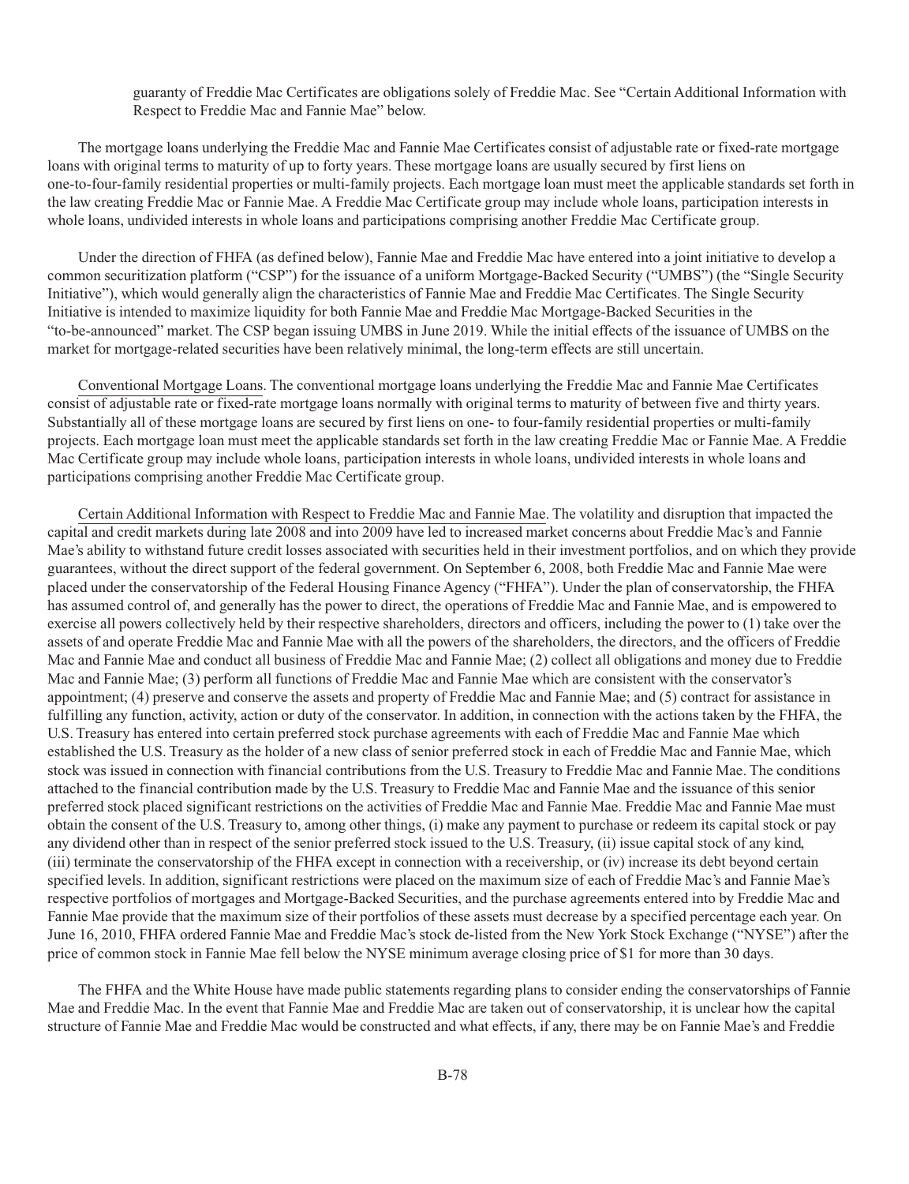guaranty of Freddie Mac Certificates are obligations solely of Freddie Mac. See "Certain Additional Information with Respect to Freddie Mac and Fannie Mae" below.

The mortgage loans underlying the Freddie Mac and Fannie Mae Certificates consist of adjustable rate or fixed-rate mortgage loans with original terms to maturity of up to forty years. These mortgage loans are usually secured by first liens on one-to-four-family residential properties or multi-family projects. Each mortgage loan must meet the applicable standards set forth in the law creating Freddie Mac or Fannie Mae. A Freddie Mac Certificate group may include whole loans, participation interests in whole loans, undivided interests in whole loans and participations comprising another Freddie Mac Certificate group.

Under the direction of FHFA (as defined below), Fannie Mae and Freddie Mac have entered into a joint initiative to develop a common securitization platform ("CSP") for the issuance of a uniform Mortgage-Backed Security ("UMBS") (the "Single Security Initiative"), which would generally align the characteristics of Fannie Mae and Freddie Mac Certificates. The Single Security Initiative is intended to maximize liquidity for both Fannie Mae and Freddie Mac Mortgage-Backed Securities in the "to-be-announced" market. The CSP began issuing UMBS in June 2019. While the initial effects of the issuance of UMBS on the market for mortgage-related securities have been relatively minimal, the long-term effects are still uncertain.

Conventional Mortgage Loans. The conventional mortgage loans underlying the Freddie Mac and Fannie Mae Certificates consist of adjustable rate or fixed-rate mortgage loans normally with original terms to maturity of between five and thirty years. Substantially all of these mortgage loans are secured by first liens on one- to four-family residential properties or multi-family projects. Each mortgage loan must meet the applicable standards set forth in the law creating Freddie Mac or Fannie Mae. A Freddie Mac Certificate group may include whole loans, participation interests in whole loans, undivided interests in whole loans and participations comprising another Freddie Mac Certificate group.

Certain Additional Information with Respect to Freddie Mac and Fannie Mae. The volatility and disruption that impacted the capital and credit markets during late 2008 and into 2009 have led to increased market concerns about Freddie Mac's and Fannie Mae's ability to withstand future credit losses associated with securities held in their investment portfolios, and on which they provide guarantees, without the direct support of the federal government. On September 6, 2008, both Freddie Mac and Fannie Mae were placed under the conservatorship of the Federal Housing Finance Agency ("FHFA"). Under the plan of conservatorship, the FHFA has assumed control of, and generally has the power to direct, the operations of Freddie Mac and Fannie Mae, and is empowered to exercise all powers collectively held by their respective shareholders, directors and officers, including the power to (1) take over the assets of and operate Freddie Mac and Fannie Mae with all the powers of the shareholders, the directors, and the officers of Freddie Mac and Fannie Mae and conduct all business of Freddie Mac and Fannie Mae; (2) collect all obligations and money due to Freddie Mac and Fannie Mae; (3) perform all functions of Freddie Mac and Fannie Mae which are consistent with the conservator's appointment; (4) preserve and conserve the assets and property of Freddie Mac and Fannie Mae; and (5) contract for assistance in fulfilling any function, activity, action or duty of the conservator. In addition, in connection with the actions taken by the FHFA, the U.S. Treasury has entered into certain preferred stock purchase agreements with each of Freddie Mac and Fannie Mae which established the U.S. Treasury as the holder of a new class of senior preferred stock in each of Freddie Mac and Fannie Mae, which stock was issued in connection with financial contributions from the U.S. Treasury to Freddie Mac and Fannie Mae. The conditions attached to the financial contribution made by the U.S. Treasury to Freddie Mac and Fannie Mae and the issuance of this senior preferred stock placed significant restrictions on the activities of Freddie Mac and Fannie Mae. Freddie Mac and Fannie Mae must obtain the consent of the U.S. Treasury to, among other things, (i) make any payment to purchase or redeem its capital stock or pay any dividend other than in respect of the senior preferred stock issued to the U.S. Treasury, (ii) issue capital stock of any kind, (iii) terminate the conservatorship of the FHFA except in connection with a receivership, or (iv) increase its debt beyond certain specified levels. In addition, significant restrictions were placed on the maximum size of each of Freddie Mac's and Fannie Mae's respective portfolios of mortgages and Mortgage-Backed Securities, and the purchase agreements entered into by Freddie Mac and Fannie Mae provide that the maximum size of their portfolios of these assets must decrease by a specified percentage each year. On June 16, 2010, FHFA ordered Fannie Mae and Freddie Mac's stock de-listed from the New York Stock Exchange ("NYSE") after the price of common stock in Fannie Mae fell below the NYSE minimum average closing price of \$1 for more than 30 days.

The FHFA and the White House have made public statements regarding plans to consider ending the conservatorships of Fannie Mae and Freddie Mac. In the event that Fannie Mae and Freddie Mac are taken out of conservatorship, it is unclear how the capital structure of Fannie Mae and Freddie Mac would be constructed and what effects, if any, there may be on Fannie Mae's and Freddie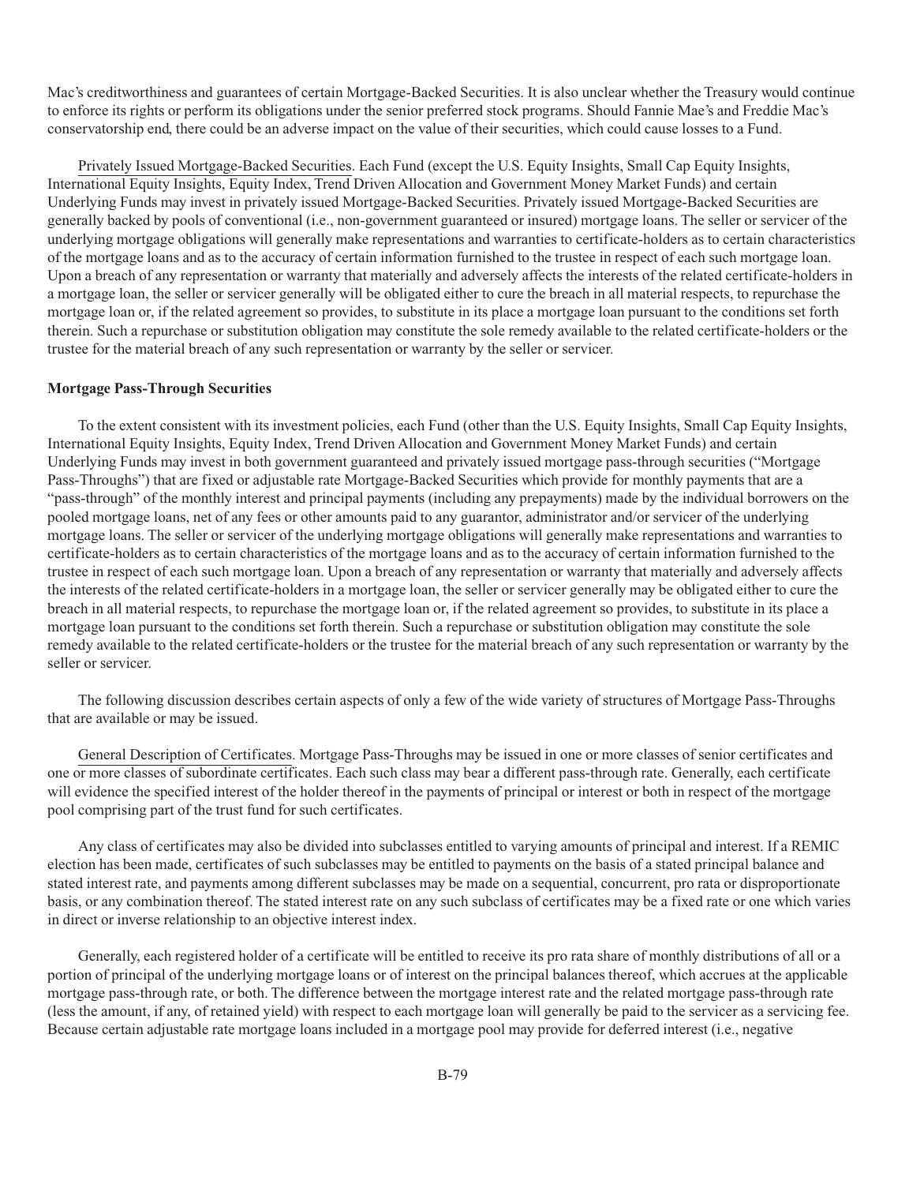Mac's creditworthiness and guarantees of certain Mortgage-Backed Securities. It is also unclear whether the Treasury would continue to enforce its rights or perform its obligations under the senior preferred stock programs. Should Fannie Mae's and Freddie Mac's conservatorship end, there could be an adverse impact on the value of their securities, which could cause losses to a Fund.

Privately Issued Mortgage-Backed Securities. Each Fund (except the U.S. Equity Insights, Small Cap Equity Insights, International Equity Insights, Equity Index, Trend Driven Allocation and Government Money Market Funds) and certain Underlying Funds may invest in privately issued Mortgage-Backed Securities. Privately issued Mortgage-Backed Securities are generally backed by pools of conventional (i.e., non-government guaranteed or insured) mortgage loans. The seller or servicer of the underlying mortgage obligations will generally make representations and warranties to certificate-holders as to certain characteristics of the mortgage loans and as to the accuracy of certain information furnished to the trustee in respect of each such mortgage loan. Upon a breach of any representation or warranty that materially and adversely affects the interests of the related certificate-holders in a mortgage loan, the seller or servicer generally will be obligated either to cure the breach in all material respects, to repurchase the mortgage loan or, if the related agreement so provides, to substitute in its place a mortgage loan pursuant to the conditions set forth therein. Such a repurchase or substitution obligation may constitute the sole remedy available to the related certificate-holders or the trustee for the material breach of any such representation or warranty by the seller or servicer.

## **Mortgage Pass-Through Securities**

To the extent consistent with its investment policies, each Fund (other than the U.S. Equity Insights, Small Cap Equity Insights, International Equity Insights, Equity Index, Trend Driven Allocation and Government Money Market Funds) and certain Underlying Funds may invest in both government guaranteed and privately issued mortgage pass-through securities ("Mortgage Pass-Throughs") that are fixed or adjustable rate Mortgage-Backed Securities which provide for monthly payments that are a "pass-through" of the monthly interest and principal payments (including any prepayments) made by the individual borrowers on the pooled mortgage loans, net of any fees or other amounts paid to any guarantor, administrator and/or servicer of the underlying mortgage loans. The seller or servicer of the underlying mortgage obligations will generally make representations and warranties to certificate-holders as to certain characteristics of the mortgage loans and as to the accuracy of certain information furnished to the trustee in respect of each such mortgage loan. Upon a breach of any representation or warranty that materially and adversely affects the interests of the related certificate-holders in a mortgage loan, the seller or servicer generally may be obligated either to cure the breach in all material respects, to repurchase the mortgage loan or, if the related agreement so provides, to substitute in its place a mortgage loan pursuant to the conditions set forth therein. Such a repurchase or substitution obligation may constitute the sole remedy available to the related certificate-holders or the trustee for the material breach of any such representation or warranty by the seller or servicer.

The following discussion describes certain aspects of only a few of the wide variety of structures of Mortgage Pass-Throughs that are available or may be issued.

General Description of Certificates. Mortgage Pass-Throughs may be issued in one or more classes of senior certificates and one or more classes of subordinate certificates. Each such class may bear a different pass-through rate. Generally, each certificate will evidence the specified interest of the holder thereof in the payments of principal or interest or both in respect of the mortgage pool comprising part of the trust fund for such certificates.

Any class of certificates may also be divided into subclasses entitled to varying amounts of principal and interest. If a REMIC election has been made, certificates of such subclasses may be entitled to payments on the basis of a stated principal balance and stated interest rate, and payments among different subclasses may be made on a sequential, concurrent, pro rata or disproportionate basis, or any combination thereof. The stated interest rate on any such subclass of certificates may be a fixed rate or one which varies in direct or inverse relationship to an objective interest index.

Generally, each registered holder of a certificate will be entitled to receive its pro rata share of monthly distributions of all or a portion of principal of the underlying mortgage loans or of interest on the principal balances thereof, which accrues at the applicable mortgage pass-through rate, or both. The difference between the mortgage interest rate and the related mortgage pass-through rate (less the amount, if any, of retained yield) with respect to each mortgage loan will generally be paid to the servicer as a servicing fee. Because certain adjustable rate mortgage loans included in a mortgage pool may provide for deferred interest (i.e., negative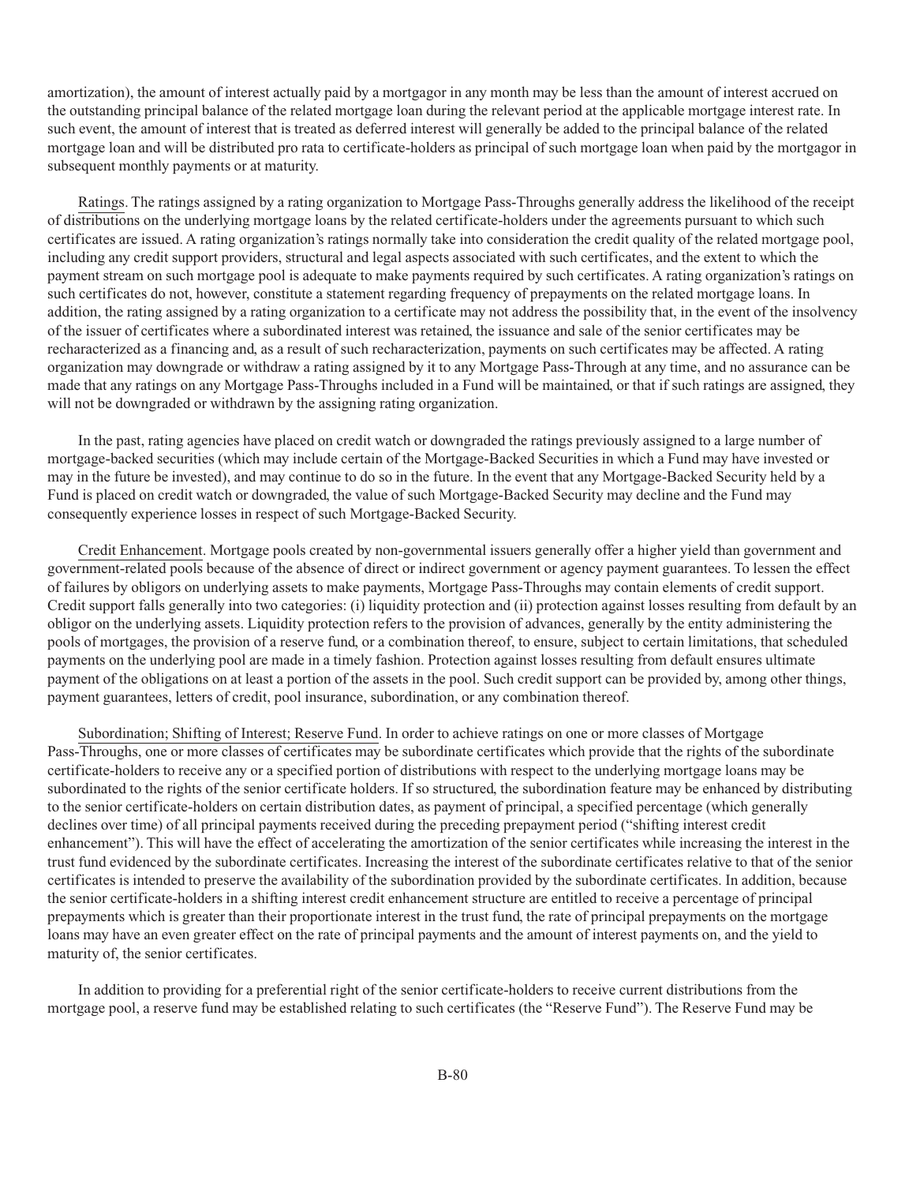amortization), the amount of interest actually paid by a mortgagor in any month may be less than the amount of interest accrued on the outstanding principal balance of the related mortgage loan during the relevant period at the applicable mortgage interest rate. In such event, the amount of interest that is treated as deferred interest will generally be added to the principal balance of the related mortgage loan and will be distributed pro rata to certificate-holders as principal of such mortgage loan when paid by the mortgagor in subsequent monthly payments or at maturity.

Ratings. The ratings assigned by a rating organization to Mortgage Pass-Throughs generally address the likelihood of the receipt of distributions on the underlying mortgage loans by the related certificate-holders under the agreements pursuant to which such certificates are issued. A rating organization's ratings normally take into consideration the credit quality of the related mortgage pool, including any credit support providers, structural and legal aspects associated with such certificates, and the extent to which the payment stream on such mortgage pool is adequate to make payments required by such certificates. A rating organization's ratings on such certificates do not, however, constitute a statement regarding frequency of prepayments on the related mortgage loans. In addition, the rating assigned by a rating organization to a certificate may not address the possibility that, in the event of the insolvency of the issuer of certificates where a subordinated interest was retained, the issuance and sale of the senior certificates may be recharacterized as a financing and, as a result of such recharacterization, payments on such certificates may be affected. A rating organization may downgrade or withdraw a rating assigned by it to any Mortgage Pass-Through at any time, and no assurance can be made that any ratings on any Mortgage Pass-Throughs included in a Fund will be maintained, or that if such ratings are assigned, they will not be downgraded or withdrawn by the assigning rating organization.

In the past, rating agencies have placed on credit watch or downgraded the ratings previously assigned to a large number of mortgage-backed securities (which may include certain of the Mortgage-Backed Securities in which a Fund may have invested or may in the future be invested), and may continue to do so in the future. In the event that any Mortgage-Backed Security held by a Fund is placed on credit watch or downgraded, the value of such Mortgage-Backed Security may decline and the Fund may consequently experience losses in respect of such Mortgage-Backed Security.

Credit Enhancement. Mortgage pools created by non-governmental issuers generally offer a higher yield than government and government-related pools because of the absence of direct or indirect government or agency payment guarantees. To lessen the effect of failures by obligors on underlying assets to make payments, Mortgage Pass-Throughs may contain elements of credit support. Credit support falls generally into two categories: (i) liquidity protection and (ii) protection against losses resulting from default by an obligor on the underlying assets. Liquidity protection refers to the provision of advances, generally by the entity administering the pools of mortgages, the provision of a reserve fund, or a combination thereof, to ensure, subject to certain limitations, that scheduled payments on the underlying pool are made in a timely fashion. Protection against losses resulting from default ensures ultimate payment of the obligations on at least a portion of the assets in the pool. Such credit support can be provided by, among other things, payment guarantees, letters of credit, pool insurance, subordination, or any combination thereof.

Subordination; Shifting of Interest; Reserve Fund. In order to achieve ratings on one or more classes of Mortgage Pass-Throughs, one or more classes of certificates may be subordinate certificates which provide that the rights of the subordinate certificate-holders to receive any or a specified portion of distributions with respect to the underlying mortgage loans may be subordinated to the rights of the senior certificate holders. If so structured, the subordination feature may be enhanced by distributing to the senior certificate-holders on certain distribution dates, as payment of principal, a specified percentage (which generally declines over time) of all principal payments received during the preceding prepayment period ("shifting interest credit enhancement"). This will have the effect of accelerating the amortization of the senior certificates while increasing the interest in the trust fund evidenced by the subordinate certificates. Increasing the interest of the subordinate certificates relative to that of the senior certificates is intended to preserve the availability of the subordination provided by the subordinate certificates. In addition, because the senior certificate-holders in a shifting interest credit enhancement structure are entitled to receive a percentage of principal prepayments which is greater than their proportionate interest in the trust fund, the rate of principal prepayments on the mortgage loans may have an even greater effect on the rate of principal payments and the amount of interest payments on, and the yield to maturity of, the senior certificates.

In addition to providing for a preferential right of the senior certificate-holders to receive current distributions from the mortgage pool, a reserve fund may be established relating to such certificates (the "Reserve Fund"). The Reserve Fund may be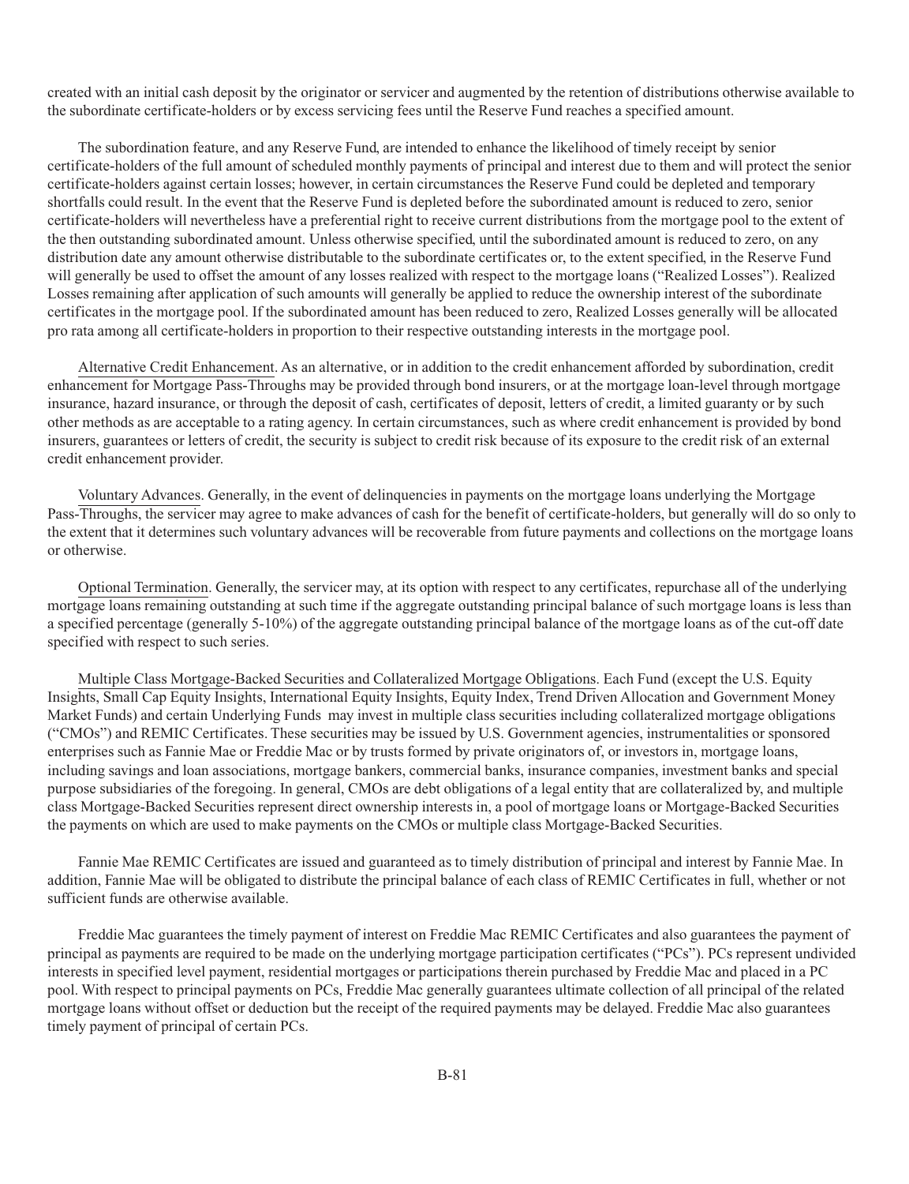created with an initial cash deposit by the originator or servicer and augmented by the retention of distributions otherwise available to the subordinate certificate-holders or by excess servicing fees until the Reserve Fund reaches a specified amount.

The subordination feature, and any Reserve Fund, are intended to enhance the likelihood of timely receipt by senior certificate-holders of the full amount of scheduled monthly payments of principal and interest due to them and will protect the senior certificate-holders against certain losses; however, in certain circumstances the Reserve Fund could be depleted and temporary shortfalls could result. In the event that the Reserve Fund is depleted before the subordinated amount is reduced to zero, senior certificate-holders will nevertheless have a preferential right to receive current distributions from the mortgage pool to the extent of the then outstanding subordinated amount. Unless otherwise specified, until the subordinated amount is reduced to zero, on any distribution date any amount otherwise distributable to the subordinate certificates or, to the extent specified, in the Reserve Fund will generally be used to offset the amount of any losses realized with respect to the mortgage loans ("Realized Losses"). Realized Losses remaining after application of such amounts will generally be applied to reduce the ownership interest of the subordinate certificates in the mortgage pool. If the subordinated amount has been reduced to zero, Realized Losses generally will be allocated pro rata among all certificate-holders in proportion to their respective outstanding interests in the mortgage pool.

Alternative Credit Enhancement. As an alternative, or in addition to the credit enhancement afforded by subordination, credit enhancement for Mortgage Pass-Throughs may be provided through bond insurers, or at the mortgage loan-level through mortgage insurance, hazard insurance, or through the deposit of cash, certificates of deposit, letters of credit, a limited guaranty or by such other methods as are acceptable to a rating agency. In certain circumstances, such as where credit enhancement is provided by bond insurers, guarantees or letters of credit, the security is subject to credit risk because of its exposure to the credit risk of an external credit enhancement provider.

Voluntary Advances. Generally, in the event of delinquencies in payments on the mortgage loans underlying the Mortgage Pass-Throughs, the servicer may agree to make advances of cash for the benefit of certificate-holders, but generally will do so only to the extent that it determines such voluntary advances will be recoverable from future payments and collections on the mortgage loans or otherwise.

Optional Termination. Generally, the servicer may, at its option with respect to any certificates, repurchase all of the underlying mortgage loans remaining outstanding at such time if the aggregate outstanding principal balance of such mortgage loans is less than a specified percentage (generally 5-10%) of the aggregate outstanding principal balance of the mortgage loans as of the cut-off date specified with respect to such series.

Multiple Class Mortgage-Backed Securities and Collateralized Mortgage Obligations. Each Fund (except the U.S. Equity Insights, Small Cap Equity Insights, International Equity Insights, Equity Index, Trend Driven Allocation and Government Money Market Funds) and certain Underlying Funds may invest in multiple class securities including collateralized mortgage obligations ("CMOs") and REMIC Certificates. These securities may be issued by U.S. Government agencies, instrumentalities or sponsored enterprises such as Fannie Mae or Freddie Mac or by trusts formed by private originators of, or investors in, mortgage loans, including savings and loan associations, mortgage bankers, commercial banks, insurance companies, investment banks and special purpose subsidiaries of the foregoing. In general, CMOs are debt obligations of a legal entity that are collateralized by, and multiple class Mortgage-Backed Securities represent direct ownership interests in, a pool of mortgage loans or Mortgage-Backed Securities the payments on which are used to make payments on the CMOs or multiple class Mortgage-Backed Securities.

Fannie Mae REMIC Certificates are issued and guaranteed as to timely distribution of principal and interest by Fannie Mae. In addition, Fannie Mae will be obligated to distribute the principal balance of each class of REMIC Certificates in full, whether or not sufficient funds are otherwise available.

Freddie Mac guarantees the timely payment of interest on Freddie Mac REMIC Certificates and also guarantees the payment of principal as payments are required to be made on the underlying mortgage participation certificates ("PCs"). PCs represent undivided interests in specified level payment, residential mortgages or participations therein purchased by Freddie Mac and placed in a PC pool. With respect to principal payments on PCs, Freddie Mac generally guarantees ultimate collection of all principal of the related mortgage loans without offset or deduction but the receipt of the required payments may be delayed. Freddie Mac also guarantees timely payment of principal of certain PCs.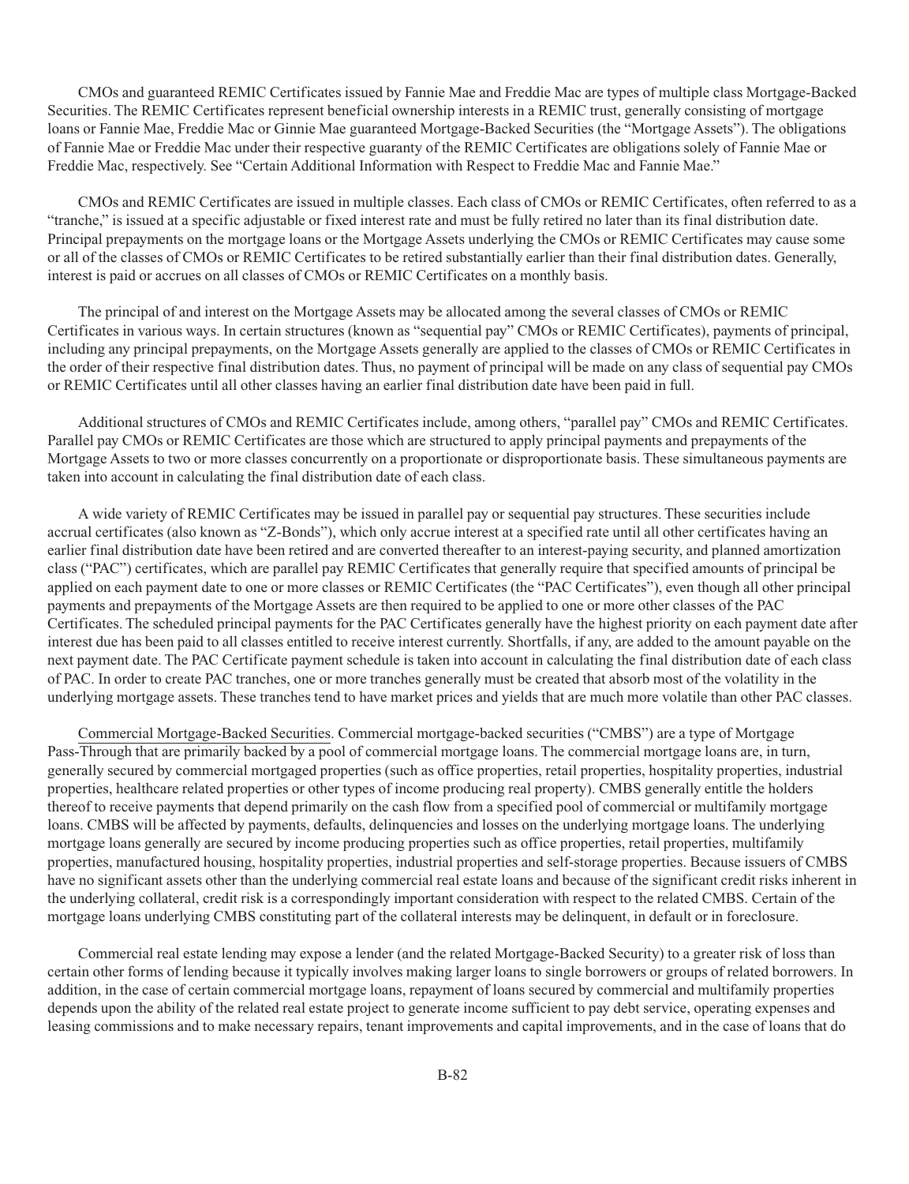CMOs and guaranteed REMIC Certificates issued by Fannie Mae and Freddie Mac are types of multiple class Mortgage-Backed Securities. The REMIC Certificates represent beneficial ownership interests in a REMIC trust, generally consisting of mortgage loans or Fannie Mae, Freddie Mac or Ginnie Mae guaranteed Mortgage-Backed Securities (the "Mortgage Assets"). The obligations of Fannie Mae or Freddie Mac under their respective guaranty of the REMIC Certificates are obligations solely of Fannie Mae or Freddie Mac, respectively. See "Certain Additional Information with Respect to Freddie Mac and Fannie Mae."

CMOs and REMIC Certificates are issued in multiple classes. Each class of CMOs or REMIC Certificates, often referred to as a "tranche," is issued at a specific adjustable or fixed interest rate and must be fully retired no later than its final distribution date. Principal prepayments on the mortgage loans or the Mortgage Assets underlying the CMOs or REMIC Certificates may cause some or all of the classes of CMOs or REMIC Certificates to be retired substantially earlier than their final distribution dates. Generally, interest is paid or accrues on all classes of CMOs or REMIC Certificates on a monthly basis.

The principal of and interest on the Mortgage Assets may be allocated among the several classes of CMOs or REMIC Certificates in various ways. In certain structures (known as "sequential pay" CMOs or REMIC Certificates), payments of principal, including any principal prepayments, on the Mortgage Assets generally are applied to the classes of CMOs or REMIC Certificates in the order of their respective final distribution dates. Thus, no payment of principal will be made on any class of sequential pay CMOs or REMIC Certificates until all other classes having an earlier final distribution date have been paid in full.

Additional structures of CMOs and REMIC Certificates include, among others, "parallel pay" CMOs and REMIC Certificates. Parallel pay CMOs or REMIC Certificates are those which are structured to apply principal payments and prepayments of the Mortgage Assets to two or more classes concurrently on a proportionate or disproportionate basis. These simultaneous payments are taken into account in calculating the final distribution date of each class.

A wide variety of REMIC Certificates may be issued in parallel pay or sequential pay structures. These securities include accrual certificates (also known as "Z-Bonds"), which only accrue interest at a specified rate until all other certificates having an earlier final distribution date have been retired and are converted thereafter to an interest-paying security, and planned amortization class ("PAC") certificates, which are parallel pay REMIC Certificates that generally require that specified amounts of principal be applied on each payment date to one or more classes or REMIC Certificates (the "PAC Certificates"), even though all other principal payments and prepayments of the Mortgage Assets are then required to be applied to one or more other classes of the PAC Certificates. The scheduled principal payments for the PAC Certificates generally have the highest priority on each payment date after interest due has been paid to all classes entitled to receive interest currently. Shortfalls, if any, are added to the amount payable on the next payment date. The PAC Certificate payment schedule is taken into account in calculating the final distribution date of each class of PAC. In order to create PAC tranches, one or more tranches generally must be created that absorb most of the volatility in the underlying mortgage assets. These tranches tend to have market prices and yields that are much more volatile than other PAC classes.

Commercial Mortgage-Backed Securities. Commercial mortgage-backed securities ("CMBS") are a type of Mortgage Pass-Through that are primarily backed by a pool of commercial mortgage loans. The commercial mortgage loans are, in turn, generally secured by commercial mortgaged properties (such as office properties, retail properties, hospitality properties, industrial properties, healthcare related properties or other types of income producing real property). CMBS generally entitle the holders thereof to receive payments that depend primarily on the cash flow from a specified pool of commercial or multifamily mortgage loans. CMBS will be affected by payments, defaults, delinquencies and losses on the underlying mortgage loans. The underlying mortgage loans generally are secured by income producing properties such as office properties, retail properties, multifamily properties, manufactured housing, hospitality properties, industrial properties and self-storage properties. Because issuers of CMBS have no significant assets other than the underlying commercial real estate loans and because of the significant credit risks inherent in the underlying collateral, credit risk is a correspondingly important consideration with respect to the related CMBS. Certain of the mortgage loans underlying CMBS constituting part of the collateral interests may be delinquent, in default or in foreclosure.

Commercial real estate lending may expose a lender (and the related Mortgage-Backed Security) to a greater risk of loss than certain other forms of lending because it typically involves making larger loans to single borrowers or groups of related borrowers. In addition, in the case of certain commercial mortgage loans, repayment of loans secured by commercial and multifamily properties depends upon the ability of the related real estate project to generate income sufficient to pay debt service, operating expenses and leasing commissions and to make necessary repairs, tenant improvements and capital improvements, and in the case of loans that do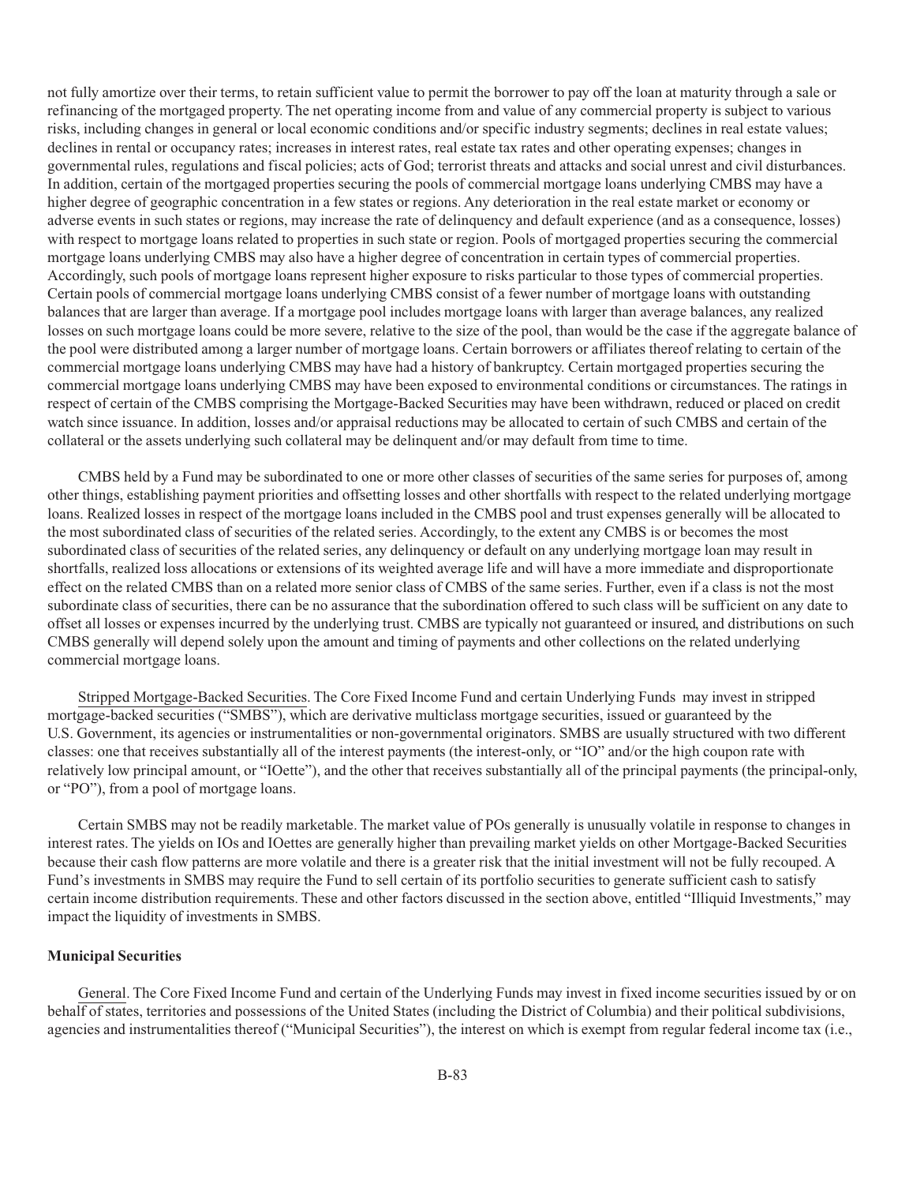not fully amortize over their terms, to retain sufficient value to permit the borrower to pay off the loan at maturity through a sale or refinancing of the mortgaged property. The net operating income from and value of any commercial property is subject to various risks, including changes in general or local economic conditions and/or specific industry segments; declines in real estate values; declines in rental or occupancy rates; increases in interest rates, real estate tax rates and other operating expenses; changes in governmental rules, regulations and fiscal policies; acts of God; terrorist threats and attacks and social unrest and civil disturbances. In addition, certain of the mortgaged properties securing the pools of commercial mortgage loans underlying CMBS may have a higher degree of geographic concentration in a few states or regions. Any deterioration in the real estate market or economy or adverse events in such states or regions, may increase the rate of delinquency and default experience (and as a consequence, losses) with respect to mortgage loans related to properties in such state or region. Pools of mortgaged properties securing the commercial mortgage loans underlying CMBS may also have a higher degree of concentration in certain types of commercial properties. Accordingly, such pools of mortgage loans represent higher exposure to risks particular to those types of commercial properties. Certain pools of commercial mortgage loans underlying CMBS consist of a fewer number of mortgage loans with outstanding balances that are larger than average. If a mortgage pool includes mortgage loans with larger than average balances, any realized losses on such mortgage loans could be more severe, relative to the size of the pool, than would be the case if the aggregate balance of the pool were distributed among a larger number of mortgage loans. Certain borrowers or affiliates thereof relating to certain of the commercial mortgage loans underlying CMBS may have had a history of bankruptcy. Certain mortgaged properties securing the commercial mortgage loans underlying CMBS may have been exposed to environmental conditions or circumstances. The ratings in respect of certain of the CMBS comprising the Mortgage-Backed Securities may have been withdrawn, reduced or placed on credit watch since issuance. In addition, losses and/or appraisal reductions may be allocated to certain of such CMBS and certain of the collateral or the assets underlying such collateral may be delinquent and/or may default from time to time.

CMBS held by a Fund may be subordinated to one or more other classes of securities of the same series for purposes of, among other things, establishing payment priorities and offsetting losses and other shortfalls with respect to the related underlying mortgage loans. Realized losses in respect of the mortgage loans included in the CMBS pool and trust expenses generally will be allocated to the most subordinated class of securities of the related series. Accordingly, to the extent any CMBS is or becomes the most subordinated class of securities of the related series, any delinquency or default on any underlying mortgage loan may result in shortfalls, realized loss allocations or extensions of its weighted average life and will have a more immediate and disproportionate effect on the related CMBS than on a related more senior class of CMBS of the same series. Further, even if a class is not the most subordinate class of securities, there can be no assurance that the subordination offered to such class will be sufficient on any date to offset all losses or expenses incurred by the underlying trust. CMBS are typically not guaranteed or insured, and distributions on such CMBS generally will depend solely upon the amount and timing of payments and other collections on the related underlying commercial mortgage loans.

Stripped Mortgage-Backed Securities. The Core Fixed Income Fund and certain Underlying Funds may invest in stripped mortgage-backed securities ("SMBS"), which are derivative multiclass mortgage securities, issued or guaranteed by the U.S. Government, its agencies or instrumentalities or non-governmental originators. SMBS are usually structured with two different classes: one that receives substantially all of the interest payments (the interest-only, or "IO" and/or the high coupon rate with relatively low principal amount, or "IOette"), and the other that receives substantially all of the principal payments (the principal-only, or "PO"), from a pool of mortgage loans.

Certain SMBS may not be readily marketable. The market value of POs generally is unusually volatile in response to changes in interest rates. The yields on IOs and IOettes are generally higher than prevailing market yields on other Mortgage-Backed Securities because their cash flow patterns are more volatile and there is a greater risk that the initial investment will not be fully recouped. A Fund's investments in SMBS may require the Fund to sell certain of its portfolio securities to generate sufficient cash to satisfy certain income distribution requirements. These and other factors discussed in the section above, entitled "Illiquid Investments," may impact the liquidity of investments in SMBS.

## **Municipal Securities**

General. The Core Fixed Income Fund and certain of the Underlying Funds may invest in fixed income securities issued by or on behalf of states, territories and possessions of the United States (including the District of Columbia) and their political subdivisions, agencies and instrumentalities thereof ("Municipal Securities"), the interest on which is exempt from regular federal income tax (i.e.,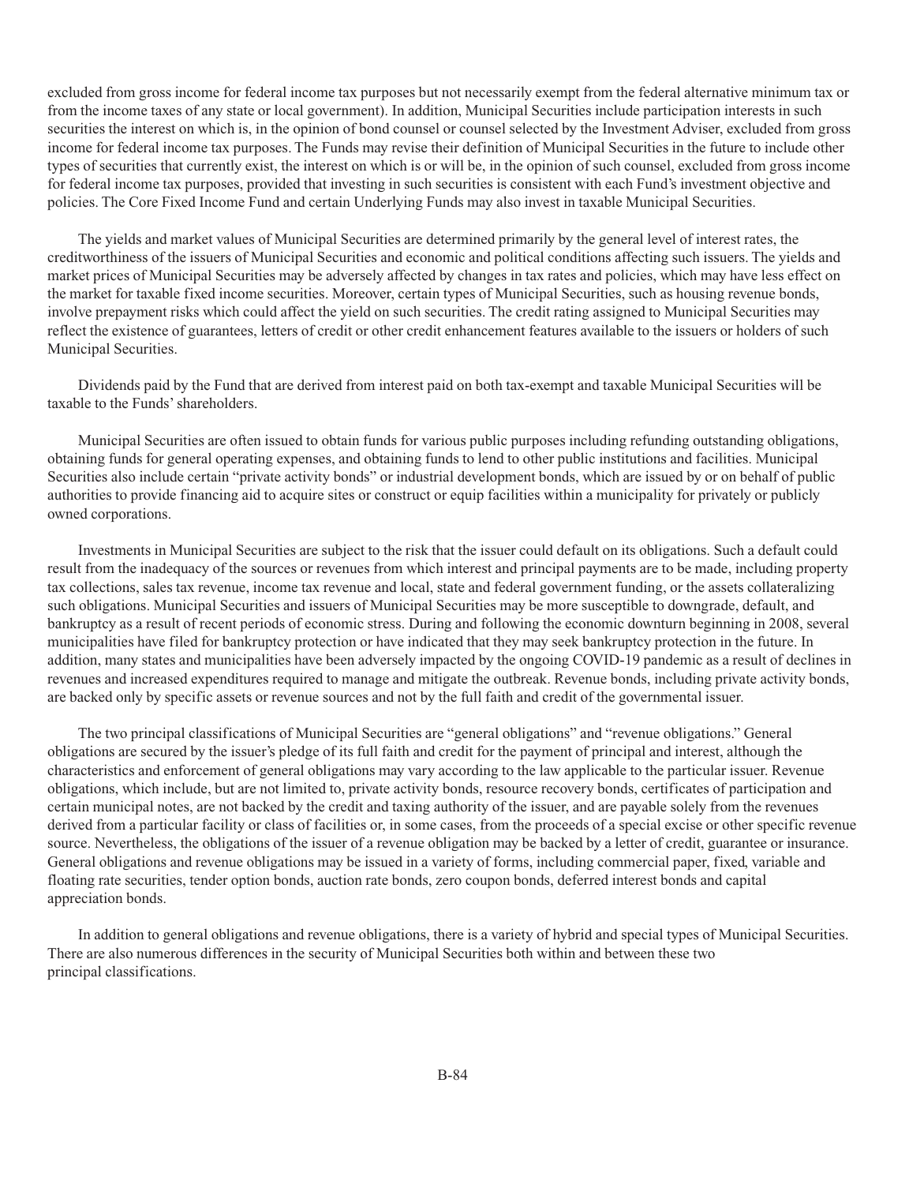excluded from gross income for federal income tax purposes but not necessarily exempt from the federal alternative minimum tax or from the income taxes of any state or local government). In addition, Municipal Securities include participation interests in such securities the interest on which is, in the opinion of bond counsel or counsel selected by the Investment Adviser, excluded from gross income for federal income tax purposes. The Funds may revise their definition of Municipal Securities in the future to include other types of securities that currently exist, the interest on which is or will be, in the opinion of such counsel, excluded from gross income for federal income tax purposes, provided that investing in such securities is consistent with each Fund's investment objective and policies. The Core Fixed Income Fund and certain Underlying Funds may also invest in taxable Municipal Securities.

The yields and market values of Municipal Securities are determined primarily by the general level of interest rates, the creditworthiness of the issuers of Municipal Securities and economic and political conditions affecting such issuers. The yields and market prices of Municipal Securities may be adversely affected by changes in tax rates and policies, which may have less effect on the market for taxable fixed income securities. Moreover, certain types of Municipal Securities, such as housing revenue bonds, involve prepayment risks which could affect the yield on such securities. The credit rating assigned to Municipal Securities may reflect the existence of guarantees, letters of credit or other credit enhancement features available to the issuers or holders of such Municipal Securities.

Dividends paid by the Fund that are derived from interest paid on both tax-exempt and taxable Municipal Securities will be taxable to the Funds' shareholders.

Municipal Securities are often issued to obtain funds for various public purposes including refunding outstanding obligations, obtaining funds for general operating expenses, and obtaining funds to lend to other public institutions and facilities. Municipal Securities also include certain "private activity bonds" or industrial development bonds, which are issued by or on behalf of public authorities to provide financing aid to acquire sites or construct or equip facilities within a municipality for privately or publicly owned corporations.

Investments in Municipal Securities are subject to the risk that the issuer could default on its obligations. Such a default could result from the inadequacy of the sources or revenues from which interest and principal payments are to be made, including property tax collections, sales tax revenue, income tax revenue and local, state and federal government funding, or the assets collateralizing such obligations. Municipal Securities and issuers of Municipal Securities may be more susceptible to downgrade, default, and bankruptcy as a result of recent periods of economic stress. During and following the economic downturn beginning in 2008, several municipalities have filed for bankruptcy protection or have indicated that they may seek bankruptcy protection in the future. In addition, many states and municipalities have been adversely impacted by the ongoing COVID-19 pandemic as a result of declines in revenues and increased expenditures required to manage and mitigate the outbreak. Revenue bonds, including private activity bonds, are backed only by specific assets or revenue sources and not by the full faith and credit of the governmental issuer.

The two principal classifications of Municipal Securities are "general obligations" and "revenue obligations." General obligations are secured by the issuer's pledge of its full faith and credit for the payment of principal and interest, although the characteristics and enforcement of general obligations may vary according to the law applicable to the particular issuer. Revenue obligations, which include, but are not limited to, private activity bonds, resource recovery bonds, certificates of participation and certain municipal notes, are not backed by the credit and taxing authority of the issuer, and are payable solely from the revenues derived from a particular facility or class of facilities or, in some cases, from the proceeds of a special excise or other specific revenue source. Nevertheless, the obligations of the issuer of a revenue obligation may be backed by a letter of credit, guarantee or insurance. General obligations and revenue obligations may be issued in a variety of forms, including commercial paper, fixed, variable and floating rate securities, tender option bonds, auction rate bonds, zero coupon bonds, deferred interest bonds and capital appreciation bonds.

In addition to general obligations and revenue obligations, there is a variety of hybrid and special types of Municipal Securities. There are also numerous differences in the security of Municipal Securities both within and between these two principal classifications.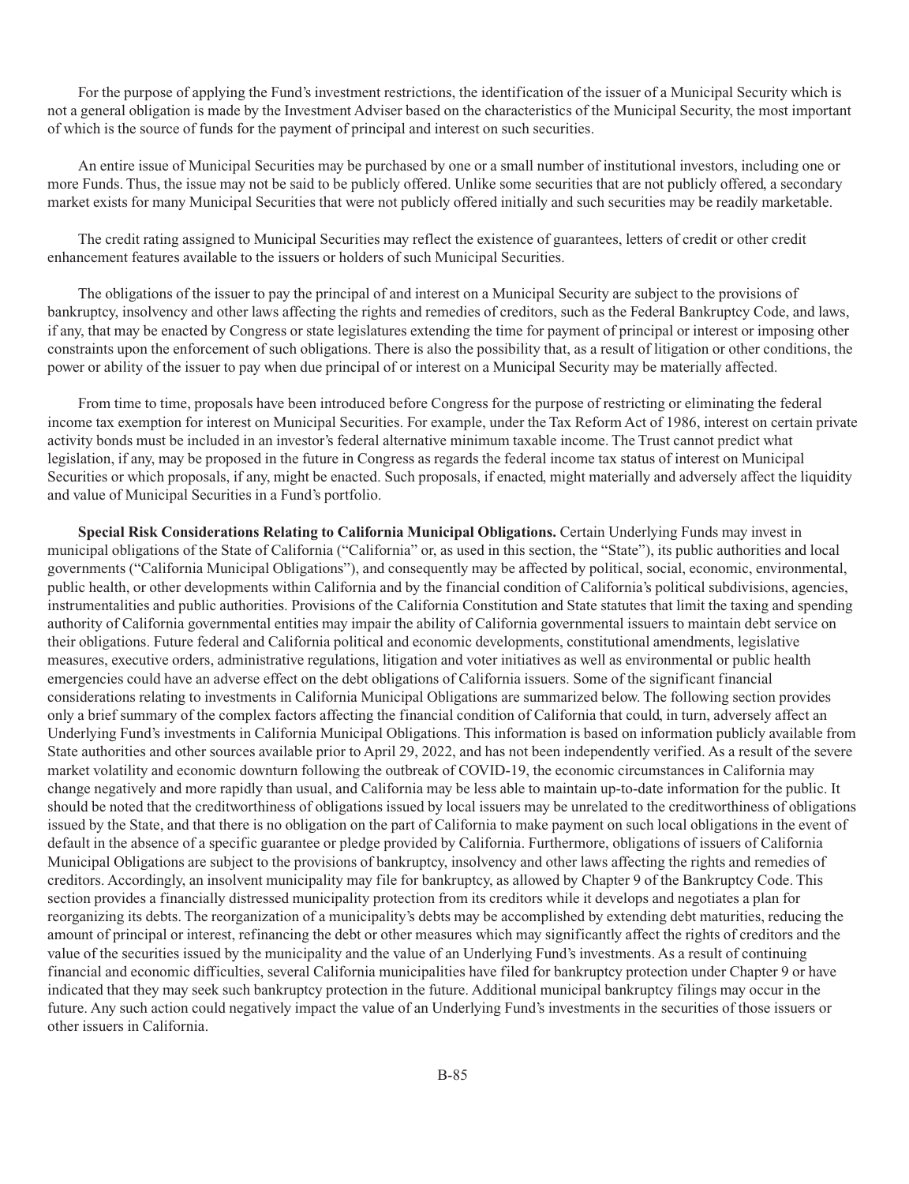For the purpose of applying the Fund's investment restrictions, the identification of the issuer of a Municipal Security which is not a general obligation is made by the Investment Adviser based on the characteristics of the Municipal Security, the most important of which is the source of funds for the payment of principal and interest on such securities.

An entire issue of Municipal Securities may be purchased by one or a small number of institutional investors, including one or more Funds. Thus, the issue may not be said to be publicly offered. Unlike some securities that are not publicly offered, a secondary market exists for many Municipal Securities that were not publicly offered initially and such securities may be readily marketable.

The credit rating assigned to Municipal Securities may reflect the existence of guarantees, letters of credit or other credit enhancement features available to the issuers or holders of such Municipal Securities.

The obligations of the issuer to pay the principal of and interest on a Municipal Security are subject to the provisions of bankruptcy, insolvency and other laws affecting the rights and remedies of creditors, such as the Federal Bankruptcy Code, and laws, if any, that may be enacted by Congress or state legislatures extending the time for payment of principal or interest or imposing other constraints upon the enforcement of such obligations. There is also the possibility that, as a result of litigation or other conditions, the power or ability of the issuer to pay when due principal of or interest on a Municipal Security may be materially affected.

From time to time, proposals have been introduced before Congress for the purpose of restricting or eliminating the federal income tax exemption for interest on Municipal Securities. For example, under the Tax Reform Act of 1986, interest on certain private activity bonds must be included in an investor's federal alternative minimum taxable income. The Trust cannot predict what legislation, if any, may be proposed in the future in Congress as regards the federal income tax status of interest on Municipal Securities or which proposals, if any, might be enacted. Such proposals, if enacted, might materially and adversely affect the liquidity and value of Municipal Securities in a Fund's portfolio.

**Special Risk Considerations Relating to California Municipal Obligations.** Certain Underlying Funds may invest in municipal obligations of the State of California ("California" or, as used in this section, the "State"), its public authorities and local governments ("California Municipal Obligations"), and consequently may be affected by political, social, economic, environmental, public health, or other developments within California and by the financial condition of California's political subdivisions, agencies, instrumentalities and public authorities. Provisions of the California Constitution and State statutes that limit the taxing and spending authority of California governmental entities may impair the ability of California governmental issuers to maintain debt service on their obligations. Future federal and California political and economic developments, constitutional amendments, legislative measures, executive orders, administrative regulations, litigation and voter initiatives as well as environmental or public health emergencies could have an adverse effect on the debt obligations of California issuers. Some of the significant financial considerations relating to investments in California Municipal Obligations are summarized below. The following section provides only a brief summary of the complex factors affecting the financial condition of California that could, in turn, adversely affect an Underlying Fund's investments in California Municipal Obligations. This information is based on information publicly available from State authorities and other sources available prior to April 29, 2022, and has not been independently verified. As a result of the severe market volatility and economic downturn following the outbreak of COVID-19, the economic circumstances in California may change negatively and more rapidly than usual, and California may be less able to maintain up-to-date information for the public. It should be noted that the creditworthiness of obligations issued by local issuers may be unrelated to the creditworthiness of obligations issued by the State, and that there is no obligation on the part of California to make payment on such local obligations in the event of default in the absence of a specific guarantee or pledge provided by California. Furthermore, obligations of issuers of California Municipal Obligations are subject to the provisions of bankruptcy, insolvency and other laws affecting the rights and remedies of creditors. Accordingly, an insolvent municipality may file for bankruptcy, as allowed by Chapter 9 of the Bankruptcy Code. This section provides a financially distressed municipality protection from its creditors while it develops and negotiates a plan for reorganizing its debts. The reorganization of a municipality's debts may be accomplished by extending debt maturities, reducing the amount of principal or interest, refinancing the debt or other measures which may significantly affect the rights of creditors and the value of the securities issued by the municipality and the value of an Underlying Fund's investments. As a result of continuing financial and economic difficulties, several California municipalities have filed for bankruptcy protection under Chapter 9 or have indicated that they may seek such bankruptcy protection in the future. Additional municipal bankruptcy filings may occur in the future. Any such action could negatively impact the value of an Underlying Fund's investments in the securities of those issuers or other issuers in California.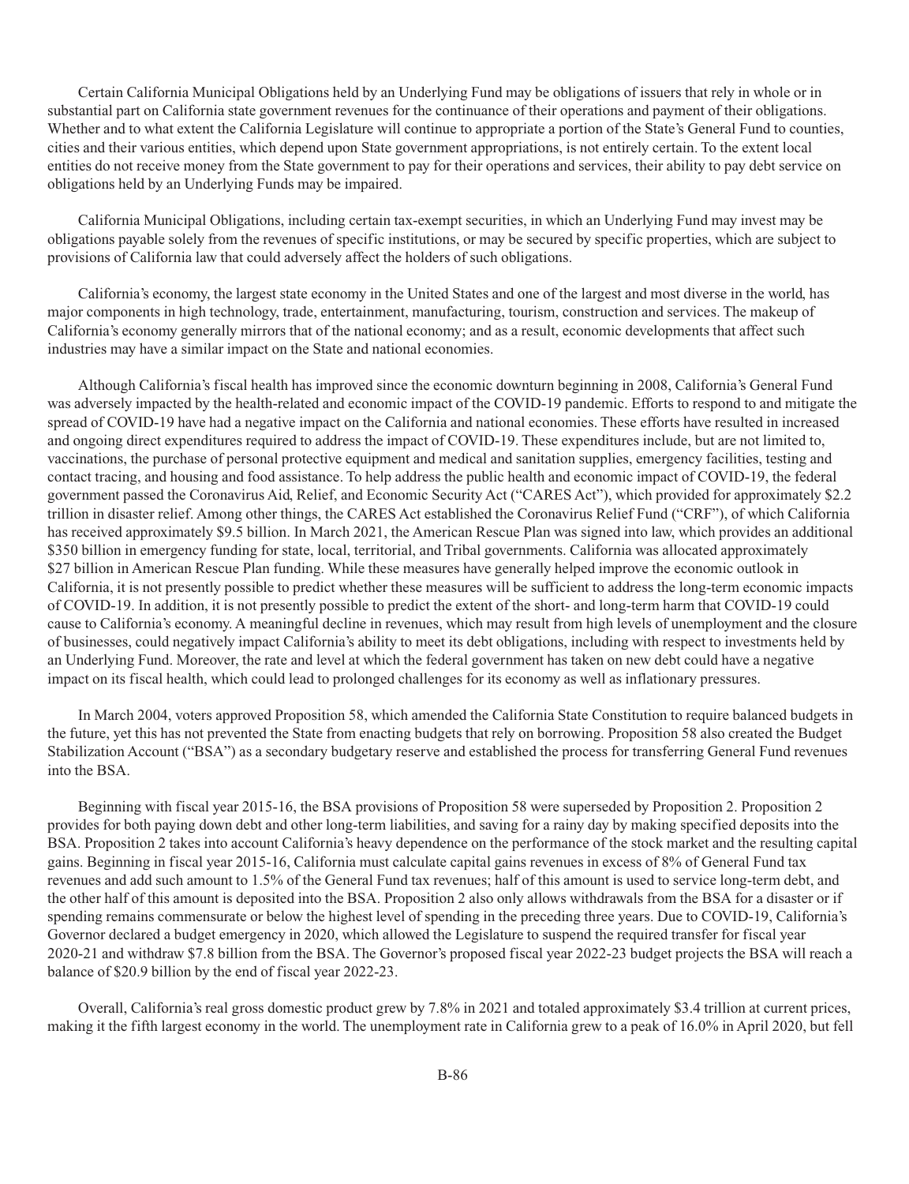Certain California Municipal Obligations held by an Underlying Fund may be obligations of issuers that rely in whole or in substantial part on California state government revenues for the continuance of their operations and payment of their obligations. Whether and to what extent the California Legislature will continue to appropriate a portion of the State's General Fund to counties, cities and their various entities, which depend upon State government appropriations, is not entirely certain. To the extent local entities do not receive money from the State government to pay for their operations and services, their ability to pay debt service on obligations held by an Underlying Funds may be impaired.

California Municipal Obligations, including certain tax-exempt securities, in which an Underlying Fund may invest may be obligations payable solely from the revenues of specific institutions, or may be secured by specific properties, which are subject to provisions of California law that could adversely affect the holders of such obligations.

California's economy, the largest state economy in the United States and one of the largest and most diverse in the world, has major components in high technology, trade, entertainment, manufacturing, tourism, construction and services. The makeup of California's economy generally mirrors that of the national economy; and as a result, economic developments that affect such industries may have a similar impact on the State and national economies.

Although California's fiscal health has improved since the economic downturn beginning in 2008, California's General Fund was adversely impacted by the health-related and economic impact of the COVID-19 pandemic. Efforts to respond to and mitigate the spread of COVID-19 have had a negative impact on the California and national economies. These efforts have resulted in increased and ongoing direct expenditures required to address the impact of COVID-19. These expenditures include, but are not limited to, vaccinations, the purchase of personal protective equipment and medical and sanitation supplies, emergency facilities, testing and contact tracing, and housing and food assistance. To help address the public health and economic impact of COVID-19, the federal government passed the Coronavirus Aid, Relief, and Economic Security Act ("CARES Act"), which provided for approximately \$2.2 trillion in disaster relief. Among other things, the CARES Act established the Coronavirus Relief Fund ("CRF"), of which California has received approximately \$9.5 billion. In March 2021, the American Rescue Plan was signed into law, which provides an additional \$350 billion in emergency funding for state, local, territorial, and Tribal governments. California was allocated approximately \$27 billion in American Rescue Plan funding. While these measures have generally helped improve the economic outlook in California, it is not presently possible to predict whether these measures will be sufficient to address the long-term economic impacts of COVID-19. In addition, it is not presently possible to predict the extent of the short- and long-term harm that COVID-19 could cause to California's economy. A meaningful decline in revenues, which may result from high levels of unemployment and the closure of businesses, could negatively impact California's ability to meet its debt obligations, including with respect to investments held by an Underlying Fund. Moreover, the rate and level at which the federal government has taken on new debt could have a negative impact on its fiscal health, which could lead to prolonged challenges for its economy as well as inflationary pressures.

In March 2004, voters approved Proposition 58, which amended the California State Constitution to require balanced budgets in the future, yet this has not prevented the State from enacting budgets that rely on borrowing. Proposition 58 also created the Budget Stabilization Account ("BSA") as a secondary budgetary reserve and established the process for transferring General Fund revenues into the BSA.

Beginning with fiscal year 2015-16, the BSA provisions of Proposition 58 were superseded by Proposition 2. Proposition 2 provides for both paying down debt and other long-term liabilities, and saving for a rainy day by making specified deposits into the BSA. Proposition 2 takes into account California's heavy dependence on the performance of the stock market and the resulting capital gains. Beginning in fiscal year 2015-16, California must calculate capital gains revenues in excess of 8% of General Fund tax revenues and add such amount to 1.5% of the General Fund tax revenues; half of this amount is used to service long-term debt, and the other half of this amount is deposited into the BSA. Proposition 2 also only allows withdrawals from the BSA for a disaster or if spending remains commensurate or below the highest level of spending in the preceding three years. Due to COVID-19, California's Governor declared a budget emergency in 2020, which allowed the Legislature to suspend the required transfer for fiscal year 2020-21 and withdraw \$7.8 billion from the BSA. The Governor's proposed fiscal year 2022-23 budget projects the BSA will reach a balance of \$20.9 billion by the end of fiscal year 2022-23.

Overall, California's real gross domestic product grew by 7.8% in 2021 and totaled approximately \$3.4 trillion at current prices, making it the fifth largest economy in the world. The unemployment rate in California grew to a peak of 16.0% in April 2020, but fell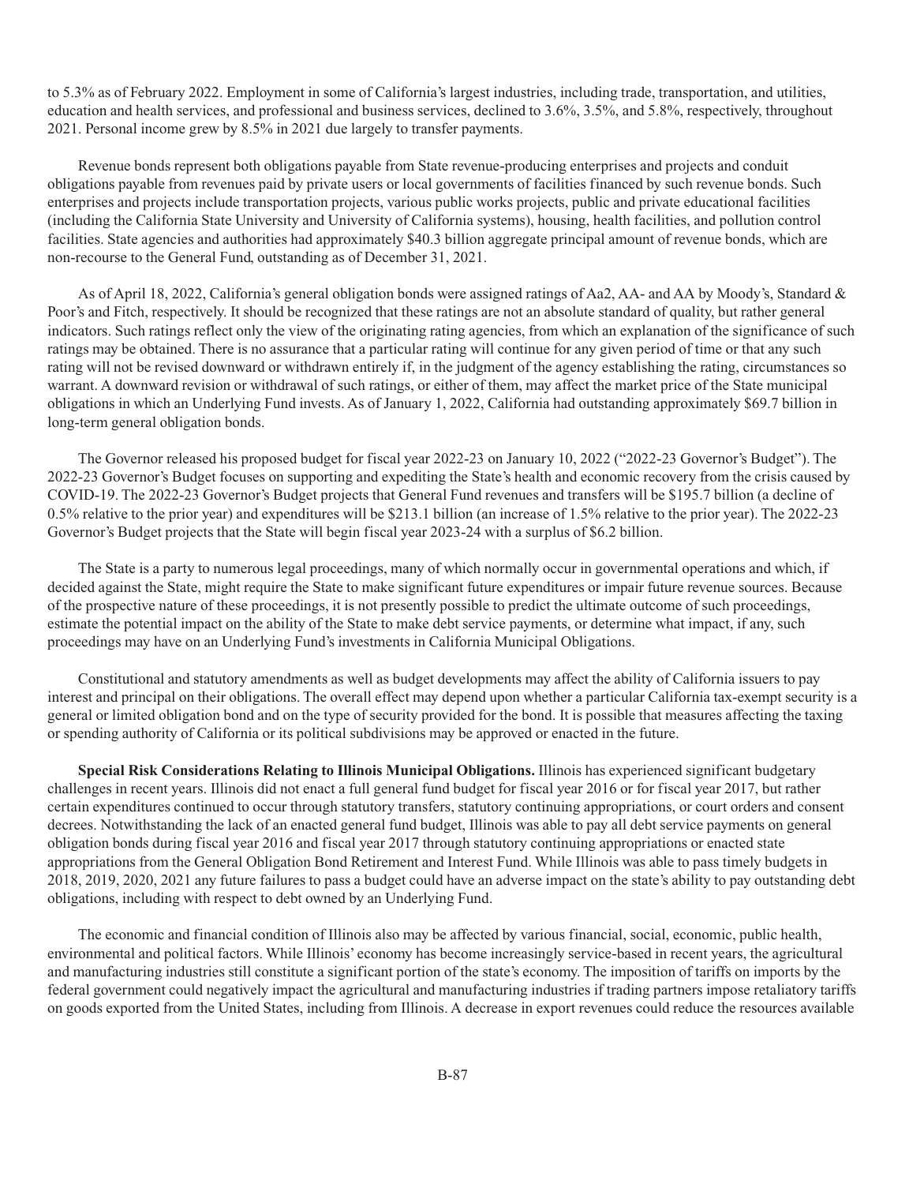to 5.3% as of February 2022. Employment in some of California's largest industries, including trade, transportation, and utilities, education and health services, and professional and business services, declined to 3.6%, 3.5%, and 5.8%, respectively, throughout 2021. Personal income grew by 8.5% in 2021 due largely to transfer payments.

Revenue bonds represent both obligations payable from State revenue-producing enterprises and projects and conduit obligations payable from revenues paid by private users or local governments of facilities financed by such revenue bonds. Such enterprises and projects include transportation projects, various public works projects, public and private educational facilities (including the California State University and University of California systems), housing, health facilities, and pollution control facilities. State agencies and authorities had approximately \$40.3 billion aggregate principal amount of revenue bonds, which are non-recourse to the General Fund, outstanding as of December 31, 2021.

As of April 18, 2022, California's general obligation bonds were assigned ratings of Aa2, AA- and AA by Moody's, Standard & Poor's and Fitch, respectively. It should be recognized that these ratings are not an absolute standard of quality, but rather general indicators. Such ratings reflect only the view of the originating rating agencies, from which an explanation of the significance of such ratings may be obtained. There is no assurance that a particular rating will continue for any given period of time or that any such rating will not be revised downward or withdrawn entirely if, in the judgment of the agency establishing the rating, circumstances so warrant. A downward revision or withdrawal of such ratings, or either of them, may affect the market price of the State municipal obligations in which an Underlying Fund invests. As of January 1, 2022, California had outstanding approximately \$69.7 billion in long-term general obligation bonds.

The Governor released his proposed budget for fiscal year 2022-23 on January 10, 2022 ("2022-23 Governor's Budget"). The 2022-23 Governor's Budget focuses on supporting and expediting the State's health and economic recovery from the crisis caused by COVID-19. The 2022-23 Governor's Budget projects that General Fund revenues and transfers will be \$195.7 billion (a decline of 0.5% relative to the prior year) and expenditures will be \$213.1 billion (an increase of 1.5% relative to the prior year). The 2022-23 Governor's Budget projects that the State will begin fiscal year 2023-24 with a surplus of \$6.2 billion.

The State is a party to numerous legal proceedings, many of which normally occur in governmental operations and which, if decided against the State, might require the State to make significant future expenditures or impair future revenue sources. Because of the prospective nature of these proceedings, it is not presently possible to predict the ultimate outcome of such proceedings, estimate the potential impact on the ability of the State to make debt service payments, or determine what impact, if any, such proceedings may have on an Underlying Fund's investments in California Municipal Obligations.

Constitutional and statutory amendments as well as budget developments may affect the ability of California issuers to pay interest and principal on their obligations. The overall effect may depend upon whether a particular California tax-exempt security is a general or limited obligation bond and on the type of security provided for the bond. It is possible that measures affecting the taxing or spending authority of California or its political subdivisions may be approved or enacted in the future.

**Special Risk Considerations Relating to Illinois Municipal Obligations.** Illinois has experienced significant budgetary challenges in recent years. Illinois did not enact a full general fund budget for fiscal year 2016 or for fiscal year 2017, but rather certain expenditures continued to occur through statutory transfers, statutory continuing appropriations, or court orders and consent decrees. Notwithstanding the lack of an enacted general fund budget, Illinois was able to pay all debt service payments on general obligation bonds during fiscal year 2016 and fiscal year 2017 through statutory continuing appropriations or enacted state appropriations from the General Obligation Bond Retirement and Interest Fund. While Illinois was able to pass timely budgets in 2018, 2019, 2020, 2021 any future failures to pass a budget could have an adverse impact on the state's ability to pay outstanding debt obligations, including with respect to debt owned by an Underlying Fund.

The economic and financial condition of Illinois also may be affected by various financial, social, economic, public health, environmental and political factors. While Illinois' economy has become increasingly service-based in recent years, the agricultural and manufacturing industries still constitute a significant portion of the state's economy. The imposition of tariffs on imports by the federal government could negatively impact the agricultural and manufacturing industries if trading partners impose retaliatory tariffs on goods exported from the United States, including from Illinois. A decrease in export revenues could reduce the resources available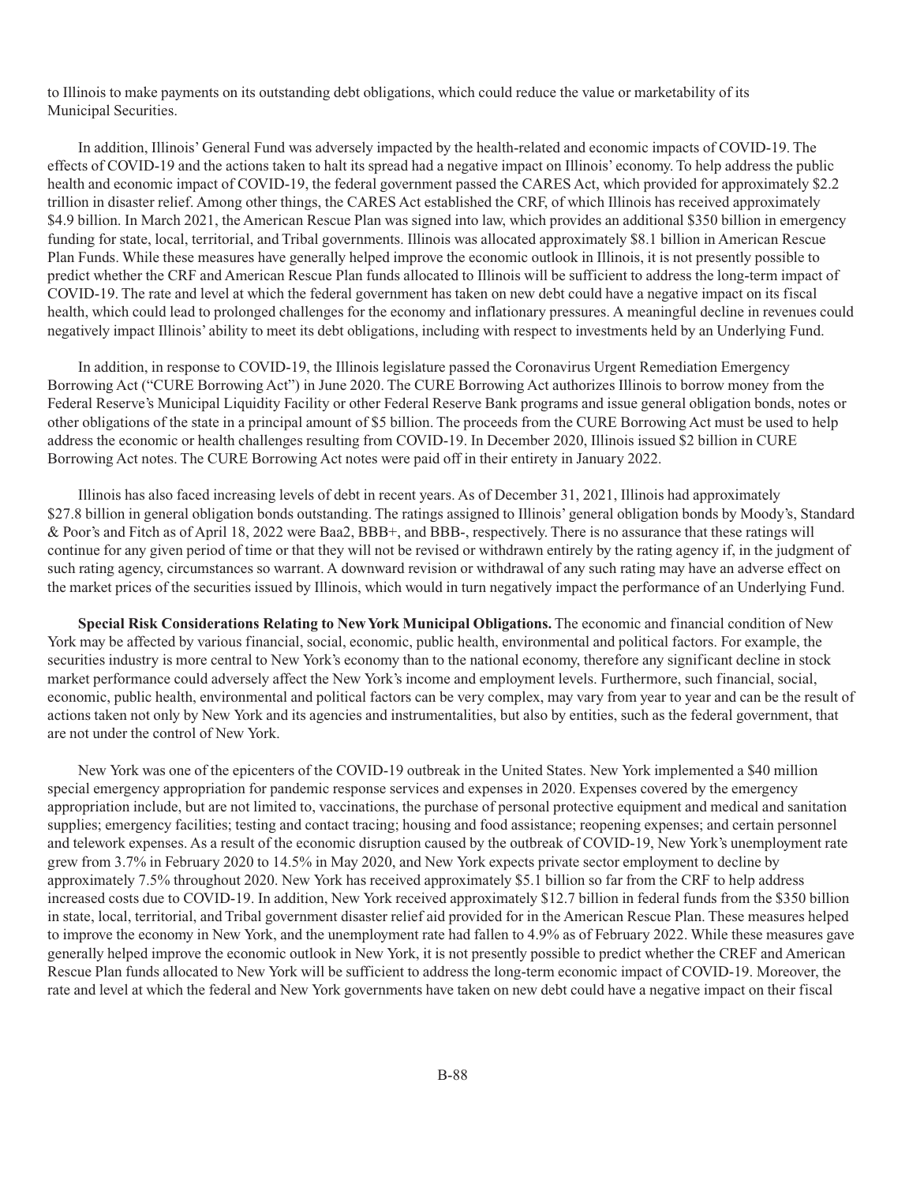to Illinois to make payments on its outstanding debt obligations, which could reduce the value or marketability of its Municipal Securities.

In addition, Illinois' General Fund was adversely impacted by the health-related and economic impacts of COVID-19. The effects of COVID-19 and the actions taken to halt its spread had a negative impact on Illinois' economy. To help address the public health and economic impact of COVID-19, the federal government passed the CARES Act, which provided for approximately \$2.2 trillion in disaster relief. Among other things, the CARES Act established the CRF, of which Illinois has received approximately \$4.9 billion. In March 2021, the American Rescue Plan was signed into law, which provides an additional \$350 billion in emergency funding for state, local, territorial, and Tribal governments. Illinois was allocated approximately \$8.1 billion in American Rescue Plan Funds. While these measures have generally helped improve the economic outlook in Illinois, it is not presently possible to predict whether the CRF and American Rescue Plan funds allocated to Illinois will be sufficient to address the long-term impact of COVID-19. The rate and level at which the federal government has taken on new debt could have a negative impact on its fiscal health, which could lead to prolonged challenges for the economy and inflationary pressures. A meaningful decline in revenues could negatively impact Illinois' ability to meet its debt obligations, including with respect to investments held by an Underlying Fund.

In addition, in response to COVID-19, the Illinois legislature passed the Coronavirus Urgent Remediation Emergency Borrowing Act ("CURE Borrowing Act") in June 2020. The CURE Borrowing Act authorizes Illinois to borrow money from the Federal Reserve's Municipal Liquidity Facility or other Federal Reserve Bank programs and issue general obligation bonds, notes or other obligations of the state in a principal amount of \$5 billion. The proceeds from the CURE Borrowing Act must be used to help address the economic or health challenges resulting from COVID-19. In December 2020, Illinois issued \$2 billion in CURE Borrowing Act notes. The CURE Borrowing Act notes were paid off in their entirety in January 2022.

Illinois has also faced increasing levels of debt in recent years. As of December 31, 2021, Illinois had approximately \$27.8 billion in general obligation bonds outstanding. The ratings assigned to Illinois' general obligation bonds by Moody's, Standard & Poor's and Fitch as of April 18, 2022 were Baa2, BBB+, and BBB-, respectively. There is no assurance that these ratings will continue for any given period of time or that they will not be revised or withdrawn entirely by the rating agency if, in the judgment of such rating agency, circumstances so warrant. A downward revision or withdrawal of any such rating may have an adverse effect on the market prices of the securities issued by Illinois, which would in turn negatively impact the performance of an Underlying Fund.

**Special Risk Considerations Relating to New York Municipal Obligations.** The economic and financial condition of New York may be affected by various financial, social, economic, public health, environmental and political factors. For example, the securities industry is more central to New York's economy than to the national economy, therefore any significant decline in stock market performance could adversely affect the New York's income and employment levels. Furthermore, such financial, social, economic, public health, environmental and political factors can be very complex, may vary from year to year and can be the result of actions taken not only by New York and its agencies and instrumentalities, but also by entities, such as the federal government, that are not under the control of New York.

New York was one of the epicenters of the COVID-19 outbreak in the United States. New York implemented a \$40 million special emergency appropriation for pandemic response services and expenses in 2020. Expenses covered by the emergency appropriation include, but are not limited to, vaccinations, the purchase of personal protective equipment and medical and sanitation supplies; emergency facilities; testing and contact tracing; housing and food assistance; reopening expenses; and certain personnel and telework expenses. As a result of the economic disruption caused by the outbreak of COVID-19, New York's unemployment rate grew from 3.7% in February 2020 to 14.5% in May 2020, and New York expects private sector employment to decline by approximately 7.5% throughout 2020. New York has received approximately \$5.1 billion so far from the CRF to help address increased costs due to COVID-19. In addition, New York received approximately \$12.7 billion in federal funds from the \$350 billion in state, local, territorial, and Tribal government disaster relief aid provided for in the American Rescue Plan. These measures helped to improve the economy in New York, and the unemployment rate had fallen to 4.9% as of February 2022. While these measures gave generally helped improve the economic outlook in New York, it is not presently possible to predict whether the CREF and American Rescue Plan funds allocated to New York will be sufficient to address the long-term economic impact of COVID-19. Moreover, the rate and level at which the federal and New York governments have taken on new debt could have a negative impact on their fiscal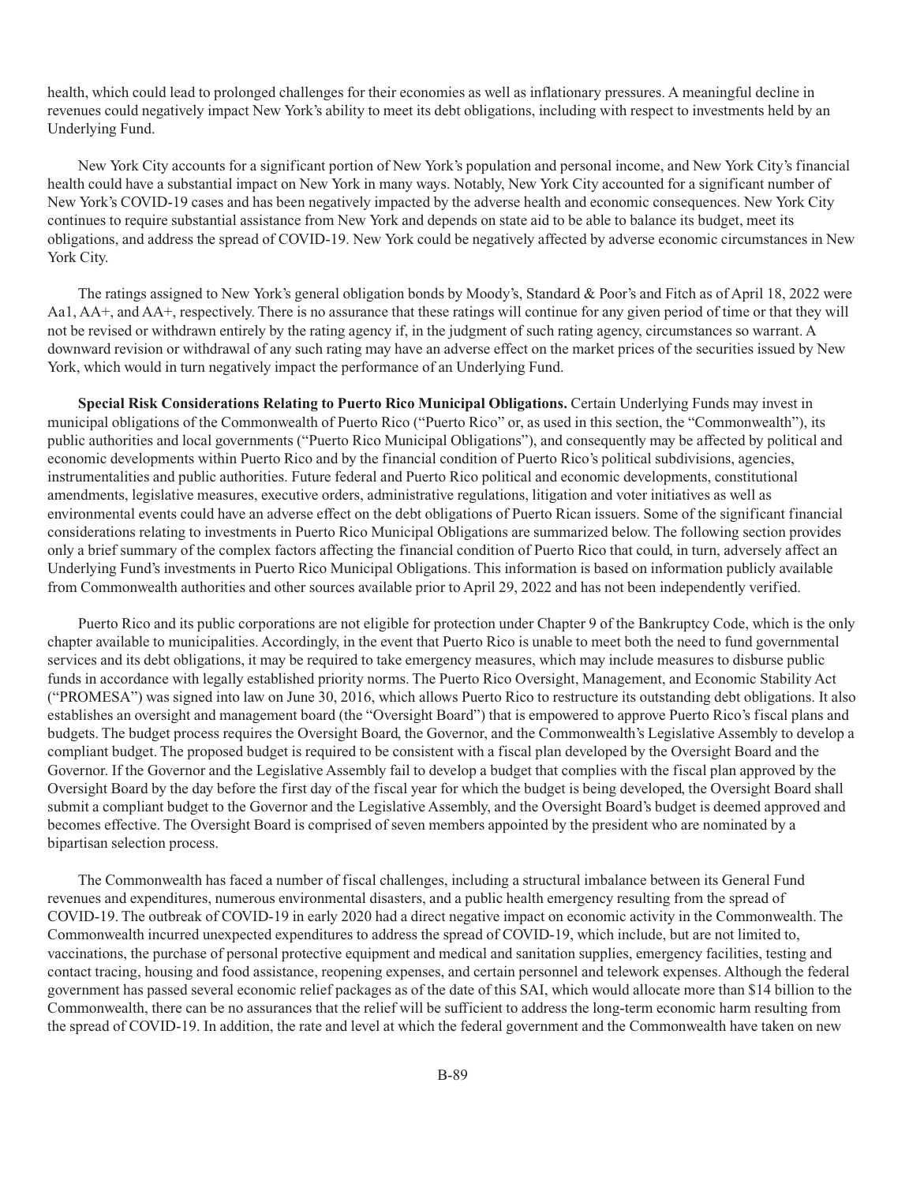health, which could lead to prolonged challenges for their economies as well as inflationary pressures. A meaningful decline in revenues could negatively impact New York's ability to meet its debt obligations, including with respect to investments held by an Underlying Fund.

New York City accounts for a significant portion of New York's population and personal income, and New York City's financial health could have a substantial impact on New York in many ways. Notably, New York City accounted for a significant number of New York's COVID-19 cases and has been negatively impacted by the adverse health and economic consequences. New York City continues to require substantial assistance from New York and depends on state aid to be able to balance its budget, meet its obligations, and address the spread of COVID-19. New York could be negatively affected by adverse economic circumstances in New York City.

The ratings assigned to New York's general obligation bonds by Moody's, Standard & Poor's and Fitch as of April 18, 2022 were Aa1, AA+, and AA+, respectively. There is no assurance that these ratings will continue for any given period of time or that they will not be revised or withdrawn entirely by the rating agency if, in the judgment of such rating agency, circumstances so warrant. A downward revision or withdrawal of any such rating may have an adverse effect on the market prices of the securities issued by New York, which would in turn negatively impact the performance of an Underlying Fund.

**Special Risk Considerations Relating to Puerto Rico Municipal Obligations.** Certain Underlying Funds may invest in municipal obligations of the Commonwealth of Puerto Rico ("Puerto Rico" or, as used in this section, the "Commonwealth"), its public authorities and local governments ("Puerto Rico Municipal Obligations"), and consequently may be affected by political and economic developments within Puerto Rico and by the financial condition of Puerto Rico's political subdivisions, agencies, instrumentalities and public authorities. Future federal and Puerto Rico political and economic developments, constitutional amendments, legislative measures, executive orders, administrative regulations, litigation and voter initiatives as well as environmental events could have an adverse effect on the debt obligations of Puerto Rican issuers. Some of the significant financial considerations relating to investments in Puerto Rico Municipal Obligations are summarized below. The following section provides only a brief summary of the complex factors affecting the financial condition of Puerto Rico that could, in turn, adversely affect an Underlying Fund's investments in Puerto Rico Municipal Obligations. This information is based on information publicly available from Commonwealth authorities and other sources available prior to April 29, 2022 and has not been independently verified.

Puerto Rico and its public corporations are not eligible for protection under Chapter 9 of the Bankruptcy Code, which is the only chapter available to municipalities. Accordingly, in the event that Puerto Rico is unable to meet both the need to fund governmental services and its debt obligations, it may be required to take emergency measures, which may include measures to disburse public funds in accordance with legally established priority norms. The Puerto Rico Oversight, Management, and Economic Stability Act ("PROMESA") was signed into law on June 30, 2016, which allows Puerto Rico to restructure its outstanding debt obligations. It also establishes an oversight and management board (the "Oversight Board") that is empowered to approve Puerto Rico's fiscal plans and budgets. The budget process requires the Oversight Board, the Governor, and the Commonwealth's Legislative Assembly to develop a compliant budget. The proposed budget is required to be consistent with a fiscal plan developed by the Oversight Board and the Governor. If the Governor and the Legislative Assembly fail to develop a budget that complies with the fiscal plan approved by the Oversight Board by the day before the first day of the fiscal year for which the budget is being developed, the Oversight Board shall submit a compliant budget to the Governor and the Legislative Assembly, and the Oversight Board's budget is deemed approved and becomes effective. The Oversight Board is comprised of seven members appointed by the president who are nominated by a bipartisan selection process.

The Commonwealth has faced a number of fiscal challenges, including a structural imbalance between its General Fund revenues and expenditures, numerous environmental disasters, and a public health emergency resulting from the spread of COVID-19. The outbreak of COVID-19 in early 2020 had a direct negative impact on economic activity in the Commonwealth. The Commonwealth incurred unexpected expenditures to address the spread of COVID-19, which include, but are not limited to, vaccinations, the purchase of personal protective equipment and medical and sanitation supplies, emergency facilities, testing and contact tracing, housing and food assistance, reopening expenses, and certain personnel and telework expenses. Although the federal government has passed several economic relief packages as of the date of this SAI, which would allocate more than \$14 billion to the Commonwealth, there can be no assurances that the relief will be sufficient to address the long-term economic harm resulting from the spread of COVID-19. In addition, the rate and level at which the federal government and the Commonwealth have taken on new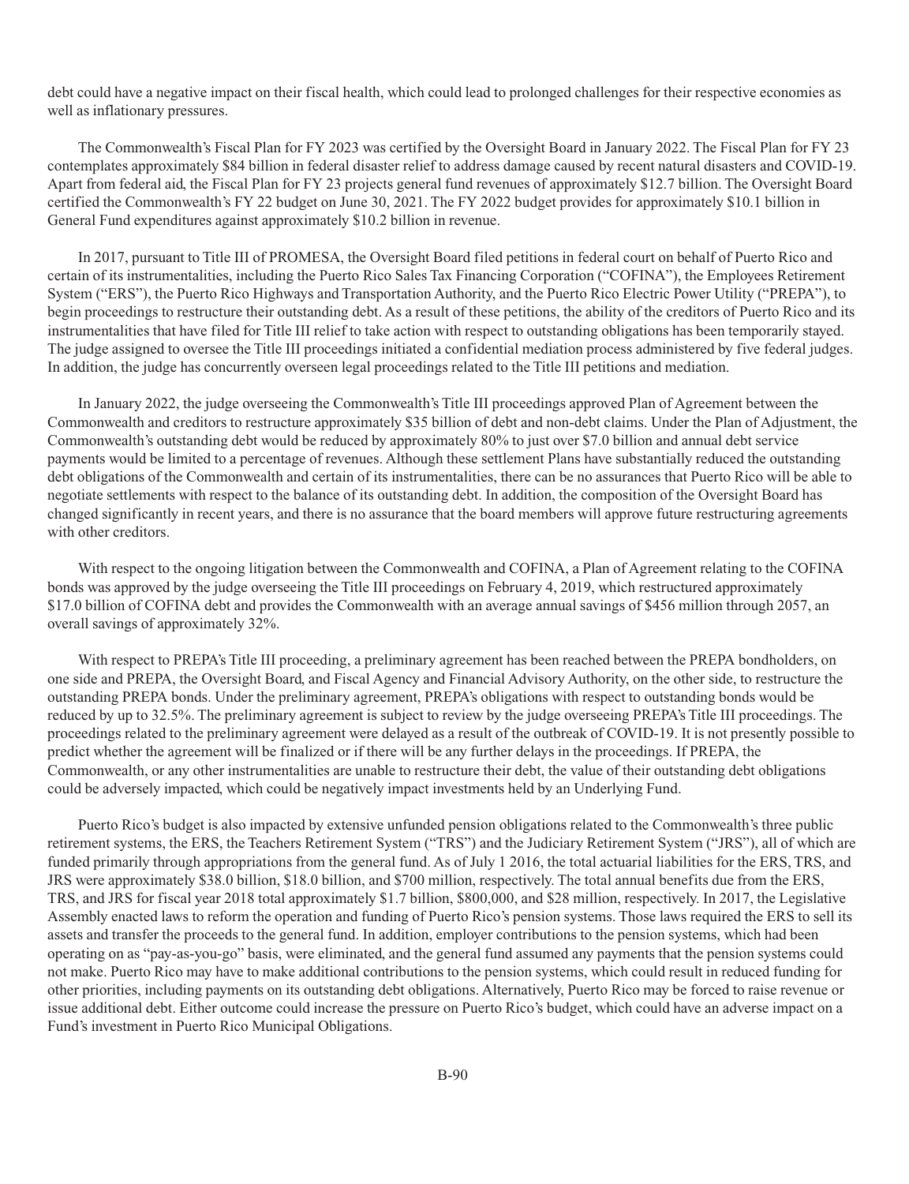debt could have a negative impact on their fiscal health, which could lead to prolonged challenges for their respective economies as well as inflationary pressures.

The Commonwealth's Fiscal Plan for FY 2023 was certified by the Oversight Board in January 2022. The Fiscal Plan for FY 23 contemplates approximately \$84 billion in federal disaster relief to address damage caused by recent natural disasters and COVID-19. Apart from federal aid, the Fiscal Plan for FY 23 projects general fund revenues of approximately \$12.7 billion. The Oversight Board certified the Commonwealth's FY 22 budget on June 30, 2021. The FY 2022 budget provides for approximately \$10.1 billion in General Fund expenditures against approximately \$10.2 billion in revenue.

In 2017, pursuant to Title III of PROMESA, the Oversight Board filed petitions in federal court on behalf of Puerto Rico and certain of its instrumentalities, including the Puerto Rico Sales Tax Financing Corporation ("COFINA"), the Employees Retirement System ("ERS"), the Puerto Rico Highways and Transportation Authority, and the Puerto Rico Electric Power Utility ("PREPA"), to begin proceedings to restructure their outstanding debt. As a result of these petitions, the ability of the creditors of Puerto Rico and its instrumentalities that have filed for Title III relief to take action with respect to outstanding obligations has been temporarily stayed. The judge assigned to oversee the Title III proceedings initiated a confidential mediation process administered by five federal judges. In addition, the judge has concurrently overseen legal proceedings related to the Title III petitions and mediation.

In January 2022, the judge overseeing the Commonwealth's Title III proceedings approved Plan of Agreement between the Commonwealth and creditors to restructure approximately \$35 billion of debt and non-debt claims. Under the Plan of Adjustment, the Commonwealth's outstanding debt would be reduced by approximately 80% to just over \$7.0 billion and annual debt service payments would be limited to a percentage of revenues. Although these settlement Plans have substantially reduced the outstanding debt obligations of the Commonwealth and certain of its instrumentalities, there can be no assurances that Puerto Rico will be able to negotiate settlements with respect to the balance of its outstanding debt. In addition, the composition of the Oversight Board has changed significantly in recent years, and there is no assurance that the board members will approve future restructuring agreements with other creditors.

With respect to the ongoing litigation between the Commonwealth and COFINA, a Plan of Agreement relating to the COFINA bonds was approved by the judge overseeing the Title III proceedings on February 4, 2019, which restructured approximately \$17.0 billion of COFINA debt and provides the Commonwealth with an average annual savings of \$456 million through 2057, an overall savings of approximately 32%.

With respect to PREPA's Title III proceeding, a preliminary agreement has been reached between the PREPA bondholders, on one side and PREPA, the Oversight Board, and Fiscal Agency and Financial Advisory Authority, on the other side, to restructure the outstanding PREPA bonds. Under the preliminary agreement, PREPA's obligations with respect to outstanding bonds would be reduced by up to 32.5%. The preliminary agreement is subject to review by the judge overseeing PREPA's Title III proceedings. The proceedings related to the preliminary agreement were delayed as a result of the outbreak of COVID-19. It is not presently possible to predict whether the agreement will be finalized or if there will be any further delays in the proceedings. If PREPA, the Commonwealth, or any other instrumentalities are unable to restructure their debt, the value of their outstanding debt obligations could be adversely impacted, which could be negatively impact investments held by an Underlying Fund.

Puerto Rico's budget is also impacted by extensive unfunded pension obligations related to the Commonwealth's three public retirement systems, the ERS, the Teachers Retirement System ("TRS") and the Judiciary Retirement System ("JRS"), all of which are funded primarily through appropriations from the general fund. As of July 1 2016, the total actuarial liabilities for the ERS, TRS, and JRS were approximately \$38.0 billion, \$18.0 billion, and \$700 million, respectively. The total annual benefits due from the ERS, TRS, and JRS for fiscal year 2018 total approximately \$1.7 billion, \$800,000, and \$28 million, respectively. In 2017, the Legislative Assembly enacted laws to reform the operation and funding of Puerto Rico's pension systems. Those laws required the ERS to sell its assets and transfer the proceeds to the general fund. In addition, employer contributions to the pension systems, which had been operating on as "pay-as-you-go" basis, were eliminated, and the general fund assumed any payments that the pension systems could not make. Puerto Rico may have to make additional contributions to the pension systems, which could result in reduced funding for other priorities, including payments on its outstanding debt obligations. Alternatively, Puerto Rico may be forced to raise revenue or issue additional debt. Either outcome could increase the pressure on Puerto Rico's budget, which could have an adverse impact on a Fund's investment in Puerto Rico Municipal Obligations.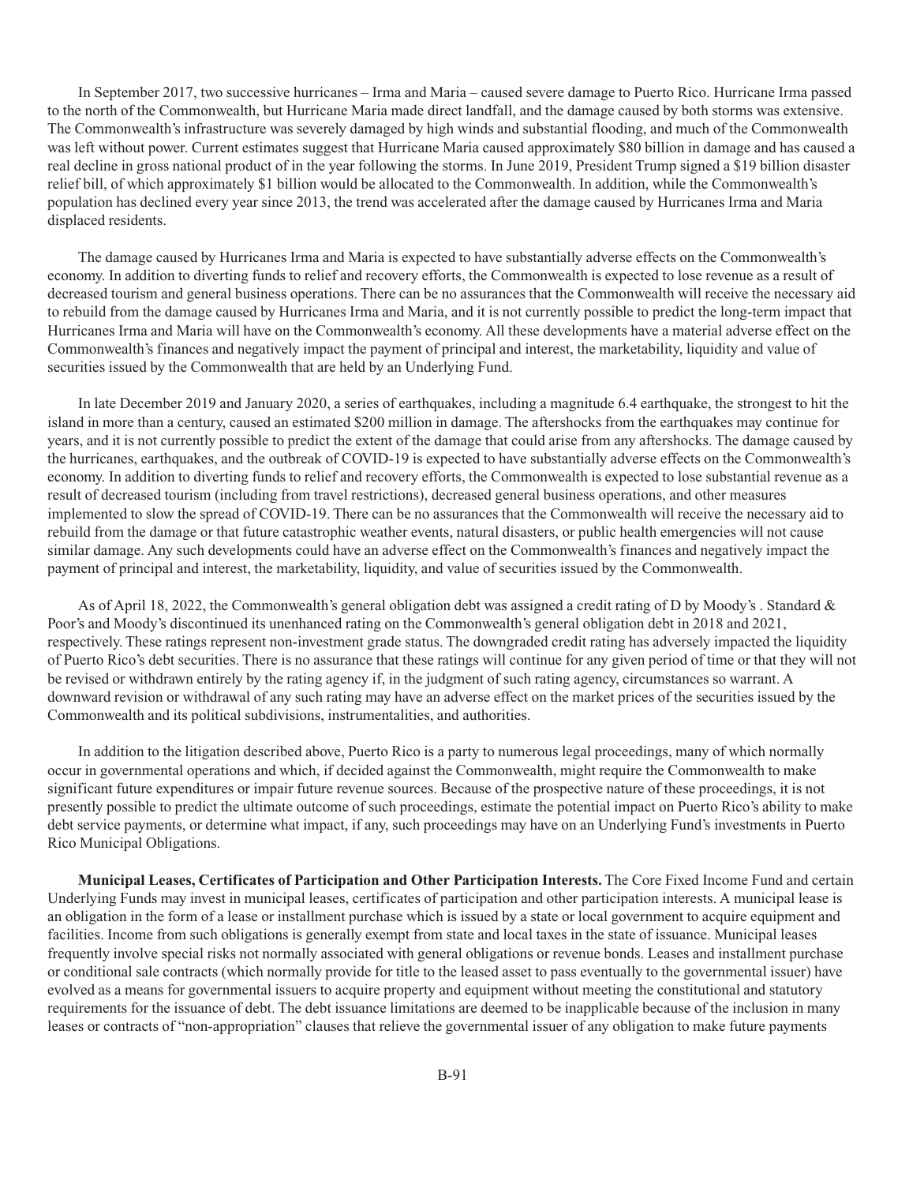In September 2017, two successive hurricanes – Irma and Maria – caused severe damage to Puerto Rico. Hurricane Irma passed to the north of the Commonwealth, but Hurricane Maria made direct landfall, and the damage caused by both storms was extensive. The Commonwealth's infrastructure was severely damaged by high winds and substantial flooding, and much of the Commonwealth was left without power. Current estimates suggest that Hurricane Maria caused approximately \$80 billion in damage and has caused a real decline in gross national product of in the year following the storms. In June 2019, President Trump signed a \$19 billion disaster relief bill, of which approximately \$1 billion would be allocated to the Commonwealth. In addition, while the Commonwealth's population has declined every year since 2013, the trend was accelerated after the damage caused by Hurricanes Irma and Maria displaced residents.

The damage caused by Hurricanes Irma and Maria is expected to have substantially adverse effects on the Commonwealth's economy. In addition to diverting funds to relief and recovery efforts, the Commonwealth is expected to lose revenue as a result of decreased tourism and general business operations. There can be no assurances that the Commonwealth will receive the necessary aid to rebuild from the damage caused by Hurricanes Irma and Maria, and it is not currently possible to predict the long-term impact that Hurricanes Irma and Maria will have on the Commonwealth's economy. All these developments have a material adverse effect on the Commonwealth's finances and negatively impact the payment of principal and interest, the marketability, liquidity and value of securities issued by the Commonwealth that are held by an Underlying Fund.

In late December 2019 and January 2020, a series of earthquakes, including a magnitude 6.4 earthquake, the strongest to hit the island in more than a century, caused an estimated \$200 million in damage. The aftershocks from the earthquakes may continue for years, and it is not currently possible to predict the extent of the damage that could arise from any aftershocks. The damage caused by the hurricanes, earthquakes, and the outbreak of COVID-19 is expected to have substantially adverse effects on the Commonwealth's economy. In addition to diverting funds to relief and recovery efforts, the Commonwealth is expected to lose substantial revenue as a result of decreased tourism (including from travel restrictions), decreased general business operations, and other measures implemented to slow the spread of COVID-19. There can be no assurances that the Commonwealth will receive the necessary aid to rebuild from the damage or that future catastrophic weather events, natural disasters, or public health emergencies will not cause similar damage. Any such developments could have an adverse effect on the Commonwealth's finances and negatively impact the payment of principal and interest, the marketability, liquidity, and value of securities issued by the Commonwealth.

As of April 18, 2022, the Commonwealth's general obligation debt was assigned a credit rating of D by Moody's . Standard & Poor's and Moody's discontinued its unenhanced rating on the Commonwealth's general obligation debt in 2018 and 2021, respectively. These ratings represent non-investment grade status. The downgraded credit rating has adversely impacted the liquidity of Puerto Rico's debt securities. There is no assurance that these ratings will continue for any given period of time or that they will not be revised or withdrawn entirely by the rating agency if, in the judgment of such rating agency, circumstances so warrant. A downward revision or withdrawal of any such rating may have an adverse effect on the market prices of the securities issued by the Commonwealth and its political subdivisions, instrumentalities, and authorities.

In addition to the litigation described above, Puerto Rico is a party to numerous legal proceedings, many of which normally occur in governmental operations and which, if decided against the Commonwealth, might require the Commonwealth to make significant future expenditures or impair future revenue sources. Because of the prospective nature of these proceedings, it is not presently possible to predict the ultimate outcome of such proceedings, estimate the potential impact on Puerto Rico's ability to make debt service payments, or determine what impact, if any, such proceedings may have on an Underlying Fund's investments in Puerto Rico Municipal Obligations.

**Municipal Leases, Certificates of Participation and Other Participation Interests.** The Core Fixed Income Fund and certain Underlying Funds may invest in municipal leases, certificates of participation and other participation interests. A municipal lease is an obligation in the form of a lease or installment purchase which is issued by a state or local government to acquire equipment and facilities. Income from such obligations is generally exempt from state and local taxes in the state of issuance. Municipal leases frequently involve special risks not normally associated with general obligations or revenue bonds. Leases and installment purchase or conditional sale contracts (which normally provide for title to the leased asset to pass eventually to the governmental issuer) have evolved as a means for governmental issuers to acquire property and equipment without meeting the constitutional and statutory requirements for the issuance of debt. The debt issuance limitations are deemed to be inapplicable because of the inclusion in many leases or contracts of "non-appropriation" clauses that relieve the governmental issuer of any obligation to make future payments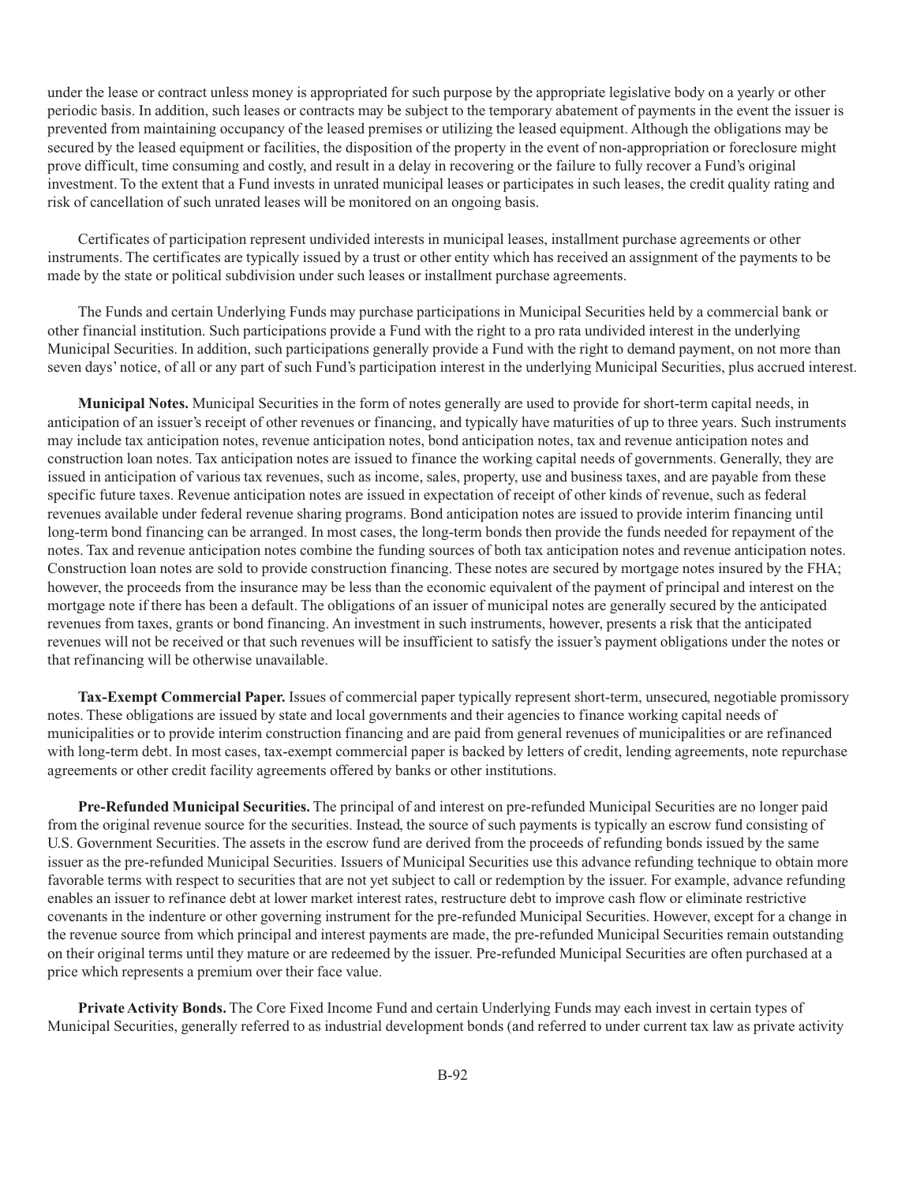under the lease or contract unless money is appropriated for such purpose by the appropriate legislative body on a yearly or other periodic basis. In addition, such leases or contracts may be subject to the temporary abatement of payments in the event the issuer is prevented from maintaining occupancy of the leased premises or utilizing the leased equipment. Although the obligations may be secured by the leased equipment or facilities, the disposition of the property in the event of non-appropriation or foreclosure might prove difficult, time consuming and costly, and result in a delay in recovering or the failure to fully recover a Fund's original investment. To the extent that a Fund invests in unrated municipal leases or participates in such leases, the credit quality rating and risk of cancellation of such unrated leases will be monitored on an ongoing basis.

Certificates of participation represent undivided interests in municipal leases, installment purchase agreements or other instruments. The certificates are typically issued by a trust or other entity which has received an assignment of the payments to be made by the state or political subdivision under such leases or installment purchase agreements.

The Funds and certain Underlying Funds may purchase participations in Municipal Securities held by a commercial bank or other financial institution. Such participations provide a Fund with the right to a pro rata undivided interest in the underlying Municipal Securities. In addition, such participations generally provide a Fund with the right to demand payment, on not more than seven days' notice, of all or any part of such Fund's participation interest in the underlying Municipal Securities, plus accrued interest.

**Municipal Notes.** Municipal Securities in the form of notes generally are used to provide for short-term capital needs, in anticipation of an issuer's receipt of other revenues or financing, and typically have maturities of up to three years. Such instruments may include tax anticipation notes, revenue anticipation notes, bond anticipation notes, tax and revenue anticipation notes and construction loan notes. Tax anticipation notes are issued to finance the working capital needs of governments. Generally, they are issued in anticipation of various tax revenues, such as income, sales, property, use and business taxes, and are payable from these specific future taxes. Revenue anticipation notes are issued in expectation of receipt of other kinds of revenue, such as federal revenues available under federal revenue sharing programs. Bond anticipation notes are issued to provide interim financing until long-term bond financing can be arranged. In most cases, the long-term bonds then provide the funds needed for repayment of the notes. Tax and revenue anticipation notes combine the funding sources of both tax anticipation notes and revenue anticipation notes. Construction loan notes are sold to provide construction financing. These notes are secured by mortgage notes insured by the FHA; however, the proceeds from the insurance may be less than the economic equivalent of the payment of principal and interest on the mortgage note if there has been a default. The obligations of an issuer of municipal notes are generally secured by the anticipated revenues from taxes, grants or bond financing. An investment in such instruments, however, presents a risk that the anticipated revenues will not be received or that such revenues will be insufficient to satisfy the issuer's payment obligations under the notes or that refinancing will be otherwise unavailable.

**Tax-Exempt Commercial Paper.** Issues of commercial paper typically represent short-term, unsecured, negotiable promissory notes. These obligations are issued by state and local governments and their agencies to finance working capital needs of municipalities or to provide interim construction financing and are paid from general revenues of municipalities or are refinanced with long-term debt. In most cases, tax-exempt commercial paper is backed by letters of credit, lending agreements, note repurchase agreements or other credit facility agreements offered by banks or other institutions.

**Pre-Refunded Municipal Securities.** The principal of and interest on pre-refunded Municipal Securities are no longer paid from the original revenue source for the securities. Instead, the source of such payments is typically an escrow fund consisting of U.S. Government Securities. The assets in the escrow fund are derived from the proceeds of refunding bonds issued by the same issuer as the pre-refunded Municipal Securities. Issuers of Municipal Securities use this advance refunding technique to obtain more favorable terms with respect to securities that are not yet subject to call or redemption by the issuer. For example, advance refunding enables an issuer to refinance debt at lower market interest rates, restructure debt to improve cash flow or eliminate restrictive covenants in the indenture or other governing instrument for the pre-refunded Municipal Securities. However, except for a change in the revenue source from which principal and interest payments are made, the pre-refunded Municipal Securities remain outstanding on their original terms until they mature or are redeemed by the issuer. Pre-refunded Municipal Securities are often purchased at a price which represents a premium over their face value.

**Private Activity Bonds.** The Core Fixed Income Fund and certain Underlying Funds may each invest in certain types of Municipal Securities, generally referred to as industrial development bonds (and referred to under current tax law as private activity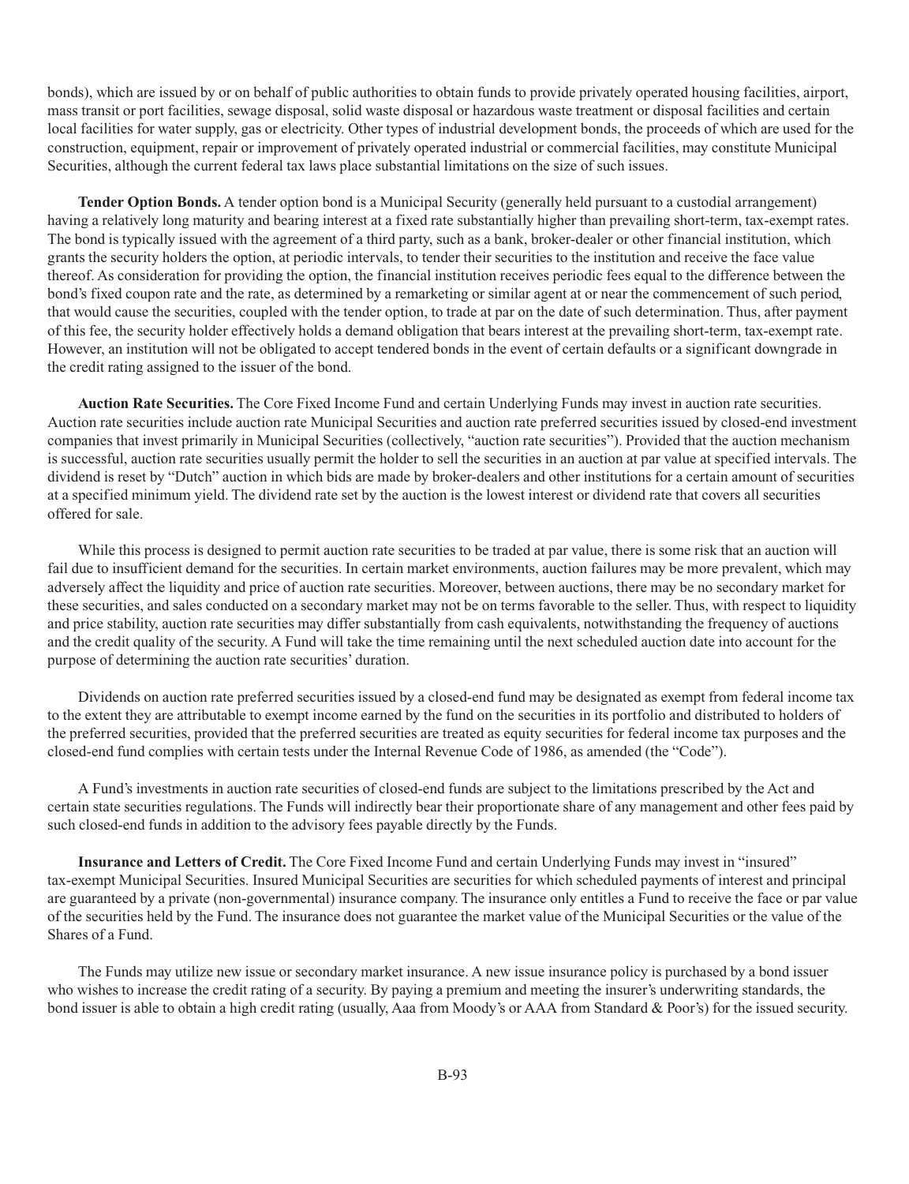bonds), which are issued by or on behalf of public authorities to obtain funds to provide privately operated housing facilities, airport, mass transit or port facilities, sewage disposal, solid waste disposal or hazardous waste treatment or disposal facilities and certain local facilities for water supply, gas or electricity. Other types of industrial development bonds, the proceeds of which are used for the construction, equipment, repair or improvement of privately operated industrial or commercial facilities, may constitute Municipal Securities, although the current federal tax laws place substantial limitations on the size of such issues.

**Tender Option Bonds.** A tender option bond is a Municipal Security (generally held pursuant to a custodial arrangement) having a relatively long maturity and bearing interest at a fixed rate substantially higher than prevailing short-term, tax-exempt rates. The bond is typically issued with the agreement of a third party, such as a bank, broker-dealer or other financial institution, which grants the security holders the option, at periodic intervals, to tender their securities to the institution and receive the face value thereof. As consideration for providing the option, the financial institution receives periodic fees equal to the difference between the bond's fixed coupon rate and the rate, as determined by a remarketing or similar agent at or near the commencement of such period, that would cause the securities, coupled with the tender option, to trade at par on the date of such determination. Thus, after payment of this fee, the security holder effectively holds a demand obligation that bears interest at the prevailing short-term, tax-exempt rate. However, an institution will not be obligated to accept tendered bonds in the event of certain defaults or a significant downgrade in the credit rating assigned to the issuer of the bond.

**Auction Rate Securities.** The Core Fixed Income Fund and certain Underlying Funds may invest in auction rate securities. Auction rate securities include auction rate Municipal Securities and auction rate preferred securities issued by closed-end investment companies that invest primarily in Municipal Securities (collectively, "auction rate securities"). Provided that the auction mechanism is successful, auction rate securities usually permit the holder to sell the securities in an auction at par value at specified intervals. The dividend is reset by "Dutch" auction in which bids are made by broker-dealers and other institutions for a certain amount of securities at a specified minimum yield. The dividend rate set by the auction is the lowest interest or dividend rate that covers all securities offered for sale.

While this process is designed to permit auction rate securities to be traded at par value, there is some risk that an auction will fail due to insufficient demand for the securities. In certain market environments, auction failures may be more prevalent, which may adversely affect the liquidity and price of auction rate securities. Moreover, between auctions, there may be no secondary market for these securities, and sales conducted on a secondary market may not be on terms favorable to the seller. Thus, with respect to liquidity and price stability, auction rate securities may differ substantially from cash equivalents, notwithstanding the frequency of auctions and the credit quality of the security. A Fund will take the time remaining until the next scheduled auction date into account for the purpose of determining the auction rate securities' duration.

Dividends on auction rate preferred securities issued by a closed-end fund may be designated as exempt from federal income tax to the extent they are attributable to exempt income earned by the fund on the securities in its portfolio and distributed to holders of the preferred securities, provided that the preferred securities are treated as equity securities for federal income tax purposes and the closed-end fund complies with certain tests under the Internal Revenue Code of 1986, as amended (the "Code").

A Fund's investments in auction rate securities of closed-end funds are subject to the limitations prescribed by the Act and certain state securities regulations. The Funds will indirectly bear their proportionate share of any management and other fees paid by such closed-end funds in addition to the advisory fees payable directly by the Funds.

**Insurance and Letters of Credit.** The Core Fixed Income Fund and certain Underlying Funds may invest in "insured" tax-exempt Municipal Securities. Insured Municipal Securities are securities for which scheduled payments of interest and principal are guaranteed by a private (non-governmental) insurance company. The insurance only entitles a Fund to receive the face or par value of the securities held by the Fund. The insurance does not guarantee the market value of the Municipal Securities or the value of the Shares of a Fund.

The Funds may utilize new issue or secondary market insurance. A new issue insurance policy is purchased by a bond issuer who wishes to increase the credit rating of a security. By paying a premium and meeting the insurer's underwriting standards, the bond issuer is able to obtain a high credit rating (usually, Aaa from Moody's or AAA from Standard & Poor's) for the issued security.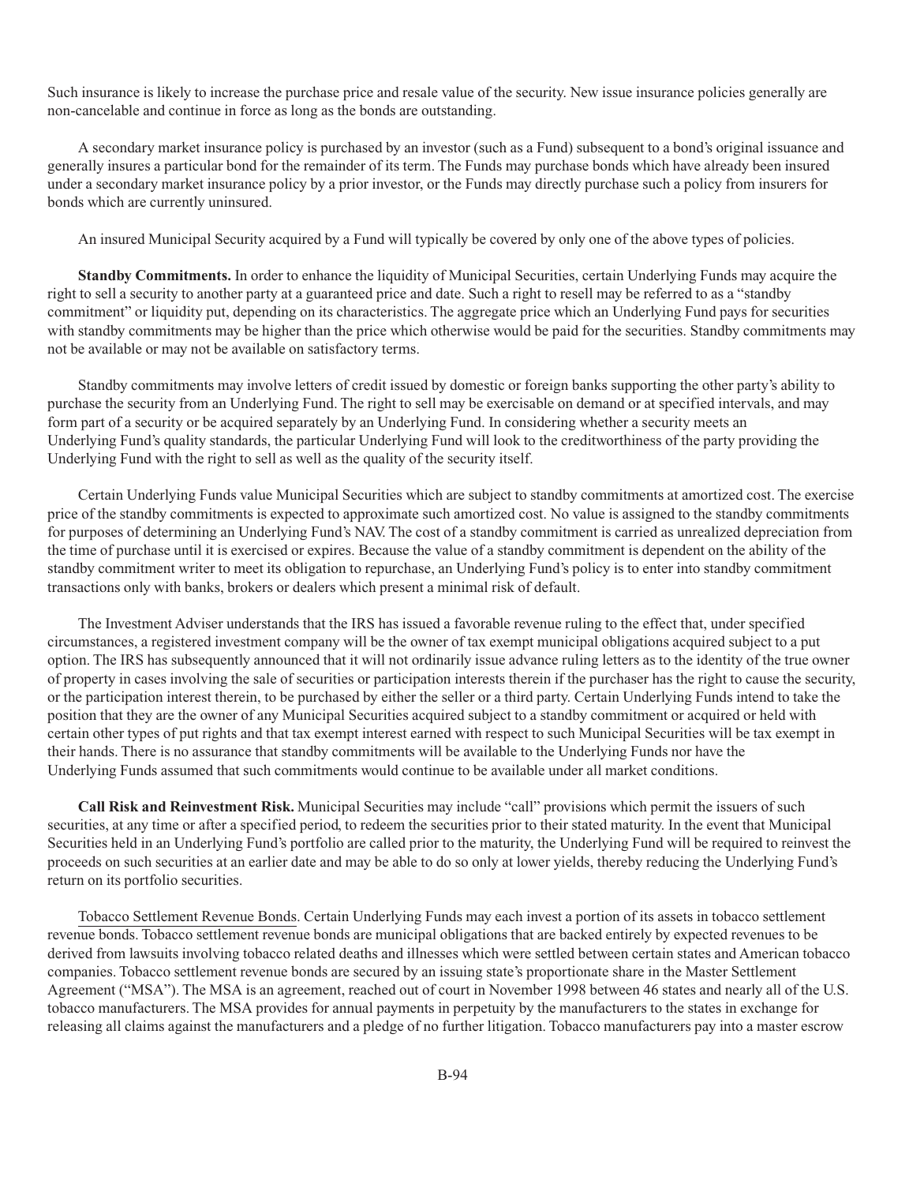Such insurance is likely to increase the purchase price and resale value of the security. New issue insurance policies generally are non-cancelable and continue in force as long as the bonds are outstanding.

A secondary market insurance policy is purchased by an investor (such as a Fund) subsequent to a bond's original issuance and generally insures a particular bond for the remainder of its term. The Funds may purchase bonds which have already been insured under a secondary market insurance policy by a prior investor, or the Funds may directly purchase such a policy from insurers for bonds which are currently uninsured.

An insured Municipal Security acquired by a Fund will typically be covered by only one of the above types of policies.

**Standby Commitments.** In order to enhance the liquidity of Municipal Securities, certain Underlying Funds may acquire the right to sell a security to another party at a guaranteed price and date. Such a right to resell may be referred to as a "standby commitment" or liquidity put, depending on its characteristics. The aggregate price which an Underlying Fund pays for securities with standby commitments may be higher than the price which otherwise would be paid for the securities. Standby commitments may not be available or may not be available on satisfactory terms.

Standby commitments may involve letters of credit issued by domestic or foreign banks supporting the other party's ability to purchase the security from an Underlying Fund. The right to sell may be exercisable on demand or at specified intervals, and may form part of a security or be acquired separately by an Underlying Fund. In considering whether a security meets an Underlying Fund's quality standards, the particular Underlying Fund will look to the creditworthiness of the party providing the Underlying Fund with the right to sell as well as the quality of the security itself.

Certain Underlying Funds value Municipal Securities which are subject to standby commitments at amortized cost. The exercise price of the standby commitments is expected to approximate such amortized cost. No value is assigned to the standby commitments for purposes of determining an Underlying Fund's NAV. The cost of a standby commitment is carried as unrealized depreciation from the time of purchase until it is exercised or expires. Because the value of a standby commitment is dependent on the ability of the standby commitment writer to meet its obligation to repurchase, an Underlying Fund's policy is to enter into standby commitment transactions only with banks, brokers or dealers which present a minimal risk of default.

The Investment Adviser understands that the IRS has issued a favorable revenue ruling to the effect that, under specified circumstances, a registered investment company will be the owner of tax exempt municipal obligations acquired subject to a put option. The IRS has subsequently announced that it will not ordinarily issue advance ruling letters as to the identity of the true owner of property in cases involving the sale of securities or participation interests therein if the purchaser has the right to cause the security, or the participation interest therein, to be purchased by either the seller or a third party. Certain Underlying Funds intend to take the position that they are the owner of any Municipal Securities acquired subject to a standby commitment or acquired or held with certain other types of put rights and that tax exempt interest earned with respect to such Municipal Securities will be tax exempt in their hands. There is no assurance that standby commitments will be available to the Underlying Funds nor have the Underlying Funds assumed that such commitments would continue to be available under all market conditions.

**Call Risk and Reinvestment Risk.** Municipal Securities may include "call" provisions which permit the issuers of such securities, at any time or after a specified period, to redeem the securities prior to their stated maturity. In the event that Municipal Securities held in an Underlying Fund's portfolio are called prior to the maturity, the Underlying Fund will be required to reinvest the proceeds on such securities at an earlier date and may be able to do so only at lower yields, thereby reducing the Underlying Fund's return on its portfolio securities.

Tobacco Settlement Revenue Bonds. Certain Underlying Funds may each invest a portion of its assets in tobacco settlement revenue bonds. Tobacco settlement revenue bonds are municipal obligations that are backed entirely by expected revenues to be derived from lawsuits involving tobacco related deaths and illnesses which were settled between certain states and American tobacco companies. Tobacco settlement revenue bonds are secured by an issuing state's proportionate share in the Master Settlement Agreement ("MSA"). The MSA is an agreement, reached out of court in November 1998 between 46 states and nearly all of the U.S. tobacco manufacturers. The MSA provides for annual payments in perpetuity by the manufacturers to the states in exchange for releasing all claims against the manufacturers and a pledge of no further litigation. Tobacco manufacturers pay into a master escrow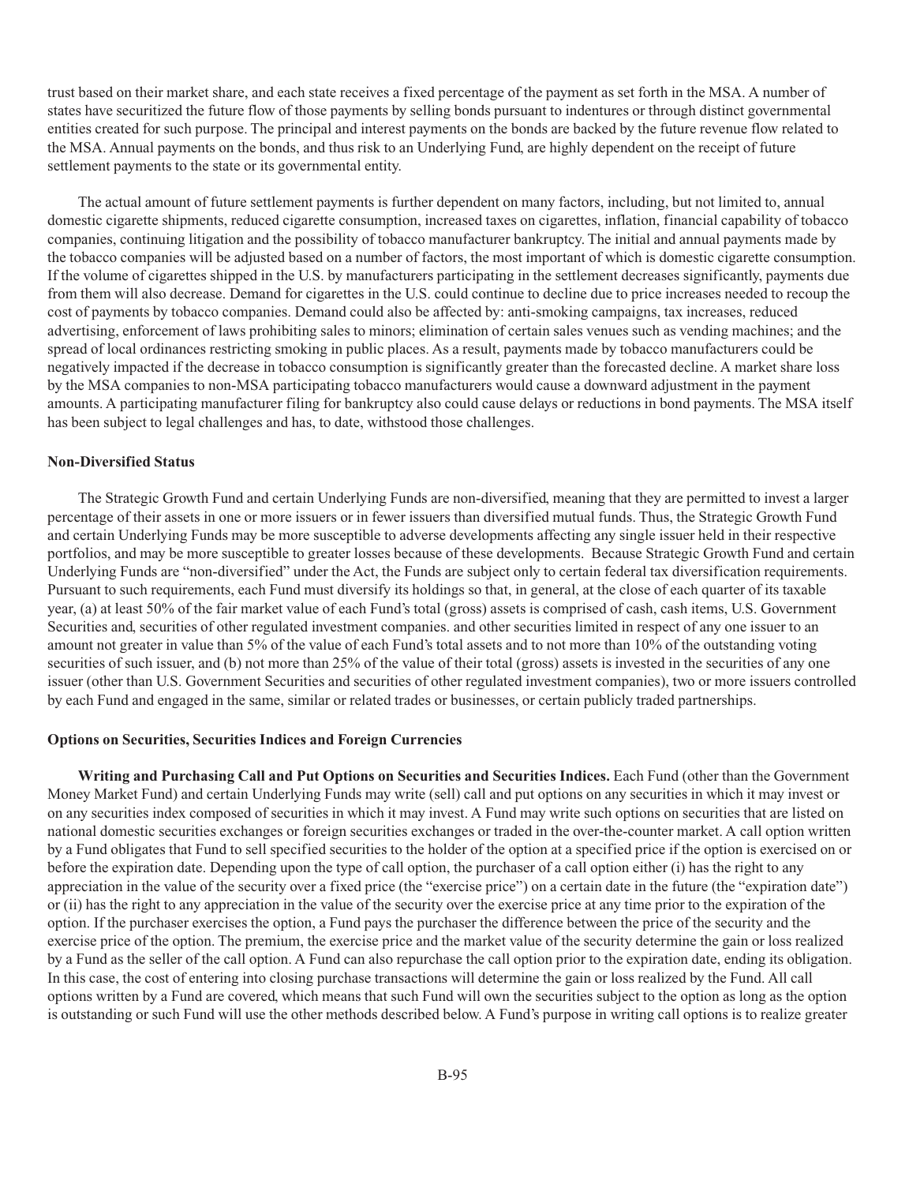trust based on their market share, and each state receives a fixed percentage of the payment as set forth in the MSA. A number of states have securitized the future flow of those payments by selling bonds pursuant to indentures or through distinct governmental entities created for such purpose. The principal and interest payments on the bonds are backed by the future revenue flow related to the MSA. Annual payments on the bonds, and thus risk to an Underlying Fund, are highly dependent on the receipt of future settlement payments to the state or its governmental entity.

The actual amount of future settlement payments is further dependent on many factors, including, but not limited to, annual domestic cigarette shipments, reduced cigarette consumption, increased taxes on cigarettes, inflation, financial capability of tobacco companies, continuing litigation and the possibility of tobacco manufacturer bankruptcy. The initial and annual payments made by the tobacco companies will be adjusted based on a number of factors, the most important of which is domestic cigarette consumption. If the volume of cigarettes shipped in the U.S. by manufacturers participating in the settlement decreases significantly, payments due from them will also decrease. Demand for cigarettes in the U.S. could continue to decline due to price increases needed to recoup the cost of payments by tobacco companies. Demand could also be affected by: anti-smoking campaigns, tax increases, reduced advertising, enforcement of laws prohibiting sales to minors; elimination of certain sales venues such as vending machines; and the spread of local ordinances restricting smoking in public places. As a result, payments made by tobacco manufacturers could be negatively impacted if the decrease in tobacco consumption is significantly greater than the forecasted decline. A market share loss by the MSA companies to non-MSA participating tobacco manufacturers would cause a downward adjustment in the payment amounts. A participating manufacturer filing for bankruptcy also could cause delays or reductions in bond payments. The MSA itself has been subject to legal challenges and has, to date, withstood those challenges.

### **Non-Diversified Status**

The Strategic Growth Fund and certain Underlying Funds are non-diversified, meaning that they are permitted to invest a larger percentage of their assets in one or more issuers or in fewer issuers than diversified mutual funds. Thus, the Strategic Growth Fund and certain Underlying Funds may be more susceptible to adverse developments affecting any single issuer held in their respective portfolios, and may be more susceptible to greater losses because of these developments. Because Strategic Growth Fund and certain Underlying Funds are "non-diversified" under the Act, the Funds are subject only to certain federal tax diversification requirements. Pursuant to such requirements, each Fund must diversify its holdings so that, in general, at the close of each quarter of its taxable year, (a) at least 50% of the fair market value of each Fund's total (gross) assets is comprised of cash, cash items, U.S. Government Securities and, securities of other regulated investment companies. and other securities limited in respect of any one issuer to an amount not greater in value than 5% of the value of each Fund's total assets and to not more than 10% of the outstanding voting securities of such issuer, and (b) not more than 25% of the value of their total (gross) assets is invested in the securities of any one issuer (other than U.S. Government Securities and securities of other regulated investment companies), two or more issuers controlled by each Fund and engaged in the same, similar or related trades or businesses, or certain publicly traded partnerships.

### **Options on Securities, Securities Indices and Foreign Currencies**

**Writing and Purchasing Call and Put Options on Securities and Securities Indices.** Each Fund (other than the Government Money Market Fund) and certain Underlying Funds may write (sell) call and put options on any securities in which it may invest or on any securities index composed of securities in which it may invest. A Fund may write such options on securities that are listed on national domestic securities exchanges or foreign securities exchanges or traded in the over-the-counter market. A call option written by a Fund obligates that Fund to sell specified securities to the holder of the option at a specified price if the option is exercised on or before the expiration date. Depending upon the type of call option, the purchaser of a call option either (i) has the right to any appreciation in the value of the security over a fixed price (the "exercise price") on a certain date in the future (the "expiration date") or (ii) has the right to any appreciation in the value of the security over the exercise price at any time prior to the expiration of the option. If the purchaser exercises the option, a Fund pays the purchaser the difference between the price of the security and the exercise price of the option. The premium, the exercise price and the market value of the security determine the gain or loss realized by a Fund as the seller of the call option. A Fund can also repurchase the call option prior to the expiration date, ending its obligation. In this case, the cost of entering into closing purchase transactions will determine the gain or loss realized by the Fund. All call options written by a Fund are covered, which means that such Fund will own the securities subject to the option as long as the option is outstanding or such Fund will use the other methods described below. A Fund's purpose in writing call options is to realize greater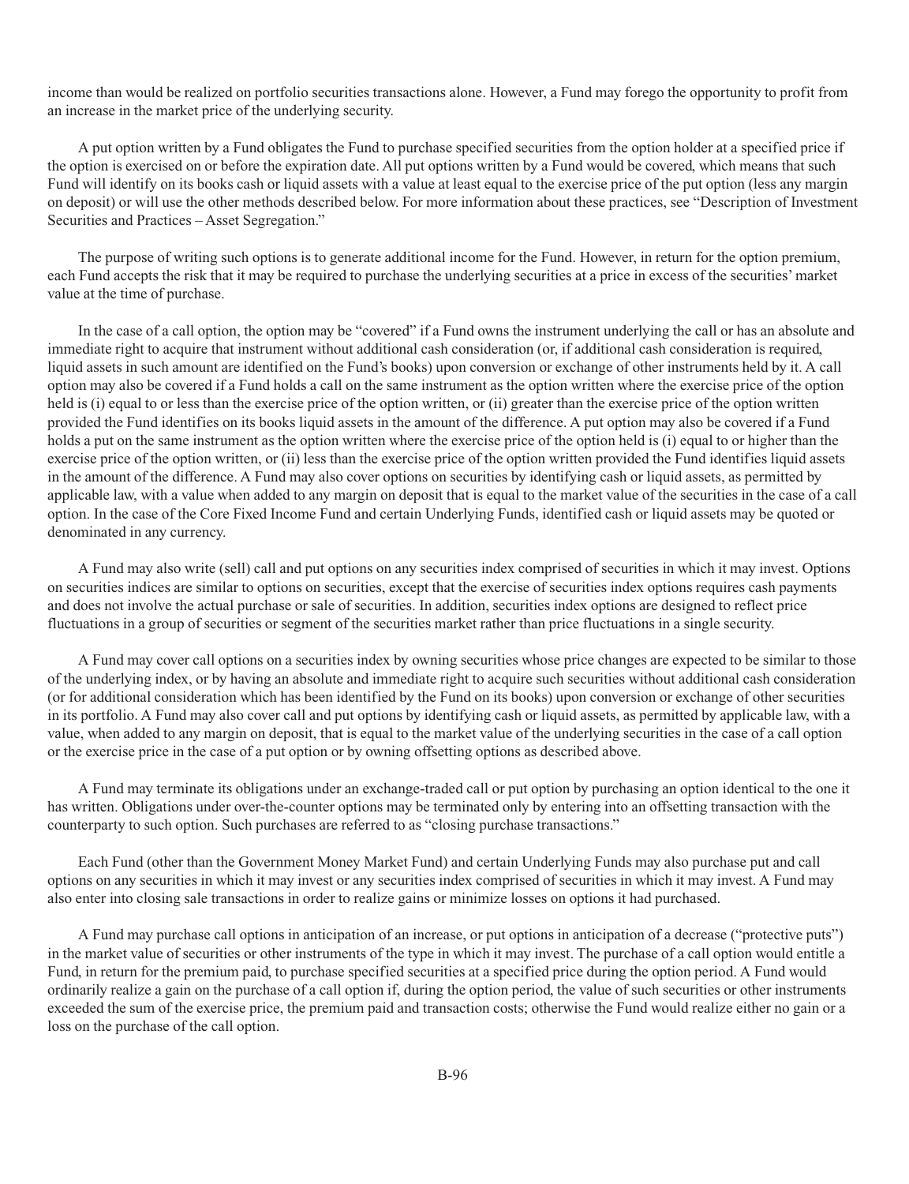income than would be realized on portfolio securities transactions alone. However, a Fund may forego the opportunity to profit from an increase in the market price of the underlying security.

A put option written by a Fund obligates the Fund to purchase specified securities from the option holder at a specified price if the option is exercised on or before the expiration date. All put options written by a Fund would be covered, which means that such Fund will identify on its books cash or liquid assets with a value at least equal to the exercise price of the put option (less any margin on deposit) or will use the other methods described below. For more information about these practices, see "Description of Investment Securities and Practices – Asset Segregation."

The purpose of writing such options is to generate additional income for the Fund. However, in return for the option premium, each Fund accepts the risk that it may be required to purchase the underlying securities at a price in excess of the securities' market value at the time of purchase.

In the case of a call option, the option may be "covered" if a Fund owns the instrument underlying the call or has an absolute and immediate right to acquire that instrument without additional cash consideration (or, if additional cash consideration is required, liquid assets in such amount are identified on the Fund's books) upon conversion or exchange of other instruments held by it. A call option may also be covered if a Fund holds a call on the same instrument as the option written where the exercise price of the option held is (i) equal to or less than the exercise price of the option written, or (ii) greater than the exercise price of the option written provided the Fund identifies on its books liquid assets in the amount of the difference. A put option may also be covered if a Fund holds a put on the same instrument as the option written where the exercise price of the option held is (i) equal to or higher than the exercise price of the option written, or (ii) less than the exercise price of the option written provided the Fund identifies liquid assets in the amount of the difference. A Fund may also cover options on securities by identifying cash or liquid assets, as permitted by applicable law, with a value when added to any margin on deposit that is equal to the market value of the securities in the case of a call option. In the case of the Core Fixed Income Fund and certain Underlying Funds, identified cash or liquid assets may be quoted or denominated in any currency.

A Fund may also write (sell) call and put options on any securities index comprised of securities in which it may invest. Options on securities indices are similar to options on securities, except that the exercise of securities index options requires cash payments and does not involve the actual purchase or sale of securities. In addition, securities index options are designed to reflect price fluctuations in a group of securities or segment of the securities market rather than price fluctuations in a single security.

A Fund may cover call options on a securities index by owning securities whose price changes are expected to be similar to those of the underlying index, or by having an absolute and immediate right to acquire such securities without additional cash consideration (or for additional consideration which has been identified by the Fund on its books) upon conversion or exchange of other securities in its portfolio. A Fund may also cover call and put options by identifying cash or liquid assets, as permitted by applicable law, with a value, when added to any margin on deposit, that is equal to the market value of the underlying securities in the case of a call option or the exercise price in the case of a put option or by owning offsetting options as described above.

A Fund may terminate its obligations under an exchange-traded call or put option by purchasing an option identical to the one it has written. Obligations under over-the-counter options may be terminated only by entering into an offsetting transaction with the counterparty to such option. Such purchases are referred to as "closing purchase transactions."

Each Fund (other than the Government Money Market Fund) and certain Underlying Funds may also purchase put and call options on any securities in which it may invest or any securities index comprised of securities in which it may invest. A Fund may also enter into closing sale transactions in order to realize gains or minimize losses on options it had purchased.

A Fund may purchase call options in anticipation of an increase, or put options in anticipation of a decrease ("protective puts") in the market value of securities or other instruments of the type in which it may invest. The purchase of a call option would entitle a Fund, in return for the premium paid, to purchase specified securities at a specified price during the option period. A Fund would ordinarily realize a gain on the purchase of a call option if, during the option period, the value of such securities or other instruments exceeded the sum of the exercise price, the premium paid and transaction costs; otherwise the Fund would realize either no gain or a loss on the purchase of the call option.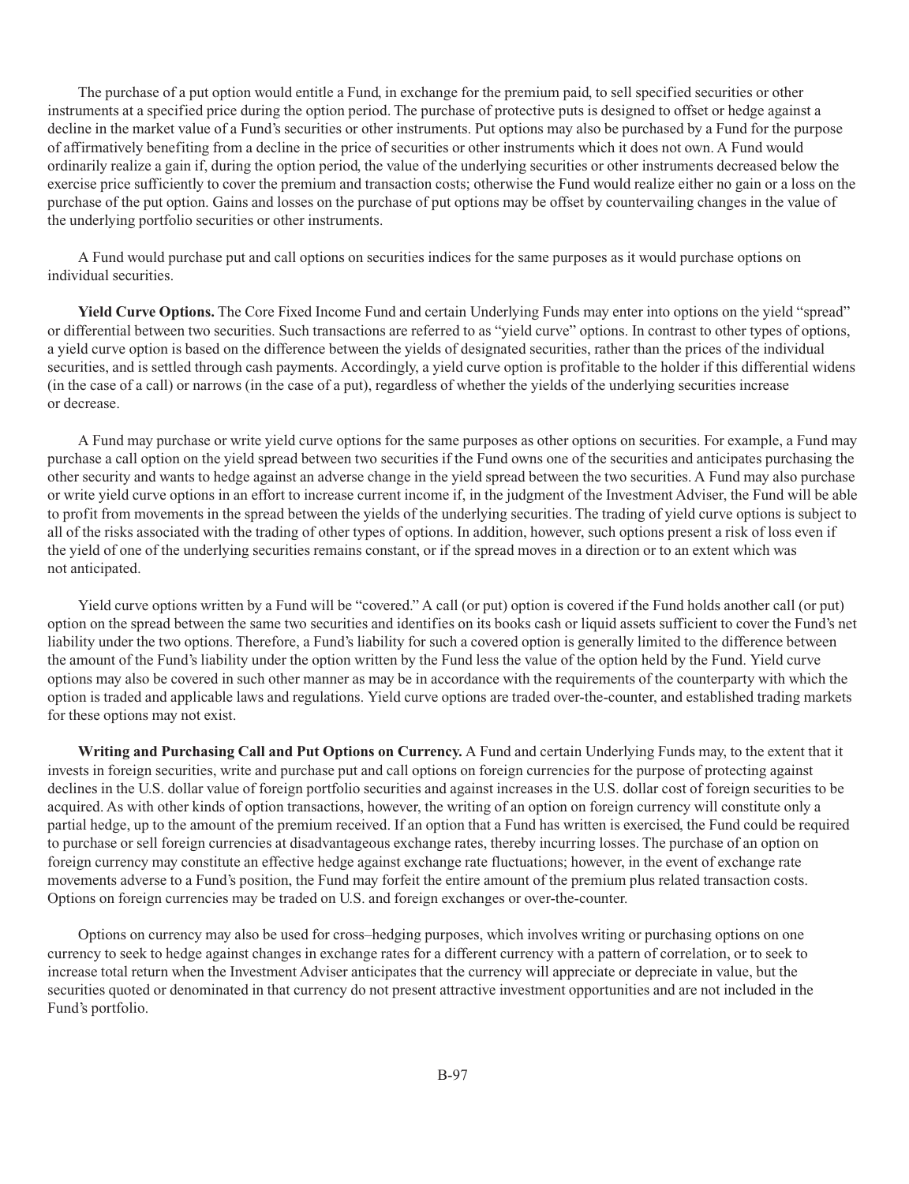The purchase of a put option would entitle a Fund, in exchange for the premium paid, to sell specified securities or other instruments at a specified price during the option period. The purchase of protective puts is designed to offset or hedge against a decline in the market value of a Fund's securities or other instruments. Put options may also be purchased by a Fund for the purpose of affirmatively benefiting from a decline in the price of securities or other instruments which it does not own. A Fund would ordinarily realize a gain if, during the option period, the value of the underlying securities or other instruments decreased below the exercise price sufficiently to cover the premium and transaction costs; otherwise the Fund would realize either no gain or a loss on the purchase of the put option. Gains and losses on the purchase of put options may be offset by countervailing changes in the value of the underlying portfolio securities or other instruments.

A Fund would purchase put and call options on securities indices for the same purposes as it would purchase options on individual securities.

**Yield Curve Options.** The Core Fixed Income Fund and certain Underlying Funds may enter into options on the yield "spread" or differential between two securities. Such transactions are referred to as "yield curve" options. In contrast to other types of options, a yield curve option is based on the difference between the yields of designated securities, rather than the prices of the individual securities, and is settled through cash payments. Accordingly, a yield curve option is profitable to the holder if this differential widens (in the case of a call) or narrows (in the case of a put), regardless of whether the yields of the underlying securities increase or decrease.

A Fund may purchase or write yield curve options for the same purposes as other options on securities. For example, a Fund may purchase a call option on the yield spread between two securities if the Fund owns one of the securities and anticipates purchasing the other security and wants to hedge against an adverse change in the yield spread between the two securities. A Fund may also purchase or write yield curve options in an effort to increase current income if, in the judgment of the Investment Adviser, the Fund will be able to profit from movements in the spread between the yields of the underlying securities. The trading of yield curve options is subject to all of the risks associated with the trading of other types of options. In addition, however, such options present a risk of loss even if the yield of one of the underlying securities remains constant, or if the spread moves in a direction or to an extent which was not anticipated.

Yield curve options written by a Fund will be "covered." A call (or put) option is covered if the Fund holds another call (or put) option on the spread between the same two securities and identifies on its books cash or liquid assets sufficient to cover the Fund's net liability under the two options. Therefore, a Fund's liability for such a covered option is generally limited to the difference between the amount of the Fund's liability under the option written by the Fund less the value of the option held by the Fund. Yield curve options may also be covered in such other manner as may be in accordance with the requirements of the counterparty with which the option is traded and applicable laws and regulations. Yield curve options are traded over-the-counter, and established trading markets for these options may not exist.

**Writing and Purchasing Call and Put Options on Currency.** A Fund and certain Underlying Funds may, to the extent that it invests in foreign securities, write and purchase put and call options on foreign currencies for the purpose of protecting against declines in the U.S. dollar value of foreign portfolio securities and against increases in the U.S. dollar cost of foreign securities to be acquired. As with other kinds of option transactions, however, the writing of an option on foreign currency will constitute only a partial hedge, up to the amount of the premium received. If an option that a Fund has written is exercised, the Fund could be required to purchase or sell foreign currencies at disadvantageous exchange rates, thereby incurring losses. The purchase of an option on foreign currency may constitute an effective hedge against exchange rate fluctuations; however, in the event of exchange rate movements adverse to a Fund's position, the Fund may forfeit the entire amount of the premium plus related transaction costs. Options on foreign currencies may be traded on U.S. and foreign exchanges or over-the-counter.

Options on currency may also be used for cross–hedging purposes, which involves writing or purchasing options on one currency to seek to hedge against changes in exchange rates for a different currency with a pattern of correlation, or to seek to increase total return when the Investment Adviser anticipates that the currency will appreciate or depreciate in value, but the securities quoted or denominated in that currency do not present attractive investment opportunities and are not included in the Fund's portfolio.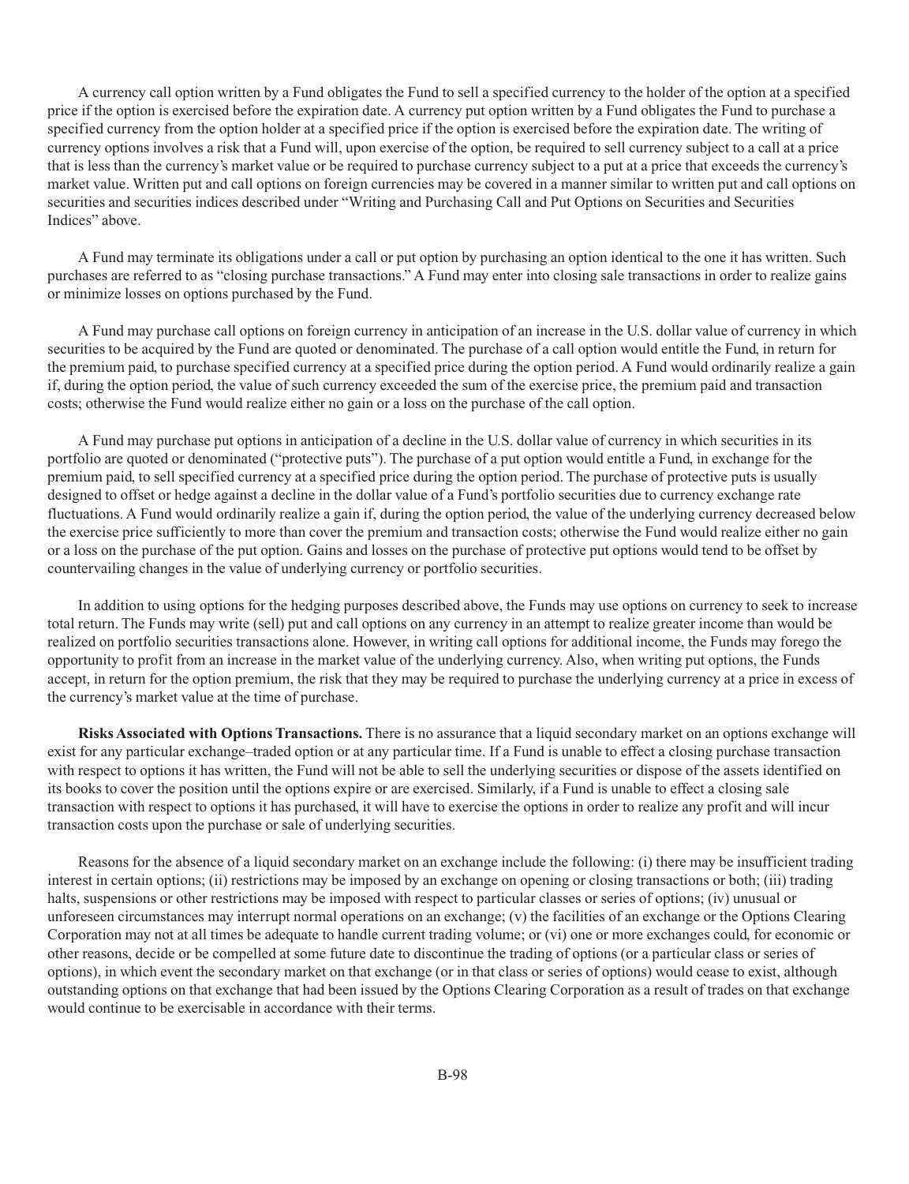A currency call option written by a Fund obligates the Fund to sell a specified currency to the holder of the option at a specified price if the option is exercised before the expiration date. A currency put option written by a Fund obligates the Fund to purchase a specified currency from the option holder at a specified price if the option is exercised before the expiration date. The writing of currency options involves a risk that a Fund will, upon exercise of the option, be required to sell currency subject to a call at a price that is less than the currency's market value or be required to purchase currency subject to a put at a price that exceeds the currency's market value. Written put and call options on foreign currencies may be covered in a manner similar to written put and call options on securities and securities indices described under "Writing and Purchasing Call and Put Options on Securities and Securities Indices" above.

A Fund may terminate its obligations under a call or put option by purchasing an option identical to the one it has written. Such purchases are referred to as "closing purchase transactions." A Fund may enter into closing sale transactions in order to realize gains or minimize losses on options purchased by the Fund.

A Fund may purchase call options on foreign currency in anticipation of an increase in the U.S. dollar value of currency in which securities to be acquired by the Fund are quoted or denominated. The purchase of a call option would entitle the Fund, in return for the premium paid, to purchase specified currency at a specified price during the option period. A Fund would ordinarily realize a gain if, during the option period, the value of such currency exceeded the sum of the exercise price, the premium paid and transaction costs; otherwise the Fund would realize either no gain or a loss on the purchase of the call option.

A Fund may purchase put options in anticipation of a decline in the U.S. dollar value of currency in which securities in its portfolio are quoted or denominated ("protective puts"). The purchase of a put option would entitle a Fund, in exchange for the premium paid, to sell specified currency at a specified price during the option period. The purchase of protective puts is usually designed to offset or hedge against a decline in the dollar value of a Fund's portfolio securities due to currency exchange rate fluctuations. A Fund would ordinarily realize a gain if, during the option period, the value of the underlying currency decreased below the exercise price sufficiently to more than cover the premium and transaction costs; otherwise the Fund would realize either no gain or a loss on the purchase of the put option. Gains and losses on the purchase of protective put options would tend to be offset by countervailing changes in the value of underlying currency or portfolio securities.

In addition to using options for the hedging purposes described above, the Funds may use options on currency to seek to increase total return. The Funds may write (sell) put and call options on any currency in an attempt to realize greater income than would be realized on portfolio securities transactions alone. However, in writing call options for additional income, the Funds may forego the opportunity to profit from an increase in the market value of the underlying currency. Also, when writing put options, the Funds accept, in return for the option premium, the risk that they may be required to purchase the underlying currency at a price in excess of the currency's market value at the time of purchase.

**Risks Associated with Options Transactions.** There is no assurance that a liquid secondary market on an options exchange will exist for any particular exchange–traded option or at any particular time. If a Fund is unable to effect a closing purchase transaction with respect to options it has written, the Fund will not be able to sell the underlying securities or dispose of the assets identified on its books to cover the position until the options expire or are exercised. Similarly, if a Fund is unable to effect a closing sale transaction with respect to options it has purchased, it will have to exercise the options in order to realize any profit and will incur transaction costs upon the purchase or sale of underlying securities.

Reasons for the absence of a liquid secondary market on an exchange include the following: (i) there may be insufficient trading interest in certain options; (ii) restrictions may be imposed by an exchange on opening or closing transactions or both; (iii) trading halts, suspensions or other restrictions may be imposed with respect to particular classes or series of options; (iv) unusual or unforeseen circumstances may interrupt normal operations on an exchange; (v) the facilities of an exchange or the Options Clearing Corporation may not at all times be adequate to handle current trading volume; or (vi) one or more exchanges could, for economic or other reasons, decide or be compelled at some future date to discontinue the trading of options (or a particular class or series of options), in which event the secondary market on that exchange (or in that class or series of options) would cease to exist, although outstanding options on that exchange that had been issued by the Options Clearing Corporation as a result of trades on that exchange would continue to be exercisable in accordance with their terms.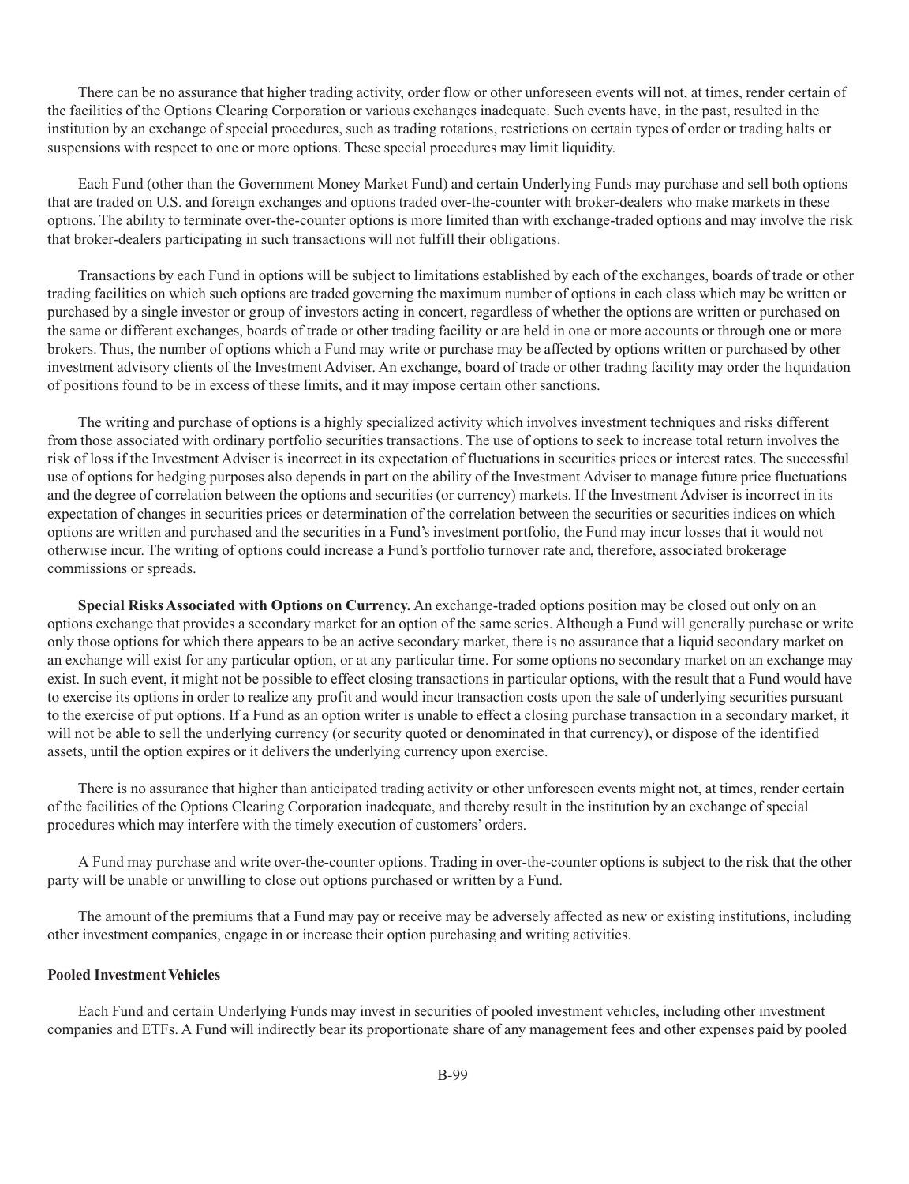There can be no assurance that higher trading activity, order flow or other unforeseen events will not, at times, render certain of the facilities of the Options Clearing Corporation or various exchanges inadequate. Such events have, in the past, resulted in the institution by an exchange of special procedures, such as trading rotations, restrictions on certain types of order or trading halts or suspensions with respect to one or more options. These special procedures may limit liquidity.

Each Fund (other than the Government Money Market Fund) and certain Underlying Funds may purchase and sell both options that are traded on U.S. and foreign exchanges and options traded over-the-counter with broker-dealers who make markets in these options. The ability to terminate over-the-counter options is more limited than with exchange-traded options and may involve the risk that broker-dealers participating in such transactions will not fulfill their obligations.

Transactions by each Fund in options will be subject to limitations established by each of the exchanges, boards of trade or other trading facilities on which such options are traded governing the maximum number of options in each class which may be written or purchased by a single investor or group of investors acting in concert, regardless of whether the options are written or purchased on the same or different exchanges, boards of trade or other trading facility or are held in one or more accounts or through one or more brokers. Thus, the number of options which a Fund may write or purchase may be affected by options written or purchased by other investment advisory clients of the Investment Adviser. An exchange, board of trade or other trading facility may order the liquidation of positions found to be in excess of these limits, and it may impose certain other sanctions.

The writing and purchase of options is a highly specialized activity which involves investment techniques and risks different from those associated with ordinary portfolio securities transactions. The use of options to seek to increase total return involves the risk of loss if the Investment Adviser is incorrect in its expectation of fluctuations in securities prices or interest rates. The successful use of options for hedging purposes also depends in part on the ability of the Investment Adviser to manage future price fluctuations and the degree of correlation between the options and securities (or currency) markets. If the Investment Adviser is incorrect in its expectation of changes in securities prices or determination of the correlation between the securities or securities indices on which options are written and purchased and the securities in a Fund's investment portfolio, the Fund may incur losses that it would not otherwise incur. The writing of options could increase a Fund's portfolio turnover rate and, therefore, associated brokerage commissions or spreads.

**Special Risks Associated with Options on Currency.** An exchange-traded options position may be closed out only on an options exchange that provides a secondary market for an option of the same series. Although a Fund will generally purchase or write only those options for which there appears to be an active secondary market, there is no assurance that a liquid secondary market on an exchange will exist for any particular option, or at any particular time. For some options no secondary market on an exchange may exist. In such event, it might not be possible to effect closing transactions in particular options, with the result that a Fund would have to exercise its options in order to realize any profit and would incur transaction costs upon the sale of underlying securities pursuant to the exercise of put options. If a Fund as an option writer is unable to effect a closing purchase transaction in a secondary market, it will not be able to sell the underlying currency (or security quoted or denominated in that currency), or dispose of the identified assets, until the option expires or it delivers the underlying currency upon exercise.

There is no assurance that higher than anticipated trading activity or other unforeseen events might not, at times, render certain of the facilities of the Options Clearing Corporation inadequate, and thereby result in the institution by an exchange of special procedures which may interfere with the timely execution of customers' orders.

A Fund may purchase and write over-the-counter options. Trading in over-the-counter options is subject to the risk that the other party will be unable or unwilling to close out options purchased or written by a Fund.

The amount of the premiums that a Fund may pay or receive may be adversely affected as new or existing institutions, including other investment companies, engage in or increase their option purchasing and writing activities.

### **Pooled Investment Vehicles**

Each Fund and certain Underlying Funds may invest in securities of pooled investment vehicles, including other investment companies and ETFs. A Fund will indirectly bear its proportionate share of any management fees and other expenses paid by pooled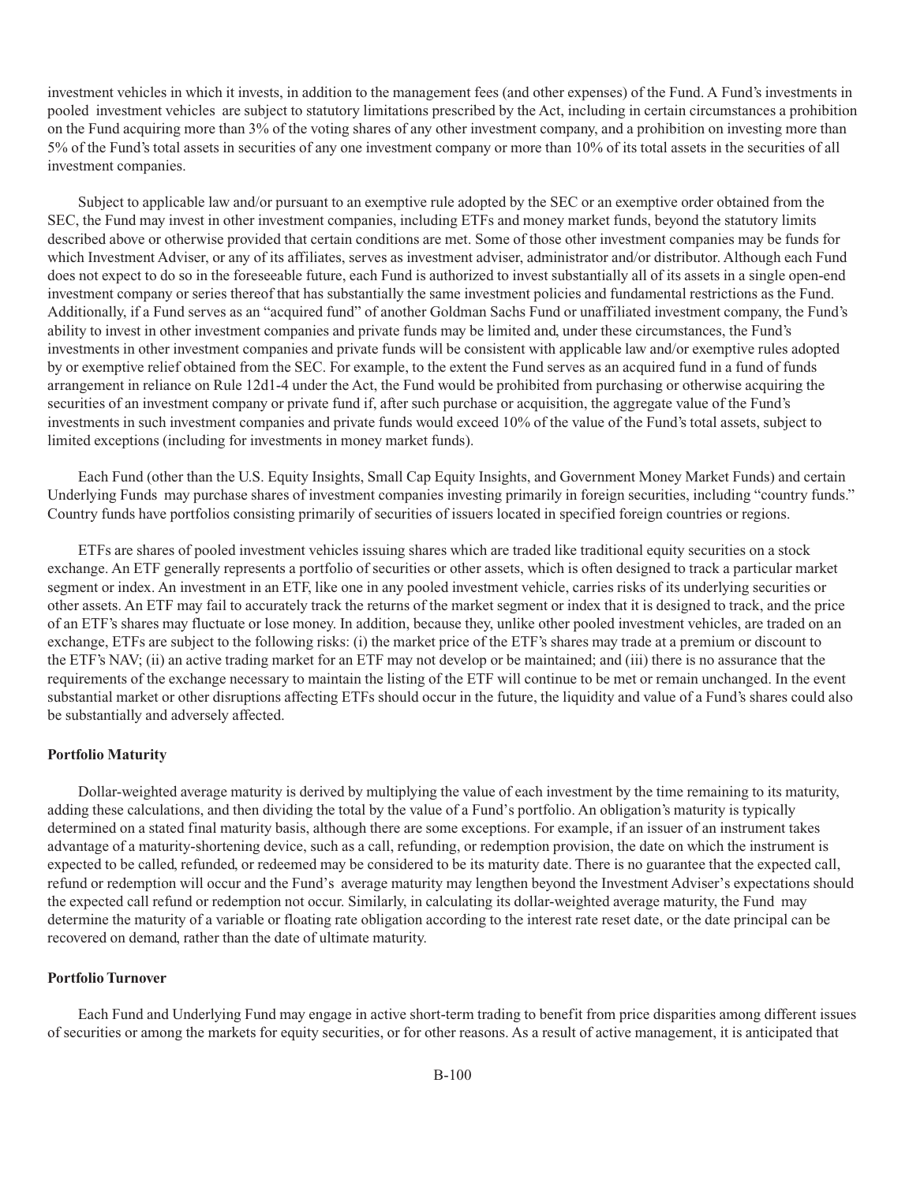investment vehicles in which it invests, in addition to the management fees (and other expenses) of the Fund. A Fund's investments in pooled investment vehicles are subject to statutory limitations prescribed by the Act, including in certain circumstances a prohibition on the Fund acquiring more than 3% of the voting shares of any other investment company, and a prohibition on investing more than 5% of the Fund's total assets in securities of any one investment company or more than 10% of its total assets in the securities of all investment companies.

Subject to applicable law and/or pursuant to an exemptive rule adopted by the SEC or an exemptive order obtained from the SEC, the Fund may invest in other investment companies, including ETFs and money market funds, beyond the statutory limits described above or otherwise provided that certain conditions are met. Some of those other investment companies may be funds for which Investment Adviser, or any of its affiliates, serves as investment adviser, administrator and/or distributor. Although each Fund does not expect to do so in the foreseeable future, each Fund is authorized to invest substantially all of its assets in a single open-end investment company or series thereof that has substantially the same investment policies and fundamental restrictions as the Fund. Additionally, if a Fund serves as an "acquired fund" of another Goldman Sachs Fund or unaffiliated investment company, the Fund's ability to invest in other investment companies and private funds may be limited and, under these circumstances, the Fund's investments in other investment companies and private funds will be consistent with applicable law and/or exemptive rules adopted by or exemptive relief obtained from the SEC. For example, to the extent the Fund serves as an acquired fund in a fund of funds arrangement in reliance on Rule 12d1-4 under the Act, the Fund would be prohibited from purchasing or otherwise acquiring the securities of an investment company or private fund if, after such purchase or acquisition, the aggregate value of the Fund's investments in such investment companies and private funds would exceed 10% of the value of the Fund's total assets, subject to limited exceptions (including for investments in money market funds).

Each Fund (other than the U.S. Equity Insights, Small Cap Equity Insights, and Government Money Market Funds) and certain Underlying Funds may purchase shares of investment companies investing primarily in foreign securities, including "country funds." Country funds have portfolios consisting primarily of securities of issuers located in specified foreign countries or regions.

ETFs are shares of pooled investment vehicles issuing shares which are traded like traditional equity securities on a stock exchange. An ETF generally represents a portfolio of securities or other assets, which is often designed to track a particular market segment or index. An investment in an ETF, like one in any pooled investment vehicle, carries risks of its underlying securities or other assets. An ETF may fail to accurately track the returns of the market segment or index that it is designed to track, and the price of an ETF's shares may fluctuate or lose money. In addition, because they, unlike other pooled investment vehicles, are traded on an exchange, ETFs are subject to the following risks: (i) the market price of the ETF's shares may trade at a premium or discount to the ETF's NAV; (ii) an active trading market for an ETF may not develop or be maintained; and (iii) there is no assurance that the requirements of the exchange necessary to maintain the listing of the ETF will continue to be met or remain unchanged. In the event substantial market or other disruptions affecting ETFs should occur in the future, the liquidity and value of a Fund's shares could also be substantially and adversely affected.

## **Portfolio Maturity**

Dollar-weighted average maturity is derived by multiplying the value of each investment by the time remaining to its maturity, adding these calculations, and then dividing the total by the value of a Fund's portfolio. An obligation's maturity is typically determined on a stated final maturity basis, although there are some exceptions. For example, if an issuer of an instrument takes advantage of a maturity-shortening device, such as a call, refunding, or redemption provision, the date on which the instrument is expected to be called, refunded, or redeemed may be considered to be its maturity date. There is no guarantee that the expected call, refund or redemption will occur and the Fund's average maturity may lengthen beyond the Investment Adviser's expectations should the expected call refund or redemption not occur. Similarly, in calculating its dollar-weighted average maturity, the Fund may determine the maturity of a variable or floating rate obligation according to the interest rate reset date, or the date principal can be recovered on demand, rather than the date of ultimate maturity.

## **Portfolio Turnover**

Each Fund and Underlying Fund may engage in active short-term trading to benefit from price disparities among different issues of securities or among the markets for equity securities, or for other reasons. As a result of active management, it is anticipated that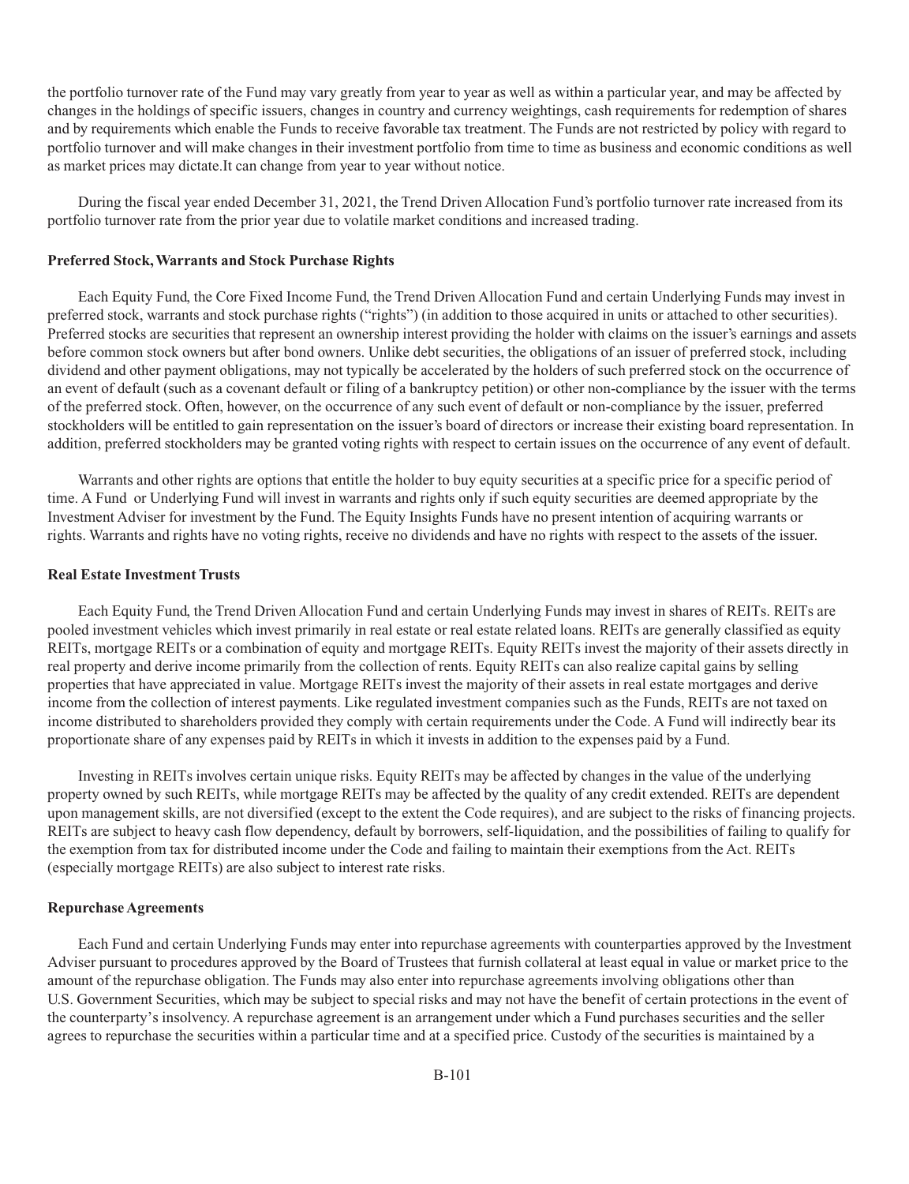the portfolio turnover rate of the Fund may vary greatly from year to year as well as within a particular year, and may be affected by changes in the holdings of specific issuers, changes in country and currency weightings, cash requirements for redemption of shares and by requirements which enable the Funds to receive favorable tax treatment. The Funds are not restricted by policy with regard to portfolio turnover and will make changes in their investment portfolio from time to time as business and economic conditions as well as market prices may dictate.It can change from year to year without notice.

During the fiscal year ended December 31, 2021, the Trend Driven Allocation Fund's portfolio turnover rate increased from its portfolio turnover rate from the prior year due to volatile market conditions and increased trading.

### **Preferred Stock,Warrants and Stock Purchase Rights**

Each Equity Fund, the Core Fixed Income Fund, the Trend Driven Allocation Fund and certain Underlying Funds may invest in preferred stock, warrants and stock purchase rights ("rights") (in addition to those acquired in units or attached to other securities). Preferred stocks are securities that represent an ownership interest providing the holder with claims on the issuer's earnings and assets before common stock owners but after bond owners. Unlike debt securities, the obligations of an issuer of preferred stock, including dividend and other payment obligations, may not typically be accelerated by the holders of such preferred stock on the occurrence of an event of default (such as a covenant default or filing of a bankruptcy petition) or other non-compliance by the issuer with the terms of the preferred stock. Often, however, on the occurrence of any such event of default or non-compliance by the issuer, preferred stockholders will be entitled to gain representation on the issuer's board of directors or increase their existing board representation. In addition, preferred stockholders may be granted voting rights with respect to certain issues on the occurrence of any event of default.

Warrants and other rights are options that entitle the holder to buy equity securities at a specific price for a specific period of time. A Fund or Underlying Fund will invest in warrants and rights only if such equity securities are deemed appropriate by the Investment Adviser for investment by the Fund. The Equity Insights Funds have no present intention of acquiring warrants or rights. Warrants and rights have no voting rights, receive no dividends and have no rights with respect to the assets of the issuer.

## **Real Estate Investment Trusts**

Each Equity Fund, the Trend Driven Allocation Fund and certain Underlying Funds may invest in shares of REITs. REITs are pooled investment vehicles which invest primarily in real estate or real estate related loans. REITs are generally classified as equity REITs, mortgage REITs or a combination of equity and mortgage REITs. Equity REITs invest the majority of their assets directly in real property and derive income primarily from the collection of rents. Equity REITs can also realize capital gains by selling properties that have appreciated in value. Mortgage REITs invest the majority of their assets in real estate mortgages and derive income from the collection of interest payments. Like regulated investment companies such as the Funds, REITs are not taxed on income distributed to shareholders provided they comply with certain requirements under the Code. A Fund will indirectly bear its proportionate share of any expenses paid by REITs in which it invests in addition to the expenses paid by a Fund.

Investing in REITs involves certain unique risks. Equity REITs may be affected by changes in the value of the underlying property owned by such REITs, while mortgage REITs may be affected by the quality of any credit extended. REITs are dependent upon management skills, are not diversified (except to the extent the Code requires), and are subject to the risks of financing projects. REITs are subject to heavy cash flow dependency, default by borrowers, self-liquidation, and the possibilities of failing to qualify for the exemption from tax for distributed income under the Code and failing to maintain their exemptions from the Act. REITs (especially mortgage REITs) are also subject to interest rate risks.

#### **Repurchase Agreements**

Each Fund and certain Underlying Funds may enter into repurchase agreements with counterparties approved by the Investment Adviser pursuant to procedures approved by the Board of Trustees that furnish collateral at least equal in value or market price to the amount of the repurchase obligation. The Funds may also enter into repurchase agreements involving obligations other than U.S. Government Securities, which may be subject to special risks and may not have the benefit of certain protections in the event of the counterparty's insolvency. A repurchase agreement is an arrangement under which a Fund purchases securities and the seller agrees to repurchase the securities within a particular time and at a specified price. Custody of the securities is maintained by a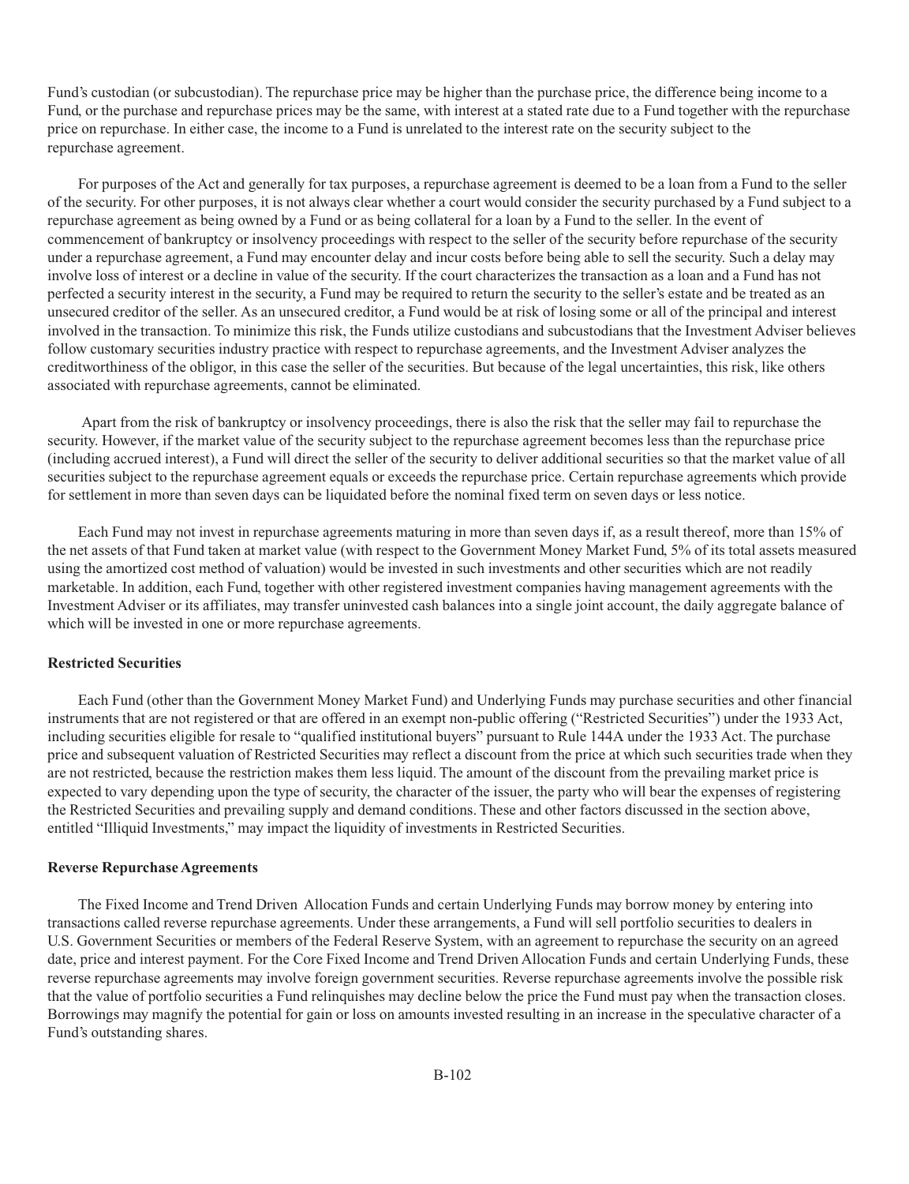Fund's custodian (or subcustodian). The repurchase price may be higher than the purchase price, the difference being income to a Fund, or the purchase and repurchase prices may be the same, with interest at a stated rate due to a Fund together with the repurchase price on repurchase. In either case, the income to a Fund is unrelated to the interest rate on the security subject to the repurchase agreement.

For purposes of the Act and generally for tax purposes, a repurchase agreement is deemed to be a loan from a Fund to the seller of the security. For other purposes, it is not always clear whether a court would consider the security purchased by a Fund subject to a repurchase agreement as being owned by a Fund or as being collateral for a loan by a Fund to the seller. In the event of commencement of bankruptcy or insolvency proceedings with respect to the seller of the security before repurchase of the security under a repurchase agreement, a Fund may encounter delay and incur costs before being able to sell the security. Such a delay may involve loss of interest or a decline in value of the security. If the court characterizes the transaction as a loan and a Fund has not perfected a security interest in the security, a Fund may be required to return the security to the seller's estate and be treated as an unsecured creditor of the seller. As an unsecured creditor, a Fund would be at risk of losing some or all of the principal and interest involved in the transaction. To minimize this risk, the Funds utilize custodians and subcustodians that the Investment Adviser believes follow customary securities industry practice with respect to repurchase agreements, and the Investment Adviser analyzes the creditworthiness of the obligor, in this case the seller of the securities. But because of the legal uncertainties, this risk, like others associated with repurchase agreements, cannot be eliminated.

Apart from the risk of bankruptcy or insolvency proceedings, there is also the risk that the seller may fail to repurchase the security. However, if the market value of the security subject to the repurchase agreement becomes less than the repurchase price (including accrued interest), a Fund will direct the seller of the security to deliver additional securities so that the market value of all securities subject to the repurchase agreement equals or exceeds the repurchase price. Certain repurchase agreements which provide for settlement in more than seven days can be liquidated before the nominal fixed term on seven days or less notice.

Each Fund may not invest in repurchase agreements maturing in more than seven days if, as a result thereof, more than 15% of the net assets of that Fund taken at market value (with respect to the Government Money Market Fund, 5% of its total assets measured using the amortized cost method of valuation) would be invested in such investments and other securities which are not readily marketable. In addition, each Fund, together with other registered investment companies having management agreements with the Investment Adviser or its affiliates, may transfer uninvested cash balances into a single joint account, the daily aggregate balance of which will be invested in one or more repurchase agreements.

# **Restricted Securities**

Each Fund (other than the Government Money Market Fund) and Underlying Funds may purchase securities and other financial instruments that are not registered or that are offered in an exempt non-public offering ("Restricted Securities") under the 1933 Act, including securities eligible for resale to "qualified institutional buyers" pursuant to Rule 144A under the 1933 Act. The purchase price and subsequent valuation of Restricted Securities may reflect a discount from the price at which such securities trade when they are not restricted, because the restriction makes them less liquid. The amount of the discount from the prevailing market price is expected to vary depending upon the type of security, the character of the issuer, the party who will bear the expenses of registering the Restricted Securities and prevailing supply and demand conditions. These and other factors discussed in the section above, entitled "Illiquid Investments," may impact the liquidity of investments in Restricted Securities.

## **Reverse Repurchase Agreements**

The Fixed Income and Trend Driven Allocation Funds and certain Underlying Funds may borrow money by entering into transactions called reverse repurchase agreements. Under these arrangements, a Fund will sell portfolio securities to dealers in U.S. Government Securities or members of the Federal Reserve System, with an agreement to repurchase the security on an agreed date, price and interest payment. For the Core Fixed Income and Trend Driven Allocation Funds and certain Underlying Funds, these reverse repurchase agreements may involve foreign government securities. Reverse repurchase agreements involve the possible risk that the value of portfolio securities a Fund relinquishes may decline below the price the Fund must pay when the transaction closes. Borrowings may magnify the potential for gain or loss on amounts invested resulting in an increase in the speculative character of a Fund's outstanding shares.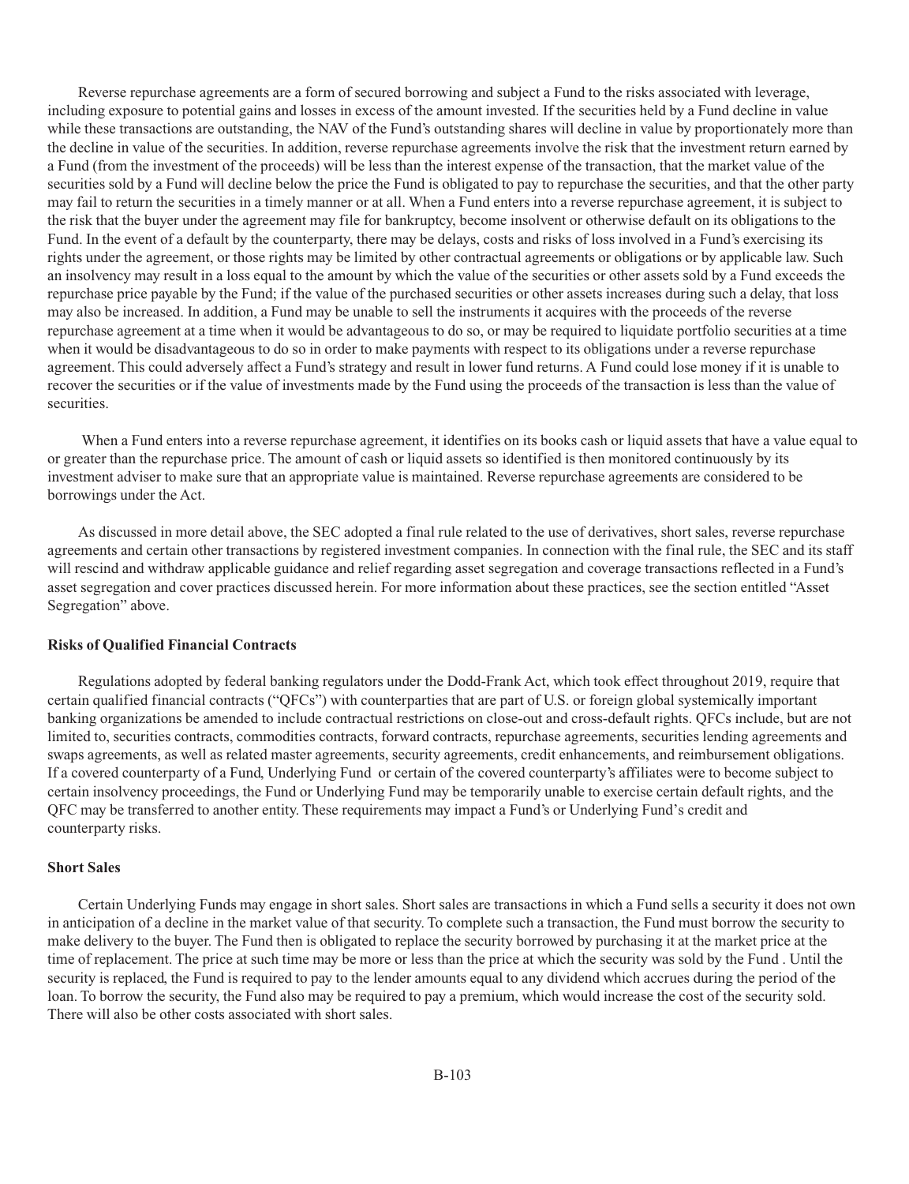Reverse repurchase agreements are a form of secured borrowing and subject a Fund to the risks associated with leverage, including exposure to potential gains and losses in excess of the amount invested. If the securities held by a Fund decline in value while these transactions are outstanding, the NAV of the Fund's outstanding shares will decline in value by proportionately more than the decline in value of the securities. In addition, reverse repurchase agreements involve the risk that the investment return earned by a Fund (from the investment of the proceeds) will be less than the interest expense of the transaction, that the market value of the securities sold by a Fund will decline below the price the Fund is obligated to pay to repurchase the securities, and that the other party may fail to return the securities in a timely manner or at all. When a Fund enters into a reverse repurchase agreement, it is subject to the risk that the buyer under the agreement may file for bankruptcy, become insolvent or otherwise default on its obligations to the Fund. In the event of a default by the counterparty, there may be delays, costs and risks of loss involved in a Fund's exercising its rights under the agreement, or those rights may be limited by other contractual agreements or obligations or by applicable law. Such an insolvency may result in a loss equal to the amount by which the value of the securities or other assets sold by a Fund exceeds the repurchase price payable by the Fund; if the value of the purchased securities or other assets increases during such a delay, that loss may also be increased. In addition, a Fund may be unable to sell the instruments it acquires with the proceeds of the reverse repurchase agreement at a time when it would be advantageous to do so, or may be required to liquidate portfolio securities at a time when it would be disadvantageous to do so in order to make payments with respect to its obligations under a reverse repurchase agreement. This could adversely affect a Fund's strategy and result in lower fund returns. A Fund could lose money if it is unable to recover the securities or if the value of investments made by the Fund using the proceeds of the transaction is less than the value of securities.

When a Fund enters into a reverse repurchase agreement, it identifies on its books cash or liquid assets that have a value equal to or greater than the repurchase price. The amount of cash or liquid assets so identified is then monitored continuously by its investment adviser to make sure that an appropriate value is maintained. Reverse repurchase agreements are considered to be borrowings under the Act.

As discussed in more detail above, the SEC adopted a final rule related to the use of derivatives, short sales, reverse repurchase agreements and certain other transactions by registered investment companies. In connection with the final rule, the SEC and its staff will rescind and withdraw applicable guidance and relief regarding asset segregation and coverage transactions reflected in a Fund's asset segregation and cover practices discussed herein. For more information about these practices, see the section entitled "Asset Segregation" above.

#### **Risks of Qualified Financial Contracts**

Regulations adopted by federal banking regulators under the Dodd-Frank Act, which took effect throughout 2019, require that certain qualified financial contracts ("QFCs") with counterparties that are part of U.S. or foreign global systemically important banking organizations be amended to include contractual restrictions on close-out and cross-default rights. QFCs include, but are not limited to, securities contracts, commodities contracts, forward contracts, repurchase agreements, securities lending agreements and swaps agreements, as well as related master agreements, security agreements, credit enhancements, and reimbursement obligations. If a covered counterparty of a Fund, Underlying Fund or certain of the covered counterparty's affiliates were to become subject to certain insolvency proceedings, the Fund or Underlying Fund may be temporarily unable to exercise certain default rights, and the QFC may be transferred to another entity. These requirements may impact a Fund's or Underlying Fund's credit and counterparty risks.

## **Short Sales**

Certain Underlying Funds may engage in short sales. Short sales are transactions in which a Fund sells a security it does not own in anticipation of a decline in the market value of that security. To complete such a transaction, the Fund must borrow the security to make delivery to the buyer. The Fund then is obligated to replace the security borrowed by purchasing it at the market price at the time of replacement. The price at such time may be more or less than the price at which the security was sold by the Fund . Until the security is replaced, the Fund is required to pay to the lender amounts equal to any dividend which accrues during the period of the loan. To borrow the security, the Fund also may be required to pay a premium, which would increase the cost of the security sold. There will also be other costs associated with short sales.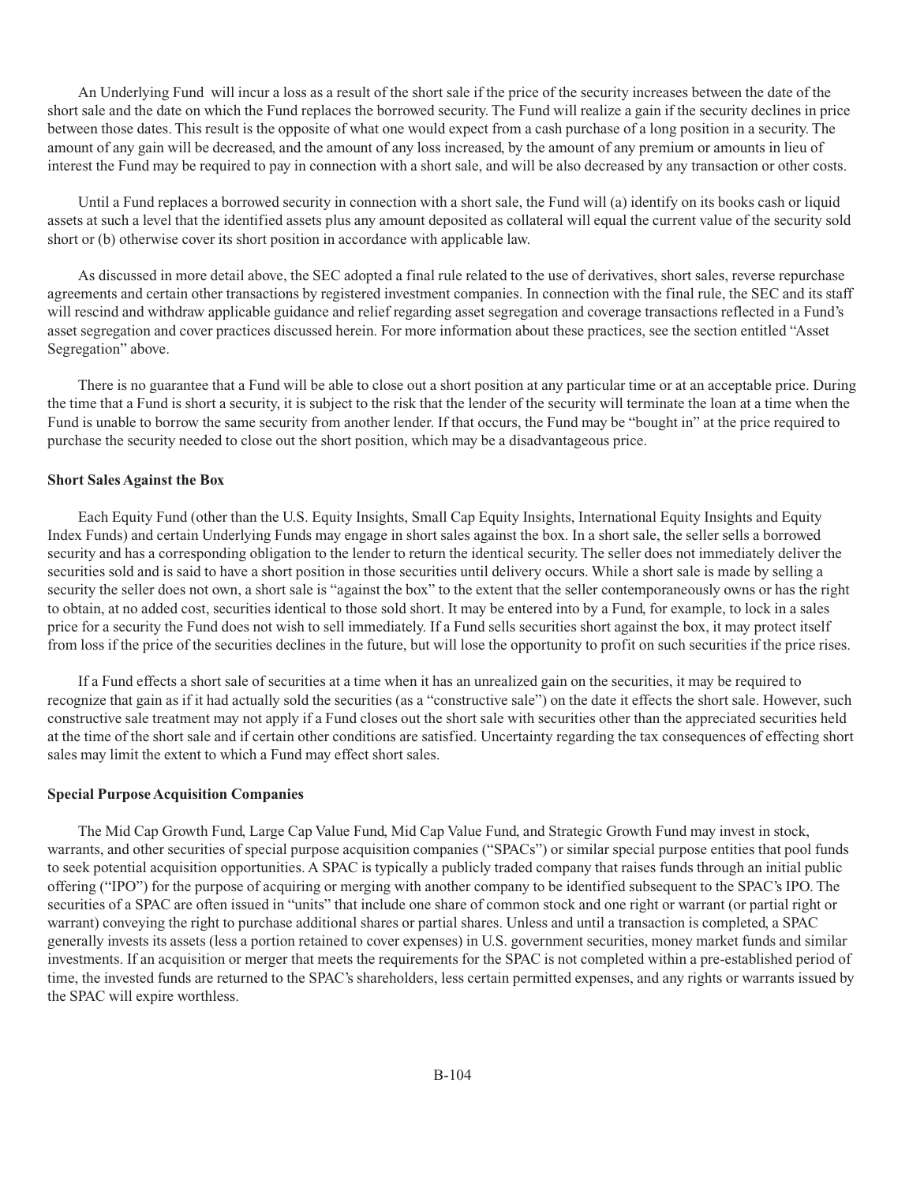An Underlying Fund will incur a loss as a result of the short sale if the price of the security increases between the date of the short sale and the date on which the Fund replaces the borrowed security. The Fund will realize a gain if the security declines in price between those dates. This result is the opposite of what one would expect from a cash purchase of a long position in a security. The amount of any gain will be decreased, and the amount of any loss increased, by the amount of any premium or amounts in lieu of interest the Fund may be required to pay in connection with a short sale, and will be also decreased by any transaction or other costs.

Until a Fund replaces a borrowed security in connection with a short sale, the Fund will (a) identify on its books cash or liquid assets at such a level that the identified assets plus any amount deposited as collateral will equal the current value of the security sold short or (b) otherwise cover its short position in accordance with applicable law.

As discussed in more detail above, the SEC adopted a final rule related to the use of derivatives, short sales, reverse repurchase agreements and certain other transactions by registered investment companies. In connection with the final rule, the SEC and its staff will rescind and withdraw applicable guidance and relief regarding asset segregation and coverage transactions reflected in a Fund's asset segregation and cover practices discussed herein. For more information about these practices, see the section entitled "Asset Segregation" above.

There is no guarantee that a Fund will be able to close out a short position at any particular time or at an acceptable price. During the time that a Fund is short a security, it is subject to the risk that the lender of the security will terminate the loan at a time when the Fund is unable to borrow the same security from another lender. If that occurs, the Fund may be "bought in" at the price required to purchase the security needed to close out the short position, which may be a disadvantageous price.

## **Short Sales Against the Box**

Each Equity Fund (other than the U.S. Equity Insights, Small Cap Equity Insights, International Equity Insights and Equity Index Funds) and certain Underlying Funds may engage in short sales against the box. In a short sale, the seller sells a borrowed security and has a corresponding obligation to the lender to return the identical security. The seller does not immediately deliver the securities sold and is said to have a short position in those securities until delivery occurs. While a short sale is made by selling a security the seller does not own, a short sale is "against the box" to the extent that the seller contemporaneously owns or has the right to obtain, at no added cost, securities identical to those sold short. It may be entered into by a Fund, for example, to lock in a sales price for a security the Fund does not wish to sell immediately. If a Fund sells securities short against the box, it may protect itself from loss if the price of the securities declines in the future, but will lose the opportunity to profit on such securities if the price rises.

If a Fund effects a short sale of securities at a time when it has an unrealized gain on the securities, it may be required to recognize that gain as if it had actually sold the securities (as a "constructive sale") on the date it effects the short sale. However, such constructive sale treatment may not apply if a Fund closes out the short sale with securities other than the appreciated securities held at the time of the short sale and if certain other conditions are satisfied. Uncertainty regarding the tax consequences of effecting short sales may limit the extent to which a Fund may effect short sales.

#### **Special Purpose Acquisition Companies**

The Mid Cap Growth Fund, Large Cap Value Fund, Mid Cap Value Fund, and Strategic Growth Fund may invest in stock, warrants, and other securities of special purpose acquisition companies ("SPACs") or similar special purpose entities that pool funds to seek potential acquisition opportunities. A SPAC is typically a publicly traded company that raises funds through an initial public offering ("IPO") for the purpose of acquiring or merging with another company to be identified subsequent to the SPAC's IPO. The securities of a SPAC are often issued in "units" that include one share of common stock and one right or warrant (or partial right or warrant) conveying the right to purchase additional shares or partial shares. Unless and until a transaction is completed, a SPAC generally invests its assets (less a portion retained to cover expenses) in U.S. government securities, money market funds and similar investments. If an acquisition or merger that meets the requirements for the SPAC is not completed within a pre-established period of time, the invested funds are returned to the SPAC's shareholders, less certain permitted expenses, and any rights or warrants issued by the SPAC will expire worthless.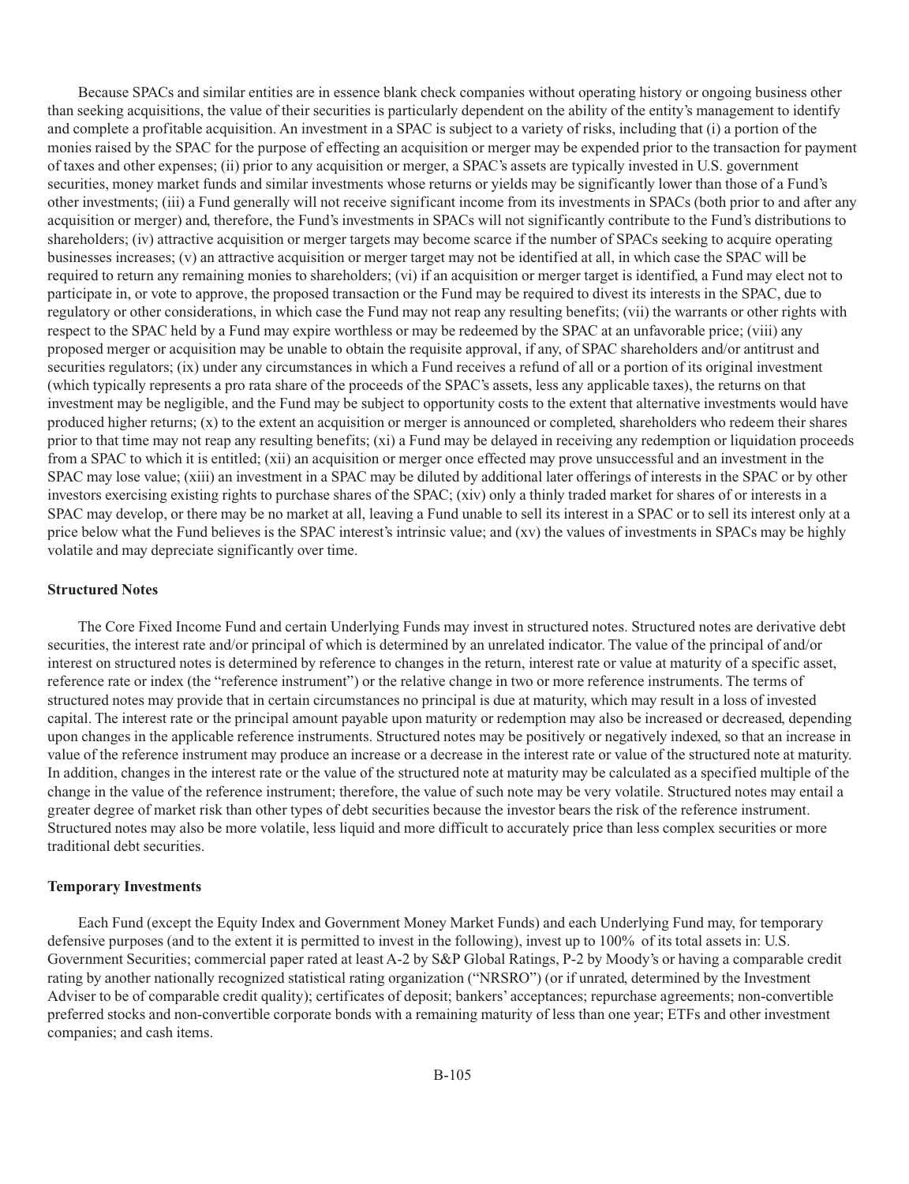Because SPACs and similar entities are in essence blank check companies without operating history or ongoing business other than seeking acquisitions, the value of their securities is particularly dependent on the ability of the entity's management to identify and complete a profitable acquisition. An investment in a SPAC is subject to a variety of risks, including that (i) a portion of the monies raised by the SPAC for the purpose of effecting an acquisition or merger may be expended prior to the transaction for payment of taxes and other expenses; (ii) prior to any acquisition or merger, a SPAC's assets are typically invested in U.S. government securities, money market funds and similar investments whose returns or yields may be significantly lower than those of a Fund's other investments; (iii) a Fund generally will not receive significant income from its investments in SPACs (both prior to and after any acquisition or merger) and, therefore, the Fund's investments in SPACs will not significantly contribute to the Fund's distributions to shareholders; (iv) attractive acquisition or merger targets may become scarce if the number of SPACs seeking to acquire operating businesses increases; (v) an attractive acquisition or merger target may not be identified at all, in which case the SPAC will be required to return any remaining monies to shareholders; (vi) if an acquisition or merger target is identified, a Fund may elect not to participate in, or vote to approve, the proposed transaction or the Fund may be required to divest its interests in the SPAC, due to regulatory or other considerations, in which case the Fund may not reap any resulting benefits; (vii) the warrants or other rights with respect to the SPAC held by a Fund may expire worthless or may be redeemed by the SPAC at an unfavorable price; (viii) any proposed merger or acquisition may be unable to obtain the requisite approval, if any, of SPAC shareholders and/or antitrust and securities regulators; (ix) under any circumstances in which a Fund receives a refund of all or a portion of its original investment (which typically represents a pro rata share of the proceeds of the SPAC's assets, less any applicable taxes), the returns on that investment may be negligible, and the Fund may be subject to opportunity costs to the extent that alternative investments would have produced higher returns;  $(x)$  to the extent an acquisition or merger is announced or completed, shareholders who redeem their shares prior to that time may not reap any resulting benefits; (xi) a Fund may be delayed in receiving any redemption or liquidation proceeds from a SPAC to which it is entitled; (xii) an acquisition or merger once effected may prove unsuccessful and an investment in the SPAC may lose value; (xiii) an investment in a SPAC may be diluted by additional later offerings of interests in the SPAC or by other investors exercising existing rights to purchase shares of the SPAC; (xiv) only a thinly traded market for shares of or interests in a SPAC may develop, or there may be no market at all, leaving a Fund unable to sell its interest in a SPAC or to sell its interest only at a price below what the Fund believes is the SPAC interest's intrinsic value; and (xv) the values of investments in SPACs may be highly volatile and may depreciate significantly over time.

### **Structured Notes**

The Core Fixed Income Fund and certain Underlying Funds may invest in structured notes. Structured notes are derivative debt securities, the interest rate and/or principal of which is determined by an unrelated indicator. The value of the principal of and/or interest on structured notes is determined by reference to changes in the return, interest rate or value at maturity of a specific asset, reference rate or index (the "reference instrument") or the relative change in two or more reference instruments. The terms of structured notes may provide that in certain circumstances no principal is due at maturity, which may result in a loss of invested capital. The interest rate or the principal amount payable upon maturity or redemption may also be increased or decreased, depending upon changes in the applicable reference instruments. Structured notes may be positively or negatively indexed, so that an increase in value of the reference instrument may produce an increase or a decrease in the interest rate or value of the structured note at maturity. In addition, changes in the interest rate or the value of the structured note at maturity may be calculated as a specified multiple of the change in the value of the reference instrument; therefore, the value of such note may be very volatile. Structured notes may entail a greater degree of market risk than other types of debt securities because the investor bears the risk of the reference instrument. Structured notes may also be more volatile, less liquid and more difficult to accurately price than less complex securities or more traditional debt securities.

## **Temporary Investments**

Each Fund (except the Equity Index and Government Money Market Funds) and each Underlying Fund may, for temporary defensive purposes (and to the extent it is permitted to invest in the following), invest up to 100% of its total assets in: U.S. Government Securities; commercial paper rated at least A-2 by S&P Global Ratings, P-2 by Moody's or having a comparable credit rating by another nationally recognized statistical rating organization ("NRSRO") (or if unrated, determined by the Investment Adviser to be of comparable credit quality); certificates of deposit; bankers' acceptances; repurchase agreements; non-convertible preferred stocks and non-convertible corporate bonds with a remaining maturity of less than one year; ETFs and other investment companies; and cash items.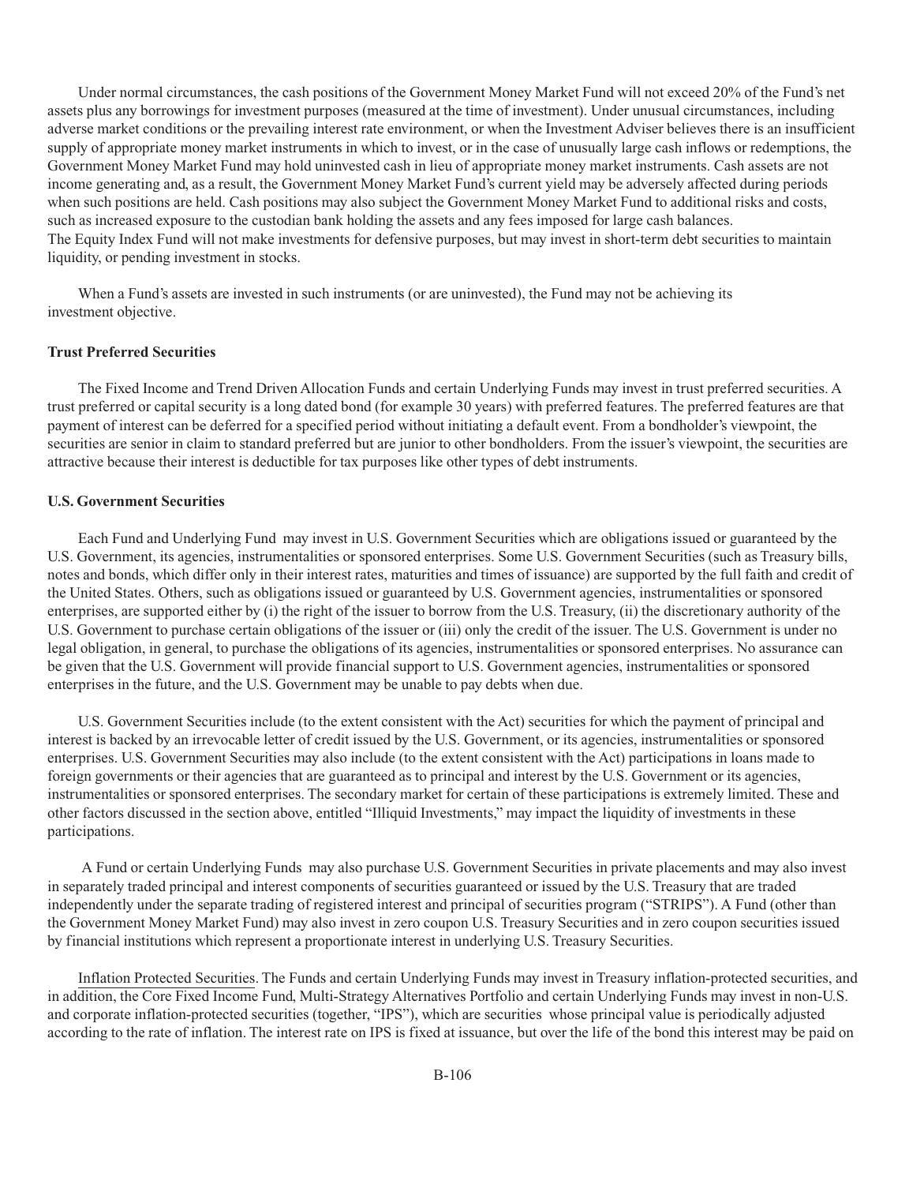Under normal circumstances, the cash positions of the Government Money Market Fund will not exceed 20% of the Fund's net assets plus any borrowings for investment purposes (measured at the time of investment). Under unusual circumstances, including adverse market conditions or the prevailing interest rate environment, or when the Investment Adviser believes there is an insufficient supply of appropriate money market instruments in which to invest, or in the case of unusually large cash inflows or redemptions, the Government Money Market Fund may hold uninvested cash in lieu of appropriate money market instruments. Cash assets are not income generating and, as a result, the Government Money Market Fund's current yield may be adversely affected during periods when such positions are held. Cash positions may also subject the Government Money Market Fund to additional risks and costs, such as increased exposure to the custodian bank holding the assets and any fees imposed for large cash balances. The Equity Index Fund will not make investments for defensive purposes, but may invest in short-term debt securities to maintain liquidity, or pending investment in stocks.

When a Fund's assets are invested in such instruments (or are uninvested), the Fund may not be achieving its investment objective.

## **Trust Preferred Securities**

The Fixed Income and Trend Driven Allocation Funds and certain Underlying Funds may invest in trust preferred securities. A trust preferred or capital security is a long dated bond (for example 30 years) with preferred features. The preferred features are that payment of interest can be deferred for a specified period without initiating a default event. From a bondholder's viewpoint, the securities are senior in claim to standard preferred but are junior to other bondholders. From the issuer's viewpoint, the securities are attractive because their interest is deductible for tax purposes like other types of debt instruments.

#### **U.S. Government Securities**

Each Fund and Underlying Fund may invest in U.S. Government Securities which are obligations issued or guaranteed by the U.S. Government, its agencies, instrumentalities or sponsored enterprises. Some U.S. Government Securities (such as Treasury bills, notes and bonds, which differ only in their interest rates, maturities and times of issuance) are supported by the full faith and credit of the United States. Others, such as obligations issued or guaranteed by U.S. Government agencies, instrumentalities or sponsored enterprises, are supported either by (i) the right of the issuer to borrow from the U.S. Treasury, (ii) the discretionary authority of the U.S. Government to purchase certain obligations of the issuer or (iii) only the credit of the issuer. The U.S. Government is under no legal obligation, in general, to purchase the obligations of its agencies, instrumentalities or sponsored enterprises. No assurance can be given that the U.S. Government will provide financial support to U.S. Government agencies, instrumentalities or sponsored enterprises in the future, and the U.S. Government may be unable to pay debts when due.

U.S. Government Securities include (to the extent consistent with the Act) securities for which the payment of principal and interest is backed by an irrevocable letter of credit issued by the U.S. Government, or its agencies, instrumentalities or sponsored enterprises. U.S. Government Securities may also include (to the extent consistent with the Act) participations in loans made to foreign governments or their agencies that are guaranteed as to principal and interest by the U.S. Government or its agencies, instrumentalities or sponsored enterprises. The secondary market for certain of these participations is extremely limited. These and other factors discussed in the section above, entitled "Illiquid Investments," may impact the liquidity of investments in these participations.

A Fund or certain Underlying Funds may also purchase U.S. Government Securities in private placements and may also invest in separately traded principal and interest components of securities guaranteed or issued by the U.S. Treasury that are traded independently under the separate trading of registered interest and principal of securities program ("STRIPS"). A Fund (other than the Government Money Market Fund) may also invest in zero coupon U.S. Treasury Securities and in zero coupon securities issued by financial institutions which represent a proportionate interest in underlying U.S. Treasury Securities.

Inflation Protected Securities. The Funds and certain Underlying Funds may invest in Treasury inflation-protected securities, and in addition, the Core Fixed Income Fund, Multi-Strategy Alternatives Portfolio and certain Underlying Funds may invest in non-U.S. and corporate inflation-protected securities (together, "IPS"), which are securities whose principal value is periodically adjusted according to the rate of inflation. The interest rate on IPS is fixed at issuance, but over the life of the bond this interest may be paid on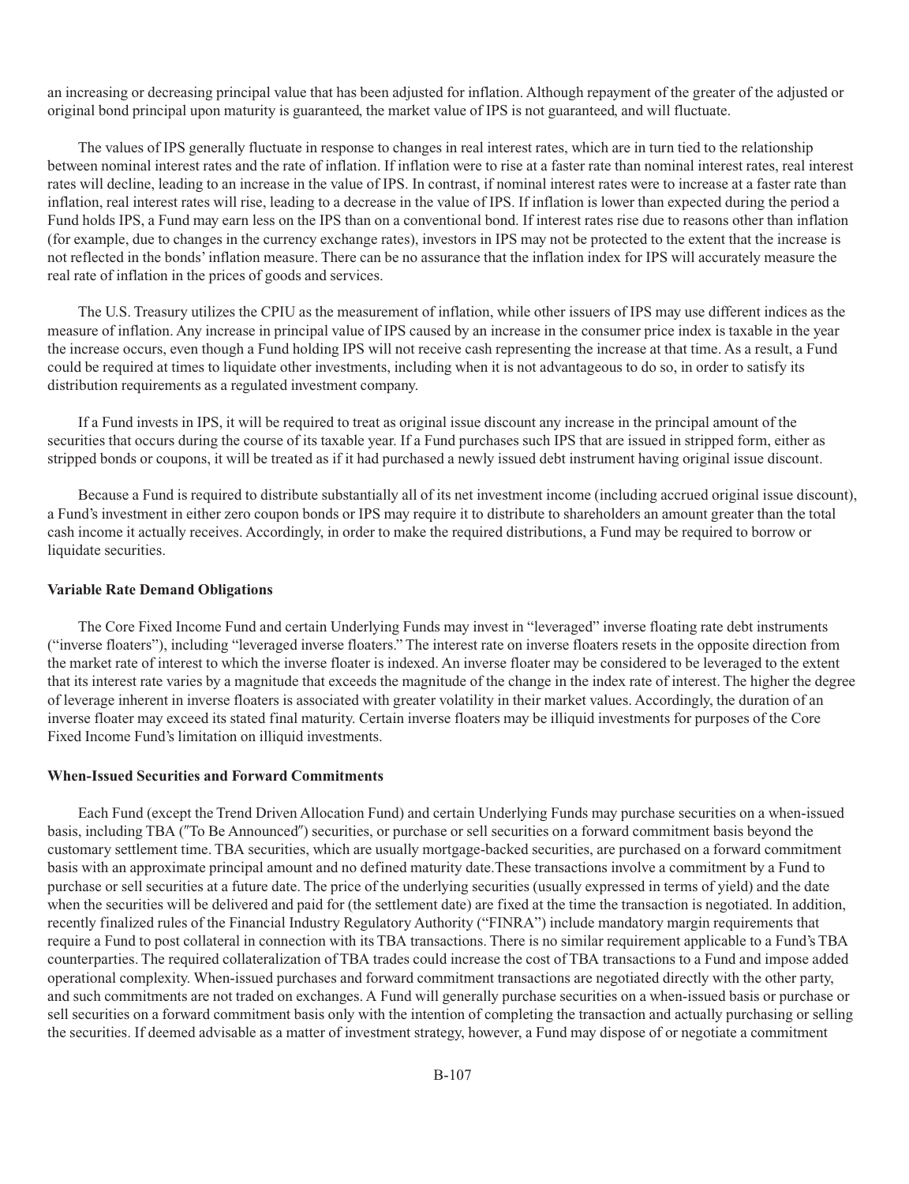an increasing or decreasing principal value that has been adjusted for inflation. Although repayment of the greater of the adjusted or original bond principal upon maturity is guaranteed, the market value of IPS is not guaranteed, and will fluctuate.

The values of IPS generally fluctuate in response to changes in real interest rates, which are in turn tied to the relationship between nominal interest rates and the rate of inflation. If inflation were to rise at a faster rate than nominal interest rates, real interest rates will decline, leading to an increase in the value of IPS. In contrast, if nominal interest rates were to increase at a faster rate than inflation, real interest rates will rise, leading to a decrease in the value of IPS. If inflation is lower than expected during the period a Fund holds IPS, a Fund may earn less on the IPS than on a conventional bond. If interest rates rise due to reasons other than inflation (for example, due to changes in the currency exchange rates), investors in IPS may not be protected to the extent that the increase is not reflected in the bonds' inflation measure. There can be no assurance that the inflation index for IPS will accurately measure the real rate of inflation in the prices of goods and services.

The U.S. Treasury utilizes the CPIU as the measurement of inflation, while other issuers of IPS may use different indices as the measure of inflation. Any increase in principal value of IPS caused by an increase in the consumer price index is taxable in the year the increase occurs, even though a Fund holding IPS will not receive cash representing the increase at that time. As a result, a Fund could be required at times to liquidate other investments, including when it is not advantageous to do so, in order to satisfy its distribution requirements as a regulated investment company.

If a Fund invests in IPS, it will be required to treat as original issue discount any increase in the principal amount of the securities that occurs during the course of its taxable year. If a Fund purchases such IPS that are issued in stripped form, either as stripped bonds or coupons, it will be treated as if it had purchased a newly issued debt instrument having original issue discount.

Because a Fund is required to distribute substantially all of its net investment income (including accrued original issue discount), a Fund's investment in either zero coupon bonds or IPS may require it to distribute to shareholders an amount greater than the total cash income it actually receives. Accordingly, in order to make the required distributions, a Fund may be required to borrow or liquidate securities.

#### **Variable Rate Demand Obligations**

The Core Fixed Income Fund and certain Underlying Funds may invest in "leveraged" inverse floating rate debt instruments ("inverse floaters"), including "leveraged inverse floaters." The interest rate on inverse floaters resets in the opposite direction from the market rate of interest to which the inverse floater is indexed. An inverse floater may be considered to be leveraged to the extent that its interest rate varies by a magnitude that exceeds the magnitude of the change in the index rate of interest. The higher the degree of leverage inherent in inverse floaters is associated with greater volatility in their market values. Accordingly, the duration of an inverse floater may exceed its stated final maturity. Certain inverse floaters may be illiquid investments for purposes of the Core Fixed Income Fund's limitation on illiquid investments.

## **When-Issued Securities and Forward Commitments**

Each Fund (except the Trend Driven Allocation Fund) and certain Underlying Funds may purchase securities on a when-issued basis, including TBA ("To Be Announced") securities, or purchase or sell securities on a forward commitment basis beyond the customary settlement time. TBA securities, which are usually mortgage-backed securities, are purchased on a forward commitment basis with an approximate principal amount and no defined maturity date.These transactions involve a commitment by a Fund to purchase or sell securities at a future date. The price of the underlying securities (usually expressed in terms of yield) and the date when the securities will be delivered and paid for (the settlement date) are fixed at the time the transaction is negotiated. In addition, recently finalized rules of the Financial Industry Regulatory Authority ("FINRA") include mandatory margin requirements that require a Fund to post collateral in connection with its TBA transactions. There is no similar requirement applicable to a Fund's TBA counterparties. The required collateralization of TBA trades could increase the cost of TBA transactions to a Fund and impose added operational complexity. When-issued purchases and forward commitment transactions are negotiated directly with the other party, and such commitments are not traded on exchanges. A Fund will generally purchase securities on a when-issued basis or purchase or sell securities on a forward commitment basis only with the intention of completing the transaction and actually purchasing or selling the securities. If deemed advisable as a matter of investment strategy, however, a Fund may dispose of or negotiate a commitment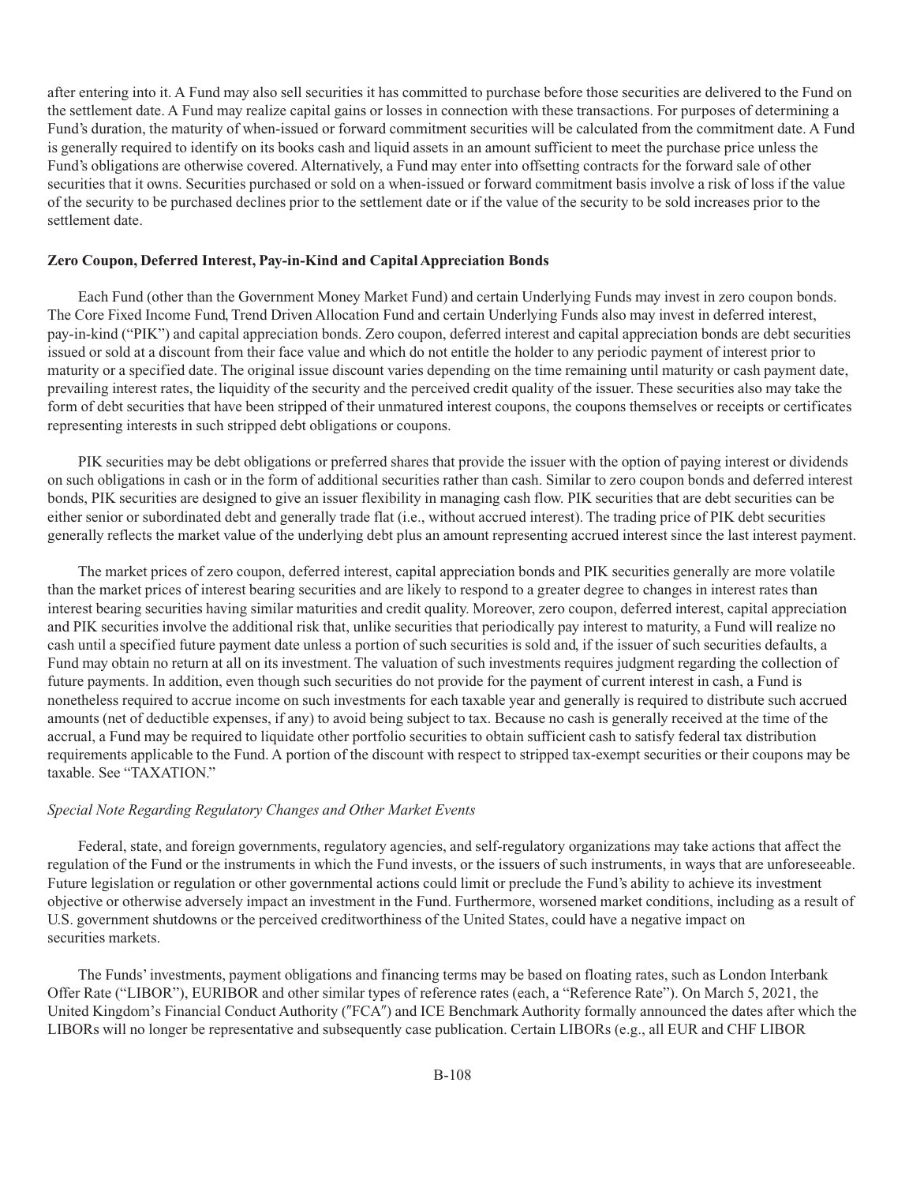after entering into it. A Fund may also sell securities it has committed to purchase before those securities are delivered to the Fund on the settlement date. A Fund may realize capital gains or losses in connection with these transactions. For purposes of determining a Fund's duration, the maturity of when-issued or forward commitment securities will be calculated from the commitment date. A Fund is generally required to identify on its books cash and liquid assets in an amount sufficient to meet the purchase price unless the Fund's obligations are otherwise covered. Alternatively, a Fund may enter into offsetting contracts for the forward sale of other securities that it owns. Securities purchased or sold on a when-issued or forward commitment basis involve a risk of loss if the value of the security to be purchased declines prior to the settlement date or if the value of the security to be sold increases prior to the settlement date.

#### **Zero Coupon, Deferred Interest, Pay-in-Kind and Capital Appreciation Bonds**

Each Fund (other than the Government Money Market Fund) and certain Underlying Funds may invest in zero coupon bonds. The Core Fixed Income Fund, Trend Driven Allocation Fund and certain Underlying Funds also may invest in deferred interest, pay-in-kind ("PIK") and capital appreciation bonds. Zero coupon, deferred interest and capital appreciation bonds are debt securities issued or sold at a discount from their face value and which do not entitle the holder to any periodic payment of interest prior to maturity or a specified date. The original issue discount varies depending on the time remaining until maturity or cash payment date, prevailing interest rates, the liquidity of the security and the perceived credit quality of the issuer. These securities also may take the form of debt securities that have been stripped of their unmatured interest coupons, the coupons themselves or receipts or certificates representing interests in such stripped debt obligations or coupons.

PIK securities may be debt obligations or preferred shares that provide the issuer with the option of paying interest or dividends on such obligations in cash or in the form of additional securities rather than cash. Similar to zero coupon bonds and deferred interest bonds, PIK securities are designed to give an issuer flexibility in managing cash flow. PIK securities that are debt securities can be either senior or subordinated debt and generally trade flat (i.e., without accrued interest). The trading price of PIK debt securities generally reflects the market value of the underlying debt plus an amount representing accrued interest since the last interest payment.

The market prices of zero coupon, deferred interest, capital appreciation bonds and PIK securities generally are more volatile than the market prices of interest bearing securities and are likely to respond to a greater degree to changes in interest rates than interest bearing securities having similar maturities and credit quality. Moreover, zero coupon, deferred interest, capital appreciation and PIK securities involve the additional risk that, unlike securities that periodically pay interest to maturity, a Fund will realize no cash until a specified future payment date unless a portion of such securities is sold and, if the issuer of such securities defaults, a Fund may obtain no return at all on its investment. The valuation of such investments requires judgment regarding the collection of future payments. In addition, even though such securities do not provide for the payment of current interest in cash, a Fund is nonetheless required to accrue income on such investments for each taxable year and generally is required to distribute such accrued amounts (net of deductible expenses, if any) to avoid being subject to tax. Because no cash is generally received at the time of the accrual, a Fund may be required to liquidate other portfolio securities to obtain sufficient cash to satisfy federal tax distribution requirements applicable to the Fund. A portion of the discount with respect to stripped tax-exempt securities or their coupons may be taxable. See "TAXATION."

### *Special Note Regarding Regulatory Changes and Other Market Events*

Federal, state, and foreign governments, regulatory agencies, and self-regulatory organizations may take actions that affect the regulation of the Fund or the instruments in which the Fund invests, or the issuers of such instruments, in ways that are unforeseeable. Future legislation or regulation or other governmental actions could limit or preclude the Fund's ability to achieve its investment objective or otherwise adversely impact an investment in the Fund. Furthermore, worsened market conditions, including as a result of U.S. government shutdowns or the perceived creditworthiness of the United States, could have a negative impact on securities markets.

The Funds' investments, payment obligations and financing terms may be based on floating rates, such as London Interbank Offer Rate ("LIBOR"), EURIBOR and other similar types of reference rates (each, a "Reference Rate"). On March 5, 2021, the United Kingdom's Financial Conduct Authority ("FCA") and ICE Benchmark Authority formally announced the dates after which the LIBORs will no longer be representative and subsequently case publication. Certain LIBORs (e.g., all EUR and CHF LIBOR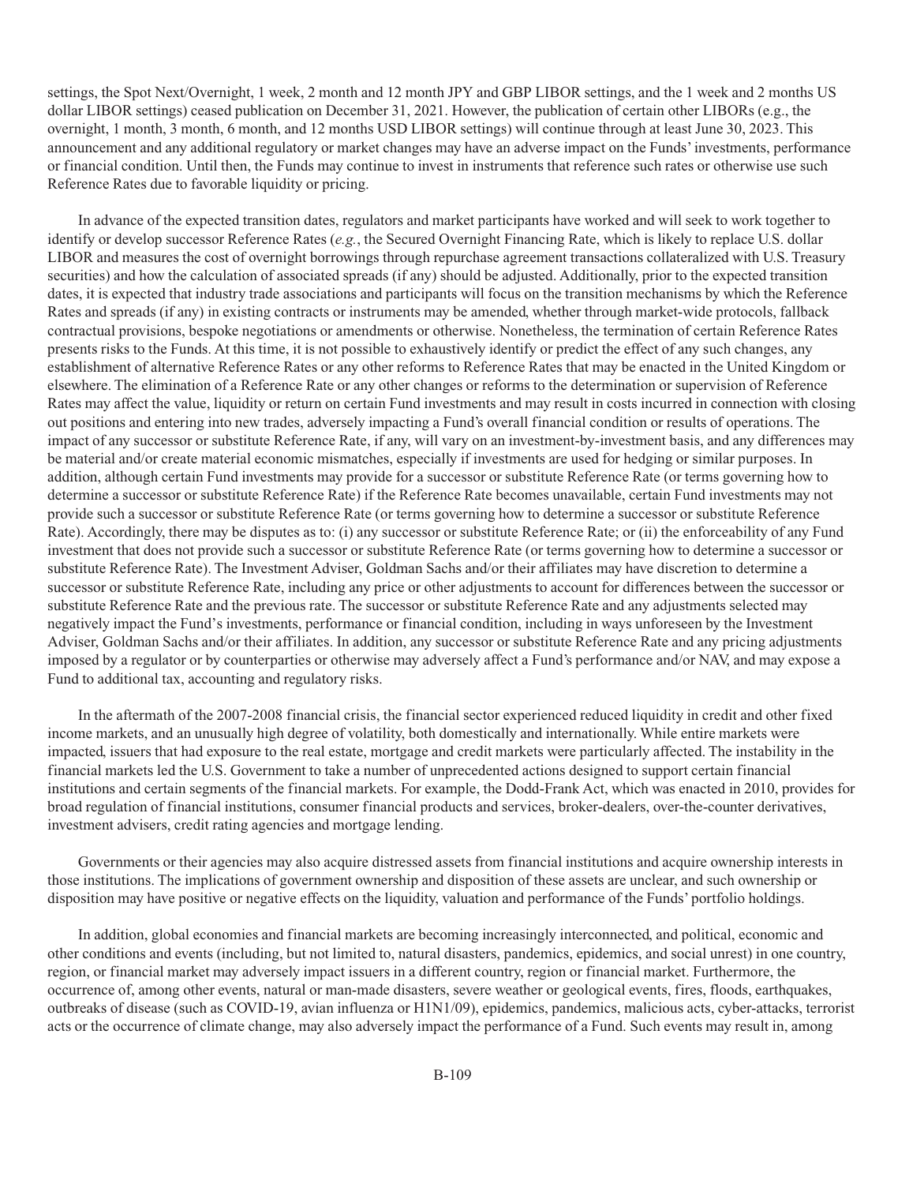settings, the Spot Next/Overnight, 1 week, 2 month and 12 month JPY and GBP LIBOR settings, and the 1 week and 2 months US dollar LIBOR settings) ceased publication on December 31, 2021. However, the publication of certain other LIBORs (e.g., the overnight, 1 month, 3 month, 6 month, and 12 months USD LIBOR settings) will continue through at least June 30, 2023. This announcement and any additional regulatory or market changes may have an adverse impact on the Funds' investments, performance or financial condition. Until then, the Funds may continue to invest in instruments that reference such rates or otherwise use such Reference Rates due to favorable liquidity or pricing.

In advance of the expected transition dates, regulators and market participants have worked and will seek to work together to identify or develop successor Reference Rates (*e.g.*, the Secured Overnight Financing Rate, which is likely to replace U.S. dollar LIBOR and measures the cost of overnight borrowings through repurchase agreement transactions collateralized with U.S. Treasury securities) and how the calculation of associated spreads (if any) should be adjusted. Additionally, prior to the expected transition dates, it is expected that industry trade associations and participants will focus on the transition mechanisms by which the Reference Rates and spreads (if any) in existing contracts or instruments may be amended, whether through market-wide protocols, fallback contractual provisions, bespoke negotiations or amendments or otherwise. Nonetheless, the termination of certain Reference Rates presents risks to the Funds. At this time, it is not possible to exhaustively identify or predict the effect of any such changes, any establishment of alternative Reference Rates or any other reforms to Reference Rates that may be enacted in the United Kingdom or elsewhere. The elimination of a Reference Rate or any other changes or reforms to the determination or supervision of Reference Rates may affect the value, liquidity or return on certain Fund investments and may result in costs incurred in connection with closing out positions and entering into new trades, adversely impacting a Fund's overall financial condition or results of operations. The impact of any successor or substitute Reference Rate, if any, will vary on an investment-by-investment basis, and any differences may be material and/or create material economic mismatches, especially if investments are used for hedging or similar purposes. In addition, although certain Fund investments may provide for a successor or substitute Reference Rate (or terms governing how to determine a successor or substitute Reference Rate) if the Reference Rate becomes unavailable, certain Fund investments may not provide such a successor or substitute Reference Rate (or terms governing how to determine a successor or substitute Reference Rate). Accordingly, there may be disputes as to: (i) any successor or substitute Reference Rate; or (ii) the enforceability of any Fund investment that does not provide such a successor or substitute Reference Rate (or terms governing how to determine a successor or substitute Reference Rate). The Investment Adviser, Goldman Sachs and/or their affiliates may have discretion to determine a successor or substitute Reference Rate, including any price or other adjustments to account for differences between the successor or substitute Reference Rate and the previous rate. The successor or substitute Reference Rate and any adjustments selected may negatively impact the Fund's investments, performance or financial condition, including in ways unforeseen by the Investment Adviser, Goldman Sachs and/or their affiliates. In addition, any successor or substitute Reference Rate and any pricing adjustments imposed by a regulator or by counterparties or otherwise may adversely affect a Fund's performance and/or NAV, and may expose a Fund to additional tax, accounting and regulatory risks.

In the aftermath of the 2007-2008 financial crisis, the financial sector experienced reduced liquidity in credit and other fixed income markets, and an unusually high degree of volatility, both domestically and internationally. While entire markets were impacted, issuers that had exposure to the real estate, mortgage and credit markets were particularly affected. The instability in the financial markets led the U.S. Government to take a number of unprecedented actions designed to support certain financial institutions and certain segments of the financial markets. For example, the Dodd-Frank Act, which was enacted in 2010, provides for broad regulation of financial institutions, consumer financial products and services, broker-dealers, over-the-counter derivatives, investment advisers, credit rating agencies and mortgage lending.

Governments or their agencies may also acquire distressed assets from financial institutions and acquire ownership interests in those institutions. The implications of government ownership and disposition of these assets are unclear, and such ownership or disposition may have positive or negative effects on the liquidity, valuation and performance of the Funds' portfolio holdings.

In addition, global economies and financial markets are becoming increasingly interconnected, and political, economic and other conditions and events (including, but not limited to, natural disasters, pandemics, epidemics, and social unrest) in one country, region, or financial market may adversely impact issuers in a different country, region or financial market. Furthermore, the occurrence of, among other events, natural or man-made disasters, severe weather or geological events, fires, floods, earthquakes, outbreaks of disease (such as COVID-19, avian influenza or H1N1/09), epidemics, pandemics, malicious acts, cyber-attacks, terrorist acts or the occurrence of climate change, may also adversely impact the performance of a Fund. Such events may result in, among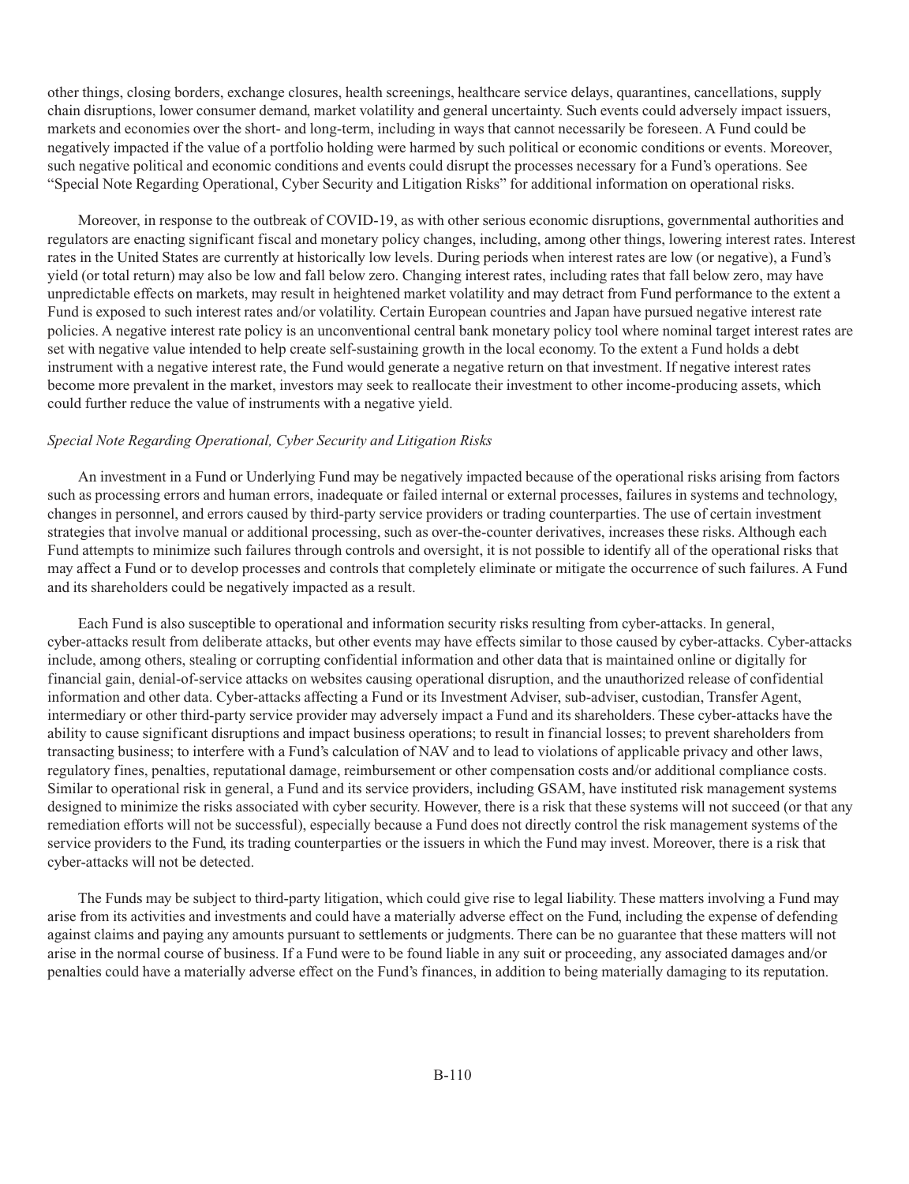other things, closing borders, exchange closures, health screenings, healthcare service delays, quarantines, cancellations, supply chain disruptions, lower consumer demand, market volatility and general uncertainty. Such events could adversely impact issuers, markets and economies over the short- and long-term, including in ways that cannot necessarily be foreseen. A Fund could be negatively impacted if the value of a portfolio holding were harmed by such political or economic conditions or events. Moreover, such negative political and economic conditions and events could disrupt the processes necessary for a Fund's operations. See "Special Note Regarding Operational, Cyber Security and Litigation Risks" for additional information on operational risks.

Moreover, in response to the outbreak of COVID-19, as with other serious economic disruptions, governmental authorities and regulators are enacting significant fiscal and monetary policy changes, including, among other things, lowering interest rates. Interest rates in the United States are currently at historically low levels. During periods when interest rates are low (or negative), a Fund's yield (or total return) may also be low and fall below zero. Changing interest rates, including rates that fall below zero, may have unpredictable effects on markets, may result in heightened market volatility and may detract from Fund performance to the extent a Fund is exposed to such interest rates and/or volatility. Certain European countries and Japan have pursued negative interest rate policies. A negative interest rate policy is an unconventional central bank monetary policy tool where nominal target interest rates are set with negative value intended to help create self-sustaining growth in the local economy. To the extent a Fund holds a debt instrument with a negative interest rate, the Fund would generate a negative return on that investment. If negative interest rates become more prevalent in the market, investors may seek to reallocate their investment to other income-producing assets, which could further reduce the value of instruments with a negative yield.

### *Special Note Regarding Operational, Cyber Security and Litigation Risks*

An investment in a Fund or Underlying Fund may be negatively impacted because of the operational risks arising from factors such as processing errors and human errors, inadequate or failed internal or external processes, failures in systems and technology, changes in personnel, and errors caused by third-party service providers or trading counterparties. The use of certain investment strategies that involve manual or additional processing, such as over-the-counter derivatives, increases these risks. Although each Fund attempts to minimize such failures through controls and oversight, it is not possible to identify all of the operational risks that may affect a Fund or to develop processes and controls that completely eliminate or mitigate the occurrence of such failures. A Fund and its shareholders could be negatively impacted as a result.

Each Fund is also susceptible to operational and information security risks resulting from cyber-attacks. In general, cyber-attacks result from deliberate attacks, but other events may have effects similar to those caused by cyber-attacks. Cyber-attacks include, among others, stealing or corrupting confidential information and other data that is maintained online or digitally for financial gain, denial-of-service attacks on websites causing operational disruption, and the unauthorized release of confidential information and other data. Cyber-attacks affecting a Fund or its Investment Adviser, sub-adviser, custodian, Transfer Agent, intermediary or other third-party service provider may adversely impact a Fund and its shareholders. These cyber-attacks have the ability to cause significant disruptions and impact business operations; to result in financial losses; to prevent shareholders from transacting business; to interfere with a Fund's calculation of NAV and to lead to violations of applicable privacy and other laws, regulatory fines, penalties, reputational damage, reimbursement or other compensation costs and/or additional compliance costs. Similar to operational risk in general, a Fund and its service providers, including GSAM, have instituted risk management systems designed to minimize the risks associated with cyber security. However, there is a risk that these systems will not succeed (or that any remediation efforts will not be successful), especially because a Fund does not directly control the risk management systems of the service providers to the Fund, its trading counterparties or the issuers in which the Fund may invest. Moreover, there is a risk that cyber-attacks will not be detected.

The Funds may be subject to third-party litigation, which could give rise to legal liability. These matters involving a Fund may arise from its activities and investments and could have a materially adverse effect on the Fund, including the expense of defending against claims and paying any amounts pursuant to settlements or judgments. There can be no guarantee that these matters will not arise in the normal course of business. If a Fund were to be found liable in any suit or proceeding, any associated damages and/or penalties could have a materially adverse effect on the Fund's finances, in addition to being materially damaging to its reputation.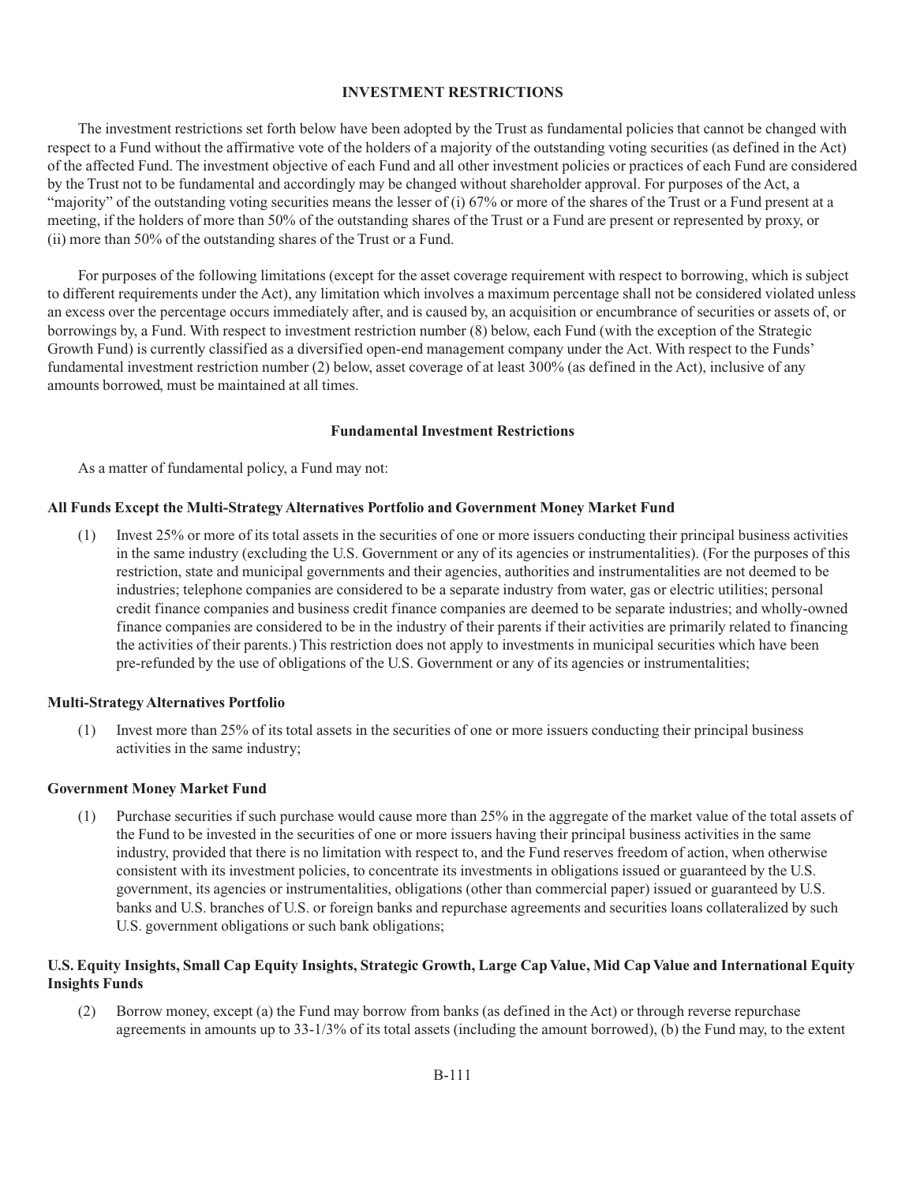## **INVESTMENT RESTRICTIONS**

The investment restrictions set forth below have been adopted by the Trust as fundamental policies that cannot be changed with respect to a Fund without the affirmative vote of the holders of a majority of the outstanding voting securities (as defined in the Act) of the affected Fund. The investment objective of each Fund and all other investment policies or practices of each Fund are considered by the Trust not to be fundamental and accordingly may be changed without shareholder approval. For purposes of the Act, a "majority" of the outstanding voting securities means the lesser of (i) 67% or more of the shares of the Trust or a Fund present at a meeting, if the holders of more than 50% of the outstanding shares of the Trust or a Fund are present or represented by proxy, or (ii) more than 50% of the outstanding shares of the Trust or a Fund.

For purposes of the following limitations (except for the asset coverage requirement with respect to borrowing, which is subject to different requirements under the Act), any limitation which involves a maximum percentage shall not be considered violated unless an excess over the percentage occurs immediately after, and is caused by, an acquisition or encumbrance of securities or assets of, or borrowings by, a Fund. With respect to investment restriction number (8) below, each Fund (with the exception of the Strategic Growth Fund) is currently classified as a diversified open-end management company under the Act. With respect to the Funds' fundamental investment restriction number (2) below, asset coverage of at least 300% (as defined in the Act), inclusive of any amounts borrowed, must be maintained at all times.

### **Fundamental Investment Restrictions**

As a matter of fundamental policy, a Fund may not:

## **All Funds Except the Multi-Strategy Alternatives Portfolio and Government Money Market Fund**

(1) Invest 25% or more of its total assets in the securities of one or more issuers conducting their principal business activities in the same industry (excluding the U.S. Government or any of its agencies or instrumentalities). (For the purposes of this restriction, state and municipal governments and their agencies, authorities and instrumentalities are not deemed to be industries; telephone companies are considered to be a separate industry from water, gas or electric utilities; personal credit finance companies and business credit finance companies are deemed to be separate industries; and wholly-owned finance companies are considered to be in the industry of their parents if their activities are primarily related to financing the activities of their parents.) This restriction does not apply to investments in municipal securities which have been pre-refunded by the use of obligations of the U.S. Government or any of its agencies or instrumentalities;

### **Multi-Strategy Alternatives Portfolio**

(1) Invest more than 25% of its total assets in the securities of one or more issuers conducting their principal business activities in the same industry;

### **Government Money Market Fund**

(1) Purchase securities if such purchase would cause more than 25% in the aggregate of the market value of the total assets of the Fund to be invested in the securities of one or more issuers having their principal business activities in the same industry, provided that there is no limitation with respect to, and the Fund reserves freedom of action, when otherwise consistent with its investment policies, to concentrate its investments in obligations issued or guaranteed by the U.S. government, its agencies or instrumentalities, obligations (other than commercial paper) issued or guaranteed by U.S. banks and U.S. branches of U.S. or foreign banks and repurchase agreements and securities loans collateralized by such U.S. government obligations or such bank obligations;

# **U.S. Equity Insights, Small Cap Equity Insights, Strategic Growth, Large Cap Value, Mid Cap Value and International Equity Insights Funds**

(2) Borrow money, except (a) the Fund may borrow from banks (as defined in the Act) or through reverse repurchase agreements in amounts up to 33-1/3% of its total assets (including the amount borrowed), (b) the Fund may, to the extent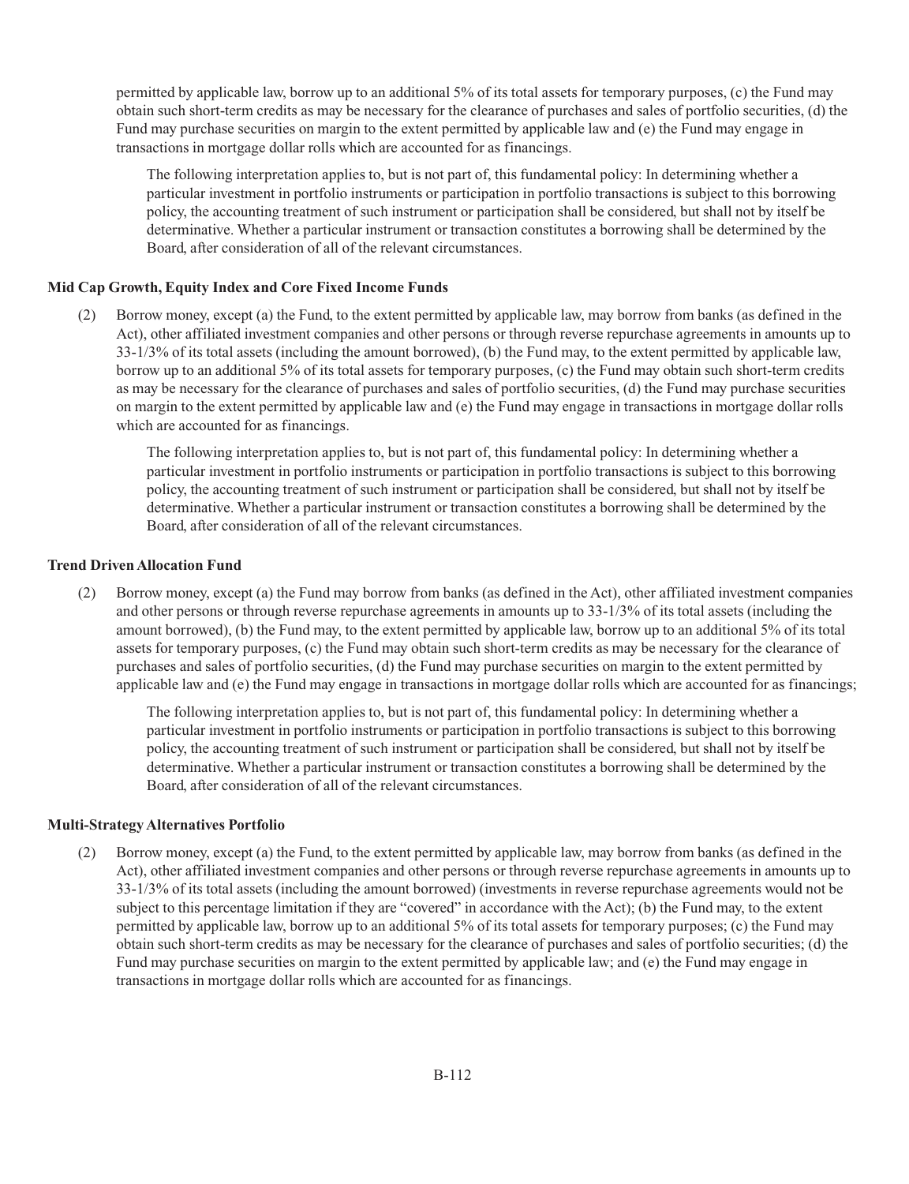permitted by applicable law, borrow up to an additional 5% of its total assets for temporary purposes, (c) the Fund may obtain such short-term credits as may be necessary for the clearance of purchases and sales of portfolio securities, (d) the Fund may purchase securities on margin to the extent permitted by applicable law and (e) the Fund may engage in transactions in mortgage dollar rolls which are accounted for as financings.

The following interpretation applies to, but is not part of, this fundamental policy: In determining whether a particular investment in portfolio instruments or participation in portfolio transactions is subject to this borrowing policy, the accounting treatment of such instrument or participation shall be considered, but shall not by itself be determinative. Whether a particular instrument or transaction constitutes a borrowing shall be determined by the Board, after consideration of all of the relevant circumstances.

## **Mid Cap Growth, Equity Index and Core Fixed Income Funds**

(2) Borrow money, except (a) the Fund, to the extent permitted by applicable law, may borrow from banks (as defined in the Act), other affiliated investment companies and other persons or through reverse repurchase agreements in amounts up to 33-1/3% of its total assets (including the amount borrowed), (b) the Fund may, to the extent permitted by applicable law, borrow up to an additional 5% of its total assets for temporary purposes, (c) the Fund may obtain such short-term credits as may be necessary for the clearance of purchases and sales of portfolio securities, (d) the Fund may purchase securities on margin to the extent permitted by applicable law and (e) the Fund may engage in transactions in mortgage dollar rolls which are accounted for as financings.

The following interpretation applies to, but is not part of, this fundamental policy: In determining whether a particular investment in portfolio instruments or participation in portfolio transactions is subject to this borrowing policy, the accounting treatment of such instrument or participation shall be considered, but shall not by itself be determinative. Whether a particular instrument or transaction constitutes a borrowing shall be determined by the Board, after consideration of all of the relevant circumstances.

## **Trend Driven Allocation Fund**

(2) Borrow money, except (a) the Fund may borrow from banks (as defined in the Act), other affiliated investment companies and other persons or through reverse repurchase agreements in amounts up to 33-1/3% of its total assets (including the amount borrowed), (b) the Fund may, to the extent permitted by applicable law, borrow up to an additional 5% of its total assets for temporary purposes, (c) the Fund may obtain such short-term credits as may be necessary for the clearance of purchases and sales of portfolio securities, (d) the Fund may purchase securities on margin to the extent permitted by applicable law and (e) the Fund may engage in transactions in mortgage dollar rolls which are accounted for as financings;

The following interpretation applies to, but is not part of, this fundamental policy: In determining whether a particular investment in portfolio instruments or participation in portfolio transactions is subject to this borrowing policy, the accounting treatment of such instrument or participation shall be considered, but shall not by itself be determinative. Whether a particular instrument or transaction constitutes a borrowing shall be determined by the Board, after consideration of all of the relevant circumstances.

## **Multi-Strategy Alternatives Portfolio**

(2) Borrow money, except (a) the Fund, to the extent permitted by applicable law, may borrow from banks (as defined in the Act), other affiliated investment companies and other persons or through reverse repurchase agreements in amounts up to 33-1/3% of its total assets (including the amount borrowed) (investments in reverse repurchase agreements would not be subject to this percentage limitation if they are "covered" in accordance with the Act); (b) the Fund may, to the extent permitted by applicable law, borrow up to an additional 5% of its total assets for temporary purposes; (c) the Fund may obtain such short-term credits as may be necessary for the clearance of purchases and sales of portfolio securities; (d) the Fund may purchase securities on margin to the extent permitted by applicable law; and (e) the Fund may engage in transactions in mortgage dollar rolls which are accounted for as financings.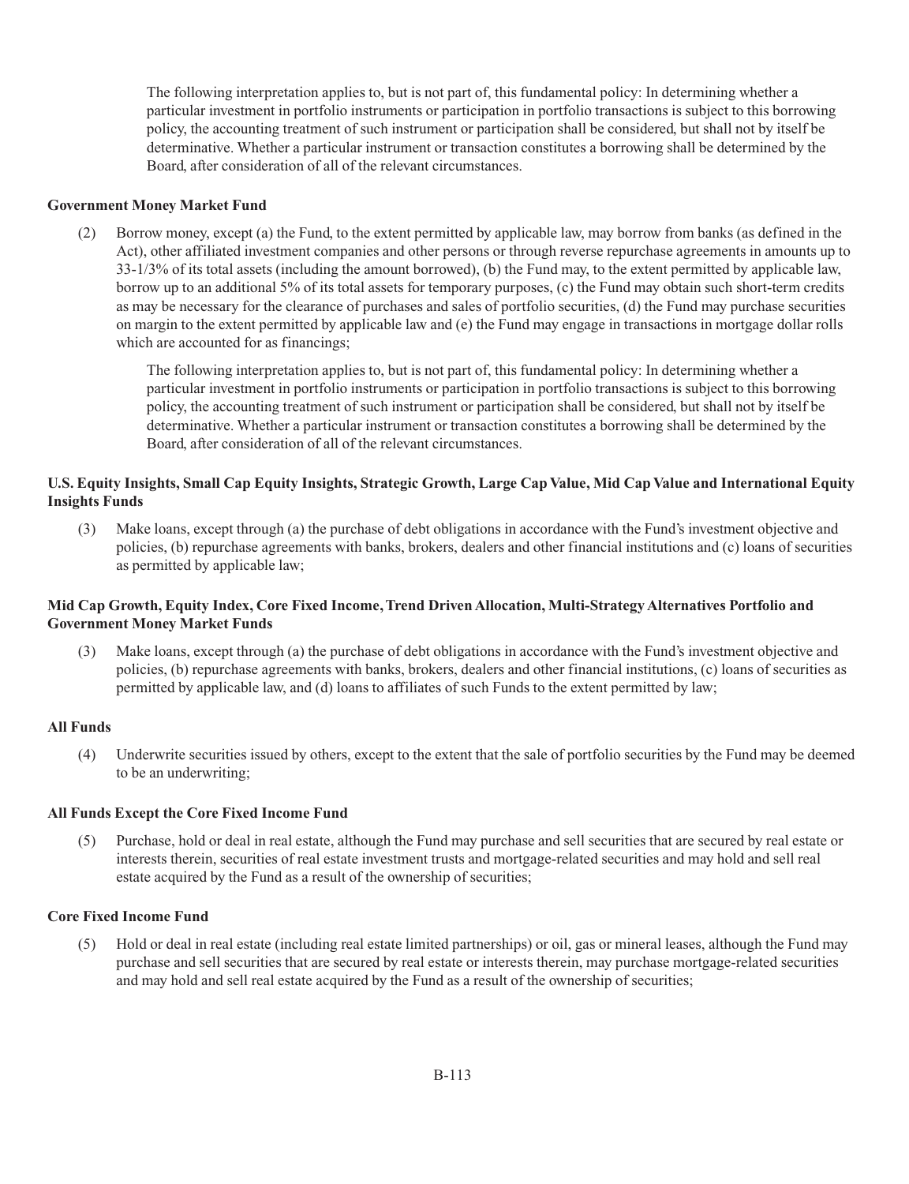The following interpretation applies to, but is not part of, this fundamental policy: In determining whether a particular investment in portfolio instruments or participation in portfolio transactions is subject to this borrowing policy, the accounting treatment of such instrument or participation shall be considered, but shall not by itself be determinative. Whether a particular instrument or transaction constitutes a borrowing shall be determined by the Board, after consideration of all of the relevant circumstances.

## **Government Money Market Fund**

Borrow money, except (a) the Fund, to the extent permitted by applicable law, may borrow from banks (as defined in the Act), other affiliated investment companies and other persons or through reverse repurchase agreements in amounts up to 33-1/3% of its total assets (including the amount borrowed), (b) the Fund may, to the extent permitted by applicable law, borrow up to an additional 5% of its total assets for temporary purposes, (c) the Fund may obtain such short-term credits as may be necessary for the clearance of purchases and sales of portfolio securities, (d) the Fund may purchase securities on margin to the extent permitted by applicable law and (e) the Fund may engage in transactions in mortgage dollar rolls which are accounted for as financings;

The following interpretation applies to, but is not part of, this fundamental policy: In determining whether a particular investment in portfolio instruments or participation in portfolio transactions is subject to this borrowing policy, the accounting treatment of such instrument or participation shall be considered, but shall not by itself be determinative. Whether a particular instrument or transaction constitutes a borrowing shall be determined by the Board, after consideration of all of the relevant circumstances.

# **U.S. Equity Insights, Small Cap Equity Insights, Strategic Growth, Large Cap Value, Mid Cap Value and International Equity Insights Funds**

(3) Make loans, except through (a) the purchase of debt obligations in accordance with the Fund's investment objective and policies, (b) repurchase agreements with banks, brokers, dealers and other financial institutions and (c) loans of securities as permitted by applicable law;

# **Mid Cap Growth, Equity Index, Core Fixed Income, Trend Driven Allocation, Multi-Strategy Alternatives Portfolio and Government Money Market Funds**

(3) Make loans, except through (a) the purchase of debt obligations in accordance with the Fund's investment objective and policies, (b) repurchase agreements with banks, brokers, dealers and other financial institutions, (c) loans of securities as permitted by applicable law, and (d) loans to affiliates of such Funds to the extent permitted by law;

# **All Funds**

(4) Underwrite securities issued by others, except to the extent that the sale of portfolio securities by the Fund may be deemed to be an underwriting;

## **All Funds Except the Core Fixed Income Fund**

(5) Purchase, hold or deal in real estate, although the Fund may purchase and sell securities that are secured by real estate or interests therein, securities of real estate investment trusts and mortgage-related securities and may hold and sell real estate acquired by the Fund as a result of the ownership of securities;

## **Core Fixed Income Fund**

(5) Hold or deal in real estate (including real estate limited partnerships) or oil, gas or mineral leases, although the Fund may purchase and sell securities that are secured by real estate or interests therein, may purchase mortgage-related securities and may hold and sell real estate acquired by the Fund as a result of the ownership of securities;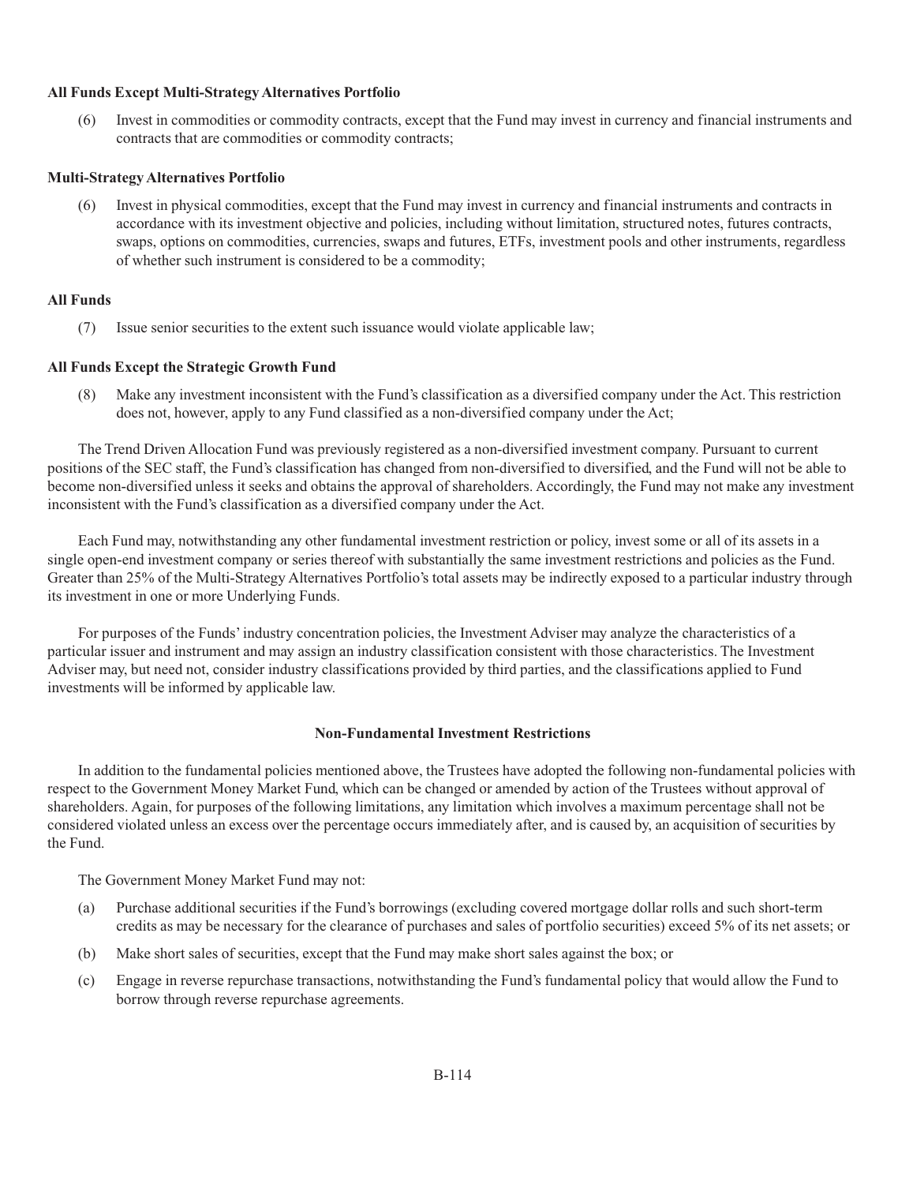## **All Funds Except Multi-Strategy Alternatives Portfolio**

(6) Invest in commodities or commodity contracts, except that the Fund may invest in currency and financial instruments and contracts that are commodities or commodity contracts;

## **Multi-Strategy Alternatives Portfolio**

(6) Invest in physical commodities, except that the Fund may invest in currency and financial instruments and contracts in accordance with its investment objective and policies, including without limitation, structured notes, futures contracts, swaps, options on commodities, currencies, swaps and futures, ETFs, investment pools and other instruments, regardless of whether such instrument is considered to be a commodity;

## **All Funds**

(7) Issue senior securities to the extent such issuance would violate applicable law;

## **All Funds Except the Strategic Growth Fund**

(8) Make any investment inconsistent with the Fund's classification as a diversified company under the Act. This restriction does not, however, apply to any Fund classified as a non-diversified company under the Act;

The Trend Driven Allocation Fund was previously registered as a non-diversified investment company. Pursuant to current positions of the SEC staff, the Fund's classification has changed from non-diversified to diversified, and the Fund will not be able to become non-diversified unless it seeks and obtains the approval of shareholders. Accordingly, the Fund may not make any investment inconsistent with the Fund's classification as a diversified company under the Act.

Each Fund may, notwithstanding any other fundamental investment restriction or policy, invest some or all of its assets in a single open-end investment company or series thereof with substantially the same investment restrictions and policies as the Fund. Greater than 25% of the Multi-Strategy Alternatives Portfolio's total assets may be indirectly exposed to a particular industry through its investment in one or more Underlying Funds.

For purposes of the Funds' industry concentration policies, the Investment Adviser may analyze the characteristics of a particular issuer and instrument and may assign an industry classification consistent with those characteristics. The Investment Adviser may, but need not, consider industry classifications provided by third parties, and the classifications applied to Fund investments will be informed by applicable law.

### **Non-Fundamental Investment Restrictions**

In addition to the fundamental policies mentioned above, the Trustees have adopted the following non-fundamental policies with respect to the Government Money Market Fund, which can be changed or amended by action of the Trustees without approval of shareholders. Again, for purposes of the following limitations, any limitation which involves a maximum percentage shall not be considered violated unless an excess over the percentage occurs immediately after, and is caused by, an acquisition of securities by the Fund.

The Government Money Market Fund may not:

- (a) Purchase additional securities if the Fund's borrowings (excluding covered mortgage dollar rolls and such short-term credits as may be necessary for the clearance of purchases and sales of portfolio securities) exceed 5% of its net assets; or
- (b) Make short sales of securities, except that the Fund may make short sales against the box; or
- (c) Engage in reverse repurchase transactions, notwithstanding the Fund's fundamental policy that would allow the Fund to borrow through reverse repurchase agreements.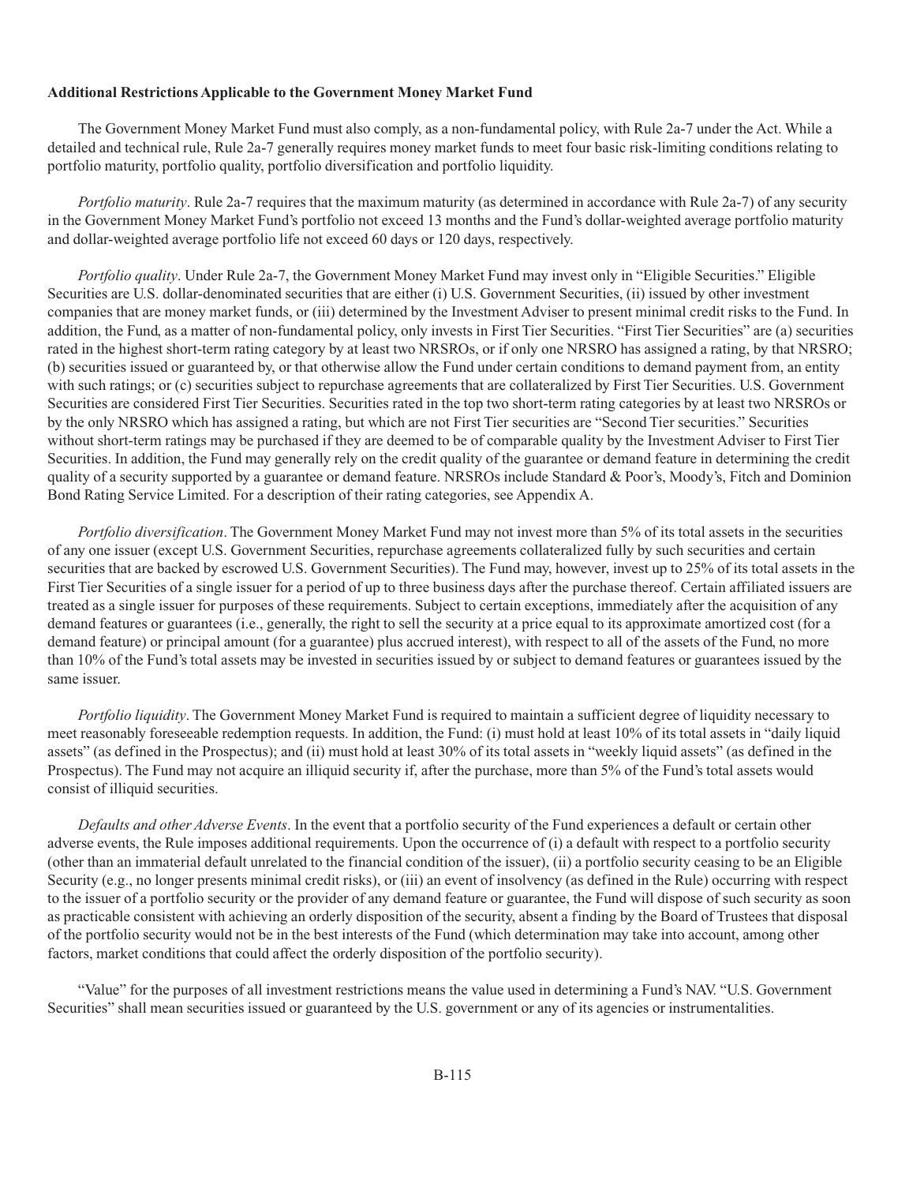#### **Additional Restrictions Applicable to the Government Money Market Fund**

The Government Money Market Fund must also comply, as a non-fundamental policy, with Rule 2a-7 under the Act. While a detailed and technical rule, Rule 2a-7 generally requires money market funds to meet four basic risk-limiting conditions relating to portfolio maturity, portfolio quality, portfolio diversification and portfolio liquidity.

*Portfolio maturity*. Rule 2a-7 requires that the maximum maturity (as determined in accordance with Rule 2a-7) of any security in the Government Money Market Fund's portfolio not exceed 13 months and the Fund's dollar-weighted average portfolio maturity and dollar-weighted average portfolio life not exceed 60 days or 120 days, respectively.

*Portfolio quality*. Under Rule 2a-7, the Government Money Market Fund may invest only in "Eligible Securities." Eligible Securities are U.S. dollar-denominated securities that are either (i) U.S. Government Securities, (ii) issued by other investment companies that are money market funds, or (iii) determined by the Investment Adviser to present minimal credit risks to the Fund. In addition, the Fund, as a matter of non-fundamental policy, only invests in First Tier Securities. "First Tier Securities" are (a) securities rated in the highest short-term rating category by at least two NRSROs, or if only one NRSRO has assigned a rating, by that NRSRO; (b) securities issued or guaranteed by, or that otherwise allow the Fund under certain conditions to demand payment from, an entity with such ratings; or (c) securities subject to repurchase agreements that are collateralized by First Tier Securities. U.S. Government Securities are considered First Tier Securities. Securities rated in the top two short-term rating categories by at least two NRSROs or by the only NRSRO which has assigned a rating, but which are not First Tier securities are "Second Tier securities." Securities without short-term ratings may be purchased if they are deemed to be of comparable quality by the Investment Adviser to First Tier Securities. In addition, the Fund may generally rely on the credit quality of the guarantee or demand feature in determining the credit quality of a security supported by a guarantee or demand feature. NRSROs include Standard & Poor's, Moody's, Fitch and Dominion Bond Rating Service Limited. For a description of their rating categories, see Appendix A.

*Portfolio diversification*. The Government Money Market Fund may not invest more than 5% of its total assets in the securities of any one issuer (except U.S. Government Securities, repurchase agreements collateralized fully by such securities and certain securities that are backed by escrowed U.S. Government Securities). The Fund may, however, invest up to 25% of its total assets in the First Tier Securities of a single issuer for a period of up to three business days after the purchase thereof. Certain affiliated issuers are treated as a single issuer for purposes of these requirements. Subject to certain exceptions, immediately after the acquisition of any demand features or guarantees (i.e., generally, the right to sell the security at a price equal to its approximate amortized cost (for a demand feature) or principal amount (for a guarantee) plus accrued interest), with respect to all of the assets of the Fund, no more than 10% of the Fund's total assets may be invested in securities issued by or subject to demand features or guarantees issued by the same issuer.

*Portfolio liquidity*. The Government Money Market Fund is required to maintain a sufficient degree of liquidity necessary to meet reasonably foreseeable redemption requests. In addition, the Fund: (i) must hold at least 10% of its total assets in "daily liquid assets" (as defined in the Prospectus); and (ii) must hold at least 30% of its total assets in "weekly liquid assets" (as defined in the Prospectus). The Fund may not acquire an illiquid security if, after the purchase, more than 5% of the Fund's total assets would consist of illiquid securities.

*Defaults and other Adverse Events*. In the event that a portfolio security of the Fund experiences a default or certain other adverse events, the Rule imposes additional requirements. Upon the occurrence of (i) a default with respect to a portfolio security (other than an immaterial default unrelated to the financial condition of the issuer), (ii) a portfolio security ceasing to be an Eligible Security (e.g., no longer presents minimal credit risks), or (iii) an event of insolvency (as defined in the Rule) occurring with respect to the issuer of a portfolio security or the provider of any demand feature or guarantee, the Fund will dispose of such security as soon as practicable consistent with achieving an orderly disposition of the security, absent a finding by the Board of Trustees that disposal of the portfolio security would not be in the best interests of the Fund (which determination may take into account, among other factors, market conditions that could affect the orderly disposition of the portfolio security).

"Value" for the purposes of all investment restrictions means the value used in determining a Fund's NAV. "U.S. Government Securities" shall mean securities issued or guaranteed by the U.S. government or any of its agencies or instrumentalities.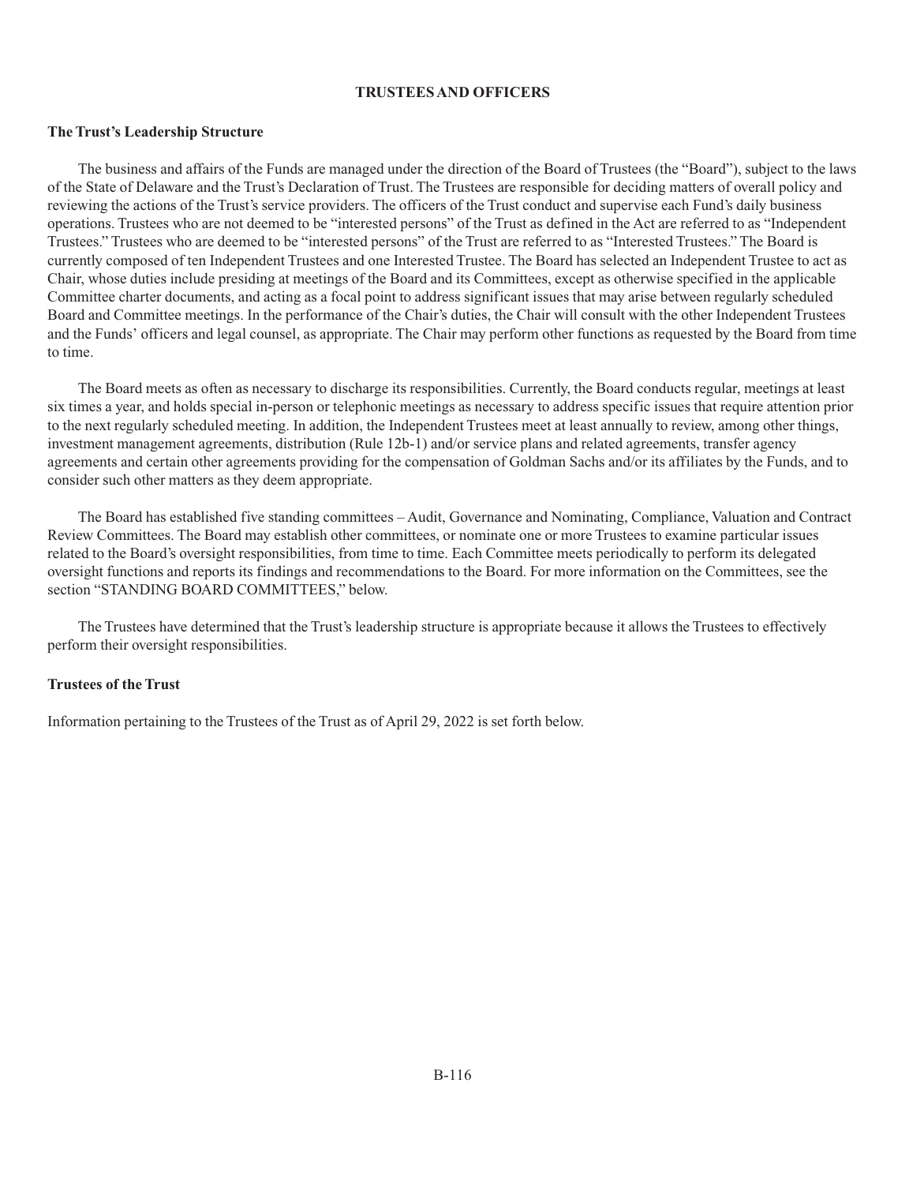## **TRUSTEES AND OFFICERS**

#### **The Trust's Leadership Structure**

The business and affairs of the Funds are managed under the direction of the Board of Trustees (the "Board"), subject to the laws of the State of Delaware and the Trust's Declaration of Trust. The Trustees are responsible for deciding matters of overall policy and reviewing the actions of the Trust's service providers. The officers of the Trust conduct and supervise each Fund's daily business operations. Trustees who are not deemed to be "interested persons" of the Trust as defined in the Act are referred to as "Independent Trustees." Trustees who are deemed to be "interested persons" of the Trust are referred to as "Interested Trustees." The Board is currently composed of ten Independent Trustees and one Interested Trustee. The Board has selected an Independent Trustee to act as Chair, whose duties include presiding at meetings of the Board and its Committees, except as otherwise specified in the applicable Committee charter documents, and acting as a focal point to address significant issues that may arise between regularly scheduled Board and Committee meetings. In the performance of the Chair's duties, the Chair will consult with the other Independent Trustees and the Funds' officers and legal counsel, as appropriate. The Chair may perform other functions as requested by the Board from time to time.

The Board meets as often as necessary to discharge its responsibilities. Currently, the Board conducts regular, meetings at least six times a year, and holds special in-person or telephonic meetings as necessary to address specific issues that require attention prior to the next regularly scheduled meeting. In addition, the Independent Trustees meet at least annually to review, among other things, investment management agreements, distribution (Rule 12b-1) and/or service plans and related agreements, transfer agency agreements and certain other agreements providing for the compensation of Goldman Sachs and/or its affiliates by the Funds, and to consider such other matters as they deem appropriate.

The Board has established five standing committees – Audit, Governance and Nominating, Compliance, Valuation and Contract Review Committees. The Board may establish other committees, or nominate one or more Trustees to examine particular issues related to the Board's oversight responsibilities, from time to time. Each Committee meets periodically to perform its delegated oversight functions and reports its findings and recommendations to the Board. For more information on the Committees, see the section "STANDING BOARD COMMITTEES," below.

The Trustees have determined that the Trust's leadership structure is appropriate because it allows the Trustees to effectively perform their oversight responsibilities.

## **Trustees of the Trust**

Information pertaining to the Trustees of the Trust as of April 29, 2022 is set forth below.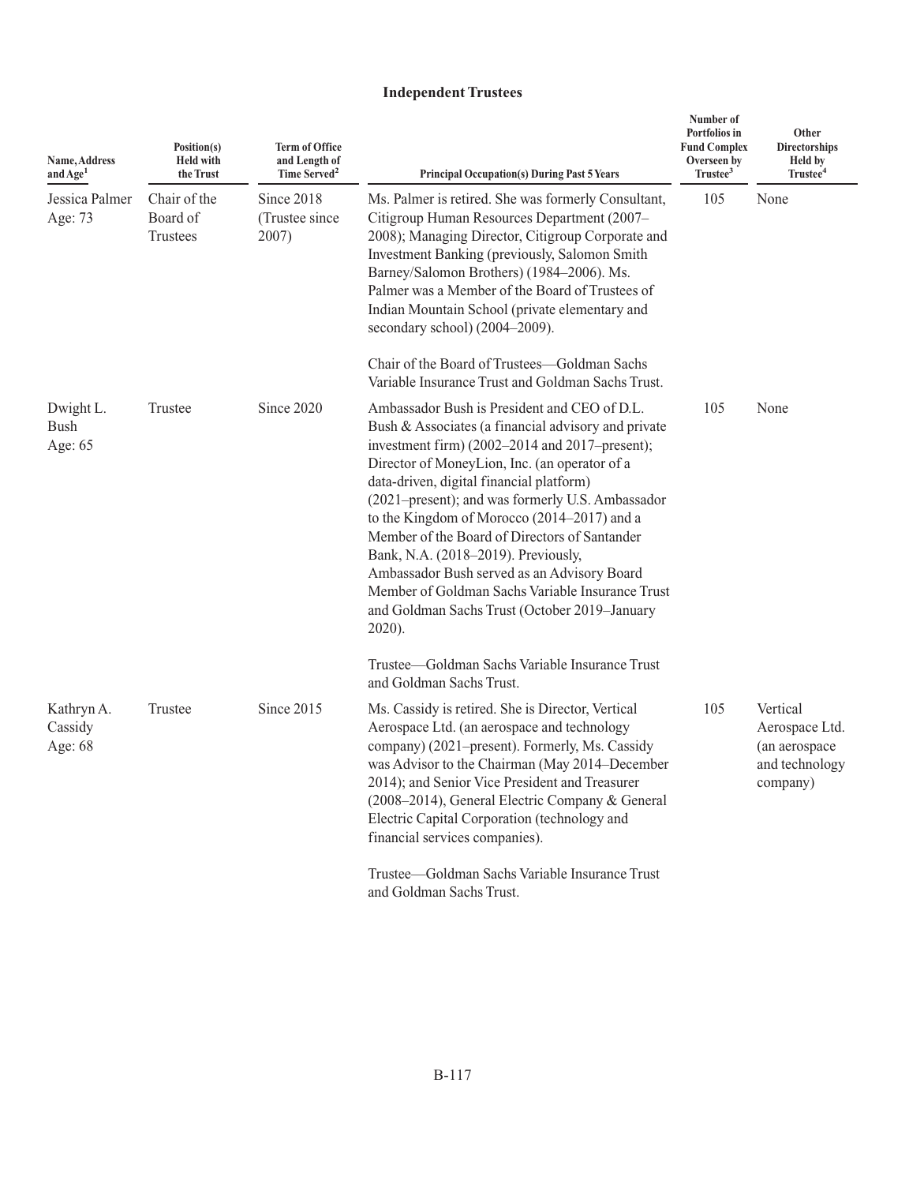# **Independent Trustees**

| Name, Address<br>and Age <sup>1</sup> | Position(s)<br><b>Held with</b><br>the Trust | <b>Term of Office</b><br>and Length of<br>Time Served <sup>2</sup> | <b>Principal Occupation(s) During Past 5 Years</b>                                                                                                                                                                                                                                                                                                                                                                                                                                                                                                                                                               | Number of<br>Portfolios in<br><b>Fund Complex</b><br>Overseen by<br>Trustee <sup>3</sup> | Other<br><b>Directorships</b><br><b>Held</b> by<br>Trustee <sup>4</sup>    |
|---------------------------------------|----------------------------------------------|--------------------------------------------------------------------|------------------------------------------------------------------------------------------------------------------------------------------------------------------------------------------------------------------------------------------------------------------------------------------------------------------------------------------------------------------------------------------------------------------------------------------------------------------------------------------------------------------------------------------------------------------------------------------------------------------|------------------------------------------------------------------------------------------|----------------------------------------------------------------------------|
| Jessica Palmer<br>Age: 73             | Chair of the<br>Board of<br>Trustees         | Since 2018<br>(Trustee since)<br>2007)                             | Ms. Palmer is retired. She was formerly Consultant,<br>Citigroup Human Resources Department (2007-<br>2008); Managing Director, Citigroup Corporate and<br>Investment Banking (previously, Salomon Smith<br>Barney/Salomon Brothers) (1984-2006). Ms.<br>Palmer was a Member of the Board of Trustees of<br>Indian Mountain School (private elementary and<br>secondary school) (2004-2009).                                                                                                                                                                                                                     | 105                                                                                      | None                                                                       |
|                                       |                                              |                                                                    | Chair of the Board of Trustees—Goldman Sachs<br>Variable Insurance Trust and Goldman Sachs Trust.                                                                                                                                                                                                                                                                                                                                                                                                                                                                                                                |                                                                                          |                                                                            |
| Dwight L.<br><b>Bush</b><br>Age: 65   | Trustee                                      | Since 2020                                                         | Ambassador Bush is President and CEO of D.L.<br>Bush & Associates (a financial advisory and private<br>investment firm) $(2002-2014$ and $2017$ -present);<br>Director of MoneyLion, Inc. (an operator of a<br>data-driven, digital financial platform)<br>(2021–present); and was formerly U.S. Ambassador<br>to the Kingdom of Morocco (2014–2017) and a<br>Member of the Board of Directors of Santander<br>Bank, N.A. (2018–2019). Previously,<br>Ambassador Bush served as an Advisory Board<br>Member of Goldman Sachs Variable Insurance Trust<br>and Goldman Sachs Trust (October 2019-January<br>2020). | 105                                                                                      | None                                                                       |
|                                       |                                              |                                                                    | Trustee—Goldman Sachs Variable Insurance Trust<br>and Goldman Sachs Trust.                                                                                                                                                                                                                                                                                                                                                                                                                                                                                                                                       |                                                                                          |                                                                            |
| Kathryn A.<br>Cassidy<br>Age: 68      | Trustee                                      | Since $2015$                                                       | Ms. Cassidy is retired. She is Director, Vertical<br>Aerospace Ltd. (an aerospace and technology<br>company) (2021–present). Formerly, Ms. Cassidy<br>was Advisor to the Chairman (May 2014–December<br>2014); and Senior Vice President and Treasurer<br>(2008-2014), General Electric Company & General<br>Electric Capital Corporation (technology and<br>financial services companies).                                                                                                                                                                                                                      | 105                                                                                      | Vertical<br>Aerospace Ltd.<br>(an aerospace)<br>and technology<br>company) |
|                                       |                                              |                                                                    | Trustee-Goldman Sachs Variable Insurance Trust<br>and Goldman Sachs Trust.                                                                                                                                                                                                                                                                                                                                                                                                                                                                                                                                       |                                                                                          |                                                                            |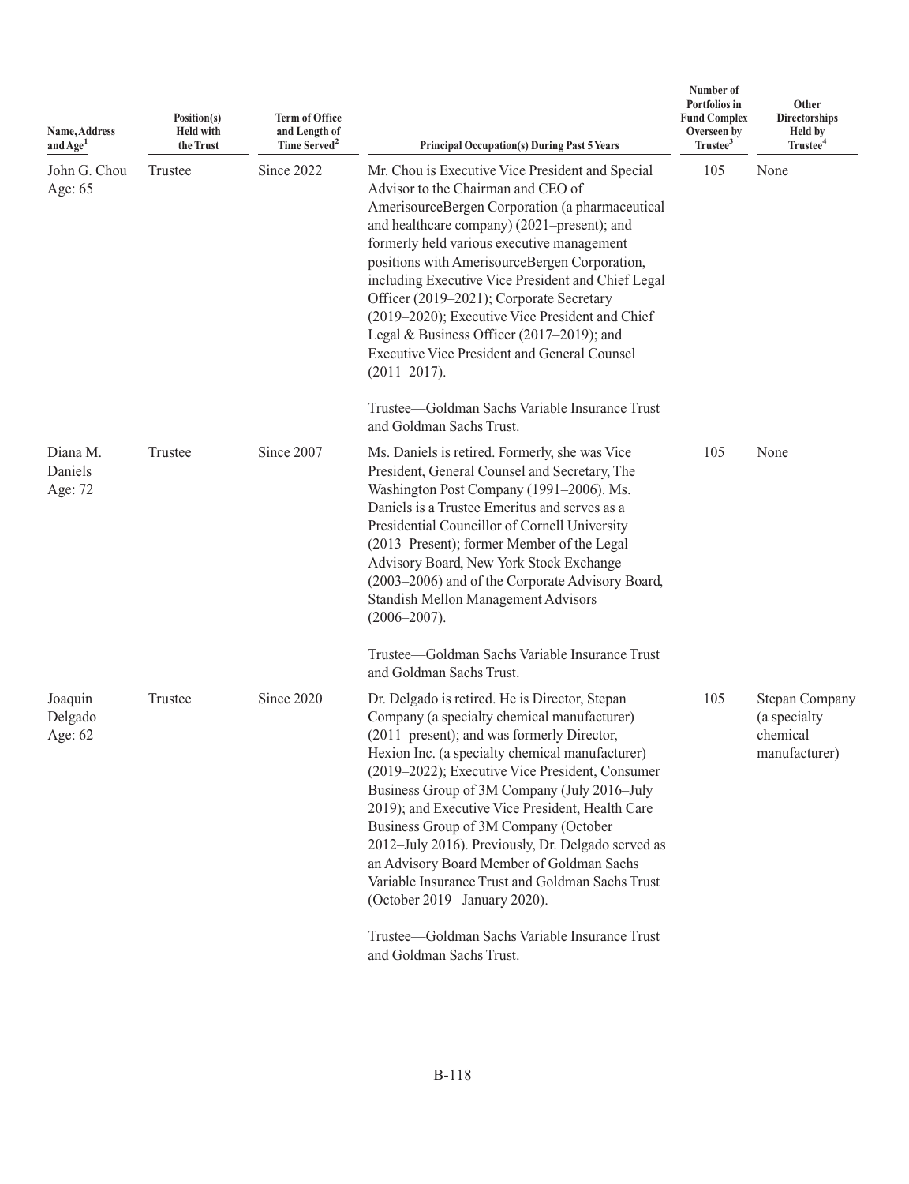| Position(s)<br>Name, Address<br><b>Held with</b><br>and Age <sup>1</sup><br>the Trust |         | <b>Term of Office</b><br>and Length of<br>Time Served <sup>2</sup> | <b>Principal Occupation(s) During Past 5 Years</b>                                                                                                                                                                                                                                                                                                                                                                                                                                                                                                                                     | Number of<br>Portfolios in<br><b>Fund Complex</b><br>Overseen by<br>Trustee <sup>3</sup> | Other<br><b>Directorships</b><br><b>Held</b> by<br>Trustee <sup>4</sup> |  |
|---------------------------------------------------------------------------------------|---------|--------------------------------------------------------------------|----------------------------------------------------------------------------------------------------------------------------------------------------------------------------------------------------------------------------------------------------------------------------------------------------------------------------------------------------------------------------------------------------------------------------------------------------------------------------------------------------------------------------------------------------------------------------------------|------------------------------------------------------------------------------------------|-------------------------------------------------------------------------|--|
| John G. Chou<br>Age: 65                                                               | Trustee | Since 2022                                                         | Mr. Chou is Executive Vice President and Special<br>Advisor to the Chairman and CEO of<br>AmerisourceBergen Corporation (a pharmaceutical<br>and healthcare company) (2021–present); and<br>formerly held various executive management<br>positions with AmerisourceBergen Corporation,<br>including Executive Vice President and Chief Legal<br>Officer (2019–2021); Corporate Secretary<br>(2019–2020); Executive Vice President and Chief<br>Legal & Business Officer (2017–2019); and<br><b>Executive Vice President and General Counsel</b><br>$(2011 - 2017).$                   | 105                                                                                      | None                                                                    |  |
|                                                                                       |         |                                                                    | Trustee—Goldman Sachs Variable Insurance Trust<br>and Goldman Sachs Trust.                                                                                                                                                                                                                                                                                                                                                                                                                                                                                                             |                                                                                          |                                                                         |  |
| Diana M.<br>Daniels<br>Age: 72                                                        | Trustee | Since 2007                                                         | Ms. Daniels is retired. Formerly, she was Vice<br>President, General Counsel and Secretary, The<br>Washington Post Company (1991-2006). Ms.<br>Daniels is a Trustee Emeritus and serves as a<br>Presidential Councillor of Cornell University<br>(2013–Present); former Member of the Legal<br>Advisory Board, New York Stock Exchange<br>(2003–2006) and of the Corporate Advisory Board,<br>Standish Mellon Management Advisors<br>$(2006 - 2007).$                                                                                                                                  | 105                                                                                      | None                                                                    |  |
|                                                                                       |         |                                                                    | Trustee—Goldman Sachs Variable Insurance Trust<br>and Goldman Sachs Trust.                                                                                                                                                                                                                                                                                                                                                                                                                                                                                                             |                                                                                          |                                                                         |  |
| Joaquin<br>Delgado<br>Age: 62                                                         | Trustee | Since 2020                                                         | Dr. Delgado is retired. He is Director, Stepan<br>Company (a specialty chemical manufacturer)<br>(2011–present); and was formerly Director,<br>Hexion Inc. (a specialty chemical manufacturer)<br>(2019–2022); Executive Vice President, Consumer<br>Business Group of 3M Company (July 2016–July<br>2019); and Executive Vice President, Health Care<br>Business Group of 3M Company (October<br>2012-July 2016). Previously, Dr. Delgado served as<br>an Advisory Board Member of Goldman Sachs<br>Variable Insurance Trust and Goldman Sachs Trust<br>(October 2019– January 2020). | 105                                                                                      | <b>Stepan Company</b><br>(a specialty<br>chemical<br>manufacturer)      |  |
|                                                                                       |         |                                                                    | Trustee-Goldman Sachs Variable Insurance Trust<br>and Goldman Sachs Trust.                                                                                                                                                                                                                                                                                                                                                                                                                                                                                                             |                                                                                          |                                                                         |  |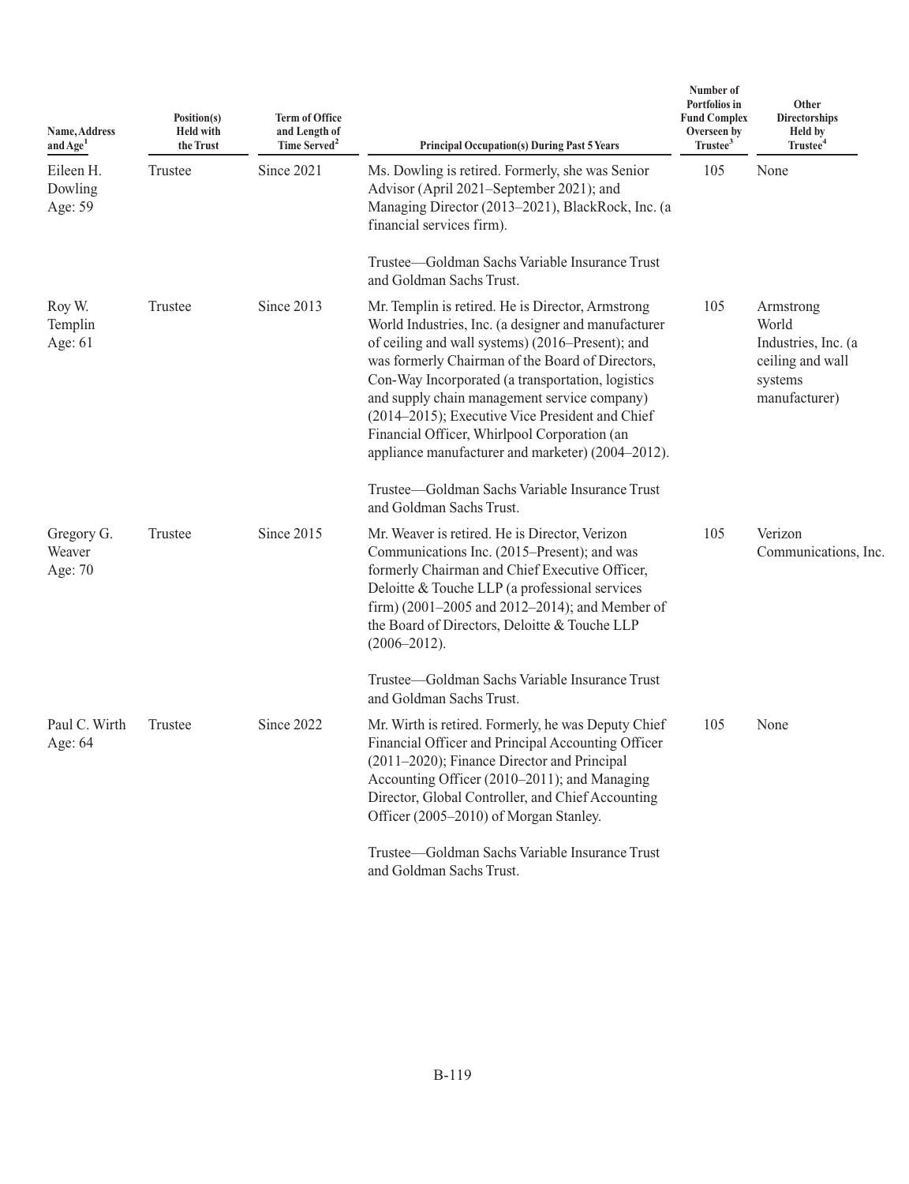| Name, Address<br>and Age <sup>1</sup> | Position(s)<br><b>Term of Office</b><br><b>Held with</b><br>and Length of<br>Time Served <sup>2</sup><br>the Trust                                                                                      |            | <b>Principal Occupation(s) During Past 5 Years</b>                                                                                                                                                                                                                                                                                                                                                                                                                            | Number of<br>Portfolios in<br><b>Fund Complex</b><br>Overseen by<br>Trustee <sup>3</sup> | Other<br><b>Directorships</b><br><b>Held</b> by<br>Trustee <sup>4</sup>                   |  |
|---------------------------------------|---------------------------------------------------------------------------------------------------------------------------------------------------------------------------------------------------------|------------|-------------------------------------------------------------------------------------------------------------------------------------------------------------------------------------------------------------------------------------------------------------------------------------------------------------------------------------------------------------------------------------------------------------------------------------------------------------------------------|------------------------------------------------------------------------------------------|-------------------------------------------------------------------------------------------|--|
| Eileen H.<br>Dowling<br>Age: 59       | Since 2021<br>Ms. Dowling is retired. Formerly, she was Senior<br>Trustee<br>Advisor (April 2021–September 2021); and<br>Managing Director (2013-2021), BlackRock, Inc. (a<br>financial services firm). |            | 105                                                                                                                                                                                                                                                                                                                                                                                                                                                                           | None                                                                                     |                                                                                           |  |
|                                       |                                                                                                                                                                                                         |            | Trustee—Goldman Sachs Variable Insurance Trust<br>and Goldman Sachs Trust.                                                                                                                                                                                                                                                                                                                                                                                                    |                                                                                          |                                                                                           |  |
| Roy W.<br>Templin<br>Age: 61          | Trustee                                                                                                                                                                                                 | Since 2013 | Mr. Templin is retired. He is Director, Armstrong<br>World Industries, Inc. (a designer and manufacturer<br>of ceiling and wall systems) (2016–Present); and<br>was formerly Chairman of the Board of Directors,<br>Con-Way Incorporated (a transportation, logistics<br>and supply chain management service company)<br>(2014–2015); Executive Vice President and Chief<br>Financial Officer, Whirlpool Corporation (an<br>appliance manufacturer and marketer) (2004–2012). | 105                                                                                      | Armstrong<br>World<br>Industries, Inc. (a<br>ceiling and wall<br>systems<br>manufacturer) |  |
|                                       |                                                                                                                                                                                                         |            | Trustee—Goldman Sachs Variable Insurance Trust<br>and Goldman Sachs Trust.                                                                                                                                                                                                                                                                                                                                                                                                    |                                                                                          |                                                                                           |  |
| Gregory G.<br>Weaver<br>Age: 70       | Trustee                                                                                                                                                                                                 | Since 2015 | Mr. Weaver is retired. He is Director, Verizon<br>Communications Inc. (2015–Present); and was<br>formerly Chairman and Chief Executive Officer,<br>Deloitte & Touche LLP (a professional services<br>firm) (2001-2005 and 2012-2014); and Member of<br>the Board of Directors, Deloitte & Touche LLP<br>$(2006 - 2012).$                                                                                                                                                      | 105                                                                                      | Verizon<br>Communications, Inc.                                                           |  |
|                                       |                                                                                                                                                                                                         |            | Trustee—Goldman Sachs Variable Insurance Trust<br>and Goldman Sachs Trust.                                                                                                                                                                                                                                                                                                                                                                                                    |                                                                                          |                                                                                           |  |
| Paul C. Wirth<br>Age: 64              | Trustee                                                                                                                                                                                                 | Since 2022 | Mr. Wirth is retired. Formerly, he was Deputy Chief<br>Financial Officer and Principal Accounting Officer<br>(2011–2020); Finance Director and Principal<br>Accounting Officer (2010–2011); and Managing<br>Director, Global Controller, and Chief Accounting<br>Officer (2005–2010) of Morgan Stanley.                                                                                                                                                                       | 105                                                                                      | None                                                                                      |  |
|                                       |                                                                                                                                                                                                         |            | Trustee-Goldman Sachs Variable Insurance Trust<br>and Goldman Sachs Trust.                                                                                                                                                                                                                                                                                                                                                                                                    |                                                                                          |                                                                                           |  |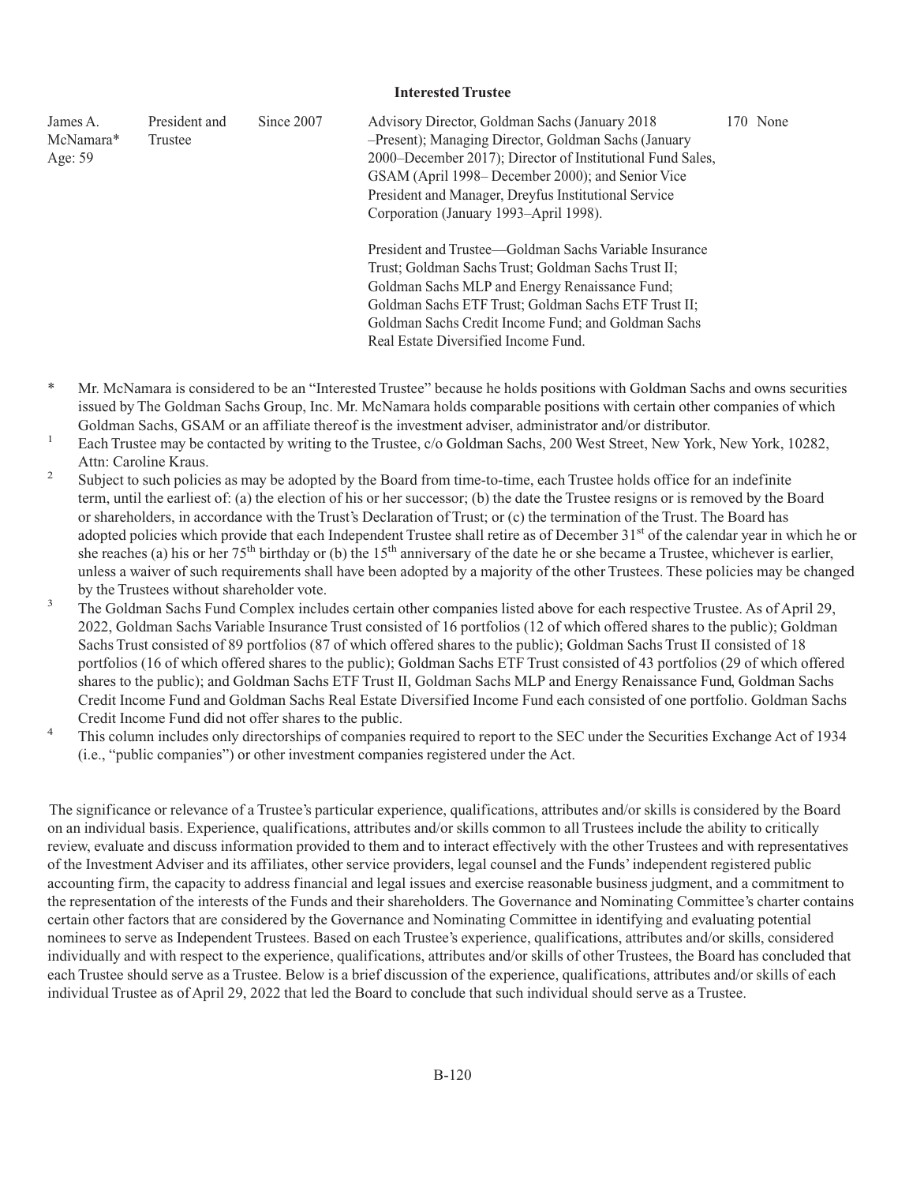## **Interested Trustee**

| James A.  | President and | Since 2007 | Advisory Director, Goldman Sachs (January 2018)            | 170 None |
|-----------|---------------|------------|------------------------------------------------------------|----------|
| McNamara* | Trustee       |            | -Present); Managing Director, Goldman Sachs (January       |          |
| Age: $59$ |               |            | 2000–December 2017); Director of Institutional Fund Sales, |          |
|           |               |            | GSAM (April 1998– December 2000); and Senior Vice          |          |
|           |               |            | President and Manager, Dreyfus Institutional Service       |          |
|           |               |            | Corporation (January 1993–April 1998).                     |          |
|           |               |            | President and Trustee—Goldman Sachs Variable Insurance     |          |
|           |               |            | Trust: Goldman Sachs Trust: Goldman Sachs Trust II:        |          |
|           |               |            | Goldman Sachs MLP and Energy Renaissance Fund;             |          |
|           |               |            | Goldman Sachs ETF Trust; Goldman Sachs ETF Trust II;       |          |
|           |               |            | Goldman Sachs Credit Income Fund; and Goldman Sachs        |          |
|           |               |            | Real Estate Diversified Income Fund.                       |          |

- Mr. McNamara is considered to be an "Interested Trustee" because he holds positions with Goldman Sachs and owns securities issued by The Goldman Sachs Group, Inc. Mr. McNamara holds comparable positions with certain other companies of which
- Goldman Sachs, GSAM or an affiliate thereof is the investment adviser, administrator and/or distributor.<br><sup>1</sup> Each Trustee may be contacted by writing to the Trustee, c/o Goldman Sachs, 200 West Street, New York, New York, Attn: Caroline Kraus.<br><sup>2</sup> Subject to such policies as may be adopted by the Board from time-to-time, each Trustee holds office for an indefinite
- term, until the earliest of: (a) the election of his or her successor; (b) the date the Trustee resigns or is removed by the Board or shareholders, in accordance with the Trust's Declaration of Trust; or (c) the termination of the Trust. The Board has adopted policies which provide that each Independent Trustee shall retire as of December 31<sup>st</sup> of the calendar year in which he or she reaches (a) his or her 75<sup>th</sup> birthday or (b) the 15<sup>th</sup> anniversary of the date he or she became a Trustee, whichever is earlier, unless a waiver of such requirements shall have been adopted by a majority of the other Trustees. These policies may be changed
- by the Trustees without shareholder vote.<br><sup>3</sup> The Goldman Sachs Fund Complex includes certain other companies listed above for each respective Trustee. As of April 29, 2022, Goldman Sachs Variable Insurance Trust consisted of 16 portfolios (12 of which offered shares to the public); Goldman Sachs Trust consisted of 89 portfolios (87 of which offered shares to the public); Goldman Sachs Trust II consisted of 18 portfolios (16 of which offered shares to the public); Goldman Sachs ETF Trust consisted of 43 portfolios (29 of which offered shares to the public); and Goldman Sachs ETF Trust II, Goldman Sachs MLP and Energy Renaissance Fund, Goldman Sachs Credit Income Fund and Goldman Sachs Real Estate Diversified Income Fund each consisted of one portfolio. Goldman Sachs
- Credit Income Fund did not offer shares to the public.<br><sup>4</sup> This column includes only directorships of companies required to report to the SEC under the Securities Exchange Act of 1934 (i.e., "public companies") or other investment companies registered under the Act.

The significance or relevance of a Trustee's particular experience, qualifications, attributes and/or skills is considered by the Board on an individual basis. Experience, qualifications, attributes and/or skills common to all Trustees include the ability to critically review, evaluate and discuss information provided to them and to interact effectively with the other Trustees and with representatives of the Investment Adviser and its affiliates, other service providers, legal counsel and the Funds' independent registered public accounting firm, the capacity to address financial and legal issues and exercise reasonable business judgment, and a commitment to the representation of the interests of the Funds and their shareholders. The Governance and Nominating Committee's charter contains certain other factors that are considered by the Governance and Nominating Committee in identifying and evaluating potential nominees to serve as Independent Trustees. Based on each Trustee's experience, qualifications, attributes and/or skills, considered individually and with respect to the experience, qualifications, attributes and/or skills of other Trustees, the Board has concluded that each Trustee should serve as a Trustee. Below is a brief discussion of the experience, qualifications, attributes and/or skills of each individual Trustee as of April 29, 2022 that led the Board to conclude that such individual should serve as a Trustee.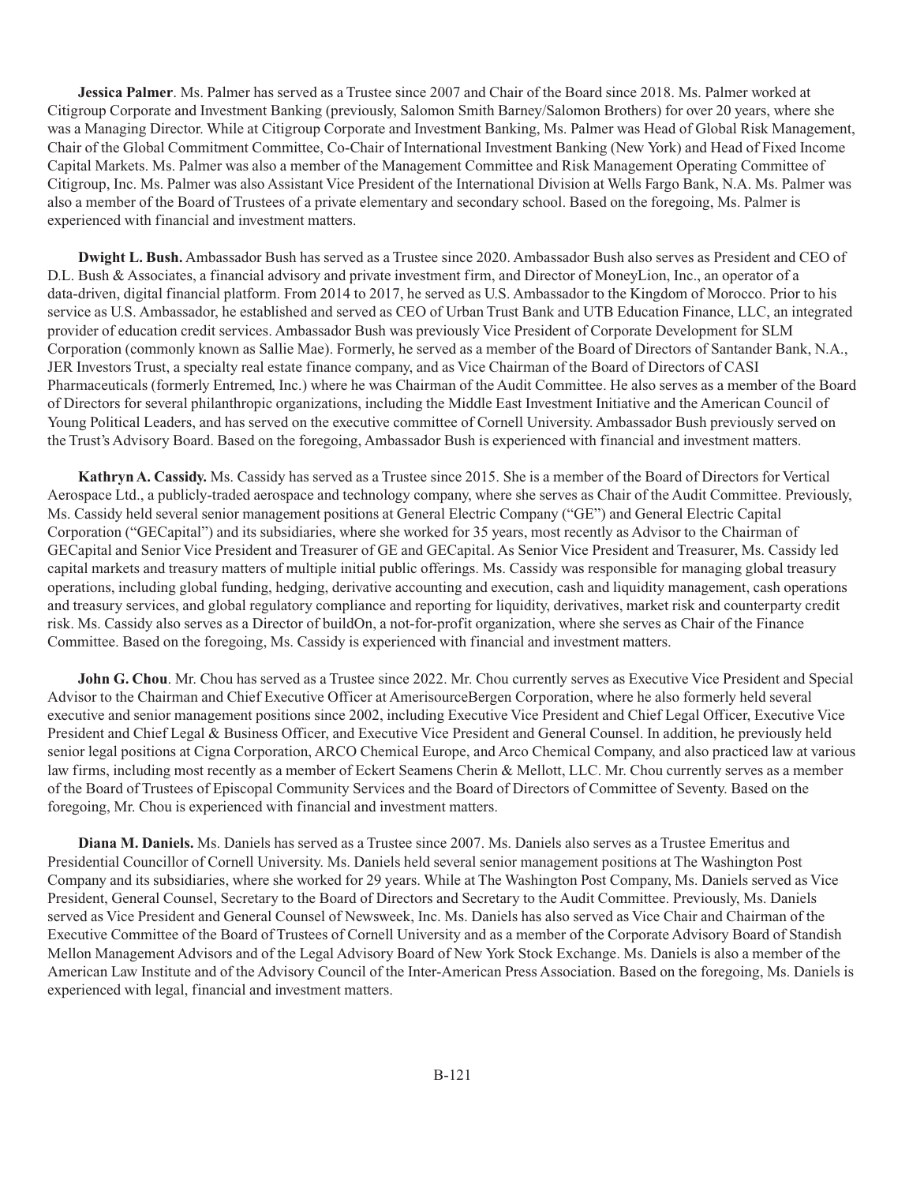**Jessica Palmer**. Ms. Palmer has served as a Trustee since 2007 and Chair of the Board since 2018. Ms. Palmer worked at Citigroup Corporate and Investment Banking (previously, Salomon Smith Barney/Salomon Brothers) for over 20 years, where she was a Managing Director. While at Citigroup Corporate and Investment Banking, Ms. Palmer was Head of Global Risk Management, Chair of the Global Commitment Committee, Co-Chair of International Investment Banking (New York) and Head of Fixed Income Capital Markets. Ms. Palmer was also a member of the Management Committee and Risk Management Operating Committee of Citigroup, Inc. Ms. Palmer was also Assistant Vice President of the International Division at Wells Fargo Bank, N.A. Ms. Palmer was also a member of the Board of Trustees of a private elementary and secondary school. Based on the foregoing, Ms. Palmer is experienced with financial and investment matters.

**Dwight L. Bush.** Ambassador Bush has served as a Trustee since 2020. Ambassador Bush also serves as President and CEO of D.L. Bush & Associates, a financial advisory and private investment firm, and Director of MoneyLion, Inc., an operator of a data-driven, digital financial platform. From 2014 to 2017, he served as U.S. Ambassador to the Kingdom of Morocco. Prior to his service as U.S. Ambassador, he established and served as CEO of Urban Trust Bank and UTB Education Finance, LLC, an integrated provider of education credit services. Ambassador Bush was previously Vice President of Corporate Development for SLM Corporation (commonly known as Sallie Mae). Formerly, he served as a member of the Board of Directors of Santander Bank, N.A., JER Investors Trust, a specialty real estate finance company, and as Vice Chairman of the Board of Directors of CASI Pharmaceuticals (formerly Entremed, Inc.) where he was Chairman of the Audit Committee. He also serves as a member of the Board of Directors for several philanthropic organizations, including the Middle East Investment Initiative and the American Council of Young Political Leaders, and has served on the executive committee of Cornell University. Ambassador Bush previously served on the Trust's Advisory Board. Based on the foregoing, Ambassador Bush is experienced with financial and investment matters.

**Kathryn A. Cassidy.** Ms. Cassidy has served as a Trustee since 2015. She is a member of the Board of Directors for Vertical Aerospace Ltd., a publicly-traded aerospace and technology company, where she serves as Chair of the Audit Committee. Previously, Ms. Cassidy held several senior management positions at General Electric Company ("GE") and General Electric Capital Corporation ("GECapital") and its subsidiaries, where she worked for 35 years, most recently as Advisor to the Chairman of GECapital and Senior Vice President and Treasurer of GE and GECapital. As Senior Vice President and Treasurer, Ms. Cassidy led capital markets and treasury matters of multiple initial public offerings. Ms. Cassidy was responsible for managing global treasury operations, including global funding, hedging, derivative accounting and execution, cash and liquidity management, cash operations and treasury services, and global regulatory compliance and reporting for liquidity, derivatives, market risk and counterparty credit risk. Ms. Cassidy also serves as a Director of buildOn, a not-for-profit organization, where she serves as Chair of the Finance Committee. Based on the foregoing, Ms. Cassidy is experienced with financial and investment matters.

**John G. Chou**. Mr. Chou has served as a Trustee since 2022. Mr. Chou currently serves as Executive Vice President and Special Advisor to the Chairman and Chief Executive Officer at AmerisourceBergen Corporation, where he also formerly held several executive and senior management positions since 2002, including Executive Vice President and Chief Legal Officer, Executive Vice President and Chief Legal & Business Officer, and Executive Vice President and General Counsel. In addition, he previously held senior legal positions at Cigna Corporation, ARCO Chemical Europe, and Arco Chemical Company, and also practiced law at various law firms, including most recently as a member of Eckert Seamens Cherin & Mellott, LLC. Mr. Chou currently serves as a member of the Board of Trustees of Episcopal Community Services and the Board of Directors of Committee of Seventy. Based on the foregoing, Mr. Chou is experienced with financial and investment matters.

**Diana M. Daniels.** Ms. Daniels has served as a Trustee since 2007. Ms. Daniels also serves as a Trustee Emeritus and Presidential Councillor of Cornell University. Ms. Daniels held several senior management positions at The Washington Post Company and its subsidiaries, where she worked for 29 years. While at The Washington Post Company, Ms. Daniels served as Vice President, General Counsel, Secretary to the Board of Directors and Secretary to the Audit Committee. Previously, Ms. Daniels served as Vice President and General Counsel of Newsweek, Inc. Ms. Daniels has also served as Vice Chair and Chairman of the Executive Committee of the Board of Trustees of Cornell University and as a member of the Corporate Advisory Board of Standish Mellon Management Advisors and of the Legal Advisory Board of New York Stock Exchange. Ms. Daniels is also a member of the American Law Institute and of the Advisory Council of the Inter-American Press Association. Based on the foregoing, Ms. Daniels is experienced with legal, financial and investment matters.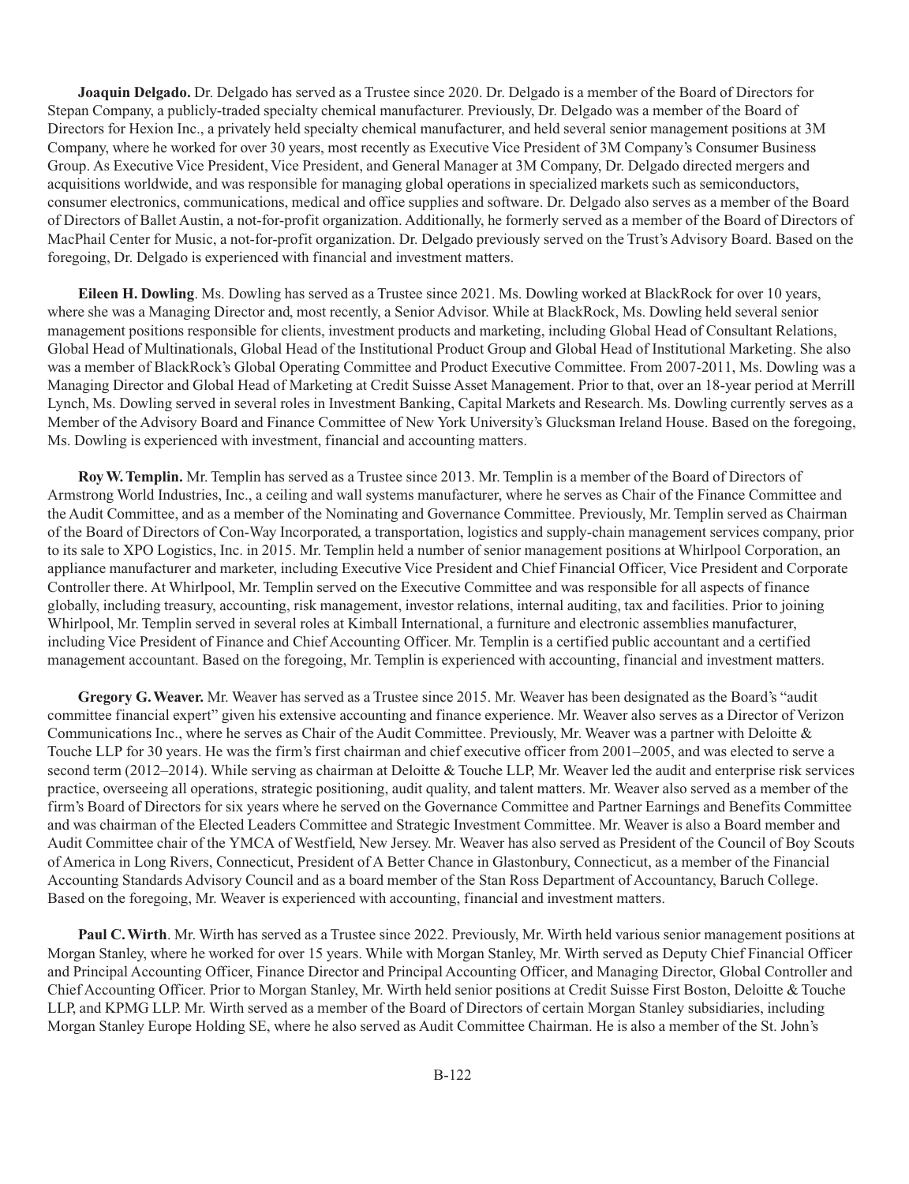**Joaquin Delgado.** Dr. Delgado has served as a Trustee since 2020. Dr. Delgado is a member of the Board of Directors for Stepan Company, a publicly-traded specialty chemical manufacturer. Previously, Dr. Delgado was a member of the Board of Directors for Hexion Inc., a privately held specialty chemical manufacturer, and held several senior management positions at 3M Company, where he worked for over 30 years, most recently as Executive Vice President of 3M Company's Consumer Business Group. As Executive Vice President, Vice President, and General Manager at 3M Company, Dr. Delgado directed mergers and acquisitions worldwide, and was responsible for managing global operations in specialized markets such as semiconductors, consumer electronics, communications, medical and office supplies and software. Dr. Delgado also serves as a member of the Board of Directors of Ballet Austin, a not-for-profit organization. Additionally, he formerly served as a member of the Board of Directors of MacPhail Center for Music, a not-for-profit organization. Dr. Delgado previously served on the Trust's Advisory Board. Based on the foregoing, Dr. Delgado is experienced with financial and investment matters.

**Eileen H. Dowling**. Ms. Dowling has served as a Trustee since 2021. Ms. Dowling worked at BlackRock for over 10 years, where she was a Managing Director and, most recently, a Senior Advisor. While at BlackRock, Ms. Dowling held several senior management positions responsible for clients, investment products and marketing, including Global Head of Consultant Relations, Global Head of Multinationals, Global Head of the Institutional Product Group and Global Head of Institutional Marketing. She also was a member of BlackRock's Global Operating Committee and Product Executive Committee. From 2007-2011, Ms. Dowling was a Managing Director and Global Head of Marketing at Credit Suisse Asset Management. Prior to that, over an 18-year period at Merrill Lynch, Ms. Dowling served in several roles in Investment Banking, Capital Markets and Research. Ms. Dowling currently serves as a Member of the Advisory Board and Finance Committee of New York University's Glucksman Ireland House. Based on the foregoing, Ms. Dowling is experienced with investment, financial and accounting matters.

**RoyW. Templin.** Mr. Templin has served as a Trustee since 2013. Mr. Templin is a member of the Board of Directors of Armstrong World Industries, Inc., a ceiling and wall systems manufacturer, where he serves as Chair of the Finance Committee and the Audit Committee, and as a member of the Nominating and Governance Committee. Previously, Mr. Templin served as Chairman of the Board of Directors of Con-Way Incorporated, a transportation, logistics and supply-chain management services company, prior to its sale to XPO Logistics, Inc. in 2015. Mr. Templin held a number of senior management positions at Whirlpool Corporation, an appliance manufacturer and marketer, including Executive Vice President and Chief Financial Officer, Vice President and Corporate Controller there. At Whirlpool, Mr. Templin served on the Executive Committee and was responsible for all aspects of finance globally, including treasury, accounting, risk management, investor relations, internal auditing, tax and facilities. Prior to joining Whirlpool, Mr. Templin served in several roles at Kimball International, a furniture and electronic assemblies manufacturer, including Vice President of Finance and Chief Accounting Officer. Mr. Templin is a certified public accountant and a certified management accountant. Based on the foregoing, Mr. Templin is experienced with accounting, financial and investment matters.

**Gregory G.Weaver.** Mr. Weaver has served as a Trustee since 2015. Mr. Weaver has been designated as the Board's "audit committee financial expert" given his extensive accounting and finance experience. Mr. Weaver also serves as a Director of Verizon Communications Inc., where he serves as Chair of the Audit Committee. Previously, Mr. Weaver was a partner with Deloitte  $\&$ Touche LLP for 30 years. He was the firm's first chairman and chief executive officer from 2001–2005, and was elected to serve a second term (2012–2014). While serving as chairman at Deloitte & Touche LLP, Mr. Weaver led the audit and enterprise risk services practice, overseeing all operations, strategic positioning, audit quality, and talent matters. Mr. Weaver also served as a member of the firm's Board of Directors for six years where he served on the Governance Committee and Partner Earnings and Benefits Committee and was chairman of the Elected Leaders Committee and Strategic Investment Committee. Mr. Weaver is also a Board member and Audit Committee chair of the YMCA of Westfield, New Jersey. Mr. Weaver has also served as President of the Council of Boy Scouts of America in Long Rivers, Connecticut, President of A Better Chance in Glastonbury, Connecticut, as a member of the Financial Accounting Standards Advisory Council and as a board member of the Stan Ross Department of Accountancy, Baruch College. Based on the foregoing, Mr. Weaver is experienced with accounting, financial and investment matters.

**Paul C.Wirth**. Mr. Wirth has served as a Trustee since 2022. Previously, Mr. Wirth held various senior management positions at Morgan Stanley, where he worked for over 15 years. While with Morgan Stanley, Mr. Wirth served as Deputy Chief Financial Officer and Principal Accounting Officer, Finance Director and Principal Accounting Officer, and Managing Director, Global Controller and Chief Accounting Officer. Prior to Morgan Stanley, Mr. Wirth held senior positions at Credit Suisse First Boston, Deloitte & Touche LLP, and KPMG LLP. Mr. Wirth served as a member of the Board of Directors of certain Morgan Stanley subsidiaries, including Morgan Stanley Europe Holding SE, where he also served as Audit Committee Chairman. He is also a member of the St. John's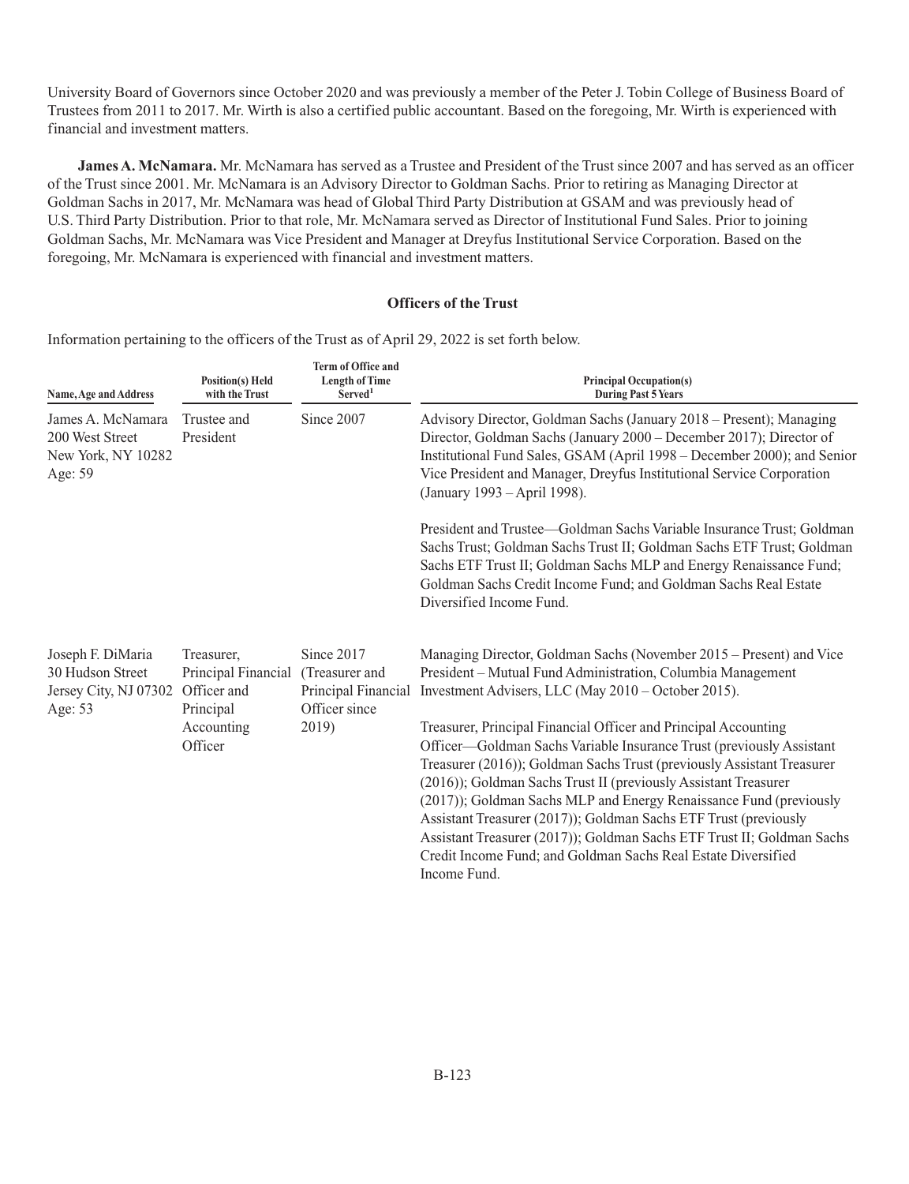University Board of Governors since October 2020 and was previously a member of the Peter J. Tobin College of Business Board of Trustees from 2011 to 2017. Mr. Wirth is also a certified public accountant. Based on the foregoing, Mr. Wirth is experienced with financial and investment matters.

**James A. McNamara.** Mr. McNamara has served as a Trustee and President of the Trust since 2007 and has served as an officer of the Trust since 2001. Mr. McNamara is an Advisory Director to Goldman Sachs. Prior to retiring as Managing Director at Goldman Sachs in 2017, Mr. McNamara was head of Global Third Party Distribution at GSAM and was previously head of U.S. Third Party Distribution. Prior to that role, Mr. McNamara served as Director of Institutional Fund Sales. Prior to joining Goldman Sachs, Mr. McNamara was Vice President and Manager at Dreyfus Institutional Service Corporation. Based on the foregoing, Mr. McNamara is experienced with financial and investment matters.

## **Officers of the Trust**

Information pertaining to the officers of the Trust as of April 29, 2022 is set forth below.

| Name, Age and Address                                                     | <b>Position(s)</b> Held<br>with the Trust                                              | Term of Office and<br><b>Length of Time</b><br>Served <sup>1</sup>            | <b>Principal Occupation(s)</b><br><b>During Past 5 Years</b>                                                                                                                                                                                                                                                                                                                                                                                                                                                                                                                                                                                                                                                                                                                           |  |  |  |  |
|---------------------------------------------------------------------------|----------------------------------------------------------------------------------------|-------------------------------------------------------------------------------|----------------------------------------------------------------------------------------------------------------------------------------------------------------------------------------------------------------------------------------------------------------------------------------------------------------------------------------------------------------------------------------------------------------------------------------------------------------------------------------------------------------------------------------------------------------------------------------------------------------------------------------------------------------------------------------------------------------------------------------------------------------------------------------|--|--|--|--|
| James A. McNamara<br>200 West Street<br>New York, NY 10282<br>Age: 59     | Trustee and<br>President                                                               | Since 2007                                                                    | Advisory Director, Goldman Sachs (January 2018 – Present); Managing<br>Director, Goldman Sachs (January 2000 – December 2017); Director of<br>Institutional Fund Sales, GSAM (April 1998 – December 2000); and Senior<br>Vice President and Manager, Dreyfus Institutional Service Corporation<br>(January 1993 – April 1998).                                                                                                                                                                                                                                                                                                                                                                                                                                                         |  |  |  |  |
|                                                                           |                                                                                        |                                                                               | President and Trustee—Goldman Sachs Variable Insurance Trust; Goldman<br>Sachs Trust; Goldman Sachs Trust II; Goldman Sachs ETF Trust; Goldman<br>Sachs ETF Trust II; Goldman Sachs MLP and Energy Renaissance Fund;<br>Goldman Sachs Credit Income Fund; and Goldman Sachs Real Estate<br>Diversified Income Fund.                                                                                                                                                                                                                                                                                                                                                                                                                                                                    |  |  |  |  |
| Joseph F. DiMaria<br>30 Hudson Street<br>Jersey City, NJ 07302<br>Age: 53 | Treasurer,<br>Principal Financial<br>Officer and<br>Principal<br>Accounting<br>Officer | Since 2017<br>(Treasurer and<br>Principal Financial<br>Officer since<br>2019) | Managing Director, Goldman Sachs (November 2015 – Present) and Vice<br>President - Mutual Fund Administration, Columbia Management<br>Investment Advisers, LLC (May 2010 – October 2015).<br>Treasurer, Principal Financial Officer and Principal Accounting<br>Officer-Goldman Sachs Variable Insurance Trust (previously Assistant<br>Treasurer (2016)); Goldman Sachs Trust (previously Assistant Treasurer<br>(2016)); Goldman Sachs Trust II (previously Assistant Treasurer<br>(2017)); Goldman Sachs MLP and Energy Renaissance Fund (previously<br>Assistant Treasurer (2017)); Goldman Sachs ETF Trust (previously<br>Assistant Treasurer (2017)); Goldman Sachs ETF Trust II; Goldman Sachs<br>Credit Income Fund; and Goldman Sachs Real Estate Diversified<br>Income Fund. |  |  |  |  |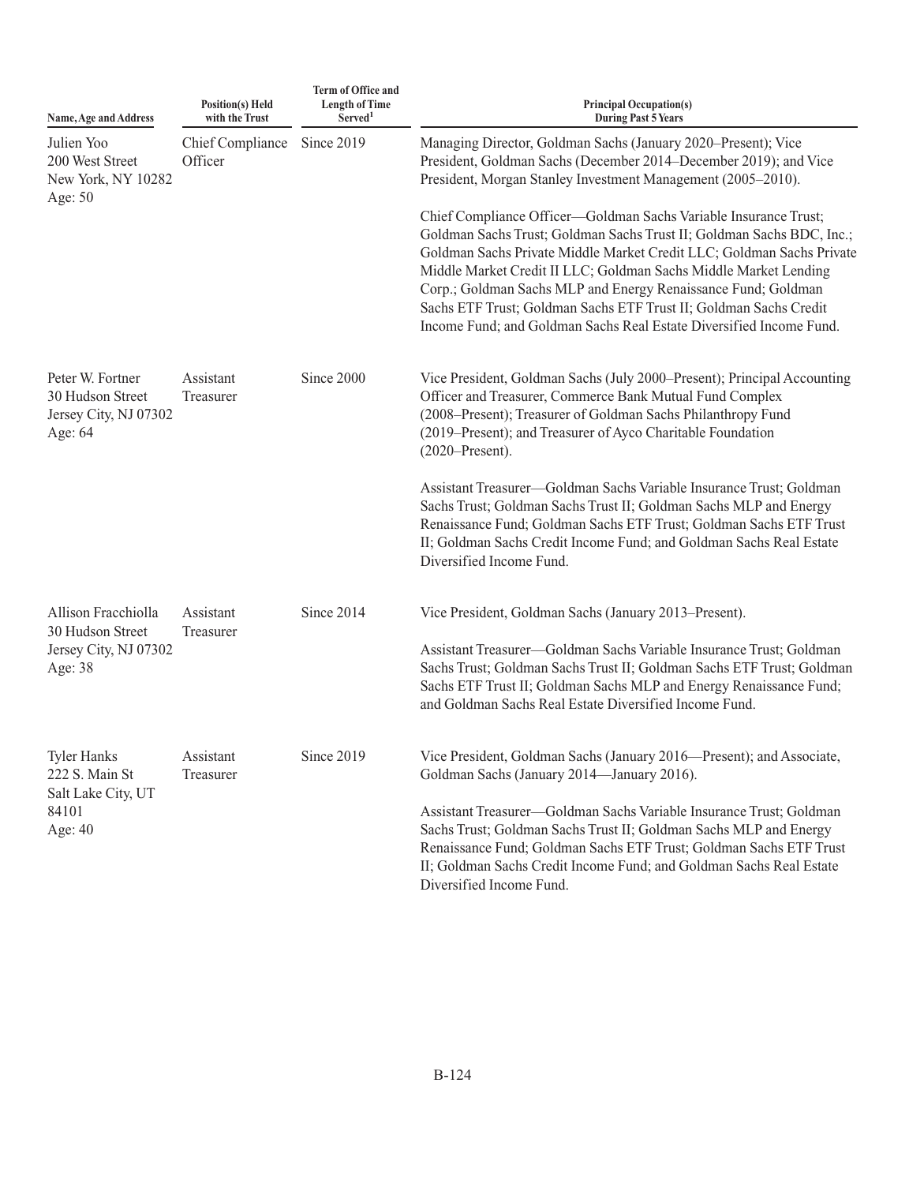| Name, Age and Address                                                    | <b>Position(s)</b> Held<br>with the Trust | Term of Office and<br><b>Length of Time</b><br>Served <sup>1</sup> | <b>Principal Occupation(s)</b><br><b>During Past 5 Years</b>                                                                                                                                                                                                                                                                                                                                                                                                                                        |  |  |  |
|--------------------------------------------------------------------------|-------------------------------------------|--------------------------------------------------------------------|-----------------------------------------------------------------------------------------------------------------------------------------------------------------------------------------------------------------------------------------------------------------------------------------------------------------------------------------------------------------------------------------------------------------------------------------------------------------------------------------------------|--|--|--|
| Julien Yoo<br>200 West Street<br>New York, NY 10282<br>Age: 50           | Chief Compliance<br>Officer               | Since 2019                                                         | Managing Director, Goldman Sachs (January 2020–Present); Vice<br>President, Goldman Sachs (December 2014–December 2019); and Vice<br>President, Morgan Stanley Investment Management (2005-2010).                                                                                                                                                                                                                                                                                                   |  |  |  |
|                                                                          |                                           |                                                                    | Chief Compliance Officer-Goldman Sachs Variable Insurance Trust;<br>Goldman Sachs Trust; Goldman Sachs Trust II; Goldman Sachs BDC, Inc.;<br>Goldman Sachs Private Middle Market Credit LLC; Goldman Sachs Private<br>Middle Market Credit II LLC; Goldman Sachs Middle Market Lending<br>Corp.; Goldman Sachs MLP and Energy Renaissance Fund; Goldman<br>Sachs ETF Trust; Goldman Sachs ETF Trust II; Goldman Sachs Credit<br>Income Fund; and Goldman Sachs Real Estate Diversified Income Fund. |  |  |  |
| Peter W. Fortner<br>30 Hudson Street<br>Jersey City, NJ 07302<br>Age: 64 | Assistant<br>Treasurer                    | Since 2000                                                         | Vice President, Goldman Sachs (July 2000–Present); Principal Accounting<br>Officer and Treasurer, Commerce Bank Mutual Fund Complex<br>(2008–Present); Treasurer of Goldman Sachs Philanthropy Fund<br>(2019–Present); and Treasurer of Ayco Charitable Foundation<br>$(2020 -$ Present).                                                                                                                                                                                                           |  |  |  |
|                                                                          |                                           |                                                                    | Assistant Treasurer-Goldman Sachs Variable Insurance Trust; Goldman<br>Sachs Trust; Goldman Sachs Trust II; Goldman Sachs MLP and Energy<br>Renaissance Fund; Goldman Sachs ETF Trust; Goldman Sachs ETF Trust<br>II; Goldman Sachs Credit Income Fund; and Goldman Sachs Real Estate<br>Diversified Income Fund.                                                                                                                                                                                   |  |  |  |
| Allison Fracchiolla<br>30 Hudson Street                                  | Assistant<br>Treasurer                    | Since 2014                                                         | Vice President, Goldman Sachs (January 2013–Present).                                                                                                                                                                                                                                                                                                                                                                                                                                               |  |  |  |
| Jersey City, NJ 07302<br>Age: 38                                         |                                           |                                                                    | Assistant Treasurer-Goldman Sachs Variable Insurance Trust; Goldman<br>Sachs Trust; Goldman Sachs Trust II; Goldman Sachs ETF Trust; Goldman<br>Sachs ETF Trust II; Goldman Sachs MLP and Energy Renaissance Fund;<br>and Goldman Sachs Real Estate Diversified Income Fund.                                                                                                                                                                                                                        |  |  |  |
| <b>Tyler Hanks</b><br>222 S. Main St                                     | Assistant<br>Treasurer                    | Since 2019                                                         | Vice President, Goldman Sachs (January 2016—Present); and Associate,<br>Goldman Sachs (January 2014-January 2016).                                                                                                                                                                                                                                                                                                                                                                                  |  |  |  |
| Salt Lake City, UT<br>84101<br>Age: 40                                   |                                           |                                                                    | Assistant Treasurer-Goldman Sachs Variable Insurance Trust; Goldman<br>Sachs Trust; Goldman Sachs Trust II; Goldman Sachs MLP and Energy<br>Renaissance Fund; Goldman Sachs ETF Trust; Goldman Sachs ETF Trust<br>II; Goldman Sachs Credit Income Fund; and Goldman Sachs Real Estate<br>Diversified Income Fund.                                                                                                                                                                                   |  |  |  |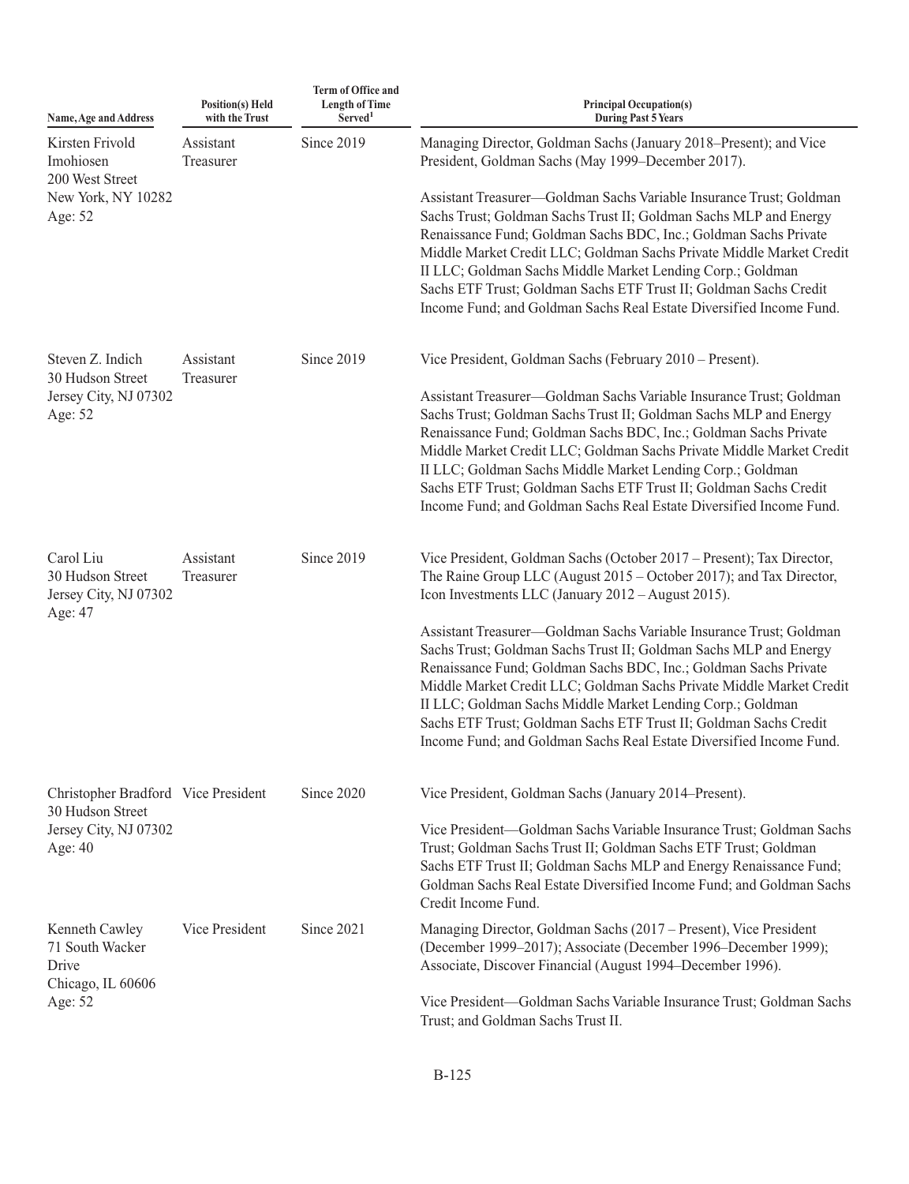| Name, Age and Address                                             | <b>Position(s)</b> Held<br>with the Trust | Term of Office and<br><b>Length of Time</b><br>Served <sup>1</sup> | <b>Principal Occupation(s)</b><br><b>During Past 5 Years</b>                                                                                                                                                                                                                                                                                                                                                                                                                                   |  |  |  |  |
|-------------------------------------------------------------------|-------------------------------------------|--------------------------------------------------------------------|------------------------------------------------------------------------------------------------------------------------------------------------------------------------------------------------------------------------------------------------------------------------------------------------------------------------------------------------------------------------------------------------------------------------------------------------------------------------------------------------|--|--|--|--|
| Kirsten Frivold<br>Imohiosen<br>200 West Street                   | Assistant<br>Treasurer                    | Since 2019                                                         | Managing Director, Goldman Sachs (January 2018–Present); and Vice<br>President, Goldman Sachs (May 1999–December 2017).                                                                                                                                                                                                                                                                                                                                                                        |  |  |  |  |
| New York, NY 10282<br>Age: 52                                     |                                           |                                                                    | Assistant Treasurer-Goldman Sachs Variable Insurance Trust; Goldman<br>Sachs Trust; Goldman Sachs Trust II; Goldman Sachs MLP and Energy<br>Renaissance Fund; Goldman Sachs BDC, Inc.; Goldman Sachs Private<br>Middle Market Credit LLC; Goldman Sachs Private Middle Market Credit<br>II LLC; Goldman Sachs Middle Market Lending Corp.; Goldman<br>Sachs ETF Trust; Goldman Sachs ETF Trust II; Goldman Sachs Credit<br>Income Fund; and Goldman Sachs Real Estate Diversified Income Fund. |  |  |  |  |
| Steven Z. Indich<br>30 Hudson Street                              | Assistant<br>Treasurer                    | Since 2019                                                         | Vice President, Goldman Sachs (February 2010 – Present).                                                                                                                                                                                                                                                                                                                                                                                                                                       |  |  |  |  |
| Jersey City, NJ 07302<br>Age: 52                                  |                                           |                                                                    | Assistant Treasurer-Goldman Sachs Variable Insurance Trust; Goldman<br>Sachs Trust; Goldman Sachs Trust II; Goldman Sachs MLP and Energy<br>Renaissance Fund; Goldman Sachs BDC, Inc.; Goldman Sachs Private<br>Middle Market Credit LLC; Goldman Sachs Private Middle Market Credit<br>II LLC; Goldman Sachs Middle Market Lending Corp.; Goldman<br>Sachs ETF Trust; Goldman Sachs ETF Trust II; Goldman Sachs Credit<br>Income Fund; and Goldman Sachs Real Estate Diversified Income Fund. |  |  |  |  |
| Carol Liu<br>30 Hudson Street<br>Jersey City, NJ 07302<br>Age: 47 | Assistant<br>Treasurer                    | Since 2019                                                         | Vice President, Goldman Sachs (October 2017 – Present); Tax Director,<br>The Raine Group LLC (August 2015 – October 2017); and Tax Director,<br>Icon Investments LLC (January 2012 – August 2015).                                                                                                                                                                                                                                                                                             |  |  |  |  |
|                                                                   |                                           |                                                                    | Assistant Treasurer-Goldman Sachs Variable Insurance Trust; Goldman<br>Sachs Trust; Goldman Sachs Trust II; Goldman Sachs MLP and Energy<br>Renaissance Fund; Goldman Sachs BDC, Inc.; Goldman Sachs Private<br>Middle Market Credit LLC; Goldman Sachs Private Middle Market Credit<br>II LLC; Goldman Sachs Middle Market Lending Corp.; Goldman<br>Sachs ETF Trust; Goldman Sachs ETF Trust II; Goldman Sachs Credit<br>Income Fund; and Goldman Sachs Real Estate Diversified Income Fund. |  |  |  |  |
| Christopher Bradford Vice President                               |                                           | Since 2020                                                         | Vice President, Goldman Sachs (January 2014–Present).                                                                                                                                                                                                                                                                                                                                                                                                                                          |  |  |  |  |
| 30 Hudson Street<br>Jersey City, NJ 07302<br>Age: $40$            |                                           |                                                                    | Vice President—Goldman Sachs Variable Insurance Trust; Goldman Sachs<br>Trust; Goldman Sachs Trust II; Goldman Sachs ETF Trust; Goldman<br>Sachs ETF Trust II; Goldman Sachs MLP and Energy Renaissance Fund;<br>Goldman Sachs Real Estate Diversified Income Fund; and Goldman Sachs<br>Credit Income Fund.                                                                                                                                                                                   |  |  |  |  |
| Kenneth Cawley<br>71 South Wacker<br>Drive<br>Chicago, IL 60606   | Vice President                            | Since 2021                                                         | Managing Director, Goldman Sachs (2017 – Present), Vice President<br>(December 1999–2017); Associate (December 1996–December 1999);<br>Associate, Discover Financial (August 1994–December 1996).                                                                                                                                                                                                                                                                                              |  |  |  |  |
| Age: 52                                                           |                                           |                                                                    | Vice President—Goldman Sachs Variable Insurance Trust; Goldman Sachs<br>Trust; and Goldman Sachs Trust II.                                                                                                                                                                                                                                                                                                                                                                                     |  |  |  |  |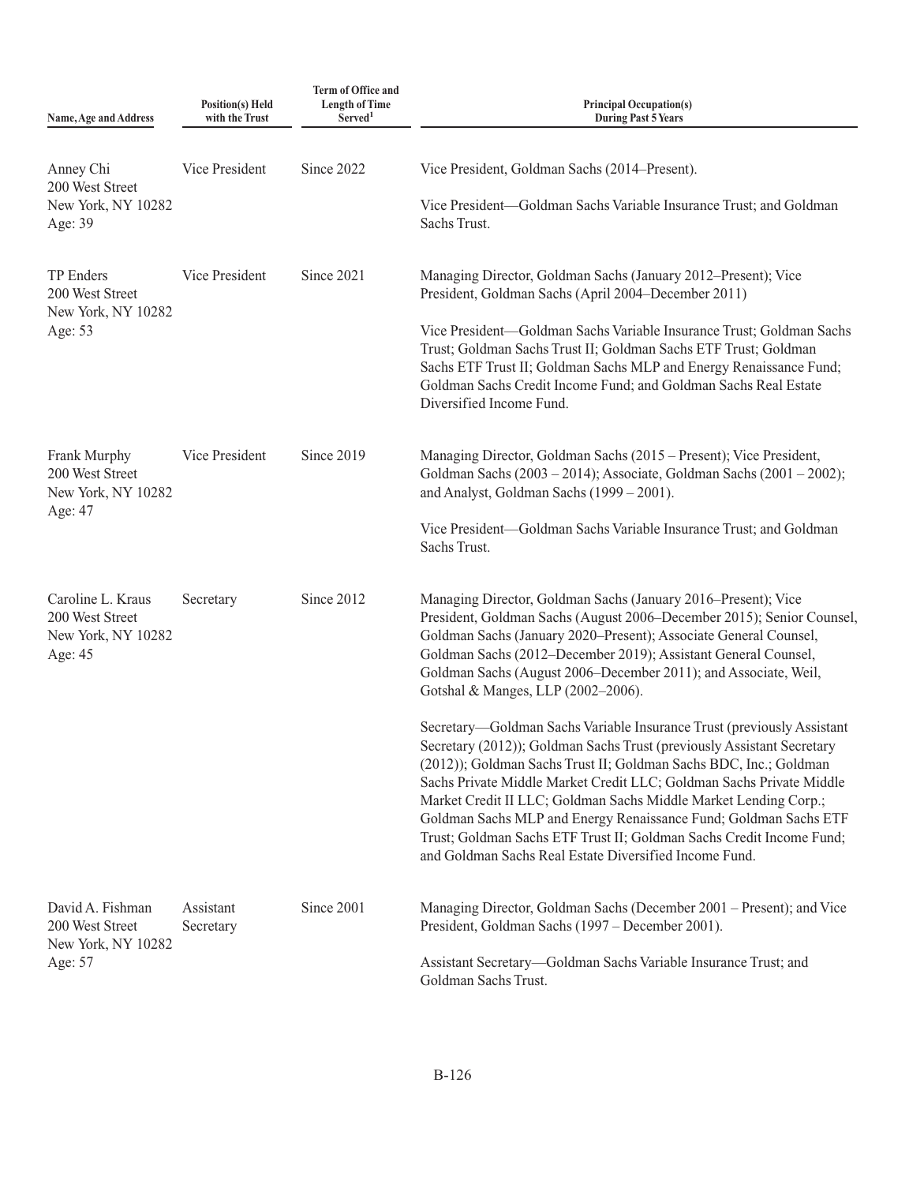| Name, Age and Address                                                 | <b>Position(s)</b> Held<br>with the Trust | Term of Office and<br><b>Length of Time</b><br>Served <sup>1</sup> | <b>Principal Occupation(s)</b><br><b>During Past 5 Years</b>                                                                                                                                                                                                                                                                                                                                                                                                                                                                                                                                                                                                                                                                                               |
|-----------------------------------------------------------------------|-------------------------------------------|--------------------------------------------------------------------|------------------------------------------------------------------------------------------------------------------------------------------------------------------------------------------------------------------------------------------------------------------------------------------------------------------------------------------------------------------------------------------------------------------------------------------------------------------------------------------------------------------------------------------------------------------------------------------------------------------------------------------------------------------------------------------------------------------------------------------------------------|
| Anney Chi<br>200 West Street<br>New York, NY 10282<br>Age: 39         | Vice President                            | Since 2022                                                         | Vice President, Goldman Sachs (2014–Present).<br>Vice President-Goldman Sachs Variable Insurance Trust; and Goldman<br>Sachs Trust.                                                                                                                                                                                                                                                                                                                                                                                                                                                                                                                                                                                                                        |
| <b>TP</b> Enders<br>200 West Street<br>New York, NY 10282<br>Age: 53  | Vice President                            | Since 2021                                                         | Managing Director, Goldman Sachs (January 2012–Present); Vice<br>President, Goldman Sachs (April 2004–December 2011)<br>Vice President—Goldman Sachs Variable Insurance Trust; Goldman Sachs<br>Trust; Goldman Sachs Trust II; Goldman Sachs ETF Trust; Goldman<br>Sachs ETF Trust II; Goldman Sachs MLP and Energy Renaissance Fund;<br>Goldman Sachs Credit Income Fund; and Goldman Sachs Real Estate<br>Diversified Income Fund.                                                                                                                                                                                                                                                                                                                       |
| Frank Murphy<br>200 West Street<br>New York, NY 10282<br>Age: 47      | Vice President                            | Since 2019                                                         | Managing Director, Goldman Sachs (2015 – Present); Vice President,<br>Goldman Sachs (2003 – 2014); Associate, Goldman Sachs (2001 – 2002);<br>and Analyst, Goldman Sachs (1999 - 2001).<br>Vice President-Goldman Sachs Variable Insurance Trust; and Goldman<br>Sachs Trust.                                                                                                                                                                                                                                                                                                                                                                                                                                                                              |
| Caroline L. Kraus<br>200 West Street<br>New York, NY 10282<br>Age: 45 | Secretary                                 | Since 2012                                                         | Managing Director, Goldman Sachs (January 2016–Present); Vice<br>President, Goldman Sachs (August 2006–December 2015); Senior Counsel,<br>Goldman Sachs (January 2020–Present); Associate General Counsel,<br>Goldman Sachs (2012–December 2019); Assistant General Counsel,<br>Goldman Sachs (August 2006–December 2011); and Associate, Weil,<br>Gotshal & Manges, LLP (2002-2006).<br>Secretary—Goldman Sachs Variable Insurance Trust (previously Assistant<br>Secretary (2012)); Goldman Sachs Trust (previously Assistant Secretary<br>(2012)); Goldman Sachs Trust II; Goldman Sachs BDC, Inc.; Goldman<br>Sachs Private Middle Market Credit LLC; Goldman Sachs Private Middle<br>Market Credit II LLC; Goldman Sachs Middle Market Lending Corp.; |
| David A. Fishman<br>200 West Street<br>New York, NY 10282<br>Age: 57  | Assistant<br>Secretary                    | Since 2001                                                         | Goldman Sachs MLP and Energy Renaissance Fund; Goldman Sachs ETF<br>Trust; Goldman Sachs ETF Trust II; Goldman Sachs Credit Income Fund;<br>and Goldman Sachs Real Estate Diversified Income Fund.<br>Managing Director, Goldman Sachs (December 2001 – Present); and Vice<br>President, Goldman Sachs (1997 – December 2001).<br>Assistant Secretary-Goldman Sachs Variable Insurance Trust; and<br>Goldman Sachs Trust.                                                                                                                                                                                                                                                                                                                                  |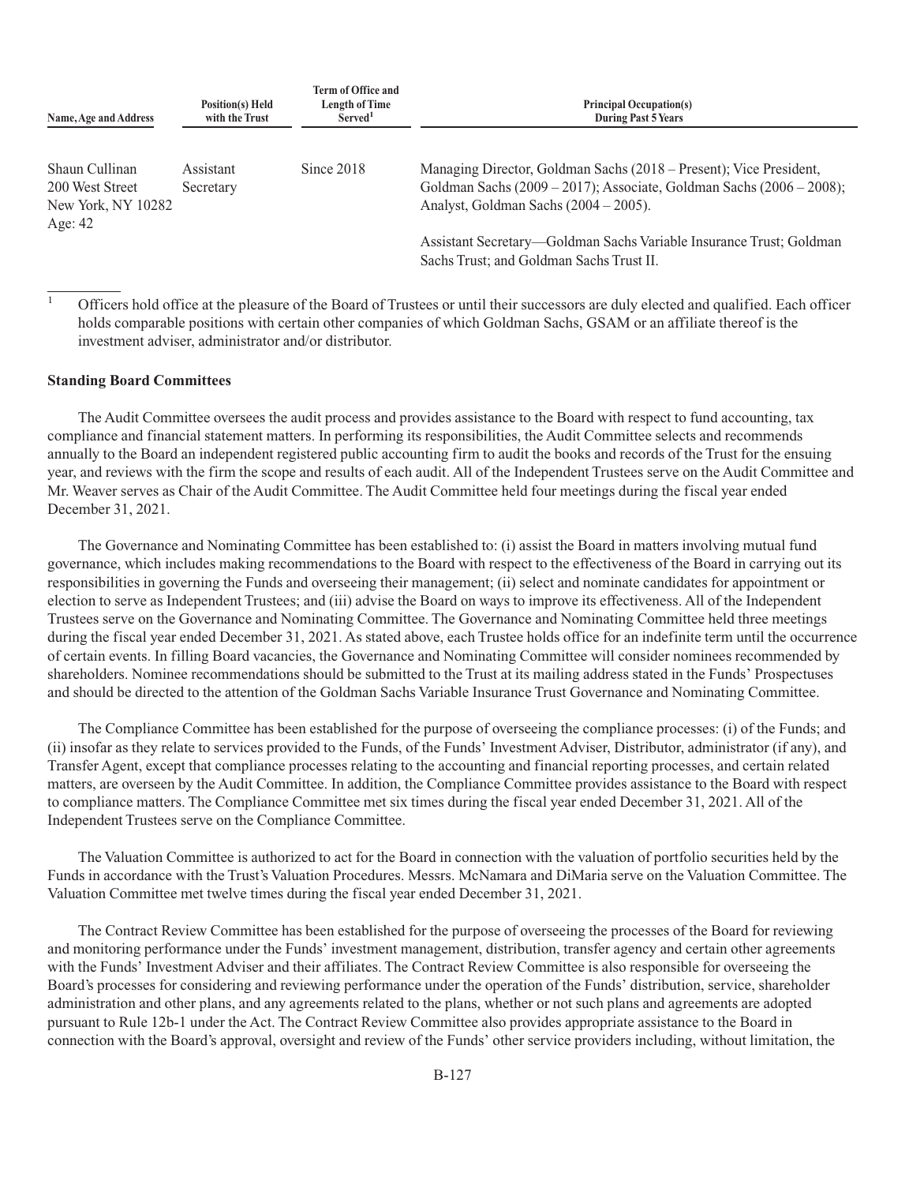| Name, Age and Address                                   | <b>Position(s)</b> Held<br>with the Trust | Term of Office and<br>Length of Time<br>Served <sup>1</sup> | <b>Principal Occupation(s)</b><br><b>During Past 5 Years</b>                                                                                                                        |
|---------------------------------------------------------|-------------------------------------------|-------------------------------------------------------------|-------------------------------------------------------------------------------------------------------------------------------------------------------------------------------------|
| Shaun Cullinan<br>200 West Street<br>New York, NY 10282 | Assistant<br>Secretary                    | Since $2018$                                                | Managing Director, Goldman Sachs (2018 – Present); Vice President,<br>Goldman Sachs (2009 – 2017); Associate, Goldman Sachs (2006 – 2008);<br>Analyst, Goldman Sachs (2004 - 2005). |
| Age: $42$                                               |                                           |                                                             | Assistant Secretary—Goldman Sachs Variable Insurance Trust; Goldman<br>Sachs Trust; and Goldman Sachs Trust II.                                                                     |

<sup>1</sup> Officers hold office at the pleasure of the Board of Trustees or until their successors are duly elected and qualified. Each officer holds comparable positions with certain other companies of which Goldman Sachs, GSAM or an affiliate thereof is the investment adviser, administrator and/or distributor.

## **Standing Board Committees**

The Audit Committee oversees the audit process and provides assistance to the Board with respect to fund accounting, tax compliance and financial statement matters. In performing its responsibilities, the Audit Committee selects and recommends annually to the Board an independent registered public accounting firm to audit the books and records of the Trust for the ensuing year, and reviews with the firm the scope and results of each audit. All of the Independent Trustees serve on the Audit Committee and Mr. Weaver serves as Chair of the Audit Committee. The Audit Committee held four meetings during the fiscal year ended December 31, 2021.

The Governance and Nominating Committee has been established to: (i) assist the Board in matters involving mutual fund governance, which includes making recommendations to the Board with respect to the effectiveness of the Board in carrying out its responsibilities in governing the Funds and overseeing their management; (ii) select and nominate candidates for appointment or election to serve as Independent Trustees; and (iii) advise the Board on ways to improve its effectiveness. All of the Independent Trustees serve on the Governance and Nominating Committee. The Governance and Nominating Committee held three meetings during the fiscal year ended December 31, 2021. As stated above, each Trustee holds office for an indefinite term until the occurrence of certain events. In filling Board vacancies, the Governance and Nominating Committee will consider nominees recommended by shareholders. Nominee recommendations should be submitted to the Trust at its mailing address stated in the Funds' Prospectuses and should be directed to the attention of the Goldman Sachs Variable Insurance Trust Governance and Nominating Committee.

The Compliance Committee has been established for the purpose of overseeing the compliance processes: (i) of the Funds; and (ii) insofar as they relate to services provided to the Funds, of the Funds' Investment Adviser, Distributor, administrator (if any), and Transfer Agent, except that compliance processes relating to the accounting and financial reporting processes, and certain related matters, are overseen by the Audit Committee. In addition, the Compliance Committee provides assistance to the Board with respect to compliance matters. The Compliance Committee met six times during the fiscal year ended December 31, 2021. All of the Independent Trustees serve on the Compliance Committee.

The Valuation Committee is authorized to act for the Board in connection with the valuation of portfolio securities held by the Funds in accordance with the Trust's Valuation Procedures. Messrs. McNamara and DiMaria serve on the Valuation Committee. The Valuation Committee met twelve times during the fiscal year ended December 31, 2021.

The Contract Review Committee has been established for the purpose of overseeing the processes of the Board for reviewing and monitoring performance under the Funds' investment management, distribution, transfer agency and certain other agreements with the Funds' Investment Adviser and their affiliates. The Contract Review Committee is also responsible for overseeing the Board's processes for considering and reviewing performance under the operation of the Funds' distribution, service, shareholder administration and other plans, and any agreements related to the plans, whether or not such plans and agreements are adopted pursuant to Rule 12b-1 under the Act. The Contract Review Committee also provides appropriate assistance to the Board in connection with the Board's approval, oversight and review of the Funds' other service providers including, without limitation, the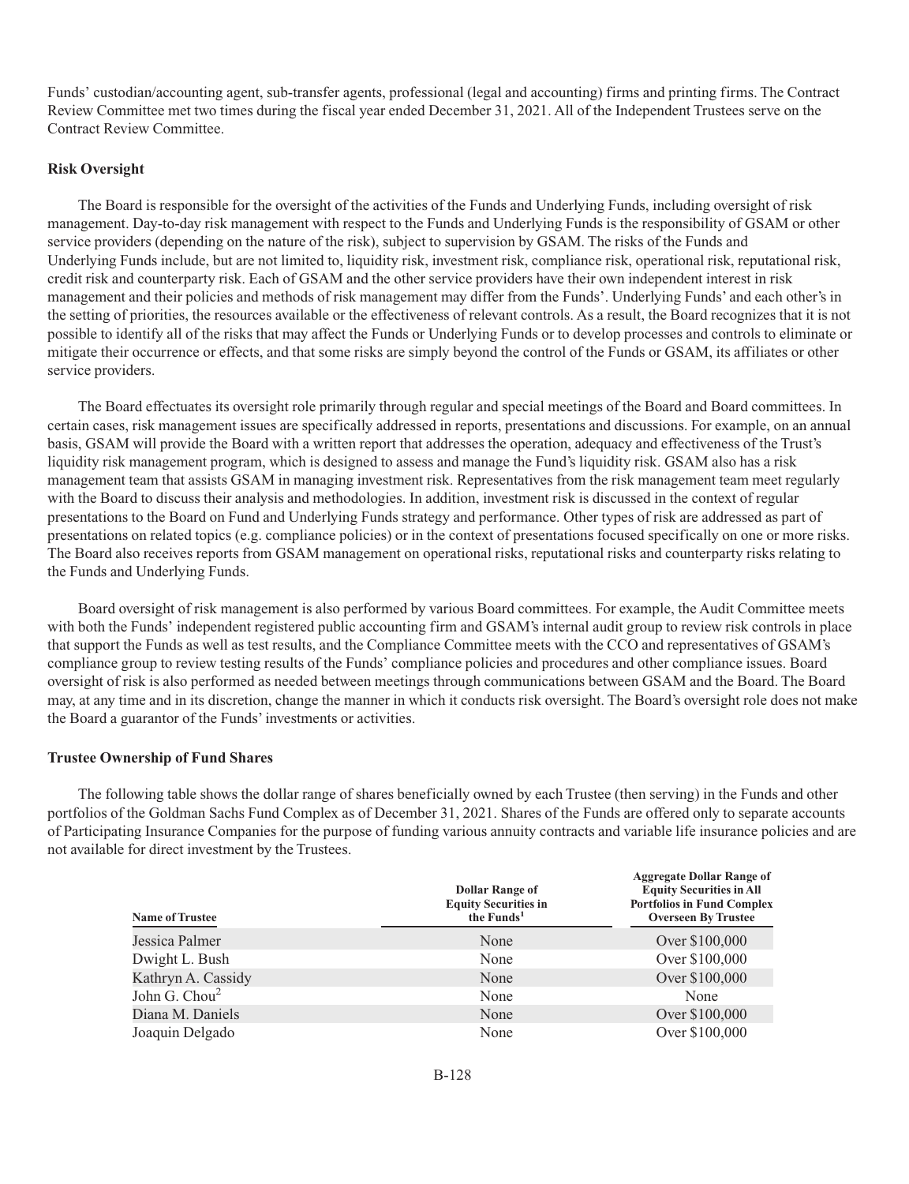Funds' custodian/accounting agent, sub-transfer agents, professional (legal and accounting) firms and printing firms. The Contract Review Committee met two times during the fiscal year ended December 31, 2021. All of the Independent Trustees serve on the Contract Review Committee.

### **Risk Oversight**

The Board is responsible for the oversight of the activities of the Funds and Underlying Funds, including oversight of risk management. Day-to-day risk management with respect to the Funds and Underlying Funds is the responsibility of GSAM or other service providers (depending on the nature of the risk), subject to supervision by GSAM. The risks of the Funds and Underlying Funds include, but are not limited to, liquidity risk, investment risk, compliance risk, operational risk, reputational risk, credit risk and counterparty risk. Each of GSAM and the other service providers have their own independent interest in risk management and their policies and methods of risk management may differ from the Funds'. Underlying Funds' and each other's in the setting of priorities, the resources available or the effectiveness of relevant controls. As a result, the Board recognizes that it is not possible to identify all of the risks that may affect the Funds or Underlying Funds or to develop processes and controls to eliminate or mitigate their occurrence or effects, and that some risks are simply beyond the control of the Funds or GSAM, its affiliates or other service providers.

The Board effectuates its oversight role primarily through regular and special meetings of the Board and Board committees. In certain cases, risk management issues are specifically addressed in reports, presentations and discussions. For example, on an annual basis, GSAM will provide the Board with a written report that addresses the operation, adequacy and effectiveness of the Trust's liquidity risk management program, which is designed to assess and manage the Fund's liquidity risk. GSAM also has a risk management team that assists GSAM in managing investment risk. Representatives from the risk management team meet regularly with the Board to discuss their analysis and methodologies. In addition, investment risk is discussed in the context of regular presentations to the Board on Fund and Underlying Funds strategy and performance. Other types of risk are addressed as part of presentations on related topics (e.g. compliance policies) or in the context of presentations focused specifically on one or more risks. The Board also receives reports from GSAM management on operational risks, reputational risks and counterparty risks relating to the Funds and Underlying Funds.

Board oversight of risk management is also performed by various Board committees. For example, the Audit Committee meets with both the Funds' independent registered public accounting firm and GSAM's internal audit group to review risk controls in place that support the Funds as well as test results, and the Compliance Committee meets with the CCO and representatives of GSAM's compliance group to review testing results of the Funds' compliance policies and procedures and other compliance issues. Board oversight of risk is also performed as needed between meetings through communications between GSAM and the Board. The Board may, at any time and in its discretion, change the manner in which it conducts risk oversight. The Board's oversight role does not make the Board a guarantor of the Funds' investments or activities.

### **Trustee Ownership of Fund Shares**

The following table shows the dollar range of shares beneficially owned by each Trustee (then serving) in the Funds and other portfolios of the Goldman Sachs Fund Complex as of December 31, 2021. Shares of the Funds are offered only to separate accounts of Participating Insurance Companies for the purpose of funding various annuity contracts and variable life insurance policies and are not available for direct investment by the Trustees.

| <b>Name of Trustee</b>    | <b>Dollar Range of</b><br><b>Equity Securities in</b><br>the Funds <sup>1</sup> | <b>Aggregate Dollar Range of</b><br><b>Equity Securities in All</b><br><b>Portfolios in Fund Complex</b><br><b>Overseen By Trustee</b> |
|---------------------------|---------------------------------------------------------------------------------|----------------------------------------------------------------------------------------------------------------------------------------|
| Jessica Palmer            | None                                                                            | Over \$100,000                                                                                                                         |
| Dwight L. Bush            | None                                                                            | Over \$100,000                                                                                                                         |
| Kathryn A. Cassidy        | None                                                                            | Over \$100,000                                                                                                                         |
| John G. Chou <sup>2</sup> | None                                                                            | None                                                                                                                                   |
| Diana M. Daniels          | None                                                                            | Over \$100,000                                                                                                                         |
| Joaquin Delgado           | None                                                                            | Over \$100,000                                                                                                                         |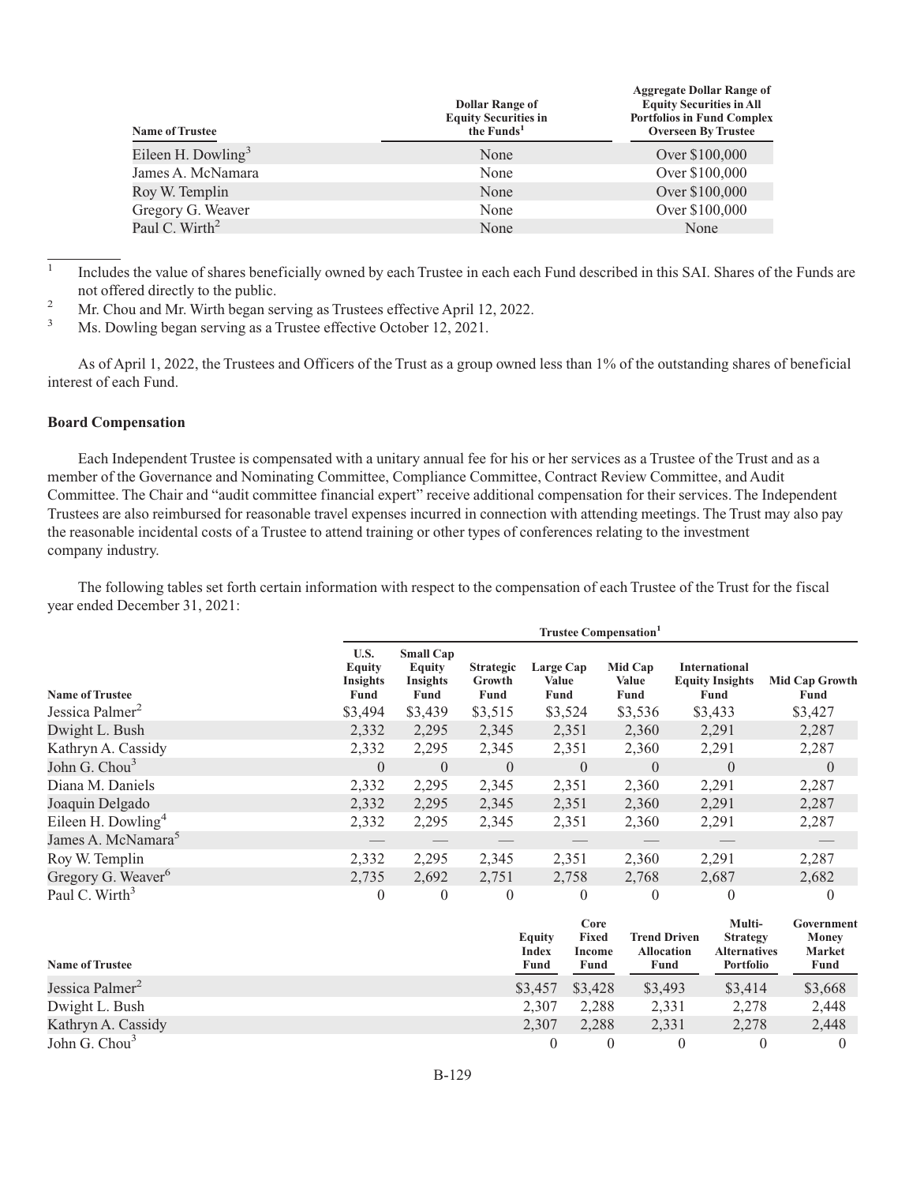| <b>Name of Trustee</b>         | <b>Dollar Range of</b><br><b>Equity Securities in</b><br>the $Funds1$ | <b>Aggregate Dollar Range of</b><br><b>Equity Securities in All</b><br><b>Portfolios in Fund Complex</b><br><b>Overseen By Trustee</b> |
|--------------------------------|-----------------------------------------------------------------------|----------------------------------------------------------------------------------------------------------------------------------------|
| Eileen H. Dowling <sup>3</sup> | None                                                                  | Over \$100,000                                                                                                                         |
| James A. McNamara              | None                                                                  | Over \$100,000                                                                                                                         |
| Roy W. Templin                 | None                                                                  | Over \$100,000                                                                                                                         |
| Gregory G. Weaver              | None                                                                  | Over \$100,000                                                                                                                         |
| Paul C. Wirth <sup>2</sup>     | None                                                                  | None                                                                                                                                   |

 $\frac{1}{1}$  Includes the value of shares beneficially owned by each Trustee in each each Fund described in this SAI. Shares of the Funds are not offered directly to the public.<br><sup>2</sup> Mr. Chou and Mr. Wirth began serving as Trustees effective April 12, 2022.<br><sup>3</sup> Ms. Dowling began serving as a Trustee effective October 12, 2021.

As of April 1, 2022, the Trustees and Officers of the Trust as a group owned less than 1% of the outstanding shares of beneficial interest of each Fund.

## **Board Compensation**

Each Independent Trustee is compensated with a unitary annual fee for his or her services as a Trustee of the Trust and as a member of the Governance and Nominating Committee, Compliance Committee, Contract Review Committee, and Audit Committee. The Chair and "audit committee financial expert" receive additional compensation for their services. The Independent Trustees are also reimbursed for reasonable travel expenses incurred in connection with attending meetings. The Trust may also pay the reasonable incidental costs of a Trustee to attend training or other types of conferences relating to the investment company industry.

The following tables set forth certain information with respect to the compensation of each Trustee of the Trust for the fiscal year ended December 31, 2021:

|                                |                                           | <b>Trustee Compensation</b> <sup>1</sup>              |                                    |                            |                          |                                                        |                               |
|--------------------------------|-------------------------------------------|-------------------------------------------------------|------------------------------------|----------------------------|--------------------------|--------------------------------------------------------|-------------------------------|
| <b>Name of Trustee</b>         | U.S.<br><b>Equity</b><br>Insights<br>Fund | <b>Small Cap</b><br><b>Equity</b><br>Insights<br>Fund | <b>Strategic</b><br>Growth<br>Fund | Large Cap<br>Value<br>Fund | Mid Cap<br>Value<br>Fund | <b>International</b><br><b>Equity Insights</b><br>Fund | <b>Mid Cap Growth</b><br>Fund |
| Jessica Palmer <sup>2</sup>    | \$3,494                                   | \$3,439                                               | \$3,515                            | \$3,524                    | \$3,536                  | \$3,433                                                | \$3,427                       |
| Dwight L. Bush                 | 2,332                                     | 2,295                                                 | 2,345                              | 2,351                      | 2,360                    | 2,291                                                  | 2,287                         |
| Kathryn A. Cassidy             | 2,332                                     | 2,295                                                 | 2,345                              | 2,351                      | 2,360                    | 2,291                                                  | 2,287                         |
| John G. Chou <sup>3</sup>      | $\theta$                                  | $\theta$                                              | $\theta$                           | $\Omega$                   | $\theta$                 | $\Omega$                                               | $\Omega$                      |
| Diana M. Daniels               | 2,332                                     | 2,295                                                 | 2,345                              | 2,351                      | 2,360                    | 2,291                                                  | 2,287                         |
| Joaquin Delgado                | 2,332                                     | 2,295                                                 | 2,345                              | 2,351                      | 2,360                    | 2,291                                                  | 2,287                         |
| Eileen H. Dowling <sup>4</sup> | 2,332                                     | 2,295                                                 | 2,345                              | 2,351                      | 2,360                    | 2,291                                                  | 2,287                         |
| James A. McNamara <sup>5</sup> |                                           |                                                       |                                    |                            |                          |                                                        |                               |
| Roy W. Templin                 | 2,332                                     | 2,295                                                 | 2,345                              | 2,351                      | 2,360                    | 2,291                                                  | 2,287                         |
| Gregory G. Weaver <sup>6</sup> | 2,735                                     | 2,692                                                 | 2,751                              | 2,758                      | 2,768                    | 2,687                                                  | 2,682                         |
| Paul C. Wirth <sup>3</sup>     | $\theta$                                  | $\theta$                                              | $\theta$                           | $\theta$                   | $\theta$                 | $\theta$                                               |                               |

| <b>Name of Trustee</b>      | <b>Equity</b><br><b>Index</b><br>Fund | Core<br>Fixed<br>Income<br>Fund | <b>Trend Driven</b><br><b>Allocation</b><br>Fund | Multi-<br><b>Strategy</b><br><b>Alternatives</b><br>Portfolio | Government<br>Money<br><b>Market</b><br>Fund |
|-----------------------------|---------------------------------------|---------------------------------|--------------------------------------------------|---------------------------------------------------------------|----------------------------------------------|
| Jessica Palmer <sup>2</sup> | \$3,457                               | \$3,428                         | \$3,493                                          | \$3,414                                                       | \$3,668                                      |
| Dwight L. Bush              | 2,307                                 | 2.288                           | 2,331                                            | 2,278                                                         | 2,448                                        |
| Kathryn A. Cassidy          | 2,307                                 | 2.288                           | 2,331                                            | 2,278                                                         | 2,448                                        |
| John G. Chou <sup>3</sup>   |                                       |                                 |                                                  |                                                               |                                              |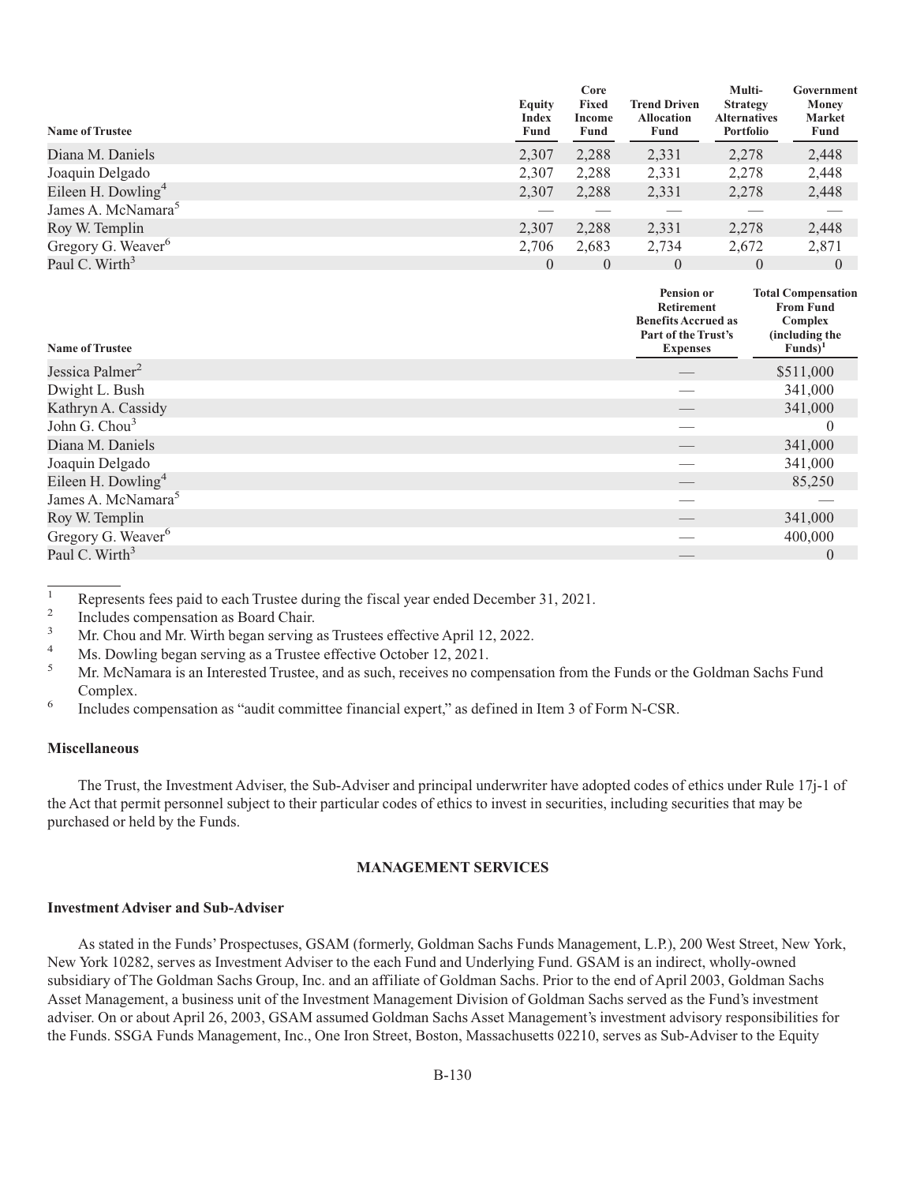| <b>Name of Trustee</b>         | Equity<br>Index<br>Fund | Core<br>Fixed<br>Income<br>Fund | <b>Trend Driven</b><br><b>Allocation</b><br>Fund | Multi-<br><b>Strategy</b><br><b>Alternatives</b><br>Portfolio | Government<br>Money<br><b>Market</b><br>Fund |
|--------------------------------|-------------------------|---------------------------------|--------------------------------------------------|---------------------------------------------------------------|----------------------------------------------|
| Diana M. Daniels               | 2,307                   | 2,288                           | 2,331                                            | 2,278                                                         | 2,448                                        |
| Joaquin Delgado                | 2,307                   | 2,288                           | 2,331                                            | 2,278                                                         | 2,448                                        |
| Eileen H. Dowling <sup>4</sup> | 2,307                   | 2,288                           | 2,331                                            | 2,278                                                         | 2,448                                        |
| James A. McNamara <sup>5</sup> |                         |                                 |                                                  |                                                               |                                              |
| Roy W. Templin                 | 2,307                   | 2,288                           | 2,331                                            | 2,278                                                         | 2,448                                        |
| Gregory G. Weaver <sup>6</sup> | 2,706                   | 2,683                           | 2,734                                            | 2,672                                                         | 2,871                                        |
| Paul C. Wirth <sup>3</sup>     | $\Omega$                |                                 | $\Omega$                                         |                                                               |                                              |

| <b>Name of Trustee</b>         | <b>Pension or</b><br><b>Retirement</b><br><b>Benefits Accrued as</b><br>Part of the Trust's<br><b>Expenses</b> | <b>Total Compensation</b><br><b>From Fund</b><br>Complex<br>(including the<br>$Funds$ <sup>1</sup> |
|--------------------------------|----------------------------------------------------------------------------------------------------------------|----------------------------------------------------------------------------------------------------|
| Jessica Palmer <sup>2</sup>    |                                                                                                                | \$511,000                                                                                          |
| Dwight L. Bush                 |                                                                                                                | 341,000                                                                                            |
| Kathryn A. Cassidy             |                                                                                                                | 341,000                                                                                            |
| John G. Chou <sup>3</sup>      |                                                                                                                | $\theta$                                                                                           |
| Diana M. Daniels               |                                                                                                                | 341,000                                                                                            |
| Joaquin Delgado                |                                                                                                                | 341,000                                                                                            |
| Eileen H. Dowling <sup>4</sup> |                                                                                                                | 85,250                                                                                             |
| James A. McNamara <sup>5</sup> |                                                                                                                |                                                                                                    |
| Roy W. Templin                 |                                                                                                                | 341,000                                                                                            |
| Gregory G. Weaver <sup>6</sup> |                                                                                                                | 400,000                                                                                            |
| Paul C. Wirth <sup>3</sup>     |                                                                                                                | $\Omega$                                                                                           |

Represents fees paid to each Trustee during the fiscal year ended December 31, 2021.<br>
2<br>
Includes compensation as Board Chair.<br>
3<br>
Mr. Chou and Mr. Wirth began serving as Trustees effective April 12, 2022.<br>
4<br>
Ms. Dowling Complex. <sup>6</sup> Includes compensation as "audit committee financial expert," as defined in Item 3 of Form N-CSR.

### **Miscellaneous**

The Trust, the Investment Adviser, the Sub-Adviser and principal underwriter have adopted codes of ethics under Rule 17j-1 of the Act that permit personnel subject to their particular codes of ethics to invest in securities, including securities that may be purchased or held by the Funds.

### **MANAGEMENT SERVICES**

#### **Investment Adviser and Sub-Adviser**

As stated in the Funds' Prospectuses, GSAM (formerly, Goldman Sachs Funds Management, L.P.), 200 West Street, New York, New York 10282, serves as Investment Adviser to the each Fund and Underlying Fund. GSAM is an indirect, wholly-owned subsidiary of The Goldman Sachs Group, Inc. and an affiliate of Goldman Sachs. Prior to the end of April 2003, Goldman Sachs Asset Management, a business unit of the Investment Management Division of Goldman Sachs served as the Fund's investment adviser. On or about April 26, 2003, GSAM assumed Goldman Sachs Asset Management's investment advisory responsibilities for the Funds. SSGA Funds Management, Inc., One Iron Street, Boston, Massachusetts 02210, serves as Sub-Adviser to the Equity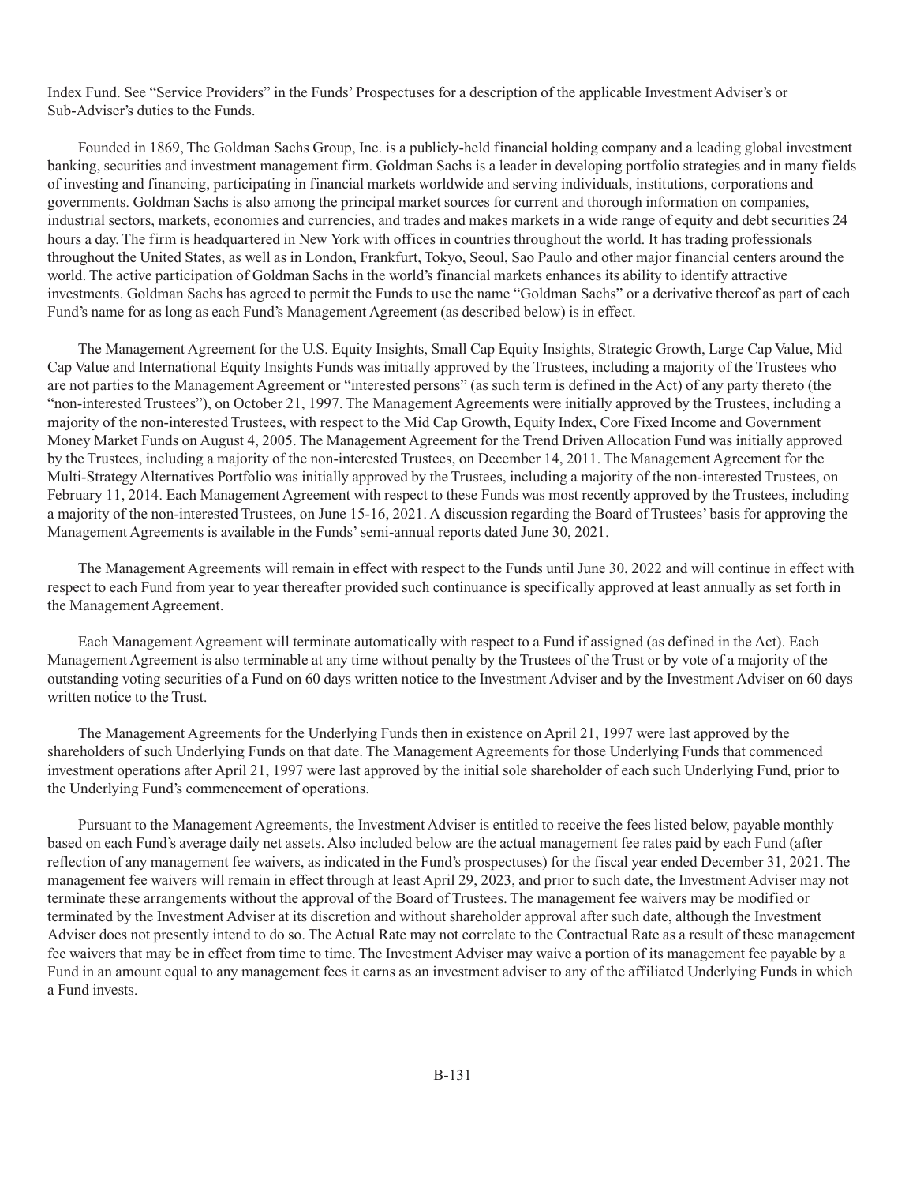Index Fund. See "Service Providers" in the Funds' Prospectuses for a description of the applicable Investment Adviser's or Sub-Adviser's duties to the Funds.

Founded in 1869, The Goldman Sachs Group, Inc. is a publicly-held financial holding company and a leading global investment banking, securities and investment management firm. Goldman Sachs is a leader in developing portfolio strategies and in many fields of investing and financing, participating in financial markets worldwide and serving individuals, institutions, corporations and governments. Goldman Sachs is also among the principal market sources for current and thorough information on companies, industrial sectors, markets, economies and currencies, and trades and makes markets in a wide range of equity and debt securities 24 hours a day. The firm is headquartered in New York with offices in countries throughout the world. It has trading professionals throughout the United States, as well as in London, Frankfurt, Tokyo, Seoul, Sao Paulo and other major financial centers around the world. The active participation of Goldman Sachs in the world's financial markets enhances its ability to identify attractive investments. Goldman Sachs has agreed to permit the Funds to use the name "Goldman Sachs" or a derivative thereof as part of each Fund's name for as long as each Fund's Management Agreement (as described below) is in effect.

The Management Agreement for the U.S. Equity Insights, Small Cap Equity Insights, Strategic Growth, Large Cap Value, Mid Cap Value and International Equity Insights Funds was initially approved by the Trustees, including a majority of the Trustees who are not parties to the Management Agreement or "interested persons" (as such term is defined in the Act) of any party thereto (the "non-interested Trustees"), on October 21, 1997. The Management Agreements were initially approved by the Trustees, including a majority of the non-interested Trustees, with respect to the Mid Cap Growth, Equity Index, Core Fixed Income and Government Money Market Funds on August 4, 2005. The Management Agreement for the Trend Driven Allocation Fund was initially approved by the Trustees, including a majority of the non-interested Trustees, on December 14, 2011. The Management Agreement for the Multi-Strategy Alternatives Portfolio was initially approved by the Trustees, including a majority of the non-interested Trustees, on February 11, 2014. Each Management Agreement with respect to these Funds was most recently approved by the Trustees, including a majority of the non-interested Trustees, on June 15-16, 2021. A discussion regarding the Board of Trustees' basis for approving the Management Agreements is available in the Funds' semi-annual reports dated June 30, 2021.

The Management Agreements will remain in effect with respect to the Funds until June 30, 2022 and will continue in effect with respect to each Fund from year to year thereafter provided such continuance is specifically approved at least annually as set forth in the Management Agreement.

Each Management Agreement will terminate automatically with respect to a Fund if assigned (as defined in the Act). Each Management Agreement is also terminable at any time without penalty by the Trustees of the Trust or by vote of a majority of the outstanding voting securities of a Fund on 60 days written notice to the Investment Adviser and by the Investment Adviser on 60 days written notice to the Trust.

The Management Agreements for the Underlying Funds then in existence on April 21, 1997 were last approved by the shareholders of such Underlying Funds on that date. The Management Agreements for those Underlying Funds that commenced investment operations after April 21, 1997 were last approved by the initial sole shareholder of each such Underlying Fund, prior to the Underlying Fund's commencement of operations.

Pursuant to the Management Agreements, the Investment Adviser is entitled to receive the fees listed below, payable monthly based on each Fund's average daily net assets. Also included below are the actual management fee rates paid by each Fund (after reflection of any management fee waivers, as indicated in the Fund's prospectuses) for the fiscal year ended December 31, 2021. The management fee waivers will remain in effect through at least April 29, 2023, and prior to such date, the Investment Adviser may not terminate these arrangements without the approval of the Board of Trustees. The management fee waivers may be modified or terminated by the Investment Adviser at its discretion and without shareholder approval after such date, although the Investment Adviser does not presently intend to do so. The Actual Rate may not correlate to the Contractual Rate as a result of these management fee waivers that may be in effect from time to time. The Investment Adviser may waive a portion of its management fee payable by a Fund in an amount equal to any management fees it earns as an investment adviser to any of the affiliated Underlying Funds in which a Fund invests.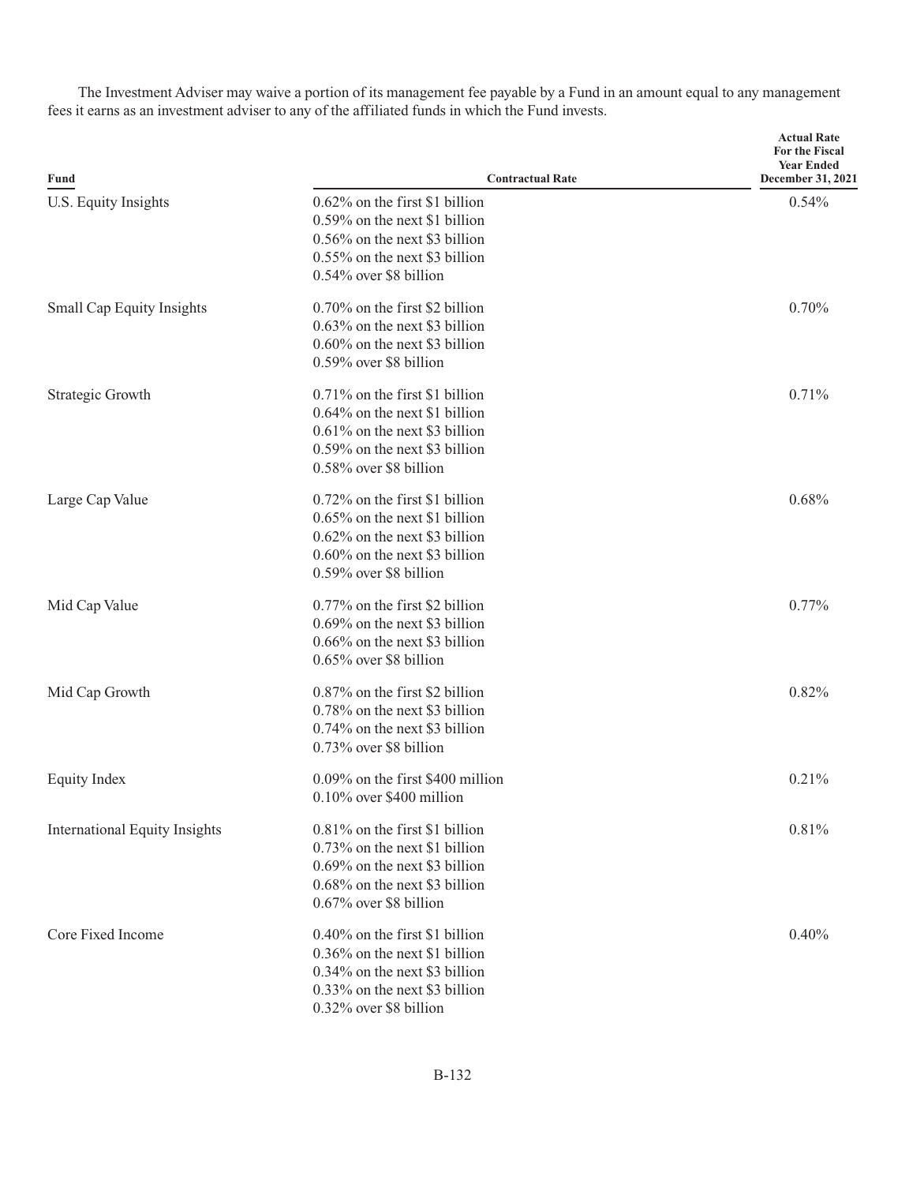The Investment Adviser may waive a portion of its management fee payable by a Fund in an amount equal to any management fees it earns as an investment adviser to any of the affiliated funds in which the Fund invests.

| Fund                                 | <b>Contractual Rate</b>                                                                                                                                        | <b>Actual Rate</b><br>For the Fiscal<br><b>Year Ended</b><br>December 31, 2021 |
|--------------------------------------|----------------------------------------------------------------------------------------------------------------------------------------------------------------|--------------------------------------------------------------------------------|
| U.S. Equity Insights                 | 0.62% on the first \$1 billion<br>0.59% on the next \$1 billion<br>0.56% on the next \$3 billion<br>0.55% on the next \$3 billion<br>0.54% over \$8 billion    | 0.54%                                                                          |
| Small Cap Equity Insights            | 0.70% on the first \$2 billion<br>0.63% on the next \$3 billion<br>0.60% on the next \$3 billion<br>0.59% over \$8 billion                                     | 0.70%                                                                          |
| Strategic Growth                     | 0.71% on the first \$1 billion<br>0.64% on the next \$1 billion<br>0.61% on the next \$3 billion<br>0.59% on the next \$3 billion<br>0.58% over \$8 billion    | 0.71%                                                                          |
| Large Cap Value                      | 0.72% on the first \$1 billion<br>0.65% on the next \$1 billion<br>0.62% on the next \$3 billion<br>$0.60\%$ on the next \$3 billion<br>0.59% over \$8 billion | 0.68%                                                                          |
| Mid Cap Value                        | 0.77% on the first \$2 billion<br>0.69% on the next \$3 billion<br>0.66% on the next \$3 billion<br>0.65% over \$8 billion                                     | 0.77%                                                                          |
| Mid Cap Growth                       | 0.87% on the first \$2 billion<br>0.78% on the next \$3 billion<br>0.74% on the next \$3 billion<br>0.73% over \$8 billion                                     | 0.82%                                                                          |
| <b>Equity Index</b>                  | 0.09% on the first \$400 million<br>$0.10\%$ over \$400 million                                                                                                | 0.21%                                                                          |
| <b>International Equity Insights</b> | 0.81% on the first \$1 billion<br>0.73% on the next \$1 billion<br>0.69% on the next \$3 billion<br>0.68% on the next \$3 billion<br>0.67% over \$8 billion    | 0.81%                                                                          |
| Core Fixed Income                    | 0.40% on the first \$1 billion<br>0.36% on the next \$1 billion<br>0.34% on the next \$3 billion<br>0.33% on the next \$3 billion<br>0.32% over \$8 billion    | 0.40%                                                                          |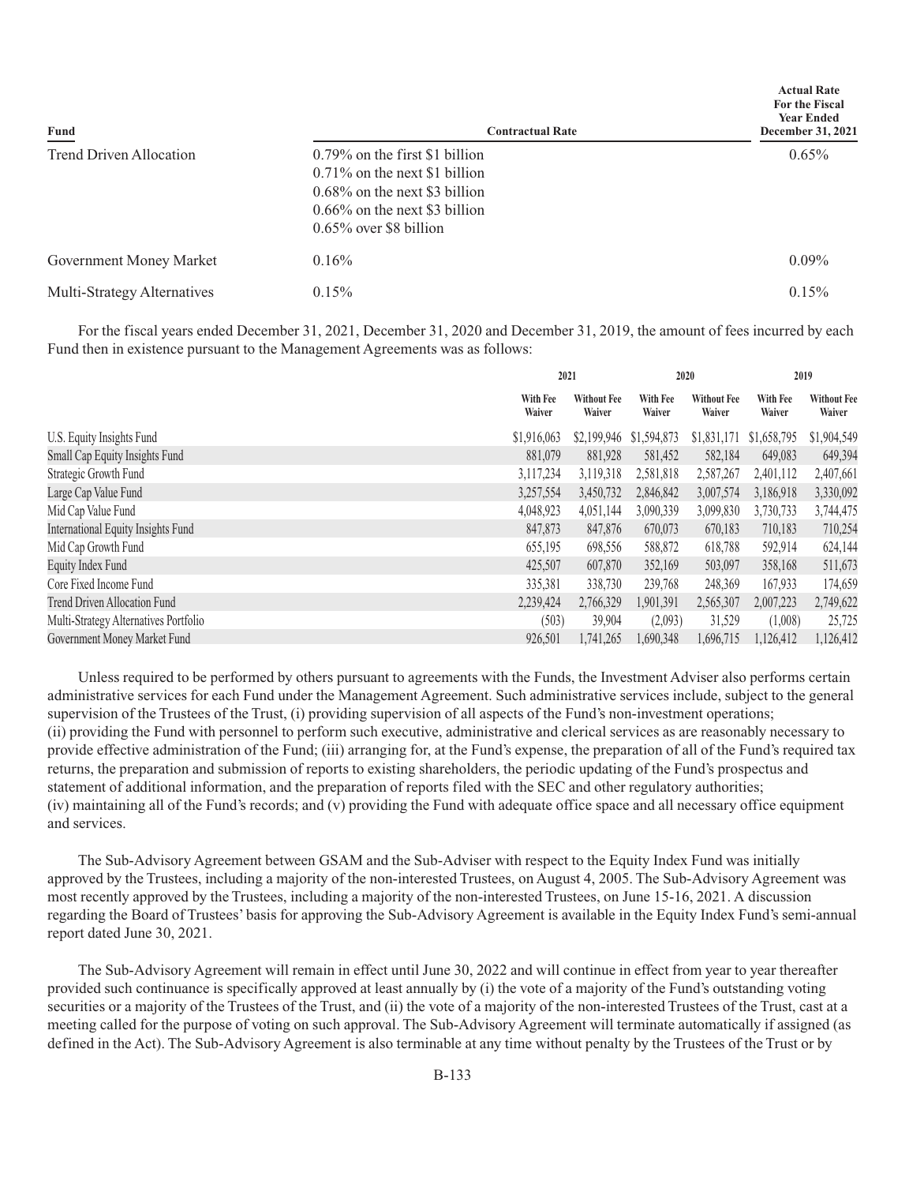| Fund                           | <b>Contractual Rate</b>           | <b>Actual Rate</b><br>For the Fiscal<br><b>Year Ended</b><br>December 31, 2021 |
|--------------------------------|-----------------------------------|--------------------------------------------------------------------------------|
| <b>Trend Driven Allocation</b> | $0.79\%$ on the first \$1 billion | 0.65%                                                                          |
|                                | $0.71\%$ on the next \$1 billion  |                                                                                |
|                                | $0.68\%$ on the next \$3 billion  |                                                                                |
|                                | $0.66\%$ on the next \$3 billion  |                                                                                |
|                                | $0.65\%$ over \$8 billion         |                                                                                |
| Government Money Market        | $0.16\%$                          | $0.09\%$                                                                       |
| Multi-Strategy Alternatives    | $0.15\%$                          | 0.15%                                                                          |

For the fiscal years ended December 31, 2021, December 31, 2020 and December 31, 2019, the amount of fees incurred by each Fund then in existence pursuant to the Management Agreements was as follows:

|                                           |                    | 2021                         | 2020                      |                              | 2019               |                              |
|-------------------------------------------|--------------------|------------------------------|---------------------------|------------------------------|--------------------|------------------------------|
|                                           | With Fee<br>Waiver | <b>Without Fee</b><br>Waiver | <b>With Fee</b><br>Waiver | <b>Without Fee</b><br>Waiver | With Fee<br>Waiver | <b>Without Fee</b><br>Waiver |
| U.S. Equity Insights Fund                 | \$1,916,063        | \$2,199,946 \$1,594,873      |                           | \$1,831,171                  | \$1,658,795        | \$1,904,549                  |
| Small Cap Equity Insights Fund            | 881,079            | 881,928                      | 581,452                   | 582,184                      | 649,083            | 649,394                      |
| Strategic Growth Fund                     | 3,117,234          | 3,119,318                    | 2,581,818                 | 2,587,267                    | 2,401,112          | 2,407,661                    |
| Large Cap Value Fund                      | 3,257,554          | 3,450,732                    | 2,846,842                 | 3,007,574                    | 3,186,918          | 3,330,092                    |
| Mid Cap Value Fund                        | 4,048,923          | 4,051,144                    | 3,090,339                 | 3,099,830                    | 3,730,733          | 3,744,475                    |
| <b>International Equity Insights Fund</b> | 847,873            | 847,876                      | 670,073                   | 670,183                      | 710,183            | 710,254                      |
| Mid Cap Growth Fund                       | 655,195            | 698,556                      | 588,872                   | 618,788                      | 592,914            | 624,144                      |
| <b>Equity Index Fund</b>                  | 425,507            | 607,870                      | 352,169                   | 503,097                      | 358,168            | 511,673                      |
| Core Fixed Income Fund                    | 335,381            | 338,730                      | 239,768                   | 248,369                      | 167,933            | 174,659                      |
| Trend Driven Allocation Fund              | 2,239,424          | 2,766,329                    | 1,901,391                 | 2,565,307                    | 2,007,223          | 2,749,622                    |
| Multi-Strategy Alternatives Portfolio     | (503)              | 39,904                       | (2,093)                   | 31,529                       | (1,008)            | 25,725                       |
| Government Money Market Fund              | 926.501            | ,741,265                     | 1,690,348                 | 1,696,715                    | 1,126,412          | 1,126,412                    |

Unless required to be performed by others pursuant to agreements with the Funds, the Investment Adviser also performs certain administrative services for each Fund under the Management Agreement. Such administrative services include, subject to the general supervision of the Trustees of the Trust, (i) providing supervision of all aspects of the Fund's non-investment operations; (ii) providing the Fund with personnel to perform such executive, administrative and clerical services as are reasonably necessary to provide effective administration of the Fund; (iii) arranging for, at the Fund's expense, the preparation of all of the Fund's required tax returns, the preparation and submission of reports to existing shareholders, the periodic updating of the Fund's prospectus and statement of additional information, and the preparation of reports filed with the SEC and other regulatory authorities; (iv) maintaining all of the Fund's records; and (v) providing the Fund with adequate office space and all necessary office equipment and services.

The Sub-Advisory Agreement between GSAM and the Sub-Adviser with respect to the Equity Index Fund was initially approved by the Trustees, including a majority of the non-interested Trustees, on August 4, 2005. The Sub-Advisory Agreement was most recently approved by the Trustees, including a majority of the non-interested Trustees, on June 15-16, 2021. A discussion regarding the Board of Trustees' basis for approving the Sub-Advisory Agreement is available in the Equity Index Fund's semi-annual report dated June 30, 2021.

The Sub-Advisory Agreement will remain in effect until June 30, 2022 and will continue in effect from year to year thereafter provided such continuance is specifically approved at least annually by (i) the vote of a majority of the Fund's outstanding voting securities or a majority of the Trustees of the Trust, and (ii) the vote of a majority of the non-interested Trustees of the Trust, cast at a meeting called for the purpose of voting on such approval. The Sub-Advisory Agreement will terminate automatically if assigned (as defined in the Act). The Sub-Advisory Agreement is also terminable at any time without penalty by the Trustees of the Trust or by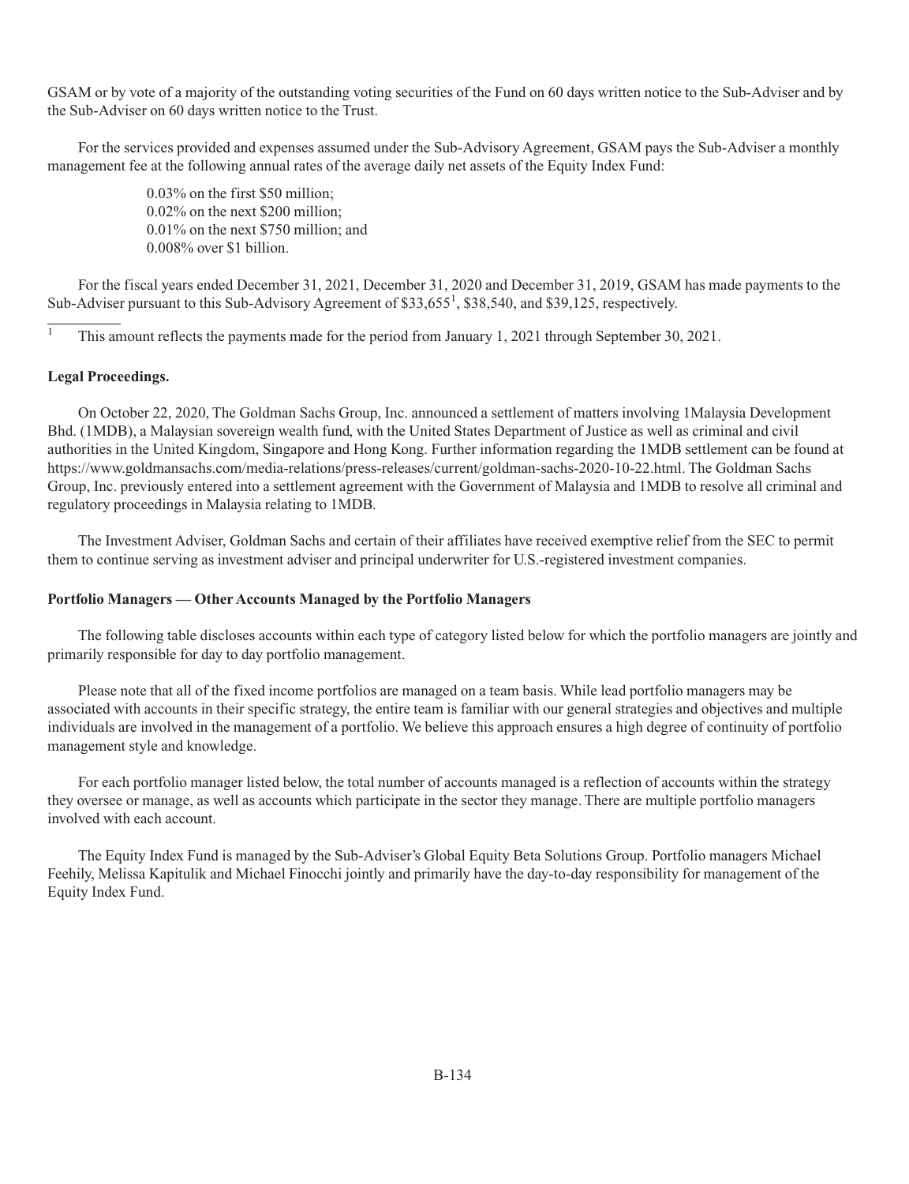GSAM or by vote of a majority of the outstanding voting securities of the Fund on 60 days written notice to the Sub-Adviser and by the Sub-Adviser on 60 days written notice to the Trust.

For the services provided and expenses assumed under the Sub-Advisory Agreement, GSAM pays the Sub-Adviser a monthly management fee at the following annual rates of the average daily net assets of the Equity Index Fund:

> 0.03% on the first \$50 million; 0.02% on the next \$200 million; 0.01% on the next \$750 million; and 0.008% over \$1 billion.

For the fiscal years ended December 31, 2021, December 31, 2020 and December 31, 2019, GSAM has made payments to the Sub-Adviser pursuant to this Sub-Advisory Agreement of \$33,655<sup>1</sup>, \$38,540, and \$39,125, respectively.

 $\overline{1}$  This amount reflects the payments made for the period from January 1, 2021 through September 30, 2021.

## **Legal Proceedings.**

On October 22, 2020, The Goldman Sachs Group, Inc. announced a settlement of matters involving 1Malaysia Development Bhd. (1MDB), a Malaysian sovereign wealth fund, with the United States Department of Justice as well as criminal and civil authorities in the United Kingdom, Singapore and Hong Kong. Further information regarding the 1MDB settlement can be found at https://www.goldmansachs.com/media-relations/press-releases/current/goldman-sachs-2020-10-22.html. The Goldman Sachs Group, Inc. previously entered into a settlement agreement with the Government of Malaysia and 1MDB to resolve all criminal and regulatory proceedings in Malaysia relating to 1MDB.

The Investment Adviser, Goldman Sachs and certain of their affiliates have received exemptive relief from the SEC to permit them to continue serving as investment adviser and principal underwriter for U.S.-registered investment companies.

### **Portfolio Managers — Other Accounts Managed by the Portfolio Managers**

The following table discloses accounts within each type of category listed below for which the portfolio managers are jointly and primarily responsible for day to day portfolio management.

Please note that all of the fixed income portfolios are managed on a team basis. While lead portfolio managers may be associated with accounts in their specific strategy, the entire team is familiar with our general strategies and objectives and multiple individuals are involved in the management of a portfolio. We believe this approach ensures a high degree of continuity of portfolio management style and knowledge.

For each portfolio manager listed below, the total number of accounts managed is a reflection of accounts within the strategy they oversee or manage, as well as accounts which participate in the sector they manage. There are multiple portfolio managers involved with each account.

The Equity Index Fund is managed by the Sub-Adviser's Global Equity Beta Solutions Group. Portfolio managers Michael Feehily, Melissa Kapitulik and Michael Finocchi jointly and primarily have the day-to-day responsibility for management of the Equity Index Fund.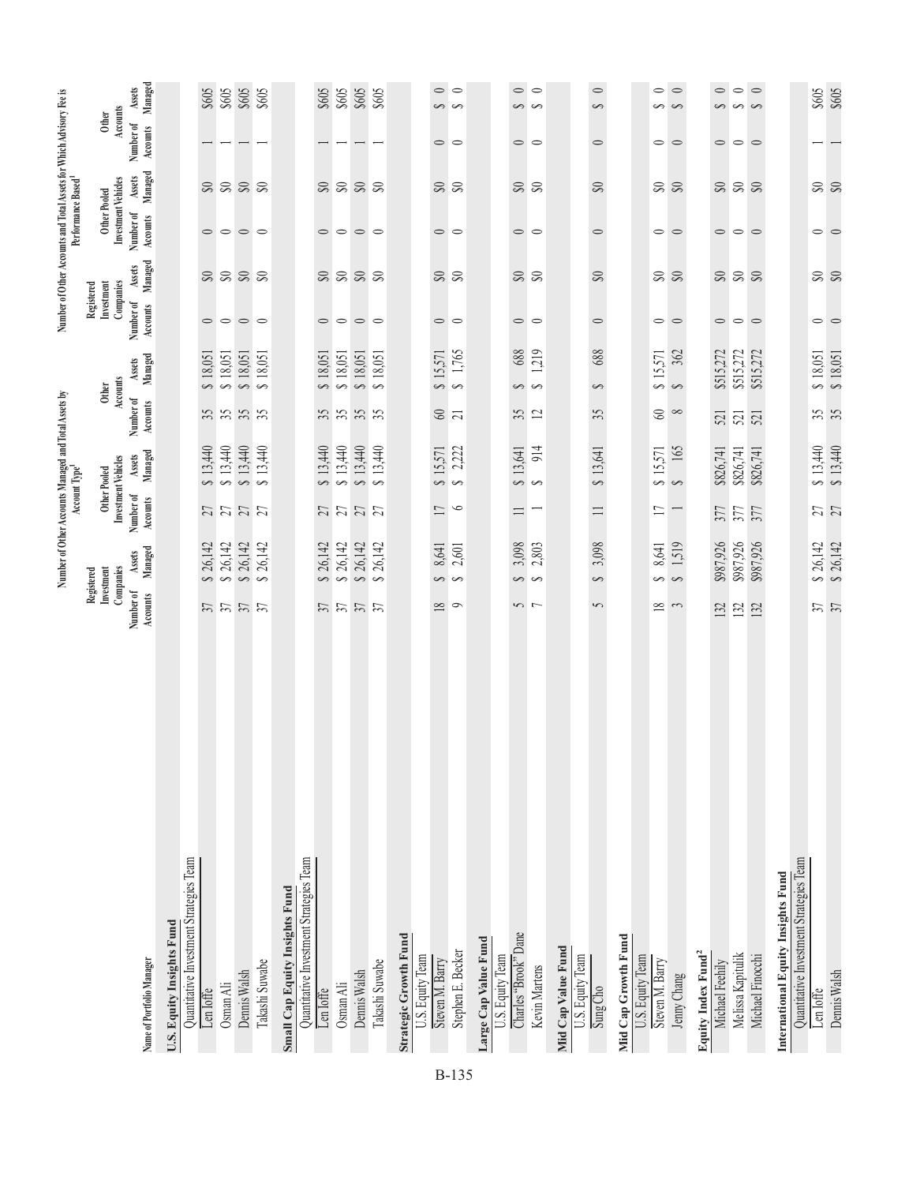|                                         |                                           |                                                         |                               | Number of Other Accounts Managed and Total Assets by<br>Account Type <sup>1</sup> |                                            |                        |                                                   |                                            | Number of Other Accounts and Total Assets for Which Advisory Fee is<br>Performance Based |                            |                               |                                        |
|-----------------------------------------|-------------------------------------------|---------------------------------------------------------|-------------------------------|-----------------------------------------------------------------------------------|--------------------------------------------|------------------------|---------------------------------------------------|--------------------------------------------|------------------------------------------------------------------------------------------|----------------------------|-------------------------------|----------------------------------------|
|                                         |                                           | Registered<br>Investment<br>Companies                   |                               | <b>Investment Vehicles</b><br>Other Pooled                                        | Accounts                                   | <b>Other</b>           | Companies<br>Registered<br>Investment             |                                            | <b>Investment Vehicles</b><br><b>Other Pooled</b>                                        |                            | Accounts<br><b>Other</b>      |                                        |
| Name of Portfolio Manager               | Number of<br>Accounts                     | Assets<br>Managed                                       | Number of<br>Accounts         | Managed<br>Assets                                                                 | Number of<br>Accounts                      | Assets<br>Managed      | Number of Assets<br>Accounts Managed<br>Number of |                                            | Number of<br>Accounts                                                                    | Managed<br>Assets          | Accounts Managed<br>Number of | Assets                                 |
| U.S. Equity Insights Fund               |                                           |                                                         |                               |                                                                                   |                                            |                        |                                                   |                                            |                                                                                          |                            |                               |                                        |
| Quantitative Investment Strategies Team |                                           |                                                         |                               |                                                                                   |                                            |                        |                                                   |                                            |                                                                                          |                            |                               |                                        |
| Len loffe                               |                                           |                                                         |                               |                                                                                   |                                            |                        |                                                   |                                            |                                                                                          |                            |                               | \$605                                  |
| Osman Ali                               | 3782                                      | $\begin{array}{c}\n\$ 26,142 \\ \$ 26,142\n\end{array}$ | <b>គគគ</b><br>គគ              | \$13,440<br>\$13,440<br>\$13,440<br>\$13,440                                      | 55555                                      | $$18,051$<br>$$18,051$ | $\circ \circ \circ \circ$                         | $88888$                                    | $\circ \circ \circ \circ$                                                                | 2222                       |                               |                                        |
| Dennis Walsh                            |                                           | \$ 26,142                                               |                               |                                                                                   |                                            | \$18,051<br>\$18,051   |                                                   |                                            |                                                                                          |                            |                               | \$605<br>\$605                         |
| Takashi Suwabe                          |                                           | 26,142<br>$\rightarrow$                                 |                               |                                                                                   |                                            |                        |                                                   |                                            |                                                                                          |                            |                               | \$605                                  |
| Small Cap Equity Insights Fund          |                                           |                                                         |                               |                                                                                   |                                            |                        |                                                   |                                            |                                                                                          |                            |                               |                                        |
| Quantitative Investment Strategies Team |                                           |                                                         |                               |                                                                                   |                                            |                        |                                                   |                                            |                                                                                          |                            |                               |                                        |
| Len loffe                               |                                           | 26,142<br>$\bullet$                                     |                               | \$13,440<br>\$13,440<br>\$13,440<br>\$13,440                                      |                                            |                        |                                                   |                                            |                                                                                          |                            |                               | \$605                                  |
| Osman Ali                               |                                           | 26,142                                                  |                               |                                                                                   |                                            | $$18,051$<br>$$18,051$ |                                                   |                                            |                                                                                          |                            |                               | \$605                                  |
| Dennis Walsh                            | 3787                                      | $$26,142$<br>$$26,142$                                  | <b>ដន</b> ភ                   |                                                                                   | 55555                                      | \$18,051<br>\$18,051   | $\circ \circ \circ \circ$                         | $88888$                                    | $\circ \circ \circ \circ$                                                                | 2222                       |                               | \$605<br>\$605                         |
| Takashi Suwabe                          |                                           |                                                         |                               |                                                                                   |                                            |                        |                                                   |                                            |                                                                                          |                            |                               |                                        |
| Strategic Growth Fund                   |                                           |                                                         |                               |                                                                                   |                                            |                        |                                                   |                                            |                                                                                          |                            |                               |                                        |
| U.S. Equity Team                        |                                           |                                                         |                               |                                                                                   |                                            |                        |                                                   |                                            |                                                                                          |                            |                               |                                        |
| Steven M. Barry                         |                                           | $8,641$<br>$2,601$                                      |                               | 15,571<br>2,222                                                                   | $\frac{2}{3}$                              | $$15,571$<br>$$1,765$  |                                                   | $\frac{8}{2}$                              |                                                                                          | \$8                        |                               | $\circ$                                |
| Stephen E. Becker                       | $\frac{\infty}{\infty}$                   | $\frac{1}{2}$                                           | $\overline{2}$ $\overline{6}$ | $\leftrightarrow$                                                                 |                                            | 1,765                  | $\circ$                                           |                                            | $\circ$                                                                                  |                            | $\circ$                       | $\Theta$                               |
| Large Cap Value Fund                    |                                           |                                                         |                               |                                                                                   |                                            |                        |                                                   |                                            |                                                                                          |                            |                               |                                        |
| U.S. Equity Team                        |                                           |                                                         |                               |                                                                                   |                                            |                        |                                                   |                                            |                                                                                          |                            |                               |                                        |
| Charles "Brook" Dane                    | $\sim$ $\sim$                             | $\frac{1}{2}$                                           | $\equiv$                      | $$13,641$<br>$$914$                                                               | $35 \n2$                                   | $\frac{1}{2}$          | $\circ$                                           | $\frac{8}{2}$                              | $\circ$                                                                                  | \$8                        | $\circ$                       | $\circ$<br>$\leftrightarrow$           |
| Kevin Martens                           |                                           | 3,098<br>2,803                                          |                               | 914                                                                               |                                            | 688<br>1,219           |                                                   |                                            |                                                                                          |                            |                               |                                        |
| Mid Cap Value Fund                      |                                           |                                                         |                               |                                                                                   |                                            |                        |                                                   |                                            |                                                                                          |                            |                               |                                        |
| U.S. Equity Team                        |                                           |                                                         |                               |                                                                                   |                                            |                        |                                                   |                                            |                                                                                          |                            |                               |                                        |
| Sung Cho                                | $\mathbf{c}$                              | 3,098<br>$\leftrightarrow$                              | $\quad \  \, \sqsubseteq$     | \$13,641                                                                          | 55                                         | 688<br>$\rightarrow$   | $\circ$                                           | వ్                                         | $\circ$                                                                                  | $\boldsymbol{\mathcal{S}}$ | $\circ$                       | $\circ$<br>$\leftrightarrow$           |
| Mid Cap Growth Fund                     |                                           |                                                         |                               |                                                                                   |                                            |                        |                                                   |                                            |                                                                                          |                            |                               |                                        |
| U.S. Equity Team                        |                                           |                                                         |                               |                                                                                   |                                            |                        |                                                   |                                            |                                                                                          |                            |                               |                                        |
| Steven M. Barry                         |                                           | 8,641                                                   | $\Box$                        | $$15,571$<br>$$165$                                                               |                                            | $$15,571$<br>$$362$    |                                                   | 88                                         |                                                                                          | \$0                        |                               | $\circ$                                |
| Jenny Chang                             | $\frac{8}{3}$                             | 1,519<br>$\bullet$                                      |                               | 165                                                                               | $\begin{array}{c} 0 \\ \infty \end{array}$ | 362                    | $\circ$ $\circ$                                   |                                            | $\circ$ $\circ$                                                                          |                            | $\circ$ $\circ$               | $\circ$<br>$\frac{1}{2}$               |
| Equity Index Fund <sup>2</sup>          |                                           |                                                         |                               |                                                                                   |                                            |                        |                                                   |                                            |                                                                                          |                            |                               |                                        |
| Michael Feehily                         |                                           | \$987,926                                               | 377                           | \$826,741                                                                         |                                            | \$515,272              |                                                   |                                            |                                                                                          |                            |                               |                                        |
| Melissa Kapitulik                       | $\begin{array}{c} 132 \\ 132 \end{array}$ | \$987,926                                               | 377                           | \$826,741                                                                         | នី នី នី                                   | \$515,272              | $\circ \circ \circ$                               | $\begin{array}{c} 8 \\ 8 \\ 8 \end{array}$ | $\circ$ $\circ$                                                                          | 0880                       | $\circ \circ \circ$           | $\circ \circ \circ$<br><b>00 00 00</b> |
| Michael Finocchi                        |                                           | \$987,926                                               | 377                           | \$826,741                                                                         |                                            | \$515,272              |                                                   |                                            |                                                                                          |                            |                               |                                        |
| International Equity Insights Fund      |                                           |                                                         |                               |                                                                                   |                                            |                        |                                                   |                                            |                                                                                          |                            |                               |                                        |
| Quantitative Investment Strategies Team |                                           |                                                         |                               |                                                                                   |                                            |                        |                                                   |                                            |                                                                                          |                            |                               |                                        |
| Len loffe                               | 37                                        | \$ 26,142<br>\$ 26,142                                  | 27                            | \$13,440<br>\$13,440                                                              | 35 <sub>5</sub>                            | \$18,051<br>\$18,051   | $\circ$                                           | $\frac{8}{2}$                              | $\circ$ $\circ$                                                                          | $\frac{0.5}{0.5}$          |                               | \$605                                  |
| Dennis Walsh                            |                                           |                                                         |                               |                                                                                   |                                            |                        |                                                   |                                            |                                                                                          |                            |                               |                                        |

B-135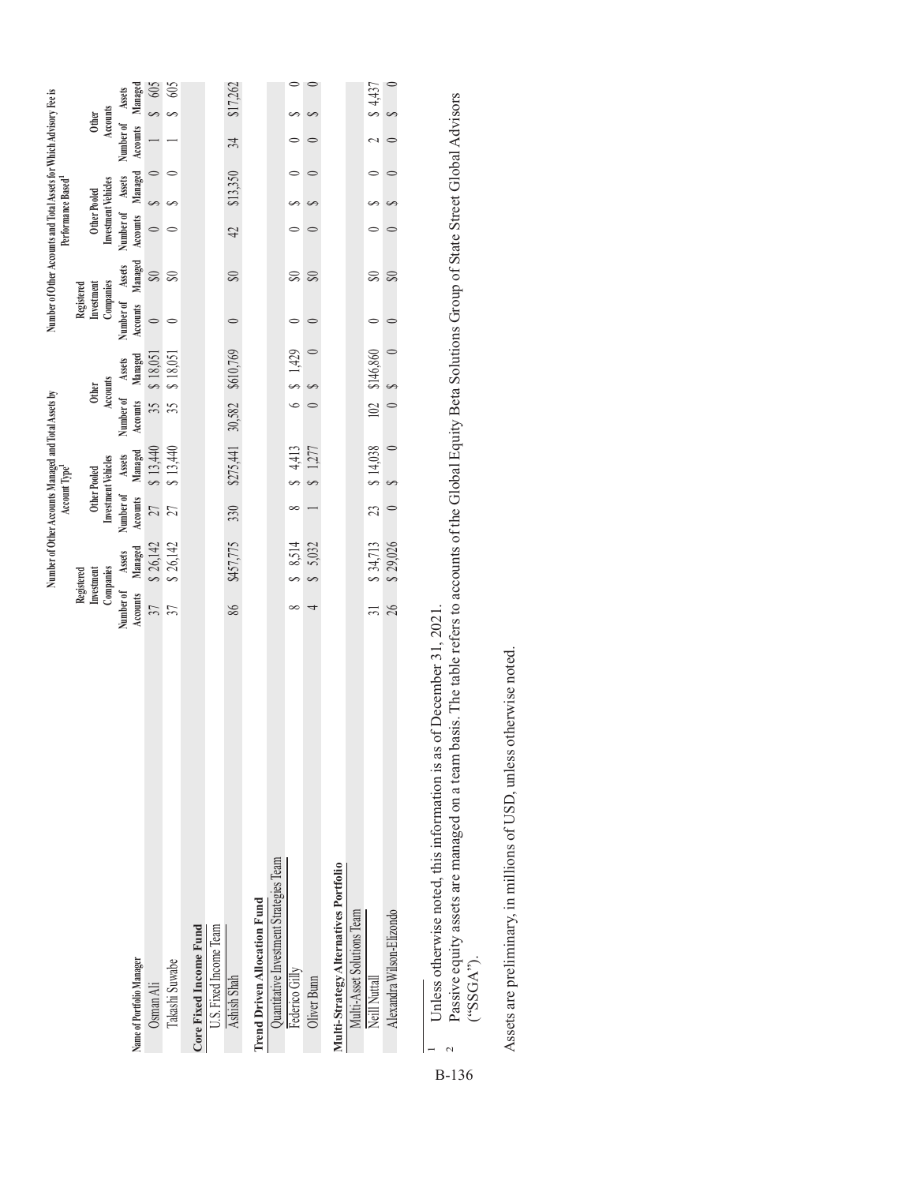|         |                                                                                                                                                                             |                         | Number of Other Accounts Managed and Total Assets by |                | Account Type <sup>1</sup>                         |                |                   |                             |          | Number of Other Accounts and Total Assets for Which Advisory Fee is<br>Performance Based <sup>1</sup> |                     |            |                                 |          |  |
|---------|-----------------------------------------------------------------------------------------------------------------------------------------------------------------------------|-------------------------|------------------------------------------------------|----------------|---------------------------------------------------|----------------|-------------------|-----------------------------|----------|-------------------------------------------------------------------------------------------------------|---------------------|------------|---------------------------------|----------|--|
|         |                                                                                                                                                                             | Registered              |                                                      |                |                                                   |                |                   | Registered                  |          |                                                                                                       |                     |            |                                 |          |  |
|         |                                                                                                                                                                             | Companies<br>Investment |                                                      |                | <b>Investment Vehicles</b><br><b>Other Pooled</b> |                | Accounts<br>Other | Companies<br>Investment     |          | <b>Investment Vehicles</b>                                                                            | <b>Other Pooled</b> |            | <b>Accounts</b><br><b>Other</b> |          |  |
|         | Name of Portfolio Manager                                                                                                                                                   | Number of               | Assets                                               | Number of      | Assets                                            | Number of      | Managed<br>Assets | Number of Assets            |          | Number of Assets                                                                                      |                     |            | Number of Assets                |          |  |
|         | Osman Ali                                                                                                                                                                   | Accounts<br>37          | \$ 26,142<br>Managed                                 | Accounts<br>27 | \$13,440<br>Managed                               | Accounts<br>35 | \$18,051          | Accounts Managed<br>$\circ$ | S        | Accounts Managed<br>$\circ$                                                                           | ∽                   | $\bigcirc$ | Accounts Managed                | 605<br>S |  |
|         | Takashi Suwabe                                                                                                                                                              | 37                      | \$ 26,142                                            | 27             | \$13,440                                          | 35             | \$18,051          | $\circ$                     | S        |                                                                                                       | \$                  |            |                                 | 605      |  |
|         | Core Fixed Income Fund                                                                                                                                                      |                         |                                                      |                |                                                   |                |                   |                             |          |                                                                                                       |                     |            |                                 |          |  |
|         | U.S. Fixed Income Team                                                                                                                                                      |                         |                                                      |                |                                                   |                |                   |                             |          |                                                                                                       |                     |            |                                 |          |  |
|         | Ashish Shah                                                                                                                                                                 | 86                      | \$457,775                                            | 330            | \$275,441                                         | 30,582         | \$610,769         | $\circ$                     | $\infty$ | 42                                                                                                    | \$13,350            |            | 34                              | \$17,262 |  |
|         | <b>Trend Driven Allocation Fund</b>                                                                                                                                         |                         |                                                      |                |                                                   |                |                   |                             |          |                                                                                                       |                     |            |                                 |          |  |
|         | Quantitative Investment Strategies Team                                                                                                                                     |                         |                                                      |                |                                                   |                |                   |                             |          |                                                                                                       |                     |            |                                 |          |  |
|         | Federico Gilly                                                                                                                                                              | $\infty$                | 8,514<br>⊷                                           | $\infty$       | 4,413                                             | ٥              | 1,429             |                             | ⋦        |                                                                                                       |                     |            |                                 |          |  |
|         | Oliver Bunn                                                                                                                                                                 | 4                       | 5,032<br>⊷                                           |                | 1,277                                             | $\bigcirc$     | $\subset$<br>S    | $\circ$                     | $\infty$ | $\circ$                                                                                               | ∽                   | $\circ$    | $\circ$                         | \$       |  |
|         | Multi-Strategy Alternatives Portfolio                                                                                                                                       |                         |                                                      |                |                                                   |                |                   |                             |          |                                                                                                       |                     |            |                                 |          |  |
|         | Multi-Asset Solutions Team                                                                                                                                                  |                         |                                                      |                |                                                   |                |                   |                             |          |                                                                                                       |                     |            |                                 |          |  |
|         | Neill Nuttall                                                                                                                                                               | ಸ                       | \$34,713                                             | 23             | \$14,038                                          | $\approx$      | \$146,860         |                             | ఇ        |                                                                                                       |                     |            | $\sim$                          | 4,437    |  |
|         | Alexandra Wilson-Elizondo                                                                                                                                                   | 26                      | \$29,026                                             |                | $\overline{\phantom{0}}$                          | $\subset$      | $\subset$         | $\subset$                   | S        | $\circ$                                                                                               | S                   |            | $\circ$                         |          |  |
|         | as of December 31, 2021.<br>Unless otherwise noted, this information is                                                                                                     |                         |                                                      |                |                                                   |                |                   |                             |          |                                                                                                       |                     |            |                                 |          |  |
| $B-136$ | Passive equity assets are managed on a team basis. The table refers to accounts of the Global Equity Beta Solutions Group of State Street Global Advisors<br>$($ $\sqrt{2}$ |                         |                                                      |                |                                                   |                |                   |                             |          |                                                                                                       |                     |            |                                 |          |  |

 $\sim$  Passive equity assets are managed on a team basis. The table refers to accounts of the Global Equity Beta Solutions Group of State Street Global Advisors Unless otherwise noted, this information is as of December 31, 2021.<br>Passive equity assets are managed on a team basis. The table refers to accounts of the Global Equity Beta Solutions Group of State Street Global Advisors

Assets are preliminary, in millions of USD, unless otherwise noted. Assets are preliminary, in millions of USD, unless otherwise noted.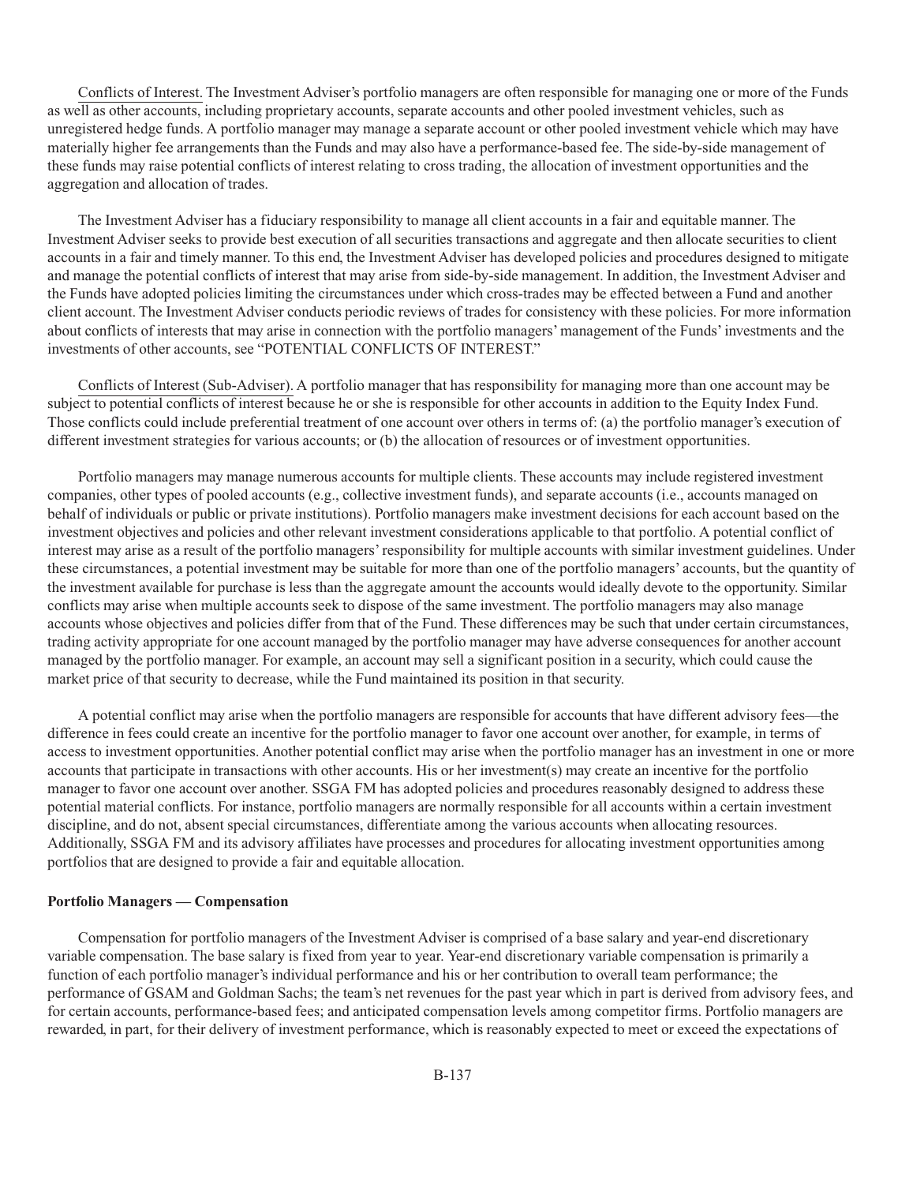Conflicts of Interest. The Investment Adviser's portfolio managers are often responsible for managing one or more of the Funds as well as other accounts, including proprietary accounts, separate accounts and other pooled investment vehicles, such as unregistered hedge funds. A portfolio manager may manage a separate account or other pooled investment vehicle which may have materially higher fee arrangements than the Funds and may also have a performance-based fee. The side-by-side management of these funds may raise potential conflicts of interest relating to cross trading, the allocation of investment opportunities and the aggregation and allocation of trades.

The Investment Adviser has a fiduciary responsibility to manage all client accounts in a fair and equitable manner. The Investment Adviser seeks to provide best execution of all securities transactions and aggregate and then allocate securities to client accounts in a fair and timely manner. To this end, the Investment Adviser has developed policies and procedures designed to mitigate and manage the potential conflicts of interest that may arise from side-by-side management. In addition, the Investment Adviser and the Funds have adopted policies limiting the circumstances under which cross-trades may be effected between a Fund and another client account. The Investment Adviser conducts periodic reviews of trades for consistency with these policies. For more information about conflicts of interests that may arise in connection with the portfolio managers' management of the Funds' investments and the investments of other accounts, see "POTENTIAL CONFLICTS OF INTEREST."

Conflicts of Interest (Sub-Adviser). A portfolio manager that has responsibility for managing more than one account may be subject to potential conflicts of interest because he or she is responsible for other accounts in addition to the Equity Index Fund. Those conflicts could include preferential treatment of one account over others in terms of: (a) the portfolio manager's execution of different investment strategies for various accounts; or (b) the allocation of resources or of investment opportunities.

Portfolio managers may manage numerous accounts for multiple clients. These accounts may include registered investment companies, other types of pooled accounts (e.g., collective investment funds), and separate accounts (i.e., accounts managed on behalf of individuals or public or private institutions). Portfolio managers make investment decisions for each account based on the investment objectives and policies and other relevant investment considerations applicable to that portfolio. A potential conflict of interest may arise as a result of the portfolio managers' responsibility for multiple accounts with similar investment guidelines. Under these circumstances, a potential investment may be suitable for more than one of the portfolio managers' accounts, but the quantity of the investment available for purchase is less than the aggregate amount the accounts would ideally devote to the opportunity. Similar conflicts may arise when multiple accounts seek to dispose of the same investment. The portfolio managers may also manage accounts whose objectives and policies differ from that of the Fund. These differences may be such that under certain circumstances, trading activity appropriate for one account managed by the portfolio manager may have adverse consequences for another account managed by the portfolio manager. For example, an account may sell a significant position in a security, which could cause the market price of that security to decrease, while the Fund maintained its position in that security.

A potential conflict may arise when the portfolio managers are responsible for accounts that have different advisory fees—the difference in fees could create an incentive for the portfolio manager to favor one account over another, for example, in terms of access to investment opportunities. Another potential conflict may arise when the portfolio manager has an investment in one or more accounts that participate in transactions with other accounts. His or her investment(s) may create an incentive for the portfolio manager to favor one account over another. SSGA FM has adopted policies and procedures reasonably designed to address these potential material conflicts. For instance, portfolio managers are normally responsible for all accounts within a certain investment discipline, and do not, absent special circumstances, differentiate among the various accounts when allocating resources. Additionally, SSGA FM and its advisory affiliates have processes and procedures for allocating investment opportunities among portfolios that are designed to provide a fair and equitable allocation.

#### **Portfolio Managers — Compensation**

Compensation for portfolio managers of the Investment Adviser is comprised of a base salary and year-end discretionary variable compensation. The base salary is fixed from year to year. Year-end discretionary variable compensation is primarily a function of each portfolio manager's individual performance and his or her contribution to overall team performance; the performance of GSAM and Goldman Sachs; the team's net revenues for the past year which in part is derived from advisory fees, and for certain accounts, performance-based fees; and anticipated compensation levels among competitor firms. Portfolio managers are rewarded, in part, for their delivery of investment performance, which is reasonably expected to meet or exceed the expectations of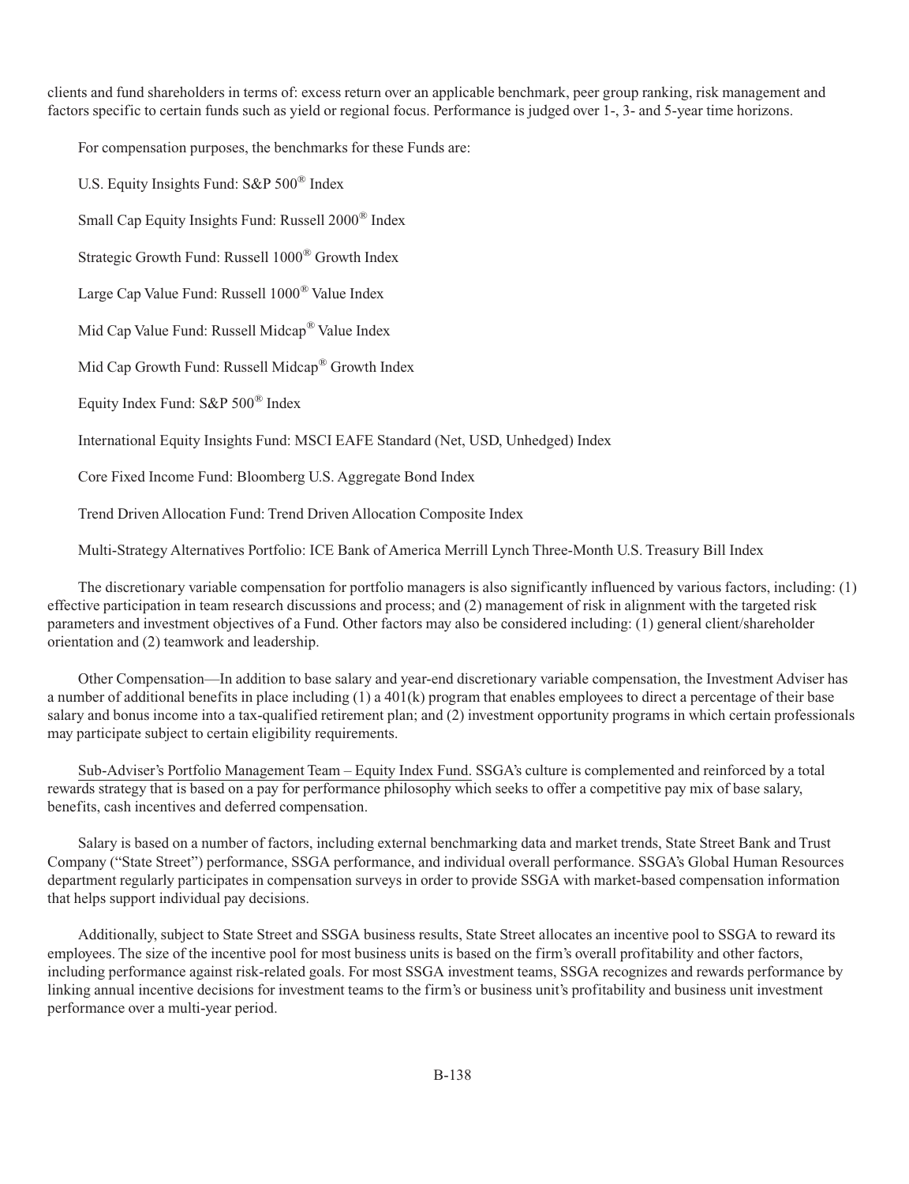clients and fund shareholders in terms of: excess return over an applicable benchmark, peer group ranking, risk management and factors specific to certain funds such as yield or regional focus. Performance is judged over 1-, 3- and 5-year time horizons.

For compensation purposes, the benchmarks for these Funds are:

U.S. Equity Insights Fund: S&P 500® Index

Small Cap Equity Insights Fund: Russell 2000® Index

Strategic Growth Fund: Russell 1000® Growth Index

Large Cap Value Fund: Russell 1000® Value Index

Mid Cap Value Fund: Russell Midcap® Value Index

Mid Cap Growth Fund: Russell Midcap® Growth Index

Equity Index Fund: S&P 500® Index

International Equity Insights Fund: MSCI EAFE Standard (Net, USD, Unhedged) Index

Core Fixed Income Fund: Bloomberg U.S. Aggregate Bond Index

Trend Driven Allocation Fund: Trend Driven Allocation Composite Index

Multi-Strategy Alternatives Portfolio: ICE Bank of America Merrill Lynch Three-Month U.S. Treasury Bill Index

The discretionary variable compensation for portfolio managers is also significantly influenced by various factors, including: (1) effective participation in team research discussions and process; and (2) management of risk in alignment with the targeted risk parameters and investment objectives of a Fund. Other factors may also be considered including: (1) general client/shareholder orientation and (2) teamwork and leadership.

Other Compensation—In addition to base salary and year-end discretionary variable compensation, the Investment Adviser has a number of additional benefits in place including (1) a 401(k) program that enables employees to direct a percentage of their base salary and bonus income into a tax-qualified retirement plan; and (2) investment opportunity programs in which certain professionals may participate subject to certain eligibility requirements.

Sub-Adviser's Portfolio Management Team – Equity Index Fund. SSGA's culture is complemented and reinforced by a total rewards strategy that is based on a pay for performance philosophy which seeks to offer a competitive pay mix of base salary, benefits, cash incentives and deferred compensation.

Salary is based on a number of factors, including external benchmarking data and market trends, State Street Bank and Trust Company ("State Street") performance, SSGA performance, and individual overall performance. SSGA's Global Human Resources department regularly participates in compensation surveys in order to provide SSGA with market-based compensation information that helps support individual pay decisions.

Additionally, subject to State Street and SSGA business results, State Street allocates an incentive pool to SSGA to reward its employees. The size of the incentive pool for most business units is based on the firm's overall profitability and other factors, including performance against risk-related goals. For most SSGA investment teams, SSGA recognizes and rewards performance by linking annual incentive decisions for investment teams to the firm's or business unit's profitability and business unit investment performance over a multi-year period.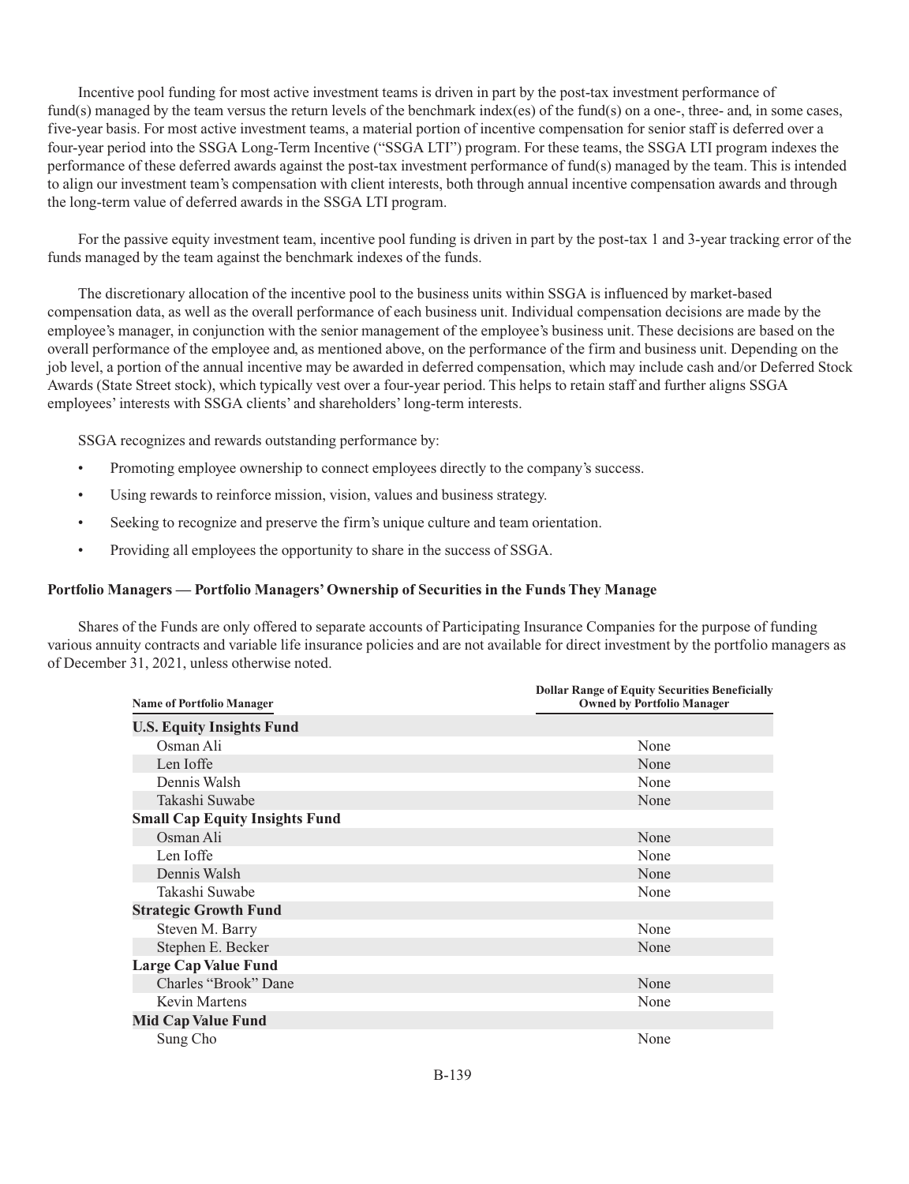Incentive pool funding for most active investment teams is driven in part by the post-tax investment performance of fund(s) managed by the team versus the return levels of the benchmark index(es) of the fund(s) on a one-, three- and, in some cases, five-year basis. For most active investment teams, a material portion of incentive compensation for senior staff is deferred over a four-year period into the SSGA Long-Term Incentive ("SSGA LTI") program. For these teams, the SSGA LTI program indexes the performance of these deferred awards against the post-tax investment performance of fund(s) managed by the team. This is intended to align our investment team's compensation with client interests, both through annual incentive compensation awards and through the long-term value of deferred awards in the SSGA LTI program.

For the passive equity investment team, incentive pool funding is driven in part by the post-tax 1 and 3-year tracking error of the funds managed by the team against the benchmark indexes of the funds.

The discretionary allocation of the incentive pool to the business units within SSGA is influenced by market-based compensation data, as well as the overall performance of each business unit. Individual compensation decisions are made by the employee's manager, in conjunction with the senior management of the employee's business unit. These decisions are based on the overall performance of the employee and, as mentioned above, on the performance of the firm and business unit. Depending on the job level, a portion of the annual incentive may be awarded in deferred compensation, which may include cash and/or Deferred Stock Awards (State Street stock), which typically vest over a four-year period. This helps to retain staff and further aligns SSGA employees' interests with SSGA clients' and shareholders' long-term interests.

SSGA recognizes and rewards outstanding performance by:

- Promoting employee ownership to connect employees directly to the company's success.
- Using rewards to reinforce mission, vision, values and business strategy.
- Seeking to recognize and preserve the firm's unique culture and team orientation.
- Providing all employees the opportunity to share in the success of SSGA.

## **Portfolio Managers — Portfolio Managers' Ownership of Securities in the Funds They Manage**

Shares of the Funds are only offered to separate accounts of Participating Insurance Companies for the purpose of funding various annuity contracts and variable life insurance policies and are not available for direct investment by the portfolio managers as of December 31, 2021, unless otherwise noted.

| <b>Name of Portfolio Manager</b>      | <b>Dollar Range of Equity Securities Beneficially</b><br><b>Owned by Portfolio Manager</b> |
|---------------------------------------|--------------------------------------------------------------------------------------------|
| <b>U.S. Equity Insights Fund</b>      |                                                                                            |
| Osman Ali                             | None                                                                                       |
| Len Ioffe                             | None                                                                                       |
| Dennis Walsh                          | None                                                                                       |
| Takashi Suwabe                        | None                                                                                       |
| <b>Small Cap Equity Insights Fund</b> |                                                                                            |
| Osman Ali                             | None                                                                                       |
| Len Ioffe                             | None                                                                                       |
| Dennis Walsh                          | None                                                                                       |
| Takashi Suwabe                        | None                                                                                       |
| <b>Strategic Growth Fund</b>          |                                                                                            |
| Steven M. Barry                       | None                                                                                       |
| Stephen E. Becker                     | None                                                                                       |
| <b>Large Cap Value Fund</b>           |                                                                                            |
| Charles "Brook" Dane                  | None                                                                                       |
| <b>Kevin Martens</b>                  | None                                                                                       |
| <b>Mid Cap Value Fund</b>             |                                                                                            |
| Sung Cho                              | None                                                                                       |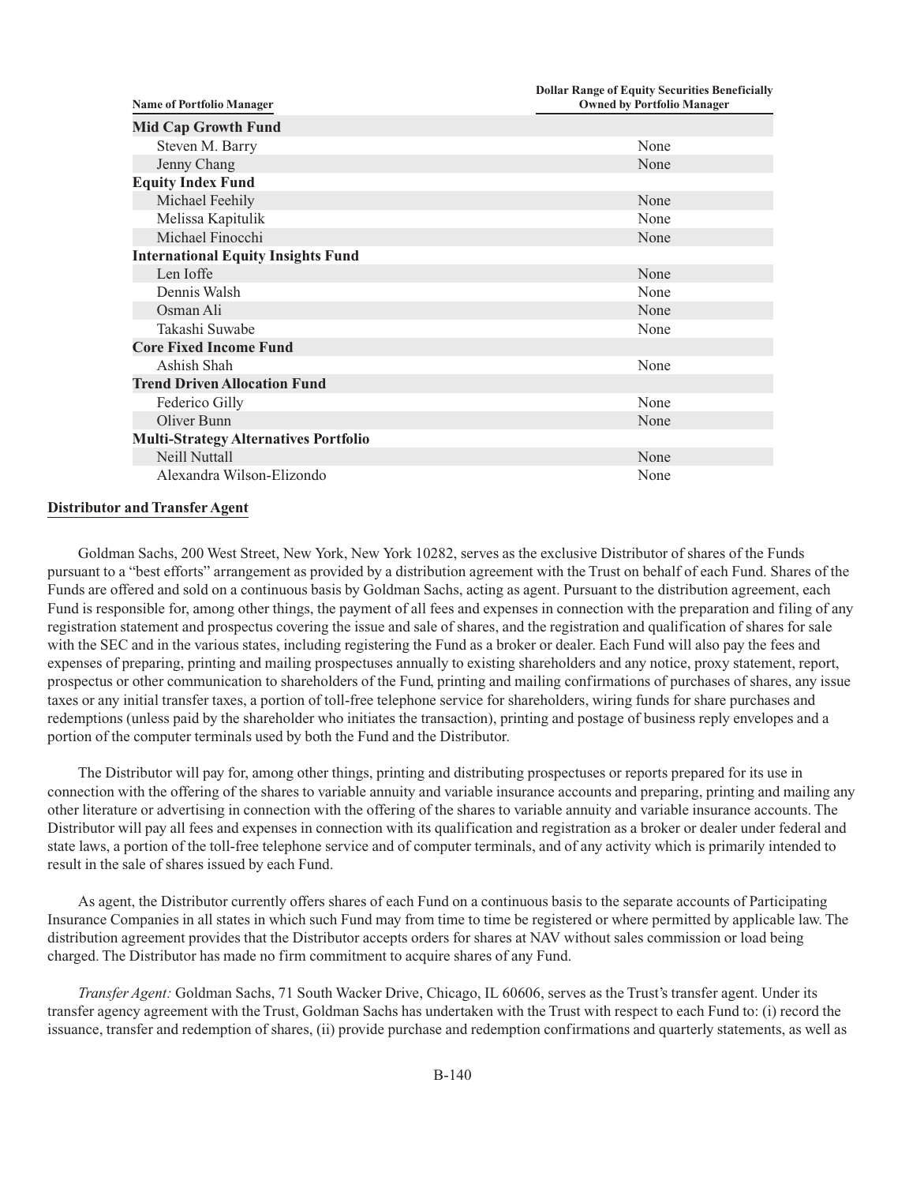| <b>Name of Portfolio Manager</b>             | <b>Dollar Range of Equity Securities Beneficially</b><br><b>Owned by Portfolio Manager</b> |
|----------------------------------------------|--------------------------------------------------------------------------------------------|
| <b>Mid Cap Growth Fund</b>                   |                                                                                            |
| Steven M. Barry                              | None                                                                                       |
| Jenny Chang                                  | None                                                                                       |
| <b>Equity Index Fund</b>                     |                                                                                            |
| Michael Feehily                              | None                                                                                       |
| Melissa Kapitulik                            | None                                                                                       |
| Michael Finocchi                             | None                                                                                       |
| <b>International Equity Insights Fund</b>    |                                                                                            |
| Len Ioffe                                    | None                                                                                       |
| Dennis Walsh                                 | None                                                                                       |
| Osman Ali                                    | None                                                                                       |
| Takashi Suwabe                               | None                                                                                       |
| <b>Core Fixed Income Fund</b>                |                                                                                            |
| Ashish Shah                                  | None                                                                                       |
| <b>Trend Driven Allocation Fund</b>          |                                                                                            |
| Federico Gilly                               | None                                                                                       |
| Oliver Bunn                                  | None                                                                                       |
| <b>Multi-Strategy Alternatives Portfolio</b> |                                                                                            |
| <b>Neill Nuttall</b>                         | None                                                                                       |
| Alexandra Wilson-Elizondo                    | None                                                                                       |

### **Distributor and Transfer Agent**

Goldman Sachs, 200 West Street, New York, New York 10282, serves as the exclusive Distributor of shares of the Funds pursuant to a "best efforts" arrangement as provided by a distribution agreement with the Trust on behalf of each Fund. Shares of the Funds are offered and sold on a continuous basis by Goldman Sachs, acting as agent. Pursuant to the distribution agreement, each Fund is responsible for, among other things, the payment of all fees and expenses in connection with the preparation and filing of any registration statement and prospectus covering the issue and sale of shares, and the registration and qualification of shares for sale with the SEC and in the various states, including registering the Fund as a broker or dealer. Each Fund will also pay the fees and expenses of preparing, printing and mailing prospectuses annually to existing shareholders and any notice, proxy statement, report, prospectus or other communication to shareholders of the Fund, printing and mailing confirmations of purchases of shares, any issue taxes or any initial transfer taxes, a portion of toll-free telephone service for shareholders, wiring funds for share purchases and redemptions (unless paid by the shareholder who initiates the transaction), printing and postage of business reply envelopes and a portion of the computer terminals used by both the Fund and the Distributor.

The Distributor will pay for, among other things, printing and distributing prospectuses or reports prepared for its use in connection with the offering of the shares to variable annuity and variable insurance accounts and preparing, printing and mailing any other literature or advertising in connection with the offering of the shares to variable annuity and variable insurance accounts. The Distributor will pay all fees and expenses in connection with its qualification and registration as a broker or dealer under federal and state laws, a portion of the toll-free telephone service and of computer terminals, and of any activity which is primarily intended to result in the sale of shares issued by each Fund.

As agent, the Distributor currently offers shares of each Fund on a continuous basis to the separate accounts of Participating Insurance Companies in all states in which such Fund may from time to time be registered or where permitted by applicable law. The distribution agreement provides that the Distributor accepts orders for shares at NAV without sales commission or load being charged. The Distributor has made no firm commitment to acquire shares of any Fund.

*Transfer Agent:* Goldman Sachs, 71 South Wacker Drive, Chicago, IL 60606, serves as the Trust's transfer agent. Under its transfer agency agreement with the Trust, Goldman Sachs has undertaken with the Trust with respect to each Fund to: (i) record the issuance, transfer and redemption of shares, (ii) provide purchase and redemption confirmations and quarterly statements, as well as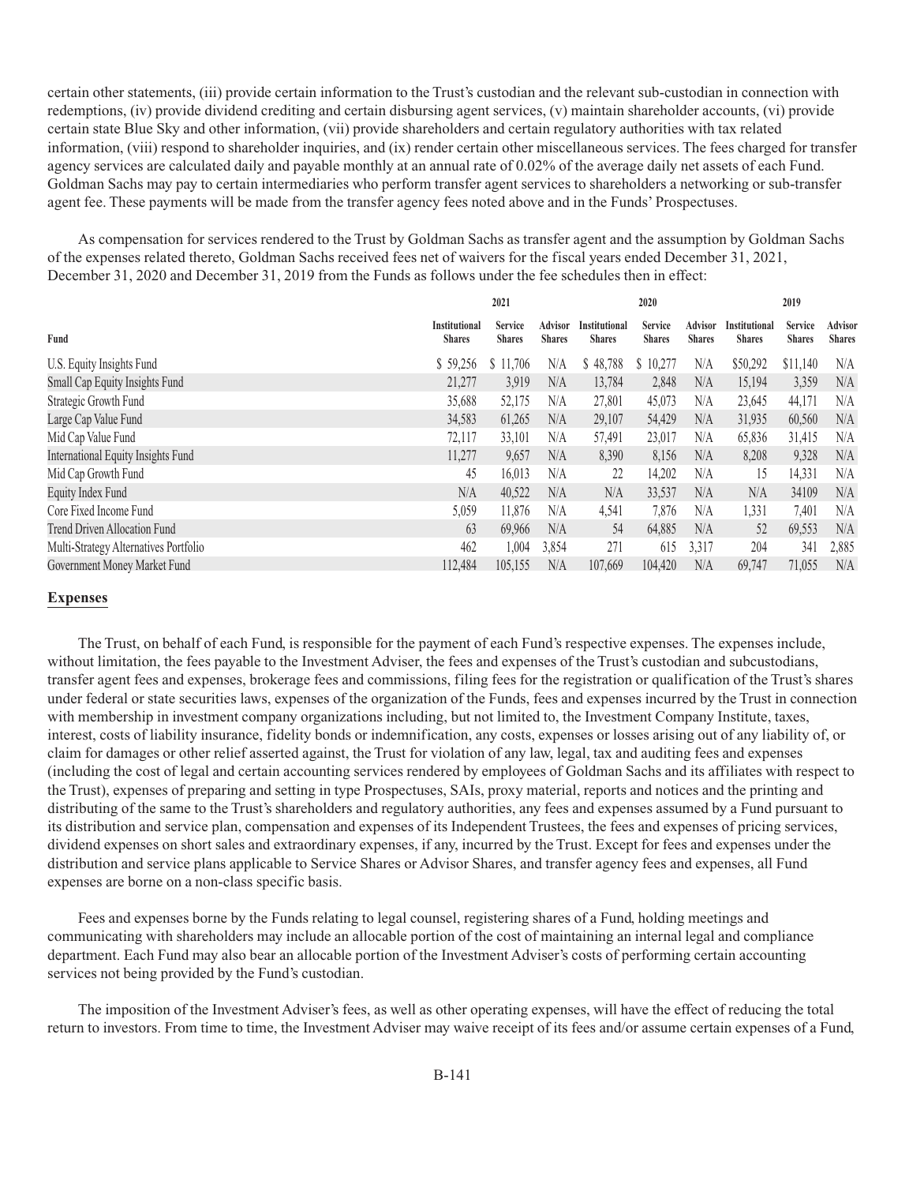certain other statements, (iii) provide certain information to the Trust's custodian and the relevant sub-custodian in connection with redemptions, (iv) provide dividend crediting and certain disbursing agent services, (v) maintain shareholder accounts, (vi) provide certain state Blue Sky and other information, (vii) provide shareholders and certain regulatory authorities with tax related information, (viii) respond to shareholder inquiries, and (ix) render certain other miscellaneous services. The fees charged for transfer agency services are calculated daily and payable monthly at an annual rate of 0.02% of the average daily net assets of each Fund. Goldman Sachs may pay to certain intermediaries who perform transfer agent services to shareholders a networking or sub-transfer agent fee. These payments will be made from the transfer agency fees noted above and in the Funds' Prospectuses.

As compensation for services rendered to the Trust by Goldman Sachs as transfer agent and the assumption by Goldman Sachs of the expenses related thereto, Goldman Sachs received fees net of waivers for the fiscal years ended December 31, 2021, December 31, 2020 and December 31, 2019 from the Funds as follows under the fee schedules then in effect:

|                                       |                                | 2021                            |                          |                                       | 2020                            |                          |                                       | 2019                     |                          |
|---------------------------------------|--------------------------------|---------------------------------|--------------------------|---------------------------------------|---------------------------------|--------------------------|---------------------------------------|--------------------------|--------------------------|
| Fund                                  | Institutional<br><b>Shares</b> | <b>Service</b><br><b>Shares</b> | Advisor<br><b>Shares</b> | <b>Institutional</b><br><b>Shares</b> | <b>Service</b><br><b>Shares</b> | Advisor<br><b>Shares</b> | <b>Institutional</b><br><b>Shares</b> | Service<br><b>Shares</b> | Advisor<br><b>Shares</b> |
| U.S. Equity Insights Fund             | \$59,256                       | \$11,706                        | N/A                      | \$48,788                              | \$10,277                        | N/A                      | \$50,292                              | \$11,140                 | N/A                      |
| Small Cap Equity Insights Fund        | 21,277                         | 3,919                           | N/A                      | 13,784                                | 2,848                           | N/A                      | 15,194                                | 3,359                    | N/A                      |
| Strategic Growth Fund                 | 35,688                         | 52,175                          | N/A                      | 27,801                                | 45,073                          | N/A                      | 23,645                                | 44,171                   | N/A                      |
| Large Cap Value Fund                  | 34,583                         | 61,265                          | N/A                      | 29,107                                | 54,429                          | N/A                      | 31,935                                | 60,560                   | N/A                      |
| Mid Cap Value Fund                    | 72,117                         | 33,101                          | N/A                      | 57,491                                | 23,017                          | N/A                      | 65,836                                | 31,415                   | N/A                      |
| International Equity Insights Fund    | 11,277                         | 9,657                           | N/A                      | 8,390                                 | 8,156                           | N/A                      | 8,208                                 | 9,328                    | N/A                      |
| Mid Cap Growth Fund                   | 45                             | 16,013                          | N/A                      | 22                                    | 14,202                          | N/A                      | 15                                    | 14,331                   | N/A                      |
| Equity Index Fund                     | N/A                            | 40,522                          | N/A                      | N/A                                   | 33,537                          | N/A                      | N/A                                   | 34109                    | N/A                      |
| Core Fixed Income Fund                | 5,059                          | 11,876                          | N/A                      | 4,541                                 | 7,876                           | N/A                      | 1,331                                 | 7,401                    | N/A                      |
| Trend Driven Allocation Fund          | 63                             | 69,966                          | N/A                      | 54                                    | 64,885                          | N/A                      | 52                                    | 69,553                   | N/A                      |
| Multi-Strategy Alternatives Portfolio | 462                            | 1.004                           | 3,854                    | 271                                   | 615                             | 3,317                    | 204                                   | 341                      | 2,885                    |
| Government Money Market Fund          | 112.484                        | 105,155                         | N/A                      | 107,669                               | 104,420                         | N/A                      | 69,747                                | 71,055                   | N/A                      |

### **Expenses**

The Trust, on behalf of each Fund, is responsible for the payment of each Fund's respective expenses. The expenses include, without limitation, the fees payable to the Investment Adviser, the fees and expenses of the Trust's custodian and subcustodians, transfer agent fees and expenses, brokerage fees and commissions, filing fees for the registration or qualification of the Trust's shares under federal or state securities laws, expenses of the organization of the Funds, fees and expenses incurred by the Trust in connection with membership in investment company organizations including, but not limited to, the Investment Company Institute, taxes, interest, costs of liability insurance, fidelity bonds or indemnification, any costs, expenses or losses arising out of any liability of, or claim for damages or other relief asserted against, the Trust for violation of any law, legal, tax and auditing fees and expenses (including the cost of legal and certain accounting services rendered by employees of Goldman Sachs and its affiliates with respect to the Trust), expenses of preparing and setting in type Prospectuses, SAIs, proxy material, reports and notices and the printing and distributing of the same to the Trust's shareholders and regulatory authorities, any fees and expenses assumed by a Fund pursuant to its distribution and service plan, compensation and expenses of its Independent Trustees, the fees and expenses of pricing services, dividend expenses on short sales and extraordinary expenses, if any, incurred by the Trust. Except for fees and expenses under the distribution and service plans applicable to Service Shares or Advisor Shares, and transfer agency fees and expenses, all Fund expenses are borne on a non-class specific basis.

Fees and expenses borne by the Funds relating to legal counsel, registering shares of a Fund, holding meetings and communicating with shareholders may include an allocable portion of the cost of maintaining an internal legal and compliance department. Each Fund may also bear an allocable portion of the Investment Adviser's costs of performing certain accounting services not being provided by the Fund's custodian.

The imposition of the Investment Adviser's fees, as well as other operating expenses, will have the effect of reducing the total return to investors. From time to time, the Investment Adviser may waive receipt of its fees and/or assume certain expenses of a Fund,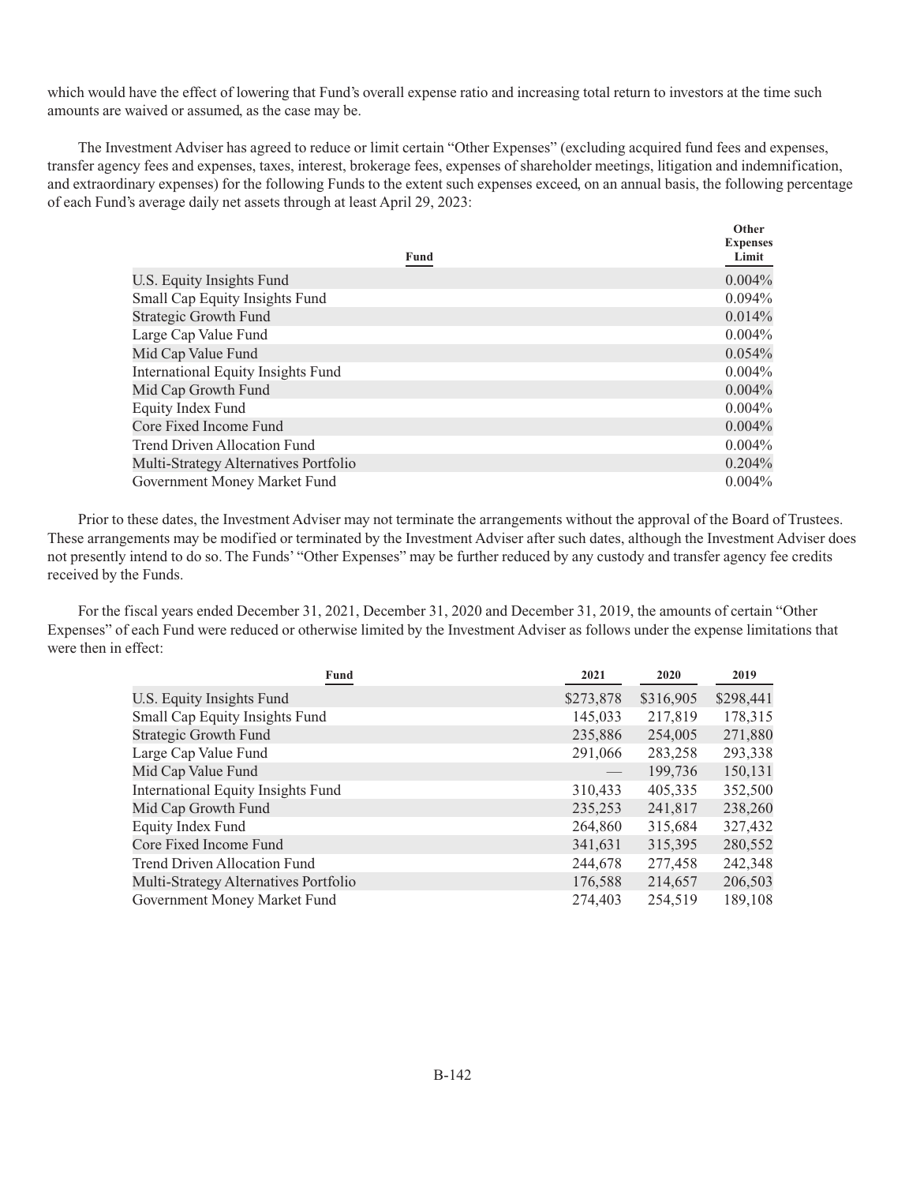which would have the effect of lowering that Fund's overall expense ratio and increasing total return to investors at the time such amounts are waived or assumed, as the case may be.

The Investment Adviser has agreed to reduce or limit certain "Other Expenses" (excluding acquired fund fees and expenses, transfer agency fees and expenses, taxes, interest, brokerage fees, expenses of shareholder meetings, litigation and indemnification, and extraordinary expenses) for the following Funds to the extent such expenses exceed, on an annual basis, the following percentage of each Fund's average daily net assets through at least April 29, 2023:

**Other**

|                                       | Fund | <b>Expenses</b><br>Limit |
|---------------------------------------|------|--------------------------|
| U.S. Equity Insights Fund             |      | 0.004%                   |
| Small Cap Equity Insights Fund        |      | 0.094%                   |
| <b>Strategic Growth Fund</b>          |      | 0.014%                   |
| Large Cap Value Fund                  |      | 0.004%                   |
| Mid Cap Value Fund                    |      | 0.054%                   |
| International Equity Insights Fund    |      | 0.004%                   |
| Mid Cap Growth Fund                   |      | 0.004%                   |
| <b>Equity Index Fund</b>              |      | 0.004%                   |
| Core Fixed Income Fund                |      | 0.004%                   |
| Trend Driven Allocation Fund          |      | 0.004%                   |
| Multi-Strategy Alternatives Portfolio |      | 0.204%                   |
| Government Money Market Fund          |      | $0.004\%$                |

Prior to these dates, the Investment Adviser may not terminate the arrangements without the approval of the Board of Trustees. These arrangements may be modified or terminated by the Investment Adviser after such dates, although the Investment Adviser does not presently intend to do so. The Funds' "Other Expenses" may be further reduced by any custody and transfer agency fee credits received by the Funds.

For the fiscal years ended December 31, 2021, December 31, 2020 and December 31, 2019, the amounts of certain "Other Expenses" of each Fund were reduced or otherwise limited by the Investment Adviser as follows under the expense limitations that were then in effect:

| Fund                                  | 2021             | 2020      | 2019      |
|---------------------------------------|------------------|-----------|-----------|
| U.S. Equity Insights Fund             | \$273,878        | \$316,905 | \$298,441 |
| Small Cap Equity Insights Fund        | 145,033          | 217,819   | 178,315   |
| <b>Strategic Growth Fund</b>          | 235,886          | 254,005   | 271,880   |
| Large Cap Value Fund                  | 291,066          | 283,258   | 293,338   |
| Mid Cap Value Fund                    | $\hspace{0.1cm}$ | 199,736   | 150,131   |
| International Equity Insights Fund    | 310,433          | 405,335   | 352,500   |
| Mid Cap Growth Fund                   | 235,253          | 241,817   | 238,260   |
| Equity Index Fund                     | 264,860          | 315,684   | 327,432   |
| Core Fixed Income Fund                | 341,631          | 315,395   | 280,552   |
| Trend Driven Allocation Fund          | 244,678          | 277,458   | 242,348   |
| Multi-Strategy Alternatives Portfolio | 176,588          | 214,657   | 206,503   |
| Government Money Market Fund          | 274,403          | 254,519   | 189,108   |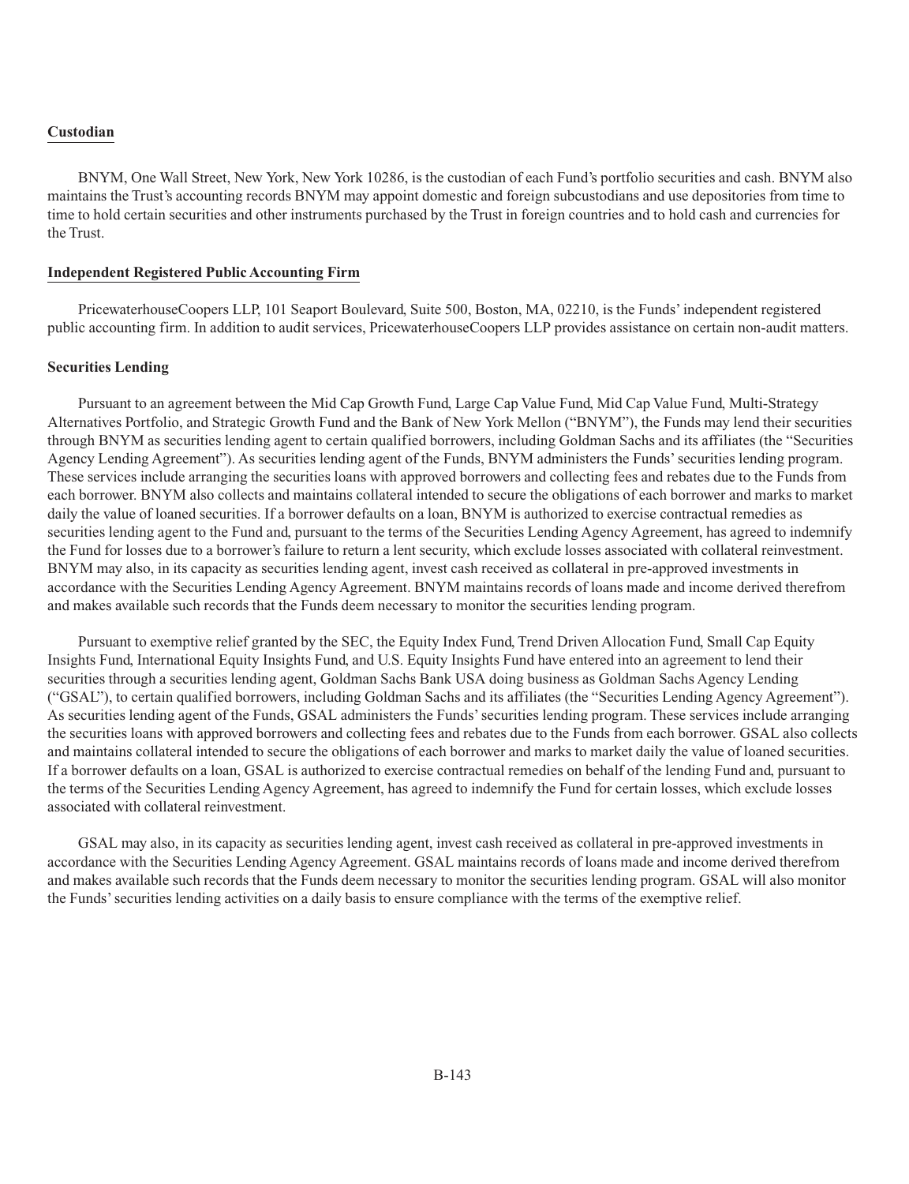## **Custodian**

BNYM, One Wall Street, New York, New York 10286, is the custodian of each Fund's portfolio securities and cash. BNYM also maintains the Trust's accounting records BNYM may appoint domestic and foreign subcustodians and use depositories from time to time to hold certain securities and other instruments purchased by the Trust in foreign countries and to hold cash and currencies for the Trust.

### **Independent Registered Public Accounting Firm**

PricewaterhouseCoopers LLP, 101 Seaport Boulevard, Suite 500, Boston, MA, 02210, is the Funds' independent registered public accounting firm. In addition to audit services, PricewaterhouseCoopers LLP provides assistance on certain non-audit matters.

## **Securities Lending**

Pursuant to an agreement between the Mid Cap Growth Fund, Large Cap Value Fund, Mid Cap Value Fund, Multi-Strategy Alternatives Portfolio, and Strategic Growth Fund and the Bank of New York Mellon ("BNYM"), the Funds may lend their securities through BNYM as securities lending agent to certain qualified borrowers, including Goldman Sachs and its affiliates (the "Securities Agency Lending Agreement"). As securities lending agent of the Funds, BNYM administers the Funds' securities lending program. These services include arranging the securities loans with approved borrowers and collecting fees and rebates due to the Funds from each borrower. BNYM also collects and maintains collateral intended to secure the obligations of each borrower and marks to market daily the value of loaned securities. If a borrower defaults on a loan, BNYM is authorized to exercise contractual remedies as securities lending agent to the Fund and, pursuant to the terms of the Securities Lending Agency Agreement, has agreed to indemnify the Fund for losses due to a borrower's failure to return a lent security, which exclude losses associated with collateral reinvestment. BNYM may also, in its capacity as securities lending agent, invest cash received as collateral in pre-approved investments in accordance with the Securities Lending Agency Agreement. BNYM maintains records of loans made and income derived therefrom and makes available such records that the Funds deem necessary to monitor the securities lending program.

Pursuant to exemptive relief granted by the SEC, the Equity Index Fund, Trend Driven Allocation Fund, Small Cap Equity Insights Fund, International Equity Insights Fund, and U.S. Equity Insights Fund have entered into an agreement to lend their securities through a securities lending agent, Goldman Sachs Bank USA doing business as Goldman Sachs Agency Lending ("GSAL"), to certain qualified borrowers, including Goldman Sachs and its affiliates (the "Securities Lending Agency Agreement"). As securities lending agent of the Funds, GSAL administers the Funds' securities lending program. These services include arranging the securities loans with approved borrowers and collecting fees and rebates due to the Funds from each borrower. GSAL also collects and maintains collateral intended to secure the obligations of each borrower and marks to market daily the value of loaned securities. If a borrower defaults on a loan, GSAL is authorized to exercise contractual remedies on behalf of the lending Fund and, pursuant to the terms of the Securities Lending Agency Agreement, has agreed to indemnify the Fund for certain losses, which exclude losses associated with collateral reinvestment.

GSAL may also, in its capacity as securities lending agent, invest cash received as collateral in pre-approved investments in accordance with the Securities Lending Agency Agreement. GSAL maintains records of loans made and income derived therefrom and makes available such records that the Funds deem necessary to monitor the securities lending program. GSAL will also monitor the Funds' securities lending activities on a daily basis to ensure compliance with the terms of the exemptive relief.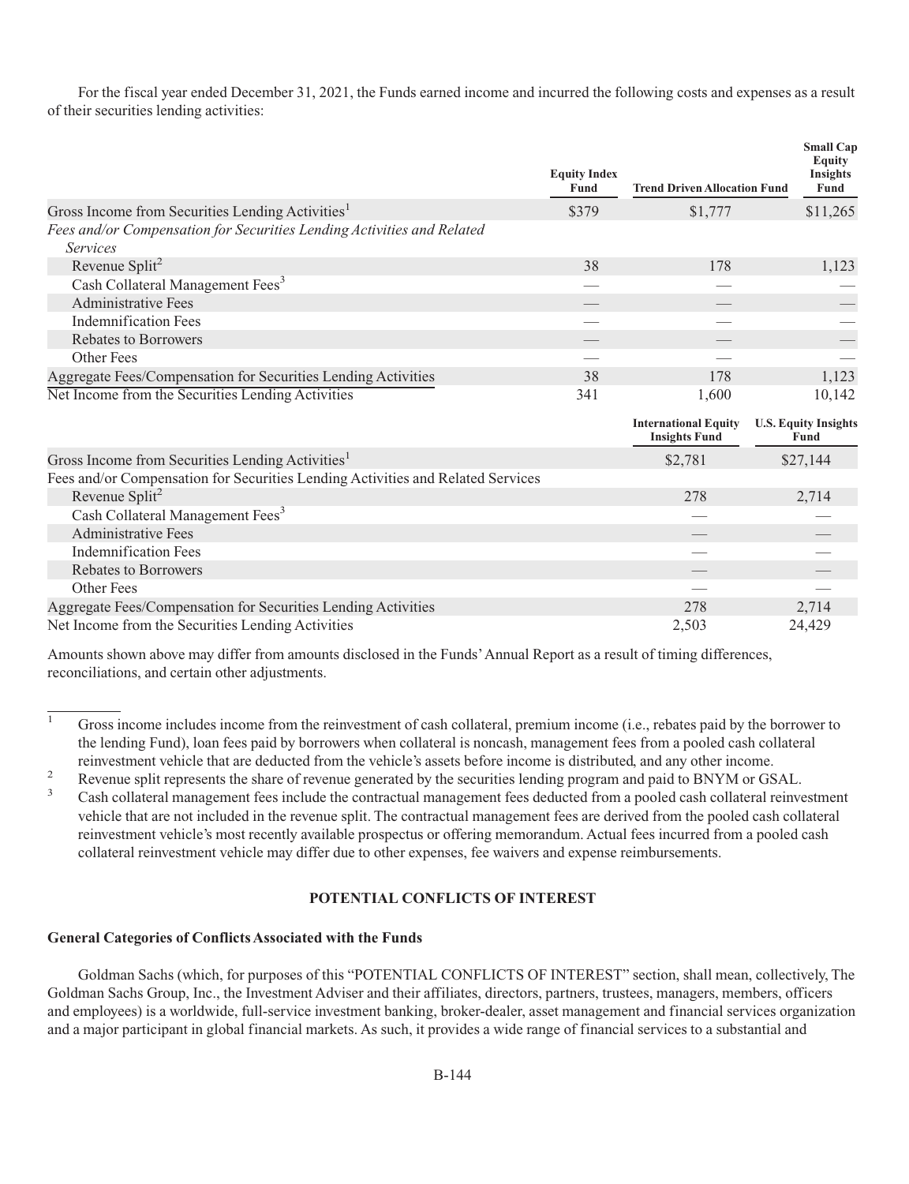For the fiscal year ended December 31, 2021, the Funds earned income and incurred the following costs and expenses as a result of their securities lending activities:

|                                                                                 | <b>Equity Index</b><br>Fund | <b>Trend Driven Allocation Fund</b>                 | <b>Small Cap</b><br><b>Equity</b><br><b>Insights</b><br>Fund |
|---------------------------------------------------------------------------------|-----------------------------|-----------------------------------------------------|--------------------------------------------------------------|
| Gross Income from Securities Lending Activities <sup>1</sup>                    | \$379                       | \$1,777                                             | \$11,265                                                     |
| Fees and/or Compensation for Securities Lending Activities and Related          |                             |                                                     |                                                              |
| <b>Services</b>                                                                 |                             |                                                     |                                                              |
| Revenue Split <sup>2</sup>                                                      | 38                          | 178                                                 | 1,123                                                        |
| Cash Collateral Management Fees <sup>3</sup>                                    |                             |                                                     |                                                              |
| <b>Administrative Fees</b>                                                      |                             |                                                     |                                                              |
| <b>Indemnification Fees</b>                                                     |                             |                                                     |                                                              |
| <b>Rebates to Borrowers</b>                                                     |                             |                                                     |                                                              |
| Other Fees                                                                      |                             |                                                     |                                                              |
| Aggregate Fees/Compensation for Securities Lending Activities                   | 38                          | 178                                                 | 1,123                                                        |
| Net Income from the Securities Lending Activities                               | 341                         | 1,600                                               | 10,142                                                       |
|                                                                                 |                             | <b>International Equity</b><br><b>Insights Fund</b> | <b>U.S. Equity Insights</b><br>Fund                          |
| Gross Income from Securities Lending Activities <sup>1</sup>                    |                             | \$2,781                                             | \$27,144                                                     |
| Fees and/or Compensation for Securities Lending Activities and Related Services |                             |                                                     |                                                              |
| Revenue Split <sup>2</sup>                                                      |                             | 278                                                 | 2,714                                                        |
| Cash Collateral Management Fees <sup>3</sup>                                    |                             |                                                     |                                                              |
| <b>Administrative Fees</b>                                                      |                             |                                                     |                                                              |
| <b>Indemnification Fees</b>                                                     |                             |                                                     |                                                              |
| <b>Rebates to Borrowers</b>                                                     |                             |                                                     |                                                              |
| Other Fees                                                                      |                             |                                                     |                                                              |
| Aggregate Fees/Compensation for Securities Lending Activities                   |                             | 278                                                 | 2,714                                                        |
| Net Income from the Securities Lending Activities                               |                             | 2,503                                               | 24,429                                                       |

Amounts shown above may differ from amounts disclosed in the Funds'Annual Report as a result of timing differences, reconciliations, and certain other adjustments.

 $\overline{1}$  Gross income includes income from the reinvestment of cash collateral, premium income (i.e., rebates paid by the borrower to the lending Fund), loan fees paid by borrowers when collateral is noncash, management fees from a pooled cash collateral

reinvestment vehicle that are deducted from the vehicle's assets before income is distributed, and any other income.<br>Revenue split represents the share of revenue generated by the securities lending program and paid to BNY

vehicle that are not included in the revenue split. The contractual management fees are derived from the pooled cash collateral reinvestment vehicle's most recently available prospectus or offering memorandum. Actual fees incurred from a pooled cash collateral reinvestment vehicle may differ due to other expenses, fee waivers and expense reimbursements.

# **POTENTIAL CONFLICTS OF INTEREST**

# **General Categories of Conflicts Associated with the Funds**

Goldman Sachs (which, for purposes of this "POTENTIAL CONFLICTS OF INTEREST" section, shall mean, collectively, The Goldman Sachs Group, Inc., the Investment Adviser and their affiliates, directors, partners, trustees, managers, members, officers and employees) is a worldwide, full-service investment banking, broker-dealer, asset management and financial services organization and a major participant in global financial markets. As such, it provides a wide range of financial services to a substantial and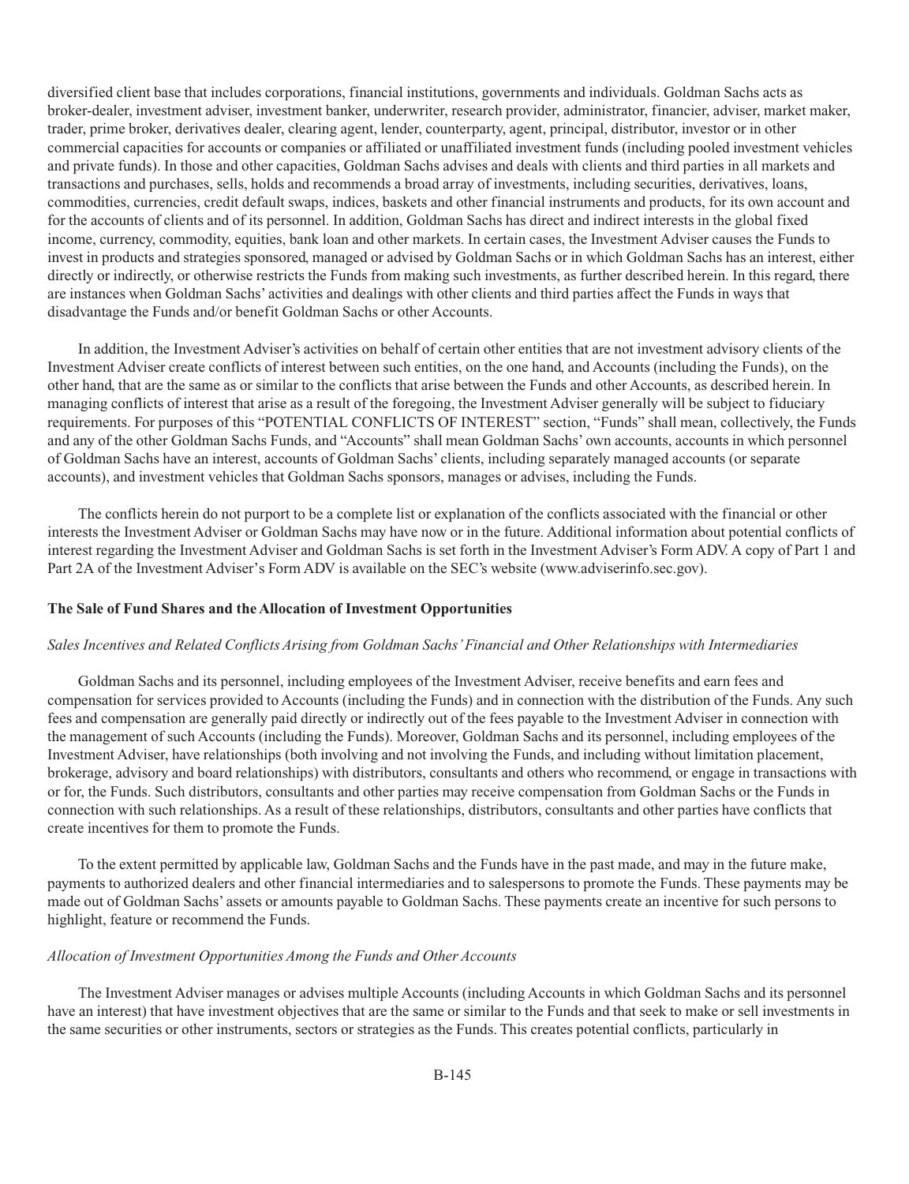diversified client base that includes corporations, financial institutions, governments and individuals. Goldman Sachs acts as broker-dealer, investment adviser, investment banker, underwriter, research provider, administrator, financier, adviser, market maker, trader, prime broker, derivatives dealer, clearing agent, lender, counterparty, agent, principal, distributor, investor or in other commercial capacities for accounts or companies or affiliated or unaffiliated investment funds (including pooled investment vehicles and private funds). In those and other capacities, Goldman Sachs advises and deals with clients and third parties in all markets and transactions and purchases, sells, holds and recommends a broad array of investments, including securities, derivatives, loans, commodities, currencies, credit default swaps, indices, baskets and other financial instruments and products, for its own account and for the accounts of clients and of its personnel. In addition, Goldman Sachs has direct and indirect interests in the global fixed income, currency, commodity, equities, bank loan and other markets. In certain cases, the Investment Adviser causes the Funds to invest in products and strategies sponsored, managed or advised by Goldman Sachs or in which Goldman Sachs has an interest, either directly or indirectly, or otherwise restricts the Funds from making such investments, as further described herein. In this regard, there are instances when Goldman Sachs' activities and dealings with other clients and third parties affect the Funds in ways that disadvantage the Funds and/or benefit Goldman Sachs or other Accounts.

In addition, the Investment Adviser's activities on behalf of certain other entities that are not investment advisory clients of the Investment Adviser create conflicts of interest between such entities, on the one hand, and Accounts (including the Funds), on the other hand, that are the same as or similar to the conflicts that arise between the Funds and other Accounts, as described herein. In managing conflicts of interest that arise as a result of the foregoing, the Investment Adviser generally will be subject to fiduciary requirements. For purposes of this "POTENTIAL CONFLICTS OF INTEREST" section, "Funds" shall mean, collectively, the Funds and any of the other Goldman Sachs Funds, and "Accounts" shall mean Goldman Sachs' own accounts, accounts in which personnel of Goldman Sachs have an interest, accounts of Goldman Sachs' clients, including separately managed accounts (or separate accounts), and investment vehicles that Goldman Sachs sponsors, manages or advises, including the Funds.

The conflicts herein do not purport to be a complete list or explanation of the conflicts associated with the financial or other interests the Investment Adviser or Goldman Sachs may have now or in the future. Additional information about potential conflicts of interest regarding the Investment Adviser and Goldman Sachs is set forth in the Investment Adviser's Form ADV. A copy of Part 1 and Part 2A of the Investment Adviser's Form ADV is available on the SEC's website (www.adviserinfo.sec.gov).

## **The Sale of Fund Shares and the Allocation of Investment Opportunities**

## *Sales Incentives and Related Conflicts Arising from Goldman Sachs'Financial and Other Relationships with Intermediaries*

Goldman Sachs and its personnel, including employees of the Investment Adviser, receive benefits and earn fees and compensation for services provided to Accounts (including the Funds) and in connection with the distribution of the Funds. Any such fees and compensation are generally paid directly or indirectly out of the fees payable to the Investment Adviser in connection with the management of such Accounts (including the Funds). Moreover, Goldman Sachs and its personnel, including employees of the Investment Adviser, have relationships (both involving and not involving the Funds, and including without limitation placement, brokerage, advisory and board relationships) with distributors, consultants and others who recommend, or engage in transactions with or for, the Funds. Such distributors, consultants and other parties may receive compensation from Goldman Sachs or the Funds in connection with such relationships. As a result of these relationships, distributors, consultants and other parties have conflicts that create incentives for them to promote the Funds.

To the extent permitted by applicable law, Goldman Sachs and the Funds have in the past made, and may in the future make, payments to authorized dealers and other financial intermediaries and to salespersons to promote the Funds. These payments may be made out of Goldman Sachs' assets or amounts payable to Goldman Sachs. These payments create an incentive for such persons to highlight, feature or recommend the Funds.

## *Allocation of Investment Opportunities Among the Funds and Other Accounts*

The Investment Adviser manages or advises multiple Accounts (including Accounts in which Goldman Sachs and its personnel have an interest) that have investment objectives that are the same or similar to the Funds and that seek to make or sell investments in the same securities or other instruments, sectors or strategies as the Funds. This creates potential conflicts, particularly in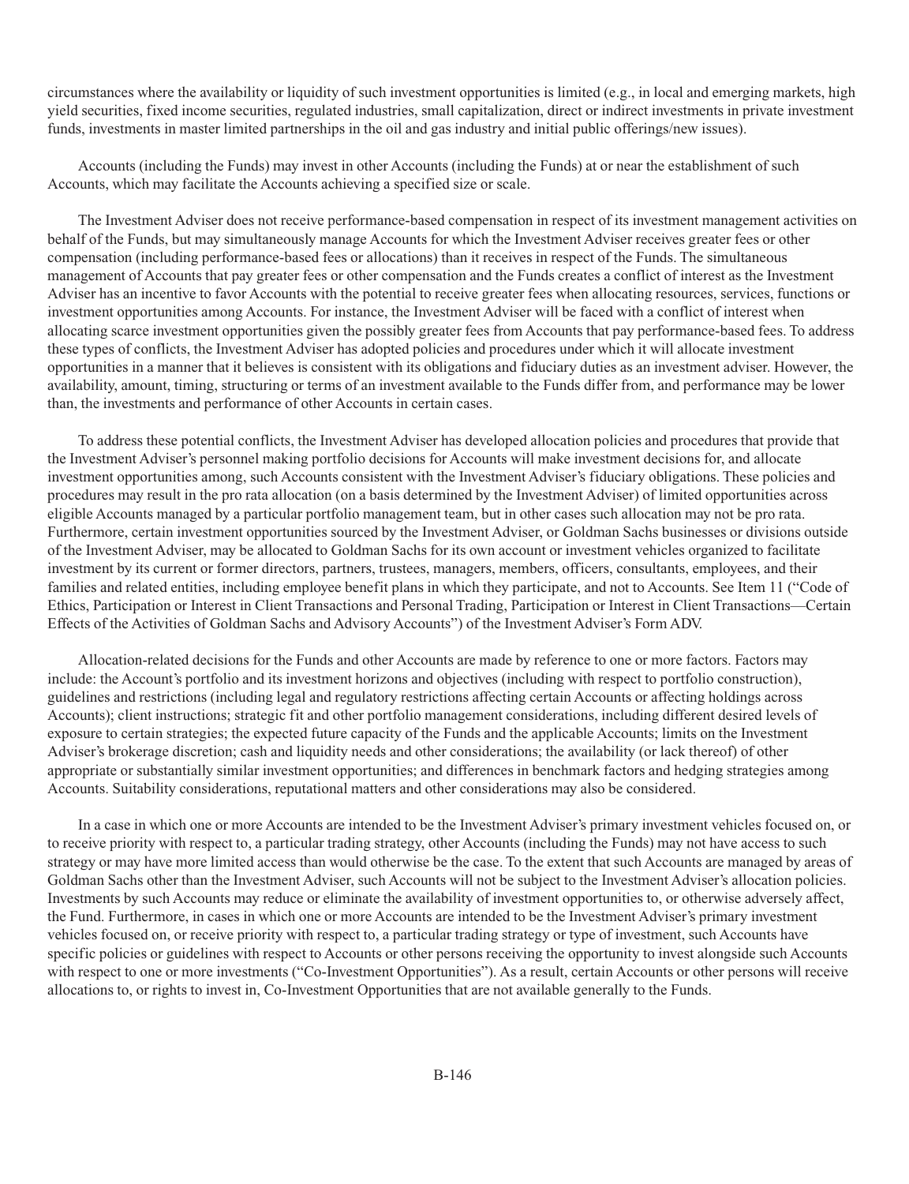circumstances where the availability or liquidity of such investment opportunities is limited (e.g., in local and emerging markets, high yield securities, fixed income securities, regulated industries, small capitalization, direct or indirect investments in private investment funds, investments in master limited partnerships in the oil and gas industry and initial public offerings/new issues).

Accounts (including the Funds) may invest in other Accounts (including the Funds) at or near the establishment of such Accounts, which may facilitate the Accounts achieving a specified size or scale.

The Investment Adviser does not receive performance-based compensation in respect of its investment management activities on behalf of the Funds, but may simultaneously manage Accounts for which the Investment Adviser receives greater fees or other compensation (including performance-based fees or allocations) than it receives in respect of the Funds. The simultaneous management of Accounts that pay greater fees or other compensation and the Funds creates a conflict of interest as the Investment Adviser has an incentive to favor Accounts with the potential to receive greater fees when allocating resources, services, functions or investment opportunities among Accounts. For instance, the Investment Adviser will be faced with a conflict of interest when allocating scarce investment opportunities given the possibly greater fees from Accounts that pay performance-based fees. To address these types of conflicts, the Investment Adviser has adopted policies and procedures under which it will allocate investment opportunities in a manner that it believes is consistent with its obligations and fiduciary duties as an investment adviser. However, the availability, amount, timing, structuring or terms of an investment available to the Funds differ from, and performance may be lower than, the investments and performance of other Accounts in certain cases.

To address these potential conflicts, the Investment Adviser has developed allocation policies and procedures that provide that the Investment Adviser's personnel making portfolio decisions for Accounts will make investment decisions for, and allocate investment opportunities among, such Accounts consistent with the Investment Adviser's fiduciary obligations. These policies and procedures may result in the pro rata allocation (on a basis determined by the Investment Adviser) of limited opportunities across eligible Accounts managed by a particular portfolio management team, but in other cases such allocation may not be pro rata. Furthermore, certain investment opportunities sourced by the Investment Adviser, or Goldman Sachs businesses or divisions outside of the Investment Adviser, may be allocated to Goldman Sachs for its own account or investment vehicles organized to facilitate investment by its current or former directors, partners, trustees, managers, members, officers, consultants, employees, and their families and related entities, including employee benefit plans in which they participate, and not to Accounts. See Item 11 ("Code of Ethics, Participation or Interest in Client Transactions and Personal Trading, Participation or Interest in Client Transactions—Certain Effects of the Activities of Goldman Sachs and Advisory Accounts") of the Investment Adviser's Form ADV.

Allocation-related decisions for the Funds and other Accounts are made by reference to one or more factors. Factors may include: the Account's portfolio and its investment horizons and objectives (including with respect to portfolio construction), guidelines and restrictions (including legal and regulatory restrictions affecting certain Accounts or affecting holdings across Accounts); client instructions; strategic fit and other portfolio management considerations, including different desired levels of exposure to certain strategies; the expected future capacity of the Funds and the applicable Accounts; limits on the Investment Adviser's brokerage discretion; cash and liquidity needs and other considerations; the availability (or lack thereof) of other appropriate or substantially similar investment opportunities; and differences in benchmark factors and hedging strategies among Accounts. Suitability considerations, reputational matters and other considerations may also be considered.

In a case in which one or more Accounts are intended to be the Investment Adviser's primary investment vehicles focused on, or to receive priority with respect to, a particular trading strategy, other Accounts (including the Funds) may not have access to such strategy or may have more limited access than would otherwise be the case. To the extent that such Accounts are managed by areas of Goldman Sachs other than the Investment Adviser, such Accounts will not be subject to the Investment Adviser's allocation policies. Investments by such Accounts may reduce or eliminate the availability of investment opportunities to, or otherwise adversely affect, the Fund. Furthermore, in cases in which one or more Accounts are intended to be the Investment Adviser's primary investment vehicles focused on, or receive priority with respect to, a particular trading strategy or type of investment, such Accounts have specific policies or guidelines with respect to Accounts or other persons receiving the opportunity to invest alongside such Accounts with respect to one or more investments ("Co-Investment Opportunities"). As a result, certain Accounts or other persons will receive allocations to, or rights to invest in, Co-Investment Opportunities that are not available generally to the Funds.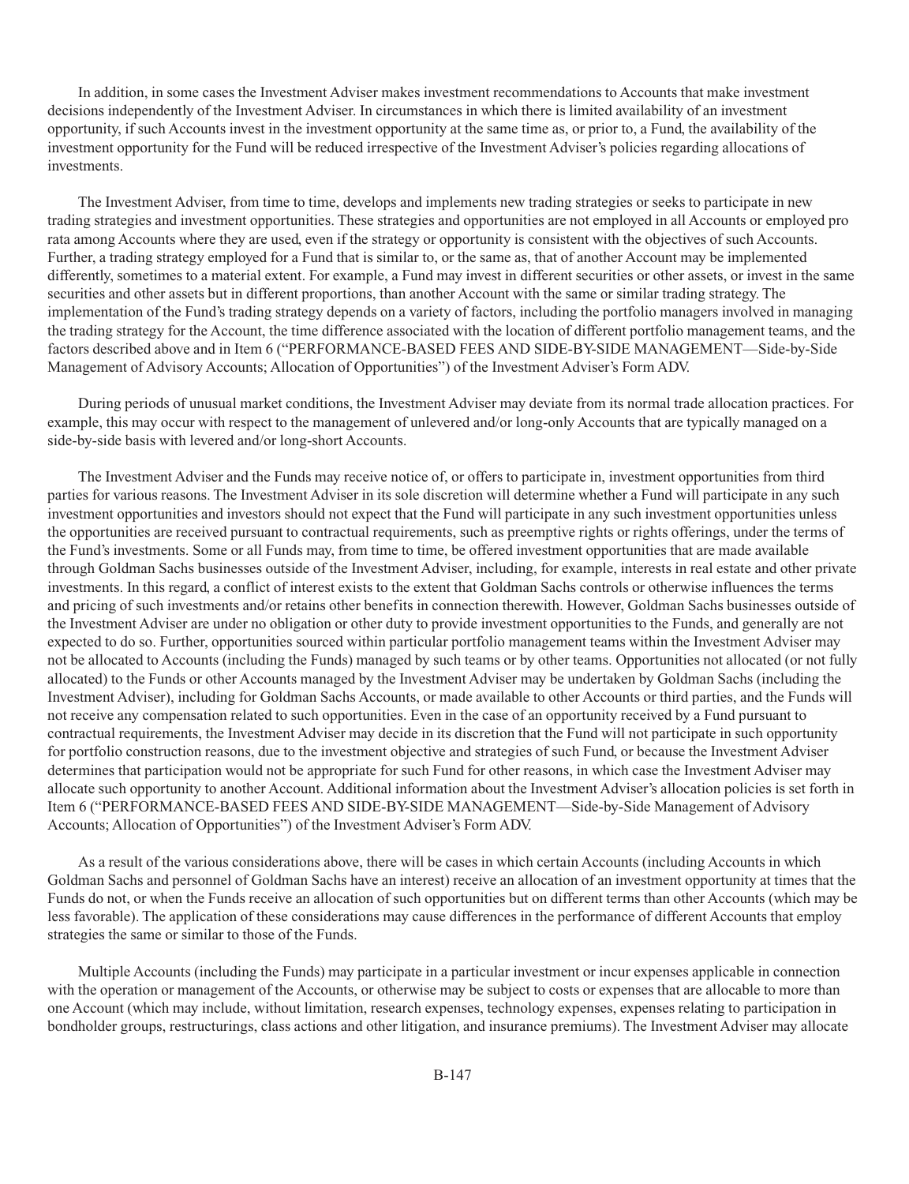In addition, in some cases the Investment Adviser makes investment recommendations to Accounts that make investment decisions independently of the Investment Adviser. In circumstances in which there is limited availability of an investment opportunity, if such Accounts invest in the investment opportunity at the same time as, or prior to, a Fund, the availability of the investment opportunity for the Fund will be reduced irrespective of the Investment Adviser's policies regarding allocations of investments.

The Investment Adviser, from time to time, develops and implements new trading strategies or seeks to participate in new trading strategies and investment opportunities. These strategies and opportunities are not employed in all Accounts or employed pro rata among Accounts where they are used, even if the strategy or opportunity is consistent with the objectives of such Accounts. Further, a trading strategy employed for a Fund that is similar to, or the same as, that of another Account may be implemented differently, sometimes to a material extent. For example, a Fund may invest in different securities or other assets, or invest in the same securities and other assets but in different proportions, than another Account with the same or similar trading strategy. The implementation of the Fund's trading strategy depends on a variety of factors, including the portfolio managers involved in managing the trading strategy for the Account, the time difference associated with the location of different portfolio management teams, and the factors described above and in Item 6 ("PERFORMANCE-BASED FEES AND SIDE-BY-SIDE MANAGEMENT—Side-by-Side Management of Advisory Accounts; Allocation of Opportunities") of the Investment Adviser's Form ADV.

During periods of unusual market conditions, the Investment Adviser may deviate from its normal trade allocation practices. For example, this may occur with respect to the management of unlevered and/or long-only Accounts that are typically managed on a side-by-side basis with levered and/or long-short Accounts.

The Investment Adviser and the Funds may receive notice of, or offers to participate in, investment opportunities from third parties for various reasons. The Investment Adviser in its sole discretion will determine whether a Fund will participate in any such investment opportunities and investors should not expect that the Fund will participate in any such investment opportunities unless the opportunities are received pursuant to contractual requirements, such as preemptive rights or rights offerings, under the terms of the Fund's investments. Some or all Funds may, from time to time, be offered investment opportunities that are made available through Goldman Sachs businesses outside of the Investment Adviser, including, for example, interests in real estate and other private investments. In this regard, a conflict of interest exists to the extent that Goldman Sachs controls or otherwise influences the terms and pricing of such investments and/or retains other benefits in connection therewith. However, Goldman Sachs businesses outside of the Investment Adviser are under no obligation or other duty to provide investment opportunities to the Funds, and generally are not expected to do so. Further, opportunities sourced within particular portfolio management teams within the Investment Adviser may not be allocated to Accounts (including the Funds) managed by such teams or by other teams. Opportunities not allocated (or not fully allocated) to the Funds or other Accounts managed by the Investment Adviser may be undertaken by Goldman Sachs (including the Investment Adviser), including for Goldman Sachs Accounts, or made available to other Accounts or third parties, and the Funds will not receive any compensation related to such opportunities. Even in the case of an opportunity received by a Fund pursuant to contractual requirements, the Investment Adviser may decide in its discretion that the Fund will not participate in such opportunity for portfolio construction reasons, due to the investment objective and strategies of such Fund, or because the Investment Adviser determines that participation would not be appropriate for such Fund for other reasons, in which case the Investment Adviser may allocate such opportunity to another Account. Additional information about the Investment Adviser's allocation policies is set forth in Item 6 ("PERFORMANCE-BASED FEES AND SIDE-BY-SIDE MANAGEMENT—Side-by-Side Management of Advisory Accounts; Allocation of Opportunities") of the Investment Adviser's Form ADV.

As a result of the various considerations above, there will be cases in which certain Accounts (including Accounts in which Goldman Sachs and personnel of Goldman Sachs have an interest) receive an allocation of an investment opportunity at times that the Funds do not, or when the Funds receive an allocation of such opportunities but on different terms than other Accounts (which may be less favorable). The application of these considerations may cause differences in the performance of different Accounts that employ strategies the same or similar to those of the Funds.

Multiple Accounts (including the Funds) may participate in a particular investment or incur expenses applicable in connection with the operation or management of the Accounts, or otherwise may be subject to costs or expenses that are allocable to more than one Account (which may include, without limitation, research expenses, technology expenses, expenses relating to participation in bondholder groups, restructurings, class actions and other litigation, and insurance premiums). The Investment Adviser may allocate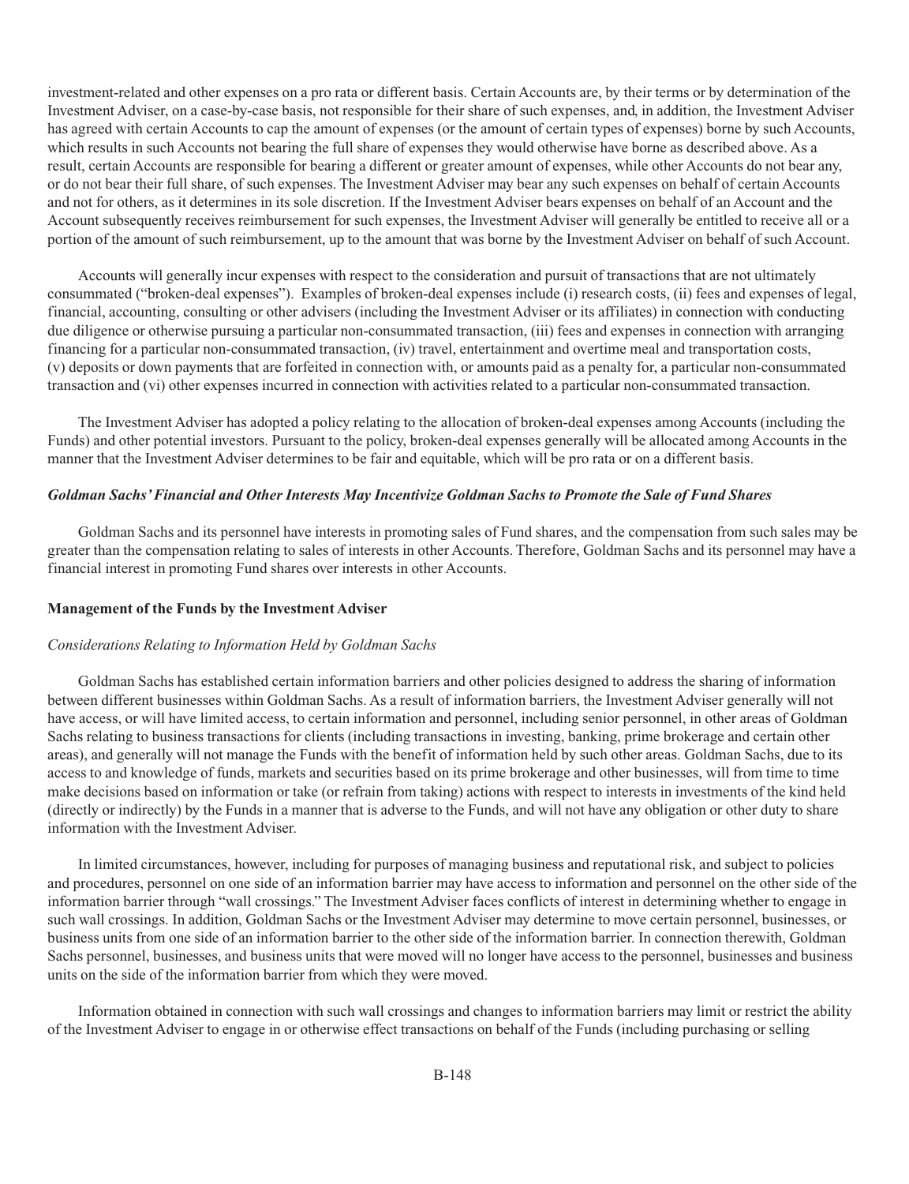investment-related and other expenses on a pro rata or different basis. Certain Accounts are, by their terms or by determination of the Investment Adviser, on a case-by-case basis, not responsible for their share of such expenses, and, in addition, the Investment Adviser has agreed with certain Accounts to cap the amount of expenses (or the amount of certain types of expenses) borne by such Accounts, which results in such Accounts not bearing the full share of expenses they would otherwise have borne as described above. As a result, certain Accounts are responsible for bearing a different or greater amount of expenses, while other Accounts do not bear any, or do not bear their full share, of such expenses. The Investment Adviser may bear any such expenses on behalf of certain Accounts and not for others, as it determines in its sole discretion. If the Investment Adviser bears expenses on behalf of an Account and the Account subsequently receives reimbursement for such expenses, the Investment Adviser will generally be entitled to receive all or a portion of the amount of such reimbursement, up to the amount that was borne by the Investment Adviser on behalf of such Account.

Accounts will generally incur expenses with respect to the consideration and pursuit of transactions that are not ultimately consummated ("broken-deal expenses"). Examples of broken-deal expenses include (i) research costs, (ii) fees and expenses of legal, financial, accounting, consulting or other advisers (including the Investment Adviser or its affiliates) in connection with conducting due diligence or otherwise pursuing a particular non-consummated transaction, (iii) fees and expenses in connection with arranging financing for a particular non-consummated transaction, (iv) travel, entertainment and overtime meal and transportation costs, (v) deposits or down payments that are forfeited in connection with, or amounts paid as a penalty for, a particular non-consummated transaction and (vi) other expenses incurred in connection with activities related to a particular non-consummated transaction.

The Investment Adviser has adopted a policy relating to the allocation of broken-deal expenses among Accounts (including the Funds) and other potential investors. Pursuant to the policy, broken-deal expenses generally will be allocated among Accounts in the manner that the Investment Adviser determines to be fair and equitable, which will be pro rata or on a different basis.

## *Goldman Sachs' Financial and Other Interests May Incentivize Goldman Sachs to Promote the Sale of Fund Shares*

Goldman Sachs and its personnel have interests in promoting sales of Fund shares, and the compensation from such sales may be greater than the compensation relating to sales of interests in other Accounts. Therefore, Goldman Sachs and its personnel may have a financial interest in promoting Fund shares over interests in other Accounts.

#### **Management of the Funds by the Investment Adviser**

#### *Considerations Relating to Information Held by Goldman Sachs*

Goldman Sachs has established certain information barriers and other policies designed to address the sharing of information between different businesses within Goldman Sachs. As a result of information barriers, the Investment Adviser generally will not have access, or will have limited access, to certain information and personnel, including senior personnel, in other areas of Goldman Sachs relating to business transactions for clients (including transactions in investing, banking, prime brokerage and certain other areas), and generally will not manage the Funds with the benefit of information held by such other areas. Goldman Sachs, due to its access to and knowledge of funds, markets and securities based on its prime brokerage and other businesses, will from time to time make decisions based on information or take (or refrain from taking) actions with respect to interests in investments of the kind held (directly or indirectly) by the Funds in a manner that is adverse to the Funds, and will not have any obligation or other duty to share information with the Investment Adviser.

In limited circumstances, however, including for purposes of managing business and reputational risk, and subject to policies and procedures, personnel on one side of an information barrier may have access to information and personnel on the other side of the information barrier through "wall crossings." The Investment Adviser faces conflicts of interest in determining whether to engage in such wall crossings. In addition, Goldman Sachs or the Investment Adviser may determine to move certain personnel, businesses, or business units from one side of an information barrier to the other side of the information barrier. In connection therewith, Goldman Sachs personnel, businesses, and business units that were moved will no longer have access to the personnel, businesses and business units on the side of the information barrier from which they were moved.

Information obtained in connection with such wall crossings and changes to information barriers may limit or restrict the ability of the Investment Adviser to engage in or otherwise effect transactions on behalf of the Funds (including purchasing or selling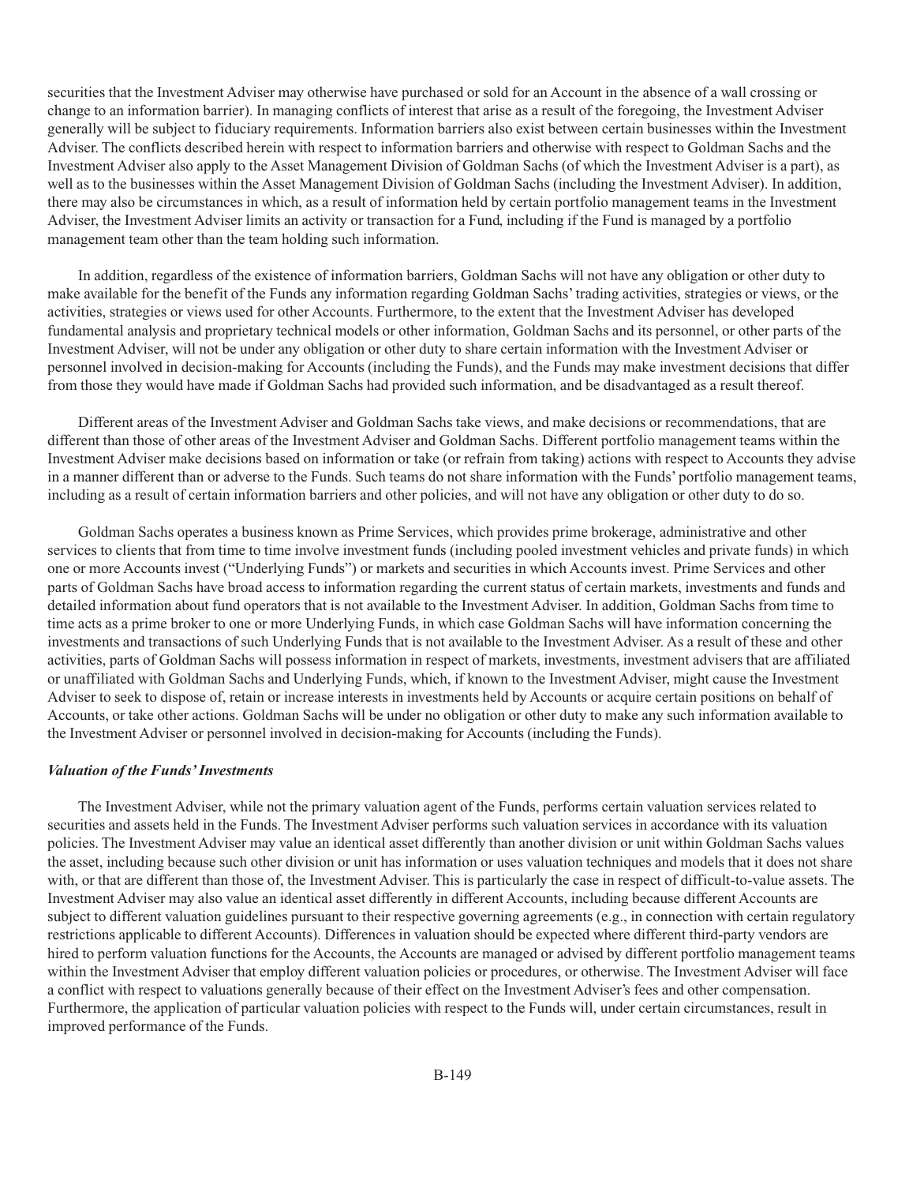securities that the Investment Adviser may otherwise have purchased or sold for an Account in the absence of a wall crossing or change to an information barrier). In managing conflicts of interest that arise as a result of the foregoing, the Investment Adviser generally will be subject to fiduciary requirements. Information barriers also exist between certain businesses within the Investment Adviser. The conflicts described herein with respect to information barriers and otherwise with respect to Goldman Sachs and the Investment Adviser also apply to the Asset Management Division of Goldman Sachs (of which the Investment Adviser is a part), as well as to the businesses within the Asset Management Division of Goldman Sachs (including the Investment Adviser). In addition, there may also be circumstances in which, as a result of information held by certain portfolio management teams in the Investment Adviser, the Investment Adviser limits an activity or transaction for a Fund, including if the Fund is managed by a portfolio management team other than the team holding such information.

In addition, regardless of the existence of information barriers, Goldman Sachs will not have any obligation or other duty to make available for the benefit of the Funds any information regarding Goldman Sachs' trading activities, strategies or views, or the activities, strategies or views used for other Accounts. Furthermore, to the extent that the Investment Adviser has developed fundamental analysis and proprietary technical models or other information, Goldman Sachs and its personnel, or other parts of the Investment Adviser, will not be under any obligation or other duty to share certain information with the Investment Adviser or personnel involved in decision-making for Accounts (including the Funds), and the Funds may make investment decisions that differ from those they would have made if Goldman Sachs had provided such information, and be disadvantaged as a result thereof.

Different areas of the Investment Adviser and Goldman Sachs take views, and make decisions or recommendations, that are different than those of other areas of the Investment Adviser and Goldman Sachs. Different portfolio management teams within the Investment Adviser make decisions based on information or take (or refrain from taking) actions with respect to Accounts they advise in a manner different than or adverse to the Funds. Such teams do not share information with the Funds' portfolio management teams, including as a result of certain information barriers and other policies, and will not have any obligation or other duty to do so.

Goldman Sachs operates a business known as Prime Services, which provides prime brokerage, administrative and other services to clients that from time to time involve investment funds (including pooled investment vehicles and private funds) in which one or more Accounts invest ("Underlying Funds") or markets and securities in which Accounts invest. Prime Services and other parts of Goldman Sachs have broad access to information regarding the current status of certain markets, investments and funds and detailed information about fund operators that is not available to the Investment Adviser. In addition, Goldman Sachs from time to time acts as a prime broker to one or more Underlying Funds, in which case Goldman Sachs will have information concerning the investments and transactions of such Underlying Funds that is not available to the Investment Adviser. As a result of these and other activities, parts of Goldman Sachs will possess information in respect of markets, investments, investment advisers that are affiliated or unaffiliated with Goldman Sachs and Underlying Funds, which, if known to the Investment Adviser, might cause the Investment Adviser to seek to dispose of, retain or increase interests in investments held by Accounts or acquire certain positions on behalf of Accounts, or take other actions. Goldman Sachs will be under no obligation or other duty to make any such information available to the Investment Adviser or personnel involved in decision-making for Accounts (including the Funds).

### *Valuation of the Funds' Investments*

The Investment Adviser, while not the primary valuation agent of the Funds, performs certain valuation services related to securities and assets held in the Funds. The Investment Adviser performs such valuation services in accordance with its valuation policies. The Investment Adviser may value an identical asset differently than another division or unit within Goldman Sachs values the asset, including because such other division or unit has information or uses valuation techniques and models that it does not share with, or that are different than those of, the Investment Adviser. This is particularly the case in respect of difficult-to-value assets. The Investment Adviser may also value an identical asset differently in different Accounts, including because different Accounts are subject to different valuation guidelines pursuant to their respective governing agreements (e.g., in connection with certain regulatory restrictions applicable to different Accounts). Differences in valuation should be expected where different third-party vendors are hired to perform valuation functions for the Accounts, the Accounts are managed or advised by different portfolio management teams within the Investment Adviser that employ different valuation policies or procedures, or otherwise. The Investment Adviser will face a conflict with respect to valuations generally because of their effect on the Investment Adviser's fees and other compensation. Furthermore, the application of particular valuation policies with respect to the Funds will, under certain circumstances, result in improved performance of the Funds.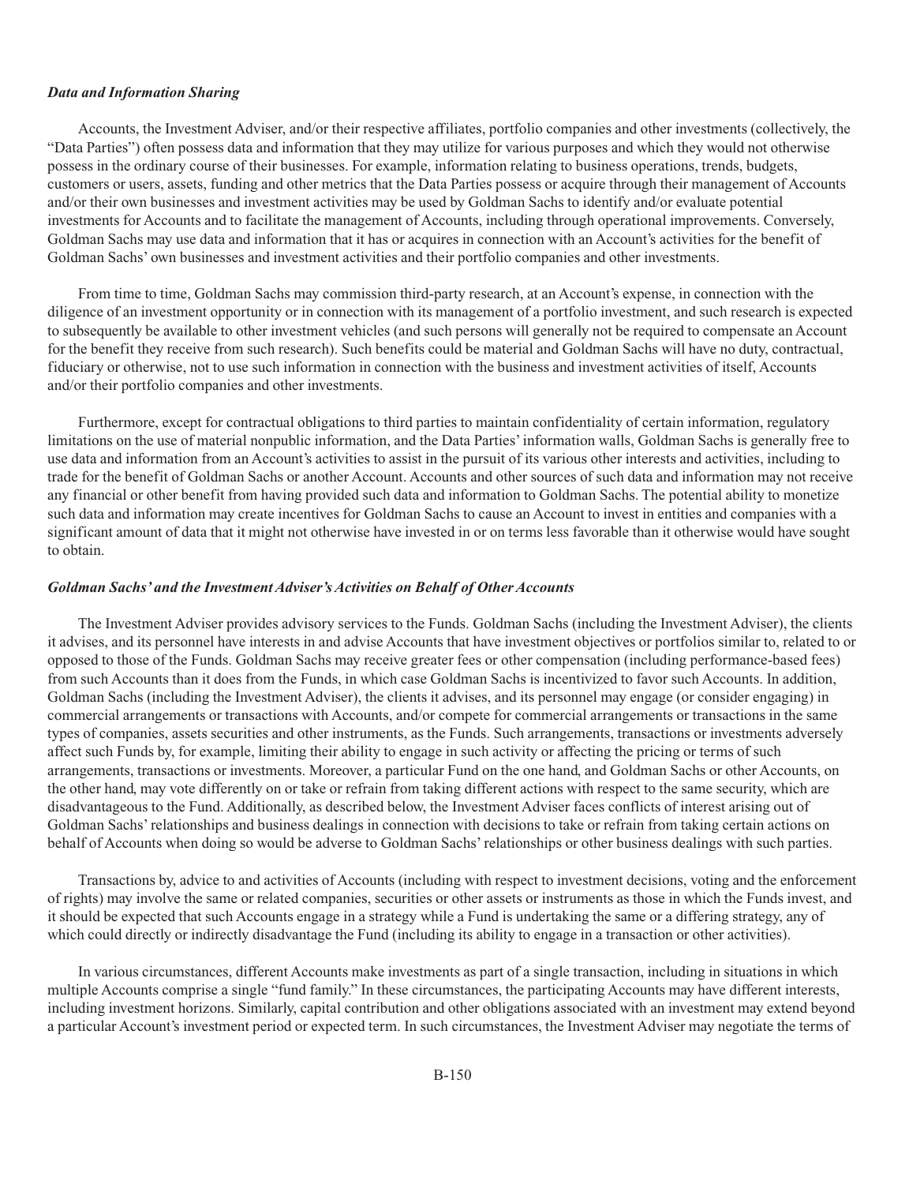### *Data and Information Sharing*

Accounts, the Investment Adviser, and/or their respective affiliates, portfolio companies and other investments (collectively, the "Data Parties") often possess data and information that they may utilize for various purposes and which they would not otherwise possess in the ordinary course of their businesses. For example, information relating to business operations, trends, budgets, customers or users, assets, funding and other metrics that the Data Parties possess or acquire through their management of Accounts and/or their own businesses and investment activities may be used by Goldman Sachs to identify and/or evaluate potential investments for Accounts and to facilitate the management of Accounts, including through operational improvements. Conversely, Goldman Sachs may use data and information that it has or acquires in connection with an Account's activities for the benefit of Goldman Sachs' own businesses and investment activities and their portfolio companies and other investments.

From time to time, Goldman Sachs may commission third-party research, at an Account's expense, in connection with the diligence of an investment opportunity or in connection with its management of a portfolio investment, and such research is expected to subsequently be available to other investment vehicles (and such persons will generally not be required to compensate an Account for the benefit they receive from such research). Such benefits could be material and Goldman Sachs will have no duty, contractual, fiduciary or otherwise, not to use such information in connection with the business and investment activities of itself, Accounts and/or their portfolio companies and other investments.

Furthermore, except for contractual obligations to third parties to maintain confidentiality of certain information, regulatory limitations on the use of material nonpublic information, and the Data Parties' information walls, Goldman Sachs is generally free to use data and information from an Account's activities to assist in the pursuit of its various other interests and activities, including to trade for the benefit of Goldman Sachs or another Account. Accounts and other sources of such data and information may not receive any financial or other benefit from having provided such data and information to Goldman Sachs. The potential ability to monetize such data and information may create incentives for Goldman Sachs to cause an Account to invest in entities and companies with a significant amount of data that it might not otherwise have invested in or on terms less favorable than it otherwise would have sought to obtain.

### *Goldman Sachs' and the Investment Adviser's Activities on Behalf of Other Accounts*

The Investment Adviser provides advisory services to the Funds. Goldman Sachs (including the Investment Adviser), the clients it advises, and its personnel have interests in and advise Accounts that have investment objectives or portfolios similar to, related to or opposed to those of the Funds. Goldman Sachs may receive greater fees or other compensation (including performance-based fees) from such Accounts than it does from the Funds, in which case Goldman Sachs is incentivized to favor such Accounts. In addition, Goldman Sachs (including the Investment Adviser), the clients it advises, and its personnel may engage (or consider engaging) in commercial arrangements or transactions with Accounts, and/or compete for commercial arrangements or transactions in the same types of companies, assets securities and other instruments, as the Funds. Such arrangements, transactions or investments adversely affect such Funds by, for example, limiting their ability to engage in such activity or affecting the pricing or terms of such arrangements, transactions or investments. Moreover, a particular Fund on the one hand, and Goldman Sachs or other Accounts, on the other hand, may vote differently on or take or refrain from taking different actions with respect to the same security, which are disadvantageous to the Fund. Additionally, as described below, the Investment Adviser faces conflicts of interest arising out of Goldman Sachs' relationships and business dealings in connection with decisions to take or refrain from taking certain actions on behalf of Accounts when doing so would be adverse to Goldman Sachs' relationships or other business dealings with such parties.

Transactions by, advice to and activities of Accounts (including with respect to investment decisions, voting and the enforcement of rights) may involve the same or related companies, securities or other assets or instruments as those in which the Funds invest, and it should be expected that such Accounts engage in a strategy while a Fund is undertaking the same or a differing strategy, any of which could directly or indirectly disadvantage the Fund (including its ability to engage in a transaction or other activities).

In various circumstances, different Accounts make investments as part of a single transaction, including in situations in which multiple Accounts comprise a single "fund family." In these circumstances, the participating Accounts may have different interests, including investment horizons. Similarly, capital contribution and other obligations associated with an investment may extend beyond a particular Account's investment period or expected term. In such circumstances, the Investment Adviser may negotiate the terms of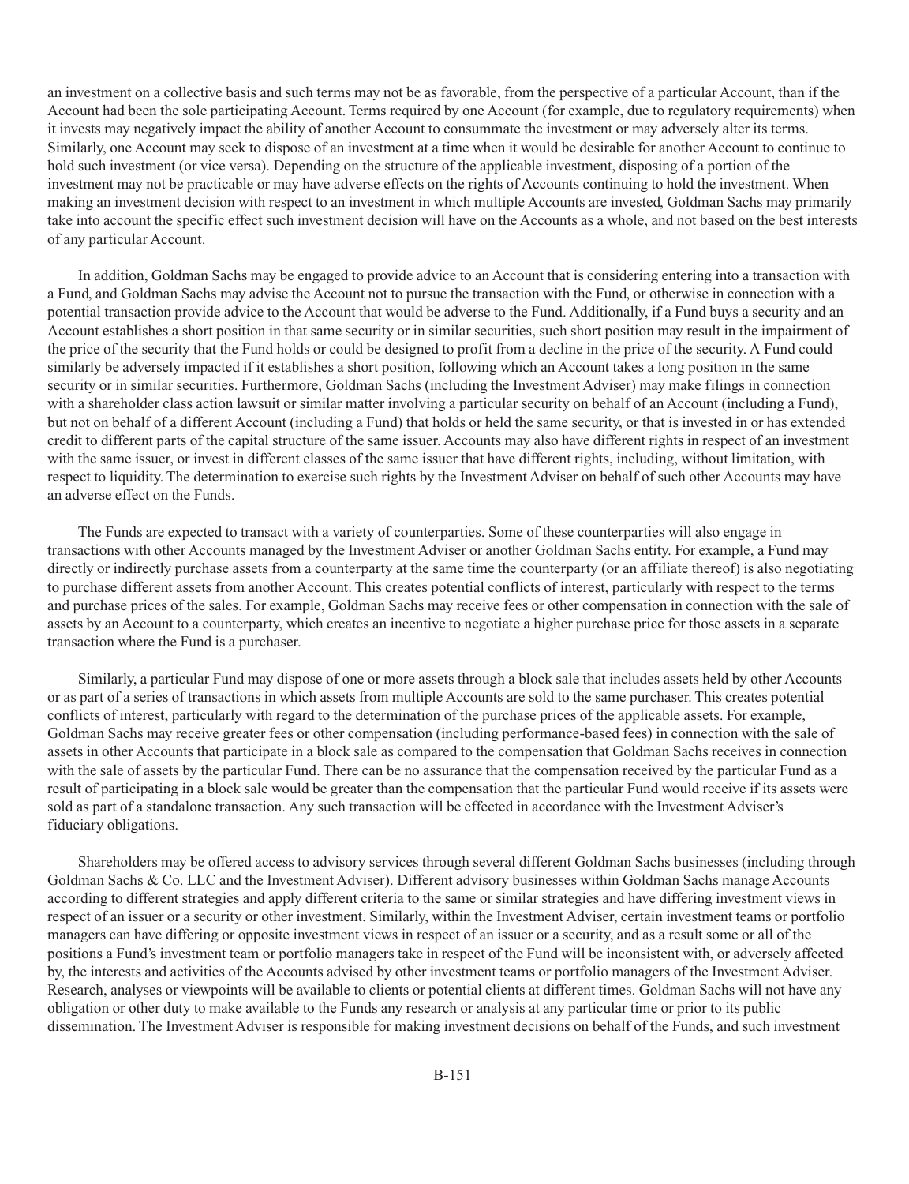an investment on a collective basis and such terms may not be as favorable, from the perspective of a particular Account, than if the Account had been the sole participating Account. Terms required by one Account (for example, due to regulatory requirements) when it invests may negatively impact the ability of another Account to consummate the investment or may adversely alter its terms. Similarly, one Account may seek to dispose of an investment at a time when it would be desirable for another Account to continue to hold such investment (or vice versa). Depending on the structure of the applicable investment, disposing of a portion of the investment may not be practicable or may have adverse effects on the rights of Accounts continuing to hold the investment. When making an investment decision with respect to an investment in which multiple Accounts are invested, Goldman Sachs may primarily take into account the specific effect such investment decision will have on the Accounts as a whole, and not based on the best interests of any particular Account.

In addition, Goldman Sachs may be engaged to provide advice to an Account that is considering entering into a transaction with a Fund, and Goldman Sachs may advise the Account not to pursue the transaction with the Fund, or otherwise in connection with a potential transaction provide advice to the Account that would be adverse to the Fund. Additionally, if a Fund buys a security and an Account establishes a short position in that same security or in similar securities, such short position may result in the impairment of the price of the security that the Fund holds or could be designed to profit from a decline in the price of the security. A Fund could similarly be adversely impacted if it establishes a short position, following which an Account takes a long position in the same security or in similar securities. Furthermore, Goldman Sachs (including the Investment Adviser) may make filings in connection with a shareholder class action lawsuit or similar matter involving a particular security on behalf of an Account (including a Fund), but not on behalf of a different Account (including a Fund) that holds or held the same security, or that is invested in or has extended credit to different parts of the capital structure of the same issuer. Accounts may also have different rights in respect of an investment with the same issuer, or invest in different classes of the same issuer that have different rights, including, without limitation, with respect to liquidity. The determination to exercise such rights by the Investment Adviser on behalf of such other Accounts may have an adverse effect on the Funds.

The Funds are expected to transact with a variety of counterparties. Some of these counterparties will also engage in transactions with other Accounts managed by the Investment Adviser or another Goldman Sachs entity. For example, a Fund may directly or indirectly purchase assets from a counterparty at the same time the counterparty (or an affiliate thereof) is also negotiating to purchase different assets from another Account. This creates potential conflicts of interest, particularly with respect to the terms and purchase prices of the sales. For example, Goldman Sachs may receive fees or other compensation in connection with the sale of assets by an Account to a counterparty, which creates an incentive to negotiate a higher purchase price for those assets in a separate transaction where the Fund is a purchaser.

Similarly, a particular Fund may dispose of one or more assets through a block sale that includes assets held by other Accounts or as part of a series of transactions in which assets from multiple Accounts are sold to the same purchaser. This creates potential conflicts of interest, particularly with regard to the determination of the purchase prices of the applicable assets. For example, Goldman Sachs may receive greater fees or other compensation (including performance-based fees) in connection with the sale of assets in other Accounts that participate in a block sale as compared to the compensation that Goldman Sachs receives in connection with the sale of assets by the particular Fund. There can be no assurance that the compensation received by the particular Fund as a result of participating in a block sale would be greater than the compensation that the particular Fund would receive if its assets were sold as part of a standalone transaction. Any such transaction will be effected in accordance with the Investment Adviser's fiduciary obligations.

Shareholders may be offered access to advisory services through several different Goldman Sachs businesses (including through Goldman Sachs & Co. LLC and the Investment Adviser). Different advisory businesses within Goldman Sachs manage Accounts according to different strategies and apply different criteria to the same or similar strategies and have differing investment views in respect of an issuer or a security or other investment. Similarly, within the Investment Adviser, certain investment teams or portfolio managers can have differing or opposite investment views in respect of an issuer or a security, and as a result some or all of the positions a Fund's investment team or portfolio managers take in respect of the Fund will be inconsistent with, or adversely affected by, the interests and activities of the Accounts advised by other investment teams or portfolio managers of the Investment Adviser. Research, analyses or viewpoints will be available to clients or potential clients at different times. Goldman Sachs will not have any obligation or other duty to make available to the Funds any research or analysis at any particular time or prior to its public dissemination. The Investment Adviser is responsible for making investment decisions on behalf of the Funds, and such investment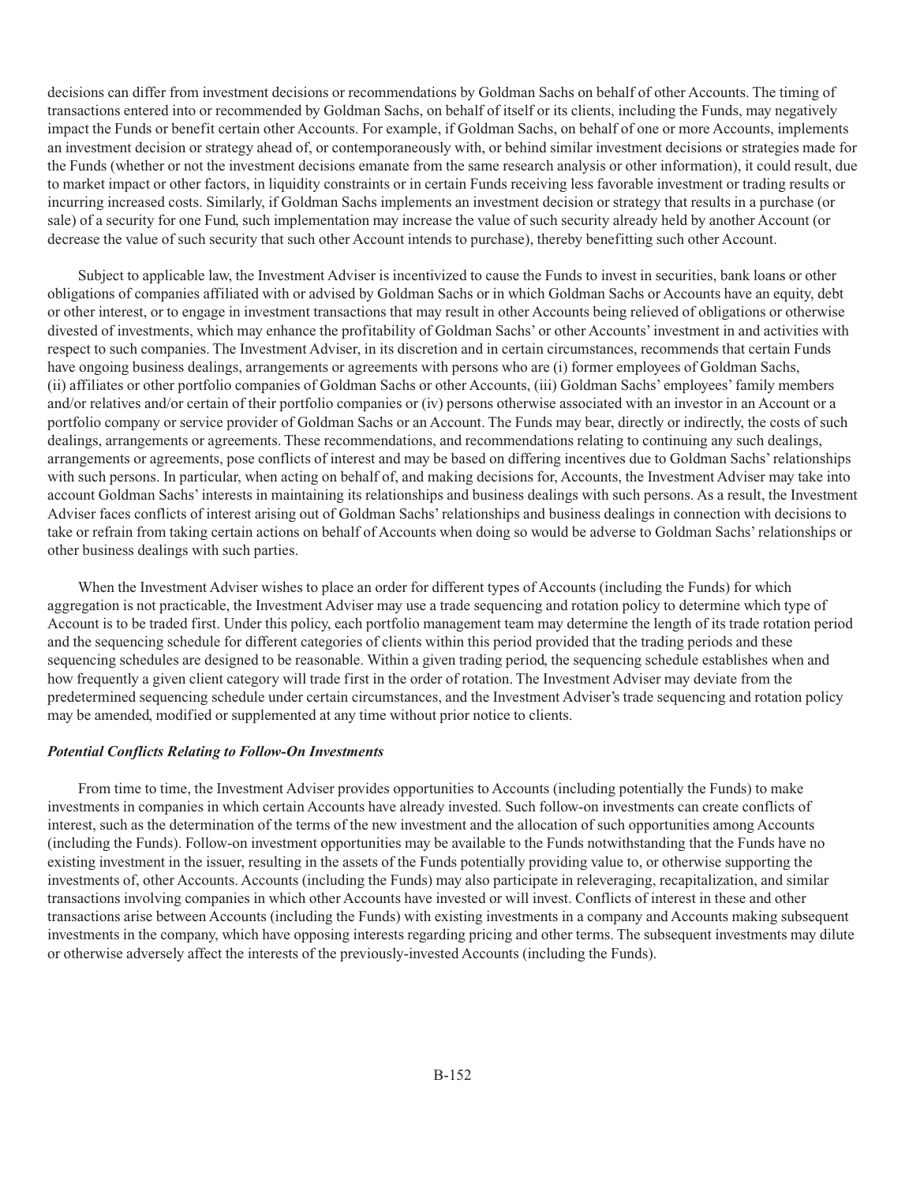decisions can differ from investment decisions or recommendations by Goldman Sachs on behalf of other Accounts. The timing of transactions entered into or recommended by Goldman Sachs, on behalf of itself or its clients, including the Funds, may negatively impact the Funds or benefit certain other Accounts. For example, if Goldman Sachs, on behalf of one or more Accounts, implements an investment decision or strategy ahead of, or contemporaneously with, or behind similar investment decisions or strategies made for the Funds (whether or not the investment decisions emanate from the same research analysis or other information), it could result, due to market impact or other factors, in liquidity constraints or in certain Funds receiving less favorable investment or trading results or incurring increased costs. Similarly, if Goldman Sachs implements an investment decision or strategy that results in a purchase (or sale) of a security for one Fund, such implementation may increase the value of such security already held by another Account (or decrease the value of such security that such other Account intends to purchase), thereby benefitting such other Account.

Subject to applicable law, the Investment Adviser is incentivized to cause the Funds to invest in securities, bank loans or other obligations of companies affiliated with or advised by Goldman Sachs or in which Goldman Sachs or Accounts have an equity, debt or other interest, or to engage in investment transactions that may result in other Accounts being relieved of obligations or otherwise divested of investments, which may enhance the profitability of Goldman Sachs' or other Accounts' investment in and activities with respect to such companies. The Investment Adviser, in its discretion and in certain circumstances, recommends that certain Funds have ongoing business dealings, arrangements or agreements with persons who are (i) former employees of Goldman Sachs, (ii) affiliates or other portfolio companies of Goldman Sachs or other Accounts, (iii) Goldman Sachs' employees' family members and/or relatives and/or certain of their portfolio companies or (iv) persons otherwise associated with an investor in an Account or a portfolio company or service provider of Goldman Sachs or an Account. The Funds may bear, directly or indirectly, the costs of such dealings, arrangements or agreements. These recommendations, and recommendations relating to continuing any such dealings, arrangements or agreements, pose conflicts of interest and may be based on differing incentives due to Goldman Sachs' relationships with such persons. In particular, when acting on behalf of, and making decisions for, Accounts, the Investment Adviser may take into account Goldman Sachs' interests in maintaining its relationships and business dealings with such persons. As a result, the Investment Adviser faces conflicts of interest arising out of Goldman Sachs' relationships and business dealings in connection with decisions to take or refrain from taking certain actions on behalf of Accounts when doing so would be adverse to Goldman Sachs' relationships or other business dealings with such parties.

When the Investment Adviser wishes to place an order for different types of Accounts (including the Funds) for which aggregation is not practicable, the Investment Adviser may use a trade sequencing and rotation policy to determine which type of Account is to be traded first. Under this policy, each portfolio management team may determine the length of its trade rotation period and the sequencing schedule for different categories of clients within this period provided that the trading periods and these sequencing schedules are designed to be reasonable. Within a given trading period, the sequencing schedule establishes when and how frequently a given client category will trade first in the order of rotation. The Investment Adviser may deviate from the predetermined sequencing schedule under certain circumstances, and the Investment Adviser's trade sequencing and rotation policy may be amended, modified or supplemented at any time without prior notice to clients.

## *Potential Conflicts Relating to Follow-On Investments*

From time to time, the Investment Adviser provides opportunities to Accounts (including potentially the Funds) to make investments in companies in which certain Accounts have already invested. Such follow-on investments can create conflicts of interest, such as the determination of the terms of the new investment and the allocation of such opportunities among Accounts (including the Funds). Follow-on investment opportunities may be available to the Funds notwithstanding that the Funds have no existing investment in the issuer, resulting in the assets of the Funds potentially providing value to, or otherwise supporting the investments of, other Accounts. Accounts (including the Funds) may also participate in releveraging, recapitalization, and similar transactions involving companies in which other Accounts have invested or will invest. Conflicts of interest in these and other transactions arise between Accounts (including the Funds) with existing investments in a company and Accounts making subsequent investments in the company, which have opposing interests regarding pricing and other terms. The subsequent investments may dilute or otherwise adversely affect the interests of the previously-invested Accounts (including the Funds).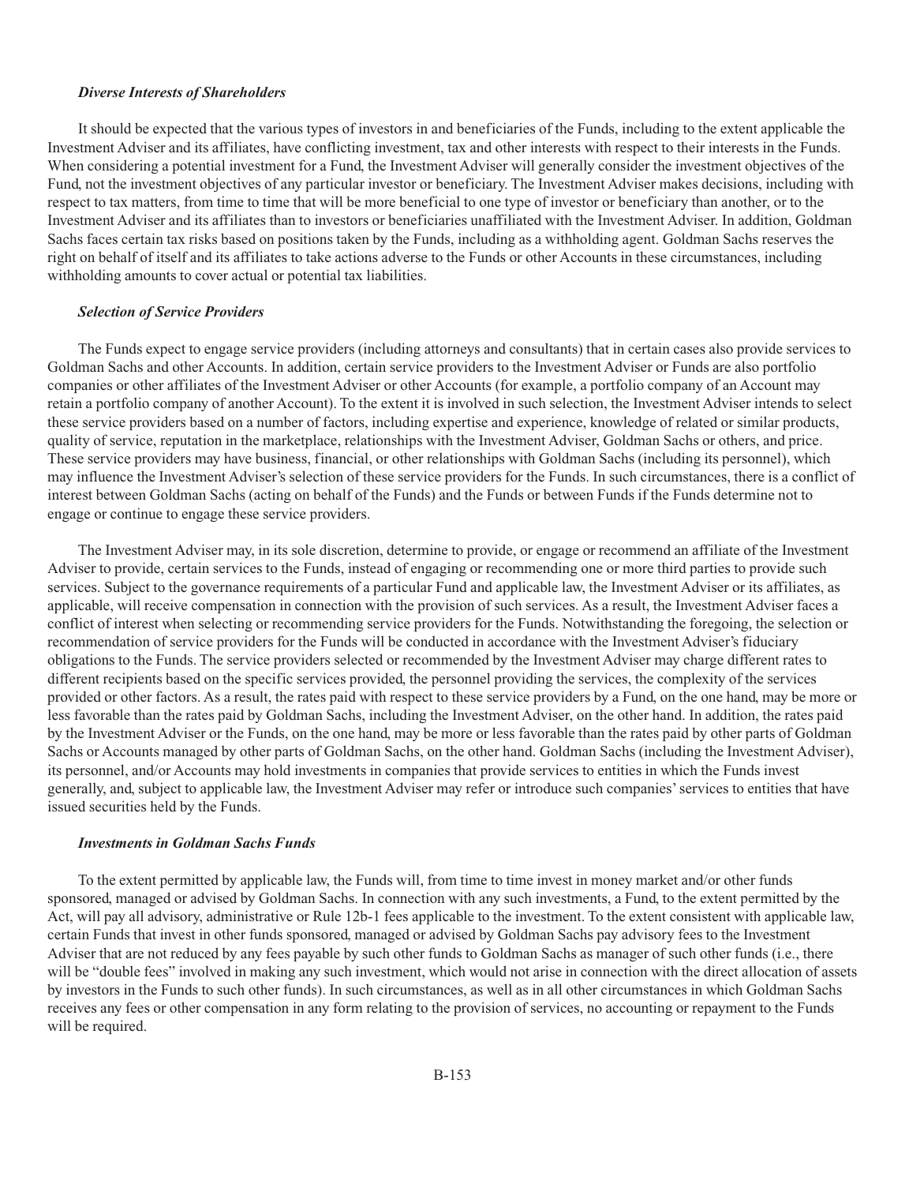### *Diverse Interests of Shareholders*

It should be expected that the various types of investors in and beneficiaries of the Funds, including to the extent applicable the Investment Adviser and its affiliates, have conflicting investment, tax and other interests with respect to their interests in the Funds. When considering a potential investment for a Fund, the Investment Adviser will generally consider the investment objectives of the Fund, not the investment objectives of any particular investor or beneficiary. The Investment Adviser makes decisions, including with respect to tax matters, from time to time that will be more beneficial to one type of investor or beneficiary than another, or to the Investment Adviser and its affiliates than to investors or beneficiaries unaffiliated with the Investment Adviser. In addition, Goldman Sachs faces certain tax risks based on positions taken by the Funds, including as a withholding agent. Goldman Sachs reserves the right on behalf of itself and its affiliates to take actions adverse to the Funds or other Accounts in these circumstances, including withholding amounts to cover actual or potential tax liabilities.

#### *Selection of Service Providers*

The Funds expect to engage service providers (including attorneys and consultants) that in certain cases also provide services to Goldman Sachs and other Accounts. In addition, certain service providers to the Investment Adviser or Funds are also portfolio companies or other affiliates of the Investment Adviser or other Accounts (for example, a portfolio company of an Account may retain a portfolio company of another Account). To the extent it is involved in such selection, the Investment Adviser intends to select these service providers based on a number of factors, including expertise and experience, knowledge of related or similar products, quality of service, reputation in the marketplace, relationships with the Investment Adviser, Goldman Sachs or others, and price. These service providers may have business, financial, or other relationships with Goldman Sachs (including its personnel), which may influence the Investment Adviser's selection of these service providers for the Funds. In such circumstances, there is a conflict of interest between Goldman Sachs (acting on behalf of the Funds) and the Funds or between Funds if the Funds determine not to engage or continue to engage these service providers.

The Investment Adviser may, in its sole discretion, determine to provide, or engage or recommend an affiliate of the Investment Adviser to provide, certain services to the Funds, instead of engaging or recommending one or more third parties to provide such services. Subject to the governance requirements of a particular Fund and applicable law, the Investment Adviser or its affiliates, as applicable, will receive compensation in connection with the provision of such services. As a result, the Investment Adviser faces a conflict of interest when selecting or recommending service providers for the Funds. Notwithstanding the foregoing, the selection or recommendation of service providers for the Funds will be conducted in accordance with the Investment Adviser's fiduciary obligations to the Funds. The service providers selected or recommended by the Investment Adviser may charge different rates to different recipients based on the specific services provided, the personnel providing the services, the complexity of the services provided or other factors. As a result, the rates paid with respect to these service providers by a Fund, on the one hand, may be more or less favorable than the rates paid by Goldman Sachs, including the Investment Adviser, on the other hand. In addition, the rates paid by the Investment Adviser or the Funds, on the one hand, may be more or less favorable than the rates paid by other parts of Goldman Sachs or Accounts managed by other parts of Goldman Sachs, on the other hand. Goldman Sachs (including the Investment Adviser), its personnel, and/or Accounts may hold investments in companies that provide services to entities in which the Funds invest generally, and, subject to applicable law, the Investment Adviser may refer or introduce such companies' services to entities that have issued securities held by the Funds.

#### *Investments in Goldman Sachs Funds*

To the extent permitted by applicable law, the Funds will, from time to time invest in money market and/or other funds sponsored, managed or advised by Goldman Sachs. In connection with any such investments, a Fund, to the extent permitted by the Act, will pay all advisory, administrative or Rule 12b-1 fees applicable to the investment. To the extent consistent with applicable law, certain Funds that invest in other funds sponsored, managed or advised by Goldman Sachs pay advisory fees to the Investment Adviser that are not reduced by any fees payable by such other funds to Goldman Sachs as manager of such other funds (i.e., there will be "double fees" involved in making any such investment, which would not arise in connection with the direct allocation of assets by investors in the Funds to such other funds). In such circumstances, as well as in all other circumstances in which Goldman Sachs receives any fees or other compensation in any form relating to the provision of services, no accounting or repayment to the Funds will be required.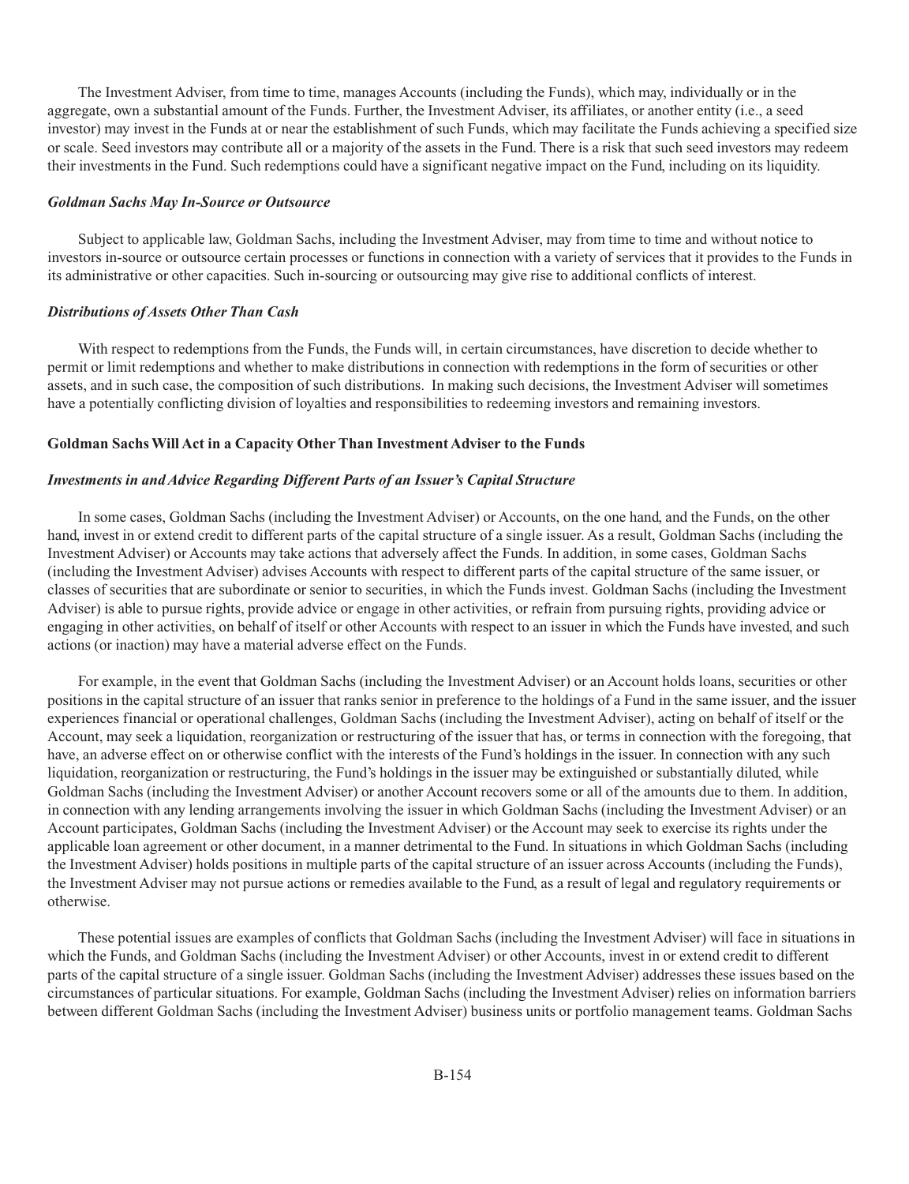The Investment Adviser, from time to time, manages Accounts (including the Funds), which may, individually or in the aggregate, own a substantial amount of the Funds. Further, the Investment Adviser, its affiliates, or another entity (i.e., a seed investor) may invest in the Funds at or near the establishment of such Funds, which may facilitate the Funds achieving a specified size or scale. Seed investors may contribute all or a majority of the assets in the Fund. There is a risk that such seed investors may redeem their investments in the Fund. Such redemptions could have a significant negative impact on the Fund, including on its liquidity.

#### *Goldman Sachs May In-Source or Outsource*

Subject to applicable law, Goldman Sachs, including the Investment Adviser, may from time to time and without notice to investors in-source or outsource certain processes or functions in connection with a variety of services that it provides to the Funds in its administrative or other capacities. Such in-sourcing or outsourcing may give rise to additional conflicts of interest.

#### *Distributions of Assets Other Than Cash*

With respect to redemptions from the Funds, the Funds will, in certain circumstances, have discretion to decide whether to permit or limit redemptions and whether to make distributions in connection with redemptions in the form of securities or other assets, and in such case, the composition of such distributions. In making such decisions, the Investment Adviser will sometimes have a potentially conflicting division of loyalties and responsibilities to redeeming investors and remaining investors.

### **Goldman SachsWill Act in a Capacity Other Than Investment Adviser to the Funds**

### *Investments in and Advice Regarding Different Parts of an Issuer's Capital Structure*

In some cases, Goldman Sachs (including the Investment Adviser) or Accounts, on the one hand, and the Funds, on the other hand, invest in or extend credit to different parts of the capital structure of a single issuer. As a result, Goldman Sachs (including the Investment Adviser) or Accounts may take actions that adversely affect the Funds. In addition, in some cases, Goldman Sachs (including the Investment Adviser) advises Accounts with respect to different parts of the capital structure of the same issuer, or classes of securities that are subordinate or senior to securities, in which the Funds invest. Goldman Sachs (including the Investment Adviser) is able to pursue rights, provide advice or engage in other activities, or refrain from pursuing rights, providing advice or engaging in other activities, on behalf of itself or other Accounts with respect to an issuer in which the Funds have invested, and such actions (or inaction) may have a material adverse effect on the Funds.

For example, in the event that Goldman Sachs (including the Investment Adviser) or an Account holds loans, securities or other positions in the capital structure of an issuer that ranks senior in preference to the holdings of a Fund in the same issuer, and the issuer experiences financial or operational challenges, Goldman Sachs (including the Investment Adviser), acting on behalf of itself or the Account, may seek a liquidation, reorganization or restructuring of the issuer that has, or terms in connection with the foregoing, that have, an adverse effect on or otherwise conflict with the interests of the Fund's holdings in the issuer. In connection with any such liquidation, reorganization or restructuring, the Fund's holdings in the issuer may be extinguished or substantially diluted, while Goldman Sachs (including the Investment Adviser) or another Account recovers some or all of the amounts due to them. In addition, in connection with any lending arrangements involving the issuer in which Goldman Sachs (including the Investment Adviser) or an Account participates, Goldman Sachs (including the Investment Adviser) or the Account may seek to exercise its rights under the applicable loan agreement or other document, in a manner detrimental to the Fund. In situations in which Goldman Sachs (including the Investment Adviser) holds positions in multiple parts of the capital structure of an issuer across Accounts (including the Funds), the Investment Adviser may not pursue actions or remedies available to the Fund, as a result of legal and regulatory requirements or otherwise.

These potential issues are examples of conflicts that Goldman Sachs (including the Investment Adviser) will face in situations in which the Funds, and Goldman Sachs (including the Investment Adviser) or other Accounts, invest in or extend credit to different parts of the capital structure of a single issuer. Goldman Sachs (including the Investment Adviser) addresses these issues based on the circumstances of particular situations. For example, Goldman Sachs (including the Investment Adviser) relies on information barriers between different Goldman Sachs (including the Investment Adviser) business units or portfolio management teams. Goldman Sachs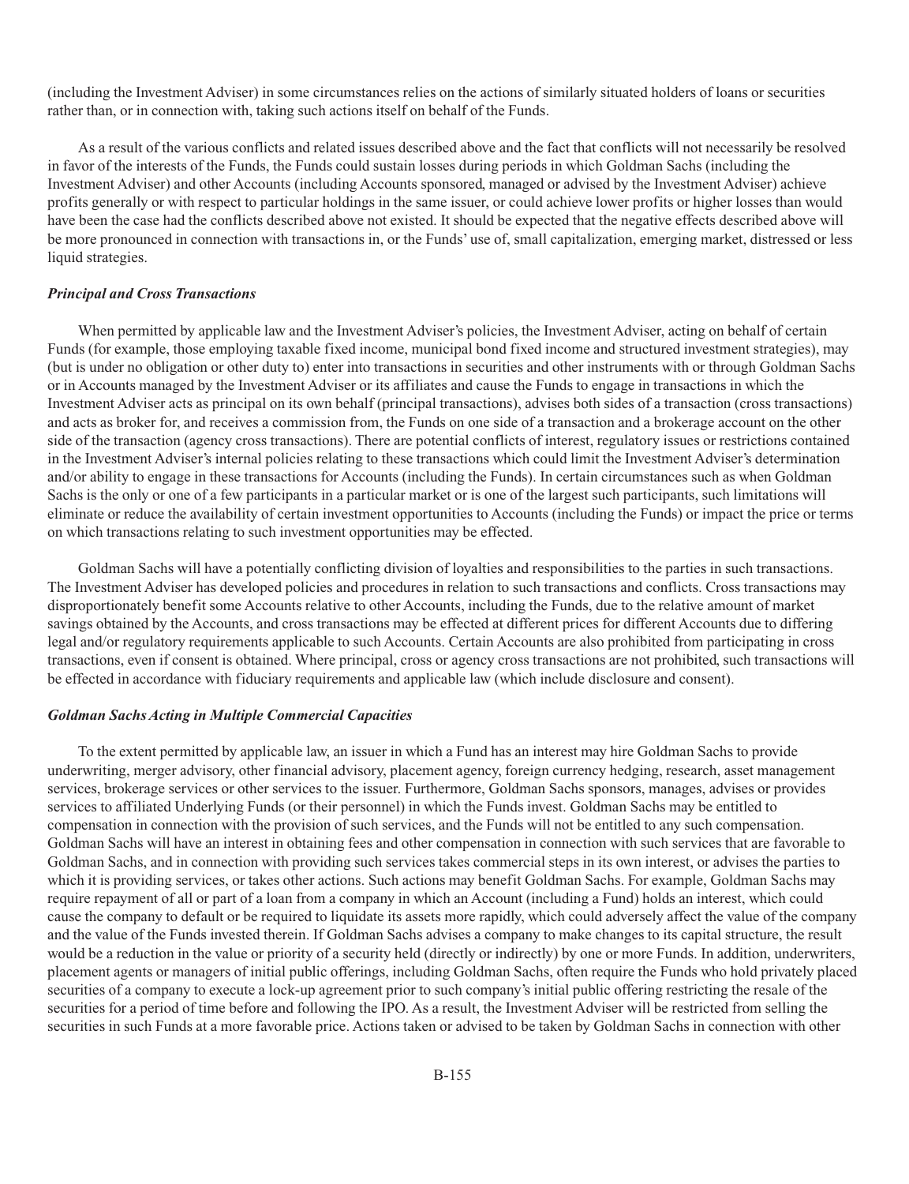(including the Investment Adviser) in some circumstances relies on the actions of similarly situated holders of loans or securities rather than, or in connection with, taking such actions itself on behalf of the Funds.

As a result of the various conflicts and related issues described above and the fact that conflicts will not necessarily be resolved in favor of the interests of the Funds, the Funds could sustain losses during periods in which Goldman Sachs (including the Investment Adviser) and other Accounts (including Accounts sponsored, managed or advised by the Investment Adviser) achieve profits generally or with respect to particular holdings in the same issuer, or could achieve lower profits or higher losses than would have been the case had the conflicts described above not existed. It should be expected that the negative effects described above will be more pronounced in connection with transactions in, or the Funds' use of, small capitalization, emerging market, distressed or less liquid strategies.

## *Principal and Cross Transactions*

When permitted by applicable law and the Investment Adviser's policies, the Investment Adviser, acting on behalf of certain Funds (for example, those employing taxable fixed income, municipal bond fixed income and structured investment strategies), may (but is under no obligation or other duty to) enter into transactions in securities and other instruments with or through Goldman Sachs or in Accounts managed by the Investment Adviser or its affiliates and cause the Funds to engage in transactions in which the Investment Adviser acts as principal on its own behalf (principal transactions), advises both sides of a transaction (cross transactions) and acts as broker for, and receives a commission from, the Funds on one side of a transaction and a brokerage account on the other side of the transaction (agency cross transactions). There are potential conflicts of interest, regulatory issues or restrictions contained in the Investment Adviser's internal policies relating to these transactions which could limit the Investment Adviser's determination and/or ability to engage in these transactions for Accounts (including the Funds). In certain circumstances such as when Goldman Sachs is the only or one of a few participants in a particular market or is one of the largest such participants, such limitations will eliminate or reduce the availability of certain investment opportunities to Accounts (including the Funds) or impact the price or terms on which transactions relating to such investment opportunities may be effected.

Goldman Sachs will have a potentially conflicting division of loyalties and responsibilities to the parties in such transactions. The Investment Adviser has developed policies and procedures in relation to such transactions and conflicts. Cross transactions may disproportionately benefit some Accounts relative to other Accounts, including the Funds, due to the relative amount of market savings obtained by the Accounts, and cross transactions may be effected at different prices for different Accounts due to differing legal and/or regulatory requirements applicable to such Accounts. Certain Accounts are also prohibited from participating in cross transactions, even if consent is obtained. Where principal, cross or agency cross transactions are not prohibited, such transactions will be effected in accordance with fiduciary requirements and applicable law (which include disclosure and consent).

### *Goldman Sachs Acting in Multiple Commercial Capacities*

To the extent permitted by applicable law, an issuer in which a Fund has an interest may hire Goldman Sachs to provide underwriting, merger advisory, other financial advisory, placement agency, foreign currency hedging, research, asset management services, brokerage services or other services to the issuer. Furthermore, Goldman Sachs sponsors, manages, advises or provides services to affiliated Underlying Funds (or their personnel) in which the Funds invest. Goldman Sachs may be entitled to compensation in connection with the provision of such services, and the Funds will not be entitled to any such compensation. Goldman Sachs will have an interest in obtaining fees and other compensation in connection with such services that are favorable to Goldman Sachs, and in connection with providing such services takes commercial steps in its own interest, or advises the parties to which it is providing services, or takes other actions. Such actions may benefit Goldman Sachs. For example, Goldman Sachs may require repayment of all or part of a loan from a company in which an Account (including a Fund) holds an interest, which could cause the company to default or be required to liquidate its assets more rapidly, which could adversely affect the value of the company and the value of the Funds invested therein. If Goldman Sachs advises a company to make changes to its capital structure, the result would be a reduction in the value or priority of a security held (directly or indirectly) by one or more Funds. In addition, underwriters, placement agents or managers of initial public offerings, including Goldman Sachs, often require the Funds who hold privately placed securities of a company to execute a lock-up agreement prior to such company's initial public offering restricting the resale of the securities for a period of time before and following the IPO. As a result, the Investment Adviser will be restricted from selling the securities in such Funds at a more favorable price. Actions taken or advised to be taken by Goldman Sachs in connection with other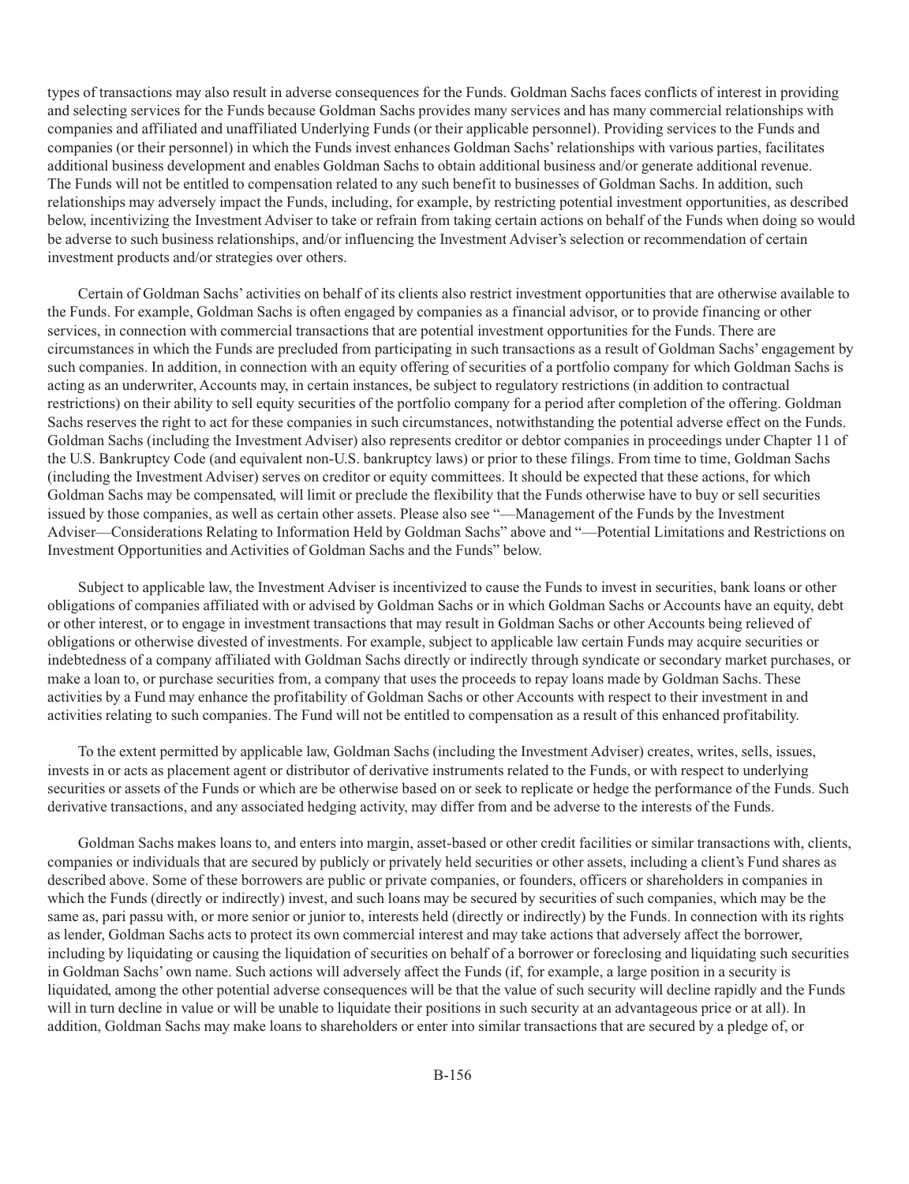types of transactions may also result in adverse consequences for the Funds. Goldman Sachs faces conflicts of interest in providing and selecting services for the Funds because Goldman Sachs provides many services and has many commercial relationships with companies and affiliated and unaffiliated Underlying Funds (or their applicable personnel). Providing services to the Funds and companies (or their personnel) in which the Funds invest enhances Goldman Sachs' relationships with various parties, facilitates additional business development and enables Goldman Sachs to obtain additional business and/or generate additional revenue. The Funds will not be entitled to compensation related to any such benefit to businesses of Goldman Sachs. In addition, such relationships may adversely impact the Funds, including, for example, by restricting potential investment opportunities, as described below, incentivizing the Investment Adviser to take or refrain from taking certain actions on behalf of the Funds when doing so would be adverse to such business relationships, and/or influencing the Investment Adviser's selection or recommendation of certain investment products and/or strategies over others.

Certain of Goldman Sachs' activities on behalf of its clients also restrict investment opportunities that are otherwise available to the Funds. For example, Goldman Sachs is often engaged by companies as a financial advisor, or to provide financing or other services, in connection with commercial transactions that are potential investment opportunities for the Funds. There are circumstances in which the Funds are precluded from participating in such transactions as a result of Goldman Sachs' engagement by such companies. In addition, in connection with an equity offering of securities of a portfolio company for which Goldman Sachs is acting as an underwriter, Accounts may, in certain instances, be subject to regulatory restrictions (in addition to contractual restrictions) on their ability to sell equity securities of the portfolio company for a period after completion of the offering. Goldman Sachs reserves the right to act for these companies in such circumstances, notwithstanding the potential adverse effect on the Funds. Goldman Sachs (including the Investment Adviser) also represents creditor or debtor companies in proceedings under Chapter 11 of the U.S. Bankruptcy Code (and equivalent non-U.S. bankruptcy laws) or prior to these filings. From time to time, Goldman Sachs (including the Investment Adviser) serves on creditor or equity committees. It should be expected that these actions, for which Goldman Sachs may be compensated, will limit or preclude the flexibility that the Funds otherwise have to buy or sell securities issued by those companies, as well as certain other assets. Please also see "—Management of the Funds by the Investment Adviser—Considerations Relating to Information Held by Goldman Sachs" above and "—Potential Limitations and Restrictions on Investment Opportunities and Activities of Goldman Sachs and the Funds" below.

Subject to applicable law, the Investment Adviser is incentivized to cause the Funds to invest in securities, bank loans or other obligations of companies affiliated with or advised by Goldman Sachs or in which Goldman Sachs or Accounts have an equity, debt or other interest, or to engage in investment transactions that may result in Goldman Sachs or other Accounts being relieved of obligations or otherwise divested of investments. For example, subject to applicable law certain Funds may acquire securities or indebtedness of a company affiliated with Goldman Sachs directly or indirectly through syndicate or secondary market purchases, or make a loan to, or purchase securities from, a company that uses the proceeds to repay loans made by Goldman Sachs. These activities by a Fund may enhance the profitability of Goldman Sachs or other Accounts with respect to their investment in and activities relating to such companies. The Fund will not be entitled to compensation as a result of this enhanced profitability.

To the extent permitted by applicable law, Goldman Sachs (including the Investment Adviser) creates, writes, sells, issues, invests in or acts as placement agent or distributor of derivative instruments related to the Funds, or with respect to underlying securities or assets of the Funds or which are be otherwise based on or seek to replicate or hedge the performance of the Funds. Such derivative transactions, and any associated hedging activity, may differ from and be adverse to the interests of the Funds.

Goldman Sachs makes loans to, and enters into margin, asset-based or other credit facilities or similar transactions with, clients, companies or individuals that are secured by publicly or privately held securities or other assets, including a client's Fund shares as described above. Some of these borrowers are public or private companies, or founders, officers or shareholders in companies in which the Funds (directly or indirectly) invest, and such loans may be secured by securities of such companies, which may be the same as, pari passu with, or more senior or junior to, interests held (directly or indirectly) by the Funds. In connection with its rights as lender, Goldman Sachs acts to protect its own commercial interest and may take actions that adversely affect the borrower, including by liquidating or causing the liquidation of securities on behalf of a borrower or foreclosing and liquidating such securities in Goldman Sachs' own name. Such actions will adversely affect the Funds (if, for example, a large position in a security is liquidated, among the other potential adverse consequences will be that the value of such security will decline rapidly and the Funds will in turn decline in value or will be unable to liquidate their positions in such security at an advantageous price or at all). In addition, Goldman Sachs may make loans to shareholders or enter into similar transactions that are secured by a pledge of, or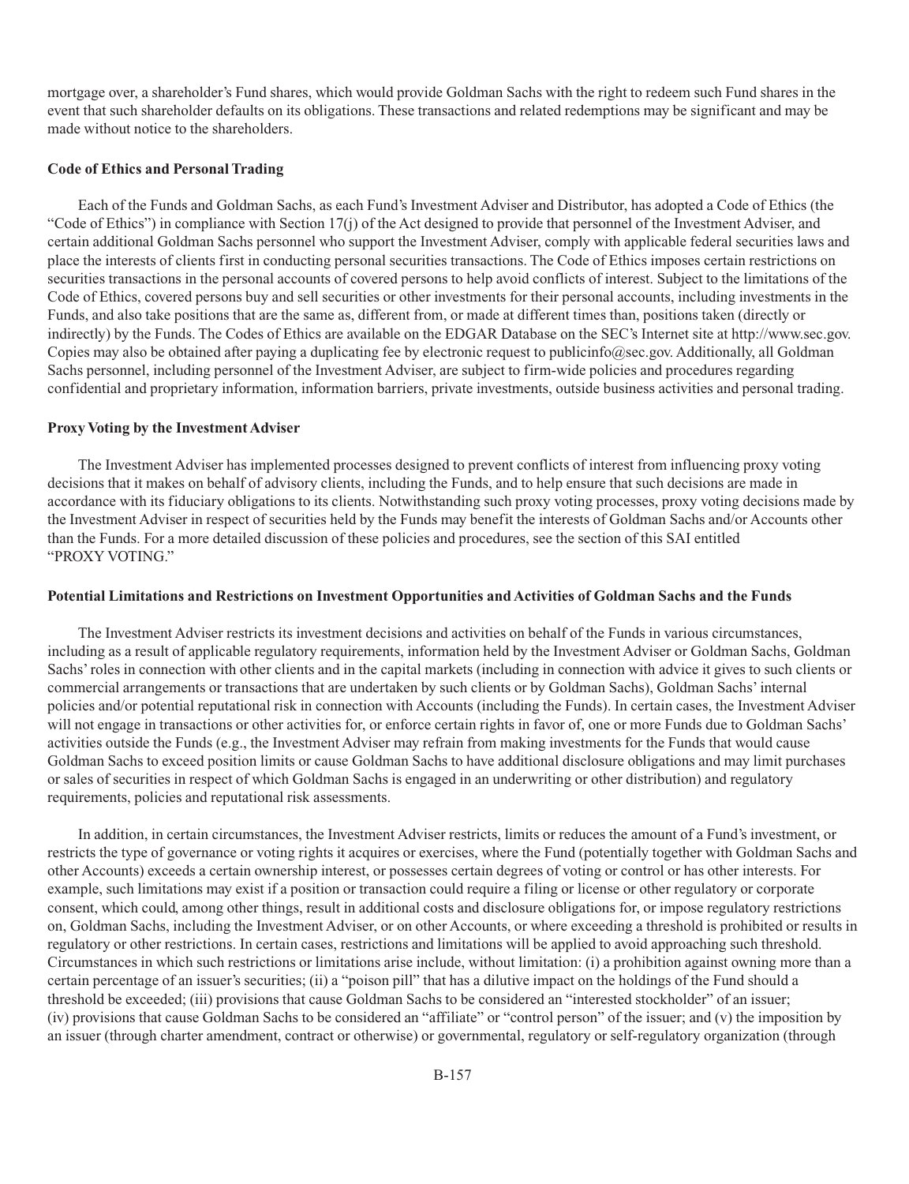mortgage over, a shareholder's Fund shares, which would provide Goldman Sachs with the right to redeem such Fund shares in the event that such shareholder defaults on its obligations. These transactions and related redemptions may be significant and may be made without notice to the shareholders.

## **Code of Ethics and Personal Trading**

Each of the Funds and Goldman Sachs, as each Fund's Investment Adviser and Distributor, has adopted a Code of Ethics (the "Code of Ethics") in compliance with Section 17(j) of the Act designed to provide that personnel of the Investment Adviser, and certain additional Goldman Sachs personnel who support the Investment Adviser, comply with applicable federal securities laws and place the interests of clients first in conducting personal securities transactions. The Code of Ethics imposes certain restrictions on securities transactions in the personal accounts of covered persons to help avoid conflicts of interest. Subject to the limitations of the Code of Ethics, covered persons buy and sell securities or other investments for their personal accounts, including investments in the Funds, and also take positions that are the same as, different from, or made at different times than, positions taken (directly or indirectly) by the Funds. The Codes of Ethics are available on the EDGAR Database on the SEC's Internet site at http://www.sec.gov. Copies may also be obtained after paying a duplicating fee by electronic request to publicinfo@sec.gov. Additionally, all Goldman Sachs personnel, including personnel of the Investment Adviser, are subject to firm-wide policies and procedures regarding confidential and proprietary information, information barriers, private investments, outside business activities and personal trading.

#### **Proxy Voting by the Investment Adviser**

The Investment Adviser has implemented processes designed to prevent conflicts of interest from influencing proxy voting decisions that it makes on behalf of advisory clients, including the Funds, and to help ensure that such decisions are made in accordance with its fiduciary obligations to its clients. Notwithstanding such proxy voting processes, proxy voting decisions made by the Investment Adviser in respect of securities held by the Funds may benefit the interests of Goldman Sachs and/or Accounts other than the Funds. For a more detailed discussion of these policies and procedures, see the section of this SAI entitled "PROXY VOTING."

## **Potential Limitations and Restrictions on Investment Opportunities and Activities of Goldman Sachs and the Funds**

The Investment Adviser restricts its investment decisions and activities on behalf of the Funds in various circumstances, including as a result of applicable regulatory requirements, information held by the Investment Adviser or Goldman Sachs, Goldman Sachs' roles in connection with other clients and in the capital markets (including in connection with advice it gives to such clients or commercial arrangements or transactions that are undertaken by such clients or by Goldman Sachs), Goldman Sachs' internal policies and/or potential reputational risk in connection with Accounts (including the Funds). In certain cases, the Investment Adviser will not engage in transactions or other activities for, or enforce certain rights in favor of, one or more Funds due to Goldman Sachs' activities outside the Funds (e.g., the Investment Adviser may refrain from making investments for the Funds that would cause Goldman Sachs to exceed position limits or cause Goldman Sachs to have additional disclosure obligations and may limit purchases or sales of securities in respect of which Goldman Sachs is engaged in an underwriting or other distribution) and regulatory requirements, policies and reputational risk assessments.

In addition, in certain circumstances, the Investment Adviser restricts, limits or reduces the amount of a Fund's investment, or restricts the type of governance or voting rights it acquires or exercises, where the Fund (potentially together with Goldman Sachs and other Accounts) exceeds a certain ownership interest, or possesses certain degrees of voting or control or has other interests. For example, such limitations may exist if a position or transaction could require a filing or license or other regulatory or corporate consent, which could, among other things, result in additional costs and disclosure obligations for, or impose regulatory restrictions on, Goldman Sachs, including the Investment Adviser, or on other Accounts, or where exceeding a threshold is prohibited or results in regulatory or other restrictions. In certain cases, restrictions and limitations will be applied to avoid approaching such threshold. Circumstances in which such restrictions or limitations arise include, without limitation: (i) a prohibition against owning more than a certain percentage of an issuer's securities; (ii) a "poison pill" that has a dilutive impact on the holdings of the Fund should a threshold be exceeded; (iii) provisions that cause Goldman Sachs to be considered an "interested stockholder" of an issuer; (iv) provisions that cause Goldman Sachs to be considered an "affiliate" or "control person" of the issuer; and (v) the imposition by an issuer (through charter amendment, contract or otherwise) or governmental, regulatory or self-regulatory organization (through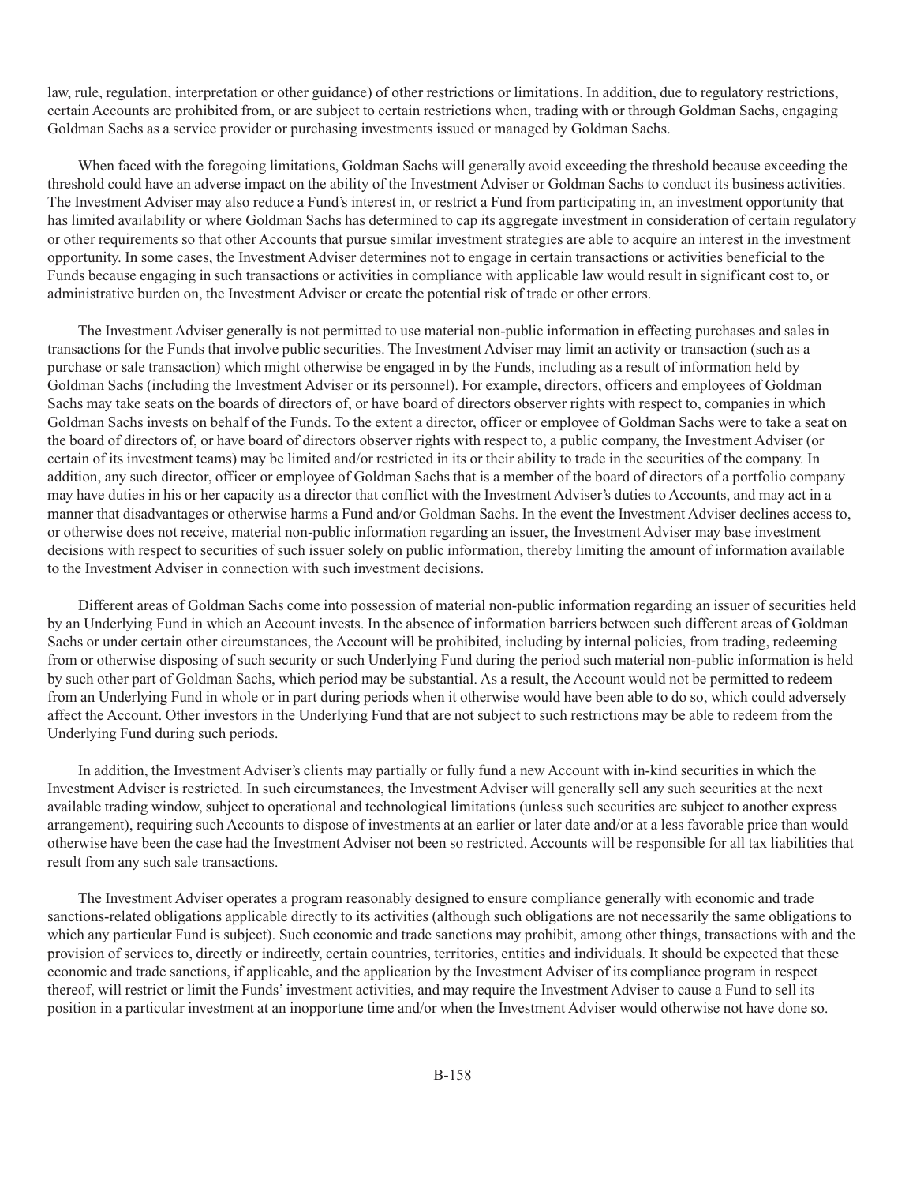law, rule, regulation, interpretation or other guidance) of other restrictions or limitations. In addition, due to regulatory restrictions, certain Accounts are prohibited from, or are subject to certain restrictions when, trading with or through Goldman Sachs, engaging Goldman Sachs as a service provider or purchasing investments issued or managed by Goldman Sachs.

When faced with the foregoing limitations, Goldman Sachs will generally avoid exceeding the threshold because exceeding the threshold could have an adverse impact on the ability of the Investment Adviser or Goldman Sachs to conduct its business activities. The Investment Adviser may also reduce a Fund's interest in, or restrict a Fund from participating in, an investment opportunity that has limited availability or where Goldman Sachs has determined to cap its aggregate investment in consideration of certain regulatory or other requirements so that other Accounts that pursue similar investment strategies are able to acquire an interest in the investment opportunity. In some cases, the Investment Adviser determines not to engage in certain transactions or activities beneficial to the Funds because engaging in such transactions or activities in compliance with applicable law would result in significant cost to, or administrative burden on, the Investment Adviser or create the potential risk of trade or other errors.

The Investment Adviser generally is not permitted to use material non-public information in effecting purchases and sales in transactions for the Funds that involve public securities. The Investment Adviser may limit an activity or transaction (such as a purchase or sale transaction) which might otherwise be engaged in by the Funds, including as a result of information held by Goldman Sachs (including the Investment Adviser or its personnel). For example, directors, officers and employees of Goldman Sachs may take seats on the boards of directors of, or have board of directors observer rights with respect to, companies in which Goldman Sachs invests on behalf of the Funds. To the extent a director, officer or employee of Goldman Sachs were to take a seat on the board of directors of, or have board of directors observer rights with respect to, a public company, the Investment Adviser (or certain of its investment teams) may be limited and/or restricted in its or their ability to trade in the securities of the company. In addition, any such director, officer or employee of Goldman Sachs that is a member of the board of directors of a portfolio company may have duties in his or her capacity as a director that conflict with the Investment Adviser's duties to Accounts, and may act in a manner that disadvantages or otherwise harms a Fund and/or Goldman Sachs. In the event the Investment Adviser declines access to, or otherwise does not receive, material non-public information regarding an issuer, the Investment Adviser may base investment decisions with respect to securities of such issuer solely on public information, thereby limiting the amount of information available to the Investment Adviser in connection with such investment decisions.

Different areas of Goldman Sachs come into possession of material non-public information regarding an issuer of securities held by an Underlying Fund in which an Account invests. In the absence of information barriers between such different areas of Goldman Sachs or under certain other circumstances, the Account will be prohibited, including by internal policies, from trading, redeeming from or otherwise disposing of such security or such Underlying Fund during the period such material non-public information is held by such other part of Goldman Sachs, which period may be substantial. As a result, the Account would not be permitted to redeem from an Underlying Fund in whole or in part during periods when it otherwise would have been able to do so, which could adversely affect the Account. Other investors in the Underlying Fund that are not subject to such restrictions may be able to redeem from the Underlying Fund during such periods.

In addition, the Investment Adviser's clients may partially or fully fund a new Account with in-kind securities in which the Investment Adviser is restricted. In such circumstances, the Investment Adviser will generally sell any such securities at the next available trading window, subject to operational and technological limitations (unless such securities are subject to another express arrangement), requiring such Accounts to dispose of investments at an earlier or later date and/or at a less favorable price than would otherwise have been the case had the Investment Adviser not been so restricted. Accounts will be responsible for all tax liabilities that result from any such sale transactions.

The Investment Adviser operates a program reasonably designed to ensure compliance generally with economic and trade sanctions-related obligations applicable directly to its activities (although such obligations are not necessarily the same obligations to which any particular Fund is subject). Such economic and trade sanctions may prohibit, among other things, transactions with and the provision of services to, directly or indirectly, certain countries, territories, entities and individuals. It should be expected that these economic and trade sanctions, if applicable, and the application by the Investment Adviser of its compliance program in respect thereof, will restrict or limit the Funds' investment activities, and may require the Investment Adviser to cause a Fund to sell its position in a particular investment at an inopportune time and/or when the Investment Adviser would otherwise not have done so.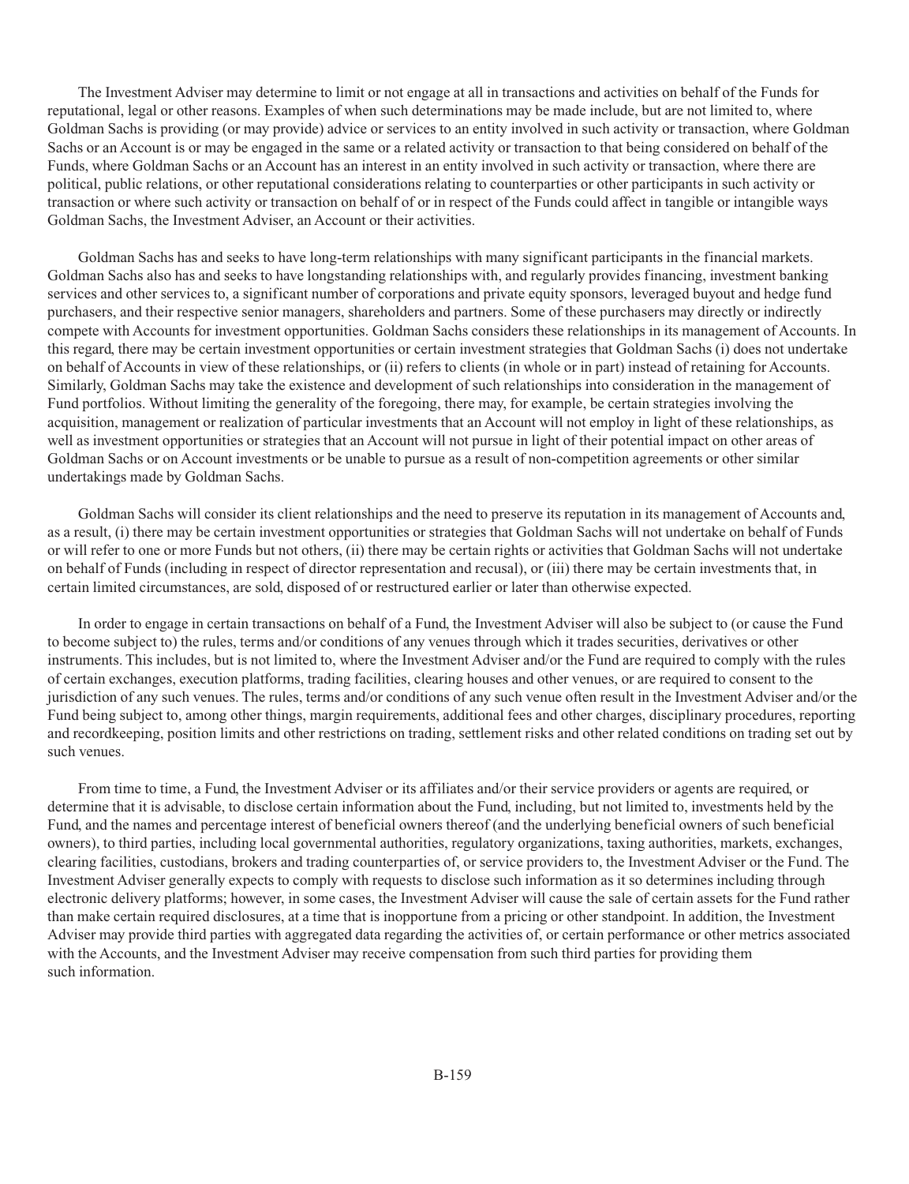The Investment Adviser may determine to limit or not engage at all in transactions and activities on behalf of the Funds for reputational, legal or other reasons. Examples of when such determinations may be made include, but are not limited to, where Goldman Sachs is providing (or may provide) advice or services to an entity involved in such activity or transaction, where Goldman Sachs or an Account is or may be engaged in the same or a related activity or transaction to that being considered on behalf of the Funds, where Goldman Sachs or an Account has an interest in an entity involved in such activity or transaction, where there are political, public relations, or other reputational considerations relating to counterparties or other participants in such activity or transaction or where such activity or transaction on behalf of or in respect of the Funds could affect in tangible or intangible ways Goldman Sachs, the Investment Adviser, an Account or their activities.

Goldman Sachs has and seeks to have long-term relationships with many significant participants in the financial markets. Goldman Sachs also has and seeks to have longstanding relationships with, and regularly provides financing, investment banking services and other services to, a significant number of corporations and private equity sponsors, leveraged buyout and hedge fund purchasers, and their respective senior managers, shareholders and partners. Some of these purchasers may directly or indirectly compete with Accounts for investment opportunities. Goldman Sachs considers these relationships in its management of Accounts. In this regard, there may be certain investment opportunities or certain investment strategies that Goldman Sachs (i) does not undertake on behalf of Accounts in view of these relationships, or (ii) refers to clients (in whole or in part) instead of retaining for Accounts. Similarly, Goldman Sachs may take the existence and development of such relationships into consideration in the management of Fund portfolios. Without limiting the generality of the foregoing, there may, for example, be certain strategies involving the acquisition, management or realization of particular investments that an Account will not employ in light of these relationships, as well as investment opportunities or strategies that an Account will not pursue in light of their potential impact on other areas of Goldman Sachs or on Account investments or be unable to pursue as a result of non-competition agreements or other similar undertakings made by Goldman Sachs.

Goldman Sachs will consider its client relationships and the need to preserve its reputation in its management of Accounts and, as a result, (i) there may be certain investment opportunities or strategies that Goldman Sachs will not undertake on behalf of Funds or will refer to one or more Funds but not others, (ii) there may be certain rights or activities that Goldman Sachs will not undertake on behalf of Funds (including in respect of director representation and recusal), or (iii) there may be certain investments that, in certain limited circumstances, are sold, disposed of or restructured earlier or later than otherwise expected.

In order to engage in certain transactions on behalf of a Fund, the Investment Adviser will also be subject to (or cause the Fund to become subject to) the rules, terms and/or conditions of any venues through which it trades securities, derivatives or other instruments. This includes, but is not limited to, where the Investment Adviser and/or the Fund are required to comply with the rules of certain exchanges, execution platforms, trading facilities, clearing houses and other venues, or are required to consent to the jurisdiction of any such venues. The rules, terms and/or conditions of any such venue often result in the Investment Adviser and/or the Fund being subject to, among other things, margin requirements, additional fees and other charges, disciplinary procedures, reporting and recordkeeping, position limits and other restrictions on trading, settlement risks and other related conditions on trading set out by such venues.

From time to time, a Fund, the Investment Adviser or its affiliates and/or their service providers or agents are required, or determine that it is advisable, to disclose certain information about the Fund, including, but not limited to, investments held by the Fund, and the names and percentage interest of beneficial owners thereof (and the underlying beneficial owners of such beneficial owners), to third parties, including local governmental authorities, regulatory organizations, taxing authorities, markets, exchanges, clearing facilities, custodians, brokers and trading counterparties of, or service providers to, the Investment Adviser or the Fund. The Investment Adviser generally expects to comply with requests to disclose such information as it so determines including through electronic delivery platforms; however, in some cases, the Investment Adviser will cause the sale of certain assets for the Fund rather than make certain required disclosures, at a time that is inopportune from a pricing or other standpoint. In addition, the Investment Adviser may provide third parties with aggregated data regarding the activities of, or certain performance or other metrics associated with the Accounts, and the Investment Adviser may receive compensation from such third parties for providing them such information.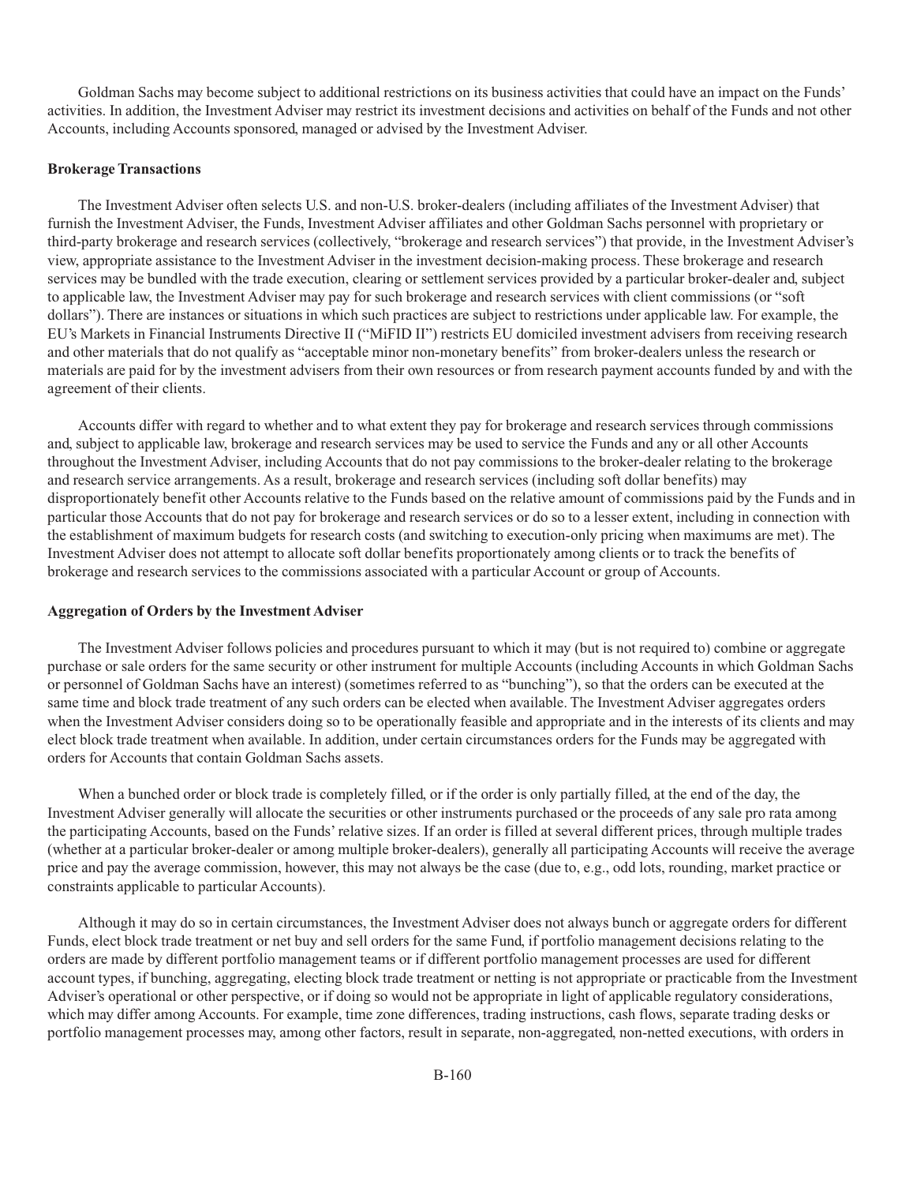Goldman Sachs may become subject to additional restrictions on its business activities that could have an impact on the Funds' activities. In addition, the Investment Adviser may restrict its investment decisions and activities on behalf of the Funds and not other Accounts, including Accounts sponsored, managed or advised by the Investment Adviser.

### **Brokerage Transactions**

The Investment Adviser often selects U.S. and non-U.S. broker-dealers (including affiliates of the Investment Adviser) that furnish the Investment Adviser, the Funds, Investment Adviser affiliates and other Goldman Sachs personnel with proprietary or third-party brokerage and research services (collectively, "brokerage and research services") that provide, in the Investment Adviser's view, appropriate assistance to the Investment Adviser in the investment decision-making process. These brokerage and research services may be bundled with the trade execution, clearing or settlement services provided by a particular broker-dealer and, subject to applicable law, the Investment Adviser may pay for such brokerage and research services with client commissions (or "soft dollars"). There are instances or situations in which such practices are subject to restrictions under applicable law. For example, the EU's Markets in Financial Instruments Directive II ("MiFID II") restricts EU domiciled investment advisers from receiving research and other materials that do not qualify as "acceptable minor non-monetary benefits" from broker-dealers unless the research or materials are paid for by the investment advisers from their own resources or from research payment accounts funded by and with the agreement of their clients.

Accounts differ with regard to whether and to what extent they pay for brokerage and research services through commissions and, subject to applicable law, brokerage and research services may be used to service the Funds and any or all other Accounts throughout the Investment Adviser, including Accounts that do not pay commissions to the broker-dealer relating to the brokerage and research service arrangements. As a result, brokerage and research services (including soft dollar benefits) may disproportionately benefit other Accounts relative to the Funds based on the relative amount of commissions paid by the Funds and in particular those Accounts that do not pay for brokerage and research services or do so to a lesser extent, including in connection with the establishment of maximum budgets for research costs (and switching to execution-only pricing when maximums are met). The Investment Adviser does not attempt to allocate soft dollar benefits proportionately among clients or to track the benefits of brokerage and research services to the commissions associated with a particular Account or group of Accounts.

#### **Aggregation of Orders by the Investment Adviser**

The Investment Adviser follows policies and procedures pursuant to which it may (but is not required to) combine or aggregate purchase or sale orders for the same security or other instrument for multiple Accounts (including Accounts in which Goldman Sachs or personnel of Goldman Sachs have an interest) (sometimes referred to as "bunching"), so that the orders can be executed at the same time and block trade treatment of any such orders can be elected when available. The Investment Adviser aggregates orders when the Investment Adviser considers doing so to be operationally feasible and appropriate and in the interests of its clients and may elect block trade treatment when available. In addition, under certain circumstances orders for the Funds may be aggregated with orders for Accounts that contain Goldman Sachs assets.

When a bunched order or block trade is completely filled, or if the order is only partially filled, at the end of the day, the Investment Adviser generally will allocate the securities or other instruments purchased or the proceeds of any sale pro rata among the participating Accounts, based on the Funds' relative sizes. If an order is filled at several different prices, through multiple trades (whether at a particular broker-dealer or among multiple broker-dealers), generally all participating Accounts will receive the average price and pay the average commission, however, this may not always be the case (due to, e.g., odd lots, rounding, market practice or constraints applicable to particular Accounts).

Although it may do so in certain circumstances, the Investment Adviser does not always bunch or aggregate orders for different Funds, elect block trade treatment or net buy and sell orders for the same Fund, if portfolio management decisions relating to the orders are made by different portfolio management teams or if different portfolio management processes are used for different account types, if bunching, aggregating, electing block trade treatment or netting is not appropriate or practicable from the Investment Adviser's operational or other perspective, or if doing so would not be appropriate in light of applicable regulatory considerations, which may differ among Accounts. For example, time zone differences, trading instructions, cash flows, separate trading desks or portfolio management processes may, among other factors, result in separate, non-aggregated, non-netted executions, with orders in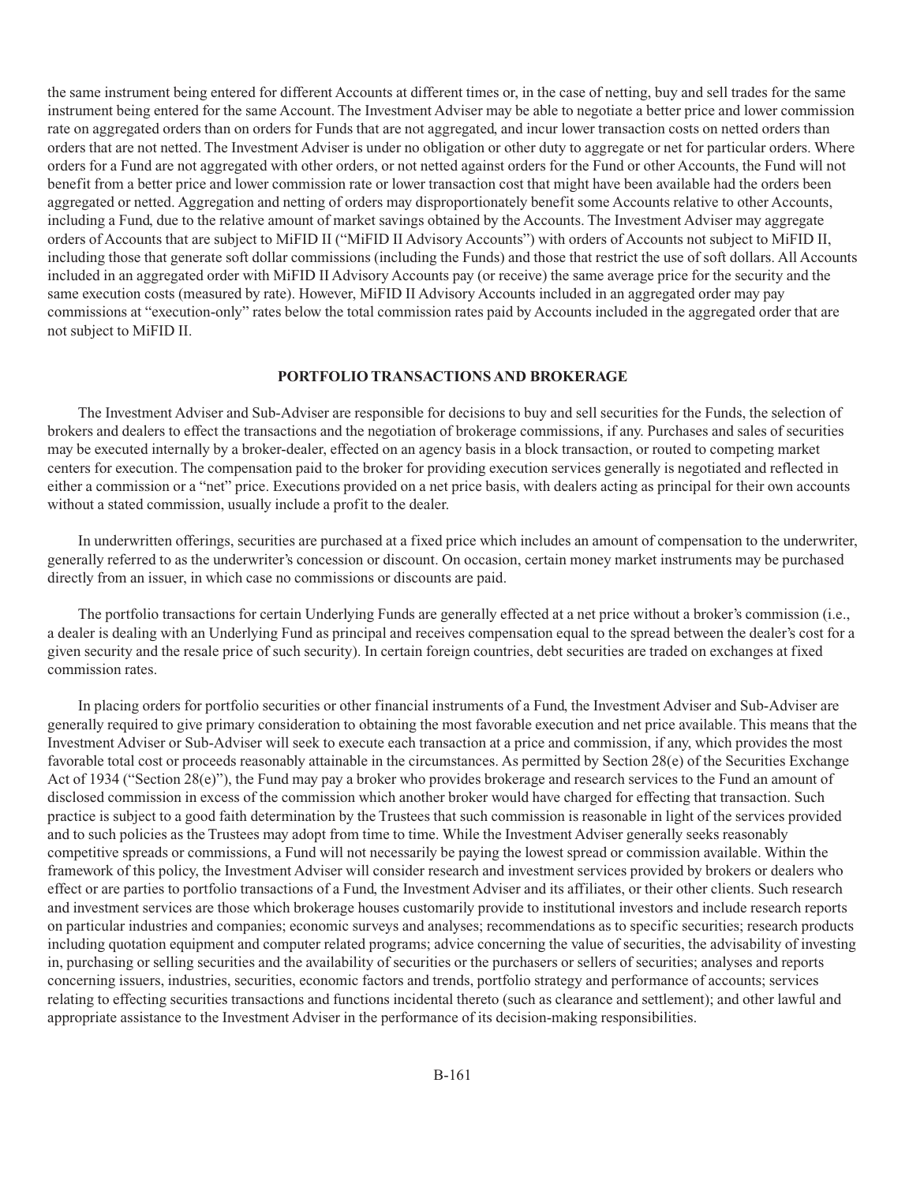the same instrument being entered for different Accounts at different times or, in the case of netting, buy and sell trades for the same instrument being entered for the same Account. The Investment Adviser may be able to negotiate a better price and lower commission rate on aggregated orders than on orders for Funds that are not aggregated, and incur lower transaction costs on netted orders than orders that are not netted. The Investment Adviser is under no obligation or other duty to aggregate or net for particular orders. Where orders for a Fund are not aggregated with other orders, or not netted against orders for the Fund or other Accounts, the Fund will not benefit from a better price and lower commission rate or lower transaction cost that might have been available had the orders been aggregated or netted. Aggregation and netting of orders may disproportionately benefit some Accounts relative to other Accounts, including a Fund, due to the relative amount of market savings obtained by the Accounts. The Investment Adviser may aggregate orders of Accounts that are subject to MiFID II ("MiFID II Advisory Accounts") with orders of Accounts not subject to MiFID II, including those that generate soft dollar commissions (including the Funds) and those that restrict the use of soft dollars. All Accounts included in an aggregated order with MiFID II Advisory Accounts pay (or receive) the same average price for the security and the same execution costs (measured by rate). However, MiFID II Advisory Accounts included in an aggregated order may pay commissions at "execution-only" rates below the total commission rates paid by Accounts included in the aggregated order that are not subject to MiFID II.

# **PORTFOLIO TRANSACTIONS AND BROKERAGE**

The Investment Adviser and Sub-Adviser are responsible for decisions to buy and sell securities for the Funds, the selection of brokers and dealers to effect the transactions and the negotiation of brokerage commissions, if any. Purchases and sales of securities may be executed internally by a broker-dealer, effected on an agency basis in a block transaction, or routed to competing market centers for execution. The compensation paid to the broker for providing execution services generally is negotiated and reflected in either a commission or a "net" price. Executions provided on a net price basis, with dealers acting as principal for their own accounts without a stated commission, usually include a profit to the dealer.

In underwritten offerings, securities are purchased at a fixed price which includes an amount of compensation to the underwriter, generally referred to as the underwriter's concession or discount. On occasion, certain money market instruments may be purchased directly from an issuer, in which case no commissions or discounts are paid.

The portfolio transactions for certain Underlying Funds are generally effected at a net price without a broker's commission (i.e., a dealer is dealing with an Underlying Fund as principal and receives compensation equal to the spread between the dealer's cost for a given security and the resale price of such security). In certain foreign countries, debt securities are traded on exchanges at fixed commission rates.

In placing orders for portfolio securities or other financial instruments of a Fund, the Investment Adviser and Sub-Adviser are generally required to give primary consideration to obtaining the most favorable execution and net price available. This means that the Investment Adviser or Sub-Adviser will seek to execute each transaction at a price and commission, if any, which provides the most favorable total cost or proceeds reasonably attainable in the circumstances. As permitted by Section 28(e) of the Securities Exchange Act of 1934 ("Section 28(e)"), the Fund may pay a broker who provides brokerage and research services to the Fund an amount of disclosed commission in excess of the commission which another broker would have charged for effecting that transaction. Such practice is subject to a good faith determination by the Trustees that such commission is reasonable in light of the services provided and to such policies as the Trustees may adopt from time to time. While the Investment Adviser generally seeks reasonably competitive spreads or commissions, a Fund will not necessarily be paying the lowest spread or commission available. Within the framework of this policy, the Investment Adviser will consider research and investment services provided by brokers or dealers who effect or are parties to portfolio transactions of a Fund, the Investment Adviser and its affiliates, or their other clients. Such research and investment services are those which brokerage houses customarily provide to institutional investors and include research reports on particular industries and companies; economic surveys and analyses; recommendations as to specific securities; research products including quotation equipment and computer related programs; advice concerning the value of securities, the advisability of investing in, purchasing or selling securities and the availability of securities or the purchasers or sellers of securities; analyses and reports concerning issuers, industries, securities, economic factors and trends, portfolio strategy and performance of accounts; services relating to effecting securities transactions and functions incidental thereto (such as clearance and settlement); and other lawful and appropriate assistance to the Investment Adviser in the performance of its decision-making responsibilities.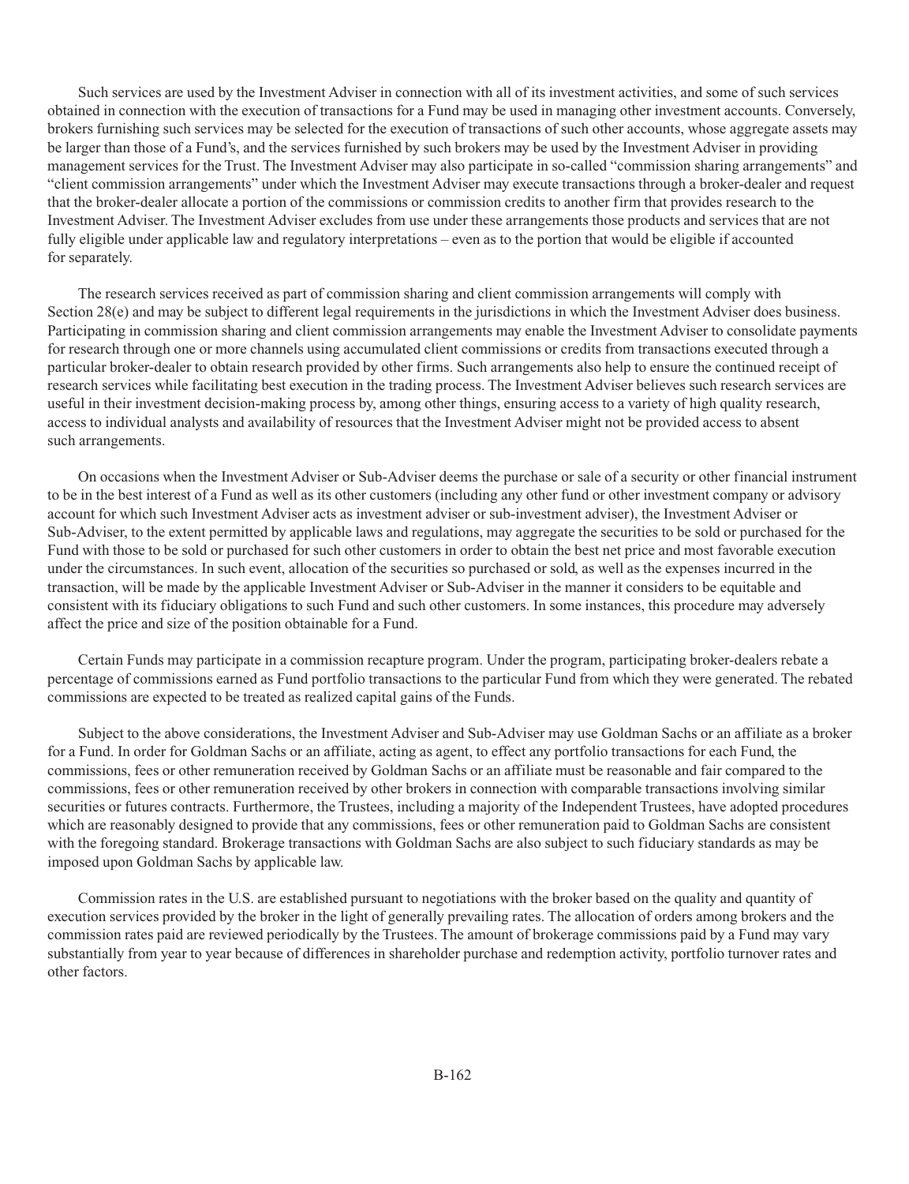Such services are used by the Investment Adviser in connection with all of its investment activities, and some of such services obtained in connection with the execution of transactions for a Fund may be used in managing other investment accounts. Conversely, brokers furnishing such services may be selected for the execution of transactions of such other accounts, whose aggregate assets may be larger than those of a Fund's, and the services furnished by such brokers may be used by the Investment Adviser in providing management services for the Trust. The Investment Adviser may also participate in so-called "commission sharing arrangements" and "client commission arrangements" under which the Investment Adviser may execute transactions through a broker-dealer and request that the broker-dealer allocate a portion of the commissions or commission credits to another firm that provides research to the Investment Adviser. The Investment Adviser excludes from use under these arrangements those products and services that are not fully eligible under applicable law and regulatory interpretations – even as to the portion that would be eligible if accounted for separately.

The research services received as part of commission sharing and client commission arrangements will comply with Section  $28(e)$  and may be subject to different legal requirements in the jurisdictions in which the Investment Adviser does business. Participating in commission sharing and client commission arrangements may enable the Investment Adviser to consolidate payments for research through one or more channels using accumulated client commissions or credits from transactions executed through a particular broker-dealer to obtain research provided by other firms. Such arrangements also help to ensure the continued receipt of research services while facilitating best execution in the trading process. The Investment Adviser believes such research services are useful in their investment decision-making process by, among other things, ensuring access to a variety of high quality research, access to individual analysts and availability of resources that the Investment Adviser might not be provided access to absent such arrangements.

On occasions when the Investment Adviser or Sub-Adviser deems the purchase or sale of a security or other financial instrument to be in the best interest of a Fund as well as its other customers (including any other fund or other investment company or advisory account for which such Investment Adviser acts as investment adviser or sub-investment adviser), the Investment Adviser or Sub-Adviser, to the extent permitted by applicable laws and regulations, may aggregate the securities to be sold or purchased for the Fund with those to be sold or purchased for such other customers in order to obtain the best net price and most favorable execution under the circumstances. In such event, allocation of the securities so purchased or sold, as well as the expenses incurred in the transaction, will be made by the applicable Investment Adviser or Sub-Adviser in the manner it considers to be equitable and consistent with its fiduciary obligations to such Fund and such other customers. In some instances, this procedure may adversely affect the price and size of the position obtainable for a Fund.

Certain Funds may participate in a commission recapture program. Under the program, participating broker-dealers rebate a percentage of commissions earned as Fund portfolio transactions to the particular Fund from which they were generated. The rebated commissions are expected to be treated as realized capital gains of the Funds.

Subject to the above considerations, the Investment Adviser and Sub-Adviser may use Goldman Sachs or an affiliate as a broker for a Fund. In order for Goldman Sachs or an affiliate, acting as agent, to effect any portfolio transactions for each Fund, the commissions, fees or other remuneration received by Goldman Sachs or an affiliate must be reasonable and fair compared to the commissions, fees or other remuneration received by other brokers in connection with comparable transactions involving similar securities or futures contracts. Furthermore, the Trustees, including a majority of the Independent Trustees, have adopted procedures which are reasonably designed to provide that any commissions, fees or other remuneration paid to Goldman Sachs are consistent with the foregoing standard. Brokerage transactions with Goldman Sachs are also subject to such fiduciary standards as may be imposed upon Goldman Sachs by applicable law.

Commission rates in the U.S. are established pursuant to negotiations with the broker based on the quality and quantity of execution services provided by the broker in the light of generally prevailing rates. The allocation of orders among brokers and the commission rates paid are reviewed periodically by the Trustees. The amount of brokerage commissions paid by a Fund may vary substantially from year to year because of differences in shareholder purchase and redemption activity, portfolio turnover rates and other factors.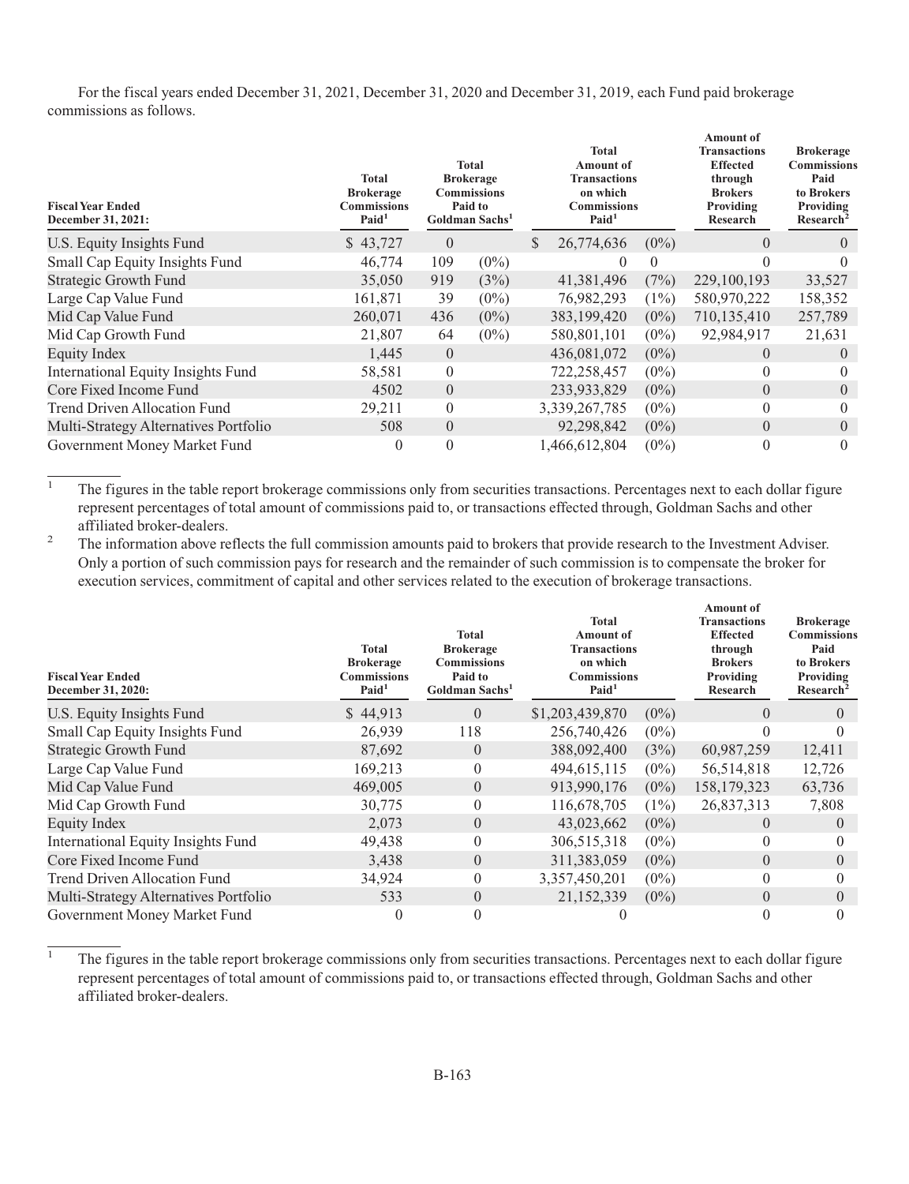For the fiscal years ended December 31, 2021, December 31, 2020 and December 31, 2019, each Fund paid brokerage commissions as follows.

| <b>Fiscal Year Ended</b><br>December 31, 2021: | <b>Total</b><br><b>Brokerage</b><br><b>Commissions</b><br>Paid <sup>1</sup> |                | <b>Total</b><br><b>Brokerage</b><br><b>Commissions</b><br>Paid to<br>Goldman Sachs <sup>1</sup> |    | <b>Total</b><br><b>Amount of</b><br><b>Transactions</b><br>on which<br><b>Commissions</b><br>Paid <sup>1</sup> |          | <b>Transactions</b><br><b>Effected</b><br>through<br><b>Brokers</b><br>Providing<br>Research | <b>Brokerage</b><br>Commissions<br>Paid<br>to Brokers<br>Providing<br>Research <sup>2</sup> |
|------------------------------------------------|-----------------------------------------------------------------------------|----------------|-------------------------------------------------------------------------------------------------|----|----------------------------------------------------------------------------------------------------------------|----------|----------------------------------------------------------------------------------------------|---------------------------------------------------------------------------------------------|
| U.S. Equity Insights Fund                      | \$43,727                                                                    | $\overline{0}$ |                                                                                                 | S. | 26,774,636                                                                                                     | $(0\%)$  | $\theta$                                                                                     | $\theta$                                                                                    |
| Small Cap Equity Insights Fund                 | 46,774                                                                      | 109            | $(0\%)$                                                                                         |    |                                                                                                                | $\theta$ | 0                                                                                            | $\Omega$                                                                                    |
| <b>Strategic Growth Fund</b>                   | 35,050                                                                      | 919            | (3%)                                                                                            |    | 41,381,496                                                                                                     | (7%)     | 229, 100, 193                                                                                | 33,527                                                                                      |
| Large Cap Value Fund                           | 161,871                                                                     | 39             | $(0\%)$                                                                                         |    | 76,982,293                                                                                                     | $(1\%)$  | 580,970,222                                                                                  | 158,352                                                                                     |
| Mid Cap Value Fund                             | 260,071                                                                     | 436            | $(0\%)$                                                                                         |    | 383, 199, 420                                                                                                  | $(0\%)$  | 710,135,410                                                                                  | 257,789                                                                                     |
| Mid Cap Growth Fund                            | 21.807                                                                      | 64             | $(0\%)$                                                                                         |    | 580,801,101                                                                                                    | $(0\%)$  | 92,984,917                                                                                   | 21,631                                                                                      |
| Equity Index                                   | 1,445                                                                       | $\overline{0}$ |                                                                                                 |    | 436,081,072                                                                                                    | $(0\%)$  | $\theta$                                                                                     | $\theta$                                                                                    |
| International Equity Insights Fund             | 58,581                                                                      | $\theta$       |                                                                                                 |    | 722,258,457                                                                                                    | $(0\%)$  | $\theta$                                                                                     | $\theta$                                                                                    |
| Core Fixed Income Fund                         | 4502                                                                        | $\theta$       |                                                                                                 |    | 233,933,829                                                                                                    | $(0\%)$  | $\theta$                                                                                     | $\theta$                                                                                    |
| <b>Trend Driven Allocation Fund</b>            | 29,211                                                                      | $\theta$       |                                                                                                 |    | 3,339,267,785                                                                                                  | $(0\%)$  | $\Omega$                                                                                     | $\theta$                                                                                    |
| Multi-Strategy Alternatives Portfolio          | 508                                                                         | $\overline{0}$ |                                                                                                 |    | 92,298,842                                                                                                     | $(0\%)$  | $\theta$                                                                                     | $\theta$                                                                                    |
| Government Money Market Fund                   | $\theta$                                                                    | $\theta$       |                                                                                                 |    | 1,466,612,804                                                                                                  | $(0\%)$  | $\theta$                                                                                     | $\Omega$                                                                                    |

**Amount of**

 $\overline{1}$  The figures in the table report brokerage commissions only from securities transactions. Percentages next to each dollar figure represent percentages of total amount of commissions paid to, or transactions effected through, Goldman Sachs and other affiliated broker-dealers.<br><sup>2</sup> The information above reflects the full commission amounts paid to brokers that provide research to the Investment Adviser.

Only a portion of such commission pays for research and the remainder of such commission is to compensate the broker for execution services, commitment of capital and other services related to the execution of brokerage transactions.

| <b>Fiscal Year Ended</b><br>December 31, 2020: | <b>Total</b><br><b>Brokerage</b><br><b>Commissions</b><br>Paid <sup>1</sup> | <b>Total</b><br><b>Brokerage</b><br><b>Commissions</b><br>Paid to<br>Goldman Sachs <sup>1</sup> | <b>Total</b><br><b>Amount</b> of<br><b>Transactions</b><br>on which<br><b>Commissions</b><br>Paid <sup>1</sup> |         | <b>Amount of</b><br><b>Transactions</b><br><b>Effected</b><br>through<br><b>Brokers</b><br>Providing<br>Research | <b>Brokerage</b><br><b>Commissions</b><br>Paid<br>to Brokers<br>Providing<br>Research <sup>2</sup> |  |
|------------------------------------------------|-----------------------------------------------------------------------------|-------------------------------------------------------------------------------------------------|----------------------------------------------------------------------------------------------------------------|---------|------------------------------------------------------------------------------------------------------------------|----------------------------------------------------------------------------------------------------|--|
| U.S. Equity Insights Fund                      | \$44,913                                                                    | $\overline{0}$                                                                                  | \$1,203,439,870                                                                                                | $(0\%)$ | $\overline{0}$                                                                                                   | $\theta$                                                                                           |  |
| Small Cap Equity Insights Fund                 | 26,939                                                                      | 118                                                                                             | 256,740,426                                                                                                    | $(0\%)$ | $\theta$                                                                                                         | $\mathbf{0}$                                                                                       |  |
| Strategic Growth Fund                          | 87,692                                                                      | $\Omega$                                                                                        | 388,092,400                                                                                                    | (3%)    | 60,987,259                                                                                                       | 12,411                                                                                             |  |
| Large Cap Value Fund                           | 169,213                                                                     | $\theta$                                                                                        | 494, 615, 115                                                                                                  | $(0\%)$ | 56,514,818                                                                                                       | 12,726                                                                                             |  |
| Mid Cap Value Fund                             | 469,005                                                                     | $\overline{0}$                                                                                  | 913,990,176                                                                                                    | $(0\%)$ | 158, 179, 323                                                                                                    | 63,736                                                                                             |  |
| Mid Cap Growth Fund                            | 30,775                                                                      | $\mathbf{0}$                                                                                    | 116,678,705                                                                                                    | $(1\%)$ | 26,837,313                                                                                                       | 7,808                                                                                              |  |
| Equity Index                                   | 2,073                                                                       | $\overline{0}$                                                                                  | 43,023,662                                                                                                     | $(0\%)$ | $\overline{0}$                                                                                                   | $\Omega$                                                                                           |  |
| <b>International Equity Insights Fund</b>      | 49,438                                                                      | $\mathbf{0}$                                                                                    | 306,515,318                                                                                                    | $(0\%)$ | $\theta$                                                                                                         | $\theta$                                                                                           |  |
| Core Fixed Income Fund                         | 3,438                                                                       | $\overline{0}$                                                                                  | 311,383,059                                                                                                    | $(0\%)$ | $\overline{0}$                                                                                                   | $\overline{0}$                                                                                     |  |
| Trend Driven Allocation Fund                   | 34,924                                                                      | $\theta$                                                                                        | 3,357,450,201                                                                                                  | $(0\%)$ | $\overline{0}$                                                                                                   | $\Omega$                                                                                           |  |
| Multi-Strategy Alternatives Portfolio          | 533                                                                         | $\overline{0}$                                                                                  | 21,152,339                                                                                                     | $(0\%)$ | $\overline{0}$                                                                                                   | $\Omega$                                                                                           |  |
| Government Money Market Fund                   | 0                                                                           | $\mathbf{0}$                                                                                    |                                                                                                                |         | $\theta$                                                                                                         | $\theta$                                                                                           |  |

<sup>&</sup>lt;sup>1</sup> The figures in the table report brokerage commissions only from securities transactions. Percentages next to each dollar figure represent percentages of total amount of commissions paid to, or transactions effected through, Goldman Sachs and other affiliated broker-dealers.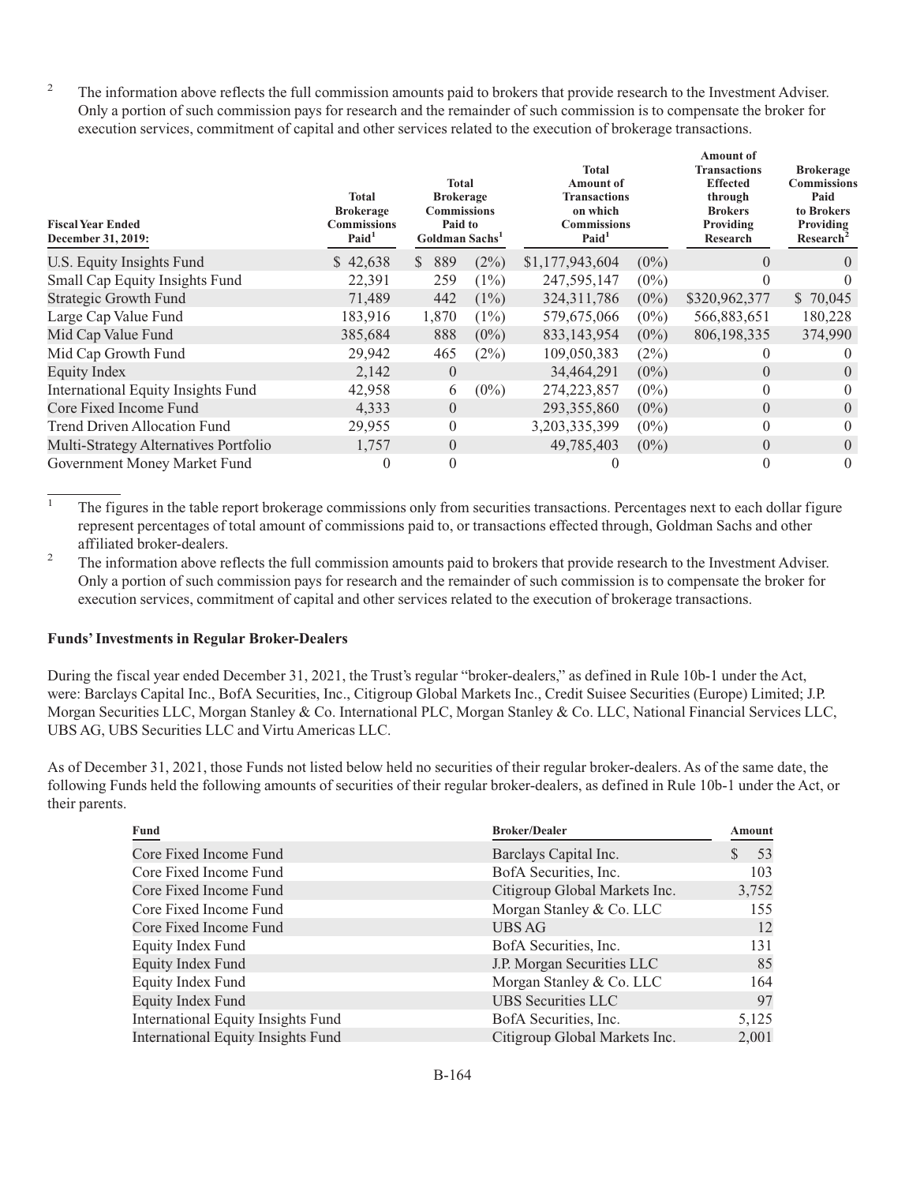<sup>2</sup> The information above reflects the full commission amounts paid to brokers that provide research to the Investment Adviser. Only a portion of such commission pays for research and the remainder of such commission is to compensate the broker for execution services, commitment of capital and other services related to the execution of brokerage transactions.

**Amount of**

| <b>Fiscal Year Ended</b><br>December 31, 2019: | <b>Total</b><br><b>Brokerage</b><br><b>Commissions</b><br>Paid <sup>1</sup> | <b>Total</b><br><b>Brokerage</b><br><b>Commissions</b><br>Paid to<br>Goldman Sachs <sup>1</sup> |         | <b>Total</b><br><b>Amount of</b><br><b>Transactions</b><br>on which<br><b>Commissions</b><br>Paid <sup>1</sup> |         | muutti vi<br><b>Transactions</b><br><b>Effected</b><br>through<br><b>Brokers</b><br>Providing<br>Research | <b>Brokerage</b><br><b>Commissions</b><br>Paid<br>to Brokers<br>Providing<br>Research <sup>2</sup> |
|------------------------------------------------|-----------------------------------------------------------------------------|-------------------------------------------------------------------------------------------------|---------|----------------------------------------------------------------------------------------------------------------|---------|-----------------------------------------------------------------------------------------------------------|----------------------------------------------------------------------------------------------------|
| U.S. Equity Insights Fund                      | \$42,638                                                                    | 889<br>S.                                                                                       | (2%)    | \$1,177,943,604                                                                                                | $(0\%)$ | $\left( \right)$                                                                                          | $\left( \right)$                                                                                   |
| Small Cap Equity Insights Fund                 | 22,391                                                                      | 259                                                                                             | $(1\%)$ | 247,595,147                                                                                                    | $(0\%)$ | $\Omega$                                                                                                  | $\theta$                                                                                           |
| <b>Strategic Growth Fund</b>                   | 71,489                                                                      | 442                                                                                             | $(1\%)$ | 324, 311, 786                                                                                                  | $(0\%)$ | \$320,962,377                                                                                             | \$70,045                                                                                           |
| Large Cap Value Fund                           | 183,916                                                                     | 1,870                                                                                           | $(1\%)$ | 579,675,066                                                                                                    | $(0\%)$ | 566,883,651                                                                                               | 180,228                                                                                            |
| Mid Cap Value Fund                             | 385,684                                                                     | 888                                                                                             | $(0\%)$ | 833, 143, 954                                                                                                  | $(0\%)$ | 806, 198, 335                                                                                             | 374,990                                                                                            |
| Mid Cap Growth Fund                            | 29,942                                                                      | 465                                                                                             | (2%)    | 109,050,383                                                                                                    | (2%)    | $\left( \right)$                                                                                          | $\theta$                                                                                           |
| <b>Equity Index</b>                            | 2,142                                                                       | $\theta$                                                                                        |         | 34,464,291                                                                                                     | $(0\%)$ | $\theta$                                                                                                  | $\theta$                                                                                           |
| International Equity Insights Fund             | 42,958                                                                      | 6                                                                                               | $(0\%)$ | 274, 223, 857                                                                                                  | $(0\%)$ | $\theta$                                                                                                  | $\theta$                                                                                           |
| Core Fixed Income Fund                         | 4,333                                                                       | $\theta$                                                                                        |         | 293, 355, 860                                                                                                  | $(0\%)$ | $\theta$                                                                                                  | $\theta$                                                                                           |
| Trend Driven Allocation Fund                   | 29,955                                                                      | $\theta$                                                                                        |         | 3,203,335,399                                                                                                  | $(0\%)$ | $\theta$                                                                                                  | $\theta$                                                                                           |
| Multi-Strategy Alternatives Portfolio          | 1,757                                                                       | $\theta$                                                                                        |         | 49,785,403                                                                                                     | $(0\%)$ | $\Omega$                                                                                                  | $\overline{0}$                                                                                     |
| Government Money Market Fund                   | O                                                                           | $\theta$                                                                                        |         |                                                                                                                |         | $\theta$                                                                                                  | $\theta$                                                                                           |

 $\frac{1}{1}$  The figures in the table report brokerage commissions only from securities transactions. Percentages next to each dollar figure represent percentages of total amount of commissions paid to, or transactions effected through, Goldman Sachs and other

affiliated broker-dealers.<br><sup>2</sup> The information above reflects the full commission amounts paid to brokers that provide research to the Investment Adviser. Only a portion of such commission pays for research and the remainder of such commission is to compensate the broker for execution services, commitment of capital and other services related to the execution of brokerage transactions.

# **Funds' Investments in Regular Broker-Dealers**

During the fiscal year ended December 31, 2021, the Trust's regular "broker-dealers," as defined in Rule 10b-1 under the Act, were: Barclays Capital Inc., BofA Securities, Inc., Citigroup Global Markets Inc., Credit Suisee Securities (Europe) Limited; J.P. Morgan Securities LLC, Morgan Stanley & Co. International PLC, Morgan Stanley & Co. LLC, National Financial Services LLC, UBS AG, UBS Securities LLC and Virtu Americas LLC.

As of December 31, 2021, those Funds not listed below held no securities of their regular broker-dealers. As of the same date, the following Funds held the following amounts of securities of their regular broker-dealers, as defined in Rule 10b-1 under the Act, or their parents.

| Fund                                      | <b>Broker/Dealer</b>          | Amount  |
|-------------------------------------------|-------------------------------|---------|
| Core Fixed Income Fund                    | Barclays Capital Inc.         | 53<br>S |
| Core Fixed Income Fund                    | BofA Securities, Inc.         | 103     |
| Core Fixed Income Fund                    | Citigroup Global Markets Inc. | 3,752   |
| Core Fixed Income Fund                    | Morgan Stanley & Co. LLC      | 155     |
| Core Fixed Income Fund                    | UBS AG                        | 12      |
| Equity Index Fund                         | BofA Securities, Inc.         | 131     |
| <b>Equity Index Fund</b>                  | J.P. Morgan Securities LLC    | 85      |
| Equity Index Fund                         | Morgan Stanley & Co. LLC      | 164     |
| <b>Equity Index Fund</b>                  | <b>UBS</b> Securities LLC     | 97      |
| <b>International Equity Insights Fund</b> | BofA Securities, Inc.         | 5,125   |
| <b>International Equity Insights Fund</b> | Citigroup Global Markets Inc. | 2,001   |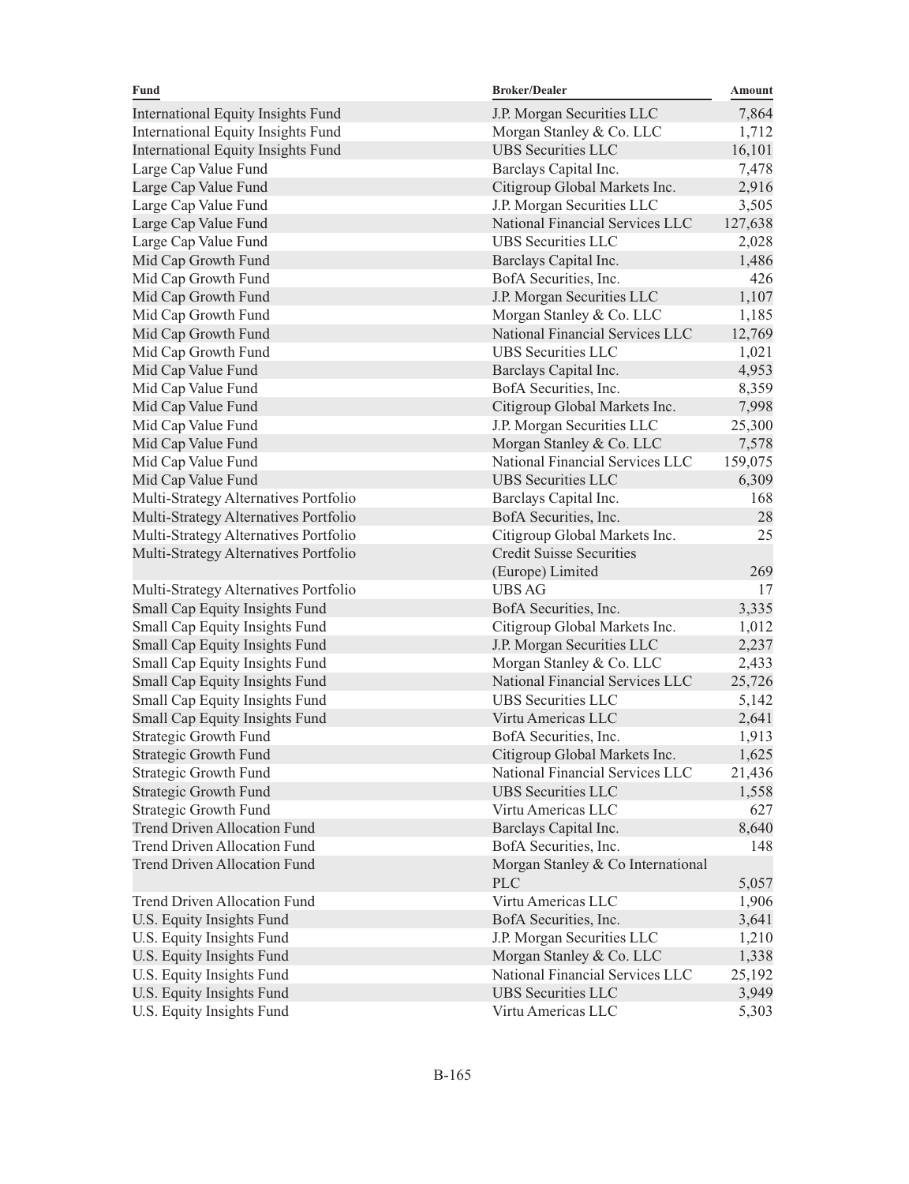| 7,864<br><b>International Equity Insights Fund</b><br>J.P. Morgan Securities LLC<br>International Equity Insights Fund<br>Morgan Stanley & Co. LLC<br>1,712<br><b>International Equity Insights Fund</b><br><b>UBS</b> Securities LLC<br>16,101<br>Barclays Capital Inc.<br>7,478<br>Large Cap Value Fund<br>Citigroup Global Markets Inc.<br>2,916<br>J.P. Morgan Securities LLC<br>Large Cap Value Fund<br>3,505<br>National Financial Services LLC<br>Large Cap Value Fund<br>127,638<br><b>UBS</b> Securities LLC<br>Large Cap Value Fund<br>2,028<br>Mid Cap Growth Fund<br>Barclays Capital Inc.<br>1,486<br>BofA Securities, Inc.<br>Mid Cap Growth Fund<br>426<br>Mid Cap Growth Fund<br>J.P. Morgan Securities LLC<br>1,107<br>Morgan Stanley & Co. LLC<br>Mid Cap Growth Fund<br>1,185<br>National Financial Services LLC<br>12,769<br>Mid Cap Growth Fund<br><b>UBS</b> Securities LLC<br>Mid Cap Growth Fund<br>1,021<br>Mid Cap Value Fund<br>Barclays Capital Inc.<br>4,953<br>Mid Cap Value Fund<br>BofA Securities, Inc.<br>8,359<br>Mid Cap Value Fund<br>Citigroup Global Markets Inc.<br>7,998<br>J.P. Morgan Securities LLC<br>Mid Cap Value Fund<br>25,300<br>Mid Cap Value Fund<br>Morgan Stanley & Co. LLC<br>7,578<br>National Financial Services LLC<br>Mid Cap Value Fund<br>159,075<br>Mid Cap Value Fund<br><b>UBS</b> Securities LLC<br>6,309<br>Multi-Strategy Alternatives Portfolio<br>Barclays Capital Inc.<br>168<br>BofA Securities, Inc.<br>28<br>Multi-Strategy Alternatives Portfolio<br>Multi-Strategy Alternatives Portfolio<br>Citigroup Global Markets Inc.<br>25<br><b>Credit Suisse Securities</b><br>Multi-Strategy Alternatives Portfolio<br>(Europe) Limited<br>269<br>Multi-Strategy Alternatives Portfolio<br><b>UBS AG</b><br>17<br>Small Cap Equity Insights Fund<br>BofA Securities, Inc.<br>3,335<br>Small Cap Equity Insights Fund<br>Citigroup Global Markets Inc.<br>1,012<br>Small Cap Equity Insights Fund<br>J.P. Morgan Securities LLC<br>2,237<br>Morgan Stanley & Co. LLC<br>Small Cap Equity Insights Fund<br>2,433<br>Small Cap Equity Insights Fund<br>National Financial Services LLC<br>25,726<br>Small Cap Equity Insights Fund<br>UBS Securities LLC<br>5,142<br>Virtu Americas LLC<br>Small Cap Equity Insights Fund<br>2,641<br>Strategic Growth Fund<br>BofA Securities, Inc.<br>1,913<br><b>Strategic Growth Fund</b><br>Citigroup Global Markets Inc.<br>1,625<br>Strategic Growth Fund<br>National Financial Services LLC<br>21,436<br><b>Strategic Growth Fund</b><br><b>UBS</b> Securities LLC<br>1,558<br><b>Strategic Growth Fund</b><br>Virtu Americas LLC<br>627<br><b>Trend Driven Allocation Fund</b><br>Barclays Capital Inc.<br>8,640<br>Trend Driven Allocation Fund<br>BofA Securities, Inc.<br>148 | Fund                                | <b>Broker/Dealer</b> | Amount |
|--------------------------------------------------------------------------------------------------------------------------------------------------------------------------------------------------------------------------------------------------------------------------------------------------------------------------------------------------------------------------------------------------------------------------------------------------------------------------------------------------------------------------------------------------------------------------------------------------------------------------------------------------------------------------------------------------------------------------------------------------------------------------------------------------------------------------------------------------------------------------------------------------------------------------------------------------------------------------------------------------------------------------------------------------------------------------------------------------------------------------------------------------------------------------------------------------------------------------------------------------------------------------------------------------------------------------------------------------------------------------------------------------------------------------------------------------------------------------------------------------------------------------------------------------------------------------------------------------------------------------------------------------------------------------------------------------------------------------------------------------------------------------------------------------------------------------------------------------------------------------------------------------------------------------------------------------------------------------------------------------------------------------------------------------------------------------------------------------------------------------------------------------------------------------------------------------------------------------------------------------------------------------------------------------------------------------------------------------------------------------------------------------------------------------------------------------------------------------------------------------------------------------------------------------------------------------------------------------------------------------------------------------------------------------------------------------------------------------------------------------------------------------------------------|-------------------------------------|----------------------|--------|
|                                                                                                                                                                                                                                                                                                                                                                                                                                                                                                                                                                                                                                                                                                                                                                                                                                                                                                                                                                                                                                                                                                                                                                                                                                                                                                                                                                                                                                                                                                                                                                                                                                                                                                                                                                                                                                                                                                                                                                                                                                                                                                                                                                                                                                                                                                                                                                                                                                                                                                                                                                                                                                                                                                                                                                                            |                                     |                      |        |
|                                                                                                                                                                                                                                                                                                                                                                                                                                                                                                                                                                                                                                                                                                                                                                                                                                                                                                                                                                                                                                                                                                                                                                                                                                                                                                                                                                                                                                                                                                                                                                                                                                                                                                                                                                                                                                                                                                                                                                                                                                                                                                                                                                                                                                                                                                                                                                                                                                                                                                                                                                                                                                                                                                                                                                                            |                                     |                      |        |
|                                                                                                                                                                                                                                                                                                                                                                                                                                                                                                                                                                                                                                                                                                                                                                                                                                                                                                                                                                                                                                                                                                                                                                                                                                                                                                                                                                                                                                                                                                                                                                                                                                                                                                                                                                                                                                                                                                                                                                                                                                                                                                                                                                                                                                                                                                                                                                                                                                                                                                                                                                                                                                                                                                                                                                                            |                                     |                      |        |
|                                                                                                                                                                                                                                                                                                                                                                                                                                                                                                                                                                                                                                                                                                                                                                                                                                                                                                                                                                                                                                                                                                                                                                                                                                                                                                                                                                                                                                                                                                                                                                                                                                                                                                                                                                                                                                                                                                                                                                                                                                                                                                                                                                                                                                                                                                                                                                                                                                                                                                                                                                                                                                                                                                                                                                                            | Large Cap Value Fund                |                      |        |
|                                                                                                                                                                                                                                                                                                                                                                                                                                                                                                                                                                                                                                                                                                                                                                                                                                                                                                                                                                                                                                                                                                                                                                                                                                                                                                                                                                                                                                                                                                                                                                                                                                                                                                                                                                                                                                                                                                                                                                                                                                                                                                                                                                                                                                                                                                                                                                                                                                                                                                                                                                                                                                                                                                                                                                                            |                                     |                      |        |
|                                                                                                                                                                                                                                                                                                                                                                                                                                                                                                                                                                                                                                                                                                                                                                                                                                                                                                                                                                                                                                                                                                                                                                                                                                                                                                                                                                                                                                                                                                                                                                                                                                                                                                                                                                                                                                                                                                                                                                                                                                                                                                                                                                                                                                                                                                                                                                                                                                                                                                                                                                                                                                                                                                                                                                                            |                                     |                      |        |
|                                                                                                                                                                                                                                                                                                                                                                                                                                                                                                                                                                                                                                                                                                                                                                                                                                                                                                                                                                                                                                                                                                                                                                                                                                                                                                                                                                                                                                                                                                                                                                                                                                                                                                                                                                                                                                                                                                                                                                                                                                                                                                                                                                                                                                                                                                                                                                                                                                                                                                                                                                                                                                                                                                                                                                                            |                                     |                      |        |
|                                                                                                                                                                                                                                                                                                                                                                                                                                                                                                                                                                                                                                                                                                                                                                                                                                                                                                                                                                                                                                                                                                                                                                                                                                                                                                                                                                                                                                                                                                                                                                                                                                                                                                                                                                                                                                                                                                                                                                                                                                                                                                                                                                                                                                                                                                                                                                                                                                                                                                                                                                                                                                                                                                                                                                                            |                                     |                      |        |
|                                                                                                                                                                                                                                                                                                                                                                                                                                                                                                                                                                                                                                                                                                                                                                                                                                                                                                                                                                                                                                                                                                                                                                                                                                                                                                                                                                                                                                                                                                                                                                                                                                                                                                                                                                                                                                                                                                                                                                                                                                                                                                                                                                                                                                                                                                                                                                                                                                                                                                                                                                                                                                                                                                                                                                                            |                                     |                      |        |
|                                                                                                                                                                                                                                                                                                                                                                                                                                                                                                                                                                                                                                                                                                                                                                                                                                                                                                                                                                                                                                                                                                                                                                                                                                                                                                                                                                                                                                                                                                                                                                                                                                                                                                                                                                                                                                                                                                                                                                                                                                                                                                                                                                                                                                                                                                                                                                                                                                                                                                                                                                                                                                                                                                                                                                                            |                                     |                      |        |
|                                                                                                                                                                                                                                                                                                                                                                                                                                                                                                                                                                                                                                                                                                                                                                                                                                                                                                                                                                                                                                                                                                                                                                                                                                                                                                                                                                                                                                                                                                                                                                                                                                                                                                                                                                                                                                                                                                                                                                                                                                                                                                                                                                                                                                                                                                                                                                                                                                                                                                                                                                                                                                                                                                                                                                                            |                                     |                      |        |
|                                                                                                                                                                                                                                                                                                                                                                                                                                                                                                                                                                                                                                                                                                                                                                                                                                                                                                                                                                                                                                                                                                                                                                                                                                                                                                                                                                                                                                                                                                                                                                                                                                                                                                                                                                                                                                                                                                                                                                                                                                                                                                                                                                                                                                                                                                                                                                                                                                                                                                                                                                                                                                                                                                                                                                                            |                                     |                      |        |
|                                                                                                                                                                                                                                                                                                                                                                                                                                                                                                                                                                                                                                                                                                                                                                                                                                                                                                                                                                                                                                                                                                                                                                                                                                                                                                                                                                                                                                                                                                                                                                                                                                                                                                                                                                                                                                                                                                                                                                                                                                                                                                                                                                                                                                                                                                                                                                                                                                                                                                                                                                                                                                                                                                                                                                                            |                                     |                      |        |
|                                                                                                                                                                                                                                                                                                                                                                                                                                                                                                                                                                                                                                                                                                                                                                                                                                                                                                                                                                                                                                                                                                                                                                                                                                                                                                                                                                                                                                                                                                                                                                                                                                                                                                                                                                                                                                                                                                                                                                                                                                                                                                                                                                                                                                                                                                                                                                                                                                                                                                                                                                                                                                                                                                                                                                                            |                                     |                      |        |
|                                                                                                                                                                                                                                                                                                                                                                                                                                                                                                                                                                                                                                                                                                                                                                                                                                                                                                                                                                                                                                                                                                                                                                                                                                                                                                                                                                                                                                                                                                                                                                                                                                                                                                                                                                                                                                                                                                                                                                                                                                                                                                                                                                                                                                                                                                                                                                                                                                                                                                                                                                                                                                                                                                                                                                                            |                                     |                      |        |
|                                                                                                                                                                                                                                                                                                                                                                                                                                                                                                                                                                                                                                                                                                                                                                                                                                                                                                                                                                                                                                                                                                                                                                                                                                                                                                                                                                                                                                                                                                                                                                                                                                                                                                                                                                                                                                                                                                                                                                                                                                                                                                                                                                                                                                                                                                                                                                                                                                                                                                                                                                                                                                                                                                                                                                                            |                                     |                      |        |
|                                                                                                                                                                                                                                                                                                                                                                                                                                                                                                                                                                                                                                                                                                                                                                                                                                                                                                                                                                                                                                                                                                                                                                                                                                                                                                                                                                                                                                                                                                                                                                                                                                                                                                                                                                                                                                                                                                                                                                                                                                                                                                                                                                                                                                                                                                                                                                                                                                                                                                                                                                                                                                                                                                                                                                                            |                                     |                      |        |
|                                                                                                                                                                                                                                                                                                                                                                                                                                                                                                                                                                                                                                                                                                                                                                                                                                                                                                                                                                                                                                                                                                                                                                                                                                                                                                                                                                                                                                                                                                                                                                                                                                                                                                                                                                                                                                                                                                                                                                                                                                                                                                                                                                                                                                                                                                                                                                                                                                                                                                                                                                                                                                                                                                                                                                                            |                                     |                      |        |
|                                                                                                                                                                                                                                                                                                                                                                                                                                                                                                                                                                                                                                                                                                                                                                                                                                                                                                                                                                                                                                                                                                                                                                                                                                                                                                                                                                                                                                                                                                                                                                                                                                                                                                                                                                                                                                                                                                                                                                                                                                                                                                                                                                                                                                                                                                                                                                                                                                                                                                                                                                                                                                                                                                                                                                                            |                                     |                      |        |
|                                                                                                                                                                                                                                                                                                                                                                                                                                                                                                                                                                                                                                                                                                                                                                                                                                                                                                                                                                                                                                                                                                                                                                                                                                                                                                                                                                                                                                                                                                                                                                                                                                                                                                                                                                                                                                                                                                                                                                                                                                                                                                                                                                                                                                                                                                                                                                                                                                                                                                                                                                                                                                                                                                                                                                                            |                                     |                      |        |
|                                                                                                                                                                                                                                                                                                                                                                                                                                                                                                                                                                                                                                                                                                                                                                                                                                                                                                                                                                                                                                                                                                                                                                                                                                                                                                                                                                                                                                                                                                                                                                                                                                                                                                                                                                                                                                                                                                                                                                                                                                                                                                                                                                                                                                                                                                                                                                                                                                                                                                                                                                                                                                                                                                                                                                                            |                                     |                      |        |
|                                                                                                                                                                                                                                                                                                                                                                                                                                                                                                                                                                                                                                                                                                                                                                                                                                                                                                                                                                                                                                                                                                                                                                                                                                                                                                                                                                                                                                                                                                                                                                                                                                                                                                                                                                                                                                                                                                                                                                                                                                                                                                                                                                                                                                                                                                                                                                                                                                                                                                                                                                                                                                                                                                                                                                                            |                                     |                      |        |
|                                                                                                                                                                                                                                                                                                                                                                                                                                                                                                                                                                                                                                                                                                                                                                                                                                                                                                                                                                                                                                                                                                                                                                                                                                                                                                                                                                                                                                                                                                                                                                                                                                                                                                                                                                                                                                                                                                                                                                                                                                                                                                                                                                                                                                                                                                                                                                                                                                                                                                                                                                                                                                                                                                                                                                                            |                                     |                      |        |
|                                                                                                                                                                                                                                                                                                                                                                                                                                                                                                                                                                                                                                                                                                                                                                                                                                                                                                                                                                                                                                                                                                                                                                                                                                                                                                                                                                                                                                                                                                                                                                                                                                                                                                                                                                                                                                                                                                                                                                                                                                                                                                                                                                                                                                                                                                                                                                                                                                                                                                                                                                                                                                                                                                                                                                                            |                                     |                      |        |
|                                                                                                                                                                                                                                                                                                                                                                                                                                                                                                                                                                                                                                                                                                                                                                                                                                                                                                                                                                                                                                                                                                                                                                                                                                                                                                                                                                                                                                                                                                                                                                                                                                                                                                                                                                                                                                                                                                                                                                                                                                                                                                                                                                                                                                                                                                                                                                                                                                                                                                                                                                                                                                                                                                                                                                                            |                                     |                      |        |
|                                                                                                                                                                                                                                                                                                                                                                                                                                                                                                                                                                                                                                                                                                                                                                                                                                                                                                                                                                                                                                                                                                                                                                                                                                                                                                                                                                                                                                                                                                                                                                                                                                                                                                                                                                                                                                                                                                                                                                                                                                                                                                                                                                                                                                                                                                                                                                                                                                                                                                                                                                                                                                                                                                                                                                                            |                                     |                      |        |
|                                                                                                                                                                                                                                                                                                                                                                                                                                                                                                                                                                                                                                                                                                                                                                                                                                                                                                                                                                                                                                                                                                                                                                                                                                                                                                                                                                                                                                                                                                                                                                                                                                                                                                                                                                                                                                                                                                                                                                                                                                                                                                                                                                                                                                                                                                                                                                                                                                                                                                                                                                                                                                                                                                                                                                                            |                                     |                      |        |
|                                                                                                                                                                                                                                                                                                                                                                                                                                                                                                                                                                                                                                                                                                                                                                                                                                                                                                                                                                                                                                                                                                                                                                                                                                                                                                                                                                                                                                                                                                                                                                                                                                                                                                                                                                                                                                                                                                                                                                                                                                                                                                                                                                                                                                                                                                                                                                                                                                                                                                                                                                                                                                                                                                                                                                                            |                                     |                      |        |
|                                                                                                                                                                                                                                                                                                                                                                                                                                                                                                                                                                                                                                                                                                                                                                                                                                                                                                                                                                                                                                                                                                                                                                                                                                                                                                                                                                                                                                                                                                                                                                                                                                                                                                                                                                                                                                                                                                                                                                                                                                                                                                                                                                                                                                                                                                                                                                                                                                                                                                                                                                                                                                                                                                                                                                                            |                                     |                      |        |
|                                                                                                                                                                                                                                                                                                                                                                                                                                                                                                                                                                                                                                                                                                                                                                                                                                                                                                                                                                                                                                                                                                                                                                                                                                                                                                                                                                                                                                                                                                                                                                                                                                                                                                                                                                                                                                                                                                                                                                                                                                                                                                                                                                                                                                                                                                                                                                                                                                                                                                                                                                                                                                                                                                                                                                                            |                                     |                      |        |
|                                                                                                                                                                                                                                                                                                                                                                                                                                                                                                                                                                                                                                                                                                                                                                                                                                                                                                                                                                                                                                                                                                                                                                                                                                                                                                                                                                                                                                                                                                                                                                                                                                                                                                                                                                                                                                                                                                                                                                                                                                                                                                                                                                                                                                                                                                                                                                                                                                                                                                                                                                                                                                                                                                                                                                                            |                                     |                      |        |
|                                                                                                                                                                                                                                                                                                                                                                                                                                                                                                                                                                                                                                                                                                                                                                                                                                                                                                                                                                                                                                                                                                                                                                                                                                                                                                                                                                                                                                                                                                                                                                                                                                                                                                                                                                                                                                                                                                                                                                                                                                                                                                                                                                                                                                                                                                                                                                                                                                                                                                                                                                                                                                                                                                                                                                                            |                                     |                      |        |
|                                                                                                                                                                                                                                                                                                                                                                                                                                                                                                                                                                                                                                                                                                                                                                                                                                                                                                                                                                                                                                                                                                                                                                                                                                                                                                                                                                                                                                                                                                                                                                                                                                                                                                                                                                                                                                                                                                                                                                                                                                                                                                                                                                                                                                                                                                                                                                                                                                                                                                                                                                                                                                                                                                                                                                                            |                                     |                      |        |
|                                                                                                                                                                                                                                                                                                                                                                                                                                                                                                                                                                                                                                                                                                                                                                                                                                                                                                                                                                                                                                                                                                                                                                                                                                                                                                                                                                                                                                                                                                                                                                                                                                                                                                                                                                                                                                                                                                                                                                                                                                                                                                                                                                                                                                                                                                                                                                                                                                                                                                                                                                                                                                                                                                                                                                                            |                                     |                      |        |
|                                                                                                                                                                                                                                                                                                                                                                                                                                                                                                                                                                                                                                                                                                                                                                                                                                                                                                                                                                                                                                                                                                                                                                                                                                                                                                                                                                                                                                                                                                                                                                                                                                                                                                                                                                                                                                                                                                                                                                                                                                                                                                                                                                                                                                                                                                                                                                                                                                                                                                                                                                                                                                                                                                                                                                                            |                                     |                      |        |
|                                                                                                                                                                                                                                                                                                                                                                                                                                                                                                                                                                                                                                                                                                                                                                                                                                                                                                                                                                                                                                                                                                                                                                                                                                                                                                                                                                                                                                                                                                                                                                                                                                                                                                                                                                                                                                                                                                                                                                                                                                                                                                                                                                                                                                                                                                                                                                                                                                                                                                                                                                                                                                                                                                                                                                                            |                                     |                      |        |
|                                                                                                                                                                                                                                                                                                                                                                                                                                                                                                                                                                                                                                                                                                                                                                                                                                                                                                                                                                                                                                                                                                                                                                                                                                                                                                                                                                                                                                                                                                                                                                                                                                                                                                                                                                                                                                                                                                                                                                                                                                                                                                                                                                                                                                                                                                                                                                                                                                                                                                                                                                                                                                                                                                                                                                                            |                                     |                      |        |
|                                                                                                                                                                                                                                                                                                                                                                                                                                                                                                                                                                                                                                                                                                                                                                                                                                                                                                                                                                                                                                                                                                                                                                                                                                                                                                                                                                                                                                                                                                                                                                                                                                                                                                                                                                                                                                                                                                                                                                                                                                                                                                                                                                                                                                                                                                                                                                                                                                                                                                                                                                                                                                                                                                                                                                                            |                                     |                      |        |
|                                                                                                                                                                                                                                                                                                                                                                                                                                                                                                                                                                                                                                                                                                                                                                                                                                                                                                                                                                                                                                                                                                                                                                                                                                                                                                                                                                                                                                                                                                                                                                                                                                                                                                                                                                                                                                                                                                                                                                                                                                                                                                                                                                                                                                                                                                                                                                                                                                                                                                                                                                                                                                                                                                                                                                                            |                                     |                      |        |
|                                                                                                                                                                                                                                                                                                                                                                                                                                                                                                                                                                                                                                                                                                                                                                                                                                                                                                                                                                                                                                                                                                                                                                                                                                                                                                                                                                                                                                                                                                                                                                                                                                                                                                                                                                                                                                                                                                                                                                                                                                                                                                                                                                                                                                                                                                                                                                                                                                                                                                                                                                                                                                                                                                                                                                                            |                                     |                      |        |
|                                                                                                                                                                                                                                                                                                                                                                                                                                                                                                                                                                                                                                                                                                                                                                                                                                                                                                                                                                                                                                                                                                                                                                                                                                                                                                                                                                                                                                                                                                                                                                                                                                                                                                                                                                                                                                                                                                                                                                                                                                                                                                                                                                                                                                                                                                                                                                                                                                                                                                                                                                                                                                                                                                                                                                                            |                                     |                      |        |
| Morgan Stanley & Co International                                                                                                                                                                                                                                                                                                                                                                                                                                                                                                                                                                                                                                                                                                                                                                                                                                                                                                                                                                                                                                                                                                                                                                                                                                                                                                                                                                                                                                                                                                                                                                                                                                                                                                                                                                                                                                                                                                                                                                                                                                                                                                                                                                                                                                                                                                                                                                                                                                                                                                                                                                                                                                                                                                                                                          | <b>Trend Driven Allocation Fund</b> |                      |        |
| <b>PLC</b><br>5,057                                                                                                                                                                                                                                                                                                                                                                                                                                                                                                                                                                                                                                                                                                                                                                                                                                                                                                                                                                                                                                                                                                                                                                                                                                                                                                                                                                                                                                                                                                                                                                                                                                                                                                                                                                                                                                                                                                                                                                                                                                                                                                                                                                                                                                                                                                                                                                                                                                                                                                                                                                                                                                                                                                                                                                        |                                     |                      |        |
| Virtu Americas LLC<br>1,906                                                                                                                                                                                                                                                                                                                                                                                                                                                                                                                                                                                                                                                                                                                                                                                                                                                                                                                                                                                                                                                                                                                                                                                                                                                                                                                                                                                                                                                                                                                                                                                                                                                                                                                                                                                                                                                                                                                                                                                                                                                                                                                                                                                                                                                                                                                                                                                                                                                                                                                                                                                                                                                                                                                                                                | <b>Trend Driven Allocation Fund</b> |                      |        |
| BofA Securities, Inc.<br>3,641                                                                                                                                                                                                                                                                                                                                                                                                                                                                                                                                                                                                                                                                                                                                                                                                                                                                                                                                                                                                                                                                                                                                                                                                                                                                                                                                                                                                                                                                                                                                                                                                                                                                                                                                                                                                                                                                                                                                                                                                                                                                                                                                                                                                                                                                                                                                                                                                                                                                                                                                                                                                                                                                                                                                                             | U.S. Equity Insights Fund           |                      |        |
| J.P. Morgan Securities LLC<br>1,210                                                                                                                                                                                                                                                                                                                                                                                                                                                                                                                                                                                                                                                                                                                                                                                                                                                                                                                                                                                                                                                                                                                                                                                                                                                                                                                                                                                                                                                                                                                                                                                                                                                                                                                                                                                                                                                                                                                                                                                                                                                                                                                                                                                                                                                                                                                                                                                                                                                                                                                                                                                                                                                                                                                                                        | U.S. Equity Insights Fund           |                      |        |
| Morgan Stanley & Co. LLC<br>1,338                                                                                                                                                                                                                                                                                                                                                                                                                                                                                                                                                                                                                                                                                                                                                                                                                                                                                                                                                                                                                                                                                                                                                                                                                                                                                                                                                                                                                                                                                                                                                                                                                                                                                                                                                                                                                                                                                                                                                                                                                                                                                                                                                                                                                                                                                                                                                                                                                                                                                                                                                                                                                                                                                                                                                          | U.S. Equity Insights Fund           |                      |        |
| National Financial Services LLC<br>25,192                                                                                                                                                                                                                                                                                                                                                                                                                                                                                                                                                                                                                                                                                                                                                                                                                                                                                                                                                                                                                                                                                                                                                                                                                                                                                                                                                                                                                                                                                                                                                                                                                                                                                                                                                                                                                                                                                                                                                                                                                                                                                                                                                                                                                                                                                                                                                                                                                                                                                                                                                                                                                                                                                                                                                  | U.S. Equity Insights Fund           |                      |        |
| <b>UBS Securities LLC</b><br>3,949                                                                                                                                                                                                                                                                                                                                                                                                                                                                                                                                                                                                                                                                                                                                                                                                                                                                                                                                                                                                                                                                                                                                                                                                                                                                                                                                                                                                                                                                                                                                                                                                                                                                                                                                                                                                                                                                                                                                                                                                                                                                                                                                                                                                                                                                                                                                                                                                                                                                                                                                                                                                                                                                                                                                                         | U.S. Equity Insights Fund           |                      |        |
| Virtu Americas LLC<br>5,303                                                                                                                                                                                                                                                                                                                                                                                                                                                                                                                                                                                                                                                                                                                                                                                                                                                                                                                                                                                                                                                                                                                                                                                                                                                                                                                                                                                                                                                                                                                                                                                                                                                                                                                                                                                                                                                                                                                                                                                                                                                                                                                                                                                                                                                                                                                                                                                                                                                                                                                                                                                                                                                                                                                                                                | U.S. Equity Insights Fund           |                      |        |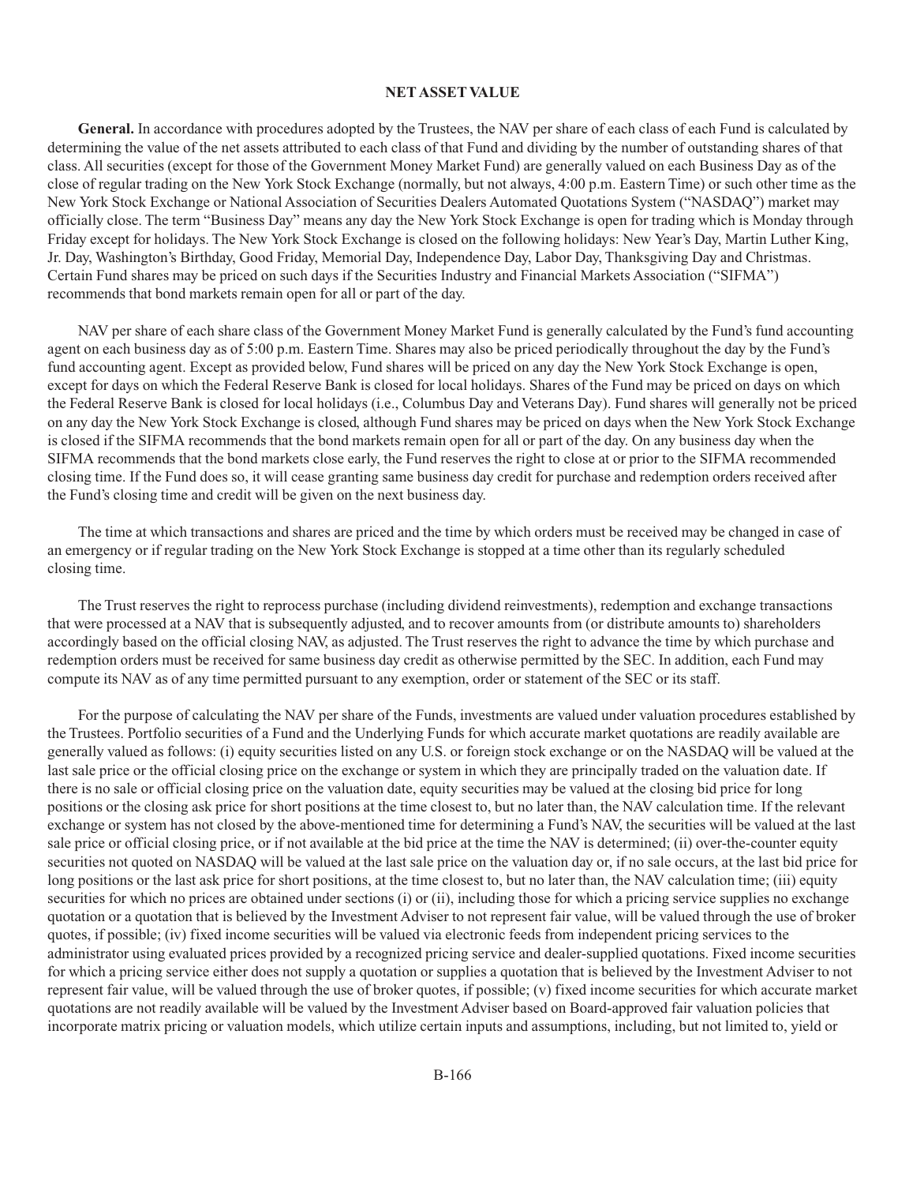## **NET ASSET VALUE**

General. In accordance with procedures adopted by the Trustees, the NAV per share of each class of each Fund is calculated by determining the value of the net assets attributed to each class of that Fund and dividing by the number of outstanding shares of that class. All securities (except for those of the Government Money Market Fund) are generally valued on each Business Day as of the close of regular trading on the New York Stock Exchange (normally, but not always, 4:00 p.m. Eastern Time) or such other time as the New York Stock Exchange or National Association of Securities Dealers Automated Quotations System ("NASDAQ") market may officially close. The term "Business Day" means any day the New York Stock Exchange is open for trading which is Monday through Friday except for holidays. The New York Stock Exchange is closed on the following holidays: New Year's Day, Martin Luther King, Jr. Day, Washington's Birthday, Good Friday, Memorial Day, Independence Day, Labor Day, Thanksgiving Day and Christmas. Certain Fund shares may be priced on such days if the Securities Industry and Financial Markets Association ("SIFMA") recommends that bond markets remain open for all or part of the day.

NAV per share of each share class of the Government Money Market Fund is generally calculated by the Fund's fund accounting agent on each business day as of 5:00 p.m. Eastern Time. Shares may also be priced periodically throughout the day by the Fund's fund accounting agent. Except as provided below, Fund shares will be priced on any day the New York Stock Exchange is open, except for days on which the Federal Reserve Bank is closed for local holidays. Shares of the Fund may be priced on days on which the Federal Reserve Bank is closed for local holidays (i.e., Columbus Day and Veterans Day). Fund shares will generally not be priced on any day the New York Stock Exchange is closed, although Fund shares may be priced on days when the New York Stock Exchange is closed if the SIFMA recommends that the bond markets remain open for all or part of the day. On any business day when the SIFMA recommends that the bond markets close early, the Fund reserves the right to close at or prior to the SIFMA recommended closing time. If the Fund does so, it will cease granting same business day credit for purchase and redemption orders received after the Fund's closing time and credit will be given on the next business day.

The time at which transactions and shares are priced and the time by which orders must be received may be changed in case of an emergency or if regular trading on the New York Stock Exchange is stopped at a time other than its regularly scheduled closing time.

The Trust reserves the right to reprocess purchase (including dividend reinvestments), redemption and exchange transactions that were processed at a NAV that is subsequently adjusted, and to recover amounts from (or distribute amounts to) shareholders accordingly based on the official closing NAV, as adjusted. The Trust reserves the right to advance the time by which purchase and redemption orders must be received for same business day credit as otherwise permitted by the SEC. In addition, each Fund may compute its NAV as of any time permitted pursuant to any exemption, order or statement of the SEC or its staff.

For the purpose of calculating the NAV per share of the Funds, investments are valued under valuation procedures established by the Trustees. Portfolio securities of a Fund and the Underlying Funds for which accurate market quotations are readily available are generally valued as follows: (i) equity securities listed on any U.S. or foreign stock exchange or on the NASDAQ will be valued at the last sale price or the official closing price on the exchange or system in which they are principally traded on the valuation date. If there is no sale or official closing price on the valuation date, equity securities may be valued at the closing bid price for long positions or the closing ask price for short positions at the time closest to, but no later than, the NAV calculation time. If the relevant exchange or system has not closed by the above-mentioned time for determining a Fund's NAV, the securities will be valued at the last sale price or official closing price, or if not available at the bid price at the time the NAV is determined; (ii) over-the-counter equity securities not quoted on NASDAQ will be valued at the last sale price on the valuation day or, if no sale occurs, at the last bid price for long positions or the last ask price for short positions, at the time closest to, but no later than, the NAV calculation time; (iii) equity securities for which no prices are obtained under sections (i) or (ii), including those for which a pricing service supplies no exchange quotation or a quotation that is believed by the Investment Adviser to not represent fair value, will be valued through the use of broker quotes, if possible; (iv) fixed income securities will be valued via electronic feeds from independent pricing services to the administrator using evaluated prices provided by a recognized pricing service and dealer-supplied quotations. Fixed income securities for which a pricing service either does not supply a quotation or supplies a quotation that is believed by the Investment Adviser to not represent fair value, will be valued through the use of broker quotes, if possible; (v) fixed income securities for which accurate market quotations are not readily available will be valued by the Investment Adviser based on Board-approved fair valuation policies that incorporate matrix pricing or valuation models, which utilize certain inputs and assumptions, including, but not limited to, yield or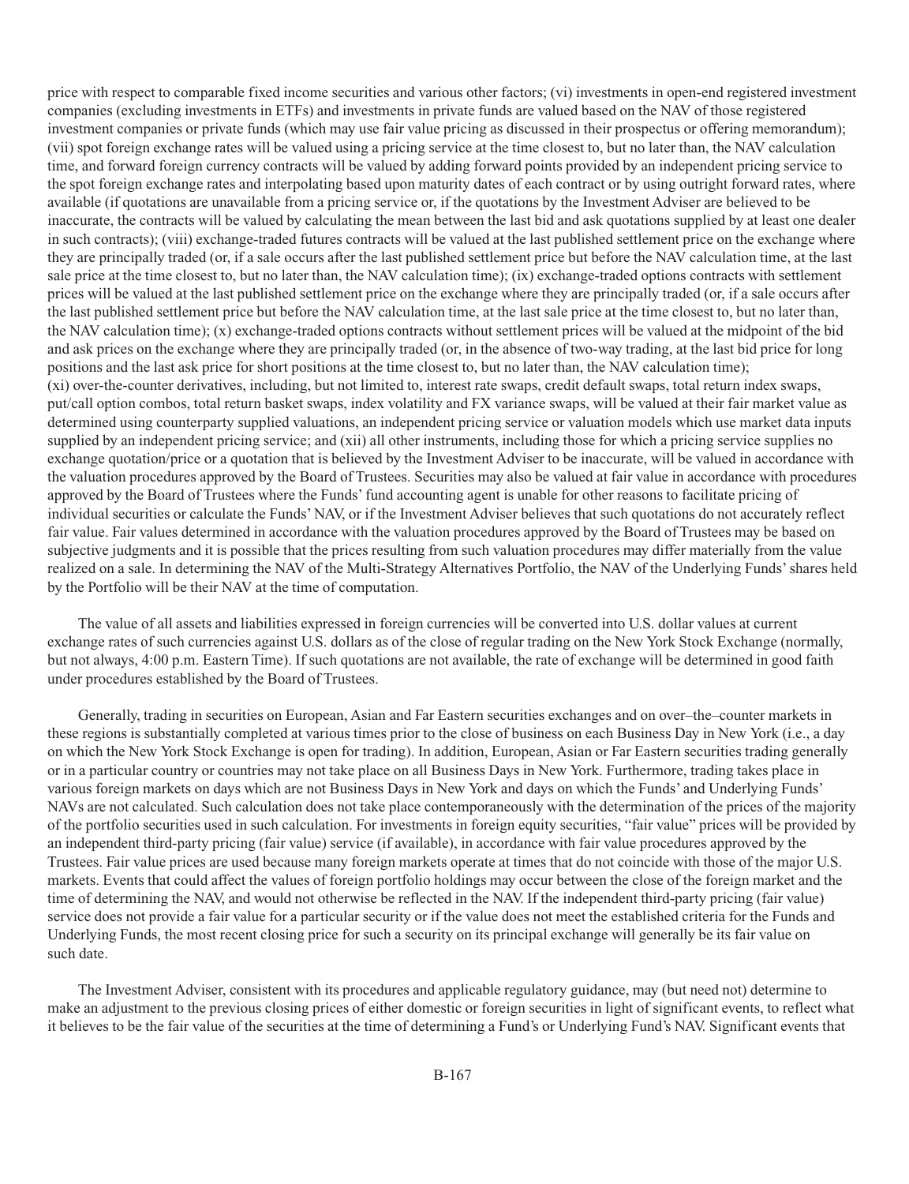price with respect to comparable fixed income securities and various other factors; (vi) investments in open-end registered investment companies (excluding investments in ETFs) and investments in private funds are valued based on the NAV of those registered investment companies or private funds (which may use fair value pricing as discussed in their prospectus or offering memorandum); (vii) spot foreign exchange rates will be valued using a pricing service at the time closest to, but no later than, the NAV calculation time, and forward foreign currency contracts will be valued by adding forward points provided by an independent pricing service to the spot foreign exchange rates and interpolating based upon maturity dates of each contract or by using outright forward rates, where available (if quotations are unavailable from a pricing service or, if the quotations by the Investment Adviser are believed to be inaccurate, the contracts will be valued by calculating the mean between the last bid and ask quotations supplied by at least one dealer in such contracts); (viii) exchange-traded futures contracts will be valued at the last published settlement price on the exchange where they are principally traded (or, if a sale occurs after the last published settlement price but before the NAV calculation time, at the last sale price at the time closest to, but no later than, the NAV calculation time); (ix) exchange-traded options contracts with settlement prices will be valued at the last published settlement price on the exchange where they are principally traded (or, if a sale occurs after the last published settlement price but before the NAV calculation time, at the last sale price at the time closest to, but no later than, the NAV calculation time); (x) exchange-traded options contracts without settlement prices will be valued at the midpoint of the bid and ask prices on the exchange where they are principally traded (or, in the absence of two-way trading, at the last bid price for long positions and the last ask price for short positions at the time closest to, but no later than, the NAV calculation time); (xi) over-the-counter derivatives, including, but not limited to, interest rate swaps, credit default swaps, total return index swaps, put/call option combos, total return basket swaps, index volatility and FX variance swaps, will be valued at their fair market value as determined using counterparty supplied valuations, an independent pricing service or valuation models which use market data inputs supplied by an independent pricing service; and (xii) all other instruments, including those for which a pricing service supplies no exchange quotation/price or a quotation that is believed by the Investment Adviser to be inaccurate, will be valued in accordance with the valuation procedures approved by the Board of Trustees. Securities may also be valued at fair value in accordance with procedures approved by the Board of Trustees where the Funds' fund accounting agent is unable for other reasons to facilitate pricing of individual securities or calculate the Funds' NAV, or if the Investment Adviser believes that such quotations do not accurately reflect fair value. Fair values determined in accordance with the valuation procedures approved by the Board of Trustees may be based on subjective judgments and it is possible that the prices resulting from such valuation procedures may differ materially from the value realized on a sale. In determining the NAV of the Multi-Strategy Alternatives Portfolio, the NAV of the Underlying Funds' shares held by the Portfolio will be their NAV at the time of computation.

The value of all assets and liabilities expressed in foreign currencies will be converted into U.S. dollar values at current exchange rates of such currencies against U.S. dollars as of the close of regular trading on the New York Stock Exchange (normally, but not always, 4:00 p.m. Eastern Time). If such quotations are not available, the rate of exchange will be determined in good faith under procedures established by the Board of Trustees.

Generally, trading in securities on European, Asian and Far Eastern securities exchanges and on over–the–counter markets in these regions is substantially completed at various times prior to the close of business on each Business Day in New York (i.e., a day on which the New York Stock Exchange is open for trading). In addition, European, Asian or Far Eastern securities trading generally or in a particular country or countries may not take place on all Business Days in New York. Furthermore, trading takes place in various foreign markets on days which are not Business Days in New York and days on which the Funds' and Underlying Funds' NAVs are not calculated. Such calculation does not take place contemporaneously with the determination of the prices of the majority of the portfolio securities used in such calculation. For investments in foreign equity securities, "fair value" prices will be provided by an independent third-party pricing (fair value) service (if available), in accordance with fair value procedures approved by the Trustees. Fair value prices are used because many foreign markets operate at times that do not coincide with those of the major U.S. markets. Events that could affect the values of foreign portfolio holdings may occur between the close of the foreign market and the time of determining the NAV, and would not otherwise be reflected in the NAV. If the independent third-party pricing (fair value) service does not provide a fair value for a particular security or if the value does not meet the established criteria for the Funds and Underlying Funds, the most recent closing price for such a security on its principal exchange will generally be its fair value on such date.

The Investment Adviser, consistent with its procedures and applicable regulatory guidance, may (but need not) determine to make an adjustment to the previous closing prices of either domestic or foreign securities in light of significant events, to reflect what it believes to be the fair value of the securities at the time of determining a Fund's or Underlying Fund's NAV. Significant events that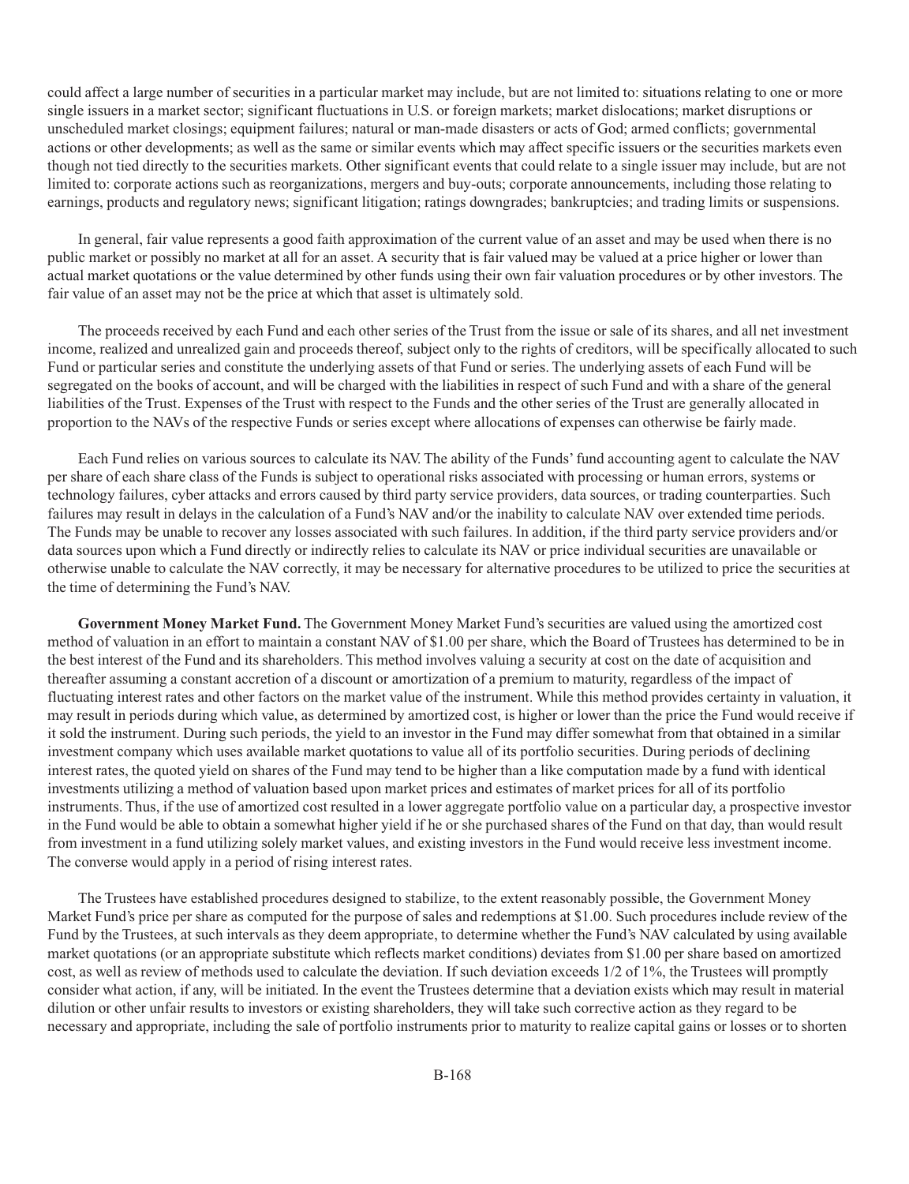could affect a large number of securities in a particular market may include, but are not limited to: situations relating to one or more single issuers in a market sector; significant fluctuations in U.S. or foreign markets; market dislocations; market disruptions or unscheduled market closings; equipment failures; natural or man-made disasters or acts of God; armed conflicts; governmental actions or other developments; as well as the same or similar events which may affect specific issuers or the securities markets even though not tied directly to the securities markets. Other significant events that could relate to a single issuer may include, but are not limited to: corporate actions such as reorganizations, mergers and buy-outs; corporate announcements, including those relating to earnings, products and regulatory news; significant litigation; ratings downgrades; bankruptcies; and trading limits or suspensions.

In general, fair value represents a good faith approximation of the current value of an asset and may be used when there is no public market or possibly no market at all for an asset. A security that is fair valued may be valued at a price higher or lower than actual market quotations or the value determined by other funds using their own fair valuation procedures or by other investors. The fair value of an asset may not be the price at which that asset is ultimately sold.

The proceeds received by each Fund and each other series of the Trust from the issue or sale of its shares, and all net investment income, realized and unrealized gain and proceeds thereof, subject only to the rights of creditors, will be specifically allocated to such Fund or particular series and constitute the underlying assets of that Fund or series. The underlying assets of each Fund will be segregated on the books of account, and will be charged with the liabilities in respect of such Fund and with a share of the general liabilities of the Trust. Expenses of the Trust with respect to the Funds and the other series of the Trust are generally allocated in proportion to the NAVs of the respective Funds or series except where allocations of expenses can otherwise be fairly made.

Each Fund relies on various sources to calculate its NAV. The ability of the Funds' fund accounting agent to calculate the NAV per share of each share class of the Funds is subject to operational risks associated with processing or human errors, systems or technology failures, cyber attacks and errors caused by third party service providers, data sources, or trading counterparties. Such failures may result in delays in the calculation of a Fund's NAV and/or the inability to calculate NAV over extended time periods. The Funds may be unable to recover any losses associated with such failures. In addition, if the third party service providers and/or data sources upon which a Fund directly or indirectly relies to calculate its NAV or price individual securities are unavailable or otherwise unable to calculate the NAV correctly, it may be necessary for alternative procedures to be utilized to price the securities at the time of determining the Fund's NAV.

**Government Money Market Fund.** The Government Money Market Fund's securities are valued using the amortized cost method of valuation in an effort to maintain a constant NAV of \$1.00 per share, which the Board of Trustees has determined to be in the best interest of the Fund and its shareholders. This method involves valuing a security at cost on the date of acquisition and thereafter assuming a constant accretion of a discount or amortization of a premium to maturity, regardless of the impact of fluctuating interest rates and other factors on the market value of the instrument. While this method provides certainty in valuation, it may result in periods during which value, as determined by amortized cost, is higher or lower than the price the Fund would receive if it sold the instrument. During such periods, the yield to an investor in the Fund may differ somewhat from that obtained in a similar investment company which uses available market quotations to value all of its portfolio securities. During periods of declining interest rates, the quoted yield on shares of the Fund may tend to be higher than a like computation made by a fund with identical investments utilizing a method of valuation based upon market prices and estimates of market prices for all of its portfolio instruments. Thus, if the use of amortized cost resulted in a lower aggregate portfolio value on a particular day, a prospective investor in the Fund would be able to obtain a somewhat higher yield if he or she purchased shares of the Fund on that day, than would result from investment in a fund utilizing solely market values, and existing investors in the Fund would receive less investment income. The converse would apply in a period of rising interest rates.

The Trustees have established procedures designed to stabilize, to the extent reasonably possible, the Government Money Market Fund's price per share as computed for the purpose of sales and redemptions at \$1.00. Such procedures include review of the Fund by the Trustees, at such intervals as they deem appropriate, to determine whether the Fund's NAV calculated by using available market quotations (or an appropriate substitute which reflects market conditions) deviates from \$1.00 per share based on amortized cost, as well as review of methods used to calculate the deviation. If such deviation exceeds 1/2 of 1%, the Trustees will promptly consider what action, if any, will be initiated. In the event the Trustees determine that a deviation exists which may result in material dilution or other unfair results to investors or existing shareholders, they will take such corrective action as they regard to be necessary and appropriate, including the sale of portfolio instruments prior to maturity to realize capital gains or losses or to shorten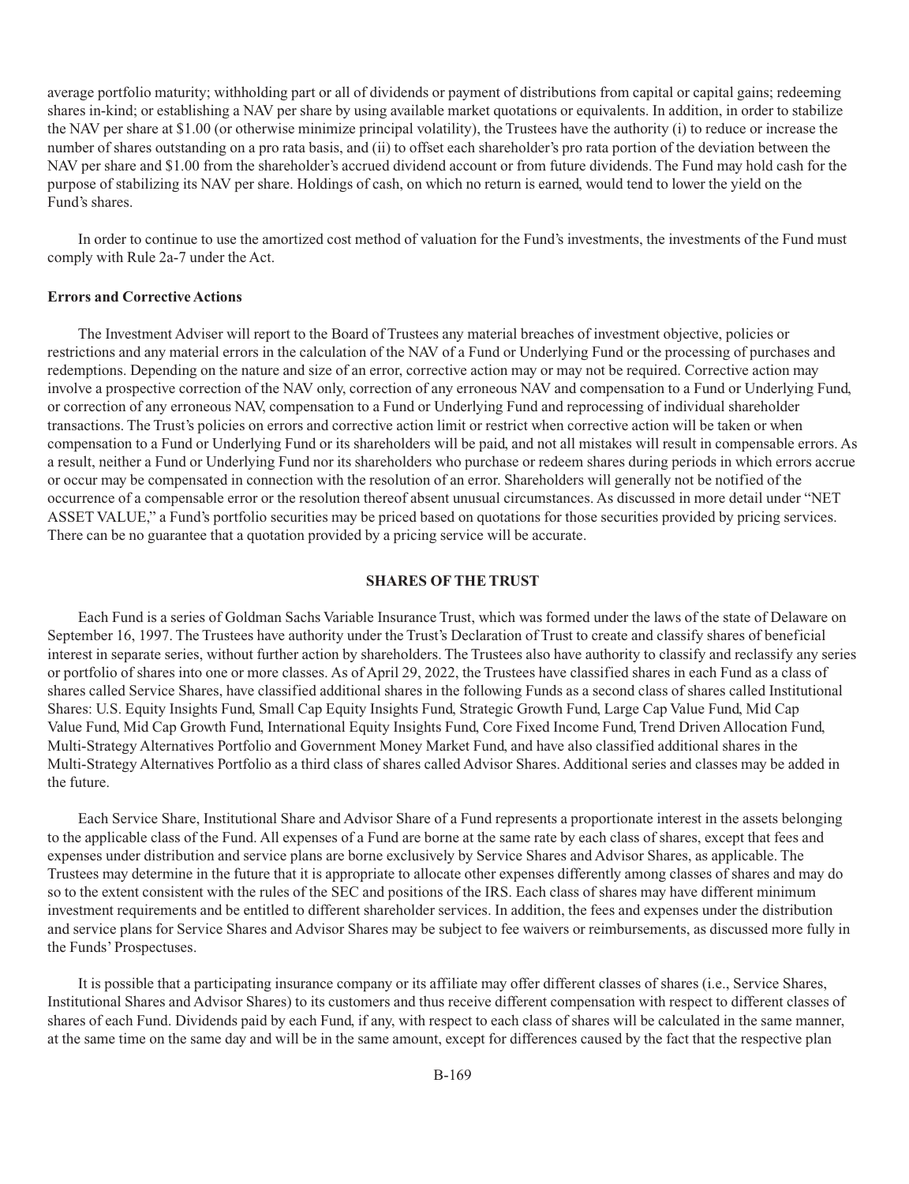average portfolio maturity; withholding part or all of dividends or payment of distributions from capital or capital gains; redeeming shares in-kind; or establishing a NAV per share by using available market quotations or equivalents. In addition, in order to stabilize the NAV per share at \$1.00 (or otherwise minimize principal volatility), the Trustees have the authority (i) to reduce or increase the number of shares outstanding on a pro rata basis, and (ii) to offset each shareholder's pro rata portion of the deviation between the NAV per share and \$1.00 from the shareholder's accrued dividend account or from future dividends. The Fund may hold cash for the purpose of stabilizing its NAV per share. Holdings of cash, on which no return is earned, would tend to lower the yield on the Fund's shares.

In order to continue to use the amortized cost method of valuation for the Fund's investments, the investments of the Fund must comply with Rule 2a-7 under the Act.

# **Errors and Corrective Actions**

The Investment Adviser will report to the Board of Trustees any material breaches of investment objective, policies or restrictions and any material errors in the calculation of the NAV of a Fund or Underlying Fund or the processing of purchases and redemptions. Depending on the nature and size of an error, corrective action may or may not be required. Corrective action may involve a prospective correction of the NAV only, correction of any erroneous NAV and compensation to a Fund or Underlying Fund, or correction of any erroneous NAV, compensation to a Fund or Underlying Fund and reprocessing of individual shareholder transactions. The Trust's policies on errors and corrective action limit or restrict when corrective action will be taken or when compensation to a Fund or Underlying Fund or its shareholders will be paid, and not all mistakes will result in compensable errors. As a result, neither a Fund or Underlying Fund nor its shareholders who purchase or redeem shares during periods in which errors accrue or occur may be compensated in connection with the resolution of an error. Shareholders will generally not be notified of the occurrence of a compensable error or the resolution thereof absent unusual circumstances. As discussed in more detail under "NET ASSET VALUE," a Fund's portfolio securities may be priced based on quotations for those securities provided by pricing services. There can be no guarantee that a quotation provided by a pricing service will be accurate.

## **SHARES OF THE TRUST**

Each Fund is a series of Goldman Sachs Variable Insurance Trust, which was formed under the laws of the state of Delaware on September 16, 1997. The Trustees have authority under the Trust's Declaration of Trust to create and classify shares of beneficial interest in separate series, without further action by shareholders. The Trustees also have authority to classify and reclassify any series or portfolio of shares into one or more classes. As of April 29, 2022, the Trustees have classified shares in each Fund as a class of shares called Service Shares, have classified additional shares in the following Funds as a second class of shares called Institutional Shares: U.S. Equity Insights Fund, Small Cap Equity Insights Fund, Strategic Growth Fund, Large Cap Value Fund, Mid Cap Value Fund, Mid Cap Growth Fund, International Equity Insights Fund, Core Fixed Income Fund, Trend Driven Allocation Fund, Multi-Strategy Alternatives Portfolio and Government Money Market Fund, and have also classified additional shares in the Multi-Strategy Alternatives Portfolio as a third class of shares called Advisor Shares. Additional series and classes may be added in the future.

Each Service Share, Institutional Share and Advisor Share of a Fund represents a proportionate interest in the assets belonging to the applicable class of the Fund. All expenses of a Fund are borne at the same rate by each class of shares, except that fees and expenses under distribution and service plans are borne exclusively by Service Shares and Advisor Shares, as applicable. The Trustees may determine in the future that it is appropriate to allocate other expenses differently among classes of shares and may do so to the extent consistent with the rules of the SEC and positions of the IRS. Each class of shares may have different minimum investment requirements and be entitled to different shareholder services. In addition, the fees and expenses under the distribution and service plans for Service Shares and Advisor Shares may be subject to fee waivers or reimbursements, as discussed more fully in the Funds' Prospectuses.

It is possible that a participating insurance company or its affiliate may offer different classes of shares (i.e., Service Shares, Institutional Shares and Advisor Shares) to its customers and thus receive different compensation with respect to different classes of shares of each Fund. Dividends paid by each Fund, if any, with respect to each class of shares will be calculated in the same manner, at the same time on the same day and will be in the same amount, except for differences caused by the fact that the respective plan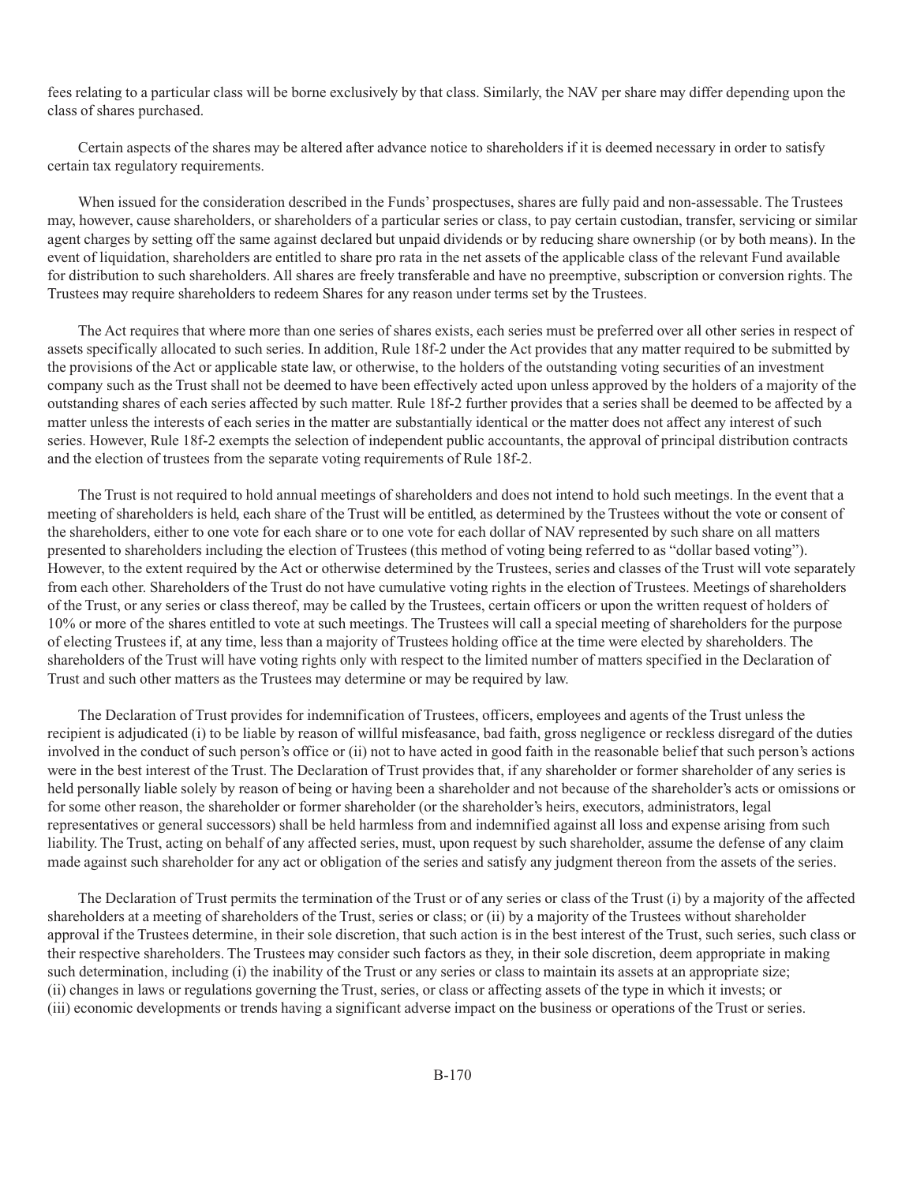fees relating to a particular class will be borne exclusively by that class. Similarly, the NAV per share may differ depending upon the class of shares purchased.

Certain aspects of the shares may be altered after advance notice to shareholders if it is deemed necessary in order to satisfy certain tax regulatory requirements.

When issued for the consideration described in the Funds' prospectuses, shares are fully paid and non-assessable. The Trustees may, however, cause shareholders, or shareholders of a particular series or class, to pay certain custodian, transfer, servicing or similar agent charges by setting off the same against declared but unpaid dividends or by reducing share ownership (or by both means). In the event of liquidation, shareholders are entitled to share pro rata in the net assets of the applicable class of the relevant Fund available for distribution to such shareholders. All shares are freely transferable and have no preemptive, subscription or conversion rights. The Trustees may require shareholders to redeem Shares for any reason under terms set by the Trustees.

The Act requires that where more than one series of shares exists, each series must be preferred over all other series in respect of assets specifically allocated to such series. In addition, Rule 18f-2 under the Act provides that any matter required to be submitted by the provisions of the Act or applicable state law, or otherwise, to the holders of the outstanding voting securities of an investment company such as the Trust shall not be deemed to have been effectively acted upon unless approved by the holders of a majority of the outstanding shares of each series affected by such matter. Rule 18f-2 further provides that a series shall be deemed to be affected by a matter unless the interests of each series in the matter are substantially identical or the matter does not affect any interest of such series. However, Rule 18f-2 exempts the selection of independent public accountants, the approval of principal distribution contracts and the election of trustees from the separate voting requirements of Rule 18f-2.

The Trust is not required to hold annual meetings of shareholders and does not intend to hold such meetings. In the event that a meeting of shareholders is held, each share of the Trust will be entitled, as determined by the Trustees without the vote or consent of the shareholders, either to one vote for each share or to one vote for each dollar of NAV represented by such share on all matters presented to shareholders including the election of Trustees (this method of voting being referred to as "dollar based voting"). However, to the extent required by the Act or otherwise determined by the Trustees, series and classes of the Trust will vote separately from each other. Shareholders of the Trust do not have cumulative voting rights in the election of Trustees. Meetings of shareholders of the Trust, or any series or class thereof, may be called by the Trustees, certain officers or upon the written request of holders of 10% or more of the shares entitled to vote at such meetings. The Trustees will call a special meeting of shareholders for the purpose of electing Trustees if, at any time, less than a majority of Trustees holding office at the time were elected by shareholders. The shareholders of the Trust will have voting rights only with respect to the limited number of matters specified in the Declaration of Trust and such other matters as the Trustees may determine or may be required by law.

The Declaration of Trust provides for indemnification of Trustees, officers, employees and agents of the Trust unless the recipient is adjudicated (i) to be liable by reason of willful misfeasance, bad faith, gross negligence or reckless disregard of the duties involved in the conduct of such person's office or (ii) not to have acted in good faith in the reasonable belief that such person's actions were in the best interest of the Trust. The Declaration of Trust provides that, if any shareholder or former shareholder of any series is held personally liable solely by reason of being or having been a shareholder and not because of the shareholder's acts or omissions or for some other reason, the shareholder or former shareholder (or the shareholder's heirs, executors, administrators, legal representatives or general successors) shall be held harmless from and indemnified against all loss and expense arising from such liability. The Trust, acting on behalf of any affected series, must, upon request by such shareholder, assume the defense of any claim made against such shareholder for any act or obligation of the series and satisfy any judgment thereon from the assets of the series.

The Declaration of Trust permits the termination of the Trust or of any series or class of the Trust (i) by a majority of the affected shareholders at a meeting of shareholders of the Trust, series or class; or (ii) by a majority of the Trustees without shareholder approval if the Trustees determine, in their sole discretion, that such action is in the best interest of the Trust, such series, such class or their respective shareholders. The Trustees may consider such factors as they, in their sole discretion, deem appropriate in making such determination, including (i) the inability of the Trust or any series or class to maintain its assets at an appropriate size; (ii) changes in laws or regulations governing the Trust, series, or class or affecting assets of the type in which it invests; or (iii) economic developments or trends having a significant adverse impact on the business or operations of the Trust or series.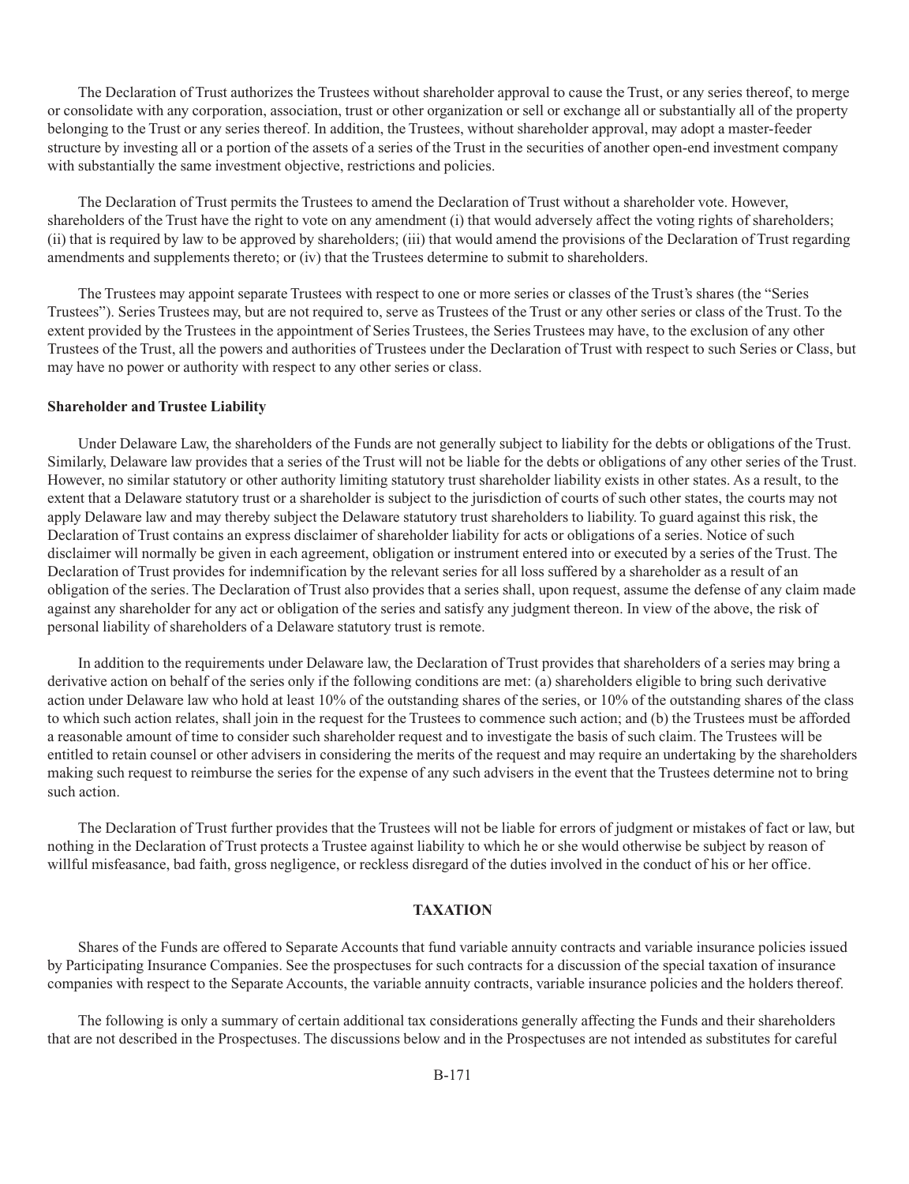The Declaration of Trust authorizes the Trustees without shareholder approval to cause the Trust, or any series thereof, to merge or consolidate with any corporation, association, trust or other organization or sell or exchange all or substantially all of the property belonging to the Trust or any series thereof. In addition, the Trustees, without shareholder approval, may adopt a master-feeder structure by investing all or a portion of the assets of a series of the Trust in the securities of another open-end investment company with substantially the same investment objective, restrictions and policies.

The Declaration of Trust permits the Trustees to amend the Declaration of Trust without a shareholder vote. However, shareholders of the Trust have the right to vote on any amendment (i) that would adversely affect the voting rights of shareholders; (ii) that is required by law to be approved by shareholders; (iii) that would amend the provisions of the Declaration of Trust regarding amendments and supplements thereto; or (iv) that the Trustees determine to submit to shareholders.

The Trustees may appoint separate Trustees with respect to one or more series or classes of the Trust's shares (the "Series Trustees"). Series Trustees may, but are not required to, serve as Trustees of the Trust or any other series or class of the Trust. To the extent provided by the Trustees in the appointment of Series Trustees, the Series Trustees may have, to the exclusion of any other Trustees of the Trust, all the powers and authorities of Trustees under the Declaration of Trust with respect to such Series or Class, but may have no power or authority with respect to any other series or class.

#### **Shareholder and Trustee Liability**

Under Delaware Law, the shareholders of the Funds are not generally subject to liability for the debts or obligations of the Trust. Similarly, Delaware law provides that a series of the Trust will not be liable for the debts or obligations of any other series of the Trust. However, no similar statutory or other authority limiting statutory trust shareholder liability exists in other states. As a result, to the extent that a Delaware statutory trust or a shareholder is subject to the jurisdiction of courts of such other states, the courts may not apply Delaware law and may thereby subject the Delaware statutory trust shareholders to liability. To guard against this risk, the Declaration of Trust contains an express disclaimer of shareholder liability for acts or obligations of a series. Notice of such disclaimer will normally be given in each agreement, obligation or instrument entered into or executed by a series of the Trust. The Declaration of Trust provides for indemnification by the relevant series for all loss suffered by a shareholder as a result of an obligation of the series. The Declaration of Trust also provides that a series shall, upon request, assume the defense of any claim made against any shareholder for any act or obligation of the series and satisfy any judgment thereon. In view of the above, the risk of personal liability of shareholders of a Delaware statutory trust is remote.

In addition to the requirements under Delaware law, the Declaration of Trust provides that shareholders of a series may bring a derivative action on behalf of the series only if the following conditions are met: (a) shareholders eligible to bring such derivative action under Delaware law who hold at least 10% of the outstanding shares of the series, or 10% of the outstanding shares of the class to which such action relates, shall join in the request for the Trustees to commence such action; and (b) the Trustees must be afforded a reasonable amount of time to consider such shareholder request and to investigate the basis of such claim. The Trustees will be entitled to retain counsel or other advisers in considering the merits of the request and may require an undertaking by the shareholders making such request to reimburse the series for the expense of any such advisers in the event that the Trustees determine not to bring such action.

The Declaration of Trust further provides that the Trustees will not be liable for errors of judgment or mistakes of fact or law, but nothing in the Declaration of Trust protects a Trustee against liability to which he or she would otherwise be subject by reason of willful misfeasance, bad faith, gross negligence, or reckless disregard of the duties involved in the conduct of his or her office.

# **TAXATION**

Shares of the Funds are offered to Separate Accounts that fund variable annuity contracts and variable insurance policies issued by Participating Insurance Companies. See the prospectuses for such contracts for a discussion of the special taxation of insurance companies with respect to the Separate Accounts, the variable annuity contracts, variable insurance policies and the holders thereof.

The following is only a summary of certain additional tax considerations generally affecting the Funds and their shareholders that are not described in the Prospectuses. The discussions below and in the Prospectuses are not intended as substitutes for careful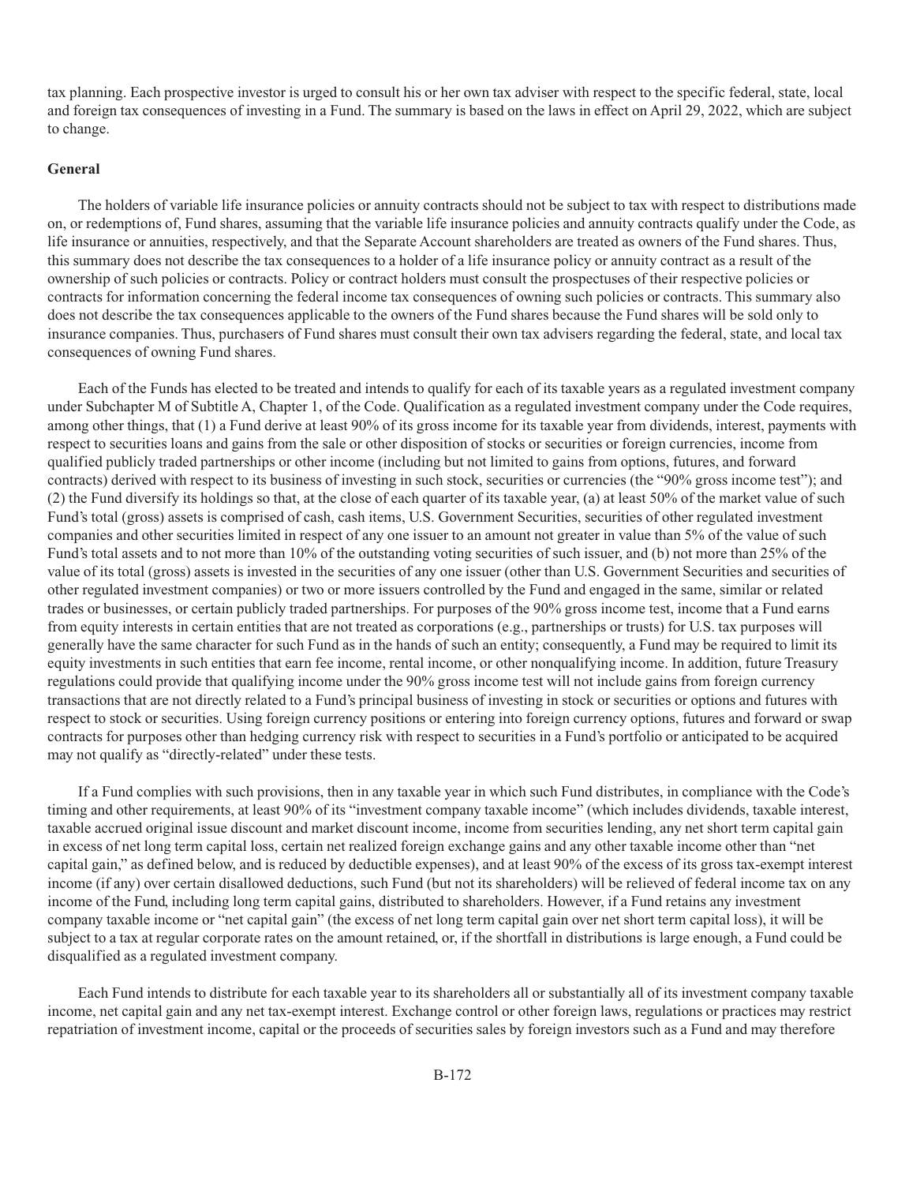tax planning. Each prospective investor is urged to consult his or her own tax adviser with respect to the specific federal, state, local and foreign tax consequences of investing in a Fund. The summary is based on the laws in effect on April 29, 2022, which are subject to change.

#### **General**

The holders of variable life insurance policies or annuity contracts should not be subject to tax with respect to distributions made on, or redemptions of, Fund shares, assuming that the variable life insurance policies and annuity contracts qualify under the Code, as life insurance or annuities, respectively, and that the Separate Account shareholders are treated as owners of the Fund shares. Thus, this summary does not describe the tax consequences to a holder of a life insurance policy or annuity contract as a result of the ownership of such policies or contracts. Policy or contract holders must consult the prospectuses of their respective policies or contracts for information concerning the federal income tax consequences of owning such policies or contracts. This summary also does not describe the tax consequences applicable to the owners of the Fund shares because the Fund shares will be sold only to insurance companies. Thus, purchasers of Fund shares must consult their own tax advisers regarding the federal, state, and local tax consequences of owning Fund shares.

Each of the Funds has elected to be treated and intends to qualify for each of its taxable years as a regulated investment company under Subchapter M of Subtitle A, Chapter 1, of the Code. Qualification as a regulated investment company under the Code requires, among other things, that (1) a Fund derive at least 90% of its gross income for its taxable year from dividends, interest, payments with respect to securities loans and gains from the sale or other disposition of stocks or securities or foreign currencies, income from qualified publicly traded partnerships or other income (including but not limited to gains from options, futures, and forward contracts) derived with respect to its business of investing in such stock, securities or currencies (the "90% gross income test"); and (2) the Fund diversify its holdings so that, at the close of each quarter of its taxable year, (a) at least 50% of the market value of such Fund's total (gross) assets is comprised of cash, cash items, U.S. Government Securities, securities of other regulated investment companies and other securities limited in respect of any one issuer to an amount not greater in value than 5% of the value of such Fund's total assets and to not more than 10% of the outstanding voting securities of such issuer, and (b) not more than 25% of the value of its total (gross) assets is invested in the securities of any one issuer (other than U.S. Government Securities and securities of other regulated investment companies) or two or more issuers controlled by the Fund and engaged in the same, similar or related trades or businesses, or certain publicly traded partnerships. For purposes of the 90% gross income test, income that a Fund earns from equity interests in certain entities that are not treated as corporations (e.g., partnerships or trusts) for U.S. tax purposes will generally have the same character for such Fund as in the hands of such an entity; consequently, a Fund may be required to limit its equity investments in such entities that earn fee income, rental income, or other nonqualifying income. In addition, future Treasury regulations could provide that qualifying income under the 90% gross income test will not include gains from foreign currency transactions that are not directly related to a Fund's principal business of investing in stock or securities or options and futures with respect to stock or securities. Using foreign currency positions or entering into foreign currency options, futures and forward or swap contracts for purposes other than hedging currency risk with respect to securities in a Fund's portfolio or anticipated to be acquired may not qualify as "directly-related" under these tests.

If a Fund complies with such provisions, then in any taxable year in which such Fund distributes, in compliance with the Code's timing and other requirements, at least 90% of its "investment company taxable income" (which includes dividends, taxable interest, taxable accrued original issue discount and market discount income, income from securities lending, any net short term capital gain in excess of net long term capital loss, certain net realized foreign exchange gains and any other taxable income other than "net capital gain," as defined below, and is reduced by deductible expenses), and at least 90% of the excess of its gross tax-exempt interest income (if any) over certain disallowed deductions, such Fund (but not its shareholders) will be relieved of federal income tax on any income of the Fund, including long term capital gains, distributed to shareholders. However, if a Fund retains any investment company taxable income or "net capital gain" (the excess of net long term capital gain over net short term capital loss), it will be subject to a tax at regular corporate rates on the amount retained, or, if the shortfall in distributions is large enough, a Fund could be disqualified as a regulated investment company.

Each Fund intends to distribute for each taxable year to its shareholders all or substantially all of its investment company taxable income, net capital gain and any net tax-exempt interest. Exchange control or other foreign laws, regulations or practices may restrict repatriation of investment income, capital or the proceeds of securities sales by foreign investors such as a Fund and may therefore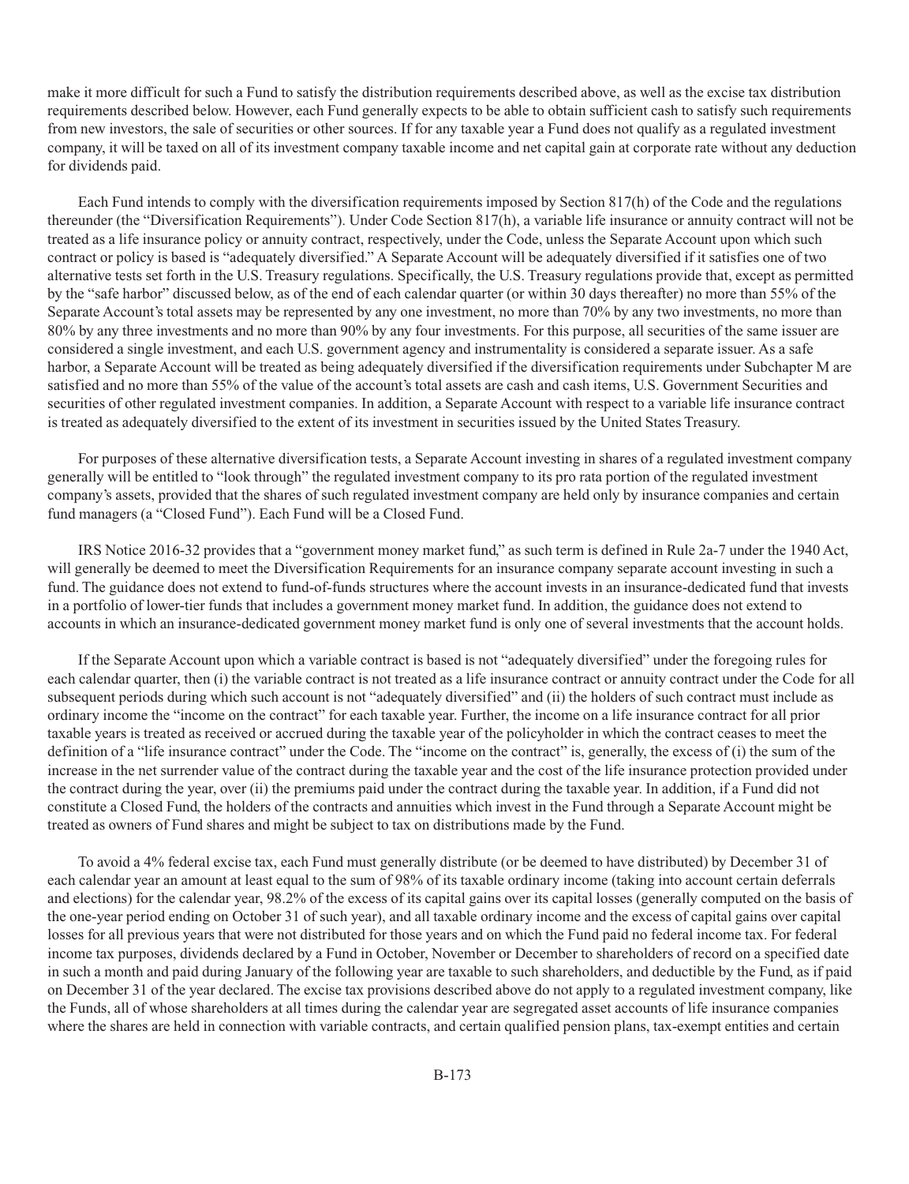make it more difficult for such a Fund to satisfy the distribution requirements described above, as well as the excise tax distribution requirements described below. However, each Fund generally expects to be able to obtain sufficient cash to satisfy such requirements from new investors, the sale of securities or other sources. If for any taxable year a Fund does not qualify as a regulated investment company, it will be taxed on all of its investment company taxable income and net capital gain at corporate rate without any deduction for dividends paid.

Each Fund intends to comply with the diversification requirements imposed by Section 817(h) of the Code and the regulations thereunder (the "Diversification Requirements"). Under Code Section 817(h), a variable life insurance or annuity contract will not be treated as a life insurance policy or annuity contract, respectively, under the Code, unless the Separate Account upon which such contract or policy is based is "adequately diversified." A Separate Account will be adequately diversified if it satisfies one of two alternative tests set forth in the U.S. Treasury regulations. Specifically, the U.S. Treasury regulations provide that, except as permitted by the "safe harbor" discussed below, as of the end of each calendar quarter (or within 30 days thereafter) no more than 55% of the Separate Account's total assets may be represented by any one investment, no more than 70% by any two investments, no more than 80% by any three investments and no more than 90% by any four investments. For this purpose, all securities of the same issuer are considered a single investment, and each U.S. government agency and instrumentality is considered a separate issuer. As a safe harbor, a Separate Account will be treated as being adequately diversified if the diversification requirements under Subchapter M are satisfied and no more than 55% of the value of the account's total assets are cash and cash items, U.S. Government Securities and securities of other regulated investment companies. In addition, a Separate Account with respect to a variable life insurance contract is treated as adequately diversified to the extent of its investment in securities issued by the United States Treasury.

For purposes of these alternative diversification tests, a Separate Account investing in shares of a regulated investment company generally will be entitled to "look through" the regulated investment company to its pro rata portion of the regulated investment company's assets, provided that the shares of such regulated investment company are held only by insurance companies and certain fund managers (a "Closed Fund"). Each Fund will be a Closed Fund.

IRS Notice 2016-32 provides that a "government money market fund," as such term is defined in Rule 2a-7 under the 1940 Act, will generally be deemed to meet the Diversification Requirements for an insurance company separate account investing in such a fund. The guidance does not extend to fund-of-funds structures where the account invests in an insurance-dedicated fund that invests in a portfolio of lower-tier funds that includes a government money market fund. In addition, the guidance does not extend to accounts in which an insurance-dedicated government money market fund is only one of several investments that the account holds.

If the Separate Account upon which a variable contract is based is not "adequately diversified" under the foregoing rules for each calendar quarter, then (i) the variable contract is not treated as a life insurance contract or annuity contract under the Code for all subsequent periods during which such account is not "adequately diversified" and (ii) the holders of such contract must include as ordinary income the "income on the contract" for each taxable year. Further, the income on a life insurance contract for all prior taxable years is treated as received or accrued during the taxable year of the policyholder in which the contract ceases to meet the definition of a "life insurance contract" under the Code. The "income on the contract" is, generally, the excess of (i) the sum of the increase in the net surrender value of the contract during the taxable year and the cost of the life insurance protection provided under the contract during the year, over (ii) the premiums paid under the contract during the taxable year. In addition, if a Fund did not constitute a Closed Fund, the holders of the contracts and annuities which invest in the Fund through a Separate Account might be treated as owners of Fund shares and might be subject to tax on distributions made by the Fund.

To avoid a 4% federal excise tax, each Fund must generally distribute (or be deemed to have distributed) by December 31 of each calendar year an amount at least equal to the sum of 98% of its taxable ordinary income (taking into account certain deferrals and elections) for the calendar year, 98.2% of the excess of its capital gains over its capital losses (generally computed on the basis of the one-year period ending on October 31 of such year), and all taxable ordinary income and the excess of capital gains over capital losses for all previous years that were not distributed for those years and on which the Fund paid no federal income tax. For federal income tax purposes, dividends declared by a Fund in October, November or December to shareholders of record on a specified date in such a month and paid during January of the following year are taxable to such shareholders, and deductible by the Fund, as if paid on December 31 of the year declared. The excise tax provisions described above do not apply to a regulated investment company, like the Funds, all of whose shareholders at all times during the calendar year are segregated asset accounts of life insurance companies where the shares are held in connection with variable contracts, and certain qualified pension plans, tax-exempt entities and certain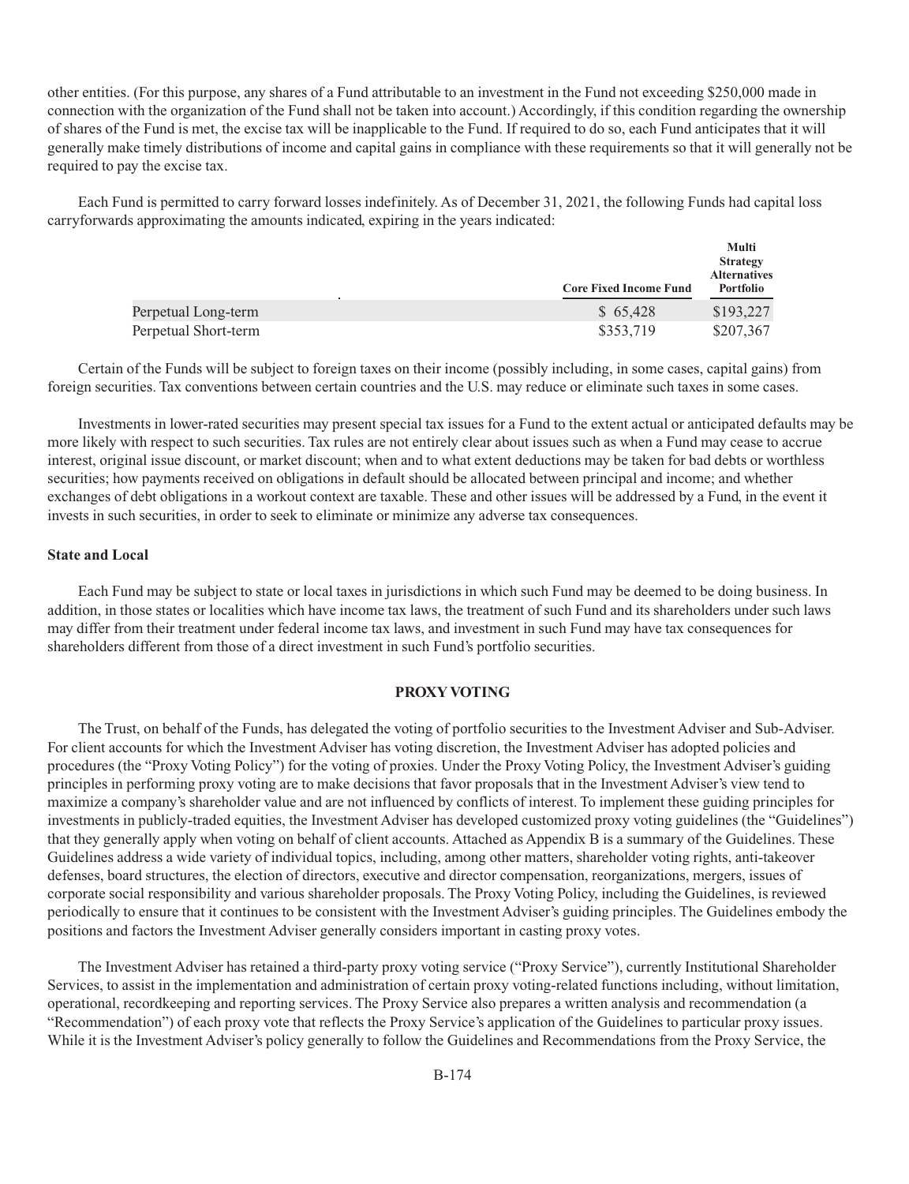other entities. (For this purpose, any shares of a Fund attributable to an investment in the Fund not exceeding \$250,000 made in connection with the organization of the Fund shall not be taken into account.) Accordingly, if this condition regarding the ownership of shares of the Fund is met, the excise tax will be inapplicable to the Fund. If required to do so, each Fund anticipates that it will generally make timely distributions of income and capital gains in compliance with these requirements so that it will generally not be required to pay the excise tax.

Each Fund is permitted to carry forward losses indefinitely. As of December 31, 2021, the following Funds had capital loss carryforwards approximating the amounts indicated, expiring in the years indicated:

|                      | <b>Core Fixed Income Fund</b> | Multi<br><b>Strategy</b><br><b>Alternatives</b><br>Portfolio |
|----------------------|-------------------------------|--------------------------------------------------------------|
| Perpetual Long-term  | \$65,428                      | \$193,227                                                    |
| Perpetual Short-term | \$353,719                     | \$207,367                                                    |

**Multi**

Certain of the Funds will be subject to foreign taxes on their income (possibly including, in some cases, capital gains) from foreign securities. Tax conventions between certain countries and the U.S. may reduce or eliminate such taxes in some cases.

Investments in lower-rated securities may present special tax issues for a Fund to the extent actual or anticipated defaults may be more likely with respect to such securities. Tax rules are not entirely clear about issues such as when a Fund may cease to accrue interest, original issue discount, or market discount; when and to what extent deductions may be taken for bad debts or worthless securities; how payments received on obligations in default should be allocated between principal and income; and whether exchanges of debt obligations in a workout context are taxable. These and other issues will be addressed by a Fund, in the event it invests in such securities, in order to seek to eliminate or minimize any adverse tax consequences.

## **State and Local**

Each Fund may be subject to state or local taxes in jurisdictions in which such Fund may be deemed to be doing business. In addition, in those states or localities which have income tax laws, the treatment of such Fund and its shareholders under such laws may differ from their treatment under federal income tax laws, and investment in such Fund may have tax consequences for shareholders different from those of a direct investment in such Fund's portfolio securities.

# **PROXY VOTING**

The Trust, on behalf of the Funds, has delegated the voting of portfolio securities to the Investment Adviser and Sub-Adviser. For client accounts for which the Investment Adviser has voting discretion, the Investment Adviser has adopted policies and procedures (the "Proxy Voting Policy") for the voting of proxies. Under the Proxy Voting Policy, the Investment Adviser's guiding principles in performing proxy voting are to make decisions that favor proposals that in the Investment Adviser's view tend to maximize a company's shareholder value and are not influenced by conflicts of interest. To implement these guiding principles for investments in publicly-traded equities, the Investment Adviser has developed customized proxy voting guidelines (the "Guidelines") that they generally apply when voting on behalf of client accounts. Attached as Appendix B is a summary of the Guidelines. These Guidelines address a wide variety of individual topics, including, among other matters, shareholder voting rights, anti-takeover defenses, board structures, the election of directors, executive and director compensation, reorganizations, mergers, issues of corporate social responsibility and various shareholder proposals. The Proxy Voting Policy, including the Guidelines, is reviewed periodically to ensure that it continues to be consistent with the Investment Adviser's guiding principles. The Guidelines embody the positions and factors the Investment Adviser generally considers important in casting proxy votes.

The Investment Adviser has retained a third-party proxy voting service ("Proxy Service"), currently Institutional Shareholder Services, to assist in the implementation and administration of certain proxy voting-related functions including, without limitation, operational, recordkeeping and reporting services. The Proxy Service also prepares a written analysis and recommendation (a "Recommendation") of each proxy vote that reflects the Proxy Service's application of the Guidelines to particular proxy issues. While it is the Investment Adviser's policy generally to follow the Guidelines and Recommendations from the Proxy Service, the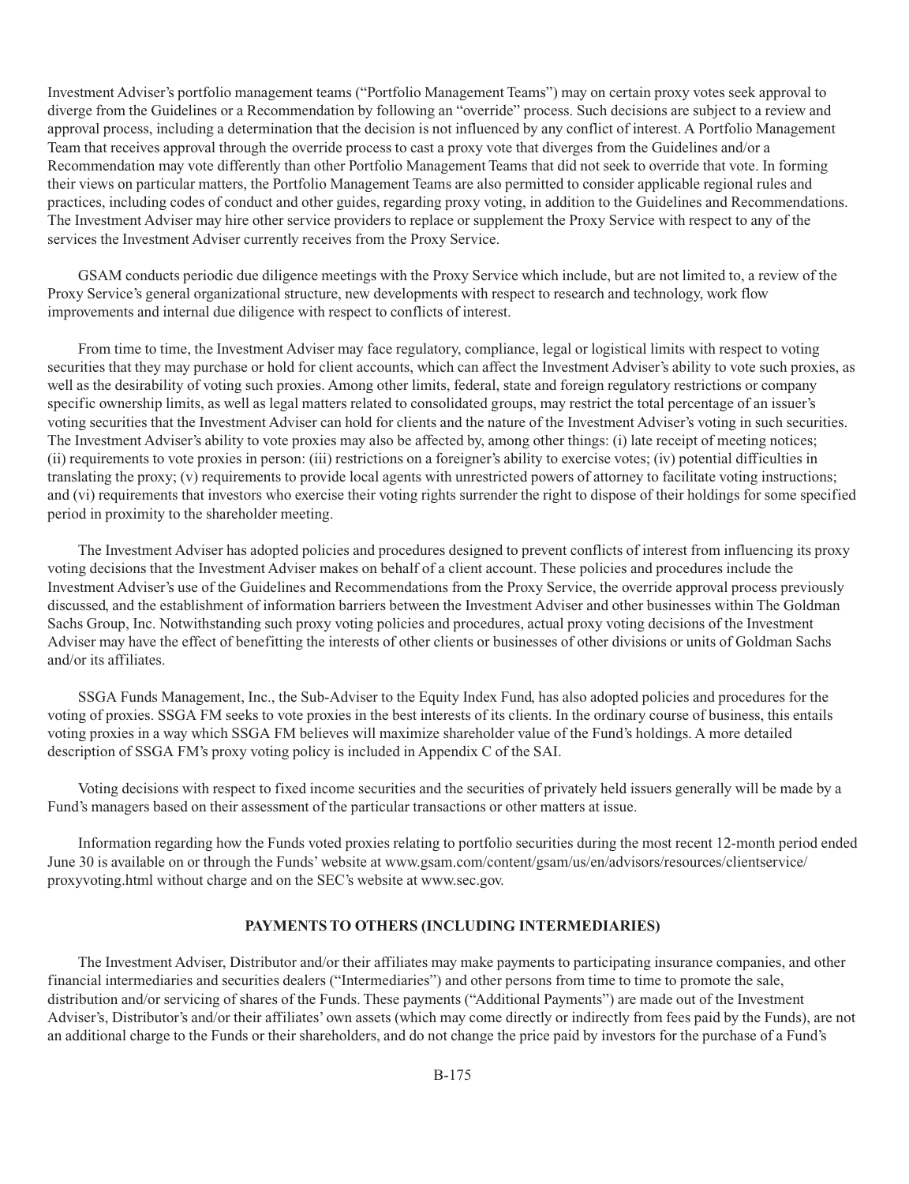Investment Adviser's portfolio management teams ("Portfolio Management Teams") may on certain proxy votes seek approval to diverge from the Guidelines or a Recommendation by following an "override" process. Such decisions are subject to a review and approval process, including a determination that the decision is not influenced by any conflict of interest. A Portfolio Management Team that receives approval through the override process to cast a proxy vote that diverges from the Guidelines and/or a Recommendation may vote differently than other Portfolio Management Teams that did not seek to override that vote. In forming their views on particular matters, the Portfolio Management Teams are also permitted to consider applicable regional rules and practices, including codes of conduct and other guides, regarding proxy voting, in addition to the Guidelines and Recommendations. The Investment Adviser may hire other service providers to replace or supplement the Proxy Service with respect to any of the services the Investment Adviser currently receives from the Proxy Service.

GSAM conducts periodic due diligence meetings with the Proxy Service which include, but are not limited to, a review of the Proxy Service's general organizational structure, new developments with respect to research and technology, work flow improvements and internal due diligence with respect to conflicts of interest.

From time to time, the Investment Adviser may face regulatory, compliance, legal or logistical limits with respect to voting securities that they may purchase or hold for client accounts, which can affect the Investment Adviser's ability to vote such proxies, as well as the desirability of voting such proxies. Among other limits, federal, state and foreign regulatory restrictions or company specific ownership limits, as well as legal matters related to consolidated groups, may restrict the total percentage of an issuer's voting securities that the Investment Adviser can hold for clients and the nature of the Investment Adviser's voting in such securities. The Investment Adviser's ability to vote proxies may also be affected by, among other things: (i) late receipt of meeting notices; (ii) requirements to vote proxies in person: (iii) restrictions on a foreigner's ability to exercise votes; (iv) potential difficulties in translating the proxy; (v) requirements to provide local agents with unrestricted powers of attorney to facilitate voting instructions; and (vi) requirements that investors who exercise their voting rights surrender the right to dispose of their holdings for some specified period in proximity to the shareholder meeting.

The Investment Adviser has adopted policies and procedures designed to prevent conflicts of interest from influencing its proxy voting decisions that the Investment Adviser makes on behalf of a client account. These policies and procedures include the Investment Adviser's use of the Guidelines and Recommendations from the Proxy Service, the override approval process previously discussed, and the establishment of information barriers between the Investment Adviser and other businesses within The Goldman Sachs Group, Inc. Notwithstanding such proxy voting policies and procedures, actual proxy voting decisions of the Investment Adviser may have the effect of benefitting the interests of other clients or businesses of other divisions or units of Goldman Sachs and/or its affiliates.

SSGA Funds Management, Inc., the Sub-Adviser to the Equity Index Fund, has also adopted policies and procedures for the voting of proxies. SSGA FM seeks to vote proxies in the best interests of its clients. In the ordinary course of business, this entails voting proxies in a way which SSGA FM believes will maximize shareholder value of the Fund's holdings. A more detailed description of SSGA FM's proxy voting policy is included in Appendix C of the SAI.

Voting decisions with respect to fixed income securities and the securities of privately held issuers generally will be made by a Fund's managers based on their assessment of the particular transactions or other matters at issue.

Information regarding how the Funds voted proxies relating to portfolio securities during the most recent 12-month period ended June 30 is available on or through the Funds' website at [www.gsam.com/content/gsam/us/en/advisors/resources/clientservice/](http://www.gsam.com/content/gsam/us/en/advisors/resources/clientservice/) proxyvoting.html without charge and on the SEC's website at www.sec.gov.

# **PAYMENTS TO OTHERS (INCLUDING INTERMEDIARIES)**

The Investment Adviser, Distributor and/or their affiliates may make payments to participating insurance companies, and other financial intermediaries and securities dealers ("Intermediaries") and other persons from time to time to promote the sale, distribution and/or servicing of shares of the Funds. These payments ("Additional Payments") are made out of the Investment Adviser's, Distributor's and/or their affiliates' own assets (which may come directly or indirectly from fees paid by the Funds), are not an additional charge to the Funds or their shareholders, and do not change the price paid by investors for the purchase of a Fund's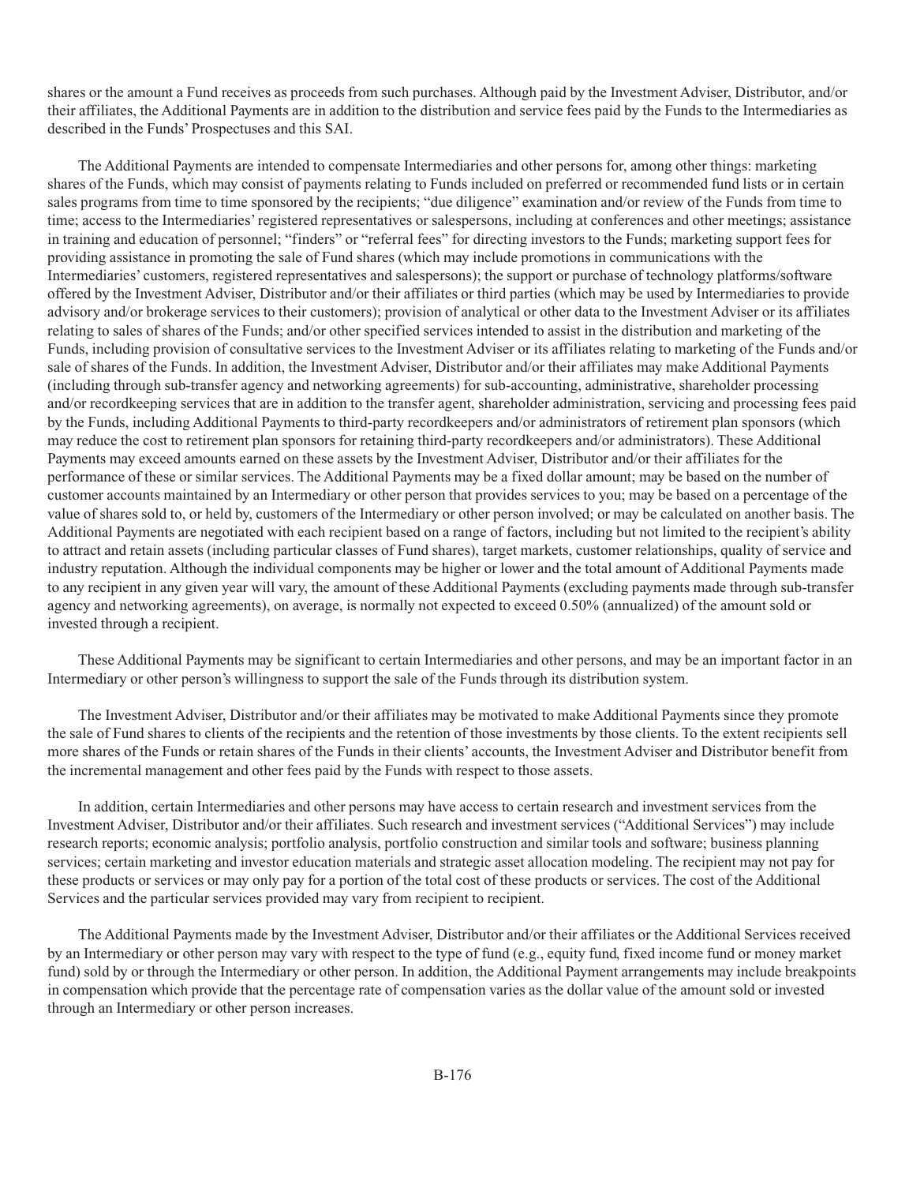shares or the amount a Fund receives as proceeds from such purchases. Although paid by the Investment Adviser, Distributor, and/or their affiliates, the Additional Payments are in addition to the distribution and service fees paid by the Funds to the Intermediaries as described in the Funds' Prospectuses and this SAI.

The Additional Payments are intended to compensate Intermediaries and other persons for, among other things: marketing shares of the Funds, which may consist of payments relating to Funds included on preferred or recommended fund lists or in certain sales programs from time to time sponsored by the recipients; "due diligence" examination and/or review of the Funds from time to time; access to the Intermediaries' registered representatives or salespersons, including at conferences and other meetings; assistance in training and education of personnel; "finders" or "referral fees" for directing investors to the Funds; marketing support fees for providing assistance in promoting the sale of Fund shares (which may include promotions in communications with the Intermediaries' customers, registered representatives and salespersons); the support or purchase of technology platforms/software offered by the Investment Adviser, Distributor and/or their affiliates or third parties (which may be used by Intermediaries to provide advisory and/or brokerage services to their customers); provision of analytical or other data to the Investment Adviser or its affiliates relating to sales of shares of the Funds; and/or other specified services intended to assist in the distribution and marketing of the Funds, including provision of consultative services to the Investment Adviser or its affiliates relating to marketing of the Funds and/or sale of shares of the Funds. In addition, the Investment Adviser, Distributor and/or their affiliates may make Additional Payments (including through sub-transfer agency and networking agreements) for sub-accounting, administrative, shareholder processing and/or recordkeeping services that are in addition to the transfer agent, shareholder administration, servicing and processing fees paid by the Funds, including Additional Payments to third-party recordkeepers and/or administrators of retirement plan sponsors (which may reduce the cost to retirement plan sponsors for retaining third-party recordkeepers and/or administrators). These Additional Payments may exceed amounts earned on these assets by the Investment Adviser, Distributor and/or their affiliates for the performance of these or similar services. The Additional Payments may be a fixed dollar amount; may be based on the number of customer accounts maintained by an Intermediary or other person that provides services to you; may be based on a percentage of the value of shares sold to, or held by, customers of the Intermediary or other person involved; or may be calculated on another basis. The Additional Payments are negotiated with each recipient based on a range of factors, including but not limited to the recipient's ability to attract and retain assets (including particular classes of Fund shares), target markets, customer relationships, quality of service and industry reputation. Although the individual components may be higher or lower and the total amount of Additional Payments made to any recipient in any given year will vary, the amount of these Additional Payments (excluding payments made through sub-transfer agency and networking agreements), on average, is normally not expected to exceed 0.50% (annualized) of the amount sold or invested through a recipient.

These Additional Payments may be significant to certain Intermediaries and other persons, and may be an important factor in an Intermediary or other person's willingness to support the sale of the Funds through its distribution system.

The Investment Adviser, Distributor and/or their affiliates may be motivated to make Additional Payments since they promote the sale of Fund shares to clients of the recipients and the retention of those investments by those clients. To the extent recipients sell more shares of the Funds or retain shares of the Funds in their clients' accounts, the Investment Adviser and Distributor benefit from the incremental management and other fees paid by the Funds with respect to those assets.

In addition, certain Intermediaries and other persons may have access to certain research and investment services from the Investment Adviser, Distributor and/or their affiliates. Such research and investment services ("Additional Services") may include research reports; economic analysis; portfolio analysis, portfolio construction and similar tools and software; business planning services; certain marketing and investor education materials and strategic asset allocation modeling. The recipient may not pay for these products or services or may only pay for a portion of the total cost of these products or services. The cost of the Additional Services and the particular services provided may vary from recipient to recipient.

The Additional Payments made by the Investment Adviser, Distributor and/or their affiliates or the Additional Services received by an Intermediary or other person may vary with respect to the type of fund (e.g., equity fund, fixed income fund or money market fund) sold by or through the Intermediary or other person. In addition, the Additional Payment arrangements may include breakpoints in compensation which provide that the percentage rate of compensation varies as the dollar value of the amount sold or invested through an Intermediary or other person increases.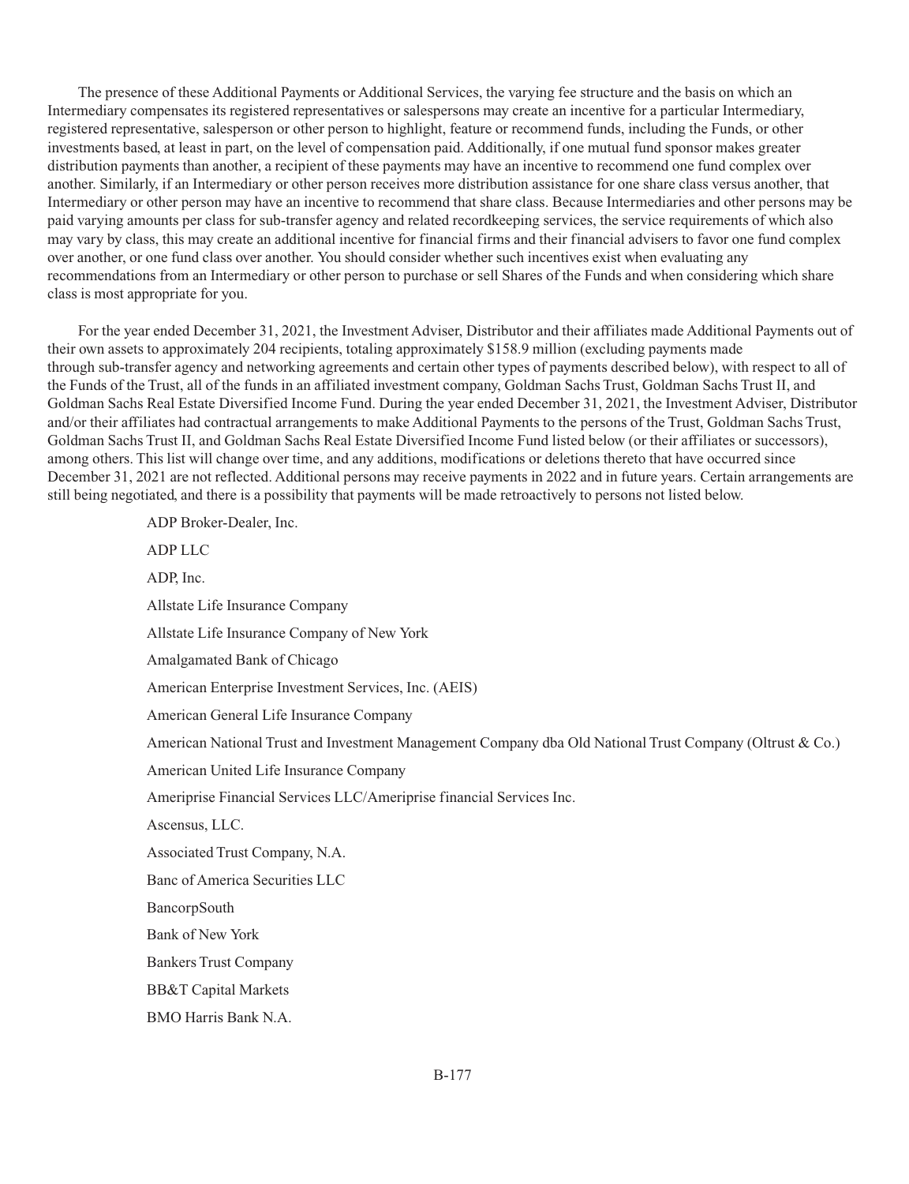The presence of these Additional Payments or Additional Services, the varying fee structure and the basis on which an Intermediary compensates its registered representatives or salespersons may create an incentive for a particular Intermediary, registered representative, salesperson or other person to highlight, feature or recommend funds, including the Funds, or other investments based, at least in part, on the level of compensation paid. Additionally, if one mutual fund sponsor makes greater distribution payments than another, a recipient of these payments may have an incentive to recommend one fund complex over another. Similarly, if an Intermediary or other person receives more distribution assistance for one share class versus another, that Intermediary or other person may have an incentive to recommend that share class. Because Intermediaries and other persons may be paid varying amounts per class for sub-transfer agency and related recordkeeping services, the service requirements of which also may vary by class, this may create an additional incentive for financial firms and their financial advisers to favor one fund complex over another, or one fund class over another. You should consider whether such incentives exist when evaluating any recommendations from an Intermediary or other person to purchase or sell Shares of the Funds and when considering which share class is most appropriate for you.

For the year ended December 31, 2021, the Investment Adviser, Distributor and their affiliates made Additional Payments out of their own assets to approximately 204 recipients, totaling approximately \$158.9 million (excluding payments made through sub-transfer agency and networking agreements and certain other types of payments described below), with respect to all of the Funds of the Trust, all of the funds in an affiliated investment company, Goldman Sachs Trust, Goldman Sachs Trust II, and Goldman Sachs Real Estate Diversified Income Fund. During the year ended December 31, 2021, the Investment Adviser, Distributor and/or their affiliates had contractual arrangements to make Additional Payments to the persons of the Trust, Goldman Sachs Trust, Goldman Sachs Trust II, and Goldman Sachs Real Estate Diversified Income Fund listed below (or their affiliates or successors), among others. This list will change over time, and any additions, modifications or deletions thereto that have occurred since December 31, 2021 are not reflected. Additional persons may receive payments in 2022 and in future years. Certain arrangements are still being negotiated, and there is a possibility that payments will be made retroactively to persons not listed below.

> ADP Broker-Dealer, Inc. ADP LLC ADP, Inc. Allstate Life Insurance Company Allstate Life Insurance Company of New York Amalgamated Bank of Chicago American Enterprise Investment Services, Inc. (AEIS) American General Life Insurance Company American National Trust and Investment Management Company dba Old National Trust Company (Oltrust & Co.) American United Life Insurance Company Ameriprise Financial Services LLC/Ameriprise financial Services Inc. Ascensus, LLC. Associated Trust Company, N.A. Banc of America Securities LLC BancorpSouth Bank of New York Bankers Trust Company BB&T Capital Markets BMO Harris Bank N.A.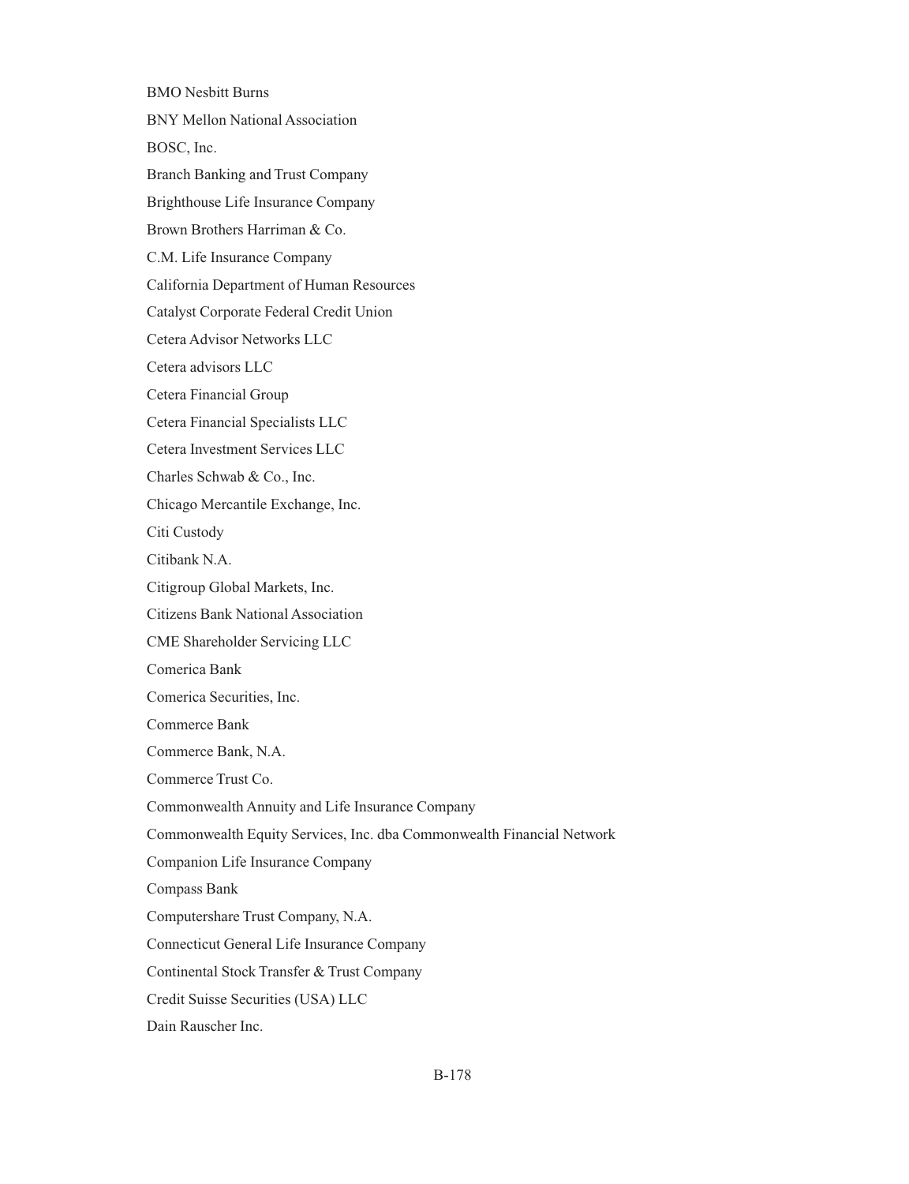BMO Nesbitt Burns BNY Mellon National Association BOSC, Inc. Branch Banking and Trust Company Brighthouse Life Insurance Company Brown Brothers Harriman & Co. C.M. Life Insurance Company California Department of Human Resources Catalyst Corporate Federal Credit Union Cetera Advisor Networks LLC Cetera advisors LLC Cetera Financial Group Cetera Financial Specialists LLC Cetera Investment Services LLC Charles Schwab & Co., Inc. Chicago Mercantile Exchange, Inc. Citi Custody Citibank N.A. Citigroup Global Markets, Inc. Citizens Bank National Association CME Shareholder Servicing LLC Comerica Bank Comerica Securities, Inc. Commerce Bank Commerce Bank, N.A. Commerce Trust Co. Commonwealth Annuity and Life Insurance Company Commonwealth Equity Services, Inc. dba Commonwealth Financial Network Companion Life Insurance Company Compass Bank Computershare Trust Company, N.A. Connecticut General Life Insurance Company Continental Stock Transfer & Trust Company Credit Suisse Securities (USA) LLC Dain Rauscher Inc.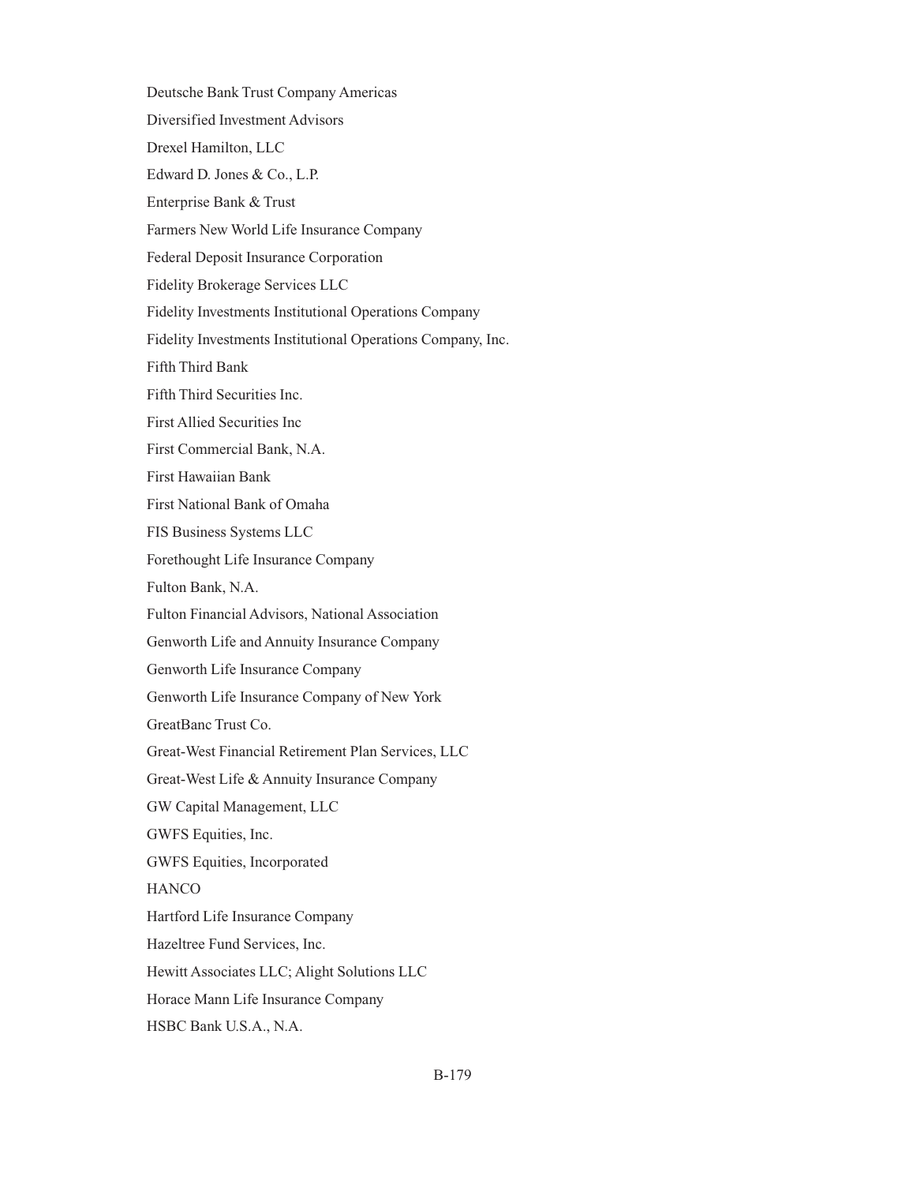Deutsche Bank Trust Company Americas Diversified Investment Advisors Drexel Hamilton, LLC Edward D. Jones & Co., L.P. Enterprise Bank & Trust Farmers New World Life Insurance Company Federal Deposit Insurance Corporation Fidelity Brokerage Services LLC Fidelity Investments Institutional Operations Company Fidelity Investments Institutional Operations Company, Inc. Fifth Third Bank Fifth Third Securities Inc. First Allied Securities Inc First Commercial Bank, N.A. First Hawaiian Bank First National Bank of Omaha FIS Business Systems LLC Forethought Life Insurance Company Fulton Bank, N.A. Fulton Financial Advisors, National Association Genworth Life and Annuity Insurance Company Genworth Life Insurance Company Genworth Life Insurance Company of New York GreatBanc Trust Co. Great-West Financial Retirement Plan Services, LLC Great-West Life & Annuity Insurance Company GW Capital Management, LLC GWFS Equities, Inc. GWFS Equities, Incorporated **HANCO** Hartford Life Insurance Company Hazeltree Fund Services, Inc. Hewitt Associates LLC; Alight Solutions LLC Horace Mann Life Insurance Company HSBC Bank U.S.A., N.A.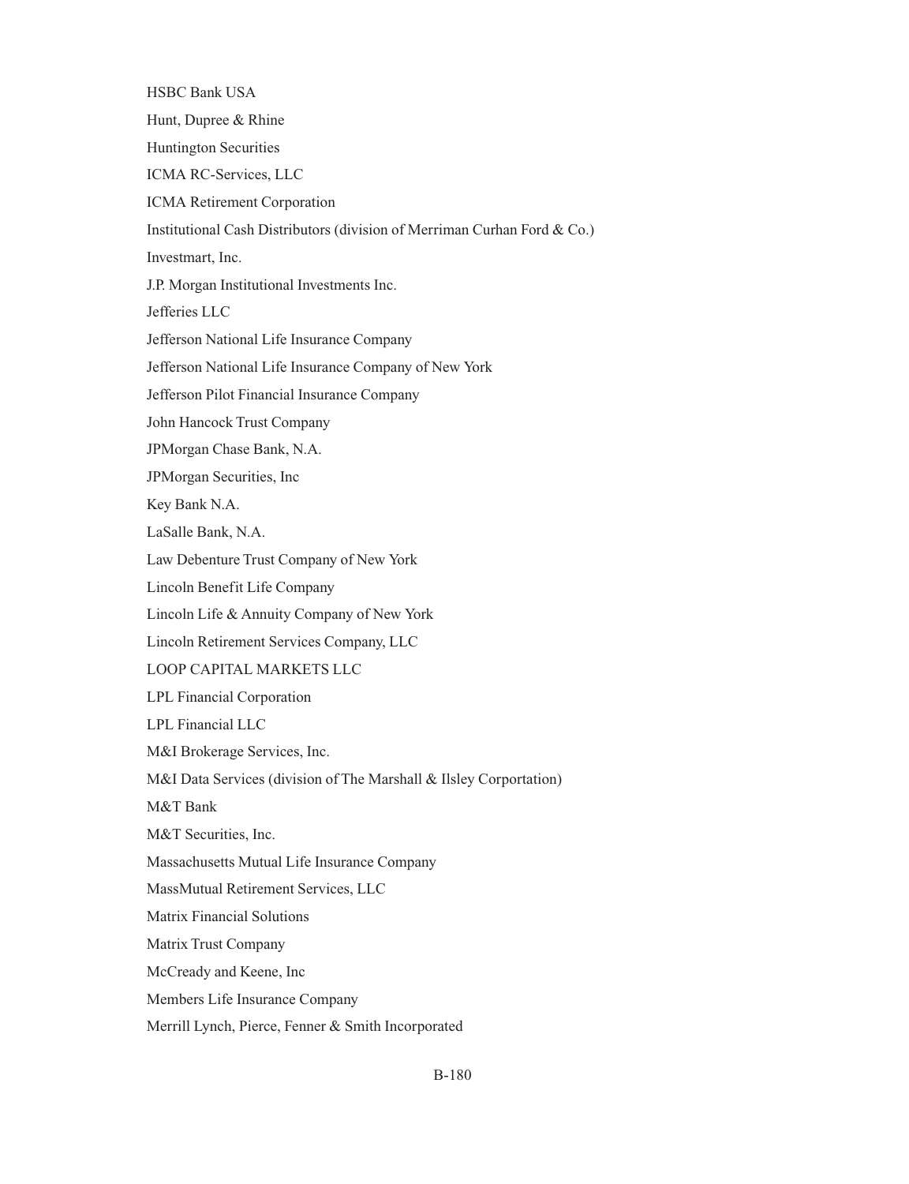HSBC Bank USA Hunt, Dupree & Rhine Huntington Securities ICMA RC-Services, LLC ICMA Retirement Corporation Institutional Cash Distributors (division of Merriman Curhan Ford & Co.) Investmart, Inc. J.P. Morgan Institutional Investments Inc. Jefferies LLC Jefferson National Life Insurance Company Jefferson National Life Insurance Company of New York Jefferson Pilot Financial Insurance Company John Hancock Trust Company JPMorgan Chase Bank, N.A. JPMorgan Securities, Inc Key Bank N.A. LaSalle Bank, N.A. Law Debenture Trust Company of New York Lincoln Benefit Life Company Lincoln Life & Annuity Company of New York Lincoln Retirement Services Company, LLC LOOP CAPITAL MARKETS LLC LPL Financial Corporation LPL Financial LLC M&I Brokerage Services, Inc. M&I Data Services (division of The Marshall & Ilsley Corportation) M&T Bank M&T Securities, Inc. Massachusetts Mutual Life Insurance Company MassMutual Retirement Services, LLC Matrix Financial Solutions Matrix Trust Company McCready and Keene, Inc Members Life Insurance Company Merrill Lynch, Pierce, Fenner & Smith Incorporated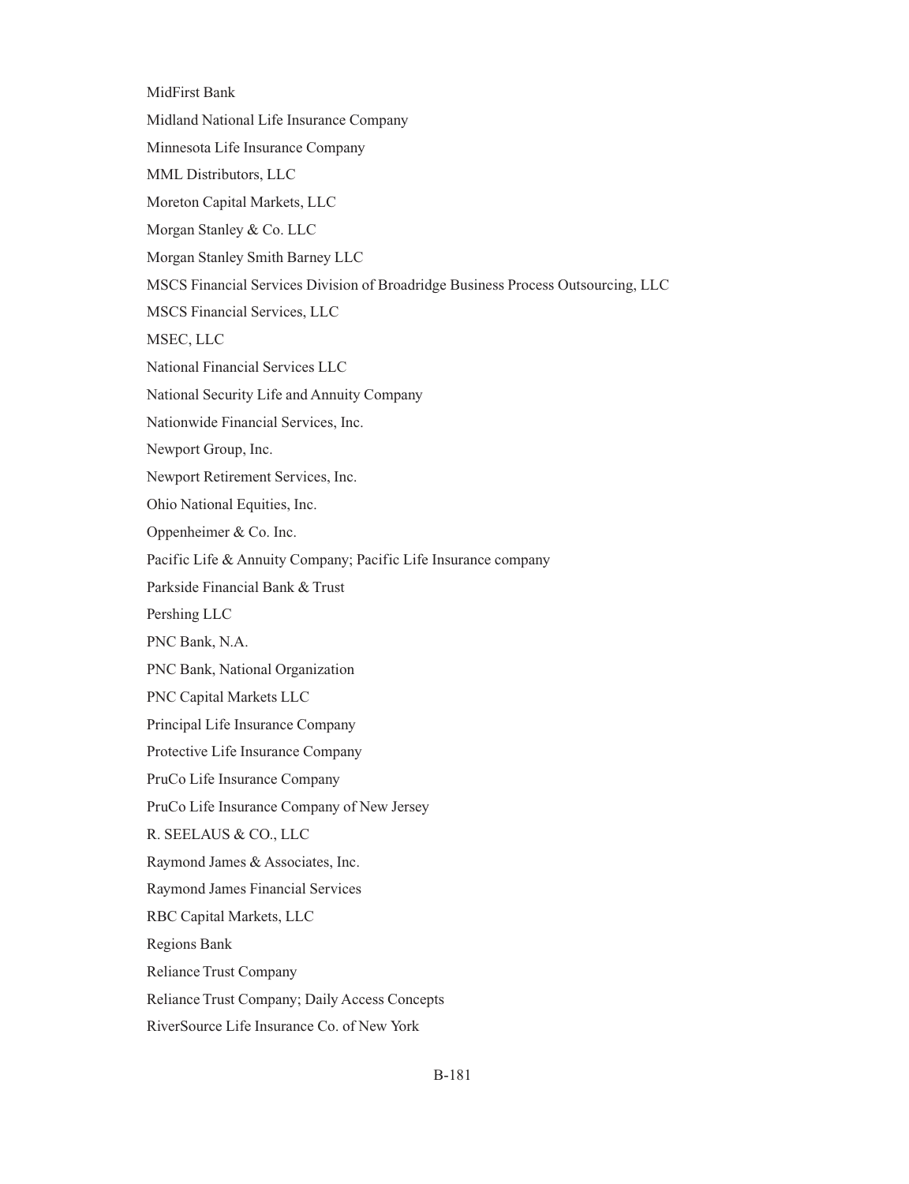MidFirst Bank Midland National Life Insurance Company Minnesota Life Insurance Company MML Distributors, LLC Moreton Capital Markets, LLC Morgan Stanley & Co. LLC Morgan Stanley Smith Barney LLC MSCS Financial Services Division of Broadridge Business Process Outsourcing, LLC MSCS Financial Services, LLC MSEC, LLC National Financial Services LLC National Security Life and Annuity Company Nationwide Financial Services, Inc. Newport Group, Inc. Newport Retirement Services, Inc. Ohio National Equities, Inc. Oppenheimer & Co. Inc. Pacific Life & Annuity Company; Pacific Life Insurance company Parkside Financial Bank & Trust Pershing LLC PNC Bank, N.A. PNC Bank, National Organization PNC Capital Markets LLC Principal Life Insurance Company Protective Life Insurance Company PruCo Life Insurance Company PruCo Life Insurance Company of New Jersey R. SEELAUS & CO., LLC Raymond James & Associates, Inc. Raymond James Financial Services RBC Capital Markets, LLC Regions Bank Reliance Trust Company Reliance Trust Company; Daily Access Concepts RiverSource Life Insurance Co. of New York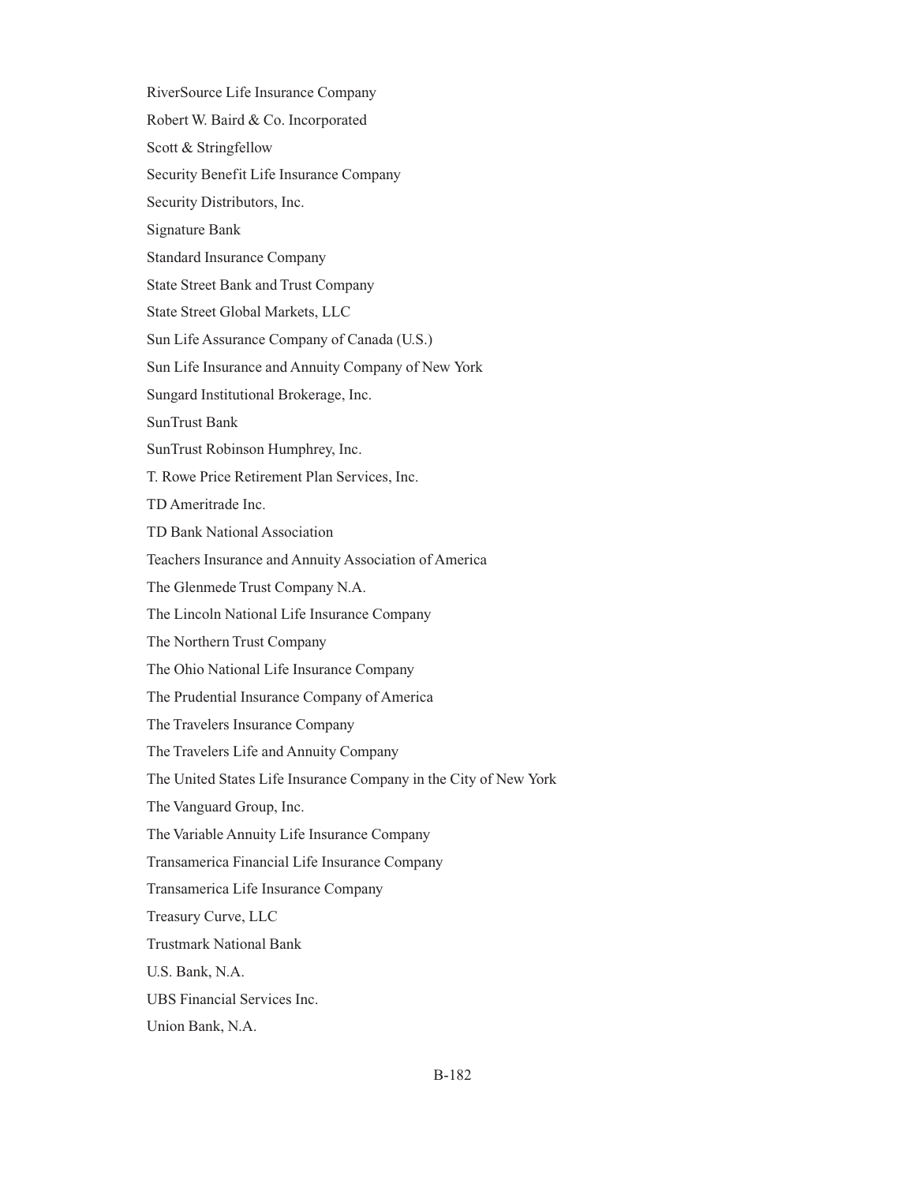RiverSource Life Insurance Company Robert W. Baird & Co. Incorporated Scott & Stringfellow Security Benefit Life Insurance Company Security Distributors, Inc. Signature Bank Standard Insurance Company State Street Bank and Trust Company State Street Global Markets, LLC Sun Life Assurance Company of Canada (U.S.) Sun Life Insurance and Annuity Company of New York Sungard Institutional Brokerage, Inc. SunTrust Bank SunTrust Robinson Humphrey, Inc. T. Rowe Price Retirement Plan Services, Inc. TD Ameritrade Inc. TD Bank National Association Teachers Insurance and Annuity Association of America The Glenmede Trust Company N.A. The Lincoln National Life Insurance Company The Northern Trust Company The Ohio National Life Insurance Company The Prudential Insurance Company of America The Travelers Insurance Company The Travelers Life and Annuity Company The United States Life Insurance Company in the City of New York The Vanguard Group, Inc. The Variable Annuity Life Insurance Company Transamerica Financial Life Insurance Company Transamerica Life Insurance Company Treasury Curve, LLC Trustmark National Bank U.S. Bank, N.A. UBS Financial Services Inc. Union Bank, N.A.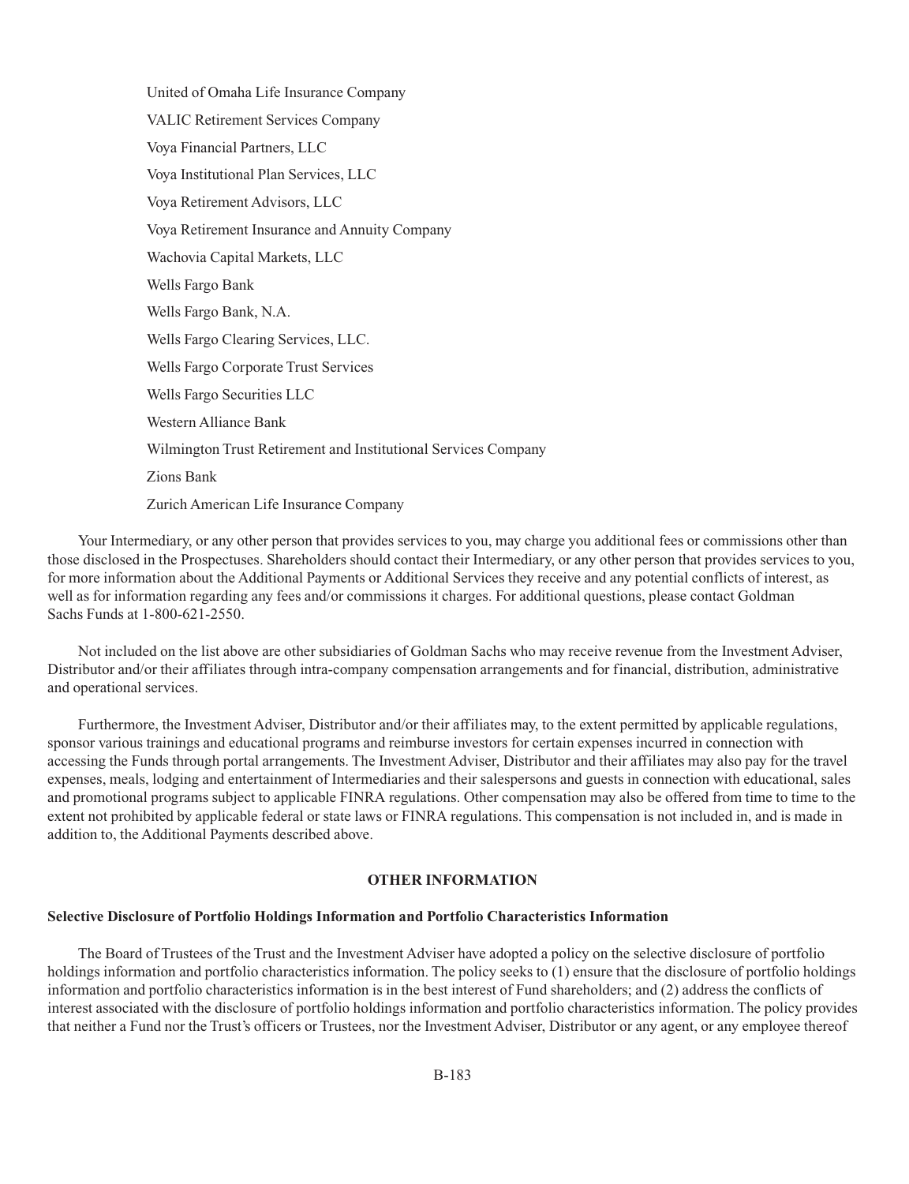United of Omaha Life Insurance Company VALIC Retirement Services Company Voya Financial Partners, LLC Voya Institutional Plan Services, LLC Voya Retirement Advisors, LLC Voya Retirement Insurance and Annuity Company Wachovia Capital Markets, LLC Wells Fargo Bank Wells Fargo Bank, N.A. Wells Fargo Clearing Services, LLC. Wells Fargo Corporate Trust Services Wells Fargo Securities LLC Western Alliance Bank Wilmington Trust Retirement and Institutional Services Company Zions Bank Zurich American Life Insurance Company

Your Intermediary, or any other person that provides services to you, may charge you additional fees or commissions other than those disclosed in the Prospectuses. Shareholders should contact their Intermediary, or any other person that provides services to you, for more information about the Additional Payments or Additional Services they receive and any potential conflicts of interest, as well as for information regarding any fees and/or commissions it charges. For additional questions, please contact Goldman Sachs Funds at 1-800-621-2550.

Not included on the list above are other subsidiaries of Goldman Sachs who may receive revenue from the Investment Adviser, Distributor and/or their affiliates through intra-company compensation arrangements and for financial, distribution, administrative and operational services.

Furthermore, the Investment Adviser, Distributor and/or their affiliates may, to the extent permitted by applicable regulations, sponsor various trainings and educational programs and reimburse investors for certain expenses incurred in connection with accessing the Funds through portal arrangements. The Investment Adviser, Distributor and their affiliates may also pay for the travel expenses, meals, lodging and entertainment of Intermediaries and their salespersons and guests in connection with educational, sales and promotional programs subject to applicable FINRA regulations. Other compensation may also be offered from time to time to the extent not prohibited by applicable federal or state laws or FINRA regulations. This compensation is not included in, and is made in addition to, the Additional Payments described above.

#### **OTHER INFORMATION**

# **Selective Disclosure of Portfolio Holdings Information and Portfolio Characteristics Information**

The Board of Trustees of the Trust and the Investment Adviser have adopted a policy on the selective disclosure of portfolio holdings information and portfolio characteristics information. The policy seeks to (1) ensure that the disclosure of portfolio holdings information and portfolio characteristics information is in the best interest of Fund shareholders; and (2) address the conflicts of interest associated with the disclosure of portfolio holdings information and portfolio characteristics information. The policy provides that neither a Fund nor the Trust's officers or Trustees, nor the Investment Adviser, Distributor or any agent, or any employee thereof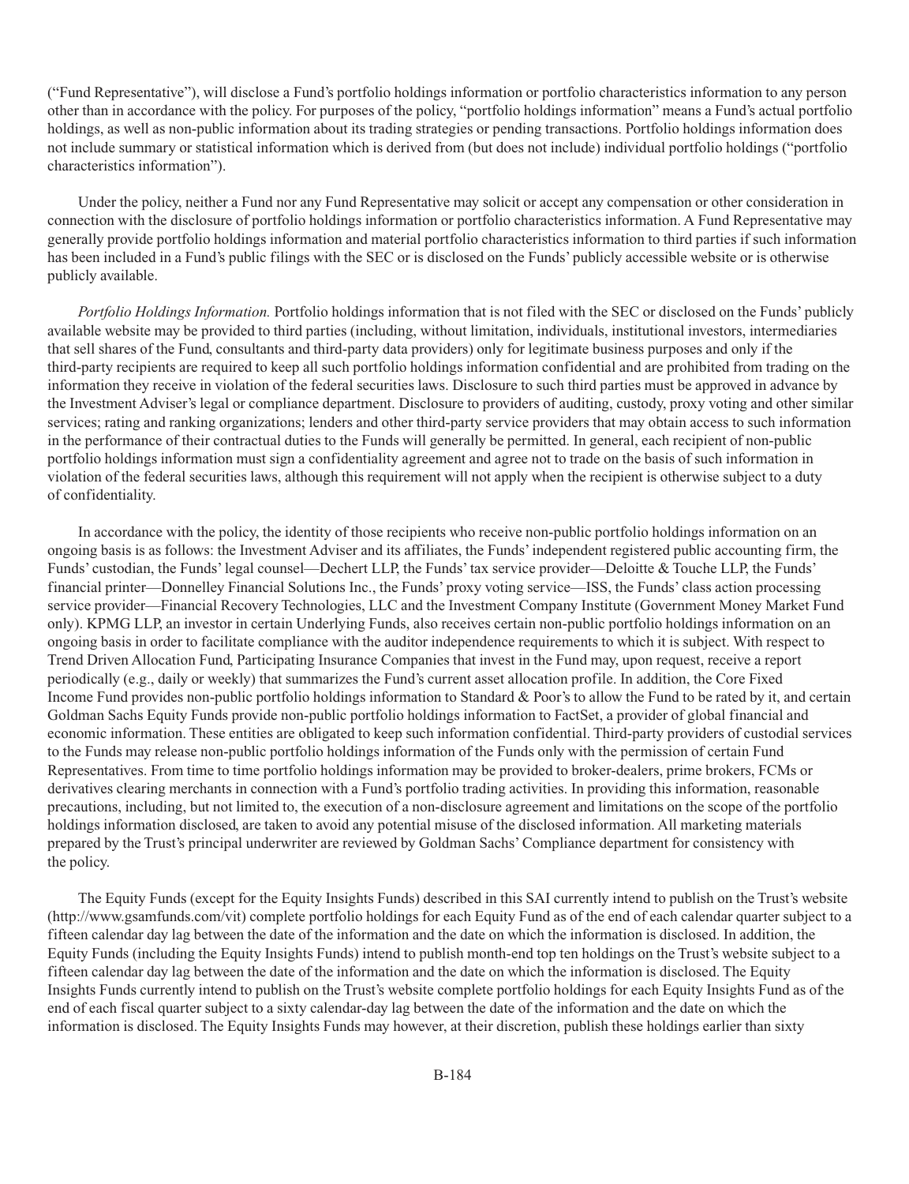("Fund Representative"), will disclose a Fund's portfolio holdings information or portfolio characteristics information to any person other than in accordance with the policy. For purposes of the policy, "portfolio holdings information" means a Fund's actual portfolio holdings, as well as non-public information about its trading strategies or pending transactions. Portfolio holdings information does not include summary or statistical information which is derived from (but does not include) individual portfolio holdings ("portfolio characteristics information").

Under the policy, neither a Fund nor any Fund Representative may solicit or accept any compensation or other consideration in connection with the disclosure of portfolio holdings information or portfolio characteristics information. A Fund Representative may generally provide portfolio holdings information and material portfolio characteristics information to third parties if such information has been included in a Fund's public filings with the SEC or is disclosed on the Funds' publicly accessible website or is otherwise publicly available.

*Portfolio Holdings Information.* Portfolio holdings information that is not filed with the SEC or disclosed on the Funds' publicly available website may be provided to third parties (including, without limitation, individuals, institutional investors, intermediaries that sell shares of the Fund, consultants and third-party data providers) only for legitimate business purposes and only if the third-party recipients are required to keep all such portfolio holdings information confidential and are prohibited from trading on the information they receive in violation of the federal securities laws. Disclosure to such third parties must be approved in advance by the Investment Adviser's legal or compliance department. Disclosure to providers of auditing, custody, proxy voting and other similar services; rating and ranking organizations; lenders and other third-party service providers that may obtain access to such information in the performance of their contractual duties to the Funds will generally be permitted. In general, each recipient of non-public portfolio holdings information must sign a confidentiality agreement and agree not to trade on the basis of such information in violation of the federal securities laws, although this requirement will not apply when the recipient is otherwise subject to a duty of confidentiality.

In accordance with the policy, the identity of those recipients who receive non-public portfolio holdings information on an ongoing basis is as follows: the Investment Adviser and its affiliates, the Funds' independent registered public accounting firm, the Funds' custodian, the Funds' legal counsel—Dechert LLP, the Funds' tax service provider—Deloitte & Touche LLP, the Funds' financial printer—Donnelley Financial Solutions Inc., the Funds' proxy voting service—ISS, the Funds' class action processing service provider—Financial Recovery Technologies, LLC and the Investment Company Institute (Government Money Market Fund only). KPMG LLP, an investor in certain Underlying Funds, also receives certain non-public portfolio holdings information on an ongoing basis in order to facilitate compliance with the auditor independence requirements to which it is subject. With respect to Trend Driven Allocation Fund, Participating Insurance Companies that invest in the Fund may, upon request, receive a report periodically (e.g., daily or weekly) that summarizes the Fund's current asset allocation profile. In addition, the Core Fixed Income Fund provides non-public portfolio holdings information to Standard & Poor's to allow the Fund to be rated by it, and certain Goldman Sachs Equity Funds provide non-public portfolio holdings information to FactSet, a provider of global financial and economic information. These entities are obligated to keep such information confidential. Third-party providers of custodial services to the Funds may release non-public portfolio holdings information of the Funds only with the permission of certain Fund Representatives. From time to time portfolio holdings information may be provided to broker-dealers, prime brokers, FCMs or derivatives clearing merchants in connection with a Fund's portfolio trading activities. In providing this information, reasonable precautions, including, but not limited to, the execution of a non-disclosure agreement and limitations on the scope of the portfolio holdings information disclosed, are taken to avoid any potential misuse of the disclosed information. All marketing materials prepared by the Trust's principal underwriter are reviewed by Goldman Sachs' Compliance department for consistency with the policy.

The Equity Funds (except for the Equity Insights Funds) described in this SAI currently intend to publish on the Trust's website (http://www.gsamfunds.com/vit) complete portfolio holdings for each Equity Fund as of the end of each calendar quarter subject to a fifteen calendar day lag between the date of the information and the date on which the information is disclosed. In addition, the Equity Funds (including the Equity Insights Funds) intend to publish month-end top ten holdings on the Trust's website subject to a fifteen calendar day lag between the date of the information and the date on which the information is disclosed. The Equity Insights Funds currently intend to publish on the Trust's website complete portfolio holdings for each Equity Insights Fund as of the end of each fiscal quarter subject to a sixty calendar-day lag between the date of the information and the date on which the information is disclosed. The Equity Insights Funds may however, at their discretion, publish these holdings earlier than sixty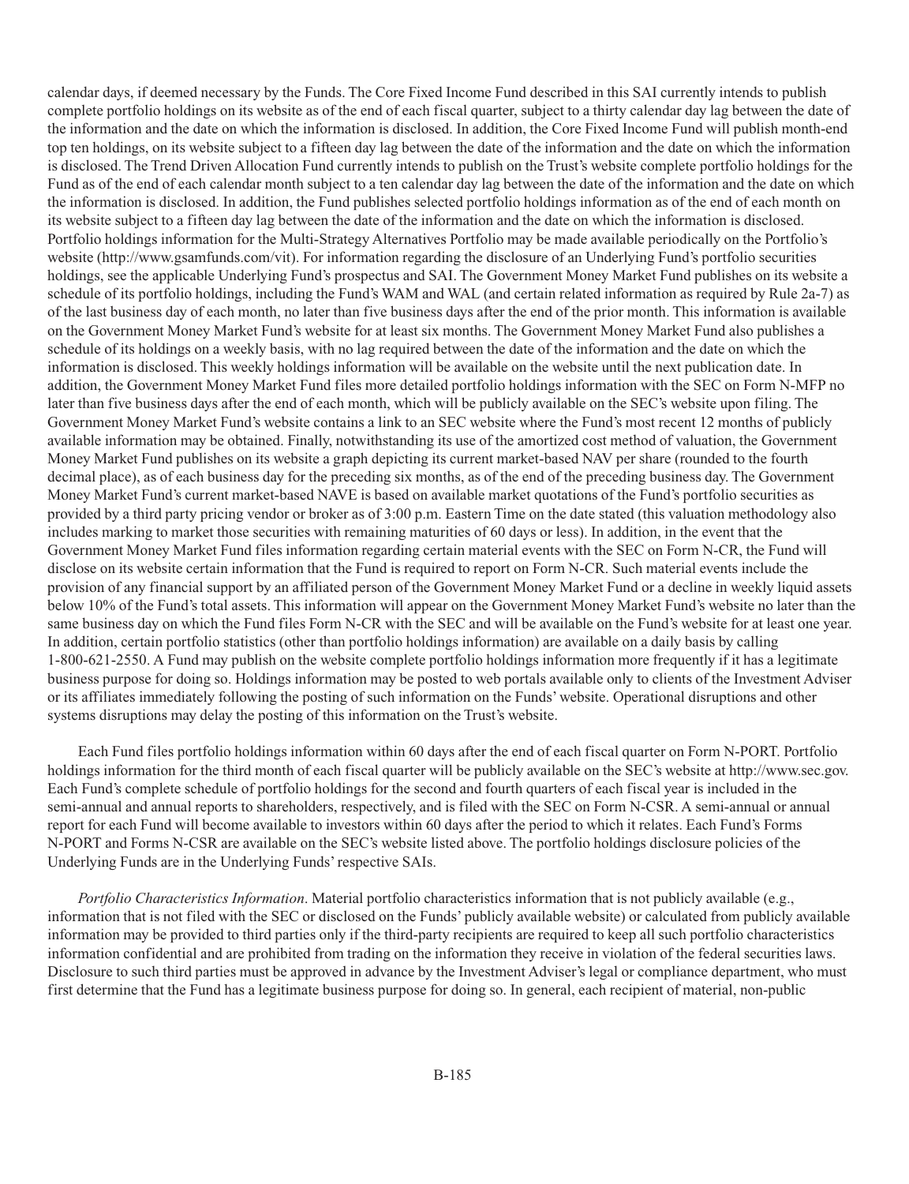calendar days, if deemed necessary by the Funds. The Core Fixed Income Fund described in this SAI currently intends to publish complete portfolio holdings on its website as of the end of each fiscal quarter, subject to a thirty calendar day lag between the date of the information and the date on which the information is disclosed. In addition, the Core Fixed Income Fund will publish month-end top ten holdings, on its website subject to a fifteen day lag between the date of the information and the date on which the information is disclosed. The Trend Driven Allocation Fund currently intends to publish on the Trust's website complete portfolio holdings for the Fund as of the end of each calendar month subject to a ten calendar day lag between the date of the information and the date on which the information is disclosed. In addition, the Fund publishes selected portfolio holdings information as of the end of each month on its website subject to a fifteen day lag between the date of the information and the date on which the information is disclosed. Portfolio holdings information for the Multi-Strategy Alternatives Portfolio may be made available periodically on the Portfolio's website (http://www.gsamfunds.com/vit). For information regarding the disclosure of an Underlying Fund's portfolio securities holdings, see the applicable Underlying Fund's prospectus and SAI. The Government Money Market Fund publishes on its website a schedule of its portfolio holdings, including the Fund's WAM and WAL (and certain related information as required by Rule 2a-7) as of the last business day of each month, no later than five business days after the end of the prior month. This information is available on the Government Money Market Fund's website for at least six months. The Government Money Market Fund also publishes a schedule of its holdings on a weekly basis, with no lag required between the date of the information and the date on which the information is disclosed. This weekly holdings information will be available on the website until the next publication date. In addition, the Government Money Market Fund files more detailed portfolio holdings information with the SEC on Form N-MFP no later than five business days after the end of each month, which will be publicly available on the SEC's website upon filing. The Government Money Market Fund's website contains a link to an SEC website where the Fund's most recent 12 months of publicly available information may be obtained. Finally, notwithstanding its use of the amortized cost method of valuation, the Government Money Market Fund publishes on its website a graph depicting its current market-based NAV per share (rounded to the fourth decimal place), as of each business day for the preceding six months, as of the end of the preceding business day. The Government Money Market Fund's current market-based NAVE is based on available market quotations of the Fund's portfolio securities as provided by a third party pricing vendor or broker as of 3:00 p.m. Eastern Time on the date stated (this valuation methodology also includes marking to market those securities with remaining maturities of 60 days or less). In addition, in the event that the Government Money Market Fund files information regarding certain material events with the SEC on Form N-CR, the Fund will disclose on its website certain information that the Fund is required to report on Form N-CR. Such material events include the provision of any financial support by an affiliated person of the Government Money Market Fund or a decline in weekly liquid assets below 10% of the Fund's total assets. This information will appear on the Government Money Market Fund's website no later than the same business day on which the Fund files Form N-CR with the SEC and will be available on the Fund's website for at least one year. In addition, certain portfolio statistics (other than portfolio holdings information) are available on a daily basis by calling 1-800-621-2550. A Fund may publish on the website complete portfolio holdings information more frequently if it has a legitimate business purpose for doing so. Holdings information may be posted to web portals available only to clients of the Investment Adviser or its affiliates immediately following the posting of such information on the Funds' website. Operational disruptions and other systems disruptions may delay the posting of this information on the Trust's website.

Each Fund files portfolio holdings information within 60 days after the end of each fiscal quarter on Form N-PORT. Portfolio holdings information for the third month of each fiscal quarter will be publicly available on the SEC's website at http://www.sec.gov. Each Fund's complete schedule of portfolio holdings for the second and fourth quarters of each fiscal year is included in the semi-annual and annual reports to shareholders, respectively, and is filed with the SEC on Form N-CSR. A semi-annual or annual report for each Fund will become available to investors within 60 days after the period to which it relates. Each Fund's Forms N-PORT and Forms N-CSR are available on the SEC's website listed above. The portfolio holdings disclosure policies of the Underlying Funds are in the Underlying Funds' respective SAIs.

*Portfolio Characteristics Information*. Material portfolio characteristics information that is not publicly available (e.g., information that is not filed with the SEC or disclosed on the Funds' publicly available website) or calculated from publicly available information may be provided to third parties only if the third-party recipients are required to keep all such portfolio characteristics information confidential and are prohibited from trading on the information they receive in violation of the federal securities laws. Disclosure to such third parties must be approved in advance by the Investment Adviser's legal or compliance department, who must first determine that the Fund has a legitimate business purpose for doing so. In general, each recipient of material, non-public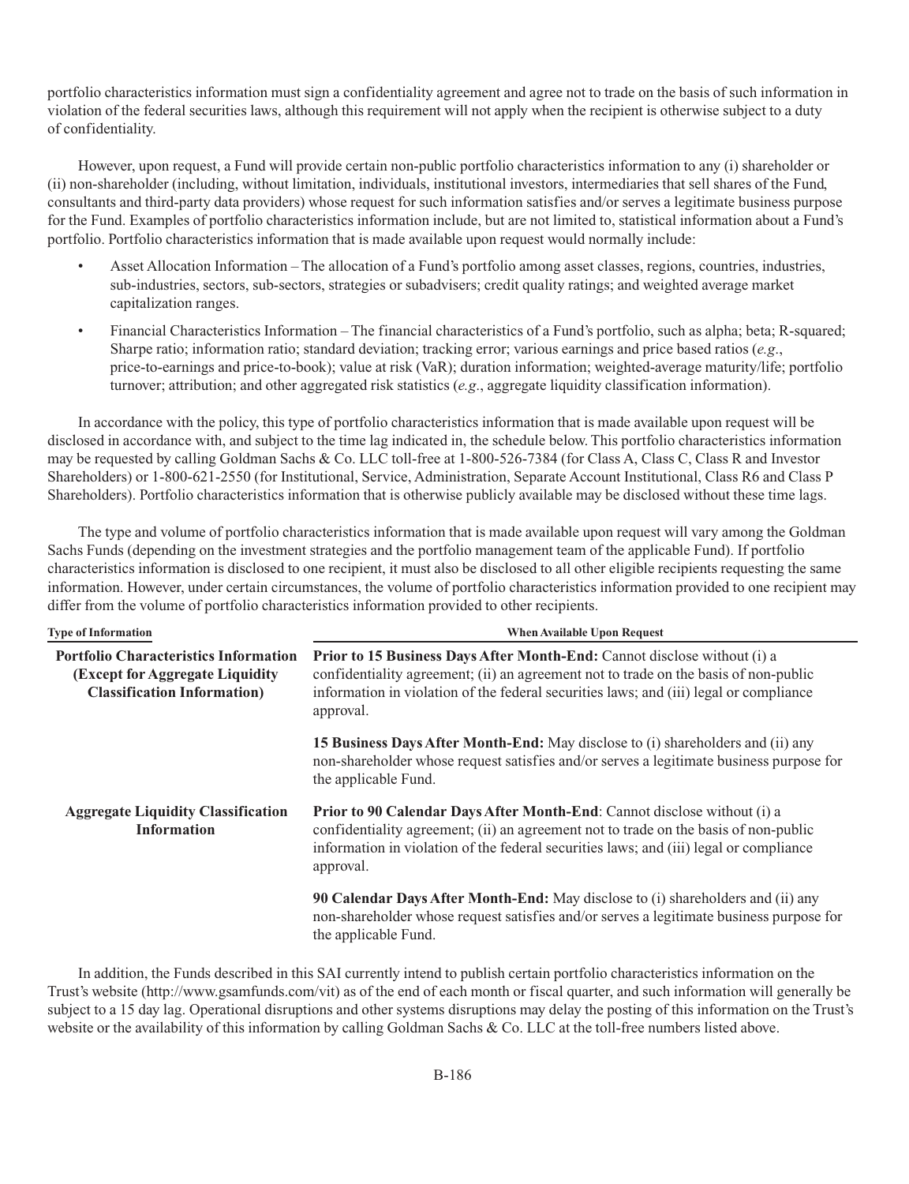portfolio characteristics information must sign a confidentiality agreement and agree not to trade on the basis of such information in violation of the federal securities laws, although this requirement will not apply when the recipient is otherwise subject to a duty of confidentiality.

However, upon request, a Fund will provide certain non-public portfolio characteristics information to any (i) shareholder or (ii) non-shareholder (including, without limitation, individuals, institutional investors, intermediaries that sell shares of the Fund, consultants and third-party data providers) whose request for such information satisfies and/or serves a legitimate business purpose for the Fund. Examples of portfolio characteristics information include, but are not limited to, statistical information about a Fund's portfolio. Portfolio characteristics information that is made available upon request would normally include:

- Asset Allocation Information The allocation of a Fund's portfolio among asset classes, regions, countries, industries, sub-industries, sectors, sub-sectors, strategies or subadvisers; credit quality ratings; and weighted average market capitalization ranges.
- Financial Characteristics Information The financial characteristics of a Fund's portfolio, such as alpha; beta; R-squared; Sharpe ratio; information ratio; standard deviation; tracking error; various earnings and price based ratios (*e.g*., price-to-earnings and price-to-book); value at risk (VaR); duration information; weighted-average maturity/life; portfolio turnover; attribution; and other aggregated risk statistics (*e.g*., aggregate liquidity classification information).

In accordance with the policy, this type of portfolio characteristics information that is made available upon request will be disclosed in accordance with, and subject to the time lag indicated in, the schedule below. This portfolio characteristics information may be requested by calling Goldman Sachs & Co. LLC toll-free at 1-800-526-7384 (for Class A, Class C, Class R and Investor Shareholders) or 1-800-621-2550 (for Institutional, Service, Administration, Separate Account Institutional, Class R6 and Class P Shareholders). Portfolio characteristics information that is otherwise publicly available may be disclosed without these time lags.

The type and volume of portfolio characteristics information that is made available upon request will vary among the Goldman Sachs Funds (depending on the investment strategies and the portfolio management team of the applicable Fund). If portfolio characteristics information is disclosed to one recipient, it must also be disclosed to all other eligible recipients requesting the same information. However, under certain circumstances, the volume of portfolio characteristics information provided to one recipient may differ from the volume of portfolio characteristics information provided to other recipients.

| <b>Type of Information</b>                                                                                              | <b>When Available Upon Request</b>                                                                                                                                                                                                                                             |
|-------------------------------------------------------------------------------------------------------------------------|--------------------------------------------------------------------------------------------------------------------------------------------------------------------------------------------------------------------------------------------------------------------------------|
| <b>Portfolio Characteristics Information</b><br>(Except for Aggregate Liquidity)<br><b>Classification Information</b> ) | Prior to 15 Business Days After Month-End: Cannot disclose without (i) a<br>confidentiality agreement; (ii) an agreement not to trade on the basis of non-public<br>information in violation of the federal securities laws; and (iii) legal or compliance<br>approval.        |
|                                                                                                                         | <b>15 Business Days After Month-End:</b> May disclose to (i) shareholders and (ii) any<br>non-shareholder whose request satisfies and/or serves a legitimate business purpose for<br>the applicable Fund.                                                                      |
| <b>Aggregate Liquidity Classification</b><br><b>Information</b>                                                         | <b>Prior to 90 Calendar Days After Month-End:</b> Cannot disclose without (i) a<br>confidentiality agreement; (ii) an agreement not to trade on the basis of non-public<br>information in violation of the federal securities laws; and (iii) legal or compliance<br>approval. |
|                                                                                                                         | 90 Calendar Days After Month-End: May disclose to (i) shareholders and (ii) any<br>non-shareholder whose request satisfies and/or serves a legitimate business purpose for<br>the applicable Fund.                                                                             |

In addition, the Funds described in this SAI currently intend to publish certain portfolio characteristics information on the Trust's website (http://www.gsamfunds.com/vit) as of the end of each month or fiscal quarter, and such information will generally be subject to a 15 day lag. Operational disruptions and other systems disruptions may delay the posting of this information on the Trust's website or the availability of this information by calling Goldman Sachs & Co. LLC at the toll-free numbers listed above.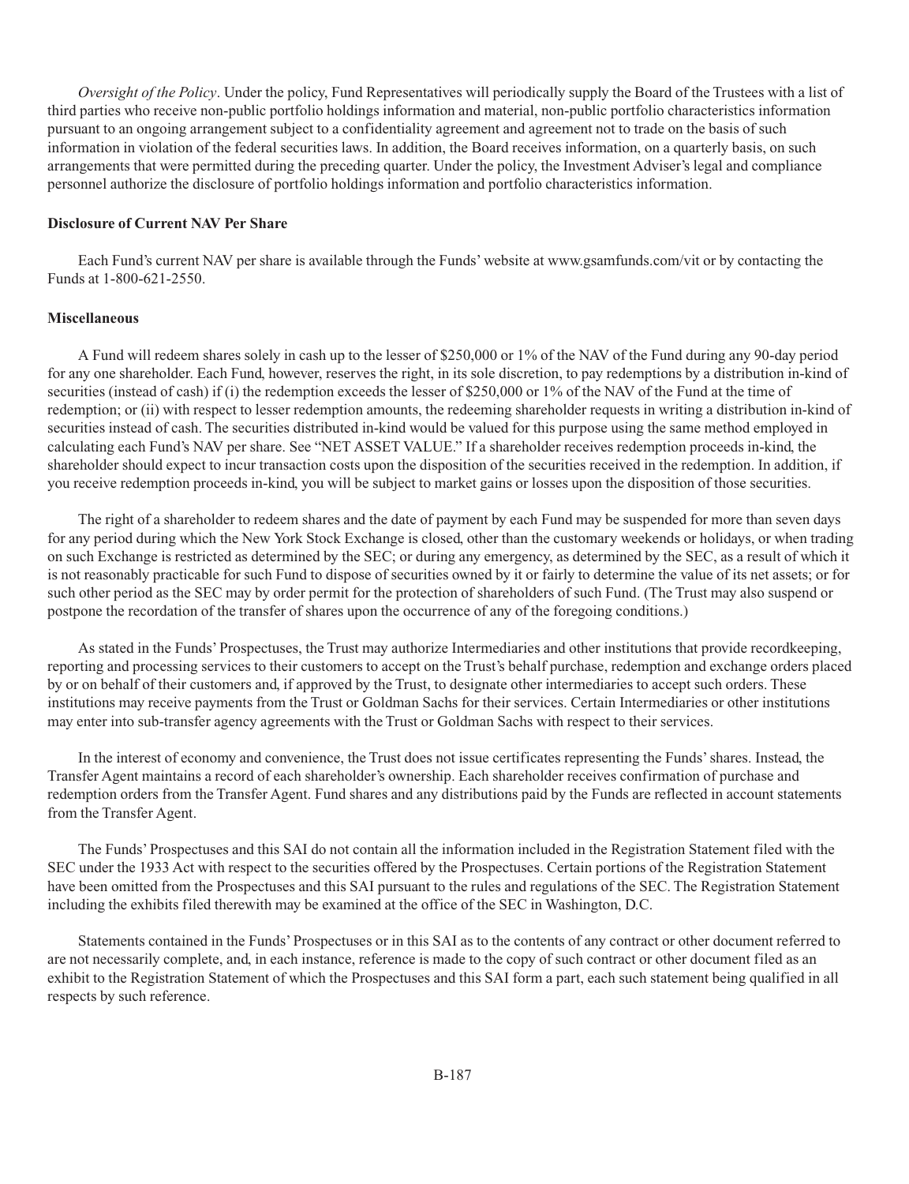*Oversight of the Policy*. Under the policy, Fund Representatives will periodically supply the Board of the Trustees with a list of third parties who receive non-public portfolio holdings information and material, non-public portfolio characteristics information pursuant to an ongoing arrangement subject to a confidentiality agreement and agreement not to trade on the basis of such information in violation of the federal securities laws. In addition, the Board receives information, on a quarterly basis, on such arrangements that were permitted during the preceding quarter. Under the policy, the Investment Adviser's legal and compliance personnel authorize the disclosure of portfolio holdings information and portfolio characteristics information.

#### **Disclosure of Current NAV Per Share**

Each Fund's current NAV per share is available through the Funds' website at www.gsamfunds.com/vit or by contacting the Funds at 1-800-621-2550.

#### **Miscellaneous**

A Fund will redeem shares solely in cash up to the lesser of \$250,000 or 1% of the NAV of the Fund during any 90-day period for any one shareholder. Each Fund, however, reserves the right, in its sole discretion, to pay redemptions by a distribution in-kind of securities (instead of cash) if (i) the redemption exceeds the lesser of \$250,000 or 1% of the NAV of the Fund at the time of redemption; or (ii) with respect to lesser redemption amounts, the redeeming shareholder requests in writing a distribution in-kind of securities instead of cash. The securities distributed in-kind would be valued for this purpose using the same method employed in calculating each Fund's NAV per share. See "NET ASSET VALUE." If a shareholder receives redemption proceeds in-kind, the shareholder should expect to incur transaction costs upon the disposition of the securities received in the redemption. In addition, if you receive redemption proceeds in-kind, you will be subject to market gains or losses upon the disposition of those securities.

The right of a shareholder to redeem shares and the date of payment by each Fund may be suspended for more than seven days for any period during which the New York Stock Exchange is closed, other than the customary weekends or holidays, or when trading on such Exchange is restricted as determined by the SEC; or during any emergency, as determined by the SEC, as a result of which it is not reasonably practicable for such Fund to dispose of securities owned by it or fairly to determine the value of its net assets; or for such other period as the SEC may by order permit for the protection of shareholders of such Fund. (The Trust may also suspend or postpone the recordation of the transfer of shares upon the occurrence of any of the foregoing conditions.)

As stated in the Funds' Prospectuses, the Trust may authorize Intermediaries and other institutions that provide recordkeeping, reporting and processing services to their customers to accept on the Trust's behalf purchase, redemption and exchange orders placed by or on behalf of their customers and, if approved by the Trust, to designate other intermediaries to accept such orders. These institutions may receive payments from the Trust or Goldman Sachs for their services. Certain Intermediaries or other institutions may enter into sub-transfer agency agreements with the Trust or Goldman Sachs with respect to their services.

In the interest of economy and convenience, the Trust does not issue certificates representing the Funds' shares. Instead, the Transfer Agent maintains a record of each shareholder's ownership. Each shareholder receives confirmation of purchase and redemption orders from the Transfer Agent. Fund shares and any distributions paid by the Funds are reflected in account statements from the Transfer Agent.

The Funds' Prospectuses and this SAI do not contain all the information included in the Registration Statement filed with the SEC under the 1933 Act with respect to the securities offered by the Prospectuses. Certain portions of the Registration Statement have been omitted from the Prospectuses and this SAI pursuant to the rules and regulations of the SEC. The Registration Statement including the exhibits filed therewith may be examined at the office of the SEC in Washington, D.C.

Statements contained in the Funds' Prospectuses or in this SAI as to the contents of any contract or other document referred to are not necessarily complete, and, in each instance, reference is made to the copy of such contract or other document filed as an exhibit to the Registration Statement of which the Prospectuses and this SAI form a part, each such statement being qualified in all respects by such reference.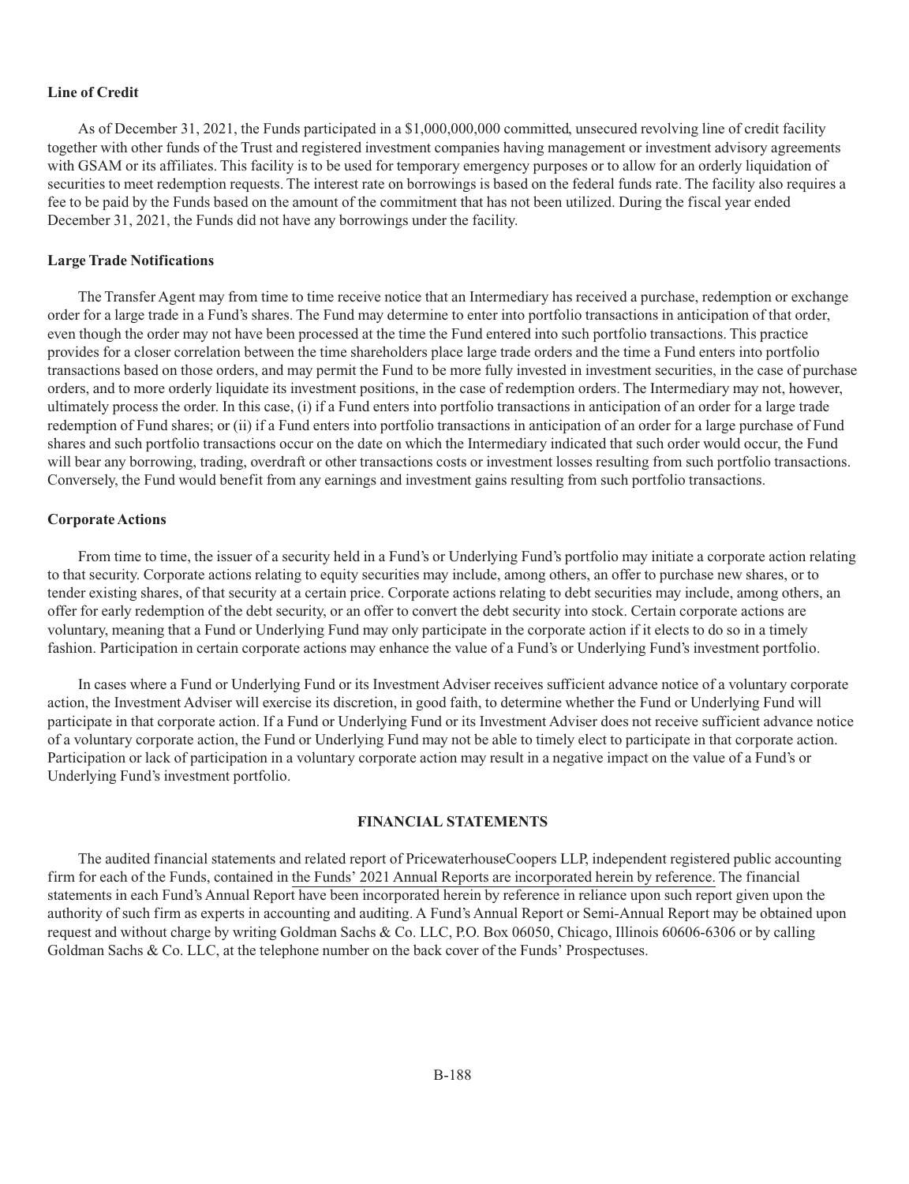#### **Line of Credit**

As of December 31, 2021, the Funds participated in a \$1,000,000,000 committed, unsecured revolving line of credit facility together with other funds of the Trust and registered investment companies having management or investment advisory agreements with GSAM or its affiliates. This facility is to be used for temporary emergency purposes or to allow for an orderly liquidation of securities to meet redemption requests. The interest rate on borrowings is based on the federal funds rate. The facility also requires a fee to be paid by the Funds based on the amount of the commitment that has not been utilized. During the fiscal year ended December 31, 2021, the Funds did not have any borrowings under the facility.

#### **Large Trade Notifications**

The Transfer Agent may from time to time receive notice that an Intermediary has received a purchase, redemption or exchange order for a large trade in a Fund's shares. The Fund may determine to enter into portfolio transactions in anticipation of that order, even though the order may not have been processed at the time the Fund entered into such portfolio transactions. This practice provides for a closer correlation between the time shareholders place large trade orders and the time a Fund enters into portfolio transactions based on those orders, and may permit the Fund to be more fully invested in investment securities, in the case of purchase orders, and to more orderly liquidate its investment positions, in the case of redemption orders. The Intermediary may not, however, ultimately process the order. In this case, (i) if a Fund enters into portfolio transactions in anticipation of an order for a large trade redemption of Fund shares; or (ii) if a Fund enters into portfolio transactions in anticipation of an order for a large purchase of Fund shares and such portfolio transactions occur on the date on which the Intermediary indicated that such order would occur, the Fund will bear any borrowing, trading, overdraft or other transactions costs or investment losses resulting from such portfolio transactions. Conversely, the Fund would benefit from any earnings and investment gains resulting from such portfolio transactions.

#### **Corporate Actions**

From time to time, the issuer of a security held in a Fund's or Underlying Fund's portfolio may initiate a corporate action relating to that security. Corporate actions relating to equity securities may include, among others, an offer to purchase new shares, or to tender existing shares, of that security at a certain price. Corporate actions relating to debt securities may include, among others, an offer for early redemption of the debt security, or an offer to convert the debt security into stock. Certain corporate actions are voluntary, meaning that a Fund or Underlying Fund may only participate in the corporate action if it elects to do so in a timely fashion. Participation in certain corporate actions may enhance the value of a Fund's or Underlying Fund's investment portfolio.

In cases where a Fund or Underlying Fund or its Investment Adviser receives sufficient advance notice of a voluntary corporate action, the Investment Adviser will exercise its discretion, in good faith, to determine whether the Fund or Underlying Fund will participate in that corporate action. If a Fund or Underlying Fund or its Investment Adviser does not receive sufficient advance notice of a voluntary corporate action, the Fund or Underlying Fund may not be able to timely elect to participate in that corporate action. Participation or lack of participation in a voluntary corporate action may result in a negative impact on the value of a Fund's or Underlying Fund's investment portfolio.

#### **FINANCIAL STATEMENTS**

The audited financial statements and related report of PricewaterhouseCoopers LLP, independent registered public accounting firm for each of the Funds, contained in the Funds' 2021 Annual Reports are incorporated herein by reference. The financial statements in each Fund's Annual Report have been incorporated herein by reference in reliance upon such report given upon the authority of such firm as experts in accounting and auditing. A Fund's Annual Report or Semi-Annual Report may be obtained upon request and without charge by writing Goldman Sachs & Co. LLC, P.O. Box 06050, Chicago, Illinois 60606-6306 or by calling Goldman Sachs & Co. LLC, at the telephone number on the back cover of the Funds' Prospectuses.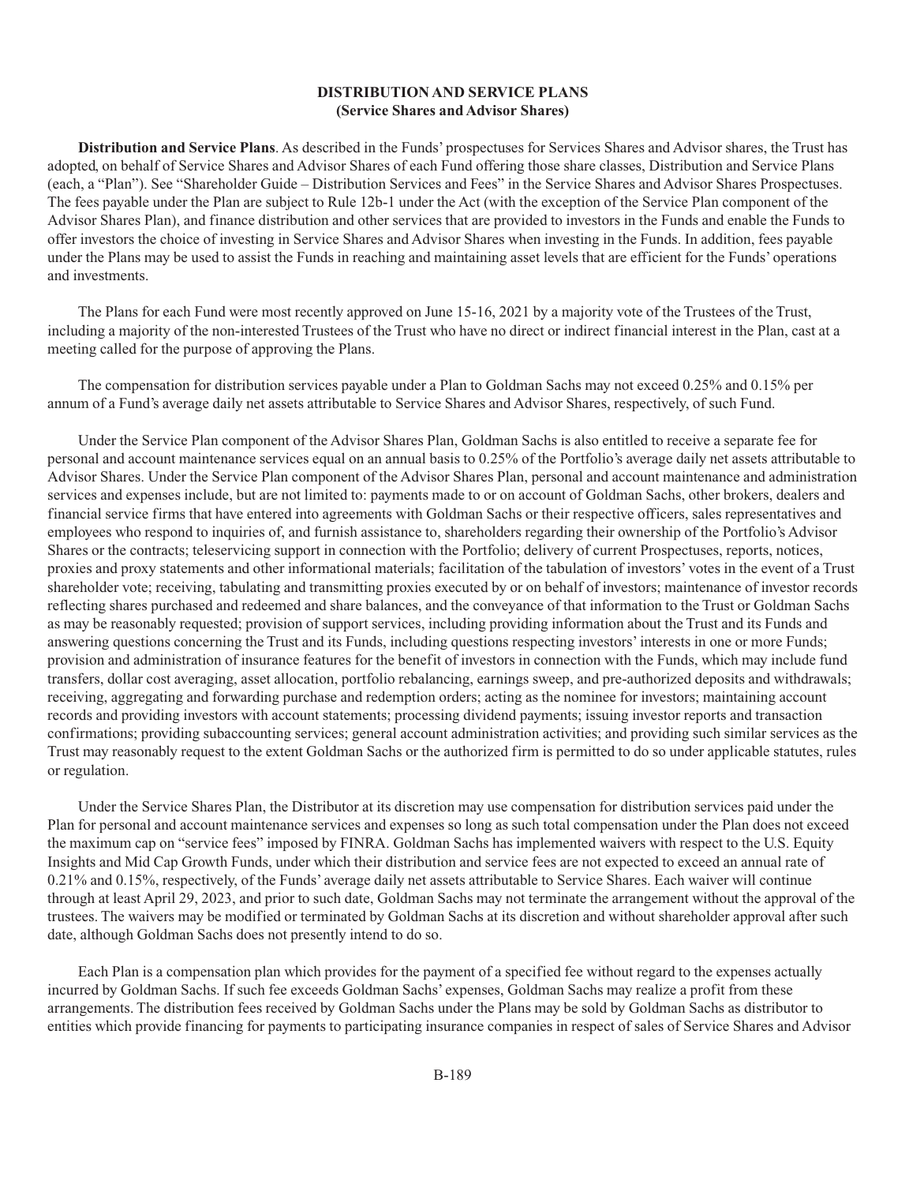#### **DISTRIBUTION AND SERVICE PLANS (Service Shares and Advisor Shares)**

**Distribution and Service Plans**. As described in the Funds' prospectuses for Services Shares and Advisor shares, the Trust has adopted, on behalf of Service Shares and Advisor Shares of each Fund offering those share classes, Distribution and Service Plans (each, a "Plan"). See "Shareholder Guide – Distribution Services and Fees" in the Service Shares and Advisor Shares Prospectuses. The fees payable under the Plan are subject to Rule 12b-1 under the Act (with the exception of the Service Plan component of the Advisor Shares Plan), and finance distribution and other services that are provided to investors in the Funds and enable the Funds to offer investors the choice of investing in Service Shares and Advisor Shares when investing in the Funds. In addition, fees payable under the Plans may be used to assist the Funds in reaching and maintaining asset levels that are efficient for the Funds' operations and investments.

The Plans for each Fund were most recently approved on June 15-16, 2021 by a majority vote of the Trustees of the Trust, including a majority of the non-interested Trustees of the Trust who have no direct or indirect financial interest in the Plan, cast at a meeting called for the purpose of approving the Plans.

The compensation for distribution services payable under a Plan to Goldman Sachs may not exceed 0.25% and 0.15% per annum of a Fund's average daily net assets attributable to Service Shares and Advisor Shares, respectively, of such Fund.

Under the Service Plan component of the Advisor Shares Plan, Goldman Sachs is also entitled to receive a separate fee for personal and account maintenance services equal on an annual basis to 0.25% of the Portfolio's average daily net assets attributable to Advisor Shares. Under the Service Plan component of the Advisor Shares Plan, personal and account maintenance and administration services and expenses include, but are not limited to: payments made to or on account of Goldman Sachs, other brokers, dealers and financial service firms that have entered into agreements with Goldman Sachs or their respective officers, sales representatives and employees who respond to inquiries of, and furnish assistance to, shareholders regarding their ownership of the Portfolio's Advisor Shares or the contracts; teleservicing support in connection with the Portfolio; delivery of current Prospectuses, reports, notices, proxies and proxy statements and other informational materials; facilitation of the tabulation of investors' votes in the event of a Trust shareholder vote; receiving, tabulating and transmitting proxies executed by or on behalf of investors; maintenance of investor records reflecting shares purchased and redeemed and share balances, and the conveyance of that information to the Trust or Goldman Sachs as may be reasonably requested; provision of support services, including providing information about the Trust and its Funds and answering questions concerning the Trust and its Funds, including questions respecting investors' interests in one or more Funds; provision and administration of insurance features for the benefit of investors in connection with the Funds, which may include fund transfers, dollar cost averaging, asset allocation, portfolio rebalancing, earnings sweep, and pre-authorized deposits and withdrawals; receiving, aggregating and forwarding purchase and redemption orders; acting as the nominee for investors; maintaining account records and providing investors with account statements; processing dividend payments; issuing investor reports and transaction confirmations; providing subaccounting services; general account administration activities; and providing such similar services as the Trust may reasonably request to the extent Goldman Sachs or the authorized firm is permitted to do so under applicable statutes, rules or regulation.

Under the Service Shares Plan, the Distributor at its discretion may use compensation for distribution services paid under the Plan for personal and account maintenance services and expenses so long as such total compensation under the Plan does not exceed the maximum cap on "service fees" imposed by FINRA. Goldman Sachs has implemented waivers with respect to the U.S. Equity Insights and Mid Cap Growth Funds, under which their distribution and service fees are not expected to exceed an annual rate of 0.21% and 0.15%, respectively, of the Funds' average daily net assets attributable to Service Shares. Each waiver will continue through at least April 29, 2023, and prior to such date, Goldman Sachs may not terminate the arrangement without the approval of the trustees. The waivers may be modified or terminated by Goldman Sachs at its discretion and without shareholder approval after such date, although Goldman Sachs does not presently intend to do so.

Each Plan is a compensation plan which provides for the payment of a specified fee without regard to the expenses actually incurred by Goldman Sachs. If such fee exceeds Goldman Sachs' expenses, Goldman Sachs may realize a profit from these arrangements. The distribution fees received by Goldman Sachs under the Plans may be sold by Goldman Sachs as distributor to entities which provide financing for payments to participating insurance companies in respect of sales of Service Shares and Advisor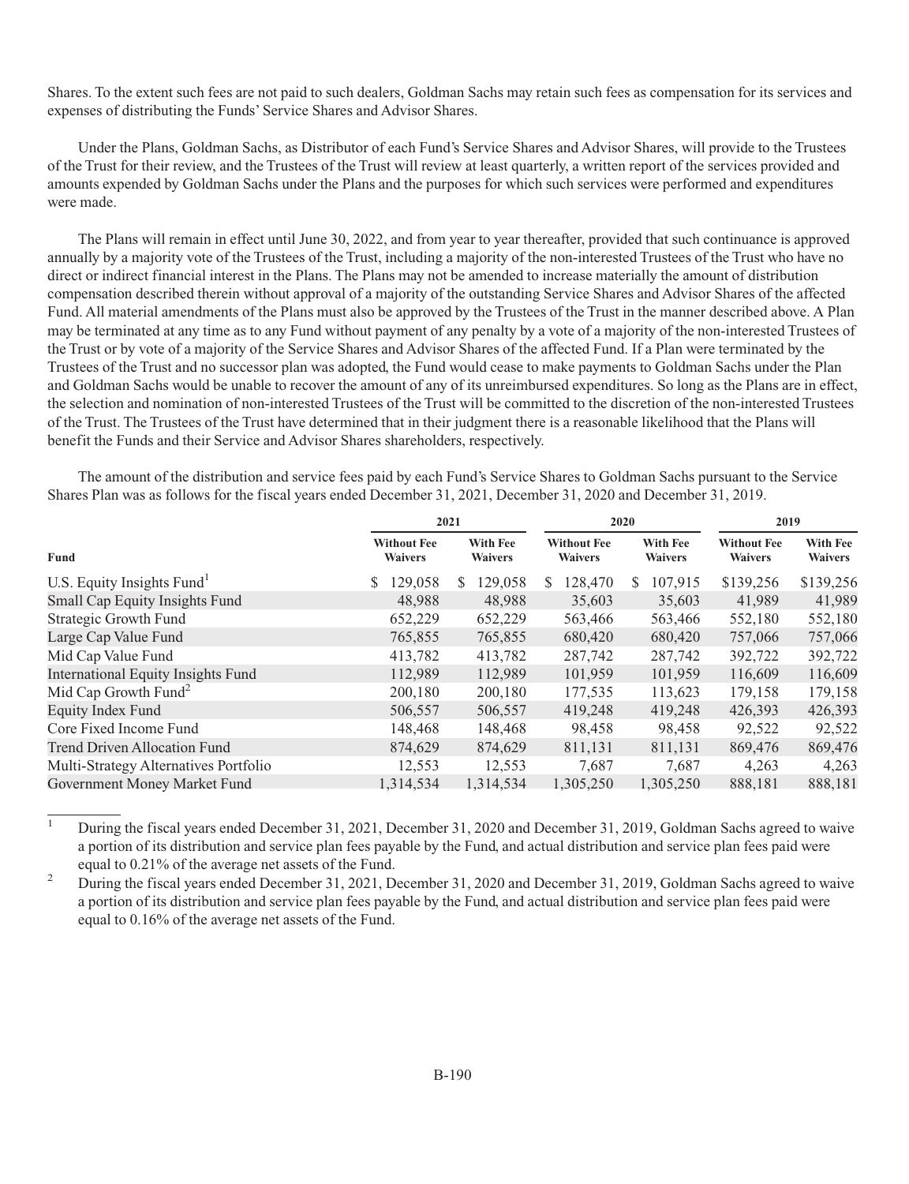Shares. To the extent such fees are not paid to such dealers, Goldman Sachs may retain such fees as compensation for its services and expenses of distributing the Funds' Service Shares and Advisor Shares.

Under the Plans, Goldman Sachs, as Distributor of each Fund's Service Shares and Advisor Shares, will provide to the Trustees of the Trust for their review, and the Trustees of the Trust will review at least quarterly, a written report of the services provided and amounts expended by Goldman Sachs under the Plans and the purposes for which such services were performed and expenditures were made.

The Plans will remain in effect until June 30, 2022, and from year to year thereafter, provided that such continuance is approved annually by a majority vote of the Trustees of the Trust, including a majority of the non-interested Trustees of the Trust who have no direct or indirect financial interest in the Plans. The Plans may not be amended to increase materially the amount of distribution compensation described therein without approval of a majority of the outstanding Service Shares and Advisor Shares of the affected Fund. All material amendments of the Plans must also be approved by the Trustees of the Trust in the manner described above. A Plan may be terminated at any time as to any Fund without payment of any penalty by a vote of a majority of the non-interested Trustees of the Trust or by vote of a majority of the Service Shares and Advisor Shares of the affected Fund. If a Plan were terminated by the Trustees of the Trust and no successor plan was adopted, the Fund would cease to make payments to Goldman Sachs under the Plan and Goldman Sachs would be unable to recover the amount of any of its unreimbursed expenditures. So long as the Plans are in effect, the selection and nomination of non-interested Trustees of the Trust will be committed to the discretion of the non-interested Trustees of the Trust. The Trustees of the Trust have determined that in their judgment there is a reasonable likelihood that the Plans will benefit the Funds and their Service and Advisor Shares shareholders, respectively.

The amount of the distribution and service fees paid by each Fund's Service Shares to Goldman Sachs pursuant to the Service Shares Plan was as follows for the fiscal years ended December 31, 2021, December 31, 2020 and December 31, 2019.

|                                           | 2021                                 |                            |                                      | 2020                              | 2019                                 |                                   |
|-------------------------------------------|--------------------------------------|----------------------------|--------------------------------------|-----------------------------------|--------------------------------------|-----------------------------------|
| Fund                                      | <b>Without Fee</b><br><b>Waivers</b> | With Fee<br><b>Waivers</b> | <b>Without Fee</b><br><b>Waivers</b> | <b>With Fee</b><br><b>Waivers</b> | <b>Without Fee</b><br><b>Waivers</b> | <b>With Fee</b><br><b>Waivers</b> |
| U.S. Equity Insights Fund <sup>1</sup>    | 129,058                              | 129,058<br>S.              | 128,470<br>S.                        | 107,915<br>S.                     | \$139,256                            | \$139,256                         |
| Small Cap Equity Insights Fund            | 48,988                               | 48,988                     | 35,603                               | 35,603                            | 41,989                               | 41,989                            |
| Strategic Growth Fund                     | 652,229                              | 652,229                    | 563,466                              | 563,466                           | 552,180                              | 552,180                           |
| Large Cap Value Fund                      | 765,855                              | 765,855                    | 680,420                              | 680,420                           | 757,066                              | 757,066                           |
| Mid Cap Value Fund                        | 413,782                              | 413,782                    | 287,742                              | 287,742                           | 392,722                              | 392,722                           |
| <b>International Equity Insights Fund</b> | 112.989                              | 112,989                    | 101.959                              | 101,959                           | 116,609                              | 116,609                           |
| Mid Cap Growth Fund <sup>2</sup>          | 200,180                              | 200,180                    | 177,535                              | 113,623                           | 179,158                              | 179,158                           |
| <b>Equity Index Fund</b>                  | 506,557                              | 506,557                    | 419,248                              | 419,248                           | 426,393                              | 426,393                           |
| Core Fixed Income Fund                    | 148,468                              | 148,468                    | 98,458                               | 98,458                            | 92,522                               | 92,522                            |
| <b>Trend Driven Allocation Fund</b>       | 874,629                              | 874,629                    | 811,131                              | 811,131                           | 869,476                              | 869,476                           |
| Multi-Strategy Alternatives Portfolio     | 12,553                               | 12,553                     | 7,687                                | 7,687                             | 4,263                                | 4,263                             |
| Government Money Market Fund              | 1,314,534                            | 1,314,534                  | 1,305,250                            | 1,305,250                         | 888,181                              | 888,181                           |

<sup>1</sup> During the fiscal years ended December 31, 2021, December 31, 2020 and December 31, 2019, Goldman Sachs agreed to waive a portion of its distribution and service plan fees payable by the Fund, and actual distribution and service plan fees paid were equal to 0.21% of the average net assets of the Fund.<br><sup>2</sup> During the fiscal years ended December 31, 2021, December 31, 2020 and December 31, 2019, Goldman Sachs agreed to waive

a portion of its distribution and service plan fees payable by the Fund, and actual distribution and service plan fees paid were equal to 0.16% of the average net assets of the Fund.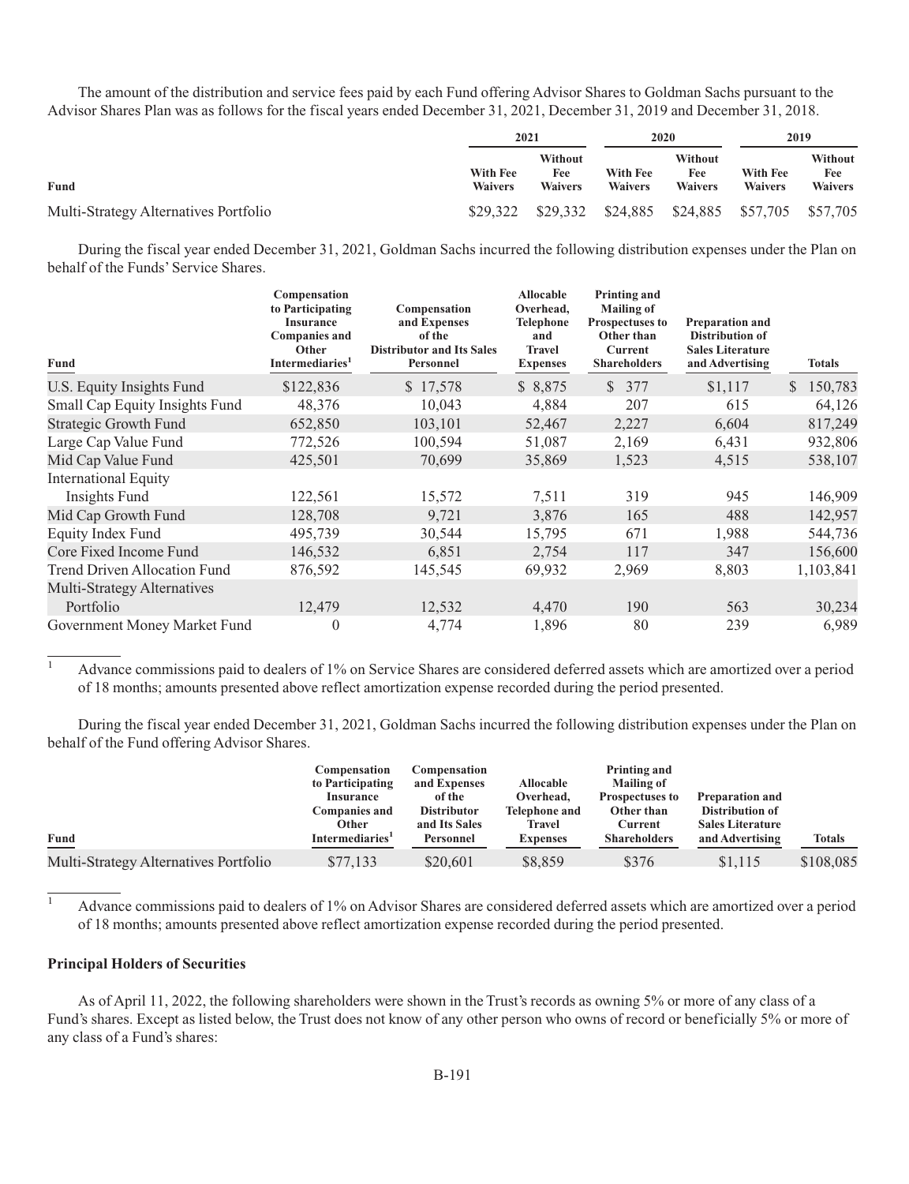The amount of the distribution and service fees paid by each Fund offering Advisor Shares to Goldman Sachs pursuant to the Advisor Shares Plan was as follows for the fiscal years ended December 31, 2021, December 31, 2019 and December 31, 2018.

|                                       | 2021                              |                                  | 2020                              |                                  | 2019                                |                                  |
|---------------------------------------|-----------------------------------|----------------------------------|-----------------------------------|----------------------------------|-------------------------------------|----------------------------------|
| Fund                                  | <b>With Fee</b><br><b>Waivers</b> | Without<br>Fee<br><b>Waivers</b> | <b>With Fee</b><br><b>Waivers</b> | Without<br>Fee<br><b>Waivers</b> | With Fee<br><b>Waivers</b>          | Without<br>Fee<br><b>Waivers</b> |
| Multi-Strategy Alternatives Portfolio | \$29,322                          | \$29.332                         |                                   |                                  | \$24,885 \$24,885 \$57,705 \$57,705 |                                  |

During the fiscal year ended December 31, 2021, Goldman Sachs incurred the following distribution expenses under the Plan on behalf of the Funds' Service Shares.

| <b>Fund</b>                         | Compensation<br>to Participating<br><b>Insurance</b><br><b>Companies and</b><br>Other<br>Intermediaries <sup>1</sup> | Compensation<br>and Expenses<br>of the<br><b>Distributor and Its Sales</b><br>Personnel | <b>Allocable</b><br>Overhead,<br><b>Telephone</b><br>and<br><b>Travel</b><br><b>Expenses</b> | <b>Printing and</b><br><b>Mailing of</b><br>Prospectuses to<br>Other than<br>Current<br><b>Shareholders</b> | <b>Preparation and</b><br>Distribution of<br><b>Sales Literature</b><br>and Advertising | <b>Totals</b> |
|-------------------------------------|----------------------------------------------------------------------------------------------------------------------|-----------------------------------------------------------------------------------------|----------------------------------------------------------------------------------------------|-------------------------------------------------------------------------------------------------------------|-----------------------------------------------------------------------------------------|---------------|
| U.S. Equity Insights Fund           | \$122,836                                                                                                            | \$17,578                                                                                | \$ 8,875                                                                                     | \$377                                                                                                       | \$1,117                                                                                 | 150,783<br>S. |
| Small Cap Equity Insights Fund      | 48,376                                                                                                               | 10,043                                                                                  | 4,884                                                                                        | 207                                                                                                         | 615                                                                                     | 64,126        |
| <b>Strategic Growth Fund</b>        | 652,850                                                                                                              | 103,101                                                                                 | 52,467                                                                                       | 2,227                                                                                                       | 6,604                                                                                   | 817,249       |
| Large Cap Value Fund                | 772,526                                                                                                              | 100,594                                                                                 | 51,087                                                                                       | 2,169                                                                                                       | 6,431                                                                                   | 932,806       |
| Mid Cap Value Fund                  | 425,501                                                                                                              | 70,699                                                                                  | 35,869                                                                                       | 1,523                                                                                                       | 4,515                                                                                   | 538,107       |
| <b>International Equity</b>         |                                                                                                                      |                                                                                         |                                                                                              |                                                                                                             |                                                                                         |               |
| Insights Fund                       | 122,561                                                                                                              | 15,572                                                                                  | 7,511                                                                                        | 319                                                                                                         | 945                                                                                     | 146,909       |
| Mid Cap Growth Fund                 | 128,708                                                                                                              | 9,721                                                                                   | 3,876                                                                                        | 165                                                                                                         | 488                                                                                     | 142,957       |
| <b>Equity Index Fund</b>            | 495,739                                                                                                              | 30,544                                                                                  | 15,795                                                                                       | 671                                                                                                         | 1,988                                                                                   | 544,736       |
| Core Fixed Income Fund              | 146,532                                                                                                              | 6,851                                                                                   | 2,754                                                                                        | 117                                                                                                         | 347                                                                                     | 156,600       |
| <b>Trend Driven Allocation Fund</b> | 876,592                                                                                                              | 145,545                                                                                 | 69,932                                                                                       | 2,969                                                                                                       | 8,803                                                                                   | 1,103,841     |
| Multi-Strategy Alternatives         |                                                                                                                      |                                                                                         |                                                                                              |                                                                                                             |                                                                                         |               |
| Portfolio                           | 12,479                                                                                                               | 12,532                                                                                  | 4,470                                                                                        | 190                                                                                                         | 563                                                                                     | 30,234        |
| Government Money Market Fund        | $\theta$                                                                                                             | 4,774                                                                                   | 1,896                                                                                        | 80                                                                                                          | 239                                                                                     | 6,989         |

 $\overline{1}$  Advance commissions paid to dealers of 1% on Service Shares are considered deferred assets which are amortized over a period of 18 months; amounts presented above reflect amortization expense recorded during the period presented.

During the fiscal year ended December 31, 2021, Goldman Sachs incurred the following distribution expenses under the Plan on behalf of the Fund offering Advisor Shares.

| Fund                                  | Compensation<br>to Participating<br>Insurance<br><b>Companies and</b><br><b>Other</b><br>Intermediaries <sup>1</sup> | Compensation<br>and Expenses<br>of the<br><b>Distributor</b><br>and Its Sales<br>Personnel | Allocable<br>Overhead,<br>Telephone and<br>Travel<br><b>Expenses</b> | Printing and<br><b>Mailing of</b><br><b>Prospectuses to</b><br>Other than<br>Current<br><b>Shareholders</b> | <b>Preparation and</b><br>Distribution of<br><b>Sales Literature</b><br>and Advertising | <b>Totals</b> |
|---------------------------------------|----------------------------------------------------------------------------------------------------------------------|--------------------------------------------------------------------------------------------|----------------------------------------------------------------------|-------------------------------------------------------------------------------------------------------------|-----------------------------------------------------------------------------------------|---------------|
|                                       |                                                                                                                      |                                                                                            |                                                                      |                                                                                                             |                                                                                         |               |
| Multi-Strategy Alternatives Portfolio | \$77,133                                                                                                             | \$20,601                                                                                   | \$8,859                                                              | \$376                                                                                                       | \$1,115                                                                                 | \$108,085     |

 $\overline{1}$  Advance commissions paid to dealers of 1% on Advisor Shares are considered deferred assets which are amortized over a period of 18 months; amounts presented above reflect amortization expense recorded during the period presented.

#### **Principal Holders of Securities**

As of April 11, 2022, the following shareholders were shown in the Trust's records as owning 5% or more of any class of a Fund's shares. Except as listed below, the Trust does not know of any other person who owns of record or beneficially 5% or more of any class of a Fund's shares: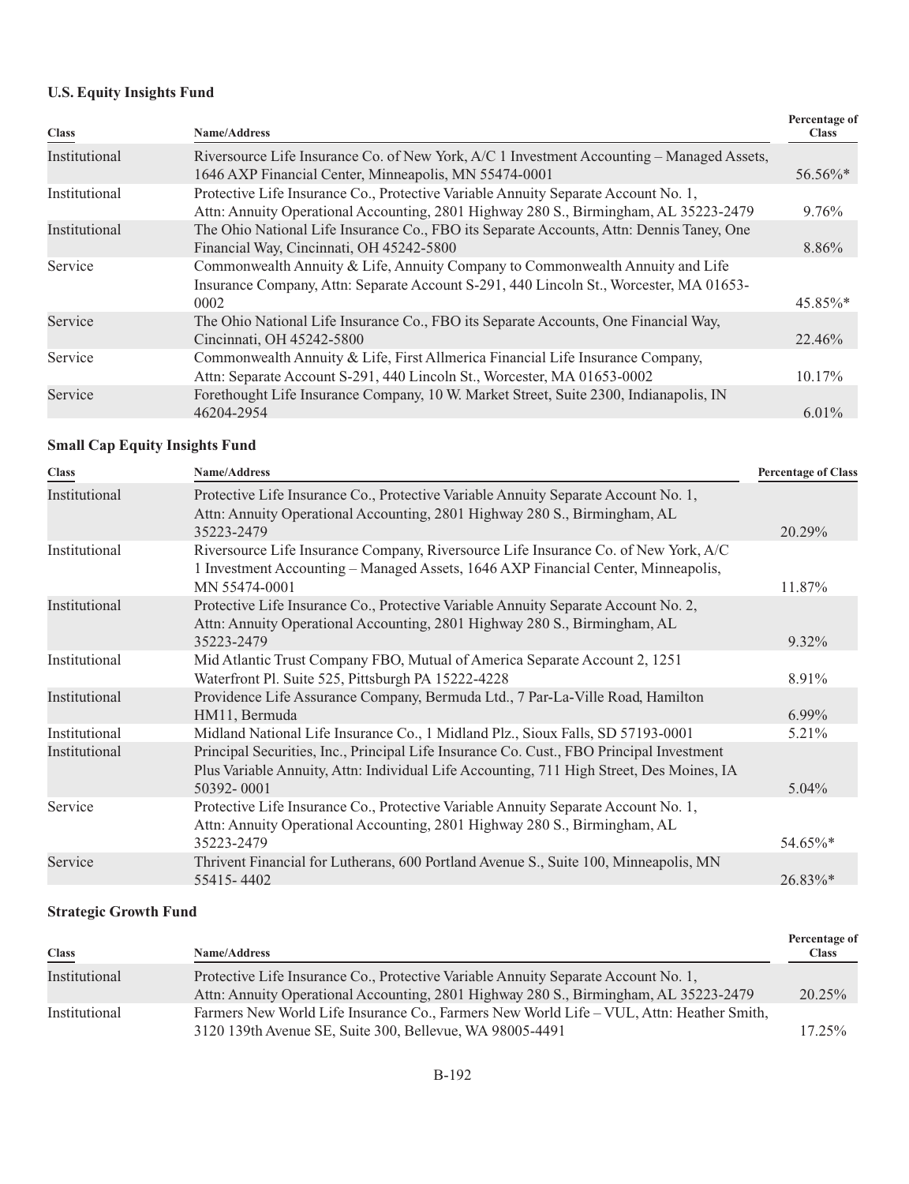# **U.S. Equity Insights Fund**

| <b>Class</b>  | Name/Address                                                                                                                                                                    | Percentage of<br><b>Class</b> |
|---------------|---------------------------------------------------------------------------------------------------------------------------------------------------------------------------------|-------------------------------|
| Institutional | Riversource Life Insurance Co. of New York, A/C 1 Investment Accounting – Managed Assets,<br>1646 AXP Financial Center, Minneapolis, MN 55474-0001                              | $56.56\%$ *                   |
| Institutional | Protective Life Insurance Co., Protective Variable Annuity Separate Account No. 1,<br>Attn: Annuity Operational Accounting, 2801 Highway 280 S., Birmingham, AL 35223-2479      | 9.76%                         |
| Institutional | The Ohio National Life Insurance Co., FBO its Separate Accounts, Attn: Dennis Taney, One<br>Financial Way, Cincinnati, OH 45242-5800                                            | 8.86%                         |
| Service       | Commonwealth Annuity & Life, Annuity Company to Commonwealth Annuity and Life<br>Insurance Company, Attn: Separate Account S-291, 440 Lincoln St., Worcester, MA 01653-<br>0002 | $45.85\%*$                    |
| Service       | The Ohio National Life Insurance Co., FBO its Separate Accounts, One Financial Way,<br>Cincinnati, OH 45242-5800                                                                | 22.46%                        |
| Service       | Commonwealth Annuity & Life, First Allmerica Financial Life Insurance Company,<br>Attn: Separate Account S-291, 440 Lincoln St., Worcester, MA 01653-0002                       | 10.17%                        |
| Service       | Forethought Life Insurance Company, 10 W. Market Street, Suite 2300, Indianapolis, IN<br>46204-2954                                                                             | $6.01\%$                      |

# **Small Cap Equity Insights Fund**

| <b>Class</b>  | Name/Address                                                                                                                                                                                       | <b>Percentage of Class</b> |
|---------------|----------------------------------------------------------------------------------------------------------------------------------------------------------------------------------------------------|----------------------------|
| Institutional | Protective Life Insurance Co., Protective Variable Annuity Separate Account No. 1,<br>Attn: Annuity Operational Accounting, 2801 Highway 280 S., Birmingham, AL<br>35223-2479                      | 20.29%                     |
| Institutional | Riversource Life Insurance Company, Riversource Life Insurance Co. of New York, A/C<br>1 Investment Accounting – Managed Assets, 1646 AXP Financial Center, Minneapolis,<br>MN 55474-0001          | 11.87%                     |
| Institutional | Protective Life Insurance Co., Protective Variable Annuity Separate Account No. 2,<br>Attn: Annuity Operational Accounting, 2801 Highway 280 S., Birmingham, AL<br>35223-2479                      | 9.32%                      |
| Institutional | Mid Atlantic Trust Company FBO, Mutual of America Separate Account 2, 1251<br>Waterfront Pl. Suite 525, Pittsburgh PA 15222-4228                                                                   | 8.91%                      |
| Institutional | Providence Life Assurance Company, Bermuda Ltd., 7 Par-La-Ville Road, Hamilton<br>HM11, Bermuda                                                                                                    | $6.99\%$                   |
| Institutional | Midland National Life Insurance Co., 1 Midland Plz., Sioux Falls, SD 57193-0001                                                                                                                    | 5.21%                      |
| Institutional | Principal Securities, Inc., Principal Life Insurance Co. Cust., FBO Principal Investment<br>Plus Variable Annuity, Attn: Individual Life Accounting, 711 High Street, Des Moines, IA<br>50392-0001 | $5.04\%$                   |
| Service       | Protective Life Insurance Co., Protective Variable Annuity Separate Account No. 1,<br>Attn: Annuity Operational Accounting, 2801 Highway 280 S., Birmingham, AL<br>35223-2479                      | 54.65%*                    |
| Service       | Thrivent Financial for Lutherans, 600 Portland Avenue S., Suite 100, Minneapolis, MN<br>55415-4402                                                                                                 | $26.83\%*$                 |

# **Strategic Growth Fund**

| <b>Class</b>  | Name/Address                                                                             | Percentage of<br><b>Class</b> |
|---------------|------------------------------------------------------------------------------------------|-------------------------------|
| Institutional | Protective Life Insurance Co., Protective Variable Annuity Separate Account No. 1,       |                               |
|               | Attn: Annuity Operational Accounting, 2801 Highway 280 S., Birmingham, AL 35223-2479     | 20.25%                        |
| Institutional | Farmers New World Life Insurance Co., Farmers New World Life – VUL, Attn: Heather Smith, |                               |
|               | 3120 139th Avenue SE, Suite 300, Bellevue, WA 98005-4491                                 | $17.25\%$                     |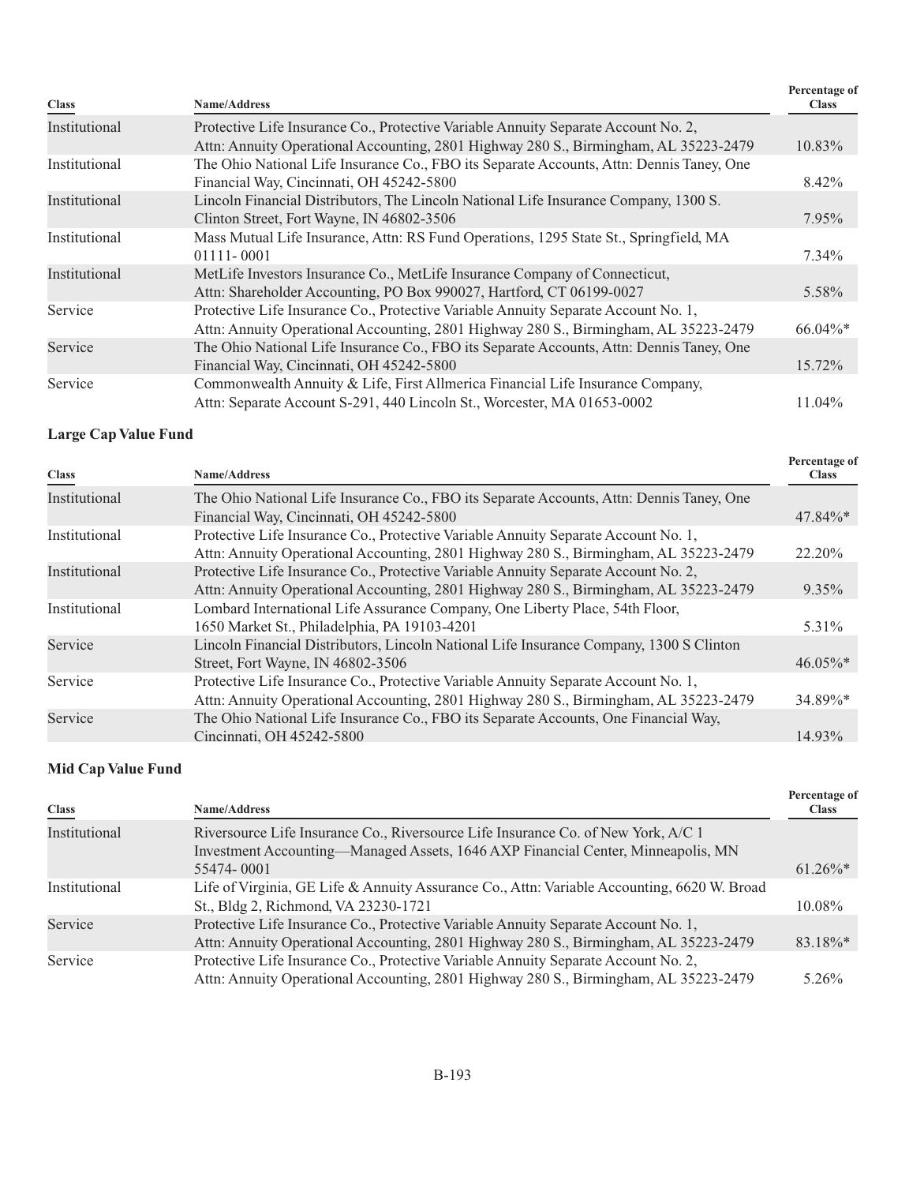| <b>Class</b>  | Name/Address                                                                             | Percentage of<br><b>Class</b> |
|---------------|------------------------------------------------------------------------------------------|-------------------------------|
| Institutional | Protective Life Insurance Co., Protective Variable Annuity Separate Account No. 2,       |                               |
|               | Attn: Annuity Operational Accounting, 2801 Highway 280 S., Birmingham, AL 35223-2479     | $10.83\%$                     |
| Institutional | The Ohio National Life Insurance Co., FBO its Separate Accounts, Attn: Dennis Taney, One |                               |
|               | Financial Way, Cincinnati, OH 45242-5800                                                 | 8.42%                         |
| Institutional | Lincoln Financial Distributors, The Lincoln National Life Insurance Company, 1300 S.     |                               |
|               | Clinton Street, Fort Wayne, IN 46802-3506                                                | 7.95%                         |
| Institutional | Mass Mutual Life Insurance, Attn: RS Fund Operations, 1295 State St., Springfield, MA    |                               |
|               | $01111 - 0001$                                                                           | $7.34\%$                      |
| Institutional | MetLife Investors Insurance Co., MetLife Insurance Company of Connecticut,               |                               |
|               | Attn: Shareholder Accounting, PO Box 990027, Hartford, CT 06199-0027                     | 5.58%                         |
| Service       | Protective Life Insurance Co., Protective Variable Annuity Separate Account No. 1,       |                               |
|               | Attn: Annuity Operational Accounting, 2801 Highway 280 S., Birmingham, AL 35223-2479     | $66.04\%$ *                   |
| Service       | The Ohio National Life Insurance Co., FBO its Separate Accounts, Attn: Dennis Taney, One |                               |
|               | Financial Way, Cincinnati, OH 45242-5800                                                 | 15.72%                        |
| Service       | Commonwealth Annuity & Life, First Allmerica Financial Life Insurance Company,           |                               |
|               | Attn: Separate Account S-291, 440 Lincoln St., Worcester, MA 01653-0002                  | 11.04%                        |

# **Large Cap Value Fund**

| <b>Class</b>  | Name/Address                                                                                                                                                               | Percentage of<br><b>Class</b> |
|---------------|----------------------------------------------------------------------------------------------------------------------------------------------------------------------------|-------------------------------|
| Institutional | The Ohio National Life Insurance Co., FBO its Separate Accounts, Attn: Dennis Taney, One<br>Financial Way, Cincinnati, OH 45242-5800                                       | $47.84\%*$                    |
| Institutional | Protective Life Insurance Co., Protective Variable Annuity Separate Account No. 1,<br>Attn: Annuity Operational Accounting, 2801 Highway 280 S., Birmingham, AL 35223-2479 | 22.20%                        |
| Institutional | Protective Life Insurance Co., Protective Variable Annuity Separate Account No. 2,<br>Attn: Annuity Operational Accounting, 2801 Highway 280 S., Birmingham, AL 35223-2479 | $9.35\%$                      |
| Institutional | Lombard International Life Assurance Company, One Liberty Place, 54th Floor,<br>1650 Market St., Philadelphia, PA 19103-4201                                               | 5.31%                         |
| Service       | Lincoln Financial Distributors, Lincoln National Life Insurance Company, 1300 S Clinton<br>Street, Fort Wayne, IN 46802-3506                                               | $46.05\%$ *                   |
| Service       | Protective Life Insurance Co., Protective Variable Annuity Separate Account No. 1,<br>Attn: Annuity Operational Accounting, 2801 Highway 280 S., Birmingham, AL 35223-2479 | 34.89%*                       |
| Service       | The Ohio National Life Insurance Co., FBO its Separate Accounts, One Financial Way,<br>Cincinnati, OH 45242-5800                                                           | 14.93%                        |

# **Mid Cap Value Fund**

| <b>Class</b>  | Name/Address                                                                                                                                                                        | Percentage of<br><b>Class</b> |
|---------------|-------------------------------------------------------------------------------------------------------------------------------------------------------------------------------------|-------------------------------|
| Institutional | Riversource Life Insurance Co., Riversource Life Insurance Co. of New York, A/C 1<br>Investment Accounting—Managed Assets, 1646 AXP Financial Center, Minneapolis, MN<br>55474-0001 | $61.26\%$ *                   |
| Institutional | Life of Virginia, GE Life & Annuity Assurance Co., Attn: Variable Accounting, 6620 W. Broad<br>St., Bldg 2, Richmond, VA 23230-1721                                                 | 10.08%                        |
| Service       | Protective Life Insurance Co., Protective Variable Annuity Separate Account No. 1,<br>Attn: Annuity Operational Accounting, 2801 Highway 280 S., Birmingham, AL 35223-2479          | 83.18%*                       |
| Service       | Protective Life Insurance Co., Protective Variable Annuity Separate Account No. 2,<br>Attn: Annuity Operational Accounting, 2801 Highway 280 S., Birmingham, AL 35223-2479          | $5.26\%$                      |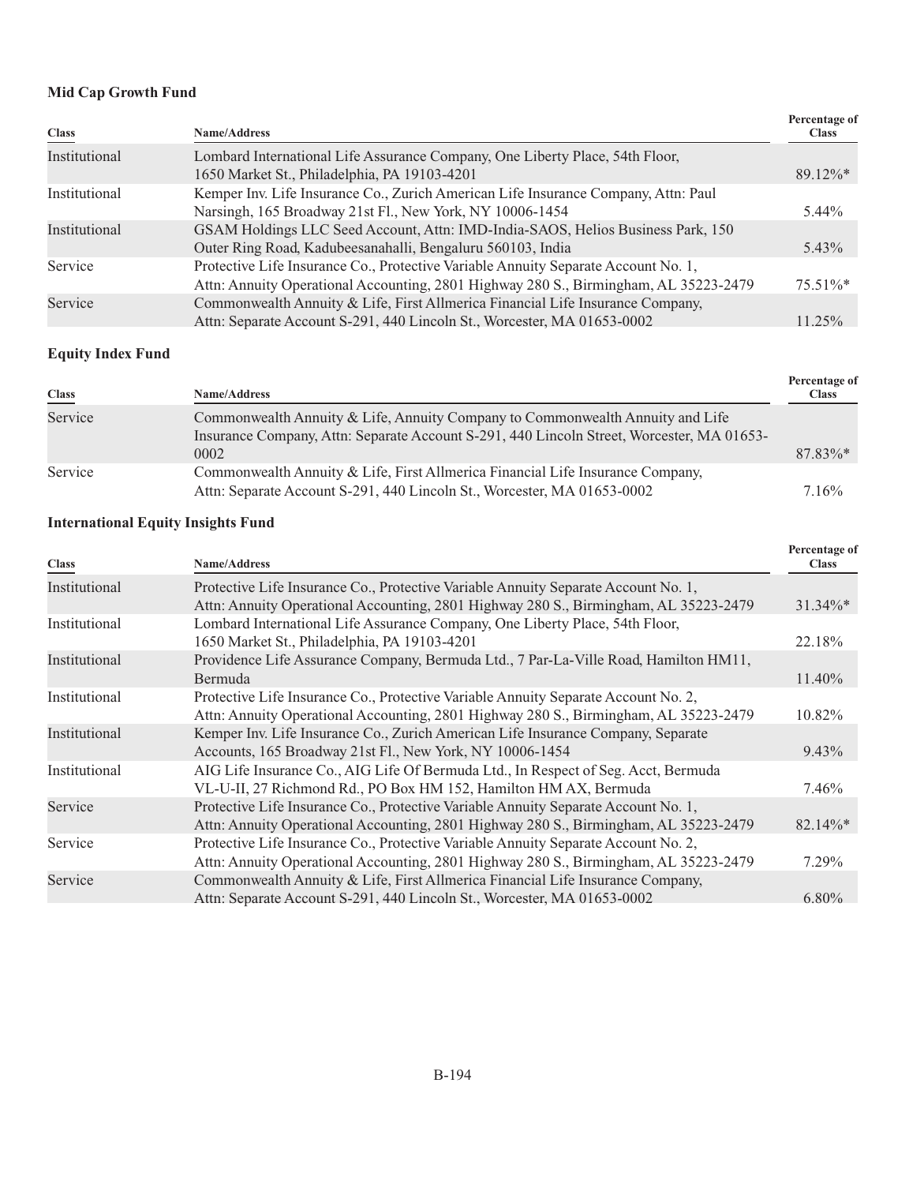# **Mid Cap Growth Fund**

| <b>Class</b>  | Name/Address                                                                                                                                                               | Percentage of<br><b>Class</b> |
|---------------|----------------------------------------------------------------------------------------------------------------------------------------------------------------------------|-------------------------------|
| Institutional | Lombard International Life Assurance Company, One Liberty Place, 54th Floor,<br>1650 Market St., Philadelphia, PA 19103-4201                                               | $89.12\%*$                    |
| Institutional | Kemper Inv. Life Insurance Co., Zurich American Life Insurance Company, Attn: Paul<br>Narsingh, 165 Broadway 21st Fl., New York, NY 10006-1454                             | 5.44%                         |
| Institutional | GSAM Holdings LLC Seed Account, Attn: IMD-India-SAOS, Helios Business Park, 150<br>Outer Ring Road, Kadubeesanahalli, Bengaluru 560103, India                              | 5.43%                         |
| Service       | Protective Life Insurance Co., Protective Variable Annuity Separate Account No. 1,<br>Attn: Annuity Operational Accounting, 2801 Highway 280 S., Birmingham, AL 35223-2479 | $75.51\%$ *                   |
| Service       | Commonwealth Annuity & Life, First Allmerica Financial Life Insurance Company,<br>Attn: Separate Account S-291, 440 Lincoln St., Worcester, MA 01653-0002                  | $11.25\%$                     |

# **Equity Index Fund**

| <b>Class</b> | Name/Address                                                                                                                                                               | Percentage of<br><b>Class</b> |
|--------------|----------------------------------------------------------------------------------------------------------------------------------------------------------------------------|-------------------------------|
| Service      | Commonwealth Annuity & Life, Annuity Company to Commonwealth Annuity and Life<br>Insurance Company, Attn: Separate Account S-291, 440 Lincoln Street, Worcester, MA 01653- |                               |
|              | 0002                                                                                                                                                                       | 87.83%*                       |
| Service      | Commonwealth Annuity & Life, First Allmerica Financial Life Insurance Company,                                                                                             |                               |
|              | Attn: Separate Account S-291, 440 Lincoln St., Worcester, MA 01653-0002                                                                                                    | 7.16%                         |

# **International Equity Insights Fund**

| <b>Class</b>  | Name/Address                                                                         | Percentage of<br><b>Class</b> |
|---------------|--------------------------------------------------------------------------------------|-------------------------------|
| Institutional | Protective Life Insurance Co., Protective Variable Annuity Separate Account No. 1,   |                               |
|               | Attn: Annuity Operational Accounting, 2801 Highway 280 S., Birmingham, AL 35223-2479 | $31.34\%*$                    |
| Institutional | Lombard International Life Assurance Company, One Liberty Place, 54th Floor,         |                               |
|               | 1650 Market St., Philadelphia, PA 19103-4201                                         | 22.18%                        |
| Institutional | Providence Life Assurance Company, Bermuda Ltd., 7 Par-La-Ville Road, Hamilton HM11, |                               |
|               | Bermuda                                                                              | 11.40%                        |
| Institutional | Protective Life Insurance Co., Protective Variable Annuity Separate Account No. 2,   |                               |
|               | Attn: Annuity Operational Accounting, 2801 Highway 280 S., Birmingham, AL 35223-2479 | 10.82%                        |
| Institutional | Kemper Inv. Life Insurance Co., Zurich American Life Insurance Company, Separate     |                               |
|               | Accounts, 165 Broadway 21st Fl., New York, NY 10006-1454                             | 9.43%                         |
| Institutional | AIG Life Insurance Co., AIG Life Of Bermuda Ltd., In Respect of Seg. Acct, Bermuda   |                               |
|               | VL-U-II, 27 Richmond Rd., PO Box HM 152, Hamilton HM AX, Bermuda                     | 7.46%                         |
| Service       | Protective Life Insurance Co., Protective Variable Annuity Separate Account No. 1,   |                               |
|               | Attn: Annuity Operational Accounting, 2801 Highway 280 S., Birmingham, AL 35223-2479 | $82.14\%*$                    |
| Service       | Protective Life Insurance Co., Protective Variable Annuity Separate Account No. 2,   |                               |
|               | Attn: Annuity Operational Accounting, 2801 Highway 280 S., Birmingham, AL 35223-2479 | 7.29%                         |
| Service       | Commonwealth Annuity & Life, First Allmerica Financial Life Insurance Company,       |                               |
|               | Attn: Separate Account S-291, 440 Lincoln St., Worcester, MA 01653-0002              | $6.80\%$                      |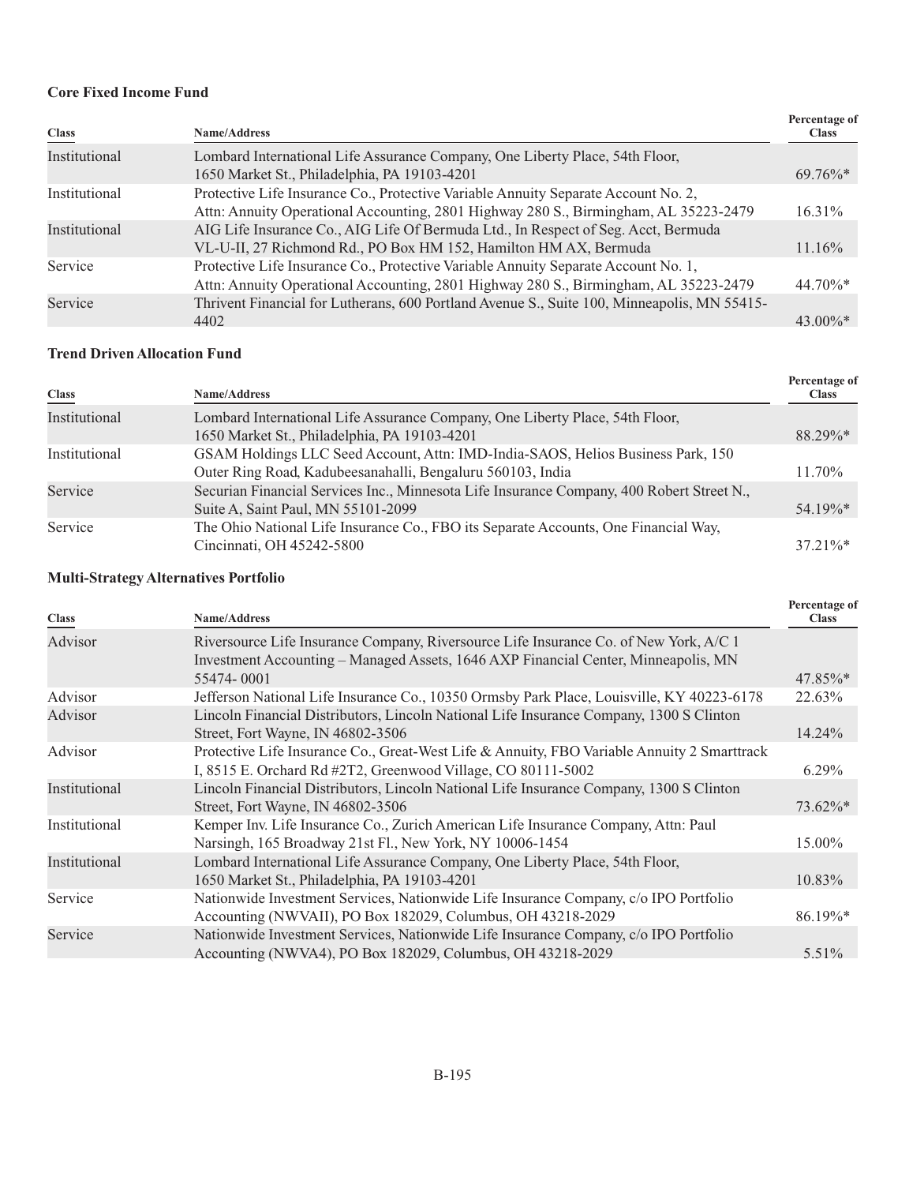## **Core Fixed Income Fund**

| <b>Class</b>  | Name/Address                                                                                                                                                               | Percentage of<br><b>Class</b> |
|---------------|----------------------------------------------------------------------------------------------------------------------------------------------------------------------------|-------------------------------|
| Institutional | Lombard International Life Assurance Company, One Liberty Place, 54th Floor,<br>1650 Market St., Philadelphia, PA 19103-4201                                               | $69.76\%*$                    |
| Institutional | Protective Life Insurance Co., Protective Variable Annuity Separate Account No. 2,<br>Attn: Annuity Operational Accounting, 2801 Highway 280 S., Birmingham, AL 35223-2479 | $16.31\%$                     |
| Institutional | AIG Life Insurance Co., AIG Life Of Bermuda Ltd., In Respect of Seg. Acct, Bermuda<br>VL-U-II, 27 Richmond Rd., PO Box HM 152, Hamilton HM AX, Bermuda                     | $11.16\%$                     |
| Service       | Protective Life Insurance Co., Protective Variable Annuity Separate Account No. 1,<br>Attn: Annuity Operational Accounting, 2801 Highway 280 S., Birmingham, AL 35223-2479 | $44.70\%$ *                   |
| Service       | Thrivent Financial for Lutherans, 600 Portland Avenue S., Suite 100, Minneapolis, MN 55415-<br>4402                                                                        | $43.00\%*$                    |

# **Trend Driven Allocation Fund**

| <b>Class</b>  | Name/Address                                                                                                                                  | Percentage of<br><b>Class</b> |
|---------------|-----------------------------------------------------------------------------------------------------------------------------------------------|-------------------------------|
| Institutional | Lombard International Life Assurance Company, One Liberty Place, 54th Floor,<br>1650 Market St., Philadelphia, PA 19103-4201                  | 88.29%*                       |
| Institutional | GSAM Holdings LLC Seed Account, Attn: IMD-India-SAOS, Helios Business Park, 150<br>Outer Ring Road, Kadubeesanahalli, Bengaluru 560103, India | 11.70%                        |
| Service       | Securian Financial Services Inc., Minnesota Life Insurance Company, 400 Robert Street N.,<br>Suite A, Saint Paul, MN 55101-2099               | $54.19\%*$                    |
| Service       | The Ohio National Life Insurance Co., FBO its Separate Accounts, One Financial Way,<br>Cincinnati, OH 45242-5800                              | $37.21\%*$                    |

# **Multi-Strategy Alternatives Portfolio**

| <b>Class</b>  | Name/Address                                                                                                                                                                              | Percentage of<br><b>Class</b> |
|---------------|-------------------------------------------------------------------------------------------------------------------------------------------------------------------------------------------|-------------------------------|
| Advisor       | Riversource Life Insurance Company, Riversource Life Insurance Co. of New York, A/C 1<br>Investment Accounting – Managed Assets, 1646 AXP Financial Center, Minneapolis, MN<br>55474-0001 | $47.85\%$ *                   |
| Advisor       | Jefferson National Life Insurance Co., 10350 Ormsby Park Place, Louisville, KY 40223-6178                                                                                                 | 22.63%                        |
| Advisor       | Lincoln Financial Distributors, Lincoln National Life Insurance Company, 1300 S Clinton<br>Street, Fort Wayne, IN 46802-3506                                                              |                               |
| Advisor       | Protective Life Insurance Co., Great-West Life & Annuity, FBO Variable Annuity 2 Smarttrack<br>I, 8515 E. Orchard Rd #2T2, Greenwood Village, CO 80111-5002                               |                               |
| Institutional | Lincoln Financial Distributors, Lincoln National Life Insurance Company, 1300 S Clinton<br>Street, Fort Wayne, IN 46802-3506                                                              |                               |
| Institutional | Kemper Inv. Life Insurance Co., Zurich American Life Insurance Company, Attn: Paul<br>Narsingh, 165 Broadway 21st Fl., New York, NY 10006-1454                                            |                               |
| Institutional | Lombard International Life Assurance Company, One Liberty Place, 54th Floor,<br>1650 Market St., Philadelphia, PA 19103-4201                                                              |                               |
| Service       | Nationwide Investment Services, Nationwide Life Insurance Company, c/o IPO Portfolio<br>Accounting (NWVAII), PO Box 182029, Columbus, OH 43218-2029                                       |                               |
| Service       | Nationwide Investment Services, Nationwide Life Insurance Company, c/o IPO Portfolio<br>Accounting (NWVA4), PO Box 182029, Columbus, OH 43218-2029                                        | $5.51\%$                      |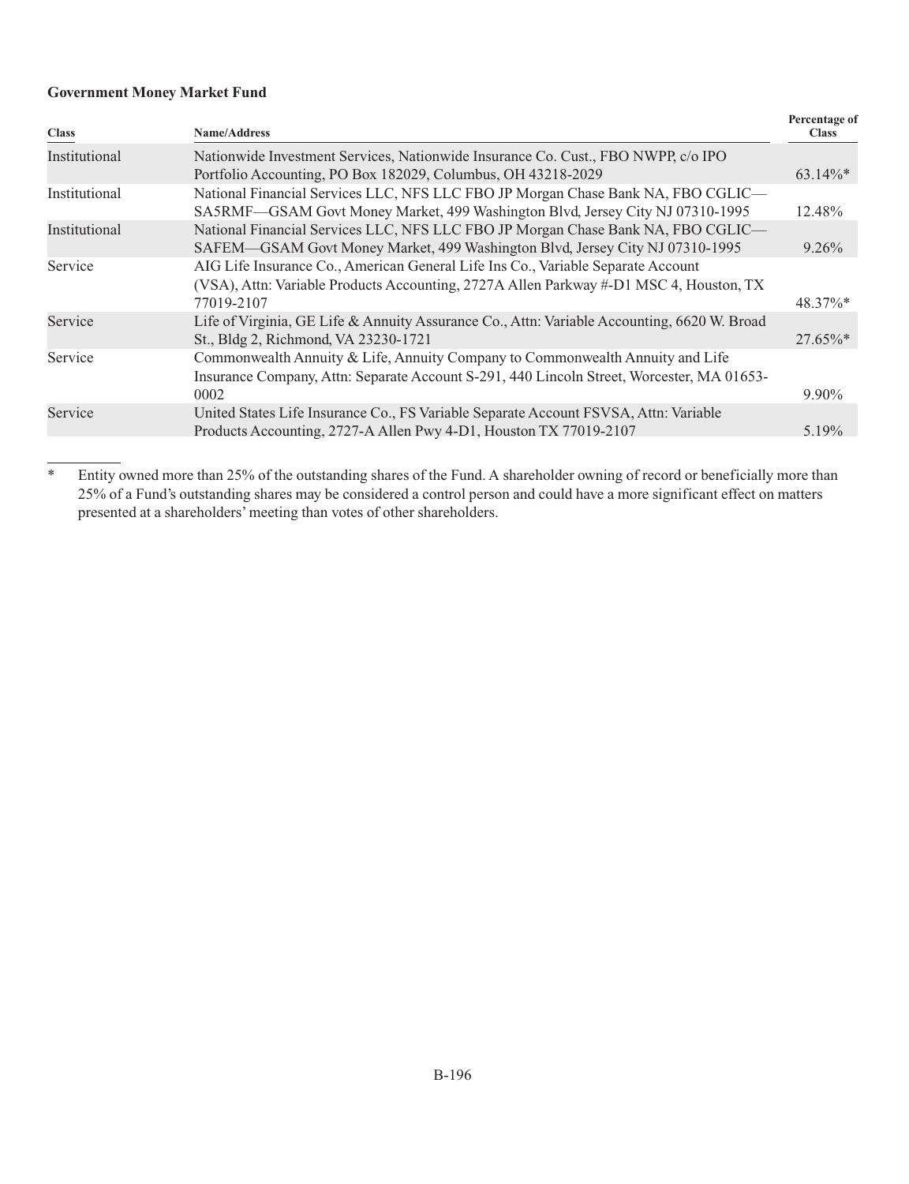# **Government Money Market Fund**

| <b>Class</b>  | Name/Address                                                                                                                                                                             | Percentage of<br><b>Class</b> |
|---------------|------------------------------------------------------------------------------------------------------------------------------------------------------------------------------------------|-------------------------------|
| Institutional | Nationwide Investment Services, Nationwide Insurance Co. Cust., FBO NWPP, c/o IPO                                                                                                        |                               |
|               | Portfolio Accounting, PO Box 182029, Columbus, OH 43218-2029                                                                                                                             | $63.14\%*$                    |
| Institutional | National Financial Services LLC, NFS LLC FBO JP Morgan Chase Bank NA, FBO CGLIC-<br>SA5RMF-GSAM Govt Money Market, 499 Washington Blvd, Jersey City NJ 07310-1995                        | 12.48%                        |
| Institutional | National Financial Services LLC, NFS LLC FBO JP Morgan Chase Bank NA, FBO CGLIC-<br>SAFEM—GSAM Govt Money Market, 499 Washington Blvd, Jersey City NJ 07310-1995                         | $9.26\%$                      |
| Service       | AIG Life Insurance Co., American General Life Ins Co., Variable Separate Account<br>(VSA), Attn: Variable Products Accounting, 2727A Allen Parkway #-D1 MSC 4, Houston, TX<br>77019-2107 | $48.37\%$ *                   |
| Service       | Life of Virginia, GE Life & Annuity Assurance Co., Attn: Variable Accounting, 6620 W. Broad<br>St., Bldg 2, Richmond, VA 23230-1721                                                      |                               |
| Service       | Commonwealth Annuity & Life, Annuity Company to Commonwealth Annuity and Life<br>Insurance Company, Attn: Separate Account S-291, 440 Lincoln Street, Worcester, MA 01653-<br>0002       |                               |
| Service       | United States Life Insurance Co., FS Variable Separate Account FSVSA, Attn: Variable<br>Products Accounting, 2727-A Allen Pwy 4-D1, Houston TX 77019-2107                                | $5.19\%$                      |

\* Entity owned more than 25% of the outstanding shares of the Fund. A shareholder owning of record or beneficially more than 25% of a Fund's outstanding shares may be considered a control person and could have a more significant effect on matters presented at a shareholders' meeting than votes of other shareholders.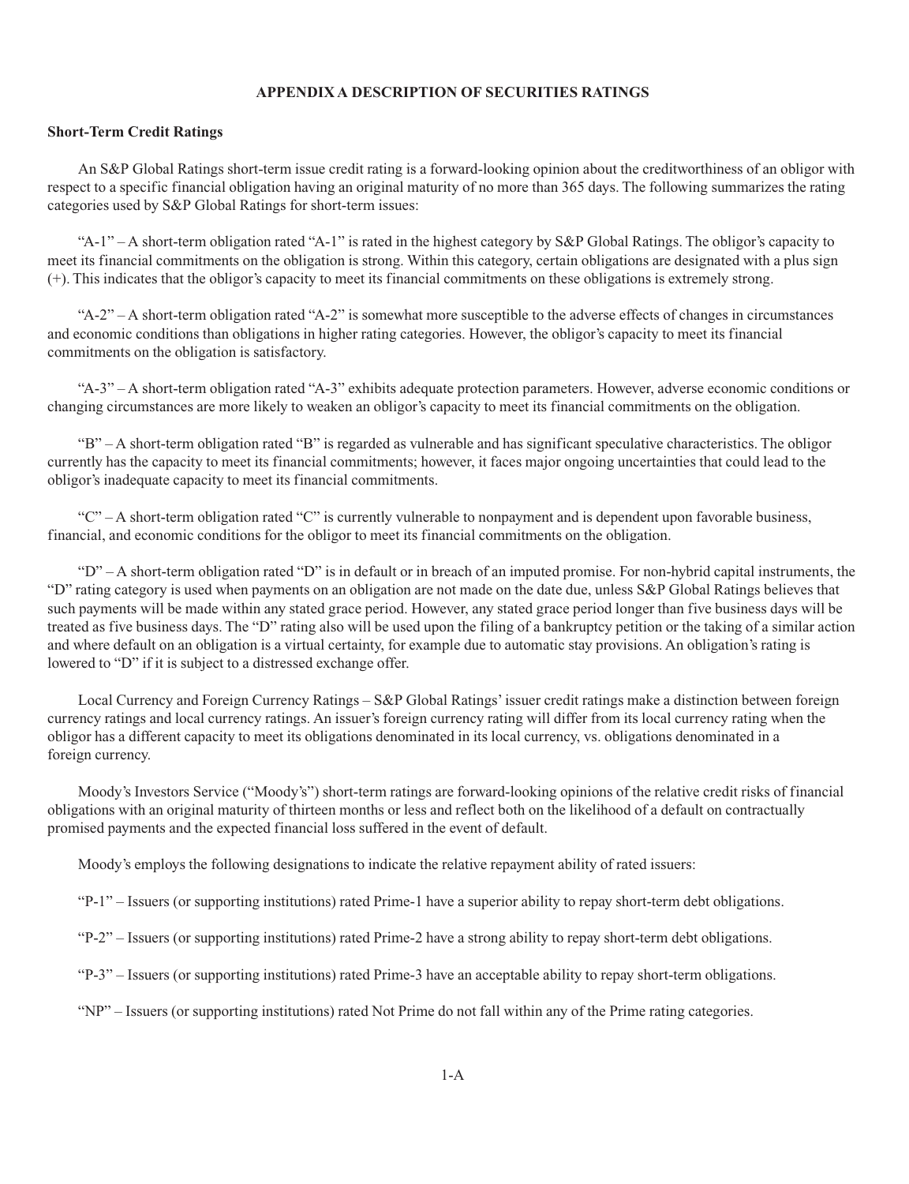#### **APPENDIX A DESCRIPTION OF SECURITIES RATINGS**

#### **Short-Term Credit Ratings**

An S&P Global Ratings short-term issue credit rating is a forward-looking opinion about the creditworthiness of an obligor with respect to a specific financial obligation having an original maturity of no more than 365 days. The following summarizes the rating categories used by S&P Global Ratings for short-term issues:

"A-1" – A short-term obligation rated "A-1" is rated in the highest category by S&P Global Ratings. The obligor's capacity to meet its financial commitments on the obligation is strong. Within this category, certain obligations are designated with a plus sign (+). This indicates that the obligor's capacity to meet its financial commitments on these obligations is extremely strong.

"A-2" – A short-term obligation rated "A-2" is somewhat more susceptible to the adverse effects of changes in circumstances and economic conditions than obligations in higher rating categories. However, the obligor's capacity to meet its financial commitments on the obligation is satisfactory.

"A-3" – A short-term obligation rated "A-3" exhibits adequate protection parameters. However, adverse economic conditions or changing circumstances are more likely to weaken an obligor's capacity to meet its financial commitments on the obligation.

"B" – A short-term obligation rated "B" is regarded as vulnerable and has significant speculative characteristics. The obligor currently has the capacity to meet its financial commitments; however, it faces major ongoing uncertainties that could lead to the obligor's inadequate capacity to meet its financial commitments.

"C" – A short-term obligation rated "C" is currently vulnerable to nonpayment and is dependent upon favorable business, financial, and economic conditions for the obligor to meet its financial commitments on the obligation.

" $D$ " – A short-term obligation rated "D" is in default or in breach of an imputed promise. For non-hybrid capital instruments, the "D" rating category is used when payments on an obligation are not made on the date due, unless S&P Global Ratings believes that such payments will be made within any stated grace period. However, any stated grace period longer than five business days will be treated as five business days. The "D" rating also will be used upon the filing of a bankruptcy petition or the taking of a similar action and where default on an obligation is a virtual certainty, for example due to automatic stay provisions. An obligation's rating is lowered to "D" if it is subject to a distressed exchange offer.

Local Currency and Foreign Currency Ratings – S&P Global Ratings' issuer credit ratings make a distinction between foreign currency ratings and local currency ratings. An issuer's foreign currency rating will differ from its local currency rating when the obligor has a different capacity to meet its obligations denominated in its local currency, vs. obligations denominated in a foreign currency.

Moody's Investors Service ("Moody's") short-term ratings are forward-looking opinions of the relative credit risks of financial obligations with an original maturity of thirteen months or less and reflect both on the likelihood of a default on contractually promised payments and the expected financial loss suffered in the event of default.

Moody's employs the following designations to indicate the relative repayment ability of rated issuers:

"P-1" – Issuers (or supporting institutions) rated Prime-1 have a superior ability to repay short-term debt obligations.

"P-2" – Issuers (or supporting institutions) rated Prime-2 have a strong ability to repay short-term debt obligations.

"P-3" – Issuers (or supporting institutions) rated Prime-3 have an acceptable ability to repay short-term obligations.

"NP" – Issuers (or supporting institutions) rated Not Prime do not fall within any of the Prime rating categories.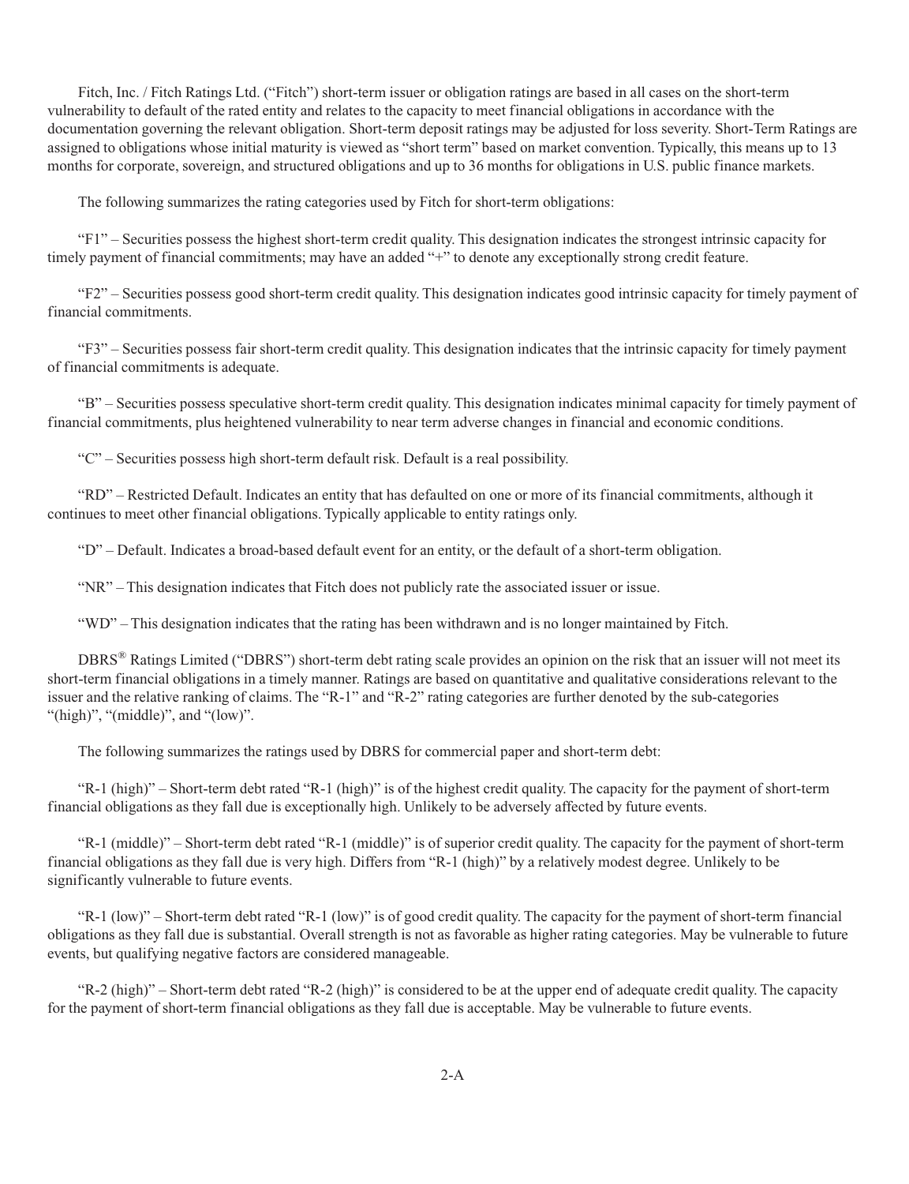Fitch, Inc. / Fitch Ratings Ltd. ("Fitch") short-term issuer or obligation ratings are based in all cases on the short-term vulnerability to default of the rated entity and relates to the capacity to meet financial obligations in accordance with the documentation governing the relevant obligation. Short-term deposit ratings may be adjusted for loss severity. Short-Term Ratings are assigned to obligations whose initial maturity is viewed as "short term" based on market convention. Typically, this means up to 13 months for corporate, sovereign, and structured obligations and up to 36 months for obligations in U.S. public finance markets.

The following summarizes the rating categories used by Fitch for short-term obligations:

"F1" – Securities possess the highest short-term credit quality. This designation indicates the strongest intrinsic capacity for timely payment of financial commitments; may have an added "+" to denote any exceptionally strong credit feature.

"F2" – Securities possess good short-term credit quality. This designation indicates good intrinsic capacity for timely payment of financial commitments.

"F3" – Securities possess fair short-term credit quality. This designation indicates that the intrinsic capacity for timely payment of financial commitments is adequate.

"B" – Securities possess speculative short-term credit quality. This designation indicates minimal capacity for timely payment of financial commitments, plus heightened vulnerability to near term adverse changes in financial and economic conditions.

"C" – Securities possess high short-term default risk. Default is a real possibility.

"RD" – Restricted Default. Indicates an entity that has defaulted on one or more of its financial commitments, although it continues to meet other financial obligations. Typically applicable to entity ratings only.

"D" – Default. Indicates a broad-based default event for an entity, or the default of a short-term obligation.

"NR" – This designation indicates that Fitch does not publicly rate the associated issuer or issue.

"WD" – This designation indicates that the rating has been withdrawn and is no longer maintained by Fitch.

 $DBRS^®$  Ratings Limited ("DBRS") short-term debt rating scale provides an opinion on the risk that an issuer will not meet its short-term financial obligations in a timely manner. Ratings are based on quantitative and qualitative considerations relevant to the issuer and the relative ranking of claims. The "R-1" and "R-2" rating categories are further denoted by the sub-categories "(high)", "(middle)", and "(low)".

The following summarizes the ratings used by DBRS for commercial paper and short-term debt:

"R-1 (high)" – Short-term debt rated "R-1 (high)" is of the highest credit quality. The capacity for the payment of short-term financial obligations as they fall due is exceptionally high. Unlikely to be adversely affected by future events.

"R-1 (middle)" – Short-term debt rated "R-1 (middle)" is of superior credit quality. The capacity for the payment of short-term financial obligations as they fall due is very high. Differs from "R-1 (high)" by a relatively modest degree. Unlikely to be significantly vulnerable to future events.

"R-1 (low)" – Short-term debt rated "R-1 (low)" is of good credit quality. The capacity for the payment of short-term financial obligations as they fall due is substantial. Overall strength is not as favorable as higher rating categories. May be vulnerable to future events, but qualifying negative factors are considered manageable.

"R-2 (high)" – Short-term debt rated "R-2 (high)" is considered to be at the upper end of adequate credit quality. The capacity for the payment of short-term financial obligations as they fall due is acceptable. May be vulnerable to future events.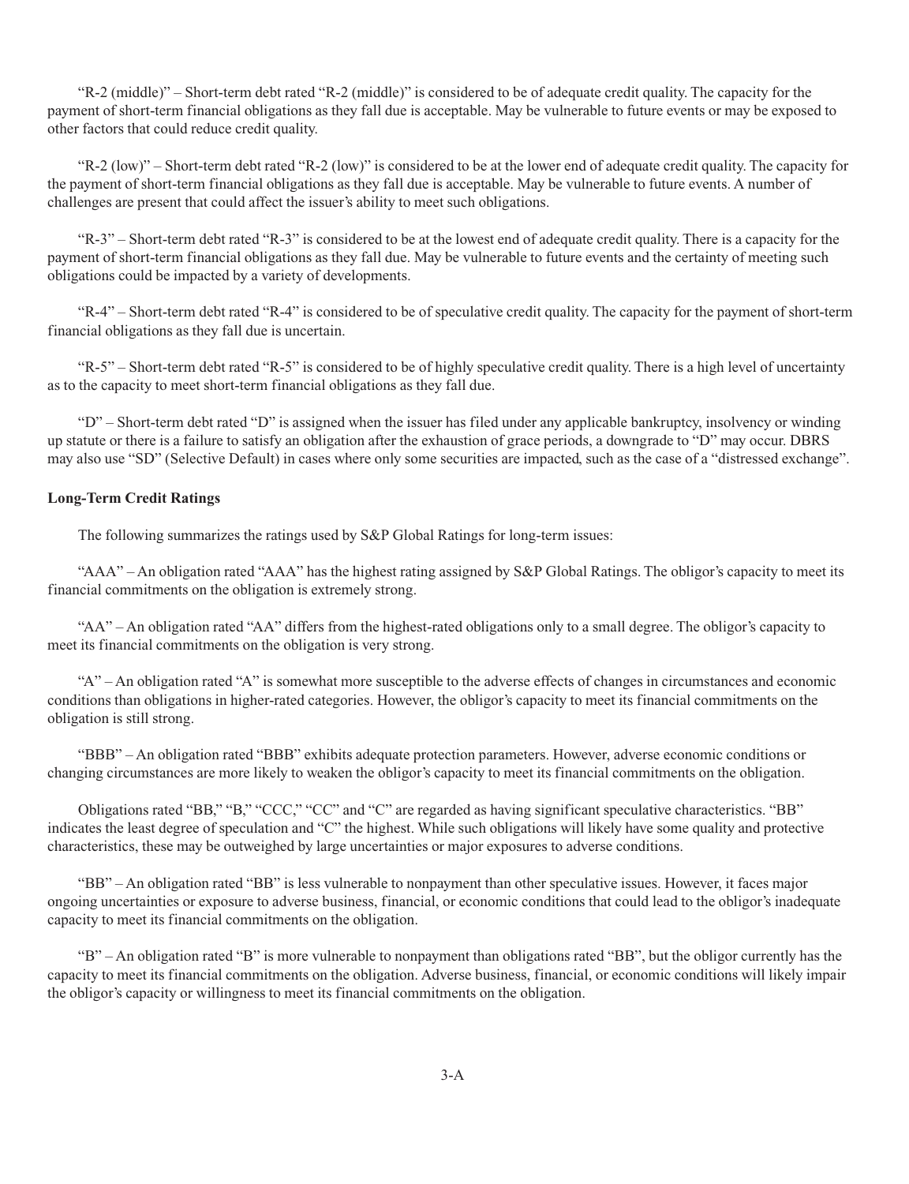"R-2 (middle)" – Short-term debt rated "R-2 (middle)" is considered to be of adequate credit quality. The capacity for the payment of short-term financial obligations as they fall due is acceptable. May be vulnerable to future events or may be exposed to other factors that could reduce credit quality.

"R-2 (low)" – Short-term debt rated "R-2 (low)" is considered to be at the lower end of adequate credit quality. The capacity for the payment of short-term financial obligations as they fall due is acceptable. May be vulnerable to future events. A number of challenges are present that could affect the issuer's ability to meet such obligations.

"R-3" – Short-term debt rated "R-3" is considered to be at the lowest end of adequate credit quality. There is a capacity for the payment of short-term financial obligations as they fall due. May be vulnerable to future events and the certainty of meeting such obligations could be impacted by a variety of developments.

"R-4" – Short-term debt rated "R-4" is considered to be of speculative credit quality. The capacity for the payment of short-term financial obligations as they fall due is uncertain.

"R-5" – Short-term debt rated "R-5" is considered to be of highly speculative credit quality. There is a high level of uncertainty as to the capacity to meet short-term financial obligations as they fall due.

"D" – Short-term debt rated "D" is assigned when the issuer has filed under any applicable bankruptcy, insolvency or winding up statute or there is a failure to satisfy an obligation after the exhaustion of grace periods, a downgrade to "D" may occur. DBRS may also use "SD" (Selective Default) in cases where only some securities are impacted, such as the case of a "distressed exchange".

#### **Long-Term Credit Ratings**

The following summarizes the ratings used by S&P Global Ratings for long-term issues:

"AAA" – An obligation rated "AAA" has the highest rating assigned by S&P Global Ratings. The obligor's capacity to meet its financial commitments on the obligation is extremely strong.

"AA" – An obligation rated "AA" differs from the highest-rated obligations only to a small degree. The obligor's capacity to meet its financial commitments on the obligation is very strong.

"A" – An obligation rated "A" is somewhat more susceptible to the adverse effects of changes in circumstances and economic conditions than obligations in higher-rated categories. However, the obligor's capacity to meet its financial commitments on the obligation is still strong.

"BBB" – An obligation rated "BBB" exhibits adequate protection parameters. However, adverse economic conditions or changing circumstances are more likely to weaken the obligor's capacity to meet its financial commitments on the obligation.

Obligations rated "BB," "B," "CCC," "CC" and "C" are regarded as having significant speculative characteristics. "BB" indicates the least degree of speculation and "C" the highest. While such obligations will likely have some quality and protective characteristics, these may be outweighed by large uncertainties or major exposures to adverse conditions.

"BB" – An obligation rated "BB" is less vulnerable to nonpayment than other speculative issues. However, it faces major ongoing uncertainties or exposure to adverse business, financial, or economic conditions that could lead to the obligor's inadequate capacity to meet its financial commitments on the obligation.

"B" – An obligation rated "B" is more vulnerable to nonpayment than obligations rated "BB", but the obligor currently has the capacity to meet its financial commitments on the obligation. Adverse business, financial, or economic conditions will likely impair the obligor's capacity or willingness to meet its financial commitments on the obligation.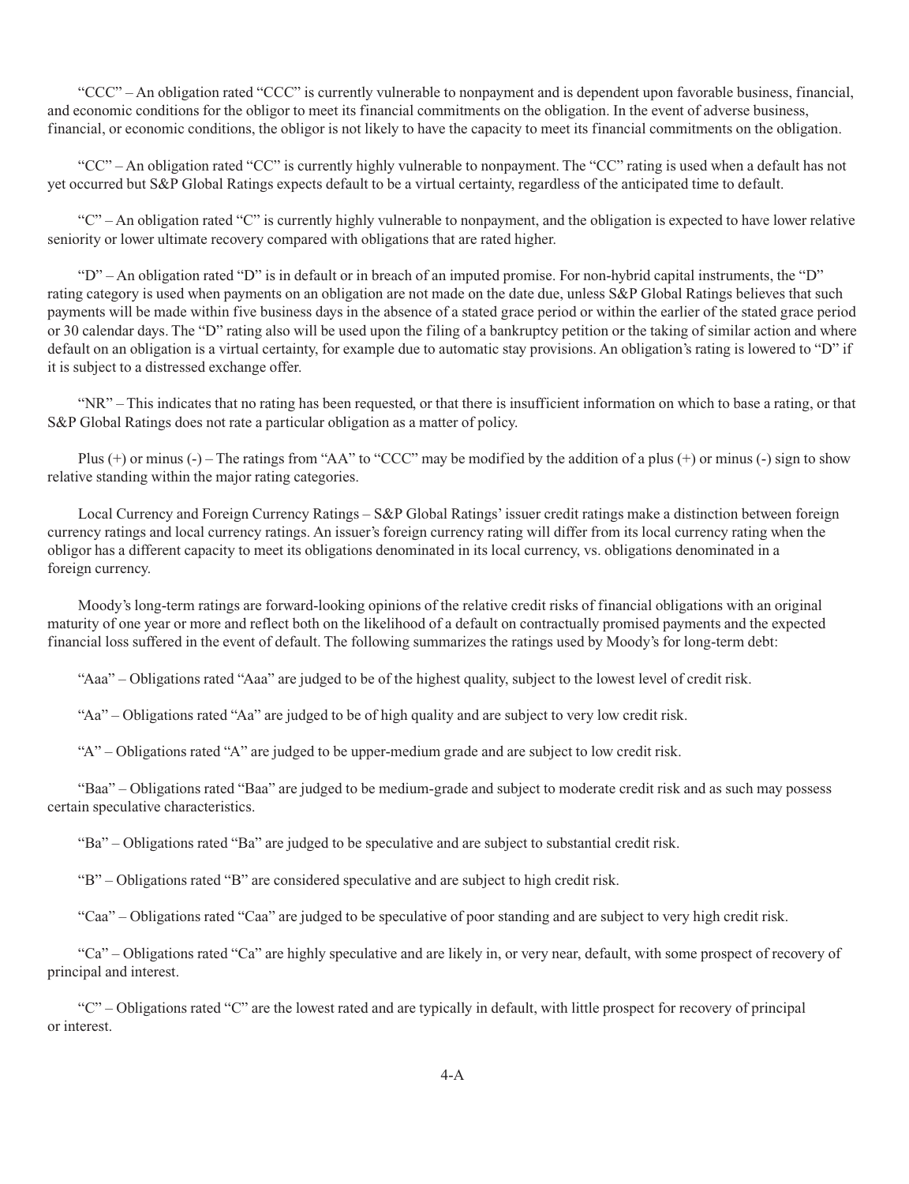"CCC" – An obligation rated "CCC" is currently vulnerable to nonpayment and is dependent upon favorable business, financial, and economic conditions for the obligor to meet its financial commitments on the obligation. In the event of adverse business, financial, or economic conditions, the obligor is not likely to have the capacity to meet its financial commitments on the obligation.

"CC" – An obligation rated "CC" is currently highly vulnerable to nonpayment. The "CC" rating is used when a default has not yet occurred but S&P Global Ratings expects default to be a virtual certainty, regardless of the anticipated time to default.

"C" – An obligation rated "C" is currently highly vulnerable to nonpayment, and the obligation is expected to have lower relative seniority or lower ultimate recovery compared with obligations that are rated higher.

"D" – An obligation rated "D" is in default or in breach of an imputed promise. For non-hybrid capital instruments, the "D" rating category is used when payments on an obligation are not made on the date due, unless S&P Global Ratings believes that such payments will be made within five business days in the absence of a stated grace period or within the earlier of the stated grace period or 30 calendar days. The "D" rating also will be used upon the filing of a bankruptcy petition or the taking of similar action and where default on an obligation is a virtual certainty, for example due to automatic stay provisions. An obligation's rating is lowered to "D" if it is subject to a distressed exchange offer.

"NR" – This indicates that no rating has been requested, or that there is insufficient information on which to base a rating, or that S&P Global Ratings does not rate a particular obligation as a matter of policy.

Plus  $(+)$  or minus  $(-)$  – The ratings from "AA" to "CCC" may be modified by the addition of a plus  $(+)$  or minus  $(-)$  sign to show relative standing within the major rating categories.

Local Currency and Foreign Currency Ratings – S&P Global Ratings' issuer credit ratings make a distinction between foreign currency ratings and local currency ratings. An issuer's foreign currency rating will differ from its local currency rating when the obligor has a different capacity to meet its obligations denominated in its local currency, vs. obligations denominated in a foreign currency.

Moody's long-term ratings are forward-looking opinions of the relative credit risks of financial obligations with an original maturity of one year or more and reflect both on the likelihood of a default on contractually promised payments and the expected financial loss suffered in the event of default. The following summarizes the ratings used by Moody's for long-term debt:

"Aaa" – Obligations rated "Aaa" are judged to be of the highest quality, subject to the lowest level of credit risk.

"Aa" – Obligations rated "Aa" are judged to be of high quality and are subject to very low credit risk.

"A" – Obligations rated "A" are judged to be upper-medium grade and are subject to low credit risk.

"Baa" – Obligations rated "Baa" are judged to be medium-grade and subject to moderate credit risk and as such may possess certain speculative characteristics.

"Ba" – Obligations rated "Ba" are judged to be speculative and are subject to substantial credit risk.

"B" – Obligations rated "B" are considered speculative and are subject to high credit risk.

"Caa" – Obligations rated "Caa" are judged to be speculative of poor standing and are subject to very high credit risk.

"Ca" – Obligations rated "Ca" are highly speculative and are likely in, or very near, default, with some prospect of recovery of principal and interest.

"C" – Obligations rated "C" are the lowest rated and are typically in default, with little prospect for recovery of principal or interest.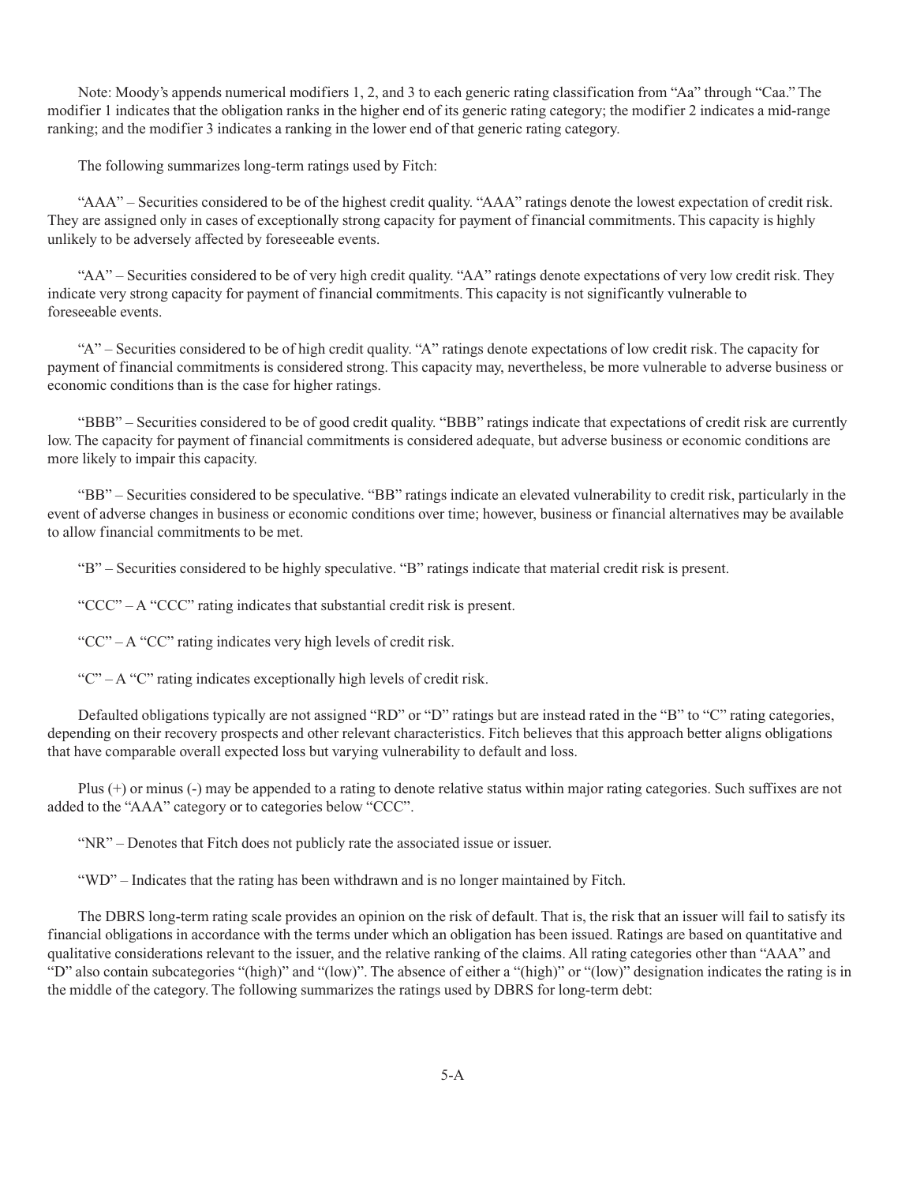Note: Moody's appends numerical modifiers 1, 2, and 3 to each generic rating classification from "Aa" through "Caa." The modifier 1 indicates that the obligation ranks in the higher end of its generic rating category; the modifier 2 indicates a mid-range ranking; and the modifier 3 indicates a ranking in the lower end of that generic rating category.

The following summarizes long-term ratings used by Fitch:

"AAA" – Securities considered to be of the highest credit quality. "AAA" ratings denote the lowest expectation of credit risk. They are assigned only in cases of exceptionally strong capacity for payment of financial commitments. This capacity is highly unlikely to be adversely affected by foreseeable events.

"AA" – Securities considered to be of very high credit quality. "AA" ratings denote expectations of very low credit risk. They indicate very strong capacity for payment of financial commitments. This capacity is not significantly vulnerable to foreseeable events.

"A" – Securities considered to be of high credit quality. "A" ratings denote expectations of low credit risk. The capacity for payment of financial commitments is considered strong. This capacity may, nevertheless, be more vulnerable to adverse business or economic conditions than is the case for higher ratings.

"BBB" – Securities considered to be of good credit quality. "BBB" ratings indicate that expectations of credit risk are currently low. The capacity for payment of financial commitments is considered adequate, but adverse business or economic conditions are more likely to impair this capacity.

"BB" – Securities considered to be speculative. "BB" ratings indicate an elevated vulnerability to credit risk, particularly in the event of adverse changes in business or economic conditions over time; however, business or financial alternatives may be available to allow financial commitments to be met.

"B" – Securities considered to be highly speculative. "B" ratings indicate that material credit risk is present.

"CCC" – A "CCC" rating indicates that substantial credit risk is present.

"CC" – A "CC" rating indicates very high levels of credit risk.

"C" – A "C" rating indicates exceptionally high levels of credit risk.

Defaulted obligations typically are not assigned "RD" or "D" ratings but are instead rated in the "B" to "C" rating categories, depending on their recovery prospects and other relevant characteristics. Fitch believes that this approach better aligns obligations that have comparable overall expected loss but varying vulnerability to default and loss.

Plus (+) or minus (-) may be appended to a rating to denote relative status within major rating categories. Such suffixes are not added to the "AAA" category or to categories below "CCC".

"NR" – Denotes that Fitch does not publicly rate the associated issue or issuer.

"WD" – Indicates that the rating has been withdrawn and is no longer maintained by Fitch.

The DBRS long-term rating scale provides an opinion on the risk of default. That is, the risk that an issuer will fail to satisfy its financial obligations in accordance with the terms under which an obligation has been issued. Ratings are based on quantitative and qualitative considerations relevant to the issuer, and the relative ranking of the claims. All rating categories other than "AAA" and "D" also contain subcategories "(high)" and "(low)". The absence of either a "(high)" or "(low)" designation indicates the rating is in the middle of the category. The following summarizes the ratings used by DBRS for long-term debt: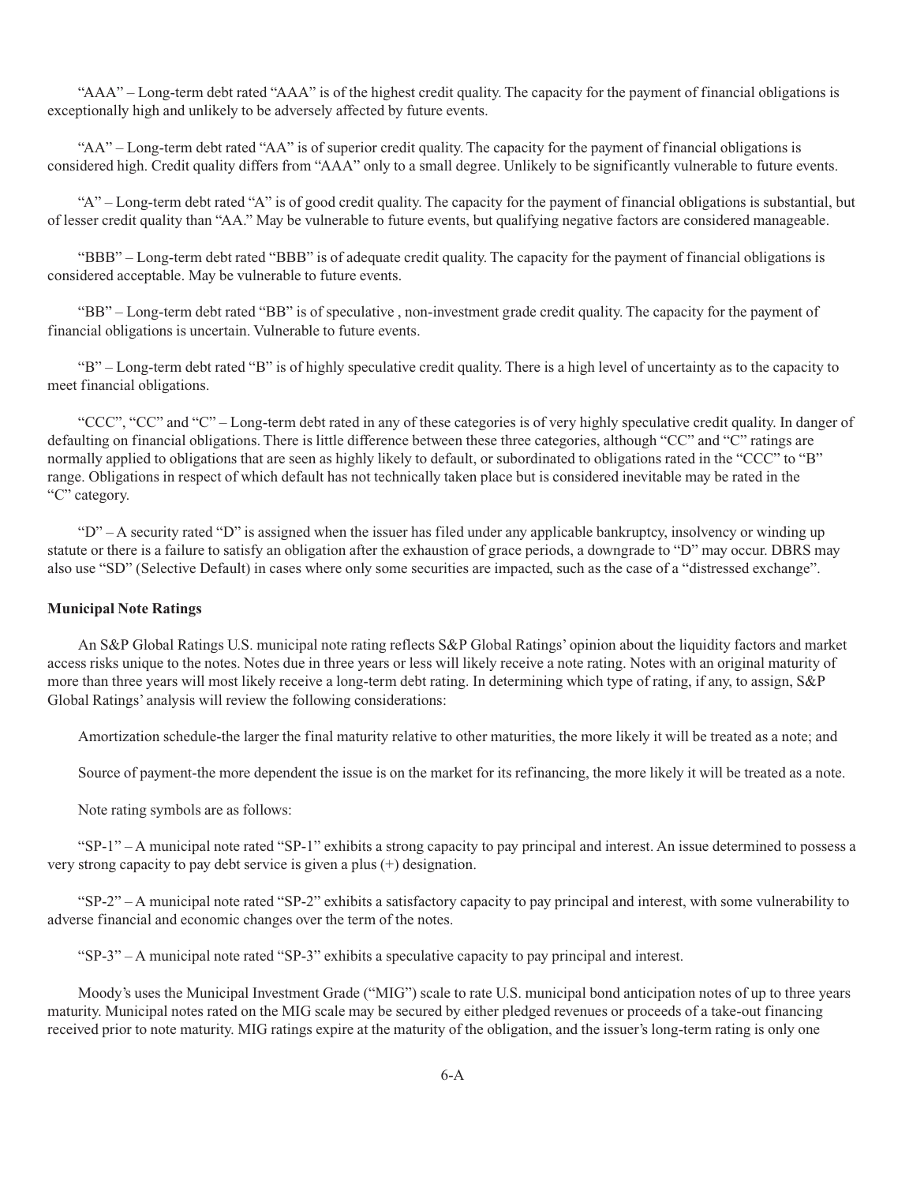"AAA" – Long-term debt rated "AAA" is of the highest credit quality. The capacity for the payment of financial obligations is exceptionally high and unlikely to be adversely affected by future events.

"AA" – Long-term debt rated "AA" is of superior credit quality. The capacity for the payment of financial obligations is considered high. Credit quality differs from "AAA" only to a small degree. Unlikely to be significantly vulnerable to future events.

"A" – Long-term debt rated "A" is of good credit quality. The capacity for the payment of financial obligations is substantial, but of lesser credit quality than "AA." May be vulnerable to future events, but qualifying negative factors are considered manageable.

"BBB" – Long-term debt rated "BBB" is of adequate credit quality. The capacity for the payment of financial obligations is considered acceptable. May be vulnerable to future events.

"BB" – Long-term debt rated "BB" is of speculative , non-investment grade credit quality. The capacity for the payment of financial obligations is uncertain. Vulnerable to future events.

"B" – Long-term debt rated "B" is of highly speculative credit quality. There is a high level of uncertainty as to the capacity to meet financial obligations.

"CCC", "CC" and "C" – Long-term debt rated in any of these categories is of very highly speculative credit quality. In danger of defaulting on financial obligations. There is little difference between these three categories, although "CC" and "C" ratings are normally applied to obligations that are seen as highly likely to default, or subordinated to obligations rated in the "CCC" to "B" range. Obligations in respect of which default has not technically taken place but is considered inevitable may be rated in the "C" category.

"D" – A security rated "D" is assigned when the issuer has filed under any applicable bankruptcy, insolvency or winding up statute or there is a failure to satisfy an obligation after the exhaustion of grace periods, a downgrade to "D" may occur. DBRS may also use "SD" (Selective Default) in cases where only some securities are impacted, such as the case of a "distressed exchange".

#### **Municipal Note Ratings**

An S&P Global Ratings U.S. municipal note rating reflects S&P Global Ratings' opinion about the liquidity factors and market access risks unique to the notes. Notes due in three years or less will likely receive a note rating. Notes with an original maturity of more than three years will most likely receive a long-term debt rating. In determining which type of rating, if any, to assign, S&P Global Ratings' analysis will review the following considerations:

Amortization schedule-the larger the final maturity relative to other maturities, the more likely it will be treated as a note; and

Source of payment-the more dependent the issue is on the market for its refinancing, the more likely it will be treated as a note.

Note rating symbols are as follows:

"SP-1" – A municipal note rated "SP-1" exhibits a strong capacity to pay principal and interest. An issue determined to possess a very strong capacity to pay debt service is given a plus (+) designation.

"SP-2" – A municipal note rated "SP-2" exhibits a satisfactory capacity to pay principal and interest, with some vulnerability to adverse financial and economic changes over the term of the notes.

"SP-3" – A municipal note rated "SP-3" exhibits a speculative capacity to pay principal and interest.

Moody's uses the Municipal Investment Grade ("MIG") scale to rate U.S. municipal bond anticipation notes of up to three years maturity. Municipal notes rated on the MIG scale may be secured by either pledged revenues or proceeds of a take-out financing received prior to note maturity. MIG ratings expire at the maturity of the obligation, and the issuer's long-term rating is only one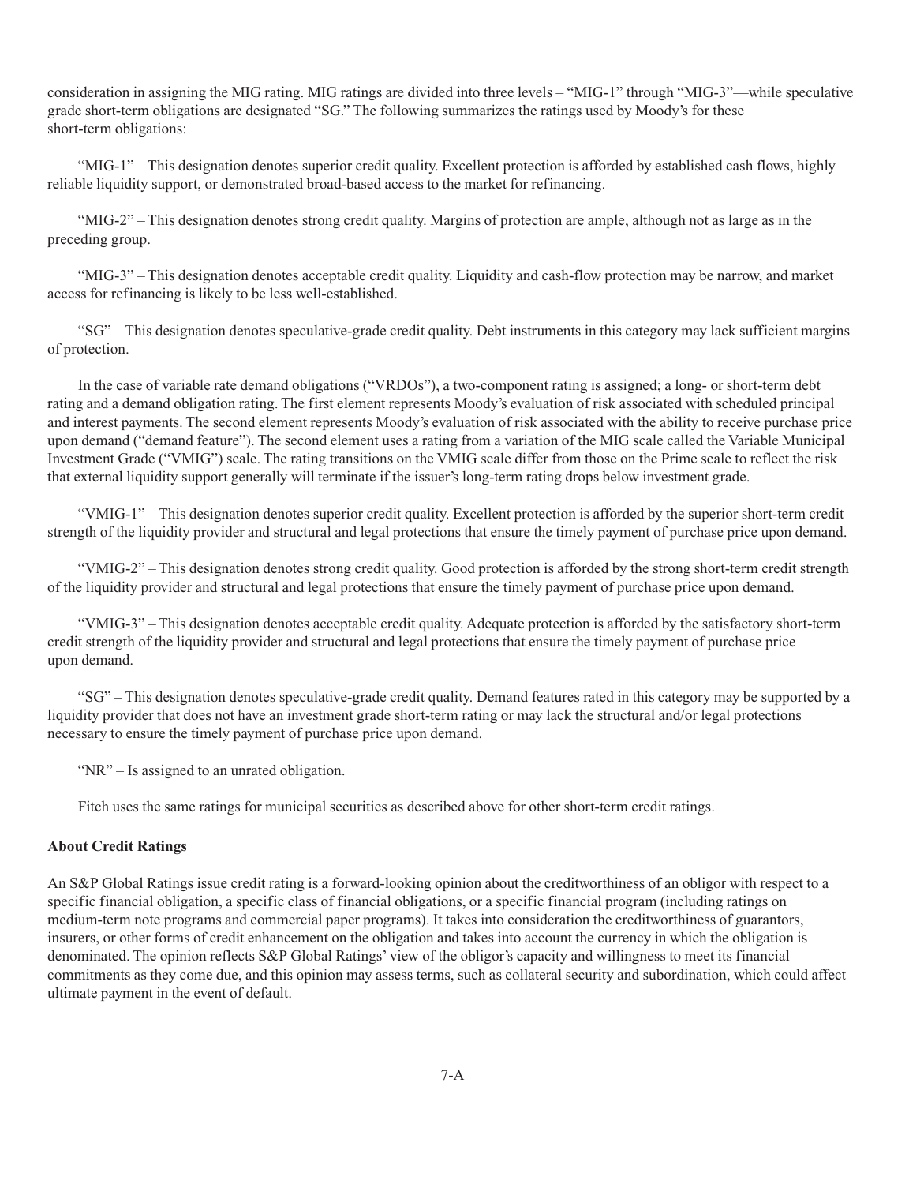consideration in assigning the MIG rating. MIG ratings are divided into three levels – "MIG-1" through "MIG-3"—while speculative grade short-term obligations are designated "SG." The following summarizes the ratings used by Moody's for these short-term obligations:

"MIG-1" – This designation denotes superior credit quality. Excellent protection is afforded by established cash flows, highly reliable liquidity support, or demonstrated broad-based access to the market for refinancing.

"MIG-2" – This designation denotes strong credit quality. Margins of protection are ample, although not as large as in the preceding group.

"MIG-3" – This designation denotes acceptable credit quality. Liquidity and cash-flow protection may be narrow, and market access for refinancing is likely to be less well-established.

"SG" – This designation denotes speculative-grade credit quality. Debt instruments in this category may lack sufficient margins of protection.

In the case of variable rate demand obligations ("VRDOs"), a two-component rating is assigned; a long- or short-term debt rating and a demand obligation rating. The first element represents Moody's evaluation of risk associated with scheduled principal and interest payments. The second element represents Moody's evaluation of risk associated with the ability to receive purchase price upon demand ("demand feature"). The second element uses a rating from a variation of the MIG scale called the Variable Municipal Investment Grade ("VMIG") scale. The rating transitions on the VMIG scale differ from those on the Prime scale to reflect the risk that external liquidity support generally will terminate if the issuer's long-term rating drops below investment grade.

"VMIG-1" – This designation denotes superior credit quality. Excellent protection is afforded by the superior short-term credit strength of the liquidity provider and structural and legal protections that ensure the timely payment of purchase price upon demand.

"VMIG-2" – This designation denotes strong credit quality. Good protection is afforded by the strong short-term credit strength of the liquidity provider and structural and legal protections that ensure the timely payment of purchase price upon demand.

"VMIG-3" – This designation denotes acceptable credit quality. Adequate protection is afforded by the satisfactory short-term credit strength of the liquidity provider and structural and legal protections that ensure the timely payment of purchase price upon demand.

"SG" – This designation denotes speculative-grade credit quality. Demand features rated in this category may be supported by a liquidity provider that does not have an investment grade short-term rating or may lack the structural and/or legal protections necessary to ensure the timely payment of purchase price upon demand.

"NR" – Is assigned to an unrated obligation.

Fitch uses the same ratings for municipal securities as described above for other short-term credit ratings.

#### **About Credit Ratings**

An S&P Global Ratings issue credit rating is a forward-looking opinion about the creditworthiness of an obligor with respect to a specific financial obligation, a specific class of financial obligations, or a specific financial program (including ratings on medium-term note programs and commercial paper programs). It takes into consideration the creditworthiness of guarantors, insurers, or other forms of credit enhancement on the obligation and takes into account the currency in which the obligation is denominated. The opinion reflects S&P Global Ratings' view of the obligor's capacity and willingness to meet its financial commitments as they come due, and this opinion may assess terms, such as collateral security and subordination, which could affect ultimate payment in the event of default.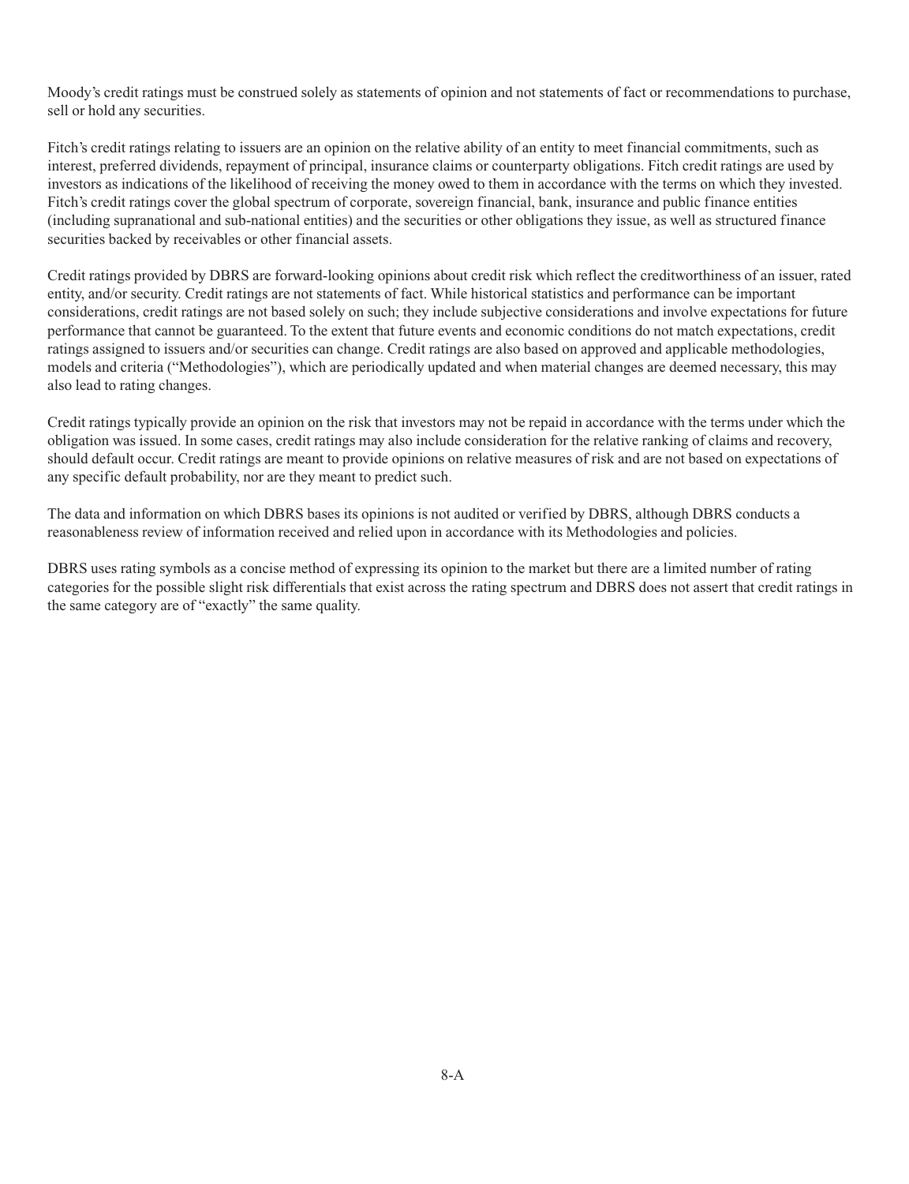Moody's credit ratings must be construed solely as statements of opinion and not statements of fact or recommendations to purchase, sell or hold any securities.

Fitch's credit ratings relating to issuers are an opinion on the relative ability of an entity to meet financial commitments, such as interest, preferred dividends, repayment of principal, insurance claims or counterparty obligations. Fitch credit ratings are used by investors as indications of the likelihood of receiving the money owed to them in accordance with the terms on which they invested. Fitch's credit ratings cover the global spectrum of corporate, sovereign financial, bank, insurance and public finance entities (including supranational and sub-national entities) and the securities or other obligations they issue, as well as structured finance securities backed by receivables or other financial assets.

Credit ratings provided by DBRS are forward-looking opinions about credit risk which reflect the creditworthiness of an issuer, rated entity, and/or security. Credit ratings are not statements of fact. While historical statistics and performance can be important considerations, credit ratings are not based solely on such; they include subjective considerations and involve expectations for future performance that cannot be guaranteed. To the extent that future events and economic conditions do not match expectations, credit ratings assigned to issuers and/or securities can change. Credit ratings are also based on approved and applicable methodologies, models and criteria ("Methodologies"), which are periodically updated and when material changes are deemed necessary, this may also lead to rating changes.

Credit ratings typically provide an opinion on the risk that investors may not be repaid in accordance with the terms under which the obligation was issued. In some cases, credit ratings may also include consideration for the relative ranking of claims and recovery, should default occur. Credit ratings are meant to provide opinions on relative measures of risk and are not based on expectations of any specific default probability, nor are they meant to predict such.

The data and information on which DBRS bases its opinions is not audited or verified by DBRS, although DBRS conducts a reasonableness review of information received and relied upon in accordance with its Methodologies and policies.

DBRS uses rating symbols as a concise method of expressing its opinion to the market but there are a limited number of rating categories for the possible slight risk differentials that exist across the rating spectrum and DBRS does not assert that credit ratings in the same category are of "exactly" the same quality.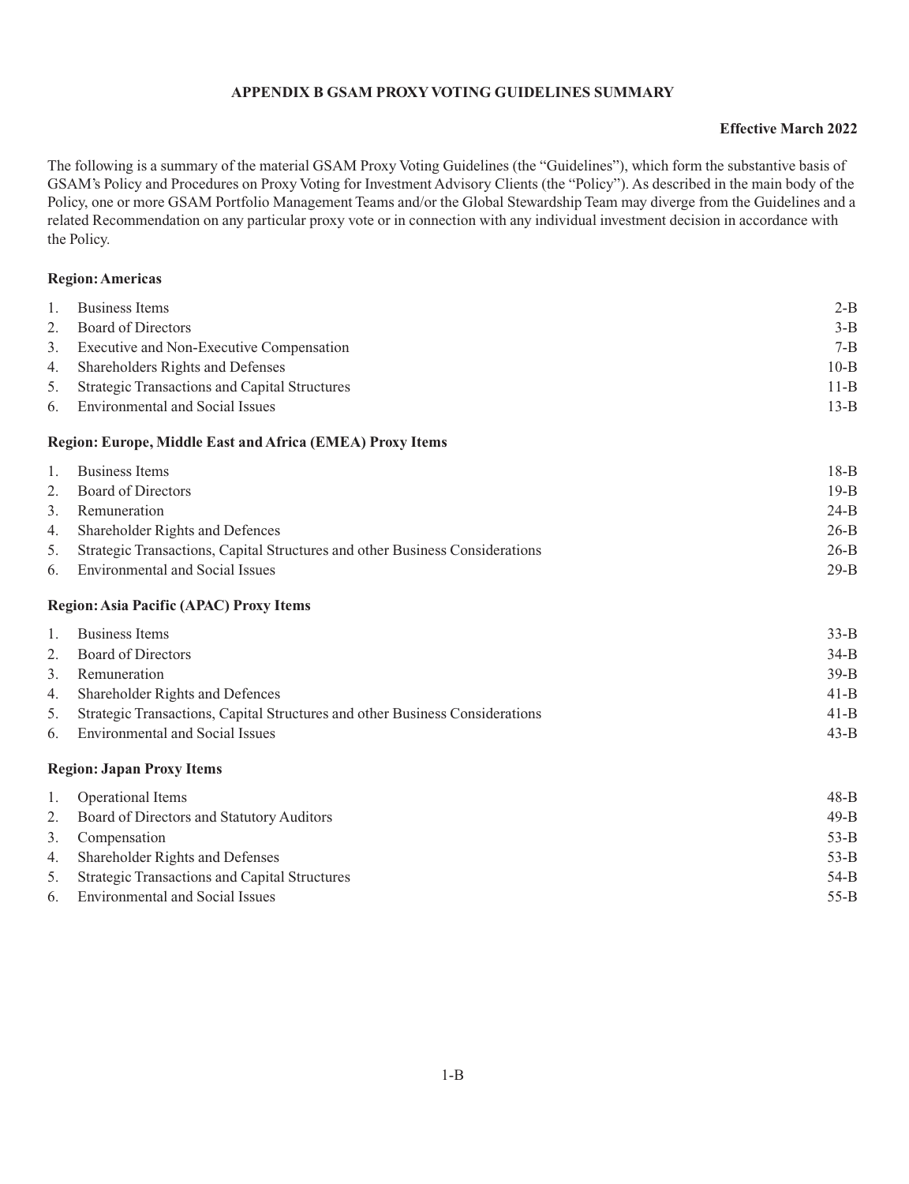# **APPENDIX B GSAM PROXY VOTING GUIDELINES SUMMARY**

## **Effective March 2022**

The following is a summary of the material GSAM Proxy Voting Guidelines (the "Guidelines"), which form the substantive basis of GSAM's Policy and Procedures on Proxy Voting for Investment Advisory Clients (the "Policy"). As described in the main body of the Policy, one or more GSAM Portfolio Management Teams and/or the Global Stewardship Team may diverge from the Guidelines and a related Recommendation on any particular proxy vote or in connection with any individual investment decision in accordance with the Policy.

## **[Region:Americas](#page-207-0)**

| 1. | <b>Business Items</b>                                                        | $2-B$    |
|----|------------------------------------------------------------------------------|----------|
| 2. | <b>Board of Directors</b>                                                    | $3-B$    |
| 3. | Executive and Non-Executive Compensation                                     | $7 - B$  |
| 4. | Shareholders Rights and Defenses                                             | $10 - B$ |
| 5. | <b>Strategic Transactions and Capital Structures</b>                         | $11-B$   |
| 6. | <b>Environmental and Social Issues</b>                                       | $13-B$   |
|    | <b>Region: Europe, Middle East and Africa (EMEA) Proxy Items</b>             |          |
| 1. | <b>Business Items</b>                                                        | $18-B$   |
| 2. | <b>Board of Directors</b>                                                    | $19-B$   |
| 3. | Remuneration                                                                 | $24-B$   |
| 4. | Shareholder Rights and Defences                                              | $26-B$   |
| 5. | Strategic Transactions, Capital Structures and other Business Considerations | $26-B$   |
| 6. | <b>Environmental and Social Issues</b>                                       | $29-B$   |
|    | Region: Asia Pacific (APAC) Proxy Items                                      |          |
| 1. | <b>Business Items</b>                                                        | $33-B$   |
| 2. | <b>Board of Directors</b>                                                    | $34-B$   |
| 3. | Remuneration                                                                 | $39-B$   |
| 4. | Shareholder Rights and Defences                                              | $41-B$   |
| 5. | Strategic Transactions, Capital Structures and other Business Considerations | $41-B$   |
| 6. | <b>Environmental and Social Issues</b>                                       | $43 - B$ |
|    | <b>Region: Japan Proxy Items</b>                                             |          |
| 1. | Operational Items                                                            | $48-B$   |
| 2. | Board of Directors and Statutory Auditors                                    | $49-B$   |
| 3. | Compensation                                                                 | $53 - B$ |
| 4. | Shareholder Rights and Defenses                                              | $53-B$   |
| 5. | <b>Strategic Transactions and Capital Structures</b>                         | $54-B$   |
| 6. | <b>Environmental and Social Issues</b>                                       | $55 - B$ |
|    |                                                                              |          |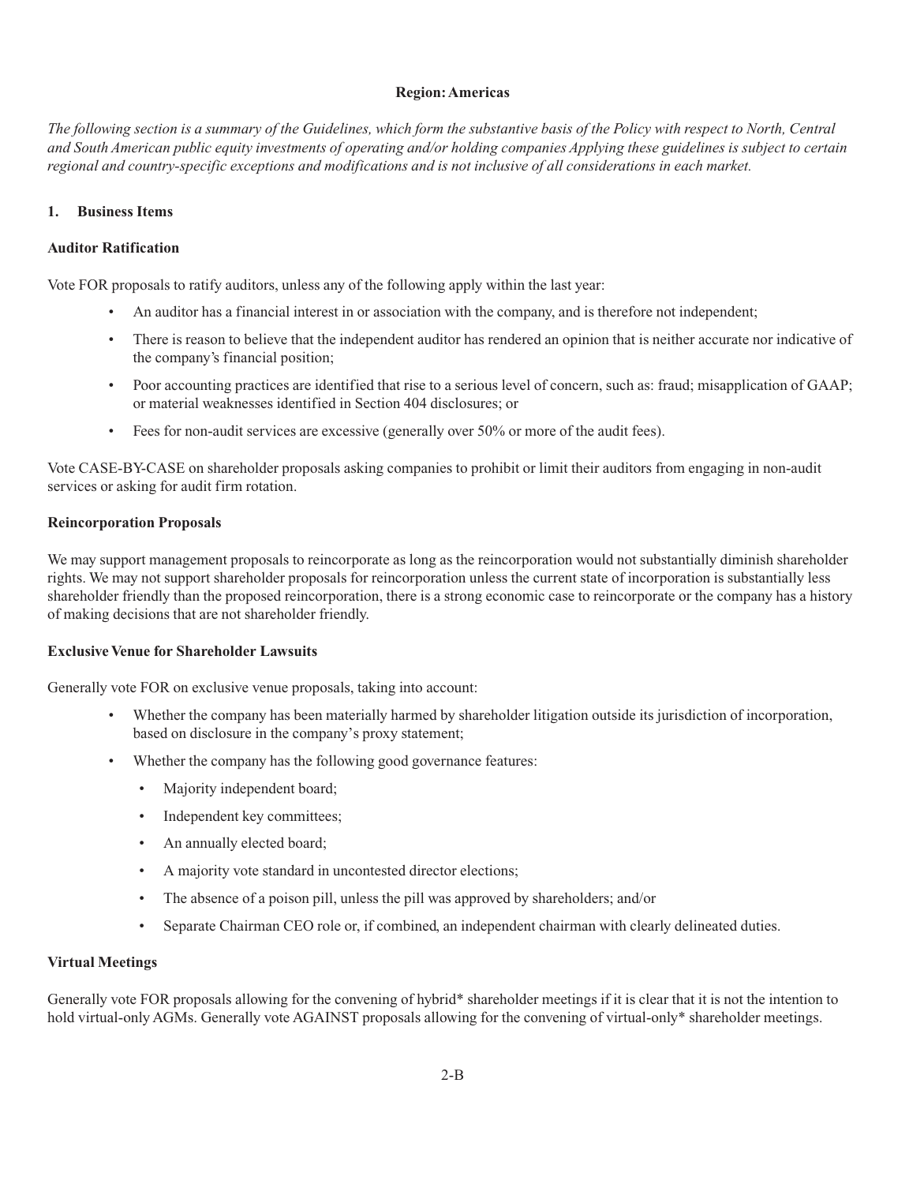#### **Region:Americas**

<span id="page-207-0"></span>*The following section is a summary of the Guidelines, which form the substantive basis of the Policy with respect to North, Central and South American public equity investments of operating and/or holding companies Applying these guidelines is subject to certain regional and country-specific exceptions and modifications and is not inclusive of all considerations in each market.*

## **1. Business Items**

## **Auditor Ratification**

Vote FOR proposals to ratify auditors, unless any of the following apply within the last year:

- An auditor has a financial interest in or association with the company, and is therefore not independent;
- There is reason to believe that the independent auditor has rendered an opinion that is neither accurate nor indicative of the company's financial position;
- Poor accounting practices are identified that rise to a serious level of concern, such as: fraud; misapplication of GAAP; or material weaknesses identified in Section 404 disclosures; or
- Fees for non-audit services are excessive (generally over 50% or more of the audit fees).

Vote CASE-BY-CASE on shareholder proposals asking companies to prohibit or limit their auditors from engaging in non-audit services or asking for audit firm rotation.

## **Reincorporation Proposals**

We may support management proposals to reincorporate as long as the reincorporation would not substantially diminish shareholder rights. We may not support shareholder proposals for reincorporation unless the current state of incorporation is substantially less shareholder friendly than the proposed reincorporation, there is a strong economic case to reincorporate or the company has a history of making decisions that are not shareholder friendly.

## **Exclusive Venue for Shareholder Lawsuits**

Generally vote FOR on exclusive venue proposals, taking into account:

- Whether the company has been materially harmed by shareholder litigation outside its jurisdiction of incorporation, based on disclosure in the company's proxy statement;
- Whether the company has the following good governance features:
	- Majority independent board;
	- Independent key committees;
	- An annually elected board;
	- A majority vote standard in uncontested director elections;
	- The absence of a poison pill, unless the pill was approved by shareholders; and/or
	- Separate Chairman CEO role or, if combined, an independent chairman with clearly delineated duties.

## **Virtual Meetings**

Generally vote FOR proposals allowing for the convening of hybrid\* shareholder meetings if it is clear that it is not the intention to hold virtual-only AGMs. Generally vote AGAINST proposals allowing for the convening of virtual-only\* shareholder meetings.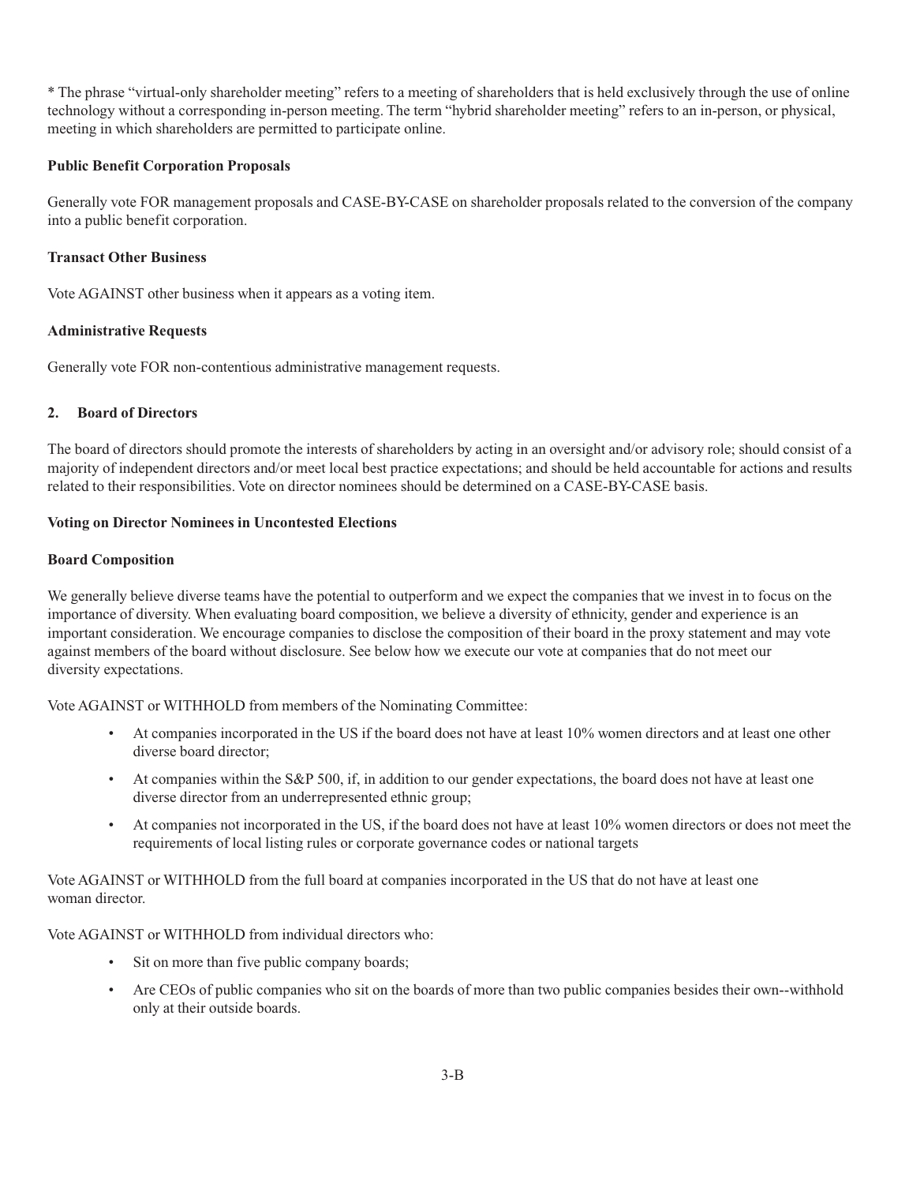<span id="page-208-0"></span>\* The phrase "virtual-only shareholder meeting" refers to a meeting of shareholders that is held exclusively through the use of online technology without a corresponding in-person meeting. The term "hybrid shareholder meeting" refers to an in-person, or physical, meeting in which shareholders are permitted to participate online.

## **Public Benefit Corporation Proposals**

Generally vote FOR management proposals and CASE-BY-CASE on shareholder proposals related to the conversion of the company into a public benefit corporation.

#### **Transact Other Business**

Vote AGAINST other business when it appears as a voting item.

#### **Administrative Requests**

Generally vote FOR non-contentious administrative management requests.

## **2. Board of Directors**

The board of directors should promote the interests of shareholders by acting in an oversight and/or advisory role; should consist of a majority of independent directors and/or meet local best practice expectations; and should be held accountable for actions and results related to their responsibilities. Vote on director nominees should be determined on a CASE-BY-CASE basis.

#### **Voting on Director Nominees in Uncontested Elections**

#### **Board Composition**

We generally believe diverse teams have the potential to outperform and we expect the companies that we invest in to focus on the importance of diversity. When evaluating board composition, we believe a diversity of ethnicity, gender and experience is an important consideration. We encourage companies to disclose the composition of their board in the proxy statement and may vote against members of the board without disclosure. See below how we execute our vote at companies that do not meet our diversity expectations.

Vote AGAINST or WITHHOLD from members of the Nominating Committee:

- At companies incorporated in the US if the board does not have at least 10% women directors and at least one other diverse board director;
- At companies within the S&P 500, if, in addition to our gender expectations, the board does not have at least one diverse director from an underrepresented ethnic group;
- At companies not incorporated in the US, if the board does not have at least 10% women directors or does not meet the requirements of local listing rules or corporate governance codes or national targets

Vote AGAINST or WITHHOLD from the full board at companies incorporated in the US that do not have at least one woman director.

Vote AGAINST or WITHHOLD from individual directors who:

- Sit on more than five public company boards;
- Are CEOs of public companies who sit on the boards of more than two public companies besides their own--withhold only at their outside boards.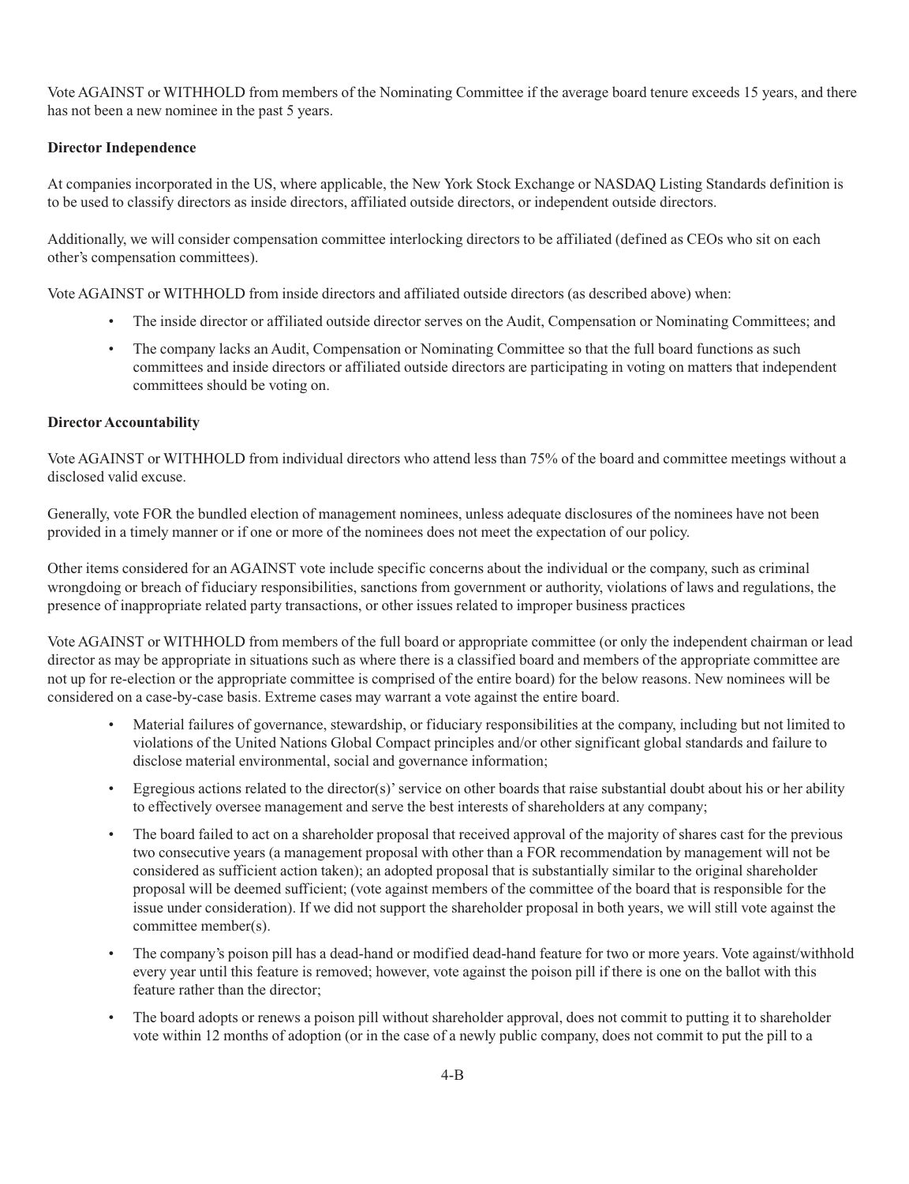Vote AGAINST or WITHHOLD from members of the Nominating Committee if the average board tenure exceeds 15 years, and there has not been a new nominee in the past 5 years.

## **Director Independence**

At companies incorporated in the US, where applicable, the New York Stock Exchange or NASDAQ Listing Standards definition is to be used to classify directors as inside directors, affiliated outside directors, or independent outside directors.

Additionally, we will consider compensation committee interlocking directors to be affiliated (defined as CEOs who sit on each other's compensation committees).

Vote AGAINST or WITHHOLD from inside directors and affiliated outside directors (as described above) when:

- The inside director or affiliated outside director serves on the Audit, Compensation or Nominating Committees; and
- The company lacks an Audit, Compensation or Nominating Committee so that the full board functions as such committees and inside directors or affiliated outside directors are participating in voting on matters that independent committees should be voting on.

## **Director Accountability**

Vote AGAINST or WITHHOLD from individual directors who attend less than 75% of the board and committee meetings without a disclosed valid excuse.

Generally, vote FOR the bundled election of management nominees, unless adequate disclosures of the nominees have not been provided in a timely manner or if one or more of the nominees does not meet the expectation of our policy.

Other items considered for an AGAINST vote include specific concerns about the individual or the company, such as criminal wrongdoing or breach of fiduciary responsibilities, sanctions from government or authority, violations of laws and regulations, the presence of inappropriate related party transactions, or other issues related to improper business practices

Vote AGAINST or WITHHOLD from members of the full board or appropriate committee (or only the independent chairman or lead director as may be appropriate in situations such as where there is a classified board and members of the appropriate committee are not up for re-election or the appropriate committee is comprised of the entire board) for the below reasons. New nominees will be considered on a case-by-case basis. Extreme cases may warrant a vote against the entire board.

- Material failures of governance, stewardship, or fiduciary responsibilities at the company, including but not limited to violations of the United Nations Global Compact principles and/or other significant global standards and failure to disclose material environmental, social and governance information;
- Egregious actions related to the director(s)' service on other boards that raise substantial doubt about his or her ability to effectively oversee management and serve the best interests of shareholders at any company;
- The board failed to act on a shareholder proposal that received approval of the majority of shares cast for the previous two consecutive years (a management proposal with other than a FOR recommendation by management will not be considered as sufficient action taken); an adopted proposal that is substantially similar to the original shareholder proposal will be deemed sufficient; (vote against members of the committee of the board that is responsible for the issue under consideration). If we did not support the shareholder proposal in both years, we will still vote against the committee member(s).
- The company's poison pill has a dead-hand or modified dead-hand feature for two or more years. Vote against/withhold every year until this feature is removed; however, vote against the poison pill if there is one on the ballot with this feature rather than the director;
- The board adopts or renews a poison pill without shareholder approval, does not commit to putting it to shareholder vote within 12 months of adoption (or in the case of a newly public company, does not commit to put the pill to a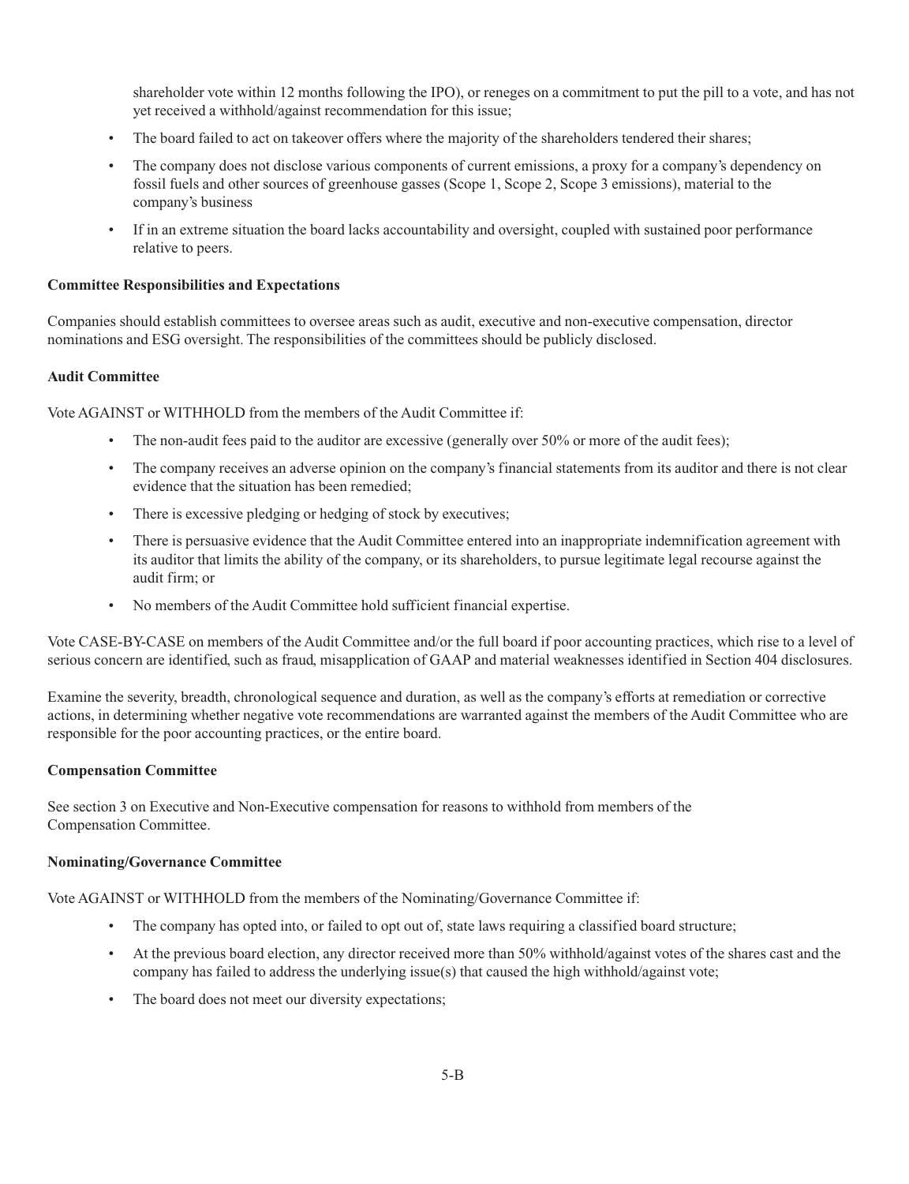shareholder vote within 12 months following the IPO), or reneges on a commitment to put the pill to a vote, and has not yet received a withhold/against recommendation for this issue;

- The board failed to act on takeover offers where the majority of the shareholders tendered their shares;
- The company does not disclose various components of current emissions, a proxy for a company's dependency on fossil fuels and other sources of greenhouse gasses (Scope 1, Scope 2, Scope 3 emissions), material to the company's business
- If in an extreme situation the board lacks accountability and oversight, coupled with sustained poor performance relative to peers.

#### **Committee Responsibilities and Expectations**

Companies should establish committees to oversee areas such as audit, executive and non-executive compensation, director nominations and ESG oversight. The responsibilities of the committees should be publicly disclosed.

#### **Audit Committee**

Vote AGAINST or WITHHOLD from the members of the Audit Committee if:

- The non-audit fees paid to the auditor are excessive (generally over 50% or more of the audit fees);
- The company receives an adverse opinion on the company's financial statements from its auditor and there is not clear evidence that the situation has been remedied;
- There is excessive pledging or hedging of stock by executives;
- There is persuasive evidence that the Audit Committee entered into an inappropriate indemnification agreement with its auditor that limits the ability of the company, or its shareholders, to pursue legitimate legal recourse against the audit firm; or
- No members of the Audit Committee hold sufficient financial expertise.

Vote CASE-BY-CASE on members of the Audit Committee and/or the full board if poor accounting practices, which rise to a level of serious concern are identified, such as fraud, misapplication of GAAP and material weaknesses identified in Section 404 disclosures.

Examine the severity, breadth, chronological sequence and duration, as well as the company's efforts at remediation or corrective actions, in determining whether negative vote recommendations are warranted against the members of the Audit Committee who are responsible for the poor accounting practices, or the entire board.

#### **Compensation Committee**

See section 3 on Executive and Non-Executive compensation for reasons to withhold from members of the Compensation Committee.

#### **Nominating/Governance Committee**

Vote AGAINST or WITHHOLD from the members of the Nominating/Governance Committee if:

- The company has opted into, or failed to opt out of, state laws requiring a classified board structure;
- At the previous board election, any director received more than 50% withhold/against votes of the shares cast and the company has failed to address the underlying issue(s) that caused the high withhold/against vote;
- The board does not meet our diversity expectations;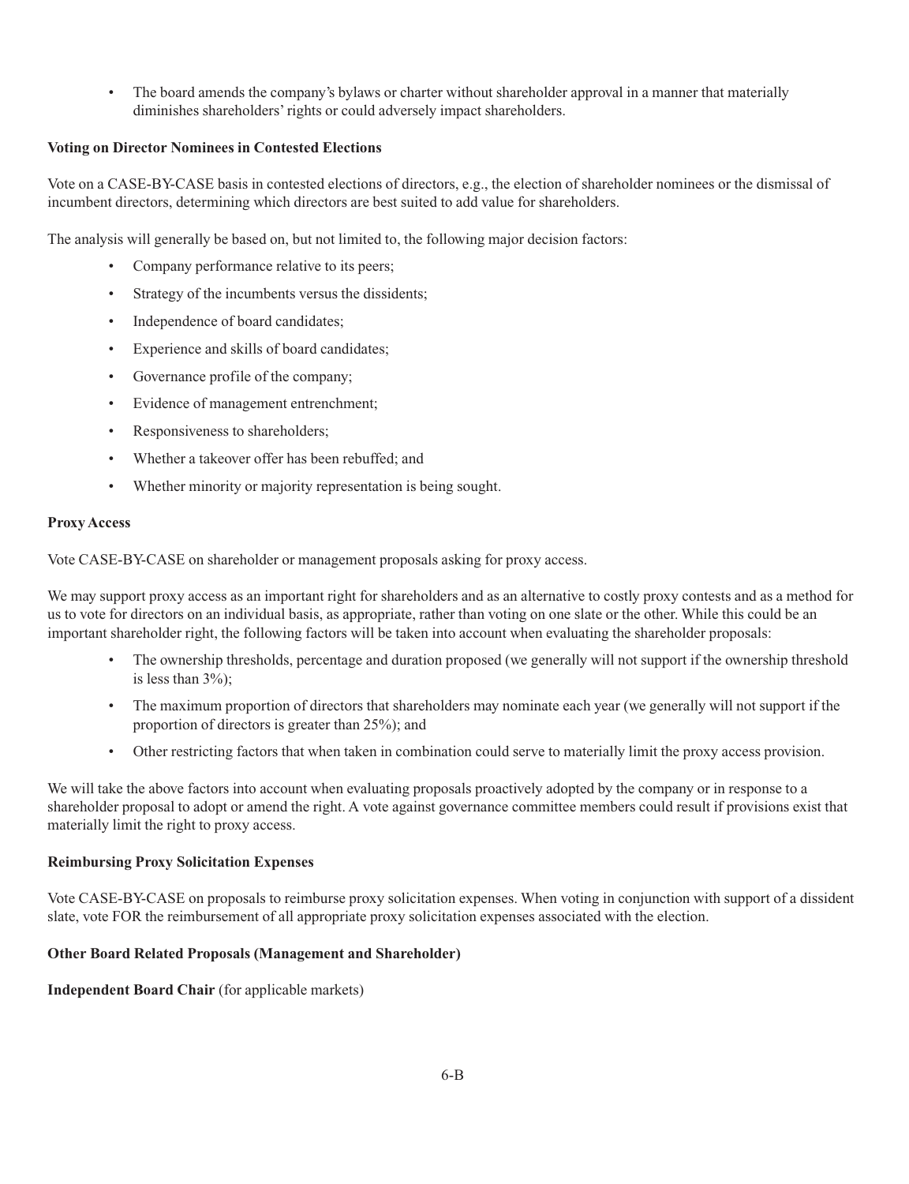• The board amends the company's bylaws or charter without shareholder approval in a manner that materially diminishes shareholders' rights or could adversely impact shareholders.

#### **Voting on Director Nominees in Contested Elections**

Vote on a CASE-BY-CASE basis in contested elections of directors, e.g., the election of shareholder nominees or the dismissal of incumbent directors, determining which directors are best suited to add value for shareholders.

The analysis will generally be based on, but not limited to, the following major decision factors:

- Company performance relative to its peers;
- Strategy of the incumbents versus the dissidents;
- Independence of board candidates;
- Experience and skills of board candidates;
- Governance profile of the company;
- Evidence of management entrenchment;
- Responsiveness to shareholders:
- Whether a takeover offer has been rebuffed; and
- Whether minority or majority representation is being sought.

#### **Proxy Access**

Vote CASE-BY-CASE on shareholder or management proposals asking for proxy access.

We may support proxy access as an important right for shareholders and as an alternative to costly proxy contests and as a method for us to vote for directors on an individual basis, as appropriate, rather than voting on one slate or the other. While this could be an important shareholder right, the following factors will be taken into account when evaluating the shareholder proposals:

- The ownership thresholds, percentage and duration proposed (we generally will not support if the ownership threshold is less than 3%);
- The maximum proportion of directors that shareholders may nominate each year (we generally will not support if the proportion of directors is greater than 25%); and
- Other restricting factors that when taken in combination could serve to materially limit the proxy access provision.

We will take the above factors into account when evaluating proposals proactively adopted by the company or in response to a shareholder proposal to adopt or amend the right. A vote against governance committee members could result if provisions exist that materially limit the right to proxy access.

#### **Reimbursing Proxy Solicitation Expenses**

Vote CASE-BY-CASE on proposals to reimburse proxy solicitation expenses. When voting in conjunction with support of a dissident slate, vote FOR the reimbursement of all appropriate proxy solicitation expenses associated with the election.

# **Other Board Related Proposals (Management and Shareholder)**

**Independent Board Chair** (for applicable markets)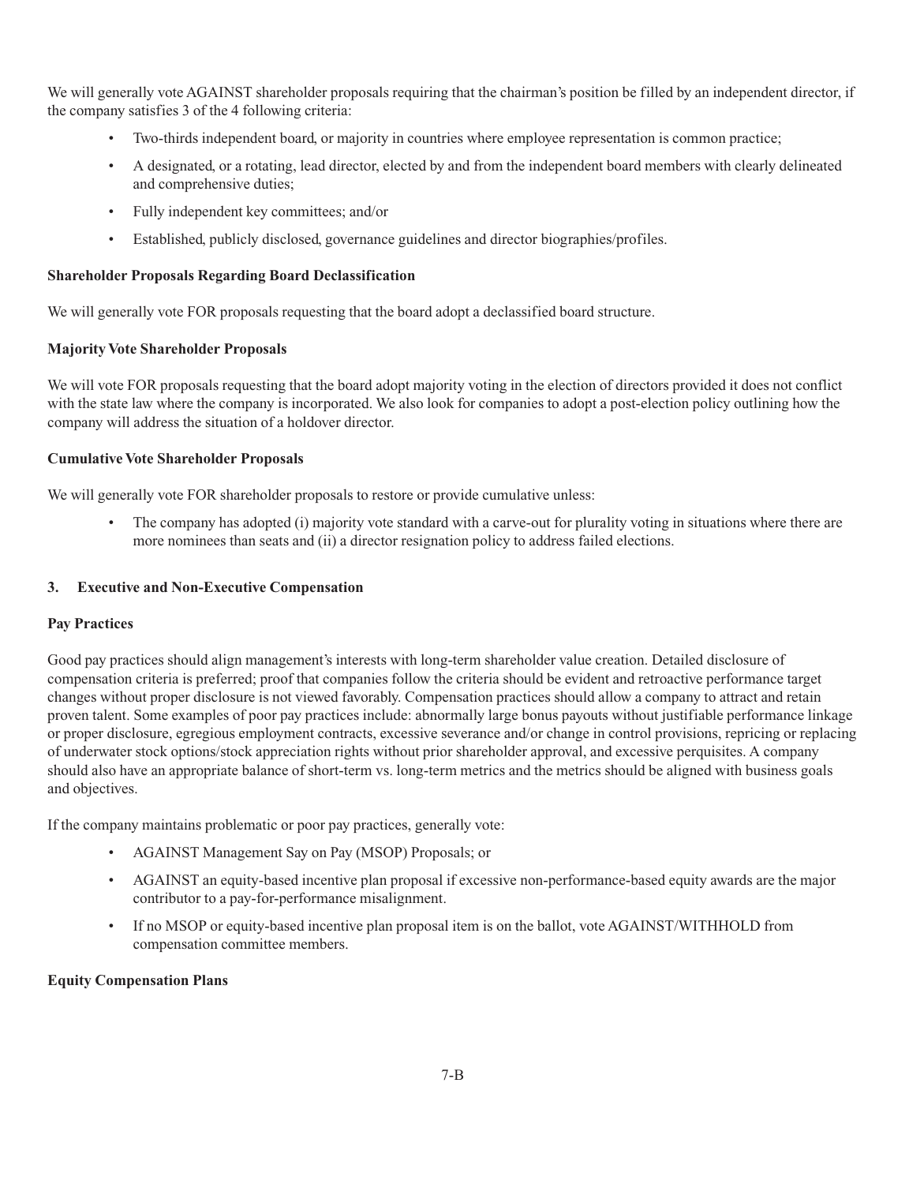<span id="page-212-0"></span>We will generally vote AGAINST shareholder proposals requiring that the chairman's position be filled by an independent director, if the company satisfies 3 of the 4 following criteria:

- Two-thirds independent board, or majority in countries where employee representation is common practice;
- A designated, or a rotating, lead director, elected by and from the independent board members with clearly delineated and comprehensive duties;
- Fully independent key committees; and/or
- Established, publicly disclosed, governance guidelines and director biographies/profiles.

## **Shareholder Proposals Regarding Board Declassification**

We will generally vote FOR proposals requesting that the board adopt a declassified board structure.

# **Majority Vote Shareholder Proposals**

We will vote FOR proposals requesting that the board adopt majority voting in the election of directors provided it does not conflict with the state law where the company is incorporated. We also look for companies to adopt a post-election policy outlining how the company will address the situation of a holdover director.

# **Cumulative Vote Shareholder Proposals**

We will generally vote FOR shareholder proposals to restore or provide cumulative unless:

• The company has adopted (i) majority vote standard with a carve-out for plurality voting in situations where there are more nominees than seats and (ii) a director resignation policy to address failed elections.

# **3. Executive and Non-Executive Compensation**

## **Pay Practices**

Good pay practices should align management's interests with long-term shareholder value creation. Detailed disclosure of compensation criteria is preferred; proof that companies follow the criteria should be evident and retroactive performance target changes without proper disclosure is not viewed favorably. Compensation practices should allow a company to attract and retain proven talent. Some examples of poor pay practices include: abnormally large bonus payouts without justifiable performance linkage or proper disclosure, egregious employment contracts, excessive severance and/or change in control provisions, repricing or replacing of underwater stock options/stock appreciation rights without prior shareholder approval, and excessive perquisites. A company should also have an appropriate balance of short-term vs. long-term metrics and the metrics should be aligned with business goals and objectives.

If the company maintains problematic or poor pay practices, generally vote:

- AGAINST Management Say on Pay (MSOP) Proposals; or
- AGAINST an equity-based incentive plan proposal if excessive non-performance-based equity awards are the major contributor to a pay-for-performance misalignment.
- If no MSOP or equity-based incentive plan proposal item is on the ballot, vote AGAINST/WITHHOLD from compensation committee members.

## **Equity Compensation Plans**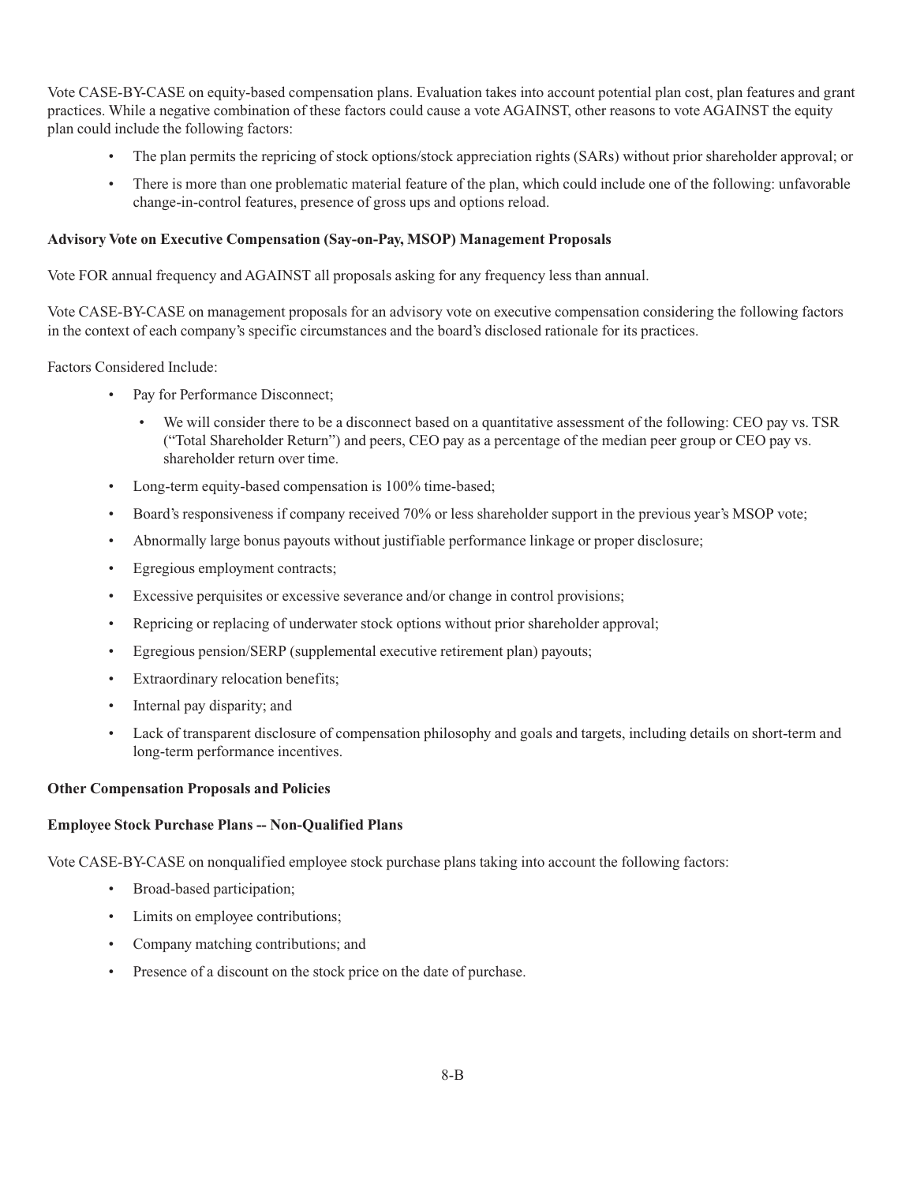Vote CASE-BY-CASE on equity-based compensation plans. Evaluation takes into account potential plan cost, plan features and grant practices. While a negative combination of these factors could cause a vote AGAINST, other reasons to vote AGAINST the equity plan could include the following factors:

- The plan permits the repricing of stock options/stock appreciation rights (SARs) without prior shareholder approval; or
- There is more than one problematic material feature of the plan, which could include one of the following: unfavorable change-in-control features, presence of gross ups and options reload.

## **Advisory Vote on Executive Compensation (Say-on-Pay, MSOP) Management Proposals**

Vote FOR annual frequency and AGAINST all proposals asking for any frequency less than annual.

Vote CASE-BY-CASE on management proposals for an advisory vote on executive compensation considering the following factors in the context of each company's specific circumstances and the board's disclosed rationale for its practices.

Factors Considered Include:

- Pay for Performance Disconnect;
	- We will consider there to be a disconnect based on a quantitative assessment of the following: CEO pay vs. TSR ("Total Shareholder Return") and peers, CEO pay as a percentage of the median peer group or CEO pay vs. shareholder return over time.
- Long-term equity-based compensation is 100% time-based;
- Board's responsiveness if company received 70% or less shareholder support in the previous year's MSOP vote;
- Abnormally large bonus payouts without justifiable performance linkage or proper disclosure;
- Egregious employment contracts;
- Excessive perquisites or excessive severance and/or change in control provisions;
- Repricing or replacing of underwater stock options without prior shareholder approval;
- Egregious pension/SERP (supplemental executive retirement plan) payouts;
- Extraordinary relocation benefits;
- Internal pay disparity; and
- Lack of transparent disclosure of compensation philosophy and goals and targets, including details on short-term and long-term performance incentives.

## **Other Compensation Proposals and Policies**

## **Employee Stock Purchase Plans -- Non-Qualified Plans**

Vote CASE-BY-CASE on nonqualified employee stock purchase plans taking into account the following factors:

- Broad-based participation;
- Limits on employee contributions;
- Company matching contributions; and
- Presence of a discount on the stock price on the date of purchase.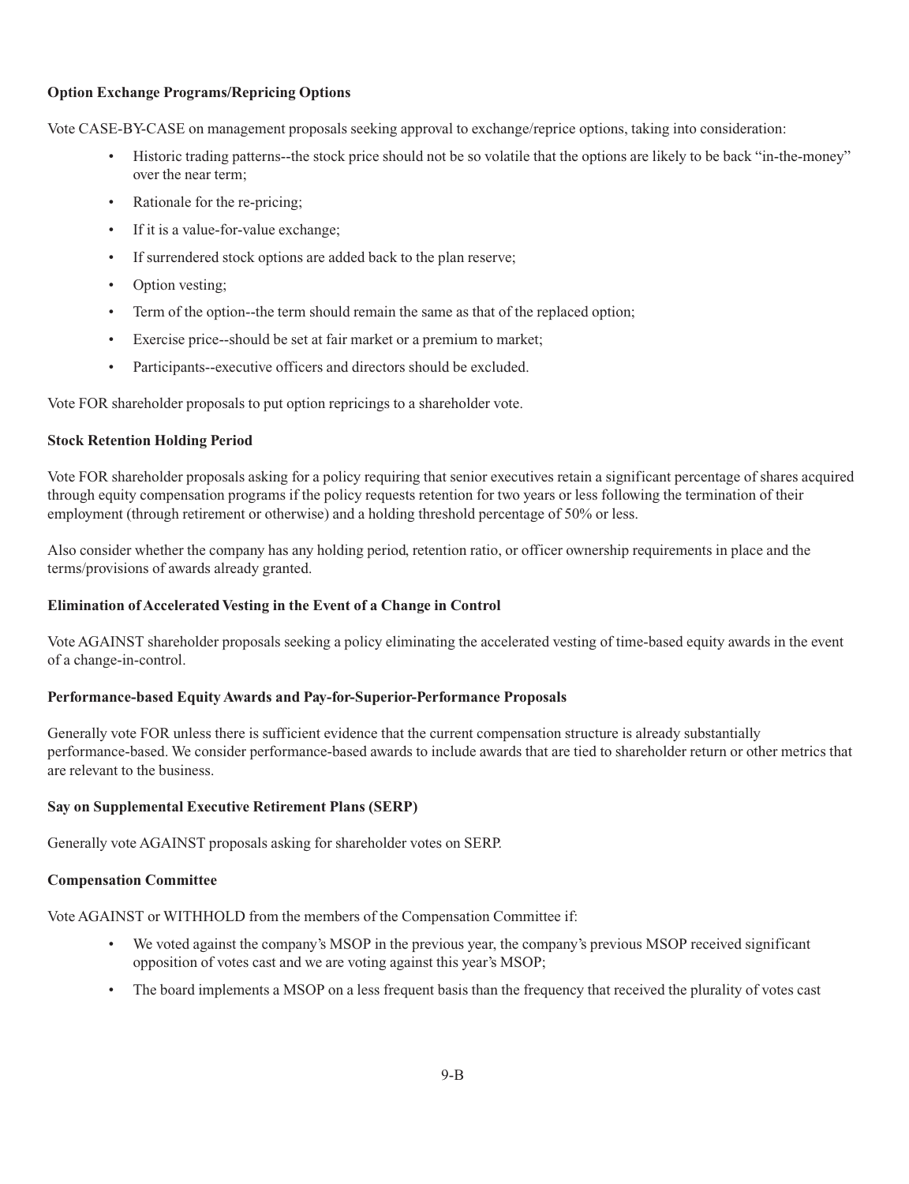## **Option Exchange Programs/Repricing Options**

Vote CASE-BY-CASE on management proposals seeking approval to exchange/reprice options, taking into consideration:

- Historic trading patterns--the stock price should not be so volatile that the options are likely to be back "in-the-money" over the near term;
- Rationale for the re-pricing;
- If it is a value-for-value exchange;
- If surrendered stock options are added back to the plan reserve;
- Option vesting;
- Term of the option--the term should remain the same as that of the replaced option;
- Exercise price--should be set at fair market or a premium to market;
- Participants--executive officers and directors should be excluded.

Vote FOR shareholder proposals to put option repricings to a shareholder vote.

## **Stock Retention Holding Period**

Vote FOR shareholder proposals asking for a policy requiring that senior executives retain a significant percentage of shares acquired through equity compensation programs if the policy requests retention for two years or less following the termination of their employment (through retirement or otherwise) and a holding threshold percentage of 50% or less.

Also consider whether the company has any holding period, retention ratio, or officer ownership requirements in place and the terms/provisions of awards already granted.

# **Elimination of Accelerated Vesting in the Event of a Change in Control**

Vote AGAINST shareholder proposals seeking a policy eliminating the accelerated vesting of time-based equity awards in the event of a change-in-control.

## **Performance-based Equity Awards and Pay-for-Superior-Performance Proposals**

Generally vote FOR unless there is sufficient evidence that the current compensation structure is already substantially performance-based. We consider performance-based awards to include awards that are tied to shareholder return or other metrics that are relevant to the business.

## **Say on Supplemental Executive Retirement Plans (SERP)**

Generally vote AGAINST proposals asking for shareholder votes on SERP.

## **Compensation Committee**

Vote AGAINST or WITHHOLD from the members of the Compensation Committee if:

- We voted against the company's MSOP in the previous year, the company's previous MSOP received significant opposition of votes cast and we are voting against this year's MSOP;
- The board implements a MSOP on a less frequent basis than the frequency that received the plurality of votes cast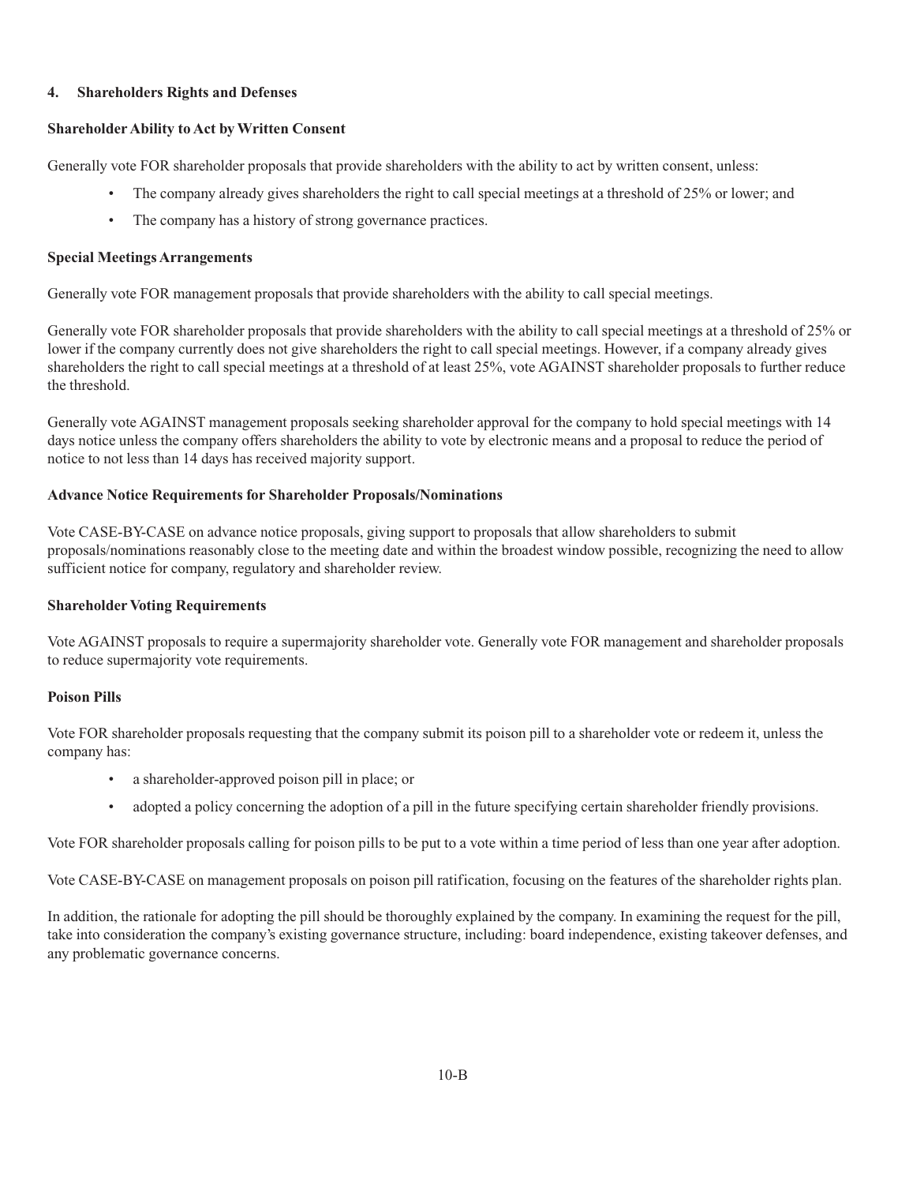## <span id="page-215-0"></span>**4. Shareholders Rights and Defenses**

#### **Shareholder Ability to Act byWritten Consent**

Generally vote FOR shareholder proposals that provide shareholders with the ability to act by written consent, unless:

- The company already gives shareholders the right to call special meetings at a threshold of 25% or lower; and
- The company has a history of strong governance practices.

#### **Special Meetings Arrangements**

Generally vote FOR management proposals that provide shareholders with the ability to call special meetings.

Generally vote FOR shareholder proposals that provide shareholders with the ability to call special meetings at a threshold of 25% or lower if the company currently does not give shareholders the right to call special meetings. However, if a company already gives shareholders the right to call special meetings at a threshold of at least 25%, vote AGAINST shareholder proposals to further reduce the threshold.

Generally vote AGAINST management proposals seeking shareholder approval for the company to hold special meetings with 14 days notice unless the company offers shareholders the ability to vote by electronic means and a proposal to reduce the period of notice to not less than 14 days has received majority support.

#### **Advance Notice Requirements for Shareholder Proposals/Nominations**

Vote CASE-BY-CASE on advance notice proposals, giving support to proposals that allow shareholders to submit proposals/nominations reasonably close to the meeting date and within the broadest window possible, recognizing the need to allow sufficient notice for company, regulatory and shareholder review.

## **Shareholder Voting Requirements**

Vote AGAINST proposals to require a supermajority shareholder vote. Generally vote FOR management and shareholder proposals to reduce supermajority vote requirements.

#### **Poison Pills**

Vote FOR shareholder proposals requesting that the company submit its poison pill to a shareholder vote or redeem it, unless the company has:

- a shareholder-approved poison pill in place; or
- adopted a policy concerning the adoption of a pill in the future specifying certain shareholder friendly provisions.

Vote FOR shareholder proposals calling for poison pills to be put to a vote within a time period of less than one year after adoption.

Vote CASE-BY-CASE on management proposals on poison pill ratification, focusing on the features of the shareholder rights plan.

In addition, the rationale for adopting the pill should be thoroughly explained by the company. In examining the request for the pill, take into consideration the company's existing governance structure, including: board independence, existing takeover defenses, and any problematic governance concerns.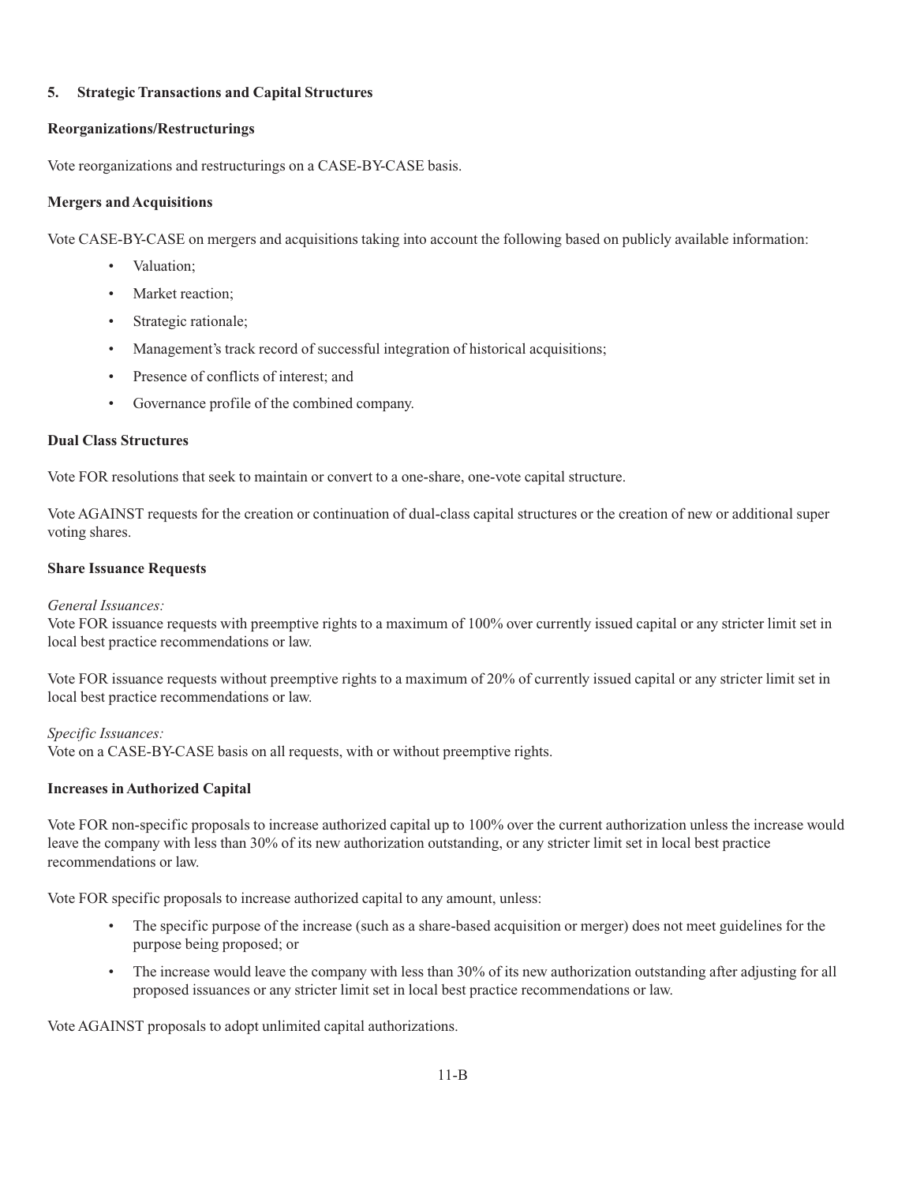## **5. Strategic Transactions and Capital Structures**

## **Reorganizations/Restructurings**

Vote reorganizations and restructurings on a CASE-BY-CASE basis.

## **Mergers and Acquisitions**

Vote CASE-BY-CASE on mergers and acquisitions taking into account the following based on publicly available information:

- Valuation;
- Market reaction;
- Strategic rationale;
- Management's track record of successful integration of historical acquisitions;
- Presence of conflicts of interest; and
- Governance profile of the combined company.

## **Dual Class Structures**

Vote FOR resolutions that seek to maintain or convert to a one-share, one-vote capital structure.

Vote AGAINST requests for the creation or continuation of dual-class capital structures or the creation of new or additional super voting shares.

### **Share Issuance Requests**

### *General Issuances:*

Vote FOR issuance requests with preemptive rights to a maximum of 100% over currently issued capital or any stricter limit set in local best practice recommendations or law.

Vote FOR issuance requests without preemptive rights to a maximum of 20% of currently issued capital or any stricter limit set in local best practice recommendations or law.

### *Specific Issuances:*

Vote on a CASE-BY-CASE basis on all requests, with or without preemptive rights.

### **Increases in Authorized Capital**

Vote FOR non-specific proposals to increase authorized capital up to 100% over the current authorization unless the increase would leave the company with less than 30% of its new authorization outstanding, or any stricter limit set in local best practice recommendations or law.

Vote FOR specific proposals to increase authorized capital to any amount, unless:

- The specific purpose of the increase (such as a share-based acquisition or merger) does not meet guidelines for the purpose being proposed; or
- The increase would leave the company with less than 30% of its new authorization outstanding after adjusting for all proposed issuances or any stricter limit set in local best practice recommendations or law.

Vote AGAINST proposals to adopt unlimited capital authorizations.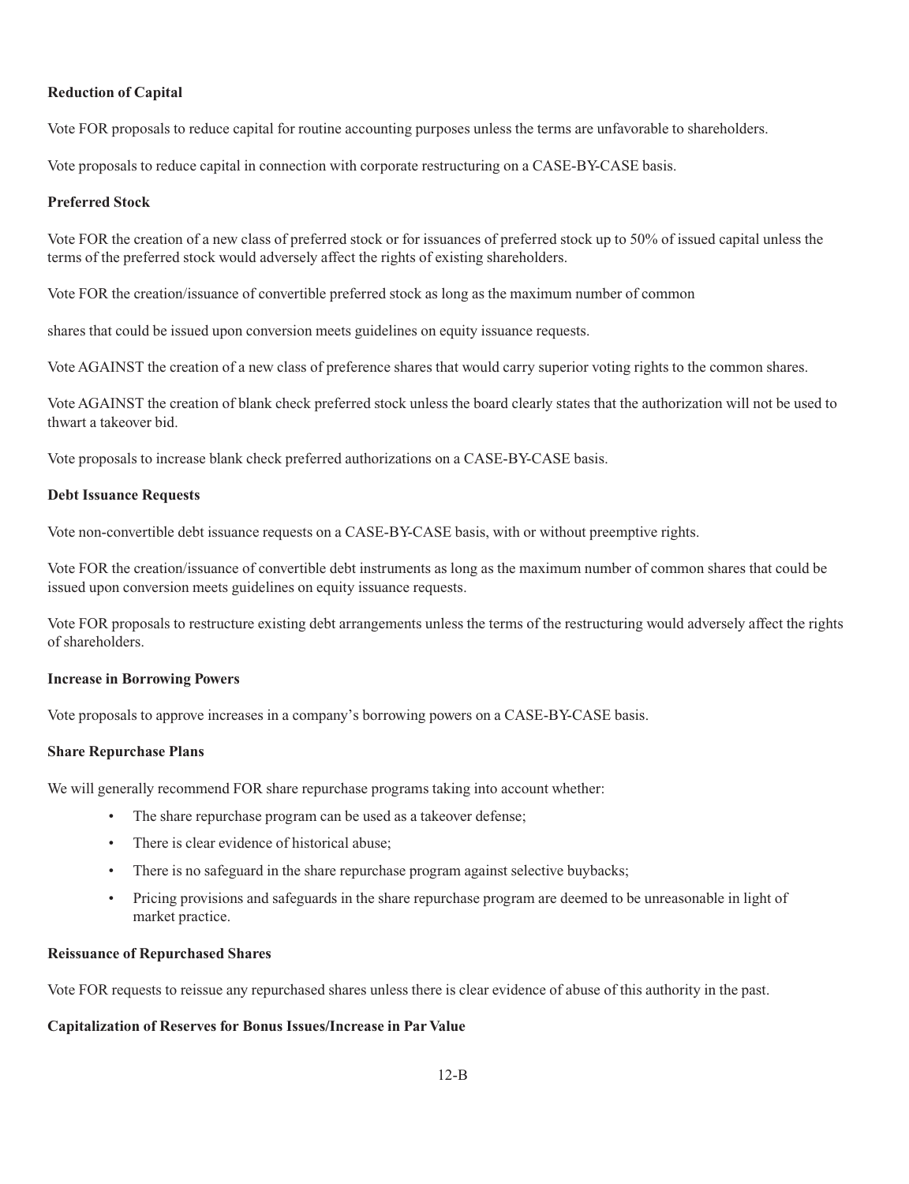### **Reduction of Capital**

Vote FOR proposals to reduce capital for routine accounting purposes unless the terms are unfavorable to shareholders.

Vote proposals to reduce capital in connection with corporate restructuring on a CASE-BY-CASE basis.

### **Preferred Stock**

Vote FOR the creation of a new class of preferred stock or for issuances of preferred stock up to 50% of issued capital unless the terms of the preferred stock would adversely affect the rights of existing shareholders.

Vote FOR the creation/issuance of convertible preferred stock as long as the maximum number of common

shares that could be issued upon conversion meets guidelines on equity issuance requests.

Vote AGAINST the creation of a new class of preference shares that would carry superior voting rights to the common shares.

Vote AGAINST the creation of blank check preferred stock unless the board clearly states that the authorization will not be used to thwart a takeover bid.

Vote proposals to increase blank check preferred authorizations on a CASE-BY-CASE basis.

#### **Debt Issuance Requests**

Vote non-convertible debt issuance requests on a CASE-BY-CASE basis, with or without preemptive rights.

Vote FOR the creation/issuance of convertible debt instruments as long as the maximum number of common shares that could be issued upon conversion meets guidelines on equity issuance requests.

Vote FOR proposals to restructure existing debt arrangements unless the terms of the restructuring would adversely affect the rights of shareholders.

#### **Increase in Borrowing Powers**

Vote proposals to approve increases in a company's borrowing powers on a CASE-BY-CASE basis.

### **Share Repurchase Plans**

We will generally recommend FOR share repurchase programs taking into account whether:

- The share repurchase program can be used as a takeover defense;
- There is clear evidence of historical abuse;
- There is no safeguard in the share repurchase program against selective buybacks;
- Pricing provisions and safeguards in the share repurchase program are deemed to be unreasonable in light of market practice.

### **Reissuance of Repurchased Shares**

Vote FOR requests to reissue any repurchased shares unless there is clear evidence of abuse of this authority in the past.

### **Capitalization of Reserves for Bonus Issues/Increase in Par Value**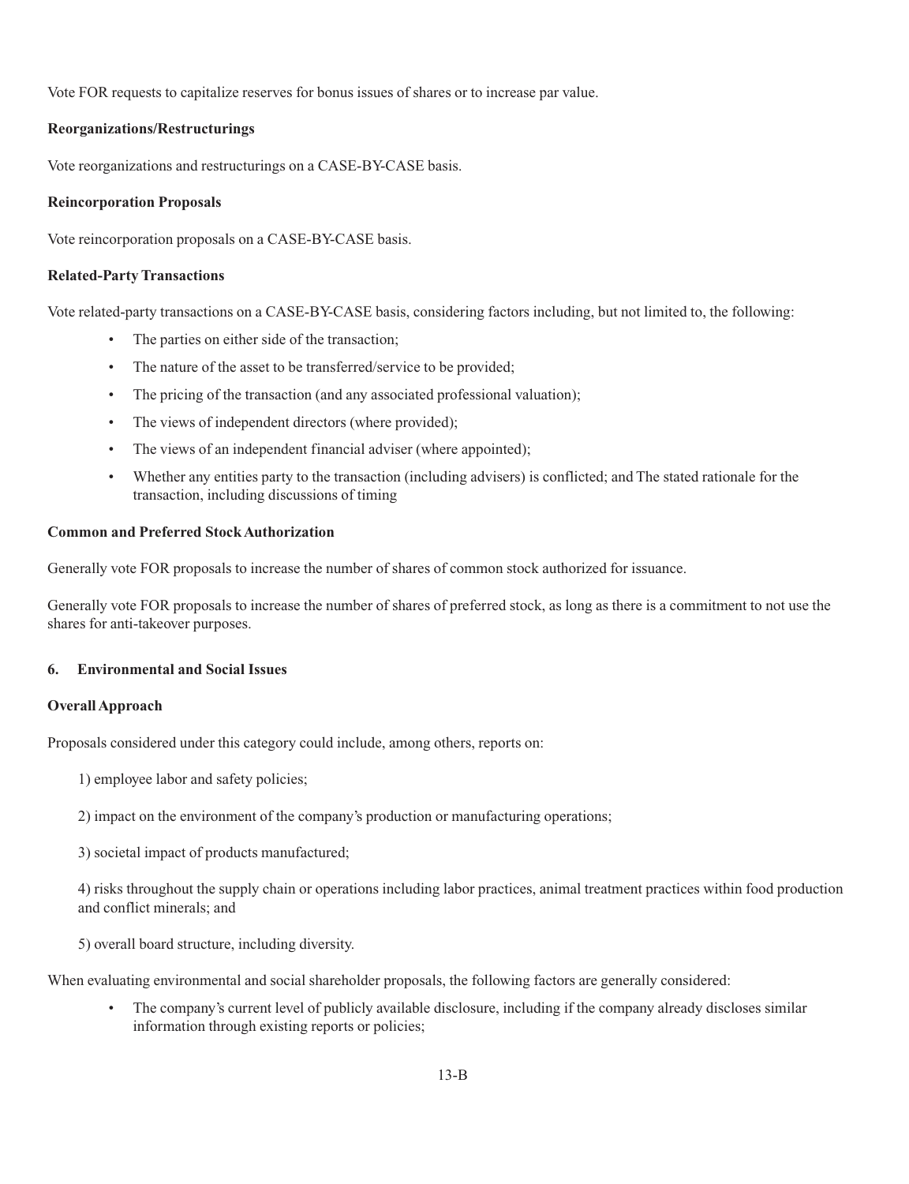Vote FOR requests to capitalize reserves for bonus issues of shares or to increase par value.

### **Reorganizations/Restructurings**

Vote reorganizations and restructurings on a CASE-BY-CASE basis.

### **Reincorporation Proposals**

Vote reincorporation proposals on a CASE-BY-CASE basis.

### **Related-Party Transactions**

Vote related-party transactions on a CASE-BY-CASE basis, considering factors including, but not limited to, the following:

- The parties on either side of the transaction;
- The nature of the asset to be transferred/service to be provided;
- The pricing of the transaction (and any associated professional valuation);
- The views of independent directors (where provided);
- The views of an independent financial adviser (where appointed);
- Whether any entities party to the transaction (including advisers) is conflicted; and The stated rationale for the transaction, including discussions of timing

#### **Common and Preferred Stock Authorization**

Generally vote FOR proposals to increase the number of shares of common stock authorized for issuance.

Generally vote FOR proposals to increase the number of shares of preferred stock, as long as there is a commitment to not use the shares for anti-takeover purposes.

#### **6. Environmental and Social Issues**

#### **Overall Approach**

Proposals considered under this category could include, among others, reports on:

1) employee labor and safety policies;

2) impact on the environment of the company's production or manufacturing operations;

3) societal impact of products manufactured;

4) risks throughout the supply chain or operations including labor practices, animal treatment practices within food production and conflict minerals; and

5) overall board structure, including diversity.

When evaluating environmental and social shareholder proposals, the following factors are generally considered:

• The company's current level of publicly available disclosure, including if the company already discloses similar information through existing reports or policies;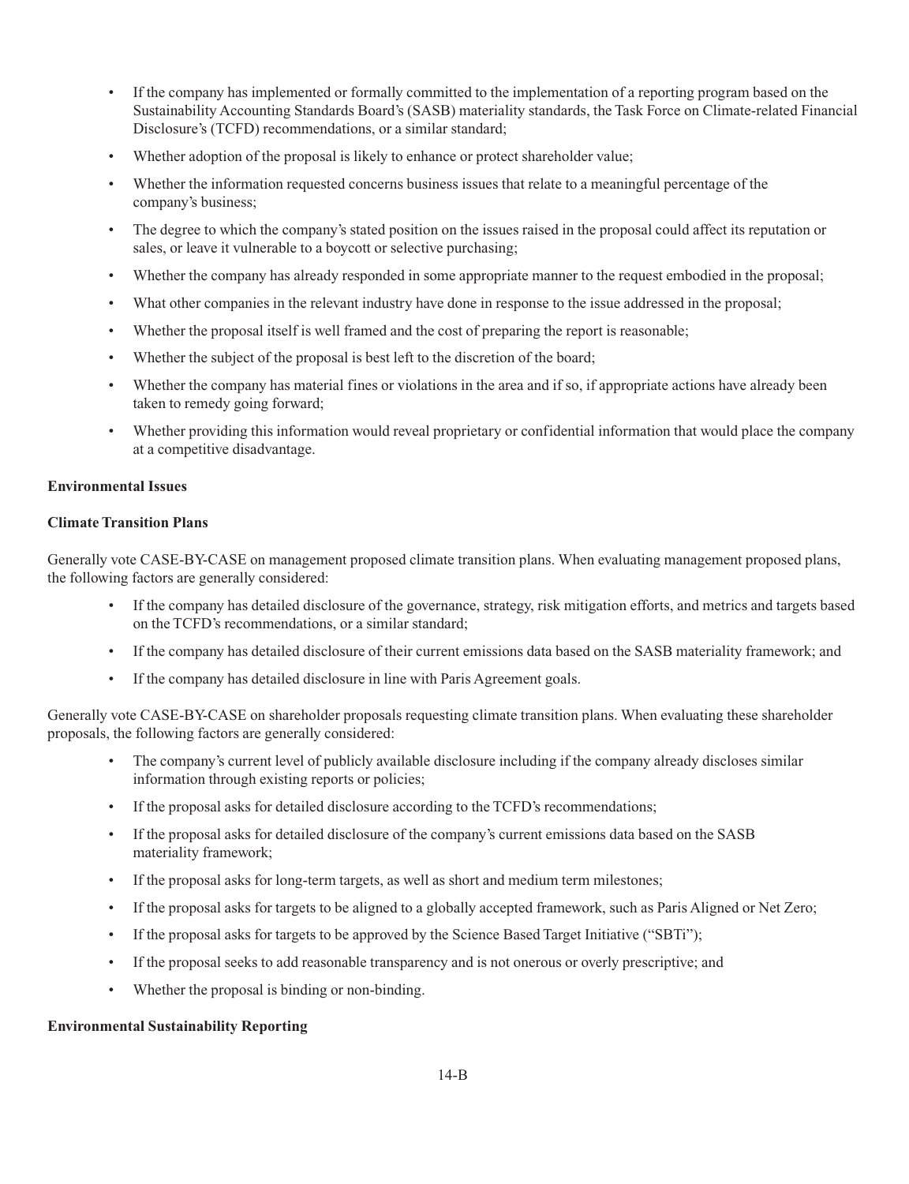- If the company has implemented or formally committed to the implementation of a reporting program based on the Sustainability Accounting Standards Board's (SASB) materiality standards, the Task Force on Climate-related Financial Disclosure's (TCFD) recommendations, or a similar standard;
- Whether adoption of the proposal is likely to enhance or protect shareholder value;
- Whether the information requested concerns business issues that relate to a meaningful percentage of the company's business;
- The degree to which the company's stated position on the issues raised in the proposal could affect its reputation or sales, or leave it vulnerable to a boycott or selective purchasing;
- Whether the company has already responded in some appropriate manner to the request embodied in the proposal;
- What other companies in the relevant industry have done in response to the issue addressed in the proposal;
- Whether the proposal itself is well framed and the cost of preparing the report is reasonable;
- Whether the subject of the proposal is best left to the discretion of the board;
- Whether the company has material fines or violations in the area and if so, if appropriate actions have already been taken to remedy going forward;
- Whether providing this information would reveal proprietary or confidential information that would place the company at a competitive disadvantage.

### **Environmental Issues**

## **Climate Transition Plans**

Generally vote CASE-BY-CASE on management proposed climate transition plans. When evaluating management proposed plans, the following factors are generally considered:

- If the company has detailed disclosure of the governance, strategy, risk mitigation efforts, and metrics and targets based on the TCFD's recommendations, or a similar standard;
- If the company has detailed disclosure of their current emissions data based on the SASB materiality framework; and
- If the company has detailed disclosure in line with Paris Agreement goals.

Generally vote CASE-BY-CASE on shareholder proposals requesting climate transition plans. When evaluating these shareholder proposals, the following factors are generally considered:

- The company's current level of publicly available disclosure including if the company already discloses similar information through existing reports or policies;
- If the proposal asks for detailed disclosure according to the TCFD's recommendations;
- If the proposal asks for detailed disclosure of the company's current emissions data based on the SASB materiality framework;
- If the proposal asks for long-term targets, as well as short and medium term milestones;
- If the proposal asks for targets to be aligned to a globally accepted framework, such as Paris Aligned or Net Zero;
- If the proposal asks for targets to be approved by the Science Based Target Initiative ("SBTi");
- If the proposal seeks to add reasonable transparency and is not onerous or overly prescriptive; and
- Whether the proposal is binding or non-binding.

#### **Environmental Sustainability Reporting**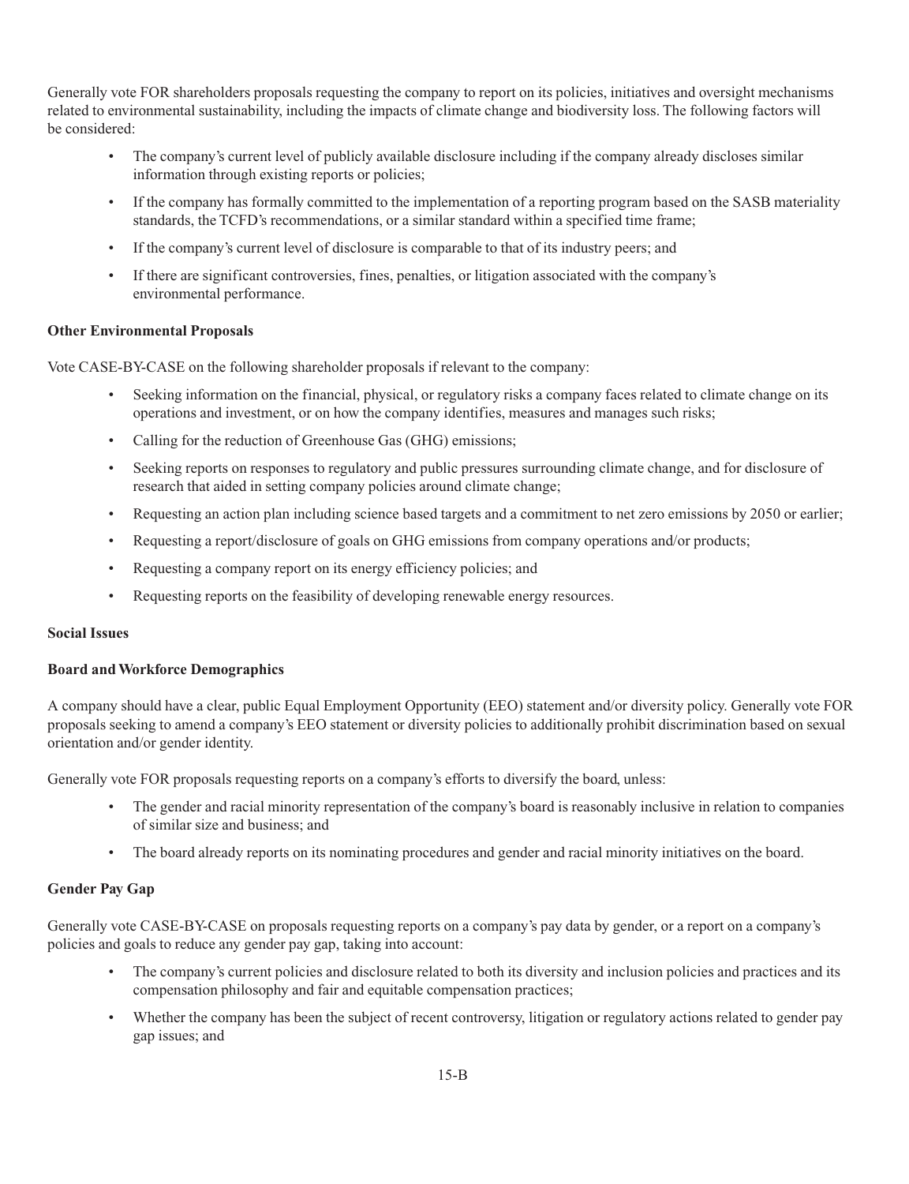Generally vote FOR shareholders proposals requesting the company to report on its policies, initiatives and oversight mechanisms related to environmental sustainability, including the impacts of climate change and biodiversity loss. The following factors will be considered:

- The company's current level of publicly available disclosure including if the company already discloses similar information through existing reports or policies;
- If the company has formally committed to the implementation of a reporting program based on the SASB materiality standards, the TCFD's recommendations, or a similar standard within a specified time frame;
- If the company's current level of disclosure is comparable to that of its industry peers; and
- If there are significant controversies, fines, penalties, or litigation associated with the company's environmental performance.

#### **Other Environmental Proposals**

Vote CASE-BY-CASE on the following shareholder proposals if relevant to the company:

- Seeking information on the financial, physical, or regulatory risks a company faces related to climate change on its operations and investment, or on how the company identifies, measures and manages such risks;
- Calling for the reduction of Greenhouse Gas (GHG) emissions;
- Seeking reports on responses to regulatory and public pressures surrounding climate change, and for disclosure of research that aided in setting company policies around climate change;
- Requesting an action plan including science based targets and a commitment to net zero emissions by 2050 or earlier;
- Requesting a report/disclosure of goals on GHG emissions from company operations and/or products;
- Requesting a company report on its energy efficiency policies; and
- Requesting reports on the feasibility of developing renewable energy resources.

#### **Social Issues**

#### **Board andWorkforce Demographics**

A company should have a clear, public Equal Employment Opportunity (EEO) statement and/or diversity policy. Generally vote FOR proposals seeking to amend a company's EEO statement or diversity policies to additionally prohibit discrimination based on sexual orientation and/or gender identity.

Generally vote FOR proposals requesting reports on a company's efforts to diversify the board, unless:

- The gender and racial minority representation of the company's board is reasonably inclusive in relation to companies of similar size and business; and
- The board already reports on its nominating procedures and gender and racial minority initiatives on the board.

## **Gender Pay Gap**

Generally vote CASE-BY-CASE on proposals requesting reports on a company's pay data by gender, or a report on a company's policies and goals to reduce any gender pay gap, taking into account:

- The company's current policies and disclosure related to both its diversity and inclusion policies and practices and its compensation philosophy and fair and equitable compensation practices;
- Whether the company has been the subject of recent controversy, litigation or regulatory actions related to gender pay gap issues; and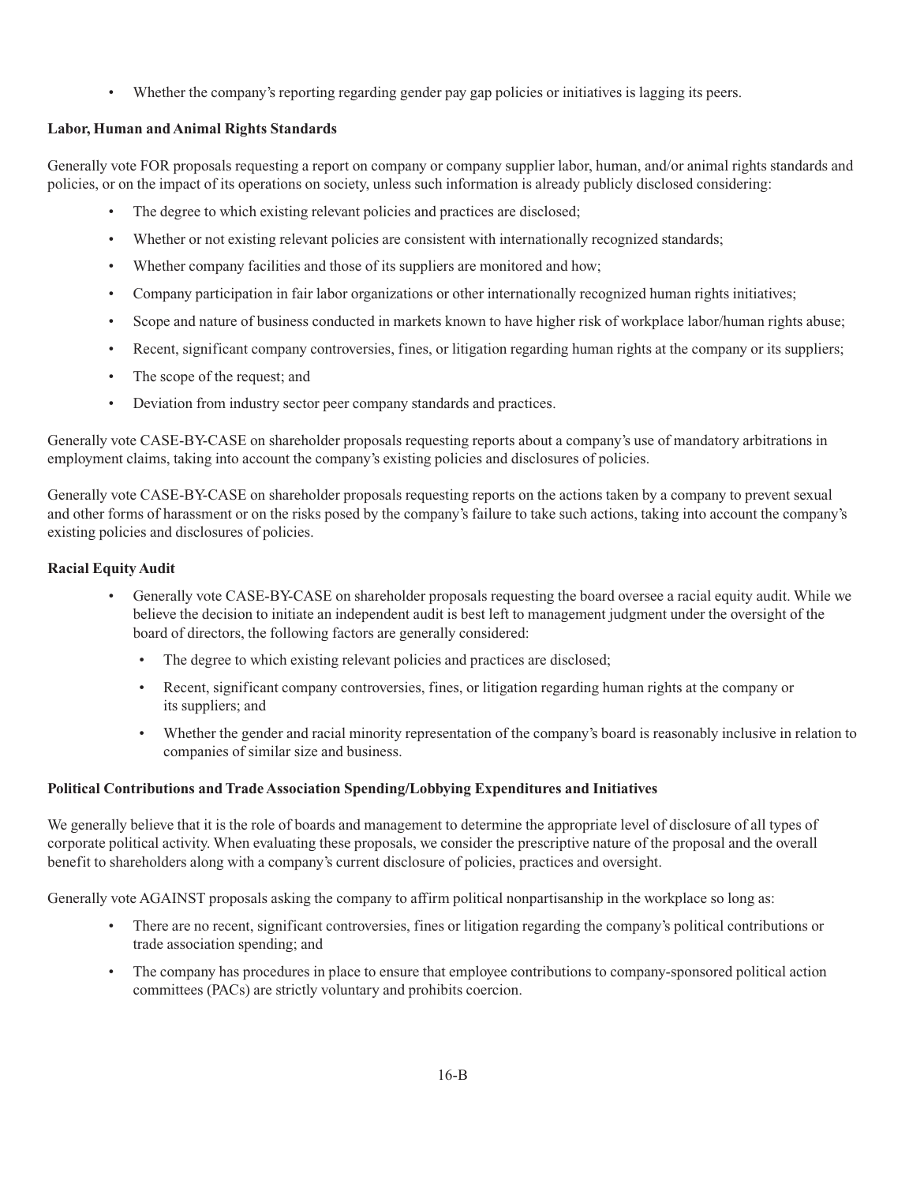• Whether the company's reporting regarding gender pay gap policies or initiatives is lagging its peers.

## **Labor, Human and Animal Rights Standards**

Generally vote FOR proposals requesting a report on company or company supplier labor, human, and/or animal rights standards and policies, or on the impact of its operations on society, unless such information is already publicly disclosed considering:

- The degree to which existing relevant policies and practices are disclosed;
- Whether or not existing relevant policies are consistent with internationally recognized standards;
- Whether company facilities and those of its suppliers are monitored and how;
- Company participation in fair labor organizations or other internationally recognized human rights initiatives;
- Scope and nature of business conducted in markets known to have higher risk of workplace labor/human rights abuse;
- Recent, significant company controversies, fines, or litigation regarding human rights at the company or its suppliers;
- The scope of the request; and
- Deviation from industry sector peer company standards and practices.

Generally vote CASE-BY-CASE on shareholder proposals requesting reports about a company's use of mandatory arbitrations in employment claims, taking into account the company's existing policies and disclosures of policies.

Generally vote CASE-BY-CASE on shareholder proposals requesting reports on the actions taken by a company to prevent sexual and other forms of harassment or on the risks posed by the company's failure to take such actions, taking into account the company's existing policies and disclosures of policies.

## **Racial Equity Audit**

- Generally vote CASE-BY-CASE on shareholder proposals requesting the board oversee a racial equity audit. While we believe the decision to initiate an independent audit is best left to management judgment under the oversight of the board of directors, the following factors are generally considered:
	- The degree to which existing relevant policies and practices are disclosed;
	- Recent, significant company controversies, fines, or litigation regarding human rights at the company or its suppliers; and
	- Whether the gender and racial minority representation of the company's board is reasonably inclusive in relation to companies of similar size and business.

### **Political Contributions and Trade Association Spending/Lobbying Expenditures and Initiatives**

We generally believe that it is the role of boards and management to determine the appropriate level of disclosure of all types of corporate political activity. When evaluating these proposals, we consider the prescriptive nature of the proposal and the overall benefit to shareholders along with a company's current disclosure of policies, practices and oversight.

Generally vote AGAINST proposals asking the company to affirm political nonpartisanship in the workplace so long as:

- There are no recent, significant controversies, fines or litigation regarding the company's political contributions or trade association spending; and
- The company has procedures in place to ensure that employee contributions to company-sponsored political action committees (PACs) are strictly voluntary and prohibits coercion.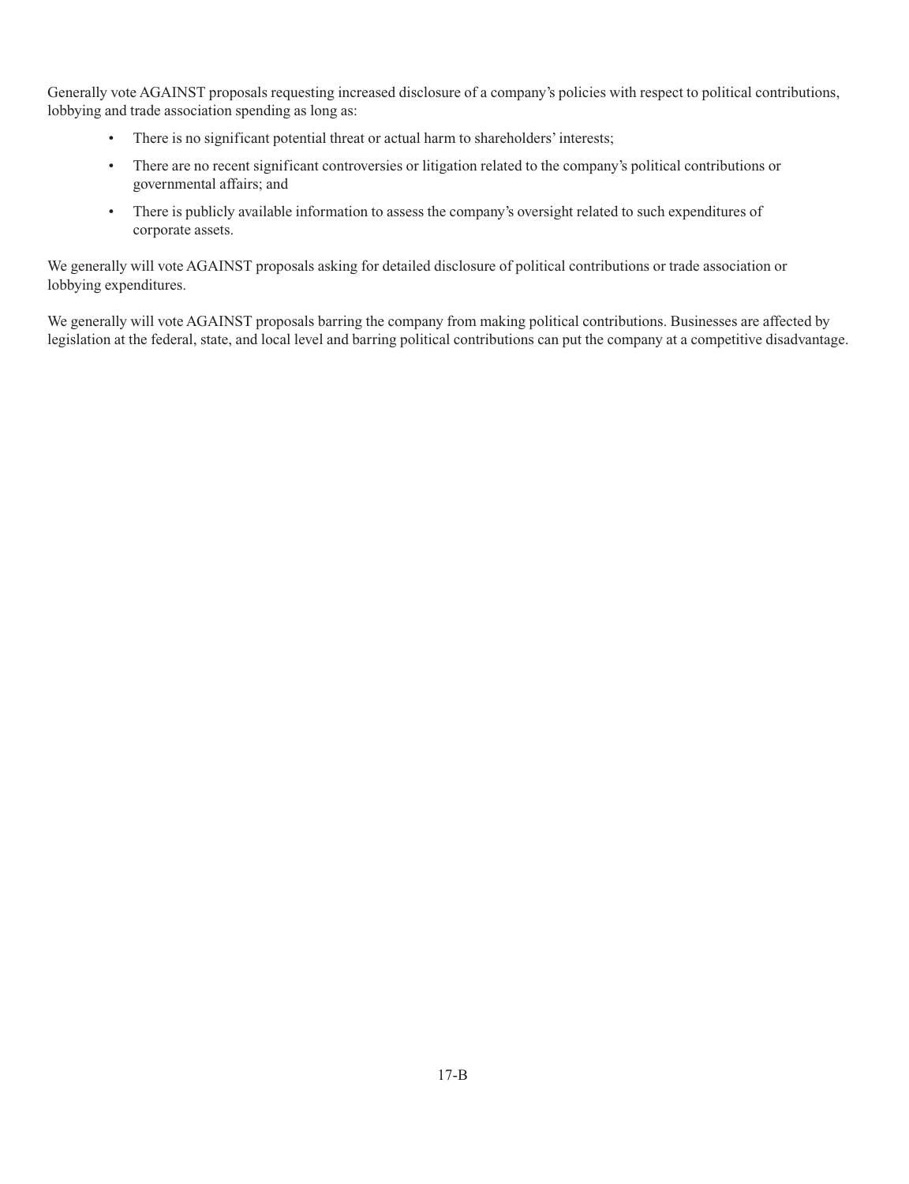Generally vote AGAINST proposals requesting increased disclosure of a company's policies with respect to political contributions, lobbying and trade association spending as long as:

- There is no significant potential threat or actual harm to shareholders' interests;
- There are no recent significant controversies or litigation related to the company's political contributions or governmental affairs; and
- There is publicly available information to assess the company's oversight related to such expenditures of corporate assets.

We generally will vote AGAINST proposals asking for detailed disclosure of political contributions or trade association or lobbying expenditures.

We generally will vote AGAINST proposals barring the company from making political contributions. Businesses are affected by legislation at the federal, state, and local level and barring political contributions can put the company at a competitive disadvantage.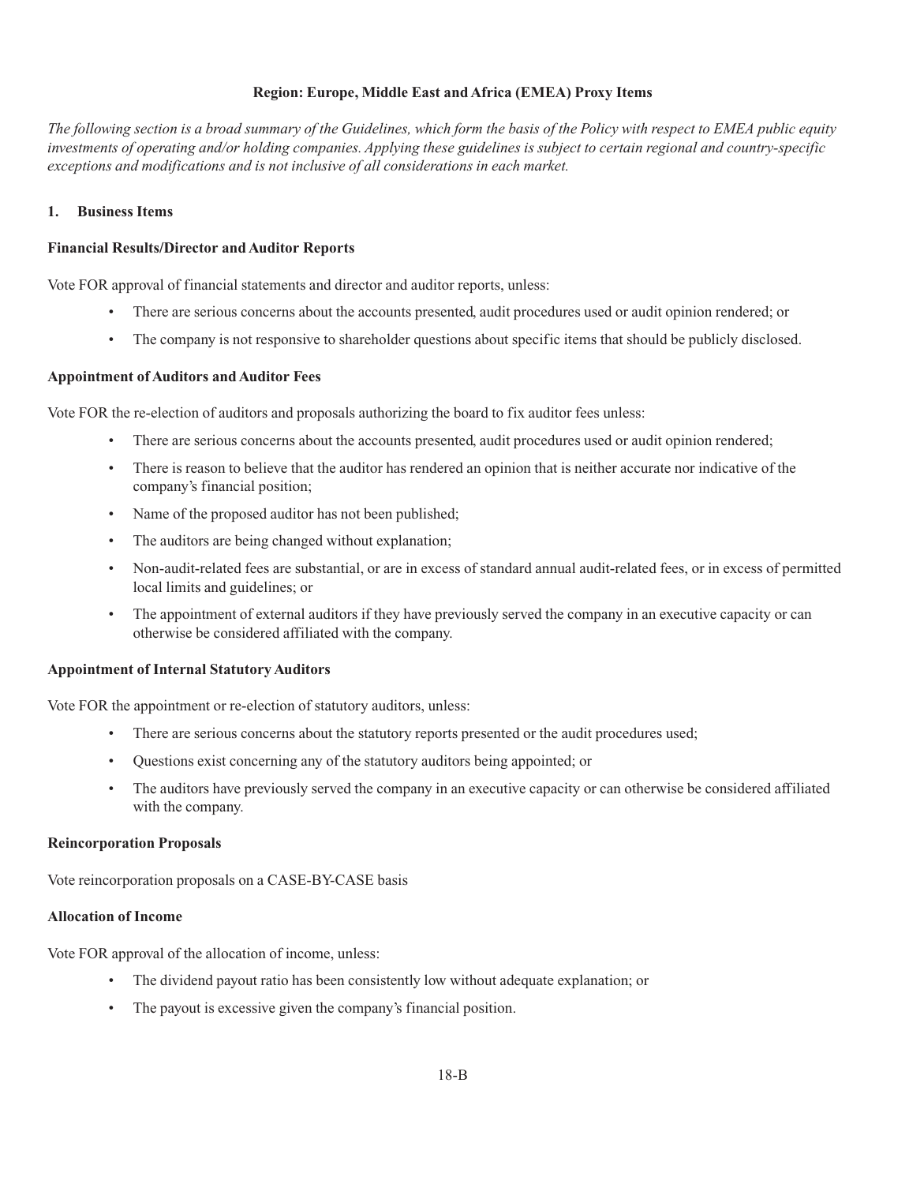### **Region: Europe, Middle East and Africa (EMEA) Proxy Items**

*The following section is a broad summary of the Guidelines, which form the basis of the Policy with respect to EMEA public equity investments of operating and/or holding companies. Applying these guidelines is subject to certain regional and country-specific exceptions and modifications and is not inclusive of all considerations in each market.*

### **1. Business Items**

#### **Financial Results/Director and Auditor Reports**

Vote FOR approval of financial statements and director and auditor reports, unless:

- There are serious concerns about the accounts presented, audit procedures used or audit opinion rendered; or
- The company is not responsive to shareholder questions about specific items that should be publicly disclosed.

#### **Appointment of Auditors and Auditor Fees**

Vote FOR the re-election of auditors and proposals authorizing the board to fix auditor fees unless:

- There are serious concerns about the accounts presented, audit procedures used or audit opinion rendered;
- There is reason to believe that the auditor has rendered an opinion that is neither accurate nor indicative of the company's financial position;
- Name of the proposed auditor has not been published;
- The auditors are being changed without explanation;
- Non-audit-related fees are substantial, or are in excess of standard annual audit-related fees, or in excess of permitted local limits and guidelines; or
- The appointment of external auditors if they have previously served the company in an executive capacity or can otherwise be considered affiliated with the company.

#### **Appointment of Internal Statutory Auditors**

Vote FOR the appointment or re-election of statutory auditors, unless:

- There are serious concerns about the statutory reports presented or the audit procedures used;
- Questions exist concerning any of the statutory auditors being appointed; or
- The auditors have previously served the company in an executive capacity or can otherwise be considered affiliated with the company.

#### **Reincorporation Proposals**

Vote reincorporation proposals on a CASE-BY-CASE basis

## **Allocation of Income**

Vote FOR approval of the allocation of income, unless:

- The dividend payout ratio has been consistently low without adequate explanation; or
- The payout is excessive given the company's financial position.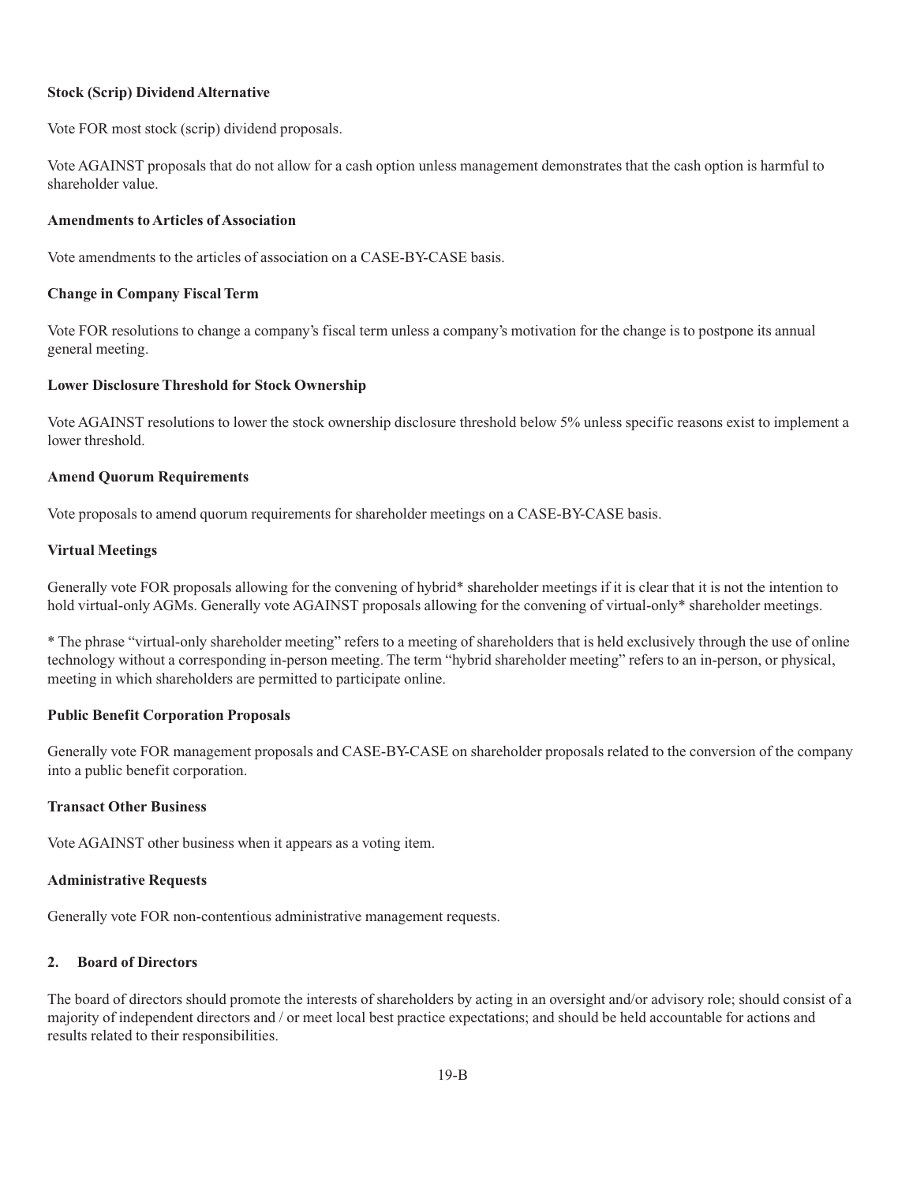#### **Stock (Scrip) Dividend Alternative**

Vote FOR most stock (scrip) dividend proposals.

Vote AGAINST proposals that do not allow for a cash option unless management demonstrates that the cash option is harmful to shareholder value.

#### **Amendments to Articles of Association**

Vote amendments to the articles of association on a CASE-BY-CASE basis.

### **Change in Company Fiscal Term**

Vote FOR resolutions to change a company's fiscal term unless a company's motivation for the change is to postpone its annual general meeting.

#### **Lower Disclosure Threshold for Stock Ownership**

Vote AGAINST resolutions to lower the stock ownership disclosure threshold below 5% unless specific reasons exist to implement a lower threshold.

#### **Amend Quorum Requirements**

Vote proposals to amend quorum requirements for shareholder meetings on a CASE-BY-CASE basis.

## **Virtual Meetings**

Generally vote FOR proposals allowing for the convening of hybrid\* shareholder meetings if it is clear that it is not the intention to hold virtual-only AGMs. Generally vote AGAINST proposals allowing for the convening of virtual-only\* shareholder meetings.

\* The phrase "virtual-only shareholder meeting" refers to a meeting of shareholders that is held exclusively through the use of online technology without a corresponding in-person meeting. The term "hybrid shareholder meeting" refers to an in-person, or physical, meeting in which shareholders are permitted to participate online.

### **Public Benefit Corporation Proposals**

Generally vote FOR management proposals and CASE-BY-CASE on shareholder proposals related to the conversion of the company into a public benefit corporation.

## **Transact Other Business**

Vote AGAINST other business when it appears as a voting item.

#### **Administrative Requests**

Generally vote FOR non-contentious administrative management requests.

### **2. Board of Directors**

The board of directors should promote the interests of shareholders by acting in an oversight and/or advisory role; should consist of a majority of independent directors and / or meet local best practice expectations; and should be held accountable for actions and results related to their responsibilities.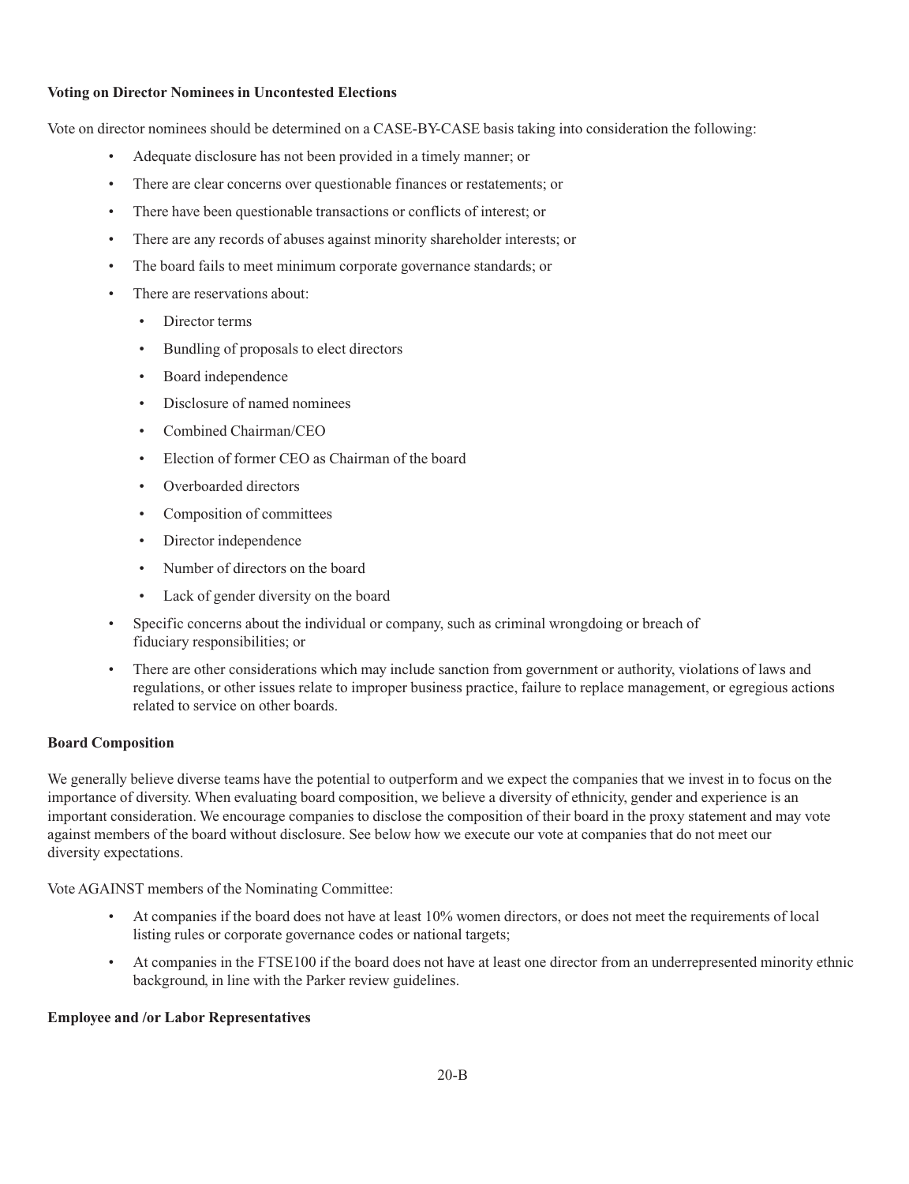### **Voting on Director Nominees in Uncontested Elections**

Vote on director nominees should be determined on a CASE-BY-CASE basis taking into consideration the following:

- Adequate disclosure has not been provided in a timely manner; or
- There are clear concerns over questionable finances or restatements; or
- There have been questionable transactions or conflicts of interest; or
- There are any records of abuses against minority shareholder interests; or
- The board fails to meet minimum corporate governance standards; or
- There are reservations about:
	- Director terms
	- Bundling of proposals to elect directors
	- Board independence
	- Disclosure of named nominees
	- Combined Chairman/CEO
	- Election of former CEO as Chairman of the board
	- Overboarded directors
	- Composition of committees
	- Director independence
	- Number of directors on the board
	- Lack of gender diversity on the board
- Specific concerns about the individual or company, such as criminal wrongdoing or breach of fiduciary responsibilities; or
- There are other considerations which may include sanction from government or authority, violations of laws and regulations, or other issues relate to improper business practice, failure to replace management, or egregious actions related to service on other boards.

### **Board Composition**

We generally believe diverse teams have the potential to outperform and we expect the companies that we invest in to focus on the importance of diversity. When evaluating board composition, we believe a diversity of ethnicity, gender and experience is an important consideration. We encourage companies to disclose the composition of their board in the proxy statement and may vote against members of the board without disclosure. See below how we execute our vote at companies that do not meet our diversity expectations.

Vote AGAINST members of the Nominating Committee:

- At companies if the board does not have at least 10% women directors, or does not meet the requirements of local listing rules or corporate governance codes or national targets;
- At companies in the FTSE100 if the board does not have at least one director from an underrepresented minority ethnic background, in line with the Parker review guidelines.

#### **Employee and /or Labor Representatives**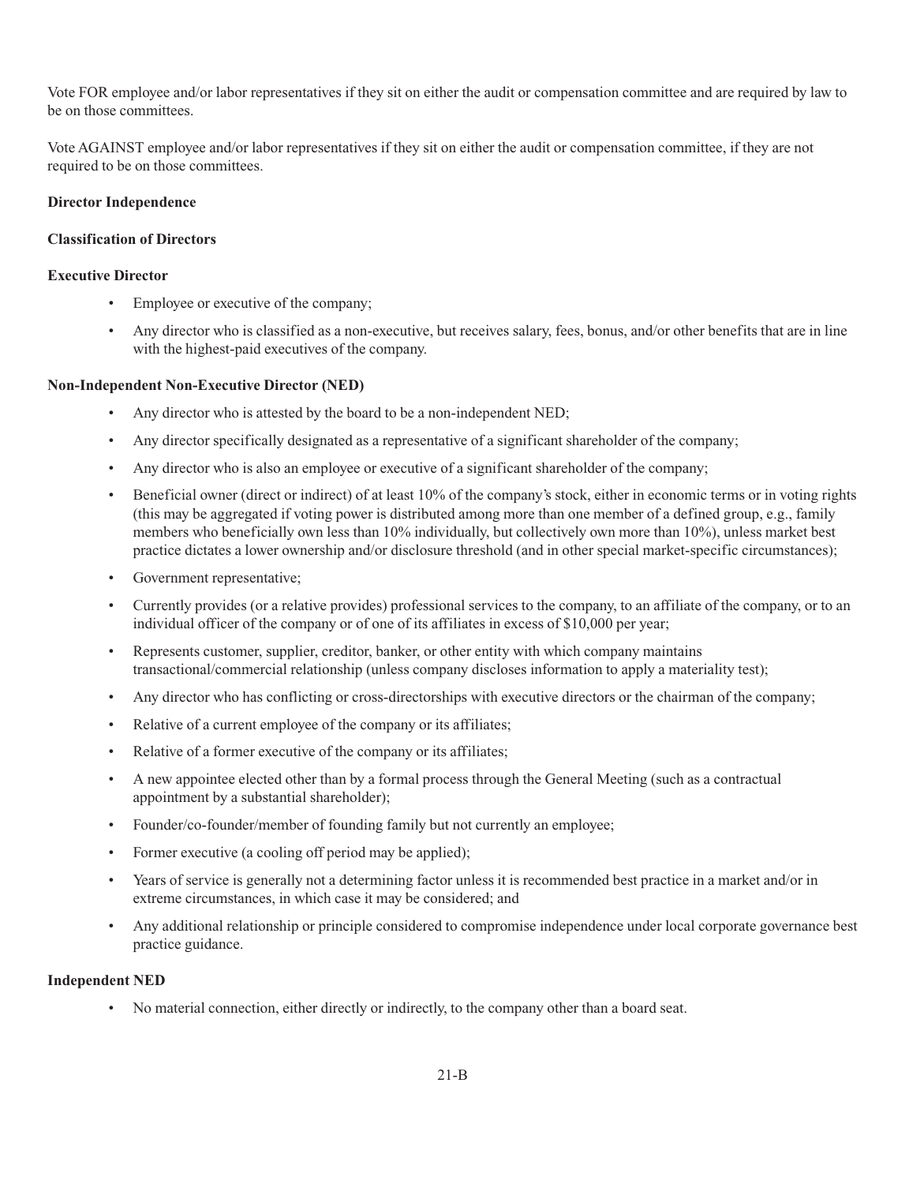Vote FOR employee and/or labor representatives if they sit on either the audit or compensation committee and are required by law to be on those committees.

Vote AGAINST employee and/or labor representatives if they sit on either the audit or compensation committee, if they are not required to be on those committees.

#### **Director Independence**

## **Classification of Directors**

### **Executive Director**

- Employee or executive of the company;
- Any director who is classified as a non-executive, but receives salary, fees, bonus, and/or other benefits that are in line with the highest-paid executives of the company.

#### **Non-Independent Non-Executive Director (NED)**

- Any director who is attested by the board to be a non-independent NED;
- Any director specifically designated as a representative of a significant shareholder of the company;
- Any director who is also an employee or executive of a significant shareholder of the company;
- Beneficial owner (direct or indirect) of at least 10% of the company's stock, either in economic terms or in voting rights (this may be aggregated if voting power is distributed among more than one member of a defined group, e.g., family members who beneficially own less than 10% individually, but collectively own more than 10%), unless market best practice dictates a lower ownership and/or disclosure threshold (and in other special market-specific circumstances);
- Government representative;
- Currently provides (or a relative provides) professional services to the company, to an affiliate of the company, or to an individual officer of the company or of one of its affiliates in excess of \$10,000 per year;
- Represents customer, supplier, creditor, banker, or other entity with which company maintains transactional/commercial relationship (unless company discloses information to apply a materiality test);
- Any director who has conflicting or cross-directorships with executive directors or the chairman of the company;
- Relative of a current employee of the company or its affiliates;
- Relative of a former executive of the company or its affiliates;
- A new appointee elected other than by a formal process through the General Meeting (such as a contractual appointment by a substantial shareholder);
- Founder/co-founder/member of founding family but not currently an employee;
- Former executive (a cooling off period may be applied);
- Years of service is generally not a determining factor unless it is recommended best practice in a market and/or in extreme circumstances, in which case it may be considered; and
- Any additional relationship or principle considered to compromise independence under local corporate governance best practice guidance.

#### **Independent NED**

• No material connection, either directly or indirectly, to the company other than a board seat.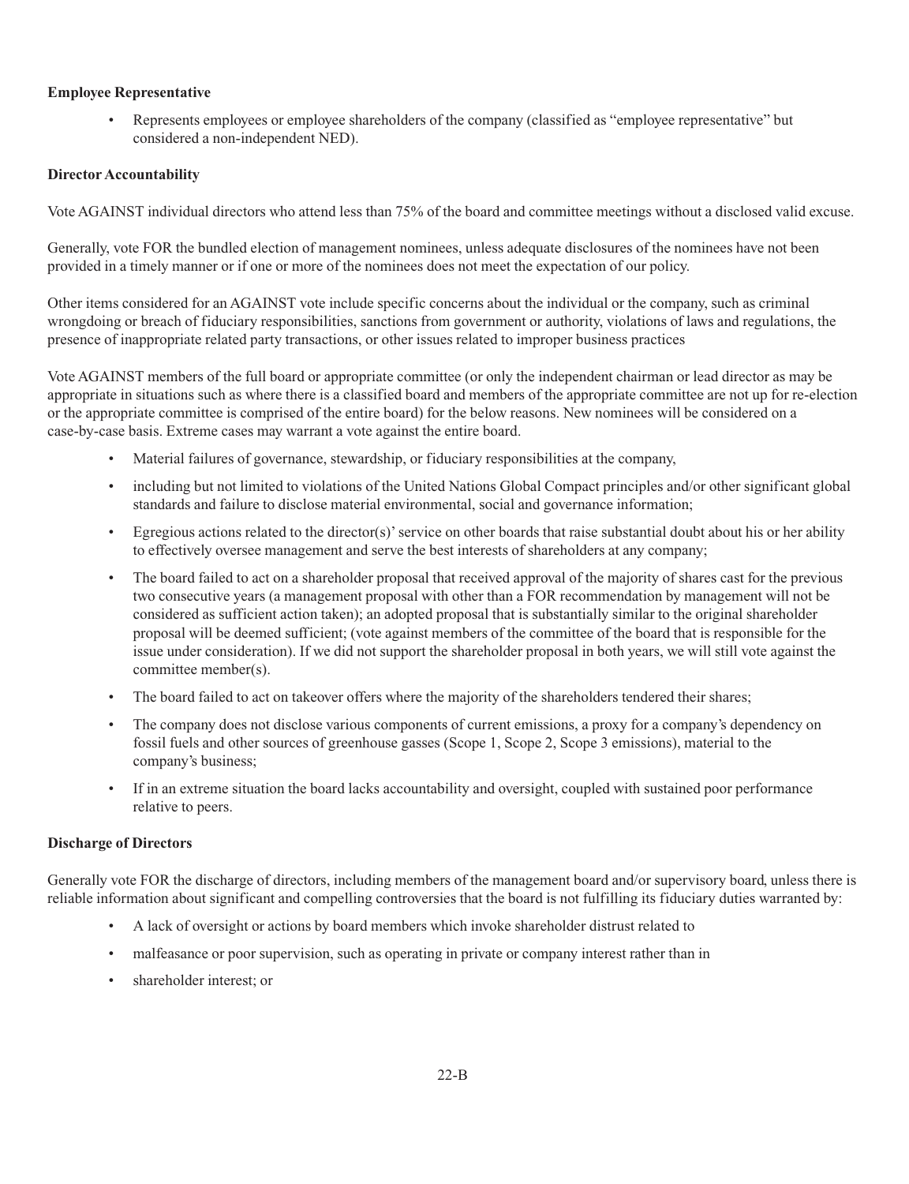### **Employee Representative**

• Represents employees or employee shareholders of the company (classified as "employee representative" but considered a non-independent NED).

### **Director Accountability**

Vote AGAINST individual directors who attend less than 75% of the board and committee meetings without a disclosed valid excuse.

Generally, vote FOR the bundled election of management nominees, unless adequate disclosures of the nominees have not been provided in a timely manner or if one or more of the nominees does not meet the expectation of our policy.

Other items considered for an AGAINST vote include specific concerns about the individual or the company, such as criminal wrongdoing or breach of fiduciary responsibilities, sanctions from government or authority, violations of laws and regulations, the presence of inappropriate related party transactions, or other issues related to improper business practices

Vote AGAINST members of the full board or appropriate committee (or only the independent chairman or lead director as may be appropriate in situations such as where there is a classified board and members of the appropriate committee are not up for re-election or the appropriate committee is comprised of the entire board) for the below reasons. New nominees will be considered on a case-by-case basis. Extreme cases may warrant a vote against the entire board.

- Material failures of governance, stewardship, or fiduciary responsibilities at the company,
- including but not limited to violations of the United Nations Global Compact principles and/or other significant global standards and failure to disclose material environmental, social and governance information;
- Egregious actions related to the director(s)' service on other boards that raise substantial doubt about his or her ability to effectively oversee management and serve the best interests of shareholders at any company;
- The board failed to act on a shareholder proposal that received approval of the majority of shares cast for the previous two consecutive years (a management proposal with other than a FOR recommendation by management will not be considered as sufficient action taken); an adopted proposal that is substantially similar to the original shareholder proposal will be deemed sufficient; (vote against members of the committee of the board that is responsible for the issue under consideration). If we did not support the shareholder proposal in both years, we will still vote against the committee member(s).
- The board failed to act on takeover offers where the majority of the shareholders tendered their shares;
- The company does not disclose various components of current emissions, a proxy for a company's dependency on fossil fuels and other sources of greenhouse gasses (Scope 1, Scope 2, Scope 3 emissions), material to the company's business;
- If in an extreme situation the board lacks accountability and oversight, coupled with sustained poor performance relative to peers.

### **Discharge of Directors**

Generally vote FOR the discharge of directors, including members of the management board and/or supervisory board, unless there is reliable information about significant and compelling controversies that the board is not fulfilling its fiduciary duties warranted by:

- A lack of oversight or actions by board members which invoke shareholder distrust related to
- malfeasance or poor supervision, such as operating in private or company interest rather than in
- shareholder interest; or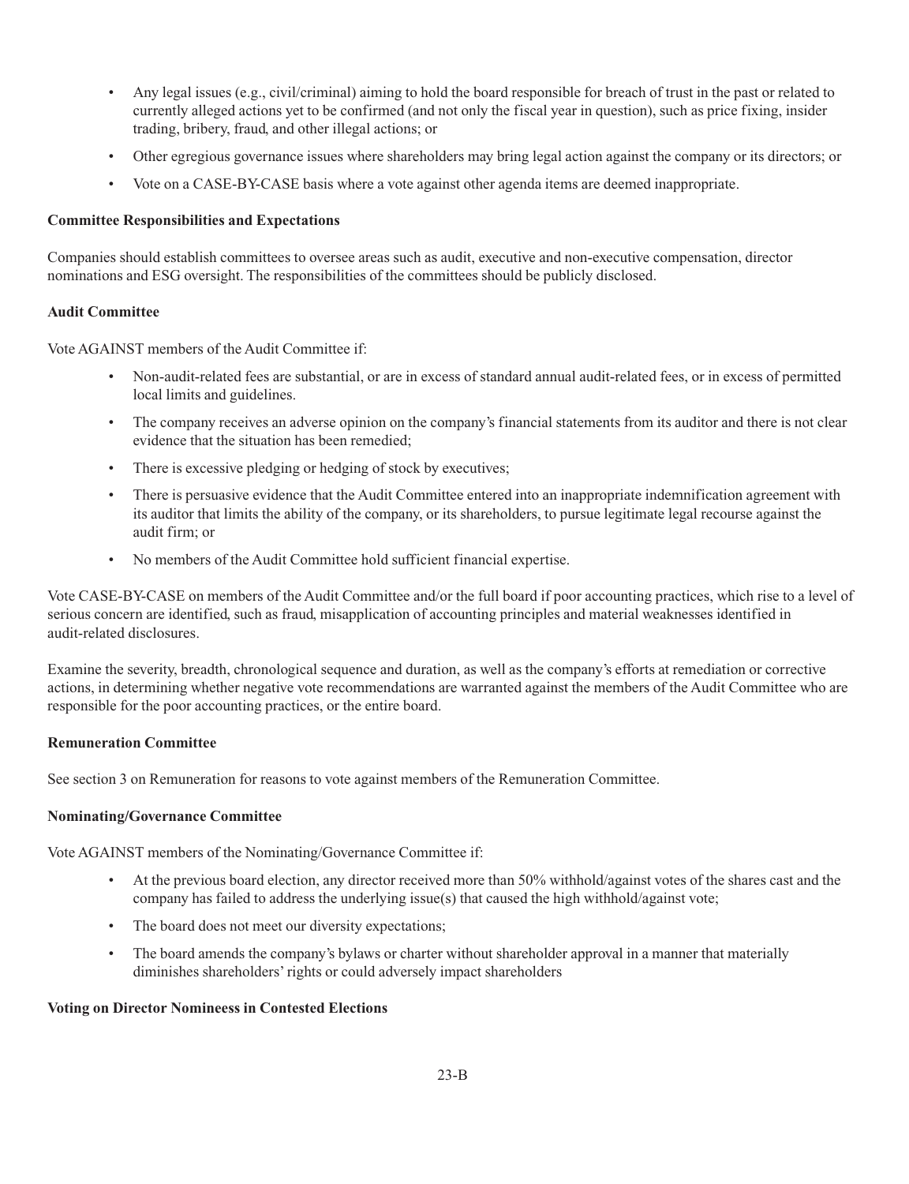- Any legal issues (e.g., civil/criminal) aiming to hold the board responsible for breach of trust in the past or related to currently alleged actions yet to be confirmed (and not only the fiscal year in question), such as price fixing, insider trading, bribery, fraud, and other illegal actions; or
- Other egregious governance issues where shareholders may bring legal action against the company or its directors; or
- Vote on a CASE-BY-CASE basis where a vote against other agenda items are deemed inappropriate.

### **Committee Responsibilities and Expectations**

Companies should establish committees to oversee areas such as audit, executive and non-executive compensation, director nominations and ESG oversight. The responsibilities of the committees should be publicly disclosed.

#### **Audit Committee**

Vote AGAINST members of the Audit Committee if:

- Non-audit-related fees are substantial, or are in excess of standard annual audit-related fees, or in excess of permitted local limits and guidelines.
- The company receives an adverse opinion on the company's financial statements from its auditor and there is not clear evidence that the situation has been remedied;
- There is excessive pledging or hedging of stock by executives;
- There is persuasive evidence that the Audit Committee entered into an inappropriate indemnification agreement with its auditor that limits the ability of the company, or its shareholders, to pursue legitimate legal recourse against the audit firm; or
- No members of the Audit Committee hold sufficient financial expertise.

Vote CASE-BY-CASE on members of the Audit Committee and/or the full board if poor accounting practices, which rise to a level of serious concern are identified, such as fraud, misapplication of accounting principles and material weaknesses identified in audit-related disclosures.

Examine the severity, breadth, chronological sequence and duration, as well as the company's efforts at remediation or corrective actions, in determining whether negative vote recommendations are warranted against the members of the Audit Committee who are responsible for the poor accounting practices, or the entire board.

### **Remuneration Committee**

See section 3 on Remuneration for reasons to vote against members of the Remuneration Committee.

### **Nominating/Governance Committee**

Vote AGAINST members of the Nominating/Governance Committee if:

- At the previous board election, any director received more than 50% withhold/against votes of the shares cast and the company has failed to address the underlying issue(s) that caused the high withhold/against vote;
- The board does not meet our diversity expectations;
- The board amends the company's bylaws or charter without shareholder approval in a manner that materially diminishes shareholders' rights or could adversely impact shareholders

### **Voting on Director Nomineess in Contested Elections**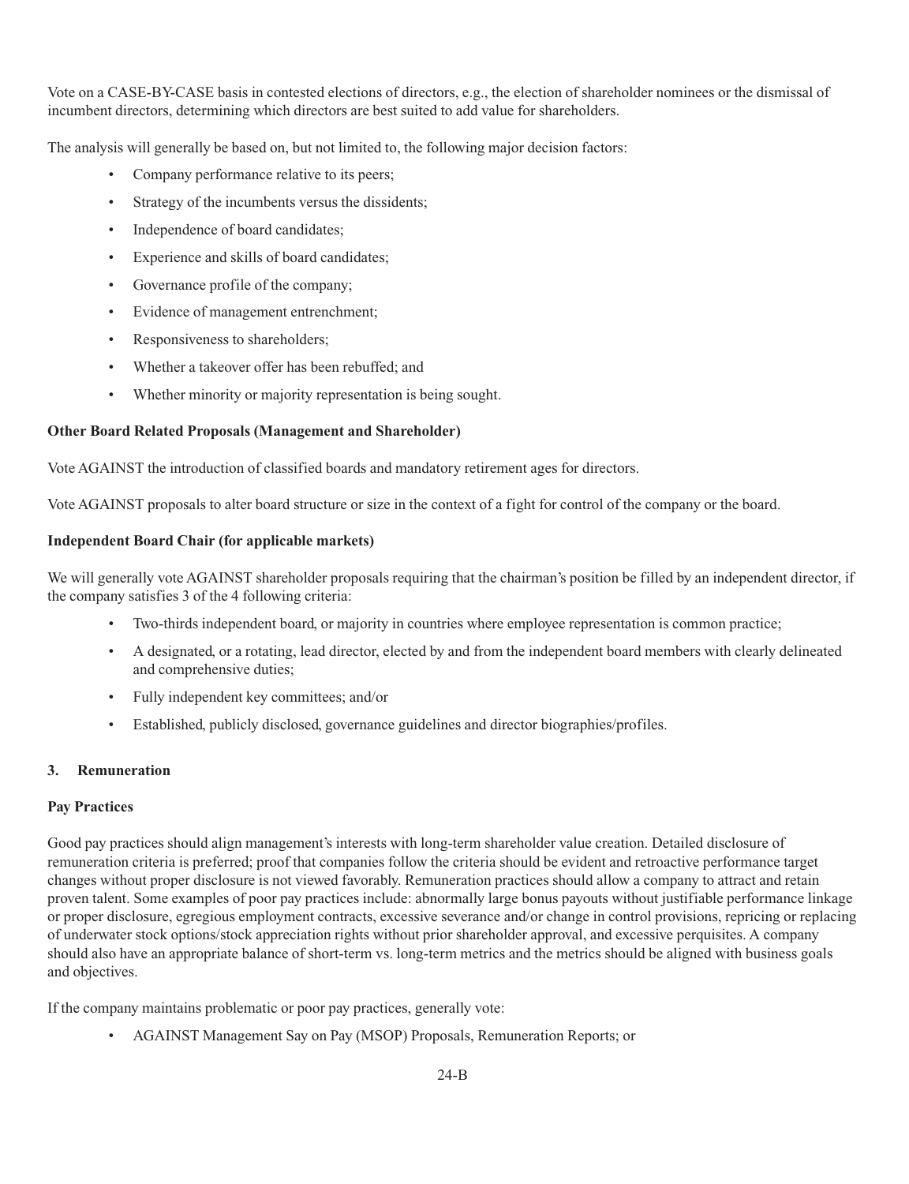Vote on a CASE-BY-CASE basis in contested elections of directors, e.g., the election of shareholder nominees or the dismissal of incumbent directors, determining which directors are best suited to add value for shareholders.

The analysis will generally be based on, but not limited to, the following major decision factors:

- Company performance relative to its peers;
- Strategy of the incumbents versus the dissidents;
- Independence of board candidates;
- Experience and skills of board candidates;
- Governance profile of the company;
- Evidence of management entrenchment;
- Responsiveness to shareholders;
- Whether a takeover offer has been rebuffed; and
- Whether minority or majority representation is being sought.

# **Other Board Related Proposals (Management and Shareholder)**

Vote AGAINST the introduction of classified boards and mandatory retirement ages for directors.

Vote AGAINST proposals to alter board structure or size in the context of a fight for control of the company or the board.

### **Independent Board Chair (for applicable markets)**

We will generally vote AGAINST shareholder proposals requiring that the chairman's position be filled by an independent director, if the company satisfies 3 of the 4 following criteria:

- Two-thirds independent board, or majority in countries where employee representation is common practice;
- A designated, or a rotating, lead director, elected by and from the independent board members with clearly delineated and comprehensive duties;
- Fully independent key committees; and/or
- Established, publicly disclosed, governance guidelines and director biographies/profiles.

## **3. Remuneration**

### **Pay Practices**

Good pay practices should align management's interests with long-term shareholder value creation. Detailed disclosure of remuneration criteria is preferred; proof that companies follow the criteria should be evident and retroactive performance target changes without proper disclosure is not viewed favorably. Remuneration practices should allow a company to attract and retain proven talent. Some examples of poor pay practices include: abnormally large bonus payouts without justifiable performance linkage or proper disclosure, egregious employment contracts, excessive severance and/or change in control provisions, repricing or replacing of underwater stock options/stock appreciation rights without prior shareholder approval, and excessive perquisites. A company should also have an appropriate balance of short-term vs. long-term metrics and the metrics should be aligned with business goals and objectives.

If the company maintains problematic or poor pay practices, generally vote:

• AGAINST Management Say on Pay (MSOP) Proposals, Remuneration Reports; or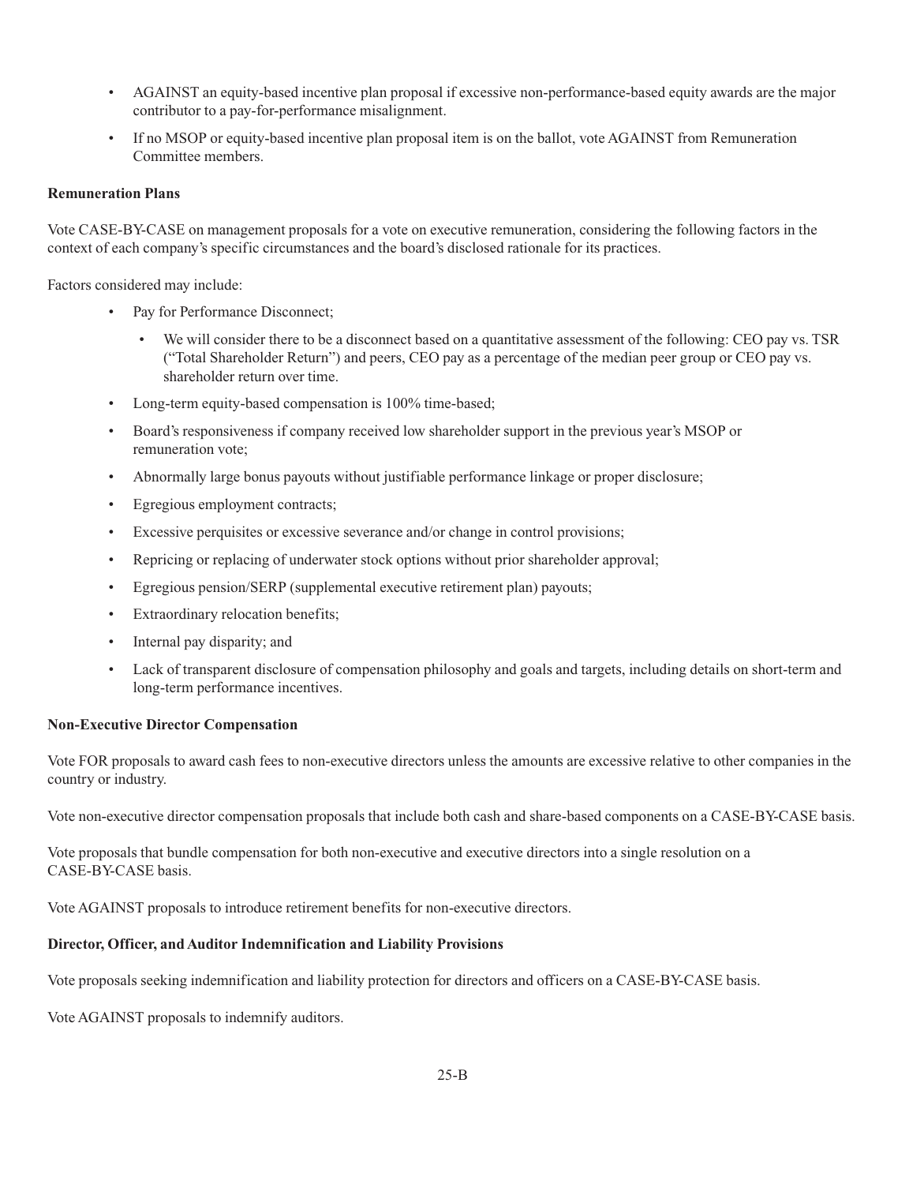- AGAINST an equity-based incentive plan proposal if excessive non-performance-based equity awards are the major contributor to a pay-for-performance misalignment.
- If no MSOP or equity-based incentive plan proposal item is on the ballot, vote AGAINST from Remuneration Committee members.

#### **Remuneration Plans**

Vote CASE-BY-CASE on management proposals for a vote on executive remuneration, considering the following factors in the context of each company's specific circumstances and the board's disclosed rationale for its practices.

Factors considered may include:

- Pay for Performance Disconnect;
	- We will consider there to be a disconnect based on a quantitative assessment of the following: CEO pay vs. TSR ("Total Shareholder Return") and peers, CEO pay as a percentage of the median peer group or CEO pay vs. shareholder return over time.
- Long-term equity-based compensation is 100% time-based;
- Board's responsiveness if company received low shareholder support in the previous year's MSOP or remuneration vote;
- Abnormally large bonus payouts without justifiable performance linkage or proper disclosure;
- Egregious employment contracts;
- Excessive perquisites or excessive severance and/or change in control provisions;
- Repricing or replacing of underwater stock options without prior shareholder approval;
- Egregious pension/SERP (supplemental executive retirement plan) payouts;
- Extraordinary relocation benefits;
- Internal pay disparity; and
- Lack of transparent disclosure of compensation philosophy and goals and targets, including details on short-term and long-term performance incentives.

#### **Non-Executive Director Compensation**

Vote FOR proposals to award cash fees to non-executive directors unless the amounts are excessive relative to other companies in the country or industry.

Vote non-executive director compensation proposals that include both cash and share-based components on a CASE-BY-CASE basis.

Vote proposals that bundle compensation for both non-executive and executive directors into a single resolution on a CASE-BY-CASE basis.

Vote AGAINST proposals to introduce retirement benefits for non-executive directors.

### **Director, Officer, and Auditor Indemnification and Liability Provisions**

Vote proposals seeking indemnification and liability protection for directors and officers on a CASE-BY-CASE basis.

Vote AGAINST proposals to indemnify auditors.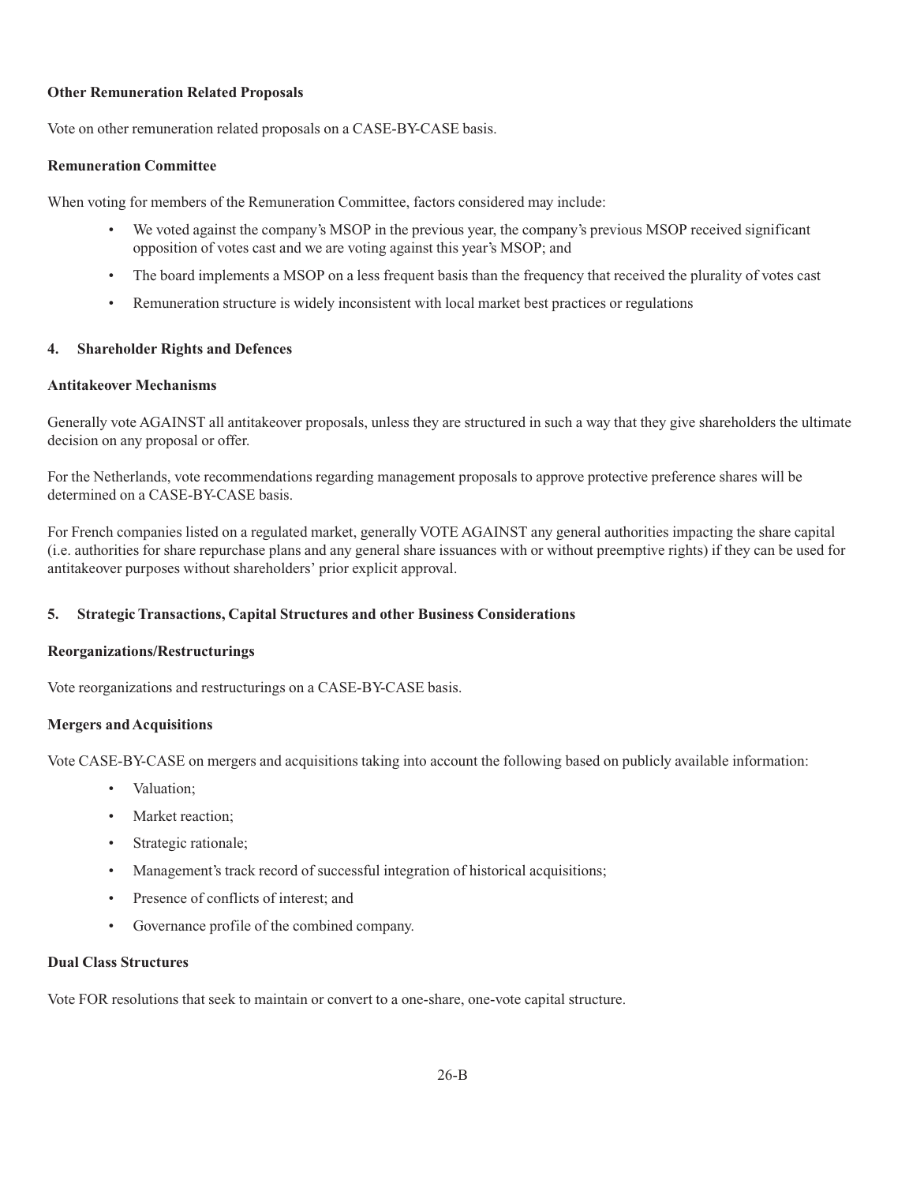### **Other Remuneration Related Proposals**

Vote on other remuneration related proposals on a CASE-BY-CASE basis.

#### **Remuneration Committee**

When voting for members of the Remuneration Committee, factors considered may include:

- We voted against the company's MSOP in the previous year, the company's previous MSOP received significant opposition of votes cast and we are voting against this year's MSOP; and
- The board implements a MSOP on a less frequent basis than the frequency that received the plurality of votes cast
- Remuneration structure is widely inconsistent with local market best practices or regulations

#### **4. Shareholder Rights and Defences**

## **Antitakeover Mechanisms**

Generally vote AGAINST all antitakeover proposals, unless they are structured in such a way that they give shareholders the ultimate decision on any proposal or offer.

For the Netherlands, vote recommendations regarding management proposals to approve protective preference shares will be determined on a CASE-BY-CASE basis.

For French companies listed on a regulated market, generally VOTE AGAINST any general authorities impacting the share capital (i.e. authorities for share repurchase plans and any general share issuances with or without preemptive rights) if they can be used for antitakeover purposes without shareholders' prior explicit approval.

### **5. Strategic Transactions, Capital Structures and other Business Considerations**

#### **Reorganizations/Restructurings**

Vote reorganizations and restructurings on a CASE-BY-CASE basis.

### **Mergers and Acquisitions**

Vote CASE-BY-CASE on mergers and acquisitions taking into account the following based on publicly available information:

- Valuation;
- Market reaction;
- Strategic rationale;
- Management's track record of successful integration of historical acquisitions;
- Presence of conflicts of interest; and
- Governance profile of the combined company.

#### **Dual Class Structures**

Vote FOR resolutions that seek to maintain or convert to a one-share, one-vote capital structure.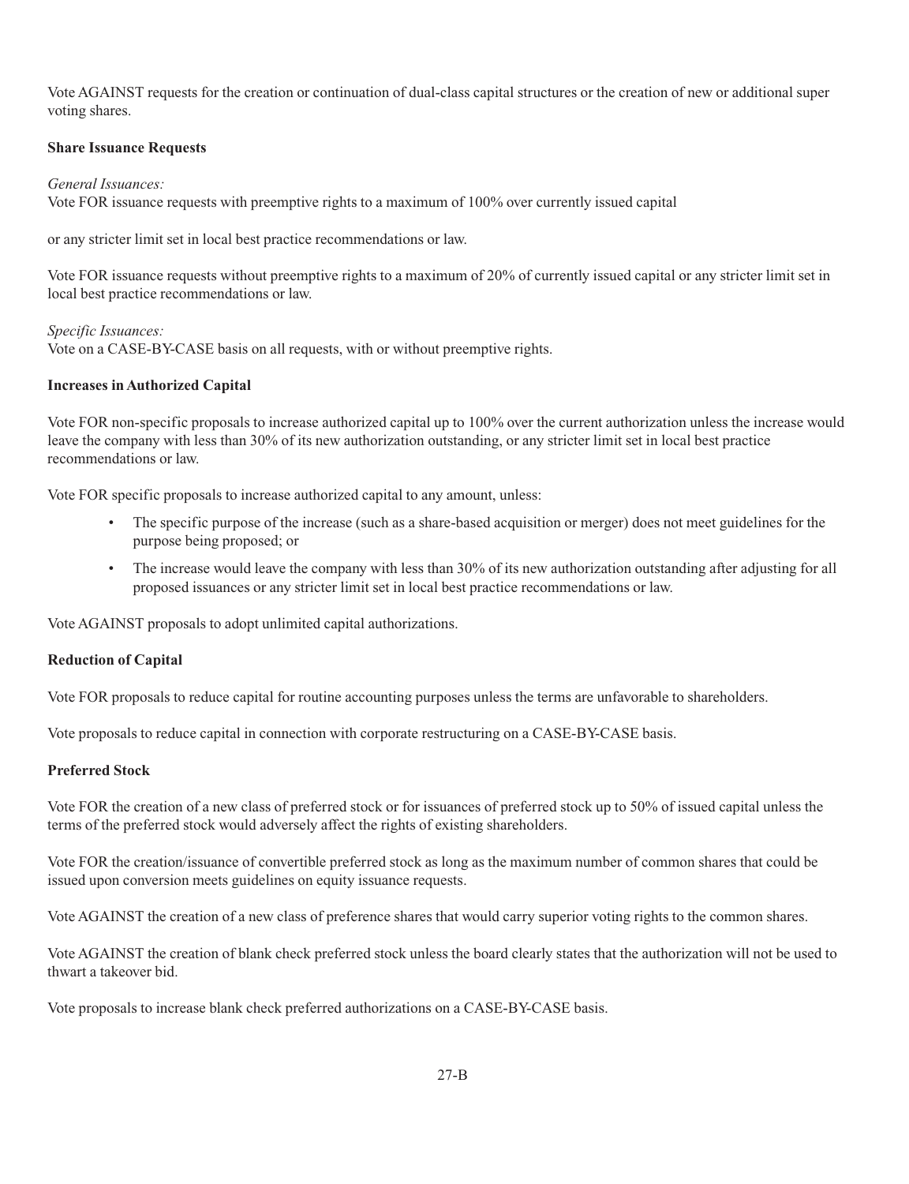Vote AGAINST requests for the creation or continuation of dual-class capital structures or the creation of new or additional super voting shares.

### **Share Issuance Requests**

#### *General Issuances:*

Vote FOR issuance requests with preemptive rights to a maximum of 100% over currently issued capital

or any stricter limit set in local best practice recommendations or law.

Vote FOR issuance requests without preemptive rights to a maximum of 20% of currently issued capital or any stricter limit set in local best practice recommendations or law.

#### *Specific Issuances:*

Vote on a CASE-BY-CASE basis on all requests, with or without preemptive rights.

#### **Increases in Authorized Capital**

Vote FOR non-specific proposals to increase authorized capital up to 100% over the current authorization unless the increase would leave the company with less than 30% of its new authorization outstanding, or any stricter limit set in local best practice recommendations or law.

Vote FOR specific proposals to increase authorized capital to any amount, unless:

- The specific purpose of the increase (such as a share-based acquisition or merger) does not meet guidelines for the purpose being proposed; or
- The increase would leave the company with less than 30% of its new authorization outstanding after adjusting for all proposed issuances or any stricter limit set in local best practice recommendations or law.

Vote AGAINST proposals to adopt unlimited capital authorizations.

#### **Reduction of Capital**

Vote FOR proposals to reduce capital for routine accounting purposes unless the terms are unfavorable to shareholders.

Vote proposals to reduce capital in connection with corporate restructuring on a CASE-BY-CASE basis.

### **Preferred Stock**

Vote FOR the creation of a new class of preferred stock or for issuances of preferred stock up to 50% of issued capital unless the terms of the preferred stock would adversely affect the rights of existing shareholders.

Vote FOR the creation/issuance of convertible preferred stock as long as the maximum number of common shares that could be issued upon conversion meets guidelines on equity issuance requests.

Vote AGAINST the creation of a new class of preference shares that would carry superior voting rights to the common shares.

Vote AGAINST the creation of blank check preferred stock unless the board clearly states that the authorization will not be used to thwart a takeover bid.

Vote proposals to increase blank check preferred authorizations on a CASE-BY-CASE basis.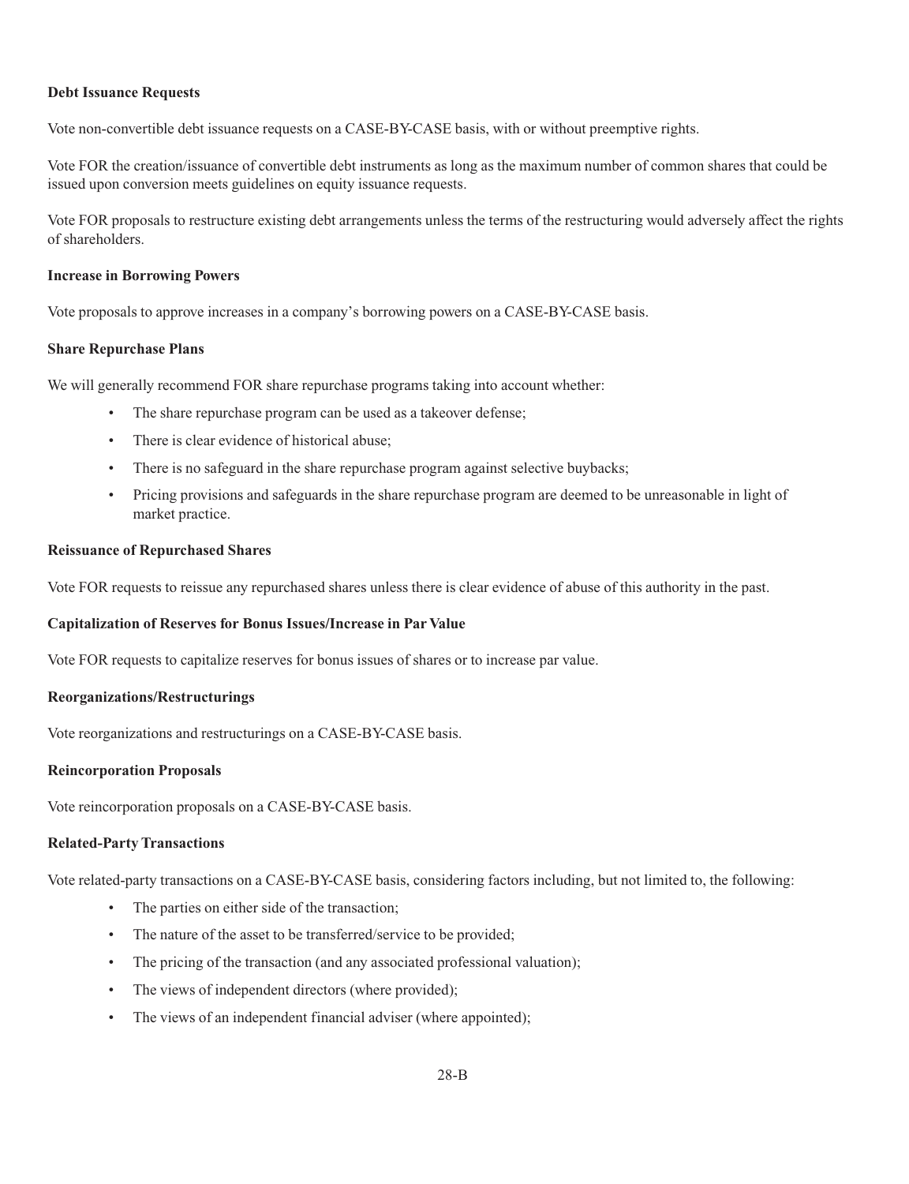#### **Debt Issuance Requests**

Vote non-convertible debt issuance requests on a CASE-BY-CASE basis, with or without preemptive rights.

Vote FOR the creation/issuance of convertible debt instruments as long as the maximum number of common shares that could be issued upon conversion meets guidelines on equity issuance requests.

Vote FOR proposals to restructure existing debt arrangements unless the terms of the restructuring would adversely affect the rights of shareholders.

#### **Increase in Borrowing Powers**

Vote proposals to approve increases in a company's borrowing powers on a CASE-BY-CASE basis.

#### **Share Repurchase Plans**

We will generally recommend FOR share repurchase programs taking into account whether:

- The share repurchase program can be used as a takeover defense;
- There is clear evidence of historical abuse;
- There is no safeguard in the share repurchase program against selective buybacks;
- Pricing provisions and safeguards in the share repurchase program are deemed to be unreasonable in light of market practice.

### **Reissuance of Repurchased Shares**

Vote FOR requests to reissue any repurchased shares unless there is clear evidence of abuse of this authority in the past.

### **Capitalization of Reserves for Bonus Issues/Increase in Par Value**

Vote FOR requests to capitalize reserves for bonus issues of shares or to increase par value.

#### **Reorganizations/Restructurings**

Vote reorganizations and restructurings on a CASE-BY-CASE basis.

## **Reincorporation Proposals**

Vote reincorporation proposals on a CASE-BY-CASE basis.

### **Related-Party Transactions**

Vote related-party transactions on a CASE-BY-CASE basis, considering factors including, but not limited to, the following:

- The parties on either side of the transaction;
- The nature of the asset to be transferred/service to be provided;
- The pricing of the transaction (and any associated professional valuation);
- The views of independent directors (where provided);
- The views of an independent financial adviser (where appointed);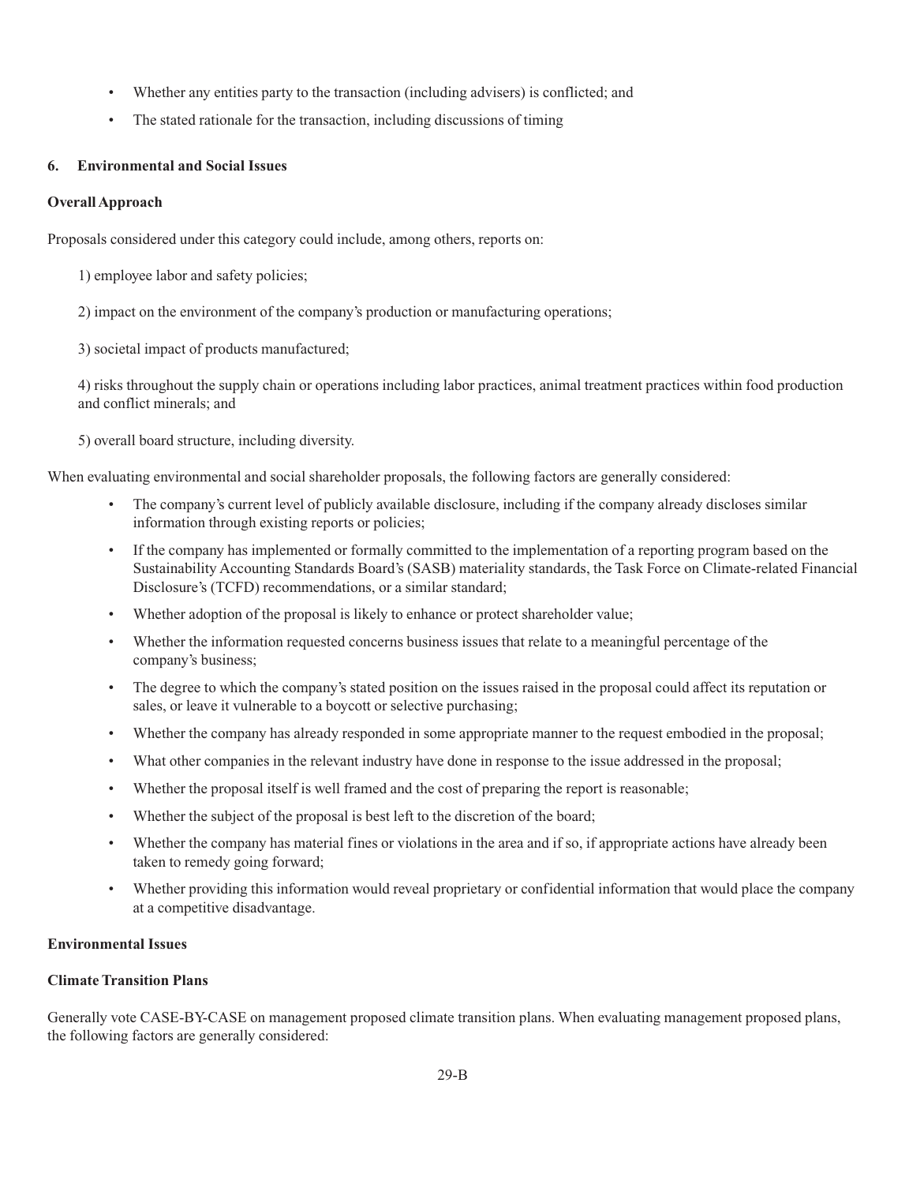- Whether any entities party to the transaction (including advisers) is conflicted; and
- The stated rationale for the transaction, including discussions of timing

## **6. Environmental and Social Issues**

## **Overall Approach**

Proposals considered under this category could include, among others, reports on:

- 1) employee labor and safety policies;
- 2) impact on the environment of the company's production or manufacturing operations;

3) societal impact of products manufactured;

4) risks throughout the supply chain or operations including labor practices, animal treatment practices within food production and conflict minerals; and

5) overall board structure, including diversity.

When evaluating environmental and social shareholder proposals, the following factors are generally considered:

- The company's current level of publicly available disclosure, including if the company already discloses similar information through existing reports or policies;
- If the company has implemented or formally committed to the implementation of a reporting program based on the Sustainability Accounting Standards Board's (SASB) materiality standards, the Task Force on Climate-related Financial Disclosure's (TCFD) recommendations, or a similar standard;
- Whether adoption of the proposal is likely to enhance or protect shareholder value;
- Whether the information requested concerns business issues that relate to a meaningful percentage of the company's business;
- The degree to which the company's stated position on the issues raised in the proposal could affect its reputation or sales, or leave it vulnerable to a boycott or selective purchasing;
- Whether the company has already responded in some appropriate manner to the request embodied in the proposal;
- What other companies in the relevant industry have done in response to the issue addressed in the proposal;
- Whether the proposal itself is well framed and the cost of preparing the report is reasonable;
- Whether the subject of the proposal is best left to the discretion of the board;
- Whether the company has material fines or violations in the area and if so, if appropriate actions have already been taken to remedy going forward;
- Whether providing this information would reveal proprietary or confidential information that would place the company at a competitive disadvantage.

### **Environmental Issues**

# **Climate Transition Plans**

Generally vote CASE-BY-CASE on management proposed climate transition plans. When evaluating management proposed plans, the following factors are generally considered: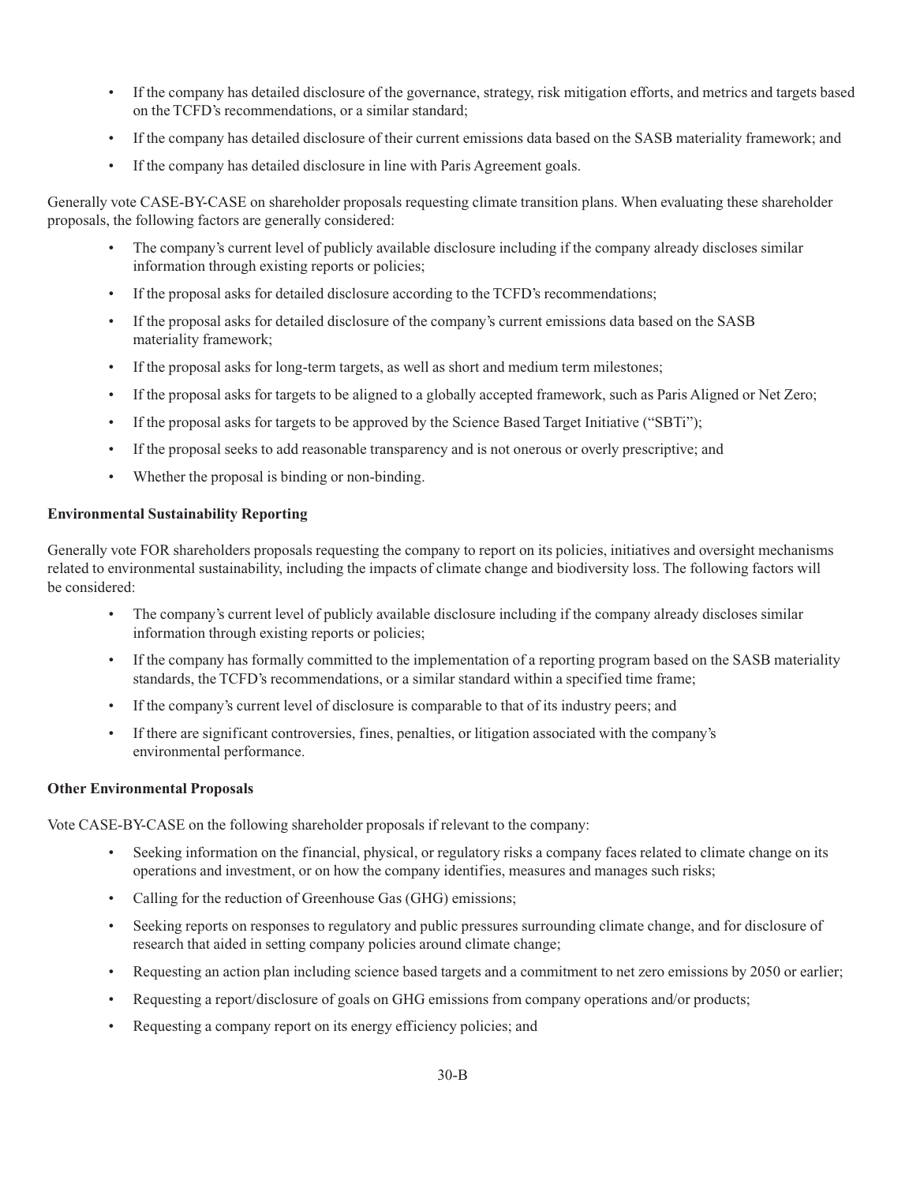- If the company has detailed disclosure of the governance, strategy, risk mitigation efforts, and metrics and targets based on the TCFD's recommendations, or a similar standard;
- If the company has detailed disclosure of their current emissions data based on the SASB materiality framework; and
- If the company has detailed disclosure in line with Paris Agreement goals.

Generally vote CASE-BY-CASE on shareholder proposals requesting climate transition plans. When evaluating these shareholder proposals, the following factors are generally considered:

- The company's current level of publicly available disclosure including if the company already discloses similar information through existing reports or policies;
- If the proposal asks for detailed disclosure according to the TCFD's recommendations;
- If the proposal asks for detailed disclosure of the company's current emissions data based on the SASB materiality framework;
- If the proposal asks for long-term targets, as well as short and medium term milestones;
- If the proposal asks for targets to be aligned to a globally accepted framework, such as Paris Aligned or Net Zero;
- If the proposal asks for targets to be approved by the Science Based Target Initiative ("SBTi");
- If the proposal seeks to add reasonable transparency and is not onerous or overly prescriptive; and
- Whether the proposal is binding or non-binding.

### **Environmental Sustainability Reporting**

Generally vote FOR shareholders proposals requesting the company to report on its policies, initiatives and oversight mechanisms related to environmental sustainability, including the impacts of climate change and biodiversity loss. The following factors will be considered:

- The company's current level of publicly available disclosure including if the company already discloses similar information through existing reports or policies;
- If the company has formally committed to the implementation of a reporting program based on the SASB materiality standards, the TCFD's recommendations, or a similar standard within a specified time frame;
- If the company's current level of disclosure is comparable to that of its industry peers; and
- If there are significant controversies, fines, penalties, or litigation associated with the company's environmental performance.

### **Other Environmental Proposals**

Vote CASE-BY-CASE on the following shareholder proposals if relevant to the company:

- Seeking information on the financial, physical, or regulatory risks a company faces related to climate change on its operations and investment, or on how the company identifies, measures and manages such risks;
- Calling for the reduction of Greenhouse Gas (GHG) emissions;
- Seeking reports on responses to regulatory and public pressures surrounding climate change, and for disclosure of research that aided in setting company policies around climate change;
- Requesting an action plan including science based targets and a commitment to net zero emissions by 2050 or earlier;
- Requesting a report/disclosure of goals on GHG emissions from company operations and/or products;
- Requesting a company report on its energy efficiency policies; and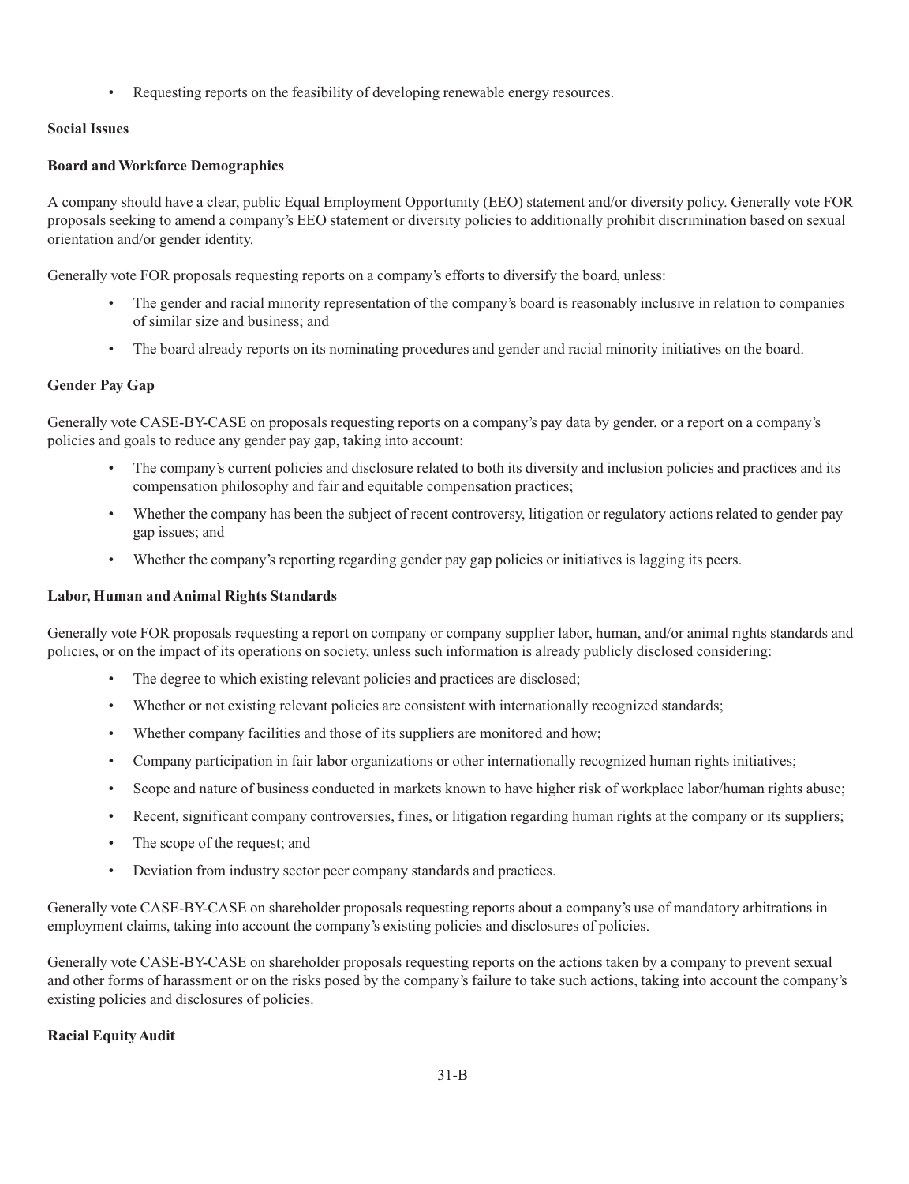• Requesting reports on the feasibility of developing renewable energy resources.

## **Social Issues**

# **Board andWorkforce Demographics**

A company should have a clear, public Equal Employment Opportunity (EEO) statement and/or diversity policy. Generally vote FOR proposals seeking to amend a company's EEO statement or diversity policies to additionally prohibit discrimination based on sexual orientation and/or gender identity.

Generally vote FOR proposals requesting reports on a company's efforts to diversify the board, unless:

- The gender and racial minority representation of the company's board is reasonably inclusive in relation to companies of similar size and business; and
- The board already reports on its nominating procedures and gender and racial minority initiatives on the board.

# **Gender Pay Gap**

Generally vote CASE-BY-CASE on proposals requesting reports on a company's pay data by gender, or a report on a company's policies and goals to reduce any gender pay gap, taking into account:

- The company's current policies and disclosure related to both its diversity and inclusion policies and practices and its compensation philosophy and fair and equitable compensation practices;
- Whether the company has been the subject of recent controversy, litigation or regulatory actions related to gender pay gap issues; and
- Whether the company's reporting regarding gender pay gap policies or initiatives is lagging its peers.

## **Labor, Human and Animal Rights Standards**

Generally vote FOR proposals requesting a report on company or company supplier labor, human, and/or animal rights standards and policies, or on the impact of its operations on society, unless such information is already publicly disclosed considering:

- The degree to which existing relevant policies and practices are disclosed;
- Whether or not existing relevant policies are consistent with internationally recognized standards;
- Whether company facilities and those of its suppliers are monitored and how;
- Company participation in fair labor organizations or other internationally recognized human rights initiatives;
- Scope and nature of business conducted in markets known to have higher risk of workplace labor/human rights abuse;
- Recent, significant company controversies, fines, or litigation regarding human rights at the company or its suppliers;
- The scope of the request; and
- Deviation from industry sector peer company standards and practices.

Generally vote CASE-BY-CASE on shareholder proposals requesting reports about a company's use of mandatory arbitrations in employment claims, taking into account the company's existing policies and disclosures of policies.

Generally vote CASE-BY-CASE on shareholder proposals requesting reports on the actions taken by a company to prevent sexual and other forms of harassment or on the risks posed by the company's failure to take such actions, taking into account the company's existing policies and disclosures of policies.

# **Racial Equity Audit**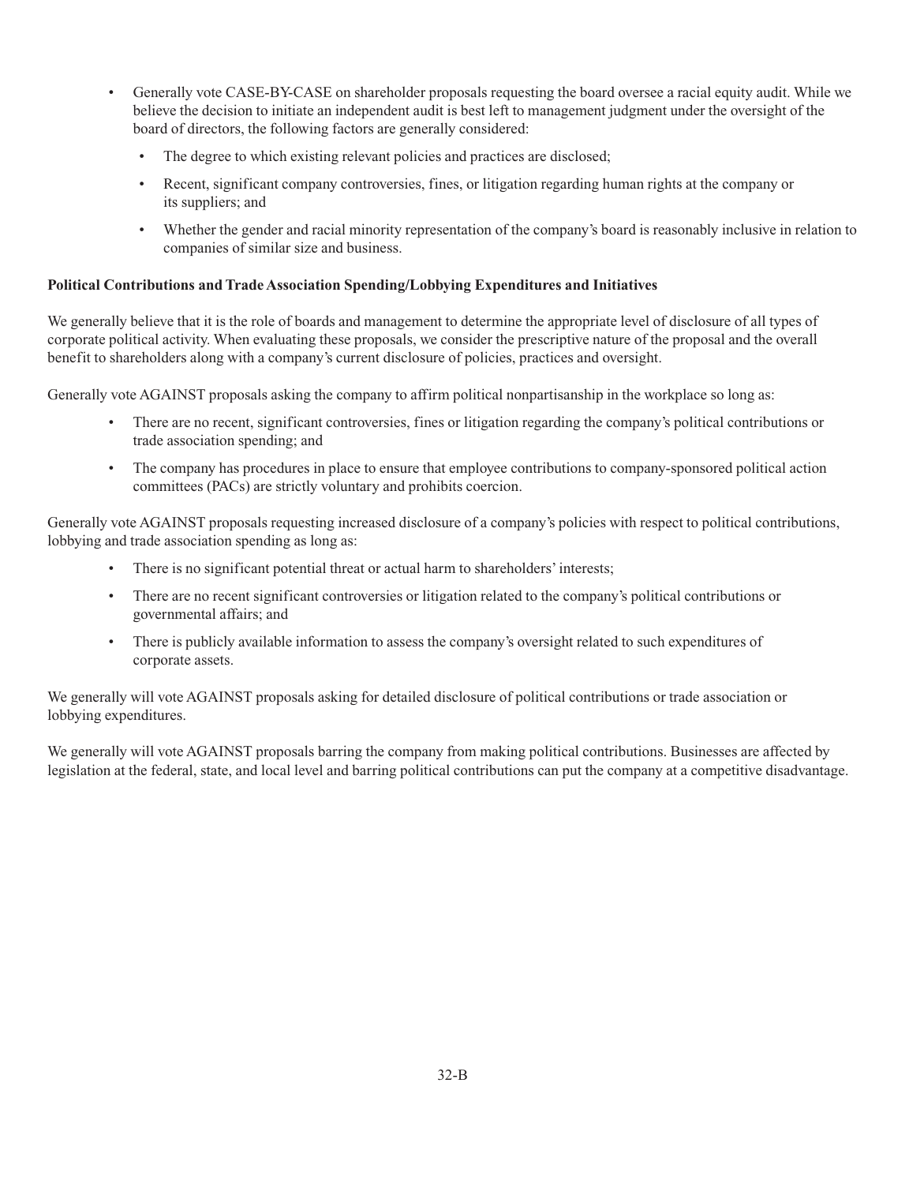- Generally vote CASE-BY-CASE on shareholder proposals requesting the board oversee a racial equity audit. While we believe the decision to initiate an independent audit is best left to management judgment under the oversight of the board of directors, the following factors are generally considered:
	- The degree to which existing relevant policies and practices are disclosed;
	- Recent, significant company controversies, fines, or litigation regarding human rights at the company or its suppliers; and
	- Whether the gender and racial minority representation of the company's board is reasonably inclusive in relation to companies of similar size and business.

### **Political Contributions and Trade Association Spending/Lobbying Expenditures and Initiatives**

We generally believe that it is the role of boards and management to determine the appropriate level of disclosure of all types of corporate political activity. When evaluating these proposals, we consider the prescriptive nature of the proposal and the overall benefit to shareholders along with a company's current disclosure of policies, practices and oversight.

Generally vote AGAINST proposals asking the company to affirm political nonpartisanship in the workplace so long as:

- There are no recent, significant controversies, fines or litigation regarding the company's political contributions or trade association spending; and
- The company has procedures in place to ensure that employee contributions to company-sponsored political action committees (PACs) are strictly voluntary and prohibits coercion.

Generally vote AGAINST proposals requesting increased disclosure of a company's policies with respect to political contributions, lobbying and trade association spending as long as:

- There is no significant potential threat or actual harm to shareholders' interests;
- There are no recent significant controversies or litigation related to the company's political contributions or governmental affairs; and
- There is publicly available information to assess the company's oversight related to such expenditures of corporate assets.

We generally will vote AGAINST proposals asking for detailed disclosure of political contributions or trade association or lobbying expenditures.

We generally will vote AGAINST proposals barring the company from making political contributions. Businesses are affected by legislation at the federal, state, and local level and barring political contributions can put the company at a competitive disadvantage.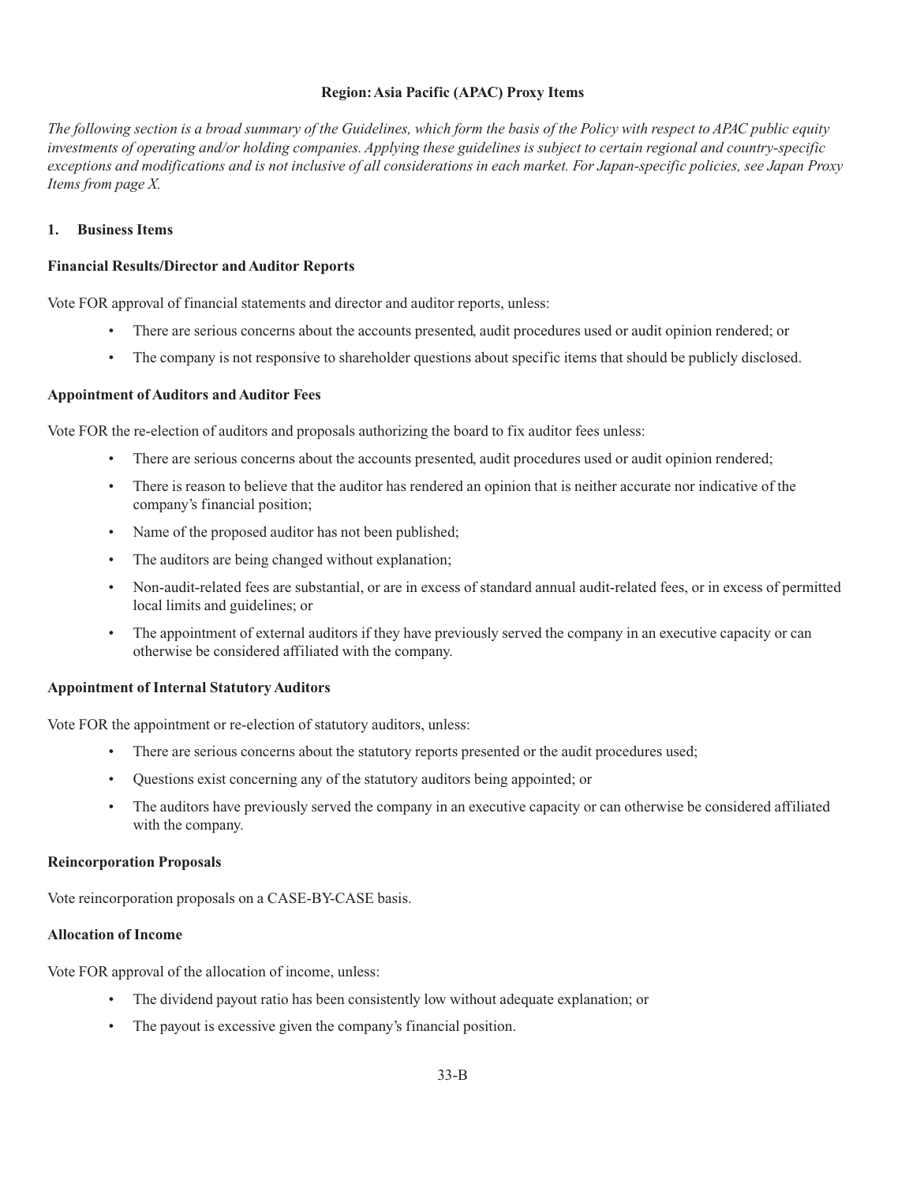#### **Region:Asia Pacific (APAC) Proxy Items**

*The following section is a broad summary of the Guidelines, which form the basis of the Policy with respect to APAC public equity investments of operating and/or holding companies. Applying these guidelines is subject to certain regional and country-specific exceptions and modifications and is not inclusive of all considerations in each market. For Japan-specific policies, see Japan Proxy Items from page X.*

### **1. Business Items**

#### **Financial Results/Director and Auditor Reports**

Vote FOR approval of financial statements and director and auditor reports, unless:

- There are serious concerns about the accounts presented, audit procedures used or audit opinion rendered; or
- The company is not responsive to shareholder questions about specific items that should be publicly disclosed.

### **Appointment of Auditors and Auditor Fees**

Vote FOR the re-election of auditors and proposals authorizing the board to fix auditor fees unless:

- There are serious concerns about the accounts presented, audit procedures used or audit opinion rendered;
- There is reason to believe that the auditor has rendered an opinion that is neither accurate nor indicative of the company's financial position;
- Name of the proposed auditor has not been published;
- The auditors are being changed without explanation;
- Non-audit-related fees are substantial, or are in excess of standard annual audit-related fees, or in excess of permitted local limits and guidelines; or
- The appointment of external auditors if they have previously served the company in an executive capacity or can otherwise be considered affiliated with the company.

#### **Appointment of Internal Statutory Auditors**

Vote FOR the appointment or re-election of statutory auditors, unless:

- There are serious concerns about the statutory reports presented or the audit procedures used;
- Questions exist concerning any of the statutory auditors being appointed; or
- The auditors have previously served the company in an executive capacity or can otherwise be considered affiliated with the company.

#### **Reincorporation Proposals**

Vote reincorporation proposals on a CASE-BY-CASE basis.

#### **Allocation of Income**

Vote FOR approval of the allocation of income, unless:

- The dividend payout ratio has been consistently low without adequate explanation; or
- The payout is excessive given the company's financial position.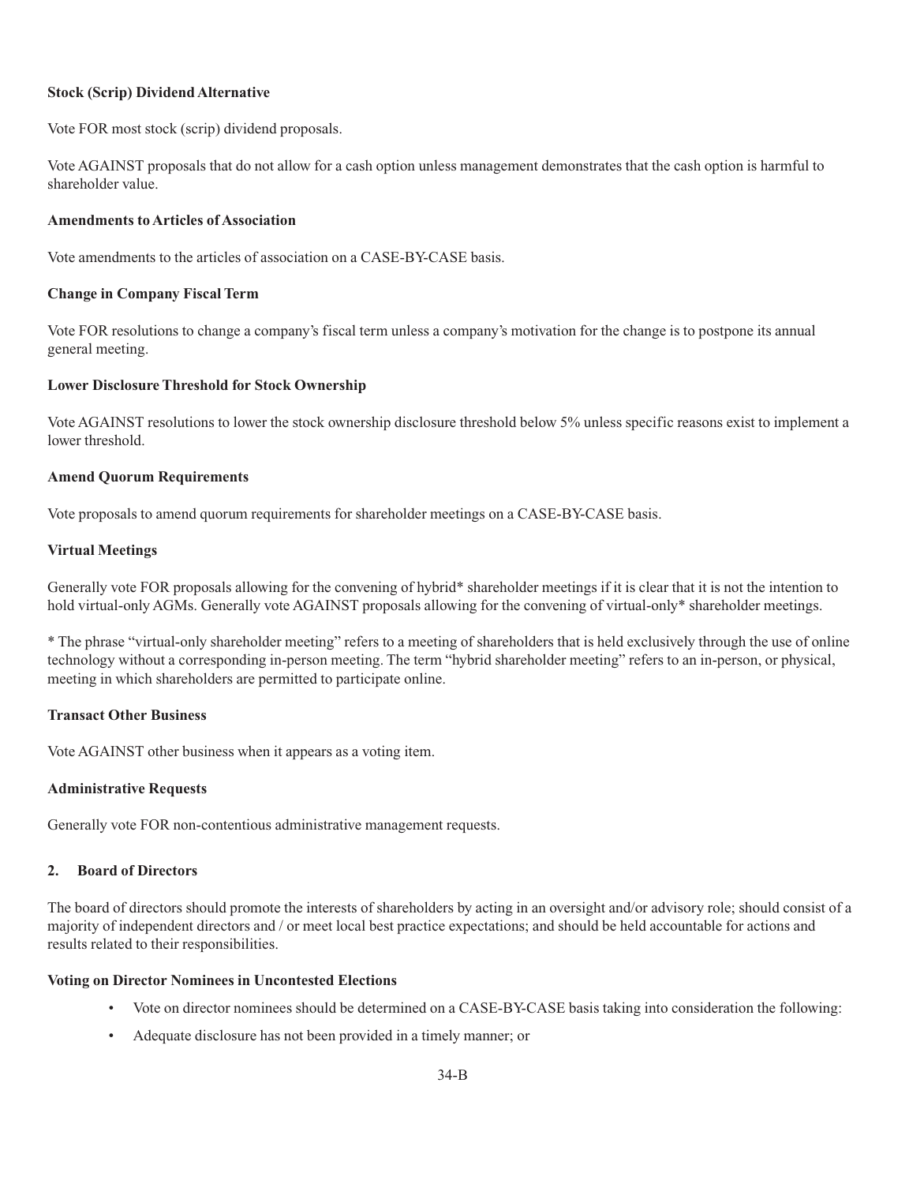### **Stock (Scrip) Dividend Alternative**

Vote FOR most stock (scrip) dividend proposals.

Vote AGAINST proposals that do not allow for a cash option unless management demonstrates that the cash option is harmful to shareholder value.

#### **Amendments to Articles of Association**

Vote amendments to the articles of association on a CASE-BY-CASE basis.

### **Change in Company Fiscal Term**

Vote FOR resolutions to change a company's fiscal term unless a company's motivation for the change is to postpone its annual general meeting.

#### **Lower Disclosure Threshold for Stock Ownership**

Vote AGAINST resolutions to lower the stock ownership disclosure threshold below 5% unless specific reasons exist to implement a lower threshold.

#### **Amend Quorum Requirements**

Vote proposals to amend quorum requirements for shareholder meetings on a CASE-BY-CASE basis.

## **Virtual Meetings**

Generally vote FOR proposals allowing for the convening of hybrid\* shareholder meetings if it is clear that it is not the intention to hold virtual-only AGMs. Generally vote AGAINST proposals allowing for the convening of virtual-only\* shareholder meetings.

\* The phrase "virtual-only shareholder meeting" refers to a meeting of shareholders that is held exclusively through the use of online technology without a corresponding in-person meeting. The term "hybrid shareholder meeting" refers to an in-person, or physical, meeting in which shareholders are permitted to participate online.

## **Transact Other Business**

Vote AGAINST other business when it appears as a voting item.

### **Administrative Requests**

Generally vote FOR non-contentious administrative management requests.

### **2. Board of Directors**

The board of directors should promote the interests of shareholders by acting in an oversight and/or advisory role; should consist of a majority of independent directors and / or meet local best practice expectations; and should be held accountable for actions and results related to their responsibilities.

#### **Voting on Director Nominees in Uncontested Elections**

- Vote on director nominees should be determined on a CASE-BY-CASE basis taking into consideration the following:
- Adequate disclosure has not been provided in a timely manner; or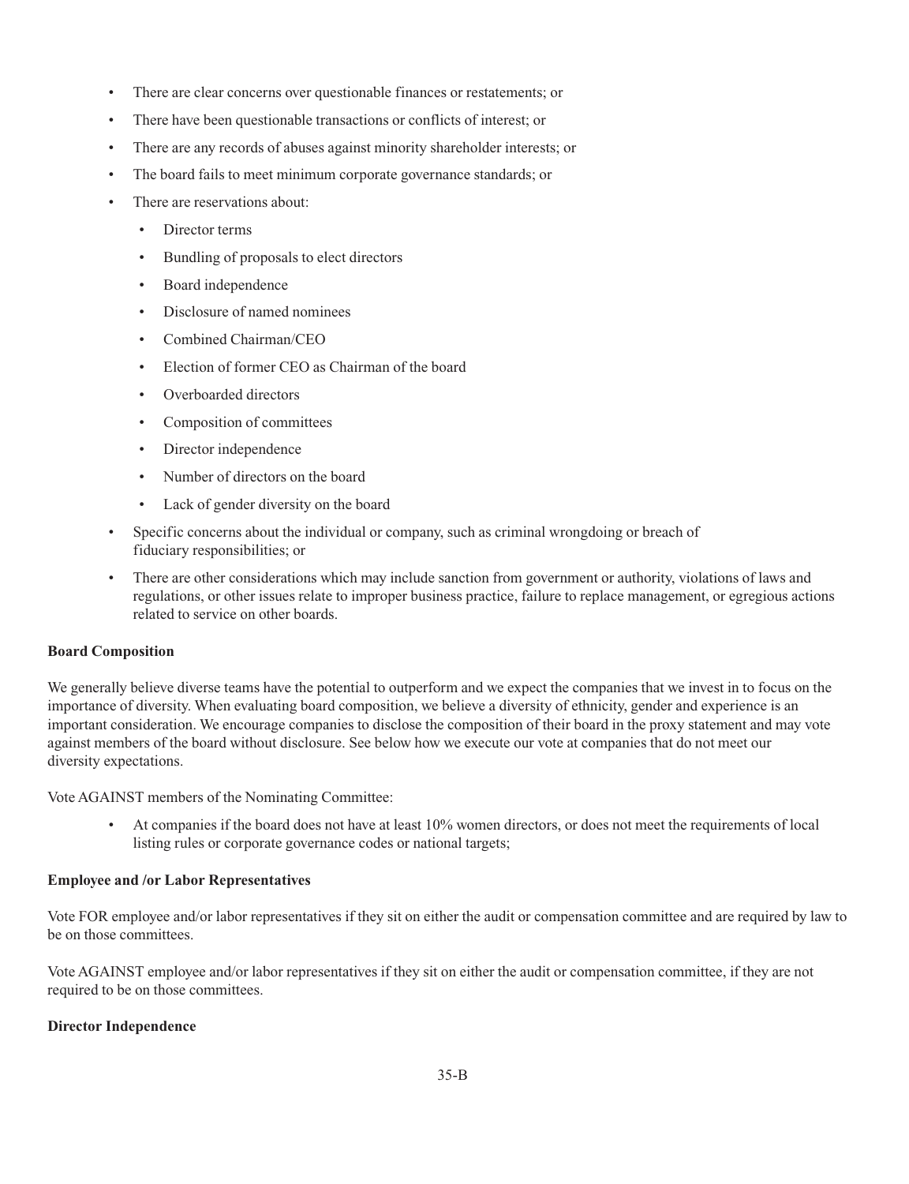- There are clear concerns over questionable finances or restatements; or
- There have been questionable transactions or conflicts of interest; or
- There are any records of abuses against minority shareholder interests; or
- The board fails to meet minimum corporate governance standards; or
- There are reservations about:
	- Director terms
	- Bundling of proposals to elect directors
	- Board independence
	- Disclosure of named nominees
	- Combined Chairman/CEO
	- Election of former CEO as Chairman of the board
	- Overboarded directors
	- Composition of committees
	- Director independence
	- Number of directors on the board
	- Lack of gender diversity on the board
- Specific concerns about the individual or company, such as criminal wrongdoing or breach of fiduciary responsibilities; or
- There are other considerations which may include sanction from government or authority, violations of laws and regulations, or other issues relate to improper business practice, failure to replace management, or egregious actions related to service on other boards.

#### **Board Composition**

We generally believe diverse teams have the potential to outperform and we expect the companies that we invest in to focus on the importance of diversity. When evaluating board composition, we believe a diversity of ethnicity, gender and experience is an important consideration. We encourage companies to disclose the composition of their board in the proxy statement and may vote against members of the board without disclosure. See below how we execute our vote at companies that do not meet our diversity expectations.

Vote AGAINST members of the Nominating Committee:

• At companies if the board does not have at least 10% women directors, or does not meet the requirements of local listing rules or corporate governance codes or national targets;

#### **Employee and /or Labor Representatives**

Vote FOR employee and/or labor representatives if they sit on either the audit or compensation committee and are required by law to be on those committees.

Vote AGAINST employee and/or labor representatives if they sit on either the audit or compensation committee, if they are not required to be on those committees.

#### **Director Independence**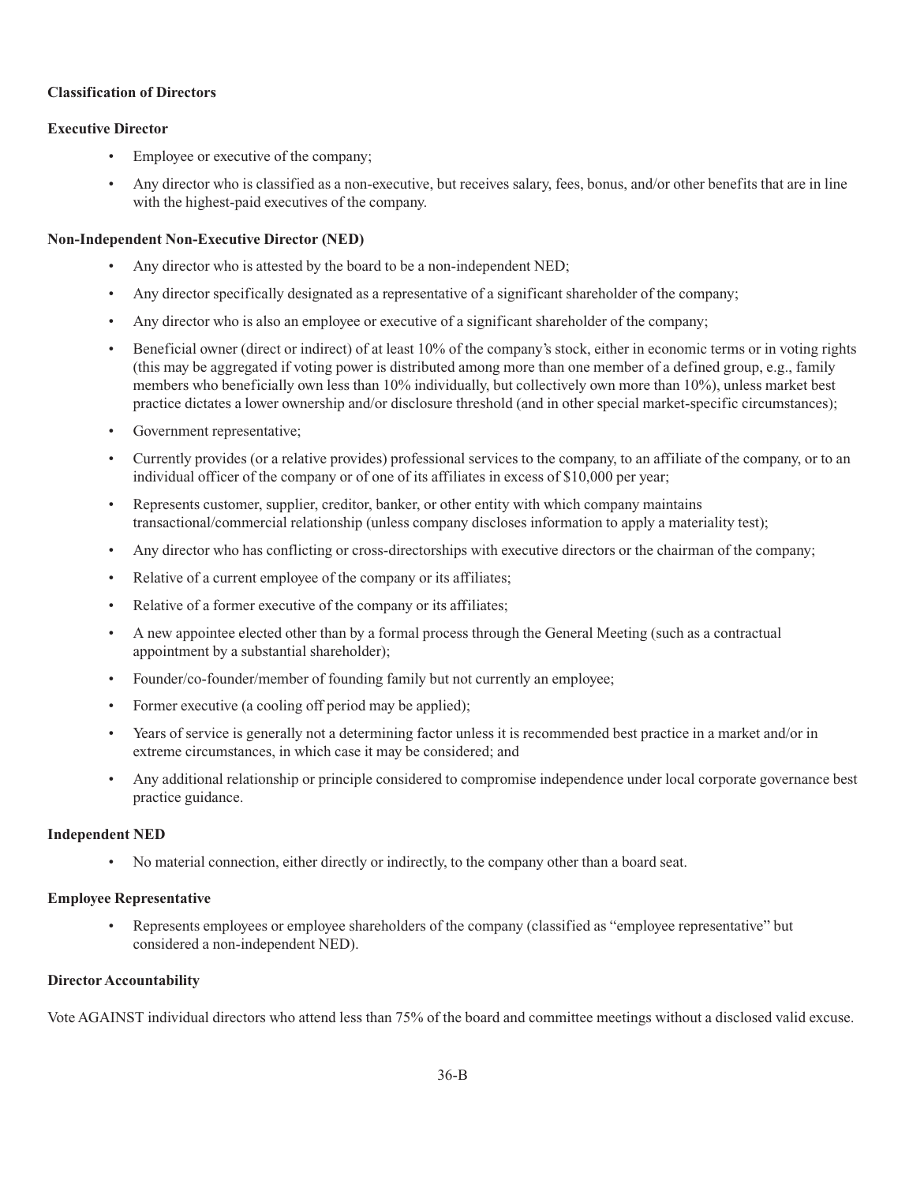#### **Classification of Directors**

### **Executive Director**

- Employee or executive of the company;
- Any director who is classified as a non-executive, but receives salary, fees, bonus, and/or other benefits that are in line with the highest-paid executives of the company.

### **Non-Independent Non-Executive Director (NED)**

- Any director who is attested by the board to be a non-independent NED;
- Any director specifically designated as a representative of a significant shareholder of the company;
- Any director who is also an employee or executive of a significant shareholder of the company;
- Beneficial owner (direct or indirect) of at least 10% of the company's stock, either in economic terms or in voting rights (this may be aggregated if voting power is distributed among more than one member of a defined group, e.g., family members who beneficially own less than 10% individually, but collectively own more than 10%), unless market best practice dictates a lower ownership and/or disclosure threshold (and in other special market-specific circumstances);
- Government representative;
- Currently provides (or a relative provides) professional services to the company, to an affiliate of the company, or to an individual officer of the company or of one of its affiliates in excess of \$10,000 per year;
- Represents customer, supplier, creditor, banker, or other entity with which company maintains transactional/commercial relationship (unless company discloses information to apply a materiality test);
- Any director who has conflicting or cross-directorships with executive directors or the chairman of the company;
- Relative of a current employee of the company or its affiliates;
- Relative of a former executive of the company or its affiliates;
- A new appointee elected other than by a formal process through the General Meeting (such as a contractual appointment by a substantial shareholder);
- Founder/co-founder/member of founding family but not currently an employee;
- Former executive (a cooling off period may be applied);
- Years of service is generally not a determining factor unless it is recommended best practice in a market and/or in extreme circumstances, in which case it may be considered; and
- Any additional relationship or principle considered to compromise independence under local corporate governance best practice guidance.

#### **Independent NED**

• No material connection, either directly or indirectly, to the company other than a board seat.

## **Employee Representative**

• Represents employees or employee shareholders of the company (classified as "employee representative" but considered a non-independent NED).

#### **Director Accountability**

Vote AGAINST individual directors who attend less than 75% of the board and committee meetings without a disclosed valid excuse.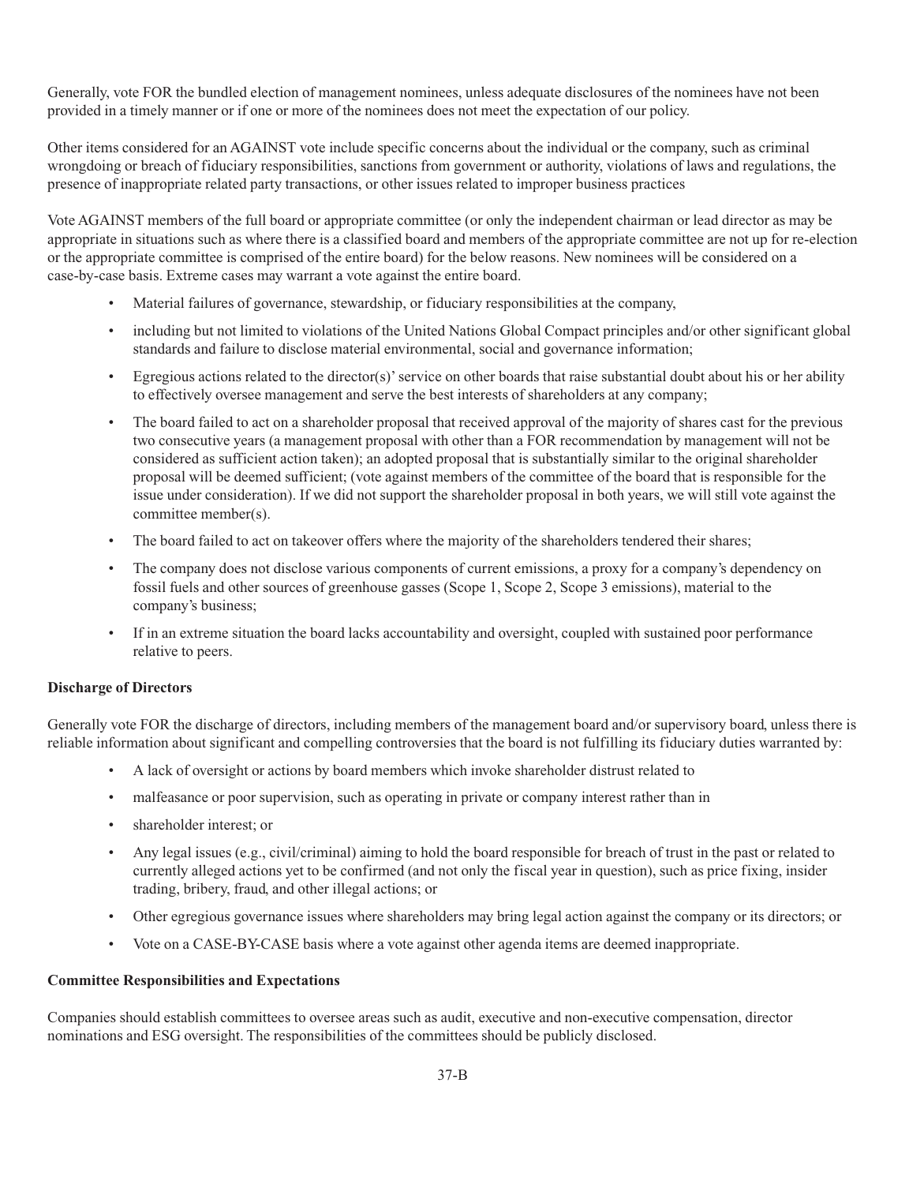Generally, vote FOR the bundled election of management nominees, unless adequate disclosures of the nominees have not been provided in a timely manner or if one or more of the nominees does not meet the expectation of our policy.

Other items considered for an AGAINST vote include specific concerns about the individual or the company, such as criminal wrongdoing or breach of fiduciary responsibilities, sanctions from government or authority, violations of laws and regulations, the presence of inappropriate related party transactions, or other issues related to improper business practices

Vote AGAINST members of the full board or appropriate committee (or only the independent chairman or lead director as may be appropriate in situations such as where there is a classified board and members of the appropriate committee are not up for re-election or the appropriate committee is comprised of the entire board) for the below reasons. New nominees will be considered on a case-by-case basis. Extreme cases may warrant a vote against the entire board.

- Material failures of governance, stewardship, or fiduciary responsibilities at the company,
- including but not limited to violations of the United Nations Global Compact principles and/or other significant global standards and failure to disclose material environmental, social and governance information;
- Egregious actions related to the director(s)' service on other boards that raise substantial doubt about his or her ability to effectively oversee management and serve the best interests of shareholders at any company;
- The board failed to act on a shareholder proposal that received approval of the majority of shares cast for the previous two consecutive years (a management proposal with other than a FOR recommendation by management will not be considered as sufficient action taken); an adopted proposal that is substantially similar to the original shareholder proposal will be deemed sufficient; (vote against members of the committee of the board that is responsible for the issue under consideration). If we did not support the shareholder proposal in both years, we will still vote against the committee member(s).
- The board failed to act on takeover offers where the majority of the shareholders tendered their shares;
- The company does not disclose various components of current emissions, a proxy for a company's dependency on fossil fuels and other sources of greenhouse gasses (Scope 1, Scope 2, Scope 3 emissions), material to the company's business;
- If in an extreme situation the board lacks accountability and oversight, coupled with sustained poor performance relative to peers.

#### **Discharge of Directors**

Generally vote FOR the discharge of directors, including members of the management board and/or supervisory board, unless there is reliable information about significant and compelling controversies that the board is not fulfilling its fiduciary duties warranted by:

- A lack of oversight or actions by board members which invoke shareholder distrust related to
- malfeasance or poor supervision, such as operating in private or company interest rather than in
- shareholder interest; or
- Any legal issues (e.g., civil/criminal) aiming to hold the board responsible for breach of trust in the past or related to currently alleged actions yet to be confirmed (and not only the fiscal year in question), such as price fixing, insider trading, bribery, fraud, and other illegal actions; or
- Other egregious governance issues where shareholders may bring legal action against the company or its directors; or
- Vote on a CASE-BY-CASE basis where a vote against other agenda items are deemed inappropriate.

#### **Committee Responsibilities and Expectations**

Companies should establish committees to oversee areas such as audit, executive and non-executive compensation, director nominations and ESG oversight. The responsibilities of the committees should be publicly disclosed.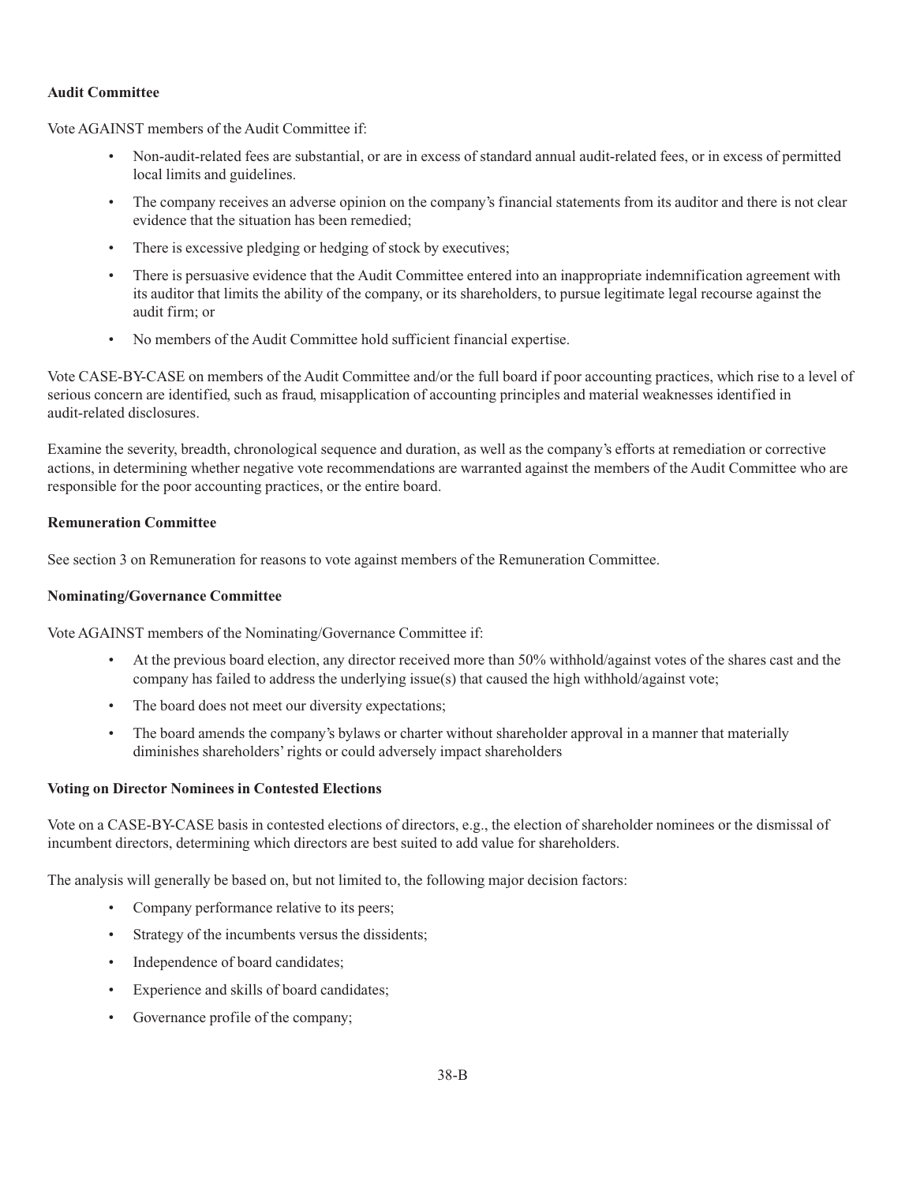### **Audit Committee**

Vote AGAINST members of the Audit Committee if:

- Non-audit-related fees are substantial, or are in excess of standard annual audit-related fees, or in excess of permitted local limits and guidelines.
- The company receives an adverse opinion on the company's financial statements from its auditor and there is not clear evidence that the situation has been remedied;
- There is excessive pledging or hedging of stock by executives;
- There is persuasive evidence that the Audit Committee entered into an inappropriate indemnification agreement with its auditor that limits the ability of the company, or its shareholders, to pursue legitimate legal recourse against the audit firm; or
- No members of the Audit Committee hold sufficient financial expertise.

Vote CASE-BY-CASE on members of the Audit Committee and/or the full board if poor accounting practices, which rise to a level of serious concern are identified, such as fraud, misapplication of accounting principles and material weaknesses identified in audit-related disclosures.

Examine the severity, breadth, chronological sequence and duration, as well as the company's efforts at remediation or corrective actions, in determining whether negative vote recommendations are warranted against the members of the Audit Committee who are responsible for the poor accounting practices, or the entire board.

### **Remuneration Committee**

See section 3 on Remuneration for reasons to vote against members of the Remuneration Committee.

### **Nominating/Governance Committee**

Vote AGAINST members of the Nominating/Governance Committee if:

- At the previous board election, any director received more than 50% withhold/against votes of the shares cast and the company has failed to address the underlying issue(s) that caused the high withhold/against vote;
- The board does not meet our diversity expectations;
- The board amends the company's bylaws or charter without shareholder approval in a manner that materially diminishes shareholders' rights or could adversely impact shareholders

### **Voting on Director Nominees in Contested Elections**

Vote on a CASE-BY-CASE basis in contested elections of directors, e.g., the election of shareholder nominees or the dismissal of incumbent directors, determining which directors are best suited to add value for shareholders.

The analysis will generally be based on, but not limited to, the following major decision factors:

- Company performance relative to its peers;
- Strategy of the incumbents versus the dissidents;
- Independence of board candidates;
- Experience and skills of board candidates;
- Governance profile of the company;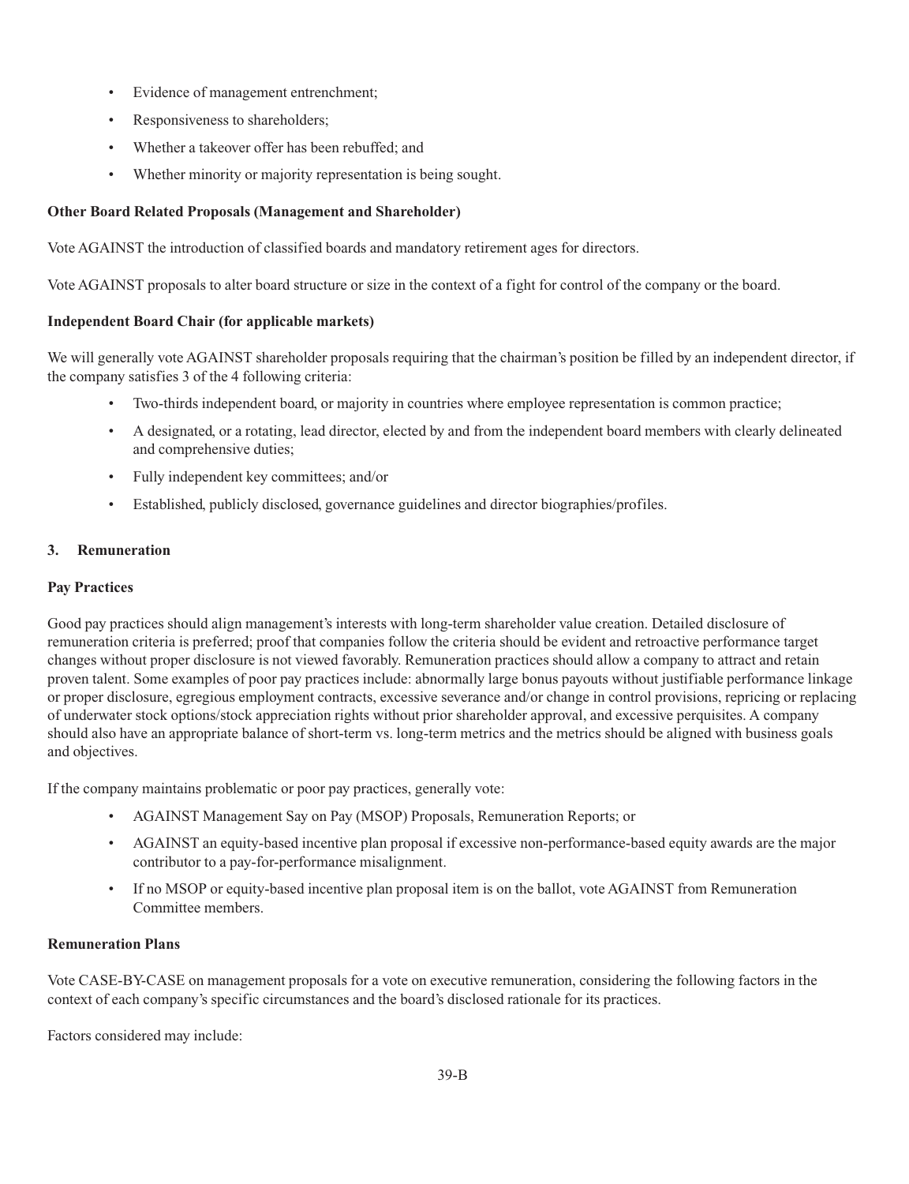- Evidence of management entrenchment;
- Responsiveness to shareholders;
- Whether a takeover offer has been rebuffed; and
- Whether minority or majority representation is being sought.

## **Other Board Related Proposals (Management and Shareholder)**

Vote AGAINST the introduction of classified boards and mandatory retirement ages for directors.

Vote AGAINST proposals to alter board structure or size in the context of a fight for control of the company or the board.

## **Independent Board Chair (for applicable markets)**

We will generally vote AGAINST shareholder proposals requiring that the chairman's position be filled by an independent director, if the company satisfies 3 of the 4 following criteria:

- Two-thirds independent board, or majority in countries where employee representation is common practice;
- A designated, or a rotating, lead director, elected by and from the independent board members with clearly delineated and comprehensive duties;
- Fully independent key committees; and/or
- Established, publicly disclosed, governance guidelines and director biographies/profiles.

### **3. Remuneration**

## **Pay Practices**

Good pay practices should align management's interests with long-term shareholder value creation. Detailed disclosure of remuneration criteria is preferred; proof that companies follow the criteria should be evident and retroactive performance target changes without proper disclosure is not viewed favorably. Remuneration practices should allow a company to attract and retain proven talent. Some examples of poor pay practices include: abnormally large bonus payouts without justifiable performance linkage or proper disclosure, egregious employment contracts, excessive severance and/or change in control provisions, repricing or replacing of underwater stock options/stock appreciation rights without prior shareholder approval, and excessive perquisites. A company should also have an appropriate balance of short-term vs. long-term metrics and the metrics should be aligned with business goals and objectives.

If the company maintains problematic or poor pay practices, generally vote:

- AGAINST Management Say on Pay (MSOP) Proposals, Remuneration Reports; or
- AGAINST an equity-based incentive plan proposal if excessive non-performance-based equity awards are the major contributor to a pay-for-performance misalignment.
- If no MSOP or equity-based incentive plan proposal item is on the ballot, vote AGAINST from Remuneration Committee members.

### **Remuneration Plans**

Vote CASE-BY-CASE on management proposals for a vote on executive remuneration, considering the following factors in the context of each company's specific circumstances and the board's disclosed rationale for its practices.

Factors considered may include: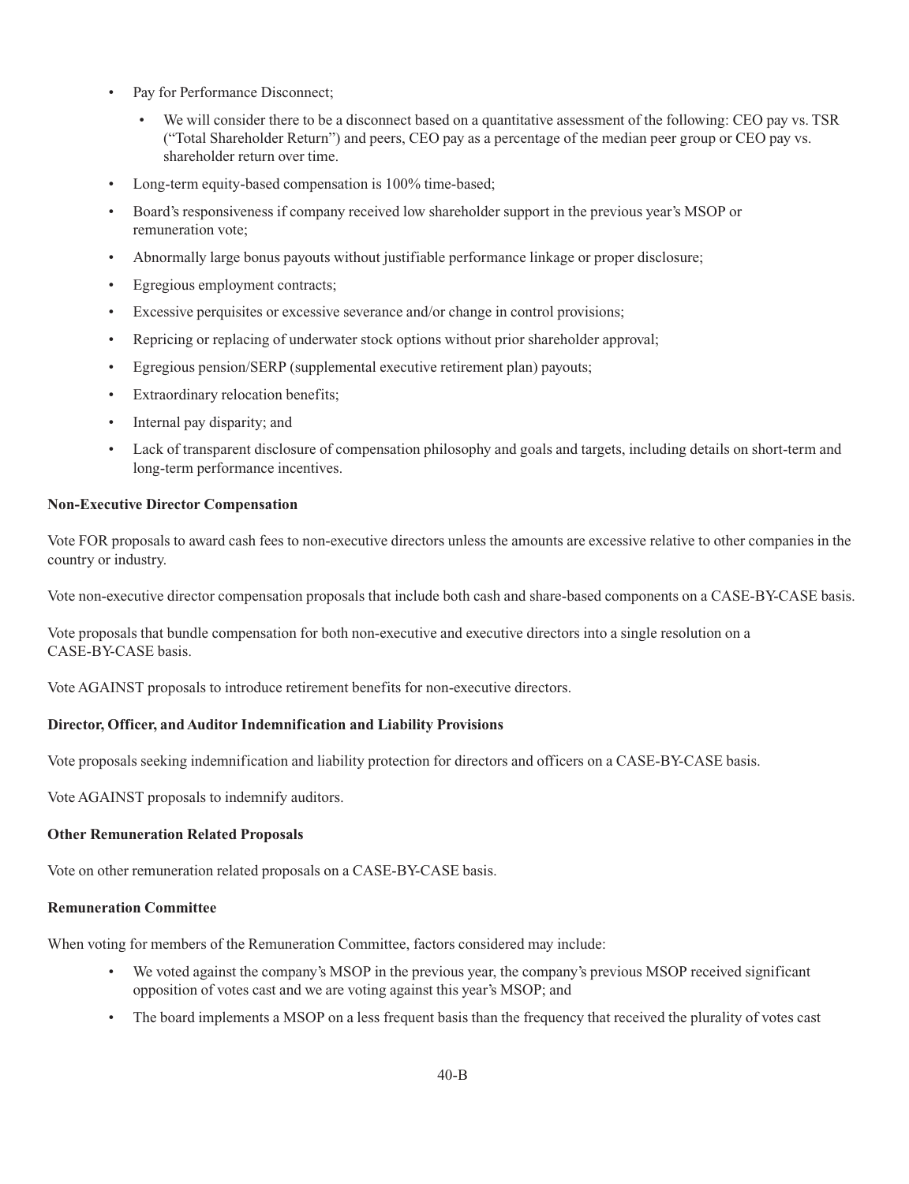- Pay for Performance Disconnect;
	- We will consider there to be a disconnect based on a quantitative assessment of the following: CEO pay vs. TSR ("Total Shareholder Return") and peers, CEO pay as a percentage of the median peer group or CEO pay vs. shareholder return over time.
- Long-term equity-based compensation is 100% time-based;
- Board's responsiveness if company received low shareholder support in the previous year's MSOP or remuneration vote;
- Abnormally large bonus payouts without justifiable performance linkage or proper disclosure;
- Egregious employment contracts;
- Excessive perquisites or excessive severance and/or change in control provisions;
- Repricing or replacing of underwater stock options without prior shareholder approval;
- Egregious pension/SERP (supplemental executive retirement plan) payouts;
- Extraordinary relocation benefits;
- Internal pay disparity; and
- Lack of transparent disclosure of compensation philosophy and goals and targets, including details on short-term and long-term performance incentives.

## **Non-Executive Director Compensation**

Vote FOR proposals to award cash fees to non-executive directors unless the amounts are excessive relative to other companies in the country or industry.

Vote non-executive director compensation proposals that include both cash and share-based components on a CASE-BY-CASE basis.

Vote proposals that bundle compensation for both non-executive and executive directors into a single resolution on a CASE-BY-CASE basis.

Vote AGAINST proposals to introduce retirement benefits for non-executive directors.

### **Director, Officer, and Auditor Indemnification and Liability Provisions**

Vote proposals seeking indemnification and liability protection for directors and officers on a CASE-BY-CASE basis.

Vote AGAINST proposals to indemnify auditors.

### **Other Remuneration Related Proposals**

Vote on other remuneration related proposals on a CASE-BY-CASE basis.

### **Remuneration Committee**

When voting for members of the Remuneration Committee, factors considered may include:

- We voted against the company's MSOP in the previous year, the company's previous MSOP received significant opposition of votes cast and we are voting against this year's MSOP; and
- The board implements a MSOP on a less frequent basis than the frequency that received the plurality of votes cast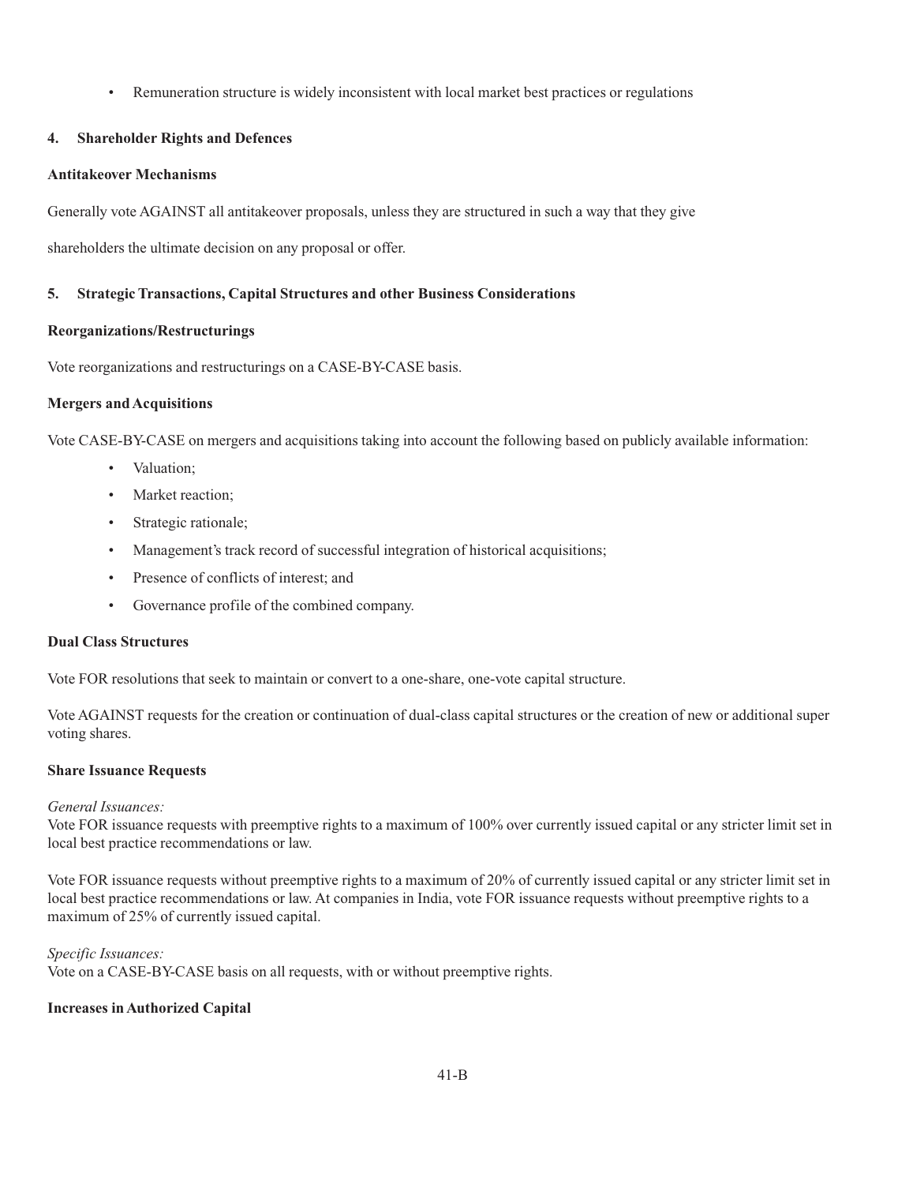• Remuneration structure is widely inconsistent with local market best practices or regulations

### **4. Shareholder Rights and Defences**

### **Antitakeover Mechanisms**

Generally vote AGAINST all antitakeover proposals, unless they are structured in such a way that they give

shareholders the ultimate decision on any proposal or offer.

#### **5. Strategic Transactions, Capital Structures and other Business Considerations**

#### **Reorganizations/Restructurings**

Vote reorganizations and restructurings on a CASE-BY-CASE basis.

#### **Mergers and Acquisitions**

Vote CASE-BY-CASE on mergers and acquisitions taking into account the following based on publicly available information:

- Valuation;
- Market reaction:
- Strategic rationale;
- Management's track record of successful integration of historical acquisitions;
- Presence of conflicts of interest; and
- Governance profile of the combined company.

# **Dual Class Structures**

Vote FOR resolutions that seek to maintain or convert to a one-share, one-vote capital structure.

Vote AGAINST requests for the creation or continuation of dual-class capital structures or the creation of new or additional super voting shares.

#### **Share Issuance Requests**

#### *General Issuances:*

Vote FOR issuance requests with preemptive rights to a maximum of 100% over currently issued capital or any stricter limit set in local best practice recommendations or law.

Vote FOR issuance requests without preemptive rights to a maximum of 20% of currently issued capital or any stricter limit set in local best practice recommendations or law. At companies in India, vote FOR issuance requests without preemptive rights to a maximum of 25% of currently issued capital.

#### *Specific Issuances:*

Vote on a CASE-BY-CASE basis on all requests, with or without preemptive rights.

### **Increases in Authorized Capital**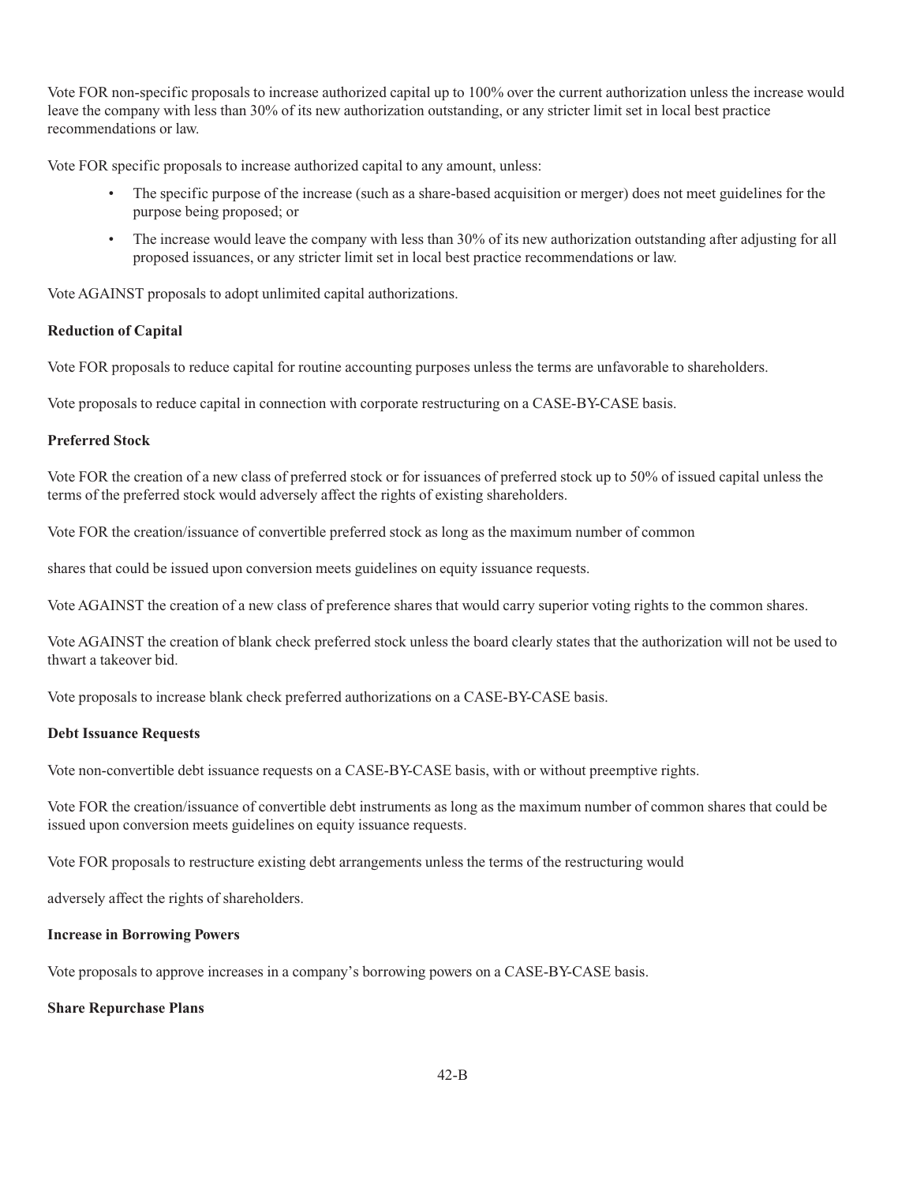Vote FOR non-specific proposals to increase authorized capital up to 100% over the current authorization unless the increase would leave the company with less than 30% of its new authorization outstanding, or any stricter limit set in local best practice recommendations or law.

Vote FOR specific proposals to increase authorized capital to any amount, unless:

- The specific purpose of the increase (such as a share-based acquisition or merger) does not meet guidelines for the purpose being proposed; or
- The increase would leave the company with less than 30% of its new authorization outstanding after adjusting for all proposed issuances, or any stricter limit set in local best practice recommendations or law.

Vote AGAINST proposals to adopt unlimited capital authorizations.

#### **Reduction of Capital**

Vote FOR proposals to reduce capital for routine accounting purposes unless the terms are unfavorable to shareholders.

Vote proposals to reduce capital in connection with corporate restructuring on a CASE-BY-CASE basis.

### **Preferred Stock**

Vote FOR the creation of a new class of preferred stock or for issuances of preferred stock up to 50% of issued capital unless the terms of the preferred stock would adversely affect the rights of existing shareholders.

Vote FOR the creation/issuance of convertible preferred stock as long as the maximum number of common

shares that could be issued upon conversion meets guidelines on equity issuance requests.

Vote AGAINST the creation of a new class of preference shares that would carry superior voting rights to the common shares.

Vote AGAINST the creation of blank check preferred stock unless the board clearly states that the authorization will not be used to thwart a takeover bid.

Vote proposals to increase blank check preferred authorizations on a CASE-BY-CASE basis.

#### **Debt Issuance Requests**

Vote non-convertible debt issuance requests on a CASE-BY-CASE basis, with or without preemptive rights.

Vote FOR the creation/issuance of convertible debt instruments as long as the maximum number of common shares that could be issued upon conversion meets guidelines on equity issuance requests.

Vote FOR proposals to restructure existing debt arrangements unless the terms of the restructuring would

adversely affect the rights of shareholders.

#### **Increase in Borrowing Powers**

Vote proposals to approve increases in a company's borrowing powers on a CASE-BY-CASE basis.

**Share Repurchase Plans**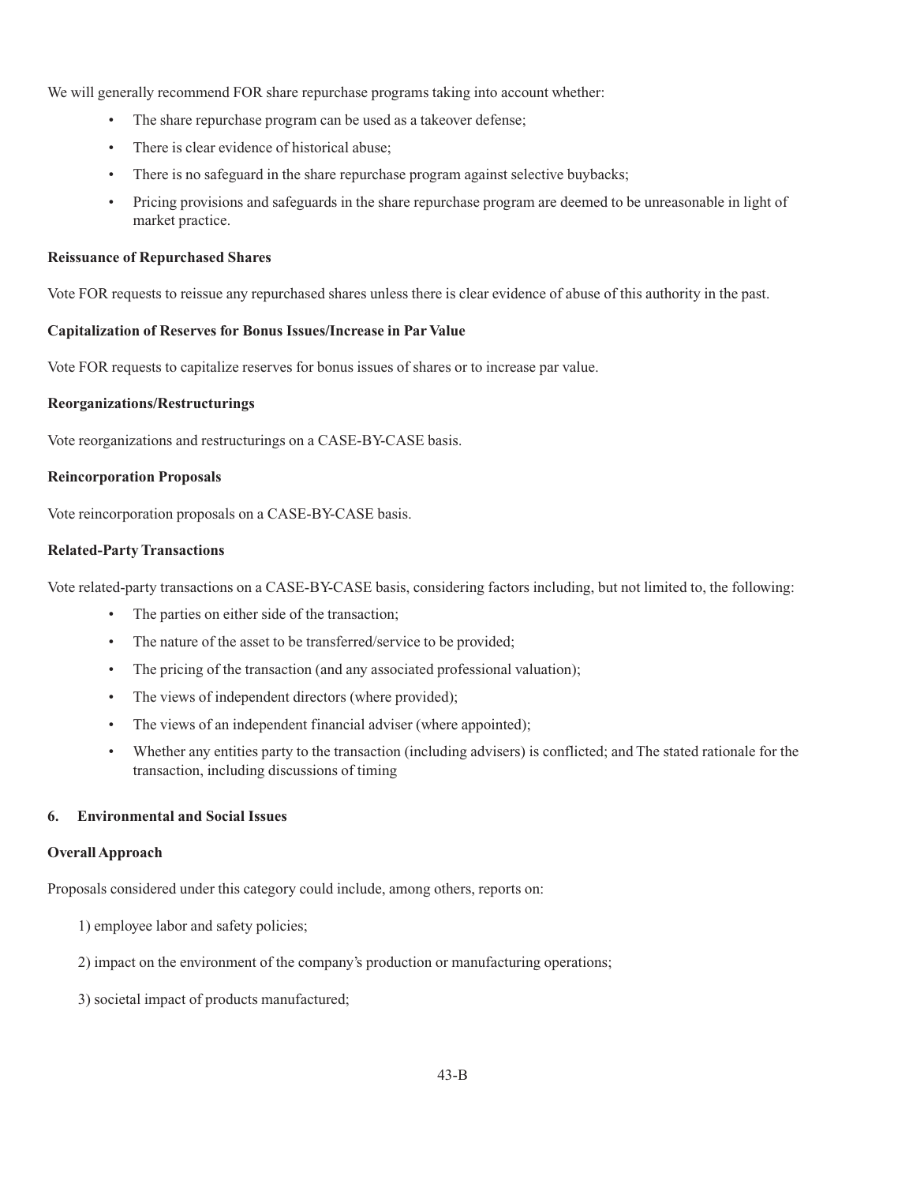We will generally recommend FOR share repurchase programs taking into account whether:

- The share repurchase program can be used as a takeover defense;
- There is clear evidence of historical abuse;
- There is no safeguard in the share repurchase program against selective buybacks;
- Pricing provisions and safeguards in the share repurchase program are deemed to be unreasonable in light of market practice.

#### **Reissuance of Repurchased Shares**

Vote FOR requests to reissue any repurchased shares unless there is clear evidence of abuse of this authority in the past.

#### **Capitalization of Reserves for Bonus Issues/Increase in Par Value**

Vote FOR requests to capitalize reserves for bonus issues of shares or to increase par value.

#### **Reorganizations/Restructurings**

Vote reorganizations and restructurings on a CASE-BY-CASE basis.

#### **Reincorporation Proposals**

Vote reincorporation proposals on a CASE-BY-CASE basis.

#### **Related-Party Transactions**

Vote related-party transactions on a CASE-BY-CASE basis, considering factors including, but not limited to, the following:

- The parties on either side of the transaction;
- The nature of the asset to be transferred/service to be provided;
- The pricing of the transaction (and any associated professional valuation);
- The views of independent directors (where provided);
- The views of an independent financial adviser (where appointed);
- Whether any entities party to the transaction (including advisers) is conflicted; and The stated rationale for the transaction, including discussions of timing

#### **6. Environmental and Social Issues**

#### **Overall Approach**

Proposals considered under this category could include, among others, reports on:

- 1) employee labor and safety policies;
- 2) impact on the environment of the company's production or manufacturing operations;
- 3) societal impact of products manufactured;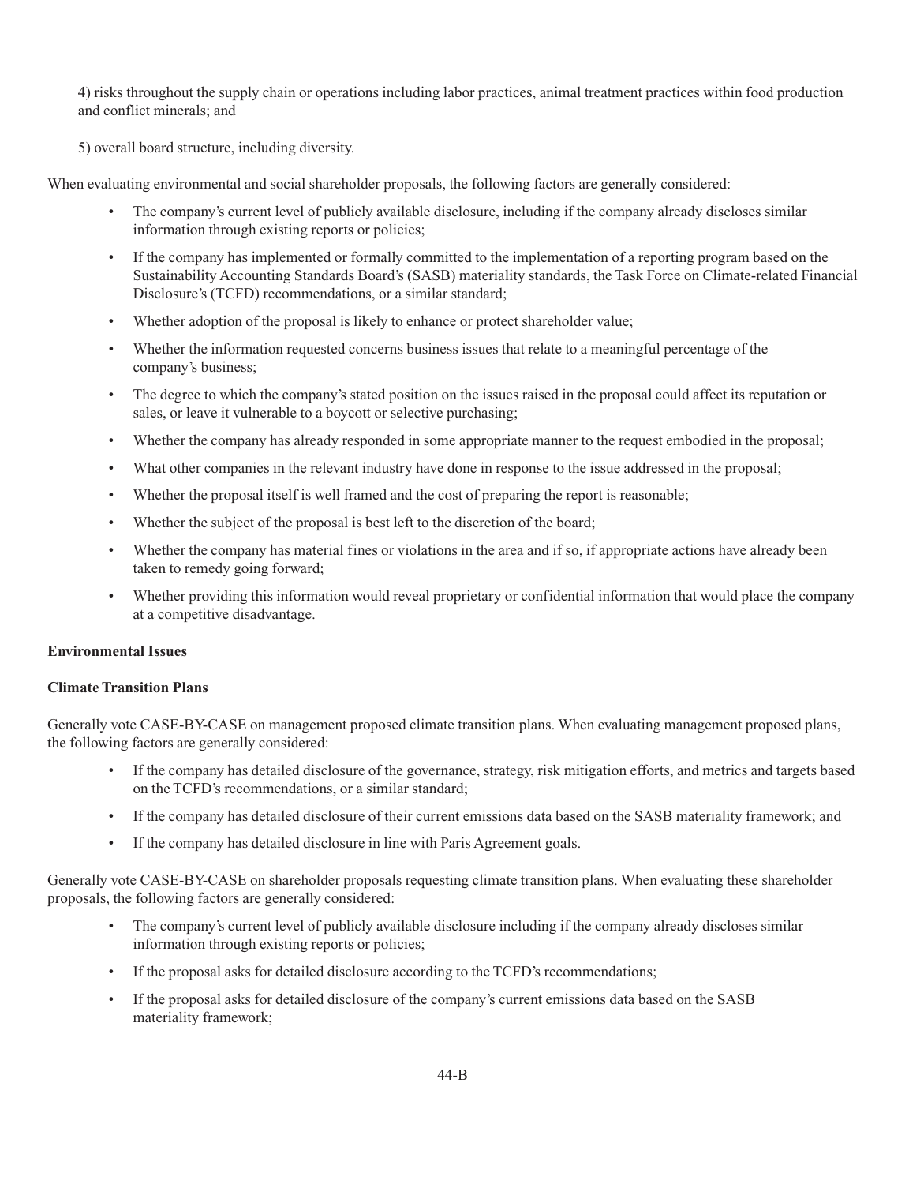4) risks throughout the supply chain or operations including labor practices, animal treatment practices within food production and conflict minerals; and

5) overall board structure, including diversity.

When evaluating environmental and social shareholder proposals, the following factors are generally considered:

- The company's current level of publicly available disclosure, including if the company already discloses similar information through existing reports or policies;
- If the company has implemented or formally committed to the implementation of a reporting program based on the Sustainability Accounting Standards Board's (SASB) materiality standards, the Task Force on Climate-related Financial Disclosure's (TCFD) recommendations, or a similar standard;
- Whether adoption of the proposal is likely to enhance or protect shareholder value;
- Whether the information requested concerns business issues that relate to a meaningful percentage of the company's business;
- The degree to which the company's stated position on the issues raised in the proposal could affect its reputation or sales, or leave it vulnerable to a boycott or selective purchasing;
- Whether the company has already responded in some appropriate manner to the request embodied in the proposal;
- What other companies in the relevant industry have done in response to the issue addressed in the proposal;
- Whether the proposal itself is well framed and the cost of preparing the report is reasonable;
- Whether the subject of the proposal is best left to the discretion of the board;
- Whether the company has material fines or violations in the area and if so, if appropriate actions have already been taken to remedy going forward;
- Whether providing this information would reveal proprietary or confidential information that would place the company at a competitive disadvantage.

#### **Environmental Issues**

#### **Climate Transition Plans**

Generally vote CASE-BY-CASE on management proposed climate transition plans. When evaluating management proposed plans, the following factors are generally considered:

- If the company has detailed disclosure of the governance, strategy, risk mitigation efforts, and metrics and targets based on the TCFD's recommendations, or a similar standard;
- If the company has detailed disclosure of their current emissions data based on the SASB materiality framework; and
- If the company has detailed disclosure in line with Paris Agreement goals.

Generally vote CASE-BY-CASE on shareholder proposals requesting climate transition plans. When evaluating these shareholder proposals, the following factors are generally considered:

- The company's current level of publicly available disclosure including if the company already discloses similar information through existing reports or policies;
- If the proposal asks for detailed disclosure according to the TCFD's recommendations;
- If the proposal asks for detailed disclosure of the company's current emissions data based on the SASB materiality framework;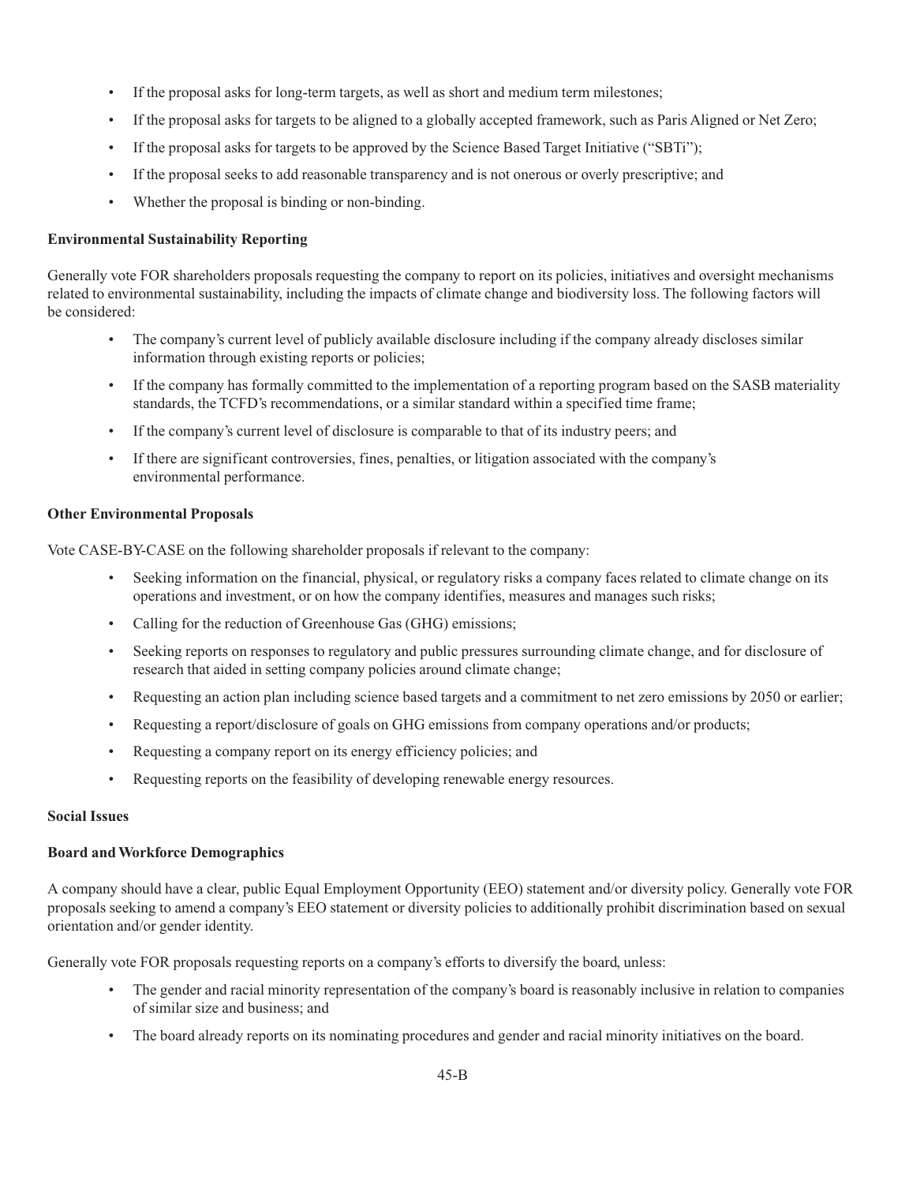- If the proposal asks for long-term targets, as well as short and medium term milestones;
- If the proposal asks for targets to be aligned to a globally accepted framework, such as Paris Aligned or Net Zero;
- If the proposal asks for targets to be approved by the Science Based Target Initiative ("SBTi");
- If the proposal seeks to add reasonable transparency and is not onerous or overly prescriptive; and
- Whether the proposal is binding or non-binding.

## **Environmental Sustainability Reporting**

Generally vote FOR shareholders proposals requesting the company to report on its policies, initiatives and oversight mechanisms related to environmental sustainability, including the impacts of climate change and biodiversity loss. The following factors will be considered:

- The company's current level of publicly available disclosure including if the company already discloses similar information through existing reports or policies;
- If the company has formally committed to the implementation of a reporting program based on the SASB materiality standards, the TCFD's recommendations, or a similar standard within a specified time frame;
- If the company's current level of disclosure is comparable to that of its industry peers; and
- If there are significant controversies, fines, penalties, or litigation associated with the company's environmental performance.

### **Other Environmental Proposals**

Vote CASE-BY-CASE on the following shareholder proposals if relevant to the company:

- Seeking information on the financial, physical, or regulatory risks a company faces related to climate change on its operations and investment, or on how the company identifies, measures and manages such risks;
- Calling for the reduction of Greenhouse Gas (GHG) emissions;
- Seeking reports on responses to regulatory and public pressures surrounding climate change, and for disclosure of research that aided in setting company policies around climate change;
- Requesting an action plan including science based targets and a commitment to net zero emissions by 2050 or earlier;
- Requesting a report/disclosure of goals on GHG emissions from company operations and/or products;
- Requesting a company report on its energy efficiency policies; and
- Requesting reports on the feasibility of developing renewable energy resources.

### **Social Issues**

### **Board andWorkforce Demographics**

A company should have a clear, public Equal Employment Opportunity (EEO) statement and/or diversity policy. Generally vote FOR proposals seeking to amend a company's EEO statement or diversity policies to additionally prohibit discrimination based on sexual orientation and/or gender identity.

Generally vote FOR proposals requesting reports on a company's efforts to diversify the board, unless:

- The gender and racial minority representation of the company's board is reasonably inclusive in relation to companies of similar size and business; and
- The board already reports on its nominating procedures and gender and racial minority initiatives on the board.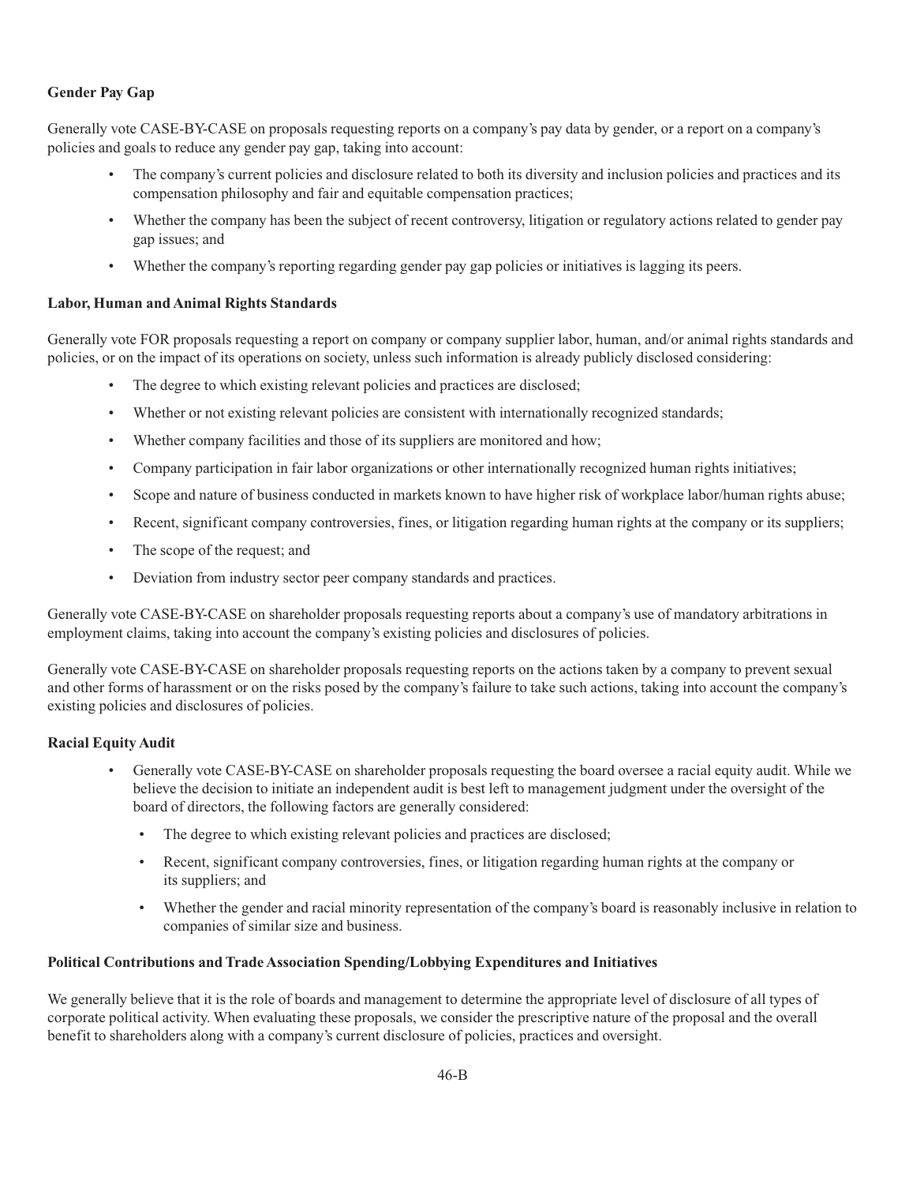# **Gender Pay Gap**

Generally vote CASE-BY-CASE on proposals requesting reports on a company's pay data by gender, or a report on a company's policies and goals to reduce any gender pay gap, taking into account:

- The company's current policies and disclosure related to both its diversity and inclusion policies and practices and its compensation philosophy and fair and equitable compensation practices;
- Whether the company has been the subject of recent controversy, litigation or regulatory actions related to gender pay gap issues; and
- Whether the company's reporting regarding gender pay gap policies or initiatives is lagging its peers.

## **Labor, Human and Animal Rights Standards**

Generally vote FOR proposals requesting a report on company or company supplier labor, human, and/or animal rights standards and policies, or on the impact of its operations on society, unless such information is already publicly disclosed considering:

- The degree to which existing relevant policies and practices are disclosed;
- Whether or not existing relevant policies are consistent with internationally recognized standards;
- Whether company facilities and those of its suppliers are monitored and how;
- Company participation in fair labor organizations or other internationally recognized human rights initiatives;
- Scope and nature of business conducted in markets known to have higher risk of workplace labor/human rights abuse;
- Recent, significant company controversies, fines, or litigation regarding human rights at the company or its suppliers;
- The scope of the request; and
- Deviation from industry sector peer company standards and practices.

Generally vote CASE-BY-CASE on shareholder proposals requesting reports about a company's use of mandatory arbitrations in employment claims, taking into account the company's existing policies and disclosures of policies.

Generally vote CASE-BY-CASE on shareholder proposals requesting reports on the actions taken by a company to prevent sexual and other forms of harassment or on the risks posed by the company's failure to take such actions, taking into account the company's existing policies and disclosures of policies.

### **Racial Equity Audit**

- Generally vote CASE-BY-CASE on shareholder proposals requesting the board oversee a racial equity audit. While we believe the decision to initiate an independent audit is best left to management judgment under the oversight of the board of directors, the following factors are generally considered:
	- The degree to which existing relevant policies and practices are disclosed;
	- Recent, significant company controversies, fines, or litigation regarding human rights at the company or its suppliers; and
	- Whether the gender and racial minority representation of the company's board is reasonably inclusive in relation to companies of similar size and business.

### **Political Contributions and Trade Association Spending/Lobbying Expenditures and Initiatives**

We generally believe that it is the role of boards and management to determine the appropriate level of disclosure of all types of corporate political activity. When evaluating these proposals, we consider the prescriptive nature of the proposal and the overall benefit to shareholders along with a company's current disclosure of policies, practices and oversight.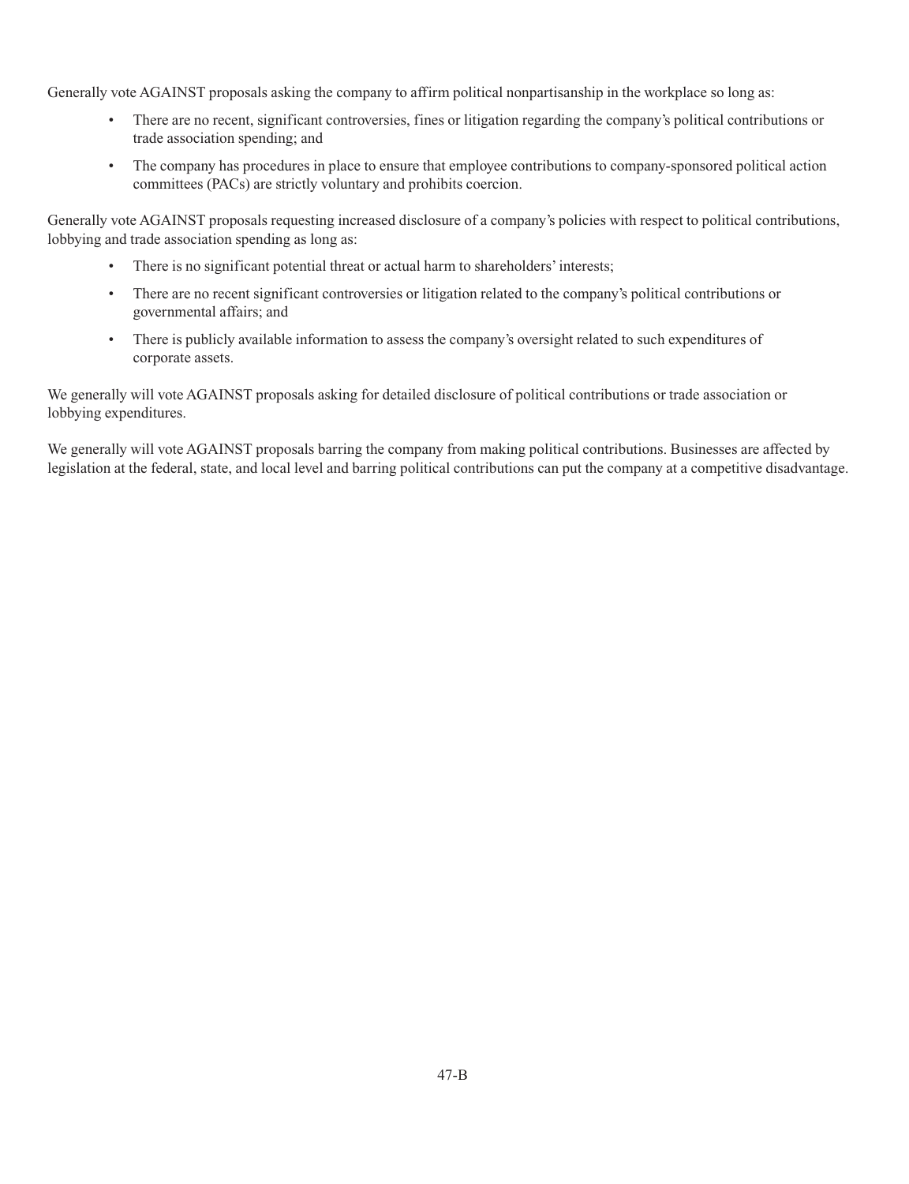Generally vote AGAINST proposals asking the company to affirm political nonpartisanship in the workplace so long as:

- There are no recent, significant controversies, fines or litigation regarding the company's political contributions or trade association spending; and
- The company has procedures in place to ensure that employee contributions to company-sponsored political action committees (PACs) are strictly voluntary and prohibits coercion.

Generally vote AGAINST proposals requesting increased disclosure of a company's policies with respect to political contributions, lobbying and trade association spending as long as:

- There is no significant potential threat or actual harm to shareholders' interests;
- There are no recent significant controversies or litigation related to the company's political contributions or governmental affairs; and
- There is publicly available information to assess the company's oversight related to such expenditures of corporate assets.

We generally will vote AGAINST proposals asking for detailed disclosure of political contributions or trade association or lobbying expenditures.

We generally will vote AGAINST proposals barring the company from making political contributions. Businesses are affected by legislation at the federal, state, and local level and barring political contributions can put the company at a competitive disadvantage.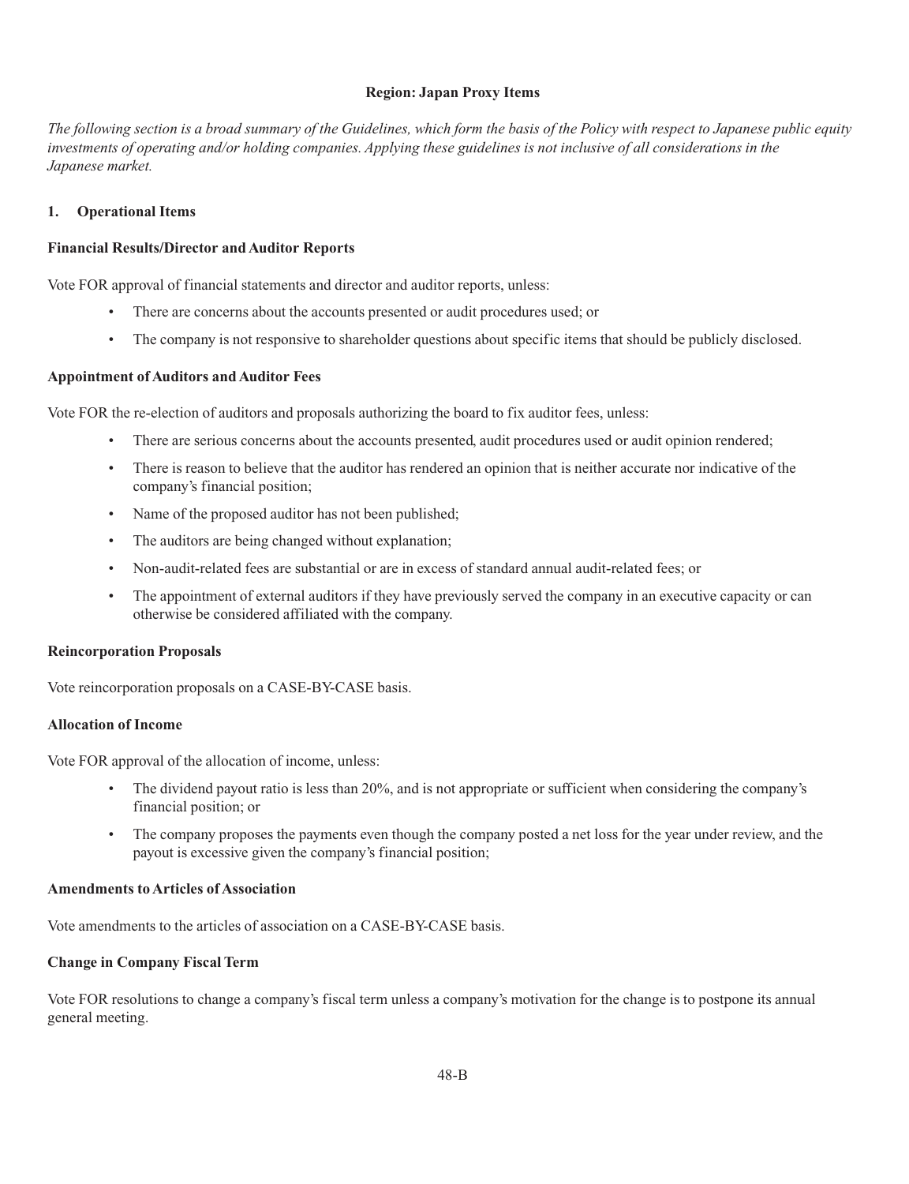#### **Region: Japan Proxy Items**

*The following section is a broad summary of the Guidelines, which form the basis of the Policy with respect to Japanese public equity investments of operating and/or holding companies. Applying these guidelines is not inclusive of all considerations in the Japanese market.*

#### **1. Operational Items**

#### **Financial Results/Director and Auditor Reports**

Vote FOR approval of financial statements and director and auditor reports, unless:

- There are concerns about the accounts presented or audit procedures used; or
- The company is not responsive to shareholder questions about specific items that should be publicly disclosed.

#### **Appointment of Auditors and Auditor Fees**

Vote FOR the re-election of auditors and proposals authorizing the board to fix auditor fees, unless:

- There are serious concerns about the accounts presented, audit procedures used or audit opinion rendered;
- There is reason to believe that the auditor has rendered an opinion that is neither accurate nor indicative of the company's financial position;
- Name of the proposed auditor has not been published;
- The auditors are being changed without explanation;
- Non-audit-related fees are substantial or are in excess of standard annual audit-related fees; or
- The appointment of external auditors if they have previously served the company in an executive capacity or can otherwise be considered affiliated with the company.

#### **Reincorporation Proposals**

Vote reincorporation proposals on a CASE-BY-CASE basis.

#### **Allocation of Income**

Vote FOR approval of the allocation of income, unless:

- The dividend payout ratio is less than 20%, and is not appropriate or sufficient when considering the company's financial position; or
- The company proposes the payments even though the company posted a net loss for the year under review, and the payout is excessive given the company's financial position;

#### **Amendments to Articles of Association**

Vote amendments to the articles of association on a CASE-BY-CASE basis.

#### **Change in Company Fiscal Term**

Vote FOR resolutions to change a company's fiscal term unless a company's motivation for the change is to postpone its annual general meeting.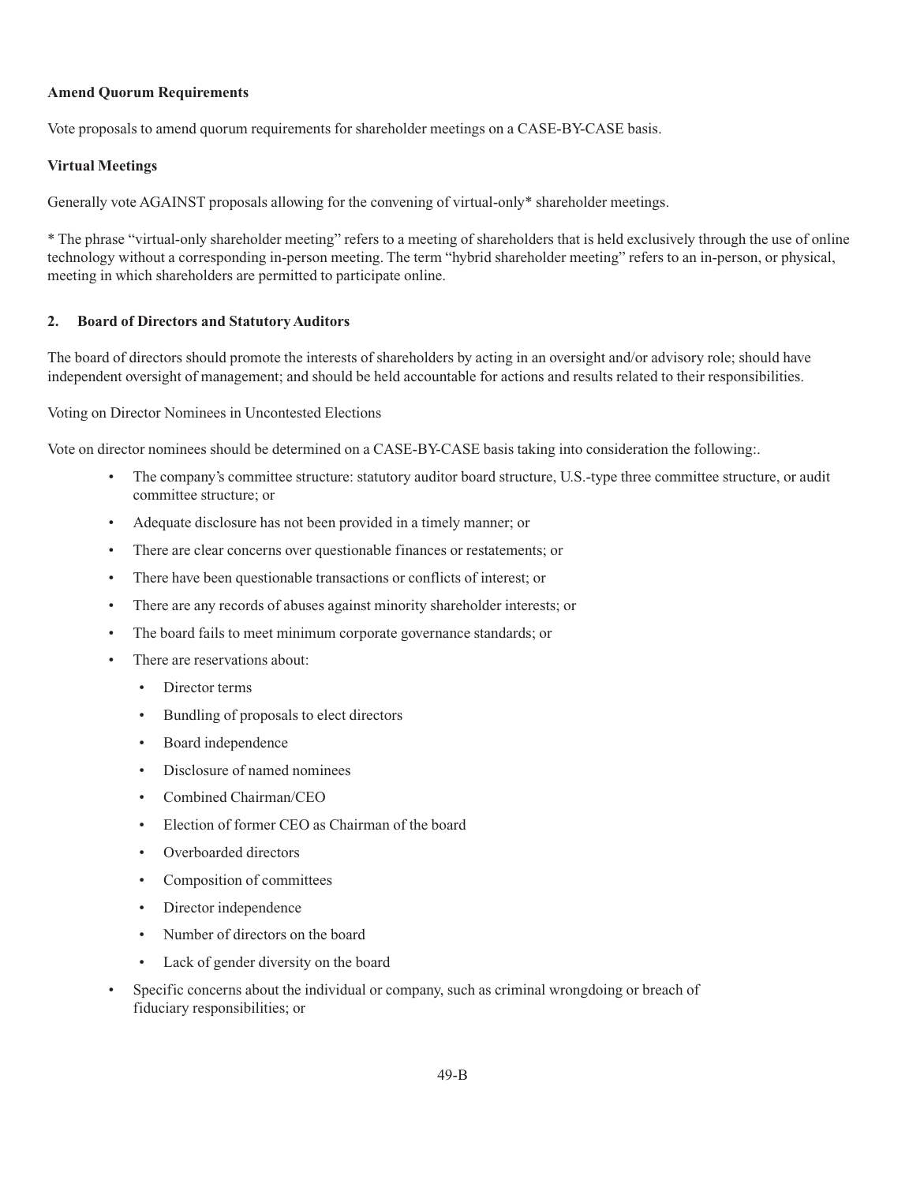### **Amend Quorum Requirements**

Vote proposals to amend quorum requirements for shareholder meetings on a CASE-BY-CASE basis.

### **Virtual Meetings**

Generally vote AGAINST proposals allowing for the convening of virtual-only\* shareholder meetings.

\* The phrase "virtual-only shareholder meeting" refers to a meeting of shareholders that is held exclusively through the use of online technology without a corresponding in-person meeting. The term "hybrid shareholder meeting" refers to an in-person, or physical, meeting in which shareholders are permitted to participate online.

### **2. Board of Directors and Statutory Auditors**

The board of directors should promote the interests of shareholders by acting in an oversight and/or advisory role; should have independent oversight of management; and should be held accountable for actions and results related to their responsibilities.

Voting on Director Nominees in Uncontested Elections

Vote on director nominees should be determined on a CASE-BY-CASE basis taking into consideration the following:.

- The company's committee structure: statutory auditor board structure, U.S.-type three committee structure, or audit committee structure; or
- Adequate disclosure has not been provided in a timely manner; or
- There are clear concerns over questionable finances or restatements; or
- There have been questionable transactions or conflicts of interest; or
- There are any records of abuses against minority shareholder interests; or
- The board fails to meet minimum corporate governance standards; or
- There are reservations about:
	- Director terms
	- Bundling of proposals to elect directors
	- Board independence
	- Disclosure of named nominees
	- Combined Chairman/CEO
	- Election of former CEO as Chairman of the board
	- Overboarded directors
	- Composition of committees
	- Director independence
	- Number of directors on the board
	- Lack of gender diversity on the board
- Specific concerns about the individual or company, such as criminal wrongdoing or breach of fiduciary responsibilities; or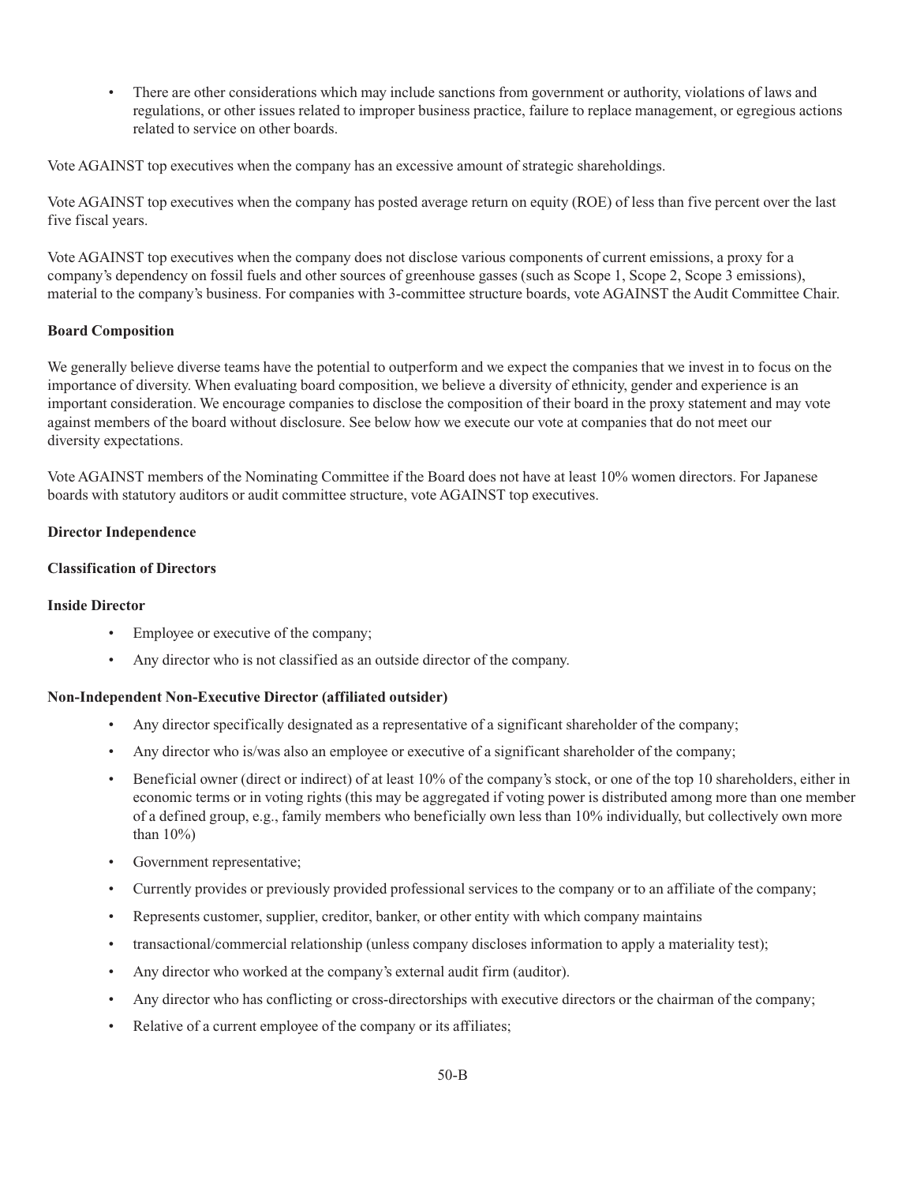• There are other considerations which may include sanctions from government or authority, violations of laws and regulations, or other issues related to improper business practice, failure to replace management, or egregious actions related to service on other boards.

Vote AGAINST top executives when the company has an excessive amount of strategic shareholdings.

Vote AGAINST top executives when the company has posted average return on equity (ROE) of less than five percent over the last five fiscal years.

Vote AGAINST top executives when the company does not disclose various components of current emissions, a proxy for a company's dependency on fossil fuels and other sources of greenhouse gasses (such as Scope 1, Scope 2, Scope 3 emissions), material to the company's business. For companies with 3-committee structure boards, vote AGAINST the Audit Committee Chair.

#### **Board Composition**

We generally believe diverse teams have the potential to outperform and we expect the companies that we invest in to focus on the importance of diversity. When evaluating board composition, we believe a diversity of ethnicity, gender and experience is an important consideration. We encourage companies to disclose the composition of their board in the proxy statement and may vote against members of the board without disclosure. See below how we execute our vote at companies that do not meet our diversity expectations.

Vote AGAINST members of the Nominating Committee if the Board does not have at least 10% women directors. For Japanese boards with statutory auditors or audit committee structure, vote AGAINST top executives.

#### **Director Independence**

#### **Classification of Directors**

### **Inside Director**

- Employee or executive of the company;
- Any director who is not classified as an outside director of the company.

#### **Non-Independent Non-Executive Director (affiliated outsider)**

- Any director specifically designated as a representative of a significant shareholder of the company;
- Any director who is/was also an employee or executive of a significant shareholder of the company;
- Beneficial owner (direct or indirect) of at least 10% of the company's stock, or one of the top 10 shareholders, either in economic terms or in voting rights (this may be aggregated if voting power is distributed among more than one member of a defined group, e.g., family members who beneficially own less than 10% individually, but collectively own more than 10%)
- Government representative;
- Currently provides or previously provided professional services to the company or to an affiliate of the company;
- Represents customer, supplier, creditor, banker, or other entity with which company maintains
- transactional/commercial relationship (unless company discloses information to apply a materiality test);
- Any director who worked at the company's external audit firm (auditor).
- Any director who has conflicting or cross-directorships with executive directors or the chairman of the company;
- Relative of a current employee of the company or its affiliates;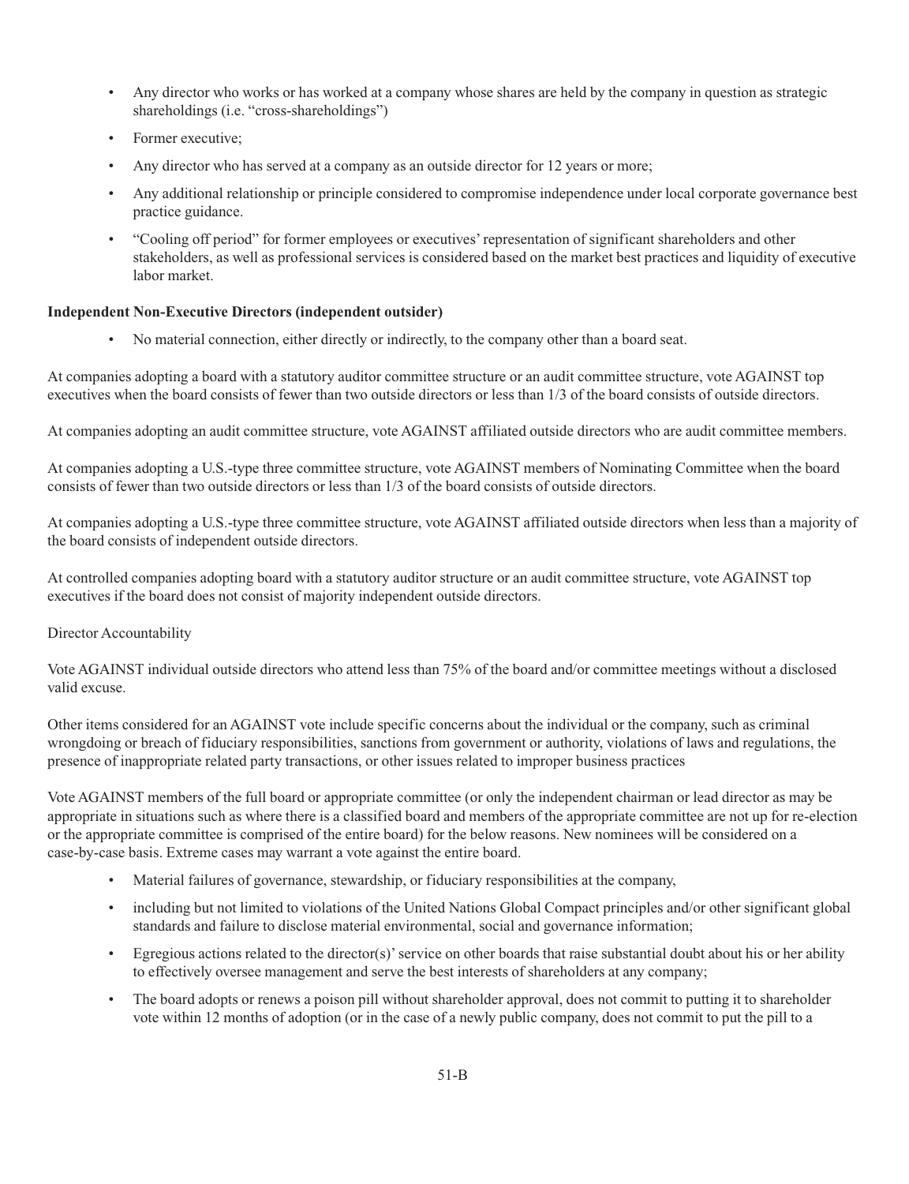- Any director who works or has worked at a company whose shares are held by the company in question as strategic shareholdings (i.e. "cross-shareholdings")
- Former executive;
- Any director who has served at a company as an outside director for 12 years or more;
- Any additional relationship or principle considered to compromise independence under local corporate governance best practice guidance.
- "Cooling off period" for former employees or executives' representation of significant shareholders and other stakeholders, as well as professional services is considered based on the market best practices and liquidity of executive labor market.

#### **Independent Non-Executive Directors (independent outsider)**

• No material connection, either directly or indirectly, to the company other than a board seat.

At companies adopting a board with a statutory auditor committee structure or an audit committee structure, vote AGAINST top executives when the board consists of fewer than two outside directors or less than 1/3 of the board consists of outside directors.

At companies adopting an audit committee structure, vote AGAINST affiliated outside directors who are audit committee members.

At companies adopting a U.S.-type three committee structure, vote AGAINST members of Nominating Committee when the board consists of fewer than two outside directors or less than 1/3 of the board consists of outside directors.

At companies adopting a U.S.-type three committee structure, vote AGAINST affiliated outside directors when less than a majority of the board consists of independent outside directors.

At controlled companies adopting board with a statutory auditor structure or an audit committee structure, vote AGAINST top executives if the board does not consist of majority independent outside directors.

### Director Accountability

Vote AGAINST individual outside directors who attend less than 75% of the board and/or committee meetings without a disclosed valid excuse.

Other items considered for an AGAINST vote include specific concerns about the individual or the company, such as criminal wrongdoing or breach of fiduciary responsibilities, sanctions from government or authority, violations of laws and regulations, the presence of inappropriate related party transactions, or other issues related to improper business practices

Vote AGAINST members of the full board or appropriate committee (or only the independent chairman or lead director as may be appropriate in situations such as where there is a classified board and members of the appropriate committee are not up for re-election or the appropriate committee is comprised of the entire board) for the below reasons. New nominees will be considered on a case-by-case basis. Extreme cases may warrant a vote against the entire board.

- Material failures of governance, stewardship, or fiduciary responsibilities at the company,
- including but not limited to violations of the United Nations Global Compact principles and/or other significant global standards and failure to disclose material environmental, social and governance information;
- Egregious actions related to the director(s)' service on other boards that raise substantial doubt about his or her ability to effectively oversee management and serve the best interests of shareholders at any company;
- The board adopts or renews a poison pill without shareholder approval, does not commit to putting it to shareholder vote within 12 months of adoption (or in the case of a newly public company, does not commit to put the pill to a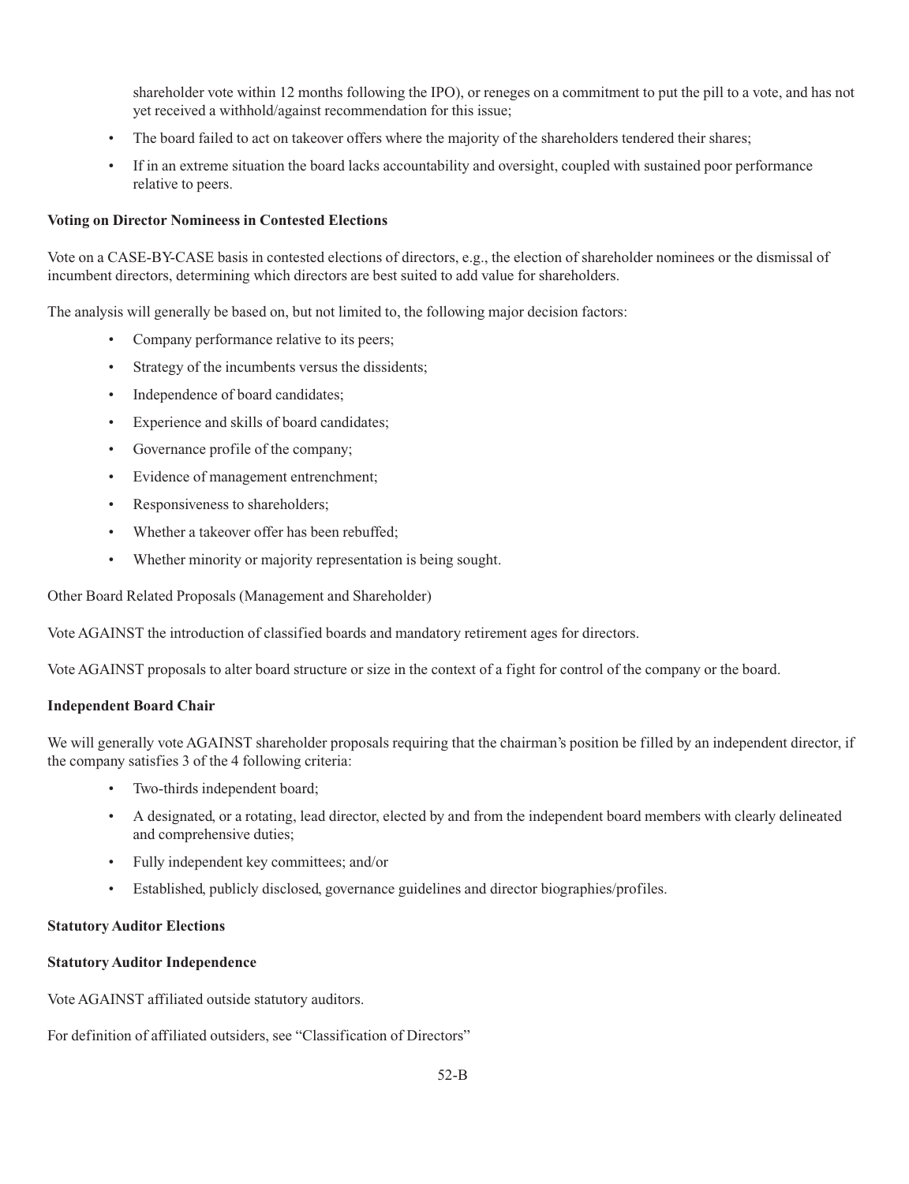shareholder vote within 12 months following the IPO), or reneges on a commitment to put the pill to a vote, and has not yet received a withhold/against recommendation for this issue;

- The board failed to act on takeover offers where the majority of the shareholders tendered their shares;
- If in an extreme situation the board lacks accountability and oversight, coupled with sustained poor performance relative to peers.

#### **Voting on Director Nomineess in Contested Elections**

Vote on a CASE-BY-CASE basis in contested elections of directors, e.g., the election of shareholder nominees or the dismissal of incumbent directors, determining which directors are best suited to add value for shareholders.

The analysis will generally be based on, but not limited to, the following major decision factors:

- Company performance relative to its peers;
- Strategy of the incumbents versus the dissidents;
- Independence of board candidates;
- Experience and skills of board candidates;
- Governance profile of the company;
- Evidence of management entrenchment;
- Responsiveness to shareholders;
- Whether a takeover offer has been rebuffed;
- Whether minority or majority representation is being sought.

Other Board Related Proposals (Management and Shareholder)

Vote AGAINST the introduction of classified boards and mandatory retirement ages for directors.

Vote AGAINST proposals to alter board structure or size in the context of a fight for control of the company or the board.

#### **Independent Board Chair**

We will generally vote AGAINST shareholder proposals requiring that the chairman's position be filled by an independent director, if the company satisfies 3 of the 4 following criteria:

- Two-thirds independent board;
- A designated, or a rotating, lead director, elected by and from the independent board members with clearly delineated and comprehensive duties;
- Fully independent key committees; and/or
- Established, publicly disclosed, governance guidelines and director biographies/profiles.

## **Statutory Auditor Elections**

#### **Statutory Auditor Independence**

Vote AGAINST affiliated outside statutory auditors.

For definition of affiliated outsiders, see "Classification of Directors"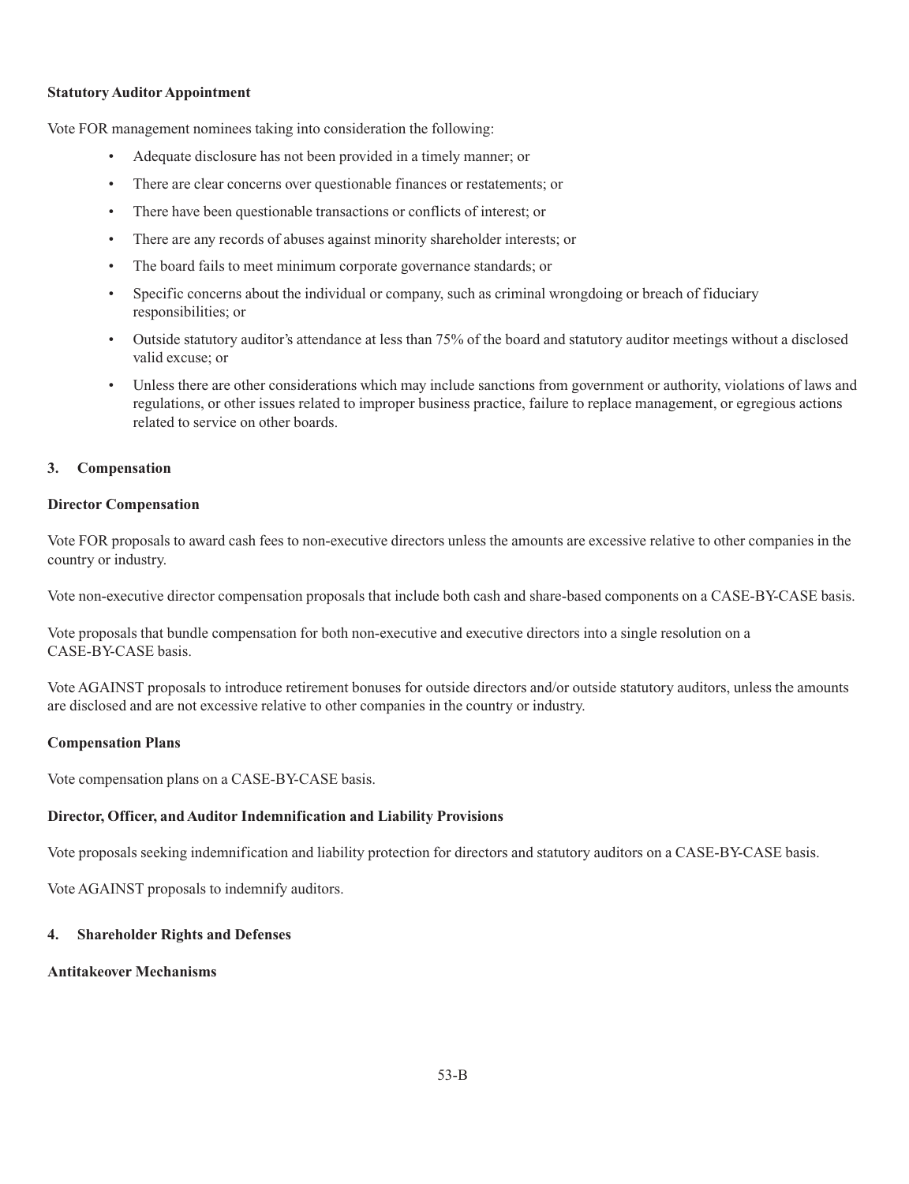#### **Statutory Auditor Appointment**

Vote FOR management nominees taking into consideration the following:

- Adequate disclosure has not been provided in a timely manner; or
- There are clear concerns over questionable finances or restatements; or
- There have been questionable transactions or conflicts of interest; or
- There are any records of abuses against minority shareholder interests; or
- The board fails to meet minimum corporate governance standards; or
- Specific concerns about the individual or company, such as criminal wrongdoing or breach of fiduciary responsibilities; or
- Outside statutory auditor's attendance at less than 75% of the board and statutory auditor meetings without a disclosed valid excuse; or
- Unless there are other considerations which may include sanctions from government or authority, violations of laws and regulations, or other issues related to improper business practice, failure to replace management, or egregious actions related to service on other boards.

#### **3. Compensation**

#### **Director Compensation**

Vote FOR proposals to award cash fees to non-executive directors unless the amounts are excessive relative to other companies in the country or industry.

Vote non-executive director compensation proposals that include both cash and share-based components on a CASE-BY-CASE basis.

Vote proposals that bundle compensation for both non-executive and executive directors into a single resolution on a CASE-BY-CASE basis.

Vote AGAINST proposals to introduce retirement bonuses for outside directors and/or outside statutory auditors, unless the amounts are disclosed and are not excessive relative to other companies in the country or industry.

#### **Compensation Plans**

Vote compensation plans on a CASE-BY-CASE basis.

### **Director, Officer, and Auditor Indemnification and Liability Provisions**

Vote proposals seeking indemnification and liability protection for directors and statutory auditors on a CASE-BY-CASE basis.

Vote AGAINST proposals to indemnify auditors.

### **4. Shareholder Rights and Defenses**

#### **Antitakeover Mechanisms**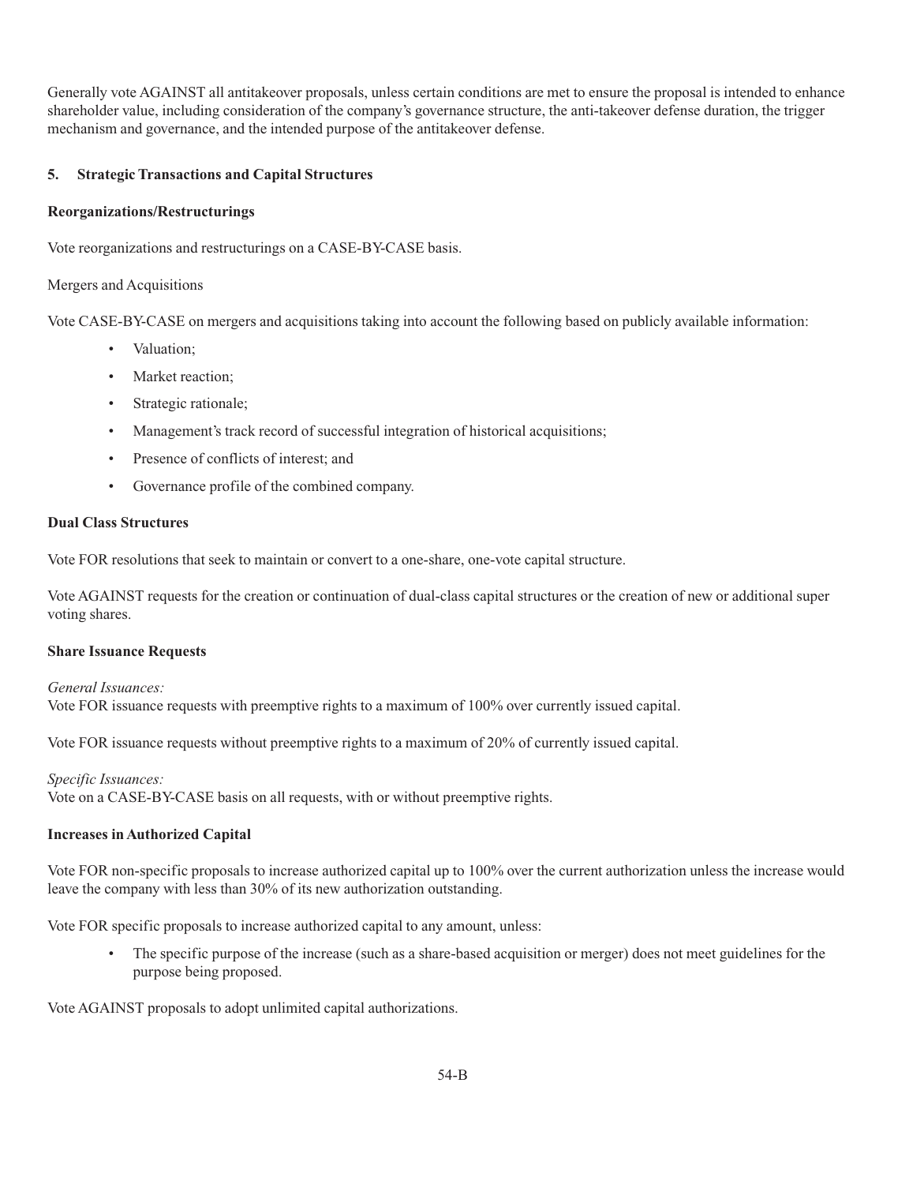Generally vote AGAINST all antitakeover proposals, unless certain conditions are met to ensure the proposal is intended to enhance shareholder value, including consideration of the company's governance structure, the anti-takeover defense duration, the trigger mechanism and governance, and the intended purpose of the antitakeover defense.

## **5. Strategic Transactions and Capital Structures**

#### **Reorganizations/Restructurings**

Vote reorganizations and restructurings on a CASE-BY-CASE basis.

#### Mergers and Acquisitions

Vote CASE-BY-CASE on mergers and acquisitions taking into account the following based on publicly available information:

- Valuation:
- Market reaction:
- Strategic rationale;
- Management's track record of successful integration of historical acquisitions;
- Presence of conflicts of interest; and
- Governance profile of the combined company.

### **Dual Class Structures**

Vote FOR resolutions that seek to maintain or convert to a one-share, one-vote capital structure.

Vote AGAINST requests for the creation or continuation of dual-class capital structures or the creation of new or additional super voting shares.

### **Share Issuance Requests**

### *General Issuances:* Vote FOR issuance requests with preemptive rights to a maximum of 100% over currently issued capital.

Vote FOR issuance requests without preemptive rights to a maximum of 20% of currently issued capital.

#### *Specific Issuances:*

Vote on a CASE-BY-CASE basis on all requests, with or without preemptive rights.

### **Increases in Authorized Capital**

Vote FOR non-specific proposals to increase authorized capital up to 100% over the current authorization unless the increase would leave the company with less than 30% of its new authorization outstanding.

Vote FOR specific proposals to increase authorized capital to any amount, unless:

• The specific purpose of the increase (such as a share-based acquisition or merger) does not meet guidelines for the purpose being proposed.

Vote AGAINST proposals to adopt unlimited capital authorizations.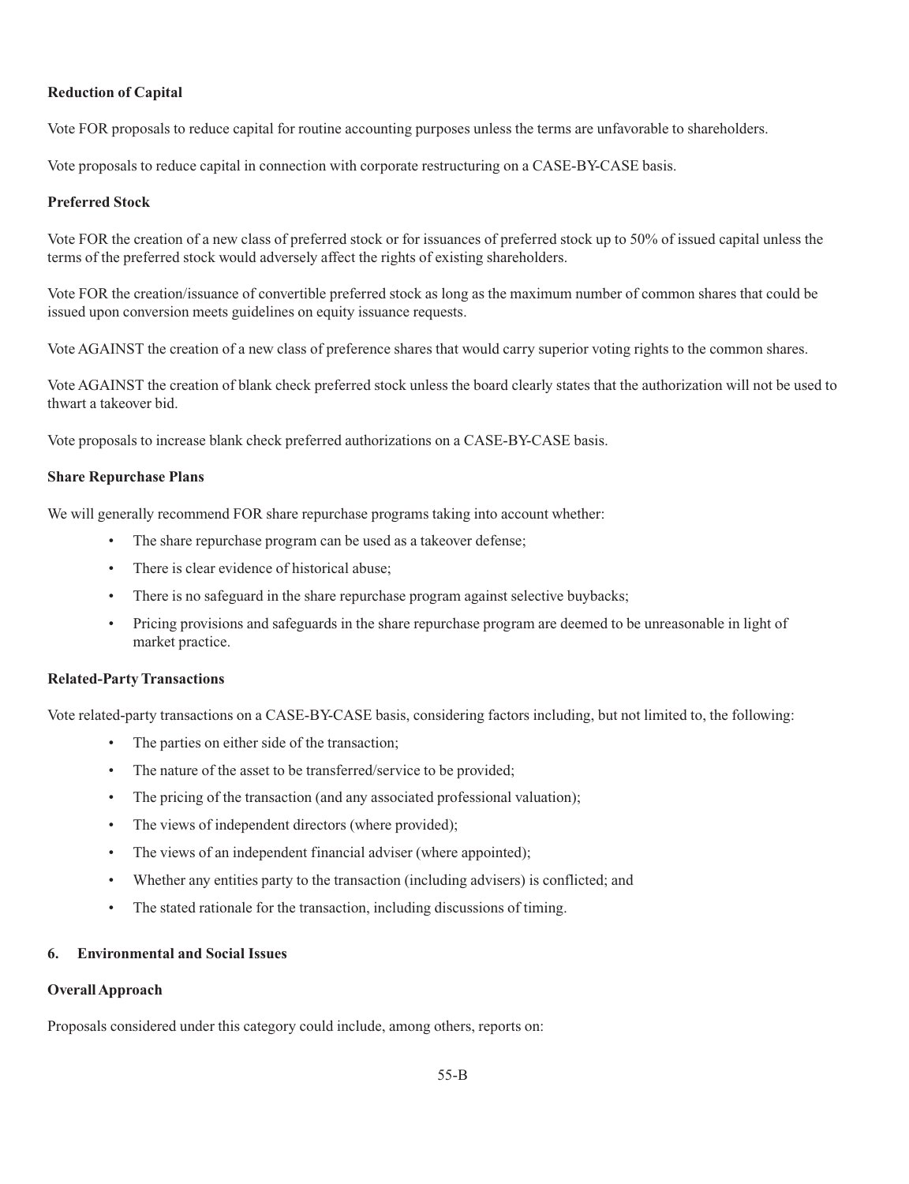### **Reduction of Capital**

Vote FOR proposals to reduce capital for routine accounting purposes unless the terms are unfavorable to shareholders.

Vote proposals to reduce capital in connection with corporate restructuring on a CASE-BY-CASE basis.

#### **Preferred Stock**

Vote FOR the creation of a new class of preferred stock or for issuances of preferred stock up to 50% of issued capital unless the terms of the preferred stock would adversely affect the rights of existing shareholders.

Vote FOR the creation/issuance of convertible preferred stock as long as the maximum number of common shares that could be issued upon conversion meets guidelines on equity issuance requests.

Vote AGAINST the creation of a new class of preference shares that would carry superior voting rights to the common shares.

Vote AGAINST the creation of blank check preferred stock unless the board clearly states that the authorization will not be used to thwart a takeover bid.

Vote proposals to increase blank check preferred authorizations on a CASE-BY-CASE basis.

#### **Share Repurchase Plans**

We will generally recommend FOR share repurchase programs taking into account whether:

- The share repurchase program can be used as a takeover defense;
- There is clear evidence of historical abuse;
- There is no safeguard in the share repurchase program against selective buybacks;
- Pricing provisions and safeguards in the share repurchase program are deemed to be unreasonable in light of market practice.

#### **Related-Party Transactions**

Vote related-party transactions on a CASE-BY-CASE basis, considering factors including, but not limited to, the following:

- The parties on either side of the transaction;
- The nature of the asset to be transferred/service to be provided;
- The pricing of the transaction (and any associated professional valuation);
- The views of independent directors (where provided);
- The views of an independent financial adviser (where appointed);
- Whether any entities party to the transaction (including advisers) is conflicted; and
- The stated rationale for the transaction, including discussions of timing.

### **6. Environmental and Social Issues**

#### **Overall Approach**

Proposals considered under this category could include, among others, reports on: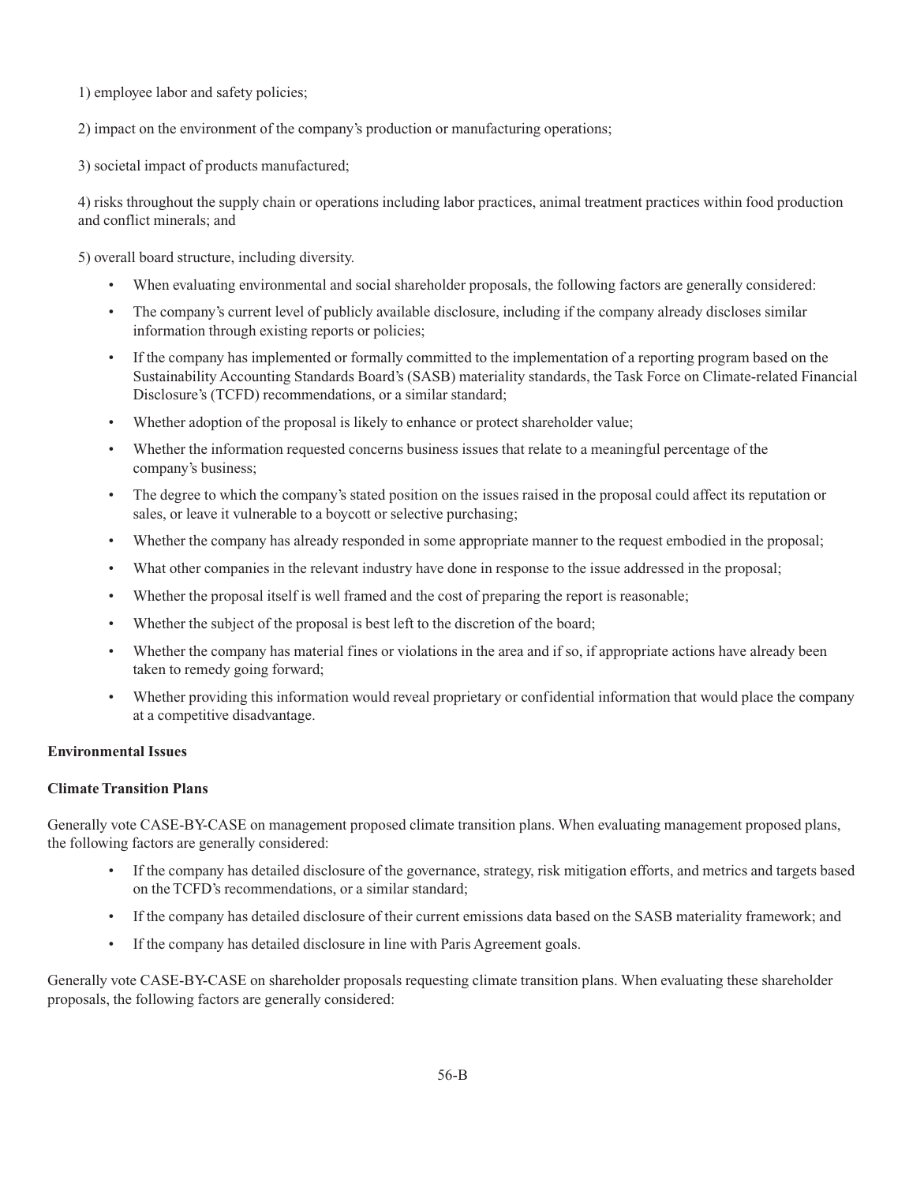1) employee labor and safety policies;

2) impact on the environment of the company's production or manufacturing operations;

3) societal impact of products manufactured;

4) risks throughout the supply chain or operations including labor practices, animal treatment practices within food production and conflict minerals; and

5) overall board structure, including diversity.

- When evaluating environmental and social shareholder proposals, the following factors are generally considered:
- The company's current level of publicly available disclosure, including if the company already discloses similar information through existing reports or policies;
- If the company has implemented or formally committed to the implementation of a reporting program based on the Sustainability Accounting Standards Board's (SASB) materiality standards, the Task Force on Climate-related Financial Disclosure's (TCFD) recommendations, or a similar standard;
- Whether adoption of the proposal is likely to enhance or protect shareholder value;
- Whether the information requested concerns business issues that relate to a meaningful percentage of the company's business;
- The degree to which the company's stated position on the issues raised in the proposal could affect its reputation or sales, or leave it vulnerable to a boycott or selective purchasing;
- Whether the company has already responded in some appropriate manner to the request embodied in the proposal;
- What other companies in the relevant industry have done in response to the issue addressed in the proposal;
- Whether the proposal itself is well framed and the cost of preparing the report is reasonable;
- Whether the subject of the proposal is best left to the discretion of the board;
- Whether the company has material fines or violations in the area and if so, if appropriate actions have already been taken to remedy going forward;
- Whether providing this information would reveal proprietary or confidential information that would place the company at a competitive disadvantage.

### **Environmental Issues**

### **Climate Transition Plans**

Generally vote CASE-BY-CASE on management proposed climate transition plans. When evaluating management proposed plans, the following factors are generally considered:

- If the company has detailed disclosure of the governance, strategy, risk mitigation efforts, and metrics and targets based on the TCFD's recommendations, or a similar standard;
- If the company has detailed disclosure of their current emissions data based on the SASB materiality framework; and
- If the company has detailed disclosure in line with Paris Agreement goals.

Generally vote CASE-BY-CASE on shareholder proposals requesting climate transition plans. When evaluating these shareholder proposals, the following factors are generally considered: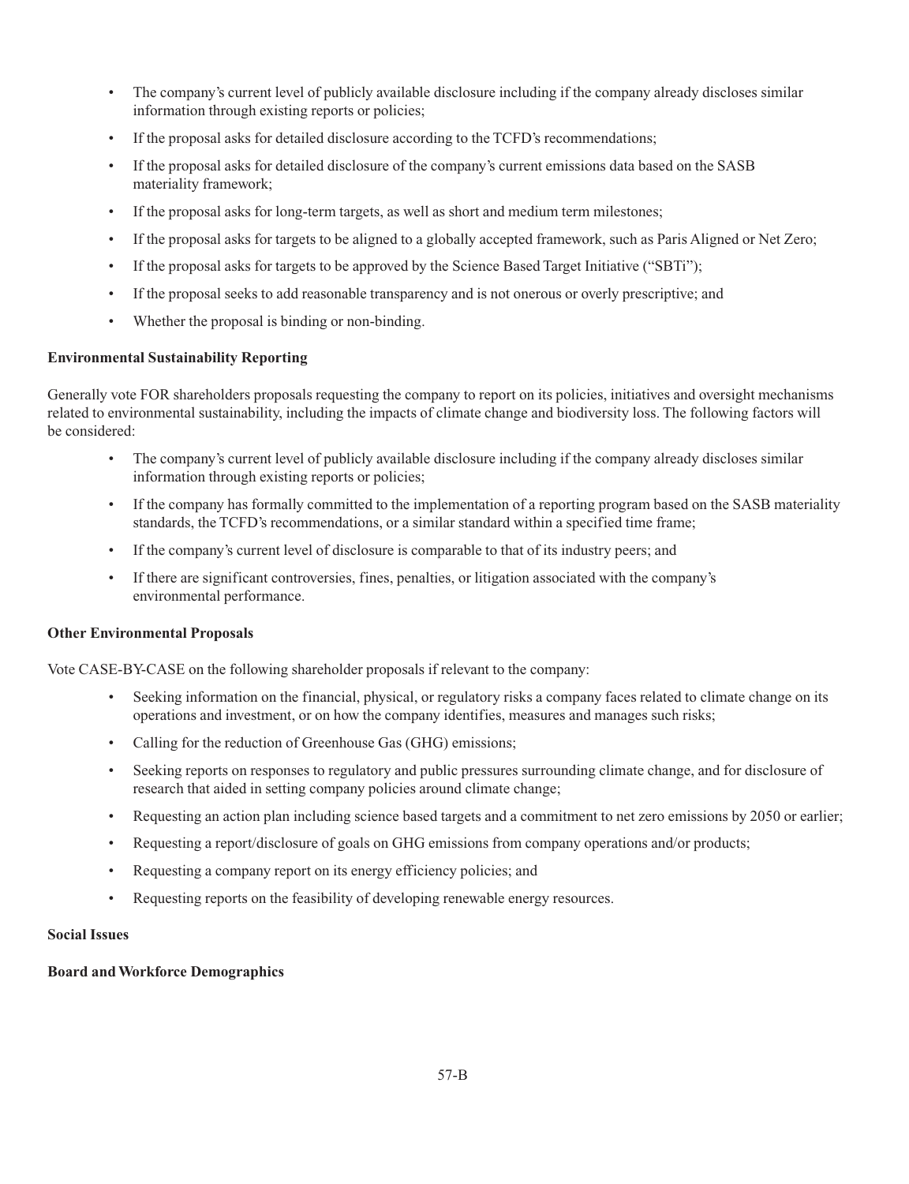- The company's current level of publicly available disclosure including if the company already discloses similar information through existing reports or policies;
- If the proposal asks for detailed disclosure according to the TCFD's recommendations;
- If the proposal asks for detailed disclosure of the company's current emissions data based on the SASB materiality framework;
- If the proposal asks for long-term targets, as well as short and medium term milestones;
- If the proposal asks for targets to be aligned to a globally accepted framework, such as Paris Aligned or Net Zero;
- If the proposal asks for targets to be approved by the Science Based Target Initiative ("SBTi");
- If the proposal seeks to add reasonable transparency and is not onerous or overly prescriptive; and
- Whether the proposal is binding or non-binding.

### **Environmental Sustainability Reporting**

Generally vote FOR shareholders proposals requesting the company to report on its policies, initiatives and oversight mechanisms related to environmental sustainability, including the impacts of climate change and biodiversity loss. The following factors will be considered:

- The company's current level of publicly available disclosure including if the company already discloses similar information through existing reports or policies;
- If the company has formally committed to the implementation of a reporting program based on the SASB materiality standards, the TCFD's recommendations, or a similar standard within a specified time frame;
- If the company's current level of disclosure is comparable to that of its industry peers; and
- If there are significant controversies, fines, penalties, or litigation associated with the company's environmental performance.

### **Other Environmental Proposals**

Vote CASE-BY-CASE on the following shareholder proposals if relevant to the company:

- Seeking information on the financial, physical, or regulatory risks a company faces related to climate change on its operations and investment, or on how the company identifies, measures and manages such risks;
- Calling for the reduction of Greenhouse Gas (GHG) emissions;
- Seeking reports on responses to regulatory and public pressures surrounding climate change, and for disclosure of research that aided in setting company policies around climate change;
- Requesting an action plan including science based targets and a commitment to net zero emissions by 2050 or earlier;
- Requesting a report/disclosure of goals on GHG emissions from company operations and/or products;
- Requesting a company report on its energy efficiency policies; and
- Requesting reports on the feasibility of developing renewable energy resources.

#### **Social Issues**

### **Board andWorkforce Demographics**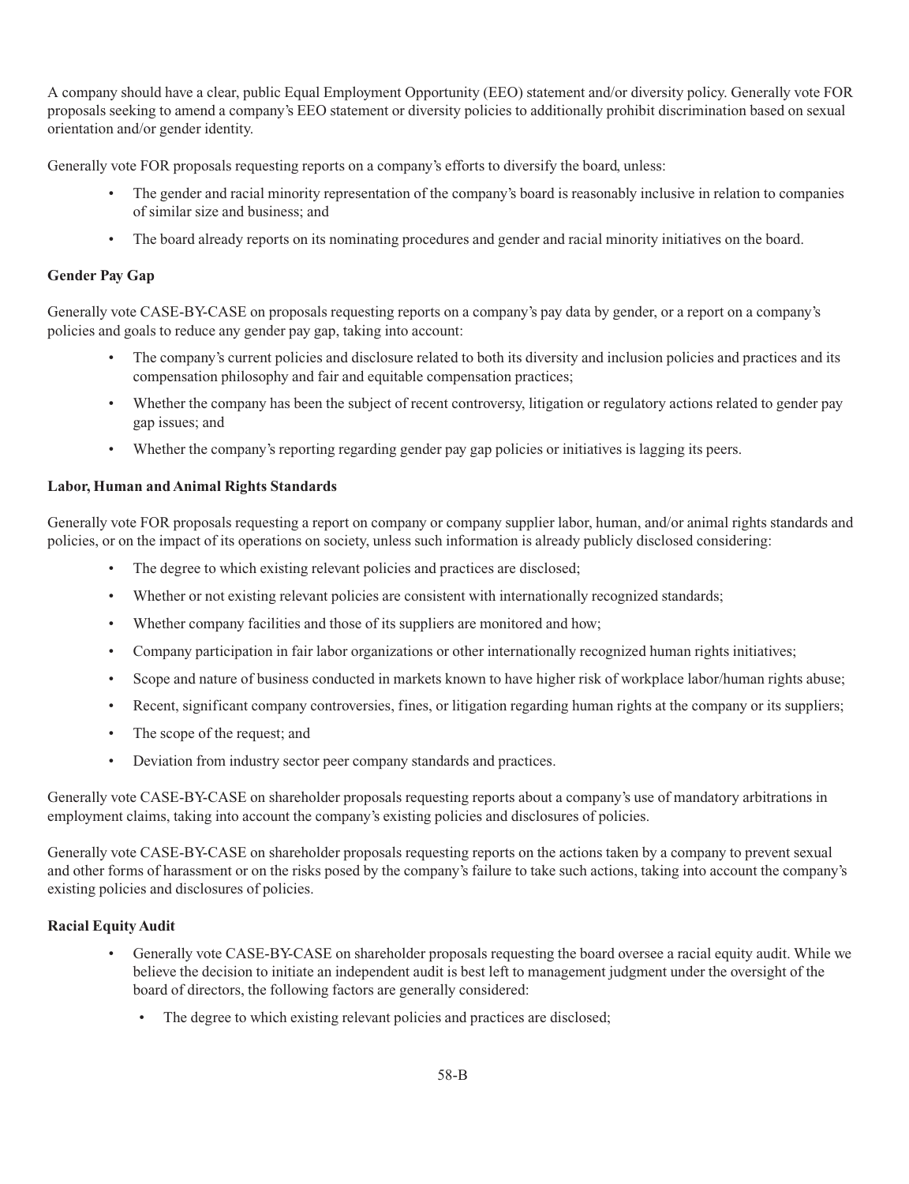A company should have a clear, public Equal Employment Opportunity (EEO) statement and/or diversity policy. Generally vote FOR proposals seeking to amend a company's EEO statement or diversity policies to additionally prohibit discrimination based on sexual orientation and/or gender identity.

Generally vote FOR proposals requesting reports on a company's efforts to diversify the board, unless:

- The gender and racial minority representation of the company's board is reasonably inclusive in relation to companies of similar size and business; and
- The board already reports on its nominating procedures and gender and racial minority initiatives on the board.

### **Gender Pay Gap**

Generally vote CASE-BY-CASE on proposals requesting reports on a company's pay data by gender, or a report on a company's policies and goals to reduce any gender pay gap, taking into account:

- The company's current policies and disclosure related to both its diversity and inclusion policies and practices and its compensation philosophy and fair and equitable compensation practices;
- Whether the company has been the subject of recent controversy, litigation or regulatory actions related to gender pay gap issues; and
- Whether the company's reporting regarding gender pay gap policies or initiatives is lagging its peers.

### **Labor, Human and Animal Rights Standards**

Generally vote FOR proposals requesting a report on company or company supplier labor, human, and/or animal rights standards and policies, or on the impact of its operations on society, unless such information is already publicly disclosed considering:

- The degree to which existing relevant policies and practices are disclosed;
- Whether or not existing relevant policies are consistent with internationally recognized standards;
- Whether company facilities and those of its suppliers are monitored and how;
- Company participation in fair labor organizations or other internationally recognized human rights initiatives;
- Scope and nature of business conducted in markets known to have higher risk of workplace labor/human rights abuse;
- Recent, significant company controversies, fines, or litigation regarding human rights at the company or its suppliers;
- The scope of the request; and
- Deviation from industry sector peer company standards and practices.

Generally vote CASE-BY-CASE on shareholder proposals requesting reports about a company's use of mandatory arbitrations in employment claims, taking into account the company's existing policies and disclosures of policies.

Generally vote CASE-BY-CASE on shareholder proposals requesting reports on the actions taken by a company to prevent sexual and other forms of harassment or on the risks posed by the company's failure to take such actions, taking into account the company's existing policies and disclosures of policies.

### **Racial Equity Audit**

- Generally vote CASE-BY-CASE on shareholder proposals requesting the board oversee a racial equity audit. While we believe the decision to initiate an independent audit is best left to management judgment under the oversight of the board of directors, the following factors are generally considered:
	- The degree to which existing relevant policies and practices are disclosed;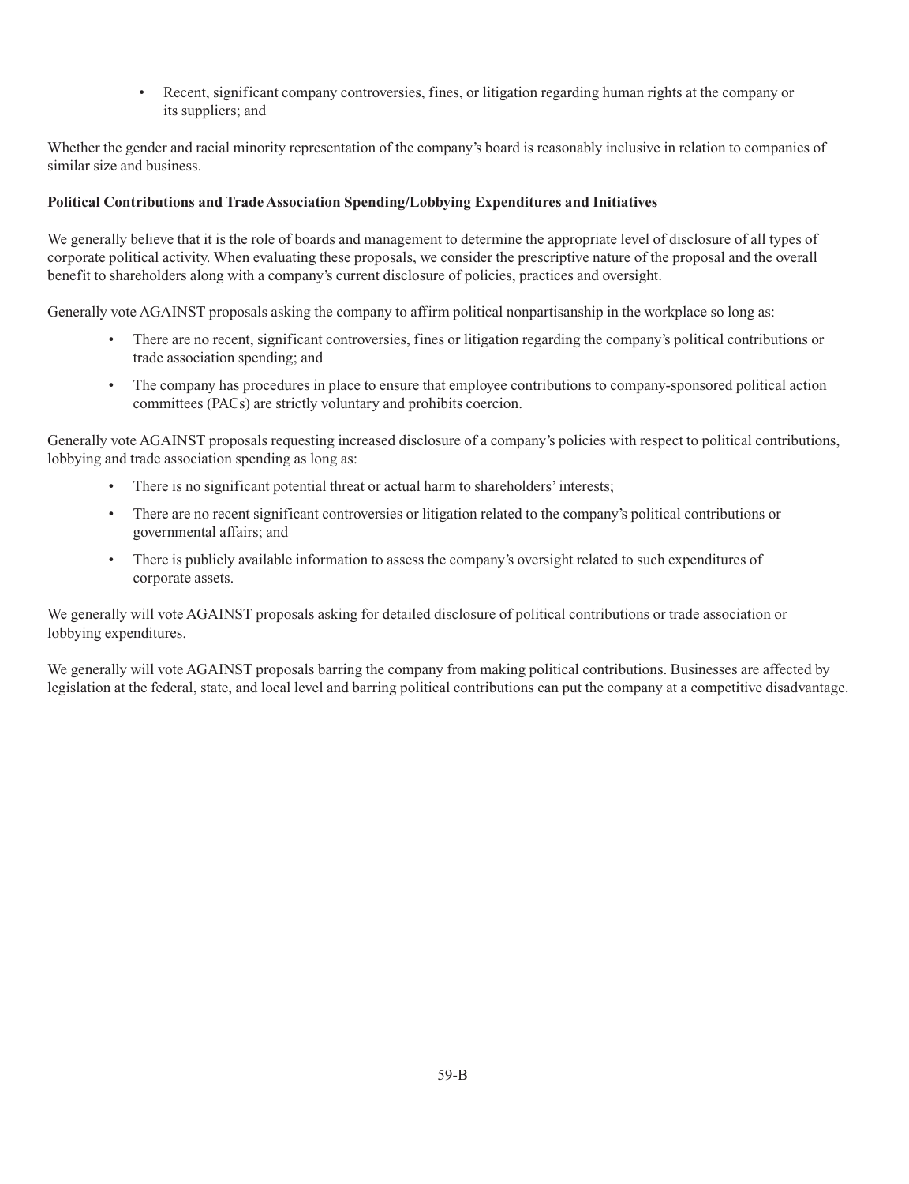• Recent, significant company controversies, fines, or litigation regarding human rights at the company or its suppliers; and

Whether the gender and racial minority representation of the company's board is reasonably inclusive in relation to companies of similar size and business.

# **Political Contributions and Trade Association Spending/Lobbying Expenditures and Initiatives**

We generally believe that it is the role of boards and management to determine the appropriate level of disclosure of all types of corporate political activity. When evaluating these proposals, we consider the prescriptive nature of the proposal and the overall benefit to shareholders along with a company's current disclosure of policies, practices and oversight.

Generally vote AGAINST proposals asking the company to affirm political nonpartisanship in the workplace so long as:

- There are no recent, significant controversies, fines or litigation regarding the company's political contributions or trade association spending; and
- The company has procedures in place to ensure that employee contributions to company-sponsored political action committees (PACs) are strictly voluntary and prohibits coercion.

Generally vote AGAINST proposals requesting increased disclosure of a company's policies with respect to political contributions, lobbying and trade association spending as long as:

- There is no significant potential threat or actual harm to shareholders' interests;
- There are no recent significant controversies or litigation related to the company's political contributions or governmental affairs; and
- There is publicly available information to assess the company's oversight related to such expenditures of corporate assets.

We generally will vote AGAINST proposals asking for detailed disclosure of political contributions or trade association or lobbying expenditures.

We generally will vote AGAINST proposals barring the company from making political contributions. Businesses are affected by legislation at the federal, state, and local level and barring political contributions can put the company at a competitive disadvantage.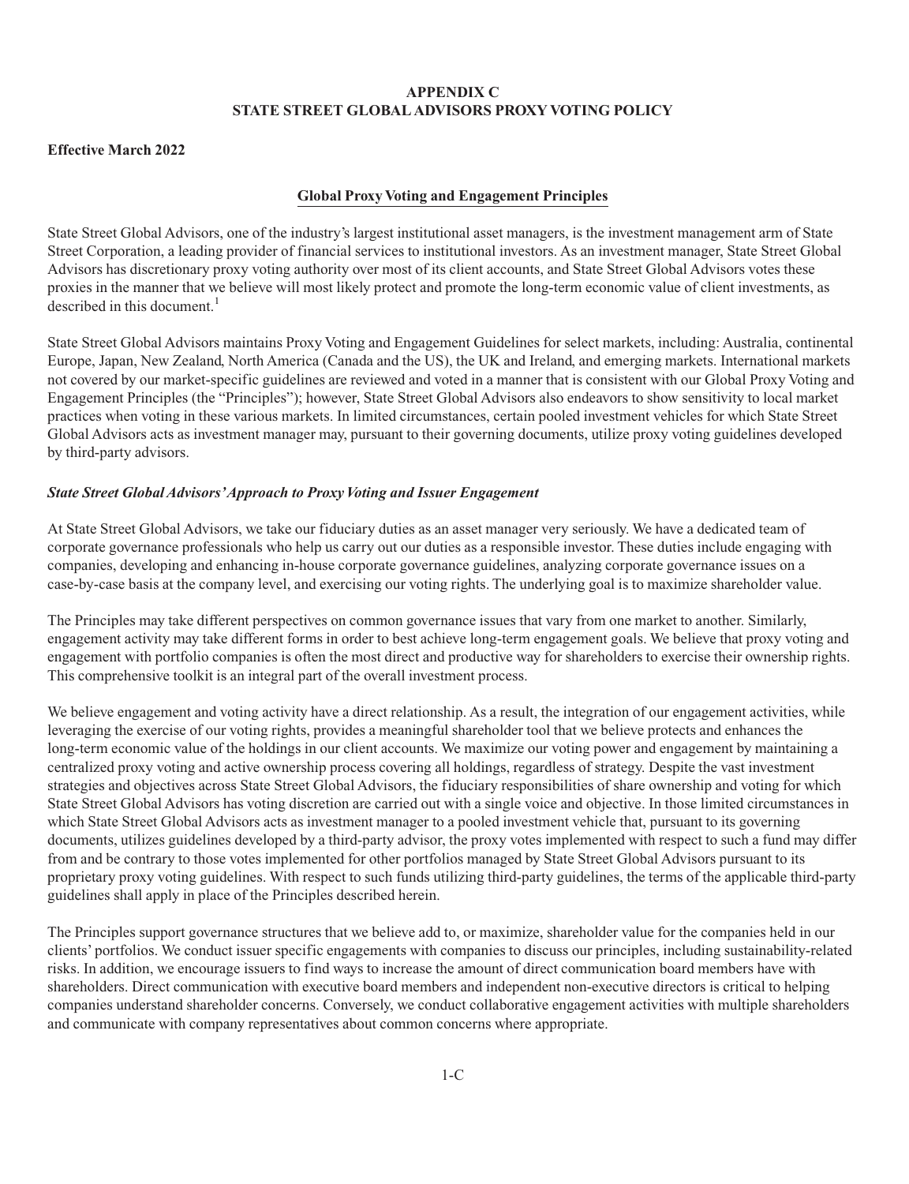# **APPENDIX C STATE STREET GLOBAL ADVISORS PROXY VOTING POLICY**

#### **Effective March 2022**

#### **Global Proxy Voting and Engagement Principles**

State Street Global Advisors, one of the industry's largest institutional asset managers, is the investment management arm of State Street Corporation, a leading provider of financial services to institutional investors. As an investment manager, State Street Global Advisors has discretionary proxy voting authority over most of its client accounts, and State Street Global Advisors votes these proxies in the manner that we believe will most likely protect and promote the long-term economic value of client investments, as described in this document.<sup>1</sup>

State Street Global Advisors maintains Proxy Voting and Engagement Guidelines for select markets, including: Australia, continental Europe, Japan, New Zealand, North America (Canada and the US), the UK and Ireland, and emerging markets. International markets not covered by our market-specific guidelines are reviewed and voted in a manner that is consistent with our Global Proxy Voting and Engagement Principles (the "Principles"); however, State Street Global Advisors also endeavors to show sensitivity to local market practices when voting in these various markets. In limited circumstances, certain pooled investment vehicles for which State Street Global Advisors acts as investment manager may, pursuant to their governing documents, utilize proxy voting guidelines developed by third-party advisors.

#### *State Street Global Advisors'Approach to Proxy Voting and Issuer Engagement*

At State Street Global Advisors, we take our fiduciary duties as an asset manager very seriously. We have a dedicated team of corporate governance professionals who help us carry out our duties as a responsible investor. These duties include engaging with companies, developing and enhancing in-house corporate governance guidelines, analyzing corporate governance issues on a case-by-case basis at the company level, and exercising our voting rights. The underlying goal is to maximize shareholder value.

The Principles may take different perspectives on common governance issues that vary from one market to another. Similarly, engagement activity may take different forms in order to best achieve long-term engagement goals. We believe that proxy voting and engagement with portfolio companies is often the most direct and productive way for shareholders to exercise their ownership rights. This comprehensive toolkit is an integral part of the overall investment process.

We believe engagement and voting activity have a direct relationship. As a result, the integration of our engagement activities, while leveraging the exercise of our voting rights, provides a meaningful shareholder tool that we believe protects and enhances the long-term economic value of the holdings in our client accounts. We maximize our voting power and engagement by maintaining a centralized proxy voting and active ownership process covering all holdings, regardless of strategy. Despite the vast investment strategies and objectives across State Street Global Advisors, the fiduciary responsibilities of share ownership and voting for which State Street Global Advisors has voting discretion are carried out with a single voice and objective. In those limited circumstances in which State Street Global Advisors acts as investment manager to a pooled investment vehicle that, pursuant to its governing documents, utilizes guidelines developed by a third-party advisor, the proxy votes implemented with respect to such a fund may differ from and be contrary to those votes implemented for other portfolios managed by State Street Global Advisors pursuant to its proprietary proxy voting guidelines. With respect to such funds utilizing third-party guidelines, the terms of the applicable third-party guidelines shall apply in place of the Principles described herein.

The Principles support governance structures that we believe add to, or maximize, shareholder value for the companies held in our clients' portfolios. We conduct issuer specific engagements with companies to discuss our principles, including sustainability-related risks. In addition, we encourage issuers to find ways to increase the amount of direct communication board members have with shareholders. Direct communication with executive board members and independent non-executive directors is critical to helping companies understand shareholder concerns. Conversely, we conduct collaborative engagement activities with multiple shareholders and communicate with company representatives about common concerns where appropriate.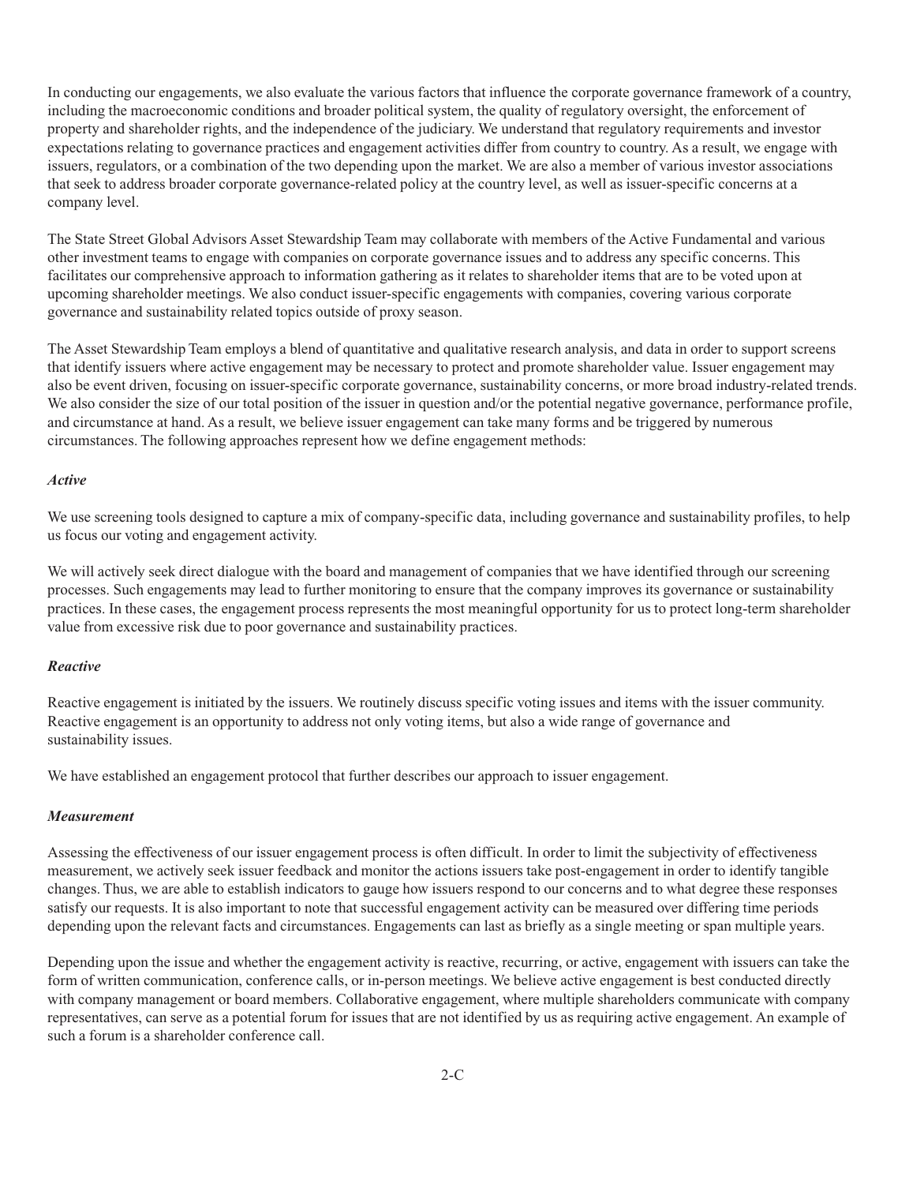In conducting our engagements, we also evaluate the various factors that influence the corporate governance framework of a country, including the macroeconomic conditions and broader political system, the quality of regulatory oversight, the enforcement of property and shareholder rights, and the independence of the judiciary. We understand that regulatory requirements and investor expectations relating to governance practices and engagement activities differ from country to country. As a result, we engage with issuers, regulators, or a combination of the two depending upon the market. We are also a member of various investor associations that seek to address broader corporate governance-related policy at the country level, as well as issuer-specific concerns at a company level.

The State Street Global Advisors Asset Stewardship Team may collaborate with members of the Active Fundamental and various other investment teams to engage with companies on corporate governance issues and to address any specific concerns. This facilitates our comprehensive approach to information gathering as it relates to shareholder items that are to be voted upon at upcoming shareholder meetings. We also conduct issuer-specific engagements with companies, covering various corporate governance and sustainability related topics outside of proxy season.

The Asset Stewardship Team employs a blend of quantitative and qualitative research analysis, and data in order to support screens that identify issuers where active engagement may be necessary to protect and promote shareholder value. Issuer engagement may also be event driven, focusing on issuer-specific corporate governance, sustainability concerns, or more broad industry-related trends. We also consider the size of our total position of the issuer in question and/or the potential negative governance, performance profile, and circumstance at hand. As a result, we believe issuer engagement can take many forms and be triggered by numerous circumstances. The following approaches represent how we define engagement methods:

#### *Active*

We use screening tools designed to capture a mix of company-specific data, including governance and sustainability profiles, to help us focus our voting and engagement activity.

We will actively seek direct dialogue with the board and management of companies that we have identified through our screening processes. Such engagements may lead to further monitoring to ensure that the company improves its governance or sustainability practices. In these cases, the engagement process represents the most meaningful opportunity for us to protect long-term shareholder value from excessive risk due to poor governance and sustainability practices.

#### *Reactive*

Reactive engagement is initiated by the issuers. We routinely discuss specific voting issues and items with the issuer community. Reactive engagement is an opportunity to address not only voting items, but also a wide range of governance and sustainability issues.

We have established an engagement protocol that further describes our approach to issuer engagement.

#### *Measurement*

Assessing the effectiveness of our issuer engagement process is often difficult. In order to limit the subjectivity of effectiveness measurement, we actively seek issuer feedback and monitor the actions issuers take post-engagement in order to identify tangible changes. Thus, we are able to establish indicators to gauge how issuers respond to our concerns and to what degree these responses satisfy our requests. It is also important to note that successful engagement activity can be measured over differing time periods depending upon the relevant facts and circumstances. Engagements can last as briefly as a single meeting or span multiple years.

Depending upon the issue and whether the engagement activity is reactive, recurring, or active, engagement with issuers can take the form of written communication, conference calls, or in-person meetings. We believe active engagement is best conducted directly with company management or board members. Collaborative engagement, where multiple shareholders communicate with company representatives, can serve as a potential forum for issues that are not identified by us as requiring active engagement. An example of such a forum is a shareholder conference call.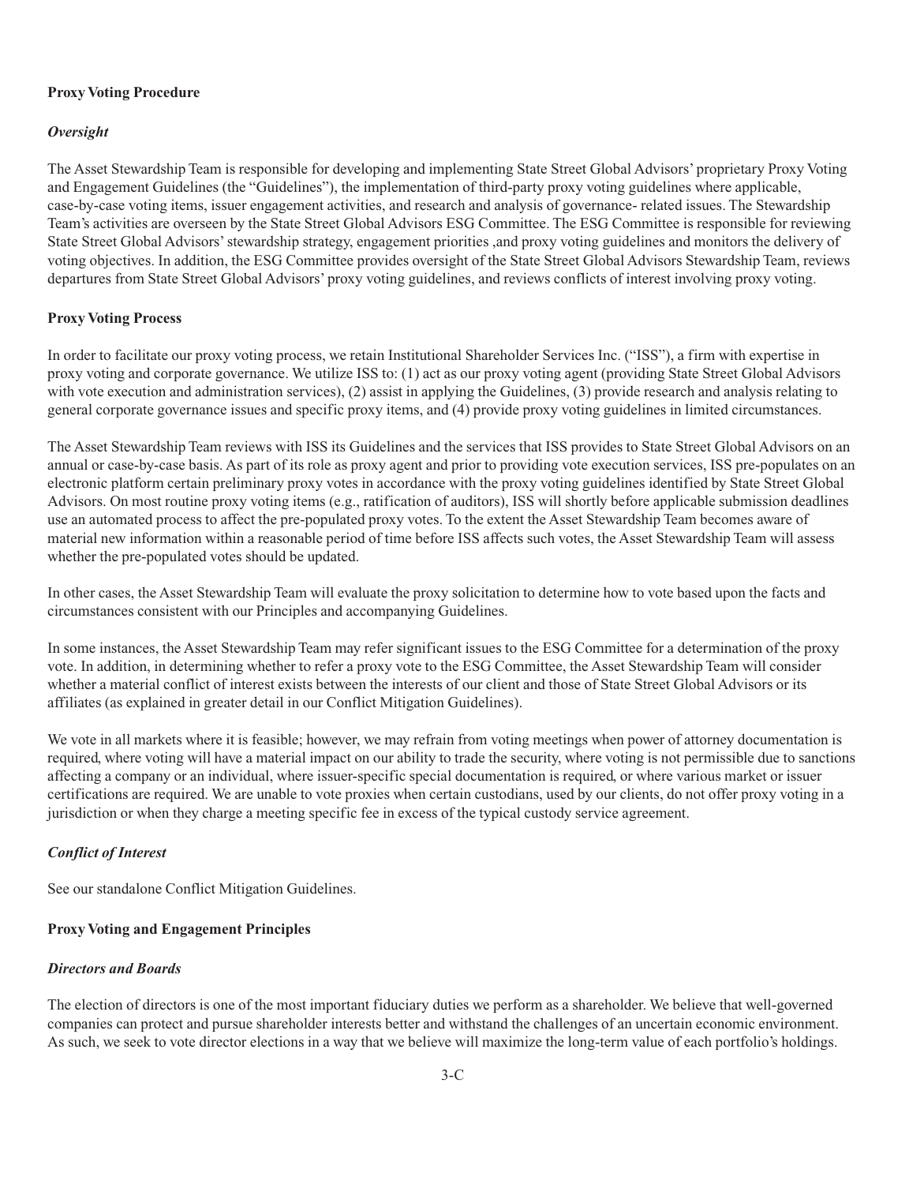#### **Proxy Voting Procedure**

#### *Oversight*

The Asset Stewardship Team is responsible for developing and implementing State Street Global Advisors' proprietary Proxy Voting and Engagement Guidelines (the "Guidelines"), the implementation of third-party proxy voting guidelines where applicable, case-by-case voting items, issuer engagement activities, and research and analysis of governance- related issues. The Stewardship Team's activities are overseen by the State Street Global Advisors ESG Committee. The ESG Committee is responsible for reviewing State Street Global Advisors' stewardship strategy, engagement priorities ,and proxy voting guidelines and monitors the delivery of voting objectives. In addition, the ESG Committee provides oversight of the State Street Global Advisors Stewardship Team, reviews departures from State Street Global Advisors' proxy voting guidelines, and reviews conflicts of interest involving proxy voting.

### **Proxy Voting Process**

In order to facilitate our proxy voting process, we retain Institutional Shareholder Services Inc. ("ISS"), a firm with expertise in proxy voting and corporate governance. We utilize ISS to: (1) act as our proxy voting agent (providing State Street Global Advisors with vote execution and administration services), (2) assist in applying the Guidelines, (3) provide research and analysis relating to general corporate governance issues and specific proxy items, and (4) provide proxy voting guidelines in limited circumstances.

The Asset Stewardship Team reviews with ISS its Guidelines and the services that ISS provides to State Street Global Advisors on an annual or case-by-case basis. As part of its role as proxy agent and prior to providing vote execution services, ISS pre-populates on an electronic platform certain preliminary proxy votes in accordance with the proxy voting guidelines identified by State Street Global Advisors. On most routine proxy voting items (e.g., ratification of auditors), ISS will shortly before applicable submission deadlines use an automated process to affect the pre-populated proxy votes. To the extent the Asset Stewardship Team becomes aware of material new information within a reasonable period of time before ISS affects such votes, the Asset Stewardship Team will assess whether the pre-populated votes should be updated.

In other cases, the Asset Stewardship Team will evaluate the proxy solicitation to determine how to vote based upon the facts and circumstances consistent with our Principles and accompanying Guidelines.

In some instances, the Asset Stewardship Team may refer significant issues to the ESG Committee for a determination of the proxy vote. In addition, in determining whether to refer a proxy vote to the ESG Committee, the Asset Stewardship Team will consider whether a material conflict of interest exists between the interests of our client and those of State Street Global Advisors or its affiliates (as explained in greater detail in our Conflict Mitigation Guidelines).

We vote in all markets where it is feasible; however, we may refrain from voting meetings when power of attorney documentation is required, where voting will have a material impact on our ability to trade the security, where voting is not permissible due to sanctions affecting a company or an individual, where issuer-specific special documentation is required, or where various market or issuer certifications are required. We are unable to vote proxies when certain custodians, used by our clients, do not offer proxy voting in a jurisdiction or when they charge a meeting specific fee in excess of the typical custody service agreement.

### *Conflict of Interest*

See our standalone Conflict Mitigation Guidelines.

### **Proxy Voting and Engagement Principles**

# *Directors and Boards*

The election of directors is one of the most important fiduciary duties we perform as a shareholder. We believe that well-governed companies can protect and pursue shareholder interests better and withstand the challenges of an uncertain economic environment. As such, we seek to vote director elections in a way that we believe will maximize the long-term value of each portfolio's holdings.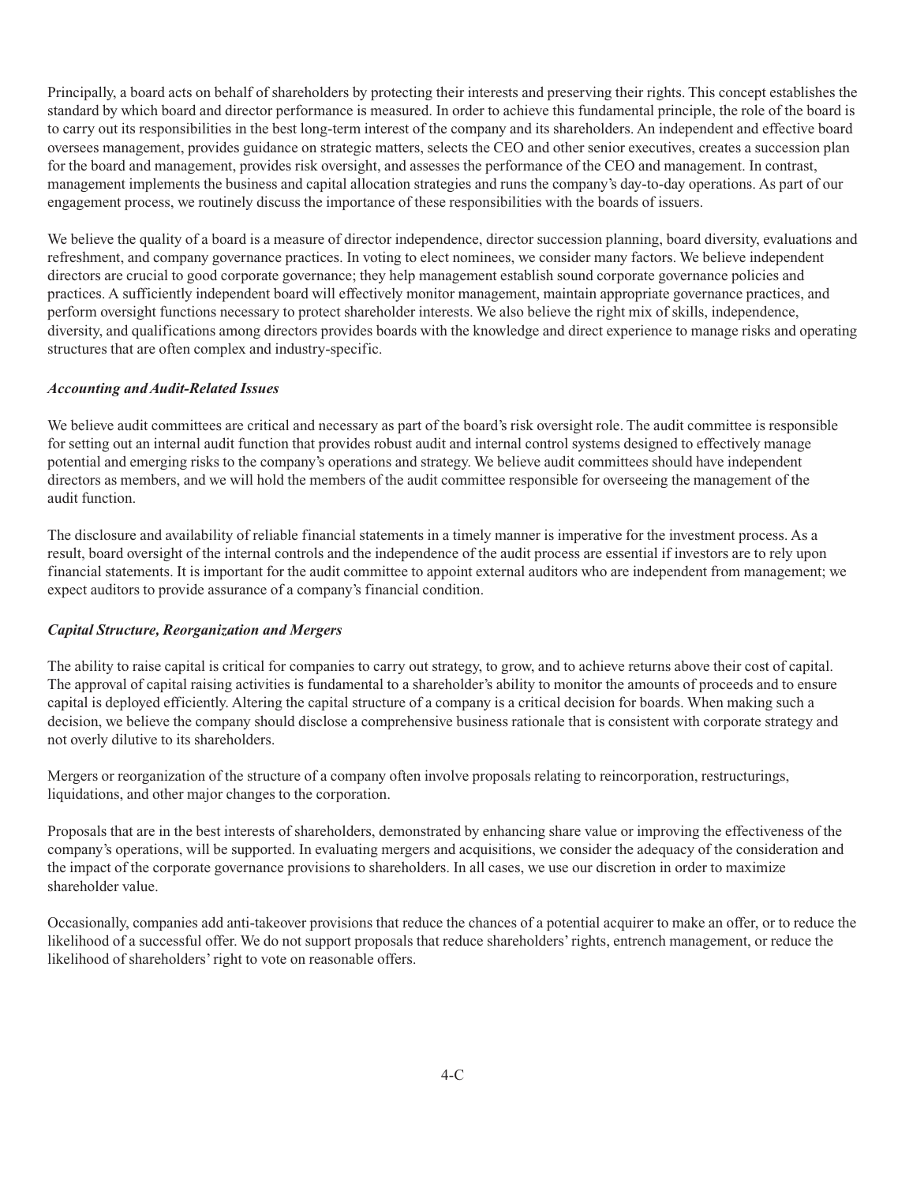Principally, a board acts on behalf of shareholders by protecting their interests and preserving their rights. This concept establishes the standard by which board and director performance is measured. In order to achieve this fundamental principle, the role of the board is to carry out its responsibilities in the best long-term interest of the company and its shareholders. An independent and effective board oversees management, provides guidance on strategic matters, selects the CEO and other senior executives, creates a succession plan for the board and management, provides risk oversight, and assesses the performance of the CEO and management. In contrast, management implements the business and capital allocation strategies and runs the company's day-to-day operations. As part of our engagement process, we routinely discuss the importance of these responsibilities with the boards of issuers.

We believe the quality of a board is a measure of director independence, director succession planning, board diversity, evaluations and refreshment, and company governance practices. In voting to elect nominees, we consider many factors. We believe independent directors are crucial to good corporate governance; they help management establish sound corporate governance policies and practices. A sufficiently independent board will effectively monitor management, maintain appropriate governance practices, and perform oversight functions necessary to protect shareholder interests. We also believe the right mix of skills, independence, diversity, and qualifications among directors provides boards with the knowledge and direct experience to manage risks and operating structures that are often complex and industry-specific.

### *Accounting and Audit-Related Issues*

We believe audit committees are critical and necessary as part of the board's risk oversight role. The audit committee is responsible for setting out an internal audit function that provides robust audit and internal control systems designed to effectively manage potential and emerging risks to the company's operations and strategy. We believe audit committees should have independent directors as members, and we will hold the members of the audit committee responsible for overseeing the management of the audit function.

The disclosure and availability of reliable financial statements in a timely manner is imperative for the investment process. As a result, board oversight of the internal controls and the independence of the audit process are essential if investors are to rely upon financial statements. It is important for the audit committee to appoint external auditors who are independent from management; we expect auditors to provide assurance of a company's financial condition.

#### *Capital Structure, Reorganization and Mergers*

The ability to raise capital is critical for companies to carry out strategy, to grow, and to achieve returns above their cost of capital. The approval of capital raising activities is fundamental to a shareholder's ability to monitor the amounts of proceeds and to ensure capital is deployed efficiently. Altering the capital structure of a company is a critical decision for boards. When making such a decision, we believe the company should disclose a comprehensive business rationale that is consistent with corporate strategy and not overly dilutive to its shareholders.

Mergers or reorganization of the structure of a company often involve proposals relating to reincorporation, restructurings, liquidations, and other major changes to the corporation.

Proposals that are in the best interests of shareholders, demonstrated by enhancing share value or improving the effectiveness of the company's operations, will be supported. In evaluating mergers and acquisitions, we consider the adequacy of the consideration and the impact of the corporate governance provisions to shareholders. In all cases, we use our discretion in order to maximize shareholder value.

Occasionally, companies add anti-takeover provisions that reduce the chances of a potential acquirer to make an offer, or to reduce the likelihood of a successful offer. We do not support proposals that reduce shareholders' rights, entrench management, or reduce the likelihood of shareholders' right to vote on reasonable offers.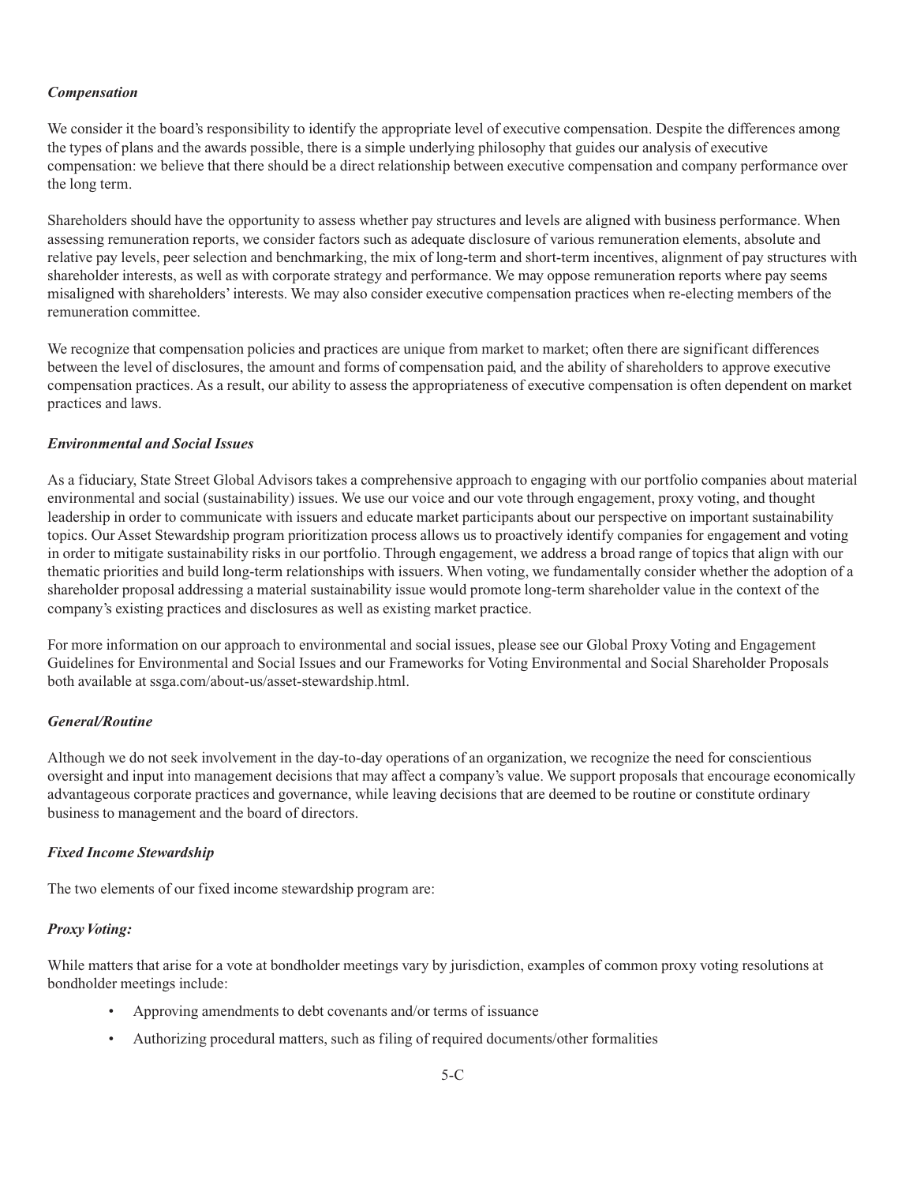### *Compensation*

We consider it the board's responsibility to identify the appropriate level of executive compensation. Despite the differences among the types of plans and the awards possible, there is a simple underlying philosophy that guides our analysis of executive compensation: we believe that there should be a direct relationship between executive compensation and company performance over the long term.

Shareholders should have the opportunity to assess whether pay structures and levels are aligned with business performance. When assessing remuneration reports, we consider factors such as adequate disclosure of various remuneration elements, absolute and relative pay levels, peer selection and benchmarking, the mix of long-term and short-term incentives, alignment of pay structures with shareholder interests, as well as with corporate strategy and performance. We may oppose remuneration reports where pay seems misaligned with shareholders' interests. We may also consider executive compensation practices when re-electing members of the remuneration committee.

We recognize that compensation policies and practices are unique from market to market; often there are significant differences between the level of disclosures, the amount and forms of compensation paid, and the ability of shareholders to approve executive compensation practices. As a result, our ability to assess the appropriateness of executive compensation is often dependent on market practices and laws.

### *Environmental and Social Issues*

As a fiduciary, State Street Global Advisors takes a comprehensive approach to engaging with our portfolio companies about material environmental and social (sustainability) issues. We use our voice and our vote through engagement, proxy voting, and thought leadership in order to communicate with issuers and educate market participants about our perspective on important sustainability topics. Our Asset Stewardship program prioritization process allows us to proactively identify companies for engagement and voting in order to mitigate sustainability risks in our portfolio. Through engagement, we address a broad range of topics that align with our thematic priorities and build long-term relationships with issuers. When voting, we fundamentally consider whether the adoption of a shareholder proposal addressing a material sustainability issue would promote long-term shareholder value in the context of the company's existing practices and disclosures as well as existing market practice.

For more information on our approach to environmental and social issues, please see our Global Proxy Voting and Engagement Guidelines for Environmental and Social Issues and our Frameworks for Voting Environmental and Social Shareholder Proposals both available at ssga.com/about-us/asset-stewardship.html.

#### *General/Routine*

Although we do not seek involvement in the day-to-day operations of an organization, we recognize the need for conscientious oversight and input into management decisions that may affect a company's value. We support proposals that encourage economically advantageous corporate practices and governance, while leaving decisions that are deemed to be routine or constitute ordinary business to management and the board of directors.

### *Fixed Income Stewardship*

The two elements of our fixed income stewardship program are:

### *Proxy Voting:*

While matters that arise for a vote at bondholder meetings vary by jurisdiction, examples of common proxy voting resolutions at bondholder meetings include:

- Approving amendments to debt covenants and/or terms of issuance
- Authorizing procedural matters, such as filing of required documents/other formalities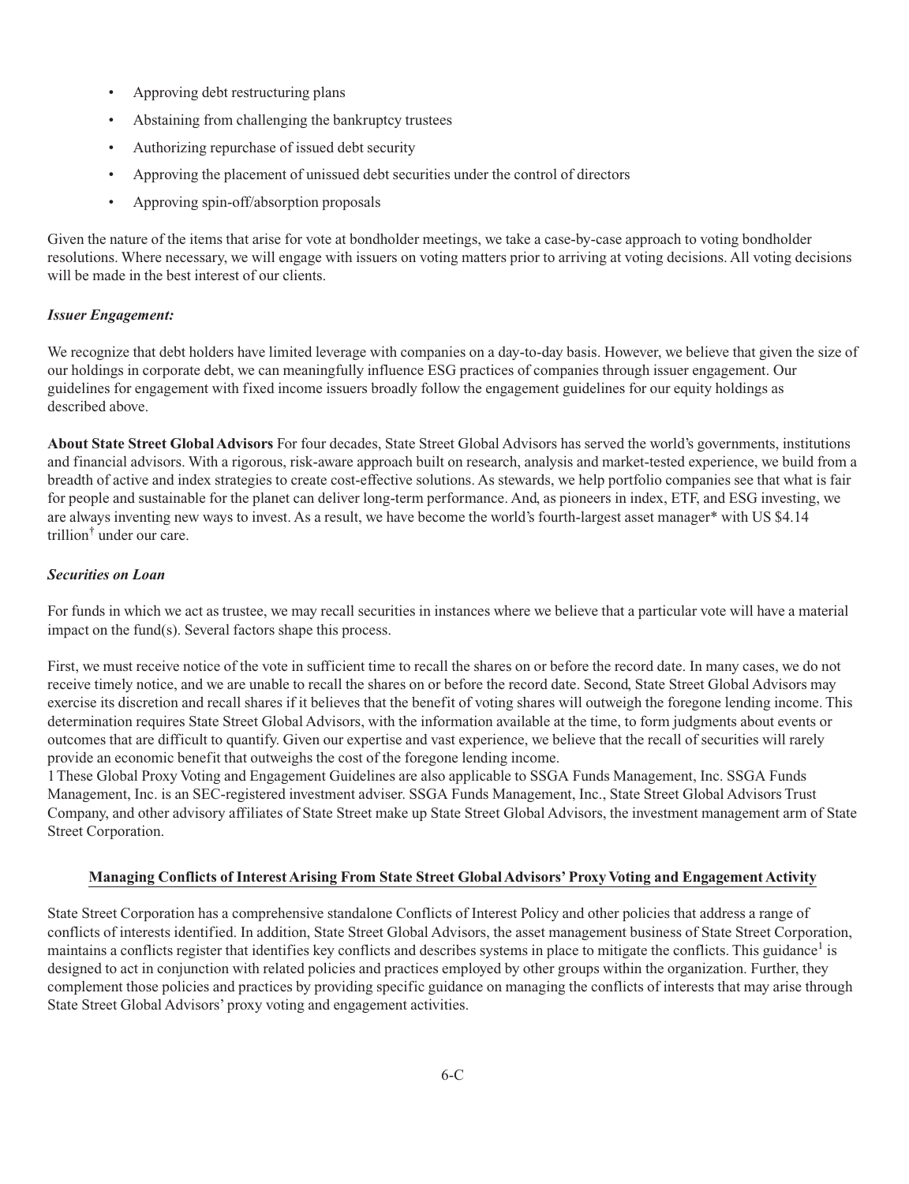- Approving debt restructuring plans
- Abstaining from challenging the bankruptcy trustees
- Authorizing repurchase of issued debt security
- Approving the placement of unissued debt securities under the control of directors
- Approving spin-off/absorption proposals

Given the nature of the items that arise for vote at bondholder meetings, we take a case-by-case approach to voting bondholder resolutions. Where necessary, we will engage with issuers on voting matters prior to arriving at voting decisions. All voting decisions will be made in the best interest of our clients.

# *Issuer Engagement:*

We recognize that debt holders have limited leverage with companies on a day-to-day basis. However, we believe that given the size of our holdings in corporate debt, we can meaningfully influence ESG practices of companies through issuer engagement. Our guidelines for engagement with fixed income issuers broadly follow the engagement guidelines for our equity holdings as described above.

**About State Street Global Advisors** For four decades, State Street Global Advisors has served the world's governments, institutions and financial advisors. With a rigorous, risk-aware approach built on research, analysis and market-tested experience, we build from a breadth of active and index strategies to create cost-effective solutions. As stewards, we help portfolio companies see that what is fair for people and sustainable for the planet can deliver long-term performance. And, as pioneers in index, ETF, and ESG investing, we are always inventing new ways to invest. As a result, we have become the world's fourth-largest asset manager\* with US \$4.14 trillion† under our care.

# *Securities on Loan*

For funds in which we act as trustee, we may recall securities in instances where we believe that a particular vote will have a material impact on the fund(s). Several factors shape this process.

First, we must receive notice of the vote in sufficient time to recall the shares on or before the record date. In many cases, we do not receive timely notice, and we are unable to recall the shares on or before the record date. Second, State Street Global Advisors may exercise its discretion and recall shares if it believes that the benefit of voting shares will outweigh the foregone lending income. This determination requires State Street Global Advisors, with the information available at the time, to form judgments about events or outcomes that are difficult to quantify. Given our expertise and vast experience, we believe that the recall of securities will rarely provide an economic benefit that outweighs the cost of the foregone lending income.

1These Global Proxy Voting and Engagement Guidelines are also applicable to SSGA Funds Management, Inc. SSGA Funds Management, Inc. is an SEC-registered investment adviser. SSGA Funds Management, Inc., State Street Global Advisors Trust Company, and other advisory affiliates of State Street make up State Street Global Advisors, the investment management arm of State Street Corporation.

### **Managing Conflicts of Interest Arising From State Street Global Advisors' Proxy Voting and Engagement Activity**

State Street Corporation has a comprehensive standalone Conflicts of Interest Policy and other policies that address a range of conflicts of interests identified. In addition, State Street Global Advisors, the asset management business of State Street Corporation, maintains a conflicts register that identifies key conflicts and describes systems in place to mitigate the conflicts. This guidance<sup>1</sup> is designed to act in conjunction with related policies and practices employed by other groups within the organization. Further, they complement those policies and practices by providing specific guidance on managing the conflicts of interests that may arise through State Street Global Advisors' proxy voting and engagement activities.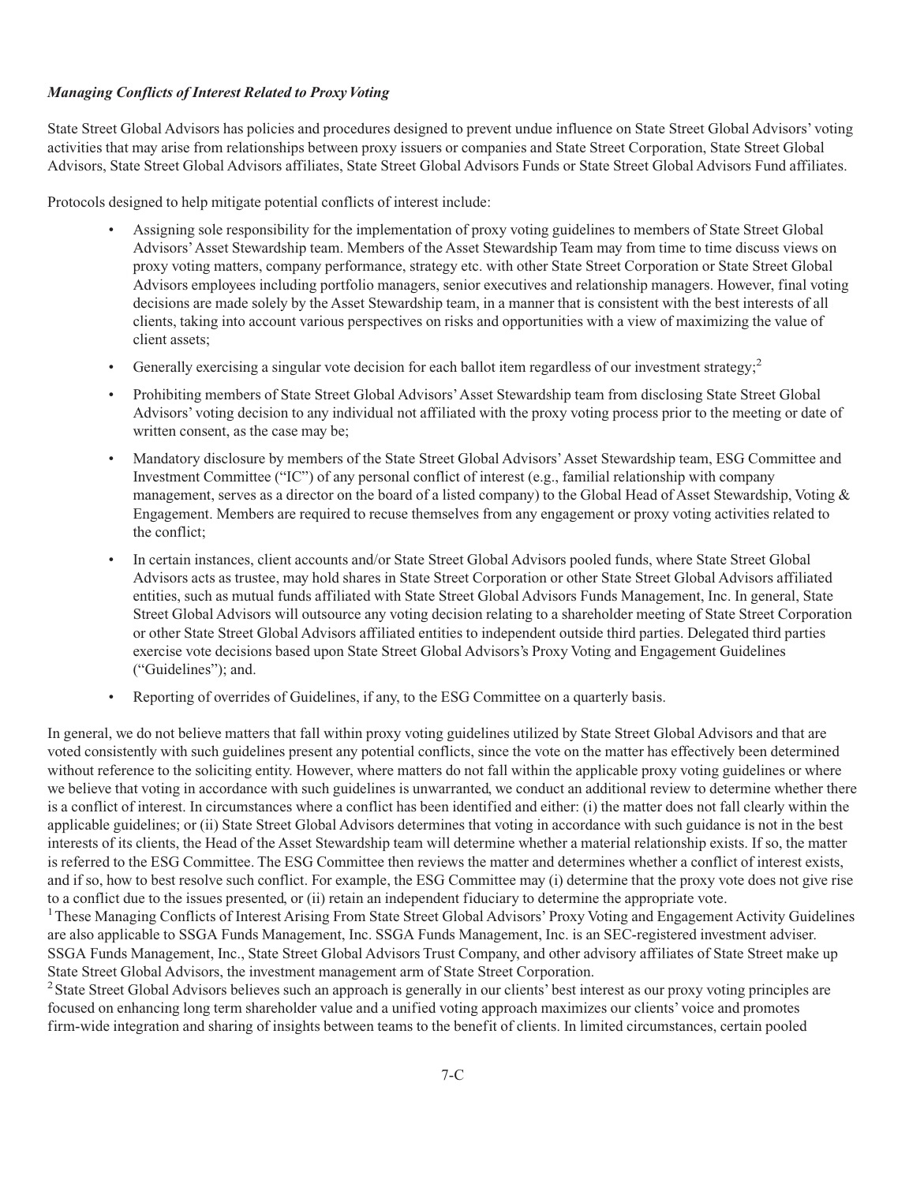#### *Managing Conflicts of Interest Related to Proxy Voting*

State Street Global Advisors has policies and procedures designed to prevent undue influence on State Street Global Advisors' voting activities that may arise from relationships between proxy issuers or companies and State Street Corporation, State Street Global Advisors, State Street Global Advisors affiliates, State Street Global Advisors Funds or State Street Global Advisors Fund affiliates.

Protocols designed to help mitigate potential conflicts of interest include:

- Assigning sole responsibility for the implementation of proxy voting guidelines to members of State Street Global Advisors'Asset Stewardship team. Members of the Asset Stewardship Team may from time to time discuss views on proxy voting matters, company performance, strategy etc. with other State Street Corporation or State Street Global Advisors employees including portfolio managers, senior executives and relationship managers. However, final voting decisions are made solely by the Asset Stewardship team, in a manner that is consistent with the best interests of all clients, taking into account various perspectives on risks and opportunities with a view of maximizing the value of client assets;
- Generally exercising a singular vote decision for each ballot item regardless of our investment strategy;<sup>2</sup>
- Prohibiting members of State Street Global Advisors'Asset Stewardship team from disclosing State Street Global Advisors' voting decision to any individual not affiliated with the proxy voting process prior to the meeting or date of written consent, as the case may be;
- Mandatory disclosure by members of the State Street Global Advisors'Asset Stewardship team, ESG Committee and Investment Committee ("IC") of any personal conflict of interest (e.g., familial relationship with company management, serves as a director on the board of a listed company) to the Global Head of Asset Stewardship, Voting  $\&$ Engagement. Members are required to recuse themselves from any engagement or proxy voting activities related to the conflict;
- In certain instances, client accounts and/or State Street Global Advisors pooled funds, where State Street Global Advisors acts as trustee, may hold shares in State Street Corporation or other State Street Global Advisors affiliated entities, such as mutual funds affiliated with State Street Global Advisors Funds Management, Inc. In general, State Street Global Advisors will outsource any voting decision relating to a shareholder meeting of State Street Corporation or other State Street Global Advisors affiliated entities to independent outside third parties. Delegated third parties exercise vote decisions based upon State Street Global Advisors's Proxy Voting and Engagement Guidelines ("Guidelines"); and.
- Reporting of overrides of Guidelines, if any, to the ESG Committee on a quarterly basis.

In general, we do not believe matters that fall within proxy voting guidelines utilized by State Street Global Advisors and that are voted consistently with such guidelines present any potential conflicts, since the vote on the matter has effectively been determined without reference to the soliciting entity. However, where matters do not fall within the applicable proxy voting guidelines or where we believe that voting in accordance with such guidelines is unwarranted, we conduct an additional review to determine whether there is a conflict of interest. In circumstances where a conflict has been identified and either: (i) the matter does not fall clearly within the applicable guidelines; or (ii) State Street Global Advisors determines that voting in accordance with such guidance is not in the best interests of its clients, the Head of the Asset Stewardship team will determine whether a material relationship exists. If so, the matter is referred to the ESG Committee. The ESG Committee then reviews the matter and determines whether a conflict of interest exists, and if so, how to best resolve such conflict. For example, the ESG Committee may (i) determine that the proxy vote does not give rise to a conflict due to the issues presented, or (ii) retain an independent fiduciary to determine the appropriate vote.

<sup>1</sup> These Managing Conflicts of Interest Arising From State Street Global Advisors' Proxy Voting and Engagement Activity Guidelines are also applicable to SSGA Funds Management, Inc. SSGA Funds Management, Inc. is an SEC-registered investment adviser. SSGA Funds Management, Inc., State Street Global Advisors Trust Company, and other advisory affiliates of State Street make up State Street Global Advisors, the investment management arm of State Street Corporation.

<sup>2</sup> State Street Global Advisors believes such an approach is generally in our clients' best interest as our proxy voting principles are focused on enhancing long term shareholder value and a unified voting approach maximizes our clients' voice and promotes firm-wide integration and sharing of insights between teams to the benefit of clients. In limited circumstances, certain pooled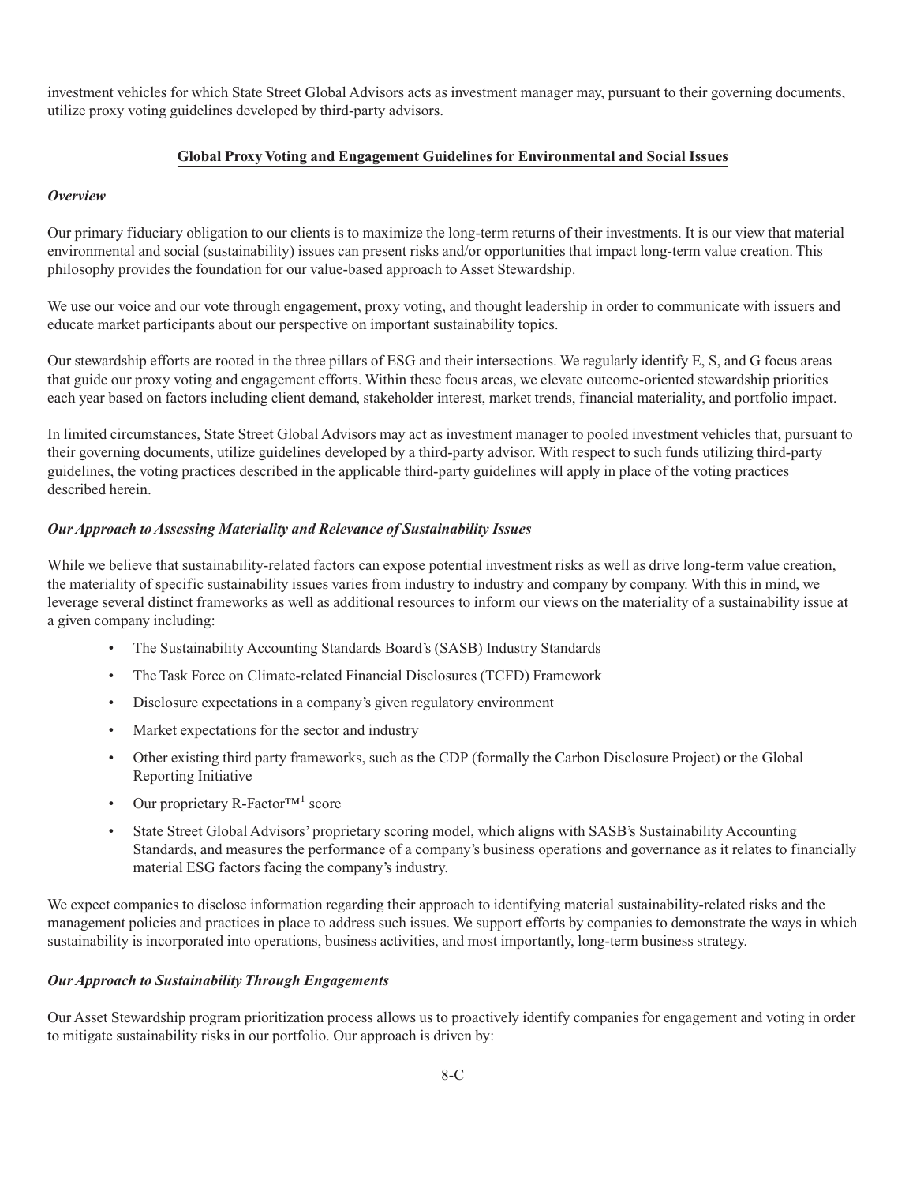investment vehicles for which State Street Global Advisors acts as investment manager may, pursuant to their governing documents, utilize proxy voting guidelines developed by third-party advisors.

### **Global Proxy Voting and Engagement Guidelines for Environmental and Social Issues**

#### *Overview*

Our primary fiduciary obligation to our clients is to maximize the long-term returns of their investments. It is our view that material environmental and social (sustainability) issues can present risks and/or opportunities that impact long-term value creation. This philosophy provides the foundation for our value-based approach to Asset Stewardship.

We use our voice and our vote through engagement, proxy voting, and thought leadership in order to communicate with issuers and educate market participants about our perspective on important sustainability topics.

Our stewardship efforts are rooted in the three pillars of ESG and their intersections. We regularly identify E, S, and G focus areas that guide our proxy voting and engagement efforts. Within these focus areas, we elevate outcome-oriented stewardship priorities each year based on factors including client demand, stakeholder interest, market trends, financial materiality, and portfolio impact.

In limited circumstances, State Street Global Advisors may act as investment manager to pooled investment vehicles that, pursuant to their governing documents, utilize guidelines developed by a third-party advisor. With respect to such funds utilizing third-party guidelines, the voting practices described in the applicable third-party guidelines will apply in place of the voting practices described herein.

### *Our Approach to Assessing Materiality and Relevance of Sustainability Issues*

While we believe that sustainability-related factors can expose potential investment risks as well as drive long-term value creation, the materiality of specific sustainability issues varies from industry to industry and company by company. With this in mind, we leverage several distinct frameworks as well as additional resources to inform our views on the materiality of a sustainability issue at a given company including:

- The Sustainability Accounting Standards Board's (SASB) Industry Standards
- The Task Force on Climate-related Financial Disclosures (TCFD) Framework
- Disclosure expectations in a company's given regulatory environment
- Market expectations for the sector and industry
- Other existing third party frameworks, such as the CDP (formally the Carbon Disclosure Project) or the Global Reporting Initiative
- Our proprietary R-Factor $TM^1$  score
- State Street Global Advisors' proprietary scoring model, which aligns with SASB's Sustainability Accounting Standards, and measures the performance of a company's business operations and governance as it relates to financially material ESG factors facing the company's industry.

We expect companies to disclose information regarding their approach to identifying material sustainability-related risks and the management policies and practices in place to address such issues. We support efforts by companies to demonstrate the ways in which sustainability is incorporated into operations, business activities, and most importantly, long-term business strategy.

### *Our Approach to Sustainability Through Engagements*

Our Asset Stewardship program prioritization process allows us to proactively identify companies for engagement and voting in order to mitigate sustainability risks in our portfolio. Our approach is driven by: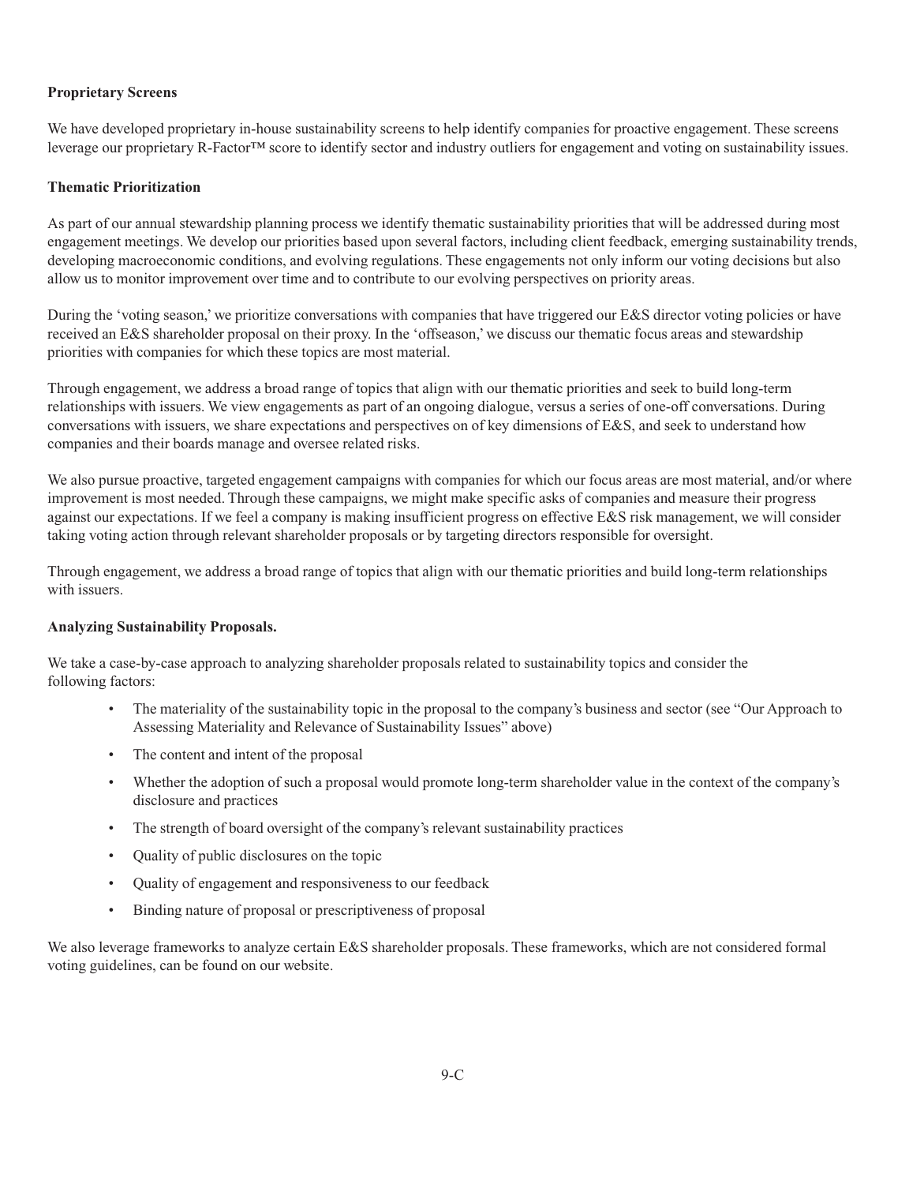## **Proprietary Screens**

We have developed proprietary in-house sustainability screens to help identify companies for proactive engagement. These screens leverage our proprietary R-Factor™ score to identify sector and industry outliers for engagement and voting on sustainability issues.

## **Thematic Prioritization**

As part of our annual stewardship planning process we identify thematic sustainability priorities that will be addressed during most engagement meetings. We develop our priorities based upon several factors, including client feedback, emerging sustainability trends, developing macroeconomic conditions, and evolving regulations. These engagements not only inform our voting decisions but also allow us to monitor improvement over time and to contribute to our evolving perspectives on priority areas.

During the 'voting season,' we prioritize conversations with companies that have triggered our E&S director voting policies or have received an E&S shareholder proposal on their proxy. In the 'offseason,' we discuss our thematic focus areas and stewardship priorities with companies for which these topics are most material.

Through engagement, we address a broad range of topics that align with our thematic priorities and seek to build long-term relationships with issuers. We view engagements as part of an ongoing dialogue, versus a series of one-off conversations. During conversations with issuers, we share expectations and perspectives on of key dimensions of E&S, and seek to understand how companies and their boards manage and oversee related risks.

We also pursue proactive, targeted engagement campaigns with companies for which our focus areas are most material, and/or where improvement is most needed. Through these campaigns, we might make specific asks of companies and measure their progress against our expectations. If we feel a company is making insufficient progress on effective E&S risk management, we will consider taking voting action through relevant shareholder proposals or by targeting directors responsible for oversight.

Through engagement, we address a broad range of topics that align with our thematic priorities and build long-term relationships with issuers.

### **Analyzing Sustainability Proposals.**

We take a case-by-case approach to analyzing shareholder proposals related to sustainability topics and consider the following factors:

- The materiality of the sustainability topic in the proposal to the company's business and sector (see "Our Approach to Assessing Materiality and Relevance of Sustainability Issues" above)
- The content and intent of the proposal
- Whether the adoption of such a proposal would promote long-term shareholder value in the context of the company's disclosure and practices
- The strength of board oversight of the company's relevant sustainability practices
- Quality of public disclosures on the topic
- Quality of engagement and responsiveness to our feedback
- Binding nature of proposal or prescriptiveness of proposal

We also leverage frameworks to analyze certain E&S shareholder proposals. These frameworks, which are not considered formal voting guidelines, can be found on our website.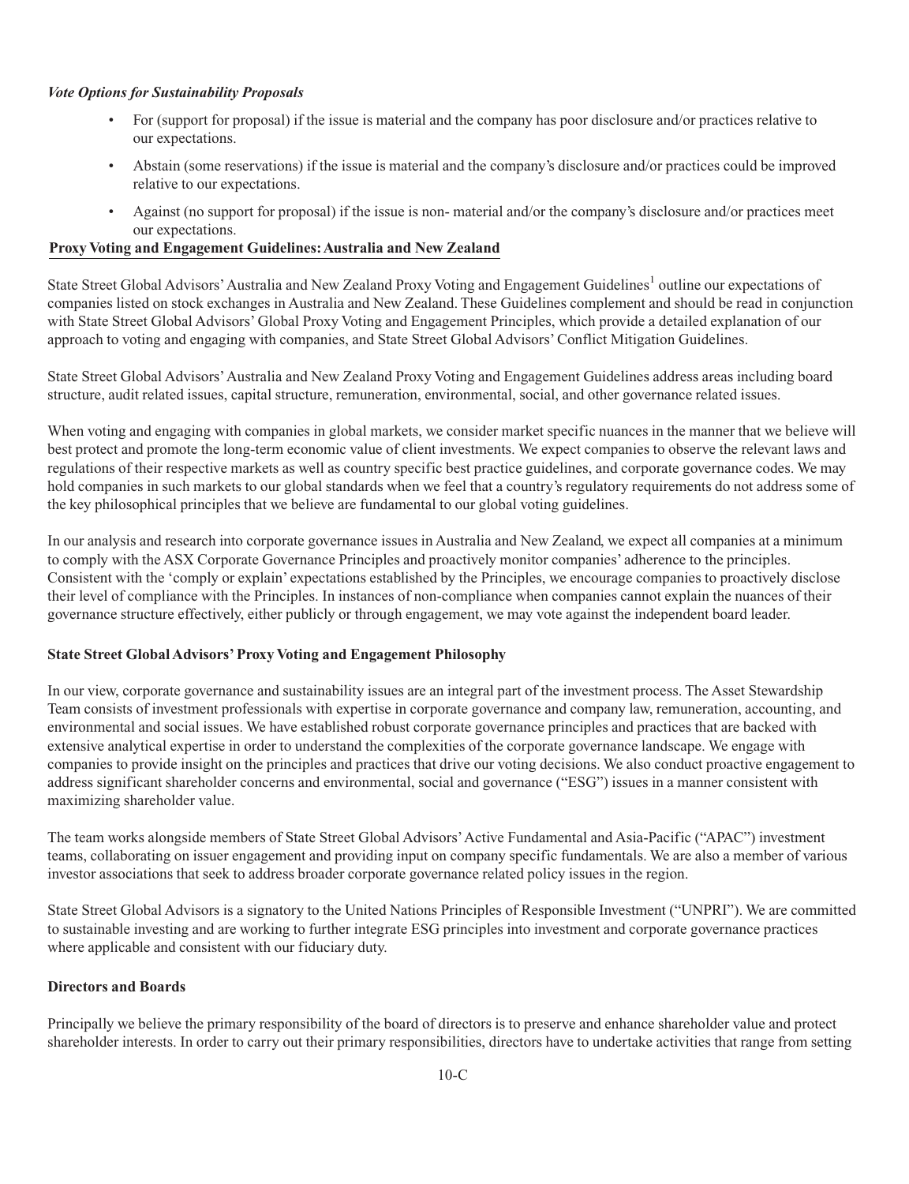#### *Vote Options for Sustainability Proposals*

- For (support for proposal) if the issue is material and the company has poor disclosure and/or practices relative to our expectations.
- Abstain (some reservations) if the issue is material and the company's disclosure and/or practices could be improved relative to our expectations.
- Against (no support for proposal) if the issue is non- material and/or the company's disclosure and/or practices meet our expectations.

# **Proxy Voting and Engagement Guidelines:Australia and New Zealand**

State Street Global Advisors' Australia and New Zealand Proxy Voting and Engagement Guidelines<sup>1</sup> outline our expectations of companies listed on stock exchanges in Australia and New Zealand. These Guidelines complement and should be read in conjunction with State Street Global Advisors' Global Proxy Voting and Engagement Principles, which provide a detailed explanation of our approach to voting and engaging with companies, and State Street Global Advisors' Conflict Mitigation Guidelines.

State Street Global Advisors'Australia and New Zealand Proxy Voting and Engagement Guidelines address areas including board structure, audit related issues, capital structure, remuneration, environmental, social, and other governance related issues.

When voting and engaging with companies in global markets, we consider market specific nuances in the manner that we believe will best protect and promote the long-term economic value of client investments. We expect companies to observe the relevant laws and regulations of their respective markets as well as country specific best practice guidelines, and corporate governance codes. We may hold companies in such markets to our global standards when we feel that a country's regulatory requirements do not address some of the key philosophical principles that we believe are fundamental to our global voting guidelines.

In our analysis and research into corporate governance issues in Australia and New Zealand, we expect all companies at a minimum to comply with the ASX Corporate Governance Principles and proactively monitor companies' adherence to the principles. Consistent with the 'comply or explain' expectations established by the Principles, we encourage companies to proactively disclose their level of compliance with the Principles. In instances of non-compliance when companies cannot explain the nuances of their governance structure effectively, either publicly or through engagement, we may vote against the independent board leader.

### **State Street Global Advisors' Proxy Voting and Engagement Philosophy**

In our view, corporate governance and sustainability issues are an integral part of the investment process. The Asset Stewardship Team consists of investment professionals with expertise in corporate governance and company law, remuneration, accounting, and environmental and social issues. We have established robust corporate governance principles and practices that are backed with extensive analytical expertise in order to understand the complexities of the corporate governance landscape. We engage with companies to provide insight on the principles and practices that drive our voting decisions. We also conduct proactive engagement to address significant shareholder concerns and environmental, social and governance ("ESG") issues in a manner consistent with maximizing shareholder value.

The team works alongside members of State Street Global Advisors'Active Fundamental and Asia-Pacific ("APAC") investment teams, collaborating on issuer engagement and providing input on company specific fundamentals. We are also a member of various investor associations that seek to address broader corporate governance related policy issues in the region.

State Street Global Advisors is a signatory to the United Nations Principles of Responsible Investment ("UNPRI"). We are committed to sustainable investing and are working to further integrate ESG principles into investment and corporate governance practices where applicable and consistent with our fiduciary duty.

## **Directors and Boards**

Principally we believe the primary responsibility of the board of directors is to preserve and enhance shareholder value and protect shareholder interests. In order to carry out their primary responsibilities, directors have to undertake activities that range from setting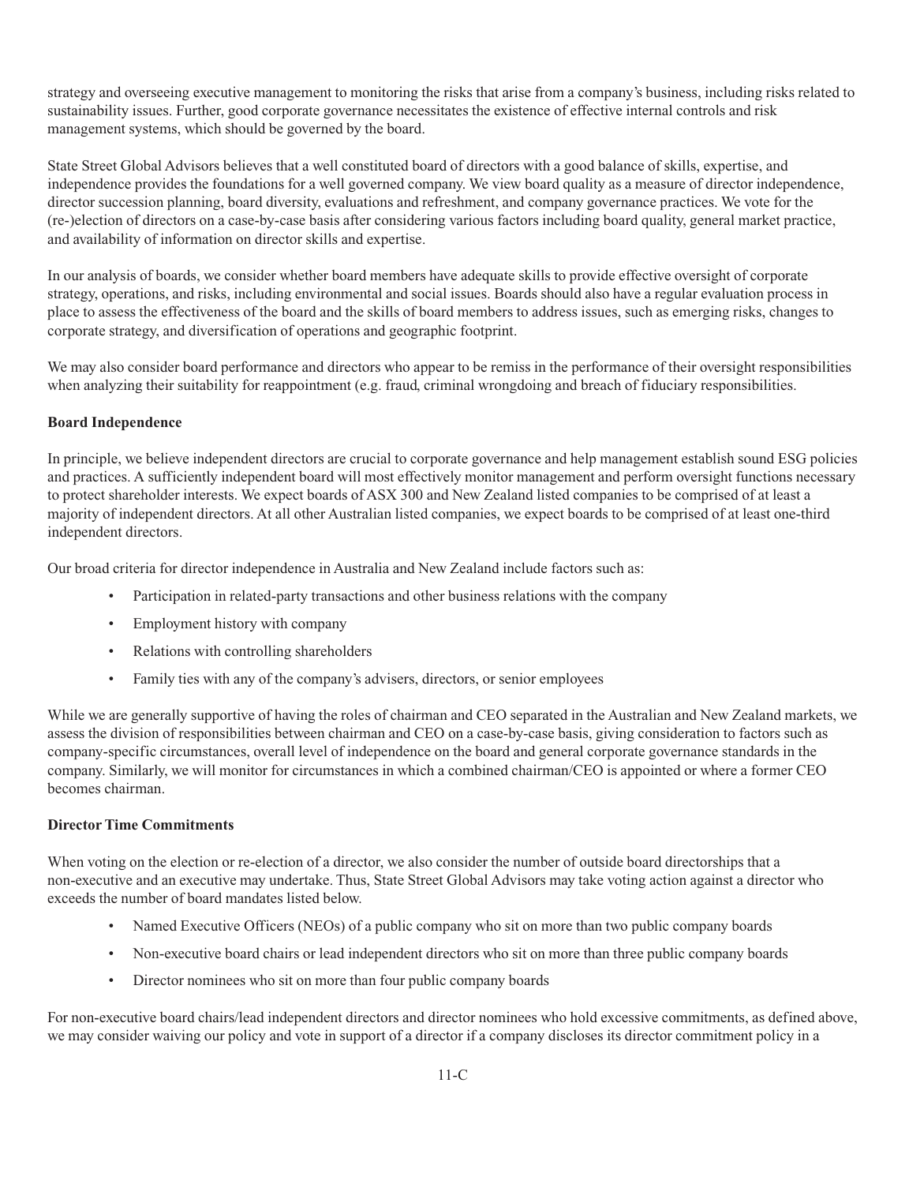strategy and overseeing executive management to monitoring the risks that arise from a company's business, including risks related to sustainability issues. Further, good corporate governance necessitates the existence of effective internal controls and risk management systems, which should be governed by the board.

State Street Global Advisors believes that a well constituted board of directors with a good balance of skills, expertise, and independence provides the foundations for a well governed company. We view board quality as a measure of director independence, director succession planning, board diversity, evaluations and refreshment, and company governance practices. We vote for the (re-)election of directors on a case-by-case basis after considering various factors including board quality, general market practice, and availability of information on director skills and expertise.

In our analysis of boards, we consider whether board members have adequate skills to provide effective oversight of corporate strategy, operations, and risks, including environmental and social issues. Boards should also have a regular evaluation process in place to assess the effectiveness of the board and the skills of board members to address issues, such as emerging risks, changes to corporate strategy, and diversification of operations and geographic footprint.

We may also consider board performance and directors who appear to be remiss in the performance of their oversight responsibilities when analyzing their suitability for reappointment (e.g. fraud, criminal wrongdoing and breach of fiduciary responsibilities.

# **Board Independence**

In principle, we believe independent directors are crucial to corporate governance and help management establish sound ESG policies and practices. A sufficiently independent board will most effectively monitor management and perform oversight functions necessary to protect shareholder interests. We expect boards of ASX 300 and New Zealand listed companies to be comprised of at least a majority of independent directors. At all other Australian listed companies, we expect boards to be comprised of at least one-third independent directors.

Our broad criteria for director independence in Australia and New Zealand include factors such as:

- Participation in related-party transactions and other business relations with the company
- Employment history with company
- Relations with controlling shareholders
- Family ties with any of the company's advisers, directors, or senior employees

While we are generally supportive of having the roles of chairman and CEO separated in the Australian and New Zealand markets, we assess the division of responsibilities between chairman and CEO on a case-by-case basis, giving consideration to factors such as company-specific circumstances, overall level of independence on the board and general corporate governance standards in the company. Similarly, we will monitor for circumstances in which a combined chairman/CEO is appointed or where a former CEO becomes chairman.

### **Director Time Commitments**

When voting on the election or re-election of a director, we also consider the number of outside board directorships that a non-executive and an executive may undertake. Thus, State Street Global Advisors may take voting action against a director who exceeds the number of board mandates listed below.

- Named Executive Officers (NEOs) of a public company who sit on more than two public company boards
- Non-executive board chairs or lead independent directors who sit on more than three public company boards
- Director nominees who sit on more than four public company boards

For non-executive board chairs/lead independent directors and director nominees who hold excessive commitments, as defined above, we may consider waiving our policy and vote in support of a director if a company discloses its director commitment policy in a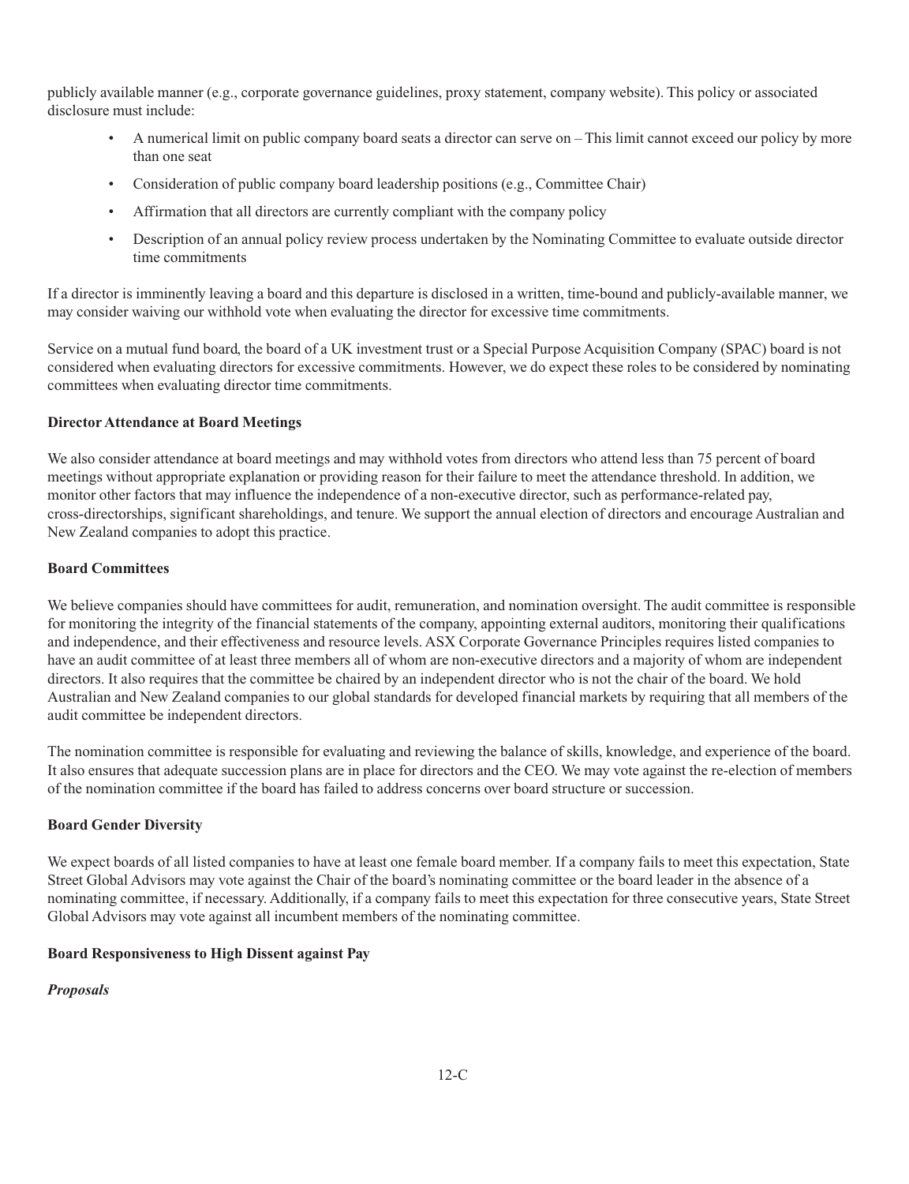publicly available manner (e.g., corporate governance guidelines, proxy statement, company website). This policy or associated disclosure must include:

- A numerical limit on public company board seats a director can serve on  $-$  This limit cannot exceed our policy by more than one seat
- Consideration of public company board leadership positions (e.g., Committee Chair)
- Affirmation that all directors are currently compliant with the company policy
- Description of an annual policy review process undertaken by the Nominating Committee to evaluate outside director time commitments

If a director is imminently leaving a board and this departure is disclosed in a written, time-bound and publicly-available manner, we may consider waiving our withhold vote when evaluating the director for excessive time commitments.

Service on a mutual fund board, the board of a UK investment trust or a Special Purpose Acquisition Company (SPAC) board is not considered when evaluating directors for excessive commitments. However, we do expect these roles to be considered by nominating committees when evaluating director time commitments.

# **Director Attendance at Board Meetings**

We also consider attendance at board meetings and may withhold votes from directors who attend less than 75 percent of board meetings without appropriate explanation or providing reason for their failure to meet the attendance threshold. In addition, we monitor other factors that may influence the independence of a non-executive director, such as performance-related pay, cross-directorships, significant shareholdings, and tenure. We support the annual election of directors and encourage Australian and New Zealand companies to adopt this practice.

# **Board Committees**

We believe companies should have committees for audit, remuneration, and nomination oversight. The audit committee is responsible for monitoring the integrity of the financial statements of the company, appointing external auditors, monitoring their qualifications and independence, and their effectiveness and resource levels. ASX Corporate Governance Principles requires listed companies to have an audit committee of at least three members all of whom are non-executive directors and a majority of whom are independent directors. It also requires that the committee be chaired by an independent director who is not the chair of the board. We hold Australian and New Zealand companies to our global standards for developed financial markets by requiring that all members of the audit committee be independent directors.

The nomination committee is responsible for evaluating and reviewing the balance of skills, knowledge, and experience of the board. It also ensures that adequate succession plans are in place for directors and the CEO. We may vote against the re-election of members of the nomination committee if the board has failed to address concerns over board structure or succession.

# **Board Gender Diversity**

We expect boards of all listed companies to have at least one female board member. If a company fails to meet this expectation, State Street Global Advisors may vote against the Chair of the board's nominating committee or the board leader in the absence of a nominating committee, if necessary. Additionally, if a company fails to meet this expectation for three consecutive years, State Street Global Advisors may vote against all incumbent members of the nominating committee.

# **Board Responsiveness to High Dissent against Pay**

# *Proposals*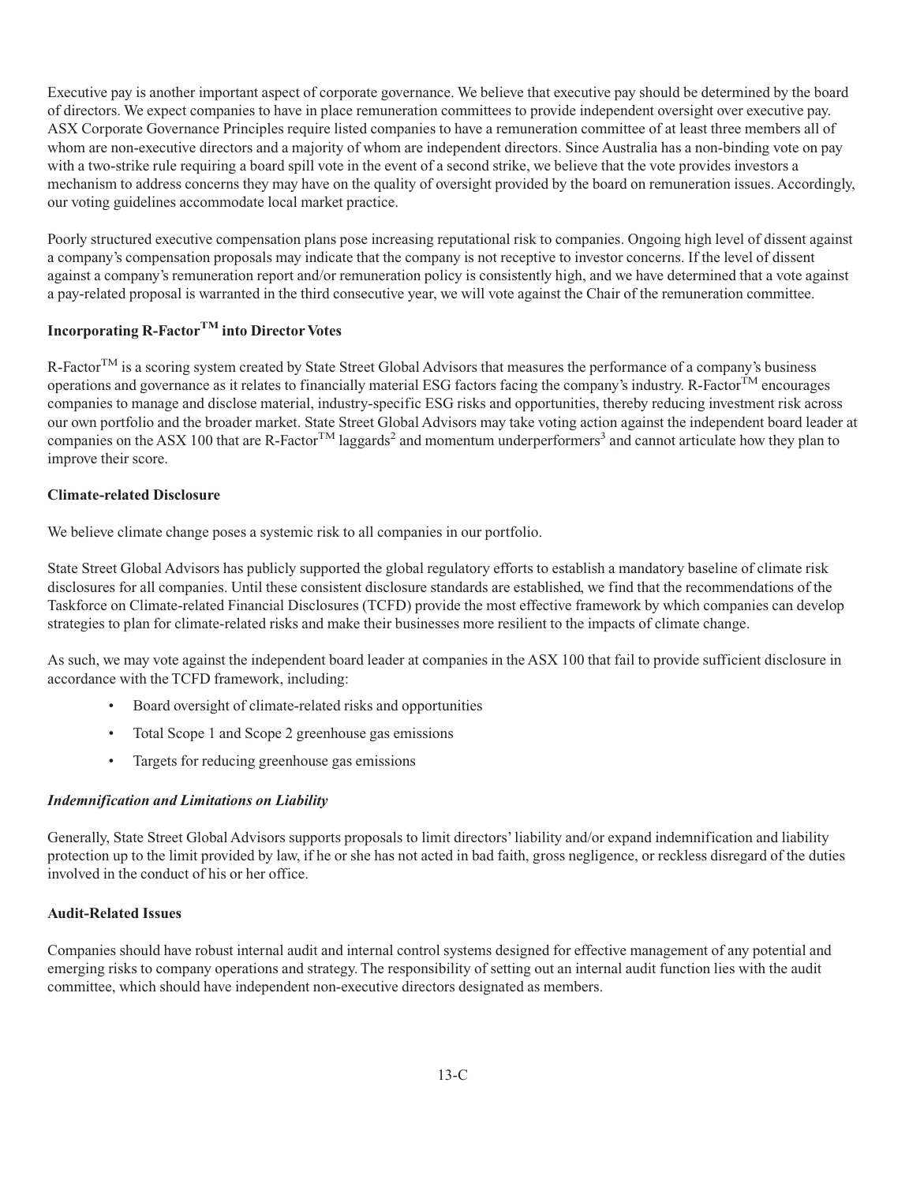Executive pay is another important aspect of corporate governance. We believe that executive pay should be determined by the board of directors. We expect companies to have in place remuneration committees to provide independent oversight over executive pay. ASX Corporate Governance Principles require listed companies to have a remuneration committee of at least three members all of whom are non-executive directors and a majority of whom are independent directors. Since Australia has a non-binding vote on pay with a two-strike rule requiring a board spill vote in the event of a second strike, we believe that the vote provides investors a mechanism to address concerns they may have on the quality of oversight provided by the board on remuneration issues. Accordingly, our voting guidelines accommodate local market practice.

Poorly structured executive compensation plans pose increasing reputational risk to companies. Ongoing high level of dissent against a company's compensation proposals may indicate that the company is not receptive to investor concerns. If the level of dissent against a company's remuneration report and/or remuneration policy is consistently high, and we have determined that a vote against a pay-related proposal is warranted in the third consecutive year, we will vote against the Chair of the remuneration committee.

# **Incorporating R-FactorTM into Director Votes**

R-Factor<sup>TM</sup> is a scoring system created by State Street Global Advisors that measures the performance of a company's business operations and governance as it relates to financially material ESG factors facing the company's industry. R-Factor<sup>TM</sup> encourages companies to manage and disclose material, industry-specific ESG risks and opportunities, thereby reducing investment risk across our own portfolio and the broader market. State Street Global Advisors may take voting action against the independent board leader at companies on the ASX 100 that are R-Factor<sup>TM</sup> laggards<sup>2</sup> and momentum underperformers<sup>3</sup> and cannot articulate how they plan to improve their score.

# **Climate-related Disclosure**

We believe climate change poses a systemic risk to all companies in our portfolio.

State Street Global Advisors has publicly supported the global regulatory efforts to establish a mandatory baseline of climate risk disclosures for all companies. Until these consistent disclosure standards are established, we find that the recommendations of the Taskforce on Climate-related Financial Disclosures (TCFD) provide the most effective framework by which companies can develop strategies to plan for climate-related risks and make their businesses more resilient to the impacts of climate change.

As such, we may vote against the independent board leader at companies in the ASX 100 that fail to provide sufficient disclosure in accordance with the TCFD framework, including:

- Board oversight of climate-related risks and opportunities
- Total Scope 1 and Scope 2 greenhouse gas emissions
- Targets for reducing greenhouse gas emissions

### *Indemnification and Limitations on Liability*

Generally, State Street Global Advisors supports proposals to limit directors' liability and/or expand indemnification and liability protection up to the limit provided by law, if he or she has not acted in bad faith, gross negligence, or reckless disregard of the duties involved in the conduct of his or her office.

### **Audit-Related Issues**

Companies should have robust internal audit and internal control systems designed for effective management of any potential and emerging risks to company operations and strategy. The responsibility of setting out an internal audit function lies with the audit committee, which should have independent non-executive directors designated as members.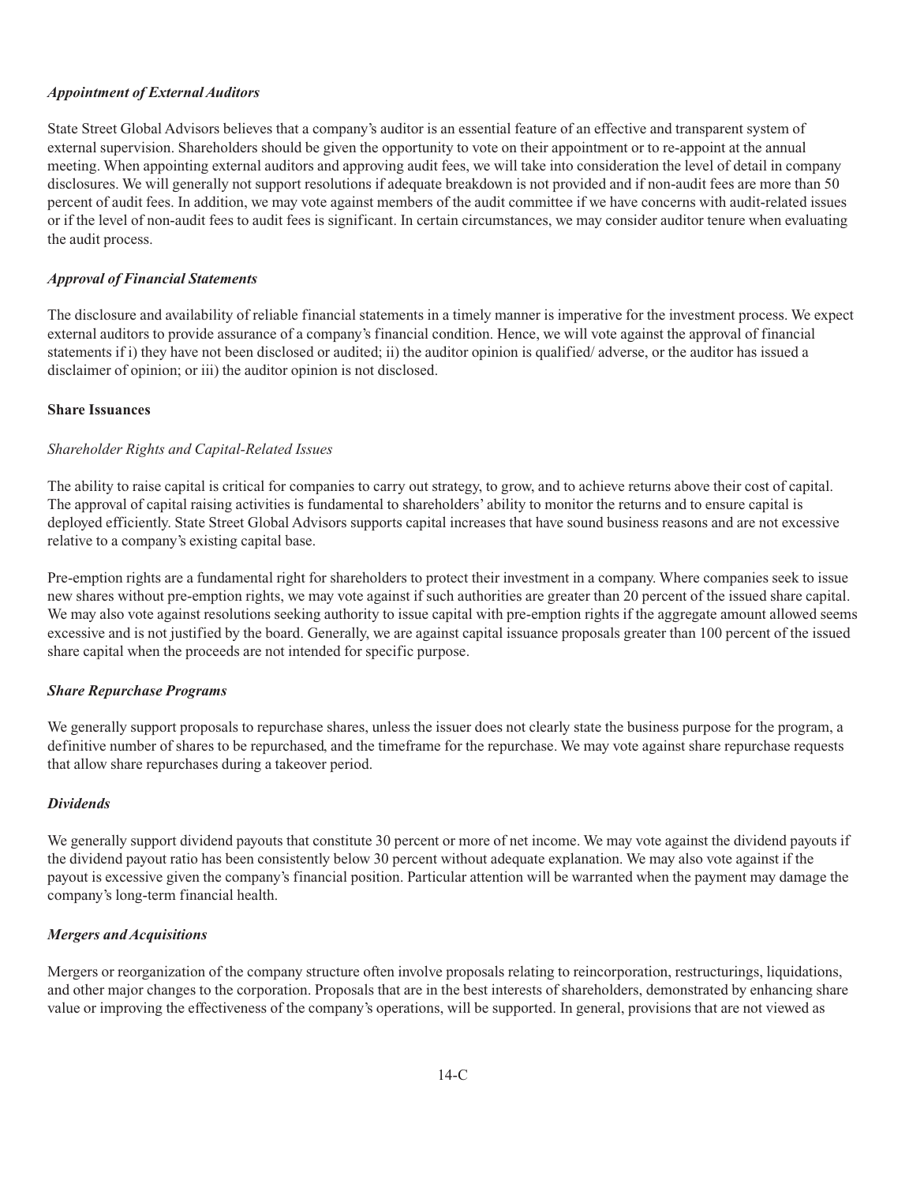#### *Appointment of External Auditors*

State Street Global Advisors believes that a company's auditor is an essential feature of an effective and transparent system of external supervision. Shareholders should be given the opportunity to vote on their appointment or to re-appoint at the annual meeting. When appointing external auditors and approving audit fees, we will take into consideration the level of detail in company disclosures. We will generally not support resolutions if adequate breakdown is not provided and if non-audit fees are more than 50 percent of audit fees. In addition, we may vote against members of the audit committee if we have concerns with audit-related issues or if the level of non-audit fees to audit fees is significant. In certain circumstances, we may consider auditor tenure when evaluating the audit process.

#### *Approval of Financial Statements*

The disclosure and availability of reliable financial statements in a timely manner is imperative for the investment process. We expect external auditors to provide assurance of a company's financial condition. Hence, we will vote against the approval of financial statements if i) they have not been disclosed or audited; ii) the auditor opinion is qualified/ adverse, or the auditor has issued a disclaimer of opinion; or iii) the auditor opinion is not disclosed.

#### **Share Issuances**

### *Shareholder Rights and Capital-Related Issues*

The ability to raise capital is critical for companies to carry out strategy, to grow, and to achieve returns above their cost of capital. The approval of capital raising activities is fundamental to shareholders' ability to monitor the returns and to ensure capital is deployed efficiently. State Street Global Advisors supports capital increases that have sound business reasons and are not excessive relative to a company's existing capital base.

Pre-emption rights are a fundamental right for shareholders to protect their investment in a company. Where companies seek to issue new shares without pre-emption rights, we may vote against if such authorities are greater than 20 percent of the issued share capital. We may also vote against resolutions seeking authority to issue capital with pre-emption rights if the aggregate amount allowed seems excessive and is not justified by the board. Generally, we are against capital issuance proposals greater than 100 percent of the issued share capital when the proceeds are not intended for specific purpose.

### *Share Repurchase Programs*

We generally support proposals to repurchase shares, unless the issuer does not clearly state the business purpose for the program, a definitive number of shares to be repurchased, and the timeframe for the repurchase. We may vote against share repurchase requests that allow share repurchases during a takeover period.

### *Dividends*

We generally support dividend payouts that constitute 30 percent or more of net income. We may vote against the dividend payouts if the dividend payout ratio has been consistently below 30 percent without adequate explanation. We may also vote against if the payout is excessive given the company's financial position. Particular attention will be warranted when the payment may damage the company's long-term financial health.

### *Mergers and Acquisitions*

Mergers or reorganization of the company structure often involve proposals relating to reincorporation, restructurings, liquidations, and other major changes to the corporation. Proposals that are in the best interests of shareholders, demonstrated by enhancing share value or improving the effectiveness of the company's operations, will be supported. In general, provisions that are not viewed as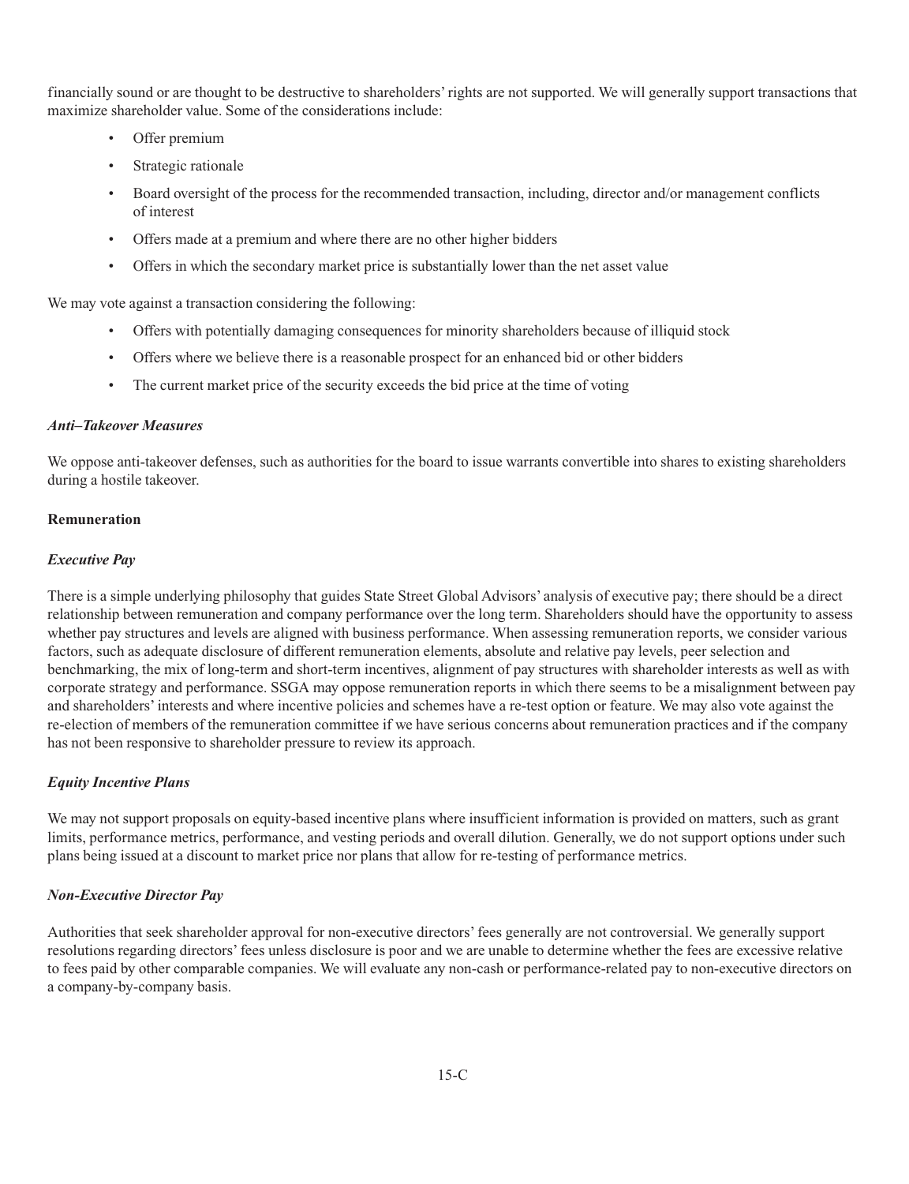financially sound or are thought to be destructive to shareholders' rights are not supported. We will generally support transactions that maximize shareholder value. Some of the considerations include:

- Offer premium
- Strategic rationale
- Board oversight of the process for the recommended transaction, including, director and/or management conflicts of interest
- Offers made at a premium and where there are no other higher bidders
- Offers in which the secondary market price is substantially lower than the net asset value

We may vote against a transaction considering the following:

- Offers with potentially damaging consequences for minority shareholders because of illiquid stock
- Offers where we believe there is a reasonable prospect for an enhanced bid or other bidders
- The current market price of the security exceeds the bid price at the time of voting

#### *Anti–Takeover Measures*

We oppose anti-takeover defenses, such as authorities for the board to issue warrants convertible into shares to existing shareholders during a hostile takeover.

## **Remuneration**

#### *Executive Pay*

There is a simple underlying philosophy that guides State Street Global Advisors' analysis of executive pay; there should be a direct relationship between remuneration and company performance over the long term. Shareholders should have the opportunity to assess whether pay structures and levels are aligned with business performance. When assessing remuneration reports, we consider various factors, such as adequate disclosure of different remuneration elements, absolute and relative pay levels, peer selection and benchmarking, the mix of long-term and short-term incentives, alignment of pay structures with shareholder interests as well as with corporate strategy and performance. SSGA may oppose remuneration reports in which there seems to be a misalignment between pay and shareholders' interests and where incentive policies and schemes have a re-test option or feature. We may also vote against the re-election of members of the remuneration committee if we have serious concerns about remuneration practices and if the company has not been responsive to shareholder pressure to review its approach.

### *Equity Incentive Plans*

We may not support proposals on equity-based incentive plans where insufficient information is provided on matters, such as grant limits, performance metrics, performance, and vesting periods and overall dilution. Generally, we do not support options under such plans being issued at a discount to market price nor plans that allow for re-testing of performance metrics.

### *Non-Executive Director Pay*

Authorities that seek shareholder approval for non-executive directors' fees generally are not controversial. We generally support resolutions regarding directors' fees unless disclosure is poor and we are unable to determine whether the fees are excessive relative to fees paid by other comparable companies. We will evaluate any non-cash or performance-related pay to non-executive directors on a company-by-company basis.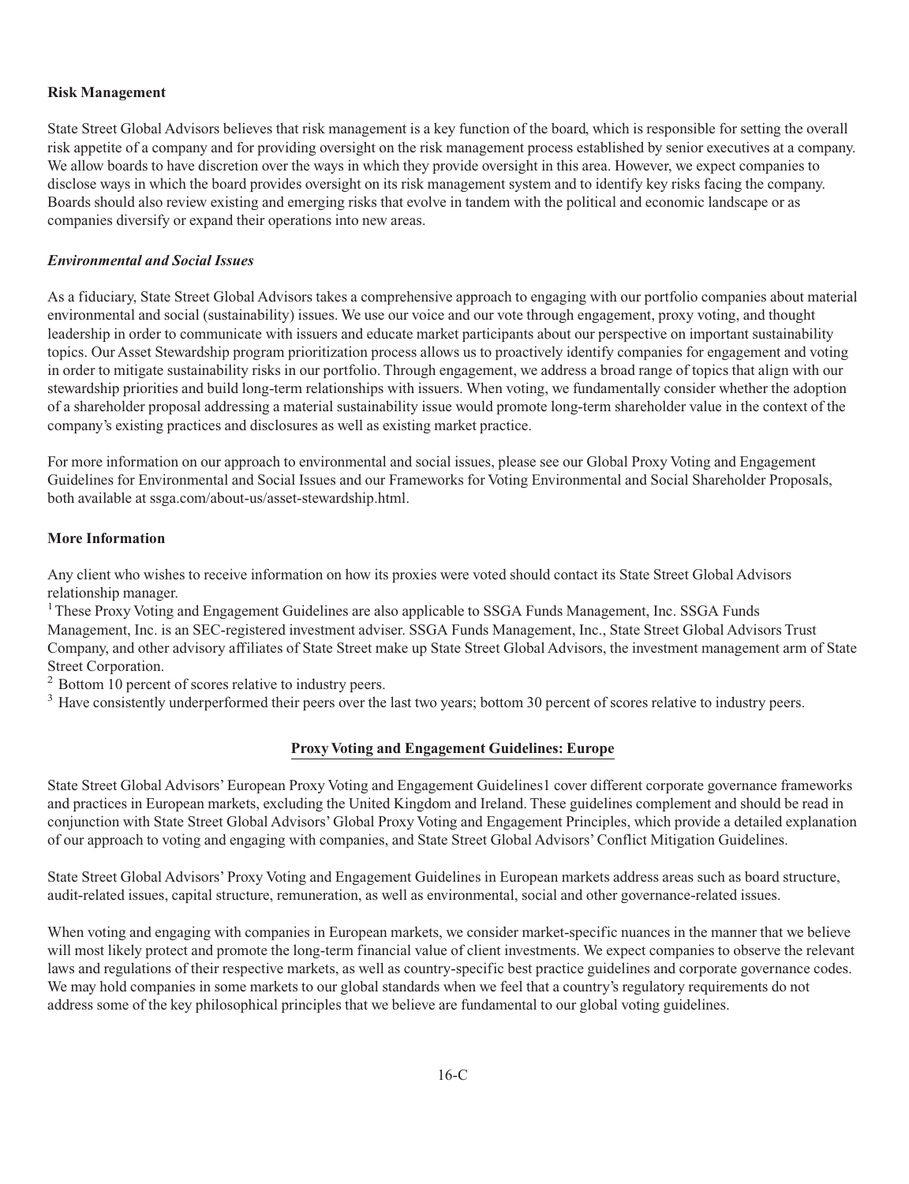#### **Risk Management**

State Street Global Advisors believes that risk management is a key function of the board, which is responsible for setting the overall risk appetite of a company and for providing oversight on the risk management process established by senior executives at a company. We allow boards to have discretion over the ways in which they provide oversight in this area. However, we expect companies to disclose ways in which the board provides oversight on its risk management system and to identify key risks facing the company. Boards should also review existing and emerging risks that evolve in tandem with the political and economic landscape or as companies diversify or expand their operations into new areas.

### *Environmental and Social Issues*

As a fiduciary, State Street Global Advisors takes a comprehensive approach to engaging with our portfolio companies about material environmental and social (sustainability) issues. We use our voice and our vote through engagement, proxy voting, and thought leadership in order to communicate with issuers and educate market participants about our perspective on important sustainability topics. Our Asset Stewardship program prioritization process allows us to proactively identify companies for engagement and voting in order to mitigate sustainability risks in our portfolio. Through engagement, we address a broad range of topics that align with our stewardship priorities and build long-term relationships with issuers. When voting, we fundamentally consider whether the adoption of a shareholder proposal addressing a material sustainability issue would promote long-term shareholder value in the context of the company's existing practices and disclosures as well as existing market practice.

For more information on our approach to environmental and social issues, please see our Global Proxy Voting and Engagement Guidelines for Environmental and Social Issues and our Frameworks for Voting Environmental and Social Shareholder Proposals, both available at ssga.com/about-us/asset-stewardship.html.

# **More Information**

Any client who wishes to receive information on how its proxies were voted should contact its State Street Global Advisors relationship manager.

<sup>1</sup> These Proxy Voting and Engagement Guidelines are also applicable to SSGA Funds Management, Inc. SSGA Funds Management, Inc. is an SEC-registered investment adviser. SSGA Funds Management, Inc., State Street Global Advisors Trust Company, and other advisory affiliates of State Street make up State Street Global Advisors, the investment management arm of State Street Corporation.

<sup>2</sup> Bottom 10 percent of scores relative to industry peers.

<sup>3</sup> Have consistently underperformed their peers over the last two years; bottom 30 percent of scores relative to industry peers.

# **Proxy Voting and Engagement Guidelines: Europe**

State Street Global Advisors' European Proxy Voting and Engagement Guidelines1 cover different corporate governance frameworks and practices in European markets, excluding the United Kingdom and Ireland. These guidelines complement and should be read in conjunction with State Street Global Advisors' Global Proxy Voting and Engagement Principles, which provide a detailed explanation of our approach to voting and engaging with companies, and State Street Global Advisors' Conflict Mitigation Guidelines.

State Street Global Advisors' Proxy Voting and Engagement Guidelines in European markets address areas such as board structure, audit-related issues, capital structure, remuneration, as well as environmental, social and other governance-related issues.

When voting and engaging with companies in European markets, we consider market-specific nuances in the manner that we believe will most likely protect and promote the long-term financial value of client investments. We expect companies to observe the relevant laws and regulations of their respective markets, as well as country-specific best practice guidelines and corporate governance codes. We may hold companies in some markets to our global standards when we feel that a country's regulatory requirements do not address some of the key philosophical principles that we believe are fundamental to our global voting guidelines.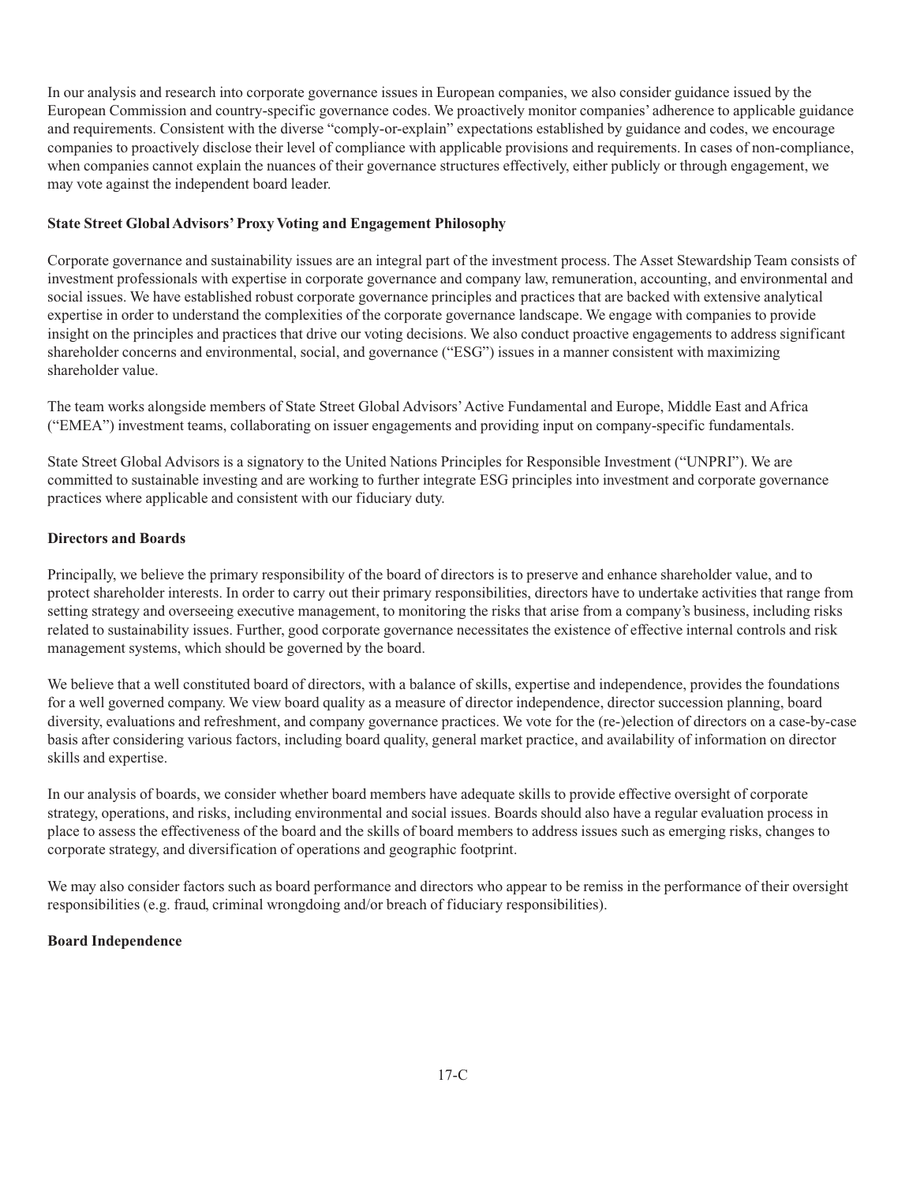In our analysis and research into corporate governance issues in European companies, we also consider guidance issued by the European Commission and country-specific governance codes. We proactively monitor companies' adherence to applicable guidance and requirements. Consistent with the diverse "comply-or-explain" expectations established by guidance and codes, we encourage companies to proactively disclose their level of compliance with applicable provisions and requirements. In cases of non-compliance, when companies cannot explain the nuances of their governance structures effectively, either publicly or through engagement, we may vote against the independent board leader.

## **State Street Global Advisors' Proxy Voting and Engagement Philosophy**

Corporate governance and sustainability issues are an integral part of the investment process. The Asset Stewardship Team consists of investment professionals with expertise in corporate governance and company law, remuneration, accounting, and environmental and social issues. We have established robust corporate governance principles and practices that are backed with extensive analytical expertise in order to understand the complexities of the corporate governance landscape. We engage with companies to provide insight on the principles and practices that drive our voting decisions. We also conduct proactive engagements to address significant shareholder concerns and environmental, social, and governance ("ESG") issues in a manner consistent with maximizing shareholder value.

The team works alongside members of State Street Global Advisors'Active Fundamental and Europe, Middle East and Africa ("EMEA") investment teams, collaborating on issuer engagements and providing input on company-specific fundamentals.

State Street Global Advisors is a signatory to the United Nations Principles for Responsible Investment ("UNPRI"). We are committed to sustainable investing and are working to further integrate ESG principles into investment and corporate governance practices where applicable and consistent with our fiduciary duty.

# **Directors and Boards**

Principally, we believe the primary responsibility of the board of directors is to preserve and enhance shareholder value, and to protect shareholder interests. In order to carry out their primary responsibilities, directors have to undertake activities that range from setting strategy and overseeing executive management, to monitoring the risks that arise from a company's business, including risks related to sustainability issues. Further, good corporate governance necessitates the existence of effective internal controls and risk management systems, which should be governed by the board.

We believe that a well constituted board of directors, with a balance of skills, expertise and independence, provides the foundations for a well governed company. We view board quality as a measure of director independence, director succession planning, board diversity, evaluations and refreshment, and company governance practices. We vote for the (re-)election of directors on a case-by-case basis after considering various factors, including board quality, general market practice, and availability of information on director skills and expertise.

In our analysis of boards, we consider whether board members have adequate skills to provide effective oversight of corporate strategy, operations, and risks, including environmental and social issues. Boards should also have a regular evaluation process in place to assess the effectiveness of the board and the skills of board members to address issues such as emerging risks, changes to corporate strategy, and diversification of operations and geographic footprint.

We may also consider factors such as board performance and directors who appear to be remiss in the performance of their oversight responsibilities (e.g. fraud, criminal wrongdoing and/or breach of fiduciary responsibilities).

### **Board Independence**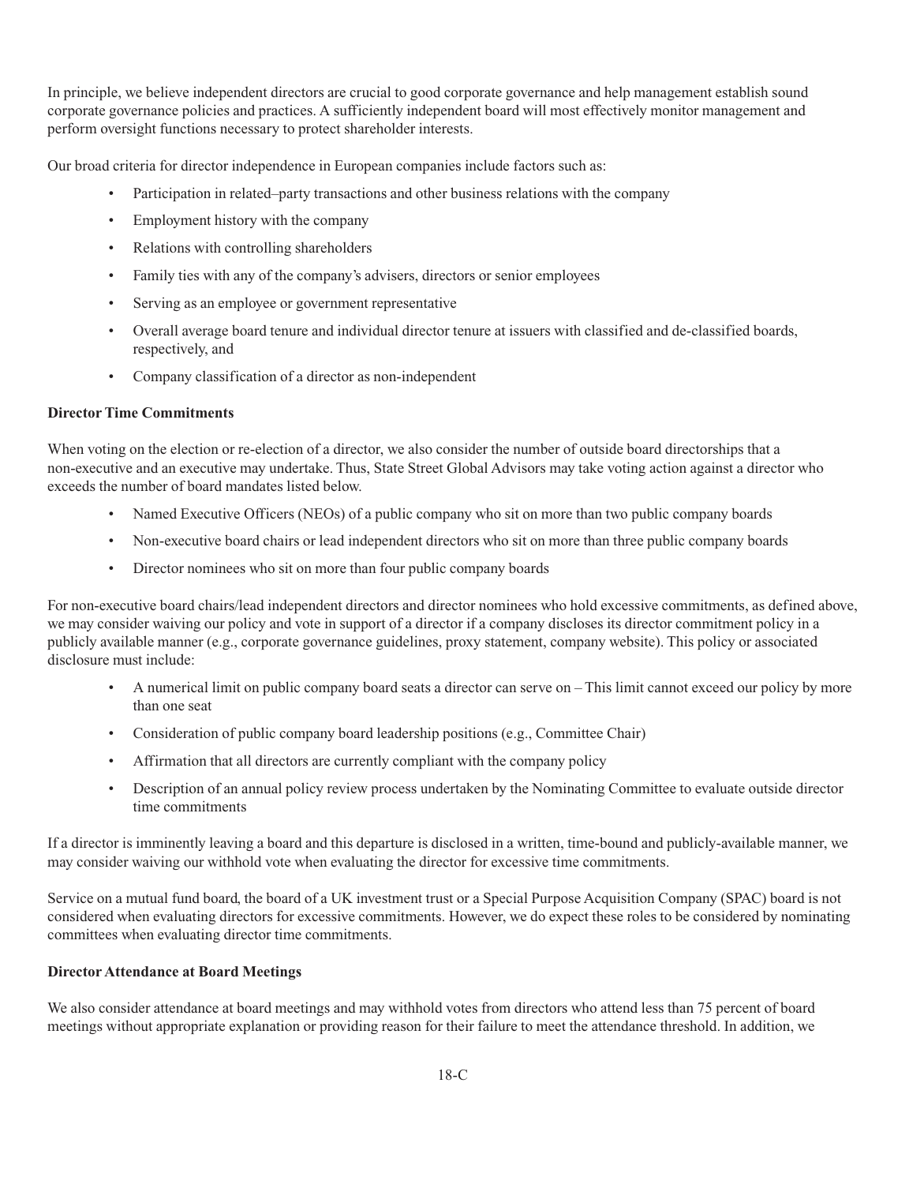In principle, we believe independent directors are crucial to good corporate governance and help management establish sound corporate governance policies and practices. A sufficiently independent board will most effectively monitor management and perform oversight functions necessary to protect shareholder interests.

Our broad criteria for director independence in European companies include factors such as:

- Participation in related–party transactions and other business relations with the company
- Employment history with the company
- Relations with controlling shareholders
- Family ties with any of the company's advisers, directors or senior employees
- Serving as an employee or government representative
- Overall average board tenure and individual director tenure at issuers with classified and de-classified boards, respectively, and
- Company classification of a director as non-independent

#### **Director Time Commitments**

When voting on the election or re-election of a director, we also consider the number of outside board directorships that a non-executive and an executive may undertake. Thus, State Street Global Advisors may take voting action against a director who exceeds the number of board mandates listed below.

- Named Executive Officers (NEOs) of a public company who sit on more than two public company boards
- Non-executive board chairs or lead independent directors who sit on more than three public company boards
- Director nominees who sit on more than four public company boards

For non-executive board chairs/lead independent directors and director nominees who hold excessive commitments, as defined above, we may consider waiving our policy and vote in support of a director if a company discloses its director commitment policy in a publicly available manner (e.g., corporate governance guidelines, proxy statement, company website). This policy or associated disclosure must include:

- A numerical limit on public company board seats a director can serve on This limit cannot exceed our policy by more than one seat
- Consideration of public company board leadership positions (e.g., Committee Chair)
- Affirmation that all directors are currently compliant with the company policy
- Description of an annual policy review process undertaken by the Nominating Committee to evaluate outside director time commitments

If a director is imminently leaving a board and this departure is disclosed in a written, time-bound and publicly-available manner, we may consider waiving our withhold vote when evaluating the director for excessive time commitments.

Service on a mutual fund board, the board of a UK investment trust or a Special Purpose Acquisition Company (SPAC) board is not considered when evaluating directors for excessive commitments. However, we do expect these roles to be considered by nominating committees when evaluating director time commitments.

#### **Director Attendance at Board Meetings**

We also consider attendance at board meetings and may withhold votes from directors who attend less than 75 percent of board meetings without appropriate explanation or providing reason for their failure to meet the attendance threshold. In addition, we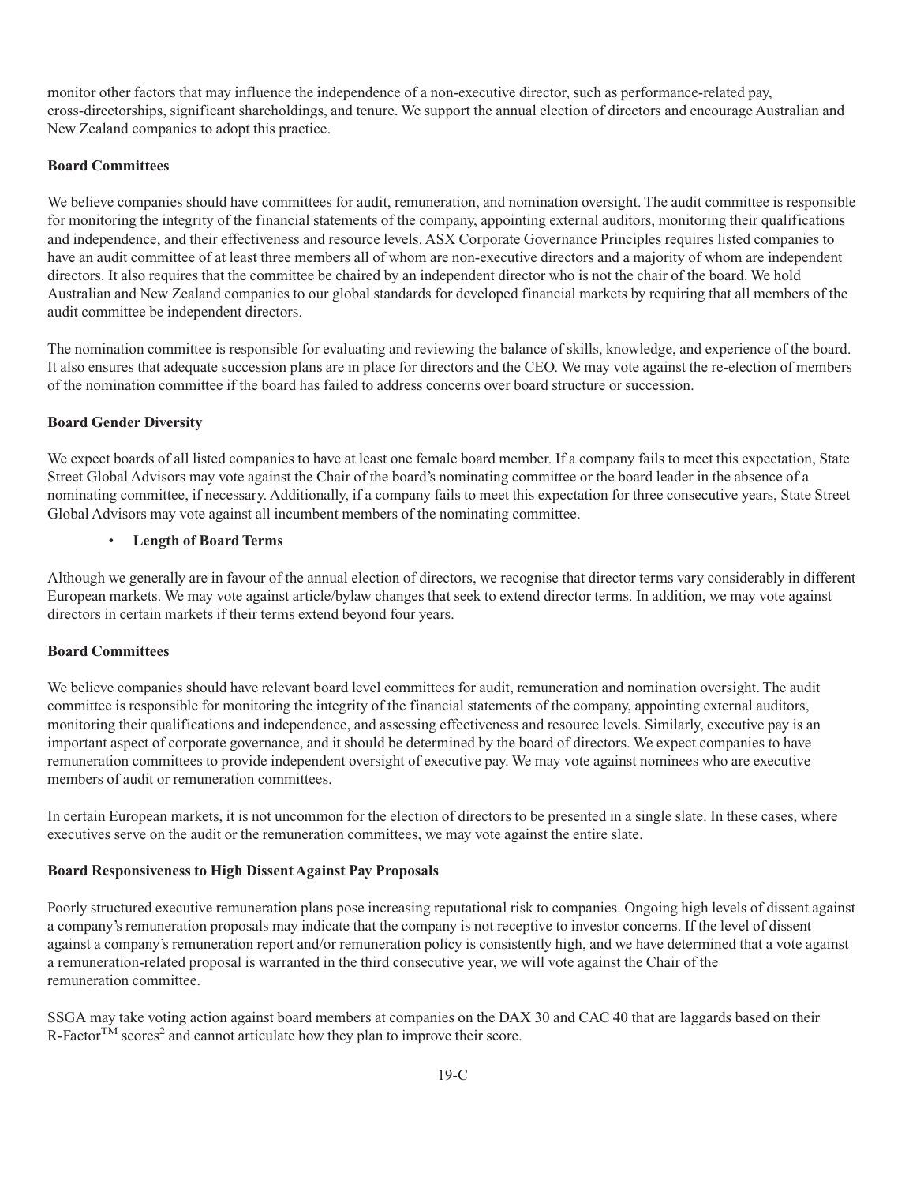monitor other factors that may influence the independence of a non-executive director, such as performance-related pay, cross-directorships, significant shareholdings, and tenure. We support the annual election of directors and encourage Australian and New Zealand companies to adopt this practice.

#### **Board Committees**

We believe companies should have committees for audit, remuneration, and nomination oversight. The audit committee is responsible for monitoring the integrity of the financial statements of the company, appointing external auditors, monitoring their qualifications and independence, and their effectiveness and resource levels. ASX Corporate Governance Principles requires listed companies to have an audit committee of at least three members all of whom are non-executive directors and a majority of whom are independent directors. It also requires that the committee be chaired by an independent director who is not the chair of the board. We hold Australian and New Zealand companies to our global standards for developed financial markets by requiring that all members of the audit committee be independent directors.

The nomination committee is responsible for evaluating and reviewing the balance of skills, knowledge, and experience of the board. It also ensures that adequate succession plans are in place for directors and the CEO. We may vote against the re-election of members of the nomination committee if the board has failed to address concerns over board structure or succession.

### **Board Gender Diversity**

We expect boards of all listed companies to have at least one female board member. If a company fails to meet this expectation, State Street Global Advisors may vote against the Chair of the board's nominating committee or the board leader in the absence of a nominating committee, if necessary. Additionally, if a company fails to meet this expectation for three consecutive years, State Street Global Advisors may vote against all incumbent members of the nominating committee.

#### • **Length of Board Terms**

Although we generally are in favour of the annual election of directors, we recognise that director terms vary considerably in different European markets. We may vote against article/bylaw changes that seek to extend director terms. In addition, we may vote against directors in certain markets if their terms extend beyond four years.

#### **Board Committees**

We believe companies should have relevant board level committees for audit, remuneration and nomination oversight. The audit committee is responsible for monitoring the integrity of the financial statements of the company, appointing external auditors, monitoring their qualifications and independence, and assessing effectiveness and resource levels. Similarly, executive pay is an important aspect of corporate governance, and it should be determined by the board of directors. We expect companies to have remuneration committees to provide independent oversight of executive pay. We may vote against nominees who are executive members of audit or remuneration committees.

In certain European markets, it is not uncommon for the election of directors to be presented in a single slate. In these cases, where executives serve on the audit or the remuneration committees, we may vote against the entire slate.

### **Board Responsiveness to High Dissent Against Pay Proposals**

Poorly structured executive remuneration plans pose increasing reputational risk to companies. Ongoing high levels of dissent against a company's remuneration proposals may indicate that the company is not receptive to investor concerns. If the level of dissent against a company's remuneration report and/or remuneration policy is consistently high, and we have determined that a vote against a remuneration-related proposal is warranted in the third consecutive year, we will vote against the Chair of the remuneration committee.

SSGA may take voting action against board members at companies on the DAX 30 and CAC 40 that are laggards based on their R-Factor<sup>TM</sup> scores<sup>2</sup> and cannot articulate how they plan to improve their score.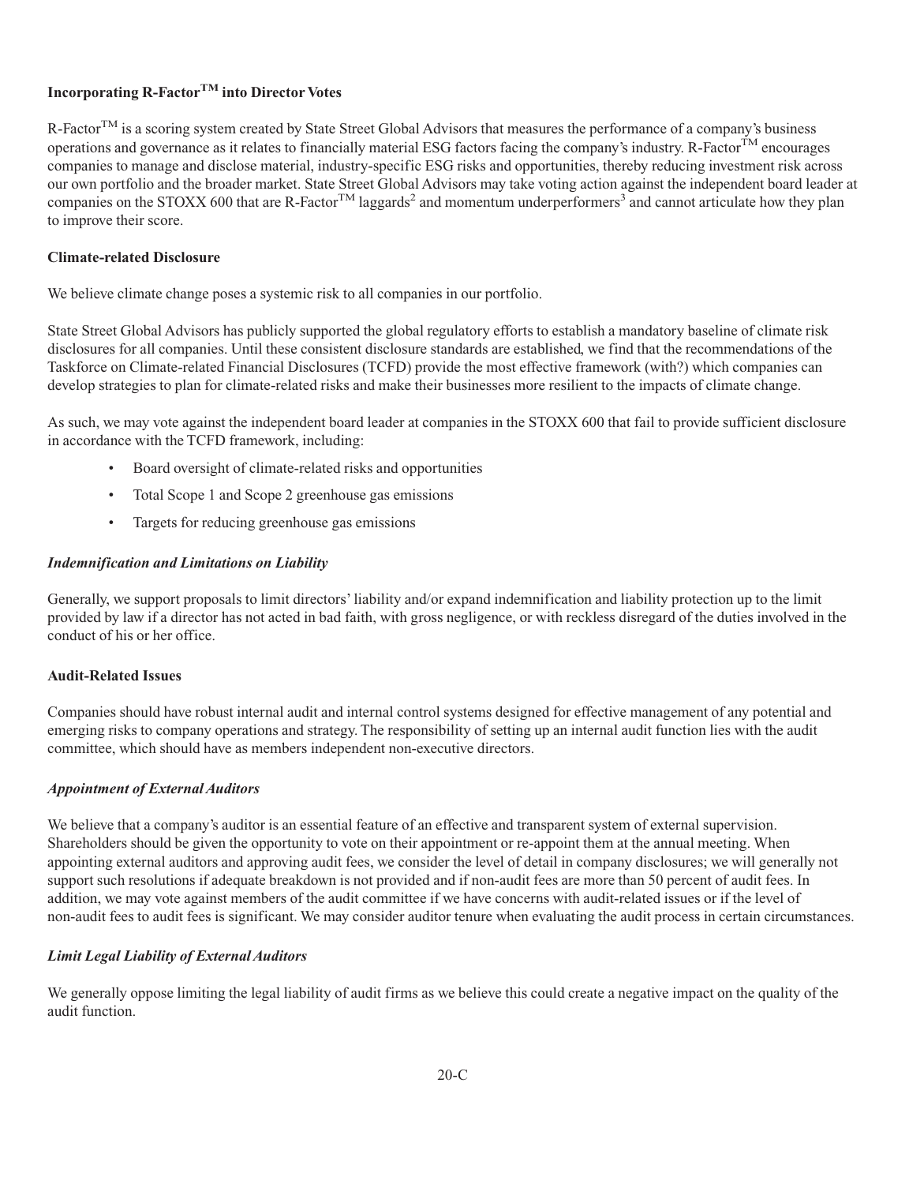# **Incorporating R-FactorTM into Director Votes**

R-Factor<sup>TM</sup> is a scoring system created by State Street Global Advisors that measures the performance of a company's business operations and governance as it relates to financially material ESG factors facing the company's industry. R-Factor<sup>TM</sup> encourages companies to manage and disclose material, industry-specific ESG risks and opportunities, thereby reducing investment risk across our own portfolio and the broader market. State Street Global Advisors may take voting action against the independent board leader at companies on the STOXX 600 that are R-Factor<sup>TM</sup> laggards<sup>2</sup> and momentum underperformers<sup>3</sup> and cannot articulate how they plan to improve their score.

# **Climate-related Disclosure**

We believe climate change poses a systemic risk to all companies in our portfolio.

State Street Global Advisors has publicly supported the global regulatory efforts to establish a mandatory baseline of climate risk disclosures for all companies. Until these consistent disclosure standards are established, we find that the recommendations of the Taskforce on Climate-related Financial Disclosures (TCFD) provide the most effective framework (with?) which companies can develop strategies to plan for climate-related risks and make their businesses more resilient to the impacts of climate change.

As such, we may vote against the independent board leader at companies in the STOXX 600 that fail to provide sufficient disclosure in accordance with the TCFD framework, including:

- Board oversight of climate-related risks and opportunities
- Total Scope 1 and Scope 2 greenhouse gas emissions
- Targets for reducing greenhouse gas emissions

# *Indemnification and Limitations on Liability*

Generally, we support proposals to limit directors' liability and/or expand indemnification and liability protection up to the limit provided by law if a director has not acted in bad faith, with gross negligence, or with reckless disregard of the duties involved in the conduct of his or her office.

### **Audit-Related Issues**

Companies should have robust internal audit and internal control systems designed for effective management of any potential and emerging risks to company operations and strategy. The responsibility of setting up an internal audit function lies with the audit committee, which should have as members independent non-executive directors.

### *Appointment of External Auditors*

We believe that a company's auditor is an essential feature of an effective and transparent system of external supervision. Shareholders should be given the opportunity to vote on their appointment or re-appoint them at the annual meeting. When appointing external auditors and approving audit fees, we consider the level of detail in company disclosures; we will generally not support such resolutions if adequate breakdown is not provided and if non-audit fees are more than 50 percent of audit fees. In addition, we may vote against members of the audit committee if we have concerns with audit-related issues or if the level of non-audit fees to audit fees is significant. We may consider auditor tenure when evaluating the audit process in certain circumstances.

# *Limit Legal Liability of External Auditors*

We generally oppose limiting the legal liability of audit firms as we believe this could create a negative impact on the quality of the audit function.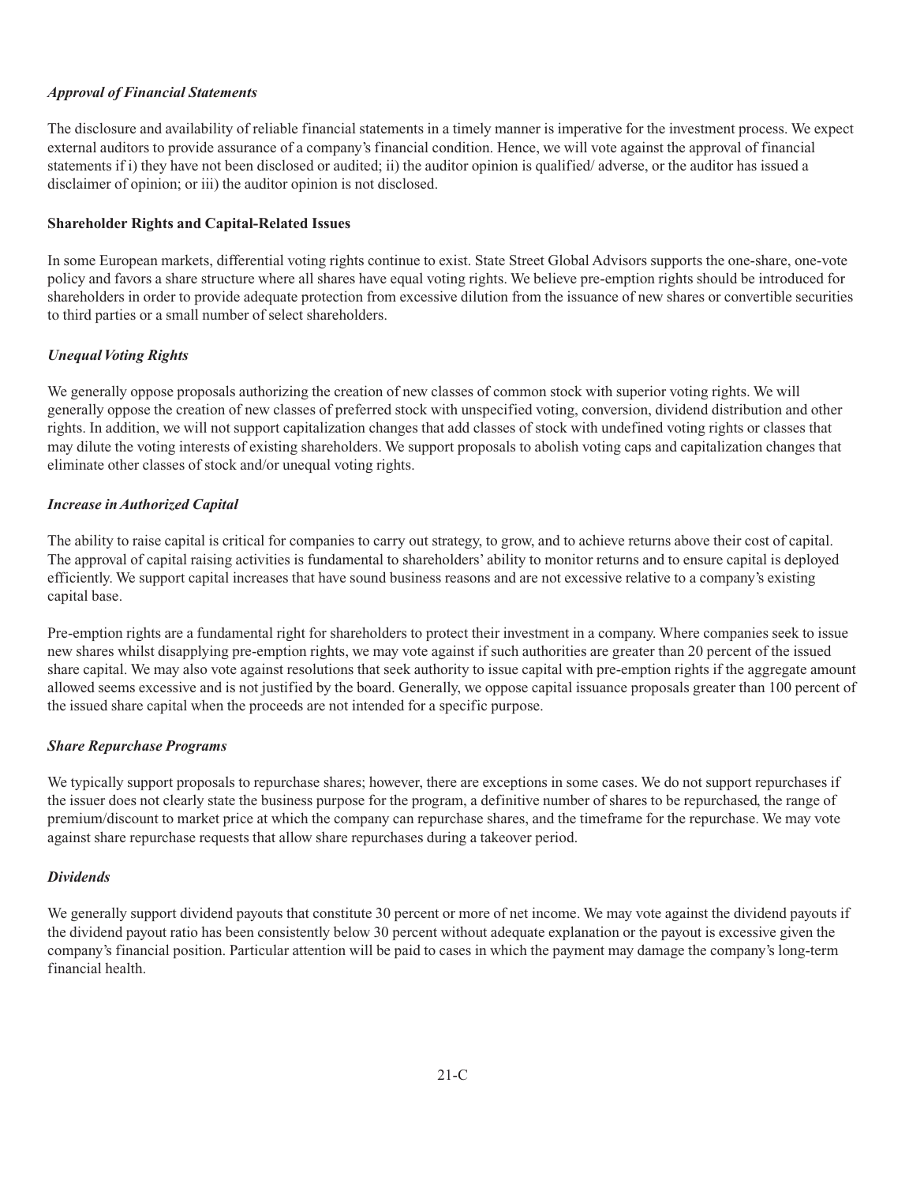## *Approval of Financial Statements*

The disclosure and availability of reliable financial statements in a timely manner is imperative for the investment process. We expect external auditors to provide assurance of a company's financial condition. Hence, we will vote against the approval of financial statements if i) they have not been disclosed or audited; ii) the auditor opinion is qualified/ adverse, or the auditor has issued a disclaimer of opinion; or iii) the auditor opinion is not disclosed.

## **Shareholder Rights and Capital-Related Issues**

In some European markets, differential voting rights continue to exist. State Street Global Advisors supports the one-share, one-vote policy and favors a share structure where all shares have equal voting rights. We believe pre-emption rights should be introduced for shareholders in order to provide adequate protection from excessive dilution from the issuance of new shares or convertible securities to third parties or a small number of select shareholders.

# *Unequal Voting Rights*

We generally oppose proposals authorizing the creation of new classes of common stock with superior voting rights. We will generally oppose the creation of new classes of preferred stock with unspecified voting, conversion, dividend distribution and other rights. In addition, we will not support capitalization changes that add classes of stock with undefined voting rights or classes that may dilute the voting interests of existing shareholders. We support proposals to abolish voting caps and capitalization changes that eliminate other classes of stock and/or unequal voting rights.

# *Increase in Authorized Capital*

The ability to raise capital is critical for companies to carry out strategy, to grow, and to achieve returns above their cost of capital. The approval of capital raising activities is fundamental to shareholders' ability to monitor returns and to ensure capital is deployed efficiently. We support capital increases that have sound business reasons and are not excessive relative to a company's existing capital base.

Pre-emption rights are a fundamental right for shareholders to protect their investment in a company. Where companies seek to issue new shares whilst disapplying pre-emption rights, we may vote against if such authorities are greater than 20 percent of the issued share capital. We may also vote against resolutions that seek authority to issue capital with pre-emption rights if the aggregate amount allowed seems excessive and is not justified by the board. Generally, we oppose capital issuance proposals greater than 100 percent of the issued share capital when the proceeds are not intended for a specific purpose.

# *Share Repurchase Programs*

We typically support proposals to repurchase shares; however, there are exceptions in some cases. We do not support repurchases if the issuer does not clearly state the business purpose for the program, a definitive number of shares to be repurchased, the range of premium/discount to market price at which the company can repurchase shares, and the timeframe for the repurchase. We may vote against share repurchase requests that allow share repurchases during a takeover period.

### *Dividends*

We generally support dividend payouts that constitute 30 percent or more of net income. We may vote against the dividend payouts if the dividend payout ratio has been consistently below 30 percent without adequate explanation or the payout is excessive given the company's financial position. Particular attention will be paid to cases in which the payment may damage the company's long-term financial health.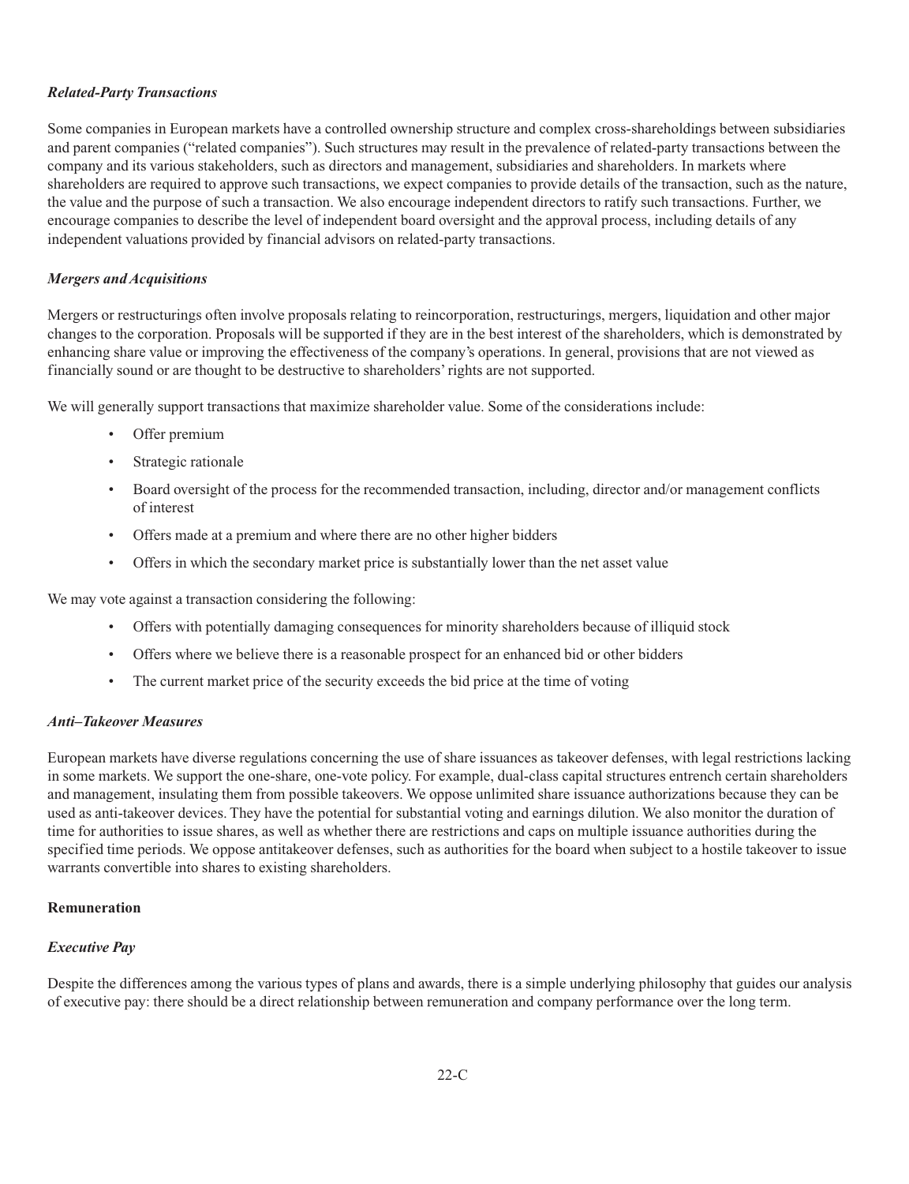## *Related-Party Transactions*

Some companies in European markets have a controlled ownership structure and complex cross-shareholdings between subsidiaries and parent companies ("related companies"). Such structures may result in the prevalence of related-party transactions between the company and its various stakeholders, such as directors and management, subsidiaries and shareholders. In markets where shareholders are required to approve such transactions, we expect companies to provide details of the transaction, such as the nature, the value and the purpose of such a transaction. We also encourage independent directors to ratify such transactions. Further, we encourage companies to describe the level of independent board oversight and the approval process, including details of any independent valuations provided by financial advisors on related-party transactions.

# *Mergers and Acquisitions*

Mergers or restructurings often involve proposals relating to reincorporation, restructurings, mergers, liquidation and other major changes to the corporation. Proposals will be supported if they are in the best interest of the shareholders, which is demonstrated by enhancing share value or improving the effectiveness of the company's operations. In general, provisions that are not viewed as financially sound or are thought to be destructive to shareholders' rights are not supported.

We will generally support transactions that maximize shareholder value. Some of the considerations include:

- Offer premium
- Strategic rationale
- Board oversight of the process for the recommended transaction, including, director and/or management conflicts of interest
- Offers made at a premium and where there are no other higher bidders
- Offers in which the secondary market price is substantially lower than the net asset value

We may vote against a transaction considering the following:

- Offers with potentially damaging consequences for minority shareholders because of illiquid stock
- Offers where we believe there is a reasonable prospect for an enhanced bid or other bidders
- The current market price of the security exceeds the bid price at the time of voting

### *Anti–Takeover Measures*

European markets have diverse regulations concerning the use of share issuances as takeover defenses, with legal restrictions lacking in some markets. We support the one-share, one-vote policy. For example, dual-class capital structures entrench certain shareholders and management, insulating them from possible takeovers. We oppose unlimited share issuance authorizations because they can be used as anti-takeover devices. They have the potential for substantial voting and earnings dilution. We also monitor the duration of time for authorities to issue shares, as well as whether there are restrictions and caps on multiple issuance authorities during the specified time periods. We oppose antitakeover defenses, such as authorities for the board when subject to a hostile takeover to issue warrants convertible into shares to existing shareholders.

### **Remuneration**

### *Executive Pay*

Despite the differences among the various types of plans and awards, there is a simple underlying philosophy that guides our analysis of executive pay: there should be a direct relationship between remuneration and company performance over the long term.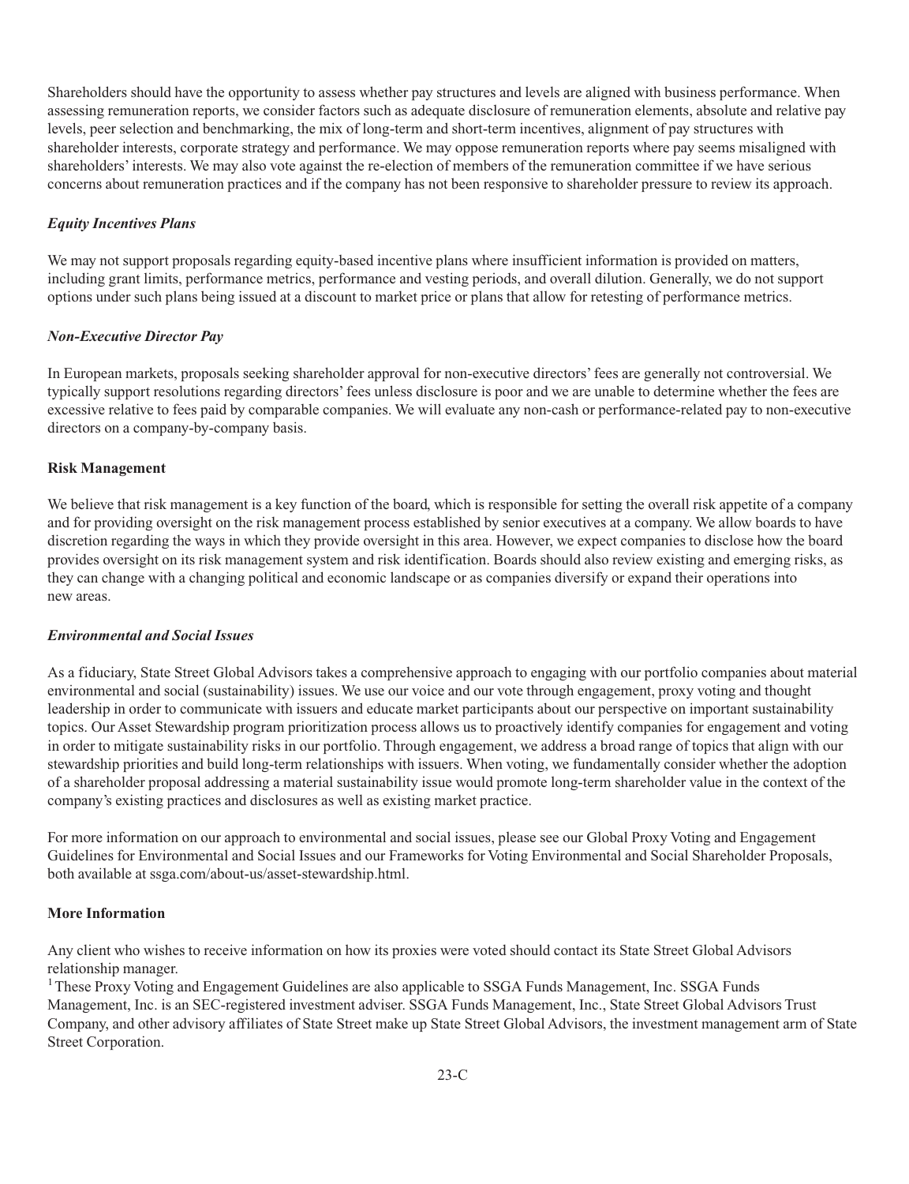Shareholders should have the opportunity to assess whether pay structures and levels are aligned with business performance. When assessing remuneration reports, we consider factors such as adequate disclosure of remuneration elements, absolute and relative pay levels, peer selection and benchmarking, the mix of long-term and short-term incentives, alignment of pay structures with shareholder interests, corporate strategy and performance. We may oppose remuneration reports where pay seems misaligned with shareholders' interests. We may also vote against the re-election of members of the remuneration committee if we have serious concerns about remuneration practices and if the company has not been responsive to shareholder pressure to review its approach.

# *Equity Incentives Plans*

We may not support proposals regarding equity-based incentive plans where insufficient information is provided on matters, including grant limits, performance metrics, performance and vesting periods, and overall dilution. Generally, we do not support options under such plans being issued at a discount to market price or plans that allow for retesting of performance metrics.

# *Non-Executive Director Pay*

In European markets, proposals seeking shareholder approval for non-executive directors' fees are generally not controversial. We typically support resolutions regarding directors' fees unless disclosure is poor and we are unable to determine whether the fees are excessive relative to fees paid by comparable companies. We will evaluate any non-cash or performance-related pay to non-executive directors on a company-by-company basis.

### **Risk Management**

We believe that risk management is a key function of the board, which is responsible for setting the overall risk appetite of a company and for providing oversight on the risk management process established by senior executives at a company. We allow boards to have discretion regarding the ways in which they provide oversight in this area. However, we expect companies to disclose how the board provides oversight on its risk management system and risk identification. Boards should also review existing and emerging risks, as they can change with a changing political and economic landscape or as companies diversify or expand their operations into new areas.

### *Environmental and Social Issues*

As a fiduciary, State Street Global Advisors takes a comprehensive approach to engaging with our portfolio companies about material environmental and social (sustainability) issues. We use our voice and our vote through engagement, proxy voting and thought leadership in order to communicate with issuers and educate market participants about our perspective on important sustainability topics. Our Asset Stewardship program prioritization process allows us to proactively identify companies for engagement and voting in order to mitigate sustainability risks in our portfolio. Through engagement, we address a broad range of topics that align with our stewardship priorities and build long-term relationships with issuers. When voting, we fundamentally consider whether the adoption of a shareholder proposal addressing a material sustainability issue would promote long-term shareholder value in the context of the company's existing practices and disclosures as well as existing market practice.

For more information on our approach to environmental and social issues, please see our Global Proxy Voting and Engagement Guidelines for Environmental and Social Issues and our Frameworks for Voting Environmental and Social Shareholder Proposals, both available at ssga.com/about-us/asset-stewardship.html.

### **More Information**

Any client who wishes to receive information on how its proxies were voted should contact its State Street Global Advisors relationship manager.

<sup>1</sup> These Proxy Voting and Engagement Guidelines are also applicable to SSGA Funds Management, Inc. SSGA Funds Management, Inc. is an SEC-registered investment adviser. SSGA Funds Management, Inc., State Street Global Advisors Trust Company, and other advisory affiliates of State Street make up State Street Global Advisors, the investment management arm of State Street Corporation.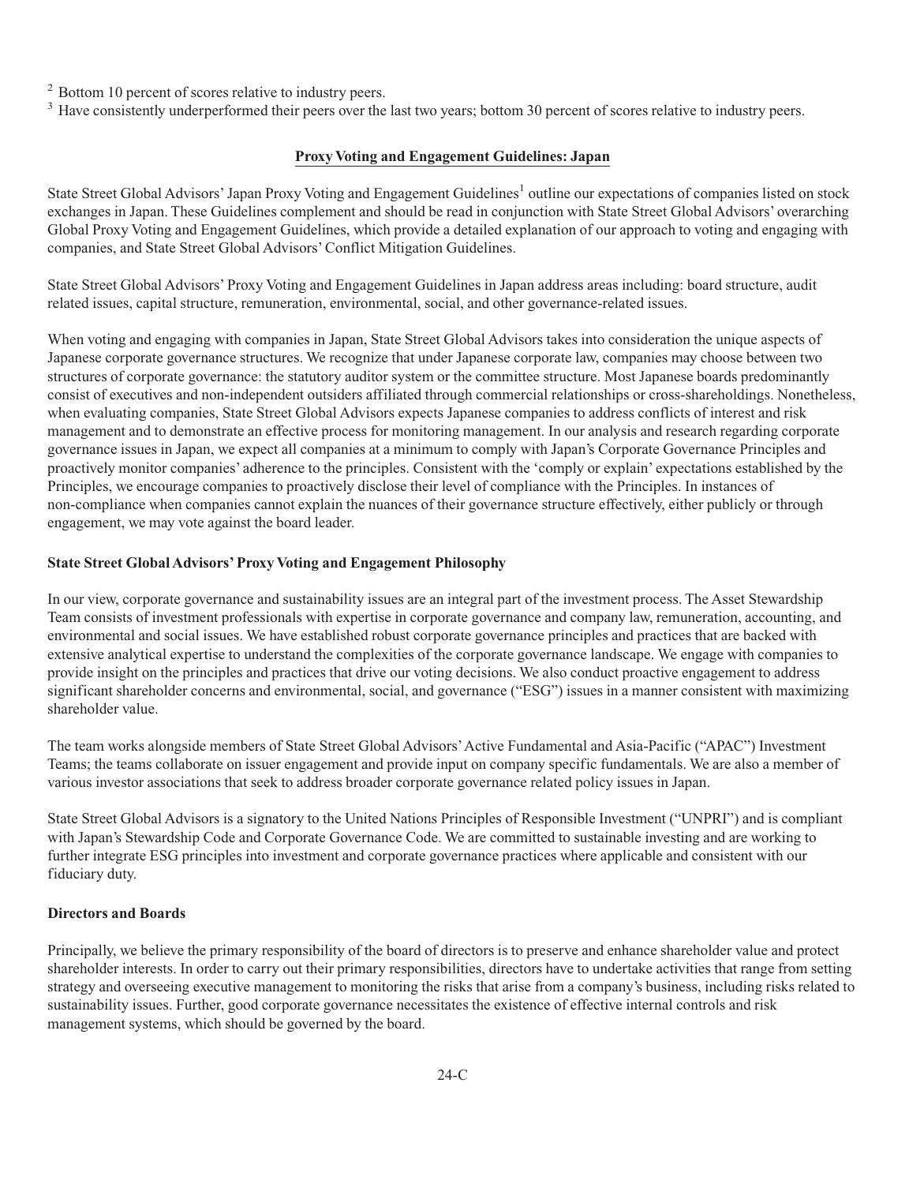<sup>2</sup> Bottom 10 percent of scores relative to industry peers.

<sup>3</sup> Have consistently underperformed their peers over the last two years; bottom 30 percent of scores relative to industry peers.

# **Proxy Voting and Engagement Guidelines: Japan**

State Street Global Advisors' Japan Proxy Voting and Engagement Guidelines<sup>1</sup> outline our expectations of companies listed on stock exchanges in Japan. These Guidelines complement and should be read in conjunction with State Street Global Advisors' overarching Global Proxy Voting and Engagement Guidelines, which provide a detailed explanation of our approach to voting and engaging with companies, and State Street Global Advisors' Conflict Mitigation Guidelines.

State Street Global Advisors' Proxy Voting and Engagement Guidelines in Japan address areas including: board structure, audit related issues, capital structure, remuneration, environmental, social, and other governance-related issues.

When voting and engaging with companies in Japan, State Street Global Advisors takes into consideration the unique aspects of Japanese corporate governance structures. We recognize that under Japanese corporate law, companies may choose between two structures of corporate governance: the statutory auditor system or the committee structure. Most Japanese boards predominantly consist of executives and non-independent outsiders affiliated through commercial relationships or cross-shareholdings. Nonetheless, when evaluating companies, State Street Global Advisors expects Japanese companies to address conflicts of interest and risk management and to demonstrate an effective process for monitoring management. In our analysis and research regarding corporate governance issues in Japan, we expect all companies at a minimum to comply with Japan's Corporate Governance Principles and proactively monitor companies' adherence to the principles. Consistent with the 'comply or explain' expectations established by the Principles, we encourage companies to proactively disclose their level of compliance with the Principles. In instances of non-compliance when companies cannot explain the nuances of their governance structure effectively, either publicly or through engagement, we may vote against the board leader.

# **State Street Global Advisors' Proxy Voting and Engagement Philosophy**

In our view, corporate governance and sustainability issues are an integral part of the investment process. The Asset Stewardship Team consists of investment professionals with expertise in corporate governance and company law, remuneration, accounting, and environmental and social issues. We have established robust corporate governance principles and practices that are backed with extensive analytical expertise to understand the complexities of the corporate governance landscape. We engage with companies to provide insight on the principles and practices that drive our voting decisions. We also conduct proactive engagement to address significant shareholder concerns and environmental, social, and governance ("ESG") issues in a manner consistent with maximizing shareholder value.

The team works alongside members of State Street Global Advisors'Active Fundamental and Asia-Pacific ("APAC") Investment Teams; the teams collaborate on issuer engagement and provide input on company specific fundamentals. We are also a member of various investor associations that seek to address broader corporate governance related policy issues in Japan.

State Street Global Advisors is a signatory to the United Nations Principles of Responsible Investment ("UNPRI") and is compliant with Japan's Stewardship Code and Corporate Governance Code. We are committed to sustainable investing and are working to further integrate ESG principles into investment and corporate governance practices where applicable and consistent with our fiduciary duty.

# **Directors and Boards**

Principally, we believe the primary responsibility of the board of directors is to preserve and enhance shareholder value and protect shareholder interests. In order to carry out their primary responsibilities, directors have to undertake activities that range from setting strategy and overseeing executive management to monitoring the risks that arise from a company's business, including risks related to sustainability issues. Further, good corporate governance necessitates the existence of effective internal controls and risk management systems, which should be governed by the board.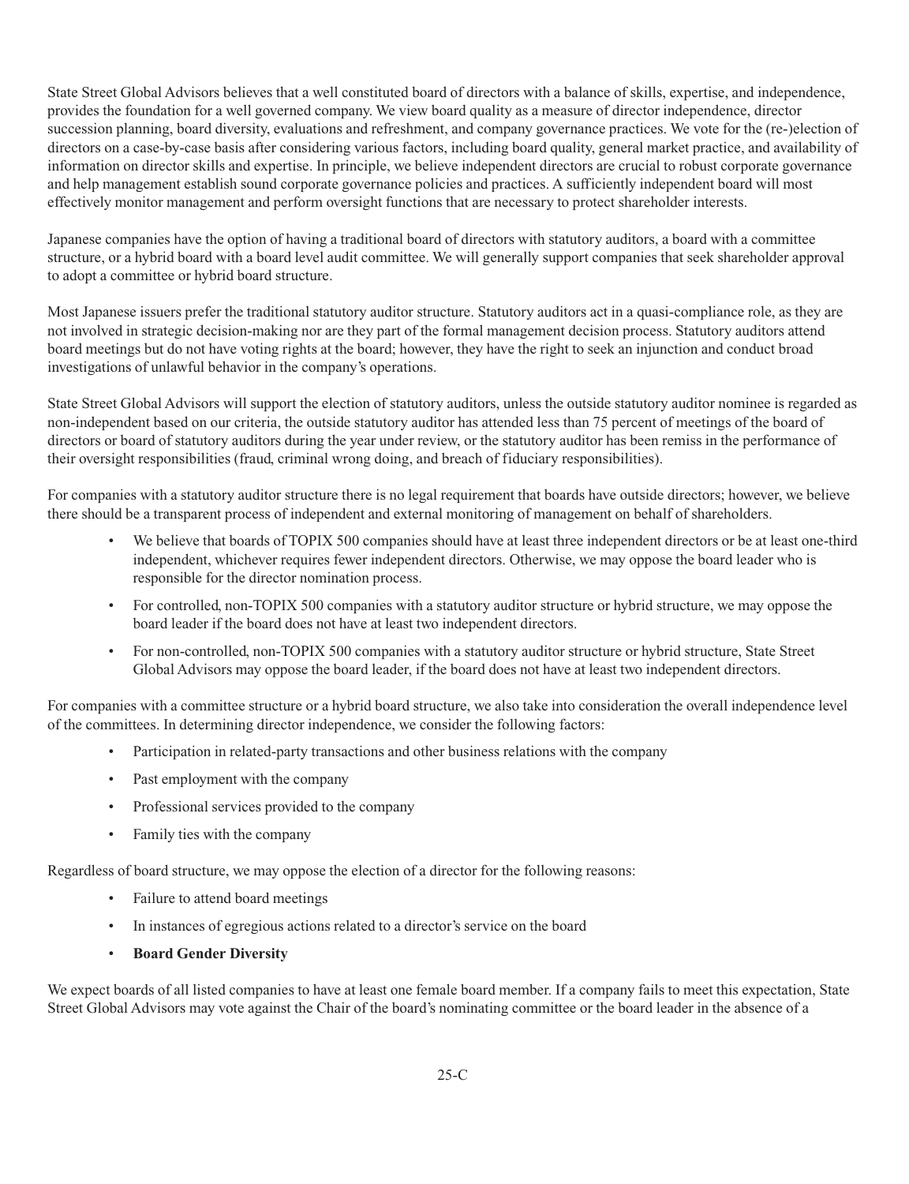State Street Global Advisors believes that a well constituted board of directors with a balance of skills, expertise, and independence, provides the foundation for a well governed company. We view board quality as a measure of director independence, director succession planning, board diversity, evaluations and refreshment, and company governance practices. We vote for the (re-)election of directors on a case-by-case basis after considering various factors, including board quality, general market practice, and availability of information on director skills and expertise. In principle, we believe independent directors are crucial to robust corporate governance and help management establish sound corporate governance policies and practices. A sufficiently independent board will most effectively monitor management and perform oversight functions that are necessary to protect shareholder interests.

Japanese companies have the option of having a traditional board of directors with statutory auditors, a board with a committee structure, or a hybrid board with a board level audit committee. We will generally support companies that seek shareholder approval to adopt a committee or hybrid board structure.

Most Japanese issuers prefer the traditional statutory auditor structure. Statutory auditors act in a quasi-compliance role, as they are not involved in strategic decision-making nor are they part of the formal management decision process. Statutory auditors attend board meetings but do not have voting rights at the board; however, they have the right to seek an injunction and conduct broad investigations of unlawful behavior in the company's operations.

State Street Global Advisors will support the election of statutory auditors, unless the outside statutory auditor nominee is regarded as non-independent based on our criteria, the outside statutory auditor has attended less than 75 percent of meetings of the board of directors or board of statutory auditors during the year under review, or the statutory auditor has been remiss in the performance of their oversight responsibilities (fraud, criminal wrong doing, and breach of fiduciary responsibilities).

For companies with a statutory auditor structure there is no legal requirement that boards have outside directors; however, we believe there should be a transparent process of independent and external monitoring of management on behalf of shareholders.

- We believe that boards of TOPIX 500 companies should have at least three independent directors or be at least one-third independent, whichever requires fewer independent directors. Otherwise, we may oppose the board leader who is responsible for the director nomination process.
- For controlled, non-TOPIX 500 companies with a statutory auditor structure or hybrid structure, we may oppose the board leader if the board does not have at least two independent directors.
- For non-controlled, non-TOPIX 500 companies with a statutory auditor structure or hybrid structure, State Street Global Advisors may oppose the board leader, if the board does not have at least two independent directors.

For companies with a committee structure or a hybrid board structure, we also take into consideration the overall independence level of the committees. In determining director independence, we consider the following factors:

- Participation in related-party transactions and other business relations with the company
- Past employment with the company
- Professional services provided to the company
- Family ties with the company

Regardless of board structure, we may oppose the election of a director for the following reasons:

- Failure to attend board meetings
- In instances of egregious actions related to a director's service on the board
- **Board Gender Diversity**

We expect boards of all listed companies to have at least one female board member. If a company fails to meet this expectation, State Street Global Advisors may vote against the Chair of the board's nominating committee or the board leader in the absence of a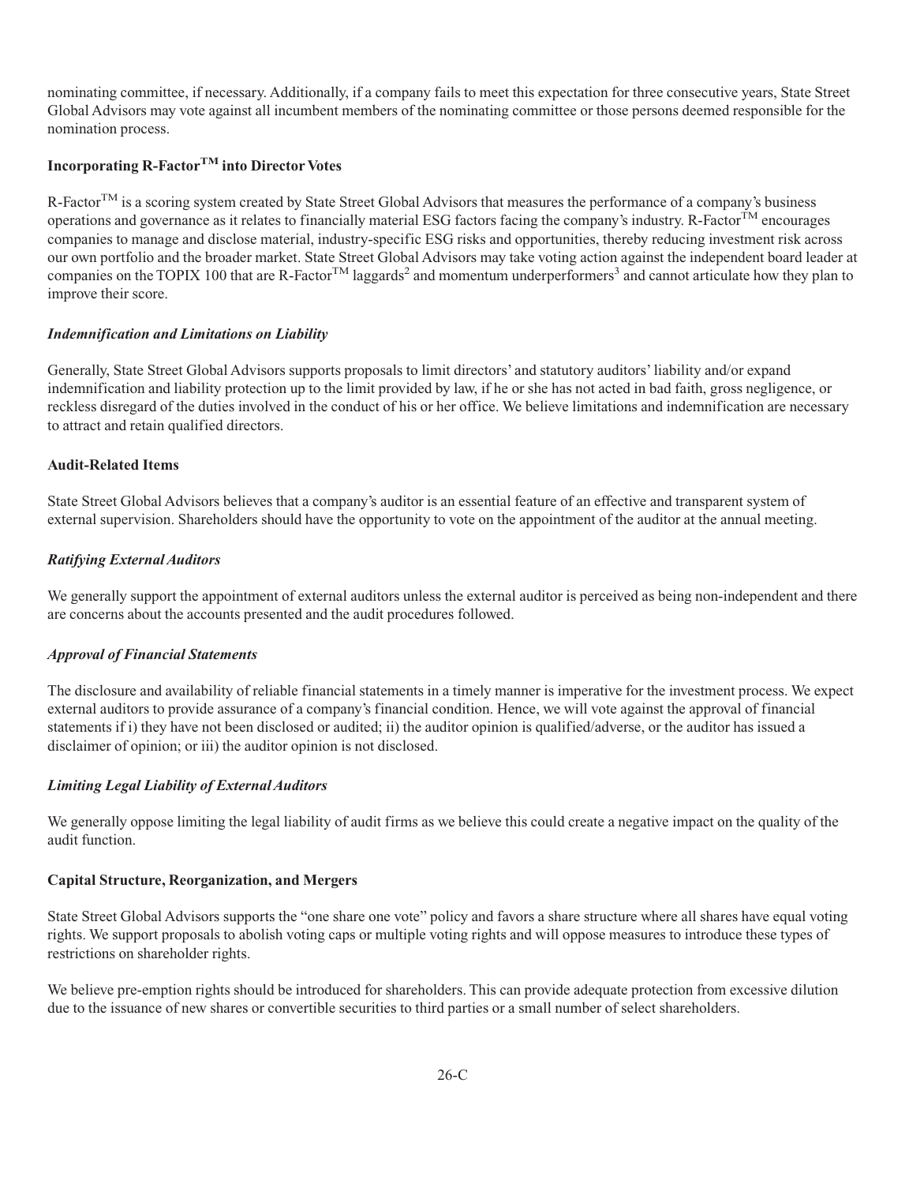nominating committee, if necessary. Additionally, if a company fails to meet this expectation for three consecutive years, State Street Global Advisors may vote against all incumbent members of the nominating committee or those persons deemed responsible for the nomination process.

# **Incorporating R-FactorTM into Director Votes**

R-Factor<sup>TM</sup> is a scoring system created by State Street Global Advisors that measures the performance of a company's business operations and governance as it relates to financially material ESG factors facing the company's industry. R-Factor<sup>TM</sup> encourages companies to manage and disclose material, industry-specific ESG risks and opportunities, thereby reducing investment risk across our own portfolio and the broader market. State Street Global Advisors may take voting action against the independent board leader at companies on the TOPIX 100 that are R-Factor<sup>TM</sup> laggards<sup>2</sup> and momentum underperformers<sup>3</sup> and cannot articulate how they plan to improve their score.

# *Indemnification and Limitations on Liability*

Generally, State Street Global Advisors supports proposals to limit directors' and statutory auditors' liability and/or expand indemnification and liability protection up to the limit provided by law, if he or she has not acted in bad faith, gross negligence, or reckless disregard of the duties involved in the conduct of his or her office. We believe limitations and indemnification are necessary to attract and retain qualified directors.

# **Audit-Related Items**

State Street Global Advisors believes that a company's auditor is an essential feature of an effective and transparent system of external supervision. Shareholders should have the opportunity to vote on the appointment of the auditor at the annual meeting.

# *Ratifying External Auditors*

We generally support the appointment of external auditors unless the external auditor is perceived as being non-independent and there are concerns about the accounts presented and the audit procedures followed.

# *Approval of Financial Statements*

The disclosure and availability of reliable financial statements in a timely manner is imperative for the investment process. We expect external auditors to provide assurance of a company's financial condition. Hence, we will vote against the approval of financial statements if i) they have not been disclosed or audited; ii) the auditor opinion is qualified/adverse, or the auditor has issued a disclaimer of opinion; or iii) the auditor opinion is not disclosed.

# *Limiting Legal Liability of External Auditors*

We generally oppose limiting the legal liability of audit firms as we believe this could create a negative impact on the quality of the audit function.

# **Capital Structure, Reorganization, and Mergers**

State Street Global Advisors supports the "one share one vote" policy and favors a share structure where all shares have equal voting rights. We support proposals to abolish voting caps or multiple voting rights and will oppose measures to introduce these types of restrictions on shareholder rights.

We believe pre-emption rights should be introduced for shareholders. This can provide adequate protection from excessive dilution due to the issuance of new shares or convertible securities to third parties or a small number of select shareholders.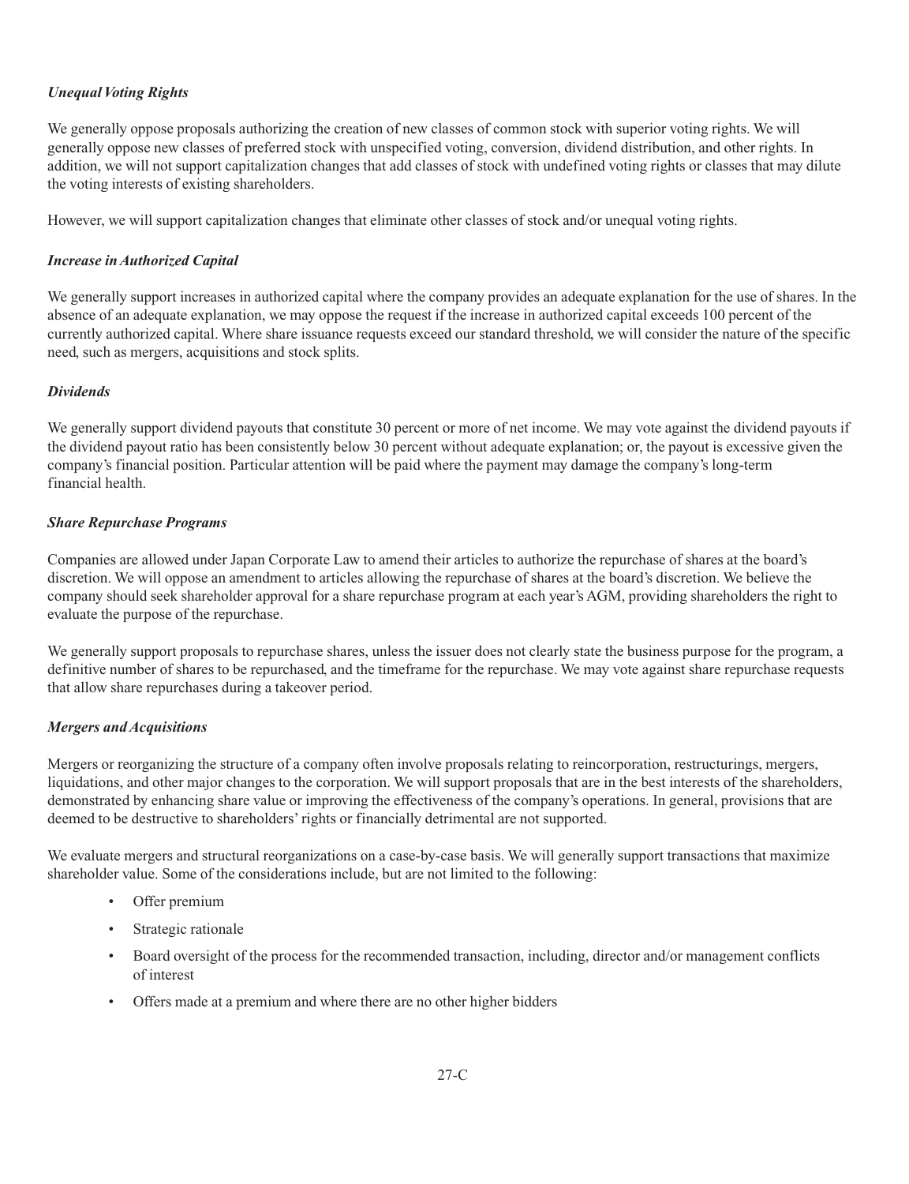# *Unequal Voting Rights*

We generally oppose proposals authorizing the creation of new classes of common stock with superior voting rights. We will generally oppose new classes of preferred stock with unspecified voting, conversion, dividend distribution, and other rights. In addition, we will not support capitalization changes that add classes of stock with undefined voting rights or classes that may dilute the voting interests of existing shareholders.

However, we will support capitalization changes that eliminate other classes of stock and/or unequal voting rights.

# *Increase in Authorized Capital*

We generally support increases in authorized capital where the company provides an adequate explanation for the use of shares. In the absence of an adequate explanation, we may oppose the request if the increase in authorized capital exceeds 100 percent of the currently authorized capital. Where share issuance requests exceed our standard threshold, we will consider the nature of the specific need, such as mergers, acquisitions and stock splits.

# *Dividends*

We generally support dividend payouts that constitute 30 percent or more of net income. We may vote against the dividend payouts if the dividend payout ratio has been consistently below 30 percent without adequate explanation; or, the payout is excessive given the company's financial position. Particular attention will be paid where the payment may damage the company's long-term financial health.

# *Share Repurchase Programs*

Companies are allowed under Japan Corporate Law to amend their articles to authorize the repurchase of shares at the board's discretion. We will oppose an amendment to articles allowing the repurchase of shares at the board's discretion. We believe the company should seek shareholder approval for a share repurchase program at each year's AGM, providing shareholders the right to evaluate the purpose of the repurchase.

We generally support proposals to repurchase shares, unless the issuer does not clearly state the business purpose for the program, a definitive number of shares to be repurchased, and the timeframe for the repurchase. We may vote against share repurchase requests that allow share repurchases during a takeover period.

# *Mergers and Acquisitions*

Mergers or reorganizing the structure of a company often involve proposals relating to reincorporation, restructurings, mergers, liquidations, and other major changes to the corporation. We will support proposals that are in the best interests of the shareholders, demonstrated by enhancing share value or improving the effectiveness of the company's operations. In general, provisions that are deemed to be destructive to shareholders' rights or financially detrimental are not supported.

We evaluate mergers and structural reorganizations on a case-by-case basis. We will generally support transactions that maximize shareholder value. Some of the considerations include, but are not limited to the following:

- Offer premium
- Strategic rationale
- Board oversight of the process for the recommended transaction, including, director and/or management conflicts of interest
- Offers made at a premium and where there are no other higher bidders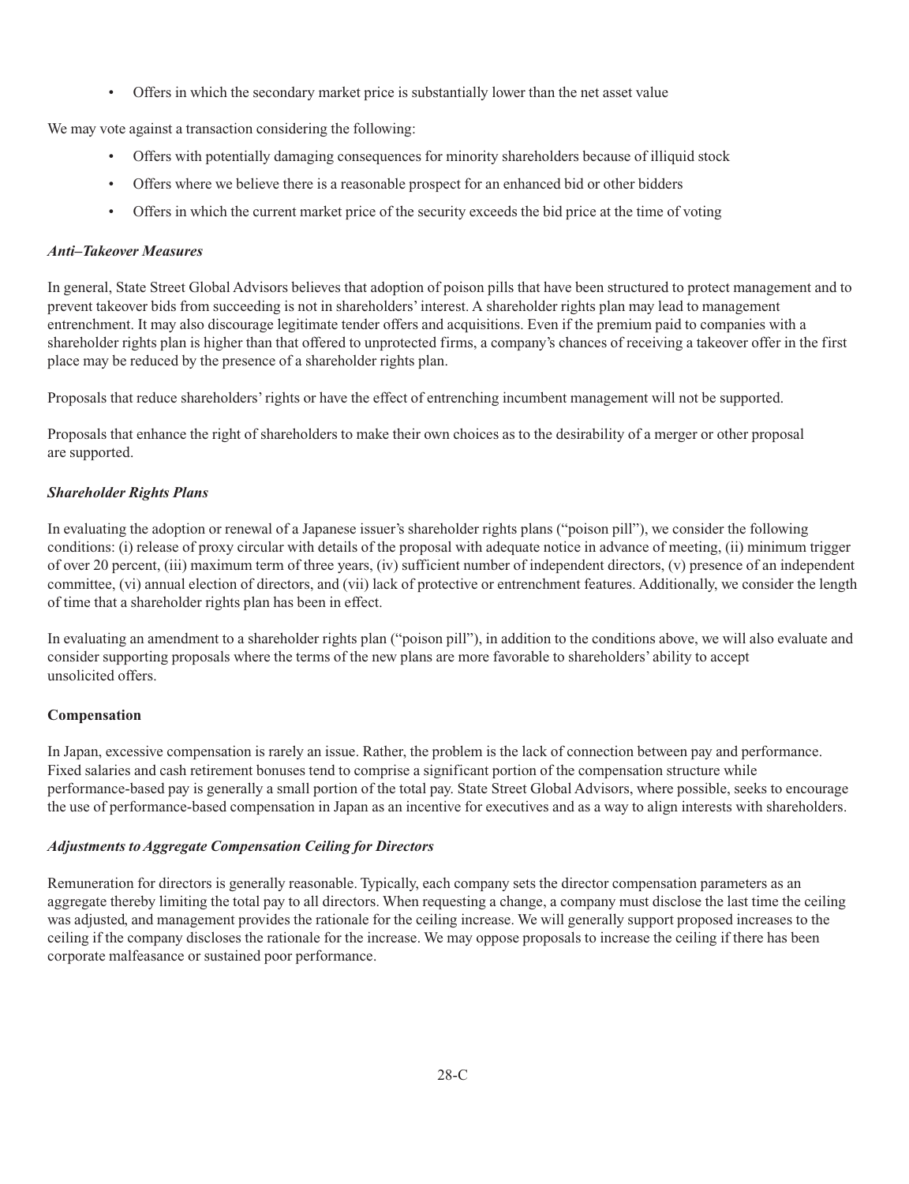• Offers in which the secondary market price is substantially lower than the net asset value

We may vote against a transaction considering the following:

- Offers with potentially damaging consequences for minority shareholders because of illiquid stock
- Offers where we believe there is a reasonable prospect for an enhanced bid or other bidders
- Offers in which the current market price of the security exceeds the bid price at the time of voting

### *Anti–Takeover Measures*

In general, State Street Global Advisors believes that adoption of poison pills that have been structured to protect management and to prevent takeover bids from succeeding is not in shareholders' interest. A shareholder rights plan may lead to management entrenchment. It may also discourage legitimate tender offers and acquisitions. Even if the premium paid to companies with a shareholder rights plan is higher than that offered to unprotected firms, a company's chances of receiving a takeover offer in the first place may be reduced by the presence of a shareholder rights plan.

Proposals that reduce shareholders' rights or have the effect of entrenching incumbent management will not be supported.

Proposals that enhance the right of shareholders to make their own choices as to the desirability of a merger or other proposal are supported.

# *Shareholder Rights Plans*

In evaluating the adoption or renewal of a Japanese issuer's shareholder rights plans ("poison pill"), we consider the following conditions: (i) release of proxy circular with details of the proposal with adequate notice in advance of meeting, (ii) minimum trigger of over 20 percent, (iii) maximum term of three years, (iv) sufficient number of independent directors, (v) presence of an independent committee, (vi) annual election of directors, and (vii) lack of protective or entrenchment features. Additionally, we consider the length of time that a shareholder rights plan has been in effect.

In evaluating an amendment to a shareholder rights plan ("poison pill"), in addition to the conditions above, we will also evaluate and consider supporting proposals where the terms of the new plans are more favorable to shareholders' ability to accept unsolicited offers.

# **Compensation**

In Japan, excessive compensation is rarely an issue. Rather, the problem is the lack of connection between pay and performance. Fixed salaries and cash retirement bonuses tend to comprise a significant portion of the compensation structure while performance-based pay is generally a small portion of the total pay. State Street Global Advisors, where possible, seeks to encourage the use of performance-based compensation in Japan as an incentive for executives and as a way to align interests with shareholders.

# *Adjustments to Aggregate Compensation Ceiling for Directors*

Remuneration for directors is generally reasonable. Typically, each company sets the director compensation parameters as an aggregate thereby limiting the total pay to all directors. When requesting a change, a company must disclose the last time the ceiling was adjusted, and management provides the rationale for the ceiling increase. We will generally support proposed increases to the ceiling if the company discloses the rationale for the increase. We may oppose proposals to increase the ceiling if there has been corporate malfeasance or sustained poor performance.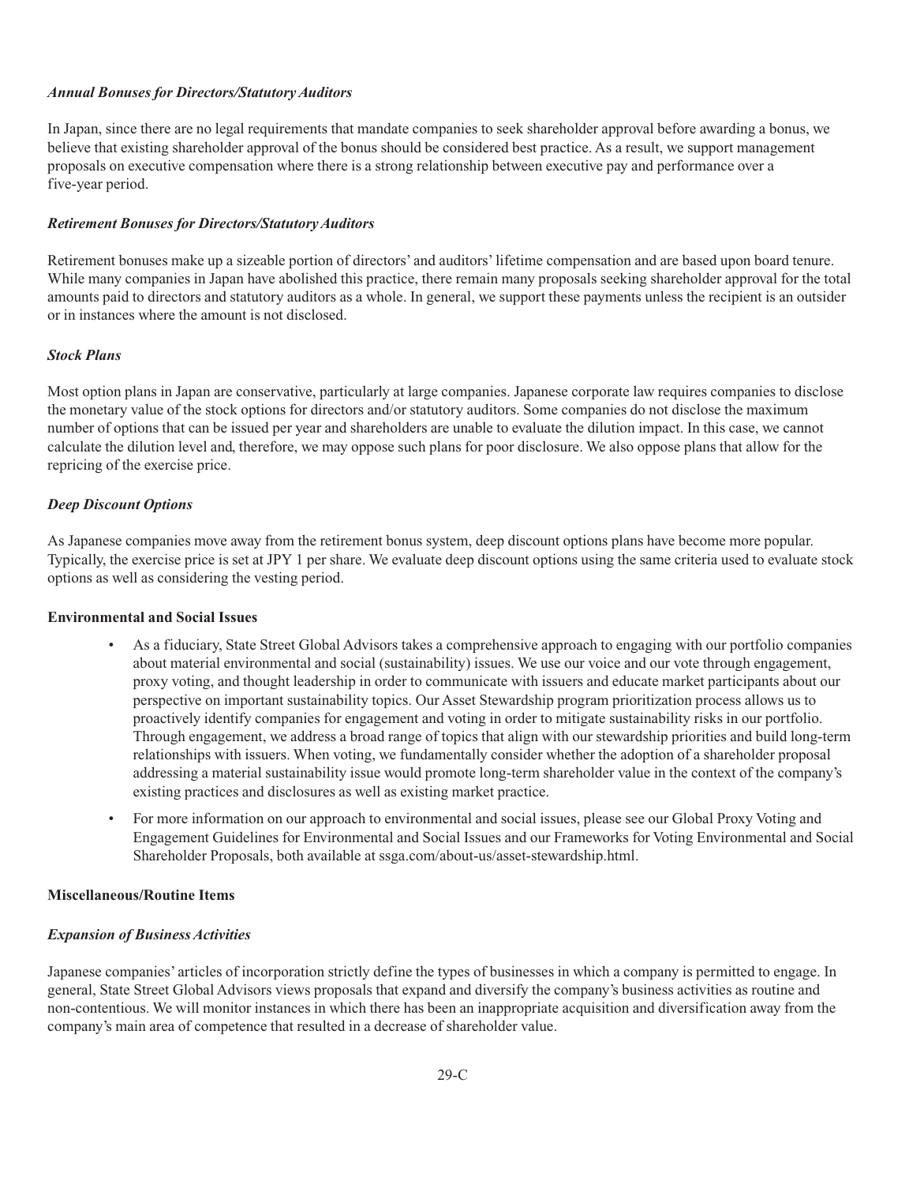### *Annual Bonuses for Directors/Statutory Auditors*

In Japan, since there are no legal requirements that mandate companies to seek shareholder approval before awarding a bonus, we believe that existing shareholder approval of the bonus should be considered best practice. As a result, we support management proposals on executive compensation where there is a strong relationship between executive pay and performance over a five-year period.

### *Retirement Bonuses for Directors/Statutory Auditors*

Retirement bonuses make up a sizeable portion of directors' and auditors' lifetime compensation and are based upon board tenure. While many companies in Japan have abolished this practice, there remain many proposals seeking shareholder approval for the total amounts paid to directors and statutory auditors as a whole. In general, we support these payments unless the recipient is an outsider or in instances where the amount is not disclosed.

#### *Stock Plans*

Most option plans in Japan are conservative, particularly at large companies. Japanese corporate law requires companies to disclose the monetary value of the stock options for directors and/or statutory auditors. Some companies do not disclose the maximum number of options that can be issued per year and shareholders are unable to evaluate the dilution impact. In this case, we cannot calculate the dilution level and, therefore, we may oppose such plans for poor disclosure. We also oppose plans that allow for the repricing of the exercise price.

# *Deep Discount Options*

As Japanese companies move away from the retirement bonus system, deep discount options plans have become more popular. Typically, the exercise price is set at JPY 1 per share. We evaluate deep discount options using the same criteria used to evaluate stock options as well as considering the vesting period.

#### **Environmental and Social Issues**

- As a fiduciary, State Street Global Advisors takes a comprehensive approach to engaging with our portfolio companies about material environmental and social (sustainability) issues. We use our voice and our vote through engagement, proxy voting, and thought leadership in order to communicate with issuers and educate market participants about our perspective on important sustainability topics. Our Asset Stewardship program prioritization process allows us to proactively identify companies for engagement and voting in order to mitigate sustainability risks in our portfolio. Through engagement, we address a broad range of topics that align with our stewardship priorities and build long-term relationships with issuers. When voting, we fundamentally consider whether the adoption of a shareholder proposal addressing a material sustainability issue would promote long-term shareholder value in the context of the company's existing practices and disclosures as well as existing market practice.
- For more information on our approach to environmental and social issues, please see our Global Proxy Voting and Engagement Guidelines for Environmental and Social Issues and our Frameworks for Voting Environmental and Social Shareholder Proposals, both available at ssga.com/about-us/asset-stewardship.html.

#### **Miscellaneous/Routine Items**

# *Expansion of Business Activities*

Japanese companies' articles of incorporation strictly define the types of businesses in which a company is permitted to engage. In general, State Street Global Advisors views proposals that expand and diversify the company's business activities as routine and non-contentious. We will monitor instances in which there has been an inappropriate acquisition and diversification away from the company's main area of competence that resulted in a decrease of shareholder value.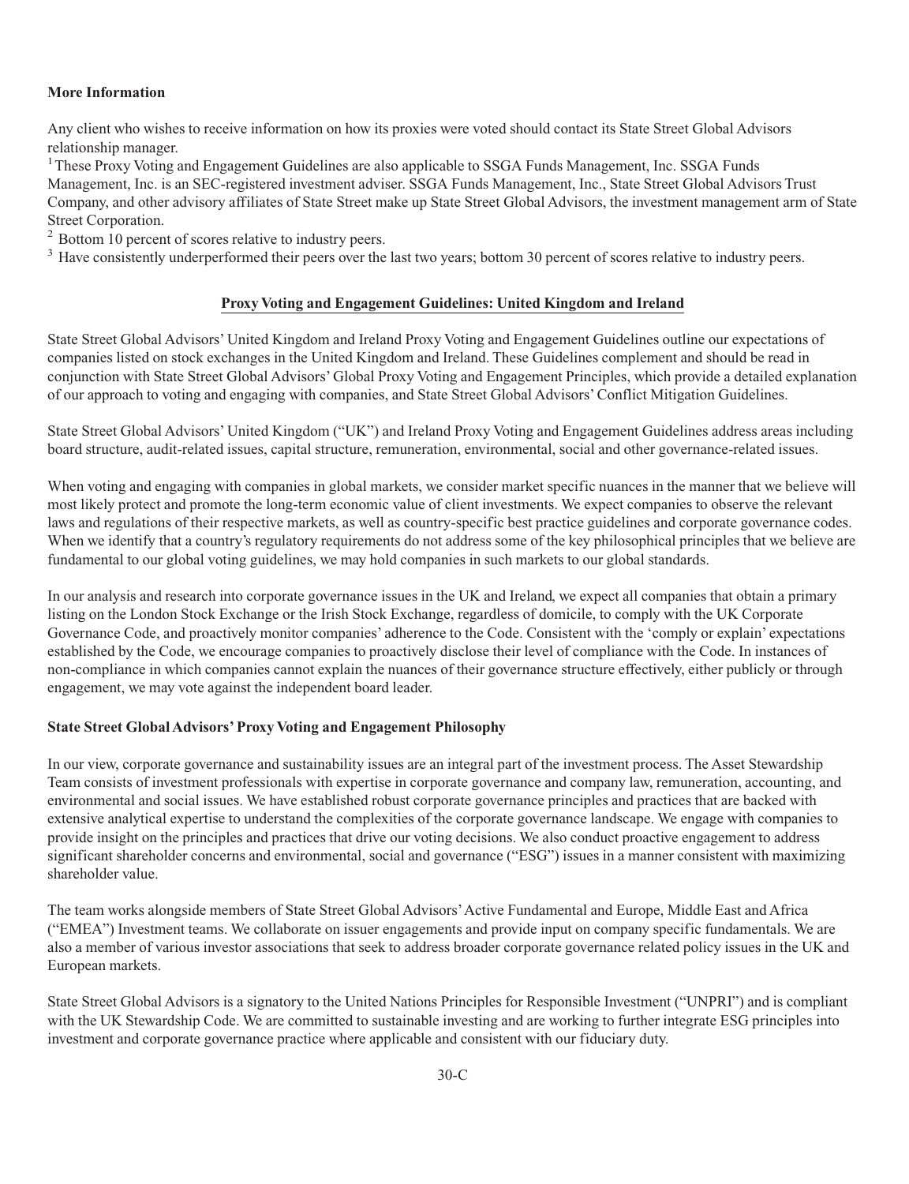### **More Information**

Any client who wishes to receive information on how its proxies were voted should contact its State Street Global Advisors relationship manager.

<sup>1</sup> These Proxy Voting and Engagement Guidelines are also applicable to SSGA Funds Management, Inc. SSGA Funds Management, Inc. is an SEC-registered investment adviser. SSGA Funds Management, Inc., State Street Global Advisors Trust Company, and other advisory affiliates of State Street make up State Street Global Advisors, the investment management arm of State Street Corporation.

<sup>2</sup> Bottom 10 percent of scores relative to industry peers.

<sup>3</sup> Have consistently underperformed their peers over the last two years; bottom 30 percent of scores relative to industry peers.

# **Proxy Voting and Engagement Guidelines: United Kingdom and Ireland**

State Street Global Advisors' United Kingdom and Ireland Proxy Voting and Engagement Guidelines outline our expectations of companies listed on stock exchanges in the United Kingdom and Ireland. These Guidelines complement and should be read in conjunction with State Street Global Advisors' Global Proxy Voting and Engagement Principles, which provide a detailed explanation of our approach to voting and engaging with companies, and State Street Global Advisors' Conflict Mitigation Guidelines.

State Street Global Advisors' United Kingdom ("UK") and Ireland Proxy Voting and Engagement Guidelines address areas including board structure, audit-related issues, capital structure, remuneration, environmental, social and other governance-related issues.

When voting and engaging with companies in global markets, we consider market specific nuances in the manner that we believe will most likely protect and promote the long-term economic value of client investments. We expect companies to observe the relevant laws and regulations of their respective markets, as well as country-specific best practice guidelines and corporate governance codes. When we identify that a country's regulatory requirements do not address some of the key philosophical principles that we believe are fundamental to our global voting guidelines, we may hold companies in such markets to our global standards.

In our analysis and research into corporate governance issues in the UK and Ireland, we expect all companies that obtain a primary listing on the London Stock Exchange or the Irish Stock Exchange, regardless of domicile, to comply with the UK Corporate Governance Code, and proactively monitor companies' adherence to the Code. Consistent with the 'comply or explain' expectations established by the Code, we encourage companies to proactively disclose their level of compliance with the Code. In instances of non-compliance in which companies cannot explain the nuances of their governance structure effectively, either publicly or through engagement, we may vote against the independent board leader.

# **State Street Global Advisors' Proxy Voting and Engagement Philosophy**

In our view, corporate governance and sustainability issues are an integral part of the investment process. The Asset Stewardship Team consists of investment professionals with expertise in corporate governance and company law, remuneration, accounting, and environmental and social issues. We have established robust corporate governance principles and practices that are backed with extensive analytical expertise to understand the complexities of the corporate governance landscape. We engage with companies to provide insight on the principles and practices that drive our voting decisions. We also conduct proactive engagement to address significant shareholder concerns and environmental, social and governance ("ESG") issues in a manner consistent with maximizing shareholder value.

The team works alongside members of State Street Global Advisors'Active Fundamental and Europe, Middle East and Africa ("EMEA") Investment teams. We collaborate on issuer engagements and provide input on company specific fundamentals. We are also a member of various investor associations that seek to address broader corporate governance related policy issues in the UK and European markets.

State Street Global Advisors is a signatory to the United Nations Principles for Responsible Investment ("UNPRI") and is compliant with the UK Stewardship Code. We are committed to sustainable investing and are working to further integrate ESG principles into investment and corporate governance practice where applicable and consistent with our fiduciary duty.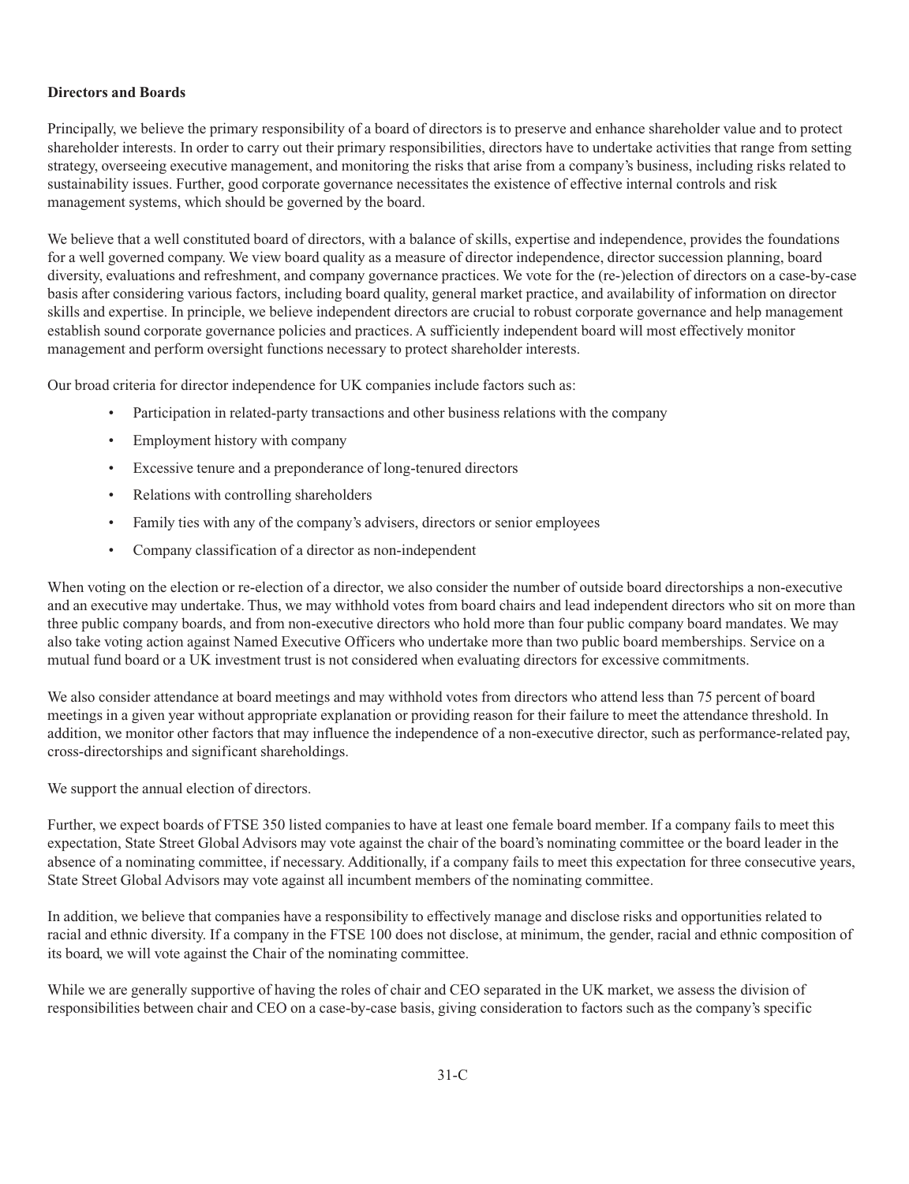# **Directors and Boards**

Principally, we believe the primary responsibility of a board of directors is to preserve and enhance shareholder value and to protect shareholder interests. In order to carry out their primary responsibilities, directors have to undertake activities that range from setting strategy, overseeing executive management, and monitoring the risks that arise from a company's business, including risks related to sustainability issues. Further, good corporate governance necessitates the existence of effective internal controls and risk management systems, which should be governed by the board.

We believe that a well constituted board of directors, with a balance of skills, expertise and independence, provides the foundations for a well governed company. We view board quality as a measure of director independence, director succession planning, board diversity, evaluations and refreshment, and company governance practices. We vote for the (re-)election of directors on a case-by-case basis after considering various factors, including board quality, general market practice, and availability of information on director skills and expertise. In principle, we believe independent directors are crucial to robust corporate governance and help management establish sound corporate governance policies and practices. A sufficiently independent board will most effectively monitor management and perform oversight functions necessary to protect shareholder interests.

Our broad criteria for director independence for UK companies include factors such as:

- Participation in related-party transactions and other business relations with the company
- Employment history with company
- Excessive tenure and a preponderance of long-tenured directors
- Relations with controlling shareholders
- Family ties with any of the company's advisers, directors or senior employees
- Company classification of a director as non-independent

When voting on the election or re-election of a director, we also consider the number of outside board directorships a non-executive and an executive may undertake. Thus, we may withhold votes from board chairs and lead independent directors who sit on more than three public company boards, and from non-executive directors who hold more than four public company board mandates. We may also take voting action against Named Executive Officers who undertake more than two public board memberships. Service on a mutual fund board or a UK investment trust is not considered when evaluating directors for excessive commitments.

We also consider attendance at board meetings and may withhold votes from directors who attend less than 75 percent of board meetings in a given year without appropriate explanation or providing reason for their failure to meet the attendance threshold. In addition, we monitor other factors that may influence the independence of a non-executive director, such as performance-related pay, cross-directorships and significant shareholdings.

We support the annual election of directors.

Further, we expect boards of FTSE 350 listed companies to have at least one female board member. If a company fails to meet this expectation, State Street Global Advisors may vote against the chair of the board's nominating committee or the board leader in the absence of a nominating committee, if necessary. Additionally, if a company fails to meet this expectation for three consecutive years, State Street Global Advisors may vote against all incumbent members of the nominating committee.

In addition, we believe that companies have a responsibility to effectively manage and disclose risks and opportunities related to racial and ethnic diversity. If a company in the FTSE 100 does not disclose, at minimum, the gender, racial and ethnic composition of its board, we will vote against the Chair of the nominating committee.

While we are generally supportive of having the roles of chair and CEO separated in the UK market, we assess the division of responsibilities between chair and CEO on a case-by-case basis, giving consideration to factors such as the company's specific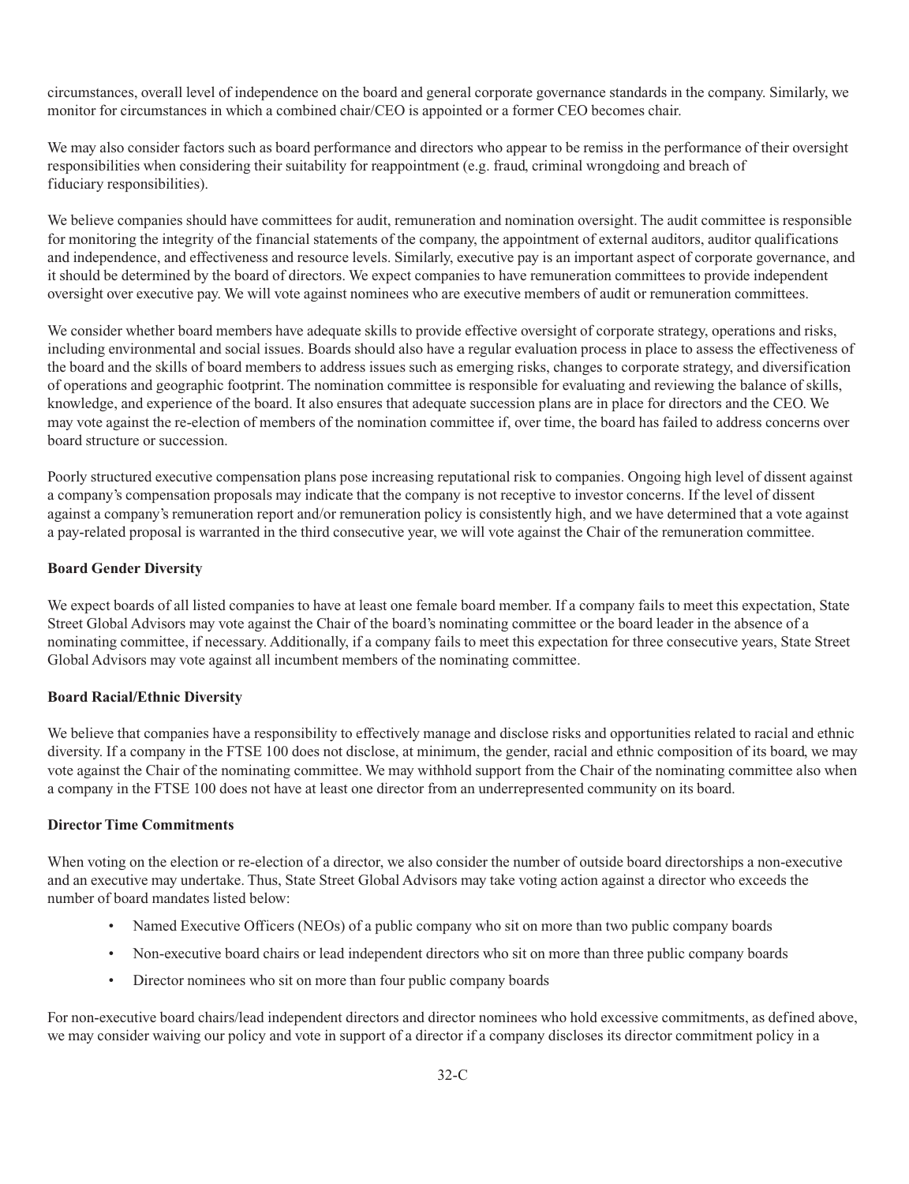circumstances, overall level of independence on the board and general corporate governance standards in the company. Similarly, we monitor for circumstances in which a combined chair/CEO is appointed or a former CEO becomes chair.

We may also consider factors such as board performance and directors who appear to be remiss in the performance of their oversight responsibilities when considering their suitability for reappointment (e.g. fraud, criminal wrongdoing and breach of fiduciary responsibilities).

We believe companies should have committees for audit, remuneration and nomination oversight. The audit committee is responsible for monitoring the integrity of the financial statements of the company, the appointment of external auditors, auditor qualifications and independence, and effectiveness and resource levels. Similarly, executive pay is an important aspect of corporate governance, and it should be determined by the board of directors. We expect companies to have remuneration committees to provide independent oversight over executive pay. We will vote against nominees who are executive members of audit or remuneration committees.

We consider whether board members have adequate skills to provide effective oversight of corporate strategy, operations and risks, including environmental and social issues. Boards should also have a regular evaluation process in place to assess the effectiveness of the board and the skills of board members to address issues such as emerging risks, changes to corporate strategy, and diversification of operations and geographic footprint. The nomination committee is responsible for evaluating and reviewing the balance of skills, knowledge, and experience of the board. It also ensures that adequate succession plans are in place for directors and the CEO. We may vote against the re-election of members of the nomination committee if, over time, the board has failed to address concerns over board structure or succession.

Poorly structured executive compensation plans pose increasing reputational risk to companies. Ongoing high level of dissent against a company's compensation proposals may indicate that the company is not receptive to investor concerns. If the level of dissent against a company's remuneration report and/or remuneration policy is consistently high, and we have determined that a vote against a pay-related proposal is warranted in the third consecutive year, we will vote against the Chair of the remuneration committee.

# **Board Gender Diversity**

We expect boards of all listed companies to have at least one female board member. If a company fails to meet this expectation, State Street Global Advisors may vote against the Chair of the board's nominating committee or the board leader in the absence of a nominating committee, if necessary. Additionally, if a company fails to meet this expectation for three consecutive years, State Street Global Advisors may vote against all incumbent members of the nominating committee.

# **Board Racial/Ethnic Diversity**

We believe that companies have a responsibility to effectively manage and disclose risks and opportunities related to racial and ethnic diversity. If a company in the FTSE 100 does not disclose, at minimum, the gender, racial and ethnic composition of its board, we may vote against the Chair of the nominating committee. We may withhold support from the Chair of the nominating committee also when a company in the FTSE 100 does not have at least one director from an underrepresented community on its board.

# **Director Time Commitments**

When voting on the election or re-election of a director, we also consider the number of outside board directorships a non-executive and an executive may undertake. Thus, State Street Global Advisors may take voting action against a director who exceeds the number of board mandates listed below:

- Named Executive Officers (NEOs) of a public company who sit on more than two public company boards
- Non-executive board chairs or lead independent directors who sit on more than three public company boards
- Director nominees who sit on more than four public company boards

For non-executive board chairs/lead independent directors and director nominees who hold excessive commitments, as defined above, we may consider waiving our policy and vote in support of a director if a company discloses its director commitment policy in a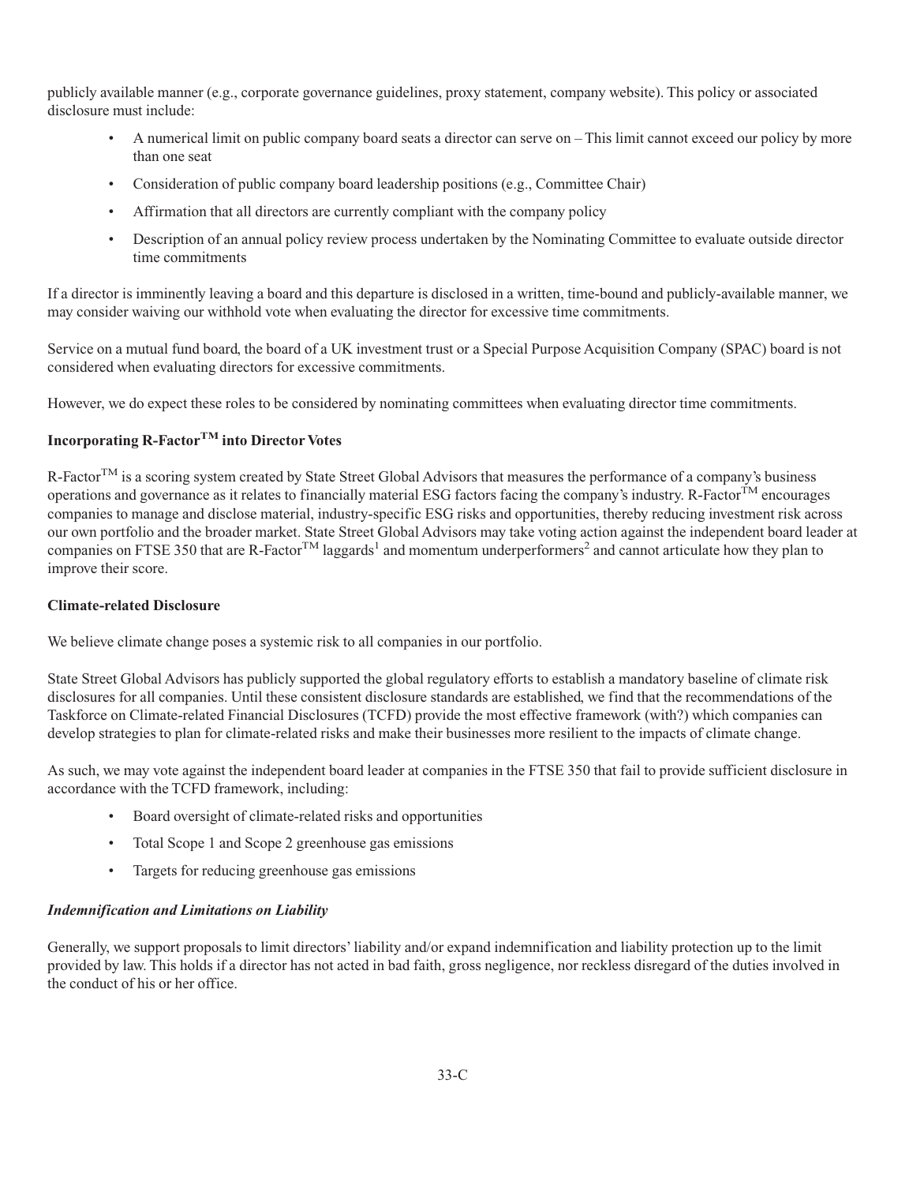publicly available manner (e.g., corporate governance guidelines, proxy statement, company website). This policy or associated disclosure must include:

- A numerical limit on public company board seats a director can serve on This limit cannot exceed our policy by more than one seat
- Consideration of public company board leadership positions (e.g., Committee Chair)
- Affirmation that all directors are currently compliant with the company policy
- Description of an annual policy review process undertaken by the Nominating Committee to evaluate outside director time commitments

If a director is imminently leaving a board and this departure is disclosed in a written, time-bound and publicly-available manner, we may consider waiving our withhold vote when evaluating the director for excessive time commitments.

Service on a mutual fund board, the board of a UK investment trust or a Special Purpose Acquisition Company (SPAC) board is not considered when evaluating directors for excessive commitments.

However, we do expect these roles to be considered by nominating committees when evaluating director time commitments.

# **Incorporating R-FactorTM into Director Votes**

 $R$ -Factor<sup>TM</sup> is a scoring system created by State Street Global Advisors that measures the performance of a company's business operations and governance as it relates to financially material ESG factors facing the company's industry. R-Factor<sup>TM</sup> encourages companies to manage and disclose material, industry-specific ESG risks and opportunities, thereby reducing investment risk across our own portfolio and the broader market. State Street Global Advisors may take voting action against the independent board leader at companies on FTSE 350 that are R-Factor<sup>TM</sup> laggards<sup>1</sup> and momentum underperformers<sup>2</sup> and cannot articulate how they plan to improve their score.

# **Climate-related Disclosure**

We believe climate change poses a systemic risk to all companies in our portfolio.

State Street Global Advisors has publicly supported the global regulatory efforts to establish a mandatory baseline of climate risk disclosures for all companies. Until these consistent disclosure standards are established, we find that the recommendations of the Taskforce on Climate-related Financial Disclosures (TCFD) provide the most effective framework (with?) which companies can develop strategies to plan for climate-related risks and make their businesses more resilient to the impacts of climate change.

As such, we may vote against the independent board leader at companies in the FTSE 350 that fail to provide sufficient disclosure in accordance with the TCFD framework, including:

- Board oversight of climate-related risks and opportunities
- Total Scope 1 and Scope 2 greenhouse gas emissions
- Targets for reducing greenhouse gas emissions

# *Indemnification and Limitations on Liability*

Generally, we support proposals to limit directors' liability and/or expand indemnification and liability protection up to the limit provided by law. This holds if a director has not acted in bad faith, gross negligence, nor reckless disregard of the duties involved in the conduct of his or her office.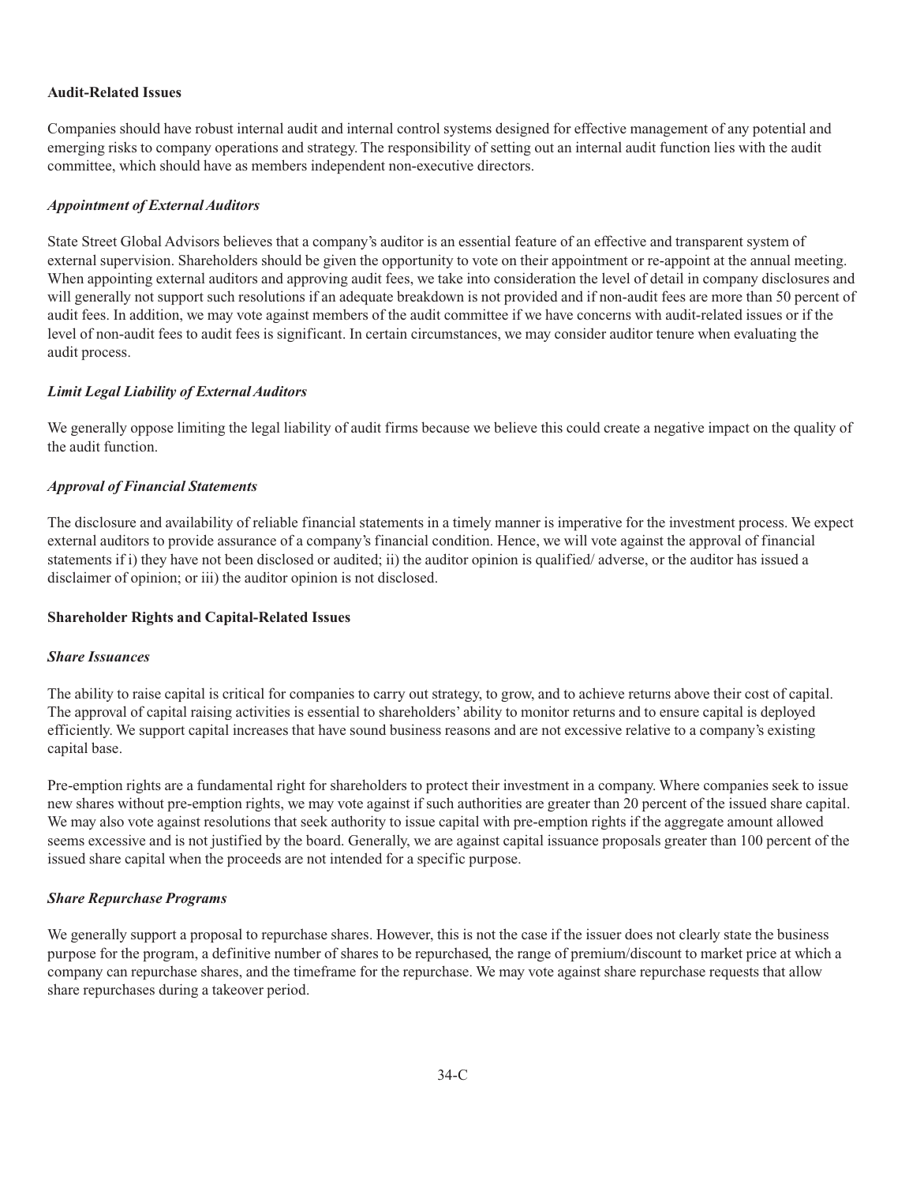# **Audit-Related Issues**

Companies should have robust internal audit and internal control systems designed for effective management of any potential and emerging risks to company operations and strategy. The responsibility of setting out an internal audit function lies with the audit committee, which should have as members independent non-executive directors.

#### *Appointment of External Auditors*

State Street Global Advisors believes that a company's auditor is an essential feature of an effective and transparent system of external supervision. Shareholders should be given the opportunity to vote on their appointment or re-appoint at the annual meeting. When appointing external auditors and approving audit fees, we take into consideration the level of detail in company disclosures and will generally not support such resolutions if an adequate breakdown is not provided and if non-audit fees are more than 50 percent of audit fees. In addition, we may vote against members of the audit committee if we have concerns with audit-related issues or if the level of non-audit fees to audit fees is significant. In certain circumstances, we may consider auditor tenure when evaluating the audit process.

# *Limit Legal Liability of External Auditors*

We generally oppose limiting the legal liability of audit firms because we believe this could create a negative impact on the quality of the audit function.

#### *Approval of Financial Statements*

The disclosure and availability of reliable financial statements in a timely manner is imperative for the investment process. We expect external auditors to provide assurance of a company's financial condition. Hence, we will vote against the approval of financial statements if i) they have not been disclosed or audited; ii) the auditor opinion is qualified/ adverse, or the auditor has issued a disclaimer of opinion; or iii) the auditor opinion is not disclosed.

# **Shareholder Rights and Capital-Related Issues**

# *Share Issuances*

The ability to raise capital is critical for companies to carry out strategy, to grow, and to achieve returns above their cost of capital. The approval of capital raising activities is essential to shareholders' ability to monitor returns and to ensure capital is deployed efficiently. We support capital increases that have sound business reasons and are not excessive relative to a company's existing capital base.

Pre-emption rights are a fundamental right for shareholders to protect their investment in a company. Where companies seek to issue new shares without pre-emption rights, we may vote against if such authorities are greater than 20 percent of the issued share capital. We may also vote against resolutions that seek authority to issue capital with pre-emption rights if the aggregate amount allowed seems excessive and is not justified by the board. Generally, we are against capital issuance proposals greater than 100 percent of the issued share capital when the proceeds are not intended for a specific purpose.

# *Share Repurchase Programs*

We generally support a proposal to repurchase shares. However, this is not the case if the issuer does not clearly state the business purpose for the program, a definitive number of shares to be repurchased, the range of premium/discount to market price at which a company can repurchase shares, and the timeframe for the repurchase. We may vote against share repurchase requests that allow share repurchases during a takeover period.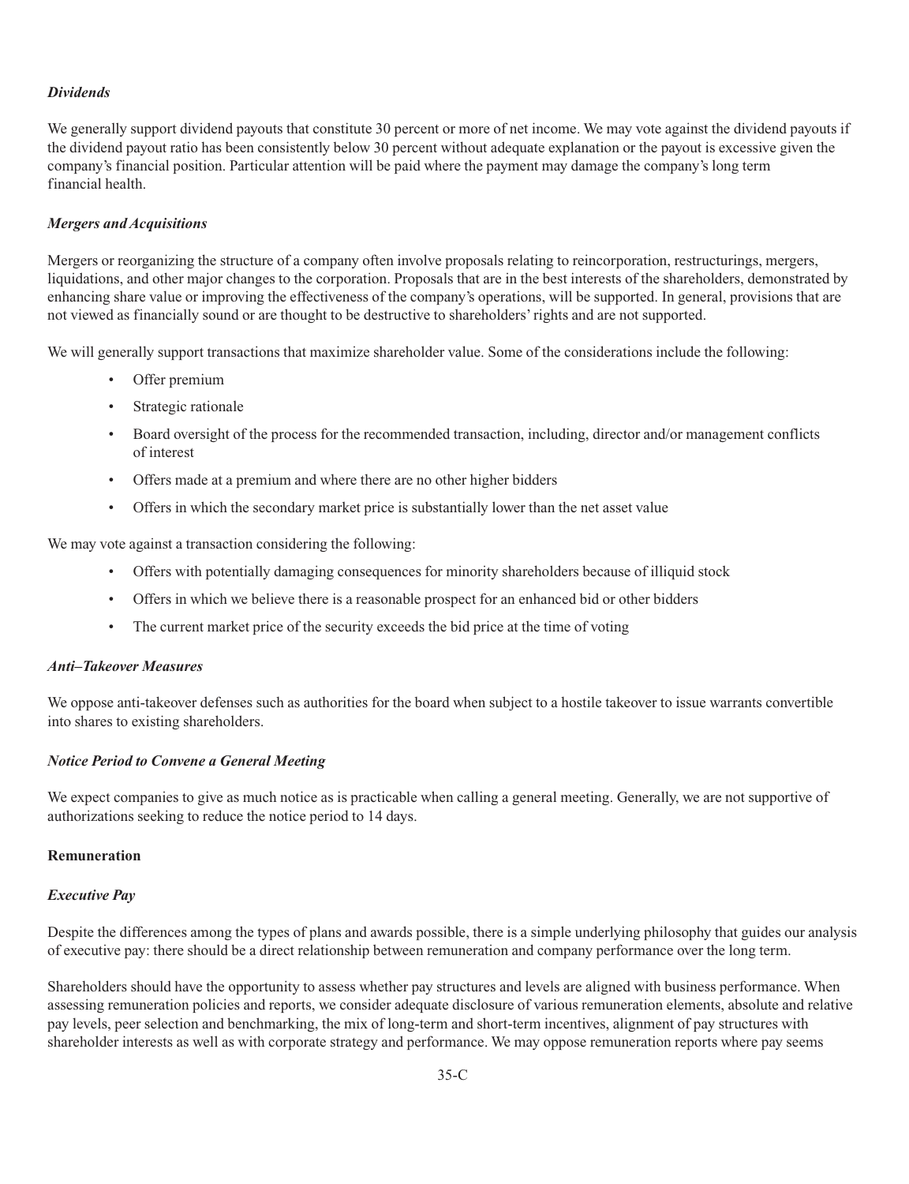# *Dividends*

We generally support dividend payouts that constitute 30 percent or more of net income. We may vote against the dividend payouts if the dividend payout ratio has been consistently below 30 percent without adequate explanation or the payout is excessive given the company's financial position. Particular attention will be paid where the payment may damage the company's long term financial health.

#### *Mergers and Acquisitions*

Mergers or reorganizing the structure of a company often involve proposals relating to reincorporation, restructurings, mergers, liquidations, and other major changes to the corporation. Proposals that are in the best interests of the shareholders, demonstrated by enhancing share value or improving the effectiveness of the company's operations, will be supported. In general, provisions that are not viewed as financially sound or are thought to be destructive to shareholders' rights and are not supported.

We will generally support transactions that maximize shareholder value. Some of the considerations include the following:

- Offer premium
- Strategic rationale
- Board oversight of the process for the recommended transaction, including, director and/or management conflicts of interest
- Offers made at a premium and where there are no other higher bidders
- Offers in which the secondary market price is substantially lower than the net asset value

We may vote against a transaction considering the following:

- Offers with potentially damaging consequences for minority shareholders because of illiquid stock
- Offers in which we believe there is a reasonable prospect for an enhanced bid or other bidders
- The current market price of the security exceeds the bid price at the time of voting

#### *Anti–Takeover Measures*

We oppose anti-take over defenses such as authorities for the board when subject to a hostile take over to issue warrants convertible into shares to existing shareholders.

#### *Notice Period to Convene a General Meeting*

We expect companies to give as much notice as is practicable when calling a general meeting. Generally, we are not supportive of authorizations seeking to reduce the notice period to 14 days.

#### **Remuneration**

#### *Executive Pay*

Despite the differences among the types of plans and awards possible, there is a simple underlying philosophy that guides our analysis of executive pay: there should be a direct relationship between remuneration and company performance over the long term.

Shareholders should have the opportunity to assess whether pay structures and levels are aligned with business performance. When assessing remuneration policies and reports, we consider adequate disclosure of various remuneration elements, absolute and relative pay levels, peer selection and benchmarking, the mix of long-term and short-term incentives, alignment of pay structures with shareholder interests as well as with corporate strategy and performance. We may oppose remuneration reports where pay seems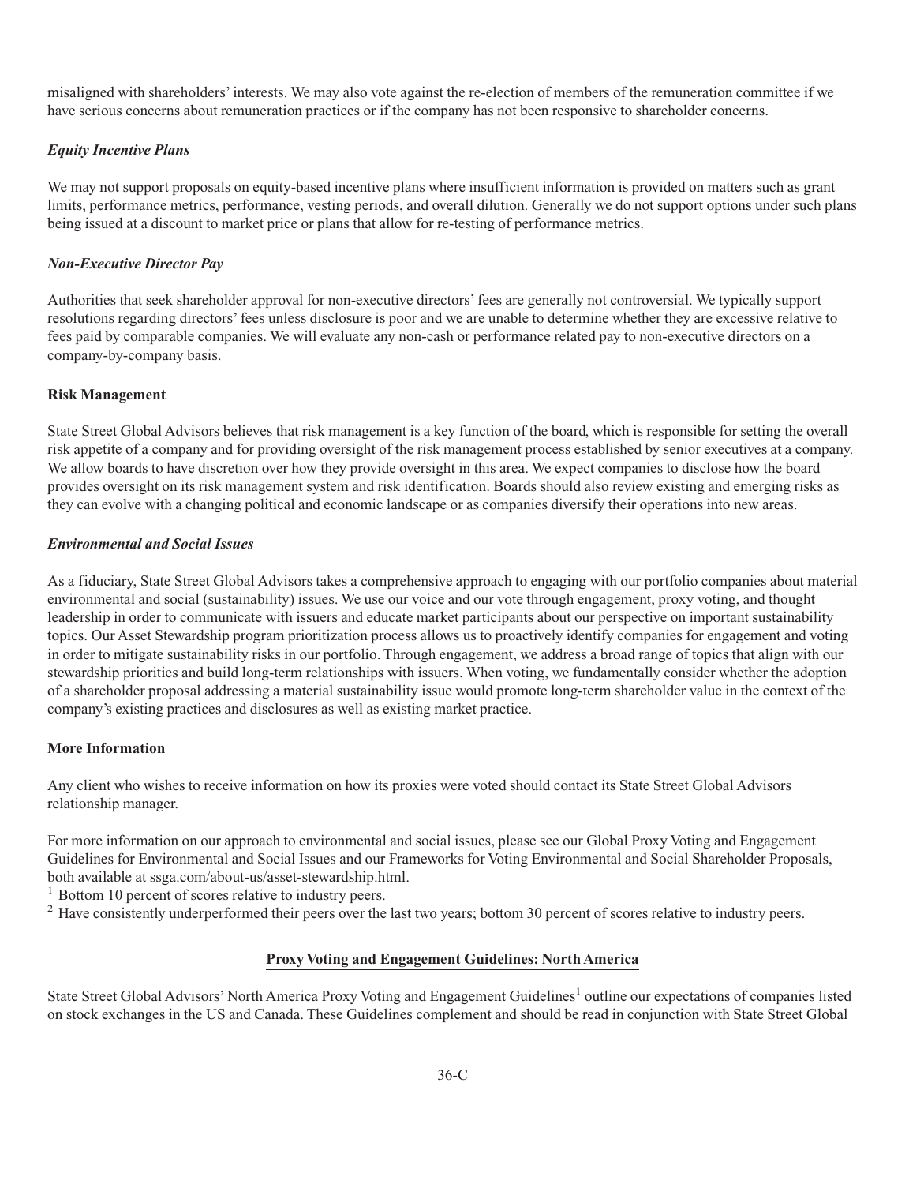misaligned with shareholders' interests. We may also vote against the re-election of members of the remuneration committee if we have serious concerns about remuneration practices or if the company has not been responsive to shareholder concerns.

# *Equity Incentive Plans*

We may not support proposals on equity-based incentive plans where insufficient information is provided on matters such as grant limits, performance metrics, performance, vesting periods, and overall dilution. Generally we do not support options under such plans being issued at a discount to market price or plans that allow for re-testing of performance metrics.

# *Non-Executive Director Pay*

Authorities that seek shareholder approval for non-executive directors' fees are generally not controversial. We typically support resolutions regarding directors' fees unless disclosure is poor and we are unable to determine whether they are excessive relative to fees paid by comparable companies. We will evaluate any non-cash or performance related pay to non-executive directors on a company-by-company basis.

# **Risk Management**

State Street Global Advisors believes that risk management is a key function of the board, which is responsible for setting the overall risk appetite of a company and for providing oversight of the risk management process established by senior executives at a company. We allow boards to have discretion over how they provide oversight in this area. We expect companies to disclose how the board provides oversight on its risk management system and risk identification. Boards should also review existing and emerging risks as they can evolve with a changing political and economic landscape or as companies diversify their operations into new areas.

# *Environmental and Social Issues*

As a fiduciary, State Street Global Advisors takes a comprehensive approach to engaging with our portfolio companies about material environmental and social (sustainability) issues. We use our voice and our vote through engagement, proxy voting, and thought leadership in order to communicate with issuers and educate market participants about our perspective on important sustainability topics. Our Asset Stewardship program prioritization process allows us to proactively identify companies for engagement and voting in order to mitigate sustainability risks in our portfolio. Through engagement, we address a broad range of topics that align with our stewardship priorities and build long-term relationships with issuers. When voting, we fundamentally consider whether the adoption of a shareholder proposal addressing a material sustainability issue would promote long-term shareholder value in the context of the company's existing practices and disclosures as well as existing market practice.

# **More Information**

Any client who wishes to receive information on how its proxies were voted should contact its State Street Global Advisors relationship manager.

For more information on our approach to environmental and social issues, please see our Global Proxy Voting and Engagement Guidelines for Environmental and Social Issues and our Frameworks for Voting Environmental and Social Shareholder Proposals, both available at ssga.com/about-us/asset-stewardship.html.

<sup>1</sup> Bottom 10 percent of scores relative to industry peers.

<sup>2</sup> Have consistently underperformed their peers over the last two years; bottom 30 percent of scores relative to industry peers.

# **Proxy Voting and Engagement Guidelines: North America**

State Street Global Advisors' North America Proxy Voting and Engagement Guidelines<sup>1</sup> outline our expectations of companies listed on stock exchanges in the US and Canada. These Guidelines complement and should be read in conjunction with State Street Global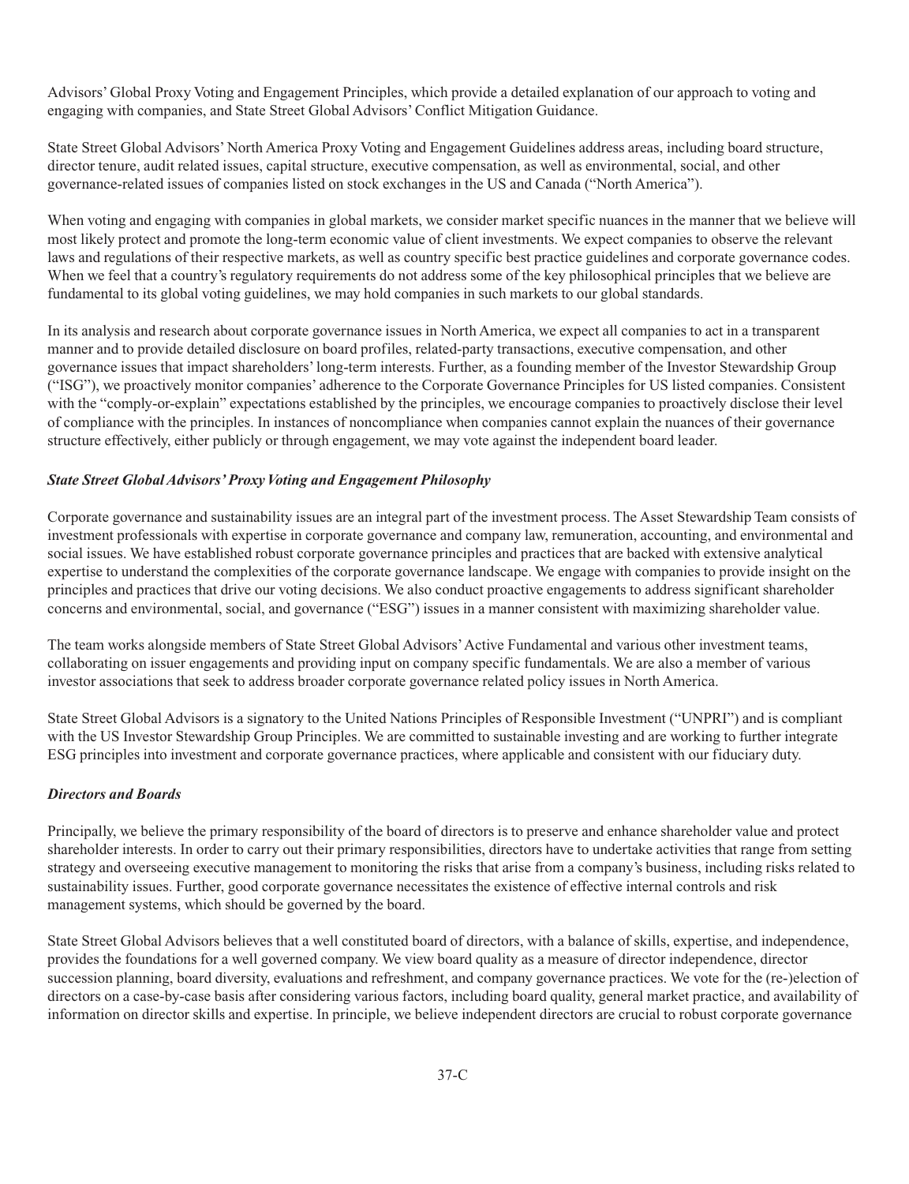Advisors' Global Proxy Voting and Engagement Principles, which provide a detailed explanation of our approach to voting and engaging with companies, and State Street Global Advisors' Conflict Mitigation Guidance.

State Street Global Advisors' North America Proxy Voting and Engagement Guidelines address areas, including board structure, director tenure, audit related issues, capital structure, executive compensation, as well as environmental, social, and other governance-related issues of companies listed on stock exchanges in the US and Canada ("North America").

When voting and engaging with companies in global markets, we consider market specific nuances in the manner that we believe will most likely protect and promote the long-term economic value of client investments. We expect companies to observe the relevant laws and regulations of their respective markets, as well as country specific best practice guidelines and corporate governance codes. When we feel that a country's regulatory requirements do not address some of the key philosophical principles that we believe are fundamental to its global voting guidelines, we may hold companies in such markets to our global standards.

In its analysis and research about corporate governance issues in North America, we expect all companies to act in a transparent manner and to provide detailed disclosure on board profiles, related-party transactions, executive compensation, and other governance issues that impact shareholders' long-term interests. Further, as a founding member of the Investor Stewardship Group ("ISG"), we proactively monitor companies' adherence to the Corporate Governance Principles for US listed companies. Consistent with the "comply-or-explain" expectations established by the principles, we encourage companies to proactively disclose their level of compliance with the principles. In instances of noncompliance when companies cannot explain the nuances of their governance structure effectively, either publicly or through engagement, we may vote against the independent board leader.

# *State Street Global Advisors' Proxy Voting and Engagement Philosophy*

Corporate governance and sustainability issues are an integral part of the investment process. The Asset Stewardship Team consists of investment professionals with expertise in corporate governance and company law, remuneration, accounting, and environmental and social issues. We have established robust corporate governance principles and practices that are backed with extensive analytical expertise to understand the complexities of the corporate governance landscape. We engage with companies to provide insight on the principles and practices that drive our voting decisions. We also conduct proactive engagements to address significant shareholder concerns and environmental, social, and governance ("ESG") issues in a manner consistent with maximizing shareholder value.

The team works alongside members of State Street Global Advisors'Active Fundamental and various other investment teams, collaborating on issuer engagements and providing input on company specific fundamentals. We are also a member of various investor associations that seek to address broader corporate governance related policy issues in North America.

State Street Global Advisors is a signatory to the United Nations Principles of Responsible Investment ("UNPRI") and is compliant with the US Investor Stewardship Group Principles. We are committed to sustainable investing and are working to further integrate ESG principles into investment and corporate governance practices, where applicable and consistent with our fiduciary duty.

#### *Directors and Boards*

Principally, we believe the primary responsibility of the board of directors is to preserve and enhance shareholder value and protect shareholder interests. In order to carry out their primary responsibilities, directors have to undertake activities that range from setting strategy and overseeing executive management to monitoring the risks that arise from a company's business, including risks related to sustainability issues. Further, good corporate governance necessitates the existence of effective internal controls and risk management systems, which should be governed by the board.

State Street Global Advisors believes that a well constituted board of directors, with a balance of skills, expertise, and independence, provides the foundations for a well governed company. We view board quality as a measure of director independence, director succession planning, board diversity, evaluations and refreshment, and company governance practices. We vote for the (re-)election of directors on a case-by-case basis after considering various factors, including board quality, general market practice, and availability of information on director skills and expertise. In principle, we believe independent directors are crucial to robust corporate governance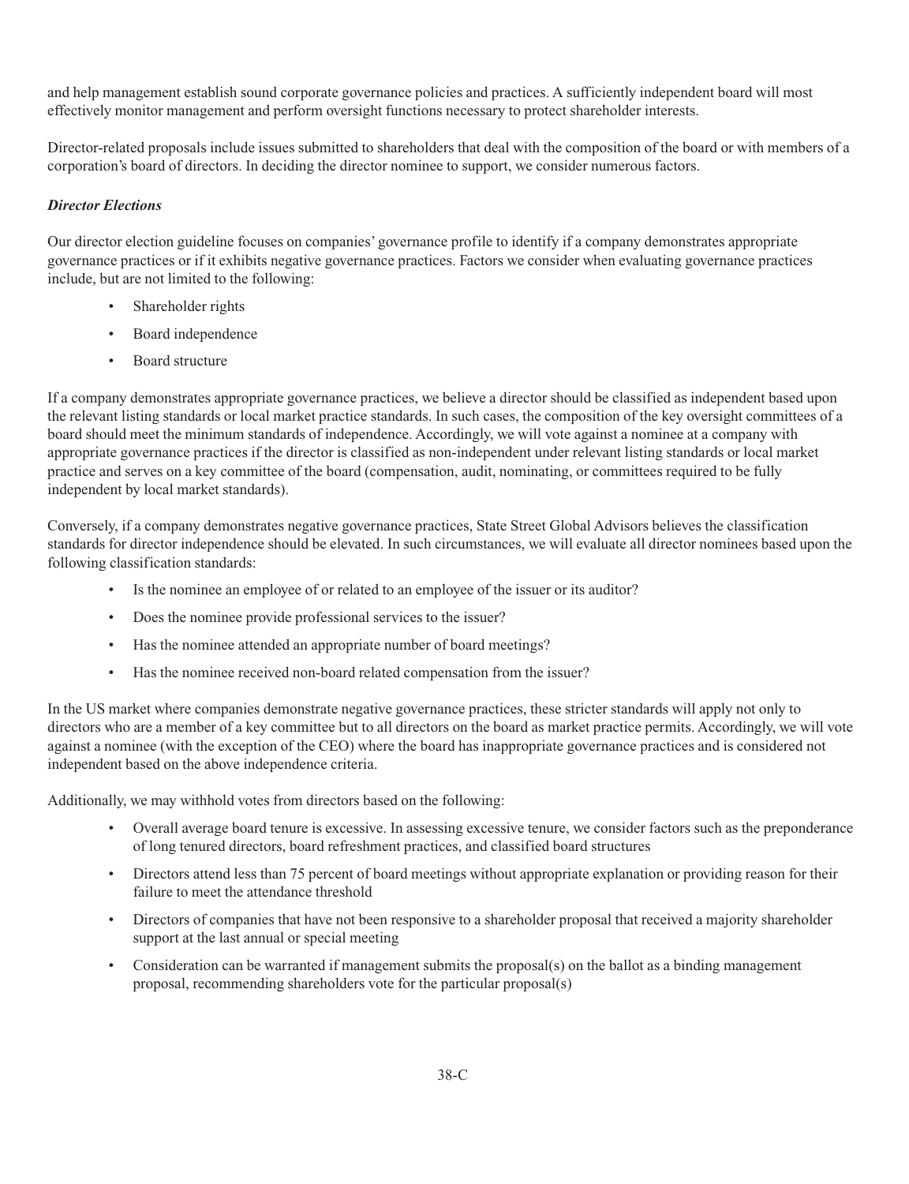and help management establish sound corporate governance policies and practices. A sufficiently independent board will most effectively monitor management and perform oversight functions necessary to protect shareholder interests.

Director-related proposals include issues submitted to shareholders that deal with the composition of the board or with members of a corporation's board of directors. In deciding the director nominee to support, we consider numerous factors.

# *Director Elections*

Our director election guideline focuses on companies' governance profile to identify if a company demonstrates appropriate governance practices or if it exhibits negative governance practices. Factors we consider when evaluating governance practices include, but are not limited to the following:

- Shareholder rights
- Board independence
- Board structure

If a company demonstrates appropriate governance practices, we believe a director should be classified as independent based upon the relevant listing standards or local market practice standards. In such cases, the composition of the key oversight committees of a board should meet the minimum standards of independence. Accordingly, we will vote against a nominee at a company with appropriate governance practices if the director is classified as non-independent under relevant listing standards or local market practice and serves on a key committee of the board (compensation, audit, nominating, or committees required to be fully independent by local market standards).

Conversely, if a company demonstrates negative governance practices, State Street Global Advisors believes the classification standards for director independence should be elevated. In such circumstances, we will evaluate all director nominees based upon the following classification standards:

- Is the nominee an employee of or related to an employee of the issuer or its auditor?
- Does the nominee provide professional services to the issuer?
- Has the nominee attended an appropriate number of board meetings?
- Has the nominee received non-board related compensation from the issuer?

In the US market where companies demonstrate negative governance practices, these stricter standards will apply not only to directors who are a member of a key committee but to all directors on the board as market practice permits. Accordingly, we will vote against a nominee (with the exception of the CEO) where the board has inappropriate governance practices and is considered not independent based on the above independence criteria.

Additionally, we may withhold votes from directors based on the following:

- Overall average board tenure is excessive. In assessing excessive tenure, we consider factors such as the preponderance of long tenured directors, board refreshment practices, and classified board structures
- Directors attend less than 75 percent of board meetings without appropriate explanation or providing reason for their failure to meet the attendance threshold
- Directors of companies that have not been responsive to a shareholder proposal that received a majority shareholder support at the last annual or special meeting
- Consideration can be warranted if management submits the proposal(s) on the ballot as a binding management proposal, recommending shareholders vote for the particular proposal(s)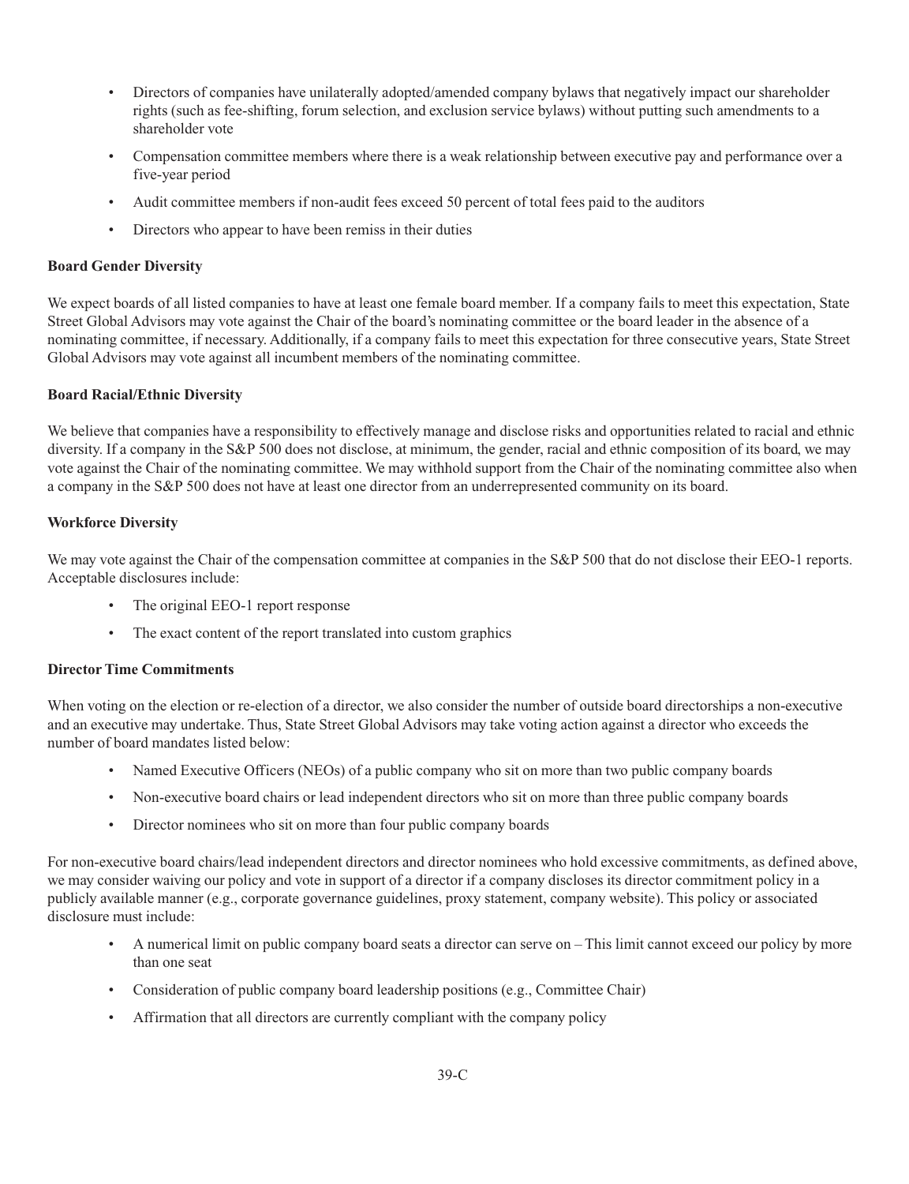- Directors of companies have unilaterally adopted/amended company bylaws that negatively impact our shareholder rights (such as fee-shifting, forum selection, and exclusion service bylaws) without putting such amendments to a shareholder vote
- Compensation committee members where there is a weak relationship between executive pay and performance over a five-year period
- Audit committee members if non-audit fees exceed 50 percent of total fees paid to the auditors
- Directors who appear to have been remiss in their duties

### **Board Gender Diversity**

We expect boards of all listed companies to have at least one female board member. If a company fails to meet this expectation, State Street Global Advisors may vote against the Chair of the board's nominating committee or the board leader in the absence of a nominating committee, if necessary. Additionally, if a company fails to meet this expectation for three consecutive years, State Street Global Advisors may vote against all incumbent members of the nominating committee.

#### **Board Racial/Ethnic Diversity**

We believe that companies have a responsibility to effectively manage and disclose risks and opportunities related to racial and ethnic diversity. If a company in the S&P 500 does not disclose, at minimum, the gender, racial and ethnic composition of its board, we may vote against the Chair of the nominating committee. We may withhold support from the Chair of the nominating committee also when a company in the S&P 500 does not have at least one director from an underrepresented community on its board.

#### **Workforce Diversity**

We may vote against the Chair of the compensation committee at companies in the S&P 500 that do not disclose their EEO-1 reports. Acceptable disclosures include:

- The original EEO-1 report response
- The exact content of the report translated into custom graphics

#### **Director Time Commitments**

When voting on the election or re-election of a director, we also consider the number of outside board directorships a non-executive and an executive may undertake. Thus, State Street Global Advisors may take voting action against a director who exceeds the number of board mandates listed below:

- Named Executive Officers (NEOs) of a public company who sit on more than two public company boards
- Non-executive board chairs or lead independent directors who sit on more than three public company boards
- Director nominees who sit on more than four public company boards

For non-executive board chairs/lead independent directors and director nominees who hold excessive commitments, as defined above, we may consider waiving our policy and vote in support of a director if a company discloses its director commitment policy in a publicly available manner (e.g., corporate governance guidelines, proxy statement, company website). This policy or associated disclosure must include:

- A numerical limit on public company board seats a director can serve on This limit cannot exceed our policy by more than one seat
- Consideration of public company board leadership positions (e.g., Committee Chair)
- Affirmation that all directors are currently compliant with the company policy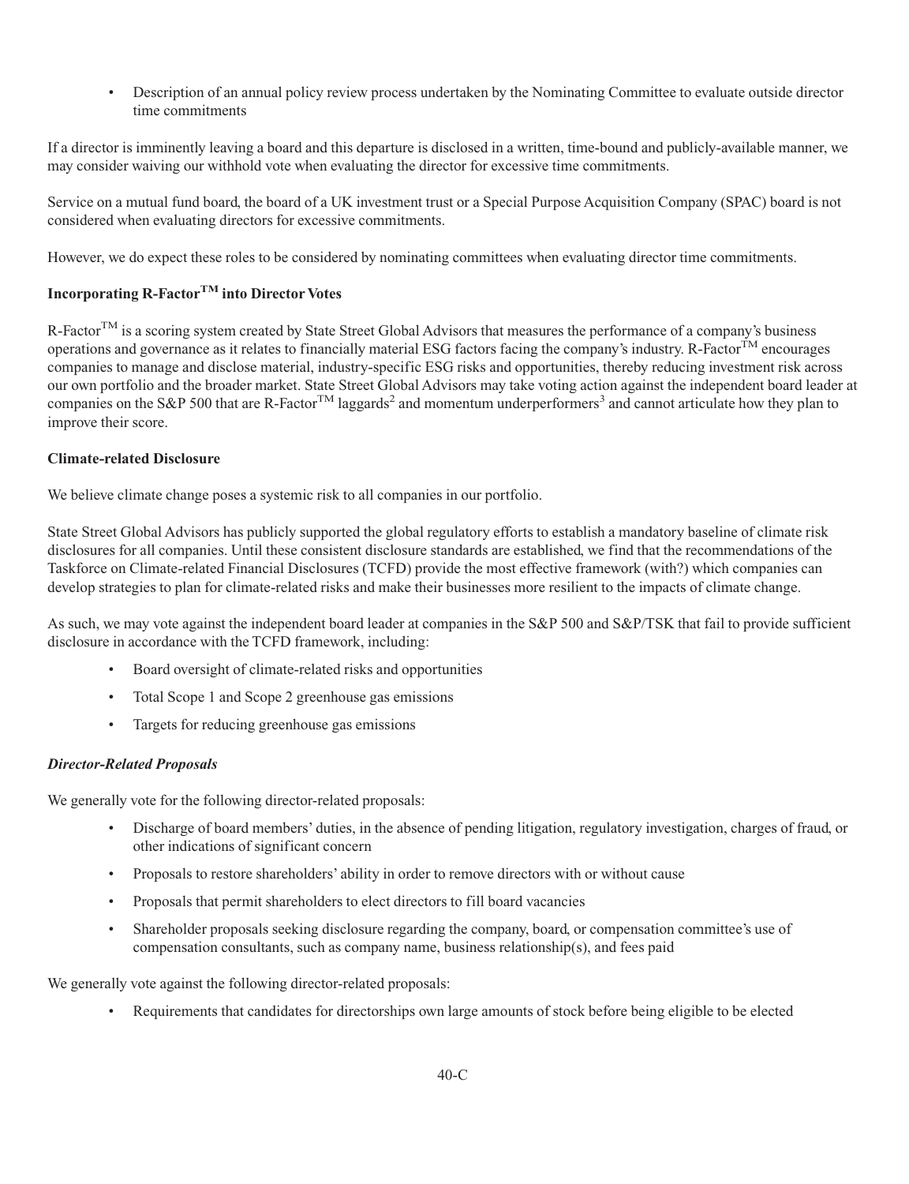• Description of an annual policy review process undertaken by the Nominating Committee to evaluate outside director time commitments

If a director is imminently leaving a board and this departure is disclosed in a written, time-bound and publicly-available manner, we may consider waiving our withhold vote when evaluating the director for excessive time commitments.

Service on a mutual fund board, the board of a UK investment trust or a Special Purpose Acquisition Company (SPAC) board is not considered when evaluating directors for excessive commitments.

However, we do expect these roles to be considered by nominating committees when evaluating director time commitments.

# **Incorporating R-FactorTM into Director Votes**

R-Factor<sup>TM</sup> is a scoring system created by State Street Global Advisors that measures the performance of a company's business operations and governance as it relates to financially material ESG factors facing the company's industry. R-Factor<sup>TM</sup> encourages companies to manage and disclose material, industry-specific ESG risks and opportunities, thereby reducing investment risk across our own portfolio and the broader market. State Street Global Advisors may take voting action against the independent board leader at companies on the S&P 500 that are R-Factor<sup>TM</sup> laggards<sup>2</sup> and momentum underperformers<sup>3</sup> and cannot articulate how they plan to improve their score.

# **Climate-related Disclosure**

We believe climate change poses a systemic risk to all companies in our portfolio.

State Street Global Advisors has publicly supported the global regulatory efforts to establish a mandatory baseline of climate risk disclosures for all companies. Until these consistent disclosure standards are established, we find that the recommendations of the Taskforce on Climate-related Financial Disclosures (TCFD) provide the most effective framework (with?) which companies can develop strategies to plan for climate-related risks and make their businesses more resilient to the impacts of climate change.

As such, we may vote against the independent board leader at companies in the S&P 500 and S&P/TSK that fail to provide sufficient disclosure in accordance with the TCFD framework, including:

- Board oversight of climate-related risks and opportunities
- Total Scope 1 and Scope 2 greenhouse gas emissions
- Targets for reducing greenhouse gas emissions

# *Director-Related Proposals*

We generally vote for the following director-related proposals:

- Discharge of board members' duties, in the absence of pending litigation, regulatory investigation, charges of fraud, or other indications of significant concern
- Proposals to restore shareholders' ability in order to remove directors with or without cause
- Proposals that permit shareholders to elect directors to fill board vacancies
- Shareholder proposals seeking disclosure regarding the company, board, or compensation committee's use of compensation consultants, such as company name, business relationship(s), and fees paid

We generally vote against the following director-related proposals:

• Requirements that candidates for directorships own large amounts of stock before being eligible to be elected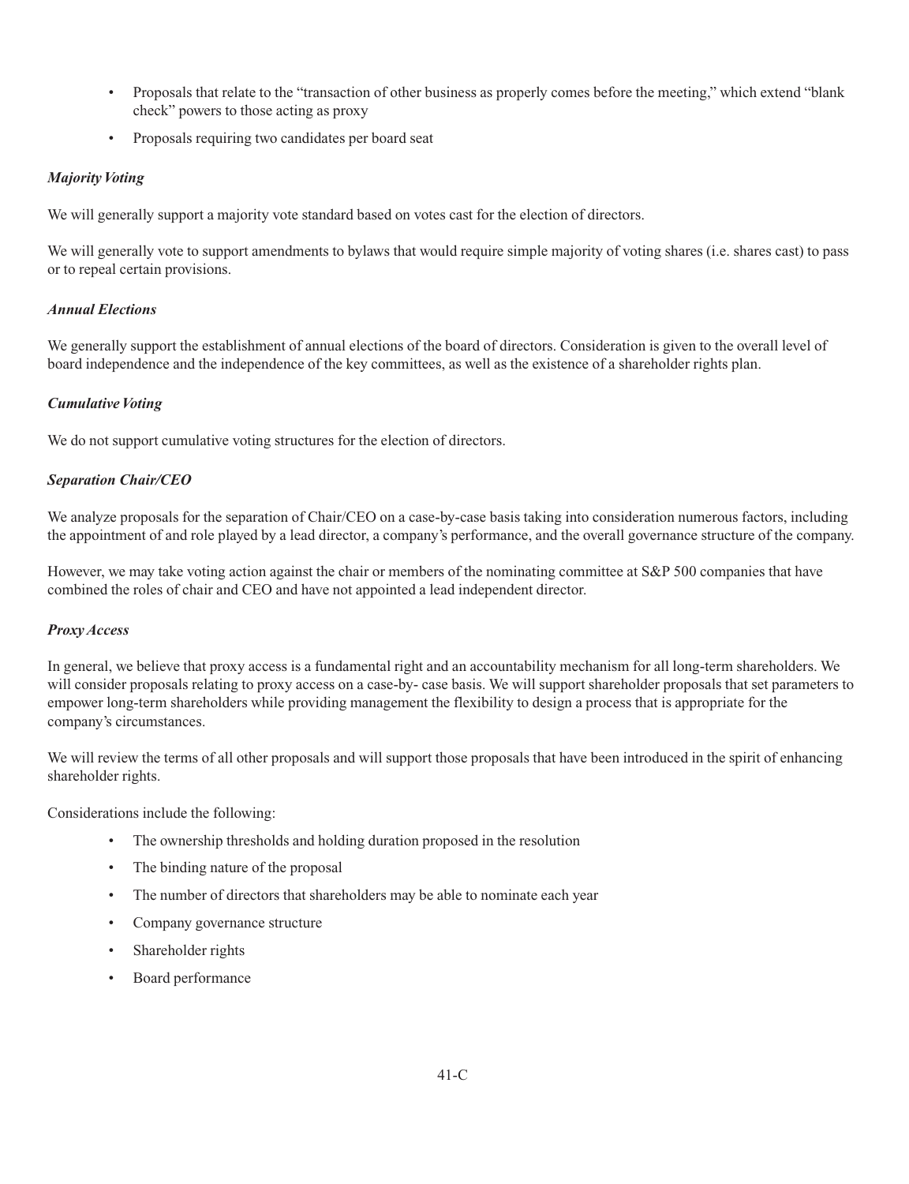- Proposals that relate to the "transaction of other business as properly comes before the meeting," which extend "blank check" powers to those acting as proxy
- Proposals requiring two candidates per board seat

# *Majority Voting*

We will generally support a majority vote standard based on votes cast for the election of directors.

We will generally vote to support amendments to bylaws that would require simple majority of voting shares (i.e. shares cast) to pass or to repeal certain provisions.

# *Annual Elections*

We generally support the establishment of annual elections of the board of directors. Consideration is given to the overall level of board independence and the independence of the key committees, as well as the existence of a shareholder rights plan.

# *Cumulative Voting*

We do not support cumulative voting structures for the election of directors.

# *Separation Chair/CEO*

We analyze proposals for the separation of Chair/CEO on a case-by-case basis taking into consideration numerous factors, including the appointment of and role played by a lead director, a company's performance, and the overall governance structure of the company.

However, we may take voting action against the chair or members of the nominating committee at S&P 500 companies that have combined the roles of chair and CEO and have not appointed a lead independent director.

# *Proxy Access*

In general, we believe that proxy access is a fundamental right and an accountability mechanism for all long-term shareholders. We will consider proposals relating to proxy access on a case-by- case basis. We will support shareholder proposals that set parameters to empower long-term shareholders while providing management the flexibility to design a process that is appropriate for the company's circumstances.

We will review the terms of all other proposals and will support those proposals that have been introduced in the spirit of enhancing shareholder rights.

Considerations include the following:

- The ownership thresholds and holding duration proposed in the resolution
- The binding nature of the proposal
- The number of directors that shareholders may be able to nominate each year
- Company governance structure
- Shareholder rights
- Board performance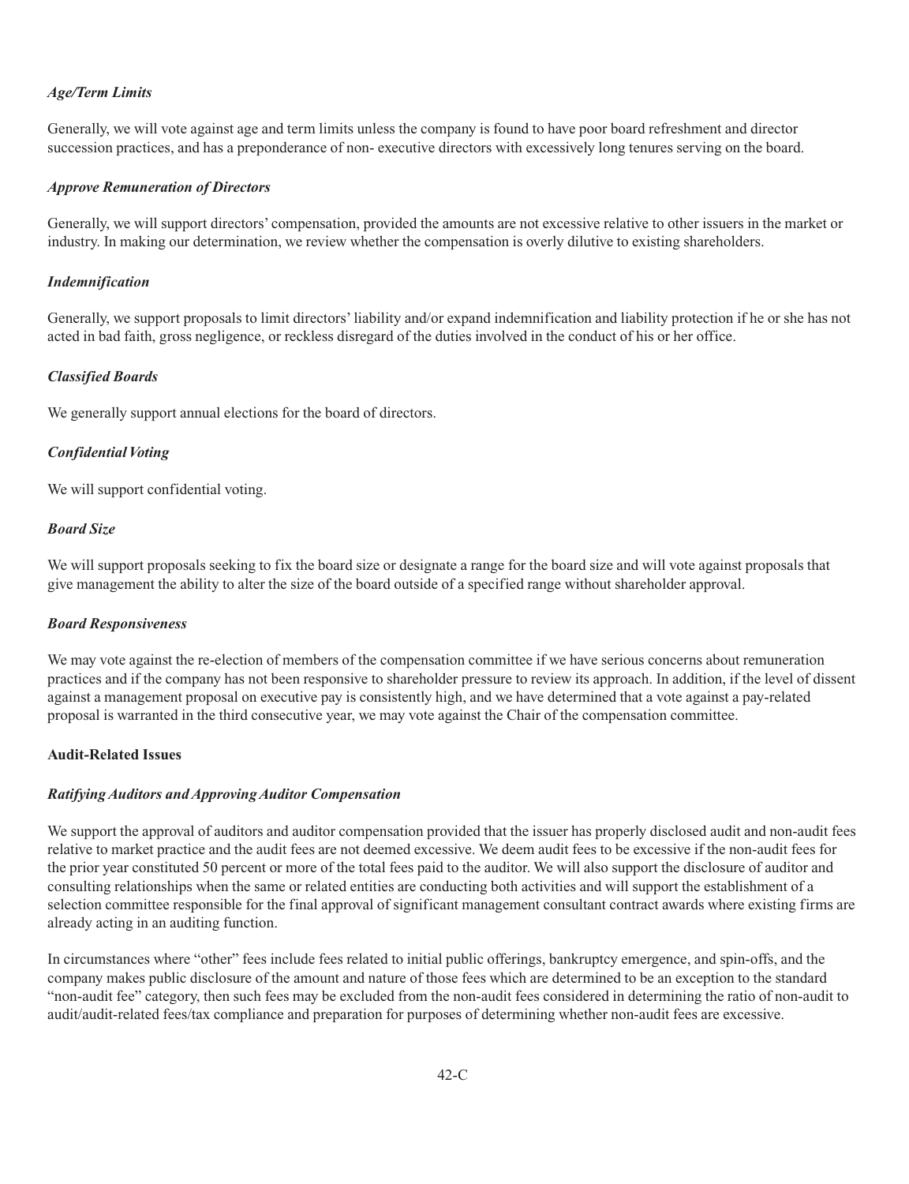# *Age/Term Limits*

Generally, we will vote against age and term limits unless the company is found to have poor board refreshment and director succession practices, and has a preponderance of non- executive directors with excessively long tenures serving on the board.

#### *Approve Remuneration of Directors*

Generally, we will support directors' compensation, provided the amounts are not excessive relative to other issuers in the market or industry. In making our determination, we review whether the compensation is overly dilutive to existing shareholders.

### *Indemnification*

Generally, we support proposals to limit directors' liability and/or expand indemnification and liability protection if he or she has not acted in bad faith, gross negligence, or reckless disregard of the duties involved in the conduct of his or her office.

# *Classified Boards*

We generally support annual elections for the board of directors.

# *Confidential Voting*

We will support confidential voting.

#### *Board Size*

We will support proposals seeking to fix the board size or designate a range for the board size and will vote against proposals that give management the ability to alter the size of the board outside of a specified range without shareholder approval.

#### *Board Responsiveness*

We may vote against the re-election of members of the compensation committee if we have serious concerns about remuneration practices and if the company has not been responsive to shareholder pressure to review its approach. In addition, if the level of dissent against a management proposal on executive pay is consistently high, and we have determined that a vote against a pay-related proposal is warranted in the third consecutive year, we may vote against the Chair of the compensation committee.

# **Audit-Related Issues**

#### *Ratifying Auditors and Approving Auditor Compensation*

We support the approval of auditors and auditor compensation provided that the issuer has properly disclosed audit and non-audit fees relative to market practice and the audit fees are not deemed excessive. We deem audit fees to be excessive if the non-audit fees for the prior year constituted 50 percent or more of the total fees paid to the auditor. We will also support the disclosure of auditor and consulting relationships when the same or related entities are conducting both activities and will support the establishment of a selection committee responsible for the final approval of significant management consultant contract awards where existing firms are already acting in an auditing function.

In circumstances where "other" fees include fees related to initial public offerings, bankruptcy emergence, and spin-offs, and the company makes public disclosure of the amount and nature of those fees which are determined to be an exception to the standard "non-audit fee" category, then such fees may be excluded from the non-audit fees considered in determining the ratio of non-audit to audit/audit-related fees/tax compliance and preparation for purposes of determining whether non-audit fees are excessive.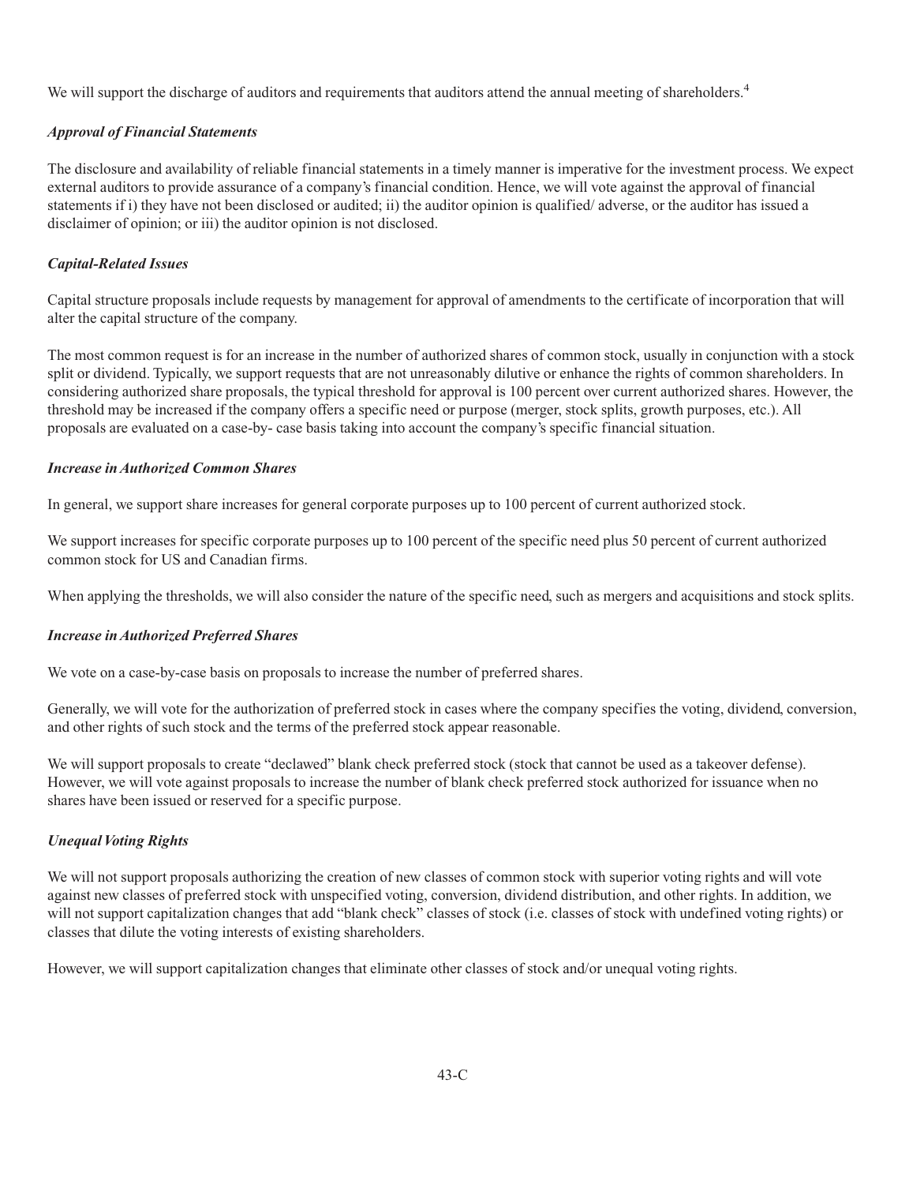We will support the discharge of auditors and requirements that auditors attend the annual meeting of shareholders.<sup>4</sup>

# *Approval of Financial Statements*

The disclosure and availability of reliable financial statements in a timely manner is imperative for the investment process. We expect external auditors to provide assurance of a company's financial condition. Hence, we will vote against the approval of financial statements if i) they have not been disclosed or audited; ii) the auditor opinion is qualified/ adverse, or the auditor has issued a disclaimer of opinion; or iii) the auditor opinion is not disclosed.

# *Capital-Related Issues*

Capital structure proposals include requests by management for approval of amendments to the certificate of incorporation that will alter the capital structure of the company.

The most common request is for an increase in the number of authorized shares of common stock, usually in conjunction with a stock split or dividend. Typically, we support requests that are not unreasonably dilutive or enhance the rights of common shareholders. In considering authorized share proposals, the typical threshold for approval is 100 percent over current authorized shares. However, the threshold may be increased if the company offers a specific need or purpose (merger, stock splits, growth purposes, etc.). All proposals are evaluated on a case-by- case basis taking into account the company's specific financial situation.

# *Increase in Authorized Common Shares*

In general, we support share increases for general corporate purposes up to 100 percent of current authorized stock.

We support increases for specific corporate purposes up to 100 percent of the specific need plus 50 percent of current authorized common stock for US and Canadian firms.

When applying the thresholds, we will also consider the nature of the specific need, such as mergers and acquisitions and stock splits.

# *Increase in Authorized Preferred Shares*

We vote on a case-by-case basis on proposals to increase the number of preferred shares.

Generally, we will vote for the authorization of preferred stock in cases where the company specifies the voting, dividend, conversion, and other rights of such stock and the terms of the preferred stock appear reasonable.

We will support proposals to create "declawed" blank check preferred stock (stock that cannot be used as a takeover defense). However, we will vote against proposals to increase the number of blank check preferred stock authorized for issuance when no shares have been issued or reserved for a specific purpose.

# *Unequal Voting Rights*

We will not support proposals authorizing the creation of new classes of common stock with superior voting rights and will vote against new classes of preferred stock with unspecified voting, conversion, dividend distribution, and other rights. In addition, we will not support capitalization changes that add "blank check" classes of stock (i.e. classes of stock with undefined voting rights) or classes that dilute the voting interests of existing shareholders.

However, we will support capitalization changes that eliminate other classes of stock and/or unequal voting rights.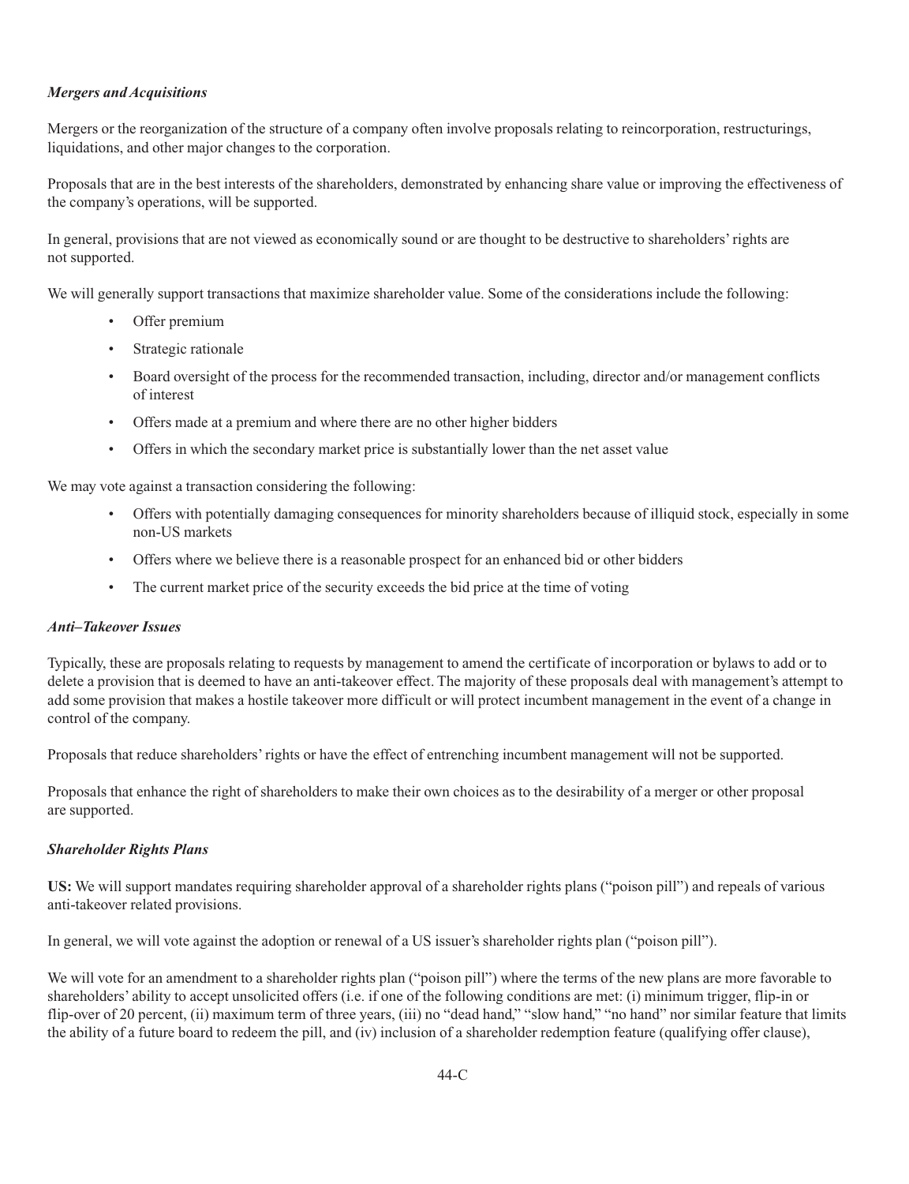# *Mergers and Acquisitions*

Mergers or the reorganization of the structure of a company often involve proposals relating to reincorporation, restructurings, liquidations, and other major changes to the corporation.

Proposals that are in the best interests of the shareholders, demonstrated by enhancing share value or improving the effectiveness of the company's operations, will be supported.

In general, provisions that are not viewed as economically sound or are thought to be destructive to shareholders' rights are not supported.

We will generally support transactions that maximize shareholder value. Some of the considerations include the following:

- Offer premium
- Strategic rationale
- Board oversight of the process for the recommended transaction, including, director and/or management conflicts of interest
- Offers made at a premium and where there are no other higher bidders
- Offers in which the secondary market price is substantially lower than the net asset value

We may vote against a transaction considering the following:

- Offers with potentially damaging consequences for minority shareholders because of illiquid stock, especially in some non-US markets
- Offers where we believe there is a reasonable prospect for an enhanced bid or other bidders
- The current market price of the security exceeds the bid price at the time of voting

#### *Anti–Takeover Issues*

Typically, these are proposals relating to requests by management to amend the certificate of incorporation or bylaws to add or to delete a provision that is deemed to have an anti-takeover effect. The majority of these proposals deal with management's attempt to add some provision that makes a hostile takeover more difficult or will protect incumbent management in the event of a change in control of the company.

Proposals that reduce shareholders' rights or have the effect of entrenching incumbent management will not be supported.

Proposals that enhance the right of shareholders to make their own choices as to the desirability of a merger or other proposal are supported.

# *Shareholder Rights Plans*

**US:** We will support mandates requiring shareholder approval of a shareholder rights plans ("poison pill") and repeals of various anti-takeover related provisions.

In general, we will vote against the adoption or renewal of a US issuer's shareholder rights plan ("poison pill").

We will vote for an amendment to a shareholder rights plan ("poison pill") where the terms of the new plans are more favorable to shareholders' ability to accept unsolicited offers (i.e. if one of the following conditions are met: (i) minimum trigger, flip-in or flip-over of 20 percent, (ii) maximum term of three years, (iii) no "dead hand," "slow hand," "no hand" nor similar feature that limits the ability of a future board to redeem the pill, and (iv) inclusion of a shareholder redemption feature (qualifying offer clause),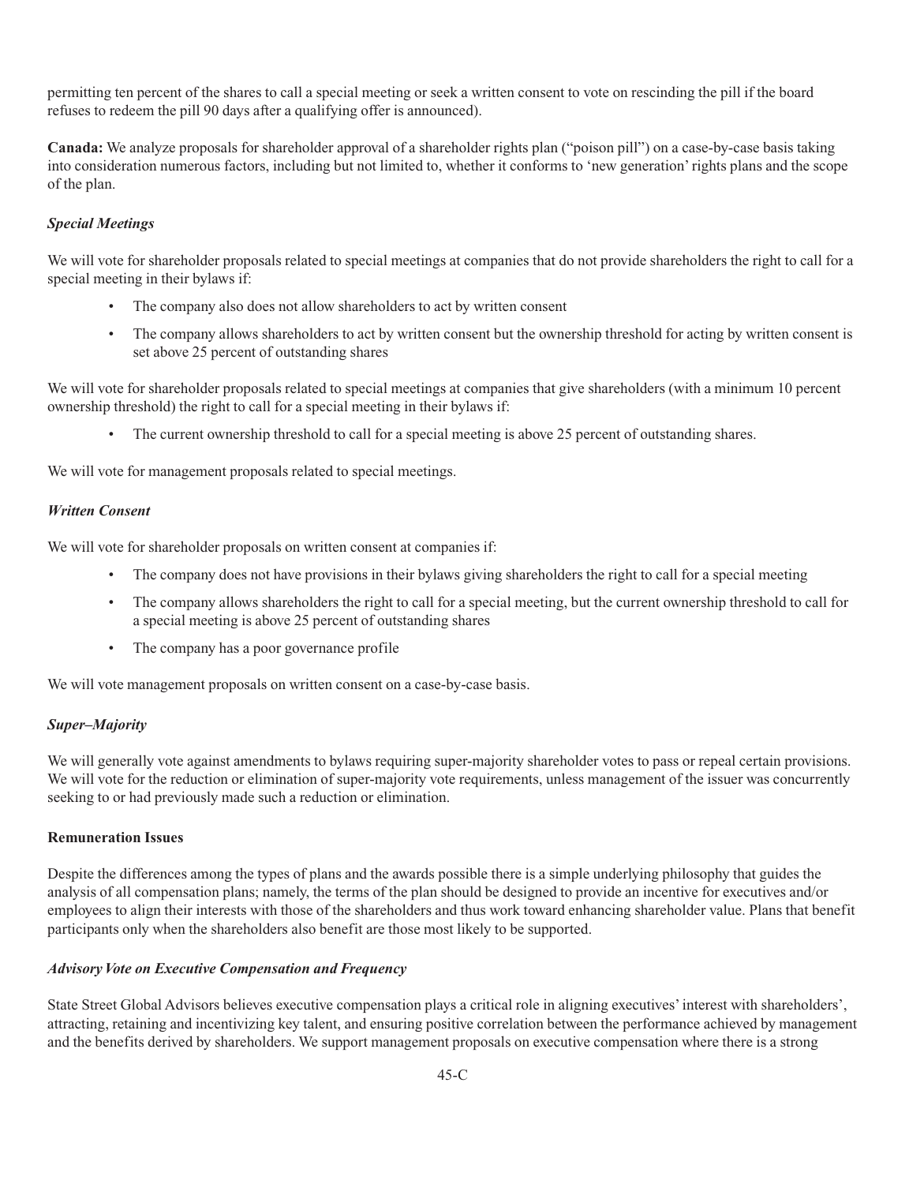permitting ten percent of the shares to call a special meeting or seek a written consent to vote on rescinding the pill if the board refuses to redeem the pill 90 days after a qualifying offer is announced).

**Canada:** We analyze proposals for shareholder approval of a shareholder rights plan ("poison pill") on a case-by-case basis taking into consideration numerous factors, including but not limited to, whether it conforms to 'new generation' rights plans and the scope of the plan.

# *Special Meetings*

We will vote for shareholder proposals related to special meetings at companies that do not provide shareholders the right to call for a special meeting in their bylaws if:

- The company also does not allow shareholders to act by written consent
- The company allows shareholders to act by written consent but the ownership threshold for acting by written consent is set above 25 percent of outstanding shares

We will vote for shareholder proposals related to special meetings at companies that give shareholders (with a minimum 10 percent ownership threshold) the right to call for a special meeting in their bylaws if:

• The current ownership threshold to call for a special meeting is above 25 percent of outstanding shares.

We will vote for management proposals related to special meetings.

# *Written Consent*

We will vote for shareholder proposals on written consent at companies if:

- The company does not have provisions in their bylaws giving shareholders the right to call for a special meeting
- The company allows shareholders the right to call for a special meeting, but the current ownership threshold to call for a special meeting is above 25 percent of outstanding shares
- The company has a poor governance profile

We will vote management proposals on written consent on a case-by-case basis.

# *Super–Majority*

We will generally vote against amendments to bylaws requiring super-majority shareholder votes to pass or repeal certain provisions. We will vote for the reduction or elimination of super-majority vote requirements, unless management of the issuer was concurrently seeking to or had previously made such a reduction or elimination.

# **Remuneration Issues**

Despite the differences among the types of plans and the awards possible there is a simple underlying philosophy that guides the analysis of all compensation plans; namely, the terms of the plan should be designed to provide an incentive for executives and/or employees to align their interests with those of the shareholders and thus work toward enhancing shareholder value. Plans that benefit participants only when the shareholders also benefit are those most likely to be supported.

# *Advisory Vote on Executive Compensation and Frequency*

State Street Global Advisors believes executive compensation plays a critical role in aligning executives' interest with shareholders', attracting, retaining and incentivizing key talent, and ensuring positive correlation between the performance achieved by management and the benefits derived by shareholders. We support management proposals on executive compensation where there is a strong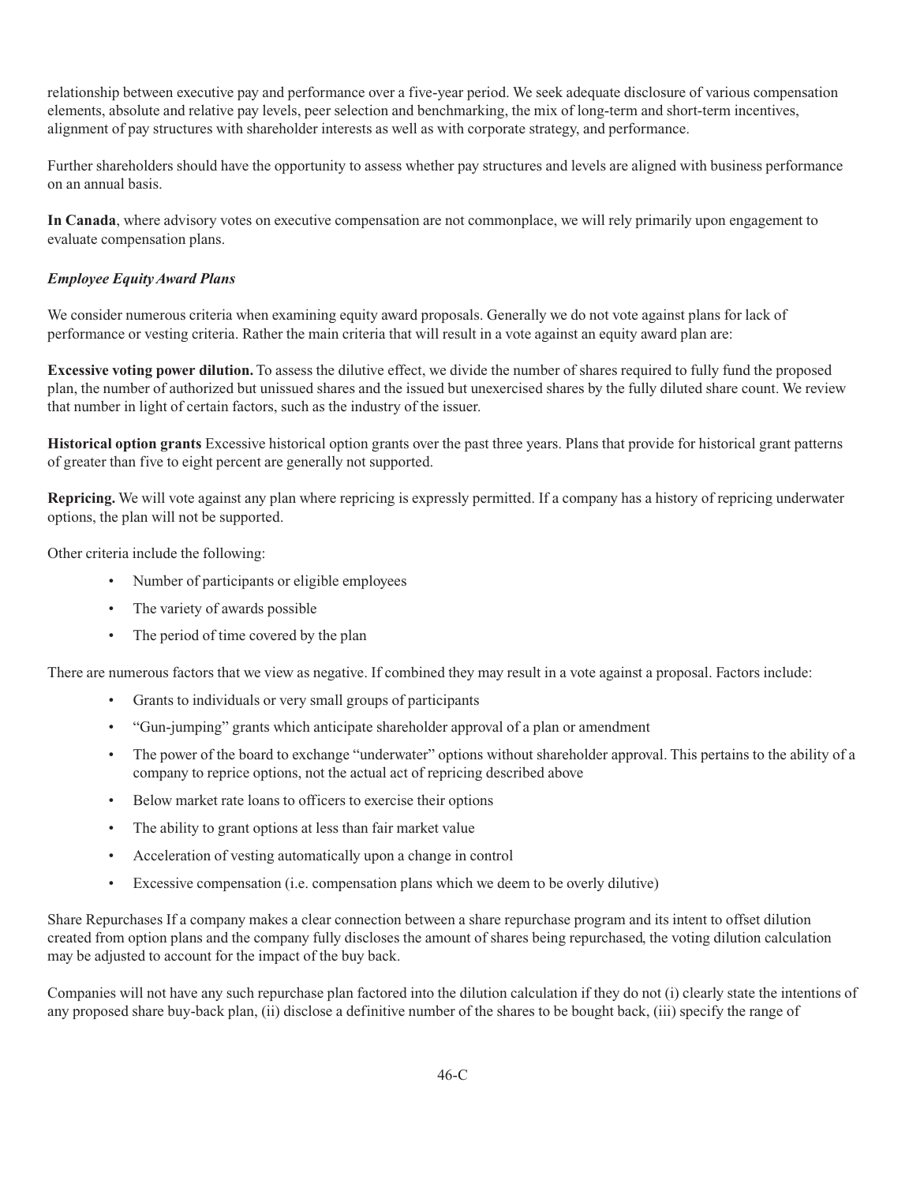relationship between executive pay and performance over a five-year period. We seek adequate disclosure of various compensation elements, absolute and relative pay levels, peer selection and benchmarking, the mix of long-term and short-term incentives, alignment of pay structures with shareholder interests as well as with corporate strategy, and performance.

Further shareholders should have the opportunity to assess whether pay structures and levels are aligned with business performance on an annual basis.

**In Canada**, where advisory votes on executive compensation are not commonplace, we will rely primarily upon engagement to evaluate compensation plans.

# *Employee Equity Award Plans*

We consider numerous criteria when examining equity award proposals. Generally we do not vote against plans for lack of performance or vesting criteria. Rather the main criteria that will result in a vote against an equity award plan are:

**Excessive voting power dilution.** To assess the dilutive effect, we divide the number of shares required to fully fund the proposed plan, the number of authorized but unissued shares and the issued but unexercised shares by the fully diluted share count. We review that number in light of certain factors, such as the industry of the issuer.

**Historical option grants** Excessive historical option grants over the past three years. Plans that provide for historical grant patterns of greater than five to eight percent are generally not supported.

**Repricing.** We will vote against any plan where repricing is expressly permitted. If a company has a history of repricing underwater options, the plan will not be supported.

Other criteria include the following:

- Number of participants or eligible employees
- The variety of awards possible
- The period of time covered by the plan

There are numerous factors that we view as negative. If combined they may result in a vote against a proposal. Factors include:

- Grants to individuals or very small groups of participants
- "Gun-jumping" grants which anticipate shareholder approval of a plan or amendment
- The power of the board to exchange "underwater" options without shareholder approval. This pertains to the ability of a company to reprice options, not the actual act of repricing described above
- Below market rate loans to officers to exercise their options
- The ability to grant options at less than fair market value
- Acceleration of vesting automatically upon a change in control
- Excessive compensation (i.e. compensation plans which we deem to be overly dilutive)

Share Repurchases If a company makes a clear connection between a share repurchase program and its intent to offset dilution created from option plans and the company fully discloses the amount of shares being repurchased, the voting dilution calculation may be adjusted to account for the impact of the buy back.

Companies will not have any such repurchase plan factored into the dilution calculation if they do not (i) clearly state the intentions of any proposed share buy-back plan, (ii) disclose a definitive number of the shares to be bought back, (iii) specify the range of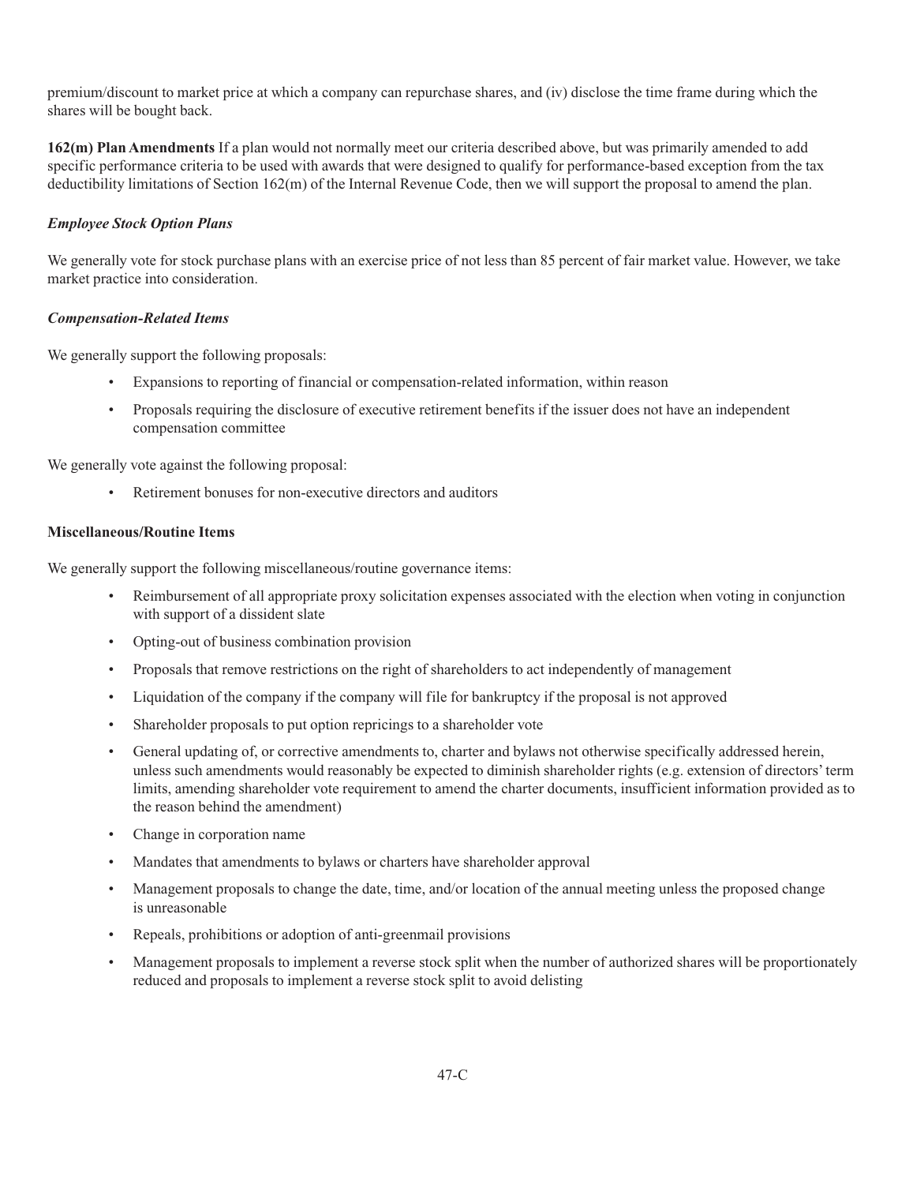premium/discount to market price at which a company can repurchase shares, and (iv) disclose the time frame during which the shares will be bought back.

**162(m) Plan Amendments** If a plan would not normally meet our criteria described above, but was primarily amended to add specific performance criteria to be used with awards that were designed to qualify for performance-based exception from the tax deductibility limitations of Section 162(m) of the Internal Revenue Code, then we will support the proposal to amend the plan.

# *Employee Stock Option Plans*

We generally vote for stock purchase plans with an exercise price of not less than 85 percent of fair market value. However, we take market practice into consideration.

# *Compensation-Related Items*

We generally support the following proposals:

- Expansions to reporting of financial or compensation-related information, within reason
- Proposals requiring the disclosure of executive retirement benefits if the issuer does not have an independent compensation committee

We generally vote against the following proposal:

Retirement bonuses for non-executive directors and auditors

# **Miscellaneous/Routine Items**

We generally support the following miscellaneous/routine governance items:

- Reimbursement of all appropriate proxy solicitation expenses associated with the election when voting in conjunction with support of a dissident slate
- Opting-out of business combination provision
- Proposals that remove restrictions on the right of shareholders to act independently of management
- Liquidation of the company if the company will file for bankruptcy if the proposal is not approved
- Shareholder proposals to put option repricings to a shareholder vote
- General updating of, or corrective amendments to, charter and bylaws not otherwise specifically addressed herein, unless such amendments would reasonably be expected to diminish shareholder rights (e.g. extension of directors' term limits, amending shareholder vote requirement to amend the charter documents, insufficient information provided as to the reason behind the amendment)
- Change in corporation name
- Mandates that amendments to bylaws or charters have shareholder approval
- Management proposals to change the date, time, and/or location of the annual meeting unless the proposed change is unreasonable
- Repeals, prohibitions or adoption of anti-greenmail provisions
- Management proposals to implement a reverse stock split when the number of authorized shares will be proportionately reduced and proposals to implement a reverse stock split to avoid delisting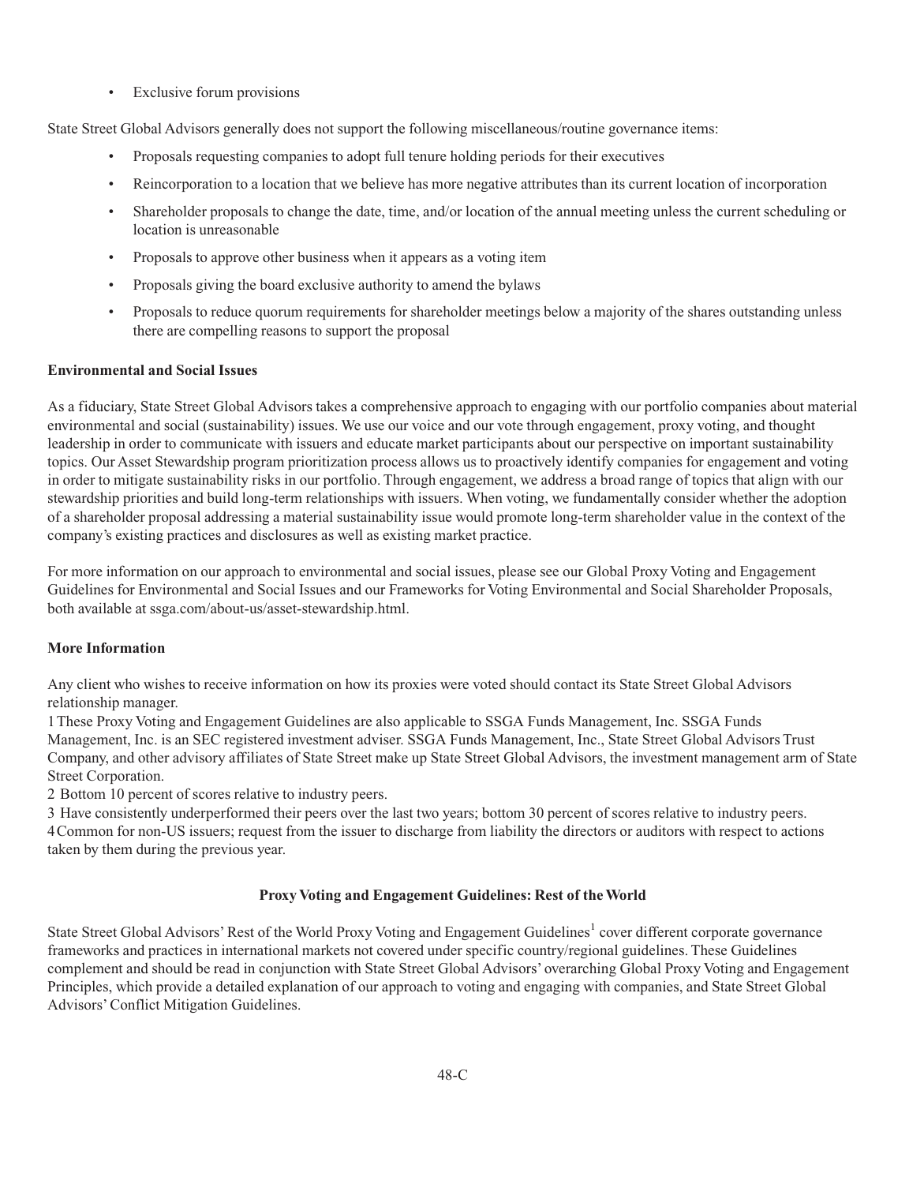• Exclusive forum provisions

State Street Global Advisors generally does not support the following miscellaneous/routine governance items:

- Proposals requesting companies to adopt full tenure holding periods for their executives
- Reincorporation to a location that we believe has more negative attributes than its current location of incorporation
- Shareholder proposals to change the date, time, and/or location of the annual meeting unless the current scheduling or location is unreasonable
- Proposals to approve other business when it appears as a voting item
- Proposals giving the board exclusive authority to amend the bylaws
- Proposals to reduce quorum requirements for shareholder meetings below a majority of the shares outstanding unless there are compelling reasons to support the proposal

# **Environmental and Social Issues**

As a fiduciary, State Street Global Advisors takes a comprehensive approach to engaging with our portfolio companies about material environmental and social (sustainability) issues. We use our voice and our vote through engagement, proxy voting, and thought leadership in order to communicate with issuers and educate market participants about our perspective on important sustainability topics. Our Asset Stewardship program prioritization process allows us to proactively identify companies for engagement and voting in order to mitigate sustainability risks in our portfolio. Through engagement, we address a broad range of topics that align with our stewardship priorities and build long-term relationships with issuers. When voting, we fundamentally consider whether the adoption of a shareholder proposal addressing a material sustainability issue would promote long-term shareholder value in the context of the company's existing practices and disclosures as well as existing market practice.

For more information on our approach to environmental and social issues, please see our Global Proxy Voting and Engagement Guidelines for Environmental and Social Issues and our Frameworks for Voting Environmental and Social Shareholder Proposals, both available at ssga.com/about-us/asset-stewardship.html.

# **More Information**

Any client who wishes to receive information on how its proxies were voted should contact its State Street Global Advisors relationship manager.

1These Proxy Voting and Engagement Guidelines are also applicable to SSGA Funds Management, Inc. SSGA Funds Management, Inc. is an SEC registered investment adviser. SSGA Funds Management, Inc., State Street Global Advisors Trust Company, and other advisory affiliates of State Street make up State Street Global Advisors, the investment management arm of State Street Corporation.

2 Bottom 10 percent of scores relative to industry peers.

3 Have consistently underperformed their peers over the last two years; bottom 30 percent of scores relative to industry peers. 4Common for non-US issuers; request from the issuer to discharge from liability the directors or auditors with respect to actions taken by them during the previous year.

# **Proxy Voting and Engagement Guidelines: Rest of theWorld**

State Street Global Advisors' Rest of the World Proxy Voting and Engagement Guidelines<sup>1</sup> cover different corporate governance frameworks and practices in international markets not covered under specific country/regional guidelines. These Guidelines complement and should be read in conjunction with State Street Global Advisors' overarching Global Proxy Voting and Engagement Principles, which provide a detailed explanation of our approach to voting and engaging with companies, and State Street Global Advisors' Conflict Mitigation Guidelines.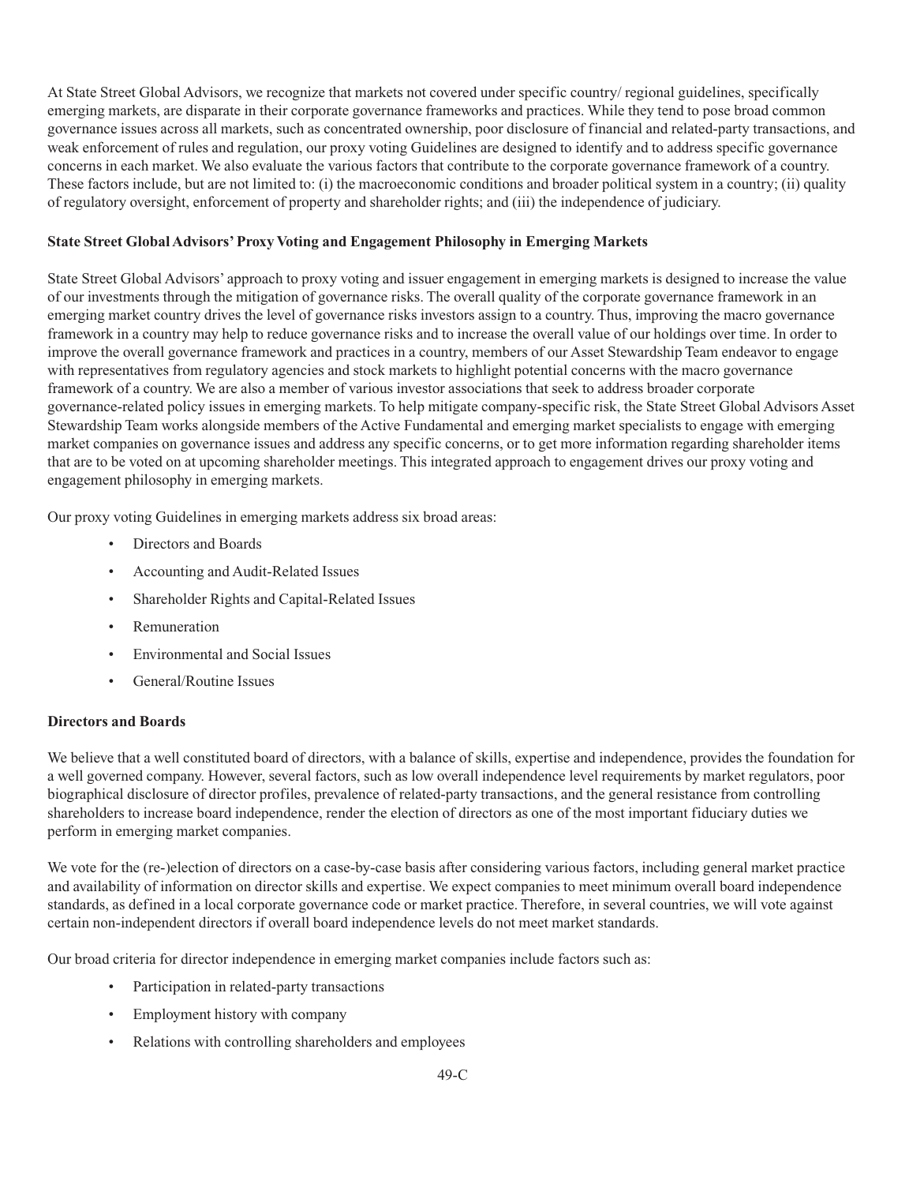At State Street Global Advisors, we recognize that markets not covered under specific country/ regional guidelines, specifically emerging markets, are disparate in their corporate governance frameworks and practices. While they tend to pose broad common governance issues across all markets, such as concentrated ownership, poor disclosure of financial and related-party transactions, and weak enforcement of rules and regulation, our proxy voting Guidelines are designed to identify and to address specific governance concerns in each market. We also evaluate the various factors that contribute to the corporate governance framework of a country. These factors include, but are not limited to: (i) the macroeconomic conditions and broader political system in a country; (ii) quality of regulatory oversight, enforcement of property and shareholder rights; and (iii) the independence of judiciary.

# **State Street Global Advisors' Proxy Voting and Engagement Philosophy in Emerging Markets**

State Street Global Advisors' approach to proxy voting and issuer engagement in emerging markets is designed to increase the value of our investments through the mitigation of governance risks. The overall quality of the corporate governance framework in an emerging market country drives the level of governance risks investors assign to a country. Thus, improving the macro governance framework in a country may help to reduce governance risks and to increase the overall value of our holdings over time. In order to improve the overall governance framework and practices in a country, members of our Asset Stewardship Team endeavor to engage with representatives from regulatory agencies and stock markets to highlight potential concerns with the macro governance framework of a country. We are also a member of various investor associations that seek to address broader corporate governance-related policy issues in emerging markets. To help mitigate company-specific risk, the State Street Global Advisors Asset Stewardship Team works alongside members of the Active Fundamental and emerging market specialists to engage with emerging market companies on governance issues and address any specific concerns, or to get more information regarding shareholder items that are to be voted on at upcoming shareholder meetings. This integrated approach to engagement drives our proxy voting and engagement philosophy in emerging markets.

Our proxy voting Guidelines in emerging markets address six broad areas:

- Directors and Boards
- Accounting and Audit-Related Issues
- Shareholder Rights and Capital-Related Issues
- Remuneration
- Environmental and Social Issues
- General/Routine Issues

# **Directors and Boards**

We believe that a well constituted board of directors, with a balance of skills, expertise and independence, provides the foundation for a well governed company. However, several factors, such as low overall independence level requirements by market regulators, poor biographical disclosure of director profiles, prevalence of related-party transactions, and the general resistance from controlling shareholders to increase board independence, render the election of directors as one of the most important fiduciary duties we perform in emerging market companies.

We vote for the (re-)election of directors on a case-by-case basis after considering various factors, including general market practice and availability of information on director skills and expertise. We expect companies to meet minimum overall board independence standards, as defined in a local corporate governance code or market practice. Therefore, in several countries, we will vote against certain non-independent directors if overall board independence levels do not meet market standards.

Our broad criteria for director independence in emerging market companies include factors such as:

- Participation in related-party transactions
- Employment history with company
- Relations with controlling shareholders and employees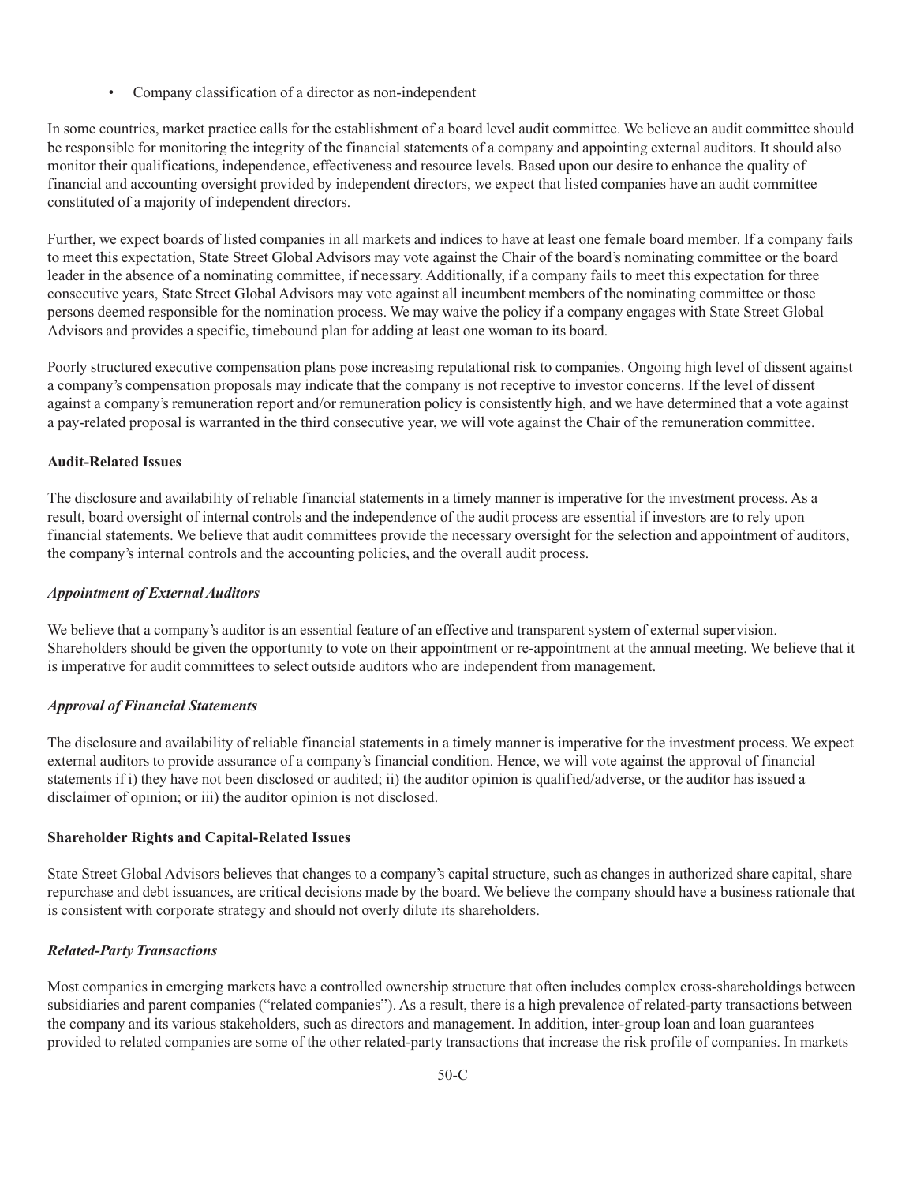• Company classification of a director as non-independent

In some countries, market practice calls for the establishment of a board level audit committee. We believe an audit committee should be responsible for monitoring the integrity of the financial statements of a company and appointing external auditors. It should also monitor their qualifications, independence, effectiveness and resource levels. Based upon our desire to enhance the quality of financial and accounting oversight provided by independent directors, we expect that listed companies have an audit committee constituted of a majority of independent directors.

Further, we expect boards of listed companies in all markets and indices to have at least one female board member. If a company fails to meet this expectation, State Street Global Advisors may vote against the Chair of the board's nominating committee or the board leader in the absence of a nominating committee, if necessary. Additionally, if a company fails to meet this expectation for three consecutive years, State Street Global Advisors may vote against all incumbent members of the nominating committee or those persons deemed responsible for the nomination process. We may waive the policy if a company engages with State Street Global Advisors and provides a specific, timebound plan for adding at least one woman to its board.

Poorly structured executive compensation plans pose increasing reputational risk to companies. Ongoing high level of dissent against a company's compensation proposals may indicate that the company is not receptive to investor concerns. If the level of dissent against a company's remuneration report and/or remuneration policy is consistently high, and we have determined that a vote against a pay-related proposal is warranted in the third consecutive year, we will vote against the Chair of the remuneration committee.

# **Audit-Related Issues**

The disclosure and availability of reliable financial statements in a timely manner is imperative for the investment process. As a result, board oversight of internal controls and the independence of the audit process are essential if investors are to rely upon financial statements. We believe that audit committees provide the necessary oversight for the selection and appointment of auditors, the company's internal controls and the accounting policies, and the overall audit process.

# *Appointment of External Auditors*

We believe that a company's auditor is an essential feature of an effective and transparent system of external supervision. Shareholders should be given the opportunity to vote on their appointment or re-appointment at the annual meeting. We believe that it is imperative for audit committees to select outside auditors who are independent from management.

# *Approval of Financial Statements*

The disclosure and availability of reliable financial statements in a timely manner is imperative for the investment process. We expect external auditors to provide assurance of a company's financial condition. Hence, we will vote against the approval of financial statements if i) they have not been disclosed or audited; ii) the auditor opinion is qualified/adverse, or the auditor has issued a disclaimer of opinion; or iii) the auditor opinion is not disclosed.

# **Shareholder Rights and Capital-Related Issues**

State Street Global Advisors believes that changes to a company's capital structure, such as changes in authorized share capital, share repurchase and debt issuances, are critical decisions made by the board. We believe the company should have a business rationale that is consistent with corporate strategy and should not overly dilute its shareholders.

# *Related-Party Transactions*

Most companies in emerging markets have a controlled ownership structure that often includes complex cross-shareholdings between subsidiaries and parent companies ("related companies"). As a result, there is a high prevalence of related-party transactions between the company and its various stakeholders, such as directors and management. In addition, inter-group loan and loan guarantees provided to related companies are some of the other related-party transactions that increase the risk profile of companies. In markets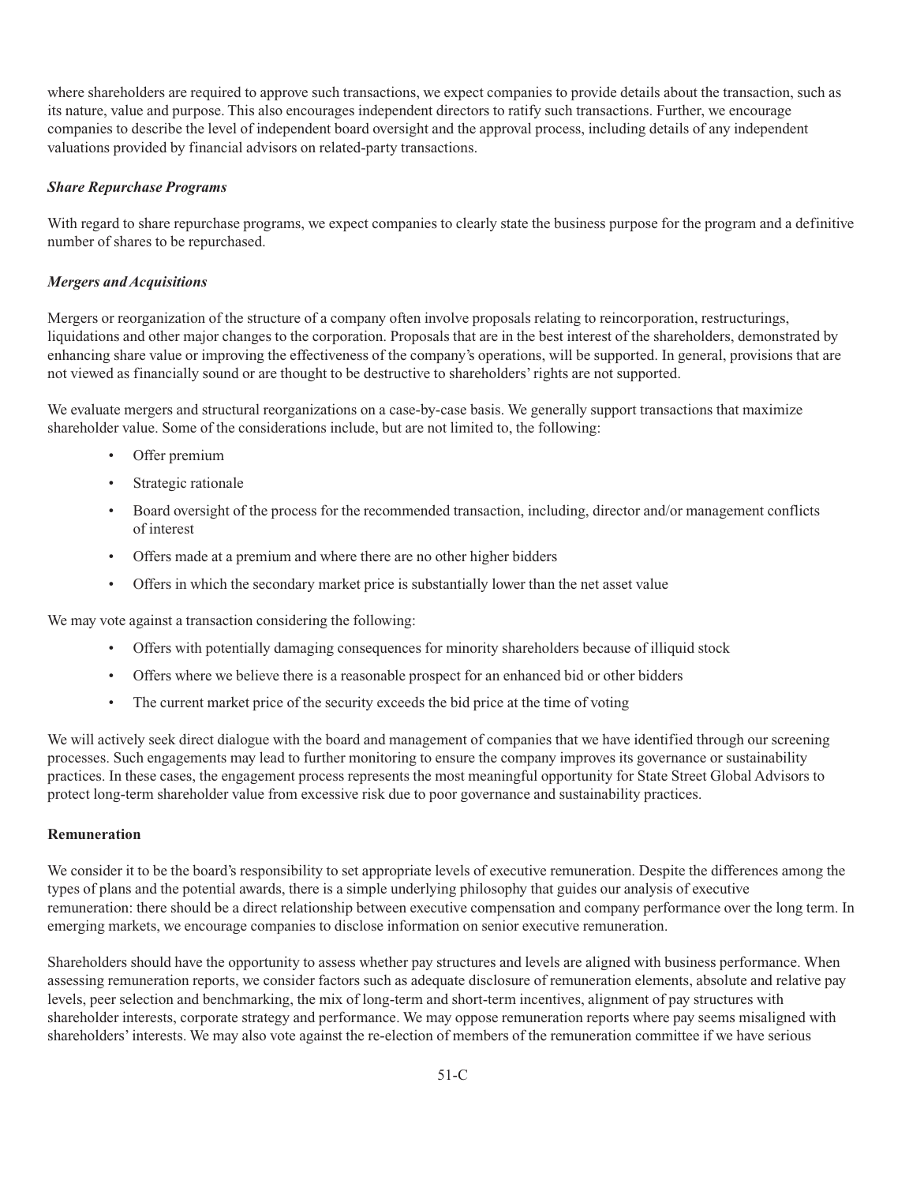where shareholders are required to approve such transactions, we expect companies to provide details about the transaction, such as its nature, value and purpose. This also encourages independent directors to ratify such transactions. Further, we encourage companies to describe the level of independent board oversight and the approval process, including details of any independent valuations provided by financial advisors on related-party transactions.

### *Share Repurchase Programs*

With regard to share repurchase programs, we expect companies to clearly state the business purpose for the program and a definitive number of shares to be repurchased.

### *Mergers and Acquisitions*

Mergers or reorganization of the structure of a company often involve proposals relating to reincorporation, restructurings, liquidations and other major changes to the corporation. Proposals that are in the best interest of the shareholders, demonstrated by enhancing share value or improving the effectiveness of the company's operations, will be supported. In general, provisions that are not viewed as financially sound or are thought to be destructive to shareholders' rights are not supported.

We evaluate mergers and structural reorganizations on a case-by-case basis. We generally support transactions that maximize shareholder value. Some of the considerations include, but are not limited to, the following:

- Offer premium
- Strategic rationale
- Board oversight of the process for the recommended transaction, including, director and/or management conflicts of interest
- Offers made at a premium and where there are no other higher bidders
- Offers in which the secondary market price is substantially lower than the net asset value

We may vote against a transaction considering the following:

- Offers with potentially damaging consequences for minority shareholders because of illiquid stock
- Offers where we believe there is a reasonable prospect for an enhanced bid or other bidders
- The current market price of the security exceeds the bid price at the time of voting

We will actively seek direct dialogue with the board and management of companies that we have identified through our screening processes. Such engagements may lead to further monitoring to ensure the company improves its governance or sustainability practices. In these cases, the engagement process represents the most meaningful opportunity for State Street Global Advisors to protect long-term shareholder value from excessive risk due to poor governance and sustainability practices.

#### **Remuneration**

We consider it to be the board's responsibility to set appropriate levels of executive remuneration. Despite the differences among the types of plans and the potential awards, there is a simple underlying philosophy that guides our analysis of executive remuneration: there should be a direct relationship between executive compensation and company performance over the long term. In emerging markets, we encourage companies to disclose information on senior executive remuneration.

Shareholders should have the opportunity to assess whether pay structures and levels are aligned with business performance. When assessing remuneration reports, we consider factors such as adequate disclosure of remuneration elements, absolute and relative pay levels, peer selection and benchmarking, the mix of long-term and short-term incentives, alignment of pay structures with shareholder interests, corporate strategy and performance. We may oppose remuneration reports where pay seems misaligned with shareholders' interests. We may also vote against the re-election of members of the remuneration committee if we have serious